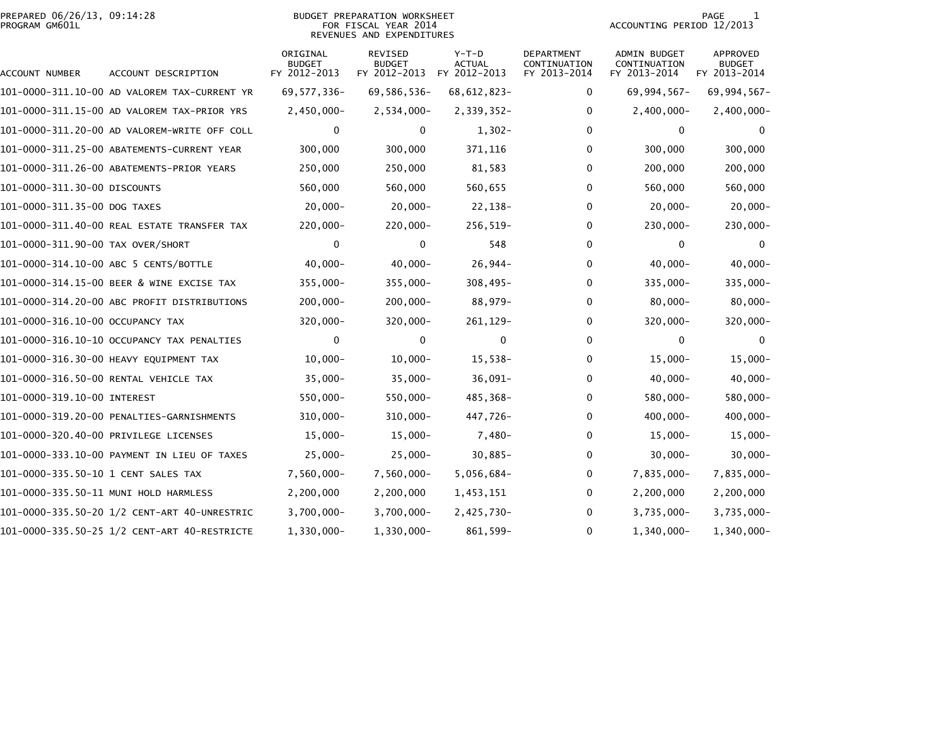## PREPARED 06/26/13, 09:14:28<br>PROGRAM GM601L

## BUDGET PREPARATION WORKSHEET<br>FOR FISCAL YEAR 2014 REVENUES AND EXPENDITURES

PAGE 1<br>ACCOUNTING PERIOD 12/2013

| ACCOUNT NUMBER                        | ACCOUNT DESCRIPTION                          | ORIGINAL<br><b>BUDGET</b><br>FY 2012-2013 | REVISED<br><b>BUDGET</b><br>FY 2012-2013 | $Y-T-D$<br>ACTUAL<br>FY 2012-2013 | <b>DEPARTMENT</b><br>CONTINUATION<br>FY 2013-2014 | <b>ADMIN BUDGET</b><br>CONTINUATION<br>FY 2013-2014 | <b>APPROVED</b><br><b>BUDGET</b><br>FY 2013-2014 |
|---------------------------------------|----------------------------------------------|-------------------------------------------|------------------------------------------|-----------------------------------|---------------------------------------------------|-----------------------------------------------------|--------------------------------------------------|
|                                       | 101-0000-311.10-00 AD VALOREM TAX-CURRENT YR | 69, 577, 336-                             | 69,586,536-                              | 68, 612, 823-                     | 0                                                 | 69,994,567-                                         | 69,994,567-                                      |
|                                       | 101-0000-311.15-00 AD VALOREM TAX-PRIOR YRS  | $2,450,000 -$                             | $2,534,000 -$                            | 2,339,352-                        | 0                                                 | $2,400,000 -$                                       | 2,400,000-                                       |
|                                       | 101-0000-311.20-00 AD VALOREM-WRITE OFF COLL | 0                                         | 0                                        | $1,302-$                          | 0                                                 | 0                                                   | 0                                                |
|                                       | 101-0000-311.25-00 ABATEMENTS-CURRENT YEAR   | 300,000                                   | 300,000                                  | 371,116                           | 0                                                 | 300,000                                             | 300,000                                          |
|                                       | 101-0000-311.26-00 ABATEMENTS-PRIOR YEARS    | 250,000                                   | 250,000                                  | 81,583                            | 0                                                 | 200,000                                             | 200,000                                          |
| 101-0000-311.30-00 DISCOUNTS          |                                              | 560,000                                   | 560,000                                  | 560,655                           | 0                                                 | 560,000                                             | 560,000                                          |
| 101-0000-311.35-00 DOG TAXES          |                                              | $20,000 -$                                | $20,000-$                                | 22,138-                           | 0                                                 | $20,000-$                                           | $20,000 -$                                       |
|                                       | 101-0000-311.40-00 REAL ESTATE TRANSFER TAX  | 220,000-                                  | $220,000 -$                              | $256,519-$                        | 0                                                 | $230,000 -$                                         | $230,000 -$                                      |
| 101-0000-311.90-00 TAX OVER/SHORT     |                                              | 0                                         | 0                                        | 548                               | 0                                                 | 0                                                   | 0                                                |
| 101-0000-314.10-00 ABC 5 CENTS/BOTTLE |                                              | $40,000 -$                                | $40,000 -$                               | $26,944-$                         | $\mathbf{0}$                                      | $40,000 -$                                          | $40,000 -$                                       |
|                                       | 101-0000-314.15-00 BEER & WINE EXCISE TAX    | 355,000-                                  | $355,000 -$                              | $308,495-$                        | 0                                                 | 335,000-                                            | 335,000-                                         |
|                                       | 101-0000-314.20-00 ABC PROFIT DISTRIBUTIONS  | $200,000 -$                               | $200,000 -$                              | 88,979-                           | 0                                                 | $80,000 -$                                          | $80,000 -$                                       |
| 101-0000-316.10-00 OCCUPANCY TAX      |                                              | 320,000-                                  | $320,000 -$                              | 261, 129-                         | 0                                                 | 320,000-                                            | 320,000-                                         |
|                                       | 101-0000-316.10-10 OCCUPANCY TAX PENALTIES   | $\mathbf 0$                               | 0                                        | $\mathbf{0}$                      | 0                                                 | 0                                                   | $\Omega$                                         |
|                                       | 101-0000-316.30-00 HEAVY EQUIPMENT TAX       | $10,000 -$                                | $10,000 -$                               | 15,538-                           | 0                                                 | $15,000 -$                                          | $15,000 -$                                       |
|                                       | 101-0000-316.50-00 RENTAL VEHICLE TAX        | $35,000 -$                                | $35,000 -$                               | $36,091-$                         | 0                                                 | $40,000-$                                           | $40,000 -$                                       |
| 101-0000-319.10-00 INTEREST           |                                              | 550,000-                                  | 550,000-                                 | 485,368-                          | 0                                                 | 580,000-                                            | 580,000-                                         |
|                                       | 101-0000-319.20-00 PENALTIES-GARNISHMENTS    | $310,000 -$                               | $310,000 -$                              | 447,726-                          | 0                                                 | $400,000 -$                                         | $400,000 -$                                      |
| 101-0000-320.40-00 PRIVILEGE LICENSES |                                              | $15,000-$                                 | $15,000-$                                | 7,480-                            | 0                                                 | $15,000-$                                           | $15,000 -$                                       |
|                                       | 101-0000-333.10-00 PAYMENT IN LIEU OF TAXES  | $25,000 -$                                | $25,000-$                                | $30,885-$                         | 0                                                 | $30,000 -$                                          | $30,000 -$                                       |
|                                       |                                              | 7,560,000-                                | 7,560,000-                               | 5,056,684-                        | 0                                                 | 7,835,000-                                          | 7,835,000-                                       |
|                                       | 101-0000-335.50-11 MUNI HOLD HARMLESS        | 2,200,000                                 | 2,200,000                                | 1,453,151                         | 0                                                 | 2,200,000                                           | 2,200,000                                        |
|                                       |                                              | $3,700,000 -$                             | $3,700,000 -$                            | 2,425,730-                        | 0                                                 | $3,735,000 -$                                       | $3,735,000 -$                                    |
|                                       | 101-0000-335.50-25 1/2 CENT-ART 40-RESTRICTE | 1,330,000-                                | 1,330,000-                               | 861,599-                          | 0                                                 | 1,340,000-                                          | 1,340,000-                                       |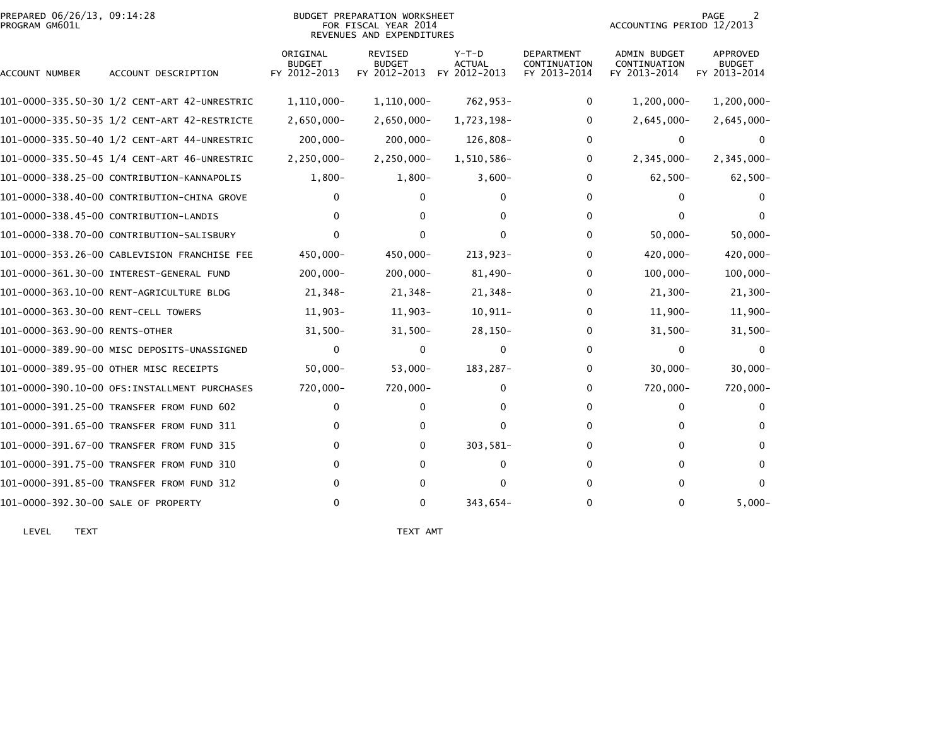| PREPARED 06/26/13, 09:14:28<br>PROGRAM GM601L |                                              |                                           | BUDGET PREPARATION WORKSHEET<br>FOR FISCAL YEAR 2014<br>REVENUES AND EXPENDITURES |                                          |                                                   | ACCOUNTING PERIOD 12/2013                           | PAGE<br>2                                 |
|-----------------------------------------------|----------------------------------------------|-------------------------------------------|-----------------------------------------------------------------------------------|------------------------------------------|---------------------------------------------------|-----------------------------------------------------|-------------------------------------------|
| ACCOUNT NUMBER                                | ACCOUNT DESCRIPTION                          | ORIGINAL<br><b>BUDGET</b><br>FY 2012-2013 | <b>REVISED</b><br><b>BUDGET</b><br>FY 2012-2013                                   | $Y-T-D$<br><b>ACTUAL</b><br>FY 2012-2013 | <b>DEPARTMENT</b><br>CONTINUATION<br>FY 2013-2014 | <b>ADMIN BUDGET</b><br>CONTINUATION<br>FY 2013-2014 | APPROVED<br><b>BUDGET</b><br>FY 2013-2014 |
|                                               |                                              | 1,110,000-                                | $1,110,000 -$                                                                     | 762,953-                                 | 0                                                 | $1,200,000 -$                                       | 1,200,000-                                |
|                                               |                                              | $2,650,000 -$                             | $2,650,000 -$                                                                     | 1,723,198-                               | 0                                                 | $2,645,000 -$                                       | $2,645,000 -$                             |
|                                               |                                              | $200,000 -$                               | $200,000 -$                                                                       | 126,808-                                 | 0                                                 | $\bf{0}$                                            | 0                                         |
|                                               |                                              | $2,250,000 -$                             | $2,250,000 -$                                                                     | 1,510,586-                               | $\mathbf{0}$                                      | $2,345,000 -$                                       | $2,345,000 -$                             |
|                                               | 101-0000-338.25-00 CONTRIBUTION-KANNAPOLIS   | $1,800-$                                  | $1,800-$                                                                          | $3,600-$                                 | 0                                                 | $62,500 -$                                          | $62,500-$                                 |
|                                               | 101-0000-338.40-00 CONTRIBUTION-CHINA GROVE  | 0                                         | 0                                                                                 | 0                                        | 0                                                 | 0                                                   | $\Omega$                                  |
|                                               | 101-0000-338.45-00 CONTRIBUTION-LANDIS       |                                           | 0                                                                                 | 0                                        | 0                                                 | $\Omega$                                            | $\Omega$                                  |
|                                               | 101-0000-338.70-00 CONTRIBUTION-SALISBURY    |                                           | 0                                                                                 | 0                                        | 0                                                 | $50,000 -$                                          | $50,000 -$                                |
|                                               | 101-0000-353.26-00 CABLEVISION FRANCHISE FEE | 450,000-                                  | 450,000-                                                                          | 213,923-                                 | 0                                                 | 420,000-                                            | 420,000-                                  |
|                                               | 101-0000-361.30-00 INTEREST-GENERAL FUND     | $200,000 -$                               | $200,000 -$                                                                       | $81,490-$                                | 0                                                 | $100,000 -$                                         | $100,000 -$                               |
|                                               | 101-0000-363.10-00 RENT-AGRICULTURE BLDG     | 21,348-                                   | 21,348-                                                                           | 21,348-                                  | 0                                                 | $21,300-$                                           | 21,300-                                   |
|                                               |                                              | $11,903-$                                 | $11,903-$                                                                         | $10,911-$                                | 0                                                 | $11,900-$                                           | 11,900-                                   |
| 101-0000-363.90-00 RENTS-OTHER                |                                              | $31,500-$                                 | $31,500-$                                                                         | $28,150-$                                | 0                                                 | $31,500 -$                                          | $31,500 -$                                |
|                                               | 101-0000-389.90-00 MISC DEPOSITS-UNASSIGNED  | $\mathbf 0$                               | 0                                                                                 | 0                                        | $\mathbf{0}$                                      | $\mathbf{0}$                                        | $\Omega$                                  |
|                                               | 101-0000-389.95-00 OTHER MISC RECEIPTS       | $50,000 -$                                | $53,000 -$                                                                        | 183,287-                                 | 0                                                 | $30,000 -$                                          | $30,000 -$                                |
|                                               | 101-0000-390.10-00 OFS:INSTALLMENT PURCHASES | 720,000-                                  | 720,000-                                                                          | 0                                        | $\Omega$                                          | 720,000-                                            | 720,000-                                  |
|                                               | 101-0000-391.25-00 TRANSFER FROM FUND 602    | 0                                         | 0                                                                                 | 0                                        | 0                                                 | 0                                                   |                                           |
|                                               | 101-0000-391.65-00 TRANSFER FROM FUND 311    | 0                                         | 0                                                                                 | 0                                        | 0                                                 | 0                                                   | 0                                         |
|                                               | 101-0000-391.67-00 TRANSFER FROM FUND 315    | 0                                         | 0                                                                                 | 303,581-                                 | 0                                                 | $\mathbf{0}$                                        | $\Omega$                                  |
|                                               | 101-0000-391.75-00 TRANSFER FROM FUND 310    | 0                                         | 0                                                                                 | 0                                        | 0                                                 | 0                                                   | $\Omega$                                  |
|                                               | 101-0000-391.85-00 TRANSFER FROM FUND 312    | 0                                         | 0                                                                                 | 0                                        | 0                                                 | $\Omega$                                            | $\Omega$                                  |
| 101-0000-392.30-00 SALE OF PROPERTY           |                                              | $\Omega$                                  | 0                                                                                 | 343,654-                                 | 0                                                 | $\mathbf{0}$                                        | $5,000 -$                                 |

LEVEL TEXT TEXT AMT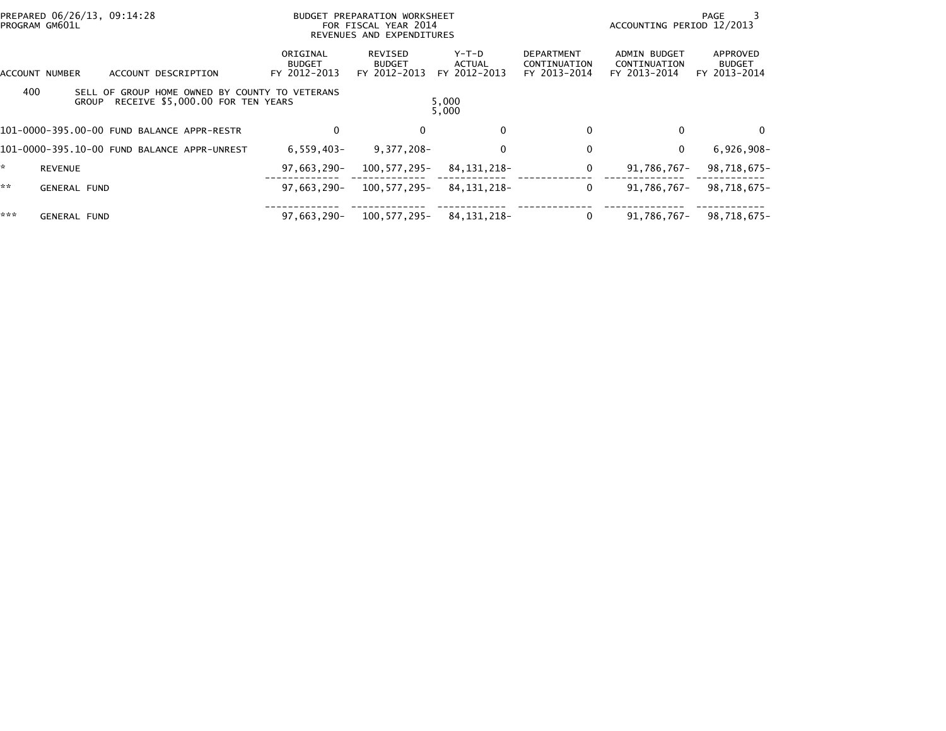| PREPARED 06/26/13, 09:14:28<br>PROGRAM GM601L                                                             |                                           | BUDGET PREPARATION WORKSHEET<br>FOR FISCAL YEAR 2014<br>REVENUES AND EXPENDITURES |                                 |                                                   | ACCOUNTING PERIOD 12/2013                           | PAGE                                      |
|-----------------------------------------------------------------------------------------------------------|-------------------------------------------|-----------------------------------------------------------------------------------|---------------------------------|---------------------------------------------------|-----------------------------------------------------|-------------------------------------------|
| ACCOUNT DESCRIPTION<br>ACCOUNT NUMBER                                                                     | ORIGINAL<br><b>BUDGET</b><br>FY 2012-2013 | REVISED<br><b>BUDGET</b><br>FY 2012-2013                                          | Y-T-D<br>ACTUAL<br>FY 2012-2013 | <b>DEPARTMENT</b><br>CONTINUATION<br>FY 2013-2014 | <b>ADMIN BUDGET</b><br>CONTINUATION<br>FY 2013-2014 | APPROVED<br><b>BUDGET</b><br>FY 2013-2014 |
| 400<br>SELL OF GROUP HOME OWNED BY COUNTY TO VETERANS<br>RECEIVE \$5,000.00 FOR TEN YEARS<br><b>GROUP</b> |                                           |                                                                                   | 5,000<br>5,000                  |                                                   |                                                     |                                           |
| 101-0000-395.00-00 FUND BALANCE APPR-RESTR                                                                | 0                                         |                                                                                   | 0                               |                                                   |                                                     | 0                                         |
| 101-0000-395.10-00 FUND BALANCE APPR-UNREST                                                               | $6,559,403-$                              | $9,377,208-$                                                                      | 0                               |                                                   | $\Omega$                                            | $6,926,908-$                              |
| <b>REVENUE</b>                                                                                            | 97,663,290-                               | 100,577,295-                                                                      | 84,131,218-                     |                                                   | 91,786,767-                                         | 98,718,675-                               |
| **<br><b>GENERAL FUND</b>                                                                                 | $97.663.290 -$                            | 100,577,295-                                                                      | 84.131.218-                     | 0                                                 | 91.786.767-                                         | 98,718,675-                               |
| ***<br><b>GENERAL FUND</b>                                                                                | 97,663,290-                               | 100,577,295-                                                                      | 84, 131, 218-                   |                                                   | 91,786,767-                                         | 98,718,675-                               |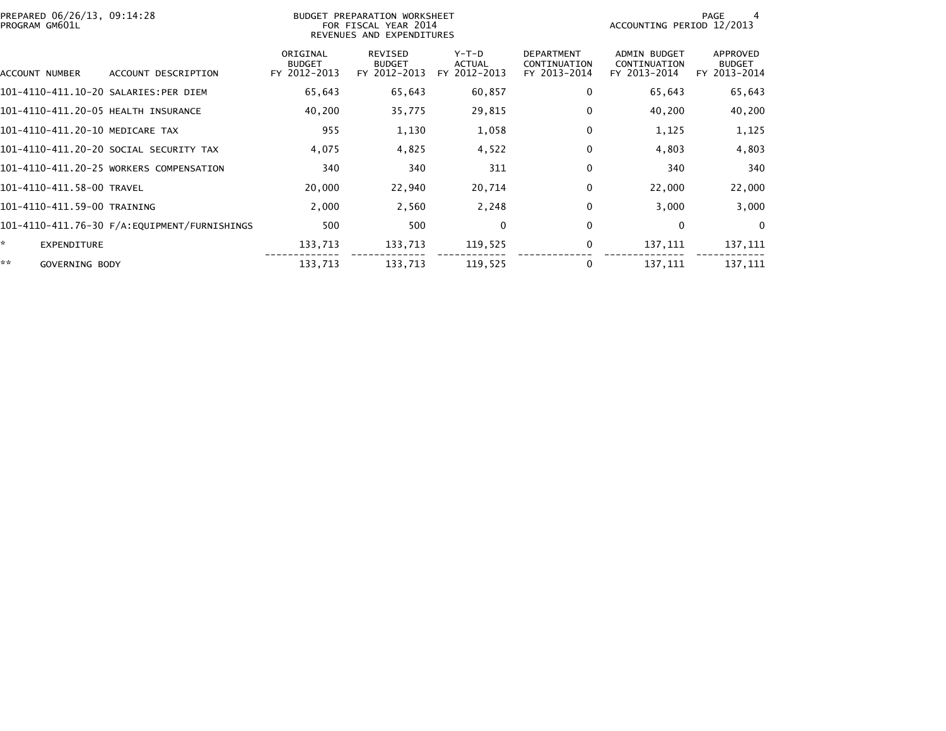| PREPARED 06/26/13, 09:14:28<br>PROGRAM GM601L |                                         |                                           | BUDGET PREPARATION WORKSHEET<br>FOR FISCAL YEAR 2014<br>REVENUES AND EXPENDITURES | PAGE<br>ACCOUNTING PERIOD 12/2013      |                                                   |                                              |                                           |
|-----------------------------------------------|-----------------------------------------|-------------------------------------------|-----------------------------------------------------------------------------------|----------------------------------------|---------------------------------------------------|----------------------------------------------|-------------------------------------------|
| ACCOUNT NUMBER                                | ACCOUNT DESCRIPTION                     | ORIGINAL<br><b>BUDGET</b><br>FY 2012-2013 | REVISED<br><b>BUDGET</b><br>FY 2012-2013                                          | Y-T-D<br><b>ACTUAL</b><br>FY 2012-2013 | <b>DEPARTMENT</b><br>CONTINUATION<br>FY 2013-2014 | ADMIN BUDGET<br>CONTINUATION<br>FY 2013-2014 | APPROVED<br><b>BUDGET</b><br>FY 2013-2014 |
| 101-4110-411.10-20 SALARIES:PER DIEM          |                                         | 65,643                                    | 65,643                                                                            | 60,857                                 | 0                                                 | 65,643                                       | 65,643                                    |
| 101-4110-411.20-05 HEALTH INSURANCE           |                                         | 40,200                                    | 35,775                                                                            | 29,815                                 | 0                                                 | 40,200                                       | 40,200                                    |
| 101-4110-411.20-10 MEDICARE TAX               |                                         | 955                                       | 1,130                                                                             | 1,058                                  | $\Omega$                                          | 1,125                                        | 1,125                                     |
|                                               | 101-4110-411.20-20 SOCIAL SECURITY TAX  | 4,075                                     | 4,825                                                                             | 4,522                                  | $\Omega$                                          | 4,803                                        | 4,803                                     |
|                                               | 101-4110-411.20-25 WORKERS COMPENSATION | 340                                       | 340                                                                               | 311                                    | 0                                                 | 340                                          | 340                                       |
| 101-4110-411.58-00 TRAVEL                     |                                         | 20,000                                    | 22,940                                                                            | 20,714                                 | 0                                                 | 22,000                                       | 22,000                                    |
| 101-4110-411.59-00 TRAINING                   |                                         | 2,000                                     | 2,560                                                                             | 2,248                                  | $\Omega$                                          | 3,000                                        | 3,000                                     |
|                                               |                                         | 500                                       | 500                                                                               | 0                                      | 0                                                 | 0                                            | $\Omega$                                  |
| ×.<br>EXPENDITURE                             |                                         | 133,713                                   | 133,713                                                                           | 119,525                                | 0                                                 | 137,111                                      | 137,111                                   |
| **<br>GOVERNING BODY                          |                                         | 133,713                                   | 133,713                                                                           | 119,525                                | 0                                                 | 137,111                                      | 137,111                                   |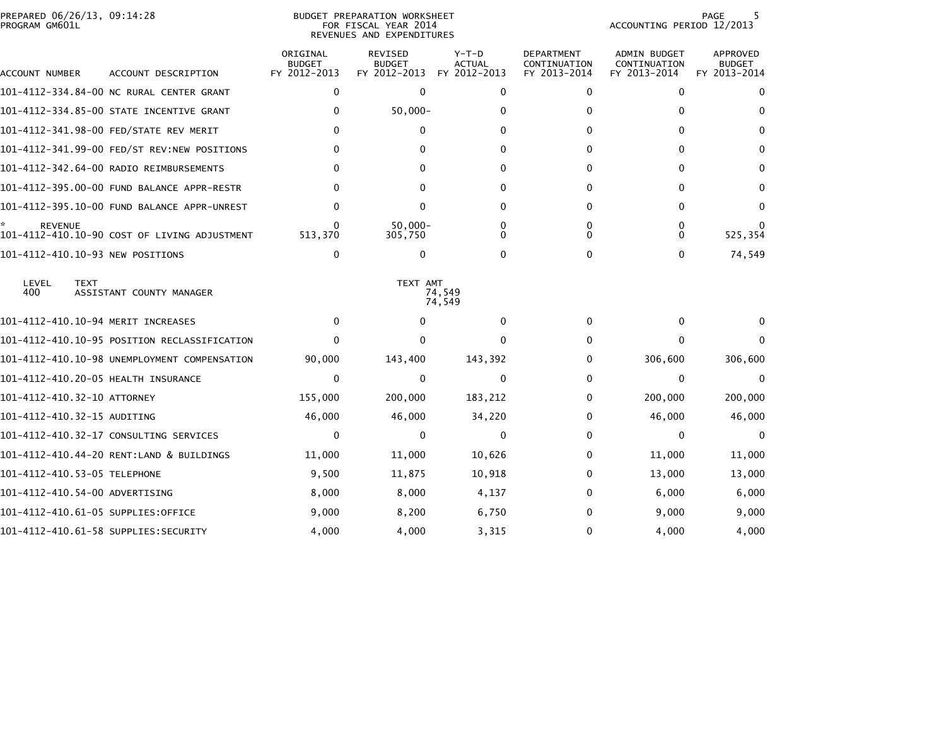| PROGRAM GM601L | PREPARED 06/26/13, 09:14:28                  |                                           | <b>BUDGET PREPARATION WORKSHEET</b><br>FOR FISCAL YEAR 2014<br>REVENUES AND EXPENDITURES |                                          |                                                   | ACCOUNTING PERIOD 12/2013                    | 5<br>PAGE                                        |
|----------------|----------------------------------------------|-------------------------------------------|------------------------------------------------------------------------------------------|------------------------------------------|---------------------------------------------------|----------------------------------------------|--------------------------------------------------|
| ACCOUNT NUMBER | ACCOUNT DESCRIPTION                          | ORIGINAL<br><b>BUDGET</b><br>FY 2012-2013 | <b>REVISED</b><br><b>BUDGET</b><br>FY 2012-2013                                          | $Y-T-D$<br><b>ACTUAL</b><br>FY 2012-2013 | <b>DEPARTMENT</b><br>CONTINUATION<br>FY 2013-2014 | ADMIN BUDGET<br>CONTINUATION<br>FY 2013-2014 | <b>APPROVED</b><br><b>BUDGET</b><br>FY 2013-2014 |
|                | 101-4112-334.84-00 NC RURAL CENTER GRANT     | $\mathbf{0}$                              | $\mathbf{0}$                                                                             | $\Omega$                                 | 0                                                 | 0                                            | 0                                                |
|                | 101-4112-334.85-00 STATE INCENTIVE GRANT     | $\mathbf{0}$                              | $50,000 -$                                                                               | 0                                        | 0                                                 | 0                                            | $\mathbf{0}$                                     |
|                | 101-4112-341.98-00 FED/STATE REV MERIT       | $\Omega$                                  | 0                                                                                        | 0                                        | 0                                                 | 0                                            | $\Omega$                                         |
|                | 101-4112-341.99-00 FED/ST REV:NEW POSITIONS  | 0                                         | $\Omega$                                                                                 | 0                                        | 0                                                 | 0                                            | 0                                                |
|                | 101-4112-342.64-00 RADIO REIMBURSEMENTS      | $\Omega$                                  | 0                                                                                        | O                                        | 0                                                 | 0                                            | $\Omega$                                         |
|                | 101-4112-395.00-00 FUND BALANCE APPR-RESTR   | $\Omega$                                  | 0                                                                                        | $\Omega$                                 | 0                                                 | 0                                            | $\mathbf{0}$                                     |
|                | 101-4112-395.10-00 FUND BALANCE APPR-UNREST  | 0                                         | 0                                                                                        | 0                                        | 0                                                 | 0                                            | 0                                                |
| <b>REVENUE</b> | 101-4112-410.10-90 COST OF LIVING ADJUSTMENT | $\Omega$<br>513,370                       | $50,000 -$<br>305,750                                                                    | 0<br>0                                   | 0<br>0                                            | 0<br>0                                       | 525,354                                          |
|                | 101-4112-410.10-93 NEW POSITIONS             | $\mathbf{0}$                              | 0                                                                                        | $\Omega$                                 | 0                                                 | 0                                            | 74,549                                           |
| LEVEL<br>400   | <b>TEXT</b><br>ASSISTANT COUNTY MANAGER      |                                           | TEXT AMT                                                                                 | 74.549<br>74,549                         |                                                   |                                              |                                                  |
|                | 101-4112-410.10-94 MERIT INCREASES           | 0                                         | 0                                                                                        | 0                                        | 0                                                 | 0                                            |                                                  |
|                | 101-4112-410.10-95 POSITION RECLASSIFICATION | $\Omega$                                  | $\Omega$                                                                                 | $\Omega$                                 | $\Omega$                                          | 0                                            |                                                  |
|                | 101-4112-410.10-98 UNEMPLOYMENT COMPENSATION | 90,000                                    | 143,400                                                                                  | 143,392                                  | 0                                                 | 306,600                                      | 306,600                                          |
|                | 101-4112-410.20-05 HEALTH INSURANCE          | $\mathbf{0}$                              | $\mathbf{0}$                                                                             | $\Omega$                                 | 0                                                 | 0                                            | $\mathbf{0}$                                     |
|                | 101-4112-410.32-10 ATTORNEY                  | 155,000                                   | 200,000                                                                                  | 183,212                                  | 0                                                 | 200,000                                      | 200,000                                          |
|                | 101-4112-410.32-15 AUDITING                  | 46,000                                    | 46,000                                                                                   | 34,220                                   | 0                                                 | 46,000                                       | 46,000                                           |
|                | 101-4112-410.32-17 CONSULTING SERVICES       | 0                                         | 0                                                                                        | $\Omega$                                 | 0                                                 | 0                                            | $\mathbf{0}$                                     |
|                | 101-4112-410.44-20 RENT:LAND & BUILDINGS     | 11,000                                    | 11,000                                                                                   | 10,626                                   | 0                                                 | 11,000                                       | 11,000                                           |
|                | 101-4112-410.53-05 TELEPHONE                 | 9,500                                     | 11,875                                                                                   | 10,918                                   | 0                                                 | 13,000                                       | 13,000                                           |
|                | 101-4112-410.54-00 ADVERTISING               | 8,000                                     | 8,000                                                                                    | 4,137                                    | 0                                                 | 6,000                                        | 6,000                                            |
|                | 101-4112-410.61-05 SUPPLIES:OFFICE           | 9,000                                     | 8,200                                                                                    | 6,750                                    | 0                                                 | 9,000                                        | 9,000                                            |
|                | 101-4112-410.61-58 SUPPLIES:SECURITY         | 4,000                                     | 4,000                                                                                    | 3,315                                    | 0                                                 | 4,000                                        | 4,000                                            |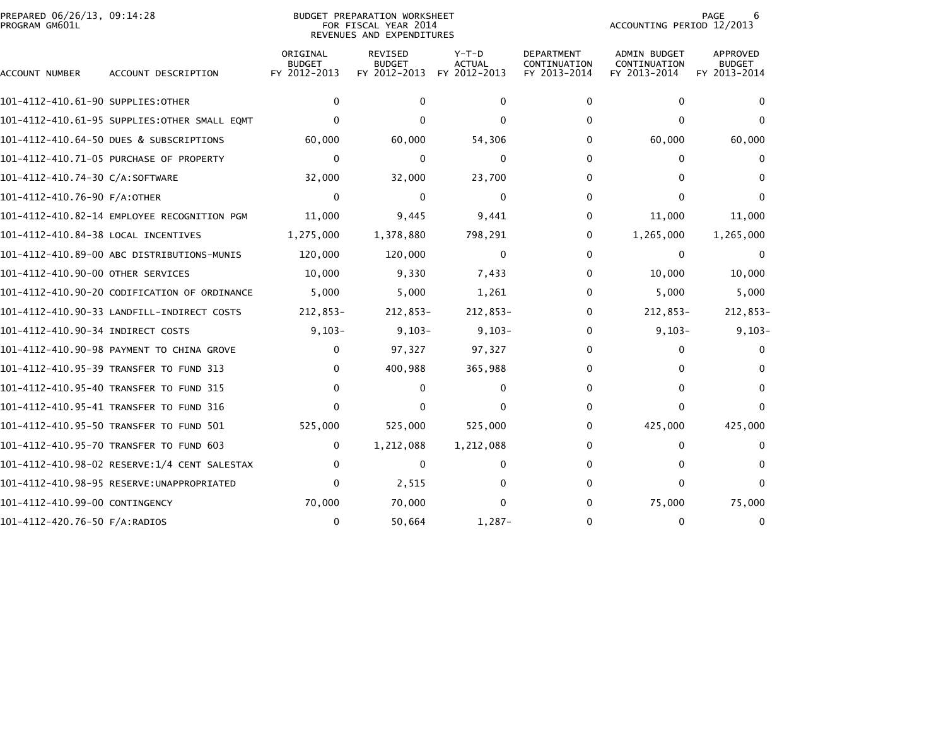| PREPARED 06/26/13, 09:14:28<br>PROGRAM GM601L |                                              |                                           | BUDGET PREPARATION WORKSHEET<br>FOR FISCAL YEAR 2014<br>REVENUES AND EXPENDITURES | PAGE<br>6<br>ACCOUNTING PERIOD 12/2013   |                                                   |                                                     |                                           |
|-----------------------------------------------|----------------------------------------------|-------------------------------------------|-----------------------------------------------------------------------------------|------------------------------------------|---------------------------------------------------|-----------------------------------------------------|-------------------------------------------|
| ACCOUNT NUMBER                                | ACCOUNT DESCRIPTION                          | ORIGINAL<br><b>BUDGET</b><br>FY 2012-2013 | <b>REVISED</b><br><b>BUDGET</b><br>FY 2012-2013                                   | $Y-T-D$<br><b>ACTUAL</b><br>FY 2012-2013 | <b>DEPARTMENT</b><br>CONTINUATION<br>FY 2013-2014 | <b>ADMIN BUDGET</b><br>CONTINUATION<br>FY 2013-2014 | APPROVED<br><b>BUDGET</b><br>FY 2013-2014 |
| 101-4112-410.61-90 SUPPLIES:OTHER             |                                              | 0                                         | $\mathbf 0$                                                                       | 0                                        | 0                                                 | 0                                                   | $\bf{0}$                                  |
|                                               | 101-4112-410.61-95 SUPPLIES:OTHER SMALL EQMT | $\Omega$                                  | $\Omega$                                                                          | O                                        | 0                                                 | 0                                                   | $\Omega$                                  |
|                                               | 101-4112-410.64-50 DUES & SUBSCRIPTIONS      | 60,000                                    | 60,000                                                                            | 54,306                                   | 0                                                 | 60,000                                              | 60,000                                    |
|                                               | 101-4112-410.71-05 PURCHASE OF PROPERTY      | $\mathbf{0}$                              | $\mathbf{0}$                                                                      | 0                                        | 0                                                 | 0                                                   | 0                                         |
| 101-4112-410.74-30 C/A:SOFTWARE               |                                              | 32,000                                    | 32,000                                                                            | 23,700                                   | 0                                                 | 0                                                   | $\Omega$                                  |
| 101-4112-410.76-90 F/A:OTHER                  |                                              | $\mathbf{0}$                              | 0                                                                                 | $\Omega$                                 | $\Omega$                                          | 0                                                   | $\Omega$                                  |
|                                               | 101-4112-410.82-14 EMPLOYEE RECOGNITION PGM  | 11,000                                    | 9,445                                                                             | 9,441                                    | 0                                                 | 11,000                                              | 11,000                                    |
| 101-4112-410.84-38 LOCAL INCENTIVES           |                                              | 1,275,000                                 | 1,378,880                                                                         | 798,291                                  | 0                                                 | 1,265,000                                           | 1,265,000                                 |
|                                               | 101-4112-410.89-00 ABC DISTRIBUTIONS-MUNIS   | 120,000                                   | 120,000                                                                           | 0                                        | $\mathbf{0}$                                      | $\mathbf{0}$                                        | $\Omega$                                  |
| 101-4112-410.90-00 OTHER SERVICES             |                                              | 10,000                                    | 9,330                                                                             | 7,433                                    | 0                                                 | 10,000                                              | 10,000                                    |
|                                               | 101-4112-410.90-20 CODIFICATION OF ORDINANCE | 5,000                                     | 5,000                                                                             | 1,261                                    | 0                                                 | 5,000                                               | 5,000                                     |
|                                               | 101-4112-410.90-33 LANDFILL-INDIRECT COSTS   | 212,853-                                  | $212,853-$                                                                        | $212,853-$                               | 0                                                 | $212,853-$                                          | 212,853-                                  |
| 101-4112-410.90-34 INDIRECT COSTS             |                                              | $9,103-$                                  | $9,103-$                                                                          | $9,103-$                                 | 0                                                 | $9,103-$                                            | $9,103-$                                  |
|                                               | 101-4112-410.90-98 PAYMENT TO CHINA GROVE    | $\mathbf{0}$                              | 97,327                                                                            | 97,327                                   | 0                                                 | $\Omega$                                            | 0                                         |
|                                               | 101-4112-410.95-39 TRANSFER TO FUND 313      | $\mathbf{0}$                              | 400,988                                                                           | 365,988                                  | 0                                                 | 0                                                   | $\Omega$                                  |
|                                               | 101-4112-410.95-40 TRANSFER TO FUND 315      | $\mathbf{0}$                              | $\Omega$                                                                          | $\Omega$                                 | 0                                                 | 0                                                   | $\Omega$                                  |
|                                               | 101-4112-410.95-41 TRANSFER TO FUND 316      | $\mathbf{0}$                              | 0                                                                                 | 0                                        | 0                                                 | 0                                                   | $\Omega$                                  |
|                                               | 101-4112-410.95-50 TRANSFER TO FUND 501      | 525,000                                   | 525,000                                                                           | 525,000                                  | 0                                                 | 425,000                                             | 425,000                                   |
|                                               | 101-4112-410.95-70 TRANSFER TO FUND 603      | 0                                         | 1,212,088                                                                         | 1,212,088                                | 0                                                 | $\Omega$                                            | $\Omega$                                  |
|                                               | 101-4112-410.98-02 RESERVE:1/4 CENT SALESTAX | 0                                         | $\Omega$                                                                          | 0                                        | $\mathbf{0}$                                      | 0                                                   | $\Omega$                                  |
|                                               | 101-4112-410.98-95 RESERVE:UNAPPROPRIATED    | $\mathbf{0}$                              | 2,515                                                                             | 0                                        | 0                                                 | 0                                                   | $\Omega$                                  |
| 101-4112-410.99-00 CONTINGENCY                |                                              | 70,000                                    | 70,000                                                                            | 0                                        | 0                                                 | 75,000                                              | 75,000                                    |
| 101-4112-420.76-50 F/A:RADIOS                 |                                              | $\mathbf 0$                               | 50,664                                                                            | $1,287-$                                 | 0                                                 | 0                                                   | $\mathbf{0}$                              |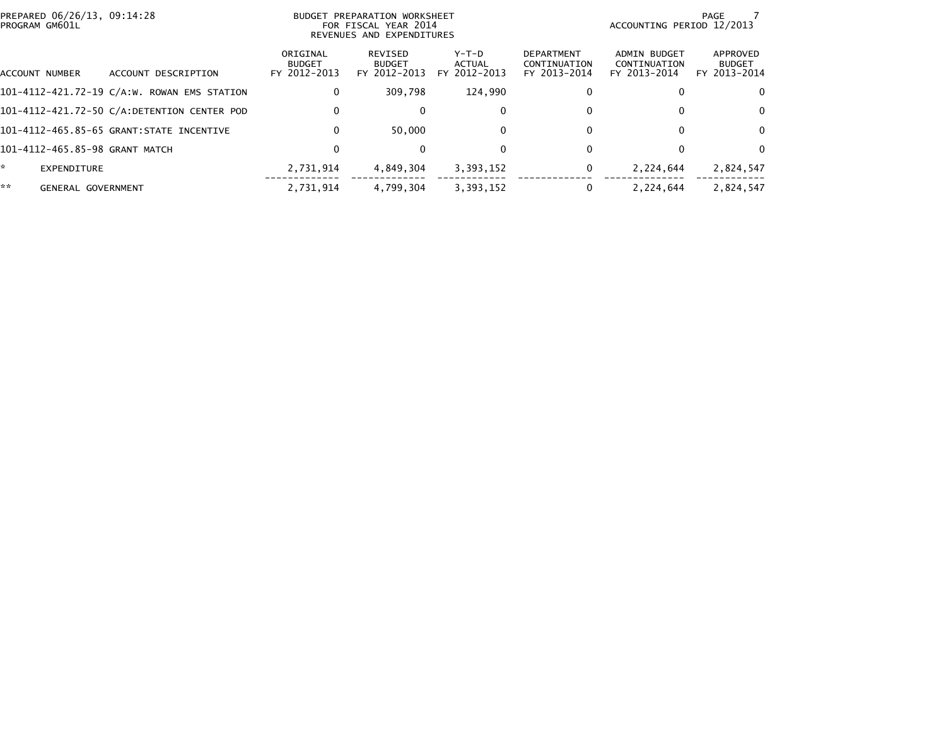| PROGRAM GM601L | PREPARED 06/26/13, 09:14:28                 | BUDGET PREPARATION WORKSHEET<br>FOR FISCAL YEAR 2014<br>REVENUES AND EXPENDITURES | PAGE<br>ACCOUNTING PERIOD 12/2013        |                                 |                                                   |                                              |                                           |
|----------------|---------------------------------------------|-----------------------------------------------------------------------------------|------------------------------------------|---------------------------------|---------------------------------------------------|----------------------------------------------|-------------------------------------------|
| ACCOUNT NUMBER | ACCOUNT DESCRIPTION                         | ORIGINAL<br><b>BUDGET</b><br>FY 2012-2013                                         | REVISED<br><b>BUDGET</b><br>FY 2012-2013 | Y-T-D<br>ACTUAL<br>FY 2012-2013 | <b>DEPARTMENT</b><br>CONTINUATION<br>FY 2013-2014 | ADMIN BUDGET<br>CONTINUATION<br>FY 2013-2014 | APPROVED<br><b>BUDGET</b><br>FY 2013-2014 |
|                | 101-4112-421.72-19 C/A:W. ROWAN EMS STATION | 0                                                                                 | 309.798                                  | 124,990                         | 0                                                 |                                              | 0                                         |
|                | 101-4112-421.72-50 C/A:DETENTION CENTER POD | 0                                                                                 | $\Omega$                                 | 0                               | 0                                                 |                                              | $\Omega$                                  |
|                | 101-4112-465.85-65 GRANT: STATE INCENTIVE   | $\mathbf{0}$                                                                      | 50.000                                   | 0                               | 0                                                 |                                              | $\Omega$                                  |
|                | 101-4112-465.85-98 GRANT MATCH              | 0                                                                                 |                                          |                                 | 0                                                 |                                              | $\Omega$                                  |
| EXPENDITURE    |                                             | 2.731.914                                                                         | 4,849,304                                | 3,393,152                       | 0                                                 | 2,224,644                                    | 2,824,547                                 |
| **             | <b>GENERAL GOVERNMENT</b>                   | 2.731.914                                                                         | 4.799.304                                | 3,393,152                       |                                                   | 2.224.644                                    | 2.824.547                                 |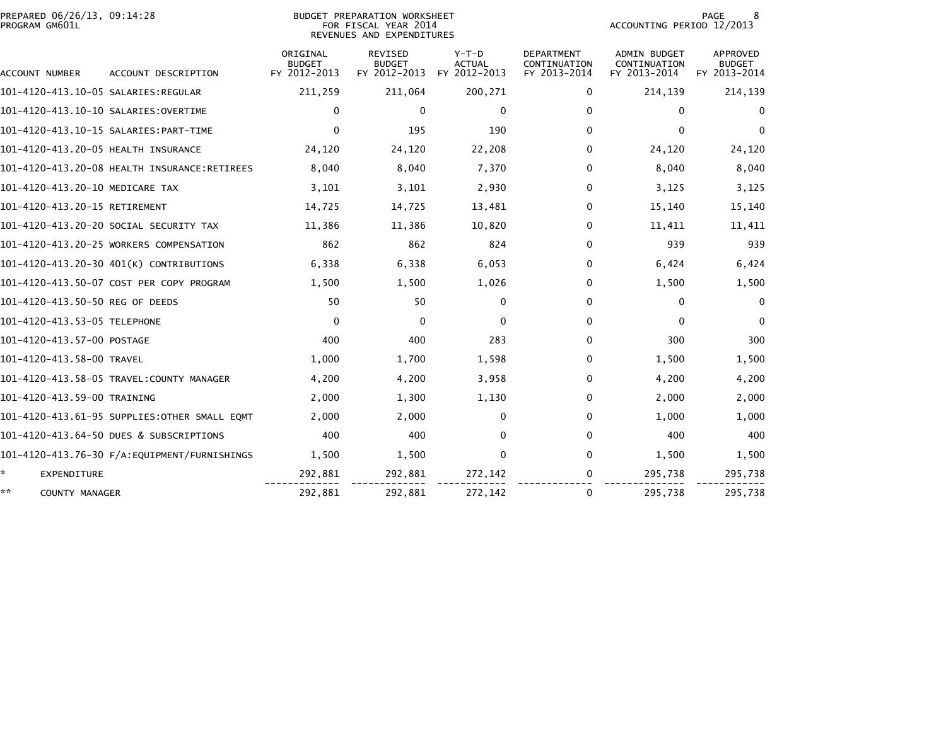| PROGRAM GM601L                       | PREPARED 06/26/13, 09:14:28<br><b>BUDGET PREPARATION WORKSHEET</b><br>FOR FISCAL YEAR 2014<br>REVENUES AND EXPENDITURES |                                           |                                                 |                                          |                                                   |                                                     | PAGE<br>8<br>ACCOUNTING PERIOD 12/2013    |  |  |
|--------------------------------------|-------------------------------------------------------------------------------------------------------------------------|-------------------------------------------|-------------------------------------------------|------------------------------------------|---------------------------------------------------|-----------------------------------------------------|-------------------------------------------|--|--|
| ACCOUNT NUMBER                       | ACCOUNT DESCRIPTION                                                                                                     | ORIGINAL<br><b>BUDGET</b><br>FY 2012-2013 | <b>REVISED</b><br><b>BUDGET</b><br>FY 2012-2013 | $Y-T-D$<br><b>ACTUAL</b><br>FY 2012-2013 | <b>DEPARTMENT</b><br>CONTINUATION<br>FY 2013-2014 | <b>ADMIN BUDGET</b><br>CONTINUATION<br>FY 2013-2014 | APPROVED<br><b>BUDGET</b><br>FY 2013-2014 |  |  |
|                                      |                                                                                                                         | 211,259                                   | 211,064                                         | 200,271                                  | 0                                                 | 214,139                                             | 214,139                                   |  |  |
| 101-4120-413.10-10 SALARIES:OVERTIME |                                                                                                                         | $\mathbf 0$                               | $\mathbf{0}$                                    | $\Omega$                                 | 0                                                 | $\Omega$                                            | $\bf{0}$                                  |  |  |
|                                      |                                                                                                                         | $\mathbf 0$                               | 195                                             | 190                                      | 0                                                 | $\Omega$                                            | $\Omega$                                  |  |  |
| 101-4120-413.20-05 HEALTH INSURANCE  |                                                                                                                         | 24,120                                    | 24,120                                          | 22,208                                   | 0                                                 | 24,120                                              | 24,120                                    |  |  |
|                                      | 101-4120-413.20-08 HEALTH INSURANCE:RETIREES                                                                            | 8,040                                     | 8,040                                           | 7,370                                    | 0                                                 | 8,040                                               | 8,040                                     |  |  |
| 101-4120-413.20-10 MEDICARE TAX      |                                                                                                                         | 3,101                                     | 3,101                                           | 2,930                                    | 0                                                 | 3,125                                               | 3,125                                     |  |  |
| 101-4120-413.20-15 RETIREMENT        |                                                                                                                         | 14,725                                    | 14,725                                          | 13,481                                   | 0                                                 | 15,140                                              | 15,140                                    |  |  |
|                                      | 101-4120-413.20-20 SOCIAL SECURITY TAX                                                                                  | 11,386                                    | 11,386                                          | 10,820                                   | 0                                                 | 11,411                                              | 11,411                                    |  |  |
|                                      | 101-4120-413.20-25 WORKERS COMPENSATION                                                                                 | 862                                       | 862                                             | 824                                      | 0                                                 | 939                                                 | 939                                       |  |  |
|                                      | 101-4120-413.20-30 401(K) CONTRIBUTIONS                                                                                 | 6,338                                     | 6,338                                           | 6,053                                    | 0                                                 | 6,424                                               | 6,424                                     |  |  |
|                                      | 101-4120-413.50-07 COST PER COPY PROGRAM                                                                                | 1,500                                     | 1,500                                           | 1,026                                    | 0                                                 | 1,500                                               | 1,500                                     |  |  |
| 101-4120-413.50-50 REG OF DEEDS      |                                                                                                                         | 50                                        | 50                                              | $\mathbf{0}$                             | $\Omega$                                          | $\Omega$                                            | $\mathbf{0}$                              |  |  |
| 101-4120-413.53-05 TELEPHONE         |                                                                                                                         | $\mathbf{0}$                              | $\Omega$                                        | $\Omega$                                 | 0                                                 | $\mathbf{0}$                                        | $\Omega$                                  |  |  |
| 101-4120-413.57-00 POSTAGE           |                                                                                                                         | 400                                       | 400                                             | 283                                      | 0                                                 | 300                                                 | 300                                       |  |  |
| 101-4120-413.58-00 TRAVEL            |                                                                                                                         | 1,000                                     | 1,700                                           | 1,598                                    | 0                                                 | 1,500                                               | 1,500                                     |  |  |
|                                      | 101-4120-413.58-05 TRAVEL:COUNTY MANAGER                                                                                | 4,200                                     | 4,200                                           | 3,958                                    | 0                                                 | 4,200                                               | 4,200                                     |  |  |
| 101-4120-413.59-00 TRAINING          |                                                                                                                         | 2,000                                     | 1,300                                           | 1,130                                    | 0                                                 | 2,000                                               | 2,000                                     |  |  |
|                                      | 101-4120-413.61-95 SUPPLIES:OTHER SMALL EQMT                                                                            | 2,000                                     | 2,000                                           | $\mathbf{0}$                             | $\Omega$                                          | 1,000                                               | 1,000                                     |  |  |
|                                      | 101-4120-413.64-50 DUES & SUBSCRIPTIONS                                                                                 | 400                                       | 400                                             | 0                                        | 0                                                 | 400                                                 | 400                                       |  |  |
|                                      |                                                                                                                         | 1,500                                     | 1,500                                           | 0                                        | $\Omega$                                          | 1,500                                               | 1,500                                     |  |  |
| ÷.<br><b>EXPENDITURE</b>             |                                                                                                                         | 292,881                                   | 292,881                                         | 272,142                                  | 0                                                 | 295,738                                             | 295,738                                   |  |  |
| **<br><b>COUNTY MANAGER</b>          |                                                                                                                         | 292,881                                   | 292,881                                         | 272,142                                  | 0                                                 | 295,738                                             | 295,738                                   |  |  |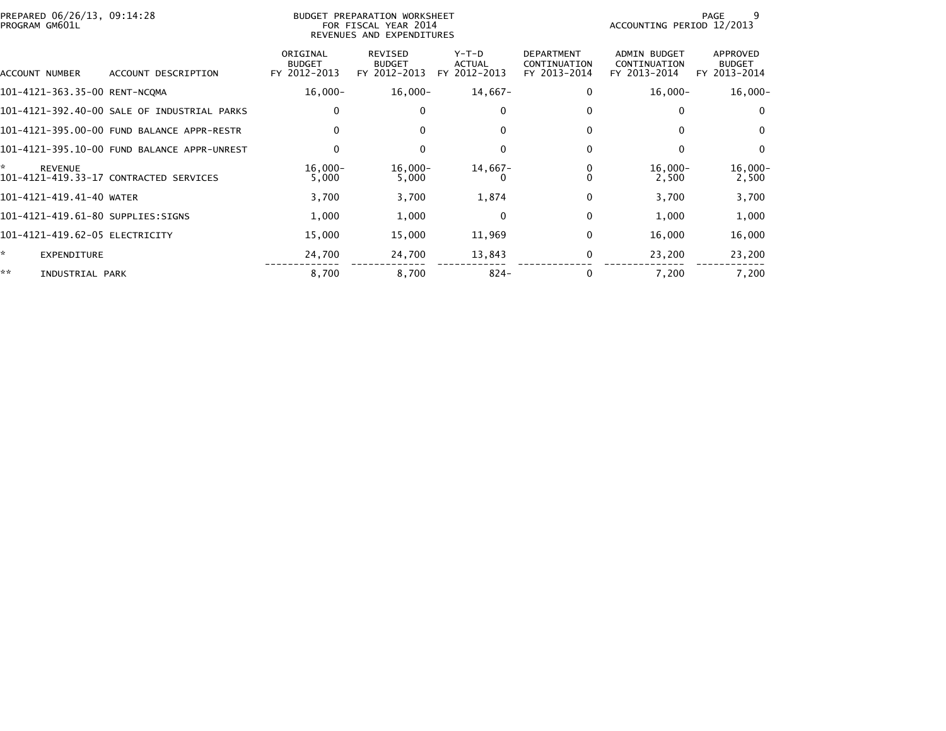| PREPARED 06/26/13, 09:14:28<br>PROGRAM GM601L |                                             |                                           | BUDGET PREPARATION WORKSHEET<br>FOR FISCAL YEAR 2014<br>REVENUES AND EXPENDITURES |                                          |                                                   | ACCOUNTING PERIOD 12/2013                           | 9<br>PAGE                                 |
|-----------------------------------------------|---------------------------------------------|-------------------------------------------|-----------------------------------------------------------------------------------|------------------------------------------|---------------------------------------------------|-----------------------------------------------------|-------------------------------------------|
| ACCOUNT NUMBER                                | ACCOUNT DESCRIPTION                         | ORIGINAL<br><b>BUDGET</b><br>FY 2012-2013 | REVISED<br><b>BUDGET</b><br>FY 2012-2013                                          | $Y-T-D$<br><b>ACTUAL</b><br>FY 2012-2013 | <b>DEPARTMENT</b><br>CONTINUATION<br>FY 2013-2014 | <b>ADMIN BUDGET</b><br>CONTINUATION<br>FY 2013-2014 | APPROVED<br><b>BUDGET</b><br>FY 2013-2014 |
| 101-4121-363.35-00 RENT-NCQMA                 |                                             | $16,000-$                                 | 16,000-                                                                           | 14,667-                                  | $\Omega$                                          | $16,000 -$                                          | $16,000-$                                 |
|                                               | 101-4121-392.40-00 SALE OF INDUSTRIAL PARKS | 0                                         | 0                                                                                 | 0                                        | 0                                                 |                                                     | $\mathbf 0$                               |
|                                               | 101-4121-395.00-00 FUND BALANCE APPR-RESTR  | $\Omega$                                  | $\Omega$                                                                          | $\Omega$                                 | $\Omega$                                          |                                                     | $\Omega$                                  |
|                                               | 101-4121-395.10-00 FUND BALANCE APPR-UNREST | 0                                         | $\mathbf{0}$                                                                      | $\mathbf{0}$                             | $\Omega$                                          | 0                                                   | $\Omega$                                  |
| ÷.<br><b>REVENUE</b>                          | 101-4121-419.33-17 CONTRACTED SERVICES      | $16,000 -$<br>5,000                       | $16,000-$<br>5,000                                                                | $14,667-$                                | 0                                                 | $16,000-$<br>2,500                                  | $16,000-$<br>2,500                        |
| 101-4121-419.41-40 WATER                      |                                             | 3,700                                     | 3,700                                                                             | 1,874                                    | 0                                                 | 3,700                                               | 3,700                                     |
| 101-4121-419.61-80 SUPPLIES:SIGNS             |                                             | 1,000                                     | 1,000                                                                             | $\Omega$                                 | $\mathbf{0}$                                      | 1,000                                               | 1,000                                     |
| 101-4121-419.62-05 ELECTRICITY                |                                             | 15,000                                    | 15,000                                                                            | 11,969                                   | $\mathbf{0}$                                      | 16,000                                              | 16,000                                    |
| *<br>EXPENDITURE                              |                                             | 24,700                                    | 24,700                                                                            | 13,843                                   | 0                                                 | 23,200                                              | 23,200                                    |
| **<br>INDUSTRIAL PARK                         |                                             | 8,700                                     | 8,700                                                                             | $824 -$                                  |                                                   | 7,200                                               | 7,200                                     |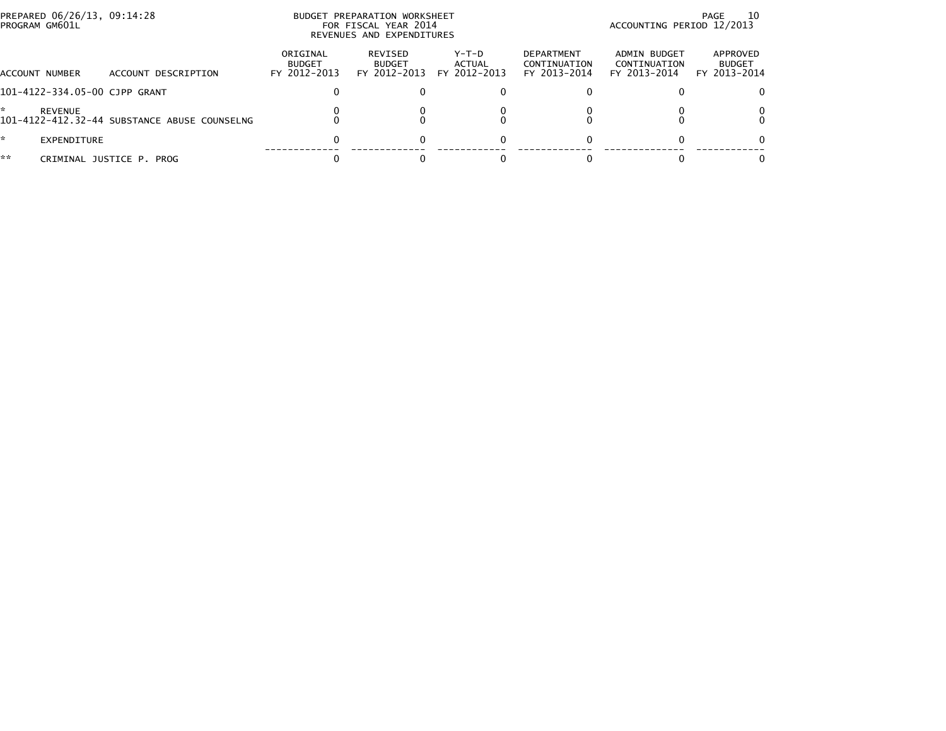| PROGRAM GM601L | PREPARED 06/26/13, 09:14:28 |                                              |                                           | BUDGET PREPARATION WORKSHEET<br>FOR FISCAL YEAR 2014<br>REVENUES AND EXPENDITURES | ACCOUNTING PERIOD 12/2013       | - 10<br>PAGE                                      |                                              |                                           |
|----------------|-----------------------------|----------------------------------------------|-------------------------------------------|-----------------------------------------------------------------------------------|---------------------------------|---------------------------------------------------|----------------------------------------------|-------------------------------------------|
| ACCOUNT NUMBER |                             | ACCOUNT DESCRIPTION                          | ORIGINAL<br><b>BUDGET</b><br>FY 2012-2013 | REVISED<br><b>BUDGET</b><br>FY 2012-2013                                          | Y-T-D<br>ACTUAL<br>FY 2012-2013 | <b>DEPARTMENT</b><br>CONTINUATION<br>FY 2013-2014 | ADMIN BUDGET<br>CONTINUATION<br>FY 2013-2014 | APPROVED<br><b>BUDGET</b><br>FY 2013-2014 |
|                |                             | 101-4122-334.05-00 CJPP GRANT                |                                           |                                                                                   |                                 |                                                   |                                              |                                           |
|                | <b>REVENUE</b>              | 101-4122-412.32-44 SUBSTANCE ABUSE COUNSELNG |                                           |                                                                                   |                                 |                                                   |                                              |                                           |
|                | EXPENDITURE                 |                                              | 0                                         |                                                                                   | 0                               |                                                   |                                              |                                           |
| **             |                             | CRIMINAL JUSTICE P. PROG                     |                                           |                                                                                   |                                 |                                                   |                                              |                                           |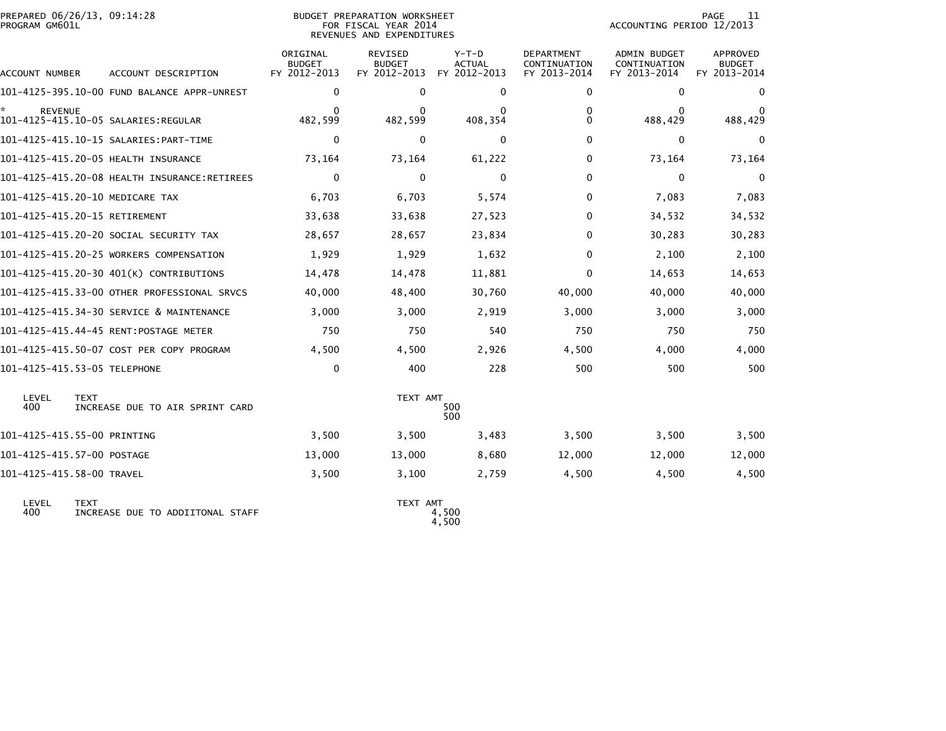| PROGRAM GM601L            | PREPARED 06/26/13, 09:14:28<br>BUDGET PREPARATION WORKSHEET<br>FOR FISCAL YEAR 2014<br>REVENUES AND EXPENDITURES |                                           |                                                 |                                          |                                                   |                                                     | 11<br>PAGE<br>ACCOUNTING PERIOD 12/2013          |  |  |
|---------------------------|------------------------------------------------------------------------------------------------------------------|-------------------------------------------|-------------------------------------------------|------------------------------------------|---------------------------------------------------|-----------------------------------------------------|--------------------------------------------------|--|--|
| ACCOUNT NUMBER            | ACCOUNT DESCRIPTION                                                                                              | ORIGINAL<br><b>BUDGET</b><br>FY 2012-2013 | <b>REVISED</b><br><b>BUDGET</b><br>FY 2012-2013 | $Y-T-D$<br><b>ACTUAL</b><br>FY 2012-2013 | <b>DEPARTMENT</b><br>CONTINUATION<br>FY 2013-2014 | <b>ADMIN BUDGET</b><br>CONTINUATION<br>FY 2013-2014 | <b>APPROVED</b><br><b>BUDGET</b><br>FY 2013-2014 |  |  |
|                           | 101-4125-395.10-00 FUND BALANCE APPR-UNREST                                                                      | 0                                         | 0                                               | 0                                        | 0                                                 | 0                                                   | 0                                                |  |  |
| <b>REVENUE</b>            | 101-4125-415.10-05 SALARIES:REGULAR                                                                              | 0<br>482,599                              | 0<br>482,599                                    | 0<br>408,354                             | 0<br>0                                            | 0<br>488,429                                        | 488,429                                          |  |  |
|                           |                                                                                                                  | 0                                         | 0                                               | $\mathbf{0}$                             | 0                                                 | 0                                                   | 0                                                |  |  |
|                           | 101-4125-415.20-05 HEALTH INSURANCE                                                                              | 73,164                                    | 73,164                                          | 61,222                                   | 0                                                 | 73,164                                              | 73,164                                           |  |  |
|                           |                                                                                                                  | $\mathbf 0$                               | 0                                               | 0                                        | 0                                                 | $\mathbf{0}$                                        | 0                                                |  |  |
|                           | 101-4125-415.20-10 MEDICARE TAX                                                                                  | 6,703                                     | 6,703                                           | 5,574                                    | 0                                                 | 7,083                                               | 7,083                                            |  |  |
|                           | 101-4125-415.20-15 RETIREMENT                                                                                    | 33,638                                    | 33,638                                          | 27,523                                   | 0                                                 | 34,532                                              | 34,532                                           |  |  |
|                           | 101–4125–415.20–20 SOCIAL SECURITY TAX                                                                           | 28,657                                    | 28,657                                          | 23,834                                   | 0                                                 | 30,283                                              | 30,283                                           |  |  |
|                           | 101-4125-415.20-25 WORKERS COMPENSATION                                                                          | 1,929                                     | 1,929                                           | 1,632                                    | 0                                                 | 2,100                                               | 2,100                                            |  |  |
|                           | 101-4125-415.20-30 401(K) CONTRIBUTIONS                                                                          | 14,478                                    | 14,478                                          | 11,881                                   | 0                                                 | 14,653                                              | 14,653                                           |  |  |
|                           | 101-4125-415.33-00 OTHER PROFESSIONAL SRVCS                                                                      | 40,000                                    | 48,400                                          | 30,760                                   | 40,000                                            | 40,000                                              | 40,000                                           |  |  |
|                           | 101-4125-415.34-30 SERVICE & MAINTENANCE                                                                         | 3,000                                     | 3,000                                           | 2,919                                    | 3,000                                             | 3,000                                               | 3,000                                            |  |  |
|                           | 101-4125-415.44-45 RENT:POSTAGE METER                                                                            | 750                                       | 750                                             | 540                                      | 750                                               | 750                                                 | 750                                              |  |  |
|                           | 101-4125-415.50-07 COST PER COPY PROGRAM                                                                         | 4,500                                     | 4,500                                           | 2,926                                    | 4,500                                             | 4,000                                               | 4,000                                            |  |  |
|                           | 101-4125-415.53-05 TELEPHONE                                                                                     | $\mathbf 0$                               | 400                                             | 228                                      | 500                                               | 500                                                 | 500                                              |  |  |
| LEVEL<br>400              | <b>TEXT</b><br>INCREASE DUE TO AIR SPRINT CARD                                                                   |                                           | TEXT AMT                                        | 500<br>500                               |                                                   |                                                     |                                                  |  |  |
|                           | 101-4125-415.55-00 PRINTING                                                                                      | 3,500                                     | 3,500                                           | 3,483                                    | 3,500                                             | 3,500                                               | 3,500                                            |  |  |
|                           | 101-4125-415.57-00 POSTAGE                                                                                       | 13,000                                    | 13,000                                          | 8,680                                    | 12,000                                            | 12,000                                              | 12,000                                           |  |  |
| 101-4125-415.58-00 TRAVEL |                                                                                                                  | 3,500                                     | 3,100                                           | 2,759                                    | 4,500                                             | 4,500                                               | 4,500                                            |  |  |
| LEVEL<br>400              | <b>TEXT</b><br>INCREASE DUE TO ADDIITONAL STAFF                                                                  |                                           | TEXT AMT                                        | 4,500                                    |                                                   |                                                     |                                                  |  |  |

4,500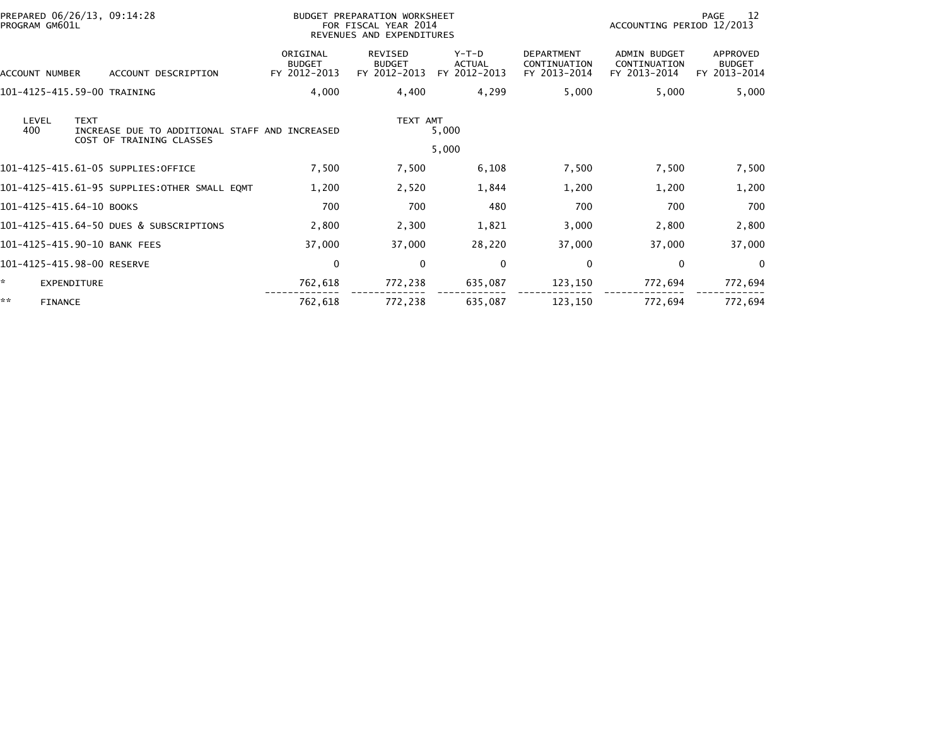| PREPARED 06/26/13, 09:14:28<br>PROGRAM GM601L                                                             |                                           | BUDGET PREPARATION WORKSHEET<br>FOR FISCAL YEAR 2014<br>REVENUES AND EXPENDITURES |                                          | PAGE<br>12<br>ACCOUNTING PERIOD 12/2013           |                                                     |                                           |
|-----------------------------------------------------------------------------------------------------------|-------------------------------------------|-----------------------------------------------------------------------------------|------------------------------------------|---------------------------------------------------|-----------------------------------------------------|-------------------------------------------|
| ACCOUNT DESCRIPTION<br>ACCOUNT NUMBER                                                                     | ORIGINAL<br><b>BUDGET</b><br>FY 2012-2013 | <b>REVISED</b><br><b>BUDGET</b><br>FY 2012-2013                                   | $Y-T-D$<br><b>ACTUAL</b><br>FY 2012-2013 | <b>DEPARTMENT</b><br>CONTINUATION<br>FY 2013-2014 | <b>ADMIN BUDGET</b><br>CONTINUATION<br>FY 2013-2014 | APPROVED<br><b>BUDGET</b><br>FY 2013-2014 |
| 101-4125-415.59-00 TRAINING                                                                               | 4,000                                     | 4,400                                                                             | 4,299                                    | 5,000                                             | 5,000                                               | 5,000                                     |
| <b>TEXT</b><br>LEVEL<br>400<br>INCREASE DUE TO ADDITIONAL STAFF AND INCREASED<br>COST OF TRAINING CLASSES |                                           | TEXT AMT                                                                          | 5,000                                    |                                                   |                                                     |                                           |
|                                                                                                           |                                           |                                                                                   | 5,000                                    |                                                   |                                                     |                                           |
| 101-4125-415.61-05 SUPPLIES:OFFICE                                                                        | 7,500                                     | 7,500                                                                             | 6,108                                    | 7,500                                             | 7,500                                               | 7,500                                     |
| 101-4125-415.61-95 SUPPLIES:OTHER SMALL EQMT                                                              | 1,200                                     | 2,520                                                                             | 1,844                                    | 1,200                                             | 1,200                                               | 1,200                                     |
| 101-4125-415.64-10 BOOKS                                                                                  | 700                                       | 700                                                                               | 480                                      | 700                                               | 700                                                 | 700                                       |
| 101-4125-415.64-50 DUES & SUBSCRIPTIONS                                                                   | 2,800                                     | 2,300                                                                             | 1,821                                    | 3,000                                             | 2,800                                               | 2,800                                     |
| 101-4125-415.90-10 BANK FEES                                                                              | 37,000                                    | 37,000                                                                            | 28,220                                   | 37,000                                            | 37,000                                              | 37,000                                    |
| 101-4125-415.98-00 RESERVE                                                                                | 0                                         | $\mathbf{0}$                                                                      | $\mathbf 0$                              | 0                                                 | 0                                                   | $\Omega$                                  |
| <b>EXPENDITURE</b>                                                                                        | 762,618                                   | 772,238                                                                           | 635,087                                  | 123,150                                           | 772,694                                             | 772,694                                   |
| **<br><b>FINANCE</b>                                                                                      | 762,618                                   | 772,238                                                                           | 635,087                                  | 123,150                                           | 772,694                                             | 772,694                                   |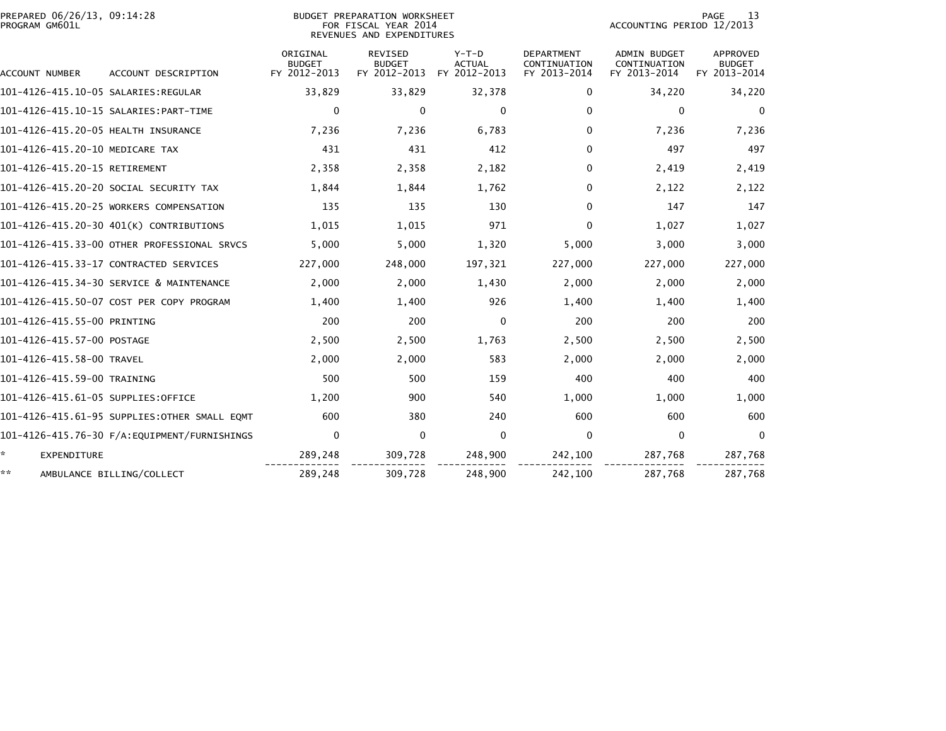| PREPARED 06/26/13, 09:14:28<br>PROGRAM GM601L |                                              |                           | BUDGET PREPARATION WORKSHEET<br>FOR FISCAL YEAR 2014<br>REVENUES AND EXPENDITURES |                          |                                   |                              | <b>PAGE</b><br>13<br>ACCOUNTING PERIOD 12/2013 |  |  |
|-----------------------------------------------|----------------------------------------------|---------------------------|-----------------------------------------------------------------------------------|--------------------------|-----------------------------------|------------------------------|------------------------------------------------|--|--|
|                                               |                                              | ORIGINAL<br><b>BUDGET</b> | <b>REVISED</b><br><b>BUDGET</b>                                                   | $Y-T-D$<br><b>ACTUAL</b> | <b>DEPARTMENT</b><br>CONTINUATION | ADMIN BUDGET<br>CONTINUATION | <b>APPROVED</b><br><b>BUDGET</b>               |  |  |
| ACCOUNT NUMBER                                | ACCOUNT DESCRIPTION                          | FY 2012-2013              | FY 2012-2013                                                                      | FY 2012-2013             | FY 2013-2014                      | FY 2013-2014                 | FY 2013-2014                                   |  |  |
|                                               |                                              | 33,829                    | 33,829                                                                            | 32,378                   | 0                                 | 34,220                       | 34,220                                         |  |  |
|                                               |                                              | 0                         | $\Omega$                                                                          | $\Omega$                 | $\Omega$                          | $\mathbf{0}$                 | $\mathbf{0}$                                   |  |  |
| 101-4126-415.20-05 HEALTH INSURANCE           |                                              | 7,236                     | 7,236                                                                             | 6,783                    | $\Omega$                          | 7,236                        | 7,236                                          |  |  |
| 101-4126-415.20-10 MEDICARE TAX               |                                              | 431                       | 431                                                                               | 412                      | 0                                 | 497                          | 497                                            |  |  |
| 101-4126-415.20-15 RETIREMENT                 |                                              | 2,358                     | 2,358                                                                             | 2,182                    | 0                                 | 2,419                        | 2,419                                          |  |  |
| 101–4126–415.20–20 SOCIAL SECURITY TAX        |                                              | 1,844                     | 1,844                                                                             | 1,762                    | 0                                 | 2,122                        | 2,122                                          |  |  |
| 101-4126-415.20-25 WORKERS COMPENSATION       |                                              | 135                       | 135                                                                               | 130                      | 0                                 | 147                          | 147                                            |  |  |
| 101-4126-415.20-30 401(K) CONTRIBUTIONS       |                                              | 1,015                     | 1,015                                                                             | 971                      | 0                                 | 1,027                        | 1,027                                          |  |  |
|                                               | 101-4126-415.33-00 OTHER PROFESSIONAL SRVCS  | 5,000                     | 5,000                                                                             | 1,320                    | 5,000                             | 3,000                        | 3,000                                          |  |  |
| 101-4126-415.33-17 CONTRACTED SERVICES        |                                              | 227,000                   | 248,000                                                                           | 197,321                  | 227,000                           | 227,000                      | 227,000                                        |  |  |
|                                               | 101-4126-415.34-30 SERVICE & MAINTENANCE     | 2,000                     | 2,000                                                                             | 1,430                    | 2,000                             | 2,000                        | 2,000                                          |  |  |
|                                               | 101-4126-415.50-07 COST PER COPY PROGRAM     | 1,400                     | 1,400                                                                             | 926                      | 1,400                             | 1,400                        | 1,400                                          |  |  |
| 101-4126-415.55-00 PRINTING                   |                                              | 200                       | 200                                                                               | $\Omega$                 | 200                               | 200                          | 200                                            |  |  |
| 101–4126–415.57–00 POSTAGE                    |                                              | 2,500                     | 2,500                                                                             | 1,763                    | 2,500                             | 2,500                        | 2,500                                          |  |  |
| 101-4126-415.58-00 TRAVEL                     |                                              | 2,000                     | 2,000                                                                             | 583                      | 2,000                             | 2,000                        | 2,000                                          |  |  |
| 101-4126-415.59-00 TRAINING                   |                                              | 500                       | 500                                                                               | 159                      | 400                               | 400                          | 400                                            |  |  |
| 101-4126-415.61-05 SUPPLIES:OFFICE            |                                              | 1,200                     | 900                                                                               | 540                      | 1,000                             | 1,000                        | 1,000                                          |  |  |
|                                               | 101-4126-415.61-95 SUPPLIES:OTHER SMALL EOMT | 600                       | 380                                                                               | 240                      | 600                               | 600                          | 600                                            |  |  |
|                                               | 101-4126-415.76-30 F/A:EQUIPMENT/FURNISHINGS | $\mathbf 0$               | $\mathbf 0$                                                                       | $\mathbf 0$              | $\Omega$                          | $\mathbf 0$                  | $\mathbf{0}$                                   |  |  |
| ÷.<br><b>EXPENDITURE</b>                      |                                              | 289,248                   | 309,728                                                                           | 248,900                  | 242,100                           | 287,768                      | 287,768                                        |  |  |
| **<br>AMBULANCE BILLING/COLLECT               |                                              | 289,248                   | 309,728                                                                           | 248,900                  | 242,100                           | 287,768                      | 287,768                                        |  |  |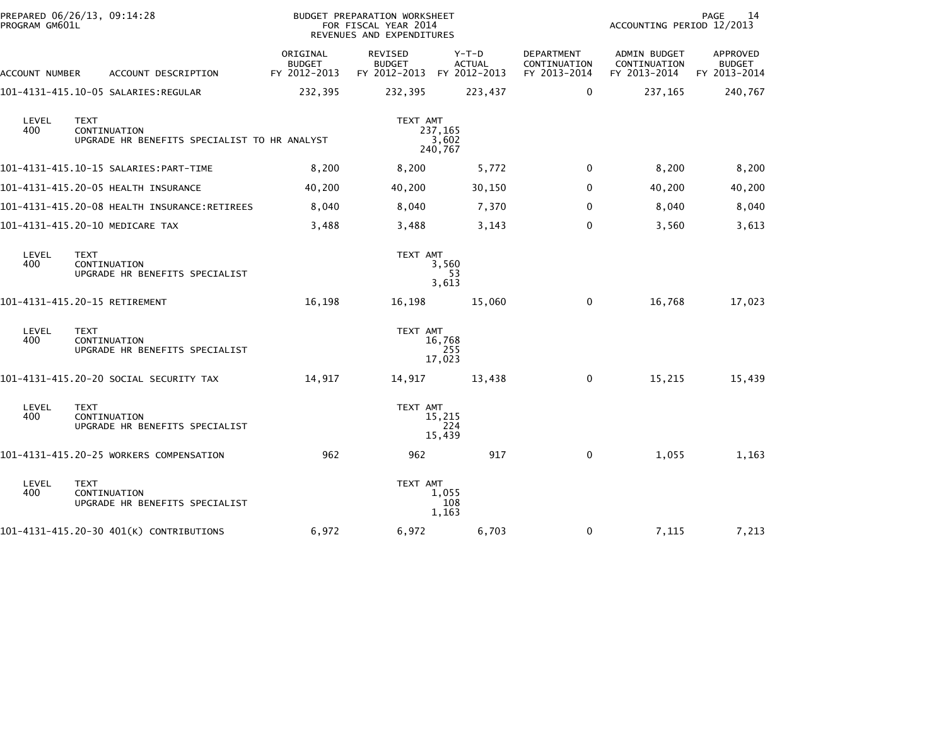| PROGRAM GM601L | PREPARED 06/26/13, 09:14:28                                                 |                                           | BUDGET PREPARATION WORKSHEET<br>FOR FISCAL YEAR 2014<br>REVENUES AND EXPENDITURES |                             |                                            | ACCOUNTING PERIOD 12/2013                    | PAGE<br>14                                |
|----------------|-----------------------------------------------------------------------------|-------------------------------------------|-----------------------------------------------------------------------------------|-----------------------------|--------------------------------------------|----------------------------------------------|-------------------------------------------|
| ACCOUNT NUMBER | ACCOUNT DESCRIPTION                                                         | ORIGINAL<br><b>BUDGET</b><br>FY 2012-2013 | REVISED<br><b>BUDGET</b><br>FY 2012-2013 FY 2012-2013                             | $Y-T-D$<br><b>ACTUAL</b>    | DEPARTMENT<br>CONTINUATION<br>FY 2013-2014 | ADMIN BUDGET<br>CONTINUATION<br>FY 2013-2014 | APPROVED<br><b>BUDGET</b><br>FY 2013-2014 |
|                | 101–4131–415.10–05 SALARIES:REGULAR                                         | 232,395                                   | 232,395                                                                           | 223,437                     | 0                                          | 237,165                                      | 240,767                                   |
| LEVEL<br>400   | <b>TEXT</b><br>CONTINUATION<br>UPGRADE HR BENEFITS SPECIALIST TO HR ANALYST |                                           | TEXT AMT                                                                          | 237,165<br>3,602<br>240,767 |                                            |                                              |                                           |
|                |                                                                             | 8,200                                     | 8,200                                                                             | 5,772                       | 0                                          | 8,200                                        | 8,200                                     |
|                | 101-4131-415.20-05 HEALTH INSURANCE                                         | 40,200                                    | 40,200                                                                            | 30,150                      | 0                                          | 40,200                                       | 40,200                                    |
|                |                                                                             | 8,040                                     | 8,040                                                                             | 7,370                       | 0                                          | 8,040                                        | 8,040                                     |
|                | 101-4131-415.20-10 MEDICARE TAX                                             | 3,488                                     | 3,488                                                                             | 3,143                       | $\Omega$                                   | 3,560                                        | 3,613                                     |
| LEVEL<br>400   | <b>TEXT</b><br>CONTINUATION<br>UPGRADE HR BENEFITS SPECIALIST               |                                           | TEXT AMT                                                                          | 3,560<br>53<br>3,613        |                                            |                                              |                                           |
|                | 101-4131-415.20-15 RETIREMENT                                               | 16,198                                    | 16,198                                                                            | 15,060                      | 0                                          | 16,768                                       | 17,023                                    |
| LEVEL<br>400   | <b>TEXT</b><br>CONTINUATION<br>UPGRADE HR BENEFITS SPECIALIST               |                                           | TEXT AMT                                                                          | 16,768<br>255<br>17,023     |                                            |                                              |                                           |
|                | 101–4131–415.20–20 SOCIAL SECURITY TAX                                      | 14,917                                    | 14,917                                                                            | 13,438                      | 0                                          | 15,215                                       | 15,439                                    |
| LEVEL<br>400   | <b>TEXT</b><br>CONTINUATION<br>UPGRADE HR BENEFITS SPECIALIST               |                                           | TEXT AMT                                                                          | 15,215<br>224<br>15,439     |                                            |                                              |                                           |
|                | 101-4131-415.20-25 WORKERS COMPENSATION                                     | 962                                       | 962                                                                               | 917                         | $\mathbf{0}$                               | 1,055                                        | 1,163                                     |
| LEVEL<br>400   | <b>TEXT</b><br>CONTINUATION<br>UPGRADE HR BENEFITS SPECIALIST               |                                           | TEXT AMT                                                                          | 1,055<br>108<br>1,163       |                                            |                                              |                                           |
|                | 101-4131-415.20-30 401(K) CONTRIBUTIONS                                     | 6,972                                     | 6,972                                                                             | 6,703                       | 0                                          | 7,115                                        | 7,213                                     |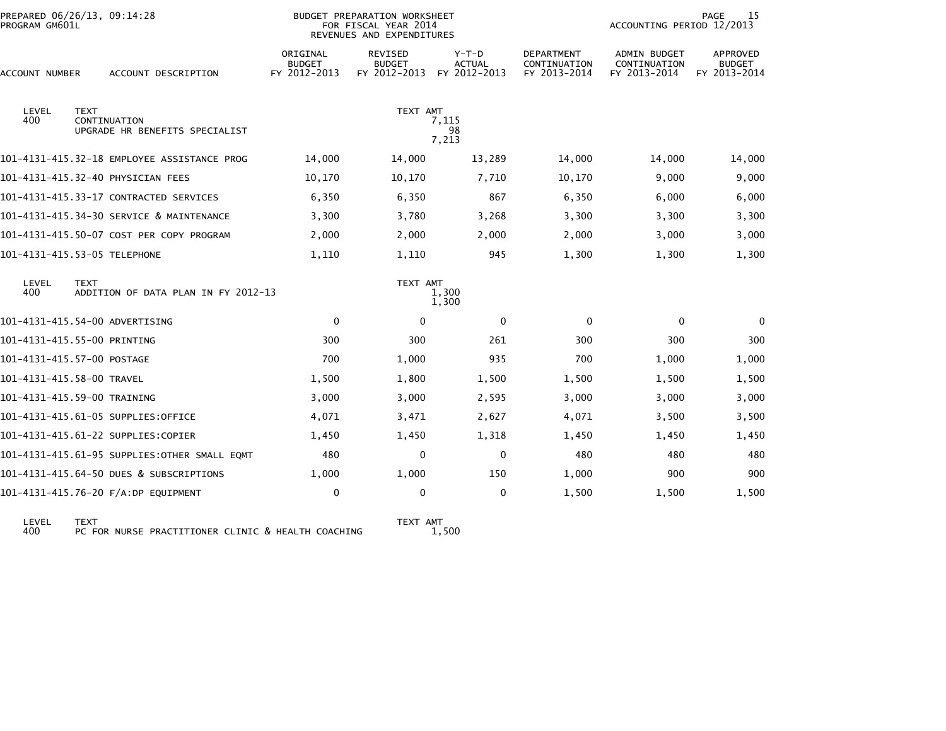| PREPARED 06/26/13, 09:14:28<br>PROGRAM GM601L |             |                                                |                                           | BUDGET PREPARATION WORKSHEET<br>FOR FISCAL YEAR 2014<br>REVENUES AND EXPENDITURES |                                   |                                                   | <b>PAGE</b><br>15<br>ACCOUNTING PERIOD 12/2013      |                                                  |  |  |
|-----------------------------------------------|-------------|------------------------------------------------|-------------------------------------------|-----------------------------------------------------------------------------------|-----------------------------------|---------------------------------------------------|-----------------------------------------------------|--------------------------------------------------|--|--|
| ACCOUNT NUMBER                                |             | ACCOUNT DESCRIPTION                            | ORIGINAL<br><b>BUDGET</b><br>FY 2012-2013 | <b>REVISED</b><br><b>BUDGET</b><br>FY 2012-2013                                   | $Y-T-D$<br>ACTUAL<br>FY 2012-2013 | <b>DEPARTMENT</b><br>CONTINUATION<br>FY 2013-2014 | <b>ADMIN BUDGET</b><br>CONTINUATION<br>FY 2013-2014 | <b>APPROVED</b><br><b>BUDGET</b><br>FY 2013-2014 |  |  |
| LEVEL<br>400                                  | <b>TEXT</b> | CONTINUATION<br>UPGRADE HR BENEFITS SPECIALIST |                                           | TEXT AMT                                                                          | 7,115<br>98<br>7,213              |                                                   |                                                     |                                                  |  |  |
|                                               |             | 101-4131-415.32-18 EMPLOYEE ASSISTANCE PROG    | 14,000                                    | 14,000                                                                            | 13,289                            | 14,000                                            | 14,000                                              | 14,000                                           |  |  |
|                                               |             | 101-4131-415.32-40 PHYSICIAN FEES              | 10,170                                    | 10,170                                                                            | 7.710                             | 10,170                                            | 9,000                                               | 9,000                                            |  |  |
|                                               |             | 101-4131-415.33-17 CONTRACTED SERVICES         | 6,350                                     | 6,350                                                                             | 867                               | 6,350                                             | 6,000                                               | 6,000                                            |  |  |
|                                               |             | 101-4131-415.34-30 SERVICE & MAINTENANCE       | 3,300                                     | 3,780                                                                             | 3,268                             | 3,300                                             | 3,300                                               | 3,300                                            |  |  |
|                                               |             | 101-4131-415.50-07 COST PER COPY PROGRAM       | 2,000                                     | 2,000                                                                             | 2,000                             | 2,000                                             | 3,000                                               | 3,000                                            |  |  |
| 101-4131-415.53-05 TELEPHONE                  |             |                                                | 1,110                                     | 1,110                                                                             | 945                               | 1,300                                             | 1,300                                               | 1,300                                            |  |  |
| LEVEL<br>400                                  | <b>TEXT</b> | ADDITION OF DATA PLAN IN FY 2012-13            |                                           | TEXT AMT                                                                          | 1,300<br>1,300                    |                                                   |                                                     |                                                  |  |  |
| 101-4131-415.54-00 ADVERTISING                |             |                                                | $\mathbf 0$                               | $\Omega$                                                                          | $\mathbf{0}$                      | $\mathbf{0}$                                      | $\mathbf{0}$                                        | $\mathbf{0}$                                     |  |  |
| 101-4131-415.55-00 PRINTING                   |             |                                                | 300                                       | 300                                                                               | 261                               | 300                                               | 300                                                 | 300                                              |  |  |
| 101-4131-415.57-00 POSTAGE                    |             |                                                | 700                                       | 1,000                                                                             | 935                               | 700                                               | 1,000                                               | 1,000                                            |  |  |
| 101-4131-415.58-00 TRAVEL                     |             |                                                | 1,500                                     | 1,800                                                                             | 1,500                             | 1,500                                             | 1,500                                               | 1,500                                            |  |  |
| 101-4131-415.59-00 TRAINING                   |             |                                                | 3,000                                     | 3,000                                                                             | 2,595                             | 3,000                                             | 3,000                                               | 3,000                                            |  |  |
|                                               |             | 101-4131-415.61-05 SUPPLIES:OFFICE             | 4,071                                     | 3,471                                                                             | 2,627                             | 4,071                                             | 3,500                                               | 3,500                                            |  |  |
|                                               |             | 101-4131-415.61-22 SUPPLIES:COPIER             | 1,450                                     | 1,450                                                                             | 1,318                             | 1,450                                             | 1,450                                               | 1,450                                            |  |  |
|                                               |             | 101-4131-415.61-95 SUPPLIES:OTHER SMALL EQMT   | 480                                       | 0                                                                                 | $\mathbf{0}$                      | 480                                               | 480                                                 | 480                                              |  |  |
|                                               |             | 101-4131-415.64-50 DUES & SUBSCRIPTIONS        | 1,000                                     | 1,000                                                                             | 150                               | 1,000                                             | 900                                                 | 900                                              |  |  |
|                                               |             | 101-4131-415.76-20 F/A:DP EQUIPMENT            | 0                                         | $\mathbf 0$                                                                       | $\mathbf 0$                       | 1,500                                             | 1,500                                               | 1,500                                            |  |  |
|                                               |             |                                                |                                           |                                                                                   |                                   |                                                   |                                                     |                                                  |  |  |

LEVEL TEXT TEXT AMT 400 PC FOR NURSE PRACTITIONER CLINIC & HEALTH COACHING 1,500

TEXT AMT<br>1,500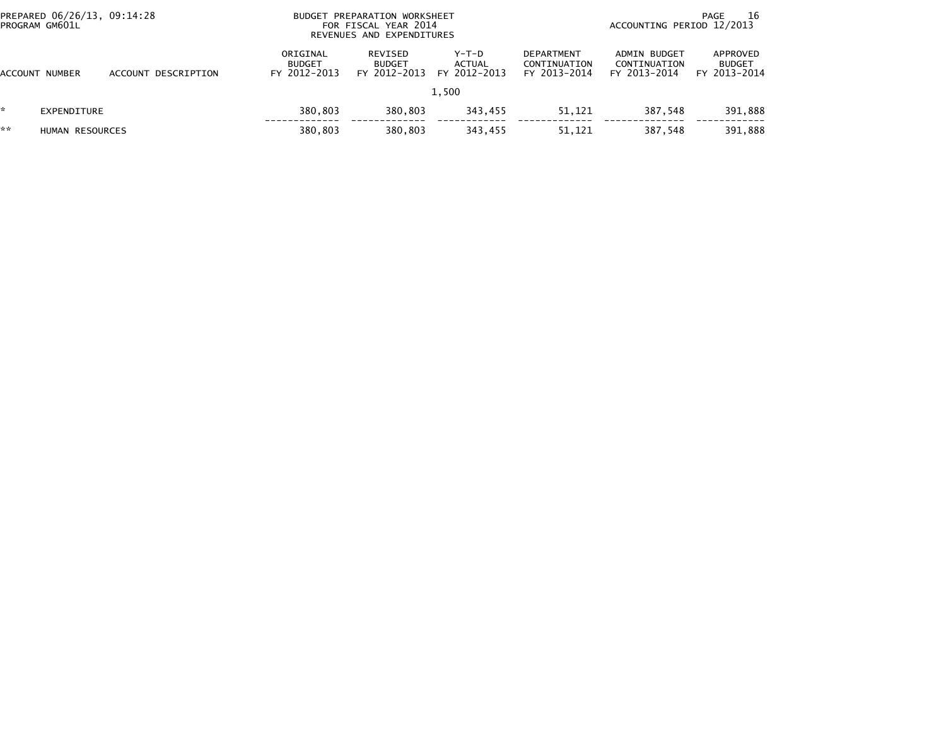| PROGRAM GM601L | PREPARED 06/26/13, 09:14:28 |                     |                                           | BUDGET PREPARATION WORKSHEET<br>FOR FISCAL YEAR 2014<br>REVENUES AND EXPENDITURES |                                          |                                                   |                                              | 16<br>PAGE<br>ACCOUNTING PERIOD 12/2013   |  |  |
|----------------|-----------------------------|---------------------|-------------------------------------------|-----------------------------------------------------------------------------------|------------------------------------------|---------------------------------------------------|----------------------------------------------|-------------------------------------------|--|--|
| ACCOUNT NUMBER |                             | ACCOUNT DESCRIPTION | ORIGINAL<br><b>BUDGET</b><br>FY 2012-2013 | REVISED<br><b>BUDGET</b><br>FY 2012-2013                                          | $Y-T-D$<br><b>ACTUAL</b><br>FY 2012-2013 | <b>DEPARTMENT</b><br>CONTINUATION<br>FY 2013-2014 | ADMIN BUDGET<br>CONTINUATION<br>FY 2013-2014 | APPROVED<br><b>BUDGET</b><br>FY 2013-2014 |  |  |
|                |                             |                     |                                           |                                                                                   | 1.500                                    |                                                   |                                              |                                           |  |  |
|                | EXPENDITURE                 |                     | 380.803                                   | 380,803                                                                           | 343,455                                  | 51,121                                            | 387,548                                      | 391,888                                   |  |  |
| **             | HUMAN RESOURCES             |                     | 380.803                                   | 380,803                                                                           | 343,455                                  | 51,121                                            | 387.548                                      | 391,888                                   |  |  |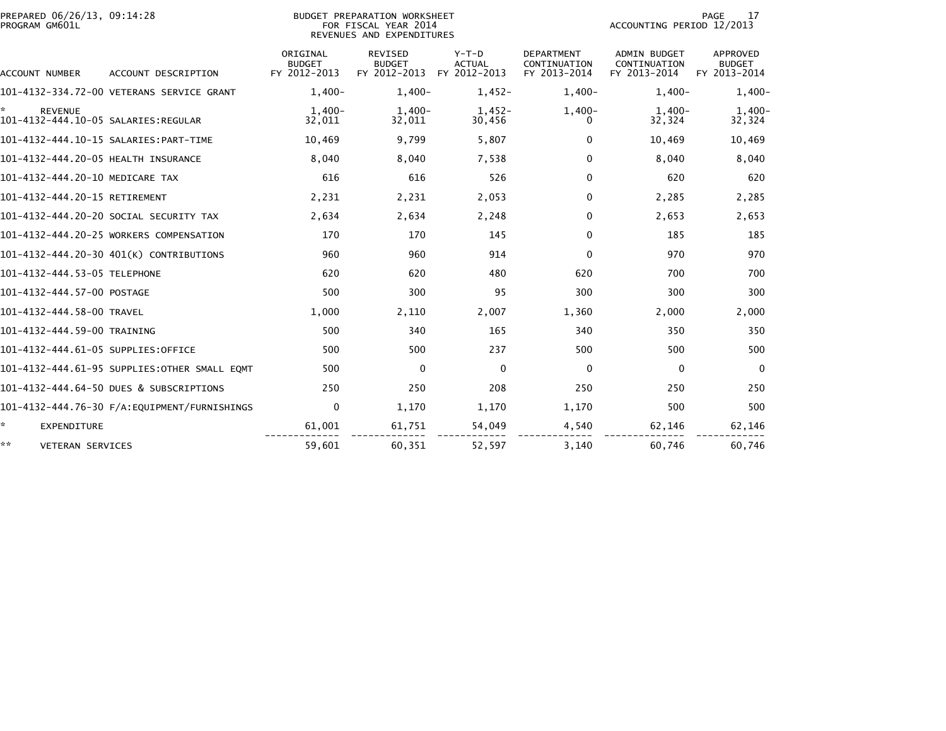| PREPARED 06/26/13, 09:14:28<br>PROGRAM GM601L |                                              |                                           | <b>BUDGET PREPARATION WORKSHEET</b><br>FOR FISCAL YEAR 2014<br>REVENUES AND EXPENDITURES |                                        |                                                   | PAGE<br>17<br>ACCOUNTING PERIOD 12/2013             |                                           |  |
|-----------------------------------------------|----------------------------------------------|-------------------------------------------|------------------------------------------------------------------------------------------|----------------------------------------|---------------------------------------------------|-----------------------------------------------------|-------------------------------------------|--|
| ACCOUNT NUMBER                                | ACCOUNT DESCRIPTION                          | ORIGINAL<br><b>BUDGET</b><br>FY 2012-2013 | <b>REVISED</b><br><b>BUDGET</b><br>FY 2012-2013                                          | Y-T-D<br><b>ACTUAL</b><br>FY 2012-2013 | <b>DEPARTMENT</b><br>CONTINUATION<br>FY 2013-2014 | <b>ADMIN BUDGET</b><br>CONTINUATION<br>FY 2013-2014 | APPROVED<br><b>BUDGET</b><br>FY 2013-2014 |  |
|                                               | 101-4132-334.72-00 VETERANS SERVICE GRANT    | $1.400 -$                                 | $1.400 -$                                                                                | $1.452 -$                              | $1.400 -$                                         | $1.400 -$                                           | $1,400-$                                  |  |
| ×.<br><b>REVENUE</b>                          |                                              | $1.400 -$<br>32,011                       | $1.400 -$<br>32,011                                                                      | $1.452 -$<br>30,456                    | $1,400-$<br>0                                     | $1.400 -$<br>32,324                                 | $1,400-$<br>32,324                        |  |
|                                               |                                              | 10,469                                    | 9,799                                                                                    | 5,807                                  | 0                                                 | 10,469                                              | 10,469                                    |  |
| 101-4132-444.20-05 HEALTH INSURANCE           |                                              | 8,040                                     | 8,040                                                                                    | 7,538                                  | 0                                                 | 8,040                                               | 8,040                                     |  |
| 101-4132-444.20-10 MEDICARE TAX               |                                              | 616                                       | 616                                                                                      | 526                                    | $\Omega$                                          | 620                                                 | 620                                       |  |
| 101-4132-444.20-15 RETIREMENT                 |                                              | 2,231                                     | 2,231                                                                                    | 2,053                                  | 0                                                 | 2,285                                               | 2,285                                     |  |
|                                               | 101-4132-444.20-20 SOCIAL SECURITY TAX       | 2,634                                     | 2,634                                                                                    | 2,248                                  | $\Omega$                                          | 2,653                                               | 2,653                                     |  |
|                                               | 101-4132-444.20-25 WORKERS COMPENSATION      | 170                                       | 170                                                                                      | 145                                    | $\Omega$                                          | 185                                                 | 185                                       |  |
|                                               | 101-4132-444.20-30 401(K) CONTRIBUTIONS      | 960                                       | 960                                                                                      | 914                                    | $\Omega$                                          | 970                                                 | 970                                       |  |
| 101-4132-444.53-05 TELEPHONE                  |                                              | 620                                       | 620                                                                                      | 480                                    | 620                                               | 700                                                 | 700                                       |  |
| 101-4132-444.57-00 POSTAGE                    |                                              | 500                                       | 300                                                                                      | 95                                     | 300                                               | 300                                                 | 300                                       |  |
| 101-4132-444.58-00 TRAVEL                     |                                              | 1,000                                     | 2,110                                                                                    | 2,007                                  | 1,360                                             | 2,000                                               | 2,000                                     |  |
| 101-4132-444.59-00 TRAINING                   |                                              | 500                                       | 340                                                                                      | 165                                    | 340                                               | 350                                                 | 350                                       |  |
| 101-4132-444.61-05 SUPPLIES:OFFICE            |                                              | 500                                       | 500                                                                                      | 237                                    | 500                                               | 500                                                 | 500                                       |  |
|                                               | 101-4132-444.61-95 SUPPLIES:OTHER SMALL EOMT | 500                                       | $\mathbf{0}$                                                                             | $\mathbf 0$                            | $\mathbf{0}$                                      | $\mathbf{0}$                                        | $\mathbf{0}$                              |  |
|                                               | 101-4132-444.64-50 DUES & SUBSCRIPTIONS      | 250                                       | 250                                                                                      | 208                                    | 250                                               | 250                                                 | 250                                       |  |
|                                               |                                              | $\mathbf 0$                               | 1,170                                                                                    | 1,170                                  | 1,170                                             | 500                                                 | 500                                       |  |
| *.<br><b>EXPENDITURE</b>                      |                                              | 61,001                                    | 61,751                                                                                   | 54,049                                 | 4,540                                             | 62,146                                              | 62,146                                    |  |
| **<br>VETERAN SERVICES                        |                                              | 59,601                                    | 60,351                                                                                   | 52,597                                 | 3,140                                             | 60.746                                              | 60,746                                    |  |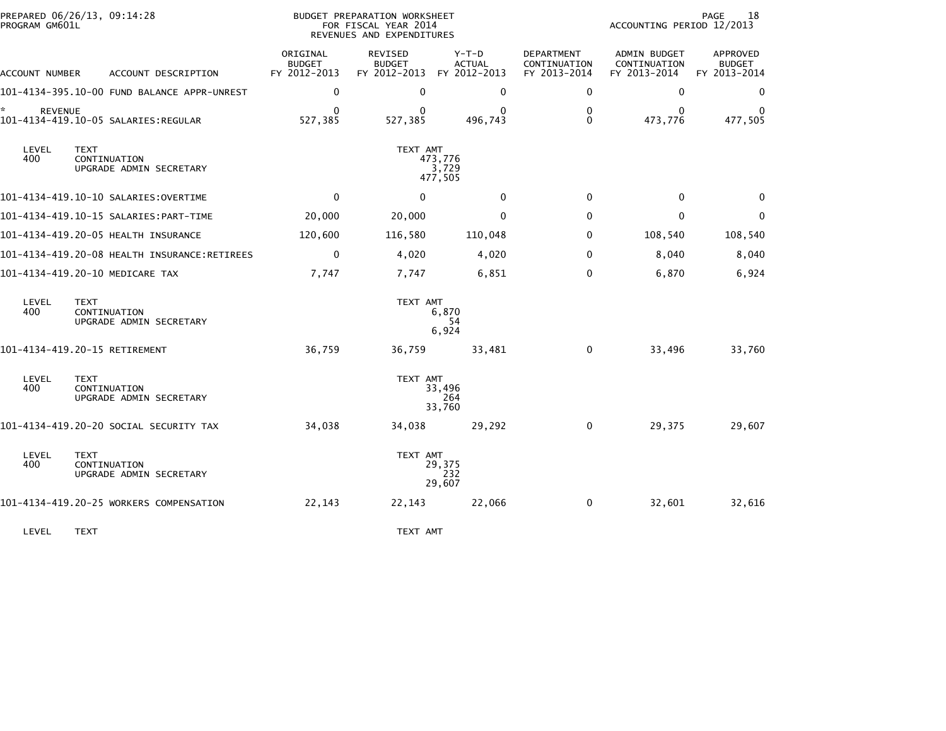| PROGRAM GM601L       | PREPARED 06/26/13, 09:14:28                            |                                           | BUDGET PREPARATION WORKSHEET<br>FOR FISCAL YEAR 2014<br>REVENUES AND EXPENDITURES |                                          |                                            | ACCOUNTING PERIOD 12/2013                    | PAGE<br>18                                |
|----------------------|--------------------------------------------------------|-------------------------------------------|-----------------------------------------------------------------------------------|------------------------------------------|--------------------------------------------|----------------------------------------------|-------------------------------------------|
| ACCOUNT NUMBER       | ACCOUNT DESCRIPTION                                    | ORIGINAL<br><b>BUDGET</b><br>FY 2012-2013 | <b>REVISED</b><br><b>BUDGET</b><br>FY 2012-2013                                   | $Y-T-D$<br><b>ACTUAL</b><br>FY 2012-2013 | DEPARTMENT<br>CONTINUATION<br>FY 2013-2014 | ADMIN BUDGET<br>CONTINUATION<br>FY 2013-2014 | APPROVED<br><b>BUDGET</b><br>FY 2013-2014 |
|                      | 101-4134-395.10-00 FUND BALANCE APPR-UNREST            | $\mathbf 0$                               | $\mathbf 0$                                                                       | 0                                        | 0                                          | 0                                            | $\mathbf 0$                               |
| ŵ.<br><b>REVENUE</b> |                                                        | 0<br>527,385                              | $\Omega$<br>527,385                                                               | 0<br>496,743                             | 0<br>$\Omega$                              | 0<br>473,776                                 | 477,505                                   |
| LEVEL<br>400         | <b>TEXT</b><br>CONTINUATION<br>UPGRADE ADMIN SECRETARY |                                           | TEXT AMT                                                                          | 473.776<br>3,729<br>477,505              |                                            |                                              |                                           |
|                      |                                                        | $\mathbf{0}$                              | $\mathbf{0}$                                                                      | $\mathbf{0}$                             | $\mathbf{0}$                               | $\mathbf{0}$                                 | $\mathbf{0}$                              |
|                      |                                                        | 20,000                                    | 20,000                                                                            | $\mathbf{0}$                             | 0                                          | 0                                            | 0                                         |
|                      | 101-4134-419.20-05 HEALTH INSURANCE                    | 120,600                                   | 116,580                                                                           | 110,048                                  | 0                                          | 108,540                                      | 108,540                                   |
|                      |                                                        | $\mathbf 0$                               | 4,020                                                                             | 4,020                                    | $\Omega$                                   | 8,040                                        | 8,040                                     |
|                      | 101-4134-419.20-10 MEDICARE TAX                        | 7,747                                     | 7,747                                                                             | 6,851                                    | 0                                          | 6,870                                        | 6,924                                     |
| LEVEL<br>400         | <b>TEXT</b><br>CONTINUATION<br>UPGRADE ADMIN SECRETARY |                                           | TEXT AMT                                                                          | 6,870<br>54<br>6,924                     |                                            |                                              |                                           |
|                      | 101-4134-419.20-15 RETIREMENT                          | 36,759                                    | 36,759                                                                            | 33,481                                   | $\Omega$                                   | 33,496                                       | 33,760                                    |
| LEVEL<br>400         | <b>TEXT</b><br>CONTINUATION<br>UPGRADE ADMIN SECRETARY |                                           | TEXT AMT                                                                          | 33,496<br>264<br>33,760                  |                                            |                                              |                                           |
|                      | 101-4134-419.20-20 SOCIAL SECURITY TAX                 | 34,038                                    | 34,038                                                                            | 29,292                                   | $\mathbf 0$                                | 29,375                                       | 29,607                                    |
| LEVEL<br>400         | <b>TEXT</b><br>CONTINUATION<br>UPGRADE ADMIN SECRETARY |                                           | TEXT AMT                                                                          | 29,375<br>232<br>29,607                  |                                            |                                              |                                           |
|                      | 101-4134-419.20-25 WORKERS COMPENSATION                | 22,143                                    | 22,143                                                                            | 22,066                                   | 0                                          | 32,601                                       | 32,616                                    |
| LEVEL                | <b>TEXT</b>                                            |                                           | TEXT AMT                                                                          |                                          |                                            |                                              |                                           |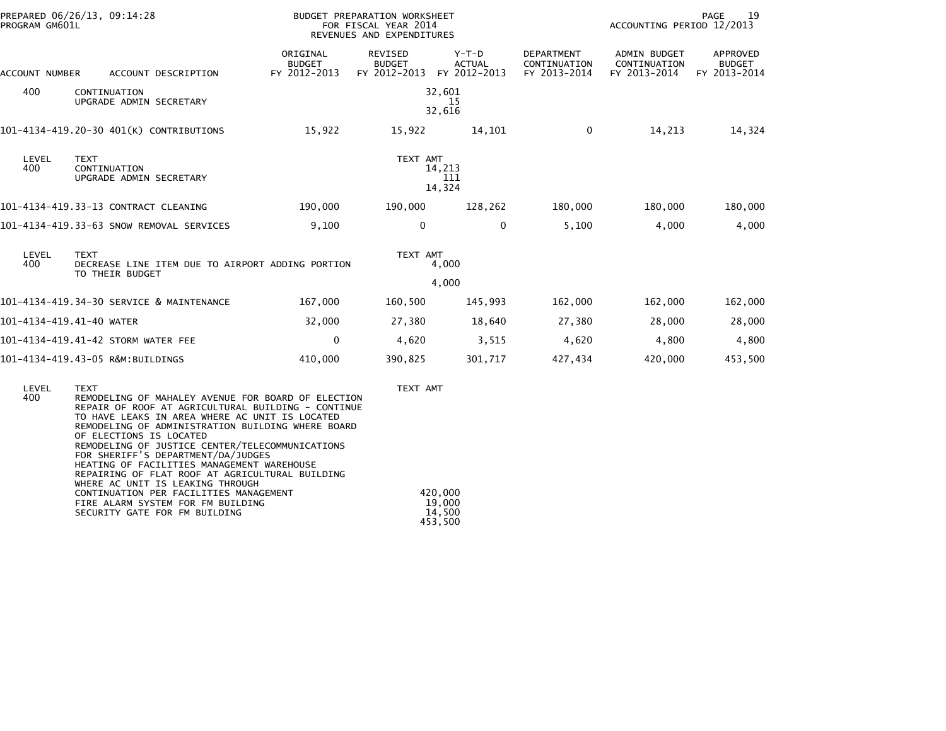| PROGRAM GM601L | PREPARED 06/26/13, 09:14:28                                                        |                                           | BUDGET PREPARATION WORKSHEET<br>FOR FISCAL YEAR 2014<br>REVENUES AND EXPENDITURES |                                          |                                                   | ACCOUNTING PERIOD 12/2013                           | PAGE<br>19                                |
|----------------|------------------------------------------------------------------------------------|-------------------------------------------|-----------------------------------------------------------------------------------|------------------------------------------|---------------------------------------------------|-----------------------------------------------------|-------------------------------------------|
| ACCOUNT NUMBER | ACCOUNT DESCRIPTION                                                                | ORIGINAL<br><b>BUDGET</b><br>FY 2012-2013 | <b>REVISED</b><br><b>BUDGET</b><br>FY 2012-2013                                   | $Y-T-D$<br><b>ACTUAL</b><br>FY 2012-2013 | <b>DEPARTMENT</b><br>CONTINUATION<br>FY 2013-2014 | <b>ADMIN BUDGET</b><br>CONTINUATION<br>FY 2013-2014 | APPROVED<br><b>BUDGET</b><br>FY 2013-2014 |
| 400            | CONTINUATION<br>UPGRADE ADMIN SECRETARY                                            |                                           |                                                                                   | 32,601<br>15<br>32,616                   |                                                   |                                                     |                                           |
|                | 101-4134-419.20-30 401(K) CONTRIBUTIONS                                            | 15,922                                    | 15,922                                                                            | 14,101                                   | $\Omega$                                          | 14,213                                              | 14,324                                    |
| LEVEL<br>400   | <b>TEXT</b><br>CONTINUATION<br>UPGRADE ADMIN SECRETARY                             |                                           | TEXT AMT                                                                          | 14,213<br>111<br>14,324                  |                                                   |                                                     |                                           |
|                | 101-4134-419.33-13 CONTRACT CLEANING                                               | 190,000                                   | 190,000                                                                           | 128,262                                  | 180,000                                           | 180,000                                             | 180,000                                   |
|                | 101-4134-419.33-63 SNOW REMOVAL SERVICES                                           | 9,100                                     | $\mathbf{0}$                                                                      | $\Omega$                                 | 5,100                                             | 4,000                                               | 4,000                                     |
| LEVEL<br>400   | <b>TEXT</b><br>DECREASE LINE ITEM DUE TO AIRPORT ADDING PORTION<br>TO THEIR BUDGET |                                           | TEXT AMT                                                                          | 4,000<br>4,000                           |                                                   |                                                     |                                           |
|                | 101-4134-419.34-30 SERVICE & MAINTENANCE                                           | 167,000                                   | 160,500                                                                           | 145,993                                  | 162,000                                           | 162,000                                             | 162,000                                   |
|                | 101-4134-419.41-40 WATER                                                           | 32,000                                    |                                                                                   | 18,640                                   |                                                   |                                                     |                                           |
|                |                                                                                    |                                           | 27,380                                                                            |                                          | 27,380                                            | 28,000                                              | 28,000                                    |
|                | 101-4134-419.41-42 STORM WATER FEE                                                 | $\mathbf 0$                               | 4,620                                                                             | 3,515                                    | 4,620                                             | 4,800                                               | 4,800                                     |
|                | 101-4134-419.43-05 R&M:BUILDINGS                                                   | 410,000                                   | 390,825                                                                           | 301,717                                  | 427,434                                           | 420,000                                             | 453,500                                   |
|                |                                                                                    |                                           |                                                                                   |                                          |                                                   |                                                     |                                           |

| REMODELING OF MAHALEY AVENUE FOR BOARD OF ELECTION |
|----------------------------------------------------|
|                                                    |
| REPAIR OF ROOF AT AGRICULTURAL BUILDING - CONTINUE |
|                                                    |
|                                                    |
|                                                    |
|                                                    |
|                                                    |
|                                                    |
|                                                    |
|                                                    |
| 420,000                                            |
| 19,000                                             |
| 14,500                                             |
| 453,500                                            |
|                                                    |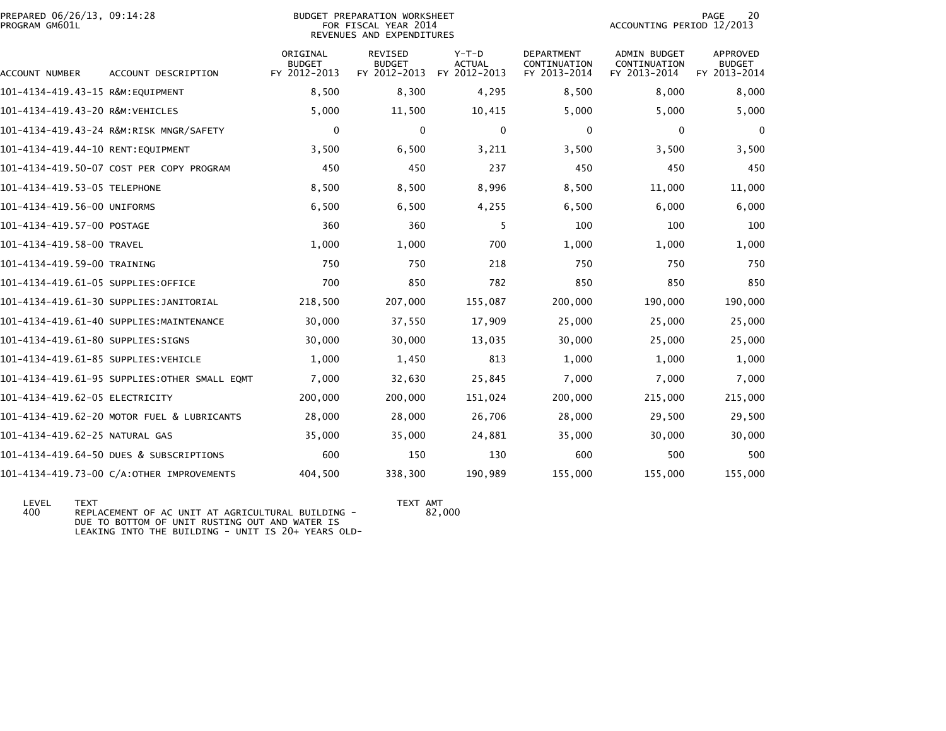| PREPARED 06/26/13, 09:14:28<br>PROGRAM GM601L |                                              | BUDGET PREPARATION WORKSHEET<br>FOR FISCAL YEAR 2014<br>REVENUES AND EXPENDITURES |                          |                   | 20<br><b>PAGE</b><br>ACCOUNTING PERIOD 12/2013 |                                     |                           |
|-----------------------------------------------|----------------------------------------------|-----------------------------------------------------------------------------------|--------------------------|-------------------|------------------------------------------------|-------------------------------------|---------------------------|
|                                               |                                              | ORIGINAL<br><b>BUDGET</b>                                                         | REVISED<br><b>BUDGET</b> | $Y-T-D$<br>ACTUAL | DEPARTMENT<br>CONTINUATION                     | <b>ADMIN BUDGET</b><br>CONTINUATION | APPROVED<br><b>BUDGET</b> |
| ACCOUNT NUMBER                                | ACCOUNT DESCRIPTION                          | FY 2012-2013                                                                      | FY 2012-2013             | FY 2012-2013      | FY 2013-2014                                   | FY 2013-2014                        | FY 2013-2014              |
| 101-4134-419.43-15 R&M:EQUIPMENT              |                                              | 8,500                                                                             | 8,300                    | 4,295             | 8,500                                          | 8,000                               | 8,000                     |
| 101-4134-419.43-20 R&M:VEHICLES               |                                              | 5,000                                                                             | 11,500                   | 10,415            | 5,000                                          | 5,000                               | 5,000                     |
|                                               | 101-4134-419.43-24 R&M:RISK MNGR/SAFETY      | $\mathbf 0$                                                                       | $\mathbf{0}$             | $\mathbf{0}$      | $\mathbf{0}$                                   | $\mathbf{0}$                        | 0                         |
| 101-4134-419.44-10 RENT:EQUIPMENT             |                                              | 3,500                                                                             | 6,500                    | 3,211             | 3,500                                          | 3,500                               | 3,500                     |
|                                               | 101-4134-419.50-07 COST PER COPY PROGRAM     | 450                                                                               | 450                      | 237               | 450                                            | 450                                 | 450                       |
| 101-4134-419.53-05 TELEPHONE                  |                                              | 8,500                                                                             | 8,500                    | 8,996             | 8,500                                          | 11,000                              | 11,000                    |
| 101-4134-419.56-00 UNIFORMS                   |                                              | 6,500                                                                             | 6,500                    | 4,255             | 6,500                                          | 6,000                               | 6,000                     |
| 101-4134-419.57-00 POSTAGE                    |                                              | 360                                                                               | 360                      | 5                 | 100                                            | 100                                 | 100                       |
| 101-4134-419.58-00 TRAVEL                     |                                              | 1,000                                                                             | 1,000                    | 700               | 1,000                                          | 1,000                               | 1,000                     |
| 101-4134-419.59-00 TRAINING                   |                                              | 750                                                                               | 750                      | 218               | 750                                            | 750                                 | 750                       |
| 101-4134-419.61-05 SUPPLIES:OFFICE            |                                              | 700                                                                               | 850                      | 782               | 850                                            | 850                                 | 850                       |
|                                               | 101-4134-419.61-30 SUPPLIES:JANITORIAL       | 218,500                                                                           | 207,000                  | 155,087           | 200,000                                        | 190,000                             | 190,000                   |
|                                               | 101-4134-419.61-40 SUPPLIES:MAINTENANCE      | 30,000                                                                            | 37,550                   | 17,909            | 25,000                                         | 25,000                              | 25,000                    |
| 101-4134-419.61-80 SUPPLIES:SIGNS             |                                              | 30,000                                                                            | 30,000                   | 13,035            | 30,000                                         | 25,000                              | 25,000                    |
| 101-4134-419.61-85 SUPPLIES:VEHICLE           |                                              | 1,000                                                                             | 1,450                    | 813               | 1,000                                          | 1,000                               | 1,000                     |
|                                               | 101-4134-419.61-95 SUPPLIES:OTHER SMALL EQMT | 7,000                                                                             | 32,630                   | 25,845            | 7,000                                          | 7,000                               | 7,000                     |
| 101-4134-419.62-05 ELECTRICITY                |                                              | 200,000                                                                           | 200,000                  | 151,024           | 200,000                                        | 215,000                             | 215,000                   |
|                                               | 101-4134-419.62-20 MOTOR FUEL & LUBRICANTS   | 28,000                                                                            | 28,000                   | 26,706            | 28,000                                         | 29,500                              | 29,500                    |
| 101-4134-419.62-25 NATURAL GAS                |                                              | 35,000                                                                            | 35,000                   | 24,881            | 35,000                                         | 30,000                              | 30,000                    |
|                                               | 101-4134-419.64-50 DUES & SUBSCRIPTIONS      | 600                                                                               | 150                      | 130               | 600                                            | 500                                 | 500                       |
|                                               | 101-4134-419.73-00 C/A:OTHER IMPROVEMENTS    | 404,500                                                                           | 338,300                  | 190,989           | 155,000                                        | 155,000                             | 155,000                   |

 LEVEL TEXT TEXT AMT 400 REPLACEMENT OF AC UNIT AT AGRICULTURAL BUILDING -

DUE TO BOTTOM OF UNIT RUSTING OUT AND WATER IS LEAKING INTO THE BUILDING - UNIT IS 20+ YEARS OLD-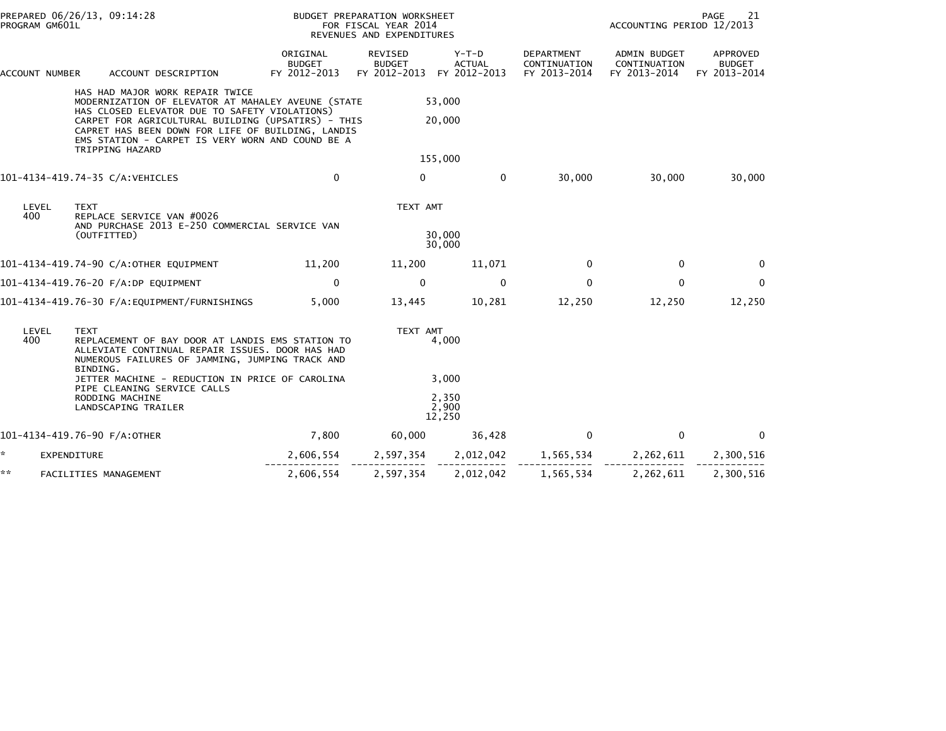| PROGRAM GM601L                                                                                                                                                                                    | PREPARED 06/26/13, 09:14:28                                                                                                                                                                                                                                                                                              |                                           | BUDGET PREPARATION WORKSHEET<br>FOR FISCAL YEAR 2014<br>REVENUES AND EXPENDITURES |                                        |                                            | ACCOUNTING PERIOD 12/2013                    | PAGE<br>21                                |
|---------------------------------------------------------------------------------------------------------------------------------------------------------------------------------------------------|--------------------------------------------------------------------------------------------------------------------------------------------------------------------------------------------------------------------------------------------------------------------------------------------------------------------------|-------------------------------------------|-----------------------------------------------------------------------------------|----------------------------------------|--------------------------------------------|----------------------------------------------|-------------------------------------------|
| ACCOUNT NUMBER                                                                                                                                                                                    | ACCOUNT DESCRIPTION                                                                                                                                                                                                                                                                                                      | ORIGINAL<br><b>BUDGET</b><br>FY 2012-2013 | REVISED<br><b>BUDGET</b><br>FY 2012-2013                                          | Y-T-D<br><b>ACTUAL</b><br>FY 2012-2013 | DEPARTMENT<br>CONTINUATION<br>FY 2013-2014 | ADMIN BUDGET<br>CONTINUATION<br>FY 2013-2014 | APPROVED<br><b>BUDGET</b><br>FY 2013-2014 |
|                                                                                                                                                                                                   | HAS HAD MAJOR WORK REPAIR TWICE<br>MODERNIZATION OF ELEVATOR AT MAHALEY AVEUNE (STATE<br>HAS CLOSED ELEVATOR DUE TO SAFETY VIOLATIONS)<br>CARPET FOR AGRICULTURAL BUILDING (UPSATIRS) - THIS<br>CAPRET HAS BEEN DOWN FOR LIFE OF BUILDING, LANDIS<br>EMS STATION - CARPET IS VERY WORN AND COUND BE A<br>TRIPPING HAZARD |                                           |                                                                                   | 53,000<br>20,000                       |                                            |                                              |                                           |
|                                                                                                                                                                                                   |                                                                                                                                                                                                                                                                                                                          |                                           |                                                                                   | 155,000                                |                                            |                                              |                                           |
|                                                                                                                                                                                                   | 101-4134-419.74-35 C/A:VEHICLES                                                                                                                                                                                                                                                                                          | $\mathbf{0}$                              | $\mathbf{0}$                                                                      | $\mathbf{0}$                           | 30,000                                     | 30,000                                       | 30,000                                    |
| LEVEL<br>400                                                                                                                                                                                      | <b>TEXT</b><br>REPLACE SERVICE VAN #0026<br>AND PURCHASE 2013 E-250 COMMERCIAL SERVICE VAN<br>(OUTFITTED)                                                                                                                                                                                                                |                                           | TEXT AMT                                                                          | 30,000<br>30,000                       |                                            |                                              |                                           |
|                                                                                                                                                                                                   | 101-4134-419.74-90 C/A:OTHER EQUIPMENT                                                                                                                                                                                                                                                                                   | 11,200                                    | 11,200                                                                            | 11,071                                 | $\Omega$                                   | 0                                            | $\Omega$                                  |
|                                                                                                                                                                                                   | 101-4134-419.76-20 F/A:DP EQUIPMENT                                                                                                                                                                                                                                                                                      | $\mathbf 0$                               | $\mathbf 0$                                                                       | $\mathbf 0$                            | $\mathbf 0$                                | 0                                            | $\mathbf 0$                               |
|                                                                                                                                                                                                   |                                                                                                                                                                                                                                                                                                                          | 5,000                                     | 13,445                                                                            | 10,281                                 | 12,250                                     | 12,250                                       | 12,250                                    |
| LEVEL<br><b>TEXT</b><br>400<br>REPLACEMENT OF BAY DOOR AT LANDIS EMS STATION TO<br>ALLEVIATE CONTINUAL REPAIR ISSUES. DOOR HAS HAD<br>NUMEROUS FAILURES OF JAMMING, JUMPING TRACK AND<br>BINDING. |                                                                                                                                                                                                                                                                                                                          |                                           | TEXT AMT                                                                          | 4,000                                  |                                            |                                              |                                           |
|                                                                                                                                                                                                   | JETTER MACHINE - REDUCTION IN PRICE OF CAROLINA<br>PIPE CLEANING SERVICE CALLS<br>RODDING MACHINE<br>LANDSCAPING TRAILER                                                                                                                                                                                                 |                                           |                                                                                   | 3,000<br>2.350<br>2,900<br>12,250      |                                            |                                              |                                           |
|                                                                                                                                                                                                   | 101-4134-419.76-90 F/A:OTHER                                                                                                                                                                                                                                                                                             | 7,800                                     | 60,000                                                                            | 36,428                                 | 0                                          | 0                                            | $\Omega$                                  |
| *.                                                                                                                                                                                                | <b>EXPENDITURE</b>                                                                                                                                                                                                                                                                                                       | 2,606,554                                 | 2,597,354                                                                         | 2,012,042                              | 1,565,534                                  | 2,262,611                                    | 2,300,516                                 |
| **                                                                                                                                                                                                | FACILITIES MANAGEMENT                                                                                                                                                                                                                                                                                                    | 2,606,554                                 | 2,597,354                                                                         | 2,012,042                              | 1,565,534                                  | 2,262,611                                    | 2,300,516                                 |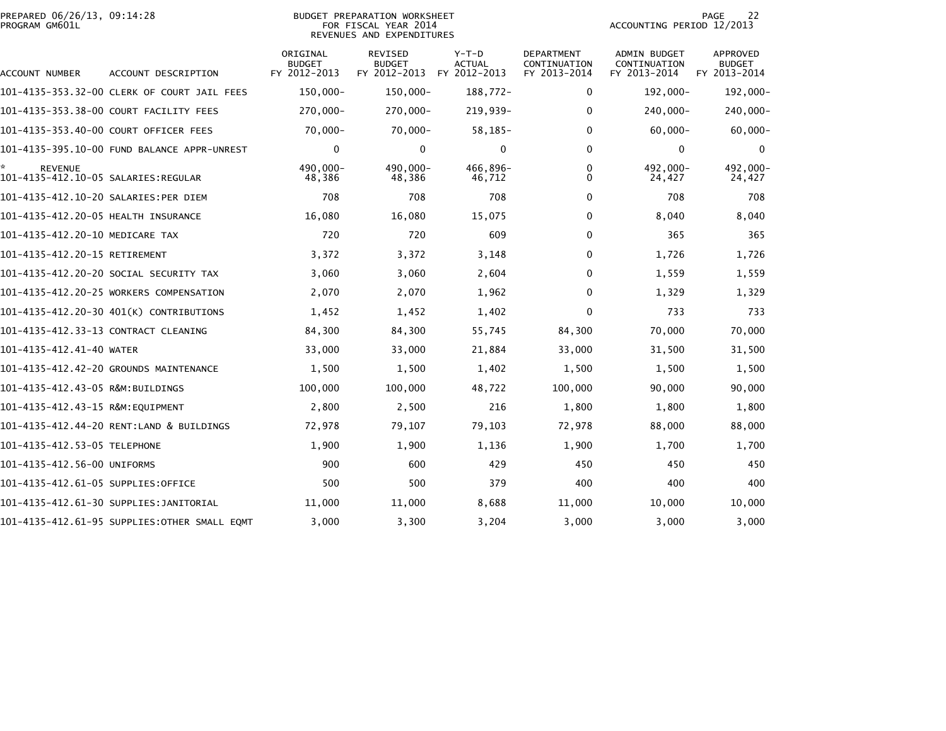| PREPARED 06/26/13, 09:14:28 | <b>PREPARATION WORKSHEET</b><br><b>BUDGET</b> | PAGE                      |
|-----------------------------|-----------------------------------------------|---------------------------|
| PROGRAM GM601L              | FOR FISCAL YEAR 2014                          | ACCOUNTING PERIOD 12/2013 |

## BUDGET PREPARATION WORKSHEET<br>FOR FISCAL YEAR 2014 REVENUES AND EXPENDITURES

| ACCOUNT NUMBER                        | ACCOUNT DESCRIPTION                          | ORIGINAL<br><b>BUDGET</b><br>FY 2012-2013 | REVISED<br><b>BUDGET</b><br>FY 2012-2013 | $Y-T-D$<br>ACTUAL<br>FY 2012-2013 | DEPARTMENT<br>CONTINUATION<br>FY 2013-2014 | ADMIN BUDGET<br>CONTINUATION<br>FY 2013-2014 | APPROVED<br><b>BUDGET</b><br>FY 2013-2014 |
|---------------------------------------|----------------------------------------------|-------------------------------------------|------------------------------------------|-----------------------------------|--------------------------------------------|----------------------------------------------|-------------------------------------------|
|                                       | 101–4135–353.32–00 CLERK OF COURT JAIL FEES  | 150,000-                                  | 150,000-                                 | 188,772-                          | $\Omega$                                   | 192,000-                                     | 192,000-                                  |
|                                       | 101-4135-353.38-00 COURT FACILITY FEES       | 270,000-                                  | 270,000-                                 | 219,939-                          | $\mathbf 0$                                | 240,000-                                     | 240,000-                                  |
| 101-4135-353.40-00 COURT OFFICER FEES |                                              | $70,000 -$                                | $70,000 -$                               | $58, 185 -$                       | $\Omega$                                   | $60,000 -$                                   | $60,000 -$                                |
|                                       | 101-4135-395.10-00 FUND BALANCE APPR-UNREST  | $\mathbf 0$                               | $\mathbf{0}$                             | 0                                 | $\mathbf{0}$                               | $\mathbf 0$                                  | 0                                         |
| <b>REVENUE</b>                        |                                              | 490,000-<br>48,386                        | 490,000-<br>48,386                       | 466,896-<br>46,712                | 0<br>$\Omega$                              | 492,000-<br>24,427                           | 492,000-<br>24,427                        |
| 101-4135-412.10-20 SALARIES:PER DIEM  |                                              | 708                                       | 708                                      | 708                               | $\Omega$                                   | 708                                          | 708                                       |
| 101-4135-412.20-05 HEALTH INSURANCE   |                                              | 16,080                                    | 16,080                                   | 15,075                            | $\mathbf{0}$                               | 8,040                                        | 8,040                                     |
| 101-4135-412.20-10 MEDICARE TAX       |                                              | 720                                       | 720                                      | 609                               | $\Omega$                                   | 365                                          | 365                                       |
| 101-4135-412.20-15 RETIREMENT         |                                              | 3,372                                     | 3,372                                    | 3,148                             | 0                                          | 1,726                                        | 1,726                                     |
|                                       | 101–4135–412.20–20 SOCIAL SECURITY TAX       | 3,060                                     | 3,060                                    | 2,604                             | $\Omega$                                   | 1,559                                        | 1,559                                     |
|                                       | 101-4135-412.20-25 WORKERS COMPENSATION      | 2,070                                     | 2,070                                    | 1,962                             | 0                                          | 1,329                                        | 1,329                                     |
|                                       | 101-4135-412.20-30 401(K) CONTRIBUTIONS      | 1,452                                     | 1,452                                    | 1,402                             | $\mathbf{0}$                               | 733                                          | 733                                       |
| 101-4135-412.33-13 CONTRACT CLEANING  |                                              | 84,300                                    | 84,300                                   | 55,745                            | 84,300                                     | 70,000                                       | 70,000                                    |
| 101-4135-412.41-40 WATER              |                                              | 33,000                                    | 33,000                                   | 21,884                            | 33.000                                     | 31,500                                       | 31,500                                    |
|                                       | 101-4135-412.42-20 GROUNDS MAINTENANCE       | 1,500                                     | 1,500                                    | 1,402                             | 1,500                                      | 1,500                                        | 1,500                                     |
| 101-4135-412.43-05 R&M:BUILDINGS      |                                              | 100,000                                   | 100,000                                  | 48,722                            | 100,000                                    | 90,000                                       | 90,000                                    |
| 101-4135-412.43-15 R&M:EQUIPMENT      |                                              | 2,800                                     | 2,500                                    | 216                               | 1,800                                      | 1,800                                        | 1,800                                     |
|                                       | 101-4135-412.44-20 RENT:LAND & BUILDINGS     | 72,978                                    | 79,107                                   | 79,103                            | 72,978                                     | 88,000                                       | 88,000                                    |
| 101-4135-412.53-05 TELEPHONE          |                                              | 1,900                                     | 1,900                                    | 1,136                             | 1,900                                      | 1,700                                        | 1,700                                     |
| 101-4135-412.56-00 UNIFORMS           |                                              | 900                                       | 600                                      | 429                               | 450                                        | 450                                          | 450                                       |
| 101–4135–412.61–05 SUPPLIES:OFFICE    |                                              | 500                                       | 500                                      | 379                               | 400                                        | 400                                          | 400                                       |
|                                       | 101–4135–412.61–30 SUPPLIES:JANITORIAL       | 11.000                                    | 11,000                                   | 8,688                             | 11,000                                     | 10,000                                       | 10,000                                    |
|                                       | 101-4135-412.61-95 SUPPLIES:OTHER SMALL EQMT | 3,000                                     | 3,300                                    | 3,204                             | 3,000                                      | 3,000                                        | 3,000                                     |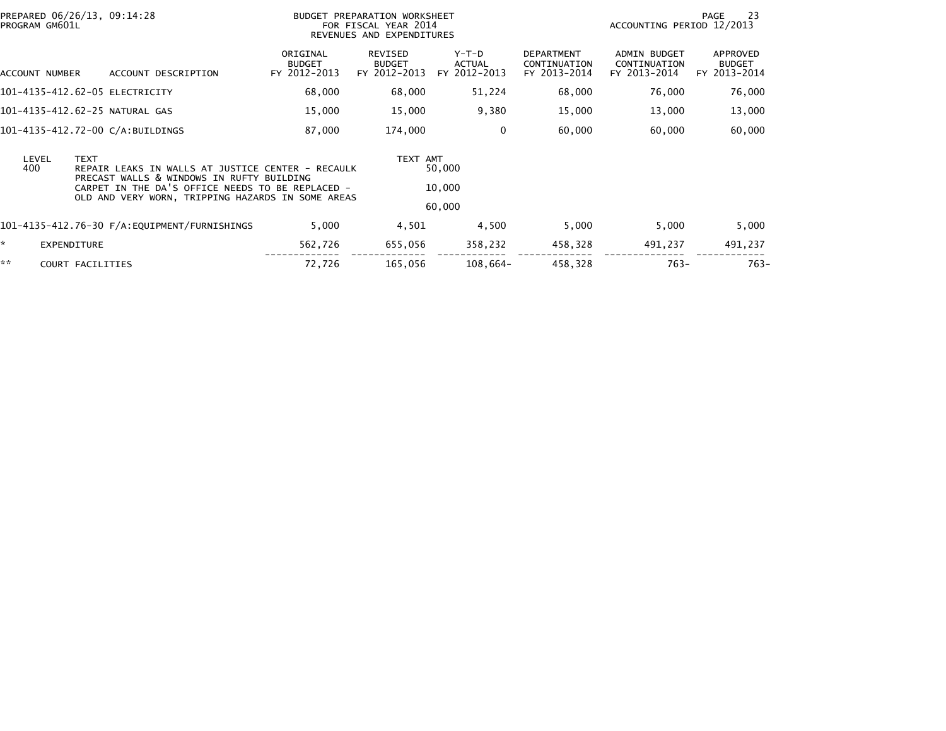| PROGRAM GM601L                                                                                                                | PREPARED 06/26/13, 09:14:28                                                                           | BUDGET PREPARATION WORKSHEET<br>FOR FISCAL YEAR 2014<br>REVENUES AND EXPENDITURES |                                          |                                   |                                                   | 23<br>PAGE<br>ACCOUNTING PERIOD 12/2013      |                                           |  |
|-------------------------------------------------------------------------------------------------------------------------------|-------------------------------------------------------------------------------------------------------|-----------------------------------------------------------------------------------|------------------------------------------|-----------------------------------|---------------------------------------------------|----------------------------------------------|-------------------------------------------|--|
| ACCOUNT NUMBER                                                                                                                | ACCOUNT DESCRIPTION                                                                                   | ORIGINAL<br><b>BUDGET</b><br>FY 2012-2013                                         | REVISED<br><b>BUDGET</b><br>FY 2012-2013 | $Y-T-D$<br>ACTUAL<br>FY 2012-2013 | <b>DEPARTMENT</b><br>CONTINUATION<br>FY 2013-2014 | ADMIN BUDGET<br>CONTINUATION<br>FY 2013-2014 | APPROVED<br><b>BUDGET</b><br>FY 2013-2014 |  |
|                                                                                                                               | 101-4135-412.62-05 ELECTRICITY                                                                        | 68,000                                                                            | 68,000                                   | 51,224                            | 68,000                                            | 76,000                                       | 76,000                                    |  |
|                                                                                                                               | 101-4135-412.62-25 NATURAL GAS                                                                        | 15,000                                                                            | 15,000                                   | 9,380                             | 15,000                                            | 13,000                                       | 13,000                                    |  |
|                                                                                                                               | 101-4135-412.72-00 C/A:BUILDINGS                                                                      | 87,000                                                                            | 174,000                                  | 0                                 | 60,000                                            | 60,000                                       | 60,000                                    |  |
| <b>TEXT</b><br>LEVEL<br>400<br>REPAIR LEAKS IN WALLS AT JUSTICE CENTER - RECAULK<br>PRECAST WALLS & WINDOWS IN RUFTY BUILDING |                                                                                                       |                                                                                   | TEXT AMT                                 | 50,000<br>10,000                  |                                                   |                                              |                                           |  |
|                                                                                                                               | CARPET IN THE DA'S OFFICE NEEDS TO BE REPLACED -<br>OLD AND VERY WORN, TRIPPING HAZARDS IN SOME AREAS |                                                                                   |                                          | 60,000                            |                                                   |                                              |                                           |  |
|                                                                                                                               |                                                                                                       | 5,000                                                                             | 4,501                                    | 4,500                             | 5,000                                             | 5,000                                        | 5,000                                     |  |
| *<br><b>EXPENDITURE</b>                                                                                                       |                                                                                                       | 562,726                                                                           | 655,056                                  | 358,232                           | 458,328                                           | 491,237                                      | 491,237                                   |  |
| **                                                                                                                            | COURT FACILITIES                                                                                      | 72,726                                                                            | 165,056                                  | 108,664-                          | 458,328                                           | $763-$                                       | $763-$                                    |  |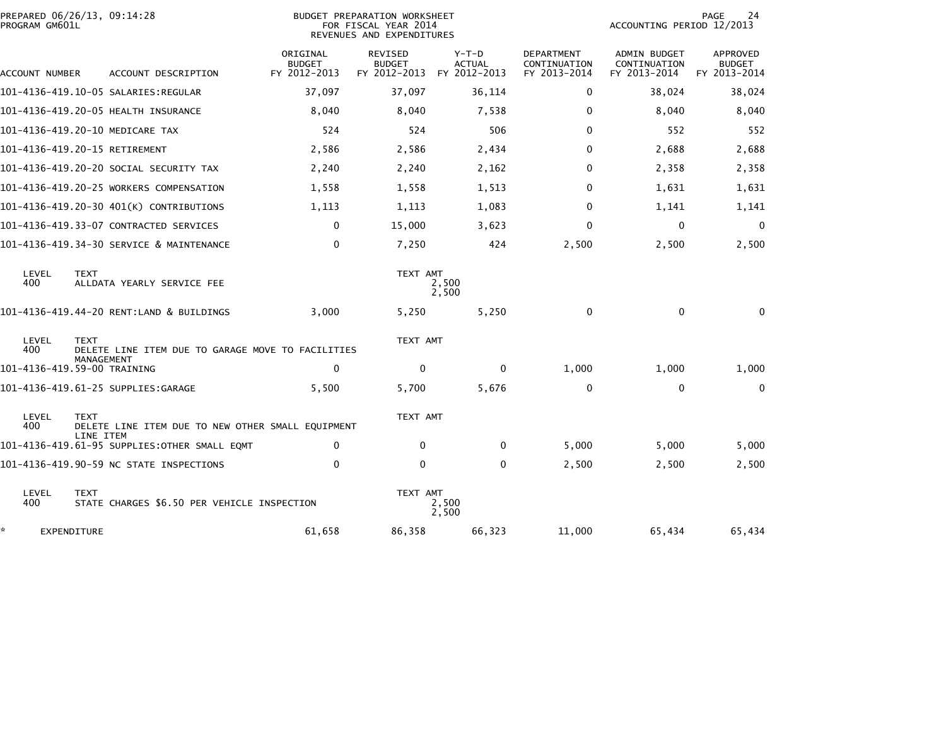| PROGRAM GM601L   | PREPARED 06/26/13, 09:14:28                                                    |                                           | <b>BUDGET PREPARATION WORKSHEET</b><br>FOR FISCAL YEAR 2014<br>REVENUES AND EXPENDITURES |                                          | 24<br>PAGE<br>ACCOUNTING PERIOD 12/2013           |                                                     |                                           |
|------------------|--------------------------------------------------------------------------------|-------------------------------------------|------------------------------------------------------------------------------------------|------------------------------------------|---------------------------------------------------|-----------------------------------------------------|-------------------------------------------|
| ACCOUNT NUMBER   | ACCOUNT DESCRIPTION                                                            | ORIGINAL<br><b>BUDGET</b><br>FY 2012-2013 | <b>REVISED</b><br><b>BUDGET</b><br>FY 2012-2013                                          | $Y-T-D$<br><b>ACTUAL</b><br>FY 2012-2013 | <b>DEPARTMENT</b><br>CONTINUATION<br>FY 2013-2014 | <b>ADMIN BUDGET</b><br>CONTINUATION<br>FY 2013-2014 | APPROVED<br><b>BUDGET</b><br>FY 2013-2014 |
|                  |                                                                                | 37,097                                    | 37,097                                                                                   | 36,114                                   | 0                                                 | 38,024                                              | 38,024                                    |
|                  | 101-4136-419.20-05 HEALTH INSURANCE                                            | 8,040                                     | 8,040                                                                                    | 7,538                                    | 0                                                 | 8,040                                               | 8,040                                     |
|                  | 101-4136-419.20-10 MEDICARE TAX                                                | 524                                       | 524                                                                                      | 506                                      | $\mathbf{0}$                                      | 552                                                 | 552                                       |
|                  | 101-4136-419.20-15 RETIREMENT                                                  | 2,586                                     | 2,586                                                                                    | 2,434                                    | 0                                                 | 2,688                                               | 2,688                                     |
|                  | 101–4136–419.20–20 SOCIAL SECURITY TAX                                         | 2,240                                     | 2,240                                                                                    | 2,162                                    | 0                                                 | 2,358                                               | 2,358                                     |
|                  | 101-4136-419.20-25 WORKERS COMPENSATION                                        | 1,558                                     | 1,558                                                                                    | 1,513                                    | 0                                                 | 1,631                                               | 1,631                                     |
|                  | 101-4136-419.20-30 401(K) CONTRIBUTIONS                                        | 1,113                                     | 1,113                                                                                    | 1,083                                    | 0                                                 | 1,141                                               | 1,141                                     |
|                  | 101-4136-419.33-07 CONTRACTED SERVICES                                         | $\mathbf 0$                               | 15,000                                                                                   | 3,623                                    | 0                                                 | 0                                                   | $\mathbf 0$                               |
|                  | 101-4136-419.34-30 SERVICE & MAINTENANCE                                       | $\mathbf 0$                               | 7,250                                                                                    | 424                                      | 2,500                                             | 2,500                                               | 2,500                                     |
| LEVEL<br>400     | <b>TEXT</b><br>ALLDATA YEARLY SERVICE FEE                                      |                                           | TEXT AMT                                                                                 | 2,500<br>2,500                           |                                                   |                                                     |                                           |
|                  | 101-4136-419.44-20 RENT:LAND & BUILDINGS                                       | 3,000                                     | 5,250                                                                                    | 5,250                                    | 0                                                 | $\mathbf{0}$                                        | $\bf{0}$                                  |
| LEVEL<br>400     | <b>TEXT</b><br>DELETE LINE ITEM DUE TO GARAGE MOVE TO FACILITIES<br>MANAGEMENT |                                           | TEXT AMT                                                                                 |                                          |                                                   |                                                     |                                           |
|                  | 101-4136-419.59-00 TRAINING                                                    | $\Omega$                                  | $\mathbf 0$                                                                              | $\mathbf{0}$                             | 1,000                                             | 1,000                                               | 1,000                                     |
|                  | 101-4136-419.61-25 SUPPLIES:GARAGE                                             | 5,500                                     | 5,700                                                                                    | 5,676                                    | 0                                                 | 0                                                   | $\mathbf{0}$                              |
| LEVEL<br>400     | <b>TEXT</b><br>DELETE LINE ITEM DUE TO NEW OTHER SMALL EOUIPMENT<br>LINE ITEM  |                                           | TEXT AMT                                                                                 |                                          |                                                   |                                                     |                                           |
|                  | 101-4136-419.61-95 SUPPLIES:OTHER SMALL EQMT                                   | 0                                         | 0                                                                                        | $\mathbf{0}$                             | 5,000                                             | 5,000                                               | 5,000                                     |
|                  | 101-4136-419.90-59 NC STATE INSPECTIONS                                        | $\mathbf{0}$                              | $\Omega$                                                                                 | $\mathbf{0}$                             | 2,500                                             | 2,500                                               | 2,500                                     |
| LEVEL<br>400     | <b>TEXT</b><br>STATE CHARGES \$6.50 PER VEHICLE INSPECTION                     |                                           | TEXT AMT                                                                                 | 2,500<br>2,500                           |                                                   |                                                     |                                           |
| *<br>EXPENDITURE |                                                                                | 61,658                                    | 86,358                                                                                   | 66,323                                   | 11,000                                            | 65,434                                              | 65,434                                    |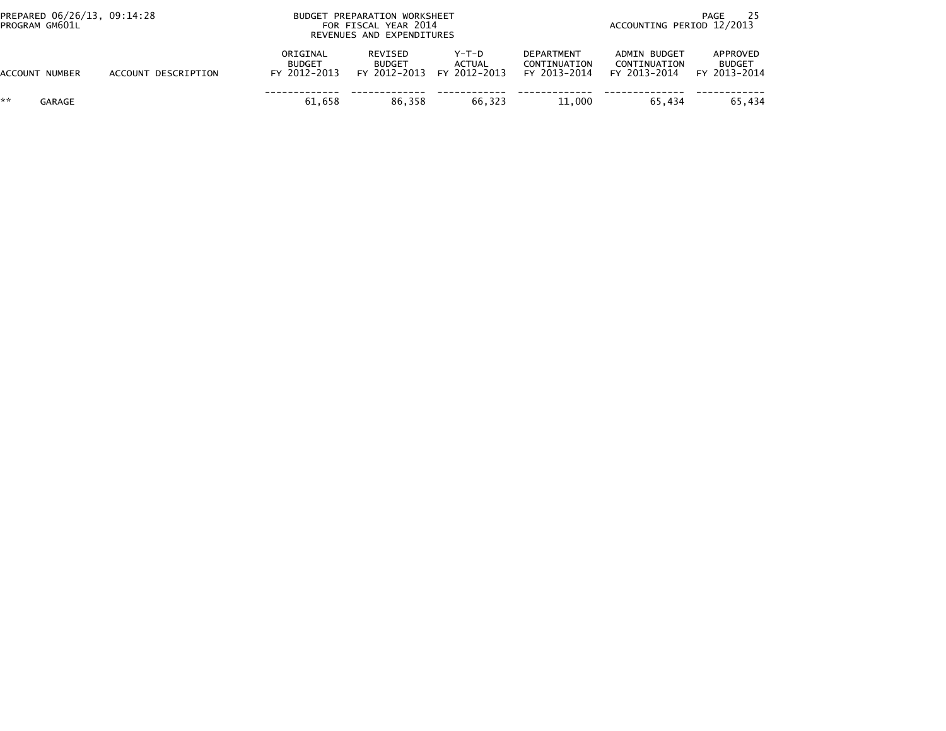| PREPARED 06/26/13, 09:14:28<br>PROGRAM GM601L |                     |                                           | BUDGET PREPARATION WORKSHEET<br>FOR FISCAL YEAR 2014<br>REVENUES AND EXPENDITURES | PAGE<br>ACCOUNTING PERIOD 12/2013 |                                                   |                                              |                                           |
|-----------------------------------------------|---------------------|-------------------------------------------|-----------------------------------------------------------------------------------|-----------------------------------|---------------------------------------------------|----------------------------------------------|-------------------------------------------|
| ACCOUNT NUMBER                                | ACCOUNT DESCRIPTION | ORIGINAL<br><b>BUDGET</b><br>FY 2012-2013 | REVISED<br><b>BUDGET</b><br>FY 2012-2013                                          | Y-T-D<br>ACTUAL<br>FY 2012-2013   | <b>DEPARTMENT</b><br>CONTINUATION<br>FY 2013-2014 | ADMIN BUDGET<br>CONTINUATION<br>FY 2013-2014 | APPROVED<br><b>BUDGET</b><br>FY 2013-2014 |
| **<br>GARAGE                                  |                     | 61.658                                    | 86.358                                                                            | 66,323                            | 11.000                                            | 65.434                                       | 65.434                                    |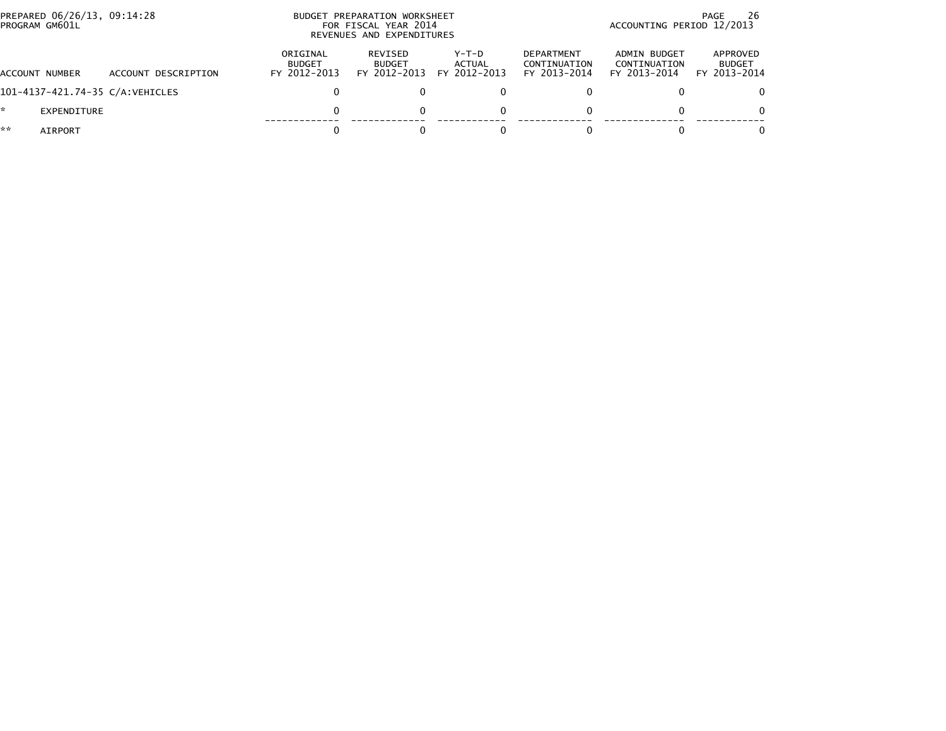|    | PREPARED 06/26/13, 09:14:28<br>PROGRAM GM601L |                                  |                                           | BUDGET PREPARATION WORKSHEET<br>FOR FISCAL YEAR 2014<br>REVENUES AND EXPENDITURES | ACCOUNTING PERIOD 12/2013         | 26<br>PAGE                                        |                                              |                                           |
|----|-----------------------------------------------|----------------------------------|-------------------------------------------|-----------------------------------------------------------------------------------|-----------------------------------|---------------------------------------------------|----------------------------------------------|-------------------------------------------|
|    | ACCOUNT NUMBER                                | ACCOUNT DESCRIPTION              | ORIGINAL<br><b>BUDGET</b><br>FY 2012-2013 | REVISED<br><b>BUDGET</b><br>FY 2012-2013                                          | $Y-T-D$<br>ACTUAL<br>FY 2012-2013 | <b>DEPARTMENT</b><br>CONTINUATION<br>FY 2013-2014 | ADMIN BUDGET<br>CONTINUATION<br>FY 2013-2014 | APPROVED<br><b>BUDGET</b><br>FY 2013-2014 |
|    |                                               | 101-4137-421.74-35 C/A: VEHICLES |                                           |                                                                                   |                                   |                                                   |                                              |                                           |
| *. | EXPENDITURE                                   |                                  |                                           |                                                                                   | 0                                 |                                                   |                                              | $\Omega$                                  |
| ** | AIRPORT                                       |                                  |                                           |                                                                                   |                                   |                                                   |                                              |                                           |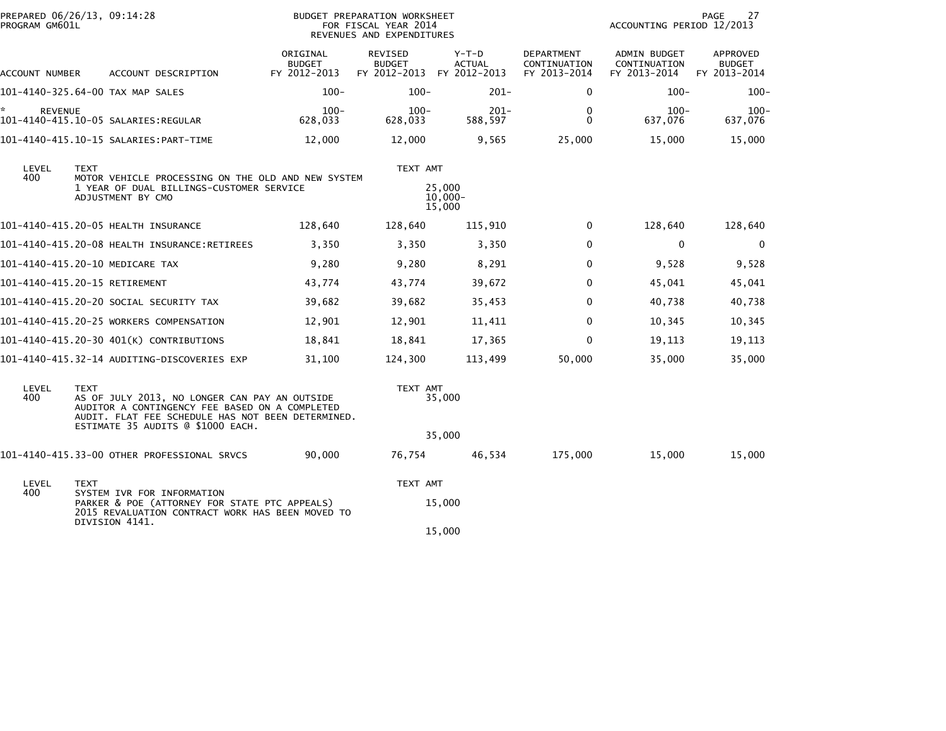| PREPARED 06/26/13, 09:14:28<br>PROGRAM GM601L |             | BUDGET PREPARATION WORKSHEET<br>FOR FISCAL YEAR 2014<br>REVENUES AND EXPENDITURES                                                                                                         |                                           |                                                       |                                |                                            |                                              | 27<br>PAGE<br>ACCOUNTING PERIOD 12/2013   |  |  |
|-----------------------------------------------|-------------|-------------------------------------------------------------------------------------------------------------------------------------------------------------------------------------------|-------------------------------------------|-------------------------------------------------------|--------------------------------|--------------------------------------------|----------------------------------------------|-------------------------------------------|--|--|
| ACCOUNT NUMBER                                |             | ACCOUNT DESCRIPTION                                                                                                                                                                       | ORIGINAL<br><b>BUDGET</b><br>FY 2012-2013 | REVISED<br><b>BUDGET</b><br>FY 2012-2013 FY 2012-2013 | $Y-T-D$<br><b>ACTUAL</b>       | DEPARTMENT<br>CONTINUATION<br>FY 2013-2014 | ADMIN BUDGET<br>CONTINUATION<br>FY 2013-2014 | APPROVED<br><b>BUDGET</b><br>FY 2013-2014 |  |  |
|                                               |             | 101-4140-325.64-00 TAX MAP SALES                                                                                                                                                          | $100 -$                                   | $100 -$                                               | $201 -$                        | 0                                          | $100 -$                                      | $100 -$                                   |  |  |
| ×.<br><b>REVENUE</b>                          |             | 101-4140-415.10-05 SALARIES:REGULAR                                                                                                                                                       | $100 -$<br>628,033                        | $100 -$<br>628,033                                    | $201 -$<br>588,597             | 0<br>0                                     | $100 -$<br>637.076                           | $100 -$<br>637,076                        |  |  |
|                                               |             | 101-4140-415.10-15 SALARIES: PART-TIME                                                                                                                                                    | 12,000                                    | 12,000                                                | 9,565                          | 25,000                                     | 15,000                                       | 15,000                                    |  |  |
| LEVEL<br>400                                  | <b>TEXT</b> | MOTOR VEHICLE PROCESSING ON THE OLD AND NEW SYSTEM<br>1 YEAR OF DUAL BILLINGS-CUSTOMER SERVICE<br>ADJUSTMENT BY CMO                                                                       |                                           | TEXT AMT                                              | 25,000<br>$10,000 -$<br>15,000 |                                            |                                              |                                           |  |  |
|                                               |             | 101-4140-415.20-05 HEALTH INSURANCE                                                                                                                                                       | 128,640                                   | 128,640                                               | 115,910                        | $\mathbf{0}$                               | 128,640                                      | 128,640                                   |  |  |
|                                               |             | 101-4140-415.20-08 HEALTH INSURANCE:RETIREES                                                                                                                                              | 3,350                                     | 3,350                                                 | 3,350                          | $\mathbf{0}$                               | $\mathbf{0}$                                 | $\mathbf 0$                               |  |  |
|                                               |             | 101-4140-415.20-10 MEDICARE TAX                                                                                                                                                           | 9,280                                     | 9,280                                                 | 8,291                          | 0                                          | 9,528                                        | 9,528                                     |  |  |
| 101-4140-415.20-15 RETIREMENT                 |             |                                                                                                                                                                                           | 43,774                                    | 43,774                                                | 39,672                         | 0                                          | 45,041                                       | 45,041                                    |  |  |
|                                               |             | 101–4140–415.20–20 SOCIAL SECURITY TAX                                                                                                                                                    | 39,682                                    | 39,682                                                | 35,453                         | $\mathbf{0}$                               | 40,738                                       | 40,738                                    |  |  |
|                                               |             | 101-4140-415.20-25 WORKERS COMPENSATION                                                                                                                                                   | 12,901                                    | 12,901                                                | 11,411                         | 0                                          | 10,345                                       | 10,345                                    |  |  |
|                                               |             | 101-4140-415.20-30 401(K) CONTRIBUTIONS                                                                                                                                                   | 18,841                                    | 18,841                                                | 17,365                         | $\mathbf{0}$                               | 19,113                                       | 19,113                                    |  |  |
|                                               |             | 101-4140-415.32-14 AUDITING-DISCOVERIES EXP                                                                                                                                               | 31,100                                    | 124,300                                               | 113,499                        | 50,000                                     | 35,000                                       | 35,000                                    |  |  |
| LEVEL<br>400                                  | <b>TEXT</b> | AS OF JULY 2013, NO LONGER CAN PAY AN OUTSIDE<br>AUDITOR A CONTINGENCY FEE BASED ON A COMPLETED<br>AUDIT. FLAT FEE SCHEDULE HAS NOT BEEN DETERMINED.<br>ESTIMATE 35 AUDITS @ \$1000 EACH. |                                           | TEXT AMT                                              | 35,000                         |                                            |                                              |                                           |  |  |
|                                               |             |                                                                                                                                                                                           |                                           |                                                       | 35,000                         |                                            |                                              |                                           |  |  |
|                                               |             | 101-4140-415.33-00 OTHER PROFESSIONAL SRVCS                                                                                                                                               | 90.000                                    | 76.754                                                | 46,534                         | 175,000                                    | 15,000                                       | 15,000                                    |  |  |
| LEVEL                                         | <b>TEXT</b> |                                                                                                                                                                                           |                                           | TEXT AMT                                              |                                |                                            |                                              |                                           |  |  |
| 400                                           |             | SYSTEM IVR FOR INFORMATION<br>PARKER & POE (ATTORNEY FOR STATE PTC APPEALS)<br>2015 REVALUATION CONTRACT WORK HAS BEEN MOVED TO<br>DIVISION 4141.                                         |                                           |                                                       | 15,000                         |                                            |                                              |                                           |  |  |
|                                               |             |                                                                                                                                                                                           |                                           |                                                       | 15,000                         |                                            |                                              |                                           |  |  |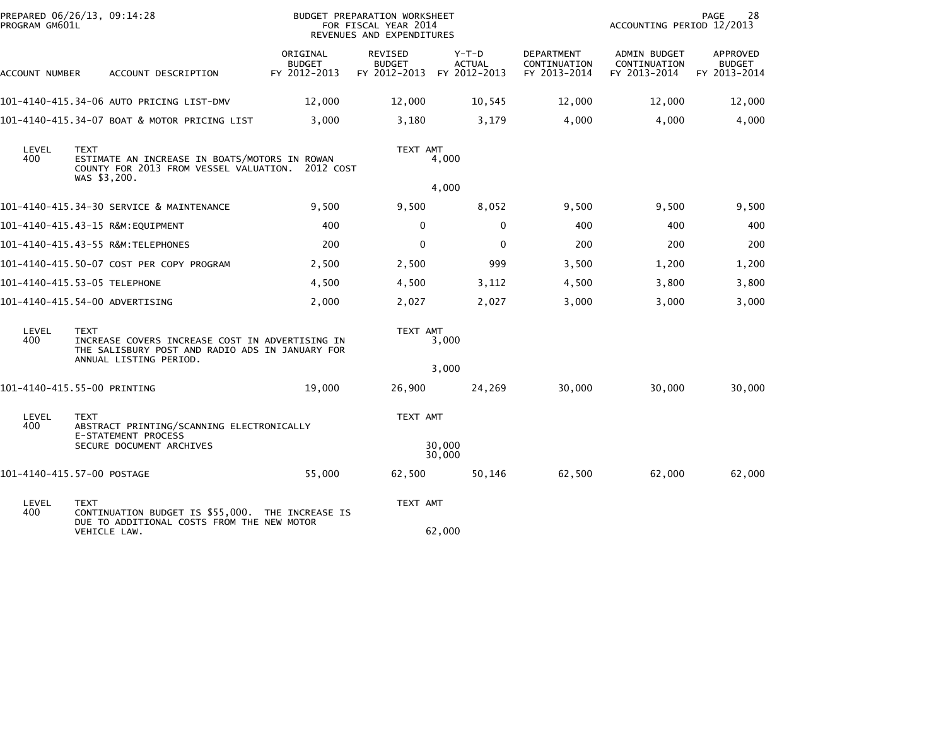| PREPARED 06/26/13, 09:14:28<br>PROGRAM GM601L |                             |                                                                                                                              |                                           | <b>BUDGET PREPARATION WORKSHEET</b><br>FOR FISCAL YEAR 2014 |                          |                                            | ACCOUNTING PERIOD 12/2013                    | PAGE<br>28                                |
|-----------------------------------------------|-----------------------------|------------------------------------------------------------------------------------------------------------------------------|-------------------------------------------|-------------------------------------------------------------|--------------------------|--------------------------------------------|----------------------------------------------|-------------------------------------------|
|                                               |                             |                                                                                                                              |                                           | REVENUES AND EXPENDITURES                                   |                          |                                            |                                              |                                           |
| ACCOUNT NUMBER                                |                             | ACCOUNT DESCRIPTION                                                                                                          | ORIGINAL<br><b>BUDGET</b><br>FY 2012-2013 | REVISED<br><b>BUDGET</b><br>FY 2012-2013 FY 2012-2013       | $Y-T-D$<br><b>ACTUAL</b> | DEPARTMENT<br>CONTINUATION<br>FY 2013-2014 | ADMIN BUDGET<br>CONTINUATION<br>FY 2013-2014 | APPROVED<br><b>BUDGET</b><br>FY 2013-2014 |
|                                               |                             | 101-4140-415.34-06 AUTO PRICING LIST-DMV                                                                                     | 12,000                                    | 12,000                                                      | 10,545                   | 12,000                                     | 12,000                                       | 12,000                                    |
|                                               |                             | 101-4140-415.34-07 BOAT & MOTOR PRICING LIST                                                                                 | 3,000                                     | 3,180                                                       | 3,179                    | 4,000                                      | 4,000                                        | 4,000                                     |
| LEVEL<br>400                                  | <b>TEXT</b><br>WAS \$3,200. | ESTIMATE AN INCREASE IN BOATS/MOTORS IN ROWAN<br>COUNTY FOR 2013 FROM VESSEL VALUATION.                                      | 2012 COST                                 | TEXT AMT<br>4,000                                           |                          |                                            |                                              |                                           |
|                                               |                             |                                                                                                                              |                                           |                                                             | 4,000                    |                                            |                                              |                                           |
|                                               |                             | 101-4140-415.34-30 SERVICE & MAINTENANCE                                                                                     | 9,500                                     | 9,500                                                       | 8,052                    | 9,500                                      | 9,500                                        | 9,500                                     |
|                                               |                             | 101-4140-415.43-15 R&M:EQUIPMENT                                                                                             | 400                                       | 0                                                           | 0                        | 400                                        | 400                                          | 400                                       |
|                                               |                             | 101-4140-415.43-55 R&M:TELEPHONES                                                                                            | 200                                       | $\Omega$                                                    | $\mathbf{0}$             | 200                                        | 200                                          | 200                                       |
|                                               |                             | 101-4140-415.50-07 COST PER COPY PROGRAM                                                                                     | 2,500                                     | 2,500                                                       | 999                      | 3,500                                      | 1,200                                        | 1,200                                     |
| 101-4140-415.53-05 TELEPHONE                  |                             |                                                                                                                              | 4,500                                     | 4,500                                                       | 3,112                    | 4,500                                      | 3,800                                        | 3,800                                     |
| 101-4140-415.54-00 ADVERTISING                |                             |                                                                                                                              | 2,000                                     | 2,027                                                       | 2,027                    | 3,000                                      | 3,000                                        | 3,000                                     |
| LEVEL<br>400                                  | <b>TEXT</b>                 | INCREASE COVERS INCREASE COST IN ADVERTISING IN<br>THE SALISBURY POST AND RADIO ADS IN JANUARY FOR<br>ANNUAL LISTING PERIOD. |                                           | TEXT AMT                                                    | 3,000                    |                                            |                                              |                                           |
|                                               |                             |                                                                                                                              |                                           |                                                             | 3,000                    |                                            |                                              |                                           |
| 101-4140-415.55-00 PRINTING                   |                             |                                                                                                                              | 19,000                                    | 26,900                                                      | 24,269                   | 30,000                                     | 30,000                                       | 30,000                                    |
| LEVEL<br>400                                  | <b>TEXT</b>                 | ABSTRACT PRINTING/SCANNING ELECTRONICALLY<br>E-STATEMENT PROCESS                                                             |                                           | TEXT AMT                                                    |                          |                                            |                                              |                                           |
|                                               |                             | SECURE DOCUMENT ARCHIVES                                                                                                     |                                           |                                                             | 30,000<br>30,000         |                                            |                                              |                                           |
| 101-4140-415.57-00 POSTAGE                    |                             |                                                                                                                              | 55,000                                    | 62,500                                                      | 50,146                   | 62,500                                     | 62,000                                       | 62,000                                    |
| LEVEL<br>400                                  | <b>TEXT</b>                 | CONTINUATION BUDGET IS \$55,000. THE INCREASE IS<br>DUE TO ADDITIONAL COSTS FROM THE NEW MOTOR                               |                                           | TEXT AMT                                                    |                          |                                            |                                              |                                           |
|                                               | VEHICLE LAW.                |                                                                                                                              |                                           |                                                             | 62,000                   |                                            |                                              |                                           |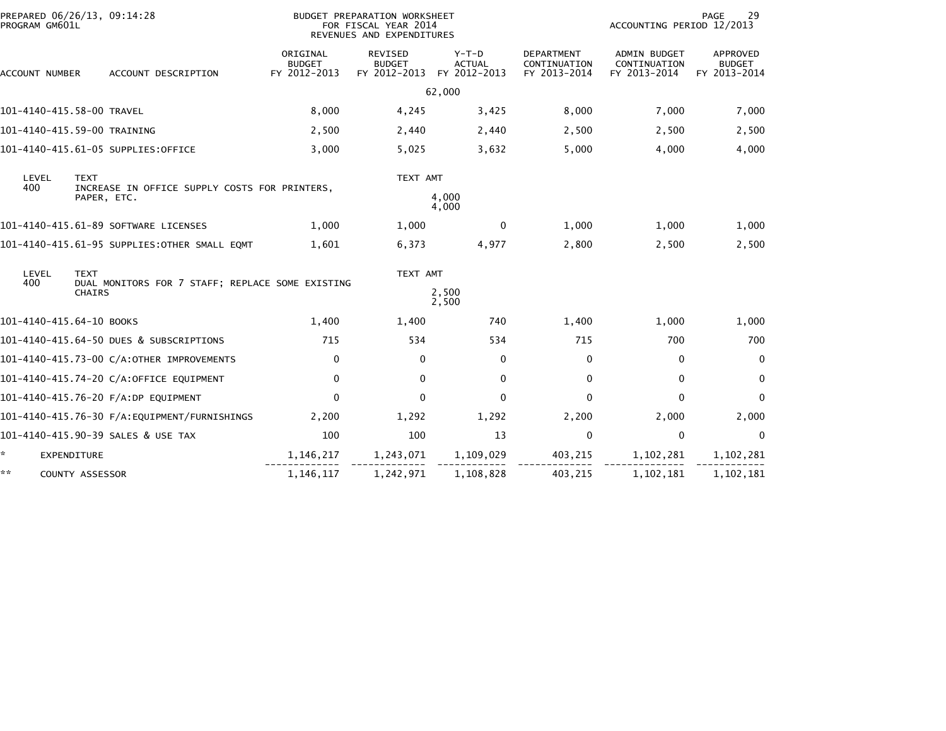| PROGRAM GM601L           | PREPARED 06/26/13, 09:14:28                                     |                                           | BUDGET PREPARATION WORKSHEET<br>FOR FISCAL YEAR 2014<br>REVENUES AND EXPENDITURES |                                          |                                                   | ACCOUNTING PERIOD 12/2013                           | 29<br>PAGE                                |
|--------------------------|-----------------------------------------------------------------|-------------------------------------------|-----------------------------------------------------------------------------------|------------------------------------------|---------------------------------------------------|-----------------------------------------------------|-------------------------------------------|
| ACCOUNT NUMBER           | ACCOUNT DESCRIPTION                                             | ORIGINAL<br><b>BUDGET</b><br>FY 2012-2013 | <b>REVISED</b><br><b>BUDGET</b><br>FY 2012-2013                                   | $Y-T-D$<br><b>ACTUAL</b><br>FY 2012-2013 | <b>DEPARTMENT</b><br>CONTINUATION<br>FY 2013-2014 | <b>ADMIN BUDGET</b><br>CONTINUATION<br>FY 2013-2014 | APPROVED<br><b>BUDGET</b><br>FY 2013-2014 |
|                          |                                                                 |                                           |                                                                                   | 62,000                                   |                                                   |                                                     |                                           |
|                          | 101-4140-415.58-00 TRAVEL                                       | 8,000                                     | 4,245                                                                             | 3,425                                    | 8,000                                             | 7,000                                               | 7,000                                     |
|                          | 101-4140-415.59-00 TRAINING                                     | 2,500                                     | 2,440                                                                             | 2,440                                    | 2,500                                             | 2,500                                               | 2,500                                     |
|                          | 101-4140-415.61-05 SUPPLIES:OFFICE                              | 3,000                                     | 5,025                                                                             | 3,632                                    | 5,000                                             | 4,000                                               | 4,000                                     |
| LEVEL<br>400             | <b>TEXT</b><br>INCREASE IN OFFICE SUPPLY COSTS FOR PRINTERS,    |                                           | TEXT AMT                                                                          |                                          |                                                   |                                                     |                                           |
|                          | PAPER, ETC.                                                     |                                           |                                                                                   | 4,000<br>4,000                           |                                                   |                                                     |                                           |
|                          | 101-4140-415.61-89 SOFTWARE LICENSES                            | 1,000                                     | 1,000                                                                             | $\mathbf{0}$                             | 1,000                                             | 1,000                                               | 1,000                                     |
|                          | 101-4140-415.61-95 SUPPLIES:OTHER SMALL EQMT                    | 1,601                                     | 6,373                                                                             | 4,977                                    | 2,800                                             | 2,500                                               | 2,500                                     |
| LEVEL<br>400             | <b>TEXT</b><br>DUAL MONITORS FOR 7 STAFF; REPLACE SOME EXISTING |                                           | TEXT AMT                                                                          |                                          |                                                   |                                                     |                                           |
|                          | <b>CHAIRS</b>                                                   |                                           |                                                                                   | 2,500<br>2,500                           |                                                   |                                                     |                                           |
| 101-4140-415.64-10 BOOKS |                                                                 | 1,400                                     | 1,400                                                                             | 740                                      | 1,400                                             | 1,000                                               | 1,000                                     |
|                          | 101-4140-415.64-50 DUES & SUBSCRIPTIONS                         | 715                                       | 534                                                                               | 534                                      | 715                                               | 700                                                 | 700                                       |
|                          | 101-4140-415.73-00 C/A:OTHER IMPROVEMENTS                       | $\mathbf 0$                               | $\mathbf{0}$                                                                      | $\Omega$                                 | $\Omega$                                          | $\mathbf 0$                                         | $\Omega$                                  |
|                          | 101-4140-415.74-20 C/A:OFFICE EQUIPMENT                         | $\mathbf 0$                               | $\mathbf{0}$                                                                      | $\Omega$                                 | 0                                                 | $\mathbf{0}$                                        | $\mathbf 0$                               |
|                          | 101-4140-415.76-20 F/A:DP EQUIPMENT                             | $\Omega$                                  | $\Omega$                                                                          | $\Omega$                                 | $\Omega$                                          | $\mathbf{0}$                                        | $\mathbf{0}$                              |
|                          |                                                                 | 2,200                                     | 1,292                                                                             | 1,292                                    | 2,200                                             | 2,000                                               | 2,000                                     |
|                          | 101-4140-415.90-39 SALES & USE TAX                              | 100                                       | 100                                                                               | 13                                       | 0                                                 | $\mathbf 0$                                         | 0                                         |
| *.                       | EXPENDITURE                                                     | 1,146,217                                 | 1,243,071                                                                         | 1,109,029                                | 403,215                                           | 1,102,281                                           | 1,102,281                                 |
| **                       | <b>COUNTY ASSESSOR</b>                                          | 1,146,117                                 | 1,242,971                                                                         | 1,108,828                                | 403,215                                           | 1,102,181                                           | 1,102,181                                 |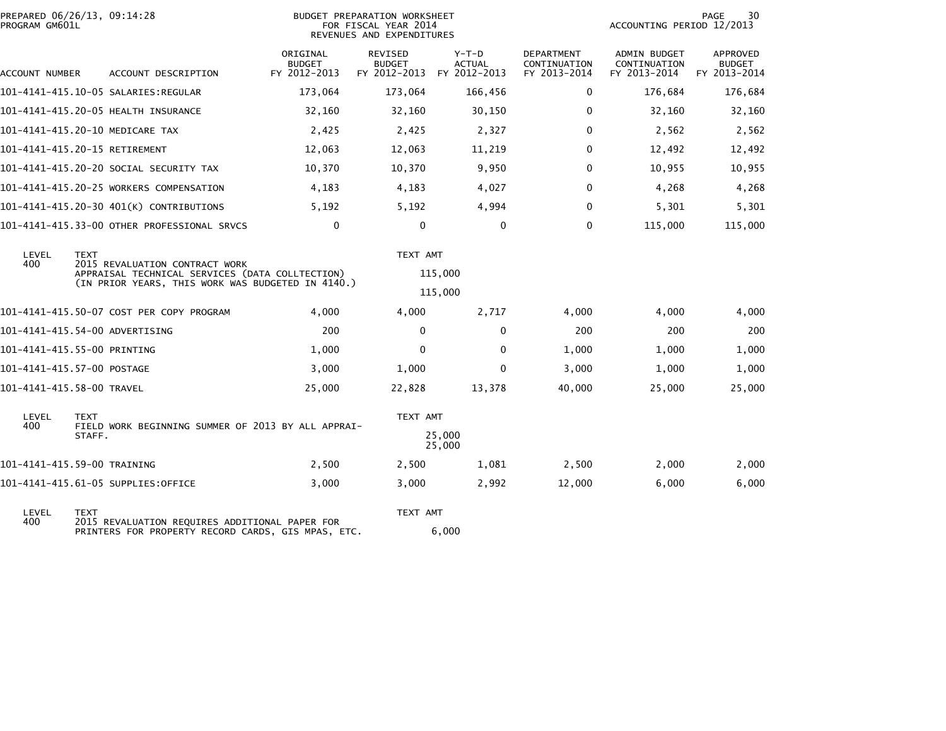| PREPARED 06/26/13, 09:14:28<br>PROGRAM GM601L |             |                                                                                   |                                           | <b>BUDGET PREPARATION WORKSHEET</b><br>FOR FISCAL YEAR 2014<br>REVENUES AND EXPENDITURES |                                          |                                                   | ACCOUNTING PERIOD 12/2013                           | PAGE<br>30                                |
|-----------------------------------------------|-------------|-----------------------------------------------------------------------------------|-------------------------------------------|------------------------------------------------------------------------------------------|------------------------------------------|---------------------------------------------------|-----------------------------------------------------|-------------------------------------------|
| ACCOUNT NUMBER                                |             | ACCOUNT DESCRIPTION                                                               | ORIGINAL<br><b>BUDGET</b><br>FY 2012-2013 | REVISED<br><b>BUDGET</b><br>FY 2012-2013                                                 | $Y-T-D$<br><b>ACTUAL</b><br>FY 2012-2013 | <b>DEPARTMENT</b><br>CONTINUATION<br>FY 2013-2014 | <b>ADMIN BUDGET</b><br>CONTINUATION<br>FY 2013-2014 | APPROVED<br><b>BUDGET</b><br>FY 2013-2014 |
|                                               |             |                                                                                   | 173,064                                   | 173,064                                                                                  | 166,456                                  | $\mathbf{0}$                                      | 176,684                                             | 176,684                                   |
|                                               |             | 101-4141-415.20-05 HEALTH INSURANCE                                               | 32,160                                    | 32,160                                                                                   | 30,150                                   | 0                                                 | 32,160                                              | 32,160                                    |
|                                               |             | 101-4141-415.20-10 MEDICARE TAX                                                   | 2,425                                     | 2,425                                                                                    | 2,327                                    | $\mathbf 0$                                       | 2,562                                               | 2,562                                     |
| 101-4141-415.20-15 RETIREMENT                 |             |                                                                                   | 12,063                                    | 12,063                                                                                   | 11,219                                   | 0                                                 | 12,492                                              | 12,492                                    |
|                                               |             | 101–4141–415.20–20 SOCIAL SECURITY TAX                                            | 10,370                                    | 10,370                                                                                   | 9,950                                    | $\mathbf{0}$                                      | 10,955                                              | 10,955                                    |
|                                               |             | 101-4141-415.20-25 WORKERS COMPENSATION                                           | 4,183                                     | 4,183                                                                                    | 4,027                                    | $\mathbf{0}$                                      | 4,268                                               | 4,268                                     |
|                                               |             | 101-4141-415.20-30 401(K) CONTRIBUTIONS                                           | 5,192                                     | 5,192                                                                                    | 4,994                                    | $\mathbf{0}$                                      | 5,301                                               | 5,301                                     |
|                                               |             | 101-4141-415.33-00 OTHER PROFESSIONAL SRVCS                                       | $\Omega$                                  | $\mathbf{0}$                                                                             | $\Omega$                                 | $\mathbf{0}$                                      | 115,000                                             | 115,000                                   |
| LEVEL<br>400                                  | <b>TEXT</b> | 2015 REVALUATION CONTRACT WORK<br>APPRAISAL TECHNICAL SERVICES (DATA COLLTECTION) |                                           | TEXT AMT                                                                                 | 115,000                                  |                                                   |                                                     |                                           |
|                                               |             | (IN PRIOR YEARS, THIS WORK WAS BUDGETED IN 4140.)                                 |                                           |                                                                                          | 115,000                                  |                                                   |                                                     |                                           |
|                                               |             | 101-4141-415.50-07 COST PER COPY PROGRAM                                          | 4,000                                     | 4,000                                                                                    | 2,717                                    | 4,000                                             | 4,000                                               | 4,000                                     |
| 101-4141-415.54-00 ADVERTISING                |             |                                                                                   | 200                                       | 0                                                                                        | $\Omega$                                 | 200                                               | 200                                                 | 200                                       |
| 101-4141-415.55-00 PRINTING                   |             |                                                                                   | 1,000                                     | $\Omega$                                                                                 | $\Omega$                                 | 1,000                                             | 1,000                                               | 1,000                                     |
| 101-4141-415.57-00 POSTAGE                    |             |                                                                                   | 3,000                                     | 1,000                                                                                    | $\Omega$                                 | 3,000                                             | 1,000                                               | 1,000                                     |
| 101-4141-415.58-00 TRAVEL                     |             |                                                                                   | 25,000                                    | 22,828                                                                                   | 13,378                                   | 40,000                                            | 25,000                                              | 25,000                                    |
| LEVEL<br>400                                  | <b>TEXT</b> | FIELD WORK BEGINNING SUMMER OF 2013 BY ALL APPRAI-                                |                                           | TEXT AMT                                                                                 |                                          |                                                   |                                                     |                                           |
|                                               | STAFF.      |                                                                                   |                                           |                                                                                          | 25,000<br>25,000                         |                                                   |                                                     |                                           |
| 101-4141-415.59-00 TRAINING                   |             |                                                                                   | 2,500                                     | 2,500                                                                                    | 1,081                                    | 2,500                                             | 2,000                                               | 2,000                                     |
|                                               |             | 101-4141-415.61-05 SUPPLIES:OFFICE                                                | 3,000                                     | 3,000                                                                                    | 2,992                                    | 12,000                                            | 6,000                                               | 6,000                                     |
| LEVEL<br>400                                  | <b>TEXT</b> | 2015 REVALUATION REQUIRES ADDITIONAL PAPER FOR                                    |                                           | TEXT AMT                                                                                 |                                          |                                                   |                                                     |                                           |

400 2015 REVALUATION REQUIRES ADDITIONAL PAPER FOR PRINTERS FOR PROPERTY RECORD CARDS, GIS MPAS, ETC. 6,000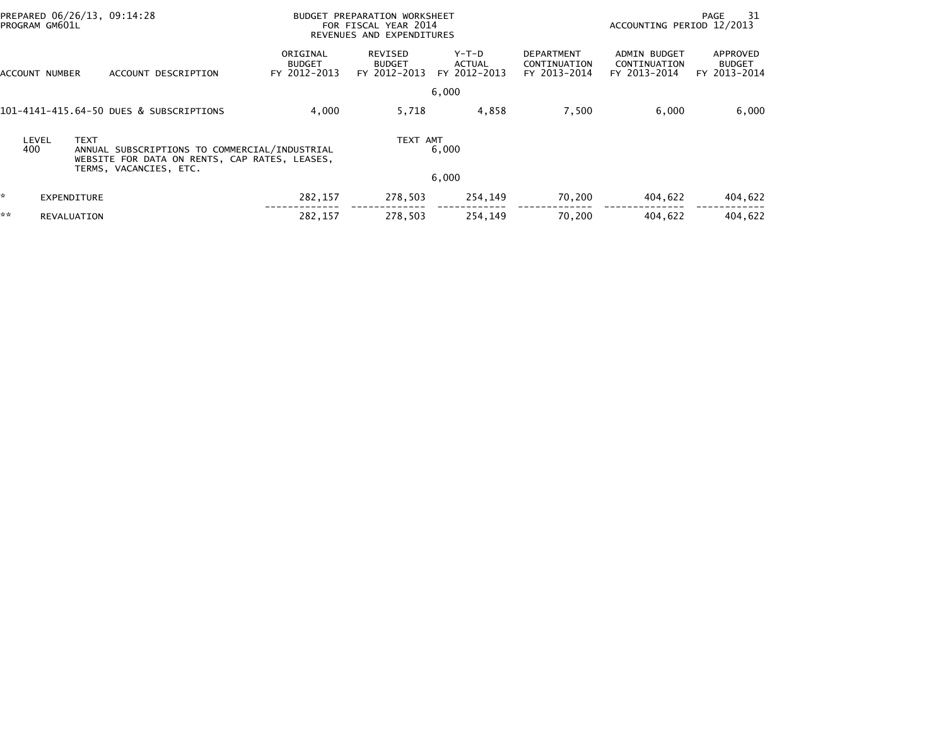|    | PREPARED 06/26/13, 09:14:28<br>PROGRAM GM601L |                                                                                                | BUDGET PREPARATION WORKSHEET<br>FOR FISCAL YEAR 2014<br>REVENUES AND EXPENDITURES |                                          |                                        |                                                   | ACCOUNTING PERIOD 12/2013                    | PAGE<br>-31                               |
|----|-----------------------------------------------|------------------------------------------------------------------------------------------------|-----------------------------------------------------------------------------------|------------------------------------------|----------------------------------------|---------------------------------------------------|----------------------------------------------|-------------------------------------------|
|    | ACCOUNT NUMBER                                | ACCOUNT DESCRIPTION                                                                            | ORIGINAL<br><b>BUDGET</b><br>FY 2012-2013                                         | REVISED<br><b>BUDGET</b><br>FY 2012-2013 | Y-T-D<br><b>ACTUAL</b><br>FY 2012-2013 | <b>DEPARTMENT</b><br>CONTINUATION<br>FY 2013-2014 | ADMIN BUDGET<br>CONTINUATION<br>FY 2013-2014 | APPROVED<br><b>BUDGET</b><br>FY 2013-2014 |
|    |                                               |                                                                                                |                                                                                   |                                          | 6,000                                  |                                                   |                                              |                                           |
|    |                                               | 101-4141-415.64-50 DUES & SUBSCRIPTIONS                                                        | 4,000                                                                             | 5,718                                    | 4,858                                  | 7,500                                             | 6,000                                        | 6,000                                     |
|    | <b>TEXT</b><br>LEVEL<br>400                   | ANNUAL SUBSCRIPTIONS TO COMMERCIAL/INDUSTRIAL<br>WEBSITE FOR DATA ON RENTS, CAP RATES, LEASES, |                                                                                   | TEXT AMT                                 | 6,000                                  |                                                   |                                              |                                           |
|    |                                               | TERMS, VACANCIES, ETC.                                                                         |                                                                                   |                                          | 6,000                                  |                                                   |                                              |                                           |
| ŵ. | EXPENDITURE                                   |                                                                                                | 282,157                                                                           | 278,503                                  | 254,149                                | 70,200                                            | 404,622                                      | 404,622                                   |
| ** | REVALUATION                                   |                                                                                                | 282.157                                                                           | 278.503                                  | 254.149                                | 70.200                                            | 404.622                                      | 404.622                                   |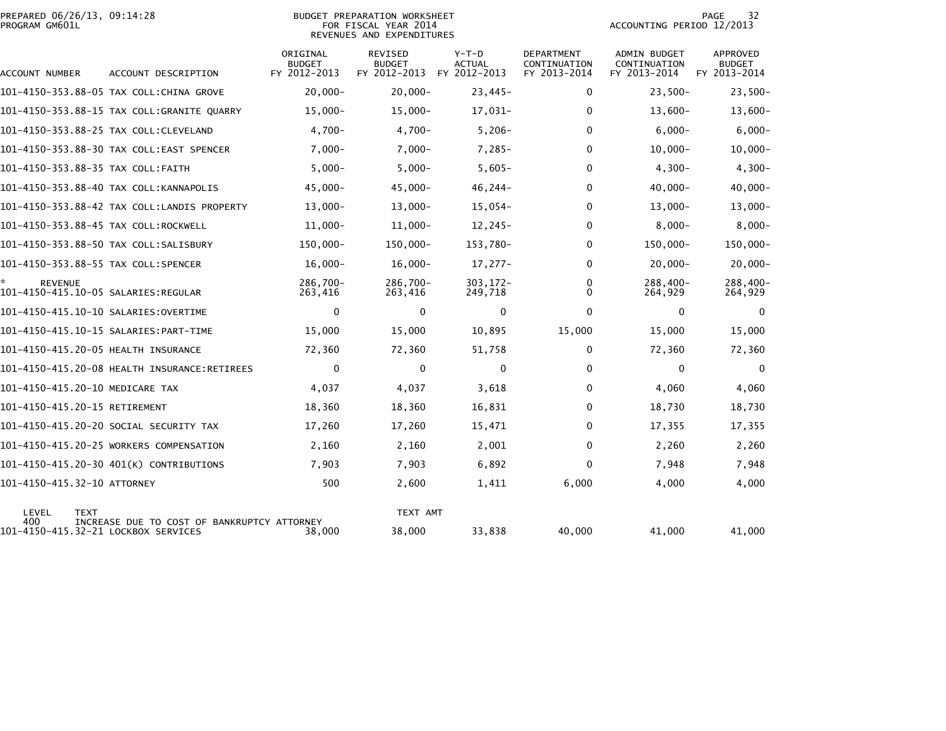|                | PREPARED 06/26/13, 09:14:28 |  |
|----------------|-----------------------------|--|
| PROGRAM GM601L |                             |  |

## BUDGET PREPARATION WORKSHEET<br>FOR FISCAL YEAR 2014 PROGRAM GM601L FOR FISCAL YEAR 2014 ACCOUNTING PERIOD 12/2013REVENUES AND EXPENDITURES

| ACCOUNT NUMBER                             | ACCOUNT DESCRIPTION                          | ORIGINAL<br><b>BUDGET</b><br>FY 2012-2013 | <b>REVISED</b><br><b>BUDGET</b><br>FY 2012-2013 | $Y-T-D$<br><b>ACTUAL</b><br>FY 2012-2013 | <b>DEPARTMENT</b><br>CONTINUATION<br>FY 2013-2014 | <b>ADMIN BUDGET</b><br>CONTINUATION<br>FY 2013-2014 | APPROVED<br><b>BUDGET</b><br>FY 2013-2014 |
|--------------------------------------------|----------------------------------------------|-------------------------------------------|-------------------------------------------------|------------------------------------------|---------------------------------------------------|-----------------------------------------------------|-------------------------------------------|
|                                            | 101–4150–353.88–05 TAX COLL:CHINA GROVE      | $20,000 -$                                | $20,000 -$                                      | $23,445-$                                | 0                                                 | $23,500-$                                           | $23,500-$                                 |
|                                            | 101-4150-353.88-15 TAX COLL:GRANITE QUARRY   | $15,000 -$                                | $15,000 -$                                      | 17,031-                                  | $\mathbf{0}$                                      | $13,600-$                                           | $13,600 -$                                |
|                                            | 101-4150-353.88-25 TAX COLL:CLEVELAND        | $4,700-$                                  | $4,700-$                                        | $5,206 -$                                | $\mathbf{0}$                                      | $6,000 -$                                           | $6,000-$                                  |
|                                            | 101-4150-353.88-30 TAX COLL:EAST SPENCER     | $7,000-$                                  | $7,000-$                                        | $7,285-$                                 | $\mathbf{0}$                                      | $10,000 -$                                          | $10,000 -$                                |
| 101-4150-353.88-35 TAX COLL:FAITH          |                                              | $5,000 -$                                 | $5,000 -$                                       | $5,605-$                                 | $\mathbf{0}$                                      | $4,300-$                                            | $4,300-$                                  |
|                                            | 101-4150-353.88-40 TAX COLL:KANNAPOLIS       | $45,000 -$                                | $45,000 -$                                      | $46, 244 -$                              | $\mathbf 0$                                       | $40,000 -$                                          | $40,000 -$                                |
|                                            |                                              | $13,000-$                                 | $13,000-$                                       | $15,054-$                                | $\Omega$                                          | $13,000 -$                                          | $13,000 -$                                |
| 101-4150-353.88-45 TAX COLL:ROCKWELL       |                                              | $11,000 -$                                | $11,000 -$                                      | $12, 245 -$                              | 0                                                 | $8,000 -$                                           | $8,000 -$                                 |
|                                            | 101-4150-353.88-50 TAX COLL:SALISBURY        | 150,000-                                  | 150,000-                                        | 153,780-                                 | $\mathbf{0}$                                      | 150,000-                                            | 150,000-                                  |
| 101-4150-353.88-55 TAX COLL:SPENCER        |                                              | $16,000 -$                                | $16,000 -$                                      | $17,277-$                                | 0                                                 | $20,000 -$                                          | $20,000 -$                                |
| <b>REVENUE</b>                             |                                              | 286,700-<br>263,416                       | 286,700-<br>263,416                             | $303, 172 -$<br>249,718                  | 0<br>0                                            | 288,400-<br>264,929                                 | 288,400-<br>264,929                       |
|                                            |                                              | 0                                         | $\mathbf{0}$                                    | 0                                        | $\mathbf{0}$                                      | $\Omega$                                            | $\Omega$                                  |
|                                            | 101-4150-415.10-15 SALARIES: PART-TIME       | 15,000                                    | 15,000                                          | 10,895                                   | 15,000                                            | 15,000                                              | 15,000                                    |
| 101-4150-415.20-05 HEALTH INSURANCE        |                                              | 72,360                                    | 72,360                                          | 51,758                                   | 0                                                 | 72,360                                              | 72,360                                    |
|                                            | 101-4150-415.20-08 HEALTH INSURANCE:RETIREES | 0                                         | $\mathbf{0}$                                    | 0                                        | $\mathbf{0}$                                      | $\mathbf{0}$                                        | $\Omega$                                  |
| 101-4150-415.20-10 MEDICARE TAX            |                                              | 4,037                                     | 4,037                                           | 3,618                                    | 0                                                 | 4,060                                               | 4,060                                     |
| 101-4150-415.20-15 RETIREMENT              |                                              | 18,360                                    | 18,360                                          | 16,831                                   | 0                                                 | 18,730                                              | 18,730                                    |
|                                            | 101-4150-415.20-20 SOCIAL SECURITY TAX       | 17,260                                    | 17,260                                          | 15,471                                   | $\mathbf{0}$                                      | 17,355                                              | 17,355                                    |
|                                            | 101-4150-415.20-25 WORKERS COMPENSATION      | 2,160                                     | 2,160                                           | 2,001                                    | $\mathbf{0}$                                      | 2,260                                               | 2,260                                     |
|                                            | 101-4150-415.20-30 401(K) CONTRIBUTIONS      | 7,903                                     | 7,903                                           | 6,892                                    | $\mathbf{0}$                                      | 7,948                                               | 7,948                                     |
| 101-4150-415.32-10 ATTORNEY                |                                              | 500                                       | 2,600                                           | 1,411                                    | 6,000                                             | 4,000                                               | 4,000                                     |
| LEVEL<br><b>TEXT</b>                       |                                              |                                           | TEXT AMT                                        |                                          |                                                   |                                                     |                                           |
| 400<br>101-4150-415.32-21 LOCKBOX SERVICES | INCREASE DUE TO COST OF BANKRUPTCY ATTORNEY  | 38,000                                    | 38,000                                          | 33,838                                   | 40,000                                            | 41,000                                              | 41,000                                    |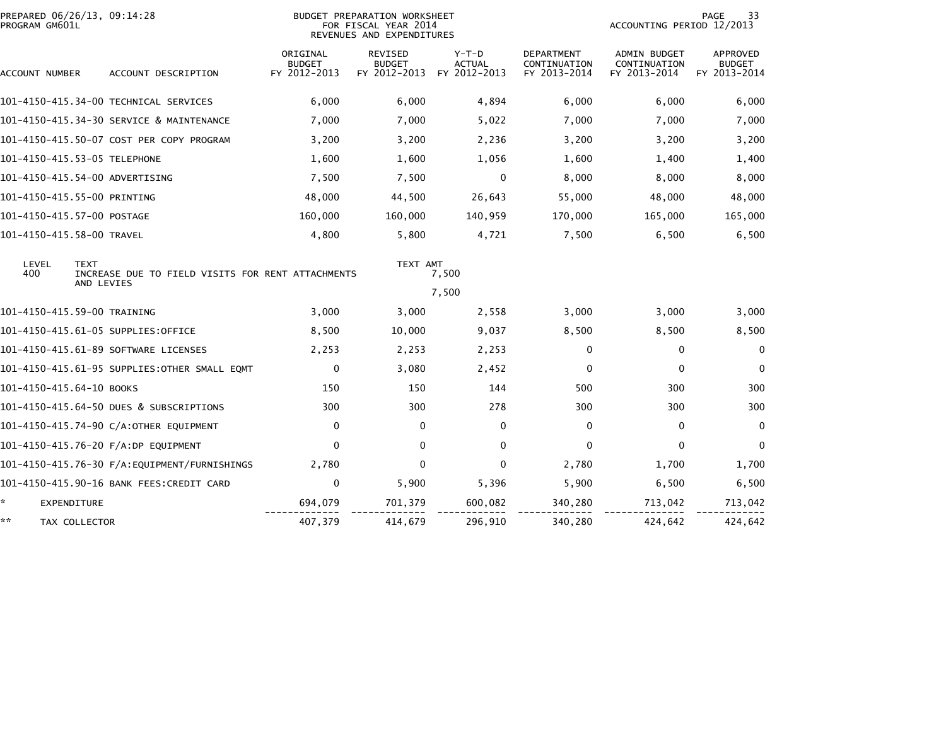| PROGRAM GM601L            | PREPARED 06/26/13, 09:14:28                                      |                                           | BUDGET PREPARATION WORKSHEET<br>FOR FISCAL YEAR 2014<br>REVENUES AND EXPENDITURES |                                          |                                                   | ACCOUNTING PERIOD 12/2013                    | 33<br><b>PAGE</b>                                |
|---------------------------|------------------------------------------------------------------|-------------------------------------------|-----------------------------------------------------------------------------------|------------------------------------------|---------------------------------------------------|----------------------------------------------|--------------------------------------------------|
| ACCOUNT NUMBER            | ACCOUNT DESCRIPTION                                              | ORIGINAL<br><b>BUDGET</b><br>FY 2012-2013 | <b>REVISED</b><br><b>BUDGET</b><br>FY 2012-2013                                   | $Y-T-D$<br><b>ACTUAL</b><br>FY 2012-2013 | <b>DEPARTMENT</b><br>CONTINUATION<br>FY 2013-2014 | ADMIN BUDGET<br>CONTINUATION<br>FY 2013-2014 | <b>APPROVED</b><br><b>BUDGET</b><br>FY 2013-2014 |
|                           | 101-4150-415.34-00 TECHNICAL SERVICES                            | 6,000                                     | 6,000                                                                             | 4,894                                    | 6,000                                             | 6,000                                        | 6,000                                            |
|                           | 101-4150-415.34-30 SERVICE & MAINTENANCE                         | 7,000                                     | 7,000                                                                             | 5,022                                    | 7,000                                             | 7,000                                        | 7,000                                            |
|                           | 101-4150-415.50-07 COST PER COPY PROGRAM                         | 3,200                                     | 3,200                                                                             | 2,236                                    | 3,200                                             | 3,200                                        | 3,200                                            |
|                           | 101-4150-415.53-05 TELEPHONE                                     | 1,600                                     | 1,600                                                                             | 1,056                                    | 1,600                                             | 1,400                                        | 1,400                                            |
|                           | 101-4150-415.54-00 ADVERTISING                                   | 7,500                                     | 7,500                                                                             | 0                                        | 8,000                                             | 8,000                                        | 8,000                                            |
|                           | 101-4150-415.55-00 PRINTING                                      | 48,000                                    | 44,500                                                                            | 26,643                                   | 55,000                                            | 48,000                                       | 48,000                                           |
|                           | 101-4150-415.57-00 POSTAGE                                       | 160,000                                   | 160,000                                                                           | 140,959                                  | 170,000                                           | 165,000                                      | 165,000                                          |
| 101-4150-415.58-00 TRAVEL |                                                                  | 4,800                                     | 5,800                                                                             | 4,721                                    | 7,500                                             | 6,500                                        | 6,500                                            |
| LEVEL<br>400              | <b>TEXT</b><br>INCREASE DUE TO FIELD VISITS FOR RENT ATTACHMENTS |                                           | TEXT AMT                                                                          | 7,500                                    |                                                   |                                              |                                                  |
|                           | AND LEVIES                                                       |                                           |                                                                                   | 7,500                                    |                                                   |                                              |                                                  |
|                           | 101-4150-415.59-00 TRAINING                                      | 3,000                                     | 3,000                                                                             | 2,558                                    | 3,000                                             | 3,000                                        | 3,000                                            |
|                           | 101-4150-415.61-05 SUPPLIES:OFFICE                               | 8,500                                     | 10,000                                                                            | 9,037                                    | 8,500                                             | 8,500                                        | 8,500                                            |
|                           | 101-4150-415.61-89 SOFTWARE LICENSES                             | 2,253                                     | 2,253                                                                             | 2,253                                    | 0                                                 | $\mathbf{0}$                                 | $\Omega$                                         |
|                           | 101-4150-415.61-95 SUPPLIES:OTHER SMALL EQMT                     | $\mathbf 0$                               | 3,080                                                                             | 2,452                                    | $\Omega$                                          | $\mathbf{0}$                                 | $\Omega$                                         |
| 101-4150-415.64-10 BOOKS  |                                                                  | 150                                       | 150                                                                               | 144                                      | 500                                               | 300                                          | 300                                              |
|                           | 101-4150-415.64-50 DUES & SUBSCRIPTIONS                          | 300                                       | 300                                                                               | 278                                      | 300                                               | 300                                          | 300                                              |
|                           | 101-4150-415.74-90 C/A:OTHER EQUIPMENT                           | $\mathbf 0$                               | $\mathbf{0}$                                                                      | 0                                        | $\Omega$                                          | 0                                            | $\Omega$                                         |
|                           | 101-4150-415.76-20 F/A:DP EQUIPMENT                              | $\Omega$                                  | $\mathbf{0}$                                                                      | $\mathbf{0}$                             | $\Omega$                                          | $\mathbf{0}$                                 | $\Omega$                                         |
|                           |                                                                  | 2,780                                     | $\Omega$                                                                          | 0                                        | 2,780                                             | 1,700                                        | 1,700                                            |
|                           | 101-4150-415.90-16 BANK FEES:CREDIT CARD                         | 0                                         | 5,900                                                                             | 5,396                                    | 5,900                                             | 6,500                                        | 6,500                                            |
| *.<br><b>EXPENDITURE</b>  |                                                                  | 694,079                                   | 701,379                                                                           | 600,082                                  | 340,280                                           | 713,042                                      | 713,042                                          |
| **                        | TAX COLLECTOR                                                    | 407,379                                   | 414,679                                                                           | 296,910                                  | 340,280                                           | 424,642                                      | 424,642                                          |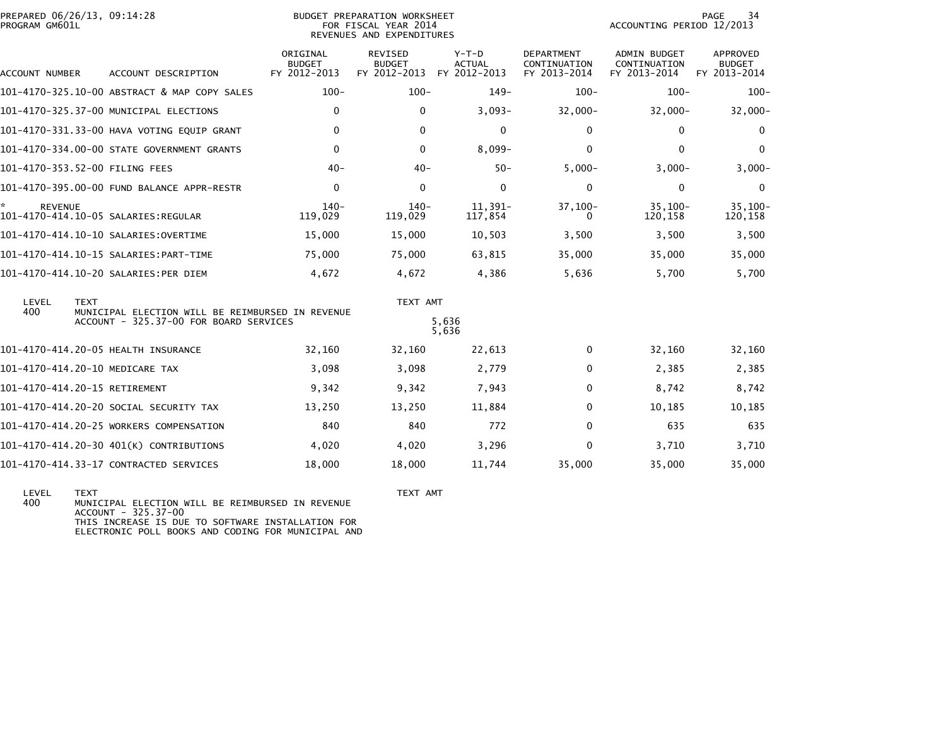| PROGRAM GM601L | PREPARED 06/26/13, 09:14:28<br>BUDGET PREPARATION WORKSHEET<br>FOR FISCAL YEAR 2014<br>REVENUES AND EXPENDITURES |                                                  |                                                 |                                          |                                                   | <b>PAGE</b><br>34<br>ACCOUNTING PERIOD 12/2013      |                                           |  |  |
|----------------|------------------------------------------------------------------------------------------------------------------|--------------------------------------------------|-------------------------------------------------|------------------------------------------|---------------------------------------------------|-----------------------------------------------------|-------------------------------------------|--|--|
| ACCOUNT NUMBER | ACCOUNT DESCRIPTION                                                                                              | ORIGINAL<br><b>BUDGET</b><br>FY 2012-2013        | <b>REVISED</b><br><b>BUDGET</b><br>FY 2012-2013 | $Y-T-D$<br><b>ACTUAL</b><br>FY 2012-2013 | <b>DEPARTMENT</b><br>CONTINUATION<br>FY 2013-2014 | <b>ADMIN BUDGET</b><br>CONTINUATION<br>FY 2013-2014 | APPROVED<br><b>BUDGET</b><br>FY 2013-2014 |  |  |
|                | 101-4170-325.10-00 ABSTRACT & MAP COPY SALES                                                                     | $100 -$                                          | $100 -$                                         | $149-$                                   | $100 -$                                           | $100 -$                                             | $100 -$                                   |  |  |
|                | 101-4170-325.37-00 MUNICIPAL ELECTIONS                                                                           | $\mathbf{0}$                                     | $\mathbf{0}$                                    | $3,093-$                                 | $32,000 -$                                        | $32,000 -$                                          | $32,000 -$                                |  |  |
|                | 101-4170-331.33-00 HAVA VOTING EQUIP GRANT                                                                       | $\mathbf{0}$                                     | $\mathbf{0}$                                    | $\Omega$                                 | 0                                                 | $\mathbf{0}$                                        | 0                                         |  |  |
|                | 101-4170-334.00-00 STATE GOVERNMENT GRANTS                                                                       | $\mathbf{0}$                                     | 0                                               | $8,099-$                                 | $\Omega$                                          | $\mathbf{0}$                                        | $\mathbf 0$                               |  |  |
|                | 101-4170-353.52-00 FILING FEES                                                                                   | $40 -$                                           | $40 -$                                          | $50 -$                                   | $5,000 -$                                         | $3,000-$                                            | $3,000-$                                  |  |  |
|                | 101-4170-395.00-00 FUND BALANCE APPR-RESTR                                                                       | $\mathbf 0$                                      | $\Omega$                                        | $\mathbf{0}$                             | $\mathbf 0$                                       | 0                                                   | 0                                         |  |  |
| <b>REVENUE</b> | 101-4170-414.10-05 SALARIES:REGULAR                                                                              | $140-$<br>119,029                                | $140-$<br>119,029                               | $11,391-$<br>117,854                     | $37,100-$                                         | $35,100-$<br>120,158                                | $35,100 -$<br>120,158                     |  |  |
|                |                                                                                                                  | 15,000                                           | 15,000                                          | 10,503                                   | 3,500                                             | 3,500                                               | 3,500                                     |  |  |
|                |                                                                                                                  | 75,000                                           | 75,000                                          | 63,815                                   | 35,000                                            | 35,000                                              | 35,000                                    |  |  |
|                | 101-4170-414.10-20 SALARIES:PER DIEM                                                                             | 4,672                                            | 4,672                                           | 4,386                                    | 5,636                                             | 5,700                                               | 5,700                                     |  |  |
| LEVEL          | <b>TEXT</b>                                                                                                      |                                                  |                                                 |                                          |                                                   |                                                     |                                           |  |  |
| 400            | ACCOUNT - 325.37-00 FOR BOARD SERVICES                                                                           | MUNICIPAL ELECTION WILL BE REIMBURSED IN REVENUE |                                                 | 5,636<br>5,636                           |                                                   |                                                     |                                           |  |  |
|                | 101-4170-414.20-05 HEALTH INSURANCE                                                                              | 32,160                                           | 32,160                                          | 22,613                                   | 0                                                 | 32,160                                              | 32,160                                    |  |  |
|                | 101-4170-414.20-10 MEDICARE TAX                                                                                  | 3,098                                            | 3,098                                           | 2,779                                    | 0                                                 | 2,385                                               | 2,385                                     |  |  |
|                | 101-4170-414.20-15 RETIREMENT                                                                                    | 9,342                                            | 9,342                                           | 7,943                                    | 0                                                 | 8,742                                               | 8,742                                     |  |  |
|                | 101-4170-414.20-20 SOCIAL SECURITY TAX                                                                           | 13,250                                           | 13,250                                          | 11,884                                   | 0                                                 | 10,185                                              | 10,185                                    |  |  |
|                | 101-4170-414.20-25 WORKERS COMPENSATION                                                                          | 840                                              | 840                                             | 772                                      | $\Omega$                                          | 635                                                 | 635                                       |  |  |
|                | 101-4170-414.20-30 401(K) CONTRIBUTIONS                                                                          | 4,020                                            | 4,020                                           | 3,296                                    | $\Omega$                                          | 3,710                                               | 3,710                                     |  |  |
|                | 101-4170-414.33-17 CONTRACTED SERVICES                                                                           | 18,000                                           | 18,000                                          | 11,744                                   | 35,000                                            | 35,000                                              | 35,000                                    |  |  |
|                |                                                                                                                  |                                                  |                                                 |                                          |                                                   |                                                     |                                           |  |  |

 LEVEL TEXT TEXT AMT 400 MUNICIPAL ELECTION WILL BE REIMBURSED IN REVENUE ACCOUNT - 325.37-00THIS INCREASE IS DUE TO SOFTWARE INSTALLATION FOR ELECTRONIC POLL BOOKS AND CODING FOR MUNICIPAL AND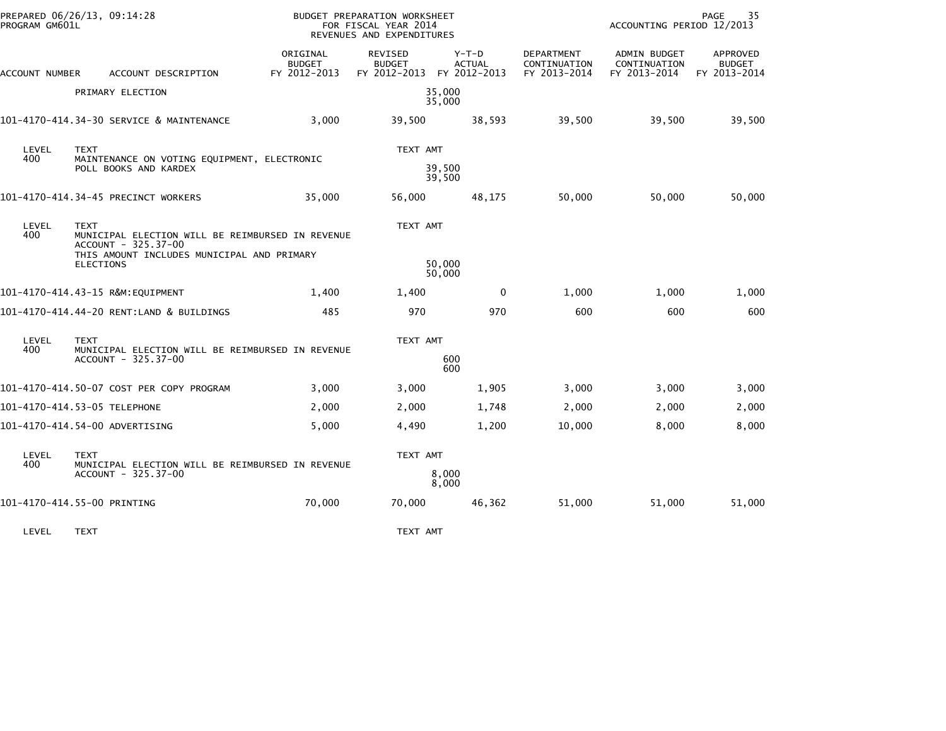| PREPARED 06/26/13, 09:14:28<br>PROGRAM GM601L |                                                                                                                                                          | BUDGET PREPARATION WORKSHEET<br>FOR FISCAL YEAR 2014<br>REVENUES AND EXPENDITURES |                                                       |                          | 35<br>PAGE<br>ACCOUNTING PERIOD 12/2013    |                                              |                                           |  |
|-----------------------------------------------|----------------------------------------------------------------------------------------------------------------------------------------------------------|-----------------------------------------------------------------------------------|-------------------------------------------------------|--------------------------|--------------------------------------------|----------------------------------------------|-------------------------------------------|--|
| ACCOUNT NUMBER                                | ACCOUNT DESCRIPTION                                                                                                                                      | ORIGINAL<br><b>BUDGET</b><br>FY 2012-2013                                         | REVISED<br><b>BUDGET</b><br>FY 2012-2013 FY 2012-2013 | $Y-T-D$<br><b>ACTUAL</b> | DEPARTMENT<br>CONTINUATION<br>FY 2013-2014 | ADMIN BUDGET<br>CONTINUATION<br>FY 2013-2014 | APPROVED<br><b>BUDGET</b><br>FY 2013-2014 |  |
|                                               | PRIMARY ELECTION                                                                                                                                         |                                                                                   |                                                       | 35.000<br>35,000         |                                            |                                              |                                           |  |
|                                               | 101-4170-414.34-30 SERVICE & MAINTENANCE                                                                                                                 | 3,000                                                                             | 39,500                                                | 38,593                   | 39,500                                     | 39,500                                       | 39,500                                    |  |
| LEVEL<br>400                                  | <b>TEXT</b><br>MAINTENANCE ON VOTING EQUIPMENT, ELECTRONIC<br>POLL BOOKS AND KARDEX                                                                      |                                                                                   | TEXT AMT<br>39,500                                    |                          |                                            |                                              |                                           |  |
|                                               |                                                                                                                                                          |                                                                                   | 39,500                                                |                          |                                            |                                              |                                           |  |
|                                               | 101-4170-414.34-45 PRECINCT WORKERS                                                                                                                      | 35,000                                                                            | 56,000                                                | 48,175                   | 50,000                                     | 50,000                                       | 50,000                                    |  |
| LEVEL<br>400                                  | <b>TEXT</b><br>MUNICIPAL ELECTION WILL BE REIMBURSED IN REVENUE<br>ACCOUNT - 325.37-00<br>THIS AMOUNT INCLUDES MUNICIPAL AND PRIMARY<br><b>ELECTIONS</b> |                                                                                   | TEXT AMT                                              | 50,000                   |                                            |                                              |                                           |  |
|                                               |                                                                                                                                                          |                                                                                   |                                                       | 50,000                   |                                            |                                              |                                           |  |
|                                               | 101-4170-414.43-15 R&M:EQUIPMENT                                                                                                                         | 1,400                                                                             | 1,400                                                 | 0                        | 1,000                                      | 1,000                                        | 1,000                                     |  |
|                                               | 101-4170-414.44-20 RENT:LAND & BUILDINGS                                                                                                                 | 485                                                                               | 970                                                   | 970                      | 600                                        | 600                                          | 600                                       |  |
| LEVEL<br>400                                  | <b>TEXT</b><br>MUNICIPAL ELECTION WILL BE REIMBURSED IN REVENUE                                                                                          |                                                                                   | TEXT AMT                                              |                          |                                            |                                              |                                           |  |
|                                               | ACCOUNT - 325.37-00                                                                                                                                      |                                                                                   | 600<br>600                                            |                          |                                            |                                              |                                           |  |
|                                               | 101-4170-414.50-07 COST PER COPY PROGRAM                                                                                                                 | 3,000                                                                             | 3,000                                                 | 1,905                    | 3,000                                      | 3,000                                        | 3,000                                     |  |
|                                               | 101-4170-414.53-05 TELEPHONE                                                                                                                             | 2,000                                                                             | 2,000                                                 | 1,748                    | 2,000                                      | 2,000                                        | 2,000                                     |  |
|                                               | 101-4170-414.54-00 ADVERTISING                                                                                                                           | 5,000                                                                             | 4,490                                                 | 1,200                    | 10,000                                     | 8,000                                        | 8,000                                     |  |
| LEVEL                                         | <b>TEXT</b>                                                                                                                                              |                                                                                   | TEXT AMT                                              |                          |                                            |                                              |                                           |  |
| 400                                           | MUNICIPAL ELECTION WILL BE REIMBURSED IN REVENUE<br>ACCOUNT - 325.37-00                                                                                  |                                                                                   | 8,000<br>8,000                                        |                          |                                            |                                              |                                           |  |
|                                               | 101-4170-414.55-00 PRINTING                                                                                                                              | 70,000                                                                            | 70,000                                                | 46,362                   | 51,000                                     | 51,000                                       | 51,000                                    |  |

LEVEL TEXT TEXT AMT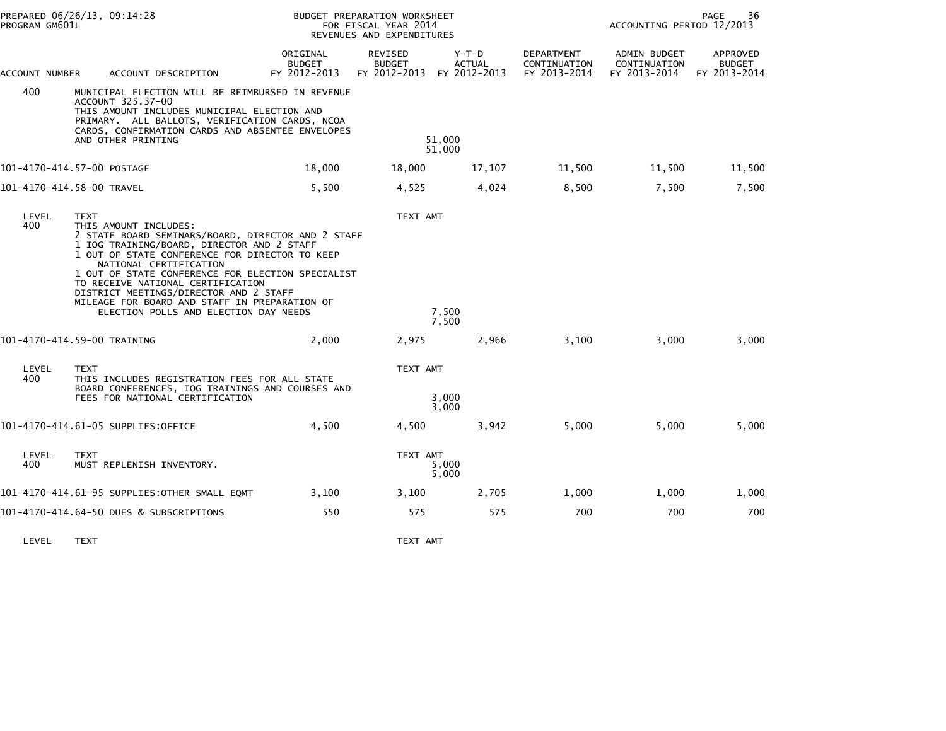| PREPARED 06/26/13, 09:14:28<br>PROGRAM GM601L |                                                                                                                                                                                                                                                                                                                                                                                                                                                    | BUDGET PREPARATION WORKSHEET<br>FOR FISCAL YEAR 2014<br>REVENUES AND EXPENDITURES |                                                              |                          | PAGE<br>36<br>ACCOUNTING PERIOD 12/2013           |                                                     |                                           |  |
|-----------------------------------------------|----------------------------------------------------------------------------------------------------------------------------------------------------------------------------------------------------------------------------------------------------------------------------------------------------------------------------------------------------------------------------------------------------------------------------------------------------|-----------------------------------------------------------------------------------|--------------------------------------------------------------|--------------------------|---------------------------------------------------|-----------------------------------------------------|-------------------------------------------|--|
| ACCOUNT NUMBER                                | ACCOUNT DESCRIPTION                                                                                                                                                                                                                                                                                                                                                                                                                                | ORIGINAL<br><b>BUDGET</b><br>FY 2012-2013                                         | <b>REVISED</b><br><b>BUDGET</b><br>FY 2012-2013 FY 2012-2013 | $Y-T-D$<br><b>ACTUAL</b> | <b>DEPARTMENT</b><br>CONTINUATION<br>FY 2013-2014 | <b>ADMIN BUDGET</b><br>CONTINUATION<br>FY 2013-2014 | APPROVED<br><b>BUDGET</b><br>FY 2013-2014 |  |
| 400                                           | MUNICIPAL ELECTION WILL BE REIMBURSED IN REVENUE<br>ACCOUNT 325.37-00<br>THIS AMOUNT INCLUDES MUNICIPAL ELECTION AND<br>PRIMARY. ALL BALLOTS, VERIFICATION CARDS, NCOA<br>CARDS, CONFIRMATION CARDS AND ABSENTEE ENVELOPES<br>AND OTHER PRINTING                                                                                                                                                                                                   | 51,000<br>51,000                                                                  |                                                              |                          |                                                   |                                                     |                                           |  |
|                                               | 101-4170-414.57-00 POSTAGE                                                                                                                                                                                                                                                                                                                                                                                                                         | 18,000                                                                            | 18,000                                                       | 17,107                   | 11,500                                            | 11,500                                              | 11,500                                    |  |
|                                               | 101-4170-414.58-00 TRAVEL                                                                                                                                                                                                                                                                                                                                                                                                                          | 5,500                                                                             | 4,525                                                        | 4,024                    | 8,500                                             | 7,500                                               | 7,500                                     |  |
| LEVEL<br>400                                  | <b>TEXT</b><br>THIS AMOUNT INCLUDES:<br>2 STATE BOARD SEMINARS/BOARD, DIRECTOR AND 2 STAFF<br>1 IOG TRAINING/BOARD, DIRECTOR AND 2 STAFF<br>1 OUT OF STATE CONFERENCE FOR DIRECTOR TO KEEP<br>NATIONAL CERTIFICATION<br>1 OUT OF STATE CONFERENCE FOR ELECTION SPECIALIST<br>TO RECEIVE NATIONAL CERTIFICATION<br>DISTRICT MEETINGS/DIRECTOR AND 2 STAFF<br>MILEAGE FOR BOARD AND STAFF IN PREPARATION OF<br>ELECTION POLLS AND ELECTION DAY NEEDS |                                                                                   | TEXT AMT                                                     | 7,500<br>7,500           |                                                   |                                                     |                                           |  |
|                                               | 101-4170-414.59-00 TRAINING                                                                                                                                                                                                                                                                                                                                                                                                                        | 2,000                                                                             | 2,975                                                        | 2,966                    | 3,100                                             | 3,000                                               | 3,000                                     |  |
| LEVEL<br>400                                  | <b>TEXT</b><br>THIS INCLUDES REGISTRATION FEES FOR ALL STATE<br>BOARD CONFERENCES, IOG TRAININGS AND COURSES AND<br>FEES FOR NATIONAL CERTIFICATION                                                                                                                                                                                                                                                                                                | TEXT AMT<br>3,000<br>3,000                                                        |                                                              |                          |                                                   |                                                     |                                           |  |
|                                               | 101-4170-414.61-05 SUPPLIES:OFFICE                                                                                                                                                                                                                                                                                                                                                                                                                 | 4,500                                                                             | 4,500                                                        | 3,942                    | 5,000                                             | 5,000                                               | 5,000                                     |  |
| LEVEL<br>400                                  | <b>TEXT</b><br>MUST REPLENISH INVENTORY.                                                                                                                                                                                                                                                                                                                                                                                                           |                                                                                   | TEXT AMT                                                     | 5,000<br>5,000           |                                                   |                                                     |                                           |  |
|                                               | 101-4170-414.61-95 SUPPLIES:OTHER SMALL EQMT                                                                                                                                                                                                                                                                                                                                                                                                       | 3,100                                                                             | 3,100                                                        | 2,705                    | 1,000                                             | 1,000                                               | 1,000                                     |  |
|                                               | 101-4170-414.64-50 DUES & SUBSCRIPTIONS                                                                                                                                                                                                                                                                                                                                                                                                            | 550                                                                               | 575                                                          | 575                      | 700                                               | 700                                                 | 700                                       |  |

LEVEL TEXT TEXT AMT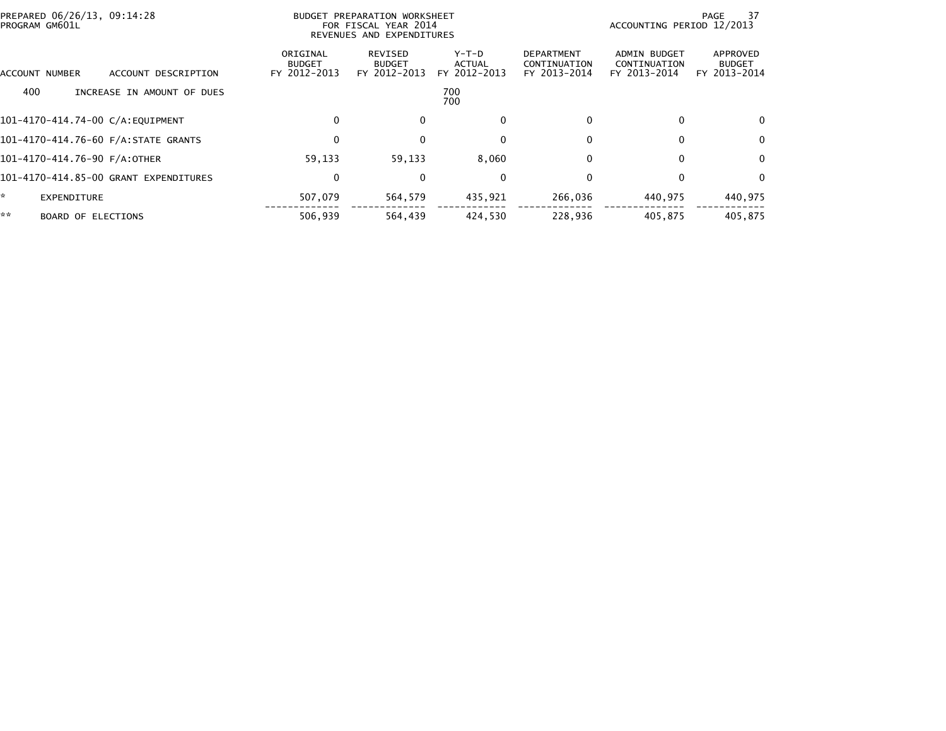| PREPARED 06/26/13, 09:14:28<br>PROGRAM GM601L |                                           | BUDGET PREPARATION WORKSHEET<br>PAGE<br>ACCOUNTING PERIOD 12/2013<br>FOR FISCAL YEAR 2014<br>REVENUES AND EXPENDITURES |                                 |                                                   |                                              | -37                                       |
|-----------------------------------------------|-------------------------------------------|------------------------------------------------------------------------------------------------------------------------|---------------------------------|---------------------------------------------------|----------------------------------------------|-------------------------------------------|
| ACCOUNT DESCRIPTION<br><b>ACCOUNT NUMBER</b>  | ORIGINAL<br><b>BUDGET</b><br>FY 2012-2013 | REVISED<br><b>BUDGET</b><br>FY 2012-2013                                                                               | Y-T-D<br>ACTUAL<br>FY 2012-2013 | <b>DEPARTMENT</b><br>CONTINUATION<br>FY 2013-2014 | ADMIN BUDGET<br>CONTINUATION<br>FY 2013-2014 | APPROVED<br><b>BUDGET</b><br>FY 2013-2014 |
| 400<br>INCREASE IN AMOUNT OF DUES             | 700<br>700                                |                                                                                                                        |                                 |                                                   |                                              |                                           |
| 101-4170-414.74-00 C/A:EQUIPMENT              | 0                                         | $\Omega$                                                                                                               | $\mathbf{0}$                    | <sup>0</sup>                                      | 0                                            | $\Omega$                                  |
| 101-4170-414.76-60 F/A: STATE GRANTS          | 0                                         |                                                                                                                        | 0                               | 0                                                 |                                              | 0                                         |
| 101-4170-414.76-90 F/A:OTHER                  | 59,133                                    | 59,133                                                                                                                 | 8,060                           | 0                                                 | 0                                            | $\mathbf 0$                               |
| 101-4170-414.85-00 GRANT EXPENDITURES         | 0                                         | $\bf{0}$                                                                                                               | $\mathbf{0}$                    | 0                                                 |                                              | $\Omega$                                  |
| * .<br>EXPENDITURE                            | 507,079                                   | 564,579                                                                                                                | 435,921                         | 266,036                                           | 440,975                                      | 440,975                                   |
| **<br><b>BOARD OF ELECTIONS</b>               | 506.939                                   | 564,439                                                                                                                | 424.530                         | 228.936                                           | 405.875                                      | 405.875                                   |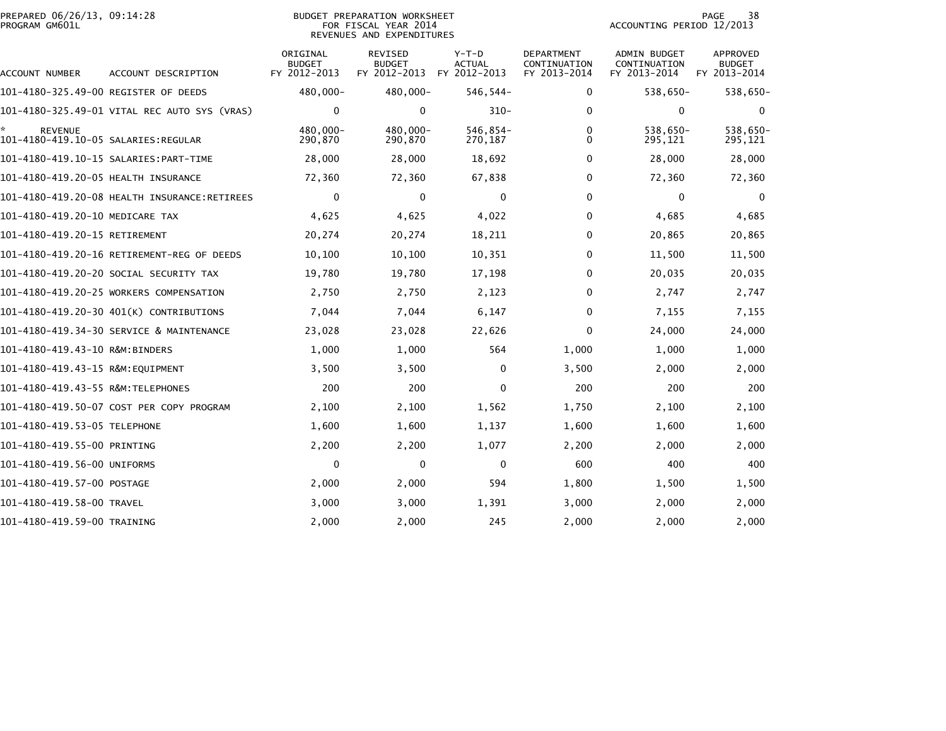| PROGRAM GM601L                       | PREPARED 06/26/13, 09:14:28<br><b>BUDGET PREPARATION WORKSHEET</b><br>FOR FISCAL YEAR 2014<br>REVENUES AND EXPENDITURES |                                           |                                          |                                          |                                            |                                              | PAGE<br>38<br>ACCOUNTING PERIOD 12/2013   |  |  |
|--------------------------------------|-------------------------------------------------------------------------------------------------------------------------|-------------------------------------------|------------------------------------------|------------------------------------------|--------------------------------------------|----------------------------------------------|-------------------------------------------|--|--|
| ACCOUNT NUMBER                       | ACCOUNT DESCRIPTION                                                                                                     | ORIGINAL<br><b>BUDGET</b><br>FY 2012-2013 | REVISED<br><b>BUDGET</b><br>FY 2012-2013 | $Y-T-D$<br><b>ACTUAL</b><br>FY 2012-2013 | DEPARTMENT<br>CONTINUATION<br>FY 2013-2014 | ADMIN BUDGET<br>CONTINUATION<br>FY 2013-2014 | APPROVED<br><b>BUDGET</b><br>FY 2013-2014 |  |  |
| 101-4180-325.49-00 REGISTER OF DEEDS |                                                                                                                         | 480,000-                                  | 480,000-                                 | $546, 544 -$                             | 0                                          | 538,650-                                     | 538,650-                                  |  |  |
|                                      | 101-4180-325.49-01 VITAL REC AUTO SYS (VRAS)                                                                            | 0                                         | $\mathbf{0}$                             | $310 -$                                  | $\Omega$                                   | $\mathbf{0}$                                 | $\Omega$                                  |  |  |
| <b>REVENUE</b>                       |                                                                                                                         | 480,000-<br>290,870                       | 480,000-<br>290,870                      | 546,854-<br>270,187                      | 0<br>0                                     | 538,650-<br>295,121                          | 538,650-<br>295,121                       |  |  |
|                                      |                                                                                                                         | 28,000                                    | 28,000                                   | 18,692                                   | 0                                          | 28,000                                       | 28,000                                    |  |  |
| 101-4180-419.20-05 HEALTH INSURANCE  |                                                                                                                         | 72,360                                    | 72,360                                   | 67,838                                   | $\Omega$                                   | 72,360                                       | 72,360                                    |  |  |
|                                      | 101-4180-419.20-08 HEALTH INSURANCE:RETIREES                                                                            | $\mathbf 0$                               | $\mathbf{0}$                             | $\mathbf{0}$                             | 0                                          | $\Omega$                                     | $\Omega$                                  |  |  |
| 101-4180-419.20-10 MEDICARE TAX      |                                                                                                                         | 4,625                                     | 4,625                                    | 4,022                                    | 0                                          | 4,685                                        | 4,685                                     |  |  |
| 101-4180-419.20-15 RETIREMENT        |                                                                                                                         | 20,274                                    | 20,274                                   | 18,211                                   | $\Omega$                                   | 20,865                                       | 20,865                                    |  |  |
|                                      | 101-4180-419.20-16 RETIREMENT-REG OF DEEDS                                                                              | 10,100                                    | 10,100                                   | 10,351                                   | $\Omega$                                   | 11,500                                       | 11,500                                    |  |  |
|                                      | 101-4180-419.20-20 SOCIAL SECURITY TAX                                                                                  | 19,780                                    | 19,780                                   | 17,198                                   | 0                                          | 20,035                                       | 20,035                                    |  |  |
|                                      | 101-4180-419.20-25 WORKERS COMPENSATION                                                                                 | 2,750                                     | 2,750                                    | 2,123                                    | $\Omega$                                   | 2,747                                        | 2,747                                     |  |  |
|                                      | 101-4180-419.20-30 401(K) CONTRIBUTIONS                                                                                 | 7,044                                     | 7,044                                    | 6,147                                    | $\Omega$                                   | 7,155                                        | 7,155                                     |  |  |
|                                      | 101-4180-419.34-30 SERVICE & MAINTENANCE                                                                                | 23,028                                    | 23,028                                   | 22,626                                   | $\Omega$                                   | 24,000                                       | 24,000                                    |  |  |
| 101-4180-419.43-10 R&M:BINDERS       |                                                                                                                         | 1,000                                     | 1,000                                    | 564                                      | 1,000                                      | 1,000                                        | 1,000                                     |  |  |
| 101-4180-419.43-15 R&M:EQUIPMENT     |                                                                                                                         | 3,500                                     | 3,500                                    | $\mathbf 0$                              | 3,500                                      | 2,000                                        | 2,000                                     |  |  |
|                                      |                                                                                                                         | 200                                       | 200                                      | $\Omega$                                 | 200                                        | 200                                          | 200                                       |  |  |
|                                      | 101-4180-419.50-07 COST PER COPY PROGRAM                                                                                | 2,100                                     | 2,100                                    | 1,562                                    | 1,750                                      | 2,100                                        | 2,100                                     |  |  |
| 101-4180-419.53-05 TELEPHONE         |                                                                                                                         | 1,600                                     | 1,600                                    | 1,137                                    | 1,600                                      | 1,600                                        | 1,600                                     |  |  |
| 101-4180-419.55-00 PRINTING          |                                                                                                                         | 2,200                                     | 2,200                                    | 1,077                                    | 2,200                                      | 2,000                                        | 2,000                                     |  |  |
| 101-4180-419.56-00 UNIFORMS          |                                                                                                                         | $\mathbf 0$                               | 0                                        | $\mathbf{0}$                             | 600                                        | 400                                          | 400                                       |  |  |
| 101-4180-419.57-00 POSTAGE           |                                                                                                                         | 2,000                                     | 2,000                                    | 594                                      | 1,800                                      | 1,500                                        | 1,500                                     |  |  |
| 101-4180-419.58-00 TRAVEL            |                                                                                                                         | 3,000                                     | 3,000                                    | 1,391                                    | 3,000                                      | 2,000                                        | 2,000                                     |  |  |
| 101-4180-419.59-00 TRAINING          |                                                                                                                         | 2,000                                     | 2,000                                    | 245                                      | 2,000                                      | 2,000                                        | 2,000                                     |  |  |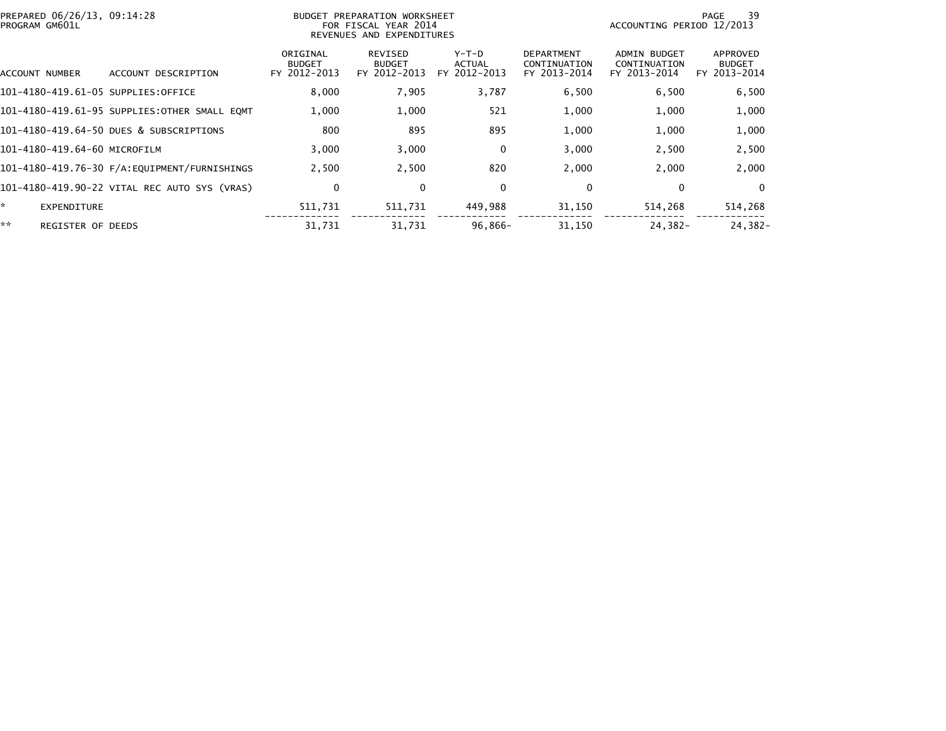| PREPARED 06/26/13, 09:14:28<br>PROGRAM GM601L |                                              |                                           | BUDGET PREPARATION WORKSHEET<br>FOR FISCAL YEAR 2014<br>REVENUES AND EXPENDITURES | 39<br>PAGE<br>ACCOUNTING PERIOD 12/2013  |                                                   |                                              |                                           |
|-----------------------------------------------|----------------------------------------------|-------------------------------------------|-----------------------------------------------------------------------------------|------------------------------------------|---------------------------------------------------|----------------------------------------------|-------------------------------------------|
| ACCOUNT NUMBER                                | ACCOUNT DESCRIPTION                          | ORIGINAL<br><b>BUDGET</b><br>FY 2012-2013 | <b>REVISED</b><br><b>BUDGET</b><br>FY 2012-2013                                   | $Y-T-D$<br><b>ACTUAL</b><br>FY 2012-2013 | <b>DEPARTMENT</b><br>CONTINUATION<br>FY 2013-2014 | ADMIN BUDGET<br>CONTINUATION<br>FY 2013-2014 | APPROVED<br><b>BUDGET</b><br>FY 2013-2014 |
| 101-4180-419.61-05 SUPPLIES:OFFICE            |                                              | 8,000                                     | 7,905                                                                             | 3,787                                    | 6,500                                             | 6,500                                        | 6,500                                     |
|                                               | 101-4180-419.61-95 SUPPLIES:OTHER SMALL EQMT | 1,000                                     | 1,000                                                                             | 521                                      | 1,000                                             | 1,000                                        | 1,000                                     |
|                                               | 101-4180-419.64-50 DUES & SUBSCRIPTIONS      | 800                                       | 895                                                                               | 895                                      | 1,000                                             | 1,000                                        | 1,000                                     |
| 101-4180-419.64-60 MICROFILM                  |                                              | 3,000                                     | 3,000                                                                             | 0                                        | 3,000                                             | 2,500                                        | 2,500                                     |
|                                               | 101-4180-419.76-30 F/A:EQUIPMENT/FURNISHINGS | 2,500                                     | 2,500                                                                             | 820                                      | 2,000                                             | 2,000                                        | 2,000                                     |
|                                               | 101-4180-419.90-22 VITAL REC AUTO SYS (VRAS) | 0                                         | $\mathbf 0$                                                                       | 0                                        | 0                                                 | 0                                            | $\mathbf{0}$                              |
| ×.<br><b>EXPENDITURE</b>                      |                                              | 511,731                                   | 511,731                                                                           | 449,988                                  | 31,150                                            | 514,268                                      | 514,268                                   |
| **<br><b>REGISTER OF DEEDS</b>                |                                              | 31,731                                    | 31.731                                                                            | $96,866-$                                | 31,150                                            | 24,382-                                      | 24,382-                                   |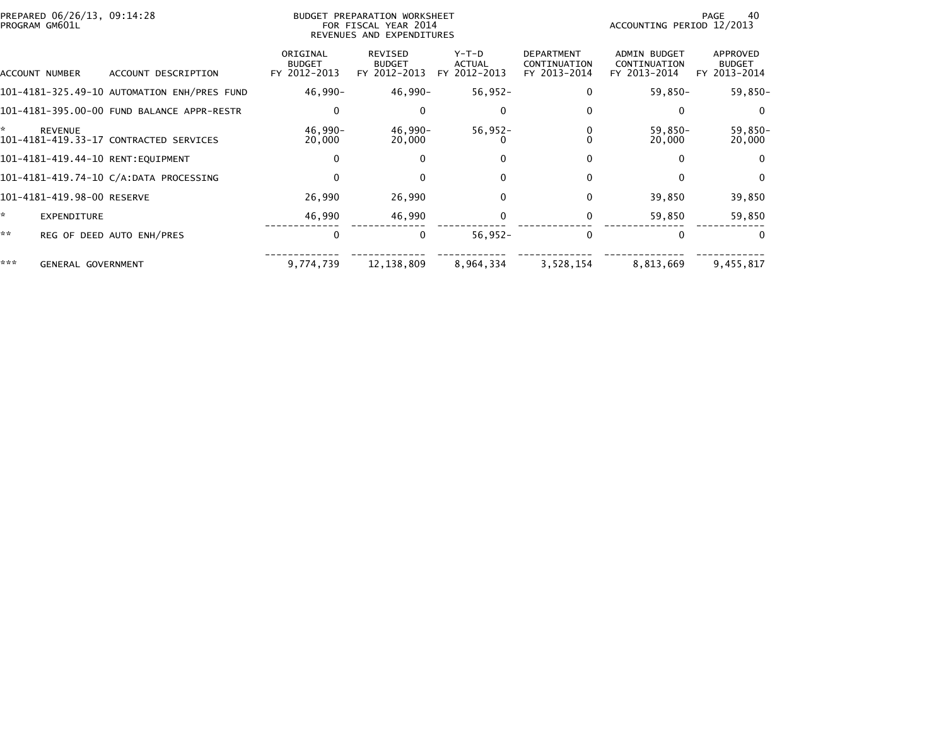|     | PREPARED 06/26/13, 09:14:28<br>PROGRAM GM601L |                                             |                                           | <b>BUDGET PREPARATION WORKSHEET</b><br>FOR FISCAL YEAR 2014<br>REVENUES AND EXPENDITURES | 40<br>PAGE<br>ACCOUNTING PERIOD 12/2013  |                                                   |                                                     |                                           |
|-----|-----------------------------------------------|---------------------------------------------|-------------------------------------------|------------------------------------------------------------------------------------------|------------------------------------------|---------------------------------------------------|-----------------------------------------------------|-------------------------------------------|
|     | ACCOUNT NUMBER                                | ACCOUNT DESCRIPTION                         | ORIGINAL<br><b>BUDGET</b><br>FY 2012-2013 | <b>REVISED</b><br><b>BUDGET</b><br>FY 2012-2013                                          | $Y-T-D$<br><b>ACTUAL</b><br>FY 2012-2013 | <b>DEPARTMENT</b><br>CONTINUATION<br>FY 2013-2014 | <b>ADMIN BUDGET</b><br>CONTINUATION<br>FY 2013-2014 | APPROVED<br><b>BUDGET</b><br>FY 2013-2014 |
|     |                                               | 101-4181-325.49-10 AUTOMATION ENH/PRES FUND | 46,990-                                   | $46,990 -$                                                                               | $56,952-$                                |                                                   | 59,850-                                             | $59,850-$                                 |
|     |                                               | 101-4181-395.00-00 FUND BALANCE APPR-RESTR  |                                           | $\Omega$                                                                                 | $\Omega$                                 |                                                   |                                                     | $\Omega$                                  |
| ÷.  | <b>REVENUE</b>                                | 101-4181-419.33-17 CONTRACTED SERVICES      | 46,990-<br>20,000                         | 46,990-<br>20,000                                                                        | $56,952-$                                |                                                   | 59,850-<br>20,000                                   | 59,850-<br>20,000                         |
|     |                                               | 101-4181-419.44-10 RENT:EQUIPMENT           | 0                                         | $\Omega$                                                                                 | 0                                        |                                                   |                                                     | $\Omega$                                  |
|     |                                               | 101-4181-419.74-10 C/A:DATA PROCESSING      | 0                                         | $\Omega$                                                                                 | $\Omega$                                 | $\mathbf{0}$                                      |                                                     | $\mathbf{0}$                              |
|     | 101-4181-419.98-00 RESERVE                    |                                             | 26,990                                    | 26,990                                                                                   | $\mathbf{0}$                             |                                                   | 39,850                                              | 39,850                                    |
| *   | EXPENDITURE                                   |                                             | 46,990                                    | 46,990                                                                                   |                                          |                                                   | 59,850                                              | 59,850                                    |
| **  |                                               | REG OF DEED AUTO ENH/PRES                   | $\mathbf{0}$                              | 0                                                                                        | $56,952-$                                | 0                                                 |                                                     | $\Omega$                                  |
| *** | <b>GENERAL GOVERNMENT</b>                     |                                             | 9,774,739                                 | 12, 138, 809                                                                             | 8,964,334                                | 3,528,154                                         | 8,813,669                                           | 9,455,817                                 |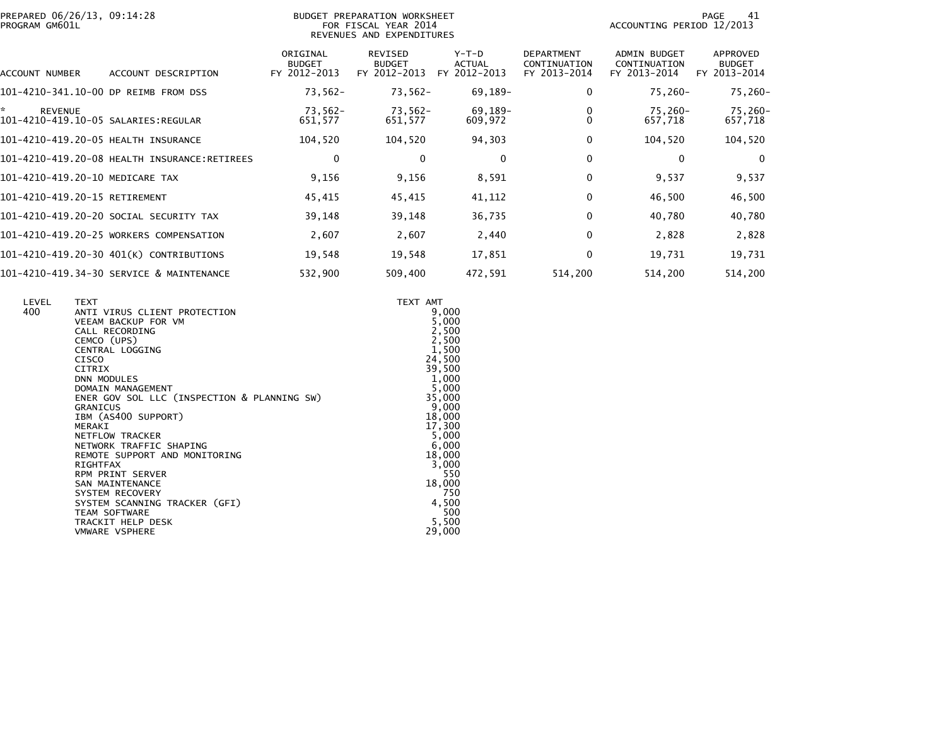|                | PREPARED 06/26/13, 09:14:28 |  |
|----------------|-----------------------------|--|
| PROGRAM GM601L |                             |  |

## BUDGET PREPARATION WORKSHEET PROGRAM GM601L FOR FISCAL YEAR 2014 ACCOUNTING PERIOD 12/2013 REVENUES AND EXPENDITURES

PAGE 41<br>ACCOUNTING PERIOD 12/2013

| ACCOUNT NUMBER<br>ACCOUNT DESCRIPTION        | ORIGINAL<br><b>BUDGET</b><br>FY 2012-2013 | REVISED<br><b>BUDGET</b><br>FY 2012-2013 | $Y-T-D$<br><b>ACTUAL</b><br>FY 2012-2013 | <b>DEPARTMENT</b><br>CONTINUATION<br>FY 2013-2014 | <b>ADMIN BUDGET</b><br>CONTINUATION<br>FY 2013-2014 | APPROVED<br><b>BUDGET</b><br>FY 2013-2014 |
|----------------------------------------------|-------------------------------------------|------------------------------------------|------------------------------------------|---------------------------------------------------|-----------------------------------------------------|-------------------------------------------|
| 101-4210-341.10-00 DP REIMB FROM DSS         | $73,562-$                                 | $73,562-$                                | 69,189-                                  | 0                                                 | 75,260-                                             | 75,260-                                   |
| *<br><b>REVENUE</b>                          | 73,562-<br>651,577                        | 73,562-<br>651,577                       | 69,189-<br>609,972                       |                                                   | 75.260-<br>657,718                                  | 75,260-<br>657,718                        |
| 101-4210-419.20-05 HEALTH INSURANCE          | 104,520                                   | 104,520                                  | 94,303                                   | 0                                                 | 104,520                                             | 104,520                                   |
| 101-4210-419.20-08 HEALTH INSURANCE:RETIREES | 0                                         | 0                                        | $\mathbf{0}$                             | 0                                                 | 0                                                   | $\Omega$                                  |
| 101-4210-419.20-10 MEDICARE TAX              | 9,156                                     | 9,156                                    | 8,591                                    | 0                                                 | 9,537                                               | 9,537                                     |
| 101-4210-419.20-15 RETIREMENT                | 45,415                                    | 45,415                                   | 41,112                                   | 0                                                 | 46,500                                              | 46,500                                    |
| 101-4210-419.20-20 SOCIAL SECURITY TAX       | 39.148                                    | 39,148                                   | 36,735                                   | 0                                                 | 40,780                                              | 40,780                                    |
| 101-4210-419.20-25 WORKERS COMPENSATION      | 2,607                                     | 2,607                                    | 2,440                                    | 0                                                 | 2,828                                               | 2,828                                     |
| 101-4210-419.20-30 401(K) CONTRIBUTIONS      | 19,548                                    | 19,548                                   | 17,851                                   | 0                                                 | 19,731                                              | 19,731                                    |
| 101-4210-419.34-30 SERVICE & MAINTENANCE     | 532,900                                   | 509,400                                  | 472,591                                  | 514,200                                           | 514,200                                             | 514,200                                   |

| LEVEL<br>400 | <b>TEXT</b><br>ANTI VIRUS CLIENT PROTECTION<br>VEEAM BACKUP FOR VM<br>CALL RECORDING<br>CEMCO (UPS)<br>CENTRAL LOGGING<br><b>CISCO</b><br><b>CITRIX</b><br><b>DNN MODULES</b>                                   | TEXT AMT<br>9,000<br>5,000<br>2,500<br>2,500<br>1,500<br>24,500<br>39,500<br>1,000 |
|--------------|-----------------------------------------------------------------------------------------------------------------------------------------------------------------------------------------------------------------|------------------------------------------------------------------------------------|
|              | DOMAIN MANAGEMENT<br>ENER GOV SOL LLC (INSPECTION & PLANNING SW)<br>GRANICUS<br>IBM (AS400 SUPPORT)<br>MERAKI<br>NETFLOW TRACKER<br>NETWORK TRAFFIC SHAPING<br>REMOTE SUPPORT AND MONITORING<br><b>RIGHTFAX</b> | 5,000<br>35,000<br>9,000<br>18,000<br>17,300<br>5,000<br>6,000<br>18,000<br>3,000  |
|              | <b>RPM PRINT SERVER</b><br><b>SAN MAINTENANCE</b><br>SYSTEM RECOVERY<br>SYSTEM SCANNING TRACKER (GFI)<br>TEAM SOFTWARE<br>TRACKIT HELP DESK<br><b>VMWARE VSPHERE</b>                                            | 550<br>18,000<br>750<br>4,500<br>500<br>5,500<br>29,000                            |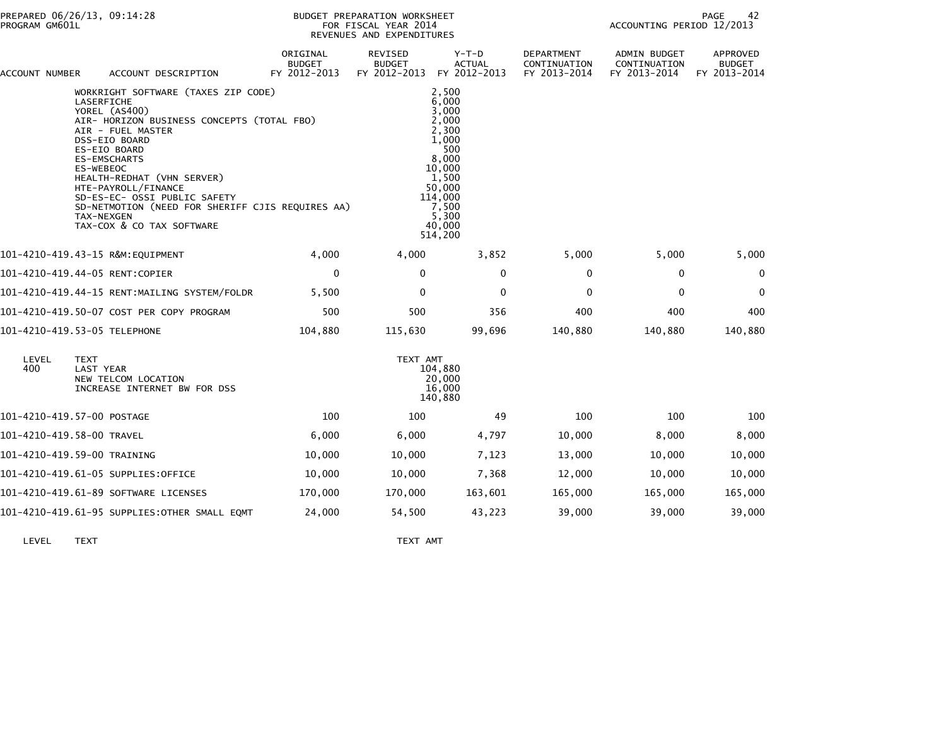| ACCOUNT NUMBER | ACCOUNT DESCRIPTION                                                                                                                                                                                                                                                                                                                                                                            | ORIGINAL<br><b>BUDGET</b><br>FY 2012-2013 | REVISED<br><b>BUDGET</b><br>FY 2012-2013 | $Y-T-D$<br><b>ACTUAL</b><br>FY 2012-2013                                                                                                          | <b>DEPARTMENT</b><br>CONTINUATION<br>FY 2013-2014 | <b>ADMIN BUDGET</b><br>CONTINUATION<br>FY 2013-2014 | <b>APPROVED</b><br><b>BUDGET</b><br>FY 2013-2014 |  |
|----------------|------------------------------------------------------------------------------------------------------------------------------------------------------------------------------------------------------------------------------------------------------------------------------------------------------------------------------------------------------------------------------------------------|-------------------------------------------|------------------------------------------|---------------------------------------------------------------------------------------------------------------------------------------------------|---------------------------------------------------|-----------------------------------------------------|--------------------------------------------------|--|
|                | WORKRIGHT SOFTWARE (TAXES ZIP CODE)<br>LASERFICHE<br>YOREL (AS400)<br>AIR- HORIZON BUSINESS CONCEPTS (TOTAL FBO)<br>AIR - FUEL MASTER<br>DSS-EIO BOARD<br>ES-EIO BOARD<br><b>ES-EMSCHARTS</b><br>ES-WEBEOC<br>HEALTH-REDHAT (VHN SERVER)<br>HTE-PAYROLL/FINANCE<br>SD-ES-EC- OSSI PUBLIC SAFETY<br>SD-NETMOTION (NEED FOR SHERIFF CJIS REQUIRES AA)<br>TAX-NEXGEN<br>TAX-COX & CO TAX SOFTWARE |                                           |                                          | 2,500<br>6,000<br>3,000<br>2.000<br>2,300<br>1.000<br>500<br>8,000<br>10,000<br>1,500<br>50,000<br>114,000<br>7,500<br>5,300<br>40,000<br>514,200 |                                                   |                                                     |                                                  |  |
|                | 101-4210-419.43-15 R&M:EQUIPMENT                                                                                                                                                                                                                                                                                                                                                               | 4,000                                     | 4,000                                    | 3,852                                                                                                                                             | 5,000                                             | 5,000                                               | 5,000                                            |  |
|                | 101-4210-419.44-05 RENT:COPIER                                                                                                                                                                                                                                                                                                                                                                 | $\mathbf 0$                               | 0                                        | 0                                                                                                                                                 | 0                                                 | 0                                                   | 0                                                |  |
|                | 101-4210-419.44-15 RENT:MAILING SYSTEM/FOLDR                                                                                                                                                                                                                                                                                                                                                   | 5,500                                     | $\mathbf{0}$                             | $\mathbf{0}$                                                                                                                                      | $\Omega$                                          | $\mathbf 0$                                         | 0                                                |  |
|                | 101-4210-419.50-07 COST PER COPY PROGRAM                                                                                                                                                                                                                                                                                                                                                       | 500                                       | 500                                      | 356                                                                                                                                               | 400                                               | 400                                                 | 400                                              |  |
|                | 101-4210-419.53-05 TELEPHONE                                                                                                                                                                                                                                                                                                                                                                   | 104,880                                   | 115,630                                  | 99,696                                                                                                                                            | 140,880                                           | 140,880                                             | 140,880                                          |  |
| LEVEL<br>400   | <b>TEXT</b><br>LAST YEAR<br>NEW TELCOM LOCATION<br>INCREASE INTERNET BW FOR DSS                                                                                                                                                                                                                                                                                                                |                                           | TEXT AMT                                 | 104,880<br>20,000<br>16,000<br>140,880                                                                                                            |                                                   |                                                     |                                                  |  |
|                | 101-4210-419.57-00 POSTAGE                                                                                                                                                                                                                                                                                                                                                                     | 100                                       | 100                                      | 49                                                                                                                                                | 100                                               | 100                                                 | 100                                              |  |
|                | 101-4210-419.58-00 TRAVEL                                                                                                                                                                                                                                                                                                                                                                      | 6,000                                     | 6,000                                    | 4,797                                                                                                                                             | 10,000                                            | 8,000                                               | 8,000                                            |  |
|                | 101-4210-419.59-00 TRAINING                                                                                                                                                                                                                                                                                                                                                                    | 10,000                                    | 10,000                                   | 7,123                                                                                                                                             | 13,000                                            | 10,000                                              | 10,000                                           |  |
|                | 101-4210-419.61-05 SUPPLIES:OFFICE                                                                                                                                                                                                                                                                                                                                                             | 10,000                                    | 10,000                                   | 7,368                                                                                                                                             | 12,000                                            | 10,000                                              | 10,000                                           |  |
|                | 101-4210-419.61-89 SOFTWARE LICENSES                                                                                                                                                                                                                                                                                                                                                           | 170,000                                   | 170,000                                  | 163,601                                                                                                                                           | 165,000                                           | 165,000                                             | 165,000                                          |  |
|                | 101-4210-419.61-95 SUPPLIES:OTHER SMALL EQMT                                                                                                                                                                                                                                                                                                                                                   | 24,000                                    | 54,500                                   | 43,223                                                                                                                                            | 39,000                                            | 39,000                                              | 39,000                                           |  |
|                |                                                                                                                                                                                                                                                                                                                                                                                                |                                           |                                          |                                                                                                                                                   |                                                   |                                                     |                                                  |  |

LEVEL TEXT TEXT AMT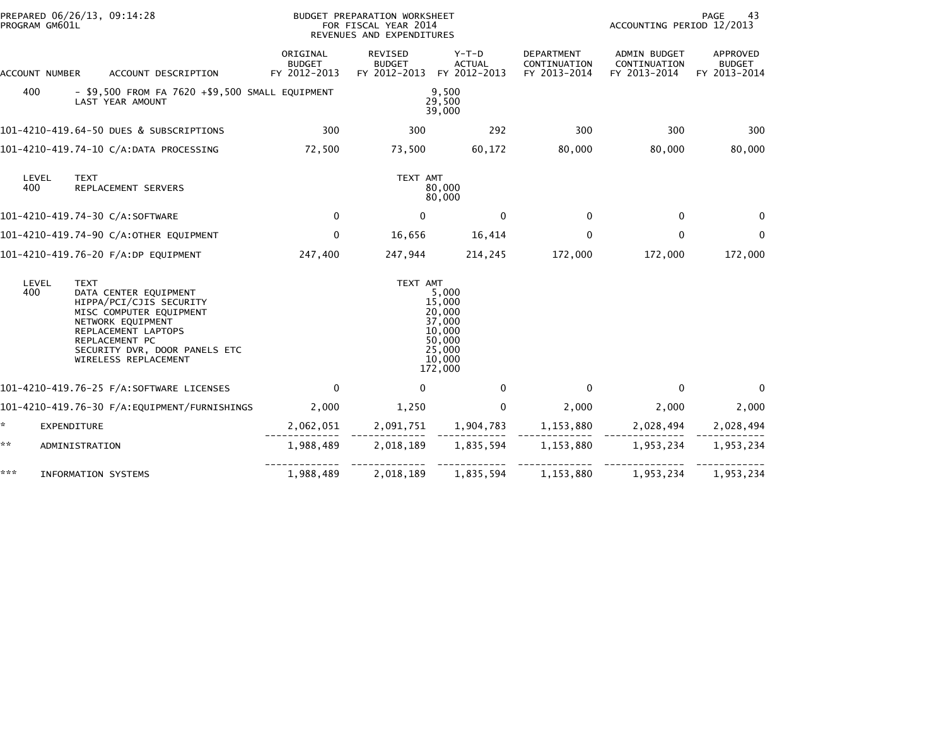| PROGRAM GM601L | PREPARED 06/26/13, 09:14:28                                                                                                                                                                                       |                                                                                   | BUDGET PREPARATION WORKSHEET<br>FOR FISCAL YEAR 2014<br>REVENUES AND EXPENDITURES |                                                                                        |                                                   | PAGE<br>43<br>ACCOUNTING PERIOD 12/2013      |                                           |  |
|----------------|-------------------------------------------------------------------------------------------------------------------------------------------------------------------------------------------------------------------|-----------------------------------------------------------------------------------|-----------------------------------------------------------------------------------|----------------------------------------------------------------------------------------|---------------------------------------------------|----------------------------------------------|-------------------------------------------|--|
| ACCOUNT NUMBER | ACCOUNT DESCRIPTION                                                                                                                                                                                               | ORIGINAL<br><b>BUDGET</b><br>FY 2012-2013                                         | REVISED<br><b>BUDGET</b><br>FY 2012-2013                                          | Y-T-D<br><b>ACTUAL</b><br>FY 2012-2013                                                 | <b>DEPARTMENT</b><br>CONTINUATION<br>FY 2013-2014 | ADMIN BUDGET<br>CONTINUATION<br>FY 2013-2014 | APPROVED<br><b>BUDGET</b><br>FY 2013-2014 |  |
| 400            | LAST YEAR AMOUNT                                                                                                                                                                                                  | $-$ \$9,500 FROM FA 7620 $+$ \$9,500 SMALL EQUIPMENT<br>9,500<br>29,500<br>39,000 |                                                                                   |                                                                                        |                                                   |                                              |                                           |  |
|                | 101-4210-419.64-50 DUES & SUBSCRIPTIONS                                                                                                                                                                           | 300                                                                               | 300                                                                               | 292                                                                                    | 300                                               | 300                                          | 300                                       |  |
|                | 101-4210-419.74-10 C/A:DATA PROCESSING                                                                                                                                                                            | 72,500                                                                            | 73,500                                                                            | 60,172                                                                                 | 80,000                                            | 80,000                                       | 80,000                                    |  |
| LEVEL<br>400   | <b>TEXT</b><br>REPLACEMENT SERVERS                                                                                                                                                                                |                                                                                   | TEXT AMT<br>80,000<br>80,000                                                      |                                                                                        |                                                   |                                              |                                           |  |
|                | 101-4210-419.74-30 C/A:SOFTWARE                                                                                                                                                                                   | $\mathbf 0$                                                                       | $\mathbf{0}$                                                                      | $\mathbf{0}$                                                                           | $\Omega$                                          | $\mathbf{0}$                                 | $\Omega$                                  |  |
|                | 101-4210-419.74-90 C/A:OTHER EQUIPMENT                                                                                                                                                                            | $\mathbf 0$                                                                       | 16,656                                                                            | 16,414                                                                                 | $\mathbf{0}$                                      | $\mathbf{0}$                                 |                                           |  |
|                | 101-4210-419.76-20 F/A:DP EQUIPMENT                                                                                                                                                                               | 247,400                                                                           | 247,944                                                                           | 214,245                                                                                | 172,000                                           | 172,000                                      | 172,000                                   |  |
| LEVEL<br>400   | <b>TEXT</b><br>DATA CENTER EQUIPMENT<br>HIPPA/PCI/CJIS SECURITY<br>MISC COMPUTER EQUIPMENT<br>NETWORK EQUIPMENT<br>REPLACEMENT LAPTOPS<br>REPLACEMENT PC<br>SECURITY DVR, DOOR PANELS ETC<br>WIRELESS REPLACEMENT |                                                                                   | TEXT AMT                                                                          | 5,000<br>15,000<br>20,000<br>37,000<br>10,000<br>50,000<br>25,000<br>10,000<br>172,000 |                                                   |                                              |                                           |  |
|                | 101-4210-419.76-25 F/A:SOFTWARE LICENSES                                                                                                                                                                          | $\Omega$                                                                          | 0                                                                                 | $\mathbf{0}$                                                                           | $\Omega$                                          | $\Omega$                                     | $\Omega$                                  |  |
|                | 101-4210-419.76-30 F/A:EQUIPMENT/FURNISHINGS                                                                                                                                                                      | 2,000                                                                             | 1,250                                                                             | $\mathbf{0}$                                                                           | 2,000                                             | 2,000                                        | 2,000                                     |  |
| *.             | <b>EXPENDITURE</b>                                                                                                                                                                                                | 2,062,051                                                                         | 2,091,751                                                                         | 1,904,783                                                                              | 1,153,880                                         | 2,028,494                                    | 2,028,494                                 |  |
| **             | ADMINISTRATION                                                                                                                                                                                                    | 1,988,489                                                                         | 2,018,189                                                                         | 1,835,594                                                                              | 1,153,880                                         | 1,953,234                                    | 1,953,234                                 |  |
| ***            | <b>INFORMATION SYSTEMS</b>                                                                                                                                                                                        | 1,988,489                                                                         | 2,018,189                                                                         | 1,835,594                                                                              | 1,153,880                                         | 1,953,234                                    | 1,953,234                                 |  |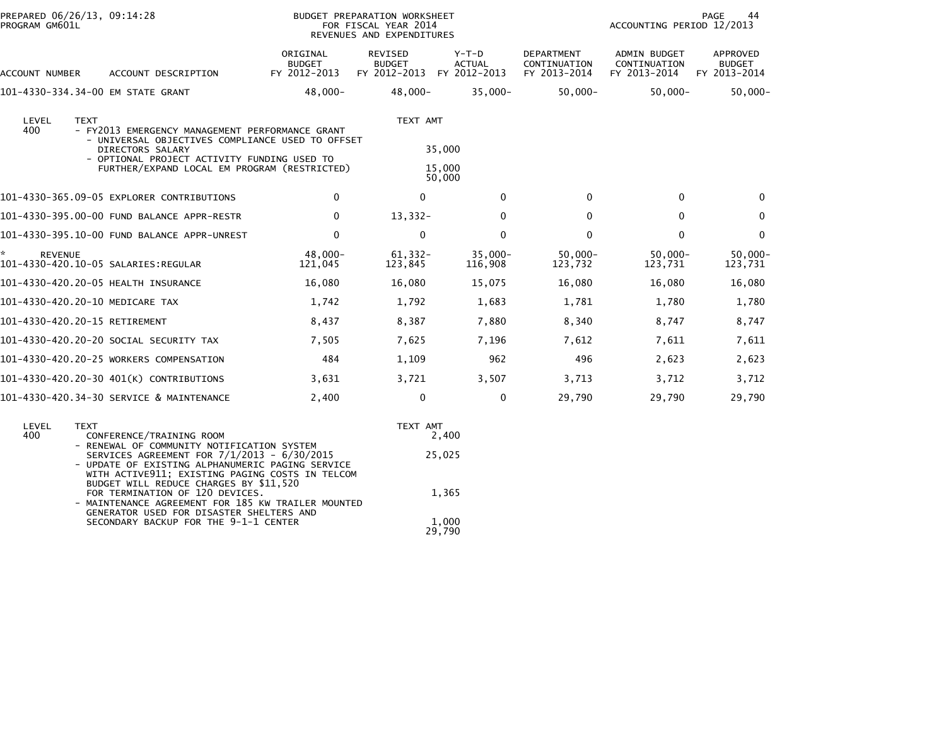| PREPARED 06/26/13, 09:14:28<br>PROGRAM GM601L                                                                                                                                                         | BUDGET PREPARATION WORKSHEET<br>FOR FISCAL YEAR 2014<br>REVENUES AND EXPENDITURES |                                                 |                                          |                                                   | PAGE<br>44<br>ACCOUNTING PERIOD 12/2013             |                                           |  |
|-------------------------------------------------------------------------------------------------------------------------------------------------------------------------------------------------------|-----------------------------------------------------------------------------------|-------------------------------------------------|------------------------------------------|---------------------------------------------------|-----------------------------------------------------|-------------------------------------------|--|
| ACCOUNT DESCRIPTION<br>ACCOUNT NUMBER                                                                                                                                                                 | ORIGINAL<br><b>BUDGET</b><br>FY 2012-2013                                         | <b>REVISED</b><br><b>BUDGET</b><br>FY 2012-2013 | $Y-T-D$<br><b>ACTUAL</b><br>FY 2012-2013 | <b>DEPARTMENT</b><br>CONTINUATION<br>FY 2013-2014 | <b>ADMIN BUDGET</b><br>CONTINUATION<br>FY 2013-2014 | APPROVED<br><b>BUDGET</b><br>FY 2013-2014 |  |
| 101-4330-334.34-00 EM STATE GRANT                                                                                                                                                                     | $48,000 -$                                                                        | 48,000-                                         | $35,000 -$                               | $50,000 -$                                        | $50,000 -$                                          | $50,000 -$                                |  |
| LEVEL<br><b>TEXT</b><br>400<br>- FY2013 EMERGENCY MANAGEMENT PERFORMANCE GRANT<br>- UNIVERSAL OBJECTIVES COMPLIANCE USED TO OFFSET<br>DIRECTORS SALARY<br>- OPTIONAL PROJECT ACTIVITY FUNDING USED TO |                                                                                   | TEXT AMT<br>35,000                              |                                          |                                                   |                                                     |                                           |  |
| FURTHER/EXPAND LOCAL EM PROGRAM (RESTRICTED)                                                                                                                                                          |                                                                                   | 15,000<br>50,000                                |                                          |                                                   |                                                     |                                           |  |
| 101-4330-365.09-05 EXPLORER CONTRIBUTIONS                                                                                                                                                             | $\mathbf 0$                                                                       | 0                                               | $\mathbf{0}$                             | $\mathbf{0}$                                      | $\mathbf{0}$                                        | $\Omega$                                  |  |
| 101-4330-395.00-00 FUND BALANCE APPR-RESTR                                                                                                                                                            | 0                                                                                 | $13,332-$                                       | $\Omega$                                 | 0                                                 | $\mathbf{0}$                                        | $\Omega$                                  |  |
| 101-4330-395.10-00 FUND BALANCE APPR-UNREST                                                                                                                                                           | $\mathbf 0$                                                                       | $\Omega$                                        | $\Omega$                                 | $\mathbf{0}$                                      | $\mathbf{0}$                                        | $\Omega$                                  |  |
| *.<br><b>REVENUE</b>                                                                                                                                                                                  | 48,000-<br>121,045                                                                | 61,332-<br>123,845                              | $35,000 -$<br>116,908                    | $50,000 -$<br>123,732                             | $50,000 -$<br>123,731                               | $50,000 -$<br>123,731                     |  |
| 101-4330-420.20-05 HEALTH INSURANCE                                                                                                                                                                   | 16,080                                                                            | 16,080                                          | 15,075                                   | 16,080                                            | 16,080                                              | 16,080                                    |  |
| 101-4330-420.20-10 MEDICARE TAX                                                                                                                                                                       | 1,742                                                                             | 1,792                                           | 1,683                                    | 1,781                                             | 1,780                                               | 1,780                                     |  |
| 101-4330-420.20-15 RETIREMENT                                                                                                                                                                         | 8,437                                                                             | 8,387                                           | 7,880                                    | 8,340                                             | 8,747                                               | 8,747                                     |  |
| 101–4330–420.20–20 SOCIAL SECURITY TAX                                                                                                                                                                | 7,505                                                                             | 7,625                                           | 7,196                                    | 7,612                                             | 7,611                                               | 7,611                                     |  |
| 101-4330-420.20-25 WORKERS COMPENSATION                                                                                                                                                               | 484                                                                               | 1,109                                           | 962                                      | 496                                               | 2,623                                               | 2,623                                     |  |
| 101-4330-420.20-30 401(K) CONTRIBUTIONS                                                                                                                                                               | 3,631                                                                             | 3,721                                           | 3,507                                    | 3,713                                             | 3,712                                               | 3,712                                     |  |
| 101-4330-420.34-30 SERVICE & MAINTENANCE                                                                                                                                                              | 2,400                                                                             | 0                                               | 0                                        | 29,790                                            | 29,790                                              | 29,790                                    |  |

| LEVEL | TEXT                                               | TEXT AMT |
|-------|----------------------------------------------------|----------|
| 400   | CONFERENCE/TRAINING ROOM                           | 2.400    |
|       | - RENEWAL OF COMMUNITY NOTIFICATION SYSTEM         |          |
|       | SERVICES AGREEMENT FOR 7/1/2013 - 6/30/2015        | 25,025   |
|       | - UPDATE OF EXISTING ALPHANUMERIC PAGING SERVICE   |          |
|       | WITH ACTIVE911; EXISTING PAGING COSTS IN TELCOM    |          |
|       | BUDGET WILL REDUCE CHARGES BY \$11,520             |          |
|       | FOR TERMINATION OF 120 DEVICES.                    | 1,365    |
|       | - MAINTENANCE AGREEMENT FOR 185 KW TRAILER MOUNTED |          |
|       | GENERATOR USED FOR DISASTER SHELTERS AND           |          |
|       | SECONDARY BACKUP FOR THE 9-1-1 CENTER              | 1,000    |
|       |                                                    | 29.790   |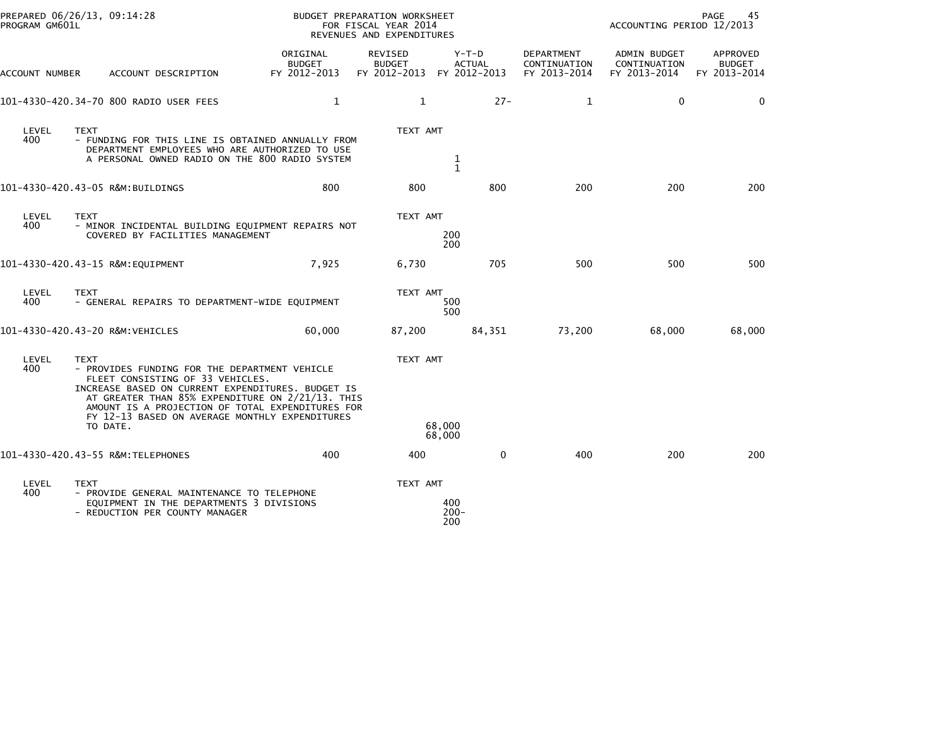| PREPARED 06/26/13, 09:14:28<br>PROGRAM GM601L |                         |                                                                                                                                                                                                                                                                                                  |                                           | BUDGET PREPARATION WORKSHEET<br>FOR FISCAL YEAR 2014<br>REVENUES AND EXPENDITURES |                       |                        |                                            | PAGE<br>45<br>ACCOUNTING PERIOD 12/2013      |                                           |  |
|-----------------------------------------------|-------------------------|--------------------------------------------------------------------------------------------------------------------------------------------------------------------------------------------------------------------------------------------------------------------------------------------------|-------------------------------------------|-----------------------------------------------------------------------------------|-----------------------|------------------------|--------------------------------------------|----------------------------------------------|-------------------------------------------|--|
| ACCOUNT NUMBER                                |                         | ACCOUNT DESCRIPTION                                                                                                                                                                                                                                                                              | ORIGINAL<br><b>BUDGET</b><br>FY 2012-2013 | REVISED<br><b>BUDGET</b><br>FY 2012-2013 FY 2012-2013                             |                       | Y-T-D<br><b>ACTUAL</b> | DEPARTMENT<br>CONTINUATION<br>FY 2013-2014 | ADMIN BUDGET<br>CONTINUATION<br>FY 2013-2014 | APPROVED<br><b>BUDGET</b><br>FY 2013-2014 |  |
|                                               |                         | 101-4330-420.34-70 800 RADIO USER FEES                                                                                                                                                                                                                                                           | 1                                         | $\mathbf{1}$                                                                      |                       | $27 -$                 | 1                                          | 0                                            | 0                                         |  |
| LEVEL<br>400                                  | TEXT                    | - FUNDING FOR THIS LINE IS OBTAINED ANNUALLY FROM<br>DEPARTMENT EMPLOYEES WHO ARE AUTHORIZED TO USE<br>A PERSONAL OWNED RADIO ON THE 800 RADIO SYSTEM                                                                                                                                            |                                           | TEXT AMT                                                                          | $\frac{1}{1}$         |                        |                                            |                                              |                                           |  |
|                                               |                         | 101-4330-420.43-05 R&M:BUILDINGS                                                                                                                                                                                                                                                                 | 800                                       | 800                                                                               |                       | 800                    | 200                                        | 200                                          | 200                                       |  |
| LEVEL<br>400                                  | <b>TEXT</b>             | - MINOR INCIDENTAL BUILDING EQUIPMENT REPAIRS NOT<br>COVERED BY FACILITIES MANAGEMENT                                                                                                                                                                                                            |                                           | TEXT AMT                                                                          | 200<br>200            |                        |                                            |                                              |                                           |  |
|                                               |                         |                                                                                                                                                                                                                                                                                                  | 7,925                                     | 6,730                                                                             |                       | 705                    | 500                                        | 500                                          | 500                                       |  |
| LEVEL<br>400                                  | <b>TEXT</b>             | - GENERAL REPAIRS TO DEPARTMENT-WIDE EQUIPMENT                                                                                                                                                                                                                                                   |                                           | TEXT AMT                                                                          | 500<br>500            |                        |                                            |                                              |                                           |  |
| 101-4330-420.43-20 R&M:VEHICLES               |                         |                                                                                                                                                                                                                                                                                                  | 60,000                                    | 87,200                                                                            |                       | 84,351                 | 73,200                                     | 68,000                                       | 68,000                                    |  |
| LEVEL<br>400                                  | <b>TEXT</b><br>TO DATE. | - PROVIDES FUNDING FOR THE DEPARTMENT VEHICLE<br>FLEET CONSISTING OF 33 VEHICLES.<br>INCREASE BASED ON CURRENT EXPENDITURES. BUDGET IS<br>AT GREATER THAN 85% EXPENDITURE ON 2/21/13. THIS<br>AMOUNT IS A PROJECTION OF TOTAL EXPENDITURES FOR<br>FY 12-13 BASED ON AVERAGE MONTHLY EXPENDITURES |                                           | TEXT AMT                                                                          | 68,000<br>68,000      |                        |                                            |                                              |                                           |  |
|                                               |                         | 101-4330-420.43-55 R&M:TELEPHONES                                                                                                                                                                                                                                                                | 400                                       | 400                                                                               |                       | $\mathbf 0$            | 400                                        | 200                                          | 200                                       |  |
| LEVEL<br>400                                  | <b>TEXT</b>             | - PROVIDE GENERAL MAINTENANCE TO TELEPHONE<br>EQUIPMENT IN THE DEPARTMENTS 3 DIVISIONS<br>- REDUCTION PER COUNTY MANAGER                                                                                                                                                                         |                                           | TEXT AMT                                                                          | 400<br>$200 -$<br>200 |                        |                                            |                                              |                                           |  |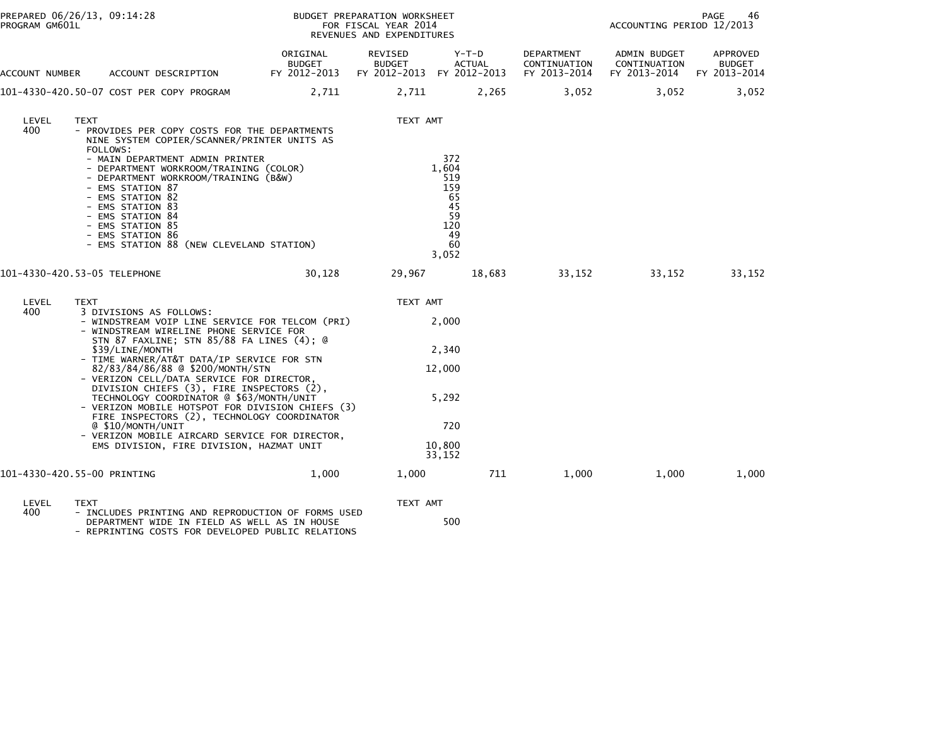| PROGRAM GM601L | PREPARED 06/26/13, 09:14:28                                                                                                                                                                                                                                                                                                                                                                                                                                                                                                                                                                                                                        | BUDGET PREPARATION WORKSHEET<br>FOR FISCAL YEAR 2014<br>REVENUES AND EXPENDITURES |                                                       | PAGE<br>46<br>ACCOUNTING PERIOD 12/2013                                  |                                            |                                              |                                           |
|----------------|----------------------------------------------------------------------------------------------------------------------------------------------------------------------------------------------------------------------------------------------------------------------------------------------------------------------------------------------------------------------------------------------------------------------------------------------------------------------------------------------------------------------------------------------------------------------------------------------------------------------------------------------------|-----------------------------------------------------------------------------------|-------------------------------------------------------|--------------------------------------------------------------------------|--------------------------------------------|----------------------------------------------|-------------------------------------------|
| ACCOUNT NUMBER | ACCOUNT DESCRIPTION                                                                                                                                                                                                                                                                                                                                                                                                                                                                                                                                                                                                                                | ORIGINAL<br>BUDGET<br>FY 2012-2013                                                | REVISED<br><b>BUDGET</b><br>FY 2012-2013 FY 2012-2013 | Y-T-D<br><b>ACTUAL</b>                                                   | DEPARTMENT<br>CONTINUATION<br>FY 2013-2014 | ADMIN BUDGET<br>CONTINUATION<br>FY 2013-2014 | APPROVED<br><b>BUDGET</b><br>FY 2013-2014 |
|                | 101-4330-420.50-07 COST PER COPY PROGRAM                                                                                                                                                                                                                                                                                                                                                                                                                                                                                                                                                                                                           | 2,711                                                                             | 2,711                                                 | 2,265                                                                    | 3,052                                      | 3,052                                        | 3,052                                     |
| LEVEL<br>400   | <b>TEXT</b><br>- PROVIDES PER COPY COSTS FOR THE DEPARTMENTS<br>NINE SYSTEM COPIER/SCANNER/PRINTER UNITS AS<br>FOLLOWS:<br>- MAIN DEPARTMENT ADMIN PRINTER<br>- DEPARTMENT WORKROOM/TRAINING (COLOR)<br>- DEPARTMENT WORKROOM/TRAINING (B&W)<br>- EMS STATION 87<br>- EMS STATION 82<br>- EMS STATION 83<br>- EMS STATION 84<br>- EMS STATION 85<br>- EMS STATION 86<br>- EMS STATION 88 (NEW CLEVELAND STATION)                                                                                                                                                                                                                                   |                                                                                   | TEXT AMT                                              | 372<br>1,604<br>519<br>159<br>65<br>45<br>59<br>120<br>49<br>60<br>3,052 |                                            |                                              |                                           |
|                | 101-4330-420.53-05 TELEPHONE                                                                                                                                                                                                                                                                                                                                                                                                                                                                                                                                                                                                                       | 30,128                                                                            | 29,967                                                | 18,683                                                                   | 33,152                                     | 33,152                                       | 33,152                                    |
| LEVEL<br>400   | <b>TEXT</b><br>3 DIVISIONS AS FOLLOWS:<br>- WINDSTREAM VOIP LINE SERVICE FOR TELCOM (PRI)<br>- WINDSTREAM WIRELINE PHONE SERVICE FOR<br>STN 87 FAXLINE; STN 85/88 FA LINES (4); @<br>\$39/LINE/MONTH<br>- TIME WARNER/AT&T DATA/IP SERVICE FOR STN<br>82/83/84/86/88 @ \$200/MONTH/STN<br>- VERIZON CELL/DATA SERVICE FOR DIRECTOR,<br>DIVISION CHIEFS (3), FIRE INSPECTORS (2),<br>TECHNOLOGY COORDINATOR @ \$63/MONTH/UNIT<br>- VERIZON MOBILE HOTSPOT FOR DIVISION CHIEFS (3)<br>FIRE INSPECTORS (2), TECHNOLOGY COORDINATOR<br>@ \$10/MONTH/UNIT<br>- VERIZON MOBILE AIRCARD SERVICE FOR DIRECTOR,<br>EMS DIVISION, FIRE DIVISION, HAZMAT UNIT |                                                                                   | TEXT AMT                                              | 2,000<br>2,340<br>12,000<br>5,292<br>720<br>10,800<br>33,152             |                                            |                                              |                                           |
|                | 101-4330-420.55-00 PRINTING                                                                                                                                                                                                                                                                                                                                                                                                                                                                                                                                                                                                                        | 1,000                                                                             | 1,000                                                 | 711                                                                      | 1,000                                      | 1,000                                        | 1,000                                     |
| LEVEL<br>400   | TEXT<br>- INCLUDES PRINTING AND REPRODUCTION OF FORMS USED<br>DEPARTMENT WIDE IN FIELD AS WELL AS IN HOUSE<br>- REPRINTING COSTS FOR DEVELOPED PUBLIC RELATIONS                                                                                                                                                                                                                                                                                                                                                                                                                                                                                    |                                                                                   | TEXT AMT                                              | 500                                                                      |                                            |                                              |                                           |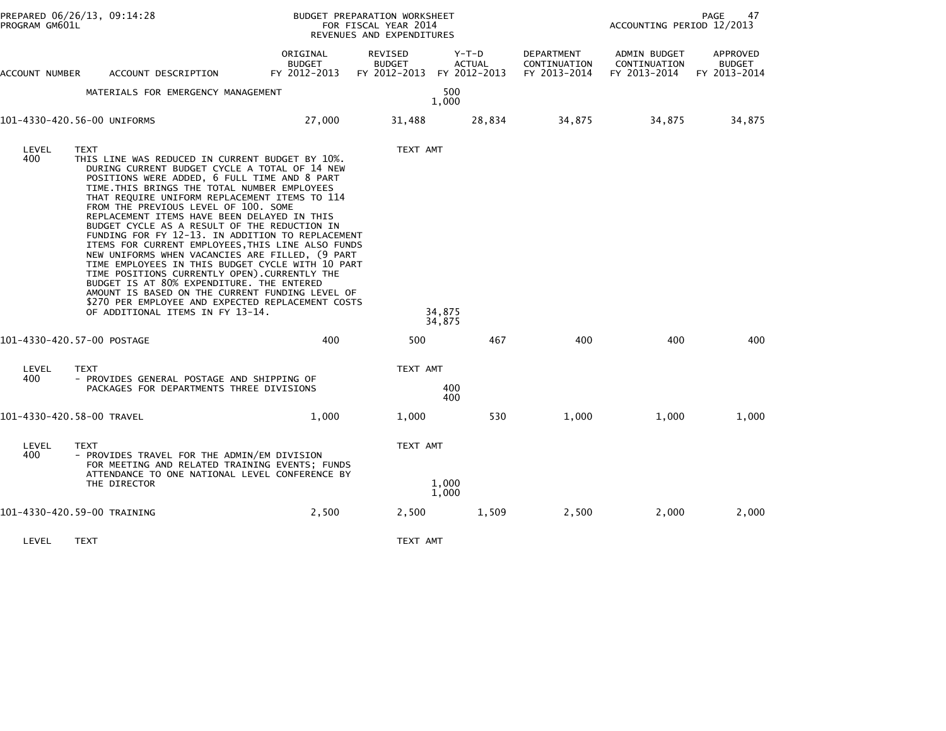| PREPARED 06/26/13, 09:14:28<br>PROGRAM GM601L |                             |                                                                                                                                                                                                                                                                                                                                                                                                                                                                                                                                                                                                                                                                                                                                                                                                                                                    | BUDGET PREPARATION WORKSHEET<br>FOR FISCAL YEAR 2014<br>REVENUES AND EXPENDITURES |                                                       |                          |                                            | <b>PAGE</b><br>47<br>ACCOUNTING PERIOD 12/2013 |                                           |  |  |
|-----------------------------------------------|-----------------------------|----------------------------------------------------------------------------------------------------------------------------------------------------------------------------------------------------------------------------------------------------------------------------------------------------------------------------------------------------------------------------------------------------------------------------------------------------------------------------------------------------------------------------------------------------------------------------------------------------------------------------------------------------------------------------------------------------------------------------------------------------------------------------------------------------------------------------------------------------|-----------------------------------------------------------------------------------|-------------------------------------------------------|--------------------------|--------------------------------------------|------------------------------------------------|-------------------------------------------|--|--|
| ACCOUNT NUMBER                                |                             | ACCOUNT DESCRIPTION                                                                                                                                                                                                                                                                                                                                                                                                                                                                                                                                                                                                                                                                                                                                                                                                                                | ORIGINAL<br>BUDGET<br>FY 2012-2013                                                | REVISED<br><b>BUDGET</b><br>FY 2012-2013 FY 2012-2013 | $Y-T-D$<br><b>ACTUAL</b> | DEPARTMENT<br>CONTINUATION<br>FY 2013-2014 | ADMIN BUDGET<br>CONTINUATION<br>FY 2013-2014   | APPROVED<br><b>BUDGET</b><br>FY 2013-2014 |  |  |
|                                               |                             | MATERIALS FOR EMERGENCY MANAGEMENT                                                                                                                                                                                                                                                                                                                                                                                                                                                                                                                                                                                                                                                                                                                                                                                                                 |                                                                                   |                                                       | 500<br>1,000             |                                            |                                                |                                           |  |  |
| 101-4330-420.56-00 UNIFORMS                   |                             |                                                                                                                                                                                                                                                                                                                                                                                                                                                                                                                                                                                                                                                                                                                                                                                                                                                    | 27,000                                                                            | 31,488                                                | 28,834                   | 34,875                                     | 34,875                                         | 34,875                                    |  |  |
| LEVEL<br>400                                  | <b>TEXT</b>                 | THIS LINE WAS REDUCED IN CURRENT BUDGET BY 10%.<br>DURING CURRENT BUDGET CYCLE A TOTAL OF 14 NEW<br>POSITIONS WERE ADDED, 6 FULL TIME AND 8 PART<br>TIME. THIS BRINGS THE TOTAL NUMBER EMPLOYEES<br>THAT REQUIRE UNIFORM REPLACEMENT ITEMS TO 114<br>FROM THE PREVIOUS LEVEL OF 100. SOME<br>REPLACEMENT ITEMS HAVE BEEN DELAYED IN THIS<br>BUDGET CYCLE AS A RESULT OF THE REDUCTION IN<br>FUNDING FOR FY 12-13. IN ADDITION TO REPLACEMENT<br>ITEMS FOR CURRENT EMPLOYEES, THIS LINE ALSO FUNDS<br>NEW UNIFORMS WHEN VACANCIES ARE FILLED, (9 PART<br>TIME EMPLOYEES IN THIS BUDGET CYCLE WITH 10 PART<br>TIME POSITIONS CURRENTLY OPEN). CURRENTLY THE<br>BUDGET IS AT 80% EXPENDITURE. THE ENTERED<br>AMOUNT IS BASED ON THE CURRENT FUNDING LEVEL OF<br>\$270 PER EMPLOYEE AND EXPECTED REPLACEMENT COSTS<br>OF ADDITIONAL ITEMS IN FY 13-14. |                                                                                   | TEXT AMT                                              | 34,875<br>34,875         |                                            |                                                |                                           |  |  |
| 101-4330-420.57-00 POSTAGE                    |                             |                                                                                                                                                                                                                                                                                                                                                                                                                                                                                                                                                                                                                                                                                                                                                                                                                                                    | 400                                                                               | 500                                                   | 467                      | 400                                        | 400                                            | 400                                       |  |  |
| LEVEL<br>400                                  | <b>TEXT</b>                 | - PROVIDES GENERAL POSTAGE AND SHIPPING OF<br>PACKAGES FOR DEPARTMENTS THREE DIVISIONS                                                                                                                                                                                                                                                                                                                                                                                                                                                                                                                                                                                                                                                                                                                                                             |                                                                                   | TEXT AMT                                              | 400<br>400               |                                            |                                                |                                           |  |  |
| 101-4330-420.58-00 TRAVEL                     |                             |                                                                                                                                                                                                                                                                                                                                                                                                                                                                                                                                                                                                                                                                                                                                                                                                                                                    | 1,000                                                                             | 1,000                                                 | 530                      | 1,000                                      | 1,000                                          | 1,000                                     |  |  |
| LEVEL<br>400                                  | <b>TEXT</b><br>THE DIRECTOR | - PROVIDES TRAVEL FOR THE ADMIN/EM DIVISION<br>FOR MEETING AND RELATED TRAINING EVENTS; FUNDS<br>ATTENDANCE TO ONE NATIONAL LEVEL CONFERENCE BY                                                                                                                                                                                                                                                                                                                                                                                                                                                                                                                                                                                                                                                                                                    |                                                                                   | TEXT AMT                                              | 1,000<br>1,000           |                                            |                                                |                                           |  |  |
| 101-4330-420.59-00 TRAINING                   |                             |                                                                                                                                                                                                                                                                                                                                                                                                                                                                                                                                                                                                                                                                                                                                                                                                                                                    | 2,500                                                                             | 2,500                                                 | 1,509                    | 2,500                                      | 2,000                                          | 2,000                                     |  |  |

LEVEL TEXT TEXT AMT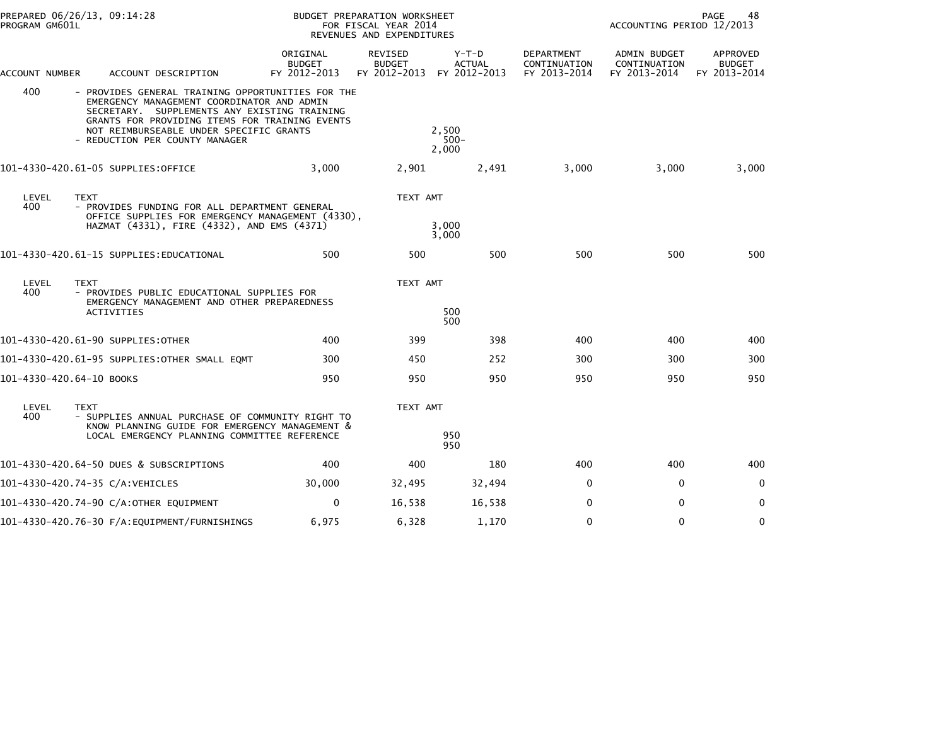| PROGRAM GM601L           | PREPARED 06/26/13, 09:14:28                                                                                                                                                                                                                                                    | BUDGET PREPARATION WORKSHEET<br>FOR FISCAL YEAR 2014<br>REVENUES AND EXPENDITURES |                                                 |                                          |                                                   | PAGE<br>48<br>ACCOUNTING PERIOD 12/2013             |                                                  |  |  |
|--------------------------|--------------------------------------------------------------------------------------------------------------------------------------------------------------------------------------------------------------------------------------------------------------------------------|-----------------------------------------------------------------------------------|-------------------------------------------------|------------------------------------------|---------------------------------------------------|-----------------------------------------------------|--------------------------------------------------|--|--|
| ACCOUNT NUMBER           | ACCOUNT DESCRIPTION                                                                                                                                                                                                                                                            | ORIGINAL<br><b>BUDGET</b><br>FY 2012-2013                                         | <b>REVISED</b><br><b>BUDGET</b><br>FY 2012-2013 | $Y-T-D$<br><b>ACTUAL</b><br>FY 2012-2013 | <b>DEPARTMENT</b><br>CONTINUATION<br>FY 2013-2014 | <b>ADMIN BUDGET</b><br>CONTINUATION<br>FY 2013-2014 | <b>APPROVED</b><br><b>BUDGET</b><br>FY 2013-2014 |  |  |
| 400                      | - PROVIDES GENERAL TRAINING OPPORTUNITIES FOR THE<br>EMERGENCY MANAGEMENT COORDINATOR AND ADMIN<br>SECRETARY. SUPPLEMENTS ANY EXISTING TRAINING<br>GRANTS FOR PROVIDING ITEMS FOR TRAINING EVENTS<br>NOT REIMBURSEABLE UNDER SPECIFIC GRANTS<br>- REDUCTION PER COUNTY MANAGER |                                                                                   |                                                 | 2.500<br>$500 -$<br>2,000                |                                                   |                                                     |                                                  |  |  |
|                          | 101-4330-420.61-05 SUPPLIES:OFFICE                                                                                                                                                                                                                                             | 3,000                                                                             | 2,901                                           | 2,491                                    | 3,000                                             | 3,000                                               | 3,000                                            |  |  |
| LEVEL<br>400             | <b>TEXT</b><br>- PROVIDES FUNDING FOR ALL DEPARTMENT GENERAL<br>OFFICE SUPPLIES FOR EMERGENCY MANAGEMENT (4330),<br>HAZMAT (4331), FIRE (4332), AND EMS (4371)                                                                                                                 |                                                                                   | TEXT AMT                                        | 3,000                                    |                                                   |                                                     |                                                  |  |  |
|                          |                                                                                                                                                                                                                                                                                |                                                                                   |                                                 | 3,000                                    |                                                   |                                                     |                                                  |  |  |
|                          | 101-4330-420.61-15 SUPPLIES:EDUCATIONAL                                                                                                                                                                                                                                        | 500                                                                               | 500                                             | 500                                      | 500                                               | 500                                                 | 500                                              |  |  |
| LEVEL<br>400             | <b>TEXT</b><br>- PROVIDES PUBLIC EDUCATIONAL SUPPLIES FOR<br>EMERGENCY MANAGEMENT AND OTHER PREPAREDNESS                                                                                                                                                                       |                                                                                   | TEXT AMT                                        |                                          |                                                   |                                                     |                                                  |  |  |
|                          | <b>ACTIVITIES</b>                                                                                                                                                                                                                                                              |                                                                                   |                                                 | 500<br>500                               |                                                   |                                                     |                                                  |  |  |
|                          | 101-4330-420.61-90 SUPPLIES:OTHER                                                                                                                                                                                                                                              | 400                                                                               | 399                                             | 398                                      | 400                                               | 400                                                 | 400                                              |  |  |
|                          | 101-4330-420.61-95 SUPPLIES:OTHER SMALL EQMT                                                                                                                                                                                                                                   | 300                                                                               | 450                                             | 252                                      | 300                                               | 300                                                 | 300                                              |  |  |
| 101-4330-420.64-10 BOOKS |                                                                                                                                                                                                                                                                                | 950                                                                               | 950                                             | 950                                      | 950                                               | 950                                                 | 950                                              |  |  |
| LEVEL<br>400             | <b>TEXT</b><br>- SUPPLIES ANNUAL PURCHASE OF COMMUNITY RIGHT TO<br>KNOW PLANNING GUIDE FOR EMERGENCY MANAGEMENT &                                                                                                                                                              |                                                                                   | TEXT AMT                                        |                                          |                                                   |                                                     |                                                  |  |  |
|                          | LOCAL EMERGENCY PLANNING COMMITTEE REFERENCE                                                                                                                                                                                                                                   |                                                                                   |                                                 | 950<br>950                               |                                                   |                                                     |                                                  |  |  |
|                          | 101-4330-420.64-50 DUES & SUBSCRIPTIONS                                                                                                                                                                                                                                        | 400                                                                               | 400                                             | 180                                      | 400                                               | 400                                                 | 400                                              |  |  |
|                          | 101–4330–420.74–35 C/A:VEHICLES                                                                                                                                                                                                                                                | 30,000                                                                            | 32,495                                          | 32,494                                   | $\Omega$                                          | $\mathbf{0}$                                        | $\Omega$                                         |  |  |
|                          | 101-4330-420.74-90 C/A:OTHER EQUIPMENT                                                                                                                                                                                                                                         | 0                                                                                 | 16,538                                          | 16,538                                   | 0                                                 | 0                                                   | 0                                                |  |  |
|                          |                                                                                                                                                                                                                                                                                | 6,975                                                                             | 6,328                                           | 1,170                                    | $\Omega$                                          | $\mathbf 0$                                         | $\mathbf{0}$                                     |  |  |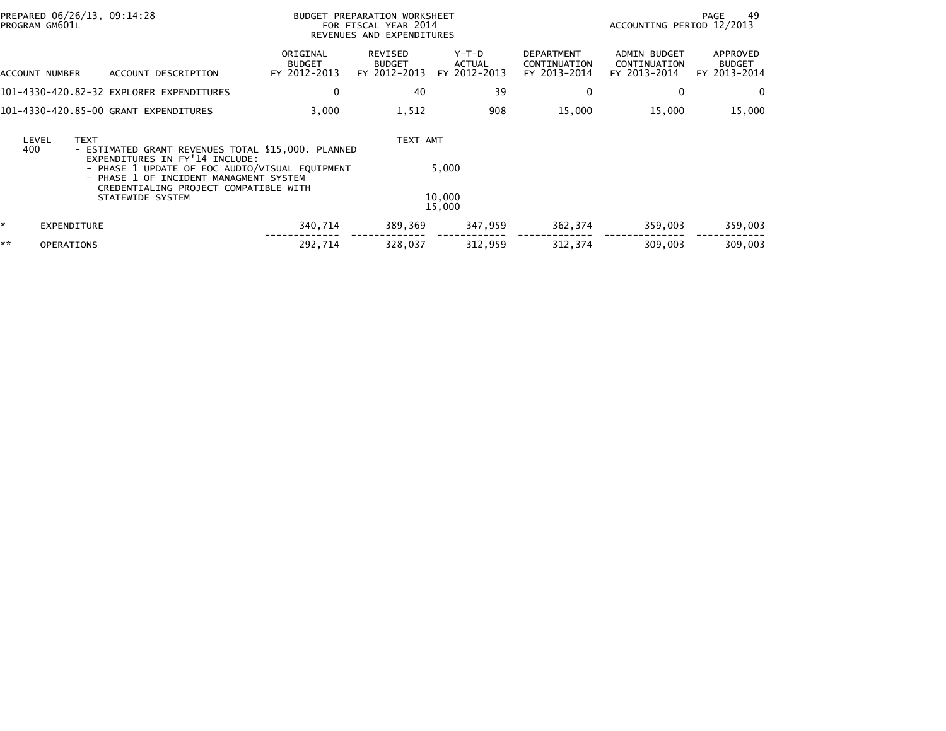|    | PREPARED 06/26/13, 09:14:28<br>PROGRAM GM601L |                                                                                                                                                                                                                                               | BUDGET PREPARATION WORKSHEET<br>FOR FISCAL YEAR 2014<br>REVENUES AND EXPENDITURES | 49<br>PAGE<br>ACCOUNTING PERIOD 12/2013  |                                   |                                            |                                              |                                           |
|----|-----------------------------------------------|-----------------------------------------------------------------------------------------------------------------------------------------------------------------------------------------------------------------------------------------------|-----------------------------------------------------------------------------------|------------------------------------------|-----------------------------------|--------------------------------------------|----------------------------------------------|-------------------------------------------|
|    | ACCOUNT NUMBER                                | ACCOUNT DESCRIPTION                                                                                                                                                                                                                           | ORIGINAL<br><b>BUDGET</b><br>FY 2012-2013                                         | REVISED<br><b>BUDGET</b><br>FY 2012-2013 | $Y-T-D$<br>ACTUAL<br>FY 2012-2013 | DEPARTMENT<br>CONTINUATION<br>FY 2013-2014 | ADMIN BUDGET<br>CONTINUATION<br>FY 2013-2014 | APPROVED<br><b>BUDGET</b><br>FY 2013-2014 |
|    |                                               | 101-4330-420.82-32 EXPLORER EXPENDITURES                                                                                                                                                                                                      | 0                                                                                 | 40                                       | 39                                | 0                                          | 0                                            | 0                                         |
|    |                                               | 101-4330-420.85-00 GRANT EXPENDITURES                                                                                                                                                                                                         | 3,000                                                                             | 1,512                                    | 908                               | 15,000                                     | 15,000                                       | 15,000                                    |
|    | <b>TEXT</b><br>LEVEL<br>400                   | - ESTIMATED GRANT REVENUES TOTAL \$15,000. PLANNED<br>EXPENDITURES IN FY'14 INCLUDE:<br>- PHASE 1 UPDATE OF EOC AUDIO/VISUAL EQUIPMENT<br>- PHASE 1 OF INCIDENT MANAGMENT SYSTEM<br>CREDENTIALING PROJECT COMPATIBLE WITH<br>STATEWIDE SYSTEM |                                                                                   | TEXT AMT                                 | 5,000<br>10,000<br>15,000         |                                            |                                              |                                           |
| *  | <b>EXPENDITURE</b>                            |                                                                                                                                                                                                                                               | 340,714                                                                           | 389,369                                  | 347,959                           | 362,374                                    | 359,003                                      | 359,003                                   |
| ** | <b>OPERATIONS</b>                             |                                                                                                                                                                                                                                               | 292,714                                                                           | 328,037                                  | 312,959                           | 312,374                                    | 309,003                                      | 309,003                                   |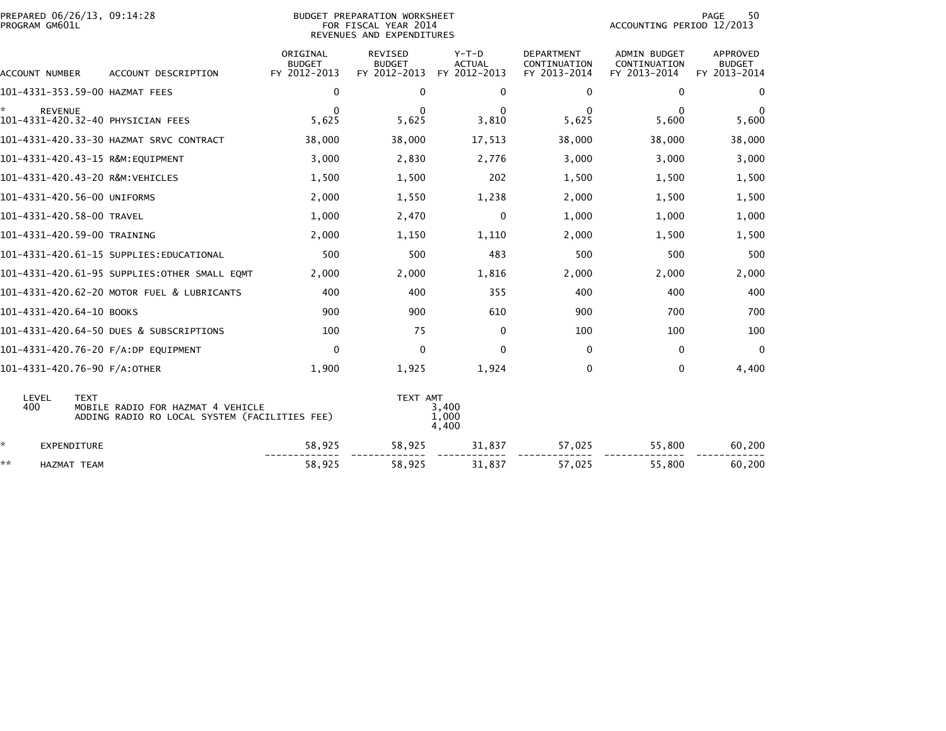| PROGRAM GM601L            | PREPARED 06/26/13, 09:14:28                                                                       |                                           | ACCOUNTING PERIOD 12/2013                       | PAGE<br>50                               |                                                   |                                                     |                                           |
|---------------------------|---------------------------------------------------------------------------------------------------|-------------------------------------------|-------------------------------------------------|------------------------------------------|---------------------------------------------------|-----------------------------------------------------|-------------------------------------------|
| ACCOUNT NUMBER            | ACCOUNT DESCRIPTION                                                                               | ORIGINAL<br><b>BUDGET</b><br>FY 2012-2013 | <b>REVISED</b><br><b>BUDGET</b><br>FY 2012-2013 | $Y-T-D$<br><b>ACTUAL</b><br>FY 2012-2013 | <b>DEPARTMENT</b><br>CONTINUATION<br>FY 2013-2014 | <b>ADMIN BUDGET</b><br>CONTINUATION<br>FY 2013-2014 | APPROVED<br><b>BUDGET</b><br>FY 2013-2014 |
|                           | 101-4331-353.59-00 HAZMAT FEES                                                                    | 0                                         | $\Omega$                                        | $\Omega$                                 | 0                                                 | $\mathbf{0}$                                        | 0                                         |
| *.<br><b>REVENUE</b>      | 101-4331-420.32-40 PHYSICIAN FEES                                                                 | $\Omega$<br>5,625                         | $\Omega$<br>5,625                               | $\Omega$<br>3,810                        | $\Omega$<br>5,625                                 | $\Omega$<br>5,600                                   | $\Omega$<br>5,600                         |
|                           | 101-4331-420.33-30 HAZMAT SRVC CONTRACT                                                           | 38,000                                    | 38,000                                          | 17,513                                   | 38,000                                            | 38,000                                              | 38,000                                    |
|                           | 101-4331-420.43-15 R&M:EQUIPMENT                                                                  | 3,000                                     | 2,830                                           | 2,776                                    | 3,000                                             | 3,000                                               | 3,000                                     |
|                           | 101-4331-420.43-20 R&M:VEHICLES                                                                   | 1,500                                     | 1,500                                           | 202                                      | 1,500                                             | 1,500                                               | 1,500                                     |
|                           | 101-4331-420.56-00 UNIFORMS                                                                       | 2,000                                     | 1,550                                           | 1,238                                    | 2,000                                             | 1,500                                               | 1,500                                     |
| 101-4331-420.58-00 TRAVEL |                                                                                                   | 1,000                                     | 2,470                                           | 0                                        | 1,000                                             | 1,000                                               | 1,000                                     |
|                           | 101-4331-420.59-00 TRAINING                                                                       | 2,000                                     | 1,150                                           | 1,110                                    | 2,000                                             | 1,500                                               | 1,500                                     |
|                           | 101-4331-420.61-15 SUPPLIES:EDUCATIONAL                                                           | 500                                       | 500                                             | 483                                      | 500                                               | 500                                                 | 500                                       |
|                           | 101-4331-420.61-95 SUPPLIES:OTHER SMALL EQMT                                                      | 2,000                                     | 2,000                                           | 1,816                                    | 2,000                                             | 2,000                                               | 2,000                                     |
|                           | 101-4331-420.62-20 MOTOR FUEL & LUBRICANTS                                                        | 400                                       | 400                                             | 355                                      | 400                                               | 400                                                 | 400                                       |
| 101-4331-420.64-10 BOOKS  |                                                                                                   | 900                                       | 900                                             | 610                                      | 900                                               | 700                                                 | 700                                       |
|                           | 101-4331-420.64-50 DUES & SUBSCRIPTIONS                                                           | 100                                       | 75                                              | $\mathbf{0}$                             | 100                                               | 100                                                 | 100                                       |
|                           | 101-4331-420.76-20 F/A:DP EQUIPMENT                                                               | $\mathbf 0$                               | $\Omega$                                        | $\Omega$                                 | $\Omega$                                          | $\mathbf 0$                                         | $\mathbf{0}$                              |
|                           | 101-4331-420.76-90 F/A:OTHER                                                                      | 1,900                                     | 1,925                                           | 1,924                                    | 0                                                 | 0                                                   | 4,400                                     |
| LEVEL<br>400              | <b>TEXT</b><br>MOBILE RADIO FOR HAZMAT 4 VEHICLE<br>ADDING RADIO RO LOCAL SYSTEM (FACILITIES FEE) |                                           | TEXT AMT                                        | 3,400<br>1,000<br>4,400                  |                                                   |                                                     |                                           |
| ÷.<br><b>EXPENDITURE</b>  |                                                                                                   | 58,925                                    | 58,925                                          | 31,837                                   | 57,025                                            | 55,800                                              | 60,200                                    |
| **<br><b>HAZMAT TEAM</b>  |                                                                                                   | 58,925                                    | 58,925                                          | 31,837                                   | 57,025                                            | 55,800                                              | 60,200                                    |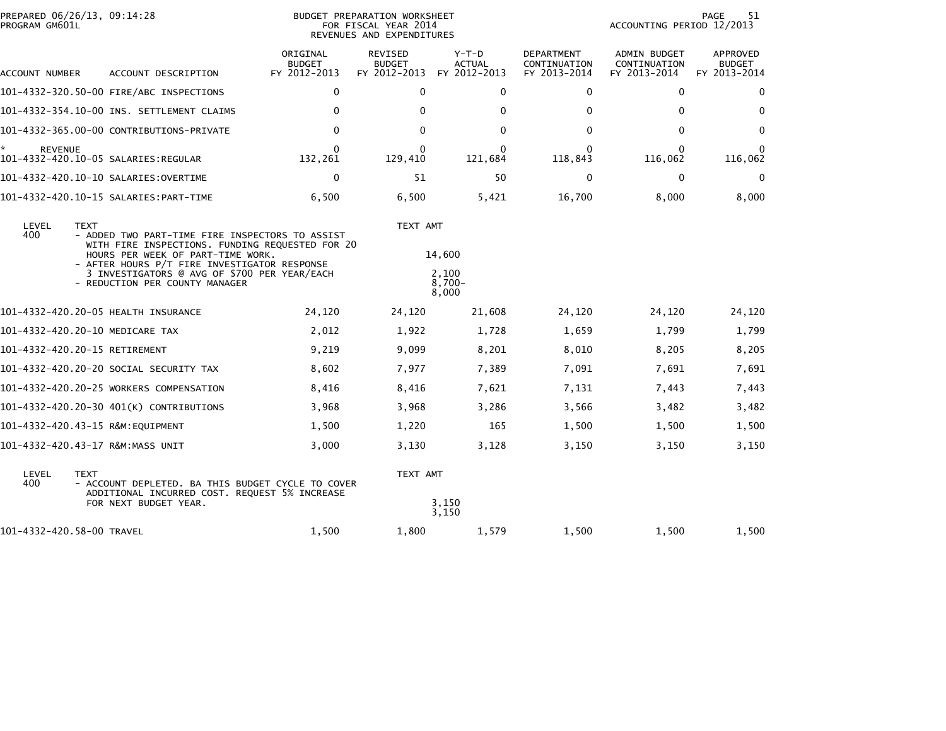| PREPARED 06/26/13, 09:14:28<br>PROGRAM GM601L                                        |                                                                                                                                                                                                                                                                           | BUDGET PREPARATION WORKSHEET<br>FOR FISCAL YEAR 2014<br>REVENUES AND EXPENDITURES | 51<br>PAGE<br>ACCOUNTING PERIOD 12/2013                      |                                      |                                                   |                                                     |                                           |
|--------------------------------------------------------------------------------------|---------------------------------------------------------------------------------------------------------------------------------------------------------------------------------------------------------------------------------------------------------------------------|-----------------------------------------------------------------------------------|--------------------------------------------------------------|--------------------------------------|---------------------------------------------------|-----------------------------------------------------|-------------------------------------------|
| ACCOUNT NUMBER                                                                       | ACCOUNT DESCRIPTION                                                                                                                                                                                                                                                       | ORIGINAL<br><b>BUDGET</b><br>FY 2012-2013                                         | <b>REVISED</b><br><b>BUDGET</b><br>FY 2012-2013 FY 2012-2013 | Y-T-D<br><b>ACTUAL</b>               | <b>DEPARTMENT</b><br>CONTINUATION<br>FY 2013-2014 | <b>ADMIN BUDGET</b><br>CONTINUATION<br>FY 2013-2014 | APPROVED<br><b>BUDGET</b><br>FY 2013-2014 |
| 101-4332-320.50-00 FIRE/ABC INSPECTIONS<br>101-4332-354.10-00 INS. SETTLEMENT CLAIMS |                                                                                                                                                                                                                                                                           | $\mathbf 0$                                                                       | $\Omega$                                                     | $\Omega$                             | 0                                                 | 0                                                   | 0                                         |
|                                                                                      |                                                                                                                                                                                                                                                                           | 0                                                                                 | $\mathbf{0}$                                                 | $\Omega$                             | 0                                                 | 0                                                   | $\Omega$                                  |
|                                                                                      | 101-4332-365.00-00 CONTRIBUTIONS-PRIVATE                                                                                                                                                                                                                                  | $\mathbf 0$                                                                       | $\mathbf{0}$                                                 | $\Omega$                             | $\mathbf{0}$                                      | 0                                                   | $\Omega$                                  |
| ÷.<br><b>REVENUE</b>                                                                 |                                                                                                                                                                                                                                                                           | $\mathbf{0}$<br>132,261                                                           | 0<br>129,410                                                 | $\Omega$<br>121,684                  | 0<br>118,843                                      | $\Omega$<br>116,062                                 | $\mathbf{0}$<br>116,062                   |
|                                                                                      |                                                                                                                                                                                                                                                                           | 0                                                                                 | 51                                                           | 50                                   | $\mathbf 0$                                       | 0                                                   | $\mathbf 0$                               |
|                                                                                      |                                                                                                                                                                                                                                                                           | 6,500                                                                             | 6,500                                                        | 5,421                                | 16,700                                            | 8,000                                               | 8,000                                     |
| LEVEL<br><b>TEXT</b><br>400                                                          | - ADDED TWO PART-TIME FIRE INSPECTORS TO ASSIST<br>WITH FIRE INSPECTIONS. FUNDING REQUESTED FOR 20<br>HOURS PER WEEK OF PART-TIME WORK.<br>- AFTER HOURS P/T FIRE INVESTIGATOR RESPONSE<br>3 INVESTIGATORS @ AVG OF \$700 PER YEAR/EACH<br>- REDUCTION PER COUNTY MANAGER |                                                                                   | TEXT AMT                                                     | 14,600<br>2,100<br>$8,700-$<br>8,000 |                                                   |                                                     |                                           |
|                                                                                      | 101-4332-420.20-05 HEALTH INSURANCE                                                                                                                                                                                                                                       | 24,120                                                                            | 24,120                                                       | 21,608                               | 24,120                                            | 24,120                                              | 24,120                                    |
| 101-4332-420.20-10 MEDICARE TAX                                                      |                                                                                                                                                                                                                                                                           | 2,012                                                                             | 1,922                                                        | 1,728                                | 1,659                                             | 1,799                                               | 1,799                                     |
| 101-4332-420.20-15 RETIREMENT                                                        |                                                                                                                                                                                                                                                                           | 9,219                                                                             | 9,099                                                        | 8,201                                | 8,010                                             | 8,205                                               | 8,205                                     |
|                                                                                      | 101–4332–420.20–20 SOCIAL SECURITY TAX                                                                                                                                                                                                                                    | 8,602                                                                             | 7,977                                                        | 7,389                                | 7,091                                             | 7,691                                               | 7,691                                     |
|                                                                                      | 101-4332-420.20-25 WORKERS COMPENSATION                                                                                                                                                                                                                                   | 8,416                                                                             | 8,416                                                        | 7,621                                | 7,131                                             | 7,443                                               | 7,443                                     |
|                                                                                      | 101-4332-420.20-30 401(K) CONTRIBUTIONS                                                                                                                                                                                                                                   | 3,968                                                                             | 3,968                                                        | 3,286                                | 3,566                                             | 3,482                                               | 3,482                                     |
| 101-4332-420.43-15 R&M:EQUIPMENT                                                     |                                                                                                                                                                                                                                                                           | 1,500                                                                             | 1,220                                                        | 165                                  | 1,500                                             | 1,500                                               | 1,500                                     |
| 101-4332-420.43-17 R&M:MASS UNIT                                                     |                                                                                                                                                                                                                                                                           | 3,000                                                                             | 3,130                                                        | 3,128                                | 3,150                                             | 3,150                                               | 3,150                                     |
| LEVEL<br><b>TEXT</b><br>400                                                          | - ACCOUNT DEPLETED. BA THIS BUDGET CYCLE TO COVER<br>ADDITIONAL INCURRED COST. REQUEST 5% INCREASE<br>FOR NEXT BUDGET YEAR.                                                                                                                                               |                                                                                   | TEXT AMT                                                     | 3,150<br>3,150                       |                                                   |                                                     |                                           |
| 101-4332-420.58-00 TRAVEL                                                            |                                                                                                                                                                                                                                                                           | 1,500                                                                             | 1,800                                                        | 1,579                                | 1,500                                             | 1,500                                               | 1,500                                     |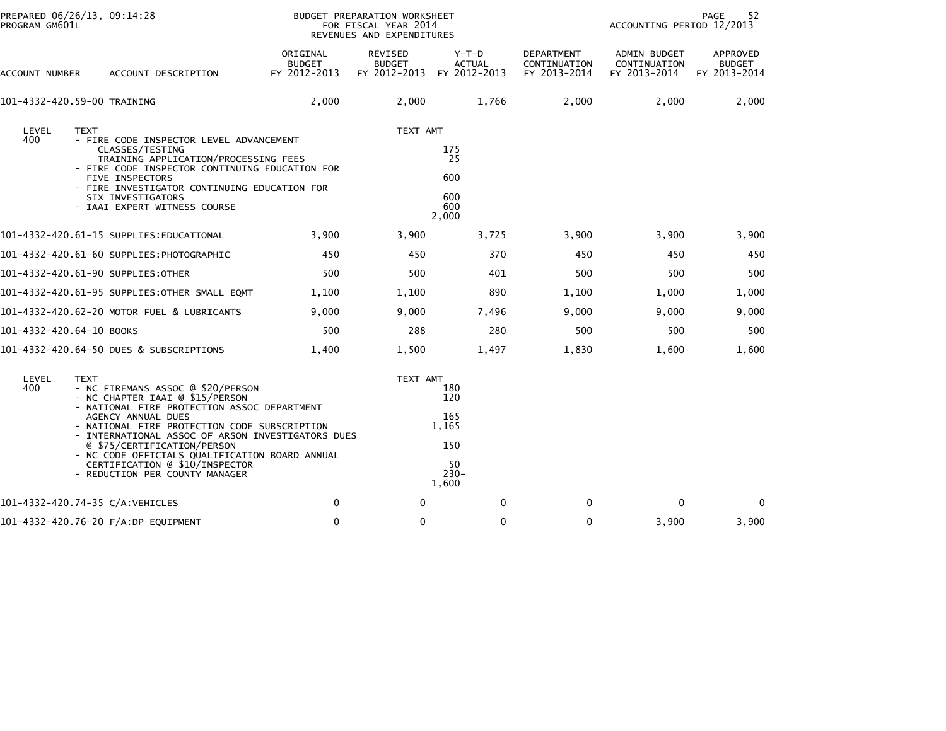| PREPARED 06/26/13, 09:14:28<br>PROGRAM GM601L                                                                                                                                                                                                                               |                                                                                                                                                     | BUDGET PREPARATION WORKSHEET<br>FOR FISCAL YEAR 2014<br>REVENUES AND EXPENDITURES | 52<br>PAGE<br>ACCOUNTING PERIOD 12/2013                     |                                            |                                              |                                           |
|-----------------------------------------------------------------------------------------------------------------------------------------------------------------------------------------------------------------------------------------------------------------------------|-----------------------------------------------------------------------------------------------------------------------------------------------------|-----------------------------------------------------------------------------------|-------------------------------------------------------------|--------------------------------------------|----------------------------------------------|-------------------------------------------|
| ACCOUNT DESCRIPTION<br>ACCOUNT NUMBER                                                                                                                                                                                                                                       | ORIGINAL<br><b>BUDGET</b><br>FY 2012-2013                                                                                                           | REVISED<br><b>BUDGET</b><br>FY 2012-2013 FY 2012-2013                             | Y-T-D<br><b>ACTUAL</b>                                      | DEPARTMENT<br>CONTINUATION<br>FY 2013-2014 | ADMIN BUDGET<br>CONTINUATION<br>FY 2013-2014 | APPROVED<br><b>BUDGET</b><br>FY 2013-2014 |
| 101-4332-420.59-00 TRAINING                                                                                                                                                                                                                                                 | 2,000                                                                                                                                               | 2,000                                                                             | 1,766                                                       | 2,000                                      | 2,000                                        | 2,000                                     |
| LEVEL<br><b>TEXT</b><br>400<br>- FIRE CODE INSPECTOR LEVEL ADVANCEMENT<br>CLASSES/TESTING<br><b>FIVE INSPECTORS</b><br>SIX INVESTIGATORS<br>- IAAI EXPERT WITNESS COURSE                                                                                                    | TRAINING APPLICATION/PROCESSING FEES<br>- FIRE CODE INSPECTOR CONTINUING EDUCATION FOR<br>- FIRE INVESTIGATOR CONTINUING EDUCATION FOR              | TEXT AMT                                                                          | 175<br>25<br>600<br>600<br>600<br>2,000                     |                                            |                                              |                                           |
| 101–4332–420.61–15 SUPPLIES:EDUCATIONAL                                                                                                                                                                                                                                     | 3,900                                                                                                                                               | 3,900                                                                             | 3,725                                                       | 3,900                                      | 3,900                                        | 3,900                                     |
| 101–4332–420.61–60 SUPPLIES:PHOTOGRAPHIC                                                                                                                                                                                                                                    | 450                                                                                                                                                 | 450                                                                               | 370                                                         | 450                                        | 450                                          | 450                                       |
| 101–4332–420.61–90 SUPPLIES:OTHER                                                                                                                                                                                                                                           | 500                                                                                                                                                 | 500                                                                               | 401                                                         | 500                                        | 500                                          | 500                                       |
| 101-4332-420.61-95 SUPPLIES:OTHER SMALL EQMT                                                                                                                                                                                                                                | 1,100                                                                                                                                               | 1,100                                                                             | 890                                                         | 1,100                                      | 1,000                                        | 1,000                                     |
| 101-4332-420.62-20 MOTOR FUEL & LUBRICANTS                                                                                                                                                                                                                                  | 9,000                                                                                                                                               | 9,000                                                                             | 7,496                                                       | 9,000                                      | 9,000                                        | 9,000                                     |
| 101-4332-420.64-10 BOOKS                                                                                                                                                                                                                                                    | 500                                                                                                                                                 | 288                                                                               | 280                                                         | 500                                        | 500                                          | 500                                       |
| 101-4332-420.64-50 DUES & SUBSCRIPTIONS                                                                                                                                                                                                                                     | 1,400                                                                                                                                               | 1,500                                                                             | 1,497                                                       | 1,830                                      | 1,600                                        | 1,600                                     |
| LEVEL<br><b>TEXT</b><br>400<br>- NC FIREMANS ASSOC @ \$20/PERSON<br>- NC CHAPTER IAAI @ \$15/PERSON<br>- NATIONAL FIRE PROTECTION ASSOC DEPARTMENT<br>AGENCY ANNUAL DUES<br>@ \$75/CERTIFICATION/PERSON<br>CERTIFICATION @ \$10/INSPECTOR<br>- REDUCTION PER COUNTY MANAGER | - NATIONAL FIRE PROTECTION CODE SUBSCRIPTION<br>- INTERNATIONAL ASSOC OF ARSON INVESTIGATORS DUES<br>- NC CODE OFFICIALS QUALIFICATION BOARD ANNUAL | TEXT AMT                                                                          | 180<br>120<br>165<br>1,165<br>150<br>50<br>$230 -$<br>1,600 |                                            |                                              |                                           |
| 101-4332-420.74-35 C/A:VEHICLES                                                                                                                                                                                                                                             | 0                                                                                                                                                   | 0                                                                                 | 0                                                           | 0                                          | 0                                            | 0                                         |
| 101-4332-420.76-20 F/A:DP EQUIPMENT                                                                                                                                                                                                                                         | $\mathbf 0$                                                                                                                                         | $\mathbf{0}$                                                                      | $\mathbf{0}$                                                | $\Omega$                                   | 3,900                                        | 3,900                                     |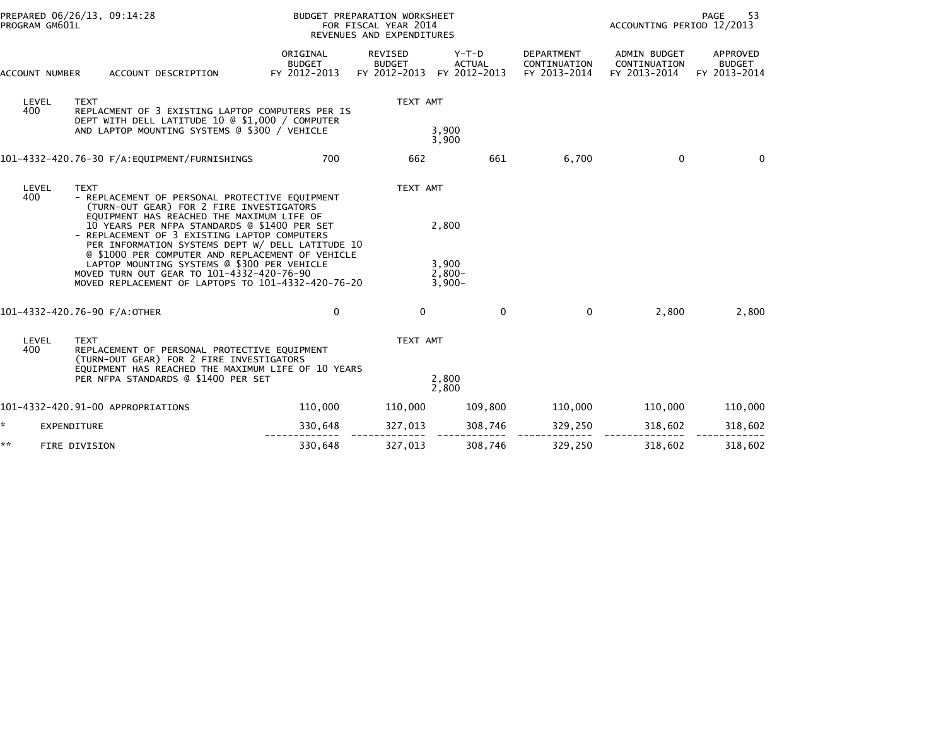| PROGRAM GM601L | PREPARED 06/26/13, 09:14:28                                                                                                                                                                                                                                                                                                                                                                                                                                                                                      |                                           | BUDGET PREPARATION WORKSHEET<br>FOR FISCAL YEAR 2014<br>REVENUES AND EXPENDITURES |                                          | PAGE<br>53<br>ACCOUNTING PERIOD 12/2013           |                                                     |                                           |  |
|----------------|------------------------------------------------------------------------------------------------------------------------------------------------------------------------------------------------------------------------------------------------------------------------------------------------------------------------------------------------------------------------------------------------------------------------------------------------------------------------------------------------------------------|-------------------------------------------|-----------------------------------------------------------------------------------|------------------------------------------|---------------------------------------------------|-----------------------------------------------------|-------------------------------------------|--|
| ACCOUNT NUMBER | ACCOUNT DESCRIPTION                                                                                                                                                                                                                                                                                                                                                                                                                                                                                              | ORIGINAL<br><b>BUDGET</b><br>FY 2012-2013 | <b>REVISED</b><br><b>BUDGET</b><br>FY 2012-2013                                   | $Y-T-D$<br><b>ACTUAL</b><br>FY 2012-2013 | <b>DEPARTMENT</b><br>CONTINUATION<br>FY 2013-2014 | <b>ADMIN BUDGET</b><br>CONTINUATION<br>FY 2013-2014 | APPROVED<br><b>BUDGET</b><br>FY 2013-2014 |  |
| LEVEL<br>400   | <b>TEXT</b><br>REPLACMENT OF 3 EXISTING LAPTOP COMPUTERS PER IS<br>DEPT WITH DELL LATITUDE 10 @ \$1,000 / COMPUTER                                                                                                                                                                                                                                                                                                                                                                                               |                                           | TEXT AMT                                                                          |                                          |                                                   |                                                     |                                           |  |
|                | AND LAPTOP MOUNTING SYSTEMS @ \$300 / VEHICLE                                                                                                                                                                                                                                                                                                                                                                                                                                                                    |                                           |                                                                                   | 3,900<br>3,900                           |                                                   |                                                     |                                           |  |
|                |                                                                                                                                                                                                                                                                                                                                                                                                                                                                                                                  | 700                                       | 662                                                                               | 661                                      | 6,700                                             | 0                                                   | $\Omega$                                  |  |
| LEVEL<br>400   | <b>TEXT</b><br>- REPLACEMENT OF PERSONAL PROTECTIVE EQUIPMENT<br>(TURN-OUT GEAR) FOR 2 FIRE INVESTIGATORS<br>EQUIPMENT HAS REACHED THE MAXIMUM LIFE OF<br>10 YEARS PER NFPA STANDARDS @ \$1400 PER SET<br>- REPLACEMENT OF 3 EXISTING LAPTOP COMPUTERS<br>PER INFORMATION SYSTEMS DEPT W/ DELL LATITUDE 10<br>@ \$1000 PER COMPUTER AND REPLACEMENT OF VEHICLE<br>LAPTOP MOUNTING SYSTEMS @ \$300 PER VEHICLE<br>MOVED TURN OUT GEAR TO 101-4332-420-76-90<br>MOVED REPLACEMENT OF LAPTOPS TO 101-4332-420-76-20 |                                           | TEXT AMT<br>2,800<br>3,900<br>$2.800 -$<br>$3,900-$                               |                                          |                                                   |                                                     |                                           |  |
|                | 101-4332-420.76-90 F/A:OTHER                                                                                                                                                                                                                                                                                                                                                                                                                                                                                     | 0                                         | $\Omega$                                                                          | $\mathbf{0}$                             | $\Omega$                                          | 2,800                                               | 2,800                                     |  |
| LEVEL<br>400   | <b>TEXT</b><br>REPLACEMENT OF PERSONAL PROTECTIVE EQUIPMENT<br>(TURN-OUT GEAR) FOR 2 FIRE INVESTIGATORS<br>EQUIPMENT HAS REACHED THE MAXIMUM LIFE OF 10 YEARS<br>PER NFPA STANDARDS @ \$1400 PER SET                                                                                                                                                                                                                                                                                                             |                                           | TEXT AMT                                                                          | 2,800                                    |                                                   |                                                     |                                           |  |
|                | 101-4332-420.91-00 APPROPRIATIONS                                                                                                                                                                                                                                                                                                                                                                                                                                                                                | 110,000                                   | 110,000                                                                           | 2,800<br>109,800                         | 110,000                                           | 110,000                                             | 110,000                                   |  |
| ÷.             | EXPENDITURE                                                                                                                                                                                                                                                                                                                                                                                                                                                                                                      | 330,648                                   | 327,013                                                                           | 308,746                                  | 329,250                                           | 318,602                                             | 318,602                                   |  |
| **             | FIRE DIVISION                                                                                                                                                                                                                                                                                                                                                                                                                                                                                                    | 330,648                                   | 327,013                                                                           | 308,746                                  | 329,250                                           | 318,602                                             | 318,602                                   |  |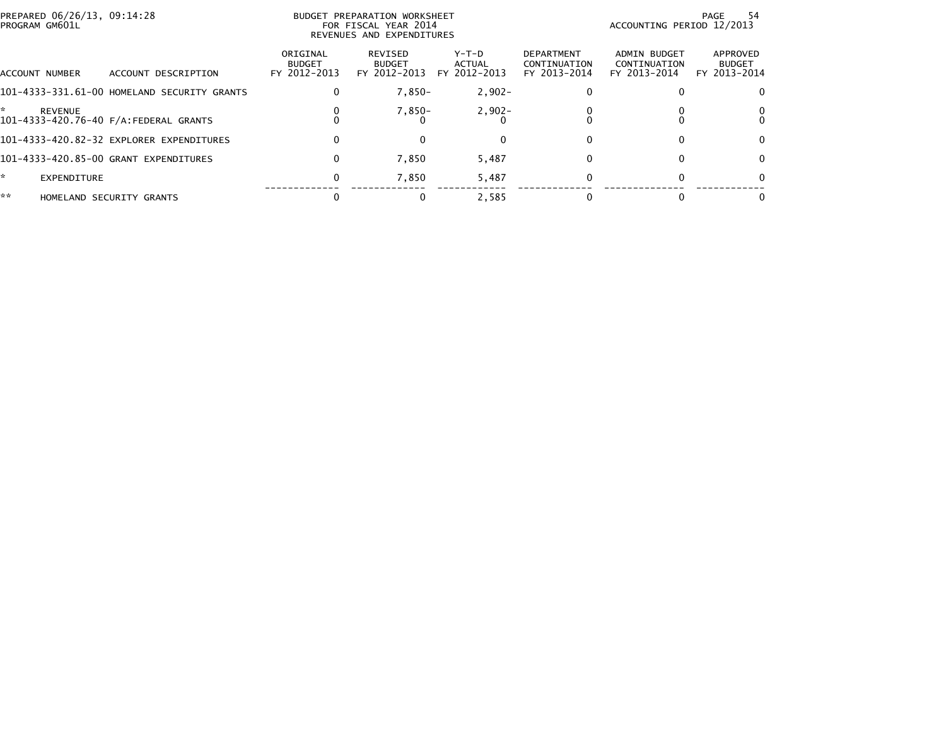| PREPARED 06/26/13, 09:14:28<br>BUDGET PREPARATION WORKSHEET<br>PROGRAM GM601L<br>FOR FISCAL YEAR 2014<br>REVENUES AND EXPENDITURES |                                             |                                           |                                          |                                   |                                                   |                                              | -54<br>PAGE<br>ACCOUNTING PERIOD 12/2013  |
|------------------------------------------------------------------------------------------------------------------------------------|---------------------------------------------|-------------------------------------------|------------------------------------------|-----------------------------------|---------------------------------------------------|----------------------------------------------|-------------------------------------------|
| <b>ACCOUNT NUMBER</b>                                                                                                              | ACCOUNT DESCRIPTION                         | ORIGINAL<br><b>BUDGET</b><br>FY 2012-2013 | REVISED<br><b>BUDGET</b><br>FY 2012-2013 | $Y-T-D$<br>ACTUAL<br>FY 2012-2013 | <b>DEPARTMENT</b><br>CONTINUATION<br>FY 2013-2014 | ADMIN BUDGET<br>CONTINUATION<br>FY 2013-2014 | APPROVED<br><b>BUDGET</b><br>FY 2013-2014 |
|                                                                                                                                    | 101-4333-331.61-00 HOMELAND SECURITY GRANTS | 0                                         | $7,850-$                                 | $2,902-$                          |                                                   |                                              |                                           |
| <b>REVENUE</b>                                                                                                                     | 101-4333-420.76-40 F/A: FEDERAL GRANTS      |                                           | $7,850-$                                 | $2,902 -$                         |                                                   |                                              |                                           |
|                                                                                                                                    | 101-4333-420.82-32 EXPLORER EXPENDITURES    | 0                                         |                                          |                                   |                                                   |                                              |                                           |
|                                                                                                                                    | 101-4333-420.85-00 GRANT EXPENDITURES       | 0                                         | 7,850                                    | 5,487                             |                                                   |                                              |                                           |
| $\star$<br>EXPENDITURE                                                                                                             |                                             | 0                                         | 7,850                                    | 5,487                             |                                                   |                                              |                                           |
| **                                                                                                                                 | HOMELAND SECURITY GRANTS                    |                                           |                                          | 2.585                             |                                                   |                                              |                                           |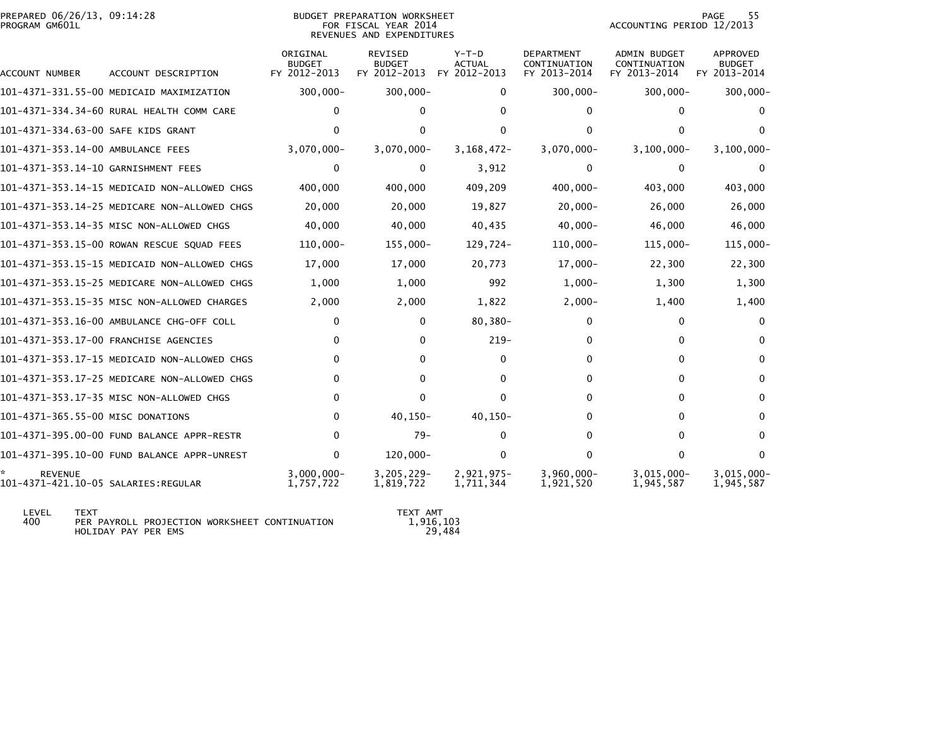| PREPARED 06/26/13, 09:14:28<br>PROGRAM GM601L |                                                                                                                             |                            | <b>BUDGET PREPARATION WORKSHEET</b><br>FOR FISCAL YEAR 2014<br>REVENUES AND EXPENDITURES | <b>PAGE</b><br>55<br>ACCOUNTING PERIOD 12/2013 |                            |                              |                            |
|-----------------------------------------------|-----------------------------------------------------------------------------------------------------------------------------|----------------------------|------------------------------------------------------------------------------------------|------------------------------------------------|----------------------------|------------------------------|----------------------------|
|                                               | ORIGINAL<br><b>REVISED</b><br>Y-T-D<br><b>DEPARTMENT</b><br><b>BUDGET</b><br><b>BUDGET</b><br><b>ACTUAL</b><br>CONTINUATION |                            |                                                                                          |                                                |                            |                              | APPROVED<br><b>BUDGET</b>  |
| ACCOUNT NUMBER                                | ACCOUNT DESCRIPTION                                                                                                         | FY 2012-2013               | FY 2012-2013                                                                             | FY 2012-2013                                   | FY 2013-2014               | CONTINUATION<br>FY 2013-2014 | FY 2013-2014               |
|                                               | 101-4371-331.55-00 MEDICAID MAXIMIZATION                                                                                    | $300,000 -$                | $300,000 -$                                                                              | $\Omega$                                       | $300,000 -$                | 300,000-                     | $300,000 -$                |
|                                               | 101-4371-334.34-60 RURAL HEALTH COMM CARE                                                                                   |                            | 0                                                                                        |                                                | 0                          |                              |                            |
| 101-4371-334.63-00 SAFE KIDS GRANT            |                                                                                                                             |                            | 0                                                                                        | 0                                              | 0                          |                              |                            |
| 101-4371-353.14-00 AMBULANCE FEES             |                                                                                                                             | $3,070,000 -$              | $3,070,000 -$                                                                            | 3, 168, 472-                                   | $3,070,000 -$              | $3,100,000 -$                | $3, 100, 000 -$            |
| 101-4371-353.14-10 GARNISHMENT FEES           |                                                                                                                             | 0                          | 0                                                                                        | 3,912                                          | 0                          | 0                            | 0                          |
|                                               | 101-4371-353.14-15 MEDICAID NON-ALLOWED CHGS                                                                                | 400,000                    | 400,000                                                                                  | 409,209                                        | 400,000-                   | 403,000                      | 403,000                    |
|                                               | 101-4371-353.14-25 MEDICARE NON-ALLOWED CHGS                                                                                | 20,000                     | 20,000                                                                                   | 19,827                                         | $20,000 -$                 | 26,000                       | 26,000                     |
|                                               | 101-4371-353.14-35 MISC NON-ALLOWED CHGS                                                                                    | 40,000                     | 40,000                                                                                   | 40,435                                         | $40,000 -$                 | 46,000                       | 46,000                     |
|                                               | 101-4371-353.15-00 ROWAN RESCUE SQUAD FEES                                                                                  | $110,000 -$                | 155,000-                                                                                 | 129,724-                                       | $110,000 -$                | $115,000 -$                  | 115,000-                   |
|                                               | 101-4371-353.15-15 MEDICAID NON-ALLOWED CHGS                                                                                | 17,000                     | 17,000                                                                                   | 20,773                                         | $17,000 -$                 | 22,300                       | 22,300                     |
|                                               | 101-4371-353.15-25 MEDICARE NON-ALLOWED CHGS                                                                                | 1,000                      | 1,000                                                                                    | 992                                            | $1,000-$                   | 1,300                        | 1,300                      |
|                                               | 101-4371-353.15-35 MISC NON-ALLOWED CHARGES                                                                                 | 2,000                      | 2,000                                                                                    | 1,822                                          | $2,000-$                   | 1,400                        | 1,400                      |
|                                               | 101-4371-353.16-00 AMBULANCE CHG-OFF COLL                                                                                   | 0                          | 0                                                                                        | $80,380 -$                                     | 0                          | 0                            | <sup>0</sup>               |
|                                               | 101-4371-353.17-00 FRANCHISE AGENCIES                                                                                       | $\Omega$                   | 0                                                                                        | $219-$                                         | 0                          | 0                            | 0                          |
|                                               | 101-4371-353.17-15 MEDICAID NON-ALLOWED CHGS                                                                                | 0                          | 0                                                                                        | $\Omega$                                       | $\Omega$                   | 0                            | <sup>0</sup>               |
|                                               | 101-4371-353.17-25 MEDICARE NON-ALLOWED CHGS                                                                                | 0                          | 0                                                                                        | 0                                              | 0                          | 0                            | 0                          |
|                                               | 101-4371-353.17-35 MISC NON-ALLOWED CHGS                                                                                    | 0                          | 0                                                                                        | $\Omega$                                       | 0                          | 0                            | 0                          |
| 101-4371-365.55-00 MISC DONATIONS             |                                                                                                                             | 0                          | $40, 150 -$                                                                              | $40, 150 -$                                    | 0                          |                              | 0                          |
|                                               | 101-4371-395.00-00 FUND BALANCE APPR-RESTR                                                                                  | 0                          | $79-$                                                                                    | $\Omega$                                       | $\Omega$                   | 0                            | $\Omega$                   |
|                                               | 101-4371-395.10-00 FUND BALANCE APPR-UNREST                                                                                 | $\mathbf{0}$               | 120,000-                                                                                 | $\mathbf{0}$                                   | $\Omega$                   | 0                            | $\Omega$                   |
| <b>REVENUE</b>                                |                                                                                                                             | $3,000,000 -$<br>1,757,722 | $3,205,229-$<br>1,819,722                                                                | 2,921,975-<br>1,711,344                        | $3,960,000 -$<br>1,921,520 | $3,015,000 -$<br>1,945,587   | $3,015,000 -$<br>1,945,587 |
|                                               |                                                                                                                             |                            |                                                                                          |                                                |                            |                              |                            |

 LEVEL TEXT TEXT AMT 400 PER PAYROLL PROJECTION WORKSHEET CONTINUATION 1,916,103HOLIDAY PAY PER EMS 29,484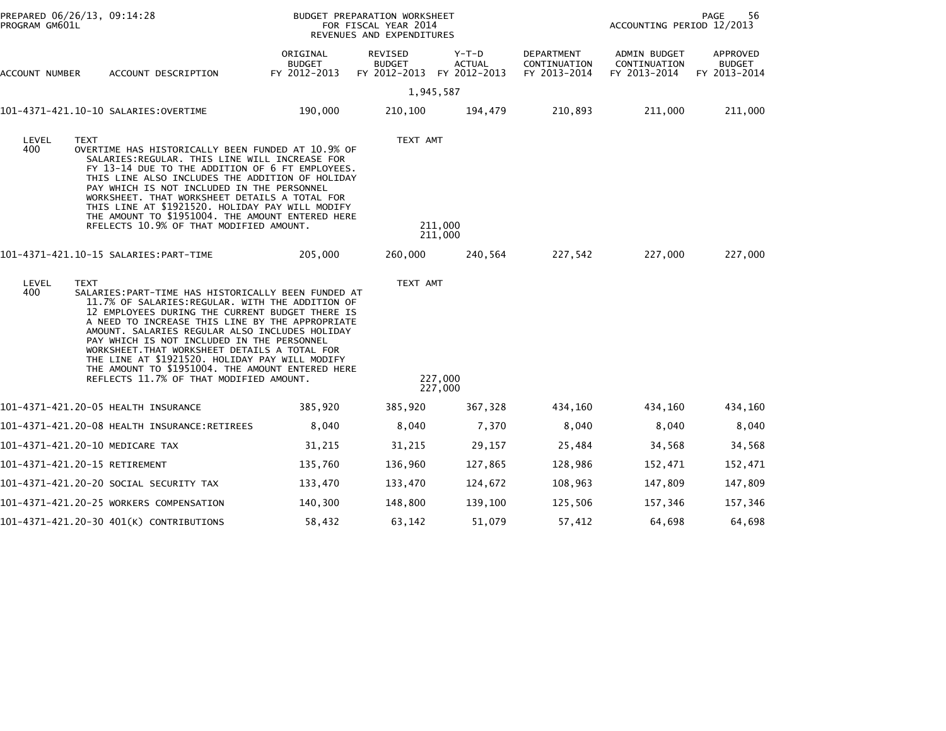| PROGRAM GM601L | PREPARED 06/26/13, 09:14:28                                                                                                                                                                                                                                                                                                                                                                                                                                                                                                    |                                           | BUDGET PREPARATION WORKSHEET<br>FOR FISCAL YEAR 2014<br>REVENUES AND EXPENDITURES |                        | 56<br><b>PAGE</b><br>ACCOUNTING PERIOD 12/2013 |                                                     |                                           |  |
|----------------|--------------------------------------------------------------------------------------------------------------------------------------------------------------------------------------------------------------------------------------------------------------------------------------------------------------------------------------------------------------------------------------------------------------------------------------------------------------------------------------------------------------------------------|-------------------------------------------|-----------------------------------------------------------------------------------|------------------------|------------------------------------------------|-----------------------------------------------------|-------------------------------------------|--|
| ACCOUNT NUMBER | ACCOUNT DESCRIPTION                                                                                                                                                                                                                                                                                                                                                                                                                                                                                                            | ORIGINAL<br><b>BUDGET</b><br>FY 2012-2013 | REVISED<br><b>BUDGET</b><br>FY 2012-2013 FY 2012-2013                             | Y-T-D<br><b>ACTUAL</b> | DEPARTMENT<br>CONTINUATION<br>FY 2013-2014     | <b>ADMIN BUDGET</b><br>CONTINUATION<br>FY 2013-2014 | APPROVED<br><b>BUDGET</b><br>FY 2013-2014 |  |
|                |                                                                                                                                                                                                                                                                                                                                                                                                                                                                                                                                |                                           | 1,945,587                                                                         |                        |                                                |                                                     |                                           |  |
|                | 101-4371-421.10-10 SALARIES:OVERTIME                                                                                                                                                                                                                                                                                                                                                                                                                                                                                           | 190,000                                   | 210,100                                                                           | 194,479                | 210,893                                        | 211,000                                             | 211,000                                   |  |
| LEVEL<br>400   | <b>TEXT</b><br>OVERTIME HAS HISTORICALLY BEEN FUNDED AT 10.9% OF<br>SALARIES:REGULAR. THIS LINE WILL INCREASE FOR<br>FY 13-14 DUE TO THE ADDITION OF 6 FT EMPLOYEES.<br>THIS LINE ALSO INCLUDES THE ADDITION OF HOLIDAY<br>PAY WHICH IS NOT INCLUDED IN THE PERSONNEL<br>WORKSHEET. THAT WORKSHEET DETAILS A TOTAL FOR<br>THIS LINE AT \$1921520. HOLIDAY PAY WILL MODIFY<br>THE AMOUNT TO \$1951004. THE AMOUNT ENTERED HERE<br>RFELECTS 10.9% OF THAT MODIFIED AMOUNT.                                                       |                                           | TEXT AMT                                                                          | 211,000<br>211,000     |                                                |                                                     |                                           |  |
|                |                                                                                                                                                                                                                                                                                                                                                                                                                                                                                                                                | 205,000                                   | 260,000                                                                           | 240,564                | 227,542                                        | 227,000                                             | 227,000                                   |  |
| LEVEL<br>400   | <b>TEXT</b><br>SALARIES: PART-TIME HAS HISTORICALLY BEEN FUNDED AT<br>11.7% OF SALARIES: REGULAR. WITH THE ADDITION OF<br>12 EMPLOYEES DURING THE CURRENT BUDGET THERE IS<br>A NEED TO INCREASE THIS LINE BY THE APPROPRIATE<br>AMOUNT. SALARIES REGULAR ALSO INCLUDES HOLIDAY<br>PAY WHICH IS NOT INCLUDED IN THE PERSONNEL<br>WORKSHEET. THAT WORKSHEET DETAILS A TOTAL FOR<br>THE LINE AT \$1921520. HOLIDAY PAY WILL MODIFY<br>THE AMOUNT TO \$1951004. THE AMOUNT ENTERED HERE<br>REFLECTS 11.7% OF THAT MODIFIED AMOUNT. |                                           | TEXT AMT                                                                          | 227,000<br>227,000     |                                                |                                                     |                                           |  |
|                | 101-4371-421.20-05 HEALTH INSURANCE                                                                                                                                                                                                                                                                                                                                                                                                                                                                                            | 385,920                                   | 385,920                                                                           | 367,328                | 434,160                                        | 434,160                                             | 434,160                                   |  |
|                | 101-4371-421.20-08 HEALTH INSURANCE:RETIREES                                                                                                                                                                                                                                                                                                                                                                                                                                                                                   | 8,040                                     | 8,040                                                                             | 7,370                  | 8,040                                          | 8,040                                               | 8,040                                     |  |
|                | 101-4371-421.20-10 MEDICARE TAX                                                                                                                                                                                                                                                                                                                                                                                                                                                                                                | 31,215                                    | 31,215                                                                            | 29,157                 | 25,484                                         | 34,568                                              | 34,568                                    |  |
|                | 101-4371-421.20-15 RETIREMENT                                                                                                                                                                                                                                                                                                                                                                                                                                                                                                  | 135,760                                   | 136,960                                                                           | 127,865                | 128,986                                        | 152,471                                             | 152,471                                   |  |
|                | 101-4371-421.20-20 SOCIAL SECURITY TAX                                                                                                                                                                                                                                                                                                                                                                                                                                                                                         | 133,470                                   | 133,470                                                                           | 124,672                | 108,963                                        | 147,809                                             | 147,809                                   |  |
|                | 101-4371-421.20-25 WORKERS COMPENSATION                                                                                                                                                                                                                                                                                                                                                                                                                                                                                        | 140,300                                   | 148,800                                                                           | 139,100                | 125,506                                        | 157,346                                             | 157,346                                   |  |
|                | 101-4371-421.20-30 401(K) CONTRIBUTIONS                                                                                                                                                                                                                                                                                                                                                                                                                                                                                        | 58,432                                    | 63,142                                                                            | 51,079                 | 57,412                                         | 64,698                                              | 64,698                                    |  |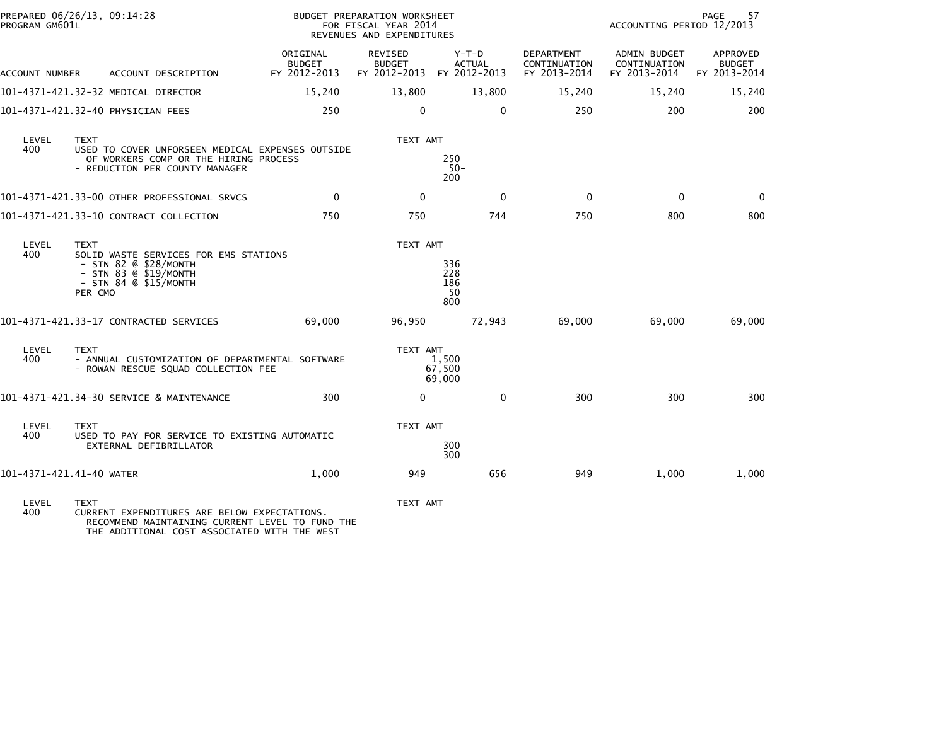|                                        | PREPARED 06/26/13, 09:14:28<br>PROGRAM GM601L |  |                                                                                                                             | BUDGET PREPARATION WORKSHEET<br>FOR FISCAL YEAR 2014<br>REVENUES AND EXPENDITURES |                                                       |                                |                          |                                            | PAGE<br>57<br>ACCOUNTING PERIOD 12/2013             |                                           |  |
|----------------------------------------|-----------------------------------------------|--|-----------------------------------------------------------------------------------------------------------------------------|-----------------------------------------------------------------------------------|-------------------------------------------------------|--------------------------------|--------------------------|--------------------------------------------|-----------------------------------------------------|-------------------------------------------|--|
| ACCOUNT NUMBER                         |                                               |  | ACCOUNT DESCRIPTION                                                                                                         | ORIGINAL<br><b>BUDGET</b><br>FY 2012-2013                                         | REVISED<br><b>BUDGET</b><br>FY 2012-2013 FY 2012-2013 |                                | $Y-T-D$<br><b>ACTUAL</b> | DEPARTMENT<br>CONTINUATION<br>FY 2013-2014 | <b>ADMIN BUDGET</b><br>CONTINUATION<br>FY 2013-2014 | APPROVED<br><b>BUDGET</b><br>FY 2013-2014 |  |
| 101-4371-421.32-32 MEDICAL DIRECTOR    |                                               |  |                                                                                                                             | 15,240                                                                            | 13,800                                                |                                | 13,800                   | 15,240                                     | 15,240                                              | 15,240                                    |  |
| 101-4371-421.32-40 PHYSICIAN FEES      |                                               |  |                                                                                                                             | 250                                                                               | $\mathbf{0}$                                          |                                | $\mathbf{0}$             | 250                                        | 200                                                 | 200                                       |  |
| LEVEL<br>400                           | <b>TEXT</b>                                   |  | USED TO COVER UNFORSEEN MEDICAL EXPENSES OUTSIDE<br>OF WORKERS COMP OR THE HIRING PROCESS<br>- REDUCTION PER COUNTY MANAGER |                                                                                   | TEXT AMT                                              | 250<br>$50-$<br>200            |                          |                                            |                                                     |                                           |  |
|                                        |                                               |  | 101-4371-421.33-00 OTHER PROFESSIONAL SRVCS                                                                                 | $\mathbf 0$                                                                       | $\mathbf{0}$                                          |                                | $\mathbf{0}$             | $\Omega$                                   | $\mathbf 0$                                         | $\Omega$                                  |  |
| 101-4371-421.33-10 CONTRACT COLLECTION |                                               |  |                                                                                                                             | 750                                                                               | 750                                                   |                                | 744                      | 750                                        | 800                                                 | 800                                       |  |
| LEVEL<br>400                           | <b>TEXT</b><br>PER CMO                        |  | SOLID WASTE SERVICES FOR EMS STATIONS<br>$-$ STN 82 $@$ \$28/MONTH<br>$-$ STN 83 @ \$19/MONTH<br>$-$ STN 84 @ \$15/MONTH    |                                                                                   | TEXT AMT                                              | 336<br>228<br>186<br>50<br>800 |                          |                                            |                                                     |                                           |  |
| 101-4371-421.33-17 CONTRACTED SERVICES |                                               |  |                                                                                                                             | 69,000                                                                            | 96,950                                                |                                | 72,943                   | 69,000                                     | 69,000                                              | 69,000                                    |  |
| LEVEL<br>400                           | <b>TEXT</b>                                   |  | - ANNUAL CUSTOMIZATION OF DEPARTMENTAL SOFTWARE<br>- ROWAN RESCUE SQUAD COLLECTION FEE                                      |                                                                                   | TEXT AMT                                              | 1,500<br>67,500<br>69,000      |                          |                                            |                                                     |                                           |  |
|                                        |                                               |  | 101-4371-421.34-30 SERVICE & MAINTENANCE                                                                                    | 300                                                                               | 0                                                     |                                | 0                        | 300                                        | 300                                                 | 300                                       |  |
| LEVEL<br>400                           | <b>TEXT</b>                                   |  | USED TO PAY FOR SERVICE TO EXISTING AUTOMATIC<br>EXTERNAL DEFIBRILLATOR                                                     |                                                                                   | TEXT AMT                                              | 300<br>300                     |                          |                                            |                                                     |                                           |  |
| 101-4371-421.41-40 WATER               |                                               |  |                                                                                                                             | 1,000                                                                             | 949                                                   |                                | 656                      | 949                                        | 1,000                                               | 1,000                                     |  |
| LEVEL<br>400                           | <b>TEXT</b>                                   |  | CURRENT EXPENDITURES ARE BELOW EXPECTATIONS.<br>RECOMMEND MAINTAINING CURRENT LEVEL TO FUND THE                             |                                                                                   | TEXT AMT                                              |                                |                          |                                            |                                                     |                                           |  |

THE ADDITIONAL COST ASSOCIATED WITH THE WEST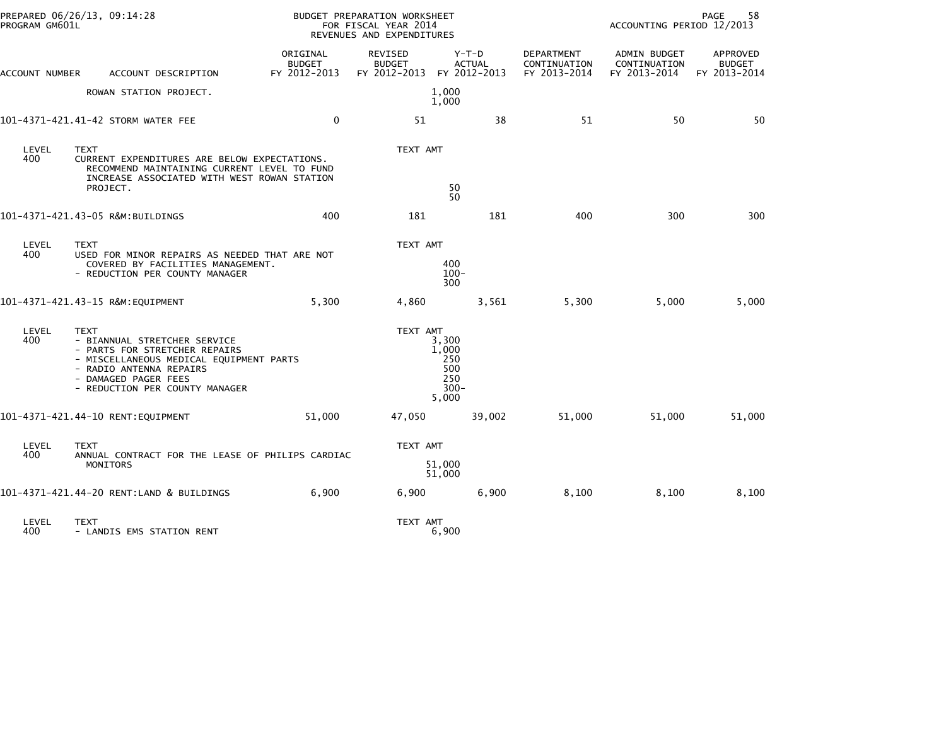| PROGRAM GM601L | PREPARED 06/26/13, 09:14:28                                                                                                                                                                           |                                           | BUDGET PREPARATION WORKSHEET<br>FOR FISCAL YEAR 2014<br>REVENUES AND EXPENDITURES |                                                         |                                            |                                              | PAGE<br>58<br>ACCOUNTING PERIOD 12/2013   |  |  |
|----------------|-------------------------------------------------------------------------------------------------------------------------------------------------------------------------------------------------------|-------------------------------------------|-----------------------------------------------------------------------------------|---------------------------------------------------------|--------------------------------------------|----------------------------------------------|-------------------------------------------|--|--|
| ACCOUNT NUMBER | ACCOUNT DESCRIPTION                                                                                                                                                                                   | ORIGINAL<br><b>BUDGET</b><br>FY 2012-2013 | <b>REVISED</b><br><b>BUDGET</b><br>FY 2012-2013 FY 2012-2013                      | Y-T-D<br><b>ACTUAL</b>                                  | DEPARTMENT<br>CONTINUATION<br>FY 2013-2014 | ADMIN BUDGET<br>CONTINUATION<br>FY 2013-2014 | APPROVED<br><b>BUDGET</b><br>FY 2013-2014 |  |  |
|                | ROWAN STATION PROJECT.                                                                                                                                                                                |                                           |                                                                                   | 1,000<br>1,000                                          |                                            |                                              |                                           |  |  |
|                | 101-4371-421.41-42 STORM WATER FEE                                                                                                                                                                    | $\mathbf{0}$                              | 51                                                                                | 38                                                      | 51                                         | 50                                           | 50                                        |  |  |
| LEVEL<br>400   | <b>TEXT</b><br>CURRENT EXPENDITURES ARE BELOW EXPECTATIONS.<br>RECOMMEND MAINTAINING CURRENT LEVEL TO FUND<br>INCREASE ASSOCIATED WITH WEST ROWAN STATION<br>PROJECT.                                 |                                           | TEXT AMT                                                                          | 50<br>50                                                |                                            |                                              |                                           |  |  |
|                | 101-4371-421.43-05 R&M:BUILDINGS                                                                                                                                                                      | 400                                       | 181                                                                               | 181                                                     | 400                                        | 300                                          | 300                                       |  |  |
| LEVEL<br>400   | <b>TEXT</b><br>USED FOR MINOR REPAIRS AS NEEDED THAT ARE NOT<br>COVERED BY FACILITIES MANAGEMENT.<br>- REDUCTION PER COUNTY MANAGER                                                                   |                                           | TEXT AMT                                                                          | 400<br>$100 -$<br>300                                   |                                            |                                              |                                           |  |  |
|                | 101-4371-421.43-15 R&M:EQUIPMENT                                                                                                                                                                      | 5,300                                     | 4,860                                                                             | 3,561                                                   | 5,300                                      | 5,000                                        | 5,000                                     |  |  |
| LEVEL<br>400   | TEXT<br>- BIANNUAL STRETCHER SERVICE<br>- PARTS FOR STRETCHER REPAIRS<br>- MISCELLANEOUS MEDICAL EQUIPMENT PARTS<br>- RADIO ANTENNA REPAIRS<br>- DAMAGED PAGER FEES<br>- REDUCTION PER COUNTY MANAGER |                                           | TEXT AMT                                                                          | 3,300<br>1,000<br>250<br>500<br>250<br>$300 -$<br>5,000 |                                            |                                              |                                           |  |  |
|                | 101-4371-421.44-10 RENT: EQUIPMENT                                                                                                                                                                    | 51,000                                    | 47,050                                                                            | 39,002                                                  | 51,000                                     | 51,000                                       | 51,000                                    |  |  |
| LEVEL<br>400   | <b>TEXT</b><br>ANNUAL CONTRACT FOR THE LEASE OF PHILIPS CARDIAC<br><b>MONITORS</b>                                                                                                                    |                                           | TEXT AMT                                                                          | 51,000<br>51,000                                        |                                            |                                              |                                           |  |  |
|                | 101-4371-421.44-20 RENT:LAND & BUILDINGS                                                                                                                                                              | 6,900                                     | 6,900                                                                             | 6,900                                                   | 8,100                                      | 8,100                                        | 8,100                                     |  |  |
| LEVEL<br>400   | <b>TEXT</b><br>- LANDIS EMS STATION RENT                                                                                                                                                              |                                           | TEXT AMT                                                                          | 6,900                                                   |                                            |                                              |                                           |  |  |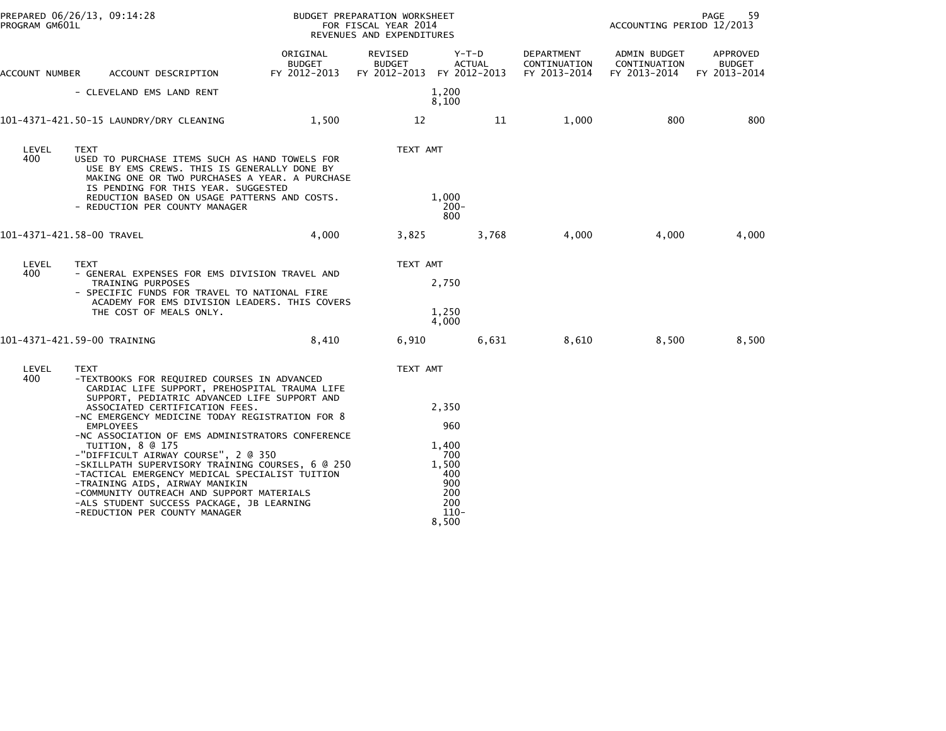| PROGRAM GM601L | PREPARED 06/26/13, 09:14:28                                                                                                                                                                                                                                                                                                                                                                                                                                                                                                                                                                                           |                                    | BUDGET PREPARATION WORKSHEET<br>FOR FISCAL YEAR 2014<br>REVENUES AND EXPENDITURES |                                                                   |                                            | ACCOUNTING PERIOD 12/2013                    | 59<br>PAGE                                |
|----------------|-----------------------------------------------------------------------------------------------------------------------------------------------------------------------------------------------------------------------------------------------------------------------------------------------------------------------------------------------------------------------------------------------------------------------------------------------------------------------------------------------------------------------------------------------------------------------------------------------------------------------|------------------------------------|-----------------------------------------------------------------------------------|-------------------------------------------------------------------|--------------------------------------------|----------------------------------------------|-------------------------------------------|
| ACCOUNT NUMBER | ACCOUNT DESCRIPTION                                                                                                                                                                                                                                                                                                                                                                                                                                                                                                                                                                                                   | ORIGINAL<br>BUDGET<br>FY 2012-2013 | REVISED<br><b>BUDGET</b><br>FY 2012-2013 FY 2012-2013                             | Y-T-D<br><b>ACTUAL</b>                                            | DEPARTMENT<br>CONTINUATION<br>FY 2013-2014 | ADMIN BUDGET<br>CONTINUATION<br>FY 2013-2014 | APPROVED<br><b>BUDGET</b><br>FY 2013-2014 |
|                | - CLEVELAND EMS LAND RENT                                                                                                                                                                                                                                                                                                                                                                                                                                                                                                                                                                                             |                                    |                                                                                   | 1,200<br>8,100                                                    |                                            |                                              |                                           |
|                | 101-4371-421.50-15 LAUNDRY/DRY CLEANING                                                                                                                                                                                                                                                                                                                                                                                                                                                                                                                                                                               | 1,500                              | 12                                                                                | 11                                                                | 1,000                                      | 800                                          | 800                                       |
| LEVEL<br>400   | <b>TEXT</b><br>USED TO PURCHASE ITEMS SUCH AS HAND TOWELS FOR<br>USE BY EMS CREWS. THIS IS GENERALLY DONE BY<br>MAKING ONE OR TWO PURCHASES A YEAR. A PURCHASE<br>IS PENDING FOR THIS YEAR. SUGGESTED<br>REDUCTION BASED ON USAGE PATTERNS AND COSTS.<br>- REDUCTION PER COUNTY MANAGER                                                                                                                                                                                                                                                                                                                               |                                    | TEXT AMT                                                                          | 1,000<br>$200 -$<br>800                                           |                                            |                                              |                                           |
|                | 101-4371-421.58-00 TRAVEL                                                                                                                                                                                                                                                                                                                                                                                                                                                                                                                                                                                             | 4,000                              | 3,825                                                                             | 3,768                                                             | 4,000                                      | 4,000                                        | 4,000                                     |
| LEVEL<br>400   | <b>TEXT</b><br>- GENERAL EXPENSES FOR EMS DIVISION TRAVEL AND<br>TRAINING PURPOSES<br>- SPECIFIC FUNDS FOR TRAVEL TO NATIONAL FIRE<br>ACADEMY FOR EMS DIVISION LEADERS. THIS COVERS<br>THE COST OF MEALS ONLY.                                                                                                                                                                                                                                                                                                                                                                                                        |                                    | TEXT AMT                                                                          | 2,750<br>1,250<br>4,000                                           |                                            |                                              |                                           |
|                | 101-4371-421.59-00 TRAINING                                                                                                                                                                                                                                                                                                                                                                                                                                                                                                                                                                                           | 8,410                              | 6,910                                                                             | 6,631                                                             | 8,610                                      | 8,500                                        | 8,500                                     |
| LEVEL<br>400   | <b>TEXT</b><br>-TEXTBOOKS FOR REQUIRED COURSES IN ADVANCED<br>CARDIAC LIFE SUPPORT, PREHOSPITAL TRAUMA LIFE<br>SUPPORT, PEDIATRIC ADVANCED LIFE SUPPORT AND<br>ASSOCIATED CERTIFICATION FEES.<br>-NC EMERGENCY MEDICINE TODAY REGISTRATION FOR 8<br><b>EMPLOYEES</b><br>-NC ASSOCIATION OF EMS ADMINISTRATORS CONFERENCE<br>TUITION, 8 @ 175<br>-"DIFFICULT AIRWAY COURSE", 2 @ 350<br>-SKILLPATH SUPERVISORY TRAINING COURSES, 6 @ 250<br>-TACTICAL EMERGENCY MEDICAL SPECIALIST TUITION<br>-TRAINING AIDS, AIRWAY MANIKIN<br>-COMMUNITY OUTREACH AND SUPPORT MATERIALS<br>-ALS STUDENT SUCCESS PACKAGE, JB LEARNING |                                    | TEXT AMT                                                                          | 2,350<br>960<br>1,400<br>700<br>1,500<br>400<br>900<br>200<br>200 |                                            |                                              |                                           |
|                | -REDUCTION PER COUNTY MANAGER                                                                                                                                                                                                                                                                                                                                                                                                                                                                                                                                                                                         |                                    |                                                                                   | $110-$<br>8,500                                                   |                                            |                                              |                                           |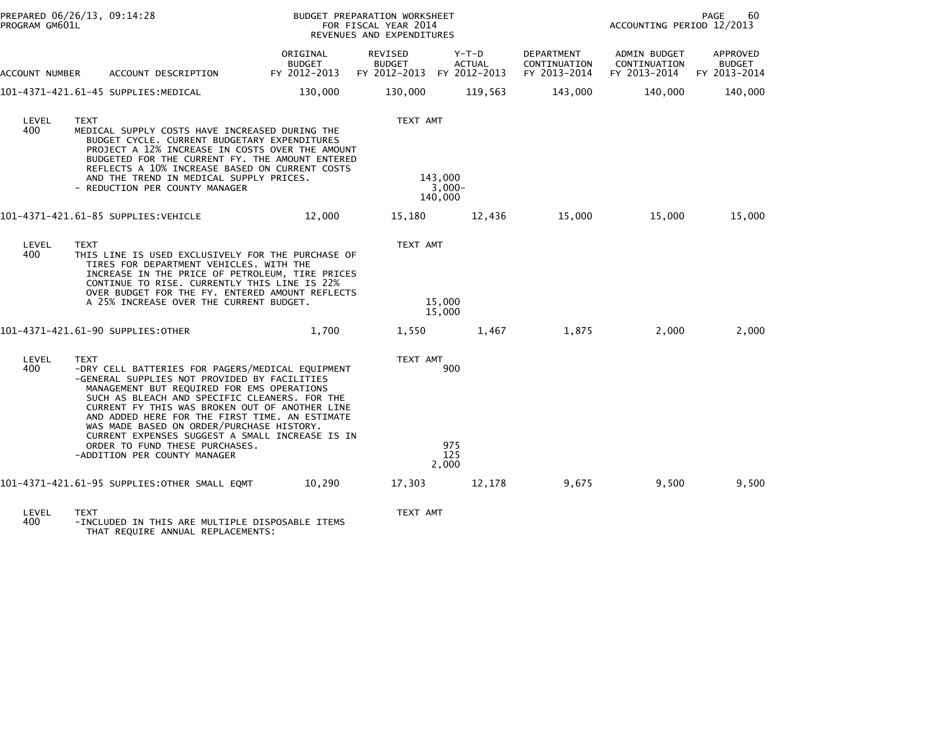|                | PREPARED 06/26/13, 09:14:28<br>PROGRAM GM601L                                                                                                                                                                                                                                                                                                                                                               |                                           | BUDGET PREPARATION WORKSHEET<br>FOR FISCAL YEAR 2014<br>REVENUES AND EXPENDITURES |                                |                                                   | PAGE<br>60<br>ACCOUNTING PERIOD 12/2013             |                                           |  |
|----------------|-------------------------------------------------------------------------------------------------------------------------------------------------------------------------------------------------------------------------------------------------------------------------------------------------------------------------------------------------------------------------------------------------------------|-------------------------------------------|-----------------------------------------------------------------------------------|--------------------------------|---------------------------------------------------|-----------------------------------------------------|-------------------------------------------|--|
| ACCOUNT NUMBER | ACCOUNT DESCRIPTION                                                                                                                                                                                                                                                                                                                                                                                         | ORIGINAL<br><b>BUDGET</b><br>FY 2012-2013 | <b>REVISED</b><br><b>BUDGET</b><br>FY 2012-2013 FY 2012-2013                      | $Y-T-D$<br><b>ACTUAL</b>       | <b>DEPARTMENT</b><br>CONTINUATION<br>FY 2013-2014 | <b>ADMIN BUDGET</b><br>CONTINUATION<br>FY 2013-2014 | APPROVED<br><b>BUDGET</b><br>FY 2013-2014 |  |
|                | 101–4371–421.61–45 SUPPLIES:MEDICAL                                                                                                                                                                                                                                                                                                                                                                         | 130,000                                   | 130,000                                                                           | 119,563                        | 143,000                                           | 140,000                                             | 140,000                                   |  |
| LEVEL<br>400   | <b>TEXT</b><br>MEDICAL SUPPLY COSTS HAVE INCREASED DURING THE<br>BUDGET CYCLE. CURRENT BUDGETARY EXPENDITURES<br>PROJECT A 12% INCREASE IN COSTS OVER THE AMOUNT<br>BUDGETED FOR THE CURRENT FY. THE AMOUNT ENTERED<br>REFLECTS A 10% INCREASE BASED ON CURRENT COSTS<br>AND THE TREND IN MEDICAL SUPPLY PRICES.<br>- REDUCTION PER COUNTY MANAGER                                                          |                                           | TEXT AMT                                                                          | 143,000<br>$3,000-$<br>140,000 |                                                   |                                                     |                                           |  |
|                | 101-4371-421.61-85 SUPPLIES:VEHICLE                                                                                                                                                                                                                                                                                                                                                                         | 12,000                                    | 15,180                                                                            | 12,436                         | 15,000                                            | 15,000                                              | 15,000                                    |  |
| LEVEL<br>400   | <b>TEXT</b><br>THIS LINE IS USED EXCLUSIVELY FOR THE PURCHASE OF<br>TIRES FOR DEPARTMENT VEHICLES. WITH THE<br>INCREASE IN THE PRICE OF PETROLEUM, TIRE PRICES<br>CONTINUE TO RISE. CURRENTLY THIS LINE IS 22%<br>OVER BUDGET FOR THE FY. ENTERED AMOUNT REFLECTS<br>A 25% INCREASE OVER THE CURRENT BUDGET.                                                                                                |                                           | TEXT AMT                                                                          | 15,000<br>15,000               |                                                   |                                                     |                                           |  |
|                | 101-4371-421.61-90 SUPPLIES:OTHER                                                                                                                                                                                                                                                                                                                                                                           | 1,700                                     | 1,550                                                                             | 1,467                          | 1,875                                             | 2,000                                               | 2,000                                     |  |
| LEVEL<br>400   | TEXT<br>-DRY CELL BATTERIES FOR PAGERS/MEDICAL EQUIPMENT<br>-GENERAL SUPPLIES NOT PROVIDED BY FACILITIES<br>MANAGEMENT BUT REQUIRED FOR EMS OPERATIONS<br>SUCH AS BLEACH AND SPECIFIC CLEANERS. FOR THE<br>CURRENT FY THIS WAS BROKEN OUT OF ANOTHER LINE<br>AND ADDED HERE FOR THE FIRST TIME. AN ESTIMATE<br>WAS MADE BASED ON ORDER/PURCHASE HISTORY.<br>CURRENT EXPENSES SUGGEST A SMALL INCREASE IS IN |                                           | TEXT AMT                                                                          | 900                            |                                                   |                                                     |                                           |  |
|                | ORDER TO FUND THESE PURCHASES.<br>-ADDITION PER COUNTY MANAGER                                                                                                                                                                                                                                                                                                                                              |                                           |                                                                                   | 975<br>125<br>2,000            |                                                   |                                                     |                                           |  |
|                | 101-4371-421.61-95 SUPPLIES:OTHER SMALL EQMT                                                                                                                                                                                                                                                                                                                                                                | 10,290                                    | 17,303                                                                            | 12,178                         | 9,675                                             | 9,500                                               | 9,500                                     |  |
| <b>LEVEL</b>   | <b>TFYT</b>                                                                                                                                                                                                                                                                                                                                                                                                 |                                           | TEXT AMT                                                                          |                                |                                                   |                                                     |                                           |  |

LEVEL TEXT TEXT AMT 400 -INCLUDED IN THIS ARE MULTIPLE DISPOSABLE ITEMS THAT REQUIRE ANNUAL REPLACEMENTS: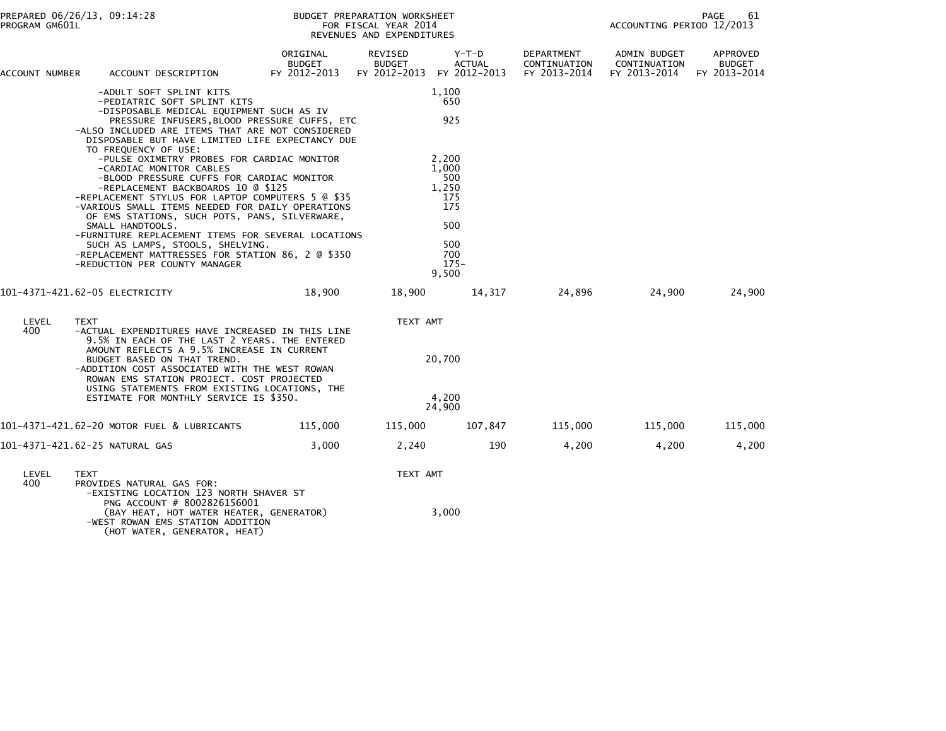| ACCOUNT NUMBER | ACCOUNT DESCRIPTION                                                                                                                                                                                                                                                                                                                    | ORIGINAL<br><b>BUDGET</b><br>FY 2012-2013 | REVISED<br><b>BUDGET</b><br>FY 2012-2013 | $Y-T-D$<br><b>ACTUAL</b><br>FY 2012-2013            | DEPARTMENT<br>CONTINUATION<br>FY 2013-2014 | ADMIN BUDGET<br>CONTINUATION<br>FY 2013-2014 | APPROVED<br><b>BUDGET</b><br>FY 2013-2014 |
|----------------|----------------------------------------------------------------------------------------------------------------------------------------------------------------------------------------------------------------------------------------------------------------------------------------------------------------------------------------|-------------------------------------------|------------------------------------------|-----------------------------------------------------|--------------------------------------------|----------------------------------------------|-------------------------------------------|
|                | -ADULT SOFT SPLINT KITS<br>-PEDIATRIC SOFT SPLINT KITS<br>-DISPOSABLE MEDICAL EQUIPMENT SUCH AS IV<br>PRESSURE INFUSERS, BLOOD PRESSURE CUFFS, ETC<br>-ALSO INCLUDED ARE ITEMS THAT ARE NOT CONSIDERED<br>DISPOSABLE BUT HAVE LIMITED LIFE EXPECTANCY DUE<br>TO FREQUENCY OF USE:                                                      |                                           |                                          | 1,100<br>650<br>925                                 |                                            |                                              |                                           |
|                | -PULSE OXIMETRY PROBES FOR CARDIAC MONITOR<br>-CARDIAC MONITOR CABLES<br>-BLOOD PRESSURE CUFFS FOR CARDIAC MONITOR<br>-REPLACEMENT BACKBOARDS 10 @ \$125<br>-REPLACEMENT STYLUS FOR LAPTOP COMPUTERS 5 @ \$35<br>-VARIOUS SMALL ITEMS NEEDED FOR DAILY OPERATIONS<br>OF EMS STATIONS, SUCH POTS, PANS, SILVERWARE,<br>SMALL HANDTOOLS. |                                           |                                          | 2.200<br>1,000<br>500<br>1,250<br>175<br>175<br>500 |                                            |                                              |                                           |
|                | -FURNITURE REPLACEMENT ITEMS FOR SEVERAL LOCATIONS<br>SUCH AS LAMPS, STOOLS, SHELVING.<br>-REPLACEMENT MATTRESSES FOR STATION 86, 2 @ \$350<br>-REDUCTION PER COUNTY MANAGER                                                                                                                                                           |                                           |                                          | 500<br>700<br>$175 -$<br>9,500                      |                                            |                                              |                                           |
|                | 101-4371-421.62-05 ELECTRICITY                                                                                                                                                                                                                                                                                                         | 18,900                                    | 18,900                                   | 14,317                                              | 24,896                                     | 24,900                                       | 24,900                                    |
| LEVEL<br>400   | <b>TEXT</b><br>-ACTUAL EXPENDITURES HAVE INCREASED IN THIS LINE<br>9.5% IN EACH OF THE LAST 2 YEARS. THE ENTERED<br>AMOUNT REFLECTS A 9.5% INCREASE IN CURRENT                                                                                                                                                                         |                                           | TEXT AMT                                 |                                                     |                                            |                                              |                                           |
|                | BUDGET BASED ON THAT TREND.<br>-ADDITION COST ASSOCIATED WITH THE WEST ROWAN<br>ROWAN EMS STATION PROJECT. COST PROJECTED<br>USING STATEMENTS FROM EXISTING LOCATIONS, THE                                                                                                                                                             |                                           |                                          | 20,700                                              |                                            |                                              |                                           |
|                | ESTIMATE FOR MONTHLY SERVICE IS \$350.                                                                                                                                                                                                                                                                                                 |                                           |                                          | 4,200<br>24,900                                     |                                            |                                              |                                           |
|                | 101-4371-421.62-20 MOTOR FUEL & LUBRICANTS                                                                                                                                                                                                                                                                                             | 115,000                                   | 115,000                                  | 107,847                                             | 115,000                                    | 115,000                                      | 115,000                                   |
|                | 101-4371-421.62-25 NATURAL GAS                                                                                                                                                                                                                                                                                                         | 3.000                                     | 2,240                                    | 190                                                 | 4,200                                      | 4,200                                        | 4,200                                     |
| LEVEL<br>400   | <b>TEXT</b><br>PROVIDES NATURAL GAS FOR:<br>-EXISTING LOCATION 123 NORTH SHAVER ST                                                                                                                                                                                                                                                     |                                           | TEXT AMT                                 |                                                     |                                            |                                              |                                           |
|                | PNG ACCOUNT # 8002826156001<br>(BAY HEAT, HOT WATER HEATER, GENERATOR)<br>-WEST ROWAN EMS STATION ADDITION<br>(HOT WATER, GENERATOR, HEAT)                                                                                                                                                                                             |                                           |                                          | 3,000                                               |                                            |                                              |                                           |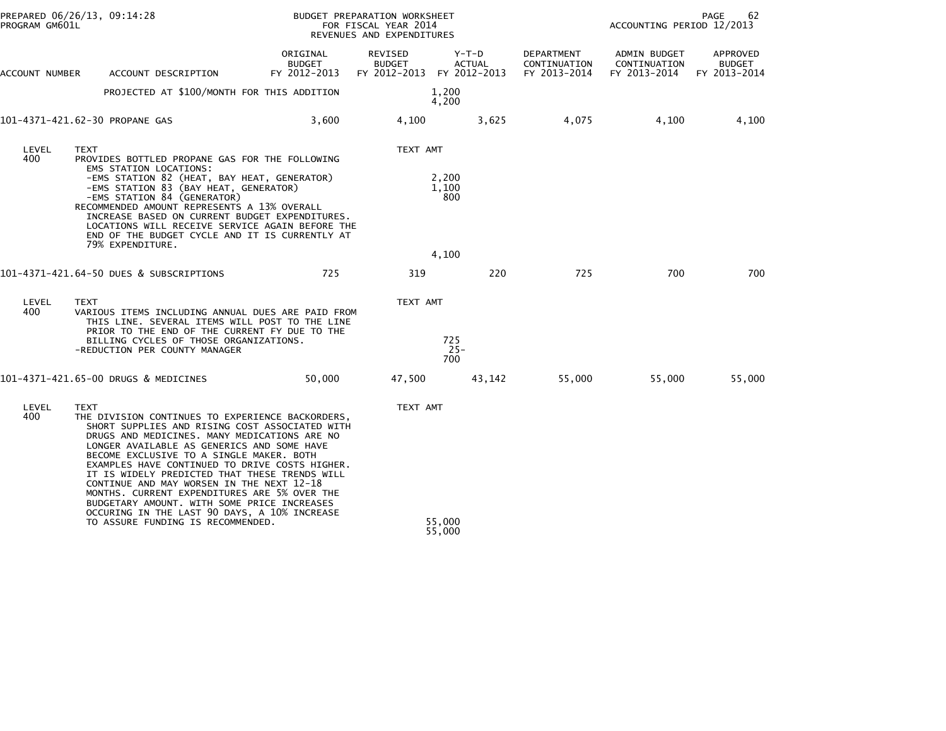| PROGRAM GM601L | PREPARED 06/26/13, 09:14:28                                                                                                                                                                                                                                                                                                                                                                                                                                                                                                                                | BUDGET PREPARATION WORKSHEET<br>FOR FISCAL YEAR 2014<br>REVENUES AND EXPENDITURES |                                                       |                        |                                            | PAGE<br>62<br>ACCOUNTING PERIOD 12/2013      |                                    |  |
|----------------|------------------------------------------------------------------------------------------------------------------------------------------------------------------------------------------------------------------------------------------------------------------------------------------------------------------------------------------------------------------------------------------------------------------------------------------------------------------------------------------------------------------------------------------------------------|-----------------------------------------------------------------------------------|-------------------------------------------------------|------------------------|--------------------------------------------|----------------------------------------------|------------------------------------|--|
| ACCOUNT NUMBER | ACCOUNT DESCRIPTION                                                                                                                                                                                                                                                                                                                                                                                                                                                                                                                                        | ORIGINAL<br>BUDGET<br>FY 2012-2013                                                | REVISED<br><b>BUDGET</b><br>FY 2012-2013 FY 2012-2013 | Y-T-D<br><b>ACTUAL</b> | DEPARTMENT<br>CONTINUATION<br>FY 2013-2014 | ADMIN BUDGET<br>CONTINUATION<br>FY 2013-2014 | APPROVED<br>BUDGET<br>FY 2013-2014 |  |
|                | PROJECTED AT \$100/MONTH FOR THIS ADDITION                                                                                                                                                                                                                                                                                                                                                                                                                                                                                                                 |                                                                                   |                                                       | 1,200<br>4,200         |                                            |                                              |                                    |  |
|                | 101-4371-421.62-30 PROPANE GAS                                                                                                                                                                                                                                                                                                                                                                                                                                                                                                                             | 3,600                                                                             | 4,100                                                 | 3,625                  | 4,075                                      | 4,100                                        | 4,100                              |  |
| LEVEL<br>400   | <b>TEXT</b><br>PROVIDES BOTTLED PROPANE GAS FOR THE FOLLOWING                                                                                                                                                                                                                                                                                                                                                                                                                                                                                              |                                                                                   | TEXT AMT                                              |                        |                                            |                                              |                                    |  |
|                | EMS STATION LOCATIONS:<br>-EMS STATION 82 (HEAT, BAY HEAT, GENERATOR)<br>-EMS STATION 83 (BAY HEAT, GENERATOR)<br>-EMS STATION 84 (GENERATOR)<br>RECOMMENDED AMOUNT REPRESENTS A 13% OVERALL<br>INCREASE BASED ON CURRENT BUDGET EXPENDITURES.<br>LOCATIONS WILL RECEIVE SERVICE AGAIN BEFORE THE<br>END OF THE BUDGET CYCLE AND IT IS CURRENTLY AT                                                                                                                                                                                                        |                                                                                   |                                                       | 2,200<br>1,100<br>800  |                                            |                                              |                                    |  |
|                | 79% EXPENDITURE.                                                                                                                                                                                                                                                                                                                                                                                                                                                                                                                                           |                                                                                   |                                                       | 4,100                  |                                            |                                              |                                    |  |
|                | 101-4371-421.64-50 DUES & SUBSCRIPTIONS                                                                                                                                                                                                                                                                                                                                                                                                                                                                                                                    | 725                                                                               | 319                                                   | 220                    | 725                                        | 700                                          | 700                                |  |
| LEVEL<br>400   | <b>TEXT</b><br>VARIOUS ITEMS INCLUDING ANNUAL DUES ARE PAID FROM<br>THIS LINE. SEVERAL ITEMS WILL POST TO THE LINE<br>PRIOR TO THE END OF THE CURRENT FY DUE TO THE                                                                                                                                                                                                                                                                                                                                                                                        |                                                                                   | TEXT AMT                                              |                        |                                            |                                              |                                    |  |
|                | BILLING CYCLES OF THOSE ORGANIZATIONS.<br>-REDUCTION PER COUNTY MANAGER                                                                                                                                                                                                                                                                                                                                                                                                                                                                                    |                                                                                   |                                                       | 725<br>$25 -$<br>700   |                                            |                                              |                                    |  |
|                | 101-4371-421.65-00 DRUGS & MEDICINES                                                                                                                                                                                                                                                                                                                                                                                                                                                                                                                       | 50,000                                                                            | 47,500                                                | 43,142                 | 55,000                                     | 55,000                                       | 55,000                             |  |
| LEVEL<br>400   | <b>TEXT</b><br>THE DIVISION CONTINUES TO EXPERIENCE BACKORDERS,<br>SHORT SUPPLIES AND RISING COST ASSOCIATED WITH<br>DRUGS AND MEDICINES. MANY MEDICATIONS ARE NO<br>LONGER AVAILABLE AS GENERICS AND SOME HAVE<br>BECOME EXCLUSIVE TO A SINGLE MAKER. BOTH<br>EXAMPLES HAVE CONTINUED TO DRIVE COSTS HIGHER.<br>IT IS WIDELY PREDICTED THAT THESE TRENDS WILL<br>CONTINUE AND MAY WORSEN IN THE NEXT 12-18<br>MONTHS. CURRENT EXPENDITURES ARE 5% OVER THE<br>BUDGETARY AMOUNT. WITH SOME PRICE INCREASES<br>OCCURING IN THE LAST 90 DAYS, A 10% INCREASE |                                                                                   | TEXT AMT                                              |                        |                                            |                                              |                                    |  |
|                | TO ASSURE FUNDING IS RECOMMENDED.                                                                                                                                                                                                                                                                                                                                                                                                                                                                                                                          |                                                                                   |                                                       | 55,000<br>55,000       |                                            |                                              |                                    |  |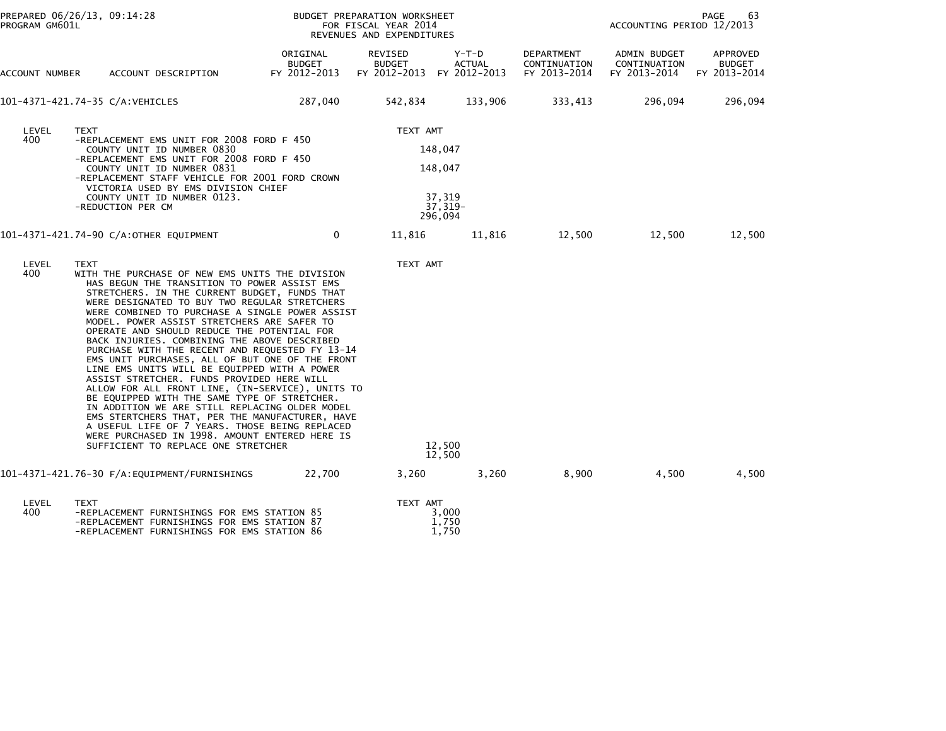| PROGRAM GM601L | PREPARED 06/26/13, 09:14:28                                                                                                                                                                                                                                                                                                                                                                                                                                                                                                                                                                                                                                                                                                                                                                                                                                                                                                                                               |                                           | BUDGET PREPARATION WORKSHEET<br>FOR FISCAL YEAR 2014<br>REVENUES AND EXPENDITURES | 63<br>PAGE<br>ACCOUNTING PERIOD 12/2013            |                                            |                                                           |                           |
|----------------|---------------------------------------------------------------------------------------------------------------------------------------------------------------------------------------------------------------------------------------------------------------------------------------------------------------------------------------------------------------------------------------------------------------------------------------------------------------------------------------------------------------------------------------------------------------------------------------------------------------------------------------------------------------------------------------------------------------------------------------------------------------------------------------------------------------------------------------------------------------------------------------------------------------------------------------------------------------------------|-------------------------------------------|-----------------------------------------------------------------------------------|----------------------------------------------------|--------------------------------------------|-----------------------------------------------------------|---------------------------|
| ACCOUNT NUMBER | ACCOUNT DESCRIPTION                                                                                                                                                                                                                                                                                                                                                                                                                                                                                                                                                                                                                                                                                                                                                                                                                                                                                                                                                       | ORIGINAL<br><b>BUDGET</b><br>FY 2012-2013 | REVISED<br><b>BUDGET</b><br>FY 2012-2013 FY 2012-2013                             | Y-T-D<br>ACTUAL                                    | DEPARTMENT<br>CONTINUATION<br>FY 2013-2014 | ADMIN BUDGET<br>CONTINUATION<br>FY 2013-2014 FY 2013-2014 | APPROVED<br><b>BUDGET</b> |
|                | 101-4371-421.74-35 C/A:VEHICLES                                                                                                                                                                                                                                                                                                                                                                                                                                                                                                                                                                                                                                                                                                                                                                                                                                                                                                                                           | 287,040                                   | 542,834                                                                           | 133,906                                            | 333,413                                    | 296,094                                                   | 296,094                   |
| LEVEL<br>400   | <b>TEXT</b><br>-REPLACEMENT EMS UNIT FOR 2008 FORD F 450<br>COUNTY UNIT ID NUMBER 0830<br>-REPLACEMENT EMS UNIT FOR 2008 FORD F 450<br>COUNTY UNIT ID NUMBER 0831<br>-REPLACEMENT STAFF VEHICLE FOR 2001 FORD CROWN<br>VICTORIA USED BY EMS DIVISION CHIEF<br>COUNTY UNIT ID NUMBER 0123.<br>-REDUCTION PER CM                                                                                                                                                                                                                                                                                                                                                                                                                                                                                                                                                                                                                                                            |                                           | TEXT AMT                                                                          | 148,047<br>148,047<br>37,319<br>37,319-<br>296,094 |                                            |                                                           |                           |
|                | 101-4371-421.74-90 C/A:OTHER EQUIPMENT                                                                                                                                                                                                                                                                                                                                                                                                                                                                                                                                                                                                                                                                                                                                                                                                                                                                                                                                    | $\overline{0}$                            | 11,816                                                                            | 11,816                                             | 12,500                                     | 12,500                                                    | 12,500                    |
| LEVEL<br>400   | <b>TEXT</b><br>WITH THE PURCHASE OF NEW EMS UNITS THE DIVISION<br>HAS BEGUN THE TRANSITION TO POWER ASSIST EMS<br>STRETCHERS. IN THE CURRENT BUDGET, FUNDS THAT<br>WERE DESIGNATED TO BUY TWO REGULAR STRETCHERS<br>WERE COMBINED TO PURCHASE A SINGLE POWER ASSIST<br>MODEL. POWER ASSIST STRETCHERS ARE SAFER TO<br>OPERATE AND SHOULD REDUCE THE POTENTIAL FOR<br>BACK INJURIES. COMBINING THE ABOVE DESCRIBED<br>PURCHASE WITH THE RECENT AND REQUESTED FY 13-14<br>EMS UNIT PURCHASES, ALL OF BUT ONE OF THE FRONT<br>LINE EMS UNITS WILL BE EQUIPPED WITH A POWER<br>ASSIST STRETCHER. FUNDS PROVIDED HERE WILL<br>ALLOW FOR ALL FRONT LINE, (IN-SERVICE), UNITS TO<br>BE EQUIPPED WITH THE SAME TYPE OF STRETCHER.<br>IN ADDITION WE ARE STILL REPLACING OLDER MODEL<br>EMS STERTCHERS THAT, PER THE MANUFACTURER, HAVE<br>A USEFUL LIFE OF 7 YEARS. THOSE BEING REPLACED<br>WERE PURCHASED IN 1998. AMOUNT ENTERED HERE IS<br>SUFFICIENT TO REPLACE ONE STRETCHER |                                           | TEXT AMT                                                                          | 12,500<br>12,500                                   |                                            |                                                           |                           |
|                |                                                                                                                                                                                                                                                                                                                                                                                                                                                                                                                                                                                                                                                                                                                                                                                                                                                                                                                                                                           | 22,700                                    | 3,260                                                                             | 3,260                                              | 8,900                                      | 4,500                                                     | 4,500                     |
| LEVEL<br>400   | TEXT<br>-REPLACEMENT FURNISHINGS FOR EMS STATION 85<br>-REPLACEMENT FURNISHINGS FOR EMS STATION 87<br>-REPLACEMENT FURNISHINGS FOR EMS STATION 86                                                                                                                                                                                                                                                                                                                                                                                                                                                                                                                                                                                                                                                                                                                                                                                                                         |                                           | TEXT AMT                                                                          | 3,000<br>1,750<br>1,750                            |                                            |                                                           |                           |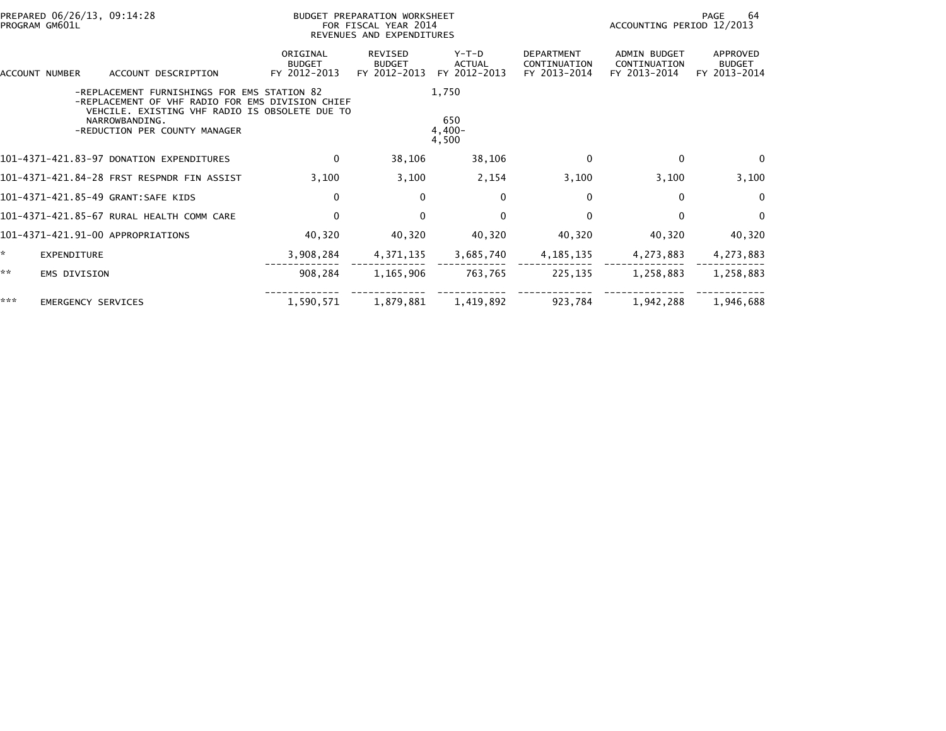| PREPARED 06/26/13, 09:14:28<br>PROGRAM GM601L |                           |                                                                                                                                                                                                      |                                           | BUDGET PREPARATION WORKSHEET<br>FOR FISCAL YEAR 2014<br>REVENUES AND EXPENDITURES |                                          |                                                   |                                              | 64<br>PAGE<br>ACCOUNTING PERIOD 12/2013   |  |  |
|-----------------------------------------------|---------------------------|------------------------------------------------------------------------------------------------------------------------------------------------------------------------------------------------------|-------------------------------------------|-----------------------------------------------------------------------------------|------------------------------------------|---------------------------------------------------|----------------------------------------------|-------------------------------------------|--|--|
|                                               | ACCOUNT NUMBER            | ACCOUNT DESCRIPTION                                                                                                                                                                                  | ORIGINAL<br><b>BUDGET</b><br>FY 2012-2013 | <b>REVISED</b><br><b>BUDGET</b><br>FY 2012-2013                                   | $Y-T-D$<br><b>ACTUAL</b><br>FY 2012-2013 | <b>DEPARTMENT</b><br>CONTINUATION<br>FY 2013-2014 | ADMIN BUDGET<br>CONTINUATION<br>FY 2013-2014 | APPROVED<br><b>BUDGET</b><br>FY 2013-2014 |  |  |
|                                               |                           | -REPLACEMENT FURNISHINGS FOR EMS STATION 82<br>-REPLACEMENT OF VHF RADIO FOR EMS DIVISION CHIEF<br>VEHCILE, EXISTING VHF RADIO IS OBSOLETE DUE TO<br>NARROWBANDING.<br>-REDUCTION PER COUNTY MANAGER |                                           |                                                                                   | 1,750<br>650<br>$4,400-$<br>4,500        |                                                   |                                              |                                           |  |  |
|                                               |                           | 101-4371-421.83-97 DONATION EXPENDITURES                                                                                                                                                             | $\mathbf{0}$                              | 38,106                                                                            | 38,106                                   | $\Omega$                                          | $\Omega$                                     | $\Omega$                                  |  |  |
|                                               |                           | 101-4371-421.84-28 FRST RESPNDR FIN ASSIST                                                                                                                                                           | 3,100                                     | 3,100                                                                             | 2,154                                    | 3,100                                             | 3,100                                        | 3,100                                     |  |  |
|                                               |                           | 101-4371-421.85-49 GRANT:SAFE KIDS                                                                                                                                                                   | 0                                         | 0                                                                                 | 0                                        | 0                                                 | $\bf{0}$                                     | $\mathbf{0}$                              |  |  |
|                                               |                           | 101-4371-421.85-67 RURAL HEALTH COMM CARE                                                                                                                                                            | $\Omega$                                  | $\Omega$                                                                          | $\Omega$                                 | $\Omega$                                          | $\Omega$                                     | $\Omega$                                  |  |  |
|                                               |                           | 101-4371-421.91-00 APPROPRIATIONS                                                                                                                                                                    | 40,320                                    | 40,320                                                                            | 40,320                                   | 40,320                                            | 40,320                                       | 40,320                                    |  |  |
| ÷.                                            | EXPENDITURE               |                                                                                                                                                                                                      | 3,908,284                                 | 4,371,135                                                                         | 3,685,740                                | 4, 185, 135                                       | 4,273,883                                    | 4,273,883                                 |  |  |
| **                                            | <b>EMS DIVISION</b>       |                                                                                                                                                                                                      | 908.284                                   | 1,165,906                                                                         | 763,765                                  | 225,135                                           | 1,258,883                                    | 1,258,883                                 |  |  |
| ***                                           | <b>EMERGENCY SERVICES</b> |                                                                                                                                                                                                      | 1,590,571                                 | 1,879,881                                                                         | 1,419,892                                | 923,784                                           | 1,942,288                                    | 1,946,688                                 |  |  |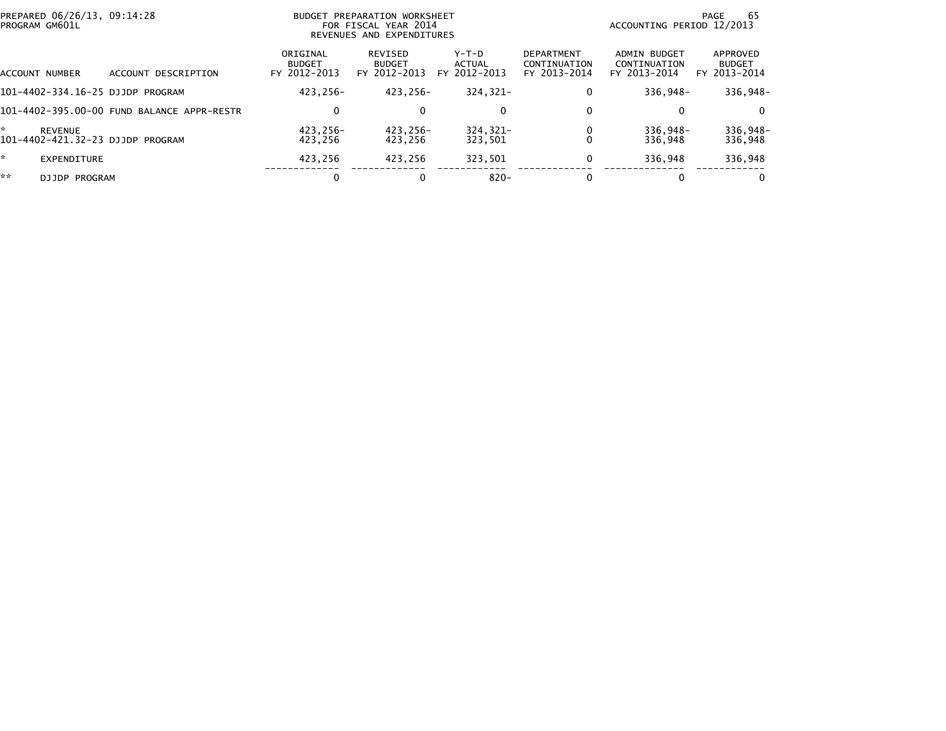|                | PREPARED 06/26/13, 09:14:28<br>BUDGET PREPARATION WORKSHEET<br>PROGRAM GM601L<br>FOR FISCAL YEAR 2014<br>REVENUES AND EXPENDITURES |                                            |                                           |                                          | -65<br>PAGE<br>ACCOUNTING PERIOD 12/2013 |                                                   |                                                     |                                           |
|----------------|------------------------------------------------------------------------------------------------------------------------------------|--------------------------------------------|-------------------------------------------|------------------------------------------|------------------------------------------|---------------------------------------------------|-----------------------------------------------------|-------------------------------------------|
| ACCOUNT NUMBER |                                                                                                                                    | ACCOUNT DESCRIPTION                        | ORIGINAL<br><b>BUDGET</b><br>FY 2012-2013 | REVISED<br><b>BUDGET</b><br>FY 2012-2013 | $Y-T-D$<br>ACTUAL<br>FY 2012-2013        | <b>DEPARTMENT</b><br>CONTINUATION<br>FY 2013-2014 | <b>ADMIN BUDGET</b><br>CONTINUATION<br>FY 2013-2014 | APPROVED<br><b>BUDGET</b><br>FY 2013-2014 |
|                |                                                                                                                                    | 101-4402-334.16-25 DJJDP PROGRAM           | 423.256-                                  | 423.256-                                 | 324.321-                                 | 0                                                 | 336.948-                                            | 336,948-                                  |
|                |                                                                                                                                    | 101-4402-395.00-00 FUND BALANCE APPR-RESTR | 0                                         |                                          | $\mathbf{0}$                             | 0                                                 |                                                     | $\Omega$                                  |
| *              | REVENUE                                                                                                                            | 101-4402-421.32-23 DJJDP PROGRAM           | 423,256-<br>423.256                       | 423,256-<br>423.256                      | $324, 321 -$<br>323,501                  |                                                   | 336,948-<br>336.948                                 | 336,948-<br>336,948                       |
| *.             | <b>EXPENDITURE</b>                                                                                                                 |                                            | 423.256                                   | 423.256                                  | 323,501                                  | 0                                                 | 336.948                                             | 336,948                                   |
| **             | <b>DJJDP PROGRAM</b>                                                                                                               |                                            | 0                                         |                                          | $820 -$                                  |                                                   |                                                     | $\bf{0}$                                  |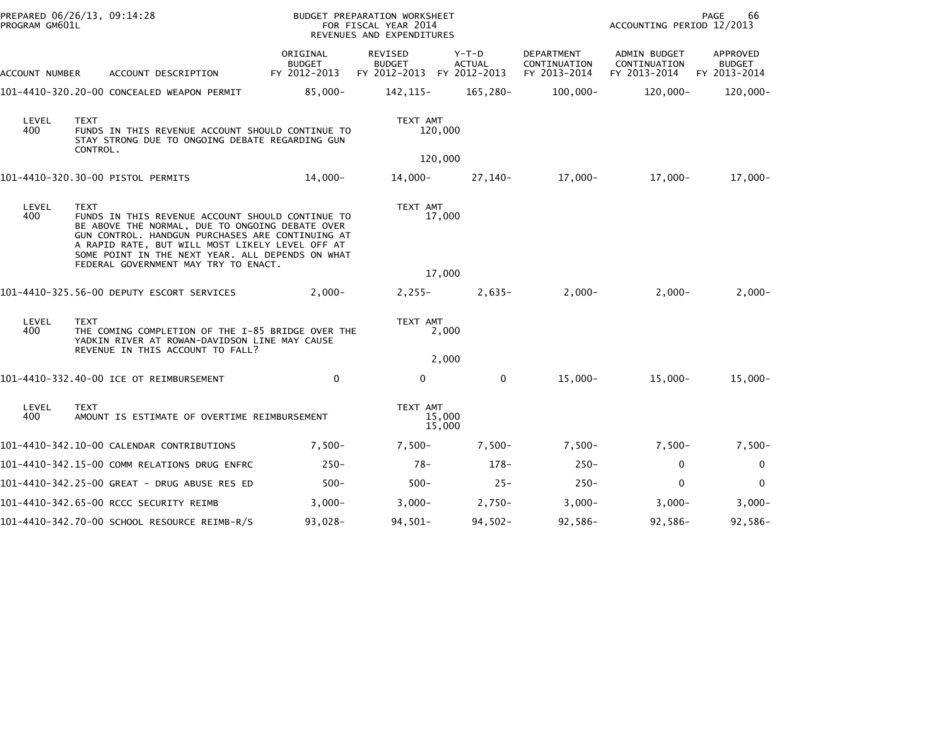| PREPARED 06/26/13, 09:14:28<br>PROGRAM GM601L |                                                                                                                                                                                                                                                                                                                       |                                           | BUDGET PREPARATION WORKSHEET<br>FOR FISCAL YEAR 2014<br>REVENUES AND EXPENDITURES |                          |                                            | 66<br>PAGE<br>ACCOUNTING PERIOD 12/2013      |                                           |  |
|-----------------------------------------------|-----------------------------------------------------------------------------------------------------------------------------------------------------------------------------------------------------------------------------------------------------------------------------------------------------------------------|-------------------------------------------|-----------------------------------------------------------------------------------|--------------------------|--------------------------------------------|----------------------------------------------|-------------------------------------------|--|
| ACCOUNT NUMBER                                | ACCOUNT DESCRIPTION                                                                                                                                                                                                                                                                                                   | ORIGINAL<br><b>BUDGET</b><br>FY 2012-2013 | REVISED<br><b>BUDGET</b><br>FY 2012-2013 FY 2012-2013                             | $Y-T-D$<br><b>ACTUAL</b> | DEPARTMENT<br>CONTINUATION<br>FY 2013-2014 | ADMIN BUDGET<br>CONTINUATION<br>FY 2013-2014 | APPROVED<br><b>BUDGET</b><br>FY 2013-2014 |  |
|                                               | 101-4410-320.20-00 CONCEALED WEAPON PERMIT                                                                                                                                                                                                                                                                            | $85,000 -$                                | 142,115-                                                                          | 165,280-                 | $100,000 -$                                | $120,000 -$                                  | $120,000 -$                               |  |
| LEVEL<br>400                                  | <b>TEXT</b><br>FUNDS IN THIS REVENUE ACCOUNT SHOULD CONTINUE TO<br>STAY STRONG DUE TO ONGOING DEBATE REGARDING GUN<br>CONTROL.                                                                                                                                                                                        |                                           | TEXT AMT                                                                          | 120,000                  |                                            |                                              |                                           |  |
|                                               |                                                                                                                                                                                                                                                                                                                       |                                           |                                                                                   | 120,000                  |                                            |                                              |                                           |  |
|                                               | 101-4410-320.30-00 PISTOL PERMITS                                                                                                                                                                                                                                                                                     | $14,000-$                                 | 14,000-                                                                           | $27,140-$                | $17,000 -$                                 | $17,000-$                                    | $17,000-$                                 |  |
| LEVEL<br>400                                  | <b>TEXT</b><br>FUNDS IN THIS REVENUE ACCOUNT SHOULD CONTINUE TO<br>BE ABOVE THE NORMAL, DUE TO ONGOING DEBATE OVER<br>GUN CONTROL. HANDGUN PURCHASES ARE CONTINUING AT<br>A RAPID RATE, BUT WILL MOST LIKELY LEVEL OFF AT<br>SOME POINT IN THE NEXT YEAR. ALL DEPENDS ON WHAT<br>FEDERAL GOVERNMENT MAY TRY TO ENACT. |                                           | TEXT AMT                                                                          | 17,000                   |                                            |                                              |                                           |  |
|                                               |                                                                                                                                                                                                                                                                                                                       |                                           |                                                                                   | 17,000                   |                                            |                                              |                                           |  |
|                                               | 101-4410-325.56-00 DEPUTY ESCORT SERVICES                                                                                                                                                                                                                                                                             | $2,000-$                                  | $2,255 -$                                                                         | $2,635-$                 | $2,000-$                                   | $2,000-$                                     | $2,000-$                                  |  |
| LEVEL<br>400                                  | <b>TEXT</b><br>THE COMING COMPLETION OF THE I-85 BRIDGE OVER THE<br>YADKIN RIVER AT ROWAN-DAVIDSON LINE MAY CAUSE<br>REVENUE IN THIS ACCOUNT TO FALL?                                                                                                                                                                 |                                           | TEXT AMT                                                                          | 2,000                    |                                            |                                              |                                           |  |
|                                               |                                                                                                                                                                                                                                                                                                                       |                                           |                                                                                   | 2,000                    |                                            |                                              |                                           |  |
|                                               | 101-4410-332.40-00 ICE OT REIMBURSEMENT                                                                                                                                                                                                                                                                               | $\mathbf 0$                               | 0                                                                                 | $\mathbf{0}$             | $15,000-$                                  | $15.000 -$                                   | $15,000 -$                                |  |
| LEVEL<br>400                                  | <b>TEXT</b><br>AMOUNT IS ESTIMATE OF OVERTIME REIMBURSEMENT                                                                                                                                                                                                                                                           |                                           | TEXT AMT                                                                          | 15,000<br>15,000         |                                            |                                              |                                           |  |
|                                               | 101-4410-342.10-00 CALENDAR CONTRIBUTIONS                                                                                                                                                                                                                                                                             | $7,500-$                                  | $7,500-$                                                                          | $7,500-$                 | $7,500-$                                   | $7,500-$                                     | $7,500-$                                  |  |
|                                               | 101-4410-342.15-00 COMM RELATIONS DRUG ENFRC                                                                                                                                                                                                                                                                          | $250 -$                                   | 78-                                                                               | $178 -$                  | $250 -$                                    | $\mathbf{0}$                                 | $\mathbf 0$                               |  |
|                                               | 101-4410-342.25-00 GREAT - DRUG ABUSE RES ED                                                                                                                                                                                                                                                                          | $500 -$                                   | $500 -$                                                                           | $25 -$                   | $250 -$                                    | $\mathbf{0}$                                 | $\mathbf 0$                               |  |
|                                               | 101-4410-342.65-00 RCCC SECURITY REIMB                                                                                                                                                                                                                                                                                | $3,000-$                                  | $3,000-$                                                                          | $2,750-$                 | $3,000-$                                   | $3,000-$                                     | $3,000-$                                  |  |
|                                               | 101-4410-342.70-00 SCHOOL RESOURCE REIMB-R/S                                                                                                                                                                                                                                                                          | $93,028-$                                 | $94,501-$                                                                         | $94,502 -$               | $92,586-$                                  | $92,586-$                                    | $92,586-$                                 |  |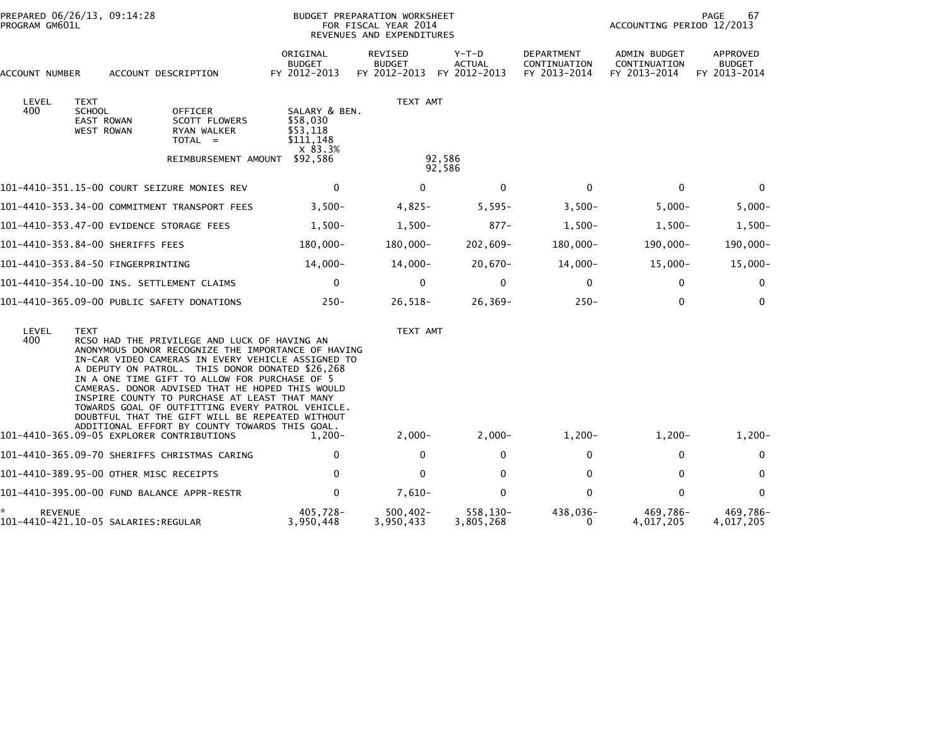| PREPARED 06/26/13, 09:14:28<br>PROGRAM GM601L             |                                                                        |                                                                                                                                                                                                                                                                                                                                                                                                                                                                                                                          | BUDGET PREPARATION WORKSHEET<br>FOR FISCAL YEAR 2014<br>REVENUES AND EXPENDITURES |                                          |                                        |                                                   | 67<br>PAGE<br>ACCOUNTING PERIOD 12/2013      |                                           |  |
|-----------------------------------------------------------|------------------------------------------------------------------------|--------------------------------------------------------------------------------------------------------------------------------------------------------------------------------------------------------------------------------------------------------------------------------------------------------------------------------------------------------------------------------------------------------------------------------------------------------------------------------------------------------------------------|-----------------------------------------------------------------------------------|------------------------------------------|----------------------------------------|---------------------------------------------------|----------------------------------------------|-------------------------------------------|--|
| ACCOUNT NUMBER                                            | ACCOUNT DESCRIPTION                                                    |                                                                                                                                                                                                                                                                                                                                                                                                                                                                                                                          |                                                                                   | REVISED<br><b>BUDGET</b><br>FY 2012-2013 | Y-T-D<br><b>ACTUAL</b><br>FY 2012-2013 | <b>DEPARTMENT</b><br>CONTINUATION<br>FY 2013-2014 | ADMIN BUDGET<br>CONTINUATION<br>FY 2013-2014 | APPROVED<br><b>BUDGET</b><br>FY 2013-2014 |  |
| LEVEL<br>400                                              | <b>TEXT</b><br><b>SCHOOL</b><br><b>EAST ROWAN</b><br><b>WEST ROWAN</b> | <b>OFFICER</b><br>SCOTT FLOWERS<br>RYAN WALKER<br>$TOTAL =$<br>REIMBURSEMENT AMOUNT                                                                                                                                                                                                                                                                                                                                                                                                                                      | SALARY & BEN.<br>\$58,030<br>\$53.118<br>\$111,148<br>X 83.3%<br>\$92,586         | TEXT AMT                                 | 92,586<br>92,586                       |                                                   |                                              |                                           |  |
|                                                           |                                                                        | 101-4410-351.15-00 COURT SEIZURE MONIES REV                                                                                                                                                                                                                                                                                                                                                                                                                                                                              | $\mathbf 0$                                                                       | $\mathbf{0}$                             | $\mathbf 0$                            | $\mathbf{0}$                                      | $\mathbf{0}$                                 | $\mathbf 0$                               |  |
|                                                           |                                                                        | 101-4410-353.34-00 COMMITMENT TRANSPORT FEES                                                                                                                                                                                                                                                                                                                                                                                                                                                                             | $3,500-$                                                                          | $4,825-$                                 | $5,595-$                               | $3,500-$                                          | $5,000-$                                     | $5,000-$                                  |  |
| 101-4410-353.47-00 EVIDENCE STORAGE FEES                  |                                                                        |                                                                                                                                                                                                                                                                                                                                                                                                                                                                                                                          | $1,500-$                                                                          | $1,500-$                                 | $877 -$                                | $1,500-$                                          | $1,500-$                                     | $1,500-$                                  |  |
| 101-4410-353.84-00 SHERIFFS FEES                          |                                                                        |                                                                                                                                                                                                                                                                                                                                                                                                                                                                                                                          | 180,000-                                                                          | $180,000 -$                              | $202,609-$                             | $180,000 -$                                       | 190,000-                                     | 190,000-                                  |  |
| 101-4410-353.84-50 FINGERPRINTING                         |                                                                        |                                                                                                                                                                                                                                                                                                                                                                                                                                                                                                                          | $14,000 -$                                                                        | 14,000-                                  | $20,670-$                              | $14,000-$                                         | $15,000 -$                                   | $15,000-$                                 |  |
| 101-4410-354.10-00 INS. SETTLEMENT CLAIMS                 |                                                                        |                                                                                                                                                                                                                                                                                                                                                                                                                                                                                                                          | 0                                                                                 | 0                                        | $\mathbf 0$                            | $\mathbf{0}$                                      | $\mathbf{0}$                                 | $\mathbf 0$                               |  |
|                                                           |                                                                        | 101-4410-365.09-00 PUBLIC SAFETY DONATIONS                                                                                                                                                                                                                                                                                                                                                                                                                                                                               | $250 -$                                                                           | $26,518-$                                | $26, 369 -$                            | $250 -$                                           | $\mathbf 0$                                  | $\mathbf 0$                               |  |
| LEVEL<br>400<br>101-4410-365.09-05 EXPLORER CONTRIBUTIONS | <b>TEXT</b>                                                            | RCSO HAD THE PRIVILEGE AND LUCK OF HAVING AN<br>ANONYMOUS DONOR RECOGNIZE THE IMPORTANCE OF HAVING<br>IN-CAR VIDEO CAMERAS IN EVERY VEHICLE ASSIGNED TO<br>A DEPUTY ON PATROL. THIS DONOR DONATED \$26,268<br>IN A ONE TIME GIFT TO ALLOW FOR PURCHASE OF 5<br>CAMERAS. DONOR ADVISED THAT HE HOPED THIS WOULD<br>INSPIRE COUNTY TO PURCHASE AT LEAST THAT MANY<br>TOWARDS GOAL OF OUTFITTING EVERY PATROL VEHICLE.<br>DOUBTFUL THAT THE GIFT WILL BE REPEATED WITHOUT<br>ADDITIONAL EFFORT BY COUNTY TOWARDS THIS GOAL. | $1.200 -$                                                                         | TEXT AMT<br>$2,000-$                     | $2,000 -$                              | $1,200-$                                          | $1,200-$                                     | $1,200-$                                  |  |
|                                                           |                                                                        | 101-4410-365.09-70 SHERIFFS CHRISTMAS CARING                                                                                                                                                                                                                                                                                                                                                                                                                                                                             | 0                                                                                 | 0                                        | 0                                      | 0                                                 | 0                                            | 0                                         |  |
| 101-4410-389.95-00 OTHER MISC RECEIPTS                    |                                                                        |                                                                                                                                                                                                                                                                                                                                                                                                                                                                                                                          | $\mathbf{0}$                                                                      | 0                                        | $\mathbf 0$                            | 0                                                 | $\mathbf 0$                                  | 0                                         |  |
|                                                           |                                                                        | 101-4410-395.00-00 FUND BALANCE APPR-RESTR                                                                                                                                                                                                                                                                                                                                                                                                                                                                               | 0                                                                                 | $7,610-$                                 | $\mathbf 0$                            | $\Omega$                                          | $\Omega$                                     | $\mathbf{0}$                              |  |
| *.<br><b>REVENUE</b>                                      |                                                                        |                                                                                                                                                                                                                                                                                                                                                                                                                                                                                                                          | 405,728-<br>3,950,448                                                             | $500,402 -$<br>3,950,433                 | 558,130-<br>3,805,268                  | 438,036-<br>$\Omega$                              | 469,786-<br>4,017,205                        | 469,786-<br>4,017,205                     |  |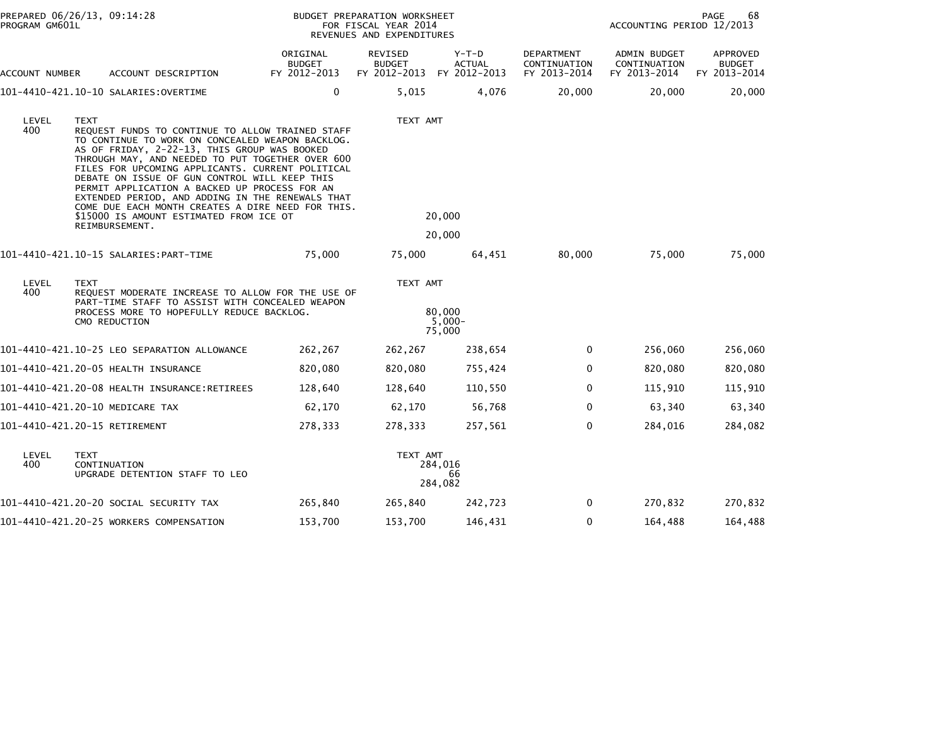| PROGRAM GM601L | PREPARED 06/26/13, 09:14:28                                                                                                                                                                                                                                                                                                                                                                                                                                                                                                                         |                                           | BUDGET PREPARATION WORKSHEET<br>FOR FISCAL YEAR 2014<br>REVENUES AND EXPENDITURES | <b>PAGE</b><br>68<br>ACCOUNTING PERIOD 12/2013 |                                                   |                                              |                                           |
|----------------|-----------------------------------------------------------------------------------------------------------------------------------------------------------------------------------------------------------------------------------------------------------------------------------------------------------------------------------------------------------------------------------------------------------------------------------------------------------------------------------------------------------------------------------------------------|-------------------------------------------|-----------------------------------------------------------------------------------|------------------------------------------------|---------------------------------------------------|----------------------------------------------|-------------------------------------------|
| ACCOUNT NUMBER | ACCOUNT DESCRIPTION                                                                                                                                                                                                                                                                                                                                                                                                                                                                                                                                 | ORIGINAL<br><b>BUDGET</b><br>FY 2012-2013 | REVISED<br><b>BUDGET</b><br>FY 2012-2013 FY 2012-2013                             | $Y-T-D$<br>ACTUAL                              | <b>DEPARTMENT</b><br>CONTINUATION<br>FY 2013-2014 | ADMIN BUDGET<br>CONTINUATION<br>FY 2013-2014 | APPROVED<br><b>BUDGET</b><br>FY 2013-2014 |
|                |                                                                                                                                                                                                                                                                                                                                                                                                                                                                                                                                                     | 0                                         | 5,015                                                                             | 4,076                                          | 20,000                                            | 20,000                                       | 20,000                                    |
| LEVEL<br>400   | <b>TEXT</b><br>REQUEST FUNDS TO CONTINUE TO ALLOW TRAINED STAFF<br>TO CONTINUE TO WORK ON CONCEALED WEAPON BACKLOG.<br>AS OF FRIDAY, 2-22-13, THIS GROUP WAS BOOKED<br>THROUGH MAY, AND NEEDED TO PUT TOGETHER OVER 600<br>FILES FOR UPCOMING APPLICANTS. CURRENT POLITICAL<br>DEBATE ON ISSUE OF GUN CONTROL WILL KEEP THIS<br>PERMIT APPLICATION A BACKED UP PROCESS FOR AN<br>EXTENDED PERIOD, AND ADDING IN THE RENEWALS THAT<br>COME DUE EACH MONTH CREATES A DIRE NEED FOR THIS.<br>\$15000 IS AMOUNT ESTIMATED FROM ICE OT<br>REIMBURSEMENT. |                                           | TEXT AMT                                                                          | 20,000<br>20,000                               |                                                   |                                              |                                           |
|                | 101-4410-421.10-15 SALARIES:PART-TIME                                                                                                                                                                                                                                                                                                                                                                                                                                                                                                               | 75,000                                    | 75,000                                                                            | 64,451                                         | 80,000                                            | 75,000                                       | 75,000                                    |
| LEVEL<br>400   | <b>TEXT</b><br>REQUEST MODERATE INCREASE TO ALLOW FOR THE USE OF<br>PART-TIME STAFF TO ASSIST WITH CONCEALED WEAPON<br>PROCESS MORE TO HOPEFULLY REDUCE BACKLOG.<br>CMO REDUCTION                                                                                                                                                                                                                                                                                                                                                                   |                                           | TEXT AMT                                                                          | 80,000<br>$5.000 -$<br>75,000                  |                                                   |                                              |                                           |
|                | 101-4410-421.10-25 LEO SEPARATION ALLOWANCE                                                                                                                                                                                                                                                                                                                                                                                                                                                                                                         | 262,267                                   | 262,267                                                                           | 238,654                                        | $\mathbf{0}$                                      | 256,060                                      | 256,060                                   |
|                |                                                                                                                                                                                                                                                                                                                                                                                                                                                                                                                                                     | 820,080                                   | 820,080                                                                           | 755,424                                        | 0                                                 | 820,080                                      | 820,080                                   |
|                |                                                                                                                                                                                                                                                                                                                                                                                                                                                                                                                                                     | 128,640                                   | 128,640                                                                           | 110,550                                        | 0                                                 | 115,910                                      | 115,910                                   |
|                | 101-4410-421.20-10 MEDICARE TAX                                                                                                                                                                                                                                                                                                                                                                                                                                                                                                                     | 62,170                                    | 62,170                                                                            | 56,768                                         | $\Omega$                                          | 63,340                                       | 63,340                                    |
|                | 101-4410-421.20-15 RETIREMENT                                                                                                                                                                                                                                                                                                                                                                                                                                                                                                                       | 278,333                                   | 278,333                                                                           | 257,561                                        | $\mathbf 0$                                       | 284,016                                      | 284,082                                   |
| LEVEL<br>400.  | <b>TEXT</b><br>CONTINUATION<br>UPGRADE DETENTION STAFF TO LEO                                                                                                                                                                                                                                                                                                                                                                                                                                                                                       |                                           | TEXT AMT                                                                          | 284,016<br>66<br>284,082                       |                                                   |                                              |                                           |
|                | 101–4410–421.20–20 SOCIAL SECURITY TAX                                                                                                                                                                                                                                                                                                                                                                                                                                                                                                              | 265,840                                   | 265,840                                                                           | 242,723                                        | 0                                                 | 270,832                                      | 270,832                                   |
|                | 101-4410-421.20-25 WORKERS COMPENSATION                                                                                                                                                                                                                                                                                                                                                                                                                                                                                                             | 153,700                                   | 153,700                                                                           | 146,431                                        | $\mathbf{0}$                                      | 164,488                                      | 164,488                                   |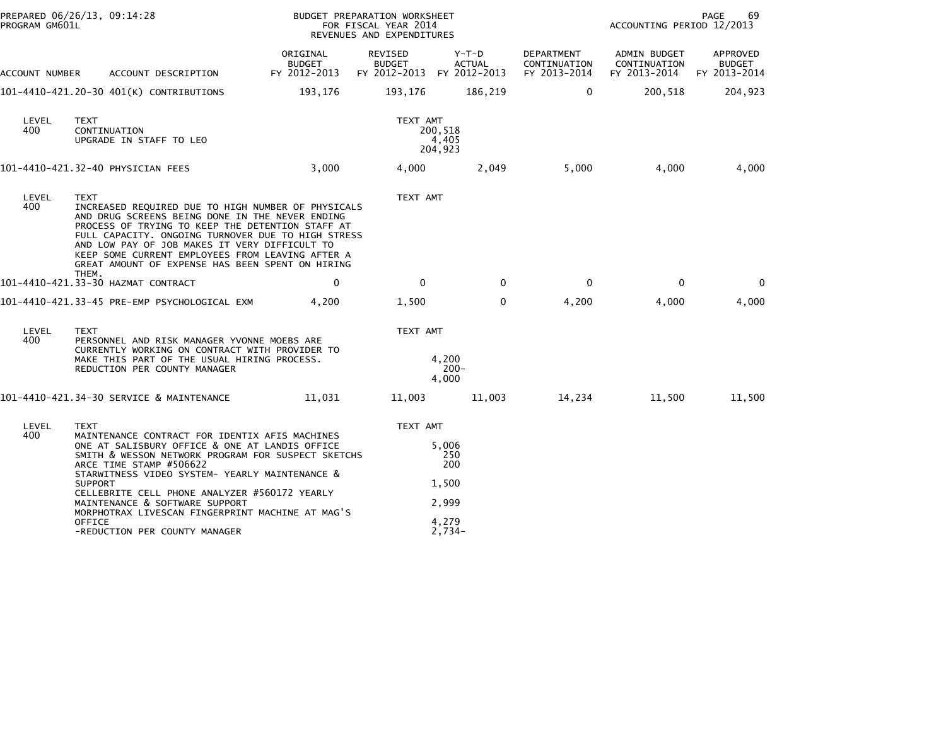| PROGRAM GM601L | PREPARED 06/26/13, 09:14:28                                                                                                                                                                                                                                                                                                                                                                                                                                   |                                    | BUDGET PREPARATION WORKSHEET<br>FOR FISCAL YEAR 2014<br>REVENUES AND EXPENDITURES |                                                            |                                            | PAGE<br>69<br>ACCOUNTING PERIOD 12/2013                   |                           |  |
|----------------|---------------------------------------------------------------------------------------------------------------------------------------------------------------------------------------------------------------------------------------------------------------------------------------------------------------------------------------------------------------------------------------------------------------------------------------------------------------|------------------------------------|-----------------------------------------------------------------------------------|------------------------------------------------------------|--------------------------------------------|-----------------------------------------------------------|---------------------------|--|
| ACCOUNT NUMBER | ACCOUNT DESCRIPTION                                                                                                                                                                                                                                                                                                                                                                                                                                           | ORIGINAL<br>BUDGET<br>FY 2012-2013 | REVISED<br><b>BUDGET</b><br>FY 2012-2013 FY 2012-2013                             | Y-T-D<br><b>ACTUAL</b>                                     | DEPARTMENT<br>CONTINUATION<br>FY 2013-2014 | ADMIN BUDGET<br>CONTINUATION<br>FY 2013-2014 FY 2013-2014 | APPROVED<br><b>BUDGET</b> |  |
|                | 101-4410-421.20-30 401(K) CONTRIBUTIONS                                                                                                                                                                                                                                                                                                                                                                                                                       | 193,176                            | 193,176                                                                           | 186,219                                                    | $\mathbf{0}$                               | 200,518                                                   | 204,923                   |  |
| LEVEL<br>400   | TEXT<br>CONTINUATION<br>UPGRADE IN STAFF TO LEO                                                                                                                                                                                                                                                                                                                                                                                                               |                                    | TEXT AMT                                                                          | 200,518<br>4,405<br>204,923                                |                                            |                                                           |                           |  |
|                | 101-4410-421.32-40 PHYSICIAN FEES                                                                                                                                                                                                                                                                                                                                                                                                                             | 3,000                              | 4,000                                                                             | 2,049                                                      | 5,000                                      | 4,000                                                     | 4,000                     |  |
| LEVEL<br>400   | <b>TEXT</b><br>INCREASED REQUIRED DUE TO HIGH NUMBER OF PHYSICALS<br>AND DRUG SCREENS BEING DONE IN THE NEVER ENDING<br>PROCESS OF TRYING TO KEEP THE DETENTION STAFF AT<br>FULL CAPACITY. ONGOING TURNOVER DUE TO HIGH STRESS<br>AND LOW PAY OF JOB MAKES IT VERY DIFFICULT TO<br>KEEP SOME CURRENT EMPLOYEES FROM LEAVING AFTER A<br>GREAT AMOUNT OF EXPENSE HAS BEEN SPENT ON HIRING                                                                       |                                    | TEXT AMT                                                                          |                                                            |                                            |                                                           |                           |  |
|                | THEM.<br>101-4410-421.33-30 HAZMAT CONTRACT                                                                                                                                                                                                                                                                                                                                                                                                                   | $\mathbf{0}$                       | $\Omega$                                                                          | $\Omega$                                                   | $\Omega$                                   | 0                                                         | $\Omega$                  |  |
|                | 101–4410–421.33–45 PRE-EMP PSYCHOLOGICAL EXM                                                                                                                                                                                                                                                                                                                                                                                                                  | 4.200                              | 1,500                                                                             | 0                                                          | 4,200                                      | 4,000                                                     | 4,000                     |  |
| LEVEL<br>400   | <b>TEXT</b><br>PERSONNEL AND RISK MANAGER YVONNE MOEBS ARE<br>CURRENTLY WORKING ON CONTRACT WITH PROVIDER TO<br>MAKE THIS PART OF THE USUAL HIRING PROCESS.<br>REDUCTION PER COUNTY MANAGER                                                                                                                                                                                                                                                                   |                                    | TEXT AMT                                                                          | 4,200<br>$200 -$<br>4,000                                  |                                            |                                                           |                           |  |
|                | 101-4410-421.34-30 SERVICE & MAINTENANCE                                                                                                                                                                                                                                                                                                                                                                                                                      | 11,031                             | 11,003                                                                            | 11,003                                                     | 14,234                                     | 11,500                                                    | 11,500                    |  |
| LEVEL<br>400   | <b>TEXT</b><br>MAINTENANCE CONTRACT FOR IDENTIX AFIS MACHINES<br>ONE AT SALISBURY OFFICE & ONE AT LANDIS OFFICE<br>SMITH & WESSON NETWORK PROGRAM FOR SUSPECT SKETCHS<br>ARCE TIME STAMP #506622<br>STARWITNESS VIDEO SYSTEM- YEARLY MAINTENANCE &<br><b>SUPPORT</b><br>CELLEBRITE CELL PHONE ANALYZER #560172 YEARLY<br>MAINTENANCE & SOFTWARE SUPPORT<br>MORPHOTRAX LIVESCAN FINGERPRINT MACHINE AT MAG'S<br><b>OFFICE</b><br>-REDUCTION PER COUNTY MANAGER |                                    | TEXT AMT                                                                          | 5,006<br>250<br>200<br>1,500<br>2,999<br>4,279<br>$2,734-$ |                                            |                                                           |                           |  |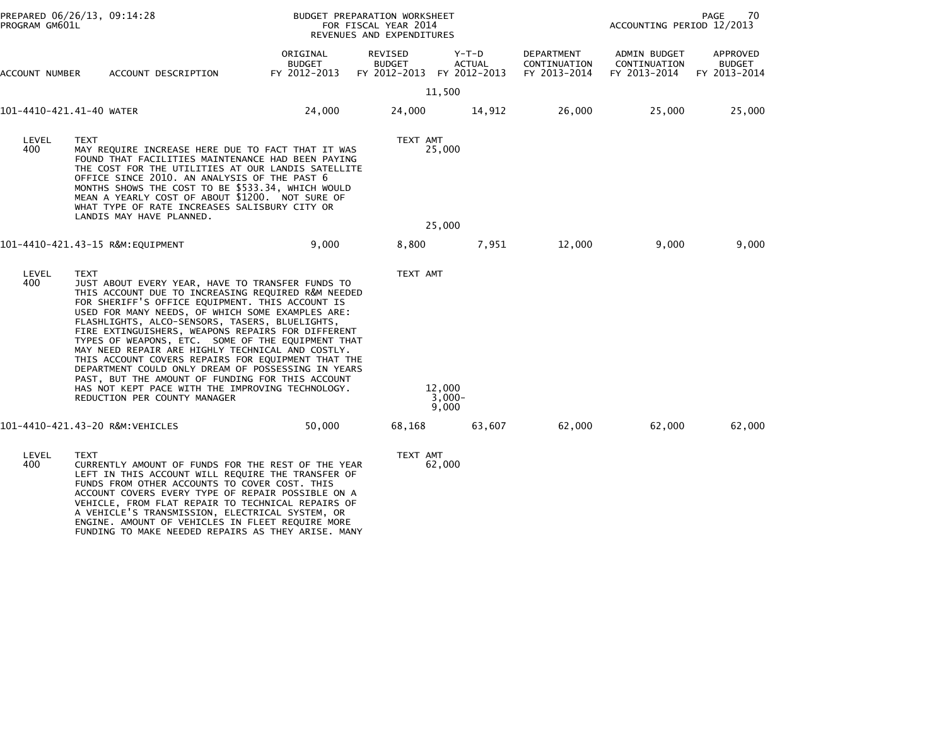| PREPARED 06/26/13, 09:14:28<br>PROGRAM GM601L |                                                                                                                                                                                                                                                                                                                                                                                                                                                                                                                                                                                                                                                                                                  | BUDGET PREPARATION WORKSHEET<br>FOR FISCAL YEAR 2014<br>REVENUES AND EXPENDITURES |                                                              |                             |                                                   | PAGE<br>70<br>ACCOUNTING PERIOD 12/2013             |                                           |  |
|-----------------------------------------------|--------------------------------------------------------------------------------------------------------------------------------------------------------------------------------------------------------------------------------------------------------------------------------------------------------------------------------------------------------------------------------------------------------------------------------------------------------------------------------------------------------------------------------------------------------------------------------------------------------------------------------------------------------------------------------------------------|-----------------------------------------------------------------------------------|--------------------------------------------------------------|-----------------------------|---------------------------------------------------|-----------------------------------------------------|-------------------------------------------|--|
| ACCOUNT NUMBER                                | ACCOUNT DESCRIPTION                                                                                                                                                                                                                                                                                                                                                                                                                                                                                                                                                                                                                                                                              | ORIGINAL<br>BUDGET<br>FY 2012-2013                                                | <b>REVISED</b><br><b>BUDGET</b><br>FY 2012-2013 FY 2012-2013 | $Y-T-D$<br><b>ACTUAL</b>    | <b>DEPARTMENT</b><br>CONTINUATION<br>FY 2013-2014 | <b>ADMIN BUDGET</b><br>CONTINUATION<br>FY 2013-2014 | APPROVED<br><b>BUDGET</b><br>FY 2013-2014 |  |
|                                               |                                                                                                                                                                                                                                                                                                                                                                                                                                                                                                                                                                                                                                                                                                  |                                                                                   |                                                              | 11,500                      |                                                   |                                                     |                                           |  |
| 101-4410-421.41-40 WATER                      |                                                                                                                                                                                                                                                                                                                                                                                                                                                                                                                                                                                                                                                                                                  | 24,000                                                                            | 24,000                                                       | 14,912                      | 26,000                                            | 25,000                                              | 25,000                                    |  |
| LEVEL<br>400                                  | <b>TEXT</b><br>MAY REQUIRE INCREASE HERE DUE TO FACT THAT IT WAS<br>FOUND THAT FACILITIES MAINTENANCE HAD BEEN PAYING<br>THE COST FOR THE UTILITIES AT OUR LANDIS SATELLITE<br>OFFICE SINCE 2010. AN ANALYSIS OF THE PAST 6<br>MONTHS SHOWS THE COST TO BE \$533.34, WHICH WOULD<br>MEAN A YEARLY COST OF ABOUT \$1200. NOT SURE OF<br>WHAT TYPE OF RATE INCREASES SALISBURY CITY OR<br>LANDIS MAY HAVE PLANNED.                                                                                                                                                                                                                                                                                 |                                                                                   |                                                              | TEXT AMT<br>25,000          |                                                   |                                                     |                                           |  |
|                                               |                                                                                                                                                                                                                                                                                                                                                                                                                                                                                                                                                                                                                                                                                                  |                                                                                   |                                                              | 25,000                      |                                                   |                                                     |                                           |  |
|                                               | 101-4410-421.43-15 R&M:EQUIPMENT                                                                                                                                                                                                                                                                                                                                                                                                                                                                                                                                                                                                                                                                 | 9,000                                                                             | 8,800                                                        | 7,951                       | 12,000                                            | 9,000                                               | 9,000                                     |  |
| LEVEL<br>400                                  | <b>TEXT</b><br>JUST ABOUT EVERY YEAR, HAVE TO TRANSFER FUNDS TO<br>THIS ACCOUNT DUE TO INCREASING REQUIRED R&M NEEDED<br>FOR SHERIFF'S OFFICE EQUIPMENT. THIS ACCOUNT IS<br>USED FOR MANY NEEDS, OF WHICH SOME EXAMPLES ARE:<br>FLASHLIGHTS, ALCO-SENSORS, TASERS, BLUELIGHTS,<br>FIRE EXTINGUISHERS, WEAPONS REPAIRS FOR DIFFERENT<br>TYPES OF WEAPONS, ETC. SOME OF THE EQUIPMENT THAT<br>MAY NEED REPAIR ARE HIGHLY TECHNICAL AND COSTLY.<br>THIS ACCOUNT COVERS REPAIRS FOR EQUIPMENT THAT THE<br>DEPARTMENT COULD ONLY DREAM OF POSSESSING IN YEARS<br>PAST, BUT THE AMOUNT OF FUNDING FOR THIS ACCOUNT<br>HAS NOT KEPT PACE WITH THE IMPROVING TECHNOLOGY.<br>REDUCTION PER COUNTY MANAGER |                                                                                   | TEXT AMT                                                     | 12,000<br>$3,000-$<br>9,000 |                                                   |                                                     |                                           |  |
|                                               | 101-4410-421.43-20 R&M:VEHICLES                                                                                                                                                                                                                                                                                                                                                                                                                                                                                                                                                                                                                                                                  | 50,000                                                                            | 68,168                                                       | 63,607                      | 62,000                                            | 62,000                                              | 62,000                                    |  |
| LEVEL<br>400                                  | <b>TEXT</b><br>CURRENTLY AMOUNT OF FUNDS FOR THE REST OF THE YEAR<br>LEFT IN THIS ACCOUNT WILL REQUIRE THE TRANSFER OF<br>FUNDS FROM OTHER ACCOUNTS TO COVER COST. THIS<br>ACCOUNT COVERS EVERY TYPE OF REPAIR POSSIBLE ON A<br>VEHICLE, FROM FLAT REPAIR TO TECHNICAL REPAIRS OF<br>A VEHICLE'S TRANSMISSION, ELECTRICAL SYSTEM, OR<br>ENGINE. AMOUNT OF VEHICLES IN FLEET REQUIRE MORE<br>FUNDING TO MAKE NEEDED REPAIRS AS THEY ARISE. MANY                                                                                                                                                                                                                                                   |                                                                                   | TEXT AMT                                                     | 62,000                      |                                                   |                                                     |                                           |  |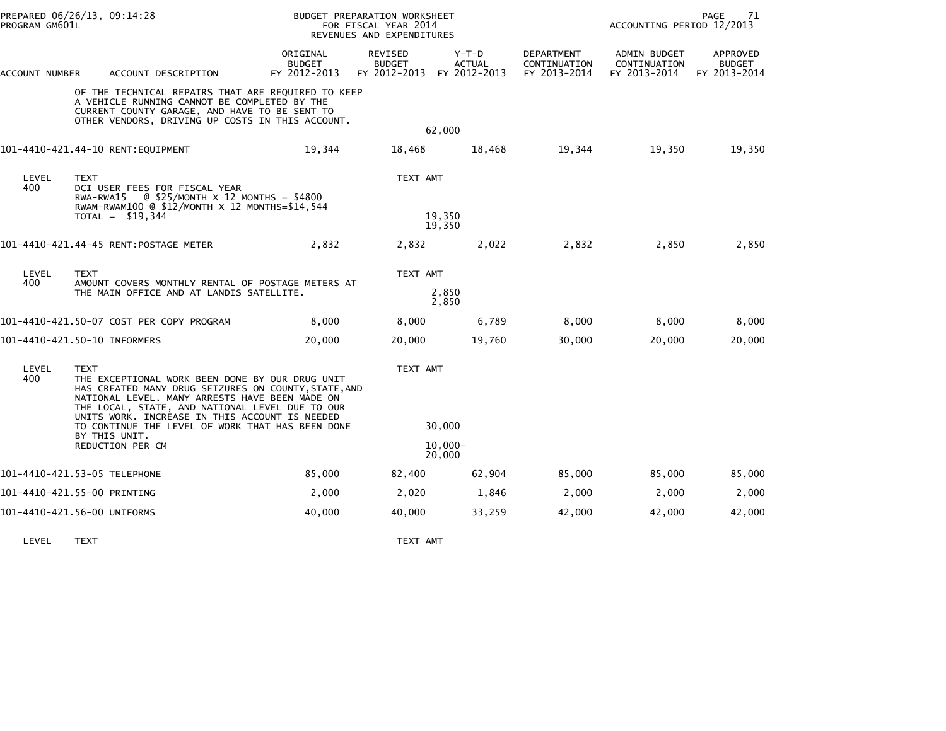| PREPARED 06/26/13, 09:14:28<br>PROGRAM GM601L |                                                                                                                                                        | <b>BUDGET PREPARATION WORKSHEET</b><br>FOR FISCAL YEAR 2014<br>REVENUES AND EXPENDITURES                                                                                                                     |                                           |                                                       |                        | PAGE<br>71<br>ACCOUNTING PERIOD 12/2013           |                                              |                                           |
|-----------------------------------------------|--------------------------------------------------------------------------------------------------------------------------------------------------------|--------------------------------------------------------------------------------------------------------------------------------------------------------------------------------------------------------------|-------------------------------------------|-------------------------------------------------------|------------------------|---------------------------------------------------|----------------------------------------------|-------------------------------------------|
| ACCOUNT NUMBER                                |                                                                                                                                                        | ACCOUNT DESCRIPTION                                                                                                                                                                                          | ORIGINAL<br><b>BUDGET</b><br>FY 2012-2013 | REVISED<br><b>BUDGET</b><br>FY 2012-2013 FY 2012-2013 | Y-T-D<br><b>ACTUAL</b> | <b>DEPARTMENT</b><br>CONTINUATION<br>FY 2013-2014 | ADMIN BUDGET<br>CONTINUATION<br>FY 2013-2014 | APPROVED<br><b>BUDGET</b><br>FY 2013-2014 |
|                                               |                                                                                                                                                        | OF THE TECHNICAL REPAIRS THAT ARE REQUIRED TO KEEP<br>A VEHICLE RUNNING CANNOT BE COMPLETED BY THE<br>CURRENT COUNTY GARAGE, AND HAVE TO BE SENT TO<br>OTHER VENDORS, DRIVING UP COSTS IN THIS ACCOUNT.      |                                           |                                                       | 62,000                 |                                                   |                                              |                                           |
|                                               |                                                                                                                                                        | 101-4410-421.44-10 RENT:EQUIPMENT                                                                                                                                                                            | 19,344                                    | 18,468                                                | 18,468                 | 19,344                                            | 19,350                                       | 19,350                                    |
| LEVEL<br>400                                  | <b>TEXT</b><br>DCI USER FEES FOR FISCAL YEAR<br>$RWA-RWA15$ @ \$25/MONTH $\times$ 12 MONTHS = \$4800<br>RWAM-RWAM100 @ \$12/MONTH X 12 MONTHS=\$14,544 |                                                                                                                                                                                                              | TEXT AMT                                  |                                                       |                        |                                                   |                                              |                                           |
|                                               |                                                                                                                                                        | $TOTAL = $19,344$                                                                                                                                                                                            |                                           | 19,350<br>19,350                                      |                        |                                                   |                                              |                                           |
|                                               |                                                                                                                                                        | 101-4410-421.44-45 RENT:POSTAGE METER                                                                                                                                                                        | 2,832                                     | 2,832                                                 | 2,022                  | 2,832                                             | 2,850                                        | 2,850                                     |
| LEVEL<br>400                                  | <b>TEXT</b><br>AMOUNT COVERS MONTHLY RENTAL OF POSTAGE METERS AT                                                                                       |                                                                                                                                                                                                              | TEXT AMT                                  |                                                       |                        |                                                   |                                              |                                           |
|                                               | THE MAIN OFFICE AND AT LANDIS SATELLITE.                                                                                                               |                                                                                                                                                                                                              |                                           | 2,850<br>2,850                                        |                        |                                                   |                                              |                                           |
|                                               |                                                                                                                                                        | 101-4410-421.50-07 COST PER COPY PROGRAM                                                                                                                                                                     | 8,000                                     | 8,000                                                 | 6,789                  | 8,000                                             | 8,000                                        | 8,000                                     |
| 101-4410-421.50-10 INFORMERS                  |                                                                                                                                                        |                                                                                                                                                                                                              | 20,000                                    | 20,000                                                | 19,760                 | 30,000                                            | 20,000                                       | 20,000                                    |
| LEVEL<br>400                                  | <b>TEXT</b>                                                                                                                                            | THE EXCEPTIONAL WORK BEEN DONE BY OUR DRUG UNIT<br>HAS CREATED MANY DRUG SEIZURES ON COUNTY, STATE, AND<br>NATIONAL LEVEL. MANY ARRESTS HAVE BEEN MADE ON<br>THE LOCAL, STATE, AND NATIONAL LEVEL DUE TO OUR |                                           |                                                       | TEXT AMT               |                                                   |                                              |                                           |
|                                               | UNITS WORK. INCREASE IN THIS ACCOUNT IS NEEDED<br>TO CONTINUE THE LEVEL OF WORK THAT HAS BEEN DONE<br>BY THIS UNIT.                                    |                                                                                                                                                                                                              | 30,000                                    |                                                       |                        |                                                   |                                              |                                           |
|                                               | REDUCTION PER CM                                                                                                                                       |                                                                                                                                                                                                              |                                           | $10.000 -$<br>20,000                                  |                        |                                                   |                                              |                                           |
| 101-4410-421.53-05 TELEPHONE                  |                                                                                                                                                        |                                                                                                                                                                                                              | 85,000                                    | 82,400                                                | 62,904                 | 85,000                                            | 85,000                                       | 85,000                                    |
| 101-4410-421.55-00 PRINTING                   |                                                                                                                                                        |                                                                                                                                                                                                              | 2,000                                     | 2,020                                                 | 1,846                  | 2,000                                             | 2,000                                        | 2,000                                     |
| 101–4410–421.56–00 UNIFORMS                   |                                                                                                                                                        |                                                                                                                                                                                                              | 40,000                                    | 40,000                                                | 33,259                 | 42,000                                            | 42,000                                       | 42,000                                    |
|                                               |                                                                                                                                                        |                                                                                                                                                                                                              |                                           |                                                       |                        |                                                   |                                              |                                           |

LEVEL TEXT TEXT AMT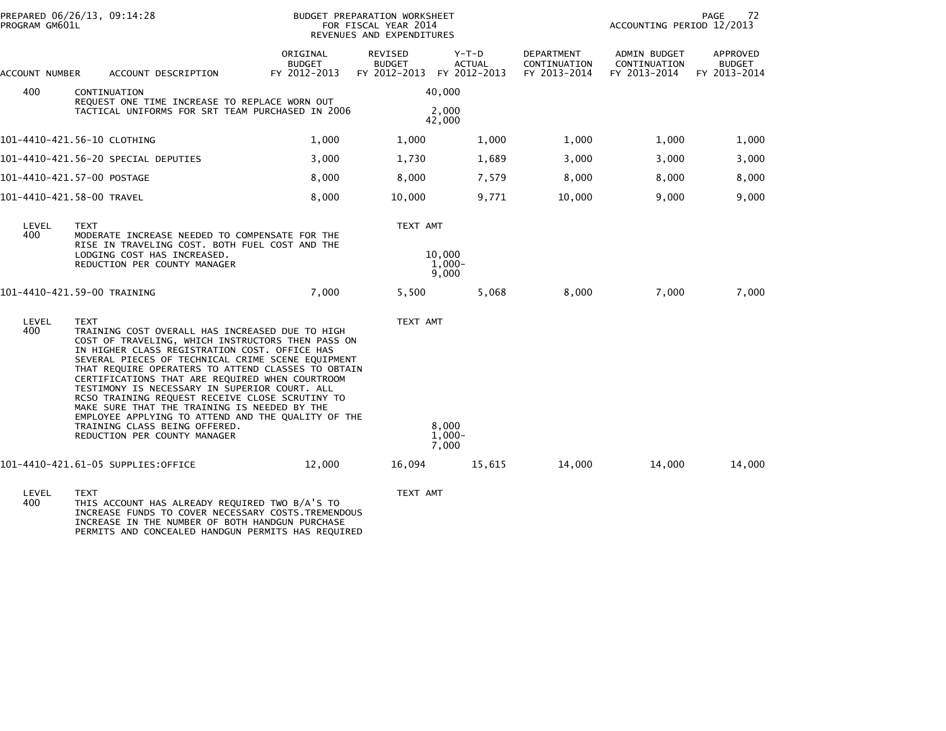| PREPARED 06/26/13, 09:14:28<br>PROGRAM GM601L |                                                                                                                                                                                                                                                                                                                                                                                                                                                                                                                                                                                                               |                                           | BUDGET PREPARATION WORKSHEET<br>FOR FISCAL YEAR 2014<br>REVENUES AND EXPENDITURES |                                          |                                            |                                              | 72<br>PAGE<br>ACCOUNTING PERIOD 12/2013          |  |  |
|-----------------------------------------------|---------------------------------------------------------------------------------------------------------------------------------------------------------------------------------------------------------------------------------------------------------------------------------------------------------------------------------------------------------------------------------------------------------------------------------------------------------------------------------------------------------------------------------------------------------------------------------------------------------------|-------------------------------------------|-----------------------------------------------------------------------------------|------------------------------------------|--------------------------------------------|----------------------------------------------|--------------------------------------------------|--|--|
| ACCOUNT NUMBER                                | ACCOUNT DESCRIPTION                                                                                                                                                                                                                                                                                                                                                                                                                                                                                                                                                                                           | ORIGINAL<br><b>BUDGET</b><br>FY 2012-2013 | REVISED<br><b>BUDGET</b><br>FY 2012-2013                                          | $Y-T-D$<br><b>ACTUAL</b><br>FY 2012-2013 | DEPARTMENT<br>CONTINUATION<br>FY 2013-2014 | ADMIN BUDGET<br>CONTINUATION<br>FY 2013-2014 | <b>APPROVED</b><br><b>BUDGET</b><br>FY 2013-2014 |  |  |
| 400                                           | CONTINUATION<br>REQUEST ONE TIME INCREASE TO REPLACE WORN OUT                                                                                                                                                                                                                                                                                                                                                                                                                                                                                                                                                 |                                           |                                                                                   | 40,000                                   |                                            |                                              |                                                  |  |  |
|                                               | TACTICAL UNIFORMS FOR SRT TEAM PURCHASED IN 2006                                                                                                                                                                                                                                                                                                                                                                                                                                                                                                                                                              |                                           |                                                                                   | 2,000<br>42,000                          |                                            |                                              |                                                  |  |  |
|                                               | 101-4410-421.56-10 CLOTHING                                                                                                                                                                                                                                                                                                                                                                                                                                                                                                                                                                                   | 1,000                                     | 1,000                                                                             | 1,000                                    | 1,000                                      | 1,000                                        | 1,000                                            |  |  |
|                                               | 101-4410-421.56-20 SPECIAL DEPUTIES                                                                                                                                                                                                                                                                                                                                                                                                                                                                                                                                                                           | 3,000                                     | 1,730                                                                             | 1,689                                    | 3,000                                      | 3,000                                        | 3,000                                            |  |  |
|                                               | 101-4410-421.57-00 POSTAGE                                                                                                                                                                                                                                                                                                                                                                                                                                                                                                                                                                                    | 8,000                                     | 8,000                                                                             | 7,579                                    | 8,000                                      | 8,000                                        | 8,000                                            |  |  |
|                                               | 101-4410-421.58-00 TRAVEL                                                                                                                                                                                                                                                                                                                                                                                                                                                                                                                                                                                     | 8,000                                     | 10,000                                                                            | 9,771                                    | 10,000                                     | 9,000                                        | 9,000                                            |  |  |
| LEVEL<br>400                                  | <b>TEXT</b><br>MODERATE INCREASE NEEDED TO COMPENSATE FOR THE<br>RISE IN TRAVELING COST. BOTH FUEL COST AND THE<br>LODGING COST HAS INCREASED.<br>REDUCTION PER COUNTY MANAGER                                                                                                                                                                                                                                                                                                                                                                                                                                | TEXT AMT<br>10,000<br>$1,000-$<br>9,000   |                                                                                   |                                          |                                            |                                              |                                                  |  |  |
|                                               | 101-4410-421.59-00 TRAINING                                                                                                                                                                                                                                                                                                                                                                                                                                                                                                                                                                                   | 7,000                                     | 5.500                                                                             | 5,068                                    | 8,000                                      | 7,000                                        | 7,000                                            |  |  |
| LEVEL<br>400                                  | <b>TEXT</b><br>TRAINING COST OVERALL HAS INCREASED DUE TO HIGH<br>COST OF TRAVELING, WHICH INSTRUCTORS THEN PASS ON<br>IN HIGHER CLASS REGISTRATION COST. OFFICE HAS<br>SEVERAL PIECES OF TECHNICAL CRIME SCENE EQUIPMENT<br>THAT REQUIRE OPERATERS TO ATTEND CLASSES TO OBTAIN<br>CERTIFICATIONS THAT ARE REQUIRED WHEN COURTROOM<br>TESTIMONY IS NECESSARY IN SUPERIOR COURT. ALL<br>RCSO TRAINING REQUEST RECEIVE CLOSE SCRUTINY TO<br>MAKE SURE THAT THE TRAINING IS NEEDED BY THE<br>EMPLOYEE APPLYING TO ATTEND AND THE QUALITY OF THE<br>TRAINING CLASS BEING OFFERED.<br>REDUCTION PER COUNTY MANAGER | TEXT AMT                                  | 8,000<br>$1,000-$<br>7,000                                                        |                                          |                                            |                                              |                                                  |  |  |
|                                               | 101-4410-421.61-05 SUPPLIES:OFFICE                                                                                                                                                                                                                                                                                                                                                                                                                                                                                                                                                                            | 12,000                                    | 16,094                                                                            | 15,615                                   | 14,000                                     | 14,000                                       | 14,000                                           |  |  |
| LEVEL                                         | TEXT                                                                                                                                                                                                                                                                                                                                                                                                                                                                                                                                                                                                          |                                           | TEXT AMT                                                                          |                                          |                                            |                                              |                                                  |  |  |

LEVEL TEXT TEXT AMT 400 THIS ACCOUNT HAS ALREADY REQUIRED TWO B/A'S TO INCREASE FUNDS TO COVER NECESSARY COSTS.TREMENDOUS INCREASE IN THE NUMBER OF BOTH HANDGUN PURCHASE PERMITS AND CONCEALED HANDGUN PERMITS HAS REQUIRED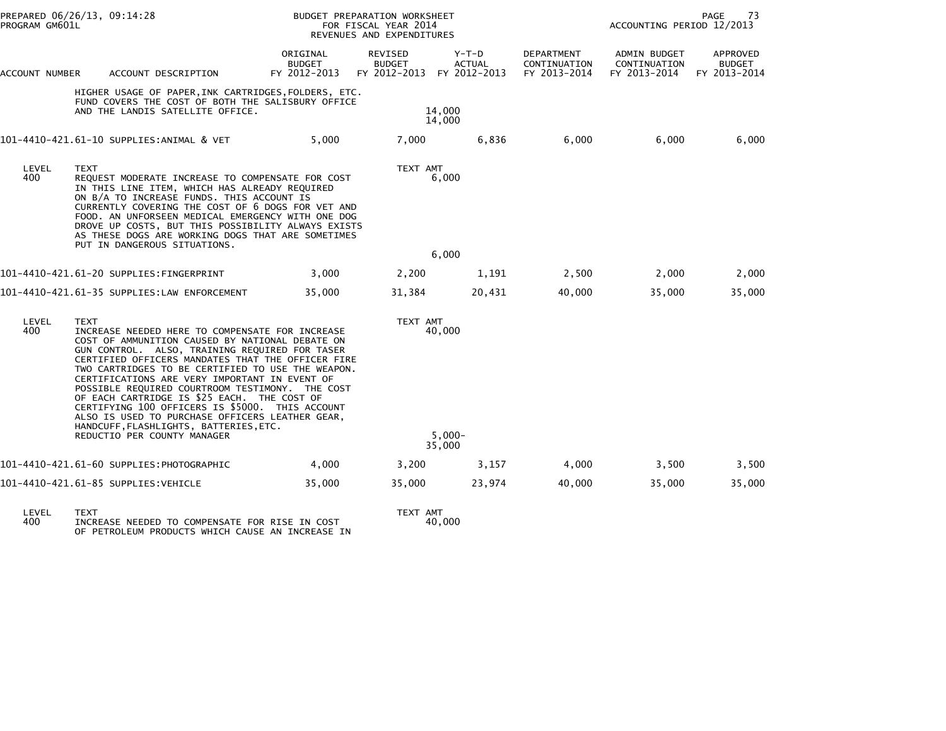|                | PREPARED 06/26/13, 09:14:28<br>PROGRAM GM601L                                                                                                                                                                                                                                                                                                                                                                                                                                                                                                                                                                   |                                           | <b>BUDGET PREPARATION WORKSHEET</b><br>FOR FISCAL YEAR 2014<br>REVENUES AND EXPENDITURES |                                        | PAGE<br>73<br>ACCOUNTING PERIOD 12/2013           |                                              |                                           |
|----------------|-----------------------------------------------------------------------------------------------------------------------------------------------------------------------------------------------------------------------------------------------------------------------------------------------------------------------------------------------------------------------------------------------------------------------------------------------------------------------------------------------------------------------------------------------------------------------------------------------------------------|-------------------------------------------|------------------------------------------------------------------------------------------|----------------------------------------|---------------------------------------------------|----------------------------------------------|-------------------------------------------|
| ACCOUNT NUMBER | ACCOUNT DESCRIPTION                                                                                                                                                                                                                                                                                                                                                                                                                                                                                                                                                                                             | ORIGINAL<br><b>BUDGET</b><br>FY 2012-2013 | <b>REVISED</b><br><b>BUDGET</b><br>FY 2012-2013                                          | Y-T-D<br><b>ACTUAL</b><br>FY 2012-2013 | <b>DEPARTMENT</b><br>CONTINUATION<br>FY 2013-2014 | ADMIN BUDGET<br>CONTINUATION<br>FY 2013-2014 | APPROVED<br><b>BUDGET</b><br>FY 2013-2014 |
|                | HIGHER USAGE OF PAPER,INK CARTRIDGES,FOLDERS, ETC.<br>FUND COVERS THE COST OF BOTH THE SALISBURY OFFICE<br>AND THE LANDIS SATELLITE OFFICE.                                                                                                                                                                                                                                                                                                                                                                                                                                                                     |                                           |                                                                                          | 14,000<br>14,000                       |                                                   |                                              |                                           |
|                | 101-4410-421.61-10 SUPPLIES:ANIMAL & VET                                                                                                                                                                                                                                                                                                                                                                                                                                                                                                                                                                        | 5,000                                     | 7,000                                                                                    | 6,836                                  | 6,000                                             | 6,000                                        | 6,000                                     |
| LEVEL<br>400   | <b>TEXT</b><br>REQUEST MODERATE INCREASE TO COMPENSATE FOR COST<br>IN THIS LINE ITEM, WHICH HAS ALREADY REQUIRED<br>ON B/A TO INCREASE FUNDS. THIS ACCOUNT IS<br>CURRENTLY COVERING THE COST OF 6 DOGS FOR VET AND<br>FOOD. AN UNFORSEEN MEDICAL EMERGENCY WITH ONE DOG<br>DROVE UP COSTS, BUT THIS POSSIBILITY ALWAYS EXISTS<br>AS THESE DOGS ARE WORKING DOGS THAT ARE SOMETIMES<br>PUT IN DANGEROUS SITUATIONS.                                                                                                                                                                                              |                                           | TEXT AMT                                                                                 | 6,000                                  |                                                   |                                              |                                           |
|                |                                                                                                                                                                                                                                                                                                                                                                                                                                                                                                                                                                                                                 |                                           |                                                                                          | 6,000                                  |                                                   |                                              |                                           |
|                |                                                                                                                                                                                                                                                                                                                                                                                                                                                                                                                                                                                                                 | 3,000                                     | 2,200                                                                                    | 1,191                                  | 2,500                                             | 2,000                                        | 2,000                                     |
|                | 101-4410-421.61-35 SUPPLIES:LAW ENFORCEMENT                                                                                                                                                                                                                                                                                                                                                                                                                                                                                                                                                                     | 35,000                                    | 31,384                                                                                   | 20,431                                 | 40,000                                            | 35,000                                       | 35,000                                    |
| LEVEL<br>400   | <b>TEXT</b><br>INCREASE NEEDED HERE TO COMPENSATE FOR INCREASE<br>COST OF AMMUNITION CAUSED BY NATIONAL DEBATE ON<br>GUN CONTROL. ALSO, TRAINING REQUIRED FOR TASER<br>CERTIFIED OFFICERS MANDATES THAT THE OFFICER FIRE<br>TWO CARTRIDGES TO BE CERTIFIED TO USE THE WEAPON.<br>CERTIFICATIONS ARE VERY IMPORTANT IN EVENT OF<br>POSSIBLE REQUIRED COURTROOM TESTIMONY. THE COST<br>OF EACH CARTRIDGE IS \$25 EACH. THE COST OF<br>CERTIFYING 100 OFFICERS IS \$5000. THIS ACCOUNT<br>ALSO IS USED TO PURCHASE OFFICERS LEATHER GEAR,<br>HANDCUFF, FLASHLIGHTS, BATTERIES, ETC.<br>REDUCTIO PER COUNTY MANAGER |                                           | TEXT AMT                                                                                 | 40,000<br>$5.000 -$<br>35,000          |                                                   |                                              |                                           |
|                | 101-4410-421.61-60 SUPPLIES:PHOTOGRAPHIC                                                                                                                                                                                                                                                                                                                                                                                                                                                                                                                                                                        | 4,000                                     | 3,200                                                                                    | 3,157                                  | 4,000                                             | 3,500                                        | 3,500                                     |
|                | 101-4410-421.61-85 SUPPLIES:VEHICLE                                                                                                                                                                                                                                                                                                                                                                                                                                                                                                                                                                             | 35,000                                    | 35,000                                                                                   | 23,974                                 | 40,000                                            | 35,000                                       | 35,000                                    |
|                |                                                                                                                                                                                                                                                                                                                                                                                                                                                                                                                                                                                                                 |                                           |                                                                                          |                                        |                                                   |                                              |                                           |

LEVEL TEXT TEXT AMT<br>400 INCREASE NEEDED TO COMPENSATE FOR RISE IN COST 40,000<br>OF PETROLEUM PRODUCTS WHICH CAUSE AN INCREASE IN

TEXT AMT<br>40,000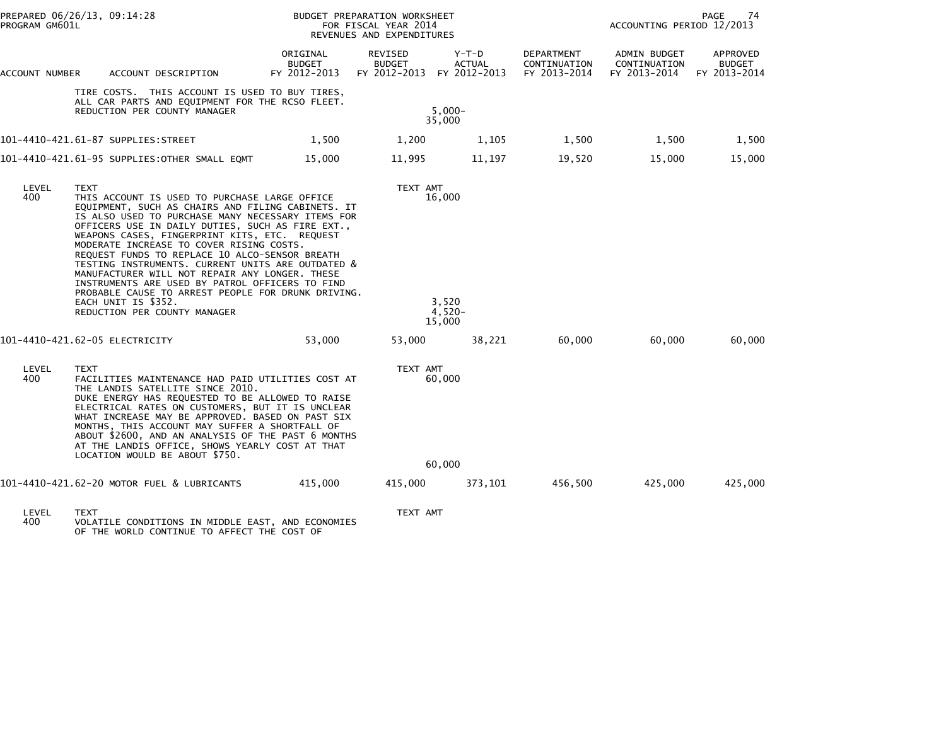|                                | PREPARED 06/26/13, 09:14:28<br>PROGRAM GM601L |                                                                                                                                                                                                                                                                                                                                                                                                                                                                                                                                                                                                            |                                           | BUDGET PREPARATION WORKSHEET<br>FOR FISCAL YEAR 2014<br>REVENUES AND EXPENDITURES | PAGE<br>74<br>ACCOUNTING PERIOD 12/2013  |                                            |                                              |                                    |
|--------------------------------|-----------------------------------------------|------------------------------------------------------------------------------------------------------------------------------------------------------------------------------------------------------------------------------------------------------------------------------------------------------------------------------------------------------------------------------------------------------------------------------------------------------------------------------------------------------------------------------------------------------------------------------------------------------------|-------------------------------------------|-----------------------------------------------------------------------------------|------------------------------------------|--------------------------------------------|----------------------------------------------|------------------------------------|
| ACCOUNT NUMBER                 |                                               | ACCOUNT DESCRIPTION                                                                                                                                                                                                                                                                                                                                                                                                                                                                                                                                                                                        | ORIGINAL<br><b>BUDGET</b><br>FY 2012-2013 | REVISED<br><b>BUDGET</b><br>FY 2012-2013                                          | $Y-T-D$<br><b>ACTUAL</b><br>FY 2012-2013 | DEPARTMENT<br>CONTINUATION<br>FY 2013-2014 | ADMIN BUDGET<br>CONTINUATION<br>FY 2013-2014 | APPROVED<br>BUDGET<br>FY 2013-2014 |
|                                |                                               | TIRE COSTS. THIS ACCOUNT IS USED TO BUY TIRES,<br>ALL CAR PARTS AND EQUIPMENT FOR THE RCSO FLEET.<br>REDUCTION PER COUNTY MANAGER                                                                                                                                                                                                                                                                                                                                                                                                                                                                          |                                           |                                                                                   | $5.000 -$<br>35,000                      |                                            |                                              |                                    |
|                                |                                               |                                                                                                                                                                                                                                                                                                                                                                                                                                                                                                                                                                                                            | 1,500                                     | 1,200                                                                             | 1,105                                    | 1,500                                      | 1,500                                        | 1,500                              |
|                                |                                               | 101–4410–421.61–95 SUPPLIES:OTHER SMALL EQMT                                                                                                                                                                                                                                                                                                                                                                                                                                                                                                                                                               | 15,000                                    | 11,995                                                                            | 11,197                                   | 19,520                                     | 15,000                                       | 15,000                             |
| LEVEL<br>400                   | <b>TEXT</b><br>EACH UNIT IS \$352.            | THIS ACCOUNT IS USED TO PURCHASE LARGE OFFICE<br>EQUIPMENT, SUCH AS CHAIRS AND FILING CABINETS. IT<br>IS ALSO USED TO PURCHASE MANY NECESSARY ITEMS FOR<br>OFFICERS USE IN DAILY DUTIES, SUCH AS FIRE EXT.,<br>WEAPONS CASES, FINGERPRINT KITS, ETC. REQUEST<br>MODERATE INCREASE TO COVER RISING COSTS.<br>REQUEST FUNDS TO REPLACE 10 ALCO-SENSOR BREATH<br>TESTING INSTRUMENTS. CURRENT UNITS ARE OUTDATED &<br>MANUFACTURER WILL NOT REPAIR ANY LONGER. THESE<br>INSTRUMENTS ARE USED BY PATROL OFFICERS TO FIND<br>PROBABLE CAUSE TO ARREST PEOPLE FOR DRUNK DRIVING.<br>REDUCTION PER COUNTY MANAGER |                                           | TEXT AMT                                                                          | 16,000<br>3,520<br>$4,520-$<br>15,000    |                                            |                                              |                                    |
| 101-4410-421.62-05 ELECTRICITY |                                               |                                                                                                                                                                                                                                                                                                                                                                                                                                                                                                                                                                                                            | 53,000                                    | 53,000                                                                            | 38,221                                   | 60,000                                     | 60,000                                       | 60,000                             |
| LEVEL<br>400                   | <b>TEXT</b>                                   | FACILITIES MAINTENANCE HAD PAID UTILITIES COST AT<br>THE LANDIS SATELLITE SINCE 2010.<br>DUKE ENERGY HAS REQUESTED TO BE ALLOWED TO RAISE<br>ELECTRICAL RATES ON CUSTOMERS, BUT IT IS UNCLEAR<br>WHAT INCREASE MAY BE APPROVED. BASED ON PAST SIX<br>MONTHS, THIS ACCOUNT MAY SUFFER A SHORTFALL OF<br>ABOUT \$2600, AND AN ANALYSIS OF THE PAST 6 MONTHS<br>AT THE LANDIS OFFICE, SHOWS YEARLY COST AT THAT<br>LOCATION WOULD BE ABOUT \$750.                                                                                                                                                             |                                           | TEXT AMT                                                                          | 60,000<br>60,000                         |                                            |                                              |                                    |
|                                |                                               | 101-4410-421.62-20 MOTOR FUEL & LUBRICANTS                                                                                                                                                                                                                                                                                                                                                                                                                                                                                                                                                                 | 415,000                                   | 415,000                                                                           | 373,101                                  | 456,500                                    | 425,000                                      | 425,000                            |
|                                |                                               |                                                                                                                                                                                                                                                                                                                                                                                                                                                                                                                                                                                                            |                                           |                                                                                   |                                          |                                            |                                              |                                    |
| LEVEL                          | <b>TEXT</b>                                   |                                                                                                                                                                                                                                                                                                                                                                                                                                                                                                                                                                                                            |                                           | TEXT AMT                                                                          |                                          |                                            |                                              |                                    |

LEVEL TEXT TEXT AMT 400 VOLATILE CONDITIONS IN MIDDLE EAST, AND ECONOMIES OF THE WORLD CONTINUE TO AFFECT THE COST OF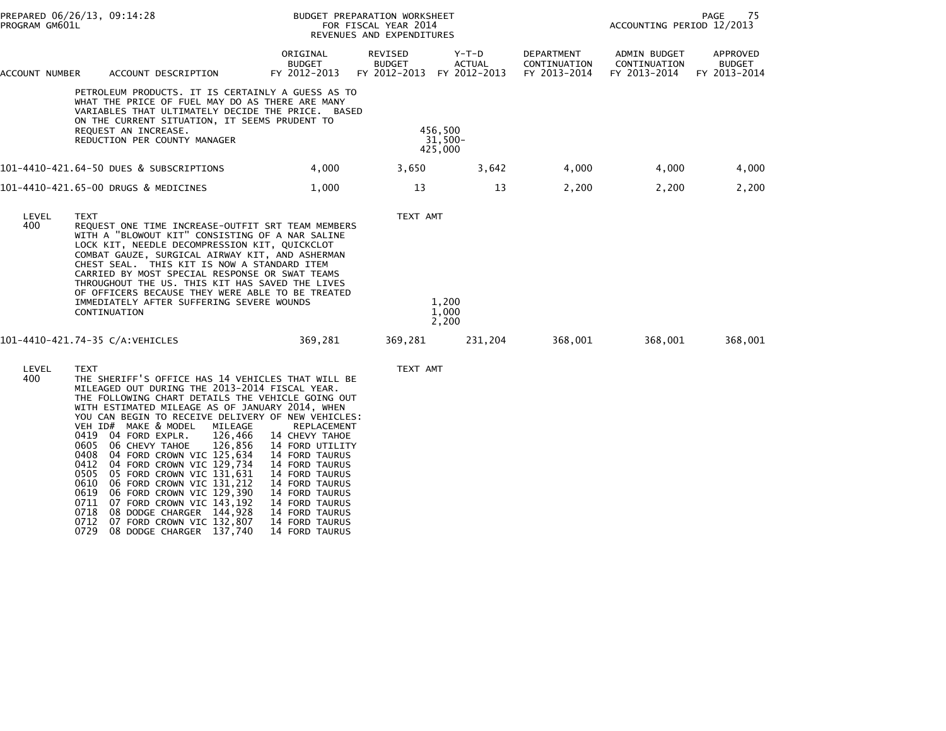| PREPARED 06/26/13, 09:14:28<br>PROGRAM GM601L |             |                                                                                                                                                                                                                                                                                                                                                                                                                                                                               | BUDGET PREPARATION WORKSHEET<br>FOR FISCAL YEAR 2014<br>REVENUES AND EXPENDITURES           |                                          |                                        | 75<br>PAGE<br>ACCOUNTING PERIOD 12/2013    |                                              |                                           |
|-----------------------------------------------|-------------|-------------------------------------------------------------------------------------------------------------------------------------------------------------------------------------------------------------------------------------------------------------------------------------------------------------------------------------------------------------------------------------------------------------------------------------------------------------------------------|---------------------------------------------------------------------------------------------|------------------------------------------|----------------------------------------|--------------------------------------------|----------------------------------------------|-------------------------------------------|
| ACCOUNT NUMBER                                |             | ACCOUNT DESCRIPTION                                                                                                                                                                                                                                                                                                                                                                                                                                                           | ORIGINAL<br><b>BUDGET</b><br>FY 2012-2013                                                   | REVISED<br><b>BUDGET</b><br>FY 2012-2013 | Y-T-D<br><b>ACTUAL</b><br>FY 2012-2013 | DEPARTMENT<br>CONTINUATION<br>FY 2013-2014 | ADMIN BUDGET<br>CONTINUATION<br>FY 2013-2014 | APPROVED<br><b>BUDGET</b><br>FY 2013-2014 |
|                                               |             | PETROLEUM PRODUCTS. IT IS CERTAINLY A GUESS AS TO<br>WHAT THE PRICE OF FUEL MAY DO AS THERE ARE MANY<br>VARIABLES THAT ULTIMATELY DECIDE THE PRICE. BASED<br>ON THE CURRENT SITUATION, IT SEEMS PRUDENT TO<br>REQUEST AN INCREASE.<br>REDUCTION PER COUNTY MANAGER                                                                                                                                                                                                            |                                                                                             |                                          | 456,500<br>31,500-<br>425,000          |                                            |                                              |                                           |
|                                               |             | 101-4410-421.64-50 DUES & SUBSCRIPTIONS                                                                                                                                                                                                                                                                                                                                                                                                                                       | 4,000                                                                                       | 3,650                                    | 3,642                                  | 4,000                                      | 4,000                                        | 4,000                                     |
|                                               |             | 101-4410-421.65-00 DRUGS & MEDICINES                                                                                                                                                                                                                                                                                                                                                                                                                                          | 1,000                                                                                       | 13                                       | 13                                     | 2,200                                      | 2,200                                        | 2,200                                     |
| LEVEL<br>400                                  | <b>TEXT</b> | REQUEST ONE TIME INCREASE-OUTFIT SRT TEAM MEMBERS<br>WITH A "BLOWOUT KIT" CONSISTING OF A NAR SALINE<br>LOCK KIT, NEEDLE DECOMPRESSION KIT, QUICKCLOT<br>COMBAT GAUZE, SURGICAL AIRWAY KIT, AND ASHERMAN<br>CHEST SEAL. THIS KIT IS NOW A STANDARD ITEM<br>CARRIED BY MOST SPECIAL RESPONSE OR SWAT TEAMS<br>THROUGHOUT THE US. THIS KIT HAS SAVED THE LIVES<br>OF OFFICERS BECAUSE THEY WERE ABLE TO BE TREATED<br>IMMEDIATELY AFTER SUFFERING SEVERE WOUNDS<br>CONTINUATION |                                                                                             | TEXT AMT                                 | 1.200<br>1,000<br>2,200                |                                            |                                              |                                           |
| 101-4410-421.74-35 C/A:VEHICLES               |             |                                                                                                                                                                                                                                                                                                                                                                                                                                                                               | 369,281                                                                                     | 369,281                                  | 231,204                                | 368,001                                    | 368,001                                      | 368,001                                   |
| LEVEL<br>400                                  | <b>TEXT</b> | THE SHERIFF'S OFFICE HAS 14 VEHICLES THAT WILL BE<br>MILEAGED OUT DURING THE 2013-2014 FISCAL YEAR.<br>THE FOLLOWING CHART DETAILS THE VEHICLE GOING OUT<br>WITH ESTIMATED MILEAGE AS OF JANUARY 2014, WHEN<br>YOU CAN BEGIN TO RECEIVE DELIVERY OF NEW VEHICLES:<br>VEH ID# MAKE & MODEL<br>MILEAGE<br>0419 04 FORD EXPLR.<br>126,466<br>0605 06 CHEVY TAHOE<br>126,856<br>0408 04 FORD CROWN VIC 125,634<br>0412 04 FORD CROWN VIC 129,734                                  | <b>REPLACEMENT</b><br>14 CHEVY TAHOE<br>14 FORD UTILITY<br>14 FORD TAURUS<br>14 FORD TAURUS | TEXT AMT                                 |                                        |                                            |                                              |                                           |

 0505 05 FORD CROWN VIC 131,631 14 FORD TAURUS 0610 06 FORD CROWN VIC 131,212 14 FORD TAURUS0619 06 FORD CROWN VIC 129,390 14 FORD TAURUS

- 0711 07 FORD CROWN VIC 143,192 14 FORD TAURUS 0718 08 DODGE CHARGER 144,928 14 FORD TAURUS0712 07 FORD CROWN VIC 132,807 14 FORD TAURUS
- 0729 08 DODGE CHARGER 137,740 14 FORD TAURUS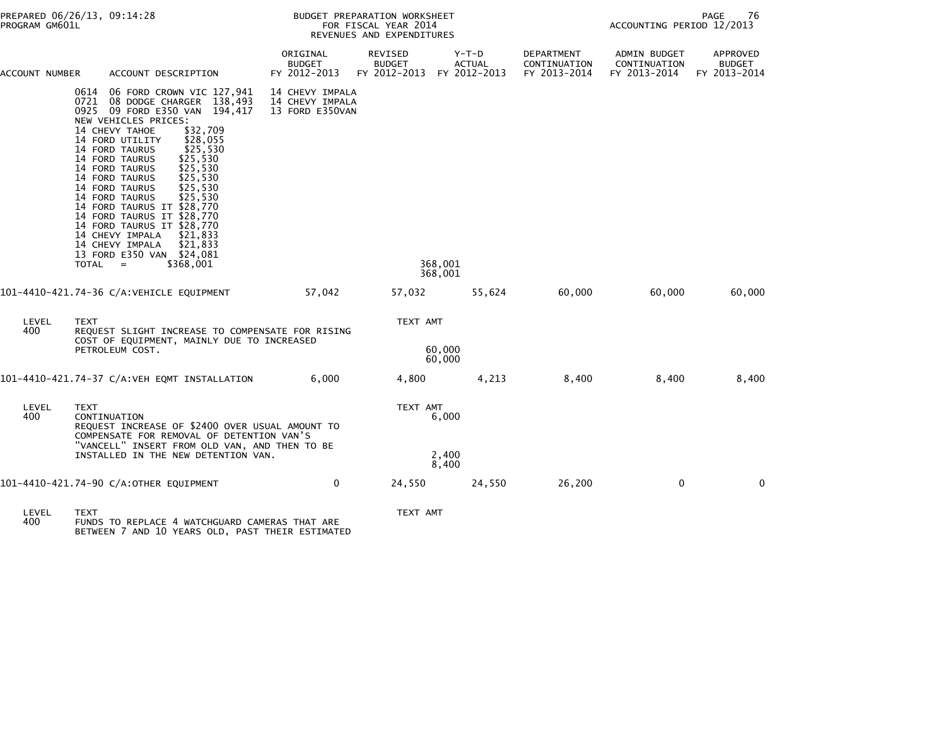| PREPARED 06/26/13, 09:14:28<br>PROGRAM GM601L                                                                                                                                                                                                                                                                                                                                                                                                          |                                                                                                                                               | BUDGET PREPARATION WORKSHEET<br>FOR FISCAL YEAR 2014<br>REVENUES AND EXPENDITURES |                                          |                                          |                                            |                                              | 76<br>PAGE<br>ACCOUNTING PERIOD 12/2013   |  |  |
|--------------------------------------------------------------------------------------------------------------------------------------------------------------------------------------------------------------------------------------------------------------------------------------------------------------------------------------------------------------------------------------------------------------------------------------------------------|-----------------------------------------------------------------------------------------------------------------------------------------------|-----------------------------------------------------------------------------------|------------------------------------------|------------------------------------------|--------------------------------------------|----------------------------------------------|-------------------------------------------|--|--|
| ACCOUNT DESCRIPTION<br>ACCOUNT NUMBER                                                                                                                                                                                                                                                                                                                                                                                                                  |                                                                                                                                               | ORIGINAL<br><b>BUDGET</b><br>FY 2012-2013                                         | REVISED<br><b>BUDGET</b><br>FY 2012-2013 | $Y-T-D$<br><b>ACTUAL</b><br>FY 2012-2013 | DEPARTMENT<br>CONTINUATION<br>FY 2013-2014 | ADMIN BUDGET<br>CONTINUATION<br>FY 2013-2014 | APPROVED<br><b>BUDGET</b><br>FY 2013-2014 |  |  |
| 0614 06 FORD CROWN VIC 127,941<br>0721 08 DODGE CHARGER 138,493<br>0925 09 FORD E350 VAN 194,417<br>NEW VEHICLES PRICES:<br>14 CHEVY TAHOE<br>14 FORD UTILITY<br>14 FORD TAURUS<br>14 FORD TAURUS<br>14 FORD TAURUS<br>14 FORD TAURUS<br>14 FORD TAURUS<br>14 FORD TAURUS<br>14 FORD TAURUS IT \$28,770<br>14 FORD TAURUS IT \$28,770<br>14 FORD TAURUS IT \$28,770<br>14 CHEVY IMPALA<br>14 CHEVY IMPALA<br>13 FORD E350 VAN \$24,081<br>TOTAL<br>$=$ | \$32,709<br>\$28,055<br>\$25.530<br>\$25,530<br>\$25.530<br>\$25,530<br>\$25,530<br>\$25,530<br>\$21,833<br>\$21,833<br>\$368,001             | 14 CHEVY IMPALA<br>14 CHEVY IMPALA<br>13 FORD E350VAN                             |                                          | 368.001                                  |                                            |                                              |                                           |  |  |
| 101-4410-421.74-36 C/A:VEHICLE EQUIPMENT                                                                                                                                                                                                                                                                                                                                                                                                               |                                                                                                                                               | 57,042                                                                            | 57,032                                   | 368,001<br>55,624                        | 60,000                                     | 60,000                                       | 60,000                                    |  |  |
| LEVEL<br><b>TEXT</b><br>400<br>PETROLEUM COST.                                                                                                                                                                                                                                                                                                                                                                                                         | REQUEST SLIGHT INCREASE TO COMPENSATE FOR RISING<br>COST OF EQUIPMENT, MAINLY DUE TO INCREASED                                                |                                                                                   | TEXT AMT                                 | 60,000<br>60,000                         |                                            |                                              |                                           |  |  |
| 101-4410-421.74-37 C/A:VEH EQMT INSTALLATION                                                                                                                                                                                                                                                                                                                                                                                                           |                                                                                                                                               | 6,000                                                                             | 4,800                                    | 4,213                                    | 8,400                                      | 8,400                                        | 8,400                                     |  |  |
| LEVEL<br><b>TEXT</b><br>400<br>CONTINUATION<br>INSTALLED IN THE NEW DETENTION VAN.                                                                                                                                                                                                                                                                                                                                                                     | REQUEST INCREASE OF \$2400 OVER USUAL AMOUNT TO<br>COMPENSATE FOR REMOVAL OF DETENTION VAN'S<br>"VANCELL" INSERT FROM OLD VAN, AND THEN TO BE |                                                                                   | TEXT AMT                                 | 6,000<br>2,400                           |                                            |                                              |                                           |  |  |
| 101-4410-421.74-90 C/A:OTHER EQUIPMENT                                                                                                                                                                                                                                                                                                                                                                                                                 |                                                                                                                                               | 0                                                                                 | 24,550                                   | 8,400<br>24,550                          | 26,200                                     | 0                                            | $\mathbf 0$                               |  |  |
| LEVEL<br>TEXT<br>$\Delta$                                                                                                                                                                                                                                                                                                                                                                                                                              | FUNDS TO REDUACE A WATCHCHARD CAMERAS THAT ARE                                                                                                |                                                                                   | TEXT AMT                                 |                                          |                                            |                                              |                                           |  |  |

400 FUNDS TO REPLACE 4 WATCHGUARD CAMERAS THAT ARE BETWEEN 7 AND 10 YEARS OLD, PAST THEIR ESTIMATED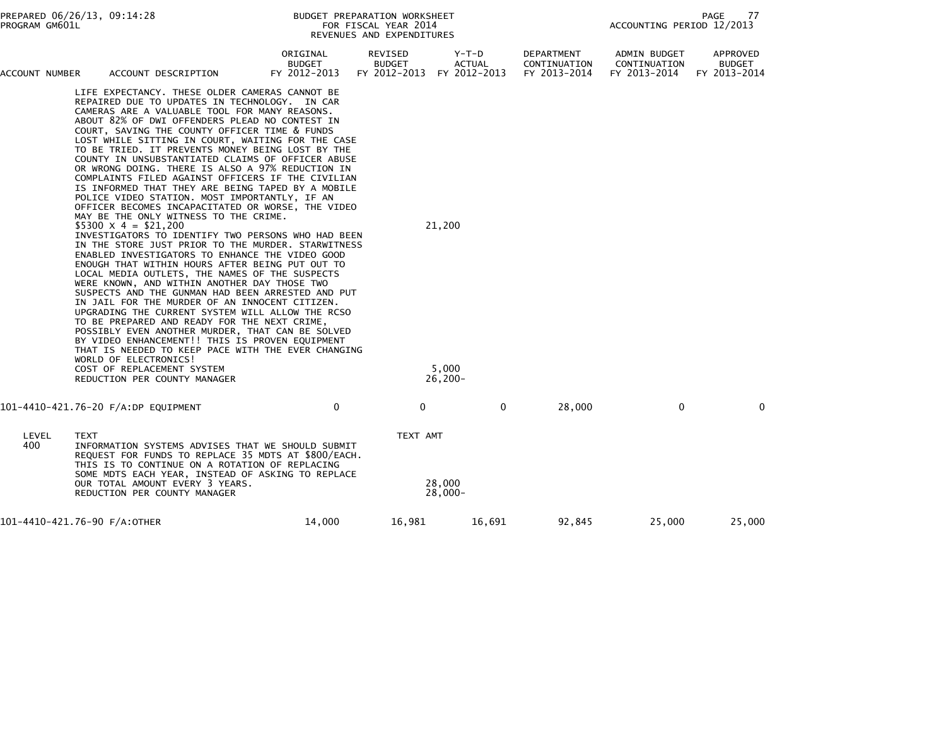| PREPARED 06/26/13, 09:14:28<br>PROGRAM GM601L |             |                                                                                                                                                                                                                                                                                                                                                                                                                                                                                                                                                                                                                                                                                                                                                                                                                                                                                                                                                                                                                                                                                                                                                                                                                                                                                                                                                                                                                                                                                                                                                 |                                           | BUDGET PREPARATION WORKSHEET<br>FOR FISCAL YEAR 2014<br>REVENUES AND EXPENDITURES | 77<br>PAGE<br>ACCOUNTING PERIOD 12/2013 |                                            |                                              |                                           |
|-----------------------------------------------|-------------|-------------------------------------------------------------------------------------------------------------------------------------------------------------------------------------------------------------------------------------------------------------------------------------------------------------------------------------------------------------------------------------------------------------------------------------------------------------------------------------------------------------------------------------------------------------------------------------------------------------------------------------------------------------------------------------------------------------------------------------------------------------------------------------------------------------------------------------------------------------------------------------------------------------------------------------------------------------------------------------------------------------------------------------------------------------------------------------------------------------------------------------------------------------------------------------------------------------------------------------------------------------------------------------------------------------------------------------------------------------------------------------------------------------------------------------------------------------------------------------------------------------------------------------------------|-------------------------------------------|-----------------------------------------------------------------------------------|-----------------------------------------|--------------------------------------------|----------------------------------------------|-------------------------------------------|
| ACCOUNT NUMBER                                |             | ACCOUNT DESCRIPTION                                                                                                                                                                                                                                                                                                                                                                                                                                                                                                                                                                                                                                                                                                                                                                                                                                                                                                                                                                                                                                                                                                                                                                                                                                                                                                                                                                                                                                                                                                                             | ORIGINAL<br><b>BUDGET</b><br>FY 2012-2013 | REVISED<br><b>BUDGET</b><br>FY 2012-2013                                          | Y-T-D<br><b>ACTUAL</b><br>FY 2012-2013  | DEPARTMENT<br>CONTINUATION<br>FY 2013-2014 | ADMIN BUDGET<br>CONTINUATION<br>FY 2013-2014 | APPROVED<br><b>BUDGET</b><br>FY 2013-2014 |
|                                               |             | LIFE EXPECTANCY. THESE OLDER CAMERAS CANNOT BE<br>REPAIRED DUE TO UPDATES IN TECHNOLOGY. IN CAR<br>CAMERAS ARE A VALUABLE TOOL FOR MANY REASONS.<br>ABOUT 82% OF DWI OFFENDERS PLEAD NO CONTEST IN<br>COURT, SAVING THE COUNTY OFFICER TIME & FUNDS<br>LOST WHILE SITTING IN COURT, WAITING FOR THE CASE<br>TO BE TRIED. IT PREVENTS MONEY BEING LOST BY THE<br>COUNTY IN UNSUBSTANTIATED CLAIMS OF OFFICER ABUSE<br>OR WRONG DOING. THERE IS ALSO A 97% REDUCTION IN<br>COMPLAINTS FILED AGAINST OFFICERS IF THE CIVILIAN<br>IS INFORMED THAT THEY ARE BEING TAPED BY A MOBILE<br>POLICE VIDEO STATION. MOST IMPORTANTLY, IF AN<br>OFFICER BECOMES INCAPACITATED OR WORSE, THE VIDEO<br>MAY BE THE ONLY WITNESS TO THE CRIME.<br>$$5300 \times 4 = $21,200$<br>INVESTIGATORS TO IDENTIFY TWO PERSONS WHO HAD BEEN<br>IN THE STORE JUST PRIOR TO THE MURDER. STARWITNESS<br>ENABLED INVESTIGATORS TO ENHANCE THE VIDEO GOOD<br>ENOUGH THAT WITHIN HOURS AFTER BEING PUT OUT TO<br>LOCAL MEDIA OUTLETS, THE NAMES OF THE SUSPECTS<br>WERE KNOWN, AND WITHIN ANOTHER DAY THOSE TWO<br>SUSPECTS AND THE GUNMAN HAD BEEN ARRESTED AND PUT<br>IN JAIL FOR THE MURDER OF AN INNOCENT CITIZEN.<br>UPGRADING THE CURRENT SYSTEM WILL ALLOW THE RCSO<br>TO BE PREPARED AND READY FOR THE NEXT CRIME,<br>POSSIBLY EVEN ANOTHER MURDER, THAT CAN BE SOLVED<br>BY VIDEO ENHANCEMENT!! THIS IS PROVEN EQUIPMENT<br>THAT IS NEEDED TO KEEP PACE WITH THE EVER CHANGING<br>WORLD OF ELECTRONICS!<br>COST OF REPLACEMENT SYSTEM<br>REDUCTION PER COUNTY MANAGER |                                           |                                                                                   | 21,200<br>5.000<br>26,200-              |                                            |                                              |                                           |
|                                               |             | 101-4410-421.76-20 F/A:DP EQUIPMENT                                                                                                                                                                                                                                                                                                                                                                                                                                                                                                                                                                                                                                                                                                                                                                                                                                                                                                                                                                                                                                                                                                                                                                                                                                                                                                                                                                                                                                                                                                             | 0                                         | 0                                                                                 | $\mathbf 0$                             | 28,000                                     | 0                                            | 0                                         |
| LEVEL<br>400                                  | <b>TEXT</b> | INFORMATION SYSTEMS ADVISES THAT WE SHOULD SUBMIT<br>REQUEST FOR FUNDS TO REPLACE 35 MDTS AT \$800/EACH.<br>THIS IS TO CONTINUE ON A ROTATION OF REPLACING<br>SOME MDTS EACH YEAR, INSTEAD OF ASKING TO REPLACE<br>OUR TOTAL AMOUNT EVERY 3 YEARS.<br>REDUCTION PER COUNTY MANAGER                                                                                                                                                                                                                                                                                                                                                                                                                                                                                                                                                                                                                                                                                                                                                                                                                                                                                                                                                                                                                                                                                                                                                                                                                                                              |                                           | TEXT AMT                                                                          | 28,000<br>$28,000 -$                    |                                            |                                              |                                           |
| 101-4410-421.76-90 F/A:OTHER                  |             |                                                                                                                                                                                                                                                                                                                                                                                                                                                                                                                                                                                                                                                                                                                                                                                                                                                                                                                                                                                                                                                                                                                                                                                                                                                                                                                                                                                                                                                                                                                                                 | 14,000                                    | 16,981                                                                            | 16,691                                  | 92,845                                     | 25,000                                       | 25,000                                    |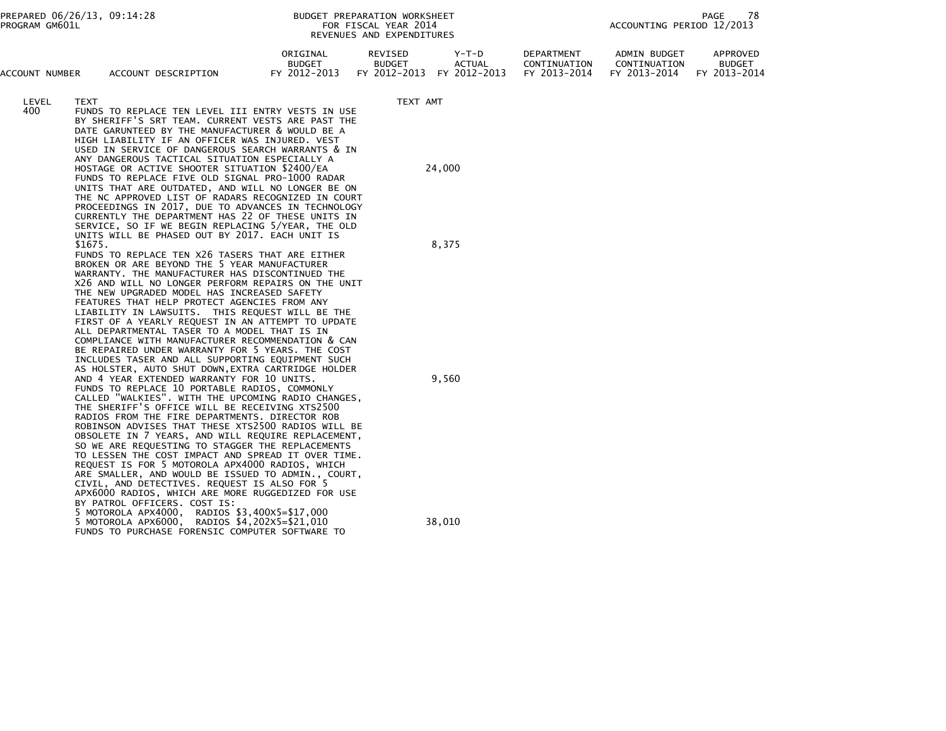|                |                                                                                                                                                                                                                                                                                                                                                                                                                                                                                                                                                                                                                                                                                                                                                                                                                                                                                                                                                                                                                                                                                                                                                                                                                                                                                                                                                                                                                                                                   |                                           | KEVENOLS AND LATENDITURES                |                                        |                                            |                                              |                                           |
|----------------|-------------------------------------------------------------------------------------------------------------------------------------------------------------------------------------------------------------------------------------------------------------------------------------------------------------------------------------------------------------------------------------------------------------------------------------------------------------------------------------------------------------------------------------------------------------------------------------------------------------------------------------------------------------------------------------------------------------------------------------------------------------------------------------------------------------------------------------------------------------------------------------------------------------------------------------------------------------------------------------------------------------------------------------------------------------------------------------------------------------------------------------------------------------------------------------------------------------------------------------------------------------------------------------------------------------------------------------------------------------------------------------------------------------------------------------------------------------------|-------------------------------------------|------------------------------------------|----------------------------------------|--------------------------------------------|----------------------------------------------|-------------------------------------------|
| ACCOUNT NUMBER | ACCOUNT DESCRIPTION                                                                                                                                                                                                                                                                                                                                                                                                                                                                                                                                                                                                                                                                                                                                                                                                                                                                                                                                                                                                                                                                                                                                                                                                                                                                                                                                                                                                                                               | ORIGINAL<br><b>BUDGET</b><br>FY 2012-2013 | REVISED<br><b>BUDGET</b><br>FY 2012-2013 | Y-T-D<br><b>ACTUAL</b><br>FY 2012-2013 | DEPARTMENT<br>CONTINUATION<br>FY 2013-2014 | ADMIN BUDGET<br>CONTINUATION<br>FY 2013-2014 | APPROVED<br><b>BUDGET</b><br>FY 2013-2014 |
| LEVEL<br>400   | TEXT<br>FUNDS TO REPLACE TEN LEVEL III ENTRY VESTS IN USE<br>BY SHERIFF'S SRT TEAM. CURRENT VESTS ARE PAST THE<br>DATE GARUNTEED BY THE MANUFACTURER & WOULD BE A<br>HIGH LIABILITY IF AN OFFICER WAS INJURED. VEST<br>USED IN SERVICE OF DANGEROUS SEARCH WARRANTS & IN<br>ANY DANGEROUS TACTICAL SITUATION ESPECIALLY A                                                                                                                                                                                                                                                                                                                                                                                                                                                                                                                                                                                                                                                                                                                                                                                                                                                                                                                                                                                                                                                                                                                                         |                                           | TEXT AMT                                 |                                        |                                            |                                              |                                           |
|                | HOSTAGE OR ACTIVE SHOOTER SITUATION \$2400/EA<br>FUNDS TO REPLACE FIVE OLD SIGNAL PRO-1000 RADAR<br>UNITS THAT ARE OUTDATED, AND WILL NO LONGER BE ON<br>THE NC APPROVED LIST OF RADARS RECOGNIZED IN COURT<br>PROCEEDINGS IN 2017, DUE TO ADVANCES IN TECHNOLOGY<br>CURRENTLY THE DEPARTMENT HAS 22 OF THESE UNITS IN<br>SERVICE, SO IF WE BEGIN REPLACING 5/YEAR, THE OLD                                                                                                                                                                                                                                                                                                                                                                                                                                                                                                                                                                                                                                                                                                                                                                                                                                                                                                                                                                                                                                                                                       |                                           | 24,000                                   |                                        |                                            |                                              |                                           |
|                | \$1675.                                                                                                                                                                                                                                                                                                                                                                                                                                                                                                                                                                                                                                                                                                                                                                                                                                                                                                                                                                                                                                                                                                                                                                                                                                                                                                                                                                                                                                                           |                                           |                                          | 8,375                                  |                                            |                                              |                                           |
|                | UNITS WILL BE PHASED OUT BY 2017. EACH UNIT IS<br>FUNDS TO REPLACE TEN X26 TASERS THAT ARE EITHER<br>BROKEN OR ARE BEYOND THE 5 YEAR MANUFACTURER<br>WARRANTY. THE MANUFACTURER HAS DISCONTINUED THE<br>X26 AND WILL NO LONGER PERFORM REPAIRS ON THE UNIT<br>THE NEW UPGRADED MODEL HAS INCREASED SAFETY<br>FEATURES THAT HELP PROTECT AGENCIES FROM ANY<br>LIABILITY IN LAWSUITS. THIS REQUEST WILL BE THE<br>FIRST OF A YEARLY REQUEST IN AN ATTEMPT TO UPDATE<br>ALL DEPARTMENTAL TASER TO A MODEL THAT IS IN<br>COMPLIANCE WITH MANUFACTURER RECOMMENDATION & CAN<br>BE REPAIRED UNDER WARRANTY FOR 5 YEARS. THE COST<br>INCLUDES TASER AND ALL SUPPORTING EQUIPMENT SUCH<br>AS HOLSTER, AUTO SHUT DOWN, EXTRA CARTRIDGE HOLDER<br>AND 4 YEAR EXTENDED WARRANTY FOR 10 UNITS.<br>FUNDS TO REPLACE 10 PORTABLE RADIOS, COMMONLY<br>CALLED "WALKIES". WITH THE UPCOMING RADIO CHANGES,<br>THE SHERIFF'S OFFICE WILL BE RECEIVING XTS2500<br>RADIOS FROM THE FIRE DEPARTMENTS. DIRECTOR ROB<br>ROBINSON ADVISES THAT THESE XTS2500 RADIOS WILL BE<br>OBSOLETE IN 7 YEARS, AND WILL REQUIRE REPLACEMENT,<br>SO WE ARE REQUESTING TO STAGGER THE REPLACEMENTS<br>TO LESSEN THE COST IMPACT AND SPREAD IT OVER TIME.<br>REQUEST IS FOR 5 MOTOROLA APX4000 RADIOS, WHICH<br>ARE SMALLER, AND WOULD BE ISSUED TO ADMIN., COURT,<br>CIVIL, AND DETECTIVES. REQUEST IS ALSO FOR 5<br>APX6000 RADIOS, WHICH ARE MORE RUGGEDIZED FOR USE<br>BY PATROL OFFICERS. COST IS: |                                           | 9,560                                    |                                        |                                            |                                              |                                           |
|                | 5 MOTOROLA APX4000, RADIOS \$3,400X5=\$17,000<br>5 MOTOROLA APX6000, RADIOS \$4,202X5=\$21,010<br>FUNDS TO PURCHASE FORENSIC COMPUTER SOFTWARE TO                                                                                                                                                                                                                                                                                                                                                                                                                                                                                                                                                                                                                                                                                                                                                                                                                                                                                                                                                                                                                                                                                                                                                                                                                                                                                                                 |                                           |                                          | 38,010                                 |                                            |                                              |                                           |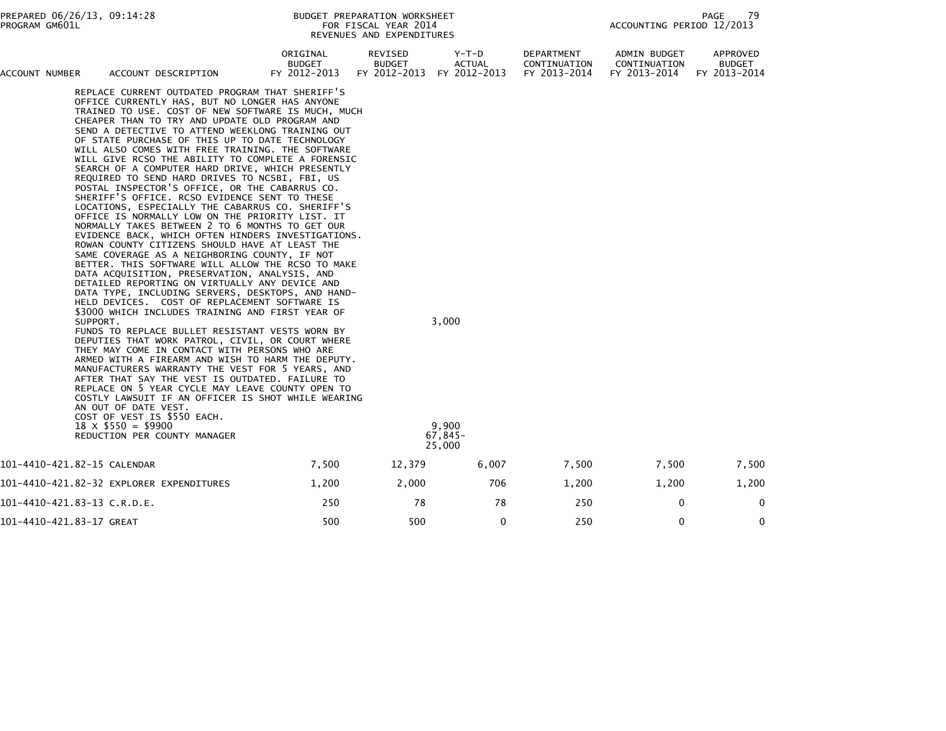| ACCOUNT NUMBER           | ACCOUNT DESCRIPTION                                                                                                                                                                                                                                                                                                                                                                                                                                                                                                                                                                                                                                                                                                                                                                                                                                                                                                                                                                                                                                                                                                                                                                                                                                                                                                                                                                                                                                                                                                                                                                                                                                                                                                                                                                                                                    | ORIGINAL<br><b>BUDGET</b><br>FY 2012-2013 | REVISED<br><b>BUDGET</b><br>FY 2012-2013 | $Y-T-D$<br>ACTUAL<br>FY 2012-2013     | <b>DEPARTMENT</b><br>CONTINUATION<br>FY 2013-2014 | ADMIN BUDGET<br>CONTINUATION<br>FY 2013-2014 | APPROVED<br><b>BUDGET</b><br>FY 2013-2014 |
|--------------------------|----------------------------------------------------------------------------------------------------------------------------------------------------------------------------------------------------------------------------------------------------------------------------------------------------------------------------------------------------------------------------------------------------------------------------------------------------------------------------------------------------------------------------------------------------------------------------------------------------------------------------------------------------------------------------------------------------------------------------------------------------------------------------------------------------------------------------------------------------------------------------------------------------------------------------------------------------------------------------------------------------------------------------------------------------------------------------------------------------------------------------------------------------------------------------------------------------------------------------------------------------------------------------------------------------------------------------------------------------------------------------------------------------------------------------------------------------------------------------------------------------------------------------------------------------------------------------------------------------------------------------------------------------------------------------------------------------------------------------------------------------------------------------------------------------------------------------------------|-------------------------------------------|------------------------------------------|---------------------------------------|---------------------------------------------------|----------------------------------------------|-------------------------------------------|
|                          | REPLACE CURRENT OUTDATED PROGRAM THAT SHERIFF'S<br>OFFICE CURRENTLY HAS, BUT NO LONGER HAS ANYONE<br>TRAINED TO USE. COST OF NEW SOFTWARE IS MUCH, MUCH<br>CHEAPER THAN TO TRY AND UPDATE OLD PROGRAM AND<br>SEND A DETECTIVE TO ATTEND WEEKLONG TRAINING OUT<br>OF STATE PURCHASE OF THIS UP TO DATE TECHNOLOGY<br>WILL ALSO COMES WITH FREE TRAINING. THE SOFTWARE<br>WILL GIVE RCSO THE ABILITY TO COMPLETE A FORENSIC<br>SEARCH OF A COMPUTER HARD DRIVE, WHICH PRESENTLY<br>REQUIRED TO SEND HARD DRIVES TO NCSBI, FBI, US<br>POSTAL INSPECTOR'S OFFICE, OR THE CABARRUS CO.<br>SHERIFF'S OFFICE. RCSO EVIDENCE SENT TO THESE<br>LOCATIONS, ESPECIALLY THE CABARRUS CO. SHERIFF'S<br>OFFICE IS NORMALLY LOW ON THE PRIORITY LIST. IT<br>NORMALLY TAKES BETWEEN 2 TO 6 MONTHS TO GET OUR<br>EVIDENCE BACK, WHICH OFTEN HINDERS INVESTIGATIONS.<br>ROWAN COUNTY CITIZENS SHOULD HAVE AT LEAST THE<br>SAME COVERAGE AS A NEIGHBORING COUNTY, IF NOT<br>BETTER. THIS SOFTWARE WILL ALLOW THE RCSO TO MAKE<br>DATA ACQUISITION, PRESERVATION, ANALYSIS, AND<br>DETAILED REPORTING ON VIRTUALLY ANY DEVICE AND<br>DATA TYPE, INCLUDING SERVERS, DESKTOPS, AND HAND-<br>HELD DEVICES. COST OF REPLACEMENT SOFTWARE IS<br>\$3000 WHICH INCLUDES TRAINING AND FIRST YEAR OF<br>SUPPORT.<br>FUNDS TO REPLACE BULLET RESISTANT VESTS WORN BY<br>DEPUTIES THAT WORK PATROL, CIVIL, OR COURT WHERE<br>THEY MAY COME IN CONTACT WITH PERSONS WHO ARE<br>ARMED WITH A FIREARM AND WISH TO HARM THE DEPUTY.<br>MANUFACTURERS WARRANTY THE VEST FOR 5 YEARS, AND<br>AFTER THAT SAY THE VEST IS OUTDATED. FAILURE TO<br>REPLACE ON 5 YEAR CYCLE MAY LEAVE COUNTY OPEN TO<br>COSTLY LAWSUIT IF AN OFFICER IS SHOT WHILE WEARING<br>AN OUT OF DATE VEST.<br>COST OF VEST IS \$550 EACH.<br>$18 \times$ \$550 = \$9900<br>REDUCTION PER COUNTY MANAGER |                                           |                                          | 3,000<br>9.900<br>$67,845-$<br>25,000 |                                                   |                                              |                                           |
|                          | 101-4410-421.82-15 CALENDAR                                                                                                                                                                                                                                                                                                                                                                                                                                                                                                                                                                                                                                                                                                                                                                                                                                                                                                                                                                                                                                                                                                                                                                                                                                                                                                                                                                                                                                                                                                                                                                                                                                                                                                                                                                                                            | 7,500                                     | 12,379                                   | 6,007                                 | 7,500                                             | 7,500                                        | 7,500                                     |
|                          | 101-4410-421.82-32 EXPLORER EXPENDITURES                                                                                                                                                                                                                                                                                                                                                                                                                                                                                                                                                                                                                                                                                                                                                                                                                                                                                                                                                                                                                                                                                                                                                                                                                                                                                                                                                                                                                                                                                                                                                                                                                                                                                                                                                                                               | 1,200                                     | 2,000                                    | 706                                   | 1,200                                             | 1,200                                        | 1,200                                     |
|                          | 101-4410-421.83-13 C.R.D.E.                                                                                                                                                                                                                                                                                                                                                                                                                                                                                                                                                                                                                                                                                                                                                                                                                                                                                                                                                                                                                                                                                                                                                                                                                                                                                                                                                                                                                                                                                                                                                                                                                                                                                                                                                                                                            | 250                                       | 78                                       | 78                                    | 250                                               | 0                                            | $\mathbf{0}$                              |
| 101-4410-421.83-17 GREAT |                                                                                                                                                                                                                                                                                                                                                                                                                                                                                                                                                                                                                                                                                                                                                                                                                                                                                                                                                                                                                                                                                                                                                                                                                                                                                                                                                                                                                                                                                                                                                                                                                                                                                                                                                                                                                                        | 500                                       | 500                                      | 0                                     | 250                                               | $\mathbf{0}$                                 | $\mathbf 0$                               |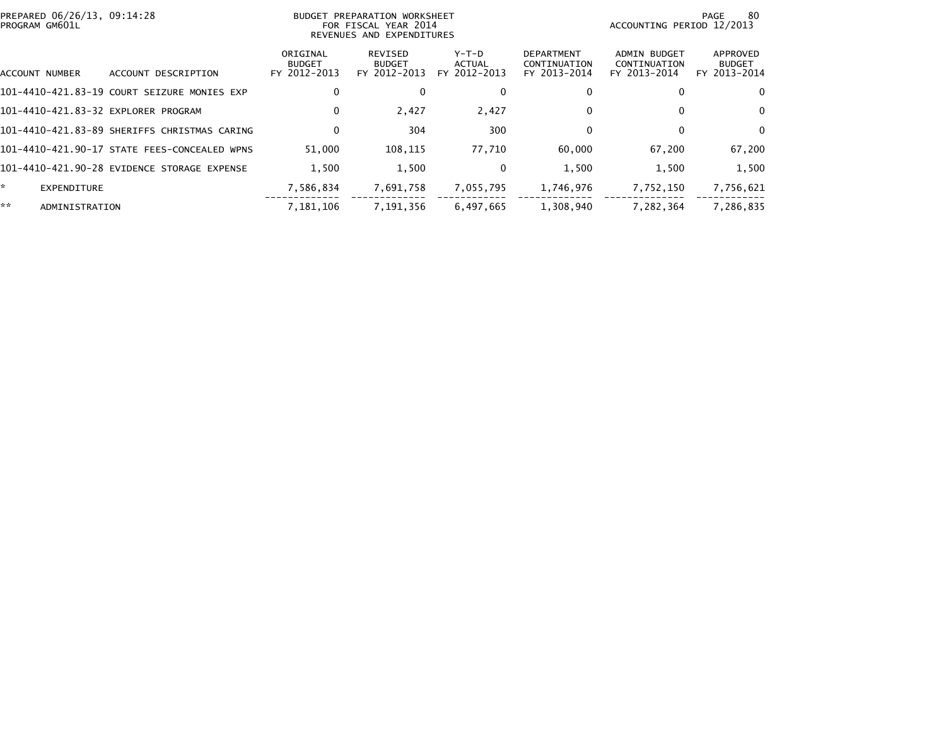| PREPARED 06/26/13, 09:14:28<br>PROGRAM GM601L |                                              |                                           | BUDGET PREPARATION WORKSHEET<br>FOR FISCAL YEAR 2014<br>REVENUES AND EXPENDITURES | -80<br>PAGE<br>ACCOUNTING PERIOD 12/2013 |                                                   |                                                     |                                           |
|-----------------------------------------------|----------------------------------------------|-------------------------------------------|-----------------------------------------------------------------------------------|------------------------------------------|---------------------------------------------------|-----------------------------------------------------|-------------------------------------------|
| ACCOUNT NUMBER                                | DESCRIPTION<br><b>ACCOUNT</b>                | ORIGINAL<br><b>BUDGET</b><br>FY 2012-2013 | REVISED<br><b>BUDGET</b><br>FY 2012-2013                                          | Y-T-D<br>ACTUAL<br>FY 2012-2013          | <b>DEPARTMENT</b><br>CONTINUATION<br>FY 2013-2014 | <b>ADMIN BUDGET</b><br>CONTINUATION<br>FY 2013-2014 | APPROVED<br><b>BUDGET</b><br>FY 2013-2014 |
|                                               | 101-4410-421.83-19 COURT SEIZURE MONIES EXP  | 0                                         |                                                                                   | 0                                        |                                                   |                                                     | $\mathbf{0}$                              |
| 101-4410-421.83-32 EXPLORER PROGRAM           |                                              | 0                                         | 2,427                                                                             | 2,427                                    | 0                                                 | 0                                                   | $\Omega$                                  |
|                                               | 101-4410-421.83-89 SHERIFFS CHRISTMAS CARING | 0                                         | 304                                                                               | 300                                      | 0                                                 | 0                                                   | $\Omega$                                  |
|                                               | 101-4410-421.90-17 STATE FEES-CONCEALED WPNS | 51.000                                    | 108,115                                                                           | 77,710                                   | 60,000                                            | 67,200                                              | 67,200                                    |
|                                               | 101-4410-421.90-28 EVIDENCE STORAGE EXPENSE  | 1,500                                     | 1,500                                                                             | 0                                        | 1,500                                             | 1,500                                               | 1,500                                     |
| ×.<br>EXPENDITURE                             |                                              | 7,586,834                                 | 7,691,758                                                                         | 7,055,795                                | 1,746,976                                         | 7,752,150                                           | 7,756,621                                 |
| **<br>ADMINISTRATION                          |                                              | 7,181,106                                 | 7,191,356                                                                         | 6,497,665                                | 1,308,940                                         | 7,282,364                                           | 7,286,835                                 |
|                                               |                                              |                                           |                                                                                   |                                          |                                                   |                                                     |                                           |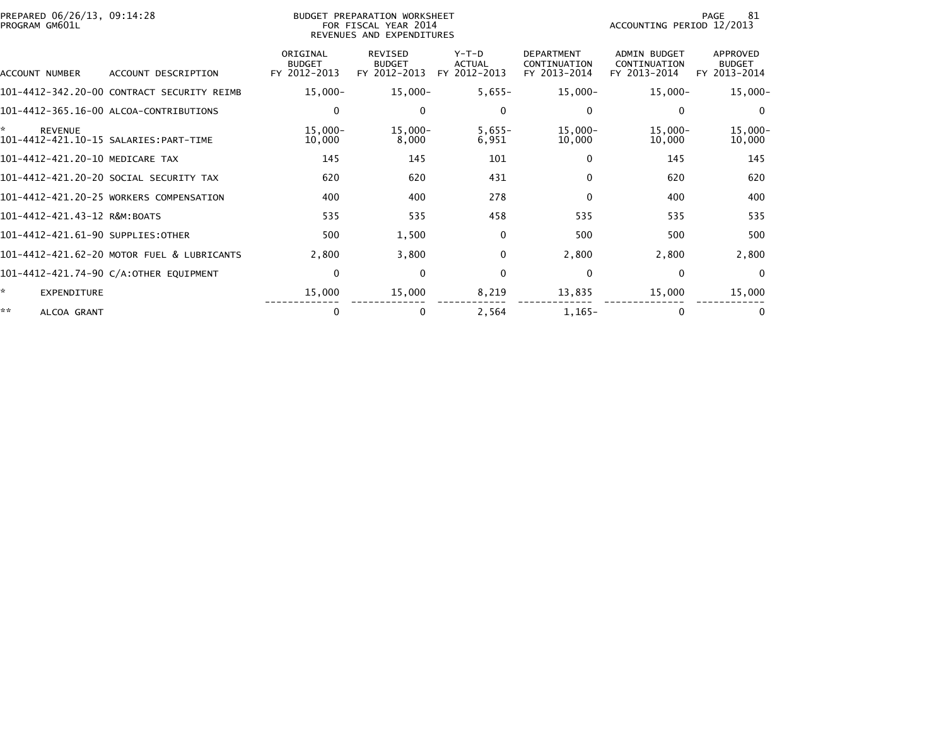| PREPARED 06/26/13, 09:14:28<br>PROGRAM GM601L |                                            | BUDGET PREPARATION WORKSHEET<br>FOR FISCAL YEAR 2014<br>REVENUES AND EXPENDITURES |                                                 |                                          |                                                   | 81<br>PAGE<br>ACCOUNTING PERIOD 12/2013             |                                           |  |
|-----------------------------------------------|--------------------------------------------|-----------------------------------------------------------------------------------|-------------------------------------------------|------------------------------------------|---------------------------------------------------|-----------------------------------------------------|-------------------------------------------|--|
| ACCOUNT NUMBER                                | ACCOUNT DESCRIPTION                        | ORIGINAL<br><b>BUDGET</b><br>FY 2012-2013                                         | <b>REVISED</b><br><b>BUDGET</b><br>FY 2012-2013 | $Y-T-D$<br><b>ACTUAL</b><br>FY 2012-2013 | <b>DEPARTMENT</b><br>CONTINUATION<br>FY 2013-2014 | <b>ADMIN BUDGET</b><br>CONTINUATION<br>FY 2013-2014 | APPROVED<br><b>BUDGET</b><br>FY 2013-2014 |  |
|                                               | 101-4412-342.20-00 CONTRACT SECURITY REIMB | $15,000 -$                                                                        | $15,000 -$                                      | $5,655-$                                 | $15,000 -$                                        | $15,000 -$                                          | $15,000 -$                                |  |
|                                               | 101-4412-365.16-00 ALCOA-CONTRIBUTIONS     | 0                                                                                 | $\Omega$                                        | 0                                        | $\mathbf{0}$                                      | $\bf{0}$                                            | $\Omega$                                  |  |
| *<br><b>REVENUE</b>                           | 101-4412-421.10-15 SALARIES: PART-TIME     | $15,000 -$<br>10,000                                                              | $15,000-$<br>8,000                              | $5,655-$<br>6,951                        | $15,000 -$<br>10,000                              | $15,000 -$<br>10,000                                | $15,000 -$<br>10,000                      |  |
| 101-4412-421.20-10 MEDICARE TAX               |                                            | 145                                                                               | 145                                             | 101                                      | $\Omega$                                          | 145                                                 | 145                                       |  |
|                                               | 101–4412–421.20–20 SOCIAL SECURITY TAX     | 620                                                                               | 620                                             | 431                                      | $\Omega$                                          | 620                                                 | 620                                       |  |
|                                               | 101-4412-421.20-25 WORKERS COMPENSATION    | 400                                                                               | 400                                             | 278                                      | $\Omega$                                          | 400                                                 | 400                                       |  |
| 101-4412-421.43-12 R&M:BOATS                  |                                            | 535                                                                               | 535                                             | 458                                      | 535                                               | 535                                                 | 535                                       |  |
| 101-4412-421.61-90 SUPPLIES:OTHER             |                                            | 500                                                                               | 1,500                                           | 0                                        | 500                                               | 500                                                 | 500                                       |  |
|                                               | 101-4412-421.62-20 MOTOR FUEL & LUBRICANTS | 2,800                                                                             | 3,800                                           | 0                                        | 2,800                                             | 2,800                                               | 2,800                                     |  |
|                                               | 101-4412-421.74-90 C/A:OTHER EQUIPMENT     | $\mathbf 0$                                                                       | $\mathbf{0}$                                    | 0                                        | $\mathbf{0}$                                      | $\mathbf{0}$                                        | $\Omega$                                  |  |
| ÷.<br>EXPENDITURE                             |                                            | 15,000                                                                            | 15,000                                          | 8,219                                    | 13,835                                            | 15,000                                              | 15,000                                    |  |
| **<br>ALCOA GRANT                             |                                            | 0                                                                                 | $\bf{0}$                                        | 2,564                                    | $1,165-$                                          | $\Omega$                                            | 0                                         |  |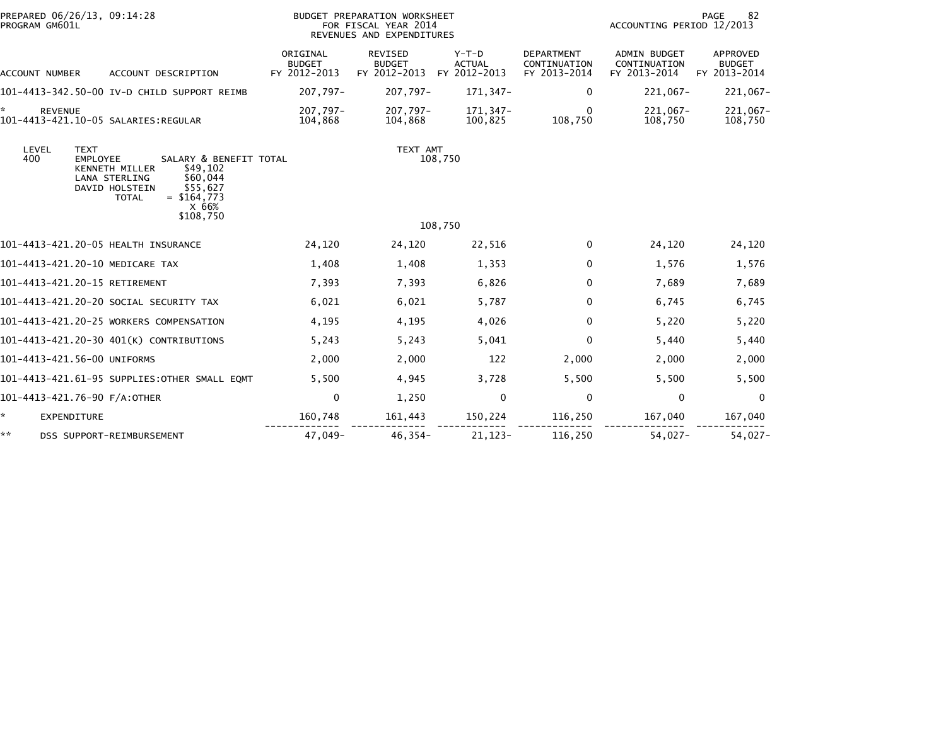| PREPARED 06/26/13, 09:14:28<br>PROGRAM GM601L                                                                                                                                                                                   |                                           | BUDGET PREPARATION WORKSHEET<br>FOR FISCAL YEAR 2014<br>REVENUES AND EXPENDITURES |                                          | 82<br>PAGE<br>ACCOUNTING PERIOD 12/2013           |                                                     |                                           |
|---------------------------------------------------------------------------------------------------------------------------------------------------------------------------------------------------------------------------------|-------------------------------------------|-----------------------------------------------------------------------------------|------------------------------------------|---------------------------------------------------|-----------------------------------------------------|-------------------------------------------|
| ACCOUNT DESCRIPTION<br>ACCOUNT NUMBER                                                                                                                                                                                           | ORIGINAL<br><b>BUDGET</b><br>FY 2012-2013 | REVISED<br><b>BUDGET</b><br>FY 2012-2013                                          | $Y-T-D$<br><b>ACTUAL</b><br>FY 2012-2013 | <b>DEPARTMENT</b><br>CONTINUATION<br>FY 2013-2014 | <b>ADMIN BUDGET</b><br>CONTINUATION<br>FY 2013-2014 | APPROVED<br><b>BUDGET</b><br>FY 2013-2014 |
| 101-4413-342.50-00 IV-D CHILD SUPPORT REIMB                                                                                                                                                                                     | 207.797-                                  | 207,797-                                                                          | 171,347-                                 | 0                                                 | $221,067-$                                          | 221,067-                                  |
| ÷.<br><b>REVENUE</b>                                                                                                                                                                                                            | 207,797-<br>104,868                       | 207,797-<br>104,868                                                               | 171,347-<br>100,825                      | $\mathbf{0}$<br>108,750                           | $221,067-$<br>108,750                               | $221,067-$<br>108,750                     |
| LEVEL<br><b>TEXT</b><br>400<br>SALARY & BENEFIT TOTAL<br><b>EMPLOYEE</b><br>\$49,102<br><b>KENNETH MILLER</b><br>LANA STERLING<br>\$60,044<br>\$55.627<br>DAVID HOLSTEIN<br>$=$ \$164.773<br><b>TOTAL</b><br>X 66%<br>\$108.750 |                                           | TEXT AMT                                                                          | 108,750                                  |                                                   |                                                     |                                           |
|                                                                                                                                                                                                                                 |                                           |                                                                                   | 108,750                                  |                                                   |                                                     |                                           |
| 101-4413-421.20-05 HEALTH INSURANCE                                                                                                                                                                                             | 24,120                                    | 24,120                                                                            | 22,516                                   | 0                                                 | 24,120                                              | 24,120                                    |
| 101-4413-421.20-10 MEDICARE TAX                                                                                                                                                                                                 | 1,408                                     | 1,408                                                                             | 1,353                                    | $\Omega$                                          | 1,576                                               | 1,576                                     |
| 101-4413-421.20-15 RETIREMENT                                                                                                                                                                                                   | 7,393                                     | 7,393                                                                             | 6,826                                    | 0                                                 | 7,689                                               | 7,689                                     |
| 101–4413–421.20–20 SOCIAL SECURITY TAX                                                                                                                                                                                          | 6,021                                     | 6,021                                                                             | 5.787                                    | 0                                                 | 6,745                                               | 6,745                                     |
| 101-4413-421.20-25 WORKERS COMPENSATION                                                                                                                                                                                         | 4,195                                     | 4,195                                                                             | 4,026                                    | $\mathbf{0}$                                      | 5,220                                               | 5,220                                     |
| 101-4413-421.20-30 401(K) CONTRIBUTIONS                                                                                                                                                                                         | 5,243                                     | 5,243                                                                             | 5,041                                    | $\Omega$                                          | 5,440                                               | 5,440                                     |
| 101-4413-421.56-00 UNIFORMS                                                                                                                                                                                                     | 2,000                                     | 2,000                                                                             | 122                                      | 2,000                                             | 2,000                                               | 2,000                                     |
| 101-4413-421.61-95 SUPPLIES:OTHER SMALL EQMT                                                                                                                                                                                    | 5,500                                     | 4,945                                                                             | 3,728                                    | 5,500                                             | 5,500                                               | 5,500                                     |
| 101-4413-421.76-90 F/A:OTHER                                                                                                                                                                                                    | $\mathbf 0$                               | 1,250                                                                             | 0                                        | $\mathbf{0}$                                      | 0                                                   | $\Omega$                                  |
| ☆.<br><b>EXPENDITURE</b>                                                                                                                                                                                                        | 160,748                                   | 161,443                                                                           | 150,224                                  | 116,250                                           | 167,040                                             | 167,040                                   |
| **<br>DSS SUPPORT-REIMBURSEMENT                                                                                                                                                                                                 | 47,049-                                   | $46,354-$                                                                         | $21, 123 -$                              | 116,250                                           | $54,027-$                                           | $54,027-$                                 |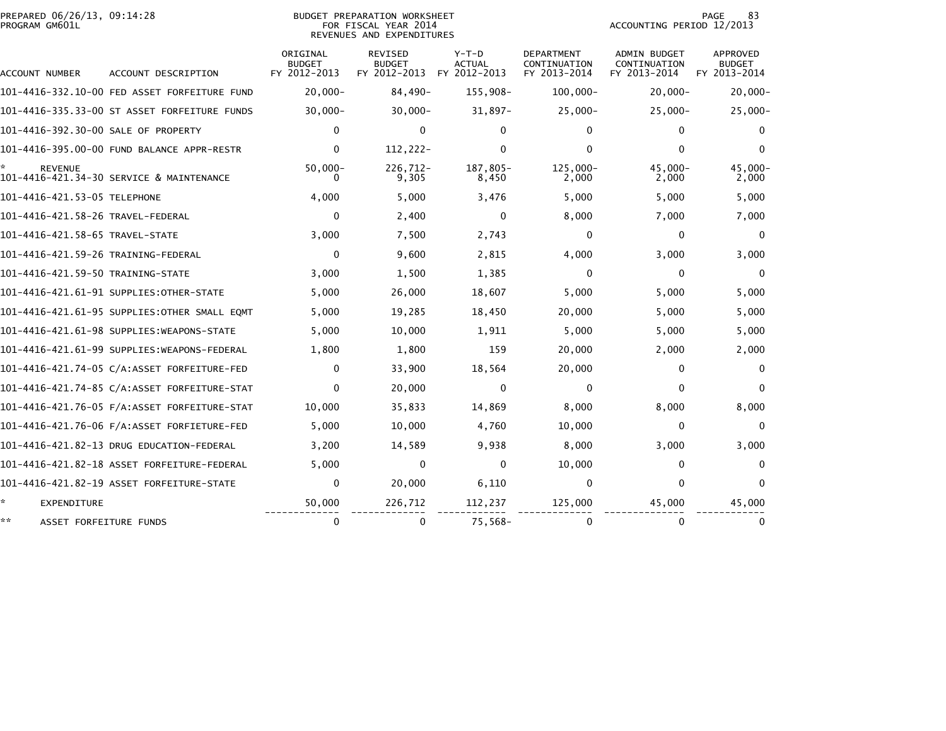| PREPARED 06/26/13, 09:14:28 | PREPARATION WORKSHEET<br>BUDGET | 83<br>PAGE                |
|-----------------------------|---------------------------------|---------------------------|
| PROGRAM GM601L              | YEAR 2014<br>FOR FISCAL         | ACCOUNTING PERIOD 12/2013 |

## REVENUES AND EXPENDITURES

83 PAGE 83<br>ACCOUNTING PERIOD 12/2013

| ACCOUNT NUMBER                      | ACCOUNT DESCRIPTION                           | ORIGINAL<br><b>BUDGET</b><br>FY 2012-2013 | <b>REVISED</b><br><b>BUDGET</b><br>FY 2012-2013 | $Y-T-D$<br>ACTUAL<br>FY 2012-2013 | <b>DEPARTMENT</b><br>CONTINUATION<br>FY 2013-2014 | <b>ADMIN BUDGET</b><br>CONTINUATION<br>FY 2013-2014 | APPROVED<br><b>BUDGET</b><br>FY 2013-2014 |
|-------------------------------------|-----------------------------------------------|-------------------------------------------|-------------------------------------------------|-----------------------------------|---------------------------------------------------|-----------------------------------------------------|-------------------------------------------|
|                                     | 101-4416-332.10-00 FED ASSET FORFEITURE FUND  | $20,000 -$                                | 84,490-                                         | 155,908-                          | $100,000 -$                                       | $20,000 -$                                          | $20,000 -$                                |
|                                     | 101-4416-335.33-00 ST ASSET FORFEITURE FUNDS  | $30,000 -$                                | $30,000 -$                                      | $31,897-$                         | $25,000 -$                                        | $25,000 -$                                          | $25,000-$                                 |
| 101-4416-392.30-00 SALE OF PROPERTY |                                               | $\Omega$                                  | $\mathbf{0}$                                    | 0                                 | $\mathbf{0}$                                      | 0                                                   | 0                                         |
|                                     | 101-4416-395.00-00 FUND BALANCE APPR-RESTR    | 0                                         | 112,222-                                        | 0                                 | $\Omega$                                          | 0                                                   | 0                                         |
| <b>REVENUE</b>                      | 101-4416-421.34-30 SERVICE & MAINTENANCE      | $50,000 -$                                | $226,712-$<br>9,305                             | 187,805-<br>8,450                 | 125.000-<br>2,000                                 | $45.000 -$<br>2,000                                 | $45,000 -$<br>2,000                       |
| 101-4416-421.53-05 TELEPHONE        |                                               | 4,000                                     | 5,000                                           | 3,476                             | 5,000                                             | 5,000                                               | 5,000                                     |
| 101-4416-421.58-26 TRAVEL-FEDERAL   |                                               | 0                                         | 2,400                                           | 0                                 | 8,000                                             | 7,000                                               | 7,000                                     |
| 101-4416-421.58-65 TRAVEL-STATE     |                                               | 3,000                                     | 7,500                                           | 2,743                             | $\mathbf{0}$                                      | 0                                                   | $\Omega$                                  |
| 101-4416-421.59-26 TRAINING-FEDERAL |                                               | 0                                         | 9,600                                           | 2,815                             | 4,000                                             | 3,000                                               | 3,000                                     |
| 101-4416-421.59-50 TRAINING-STATE   |                                               | 3,000                                     | 1,500                                           | 1,385                             | $\mathbf{0}$                                      | 0                                                   | 0                                         |
|                                     | 101-4416-421.61-91 SUPPLIES: OTHER-STATE      | 5,000                                     | 26,000                                          | 18,607                            | 5,000                                             | 5,000                                               | 5,000                                     |
|                                     | 101-4416-421.61-95 SUPPLIES: OTHER SMALL EQMT | 5,000                                     | 19,285                                          | 18,450                            | 20,000                                            | 5,000                                               | 5,000                                     |
|                                     | 101-4416-421.61-98 SUPPLIES:WEAPONS-STATE     | 5,000                                     | 10,000                                          | 1,911                             | 5,000                                             | 5,000                                               | 5,000                                     |
|                                     | 101-4416-421.61-99 SUPPLIES: WEAPONS-FEDERAL  | 1,800                                     | 1,800                                           | 159                               | 20,000                                            | 2,000                                               | 2,000                                     |
|                                     | 101-4416-421.74-05 C/A:ASSET FORFEITURE-FED   | 0                                         | 33,900                                          | 18,564                            | 20,000                                            | 0                                                   | $\Omega$                                  |
|                                     | 101-4416-421.74-85 C/A:ASSET FORFEITURE-STAT  | 0                                         | 20,000                                          | $\mathbf{0}$                      | 0                                                 | 0                                                   | $\Omega$                                  |
|                                     | 101-4416-421.76-05 F/A:ASSET FORFEITURE-STAT  | 10,000                                    | 35,833                                          | 14,869                            | 8,000                                             | 8,000                                               | 8,000                                     |
|                                     |                                               | 5,000                                     | 10,000                                          | 4,760                             | 10,000                                            | 0                                                   | $\Omega$                                  |
|                                     | 101-4416-421.82-13 DRUG EDUCATION-FEDERAL     | 3,200                                     | 14,589                                          | 9,938                             | 8,000                                             | 3,000                                               | 3,000                                     |
|                                     | 101-4416-421.82-18 ASSET FORFEITURE-FEDERAL   | 5,000                                     | 0                                               | 0                                 | 10,000                                            | 0                                                   | 0                                         |
|                                     | 101-4416-421.82-19 ASSET FORFEITURE-STATE     | 0                                         | 20,000                                          | 6,110                             | $\mathbf 0$                                       | 0                                                   | $\mathbf{0}$                              |
| *.<br><b>EXPENDITURE</b>            |                                               | 50,000                                    | 226,712                                         | 112,237                           | 125,000                                           | 45,000                                              | 45,000                                    |
| **<br>ASSET FORFEITURE FUNDS        |                                               | $\Omega$                                  | $\Omega$                                        | $75,568-$                         | $\Omega$                                          | 0                                                   | 0                                         |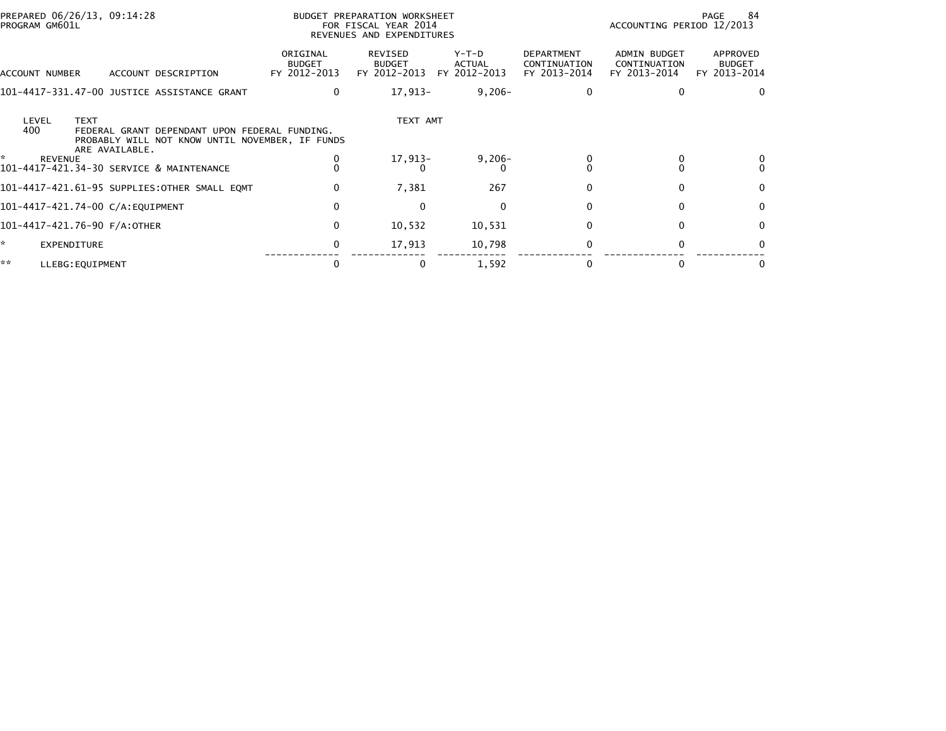| PREPARED 06/26/13, 09:14:28<br>PROGRAM GM601L                                                                                                     |                                           | BUDGET PREPARATION WORKSHEET<br>FOR FISCAL YEAR 2014<br>REVENUES AND EXPENDITURES |                                 | 84<br>PAGE<br>ACCOUNTING PERIOD 12/2013           |                                              |                                           |
|---------------------------------------------------------------------------------------------------------------------------------------------------|-------------------------------------------|-----------------------------------------------------------------------------------|---------------------------------|---------------------------------------------------|----------------------------------------------|-------------------------------------------|
| ACCOUNT NUMBER<br>ACCOUNT DESCRIPTION                                                                                                             | ORIGINAL<br><b>BUDGET</b><br>FY 2012-2013 | REVISED<br><b>BUDGET</b><br>FY 2012-2013                                          | Y-T-D<br>ACTUAL<br>FY 2012-2013 | <b>DEPARTMENT</b><br>CONTINUATION<br>FY 2013-2014 | ADMIN BUDGET<br>CONTINUATION<br>FY 2013-2014 | APPROVED<br><b>BUDGET</b><br>FY 2013-2014 |
| 101-4417-331.47-00 JUSTICE ASSISTANCE GRANT                                                                                                       | $\mathbf{0}$                              | 17,913-                                                                           | $9,206 -$                       |                                                   |                                              | 0                                         |
| LEVEL<br><b>TEXT</b><br>400<br>FEDERAL GRANT DEPENDANT UPON FEDERAL FUNDING.<br>PROBABLY WILL NOT KNOW UNTIL NOVEMBER, IF FUNDS<br>ARE AVAILABLE. |                                           | TEXT AMT                                                                          |                                 |                                                   |                                              |                                           |
| ÷.<br><b>REVENUE</b><br>101-4417-421.34-30 SERVICE & MAINTENANCE                                                                                  |                                           | 17,913-                                                                           | $9,206 -$<br>$\Omega$           |                                                   |                                              |                                           |
| 101-4417-421.61-95 SUPPLIES:OTHER SMALL EQMT                                                                                                      | $\Omega$                                  | 7,381                                                                             | 267                             |                                                   | $\Omega$                                     | $\mathbf{0}$                              |
| 101-4417-421.74-00 C/A:EQUIPMENT                                                                                                                  | $\mathbf{0}$                              | $\Omega$                                                                          | 0                               |                                                   | 0                                            | 0                                         |
| 101-4417-421.76-90 F/A:OTHER                                                                                                                      | 0                                         | 10,532                                                                            | 10,531                          |                                                   | 0                                            | 0                                         |
| *<br>EXPENDITURE                                                                                                                                  |                                           | 17,913                                                                            | 10,798                          |                                                   | $\Omega$                                     | <sup>0</sup>                              |
| **<br>LLEBG: EQUIPMENT                                                                                                                            |                                           | $\bf{0}$                                                                          | 1,592                           |                                                   |                                              | 0                                         |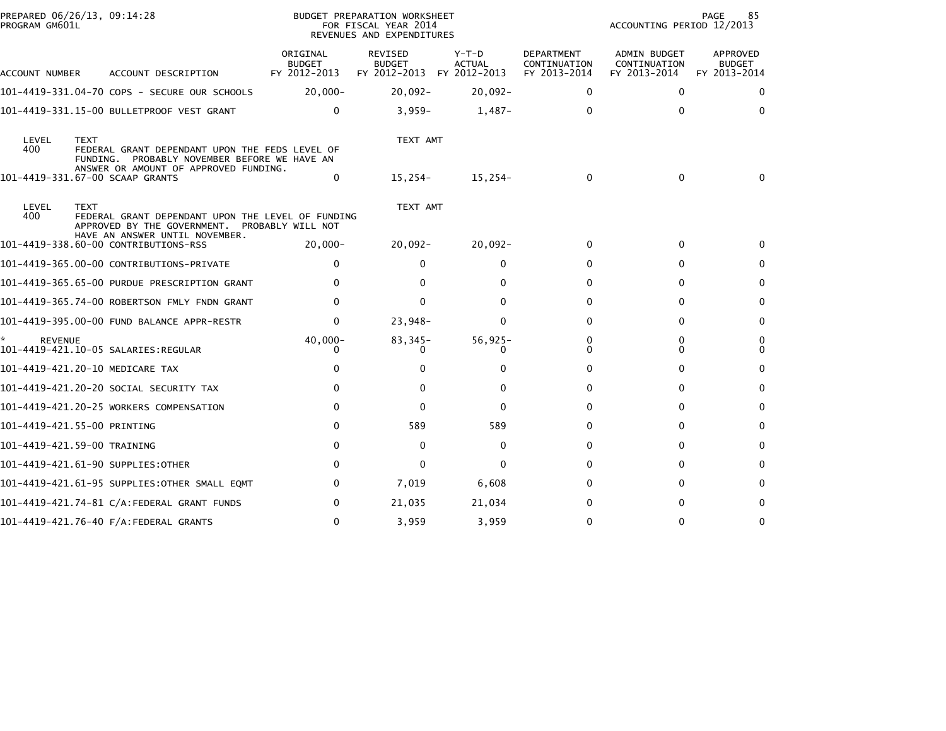| PROGRAM GM601L       | PREPARED 06/26/13, 09:14:28                                                                                                                            |                                           | BUDGET PREPARATION WORKSHEET<br>FOR FISCAL YEAR 2014<br>REVENUES AND EXPENDITURES | 85<br>PAGE<br>ACCOUNTING PERIOD 12/2013 |                                                   |                                                     |                                           |
|----------------------|--------------------------------------------------------------------------------------------------------------------------------------------------------|-------------------------------------------|-----------------------------------------------------------------------------------|-----------------------------------------|---------------------------------------------------|-----------------------------------------------------|-------------------------------------------|
| ACCOUNT NUMBER       | ACCOUNT DESCRIPTION                                                                                                                                    | ORIGINAL<br><b>BUDGET</b><br>FY 2012-2013 | <b>REVISED</b><br><b>BUDGET</b><br>FY 2012-2013 FY 2012-2013                      | $Y-T-D$<br><b>ACTUAL</b>                | <b>DEPARTMENT</b><br>CONTINUATION<br>FY 2013-2014 | <b>ADMIN BUDGET</b><br>CONTINUATION<br>FY 2013-2014 | APPROVED<br><b>BUDGET</b><br>FY 2013-2014 |
|                      | 101-4419-331.04-70 COPS - SECURE OUR SCHOOLS                                                                                                           | $20,000 -$                                | $20,092 -$                                                                        | $20,092 -$                              | 0                                                 | $\Omega$                                            | 0                                         |
|                      | 101-4419-331.15-00 BULLETPROOF VEST GRANT                                                                                                              | 0                                         | $3,959-$                                                                          | $1,487-$                                | 0                                                 | $\Omega$                                            | 0                                         |
| LEVEL<br>400         | <b>TEXT</b><br>FEDERAL GRANT DEPENDANT UPON THE FEDS LEVEL OF<br>FUNDING. PROBABLY NOVEMBER BEFORE WE HAVE AN<br>ANSWER OR AMOUNT OF APPROVED FUNDING. |                                           | TEXT AMT                                                                          |                                         |                                                   |                                                     |                                           |
|                      | 101-4419-331.67-00 SCAAP GRANTS                                                                                                                        | 0                                         | 15,254-                                                                           | 15,254-                                 | $\Omega$                                          | $\mathbf{0}$                                        | 0                                         |
| LEVEL<br>400         | <b>TEXT</b><br>FEDERAL GRANT DEPENDANT UPON THE LEVEL OF FUNDING<br>APPROVED BY THE GOVERNMENT. PROBABLY WILL NOT                                      |                                           | TEXT AMT                                                                          |                                         |                                                   |                                                     |                                           |
|                      | HAVE AN ANSWER UNTIL NOVEMBER.<br>101-4419-338.60-00 CONTRIBUTIONS-RSS                                                                                 | $20,000-$                                 | $20,092 -$                                                                        | $20,092 -$                              | $\mathbf{0}$                                      | 0                                                   | 0                                         |
|                      | 101-4419-365.00-00 CONTRIBUTIONS-PRIVATE                                                                                                               | 0                                         | 0                                                                                 | 0                                       | 0                                                 | 0                                                   | 0                                         |
|                      | 101-4419-365.65-00 PURDUE PRESCRIPTION GRANT                                                                                                           | 0                                         | 0                                                                                 | 0                                       | 0                                                 | 0                                                   | $\bf{0}$                                  |
|                      | 101-4419-365.74-00 ROBERTSON FMLY FNDN GRANT                                                                                                           | 0                                         | $\Omega$                                                                          | 0                                       | 0                                                 | $\Omega$                                            | $\mathbf{0}$                              |
|                      | 101-4419-395.00-00 FUND BALANCE APPR-RESTR                                                                                                             | 0                                         | 23,948-                                                                           | $\Omega$                                | 0                                                 | $\Omega$                                            | $\mathbf{0}$                              |
| ŵ.<br><b>REVENUE</b> |                                                                                                                                                        | $40,000 -$                                | $83,345-$                                                                         | $56,925-$<br>0                          | 0<br>0                                            | 0<br>0                                              | 0<br>$\mathbf{0}$                         |
|                      | 101-4419-421.20-10 MEDICARE TAX                                                                                                                        | 0                                         | 0                                                                                 | 0                                       | 0                                                 | $\Omega$                                            | 0                                         |
|                      | 101–4419–421.20–20 SOCIAL SECURITY TAX                                                                                                                 | 0                                         | 0                                                                                 | $\Omega$                                | 0                                                 | $\Omega$                                            | $\Omega$                                  |
|                      | 101-4419-421.20-25 WORKERS COMPENSATION                                                                                                                | 0                                         | $\Omega$                                                                          | 0                                       | 0                                                 | 0                                                   | 0                                         |
|                      | 101-4419-421.55-00 PRINTING                                                                                                                            | 0                                         | 589                                                                               | 589                                     | 0                                                 | 0                                                   | 0                                         |
|                      | 101-4419-421.59-00 TRAINING                                                                                                                            | $\Omega$                                  | $\Omega$                                                                          | $\mathbf{0}$                            | 0                                                 | $\Omega$                                            | $\Omega$                                  |
|                      | 101-4419-421.61-90 SUPPLIES:OTHER                                                                                                                      | $\Omega$                                  | $\Omega$                                                                          | 0                                       | 0                                                 | $\Omega$                                            | 0                                         |
|                      | 101–4419–421.61–95 SUPPLIES:OTHER SMALL EQMT                                                                                                           | 0                                         | 7,019                                                                             | 6,608                                   | 0                                                 | 0                                                   | $\Omega$                                  |
|                      |                                                                                                                                                        | 0                                         | 21,035                                                                            | 21,034                                  | 0                                                 | 0                                                   | 0                                         |
|                      | 101-4419-421.76-40 F/A:FEDERAL GRANTS                                                                                                                  | 0                                         | 3,959                                                                             | 3,959                                   | 0                                                 |                                                     | $\Omega$                                  |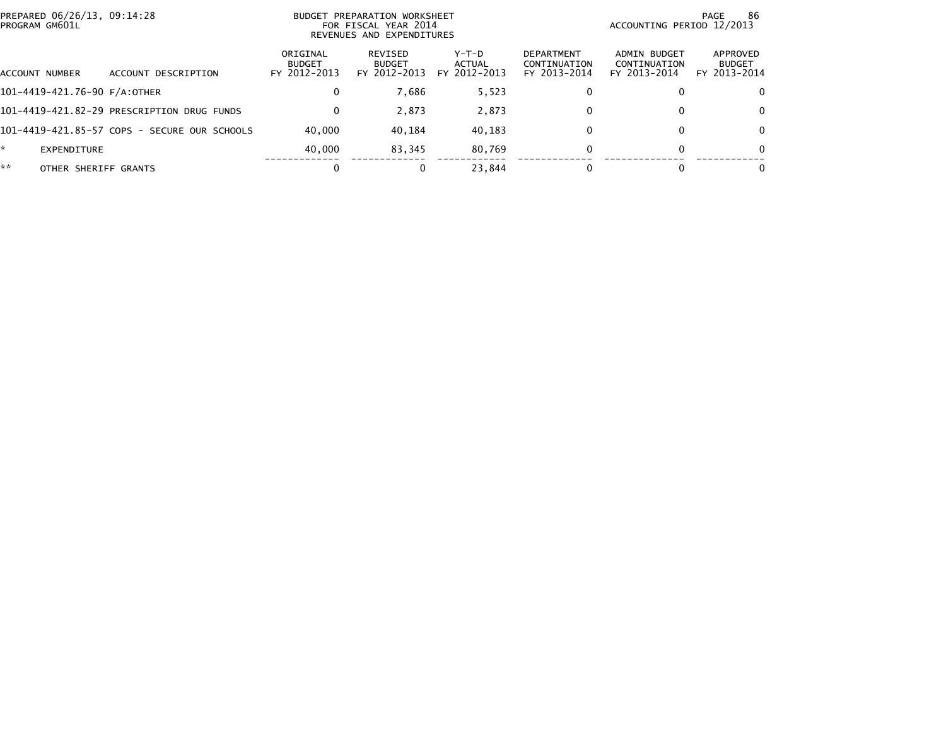| PROGRAM GM601L               | PREPARED 06/26/13, 09:14:28<br>BUDGET PREPARATION WORKSHEET<br>FOR FISCAL YEAR 2014<br>REVENUES AND EXPENDITURES |                                           |                                          |                                              |                                                   |                                              | -86<br>PAGE<br>ACCOUNTING PERIOD 12/2013  |
|------------------------------|------------------------------------------------------------------------------------------------------------------|-------------------------------------------|------------------------------------------|----------------------------------------------|---------------------------------------------------|----------------------------------------------|-------------------------------------------|
| ACCOUNT NUMBER               | DESCRIPTION<br>ACCOUNT                                                                                           | ORIGINAL<br><b>BUDGET</b><br>FY 2012-2013 | REVISED<br><b>BUDGET</b><br>FY 2012-2013 | $Y-T-D$<br><b>ACTUAL</b><br>2012-2013<br>FY. | <b>DEPARTMENT</b><br>CONTINUATION<br>FY 2013-2014 | ADMIN BUDGET<br>CONTINUATION<br>FY 2013-2014 | APPROVED<br><b>BUDGET</b><br>FY 2013-2014 |
| 101-4419-421.76-90 F/A:OTHER |                                                                                                                  | 0                                         | 7.686                                    | 5,523                                        | 0                                                 | 0                                            | 0                                         |
|                              | 101-4419-421.82-29 PRESCRIPTION DRUG FUNDS                                                                       | $\Omega$                                  | 2.873                                    | 2,873                                        | $\Omega$                                          | $\bf{0}$                                     | 0                                         |
|                              | 101-4419-421.85-57 COPS - SECURE OUR SCHOOLS                                                                     | 40.000                                    | 40.184                                   | 40,183                                       | 0                                                 | $\Omega$                                     | 0                                         |
| *<br>EXPENDITURE             |                                                                                                                  | 40.000                                    | 83.345                                   | 80.769                                       | 0                                                 | $\bf{0}$                                     | 0                                         |
| **<br>OTHER SHERIFF GRANTS   |                                                                                                                  |                                           | 0                                        | 23.844                                       |                                                   |                                              | 0                                         |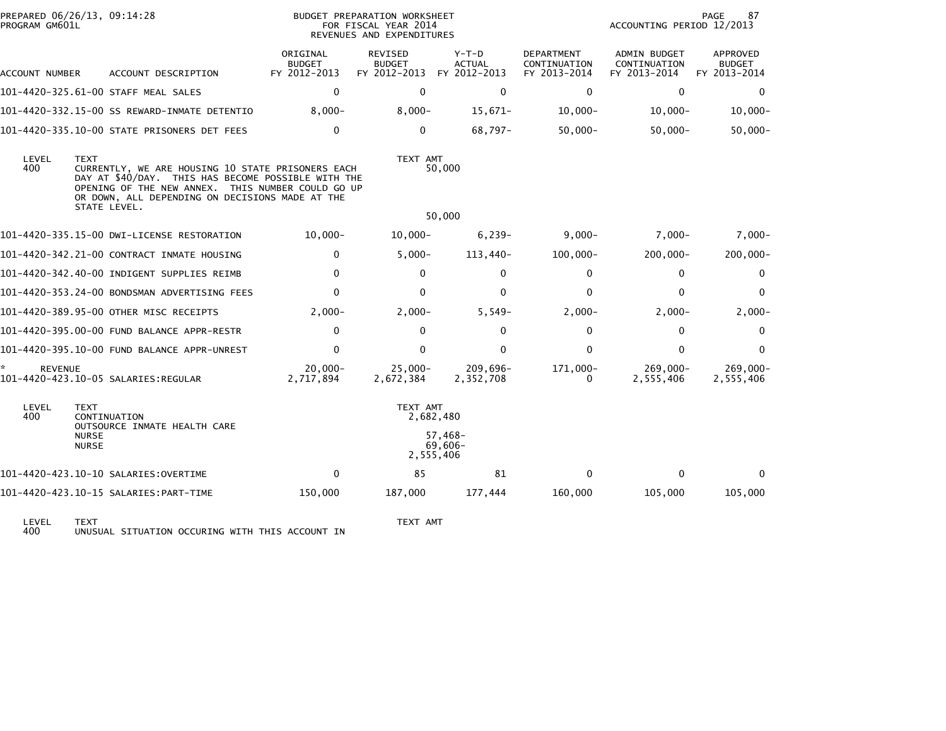| PREPARED 06/26/13, 09:14:28<br>PROGRAM GM601L |                              |                                                                                                                                                                                                                                 |                                           | BUDGET PREPARATION WORKSHEET<br>FOR FISCAL YEAR 2014<br>REVENUES AND EXPENDITURES |                                          |                                            | PAGE<br>87<br>ACCOUNTING PERIOD 12/2013      |                                           |  |
|-----------------------------------------------|------------------------------|---------------------------------------------------------------------------------------------------------------------------------------------------------------------------------------------------------------------------------|-------------------------------------------|-----------------------------------------------------------------------------------|------------------------------------------|--------------------------------------------|----------------------------------------------|-------------------------------------------|--|
| ACCOUNT NUMBER                                |                              | ACCOUNT DESCRIPTION                                                                                                                                                                                                             | ORIGINAL<br><b>BUDGET</b><br>FY 2012-2013 | REVISED<br><b>BUDGET</b><br>FY 2012-2013                                          | $Y-T-D$<br><b>ACTUAL</b><br>FY 2012-2013 | DEPARTMENT<br>CONTINUATION<br>FY 2013-2014 | ADMIN BUDGET<br>CONTINUATION<br>FY 2013-2014 | APPROVED<br><b>BUDGET</b><br>FY 2013-2014 |  |
|                                               |                              | 101-4420-325.61-00 STAFF MEAL SALES                                                                                                                                                                                             | $\mathbf 0$                               | $\mathbf 0$                                                                       | $\mathbf 0$                              | $\mathbf 0$                                | $\mathbf 0$                                  | $\mathbf 0$                               |  |
|                                               |                              | 101-4420-332.15-00 SS REWARD-INMATE DETENTIO                                                                                                                                                                                    | $8,000 -$                                 | $8,000 -$                                                                         | $15,671-$                                | $10,000 -$                                 | $10,000 -$                                   | $10,000 -$                                |  |
|                                               |                              | 101-4420-335.10-00 STATE PRISONERS DET FEES                                                                                                                                                                                     | $\mathbf{0}$                              | $\mathbf{0}$                                                                      | $68,797-$                                | $50,000 -$                                 | $50,000 -$                                   | $50,000 -$                                |  |
| LEVEL<br>400                                  | <b>TEXT</b>                  | CURRENTLY, WE ARE HOUSING 10 STATE PRISONERS EACH<br>DAY AT \$40/DAY. THIS HAS BECOME POSSIBLE WITH THE<br>OPENING OF THE NEW ANNEX. THIS NUMBER COULD GO UP<br>OR DOWN, ALL DEPENDING ON DECISIONS MADE AT THE<br>STATE LEVEL. |                                           | TEXT AMT                                                                          | 50,000                                   |                                            |                                              |                                           |  |
|                                               |                              |                                                                                                                                                                                                                                 |                                           |                                                                                   | 50,000                                   |                                            |                                              |                                           |  |
|                                               |                              | 101-4420-335.15-00 DWI-LICENSE RESTORATION                                                                                                                                                                                      | $10,000 -$                                | $10,000 -$                                                                        | $6,239-$                                 | $9,000 -$                                  | $7,000-$                                     | $7,000-$                                  |  |
|                                               |                              | 101-4420-342.21-00 CONTRACT INMATE HOUSING                                                                                                                                                                                      | $\mathbf{0}$                              | $5,000-$                                                                          | 113,440-                                 | $100,000 -$                                | $200,000 -$                                  | 200,000-                                  |  |
|                                               |                              | 101-4420-342.40-00 INDIGENT SUPPLIES REIMB                                                                                                                                                                                      | 0                                         | 0                                                                                 | $\mathbf 0$                              | 0                                          | 0                                            | $\mathbf 0$                               |  |
|                                               |                              | 101–4420–353.24–00 BONDSMAN ADVERTISING FEES                                                                                                                                                                                    | $\Omega$                                  | $\mathbf{0}$                                                                      | $\mathbf{0}$                             | 0                                          | $\Omega$                                     | $\mathbf{0}$                              |  |
|                                               |                              | 101-4420-389.95-00 OTHER MISC RECEIPTS                                                                                                                                                                                          | $2,000-$                                  | $2,000-$                                                                          | $5,549-$                                 | $2,000-$                                   | $2,000-$                                     | $2,000-$                                  |  |
|                                               |                              | 101-4420-395.00-00 FUND BALANCE APPR-RESTR                                                                                                                                                                                      | $\Omega$                                  | $\Omega$                                                                          | $\mathbf{0}$                             | 0                                          | 0                                            | $\mathbf{0}$                              |  |
|                                               |                              | 101-4420-395.10-00 FUND BALANCE APPR-UNREST                                                                                                                                                                                     | 0                                         | $\Omega$                                                                          | $\Omega$                                 | 0                                          | $\Omega$                                     | $\mathbf{0}$                              |  |
| <b>REVENUE</b>                                |                              |                                                                                                                                                                                                                                 | $20.000 -$<br>2,717,894                   | $25.000 -$<br>2,672,384                                                           | 209,696-<br>2,352,708                    | 171,000-<br>0                              | $269.000 -$<br>2,555,406                     | 269,000-<br>2,555,406                     |  |
| LEVEL<br>400                                  | <b>TEXT</b>                  | CONTINUATION<br>OUTSOURCE INMATE HEALTH CARE                                                                                                                                                                                    |                                           | TEXT AMT<br>2,682,480                                                             |                                          |                                            |                                              |                                           |  |
|                                               | <b>NURSE</b><br><b>NURSE</b> |                                                                                                                                                                                                                                 |                                           | 2,555,406                                                                         | 57,468-<br>$69,606 -$                    |                                            |                                              |                                           |  |
|                                               |                              | 101-4420-423.10-10 SALARIES: OVERTIME                                                                                                                                                                                           | $\Omega$                                  | 85                                                                                | 81                                       | 0                                          | $\Omega$                                     | $\Omega$                                  |  |
|                                               |                              | 101-4420-423.10-15 SALARIES: PART-TIME                                                                                                                                                                                          | 150,000                                   | 187,000                                                                           | 177,444                                  | 160,000                                    | 105,000                                      | 105,000                                   |  |
| LEVEL                                         | <b>TEXT</b>                  |                                                                                                                                                                                                                                 | TEXT AMT                                  |                                                                                   |                                          |                                            |                                              |                                           |  |

400 UNUSUAL SITUATION OCCURING WITH THIS ACCOUNT IN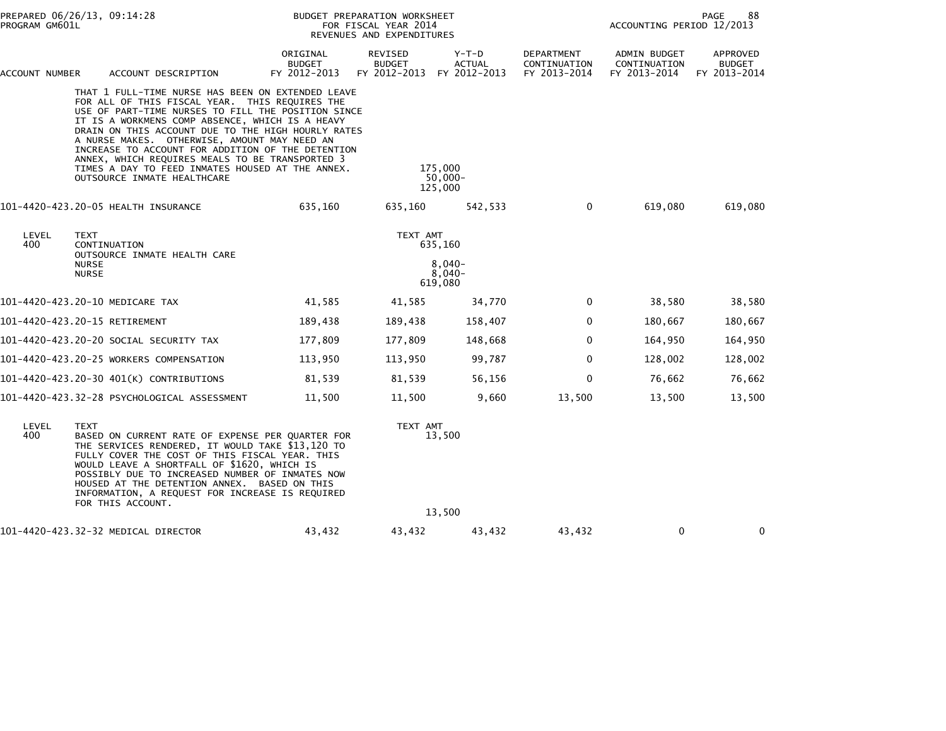| PREPARED 06/26/13, 09:14:28<br>PROGRAM GM601L |                                      |                                                                                                                                                                                                                                                                                                                                                                                                                                                                                                               |                                           | BUDGET PREPARATION WORKSHEET<br>FOR FISCAL YEAR 2014<br>REVENUES AND EXPENDITURES | 88<br>PAGE<br>ACCOUNTING PERIOD 12/2013 |                                            |                                              |                                           |
|-----------------------------------------------|--------------------------------------|---------------------------------------------------------------------------------------------------------------------------------------------------------------------------------------------------------------------------------------------------------------------------------------------------------------------------------------------------------------------------------------------------------------------------------------------------------------------------------------------------------------|-------------------------------------------|-----------------------------------------------------------------------------------|-----------------------------------------|--------------------------------------------|----------------------------------------------|-------------------------------------------|
| ACCOUNT NUMBER                                |                                      | ACCOUNT DESCRIPTION                                                                                                                                                                                                                                                                                                                                                                                                                                                                                           | ORIGINAL<br><b>BUDGET</b><br>FY 2012-2013 | REVISED<br><b>BUDGET</b><br>FY 2012-2013                                          | Y-T-D<br><b>ACTUAL</b><br>FY 2012-2013  | DEPARTMENT<br>CONTINUATION<br>FY 2013-2014 | ADMIN BUDGET<br>CONTINUATION<br>FY 2013-2014 | APPROVED<br><b>BUDGET</b><br>FY 2013-2014 |
|                                               |                                      | THAT 1 FULL-TIME NURSE HAS BEEN ON EXTENDED LEAVE<br>FOR ALL OF THIS FISCAL YEAR. THIS REQUIRES THE<br>USE OF PART-TIME NURSES TO FILL THE POSITION SINCE<br>IT IS A WORKMENS COMP ABSENCE, WHICH IS A HEAVY<br>DRAIN ON THIS ACCOUNT DUE TO THE HIGH HOURLY RATES<br>A NURSE MAKES. OTHERWISE, AMOUNT MAY NEED AN<br>INCREASE TO ACCOUNT FOR ADDITION OF THE DETENTION<br>ANNEX, WHICH REQUIRES MEALS TO BE TRANSPORTED 3<br>TIMES A DAY TO FEED INMATES HOUSED AT THE ANNEX.<br>OUTSOURCE INMATE HEALTHCARE |                                           | 175,000<br>125,000                                                                | $50,000 -$                              |                                            |                                              |                                           |
|                                               |                                      | 101-4420-423.20-05 HEALTH INSURANCE                                                                                                                                                                                                                                                                                                                                                                                                                                                                           | 635,160                                   | 635,160                                                                           | 542,533                                 | 0                                          | 619,080                                      | 619,080                                   |
| LEVEL<br>400                                  | TEXT<br><b>NURSE</b><br><b>NURSE</b> | CONTINUATION<br>OUTSOURCE INMATE HEALTH CARE                                                                                                                                                                                                                                                                                                                                                                                                                                                                  |                                           | TEXT AMT<br>635,160<br>$8,040-$<br>$8,040-$<br>619,080                            |                                         |                                            |                                              |                                           |
|                                               |                                      | 101-4420-423.20-10 MEDICARE TAX                                                                                                                                                                                                                                                                                                                                                                                                                                                                               | 41,585                                    | 41,585                                                                            | 34,770                                  | 0                                          | 38,580                                       | 38,580                                    |
| 101-4420-423.20-15 RETIREMENT                 |                                      |                                                                                                                                                                                                                                                                                                                                                                                                                                                                                                               | 189,438                                   | 189,438                                                                           | 158,407                                 | 0                                          | 180,667                                      | 180,667                                   |
|                                               |                                      | 101–4420–423.20–20 SOCIAL SECURITY TAX                                                                                                                                                                                                                                                                                                                                                                                                                                                                        | 177,809                                   | 177,809                                                                           | 148,668                                 | $\mathbf{0}$                               | 164,950                                      | 164,950                                   |
|                                               |                                      | 101-4420-423.20-25 WORKERS COMPENSATION                                                                                                                                                                                                                                                                                                                                                                                                                                                                       | 113,950                                   | 113,950                                                                           | 99,787                                  | $\mathbf{0}$                               | 128,002                                      | 128,002                                   |
|                                               |                                      | 101-4420-423.20-30 401(K) CONTRIBUTIONS                                                                                                                                                                                                                                                                                                                                                                                                                                                                       | 81,539                                    | 81,539                                                                            | 56,156                                  | 0                                          | 76,662                                       | 76,662                                    |
|                                               |                                      | 101-4420-423.32-28 PSYCHOLOGICAL ASSESSMENT                                                                                                                                                                                                                                                                                                                                                                                                                                                                   | 11,500                                    | 11,500                                                                            | 9,660                                   | 13,500                                     | 13,500                                       | 13,500                                    |
| LEVEL<br>400                                  | <b>TEXT</b>                          | BASED ON CURRENT RATE OF EXPENSE PER QUARTER FOR<br>THE SERVICES RENDERED, IT WOULD TAKE \$13,120 TO<br>FULLY COVER THE COST OF THIS FISCAL YEAR. THIS<br>WOULD LEAVE A SHORTFALL OF \$1620, WHICH IS<br>POSSIBLY DUE TO INCREASED NUMBER OF INMATES NOW<br>HOUSED AT THE DETENTION ANNEX. BASED ON THIS<br>INFORMATION, A REQUEST FOR INCREASE IS REQUIRED<br>FOR THIS ACCOUNT.                                                                                                                              |                                           | TEXT AMT<br>13,500                                                                |                                         |                                            |                                              |                                           |
|                                               |                                      |                                                                                                                                                                                                                                                                                                                                                                                                                                                                                                               |                                           | 13,500                                                                            |                                         |                                            |                                              |                                           |
|                                               |                                      | 101-4420-423.32-32 MEDICAL DIRECTOR                                                                                                                                                                                                                                                                                                                                                                                                                                                                           | 43,432                                    | 43,432                                                                            | 43,432                                  | 43,432                                     | 0                                            | 0                                         |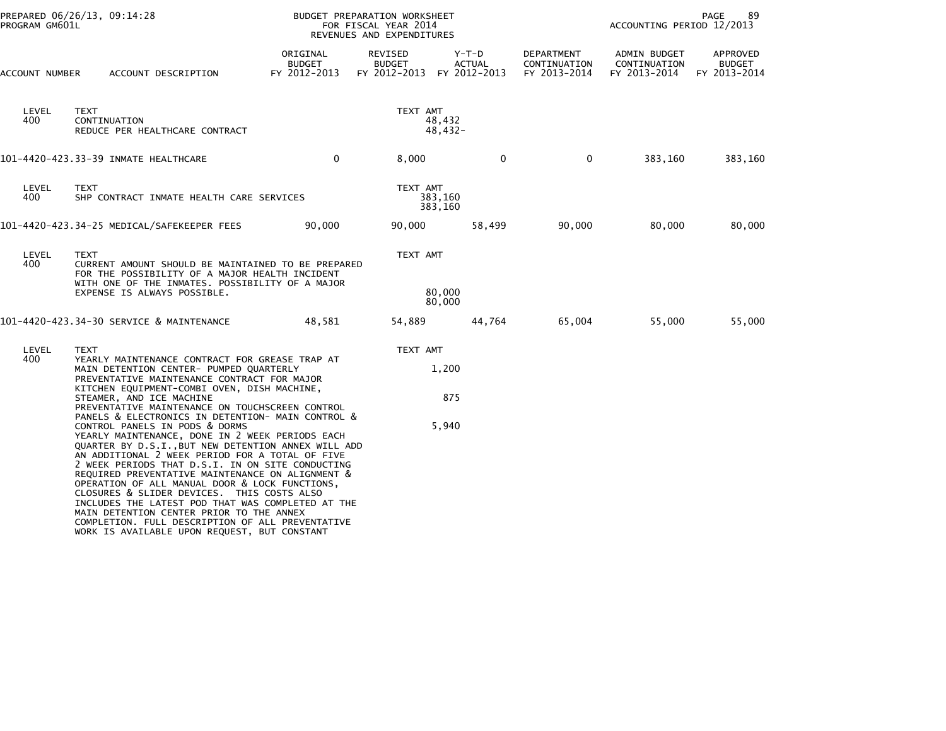| PROGRAM GM601L | PREPARED 06/26/13, 09:14:28                                                                                                                                                                                                                                                                                                                                                                                                                                                                                                                                                                                                                                                                                                                                                                                                                                                                                                                            | BUDGET PREPARATION WORKSHEET<br>FOR FISCAL YEAR 2014<br>REVENUES AND EXPENDITURES |                                                       |                              | ACCOUNTING PERIOD 12/2013                  | 89<br>PAGE                                   |                                           |
|----------------|--------------------------------------------------------------------------------------------------------------------------------------------------------------------------------------------------------------------------------------------------------------------------------------------------------------------------------------------------------------------------------------------------------------------------------------------------------------------------------------------------------------------------------------------------------------------------------------------------------------------------------------------------------------------------------------------------------------------------------------------------------------------------------------------------------------------------------------------------------------------------------------------------------------------------------------------------------|-----------------------------------------------------------------------------------|-------------------------------------------------------|------------------------------|--------------------------------------------|----------------------------------------------|-------------------------------------------|
| ACCOUNT NUMBER | ACCOUNT DESCRIPTION                                                                                                                                                                                                                                                                                                                                                                                                                                                                                                                                                                                                                                                                                                                                                                                                                                                                                                                                    | ORIGINAL<br><b>BUDGET</b><br>FY 2012-2013                                         | REVISED<br><b>BUDGET</b><br>FY 2012-2013 FY 2012-2013 | Y-T-D<br><b>ACTUAL</b>       | DEPARTMENT<br>CONTINUATION<br>FY 2013-2014 | ADMIN BUDGET<br>CONTINUATION<br>FY 2013-2014 | APPROVED<br><b>BUDGET</b><br>FY 2013-2014 |
| LEVEL<br>400   | <b>TEXT</b><br>CONTINUATION<br>REDUCE PER HEALTHCARE CONTRACT                                                                                                                                                                                                                                                                                                                                                                                                                                                                                                                                                                                                                                                                                                                                                                                                                                                                                          |                                                                                   | TEXT AMT                                              | 48,432<br>$48,432-$          |                                            |                                              |                                           |
|                | 101-4420-423.33-39 INMATE HEALTHCARE                                                                                                                                                                                                                                                                                                                                                                                                                                                                                                                                                                                                                                                                                                                                                                                                                                                                                                                   | $\mathbf 0$                                                                       | 8,000                                                 | $\mathbf 0$                  | $\mathbf 0$                                | 383,160                                      | 383,160                                   |
| LEVEL<br>400   | <b>TEXT</b><br>SHP CONTRACT INMATE HEALTH CARE SERVICES                                                                                                                                                                                                                                                                                                                                                                                                                                                                                                                                                                                                                                                                                                                                                                                                                                                                                                |                                                                                   | TEXT AMT                                              | 383,160<br>383,160           |                                            |                                              |                                           |
|                | 101-4420-423.34-25 MEDICAL/SAFEKEEPER FEES                                                                                                                                                                                                                                                                                                                                                                                                                                                                                                                                                                                                                                                                                                                                                                                                                                                                                                             | 90,000                                                                            | 90,000                                                | 58,499                       | 90,000                                     | 80,000                                       | 80,000                                    |
| LEVEL<br>400   | <b>TEXT</b><br>CURRENT AMOUNT SHOULD BE MAINTAINED TO BE PREPARED<br>FOR THE POSSIBILITY OF A MAJOR HEALTH INCIDENT<br>WITH ONE OF THE INMATES. POSSIBILITY OF A MAJOR<br>EXPENSE IS ALWAYS POSSIBLE.                                                                                                                                                                                                                                                                                                                                                                                                                                                                                                                                                                                                                                                                                                                                                  |                                                                                   |                                                       | TEXT AMT<br>80,000<br>80,000 |                                            |                                              |                                           |
|                | 101-4420-423.34-30 SERVICE & MAINTENANCE                                                                                                                                                                                                                                                                                                                                                                                                                                                                                                                                                                                                                                                                                                                                                                                                                                                                                                               | 48,581                                                                            | 54,889                                                | 44,764                       | 65,004                                     | 55,000                                       | 55,000                                    |
| LEVEL<br>400   | <b>TEXT</b><br>YEARLY MAINTENANCE CONTRACT FOR GREASE TRAP AT<br>MAIN DETENTION CENTER- PUMPED QUARTERLY<br>PREVENTATIVE MAINTENANCE CONTRACT FOR MAJOR<br>KITCHEN EQUIPMENT-COMBI OVEN, DISH MACHINE,<br>STEAMER, AND ICE MACHINE<br>PREVENTATIVE MAINTENANCE ON TOUCHSCREEN CONTROL<br>PANELS & ELECTRONICS IN DETENTION- MAIN CONTROL &<br>CONTROL PANELS IN PODS & DORMS<br>YEARLY MAINTENANCE, DONE IN 2 WEEK PERIODS EACH<br>QUARTER BY D.S.I., BUT NEW DETENTION ANNEX WILL ADD<br>AN ADDITIONAL 2 WEEK PERIOD FOR A TOTAL OF FIVE<br>2 WEEK PERIODS THAT D.S.I. IN ON SITE CONDUCTING<br>REQUIRED PREVENTATIVE MAINTENANCE ON ALIGNMENT &<br>OPERATION OF ALL MANUAL DOOR & LOCK FUNCTIONS,<br>CLOSURES & SLIDER DEVICES. THIS COSTS ALSO<br>INCLUDES THE LATEST POD THAT WAS COMPLETED AT THE<br>MAIN DETENTION CENTER PRIOR TO THE ANNEX<br>COMPLETION. FULL DESCRIPTION OF ALL PREVENTATIVE<br>WORK IS AVAILABLE UPON REQUEST, BUT CONSTANT |                                                                                   | TEXT AMT                                              | 1,200<br>875<br>5,940        |                                            |                                              |                                           |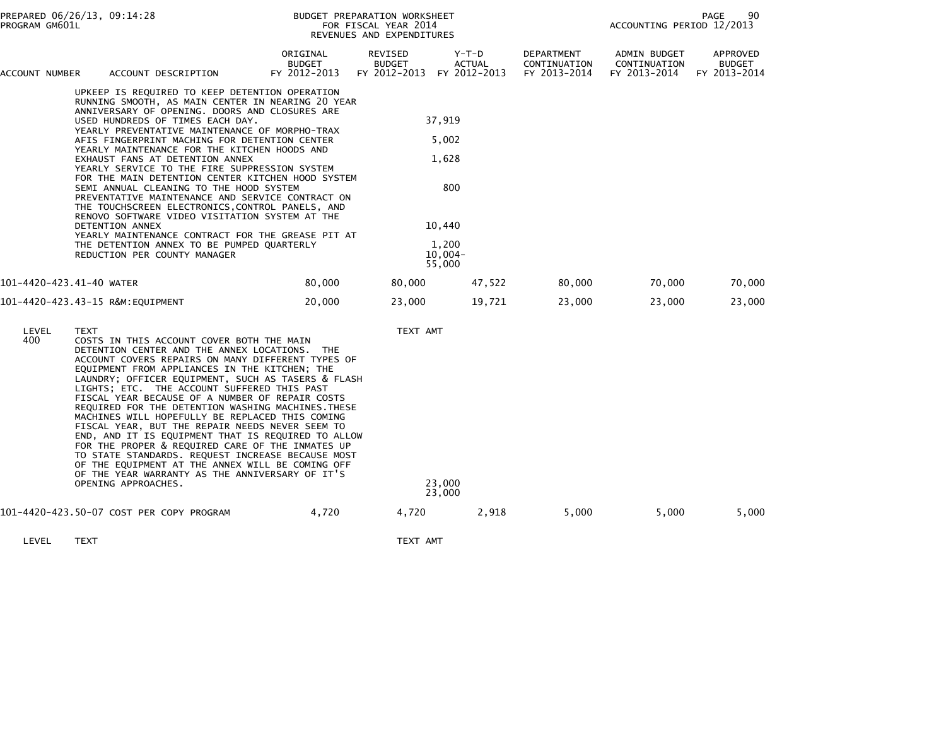|                                                                                                                                                                                                                                                                                                                                                                                                                                                                                                                                                                                                                                                                                                                                                                                                                                                  | PREPARED 06/26/13, 09:14:28<br>PROGRAM GM601L |                                                                                                                                                                                                                                                                                                                                                                                                                                                                                                                                                                                                                                                                                                                                                                                                                   |                                           | BUDGET PREPARATION WORKSHEET<br>FOR FISCAL YEAR 2014<br>REVENUES AND EXPENDITURES |                        |                                                   | 90<br>PAGE<br>ACCOUNTING PERIOD 12/2013      |                                    |  |
|--------------------------------------------------------------------------------------------------------------------------------------------------------------------------------------------------------------------------------------------------------------------------------------------------------------------------------------------------------------------------------------------------------------------------------------------------------------------------------------------------------------------------------------------------------------------------------------------------------------------------------------------------------------------------------------------------------------------------------------------------------------------------------------------------------------------------------------------------|-----------------------------------------------|-------------------------------------------------------------------------------------------------------------------------------------------------------------------------------------------------------------------------------------------------------------------------------------------------------------------------------------------------------------------------------------------------------------------------------------------------------------------------------------------------------------------------------------------------------------------------------------------------------------------------------------------------------------------------------------------------------------------------------------------------------------------------------------------------------------------|-------------------------------------------|-----------------------------------------------------------------------------------|------------------------|---------------------------------------------------|----------------------------------------------|------------------------------------|--|
| ACCOUNT NUMBER                                                                                                                                                                                                                                                                                                                                                                                                                                                                                                                                                                                                                                                                                                                                                                                                                                   |                                               | ACCOUNT DESCRIPTION                                                                                                                                                                                                                                                                                                                                                                                                                                                                                                                                                                                                                                                                                                                                                                                               | ORIGINAL<br><b>BUDGET</b><br>FY 2012-2013 | REVISED<br><b>BUDGET</b><br>FY 2012-2013 FY 2012-2013                             | Y-T-D<br><b>ACTUAL</b> | <b>DEPARTMENT</b><br>CONTINUATION<br>FY 2013-2014 | ADMIN BUDGET<br>CONTINUATION<br>FY 2013-2014 | APPROVED<br>BUDGET<br>FY 2013-2014 |  |
| UPKEEP IS REQUIRED TO KEEP DETENTION OPERATION<br>RUNNING SMOOTH, AS MAIN CENTER IN NEARING 20 YEAR<br>ANNIVERSARY OF OPENING. DOORS AND CLOSURES ARE<br>USED HUNDREDS OF TIMES EACH DAY.<br>YEARLY PREVENTATIVE MAINTENANCE OF MORPHO-TRAX<br>AFIS FINGERPRINT MACHING FOR DETENTION CENTER<br>YEARLY MAINTENANCE FOR THE KITCHEN HOODS AND<br>EXHAUST FANS AT DETENTION ANNEX<br>YEARLY SERVICE TO THE FIRE SUPPRESSION SYSTEM<br>FOR THE MAIN DETENTION CENTER KITCHEN HOOD SYSTEM<br>SEMI ANNUAL CLEANING TO THE HOOD SYSTEM<br>PREVENTATIVE MAINTENANCE AND SERVICE CONTRACT ON<br>THE TOUCHSCREEN ELECTRONICS, CONTROL PANELS, AND<br>RENOVO SOFTWARE VIDEO VISITATION SYSTEM AT THE<br>DETENTION ANNEX<br>YEARLY MAINTENANCE CONTRACT FOR THE GREASE PIT AT<br>THE DETENTION ANNEX TO BE PUMPED QUARTERLY<br>REDUCTION PER COUNTY MANAGER |                                               |                                                                                                                                                                                                                                                                                                                                                                                                                                                                                                                                                                                                                                                                                                                                                                                                                   | 55,000                                    | 37,919<br>5,002<br>1,628<br>800<br>10,440<br>1,200<br>$10,004-$                   |                        |                                                   |                                              |                                    |  |
| 101-4420-423.41-40 WATER                                                                                                                                                                                                                                                                                                                                                                                                                                                                                                                                                                                                                                                                                                                                                                                                                         |                                               |                                                                                                                                                                                                                                                                                                                                                                                                                                                                                                                                                                                                                                                                                                                                                                                                                   | 80,000                                    | 80,000                                                                            | 47,522                 | 80,000                                            | 70,000                                       | 70,000                             |  |
|                                                                                                                                                                                                                                                                                                                                                                                                                                                                                                                                                                                                                                                                                                                                                                                                                                                  |                                               | 101-4420-423.43-15 R&M:EQUIPMENT                                                                                                                                                                                                                                                                                                                                                                                                                                                                                                                                                                                                                                                                                                                                                                                  | 20,000                                    | 23,000                                                                            | 19,721                 | 23,000                                            | 23,000                                       | 23,000                             |  |
| LEVEL<br>400                                                                                                                                                                                                                                                                                                                                                                                                                                                                                                                                                                                                                                                                                                                                                                                                                                     | <b>TEXT</b>                                   | COSTS IN THIS ACCOUNT COVER BOTH THE MAIN<br>DETENTION CENTER AND THE ANNEX LOCATIONS. THE<br>ACCOUNT COVERS REPAIRS ON MANY DIFFERENT TYPES OF<br>EQUIPMENT FROM APPLIANCES IN THE KITCHEN; THE<br>LAUNDRY; OFFICER EQUIPMENT, SUCH AS TASERS & FLASH<br>LIGHTS; ETC. THE ACCOUNT SUFFERED THIS PAST<br>FISCAL YEAR BECAUSE OF A NUMBER OF REPAIR COSTS<br>REQUIRED FOR THE DETENTION WASHING MACHINES. THESE<br>MACHINES WILL HOPEFULLY BE REPLACED THIS COMING<br>FISCAL YEAR, BUT THE REPAIR NEEDS NEVER SEEM TO<br>END, AND IT IS EQUIPMENT THAT IS REQUIRED TO ALLOW<br>FOR THE PROPER & REQUIRED CARE OF THE INMATES UP<br>TO STATE STANDARDS. REQUEST INCREASE BECAUSE MOST<br>OF THE EQUIPMENT AT THE ANNEX WILL BE COMING OFF<br>OF THE YEAR WARRANTY AS THE ANNIVERSARY OF IT'S<br>OPENING APPROACHES. |                                           | TEXT AMT                                                                          | 23,000<br>23,000       |                                                   |                                              |                                    |  |
|                                                                                                                                                                                                                                                                                                                                                                                                                                                                                                                                                                                                                                                                                                                                                                                                                                                  |                                               | 101-4420-423.50-07 COST PER COPY PROGRAM                                                                                                                                                                                                                                                                                                                                                                                                                                                                                                                                                                                                                                                                                                                                                                          | 4,720                                     | 4,720                                                                             | 2,918                  | 5,000                                             | 5,000                                        | 5,000                              |  |
| LEVEL                                                                                                                                                                                                                                                                                                                                                                                                                                                                                                                                                                                                                                                                                                                                                                                                                                            | <b>TEXT</b>                                   |                                                                                                                                                                                                                                                                                                                                                                                                                                                                                                                                                                                                                                                                                                                                                                                                                   |                                           | TEXT AMT                                                                          |                        |                                                   |                                              |                                    |  |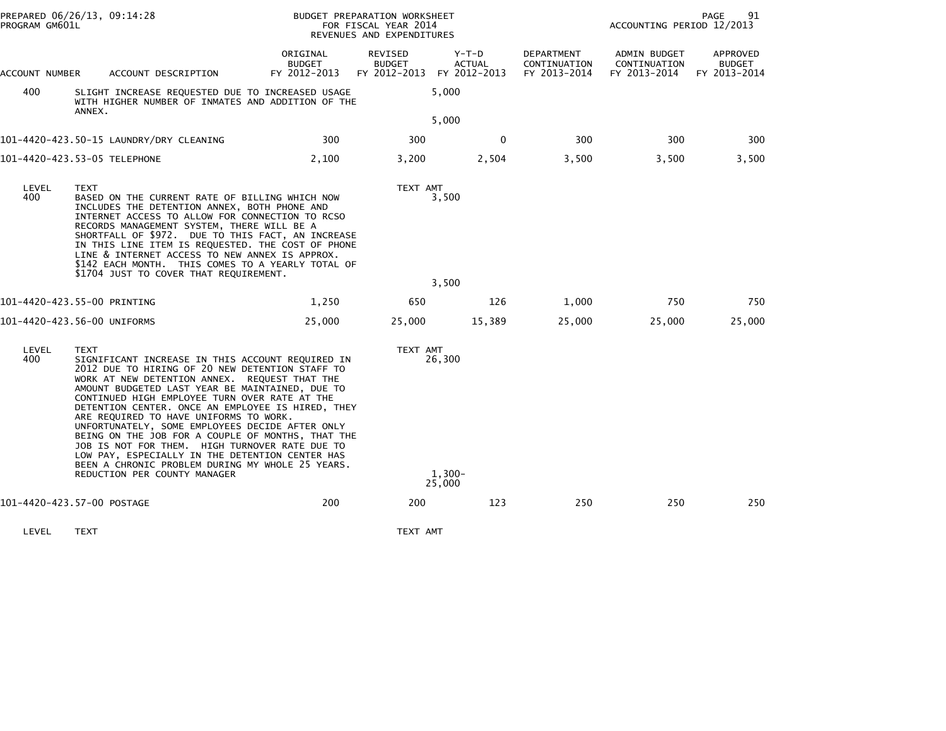|                | PREPARED 06/26/13, 09:14:28<br>BUDGET PREPARATION WORKSHEET<br>PROGRAM GM601L<br>FOR FISCAL YEAR 2014<br>REVENUES AND EXPENDITURES                                                                                                                                                                                                                                                                                                                                                                                                                                                                                                                                      |                                           |                                                       |                               |                                            | ACCOUNTING PERIOD 12/2013                    | 91<br>PAGE                                |
|----------------|-------------------------------------------------------------------------------------------------------------------------------------------------------------------------------------------------------------------------------------------------------------------------------------------------------------------------------------------------------------------------------------------------------------------------------------------------------------------------------------------------------------------------------------------------------------------------------------------------------------------------------------------------------------------------|-------------------------------------------|-------------------------------------------------------|-------------------------------|--------------------------------------------|----------------------------------------------|-------------------------------------------|
| ACCOUNT NUMBER | ACCOUNT DESCRIPTION                                                                                                                                                                                                                                                                                                                                                                                                                                                                                                                                                                                                                                                     | ORIGINAL<br><b>BUDGET</b><br>FY 2012-2013 | REVISED<br><b>BUDGET</b><br>FY 2012-2013 FY 2012-2013 | Y-T-D<br><b>ACTUAL</b>        | DEPARTMENT<br>CONTINUATION<br>FY 2013-2014 | ADMIN BUDGET<br>CONTINUATION<br>FY 2013-2014 | APPROVED<br><b>BUDGET</b><br>FY 2013-2014 |
| 400            | SLIGHT INCREASE REQUESTED DUE TO INCREASED USAGE<br>WITH HIGHER NUMBER OF INMATES AND ADDITION OF THE<br>ANNEX.                                                                                                                                                                                                                                                                                                                                                                                                                                                                                                                                                         |                                           |                                                       | 5,000                         |                                            |                                              |                                           |
|                |                                                                                                                                                                                                                                                                                                                                                                                                                                                                                                                                                                                                                                                                         |                                           |                                                       | 5,000                         |                                            |                                              |                                           |
|                | 101-4420-423.50-15 LAUNDRY/DRY CLEANING                                                                                                                                                                                                                                                                                                                                                                                                                                                                                                                                                                                                                                 | 300                                       | 300                                                   | $\mathbf{0}$                  | 300                                        | 300                                          | 300                                       |
|                | 101-4420-423.53-05 TELEPHONE                                                                                                                                                                                                                                                                                                                                                                                                                                                                                                                                                                                                                                            | 2,100                                     | 3,200                                                 | 2,504                         | 3,500                                      | 3,500                                        | 3,500                                     |
| LEVEL<br>400   | <b>TEXT</b><br>BASED ON THE CURRENT RATE OF BILLING WHICH NOW<br>INCLUDES THE DETENTION ANNEX, BOTH PHONE AND<br>INTERNET ACCESS TO ALLOW FOR CONNECTION TO RCSO<br>RECORDS MANAGEMENT SYSTEM, THERE WILL BE A<br>SHORTFALL OF \$972. DUE TO THIS FACT, AN INCREASE<br>IN THIS LINE ITEM IS REQUESTED. THE COST OF PHONE<br>LINE & INTERNET ACCESS TO NEW ANNEX IS APPROX.<br>\$142 EACH MONTH. THIS COMES TO A YEARLY TOTAL OF<br>\$1704 JUST TO COVER THAT REQUIREMENT.                                                                                                                                                                                               |                                           | TEXT AMT                                              | 3,500                         |                                            |                                              |                                           |
|                |                                                                                                                                                                                                                                                                                                                                                                                                                                                                                                                                                                                                                                                                         |                                           |                                                       | 3,500                         |                                            |                                              |                                           |
|                | 101-4420-423.55-00 PRINTING                                                                                                                                                                                                                                                                                                                                                                                                                                                                                                                                                                                                                                             | 1,250                                     | 650                                                   | 126                           | 1,000                                      | 750                                          | 750                                       |
|                | 101-4420-423.56-00 UNIFORMS                                                                                                                                                                                                                                                                                                                                                                                                                                                                                                                                                                                                                                             | 25,000                                    | 25,000                                                | 15,389                        | 25,000                                     | 25,000                                       | 25,000                                    |
| LEVEL<br>400   | <b>TEXT</b><br>SIGNIFICANT INCREASE IN THIS ACCOUNT REQUIRED IN<br>2012 DUE TO HIRING OF 20 NEW DETENTION STAFF TO<br>WORK AT NEW DETENTION ANNEX. REQUEST THAT THE<br>AMOUNT BUDGETED LAST YEAR BE MAINTAINED, DUE TO<br>CONTINUED HIGH EMPLOYEE TURN OVER RATE AT THE<br>DETENTION CENTER. ONCE AN EMPLOYEE IS HIRED, THEY<br>ARE REQUIRED TO HAVE UNIFORMS TO WORK.<br>UNFORTUNATELY, SOME EMPLOYEES DECIDE AFTER ONLY<br>BEING ON THE JOB FOR A COUPLE OF MONTHS, THAT THE<br>JOB IS NOT FOR THEM. HIGH TURNOVER RATE DUE TO<br>LOW PAY, ESPECIALLY IN THE DETENTION CENTER HAS<br>BEEN A CHRONIC PROBLEM DURING MY WHOLE 25 YEARS.<br>REDUCTION PER COUNTY MANAGER |                                           | TEXT AMT                                              | 26,300<br>$1.300 -$<br>25,000 |                                            |                                              |                                           |
|                | 101-4420-423.57-00 POSTAGE                                                                                                                                                                                                                                                                                                                                                                                                                                                                                                                                                                                                                                              | 200                                       | 200                                                   | 123                           | 250                                        | 250                                          | 250                                       |
|                |                                                                                                                                                                                                                                                                                                                                                                                                                                                                                                                                                                                                                                                                         |                                           |                                                       |                               |                                            |                                              |                                           |
| LEVEL          | TEXT                                                                                                                                                                                                                                                                                                                                                                                                                                                                                                                                                                                                                                                                    |                                           | TEXT AMT                                              |                               |                                            |                                              |                                           |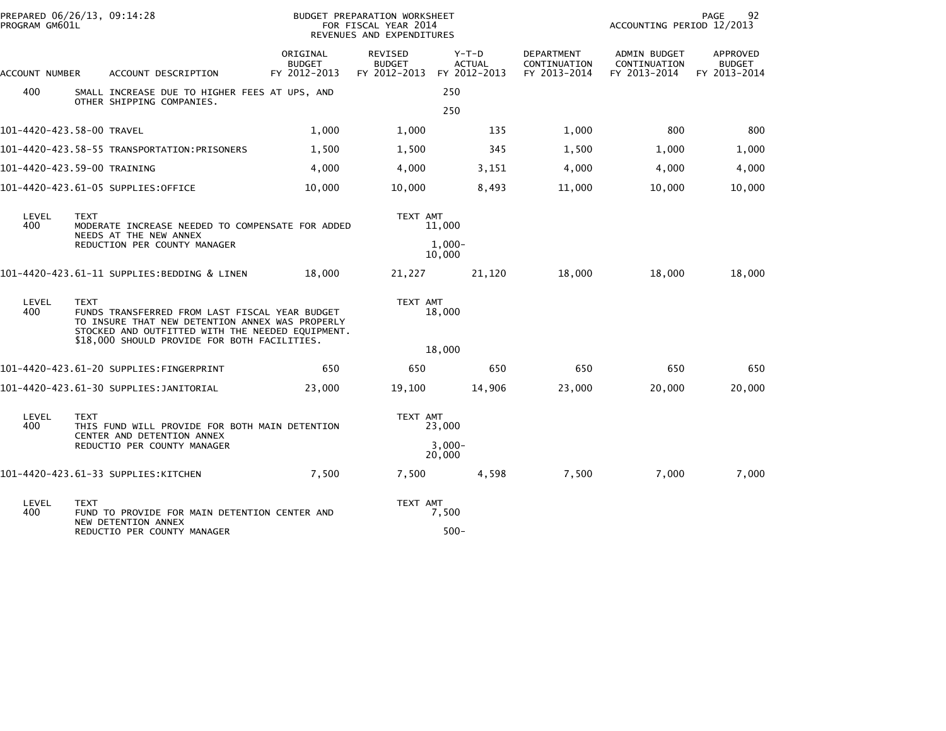| PREPARED 06/26/13, 09:14:28<br>PROGRAM GM601L |                                                                              |                                                                                                                                                                                                       |                                           | BUDGET PREPARATION WORKSHEET<br>FOR FISCAL YEAR 2014<br>REVENUES AND EXPENDITURES |                                          |                                            | ACCOUNTING PERIOD 12/2013                    | PAGE<br>92                                |  |
|-----------------------------------------------|------------------------------------------------------------------------------|-------------------------------------------------------------------------------------------------------------------------------------------------------------------------------------------------------|-------------------------------------------|-----------------------------------------------------------------------------------|------------------------------------------|--------------------------------------------|----------------------------------------------|-------------------------------------------|--|
| <b>ACCOUNT NUMBER</b>                         |                                                                              | ACCOUNT DESCRIPTION                                                                                                                                                                                   | ORIGINAL<br><b>BUDGET</b><br>FY 2012-2013 | <b>REVISED</b><br><b>BUDGET</b><br>FY 2012-2013                                   | $Y-T-D$<br><b>ACTUAL</b><br>FY 2012-2013 | DEPARTMENT<br>CONTINUATION<br>FY 2013-2014 | ADMIN BUDGET<br>CONTINUATION<br>FY 2013-2014 | APPROVED<br><b>BUDGET</b><br>FY 2013-2014 |  |
| 400                                           |                                                                              | SMALL INCREASE DUE TO HIGHER FEES AT UPS, AND<br>OTHER SHIPPING COMPANIES.                                                                                                                            |                                           | 250                                                                               |                                          |                                            |                                              |                                           |  |
|                                               |                                                                              |                                                                                                                                                                                                       |                                           |                                                                                   | 250                                      |                                            |                                              |                                           |  |
| 101-4420-423.58-00 TRAVEL                     |                                                                              |                                                                                                                                                                                                       | 1,000                                     | 1,000                                                                             | 135                                      | 1,000                                      | 800                                          | 800                                       |  |
|                                               |                                                                              | 101-4420-423.58-55 TRANSPORTATION:PRISONERS                                                                                                                                                           | 1,500                                     | 1,500                                                                             | 345                                      | 1,500                                      | 1,000                                        | 1,000                                     |  |
| 101-4420-423.59-00 TRAINING                   |                                                                              |                                                                                                                                                                                                       | 4,000                                     | 4,000                                                                             | 3,151                                    | 4,000                                      | 4,000                                        | 4,000                                     |  |
|                                               |                                                                              | 101-4420-423.61-05 SUPPLIES:OFFICE                                                                                                                                                                    | 10,000                                    | 10,000                                                                            | 8,493                                    | 11,000                                     | 10,000                                       | 10,000                                    |  |
| LEVEL<br>400                                  | <b>TEXT</b>                                                                  | MODERATE INCREASE NEEDED TO COMPENSATE FOR ADDED<br>NEEDS AT THE NEW ANNEX                                                                                                                            |                                           | TEXT AMT                                                                          | 11,000                                   |                                            |                                              |                                           |  |
|                                               |                                                                              | REDUCTION PER COUNTY MANAGER                                                                                                                                                                          |                                           | $1,000 -$<br>10,000                                                               |                                          |                                            |                                              |                                           |  |
|                                               |                                                                              | 101-4420-423.61-11 SUPPLIES:BEDDING & LINEN                                                                                                                                                           | 18,000                                    | 21,227                                                                            | 21,120                                   | 18,000                                     | 18,000                                       | 18,000                                    |  |
| LEVEL<br>400                                  | <b>TEXT</b>                                                                  | FUNDS TRANSFERRED FROM LAST FISCAL YEAR BUDGET<br>TO INSURE THAT NEW DETENTION ANNEX WAS PROPERLY<br>STOCKED AND OUTFITTED WITH THE NEEDED EQUIPMENT.<br>\$18,000 SHOULD PROVIDE FOR BOTH FACILITIES. |                                           | TEXT AMT                                                                          | 18,000                                   |                                            |                                              |                                           |  |
|                                               |                                                                              |                                                                                                                                                                                                       |                                           |                                                                                   | 18,000                                   |                                            |                                              |                                           |  |
|                                               |                                                                              | 101-4420-423.61-20 SUPPLIES:FINGERPRINT                                                                                                                                                               | 650                                       | 650                                                                               | 650                                      | 650                                        | 650                                          | 650                                       |  |
|                                               |                                                                              |                                                                                                                                                                                                       | 23,000                                    | 19,100                                                                            | 14,906                                   | 23,000                                     | 20,000                                       | 20,000                                    |  |
| LEVEL<br>400                                  | <b>TEXT</b>                                                                  | THIS FUND WILL PROVIDE FOR BOTH MAIN DETENTION<br>CENTER AND DETENTION ANNEX                                                                                                                          |                                           | TEXT AMT                                                                          | 23,000                                   |                                            |                                              |                                           |  |
|                                               |                                                                              | REDUCTIO PER COUNTY MANAGER                                                                                                                                                                           |                                           |                                                                                   | $3.000 -$<br>20,000                      |                                            |                                              |                                           |  |
|                                               |                                                                              | 101-4420-423.61-33 SUPPLIES:KITCHEN                                                                                                                                                                   | 7,500                                     | 7,500                                                                             | 4,598                                    | 7,500                                      | 7,000                                        | 7,000                                     |  |
| LEVEL<br>400                                  | TEXT<br>FUND TO PROVIDE FOR MAIN DETENTION CENTER AND<br>NEW DETENTION ANNEX |                                                                                                                                                                                                       | TEXT AMT<br>7,500                         |                                                                                   |                                          |                                            |                                              |                                           |  |
|                                               |                                                                              | REDUCTIO PER COUNTY MANAGER                                                                                                                                                                           |                                           |                                                                                   | $500 -$                                  |                                            |                                              |                                           |  |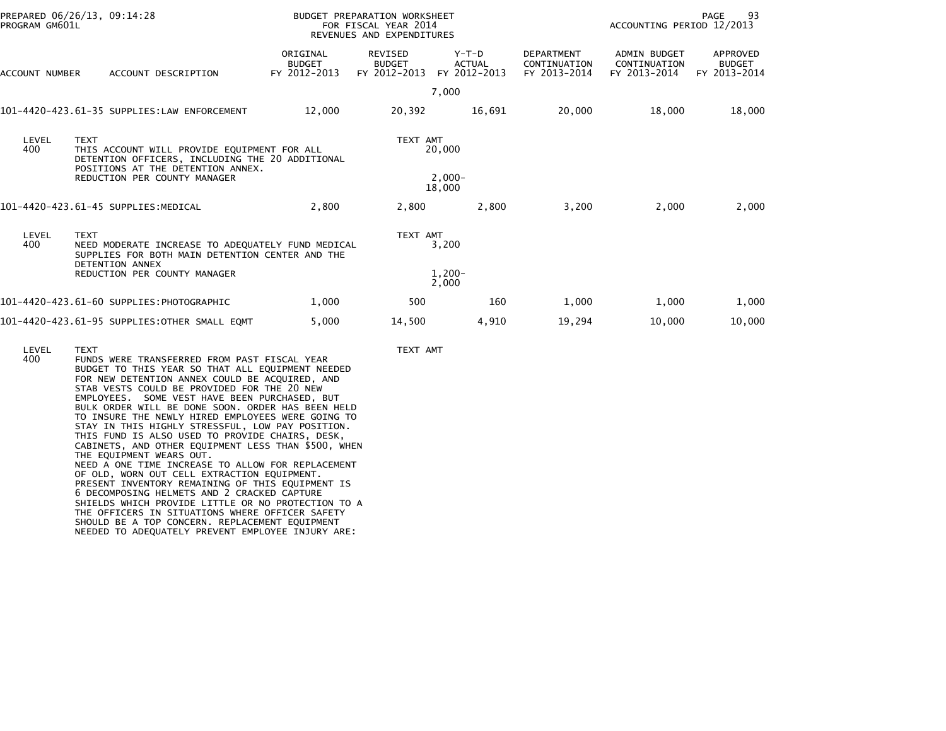| PROGRAM GM601L | PREPARED 06/26/13, 09:14:28                                                                                                                        |                                           | BUDGET PREPARATION WORKSHEET<br>FOR FISCAL YEAR 2014<br>REVENUES AND EXPENDITURES |                                          |                                                   | ACCOUNTING PERIOD 12/2013                           | 93<br>PAGE                                |
|----------------|----------------------------------------------------------------------------------------------------------------------------------------------------|-------------------------------------------|-----------------------------------------------------------------------------------|------------------------------------------|---------------------------------------------------|-----------------------------------------------------|-------------------------------------------|
| ACCOUNT NUMBER | ACCOUNT DESCRIPTION                                                                                                                                | ORIGINAL<br><b>BUDGET</b><br>FY 2012-2013 | REVISED<br><b>BUDGET</b><br>FY 2012-2013                                          | $Y-T-D$<br><b>ACTUAL</b><br>FY 2012-2013 | <b>DEPARTMENT</b><br>CONTINUATION<br>FY 2013-2014 | <b>ADMIN BUDGET</b><br>CONTINUATION<br>FY 2013-2014 | APPROVED<br><b>BUDGET</b><br>FY 2013-2014 |
|                |                                                                                                                                                    |                                           |                                                                                   | 7,000                                    |                                                   |                                                     |                                           |
|                | 101-4420-423.61-35 SUPPLIES:LAW ENFORCEMENT                                                                                                        | 12,000                                    | 20,392                                                                            | 16,691                                   | 20,000                                            | 18,000                                              | 18,000                                    |
| LEVEL<br>400   | <b>TEXT</b><br>THIS ACCOUNT WILL PROVIDE EQUIPMENT FOR ALL<br>DETENTION OFFICERS, INCLUDING THE 20 ADDITIONAL<br>POSITIONS AT THE DETENTION ANNEX. |                                           | TEXT AMT                                                                          | 20,000                                   |                                                   |                                                     |                                           |
|                | REDUCTION PER COUNTY MANAGER                                                                                                                       |                                           |                                                                                   | $2,000-$<br>18,000                       |                                                   |                                                     |                                           |
|                | 101-4420-423.61-45 SUPPLIES:MEDICAL                                                                                                                | 2,800                                     | 2,800                                                                             | 2,800                                    | 3,200                                             | 2,000                                               | 2,000                                     |
| LEVEL<br>400   | <b>TEXT</b><br>NEED MODERATE INCREASE TO ADEQUATELY FUND MEDICAL<br>SUPPLIES FOR BOTH MAIN DETENTION CENTER AND THE<br>DETENTION ANNEX             |                                           | TEXT AMT                                                                          | 3,200                                    |                                                   |                                                     |                                           |
|                | REDUCTION PER COUNTY MANAGER                                                                                                                       |                                           |                                                                                   | $1,200-$<br>2,000                        |                                                   |                                                     |                                           |
|                | 101-4420-423.61-60 SUPPLIES:PHOTOGRAPHIC                                                                                                           | 1,000                                     | 500                                                                               | 160                                      | 1,000                                             | 1,000                                               | 1,000                                     |
|                | 101-4420-423.61-95 SUPPLIES:OTHER SMALL EOMT                                                                                                       | 5,000                                     | 14,500                                                                            | 4,910                                    | 19,294                                            | 10,000                                              | 10,000                                    |

LEVEL TEXT<br>400 FUNDS WERE TRANSFERRED FROM PAST FISCAL YEAR TEXT AMT FUNDS WERE TRANSFERRED FROM PAST FISCAL YEAR BUDGET TO THIS YEAR SO THAT ALL EQUIPMENT NEEDED FOR NEW DETENTION ANNEX COULD BE ACQUIRED, AND STAB VESTS COULD BE PROVIDED FOR THE 20 NEW EMPLOYEES. SOME VEST HAVE BEEN PURCHASED, BUT BULK ORDER WILL BE DONE SOON. ORDER HAS BEEN HELD TO INSURE THE NEWLY HIRED EMPLOYEES WERE GOING TO STAY IN THIS HIGHLY STRESSFUL, LOW PAY POSITION. THIS FUND IS ALSO USED TO PROVIDE CHAIRS, DESK, CABINETS, AND OTHER EQUIPMENT LESS THAN \$500, WHENTHE EQUIPMENT WEARS OUT. NEED A ONE TIME INCREASE TO ALLOW FOR REPLACEMENT OF OLD, WORN OUT CELL EXTRACTION EQUIPMENT. PRESENT INVENTORY REMAINING OF THIS EQUIPMENT IS 6 DECOMPOSING HELMETS AND 2 CRACKED CAPTURE SHIELDS WHICH PROVIDE LITTLE OR NO PROTECTION TO A THE OFFICERS IN SITUATIONS WHERE OFFICER SAFETY SHOULD BE A TOP CONCERN. REPLACEMENT EQUIPMENTNEEDED TO ADEQUATELY PREVENT EMPLOYEE INJURY ARE: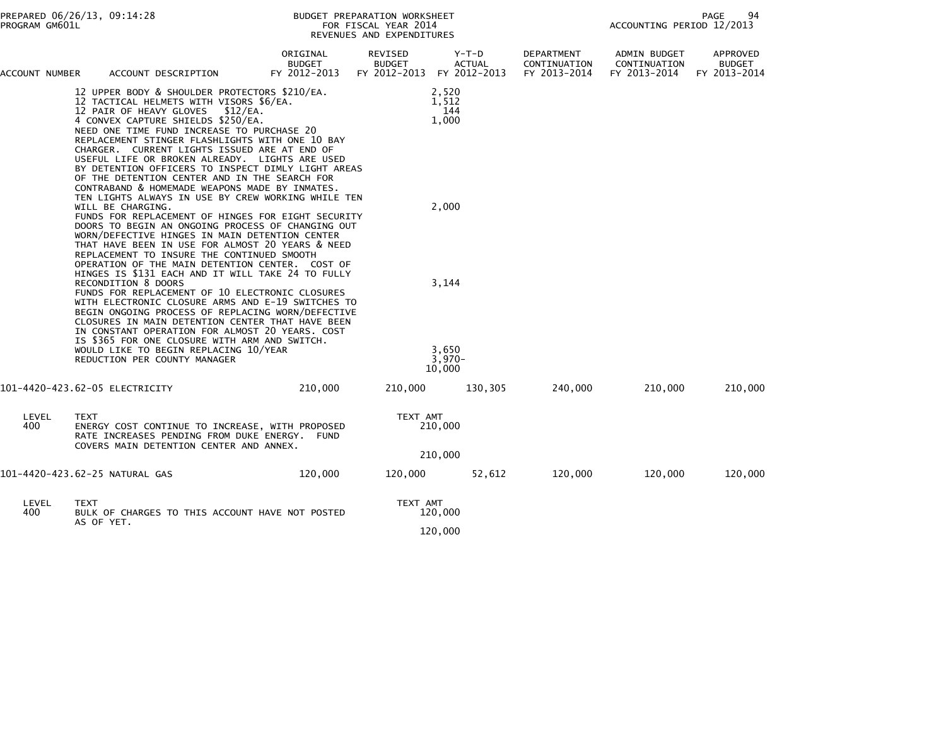| ACCOUNT NUMBER | ACCOUNT DESCRIPTION                                                                                                                                                                                                                                                                                                                                                                                                                                                                                                               | ORIGINAL<br><b>BUDGET</b><br>FY 2012-2013 | REVISED<br><b>BUDGET</b><br>FY 2012-2013 | $Y-T-D$<br><b>ACTUAL</b><br>FY 2012-2013 | <b>DEPARTMENT</b><br>CONTINUATION<br>FY 2013-2014 | <b>ADMIN BUDGET</b><br>CONTINUATION<br>FY 2013-2014 | APPROVED<br><b>BUDGET</b><br>FY 2013-2014 |
|----------------|-----------------------------------------------------------------------------------------------------------------------------------------------------------------------------------------------------------------------------------------------------------------------------------------------------------------------------------------------------------------------------------------------------------------------------------------------------------------------------------------------------------------------------------|-------------------------------------------|------------------------------------------|------------------------------------------|---------------------------------------------------|-----------------------------------------------------|-------------------------------------------|
|                | 12 UPPER BODY & SHOULDER PROTECTORS \$210/EA.<br>12 TACTICAL HELMETS WITH VISORS \$6/EA.<br>12 PAIR OF HEAVY GLOVES<br>\$12/EA.<br>4 CONVEX CAPTURE SHIELDS \$250/EA.<br>NEED ONE TIME FUND INCREASE TO PURCHASE 20<br>REPLACEMENT STINGER FLASHLIGHTS WITH ONE 10 BAY<br>CHARGER. CURRENT LIGHTS ISSUED ARE AT END OF<br>USEFUL LIFE OR BROKEN ALREADY. LIGHTS ARE USED<br>BY DETENTION OFFICERS TO INSPECT DIMLY LIGHT AREAS<br>OF THE DETENTION CENTER AND IN THE SEARCH FOR<br>CONTRABAND & HOMEMADE WEAPONS MADE BY INMATES. |                                           |                                          | 2,520<br>1,512<br>144<br>1,000           |                                                   |                                                     |                                           |
|                | TEN LIGHTS ALWAYS IN USE BY CREW WORKING WHILE TEN                                                                                                                                                                                                                                                                                                                                                                                                                                                                                |                                           |                                          |                                          |                                                   |                                                     |                                           |
|                | WILL BE CHARGING.<br>FUNDS FOR REPLACEMENT OF HINGES FOR EIGHT SECURITY<br>DOORS TO BEGIN AN ONGOING PROCESS OF CHANGING OUT<br>WORN/DEFECTIVE HINGES IN MAIN DETENTION CENTER<br>THAT HAVE BEEN IN USE FOR ALMOST 20 YEARS & NEED<br>REPLACEMENT TO INSURE THE CONTINUED SMOOTH<br>OPERATION OF THE MAIN DETENTION CENTER. COST OF                                                                                                                                                                                               |                                           |                                          | 2,000                                    |                                                   |                                                     |                                           |
|                | HINGES IS \$131 EACH AND IT WILL TAKE 24 TO FULLY<br>RECONDITION 8 DOORS<br>FUNDS FOR REPLACEMENT OF 10 ELECTRONIC CLOSURES<br>WITH ELECTRONIC CLOSURE ARMS AND E-19 SWITCHES TO<br>BEGIN ONGOING PROCESS OF REPLACING WORN/DEFECTIVE<br>CLOSURES IN MAIN DETENTION CENTER THAT HAVE BEEN<br>IN CONSTANT OPERATION FOR ALMOST 20 YEARS. COST<br>IS \$365 FOR ONE CLOSURE WITH ARM AND SWITCH.                                                                                                                                     |                                           |                                          | 3,144                                    |                                                   |                                                     |                                           |
|                | WOULD LIKE TO BEGIN REPLACING 10/YEAR<br>REDUCTION PER COUNTY MANAGER                                                                                                                                                                                                                                                                                                                                                                                                                                                             |                                           |                                          | 3,650<br>$3,970-$                        |                                                   |                                                     |                                           |
|                |                                                                                                                                                                                                                                                                                                                                                                                                                                                                                                                                   |                                           |                                          | 10.000                                   |                                                   |                                                     |                                           |
|                | 101-4420-423.62-05 ELECTRICITY                                                                                                                                                                                                                                                                                                                                                                                                                                                                                                    | 210,000                                   | 210,000                                  | 130,305                                  | 240,000                                           | 210,000                                             | 210,000                                   |
| LEVEL<br>400   | <b>TEXT</b><br>ENERGY COST CONTINUE TO INCREASE, WITH PROPOSED<br>RATE INCREASES PENDING FROM DUKE ENERGY. FUND<br>COVERS MAIN DETENTION CENTER AND ANNEX.                                                                                                                                                                                                                                                                                                                                                                        |                                           | TEXT AMT                                 | 210,000                                  |                                                   |                                                     |                                           |
|                |                                                                                                                                                                                                                                                                                                                                                                                                                                                                                                                                   |                                           |                                          | 210,000                                  |                                                   |                                                     |                                           |
|                | 101-4420-423.62-25 NATURAL GAS                                                                                                                                                                                                                                                                                                                                                                                                                                                                                                    | 120,000                                   | 120,000                                  | 52,612                                   | 120,000                                           | 120,000                                             | 120,000                                   |
| LEVEL<br>400   | TEXT<br>BULK OF CHARGES TO THIS ACCOUNT HAVE NOT POSTED<br>AS OF YET.                                                                                                                                                                                                                                                                                                                                                                                                                                                             |                                           | TEXT AMT                                 | 120,000                                  |                                                   |                                                     |                                           |
|                |                                                                                                                                                                                                                                                                                                                                                                                                                                                                                                                                   |                                           |                                          | 120,000                                  |                                                   |                                                     |                                           |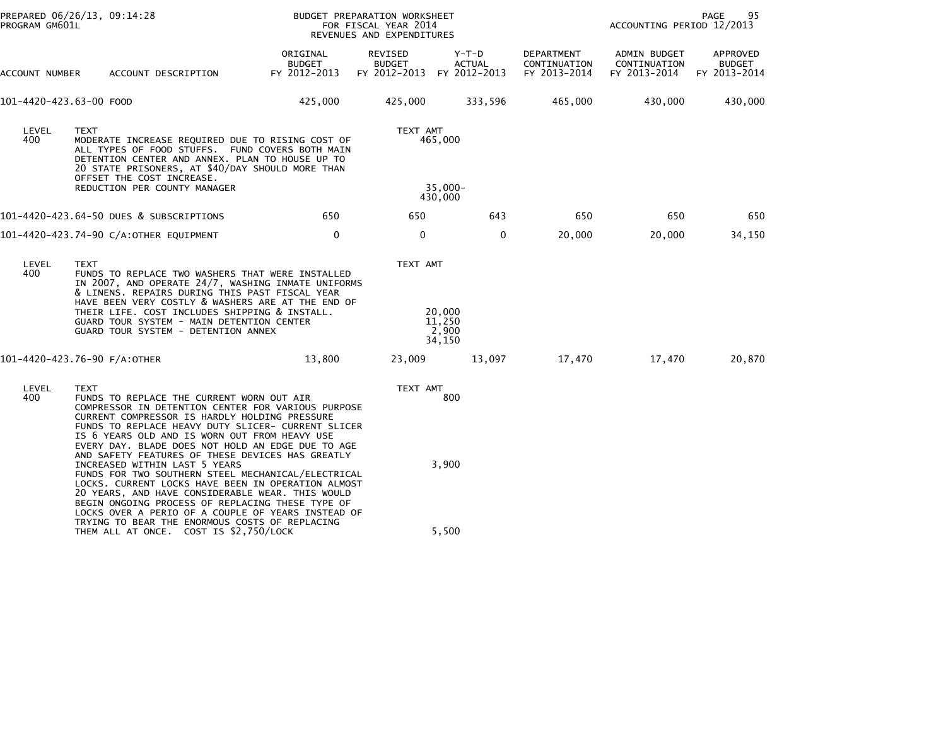| PROGRAM GM601L          | PREPARED 06/26/13, 09:14:28                                                                                                                                                                                                                                                                                                                                       |                                                                                                                                                                                                                                                                                                                                                                                                                                   |                                           | BUDGET PREPARATION WORKSHEET<br>FOR FISCAL YEAR 2014<br>REVENUES AND EXPENDITURES |                                     |                                            | ACCOUNTING PERIOD 12/2013                           | 95<br>PAGE                                |
|-------------------------|-------------------------------------------------------------------------------------------------------------------------------------------------------------------------------------------------------------------------------------------------------------------------------------------------------------------------------------------------------------------|-----------------------------------------------------------------------------------------------------------------------------------------------------------------------------------------------------------------------------------------------------------------------------------------------------------------------------------------------------------------------------------------------------------------------------------|-------------------------------------------|-----------------------------------------------------------------------------------|-------------------------------------|--------------------------------------------|-----------------------------------------------------|-------------------------------------------|
| ACCOUNT NUMBER          |                                                                                                                                                                                                                                                                                                                                                                   | ACCOUNT DESCRIPTION                                                                                                                                                                                                                                                                                                                                                                                                               | ORIGINAL<br><b>BUDGET</b><br>FY 2012-2013 | REVISED<br><b>BUDGET</b><br>FY 2012-2013 FY 2012-2013                             | $Y-T-D$<br><b>ACTUAL</b>            | DEPARTMENT<br>CONTINUATION<br>FY 2013-2014 | <b>ADMIN BUDGET</b><br>CONTINUATION<br>FY 2013-2014 | APPROVED<br><b>BUDGET</b><br>FY 2013-2014 |
| 101-4420-423.63-00 FOOD |                                                                                                                                                                                                                                                                                                                                                                   |                                                                                                                                                                                                                                                                                                                                                                                                                                   | 425,000                                   | 425,000                                                                           | 333,596                             | 465,000                                    | 430,000                                             | 430,000                                   |
| LEVEL<br>400            | <b>TEXT</b><br>OFFSET THE COST INCREASE.<br>REDUCTION PER COUNTY MANAGER                                                                                                                                                                                                                                                                                          | MODERATE INCREASE REQUIRED DUE TO RISING COST OF<br>ALL TYPES OF FOOD STUFFS. FUND COVERS BOTH MAIN<br>DETENTION CENTER AND ANNEX. PLAN TO HOUSE UP TO<br>20 STATE PRISONERS, AT \$40/DAY SHOULD MORE THAN                                                                                                                                                                                                                        |                                           | TEXT AMT                                                                          | 465,000<br>$35,000 -$               |                                            |                                                     |                                           |
|                         |                                                                                                                                                                                                                                                                                                                                                                   |                                                                                                                                                                                                                                                                                                                                                                                                                                   |                                           |                                                                                   | 430,000                             |                                            |                                                     |                                           |
|                         | 101-4420-423.64-50 DUES & SUBSCRIPTIONS                                                                                                                                                                                                                                                                                                                           |                                                                                                                                                                                                                                                                                                                                                                                                                                   | 650                                       | 650                                                                               | 643                                 | 650                                        | 650                                                 | 650                                       |
|                         | 101-4420-423.74-90 C/A:OTHER EQUIPMENT                                                                                                                                                                                                                                                                                                                            |                                                                                                                                                                                                                                                                                                                                                                                                                                   | 0                                         | 0                                                                                 | 0                                   | 20,000                                     | 20,000                                              | 34,150                                    |
| LEVEL<br>400            | <b>TEXT</b><br>FUNDS TO REPLACE TWO WASHERS THAT WERE INSTALLED<br>IN 2007, AND OPERATE 24/7, WASHING INMATE UNIFORMS<br>& LINENS. REPAIRS DURING THIS PAST FISCAL YEAR<br>HAVE BEEN VERY COSTLY & WASHERS ARE AT THE END OF<br>THEIR LIFE. COST INCLUDES SHIPPING & INSTALL.<br>GUARD TOUR SYSTEM - MAIN DETENTION CENTER<br>GUARD TOUR SYSTEM - DETENTION ANNEX |                                                                                                                                                                                                                                                                                                                                                                                                                                   |                                           | TEXT AMT                                                                          | 20,000<br>11,250<br>2,900<br>34,150 |                                            |                                                     |                                           |
|                         | 101-4420-423.76-90 F/A:OTHER                                                                                                                                                                                                                                                                                                                                      |                                                                                                                                                                                                                                                                                                                                                                                                                                   | 13,800                                    | 23,009                                                                            | 13,097                              | 17,470                                     | 17,470                                              | 20,870                                    |
| LEVEL<br>400            | TEXT                                                                                                                                                                                                                                                                                                                                                              | FUNDS TO REPLACE THE CURRENT WORN OUT AIR<br>COMPRESSOR IN DETENTION CENTER FOR VARIOUS PURPOSE<br>CURRENT COMPRESSOR IS HARDLY HOLDING PRESSURE<br>FUNDS TO REPLACE HEAVY DUTY SLICER- CURRENT SLICER<br>IS 6 YEARS OLD AND IS WORN OUT FROM HEAVY USE                                                                                                                                                                           |                                           | TEXT AMT                                                                          | 800                                 |                                            |                                                     |                                           |
|                         | INCREASED WITHIN LAST 5 YEARS                                                                                                                                                                                                                                                                                                                                     | EVERY DAY. BLADE DOES NOT HOLD AN EDGE DUE TO AGE<br>AND SAFETY FEATURES OF THESE DEVICES HAS GREATLY<br>FUNDS FOR TWO SOUTHERN STEEL MECHANICAL/ELECTRICAL<br>LOCKS. CURRENT LOCKS HAVE BEEN IN OPERATION ALMOST<br>20 YEARS, AND HAVE CONSIDERABLE WEAR. THIS WOULD<br>BEGIN ONGOING PROCESS OF REPLACING THESE TYPE OF<br>LOCKS OVER A PERIO OF A COUPLE OF YEARS INSTEAD OF<br>TRYING TO BEAR THE ENORMOUS COSTS OF REPLACING |                                           |                                                                                   | 3,900                               |                                            |                                                     |                                           |
|                         |                                                                                                                                                                                                                                                                                                                                                                   | THEM ALL AT ONCE. COST IS \$2,750/LOCK                                                                                                                                                                                                                                                                                                                                                                                            |                                           |                                                                                   | 5,500                               |                                            |                                                     |                                           |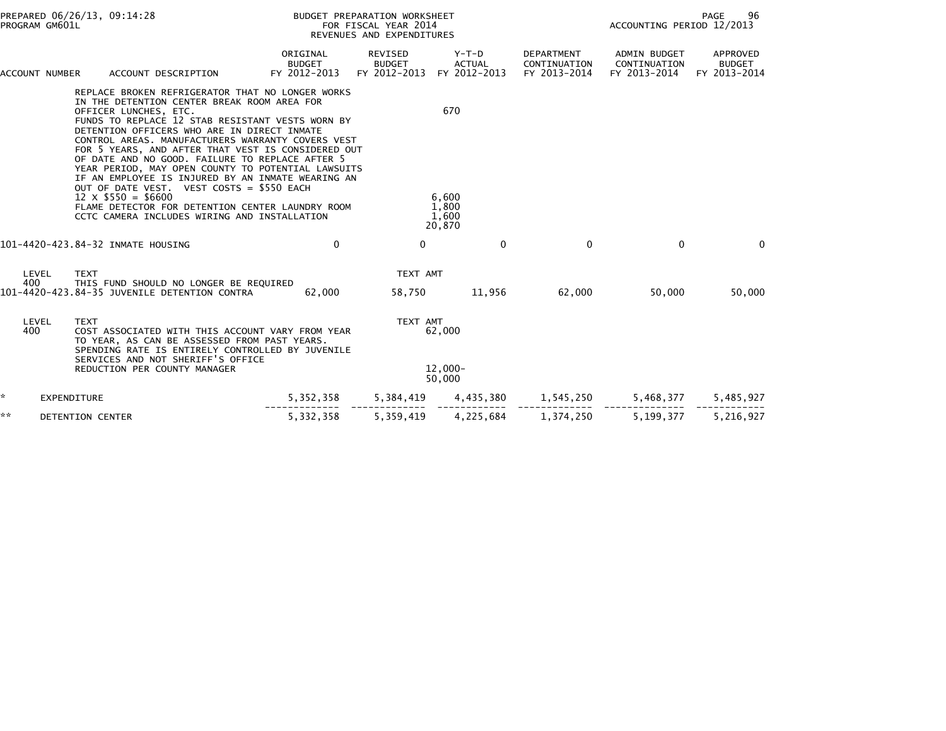| PROGRAM GM601L          | PREPARED 06/26/13, 09:14:28                                                                                                                                                                                                                                                                                                                                                                                                                                                                                                                                                                                                                                                       | BUDGET PREPARATION WORKSHEET<br>FOR FISCAL YEAR 2014<br>REVENUES AND EXPENDITURES |                                                       |                                          |                                            | PAGE<br>96<br>ACCOUNTING PERIOD 12/2013             |                                           |
|-------------------------|-----------------------------------------------------------------------------------------------------------------------------------------------------------------------------------------------------------------------------------------------------------------------------------------------------------------------------------------------------------------------------------------------------------------------------------------------------------------------------------------------------------------------------------------------------------------------------------------------------------------------------------------------------------------------------------|-----------------------------------------------------------------------------------|-------------------------------------------------------|------------------------------------------|--------------------------------------------|-----------------------------------------------------|-------------------------------------------|
| ACCOUNT NUMBER          | ACCOUNT DESCRIPTION                                                                                                                                                                                                                                                                                                                                                                                                                                                                                                                                                                                                                                                               | ORIGINAL<br><b>BUDGET</b><br>FY 2012-2013                                         | REVISED<br><b>BUDGET</b><br>FY 2012-2013 FY 2012-2013 | $Y-T-D$<br><b>ACTUAL</b>                 | DEPARTMENT<br>CONTINUATION<br>FY 2013-2014 | <b>ADMIN BUDGET</b><br>CONTINUATION<br>FY 2013-2014 | APPROVED<br><b>BUDGET</b><br>FY 2013-2014 |
|                         | REPLACE BROKEN REFRIGERATOR THAT NO LONGER WORKS<br>IN THE DETENTION CENTER BREAK ROOM AREA FOR<br>OFFICER LUNCHES, ETC.<br>FUNDS TO REPLACE 12 STAB RESISTANT VESTS WORN BY<br>DETENTION OFFICERS WHO ARE IN DIRECT INMATE<br>CONTROL AREAS. MANUFACTURERS WARRANTY COVERS VEST<br>FOR 5 YEARS, AND AFTER THAT VEST IS CONSIDERED OUT<br>OF DATE AND NO GOOD. FAILURE TO REPLACE AFTER 5<br>YEAR PERIOD, MAY OPEN COUNTY TO POTENTIAL LAWSUITS<br>IF AN EMPLOYEE IS INJURED BY AN INMATE WEARING AN<br>OUT OF DATE VEST. VEST COSTS = \$550 EACH<br>$12 \times $550 = $6600$<br>FLAME DETECTOR FOR DETENTION CENTER LAUNDRY ROOM<br>CCTC CAMERA INCLUDES WIRING AND INSTALLATION |                                                                                   |                                                       | 670<br>6,600<br>1,800<br>1,600<br>20,870 |                                            |                                                     |                                           |
|                         | 101-4420-423.84-32 INMATE HOUSING                                                                                                                                                                                                                                                                                                                                                                                                                                                                                                                                                                                                                                                 | 0                                                                                 | $\Omega$                                              | $\mathbf{0}$                             | $\mathbf{0}$                               | $\mathbf{0}$                                        | $\mathbf{0}$                              |
| LEVEL<br>400            | <b>TEXT</b><br>THIS FUND SHOULD NO LONGER BE REQUIRED<br>101-4420-423.84-35 JUVENILE DETENTION CONTRA                                                                                                                                                                                                                                                                                                                                                                                                                                                                                                                                                                             | 62,000                                                                            | TEXT AMT<br>58,750                                    | 11,956                                   | 62,000                                     | 50,000                                              | 50,000                                    |
| LEVEL<br>400            | <b>TEXT</b><br>COST ASSOCIATED WITH THIS ACCOUNT VARY FROM YEAR<br>TO YEAR, AS CAN BE ASSESSED FROM PAST YEARS.<br>SPENDING RATE IS ENTIRELY CONTROLLED BY JUVENILE<br>SERVICES AND NOT SHERIFF'S OFFICE<br>REDUCTION PER COUNTY MANAGER                                                                                                                                                                                                                                                                                                                                                                                                                                          |                                                                                   | TEXT AMT                                              | 62,000<br>$12.000 -$<br>50,000           |                                            |                                                     |                                           |
| *<br><b>EXPENDITURE</b> |                                                                                                                                                                                                                                                                                                                                                                                                                                                                                                                                                                                                                                                                                   | 5, 352, 358                                                                       | 5,384,419                                             | 4,435,380                                | 1,545,250                                  | 5,468,377                                           | 5,485,927                                 |
| **                      | DETENTION CENTER                                                                                                                                                                                                                                                                                                                                                                                                                                                                                                                                                                                                                                                                  | 5,332,358                                                                         | 5,359,419                                             | 4,225,684                                | 1,374,250                                  | 5,199,377                                           | 5,216,927                                 |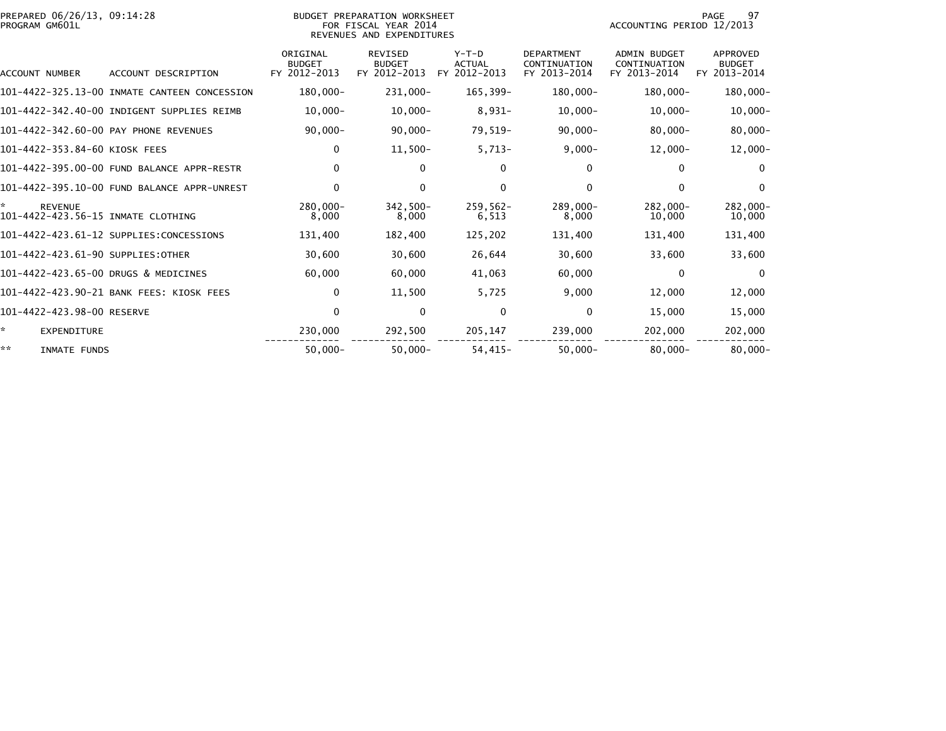| PREPARED 06/26/13, 09:14:28<br>PROGRAM GM601L             |                                              |                                           | BUDGET PREPARATION WORKSHEET<br>FOR FISCAL YEAR 2014<br>REVENUES AND EXPENDITURES |                                          |                                                   | ACCOUNTING PERIOD 12/2013                           | 97<br>PAGE                                       |
|-----------------------------------------------------------|----------------------------------------------|-------------------------------------------|-----------------------------------------------------------------------------------|------------------------------------------|---------------------------------------------------|-----------------------------------------------------|--------------------------------------------------|
| ACCOUNT NUMBER                                            | ACCOUNT DESCRIPTION                          | ORIGINAL<br><b>BUDGET</b><br>FY 2012-2013 | <b>REVISED</b><br><b>BUDGET</b><br>FY 2012-2013                                   | $Y-T-D$<br><b>ACTUAL</b><br>FY 2012-2013 | <b>DEPARTMENT</b><br>CONTINUATION<br>FY 2013-2014 | <b>ADMIN BUDGET</b><br>CONTINUATION<br>FY 2013-2014 | <b>APPROVED</b><br><b>BUDGET</b><br>FY 2013-2014 |
|                                                           | 101-4422-325.13-00 INMATE CANTEEN CONCESSION | $180,000 -$                               | 231,000-                                                                          | 165,399-                                 | 180,000-                                          | 180,000-                                            | $180,000 -$                                      |
|                                                           | 101-4422-342.40-00 INDIGENT SUPPLIES REIMB   | $10,000 -$                                | $10,000-$                                                                         | 8,931-                                   | $10,000-$                                         | $10,000-$                                           | $10,000 -$                                       |
|                                                           | 101-4422-342.60-00 PAY PHONE REVENUES        | $90,000 -$                                | $90,000 -$                                                                        | 79,519-                                  | $90,000 -$                                        | $80,000 -$                                          | $80,000 -$                                       |
| 101–4422–353.84–60 KIOSK FEES                             |                                              | 0                                         | $11,500-$                                                                         | $5,713-$                                 | $9,000-$                                          | $12,000-$                                           | $12,000-$                                        |
|                                                           | 101-4422-395.00-00 FUND BALANCE APPR-RESTR   | $\mathbf 0$                               | $\mathbf{0}$                                                                      | 0                                        | 0                                                 | 0                                                   | $\mathbf{0}$                                     |
|                                                           | 101-4422-395.10-00 FUND BALANCE APPR-UNREST  | $\Omega$                                  | $\mathbf{0}$                                                                      | $\Omega$                                 | 0                                                 | 0                                                   | $\mathbf{0}$                                     |
| *<br><b>REVENUE</b><br>101-4422-423.56-15 INMATE CLOTHING |                                              | $280.000 -$<br>8,000                      | 342.500-<br>8,000                                                                 | $259.562 -$<br>6,513                     | $289.000 -$<br>8,000                              | $282.000 -$<br>10,000                               | 282.000-<br>10,000                               |
|                                                           | 101-4422-423.61-12 SUPPLIES:CONCESSIONS      | 131,400                                   | 182,400                                                                           | 125,202                                  | 131,400                                           | 131,400                                             | 131,400                                          |
| 101-4422-423.61-90 SUPPLIES:OTHER                         |                                              | 30,600                                    | 30,600                                                                            | 26,644                                   | 30,600                                            | 33,600                                              | 33,600                                           |
| 101-4422-423.65-00 DRUGS & MEDICINES                      |                                              | 60,000                                    | 60,000                                                                            | 41,063                                   | 60,000                                            | $\bf{0}$                                            | $\mathbf{0}$                                     |
|                                                           | 101-4422-423.90-21 BANK FEES: KIOSK FEES     | 0                                         | 11,500                                                                            | 5,725                                    | 9,000                                             | 12,000                                              | 12,000                                           |
| 101-4422-423.98-00 RESERVE                                |                                              | $\mathbf 0$                               | $\mathbf{0}$                                                                      | $\Omega$                                 | $\Omega$                                          | 15,000                                              | 15,000                                           |
| ÷.<br><b>EXPENDITURE</b>                                  |                                              | 230,000                                   | 292,500                                                                           | 205,147                                  | 239,000                                           | 202,000                                             | 202,000                                          |
| **<br>INMATE FUNDS                                        |                                              | $50,000 -$                                | $50,000 -$                                                                        | $54,415-$                                | $50,000 -$                                        | $80,000 -$                                          | $80,000 -$                                       |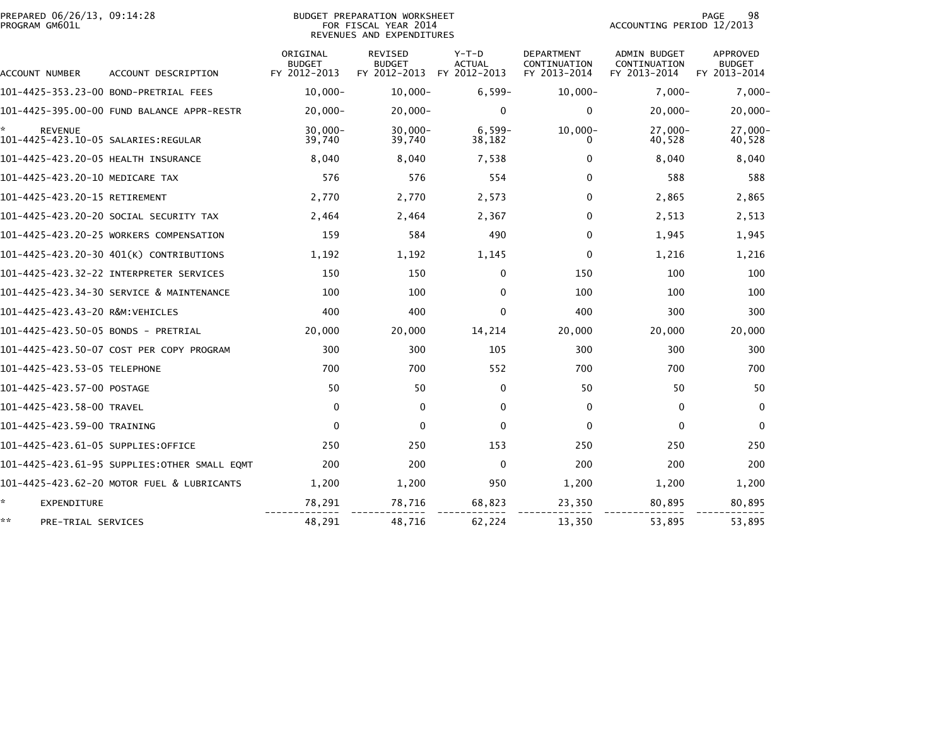| PREPARED 06/26/13, 09:14:28<br>PROGRAM GM601L |                                              |                                           | <b>BUDGET PREPARATION WORKSHEET</b><br>FOR FISCAL YEAR 2014<br>REVENUES AND EXPENDITURES |                                          |                                                   | ACCOUNTING PERIOD 12/2013                           | 98<br>PAGE                                       |
|-----------------------------------------------|----------------------------------------------|-------------------------------------------|------------------------------------------------------------------------------------------|------------------------------------------|---------------------------------------------------|-----------------------------------------------------|--------------------------------------------------|
| ACCOUNT NUMBER                                | ACCOUNT DESCRIPTION                          | ORIGINAL<br><b>BUDGET</b><br>FY 2012-2013 | <b>REVISED</b><br><b>BUDGET</b><br>FY 2012-2013                                          | $Y-T-D$<br><b>ACTUAL</b><br>FY 2012-2013 | <b>DEPARTMENT</b><br>CONTINUATION<br>FY 2013-2014 | <b>ADMIN BUDGET</b><br>CONTINUATION<br>FY 2013-2014 | <b>APPROVED</b><br><b>BUDGET</b><br>FY 2013-2014 |
|                                               | 101-4425-353.23-00 BOND-PRETRIAL FEES        | $10.000 -$                                | $10,000 -$                                                                               | $6,599-$                                 | $10,000 -$                                        | $7,000-$                                            | $7,000-$                                         |
|                                               | 101-4425-395.00-00 FUND BALANCE APPR-RESTR   | $20,000 -$                                | $20,000 -$                                                                               | $\mathbf{0}$                             | $\Omega$                                          | $20,000 -$                                          | $20,000 -$                                       |
| ÷.<br><b>REVENUE</b>                          |                                              | $30.000 -$<br>39,740                      | $30.000 -$<br>39,740                                                                     | $6,599-$<br>38,182                       | $10.000 -$<br>0                                   | $27.000 -$<br>40,528                                | 27.000-<br>40,528                                |
| 101-4425-423.20-05 HEALTH INSURANCE           |                                              | 8,040                                     | 8,040                                                                                    | 7,538                                    | 0                                                 | 8,040                                               | 8,040                                            |
| 101-4425-423.20-10 MEDICARE TAX               |                                              | 576                                       | 576                                                                                      | 554                                      | $\Omega$                                          | 588                                                 | 588                                              |
| 101-4425-423.20-15 RETIREMENT                 |                                              | 2,770                                     | 2,770                                                                                    | 2,573                                    | $\Omega$                                          | 2,865                                               | 2,865                                            |
|                                               | 101–4425–423.20–20 SOCIAL SECURITY TAX       | 2,464                                     | 2,464                                                                                    | 2,367                                    | $\Omega$                                          | 2,513                                               | 2,513                                            |
|                                               | 101-4425-423.20-25 WORKERS COMPENSATION      | 159                                       | 584                                                                                      | 490                                      | 0                                                 | 1,945                                               | 1,945                                            |
|                                               | 101-4425-423.20-30 401(K) CONTRIBUTIONS      | 1,192                                     | 1,192                                                                                    | 1,145                                    | $\Omega$                                          | 1,216                                               | 1,216                                            |
|                                               |                                              | 150                                       | 150                                                                                      | $\mathbf{0}$                             | 150                                               | 100                                                 | 100                                              |
|                                               | 101-4425-423.34-30 SERVICE & MAINTENANCE     | 100                                       | 100                                                                                      | $\mathbf{0}$                             | 100                                               | 100                                                 | 100                                              |
| 101-4425-423.43-20 R&M:VEHICLES               |                                              | 400                                       | 400                                                                                      | $\Omega$                                 | 400                                               | 300                                                 | 300                                              |
| 101-4425-423.50-05 BONDS - PRETRIAL           |                                              | 20,000                                    | 20,000                                                                                   | 14,214                                   | 20,000                                            | 20,000                                              | 20,000                                           |
|                                               | 101-4425-423.50-07 COST PER COPY PROGRAM     | 300                                       | 300                                                                                      | 105                                      | 300                                               | 300                                                 | 300                                              |
| 101-4425-423.53-05 TELEPHONE                  |                                              | 700                                       | 700                                                                                      | 552                                      | 700                                               | 700                                                 | 700                                              |
| 101-4425-423.57-00 POSTAGE                    |                                              | 50                                        | 50                                                                                       | $\Omega$                                 | 50                                                | 50                                                  | 50                                               |
| 101-4425-423.58-00 TRAVEL                     |                                              | $\mathbf 0$                               | $\Omega$                                                                                 | $\mathbf{0}$                             | $\Omega$                                          | $\mathbf 0$                                         | $\mathbf{0}$                                     |
| 101-4425-423.59-00 TRAINING                   |                                              | $\Omega$                                  | $\Omega$                                                                                 | $\Omega$                                 | $\Omega$                                          | $\mathbf{0}$                                        | $\Omega$                                         |
| 101–4425–423.61–05 SUPPLIES:OFFICE            |                                              | 250                                       | 250                                                                                      | 153                                      | 250                                               | 250                                                 | 250                                              |
|                                               | 101-4425-423.61-95 SUPPLIES:OTHER SMALL EQMT | 200                                       | 200                                                                                      | $\mathbf 0$                              | 200                                               | 200                                                 | 200                                              |
|                                               | 101-4425-423.62-20 MOTOR FUEL & LUBRICANTS   | 1.200                                     | 1,200                                                                                    | 950                                      | 1,200                                             | 1,200                                               | 1,200                                            |
| *<br><b>EXPENDITURE</b>                       |                                              | 78,291                                    | 78,716                                                                                   | 68,823                                   | 23,350                                            | 80,895                                              | 80,895                                           |
| **<br>PRE-TRIAL SERVICES                      |                                              | 48,291                                    | 48,716                                                                                   | 62,224                                   | 13,350                                            | 53,895                                              | 53,895                                           |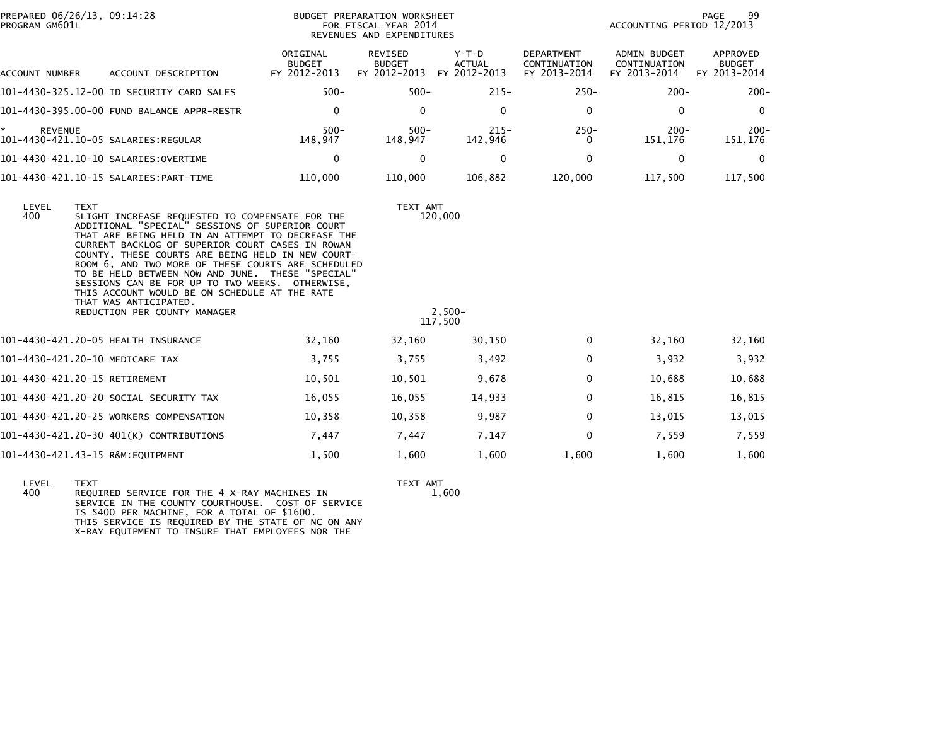|                                                                                                                                                                                                                                                                                                                                                                                                                                                                                                                                                                      |                                                                                                                                                                                                                                                                                                                                                                                                                                                      |                                                    |                                                                                                                                                                     |                                                     | PAGE<br>99                         |
|----------------------------------------------------------------------------------------------------------------------------------------------------------------------------------------------------------------------------------------------------------------------------------------------------------------------------------------------------------------------------------------------------------------------------------------------------------------------------------------------------------------------------------------------------------------------|------------------------------------------------------------------------------------------------------------------------------------------------------------------------------------------------------------------------------------------------------------------------------------------------------------------------------------------------------------------------------------------------------------------------------------------------------|----------------------------------------------------|---------------------------------------------------------------------------------------------------------------------------------------------------------------------|-----------------------------------------------------|------------------------------------|
| <b>BUDGET</b>                                                                                                                                                                                                                                                                                                                                                                                                                                                                                                                                                        | REVISED<br><b>BUDGET</b>                                                                                                                                                                                                                                                                                                                                                                                                                             | Y-T-D<br><b>ACTUAL</b>                             | DEPARTMENT<br>CONTINUATION<br>FY 2013-2014                                                                                                                          | <b>ADMIN BUDGET</b><br>CONTINUATION<br>FY 2013-2014 | APPROVED<br>BUDGET<br>FY 2013-2014 |
| $500 -$                                                                                                                                                                                                                                                                                                                                                                                                                                                                                                                                                              | $500 -$                                                                                                                                                                                                                                                                                                                                                                                                                                              | $215 -$                                            | $250 -$                                                                                                                                                             | $200 -$                                             | $200 -$                            |
| $\mathbf 0$                                                                                                                                                                                                                                                                                                                                                                                                                                                                                                                                                          | $\mathbf 0$                                                                                                                                                                                                                                                                                                                                                                                                                                          | $\mathbf{0}$                                       | $\mathbf 0$                                                                                                                                                         | 0                                                   | $\overline{0}$                     |
| $500 -$<br>148,947                                                                                                                                                                                                                                                                                                                                                                                                                                                                                                                                                   | $500 -$<br>148,947                                                                                                                                                                                                                                                                                                                                                                                                                                   | $215 -$<br>142,946                                 | $250 -$<br>$\Omega$                                                                                                                                                 | $200 -$<br>151,176                                  | $200 -$<br>151,176                 |
| $\mathbf 0$                                                                                                                                                                                                                                                                                                                                                                                                                                                                                                                                                          | $\mathbf{0}$                                                                                                                                                                                                                                                                                                                                                                                                                                         | $\mathbf{0}$                                       | $\Omega$                                                                                                                                                            | 0                                                   | $\mathbf{0}$                       |
| 110,000                                                                                                                                                                                                                                                                                                                                                                                                                                                                                                                                                              | 110,000                                                                                                                                                                                                                                                                                                                                                                                                                                              | 106,882                                            | 120,000                                                                                                                                                             | 117,500                                             | 117,500                            |
|                                                                                                                                                                                                                                                                                                                                                                                                                                                                                                                                                                      |                                                                                                                                                                                                                                                                                                                                                                                                                                                      |                                                    |                                                                                                                                                                     |                                                     |                                    |
| 32,160                                                                                                                                                                                                                                                                                                                                                                                                                                                                                                                                                               | 32,160                                                                                                                                                                                                                                                                                                                                                                                                                                               | 30,150                                             | $\Omega$                                                                                                                                                            | 32,160                                              | 32,160                             |
| 3,755                                                                                                                                                                                                                                                                                                                                                                                                                                                                                                                                                                | 3,755                                                                                                                                                                                                                                                                                                                                                                                                                                                | 3,492                                              | $\mathbf 0$                                                                                                                                                         | 3,932                                               | 3,932                              |
| 10,501                                                                                                                                                                                                                                                                                                                                                                                                                                                                                                                                                               | 10,501                                                                                                                                                                                                                                                                                                                                                                                                                                               | 9,678                                              | $\mathbf{0}$                                                                                                                                                        | 10,688                                              | 10,688                             |
| 16,055                                                                                                                                                                                                                                                                                                                                                                                                                                                                                                                                                               | 16,055                                                                                                                                                                                                                                                                                                                                                                                                                                               | 14,933                                             | 0                                                                                                                                                                   | 16,815                                              | 16,815                             |
| 10,358                                                                                                                                                                                                                                                                                                                                                                                                                                                                                                                                                               | 10,358                                                                                                                                                                                                                                                                                                                                                                                                                                               | 9,987                                              | $\mathbf{0}$                                                                                                                                                        | 13,015                                              | 13,015                             |
| 7,447                                                                                                                                                                                                                                                                                                                                                                                                                                                                                                                                                                | 7,447                                                                                                                                                                                                                                                                                                                                                                                                                                                | 7,147                                              | $\Omega$                                                                                                                                                            | 7,559                                               | 7,559                              |
| 1,500                                                                                                                                                                                                                                                                                                                                                                                                                                                                                                                                                                | 1,600                                                                                                                                                                                                                                                                                                                                                                                                                                                | 1,600                                              | 1,600                                                                                                                                                               | 1,600                                               | 1,600                              |
| PREPARED 06/26/13, 09:14:28<br>ACCOUNT DESCRIPTION<br>101-4430-325.12-00 ID SECURITY CARD SALES<br>101-4430-395.00-00 FUND BALANCE APPR-RESTR<br>101-4430-421.10-05 SALARIES:REGULAR<br>101-4430-421.10-10 SALARIES:OVERTIME<br>THAT WAS ANTICIPATED.<br>REDUCTION PER COUNTY MANAGER<br>101-4430-421.20-05 HEALTH INSURANCE<br>101-4430-421.20-10 MEDICARE TAX<br>101-4430-421.20-15 RETIREMENT<br>101-4430-421.20-20 SOCIAL SECURITY TAX<br>101-4430-421.20-25 WORKERS COMPENSATION<br>101-4430-421.20-30 401(K) CONTRIBUTIONS<br>101-4430-421.43-15 R&M:EQUIPMENT | ORIGINAL<br>FY 2012-2013<br>SLIGHT INCREASE REQUESTED TO COMPENSATE FOR THE<br>ADDITIONAL "SPECIAL" SESSIONS OF SUPERIOR COURT<br>THAT ARE BEING HELD IN AN ATTEMPT TO DECREASE THE<br>CURRENT BACKLOG OF SUPERIOR COURT CASES IN ROWAN<br>COUNTY. THESE COURTS ARE BEING HELD IN NEW COURT-<br>TO BE HELD BETWEEN NOW AND JUNE. THESE "SPECIAL"<br>SESSIONS CAN BE FOR UP TO TWO WEEKS. OTHERWISE,<br>THIS ACCOUNT WOULD BE ON SCHEDULE AT THE RATE | ROOM 6, AND TWO MORE OF THESE COURTS ARE SCHEDULED | <b>BUDGET PREPARATION WORKSHEET</b><br>FOR FISCAL YEAR 2014<br>REVENUES AND EXPENDITURES<br>FY 2012-2013 FY 2012-2013<br>TEXT AMT<br>120,000<br>$2,500-$<br>117,500 |                                                     | ACCOUNTING PERIOD 12/2013          |

LEVEL TEXT TEXT AMT 400 REQUIRED SERVICE FOR THE 4 X-RAY MACHINES IN 1,600 SERVICE IN THE COUNTY COURTHOUSE. COST OF SERVICE IS \$400 PER MACHINE, FOR A TOTAL OF \$1600. THIS SERVICE IS REQUIRED BY THE STATE OF NC ON ANY X-RAY EQUIPMENT TO INSURE THAT EMPLOYEES NOR THE

 $1,600$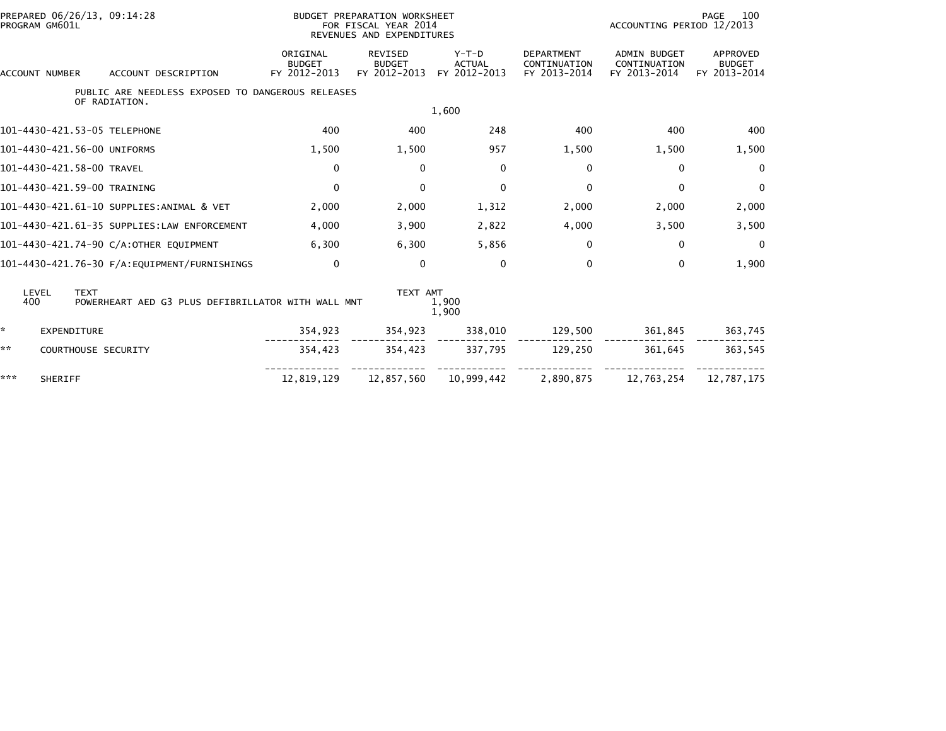| PROGRAM GM601L        | PREPARED 06/26/13, 09:14:28                                        |                                           | BUDGET PREPARATION WORKSHEET<br>FOR FISCAL YEAR 2014<br>REVENUES AND EXPENDITURES |                                          |                                                   | ACCOUNTING PERIOD 12/2013                           | 100<br>PAGE                               |
|-----------------------|--------------------------------------------------------------------|-------------------------------------------|-----------------------------------------------------------------------------------|------------------------------------------|---------------------------------------------------|-----------------------------------------------------|-------------------------------------------|
| ACCOUNT NUMBER        | ACCOUNT DESCRIPTION                                                | ORIGINAL<br><b>BUDGET</b><br>FY 2012-2013 | <b>REVISED</b><br><b>BUDGET</b><br>FY 2012-2013                                   | $Y-T-D$<br><b>ACTUAL</b><br>FY 2012-2013 | <b>DEPARTMENT</b><br>CONTINUATION<br>FY 2013-2014 | <b>ADMIN BUDGET</b><br>CONTINUATION<br>FY 2013-2014 | APPROVED<br><b>BUDGET</b><br>FY 2013-2014 |
|                       | PUBLIC ARE NEEDLESS EXPOSED TO DANGEROUS RELEASES<br>OF RADIATION. |                                           |                                                                                   |                                          |                                                   |                                                     |                                           |
|                       |                                                                    |                                           |                                                                                   | 1,600                                    |                                                   |                                                     |                                           |
|                       | 101-4430-421.53-05 TELEPHONE                                       | 400                                       | 400                                                                               | 248                                      | 400                                               | 400                                                 | 400                                       |
|                       | 101-4430-421.56-00 UNIFORMS                                        | 1,500                                     | 1,500                                                                             | 957                                      | 1,500                                             | 1,500                                               | 1,500                                     |
|                       | 101-4430-421.58-00 TRAVEL                                          | $\mathbf{0}$                              | $\mathbf{0}$                                                                      | $\mathbf{0}$                             | 0                                                 | 0                                                   | $\Omega$                                  |
|                       | 101-4430-421.59-00 TRAINING                                        | $\mathbf 0$                               | $\mathbf{0}$                                                                      | $\mathbf{0}$                             | $\mathbf{0}$                                      | 0                                                   | $\mathbf{0}$                              |
|                       | 101-4430-421.61-10 SUPPLIES:ANIMAL & VET                           | 2,000                                     | 2,000                                                                             | 1,312                                    | 2,000                                             | 2,000                                               | 2,000                                     |
|                       | 101-4430-421.61-35 SUPPLIES:LAW ENFORCEMENT                        | 4,000                                     | 3,900                                                                             | 2,822                                    | 4,000                                             | 3,500                                               | 3,500                                     |
|                       | 101-4430-421.74-90 C/A:OTHER EQUIPMENT                             | 6,300                                     | 6,300                                                                             | 5,856                                    | 0                                                 | 0                                                   | $\Omega$                                  |
|                       | 101-4430-421.76-30 F/A:EQUIPMENT/FURNISHINGS                       | $\Omega$                                  | $\Omega$                                                                          | $\mathbf{0}$                             | 0                                                 | 0                                                   | 1,900                                     |
| LEVEL<br>400          | <b>TEXT</b><br>POWERHEART AED G3 PLUS DEFIBRILLATOR WITH WALL MNT  |                                           | TEXT AMT                                                                          | 1,900<br>1,900                           |                                                   |                                                     |                                           |
| ×.                    | <b>EXPENDITURE</b>                                                 | 354,923                                   | 354,923                                                                           | 338,010                                  | 129,500                                           | 361,845                                             | 363,745                                   |
| **                    | COURTHOUSE SECURITY                                                | 354,423                                   | 354,423                                                                           | 337,795                                  | 129,250                                           | 361,645                                             | 363,545                                   |
| ***<br><b>SHERIFF</b> |                                                                    | 12,819,129                                | 12,857,560                                                                        | 10,999,442                               | 2,890,875                                         | 12,763,254                                          | 12,787,175                                |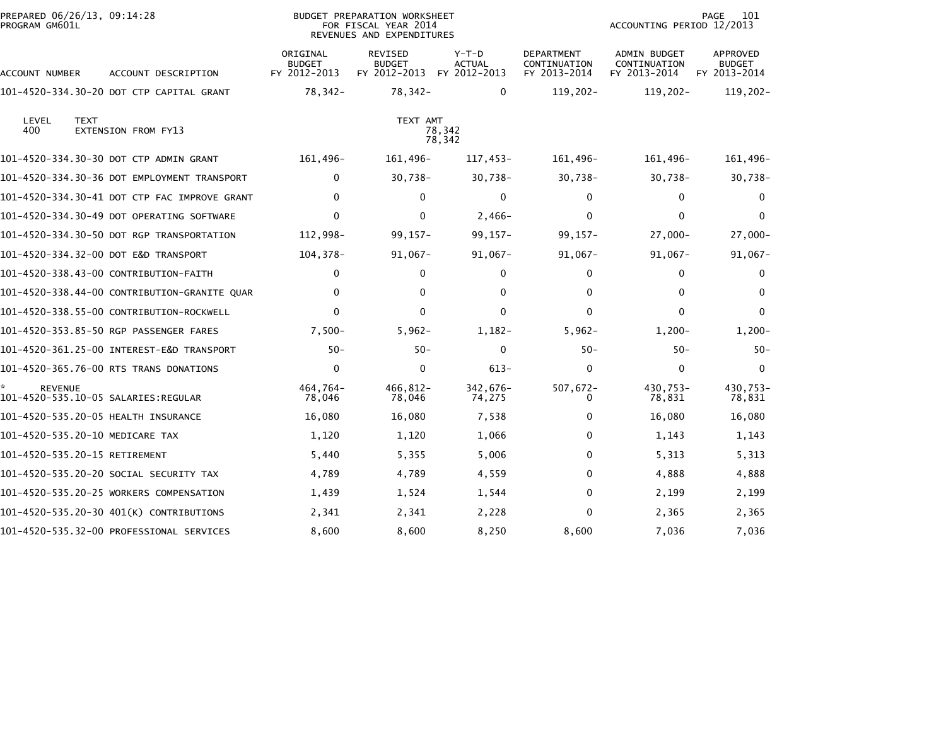| PREPARED 06/26/13, 09:14:28<br>PROGRAM GM601L |             |                                              |                                           | <b>BUDGET PREPARATION WORKSHEET</b><br>FOR FISCAL YEAR 2014<br>REVENUES AND EXPENDITURES |                                          |                                                   | ACCOUNTING PERIOD 12/2013                           | 101<br>PAGE                                      |
|-----------------------------------------------|-------------|----------------------------------------------|-------------------------------------------|------------------------------------------------------------------------------------------|------------------------------------------|---------------------------------------------------|-----------------------------------------------------|--------------------------------------------------|
| ACCOUNT NUMBER                                |             | ACCOUNT DESCRIPTION                          | ORIGINAL<br><b>BUDGET</b><br>FY 2012-2013 | <b>REVISED</b><br><b>BUDGET</b><br>FY 2012-2013                                          | $Y-T-D$<br><b>ACTUAL</b><br>FY 2012-2013 | <b>DEPARTMENT</b><br>CONTINUATION<br>FY 2013-2014 | <b>ADMIN BUDGET</b><br>CONTINUATION<br>FY 2013-2014 | <b>APPROVED</b><br><b>BUDGET</b><br>FY 2013-2014 |
|                                               |             | 101-4520-334.30-20 DOT CTP CAPITAL GRANT     | 78,342-                                   | 78,342-                                                                                  | $\mathbf{0}$                             | $119,202 -$                                       | $119,202 -$                                         | $119,202 -$                                      |
| LEVEL<br>400                                  | <b>TEXT</b> | EXTENSION FROM FY13                          |                                           | TEXT AMT                                                                                 | 78,342<br>78,342                         |                                                   |                                                     |                                                  |
|                                               |             | 101-4520-334.30-30 DOT CTP ADMIN GRANT       | 161,496-                                  | 161,496-                                                                                 | 117,453-                                 | 161,496-                                          | 161,496-                                            | 161,496-                                         |
|                                               |             | 101-4520-334.30-36 DOT EMPLOYMENT TRANSPORT  | 0                                         | $30,738-$                                                                                | $30,738-$                                | $30,738 -$                                        | $30,738 -$                                          | $30,738 -$                                       |
|                                               |             | 101-4520-334.30-41 DOT CTP FAC IMPROVE GRANT | $\mathbf{0}$                              | $\Omega$                                                                                 | $\mathbf{0}$                             | $\Omega$                                          | 0                                                   | $\mathbf{0}$                                     |
|                                               |             | 101-4520-334.30-49 DOT OPERATING SOFTWARE    | $\mathbf{0}$                              | $\Omega$                                                                                 | $2,466-$                                 | 0                                                 | 0                                                   | $\Omega$                                         |
|                                               |             | 101-4520-334.30-50 DOT RGP TRANSPORTATION    | 112,998-                                  | $99, 157 -$                                                                              | $99, 157 -$                              | $99, 157 -$                                       | $27,000-$                                           | $27,000-$                                        |
|                                               |             | 101-4520-334.32-00 DOT E&D TRANSPORT         | 104,378-                                  | $91,067 -$                                                                               | $91,067 -$                               | $91,067 -$                                        | $91,067 -$                                          | $91,067 -$                                       |
|                                               |             | 101-4520-338.43-00 CONTRIBUTION-FAITH        | $\mathbf{0}$                              | $\mathbf{0}$                                                                             | 0                                        | 0                                                 | 0                                                   | 0                                                |
|                                               |             | 101-4520-338.44-00 CONTRIBUTION-GRANITE QUAR | $\mathbf{0}$                              | $\mathbf{0}$                                                                             | $\Omega$                                 | 0                                                 | $\Omega$                                            | $\Omega$                                         |
|                                               |             | 101-4520-338.55-00 CONTRIBUTION-ROCKWELL     | $\mathbf{0}$                              | $\Omega$                                                                                 | $\mathbf{0}$                             | 0                                                 | $\Omega$                                            | $\Omega$                                         |
|                                               |             | 101-4520-353.85-50 RGP PASSENGER FARES       | $7,500-$                                  | $5,962-$                                                                                 | $1,182-$                                 | $5,962-$                                          | $1,200-$                                            | $1,200-$                                         |
|                                               |             |                                              | $50 -$                                    | $50 -$                                                                                   | 0                                        | $50 -$                                            | $50 -$                                              | $50 -$                                           |
|                                               |             | 101-4520-365.76-00 RTS TRANS DONATIONS       | $\mathbf 0$                               | $\Omega$                                                                                 | $613 -$                                  | $\Omega$                                          | $\Omega$                                            | $\Omega$                                         |
| <b>REVENUE</b>                                |             | 101-4520-535.10-05 SALARIES:REGULAR          | 464,764-<br>78,046                        | 466,812-<br>78,046                                                                       | 342,676-<br>74,275                       | 507,672-<br>0                                     | 430,753-<br>78,831                                  | 430,753-<br>78,831                               |
|                                               |             | 101-4520-535.20-05 HEALTH INSURANCE          | 16,080                                    | 16,080                                                                                   | 7,538                                    | 0                                                 | 16,080                                              | 16,080                                           |
|                                               |             | 101-4520-535.20-10 MEDICARE TAX              | 1,120                                     | 1,120                                                                                    | 1,066                                    | 0                                                 | 1,143                                               | 1,143                                            |
| 101-4520-535.20-15 RETIREMENT                 |             |                                              | 5,440                                     | 5,355                                                                                    | 5,006                                    | 0                                                 | 5,313                                               | 5,313                                            |
|                                               |             | 101-4520-535.20-20 SOCIAL SECURITY TAX       | 4,789                                     | 4,789                                                                                    | 4,559                                    | 0                                                 | 4,888                                               | 4,888                                            |
|                                               |             | 101-4520-535.20-25 WORKERS COMPENSATION      | 1,439                                     | 1,524                                                                                    | 1,544                                    | 0                                                 | 2,199                                               | 2,199                                            |
|                                               |             | 101-4520-535.20-30 401(K) CONTRIBUTIONS      | 2,341                                     | 2,341                                                                                    | 2,228                                    | 0                                                 | 2,365                                               | 2,365                                            |
|                                               |             | 101-4520-535.32-00 PROFESSIONAL SERVICES     | 8,600                                     | 8,600                                                                                    | 8,250                                    | 8,600                                             | 7,036                                               | 7,036                                            |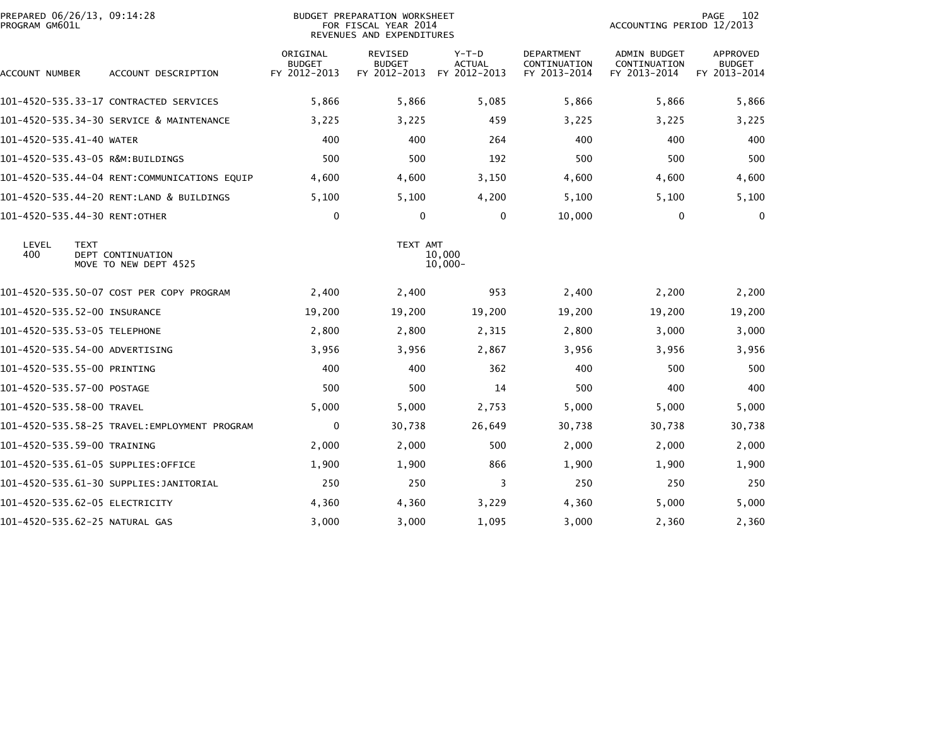| PREPARED 06/26/13, 09:14:28<br>PROGRAM GM601L |                                               |                                           | BUDGET PREPARATION WORKSHEET<br>FOR FISCAL YEAR 2014<br>REVENUES AND EXPENDITURES |                                          |                                                   | ACCOUNTING PERIOD 12/2013                    | 102<br>PAGE                                      |
|-----------------------------------------------|-----------------------------------------------|-------------------------------------------|-----------------------------------------------------------------------------------|------------------------------------------|---------------------------------------------------|----------------------------------------------|--------------------------------------------------|
| ACCOUNT NUMBER                                | ACCOUNT DESCRIPTION                           | ORIGINAL<br><b>BUDGET</b><br>FY 2012-2013 | <b>REVISED</b><br><b>BUDGET</b><br>FY 2012-2013                                   | $Y-T-D$<br><b>ACTUAL</b><br>FY 2012-2013 | <b>DEPARTMENT</b><br>CONTINUATION<br>FY 2013-2014 | ADMIN BUDGET<br>CONTINUATION<br>FY 2013-2014 | <b>APPROVED</b><br><b>BUDGET</b><br>FY 2013-2014 |
|                                               | 101-4520-535.33-17 CONTRACTED SERVICES        | 5,866                                     | 5,866                                                                             | 5,085                                    | 5,866                                             | 5,866                                        | 5,866                                            |
|                                               | 101-4520-535.34-30 SERVICE & MAINTENANCE      | 3,225                                     | 3,225                                                                             | 459                                      | 3,225                                             | 3,225                                        | 3,225                                            |
| 101-4520-535.41-40 WATER                      |                                               | 400                                       | 400                                                                               | 264                                      | 400                                               | 400                                          | 400                                              |
|                                               | 101-4520-535.43-05 R&M:BUILDINGS              | 500                                       | 500                                                                               | 192                                      | 500                                               | 500                                          | 500                                              |
|                                               | 101-4520-535.44-04 RENT:COMMUNICATIONS EQUIP  | 4,600                                     | 4,600                                                                             | 3,150                                    | 4,600                                             | 4,600                                        | 4,600                                            |
|                                               | 101-4520-535.44-20 RENT:LAND & BUILDINGS      | 5,100                                     | 5,100                                                                             | 4,200                                    | 5,100                                             | 5,100                                        | 5,100                                            |
| 101-4520-535.44-30 RENT:OTHER                 |                                               | $\mathbf 0$                               | 0                                                                                 | 0                                        | 10,000                                            | 0                                            | $\mathbf 0$                                      |
| LEVEL<br><b>TEXT</b><br>400                   | DEPT CONTINUATION<br>MOVE TO NEW DEPT 4525    |                                           | TEXT AMT                                                                          | 10,000<br>$10,000 -$                     |                                                   |                                              |                                                  |
|                                               | 101-4520-535.50-07 COST PER COPY PROGRAM      | 2,400                                     | 2,400                                                                             | 953                                      | 2,400                                             | 2,200                                        | 2,200                                            |
| 101-4520-535.52-00 INSURANCE                  |                                               | 19,200                                    | 19,200                                                                            | 19,200                                   | 19,200                                            | 19,200                                       | 19,200                                           |
| 101-4520-535.53-05 TELEPHONE                  |                                               | 2,800                                     | 2,800                                                                             | 2,315                                    | 2,800                                             | 3,000                                        | 3,000                                            |
| 101-4520-535.54-00 ADVERTISING                |                                               | 3,956                                     | 3,956                                                                             | 2,867                                    | 3,956                                             | 3,956                                        | 3,956                                            |
| 101-4520-535.55-00 PRINTING                   |                                               | 400                                       | 400                                                                               | 362                                      | 400                                               | 500                                          | 500                                              |
| 101-4520-535.57-00 POSTAGE                    |                                               | 500                                       | 500                                                                               | 14                                       | 500                                               | 400                                          | 400                                              |
| 101-4520-535.58-00 TRAVEL                     |                                               | 5,000                                     | 5,000                                                                             | 2,753                                    | 5,000                                             | 5,000                                        | 5,000                                            |
|                                               | 101-4520-535.58-25 TRAVEL: EMPLOYMENT PROGRAM | 0                                         | 30,738                                                                            | 26,649                                   | 30,738                                            | 30,738                                       | 30,738                                           |
| 101-4520-535.59-00 TRAINING                   |                                               | 2,000                                     | 2,000                                                                             | 500                                      | 2,000                                             | 2,000                                        | 2,000                                            |
|                                               | 101-4520-535.61-05 SUPPLIES:OFFICE            | 1,900                                     | 1,900                                                                             | 866                                      | 1,900                                             | 1,900                                        | 1,900                                            |
|                                               | 101-4520-535.61-30 SUPPLIES:JANITORIAL        | 250                                       | 250                                                                               | 3                                        | 250                                               | 250                                          | 250                                              |
| 101-4520-535.62-05 ELECTRICITY                |                                               | 4,360                                     | 4,360                                                                             | 3,229                                    | 4,360                                             | 5,000                                        | 5,000                                            |
| 101-4520-535.62-25 NATURAL GAS                |                                               | 3,000                                     | 3,000                                                                             | 1,095                                    | 3,000                                             | 2,360                                        | 2,360                                            |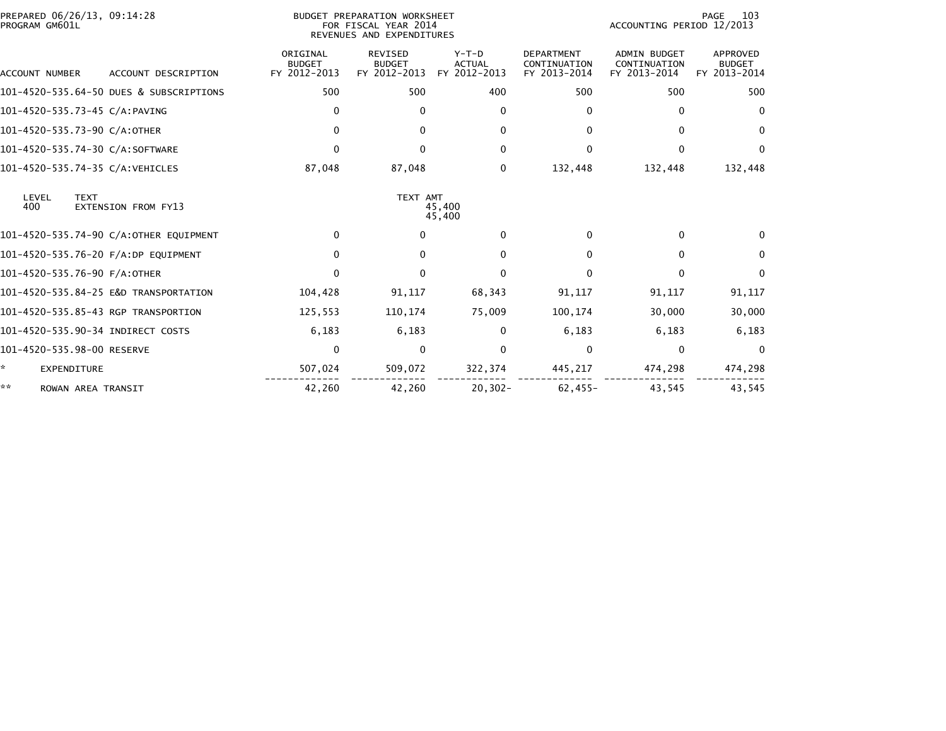| PREPARED 06/26/13, 09:14:28<br>PROGRAM GM601L |                                         |                                           | BUDGET PREPARATION WORKSHEET<br>FOR FISCAL YEAR 2014<br>REVENUES AND EXPENDITURES |                                          |                                                   | ACCOUNTING PERIOD 12/2013                           | 103<br>PAGE                                      |
|-----------------------------------------------|-----------------------------------------|-------------------------------------------|-----------------------------------------------------------------------------------|------------------------------------------|---------------------------------------------------|-----------------------------------------------------|--------------------------------------------------|
| <b>ACCOUNT NUMBER</b>                         | ACCOUNT DESCRIPTION                     | ORIGINAL<br><b>BUDGET</b><br>FY 2012-2013 | <b>REVISED</b><br><b>BUDGET</b><br>FY 2012-2013                                   | $Y-T-D$<br><b>ACTUAL</b><br>FY 2012-2013 | <b>DEPARTMENT</b><br>CONTINUATION<br>FY 2013-2014 | <b>ADMIN BUDGET</b><br>CONTINUATION<br>FY 2013-2014 | <b>APPROVED</b><br><b>BUDGET</b><br>FY 2013-2014 |
|                                               | 101-4520-535.64-50 DUES & SUBSCRIPTIONS | 500                                       | 500                                                                               | 400                                      | 500                                               | 500                                                 | 500                                              |
| 101-4520-535.73-45 C/A:PAVING                 |                                         | 0                                         | $\mathbf{0}$                                                                      | $\Omega$                                 | $\Omega$                                          | $\Omega$                                            | $\mathbf{0}$                                     |
| 101-4520-535.73-90 C/A:OTHER                  |                                         | $\mathbf{0}$                              | $\mathbf{0}$                                                                      | $\Omega$                                 | 0                                                 | 0                                                   | $\mathbf{0}$                                     |
| 101-4520-535.74-30 C/A:SOFTWARE               |                                         | $\mathbf{0}$                              | $\Omega$                                                                          | $\Omega$                                 | 0                                                 | 0                                                   | $\Omega$                                         |
| 101-4520-535.74-35 C/A:VEHICLES               |                                         | 87,048                                    | 87,048                                                                            | 0                                        | 132,448                                           | 132,448                                             | 132,448                                          |
| LEVEL<br><b>TEXT</b><br>400                   | <b>EXTENSION FROM FY13</b>              |                                           | TEXT AMT                                                                          | 45,400<br>45,400                         |                                                   |                                                     |                                                  |
|                                               | 101-4520-535.74-90 C/A:OTHER EQUIPMENT  | $\Omega$                                  | $\Omega$                                                                          | $\Omega$                                 | 0                                                 | 0                                                   | 0                                                |
|                                               | 101-4520-535.76-20 F/A:DP EQUIPMENT     | $\mathbf{0}$                              | $\mathbf{0}$                                                                      | $\Omega$                                 | 0                                                 | $\Omega$                                            | $\mathbf{0}$                                     |
| 101-4520-535.76-90 F/A:OTHER                  |                                         | $\mathbf{0}$                              | $\mathbf{0}$                                                                      | $\Omega$                                 | 0                                                 | 0                                                   | $\mathbf{0}$                                     |
|                                               | 101-4520-535.84-25 E&D TRANSPORTATION   | 104,428                                   | 91,117                                                                            | 68,343                                   | 91,117                                            | 91,117                                              | 91,117                                           |
|                                               | 101-4520-535.85-43 RGP TRANSPORTION     | 125,553                                   | 110,174                                                                           | 75,009                                   | 100,174                                           | 30,000                                              | 30,000                                           |
|                                               | 101-4520-535.90-34 INDIRECT COSTS       | 6,183                                     | 6,183                                                                             | 0                                        | 6,183                                             | 6,183                                               | 6,183                                            |
| 101-4520-535.98-00 RESERVE                    |                                         | 0                                         | $\mathbf{0}$                                                                      | $\Omega$                                 | $\Omega$                                          | 0                                                   | $\Omega$                                         |
| *<br><b>EXPENDITURE</b>                       |                                         | 507,024                                   | 509,072                                                                           | 322,374                                  | 445,217                                           | 474,298                                             | 474,298                                          |
| **<br>ROWAN AREA TRANSIT                      |                                         | 42,260                                    | 42.260                                                                            | $20, 302 -$                              | $62.455 -$                                        | 43.545                                              | 43.545                                           |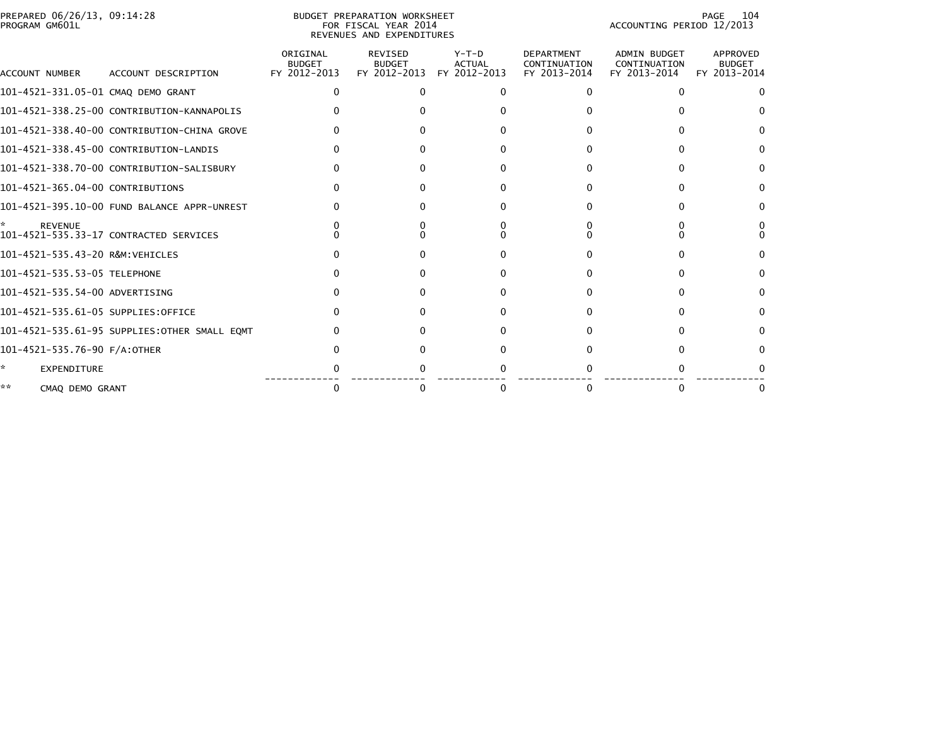| PREPARED 06/26/13, 09:14:28<br>PROGRAM GM601L |                                              |                                           | BUDGET PREPARATION WORKSHEET<br>FOR FISCAL YEAR 2014<br>REVENUES AND EXPENDITURES |                                          |                                                   | ACCOUNTING PERIOD 12/2013                    | 104<br>PAGE                               |
|-----------------------------------------------|----------------------------------------------|-------------------------------------------|-----------------------------------------------------------------------------------|------------------------------------------|---------------------------------------------------|----------------------------------------------|-------------------------------------------|
| ACCOUNT NUMBER                                | ACCOUNT DESCRIPTION                          | ORIGINAL<br><b>BUDGET</b><br>FY 2012-2013 | REVISED<br><b>BUDGET</b><br>FY 2012-2013                                          | $Y-T-D$<br><b>ACTUAL</b><br>FY 2012-2013 | <b>DEPARTMENT</b><br>CONTINUATION<br>FY 2013-2014 | ADMIN BUDGET<br>CONTINUATION<br>FY 2013-2014 | APPROVED<br><b>BUDGET</b><br>FY 2013-2014 |
| 101-4521-331.05-01 CMAQ DEMO GRANT            |                                              |                                           |                                                                                   |                                          |                                                   |                                              |                                           |
|                                               | 101-4521-338.25-00 CONTRIBUTION-KANNAPOLIS   |                                           |                                                                                   |                                          |                                                   |                                              |                                           |
|                                               | 101-4521-338.40-00 CONTRIBUTION-CHINA GROVE  |                                           |                                                                                   |                                          |                                                   |                                              |                                           |
|                                               | 101-4521-338.45-00 CONTRIBUTION-LANDIS       |                                           |                                                                                   |                                          |                                                   |                                              |                                           |
|                                               | 101-4521-338.70-00 CONTRIBUTION-SALISBURY    |                                           |                                                                                   |                                          |                                                   |                                              |                                           |
| 101-4521-365.04-00 CONTRIBUTIONS              |                                              |                                           |                                                                                   |                                          |                                                   |                                              | 0                                         |
|                                               | 101-4521-395.10-00 FUND BALANCE APPR-UNREST  |                                           |                                                                                   |                                          |                                                   |                                              |                                           |
| <b>REVENUE</b>                                | 101-4521-535.33-17 CONTRACTED SERVICES       |                                           |                                                                                   |                                          |                                                   |                                              |                                           |
| 101-4521-535.43-20 R&M:VEHICLES               |                                              |                                           |                                                                                   |                                          |                                                   |                                              |                                           |
| 101-4521-535.53-05 TELEPHONE                  |                                              |                                           |                                                                                   |                                          |                                                   |                                              |                                           |
| 101-4521-535.54-00 ADVERTISING                |                                              |                                           |                                                                                   |                                          |                                                   |                                              |                                           |
| 101-4521-535.61-05 SUPPLIES:OFFICE            |                                              |                                           |                                                                                   |                                          |                                                   |                                              |                                           |
|                                               | 101-4521-535.61-95 SUPPLIES:OTHER SMALL EOMT |                                           |                                                                                   |                                          |                                                   |                                              |                                           |
| 101-4521-535.76-90 F/A:OTHER                  |                                              |                                           |                                                                                   |                                          |                                                   |                                              |                                           |
| *<br><b>EXPENDITURE</b>                       |                                              |                                           |                                                                                   |                                          |                                                   |                                              |                                           |
| **<br>CMAO DEMO GRANT                         |                                              |                                           |                                                                                   | $\Omega$                                 |                                                   |                                              |                                           |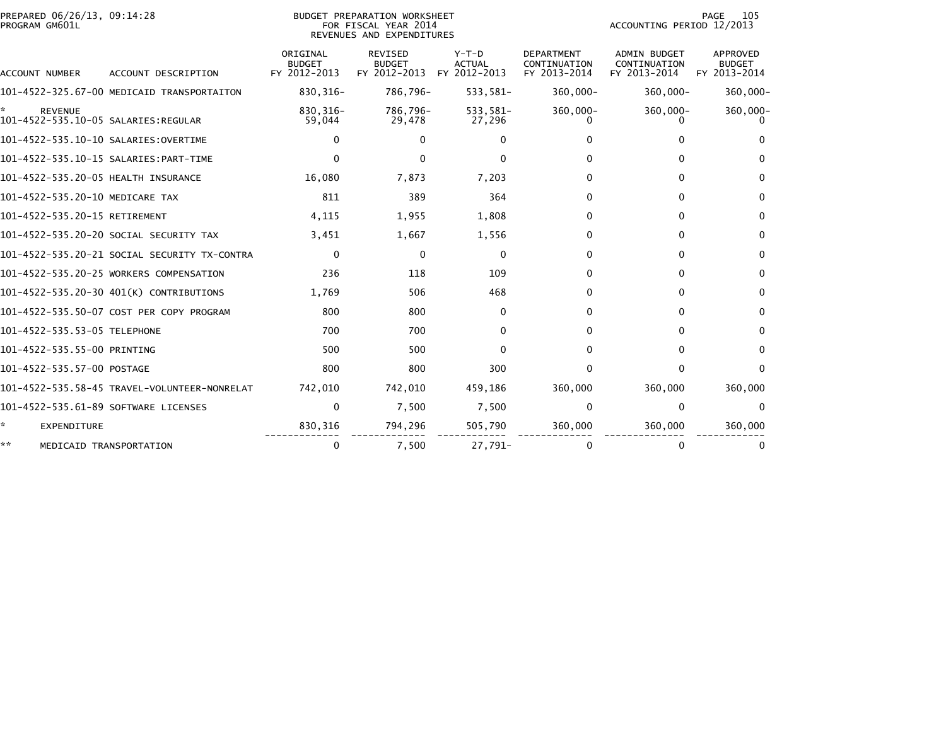| PREPARED 06/26/13, 09:14:28<br>PROGRAM GM601L         |                                              |                                           | BUDGET PREPARATION WORKSHEET<br>FOR FISCAL YEAR 2014<br>REVENUES AND EXPENDITURES |                                        |                                                   | ACCOUNTING PERIOD 12/2013                           | 105<br>PAGE                               |
|-------------------------------------------------------|----------------------------------------------|-------------------------------------------|-----------------------------------------------------------------------------------|----------------------------------------|---------------------------------------------------|-----------------------------------------------------|-------------------------------------------|
| <b>ACCOUNT NUMBER</b>                                 | ACCOUNT DESCRIPTION                          | ORIGINAL<br><b>BUDGET</b><br>FY 2012-2013 | <b>REVISED</b><br><b>BUDGET</b><br>FY 2012-2013                                   | Y-T-D<br><b>ACTUAL</b><br>FY 2012-2013 | <b>DEPARTMENT</b><br>CONTINUATION<br>FY 2013-2014 | <b>ADMIN BUDGET</b><br>CONTINUATION<br>FY 2013-2014 | <b>APPROVED</b><br>BUDGET<br>FY 2013-2014 |
|                                                       | 101-4522-325.67-00 MEDICAID TRANSPORTAITON   | 830, 316-                                 | 786,796-                                                                          | 533,581-                               | 360,000-                                          | $360,000 -$                                         | 360,000-                                  |
| <b>REVENUE</b><br>101-4522-535.10-05 SALARIES:REGULAR |                                              | 830, 316-<br>59,044                       | 786,796-<br>29,478                                                                | 533,581-<br>27,296                     | 360,000-                                          | 360,000-                                            | 360,000-                                  |
| 101-4522-535.10-10 SALARIES:OVERTIME                  |                                              | 0                                         | $\Omega$                                                                          | $\Omega$                               |                                                   | O.                                                  | $\Omega$                                  |
|                                                       |                                              | 0                                         | <sup>0</sup>                                                                      | 0                                      |                                                   | 0                                                   | <sup>0</sup>                              |
| 101-4522-535.20-05 HEALTH INSURANCE                   |                                              | 16,080                                    | 7,873                                                                             | 7,203                                  | 0                                                 | 0                                                   | 0                                         |
| 101-4522-535.20-10 MEDICARE TAX                       |                                              | 811                                       | 389                                                                               | 364                                    | 0                                                 | 0                                                   | 0                                         |
| 101-4522-535.20-15 RETIREMENT                         |                                              | 4,115                                     | 1,955                                                                             | 1,808                                  | 0                                                 | 0                                                   | $\Omega$                                  |
|                                                       | 101-4522-535.20-20 SOCIAL SECURITY TAX       | 3,451                                     | 1,667                                                                             | 1,556                                  | 0                                                 | 0                                                   | $\Omega$                                  |
|                                                       | 101-4522-535.20-21 SOCIAL SECURITY TX-CONTRA | $\Omega$                                  | $\Omega$                                                                          | $\mathbf{0}$                           | 0                                                 | 0                                                   | $\Omega$                                  |
|                                                       | 101-4522-535.20-25 WORKERS COMPENSATION      | 236                                       | 118                                                                               | 109                                    | 0                                                 | 0                                                   | 0                                         |
|                                                       | 101-4522-535.20-30 401(K) CONTRIBUTIONS      | 1,769                                     | 506                                                                               | 468                                    | 0                                                 | 0                                                   | $\Omega$                                  |
|                                                       | 101-4522-535.50-07 COST PER COPY PROGRAM     | 800                                       | 800                                                                               | 0                                      | 0                                                 | 0                                                   | 0                                         |
| 101-4522-535.53-05 TELEPHONE                          |                                              | 700                                       | 700                                                                               | 0                                      | 0                                                 | 0                                                   | $\Omega$                                  |
| 101-4522-535.55-00 PRINTING                           |                                              | 500                                       | 500                                                                               | 0                                      | 0                                                 | 0                                                   | $\Omega$                                  |
| 101-4522-535.57-00 POSTAGE                            |                                              | 800                                       | 800                                                                               | 300                                    | <sup>0</sup>                                      | 0                                                   | $\Omega$                                  |
|                                                       | 101-4522-535.58-45 TRAVEL-VOLUNTEER-NONRELAT | 742,010                                   | 742,010                                                                           | 459,186                                | 360,000                                           | 360,000                                             | 360,000                                   |
| 101-4522-535.61-89 SOFTWARE LICENSES                  |                                              | 0                                         | 7,500                                                                             | 7,500                                  | $\mathbf{0}$                                      | $\mathbf{0}$                                        | $\Omega$                                  |
| *<br>EXPENDITURE                                      |                                              | 830,316                                   | 794,296                                                                           | 505,790                                | 360,000                                           | 360,000                                             | 360,000                                   |
| **                                                    | MEDICAID TRANSPORTATION                      | 0                                         | 7,500                                                                             | 27,791-                                |                                                   | 0                                                   | 0                                         |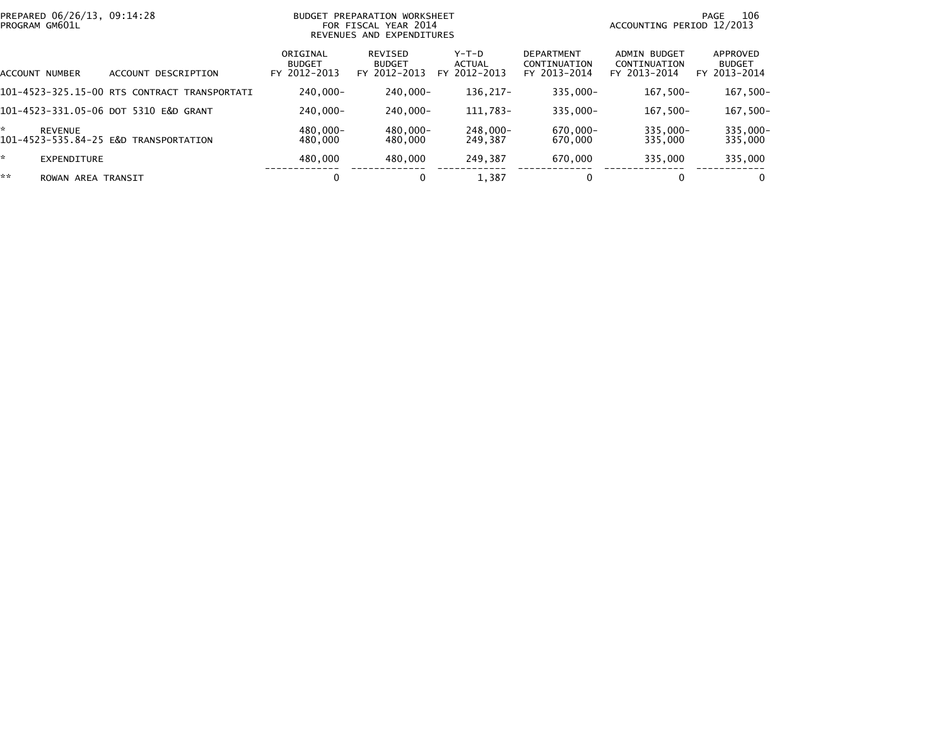|    | PREPARED 06/26/13, 09:14:28<br>PROGRAM GM601L |                                                 | <b>BUDGET</b>                             | PREPARATION WORKSHEET<br>FOR FISCAL YEAR 2014<br>REVENUES AND EXPENDITURES | 106<br>PAGE<br>ACCOUNTING PERIOD 12/2013 |                                                   |                                              |                                           |
|----|-----------------------------------------------|-------------------------------------------------|-------------------------------------------|----------------------------------------------------------------------------|------------------------------------------|---------------------------------------------------|----------------------------------------------|-------------------------------------------|
|    | ACCOUNT NUMBER                                | ACCOUNT DESCRIPTION                             | ORIGINAL<br><b>BUDGET</b><br>FY 2012-2013 | REVISED<br><b>BUDGET</b><br>FY 2012-2013                                   | $Y-T-D$<br>ACTUAL<br>FY 2012-2013        | <b>DEPARTMENT</b><br>CONTINUATION<br>FY 2013-2014 | ADMIN BUDGET<br>CONTINUATION<br>FY 2013-2014 | APPROVED<br><b>BUDGET</b><br>FY 2013-2014 |
|    |                                               | 101-4523-325.15-00 RTS CONTRACT<br>TRANSPORTATI | $240.000 -$                               | 240.000-                                                                   | 136.217-                                 | 335,000-                                          | $167.500 -$                                  | $167,500-$                                |
|    |                                               | 101-4523-331.05-06 DOT 5310 E&D GRANT           | $240.000 -$                               | 240.000-                                                                   | 111,783-                                 | $335.000 -$                                       | $167.500 -$                                  | 167,500-                                  |
| ÷  | <b>REVENUE</b>                                | 101-4523-535.84-25 E&D TRANSPORTATION           | 480.000-<br>480,000                       | 480.000-<br>480.000                                                        | 248.000-<br>249.387                      | 670.000-<br>670,000                               | $335.000 -$<br>335,000                       | 335,000-<br>335,000                       |
| ×. | <b>EXPENDITURE</b>                            |                                                 | 480,000                                   | 480,000                                                                    | 249.387                                  | 670,000                                           | 335,000                                      | 335,000                                   |
| ** | ROWAN AREA TRANSIT                            |                                                 | 0                                         |                                                                            | 1,387                                    | 0                                                 | 0                                            | $\bf{0}$                                  |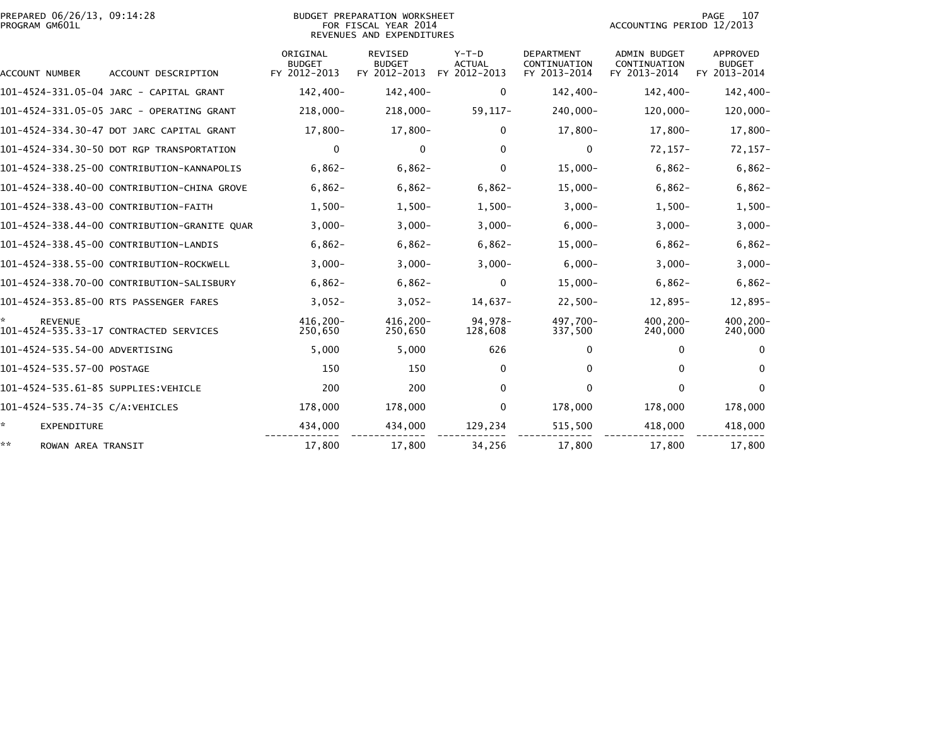|                | PREPARED 06/26/13, 09:14:28 |  |
|----------------|-----------------------------|--|
| PROGRAM GM601L |                             |  |

BUDGET PREPARATION WORKSHEET<br>FOR FISCAL YEAR 2014 PROGRAM GM601L FOR FISCAL YEAR 2014 ACCOUNTING PERIOD 12/2013REVENUES AND EXPENDITURES

| ACCOUNT NUMBER                       | ACCOUNT DESCRIPTION                          | ORIGINAL<br><b>BUDGET</b><br>FY 2012-2013 | <b>REVISED</b><br><b>BUDGET</b><br>FY 2012-2013 | $Y-T-D$<br><b>ACTUAL</b><br>FY 2012-2013 | <b>DEPARTMENT</b><br>CONTINUATION<br>FY 2013-2014 | <b>ADMIN BUDGET</b><br>CONTINUATION<br>FY 2013-2014 | <b>APPROVED</b><br><b>BUDGET</b><br>FY 2013-2014 |
|--------------------------------------|----------------------------------------------|-------------------------------------------|-------------------------------------------------|------------------------------------------|---------------------------------------------------|-----------------------------------------------------|--------------------------------------------------|
|                                      | 101-4524-331.05-04 JARC - CAPITAL GRANT      | 142,400-                                  | 142,400-                                        | $\mathbf{0}$                             | 142,400-                                          | 142,400-                                            | 142,400-                                         |
|                                      | 101-4524-331.05-05 JARC - OPERATING GRANT    | 218,000-                                  | 218,000-                                        | $59, 117 -$                              | 240,000-                                          | $120,000 -$                                         | 120,000-                                         |
|                                      | 101-4524-334.30-47 DOT JARC CAPITAL GRANT    | $17,800-$                                 | $17,800-$                                       | $\Omega$                                 | $17,800-$                                         | $17,800-$                                           | 17,800-                                          |
|                                      | 101-4524-334.30-50 DOT RGP TRANSPORTATION    | $\mathbf 0$                               | $\mathbf{0}$                                    | $\mathbf{0}$                             | $\Omega$                                          | $72, 157 -$                                         | $72, 157 -$                                      |
|                                      | 101-4524-338.25-00 CONTRIBUTION-KANNAPOLIS   | $6,862-$                                  | $6,862-$                                        | $\mathbf 0$                              | $15,000 -$                                        | $6,862-$                                            | $6,862-$                                         |
|                                      | 101-4524-338.40-00 CONTRIBUTION-CHINA GROVE  | $6,862-$                                  | $6,862-$                                        | $6,862-$                                 | $15,000 -$                                        | $6,862-$                                            | $6,862-$                                         |
|                                      | 101-4524-338.43-00 CONTRIBUTION-FAITH        | $1,500-$                                  | $1,500-$                                        | $1,500-$                                 | $3,000 -$                                         | $1,500-$                                            | $1,500-$                                         |
|                                      | 101-4524-338.44-00 CONTRIBUTION-GRANITE QUAR | $3,000-$                                  | $3,000 -$                                       | $3,000-$                                 | $6,000 -$                                         | $3,000-$                                            | $3,000 -$                                        |
|                                      | 101-4524-338.45-00 CONTRIBUTION-LANDIS       | $6,862-$                                  | $6,862-$                                        | $6,862-$                                 | $15,000 -$                                        | $6,862-$                                            | $6,862-$                                         |
|                                      | 101-4524-338.55-00 CONTRIBUTION-ROCKWELL     | $3,000-$                                  | $3,000 -$                                       | $3,000-$                                 | $6,000 -$                                         | $3,000-$                                            | $3,000-$                                         |
|                                      | 101-4524-338.70-00 CONTRIBUTION-SALISBURY    | $6,862-$                                  | $6,862-$                                        | $\mathbf{0}$                             | $15,000-$                                         | $6,862-$                                            | $6,862-$                                         |
|                                      | 101-4524-353.85-00 RTS PASSENGER FARES       | $3,052-$                                  | $3,052-$                                        | $14,637-$                                | $22,500-$                                         | 12,895-                                             | 12,895-                                          |
| <b>REVENUE</b>                       | 101-4524-535.33-17 CONTRACTED SERVICES       | 416.200-<br>250,650                       | 416,200-<br>250,650                             | 94.978-<br>128,608                       | 497.700-<br>337,500                               | $400.200 -$<br>240,000                              | $400.200 -$<br>240,000                           |
| 101-4524-535.54-00 ADVERTISING       |                                              | 5,000                                     | 5,000                                           | 626                                      | 0                                                 | 0                                                   | $\bf{0}$                                         |
| 101-4524-535.57-00 POSTAGE           |                                              | 150                                       | 150                                             | $\Omega$                                 | 0                                                 | 0                                                   | $\bf{0}$                                         |
| 101-4524-535.61-85 SUPPLIES: VEHICLE |                                              | 200                                       | 200                                             | $\Omega$                                 | 0                                                 | 0                                                   | $\Omega$                                         |
| 101-4524-535.74-35 C/A: VEHICLES     |                                              | 178,000                                   | 178,000                                         | $\Omega$                                 | 178,000                                           | 178,000                                             | 178,000                                          |
| <b>EXPENDITURE</b>                   |                                              | 434,000                                   | 434,000                                         | 129,234                                  | 515,500                                           | 418,000                                             | 418,000                                          |
| **<br>ROWAN AREA TRANSIT             |                                              | 17,800                                    | 17,800                                          | 34,256                                   | 17,800                                            | 17,800                                              | 17,800                                           |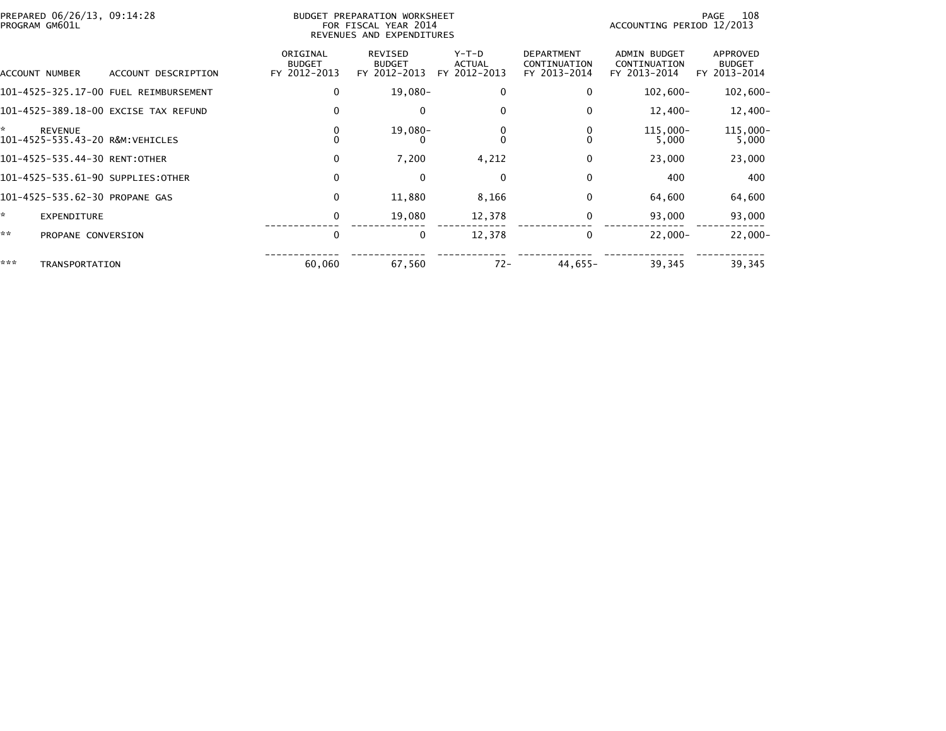|     | PREPARED 06/26/13, 09:14:28<br>PROGRAM GM601L |                                       | BUDGET PREPARATION WORKSHEET<br>FOR FISCAL YEAR 2014<br>REVENUES AND EXPENDITURES |                                                 |                                          |                                                   | 108<br>PAGE<br>ACCOUNTING PERIOD 12/2013            |                                           |  |
|-----|-----------------------------------------------|---------------------------------------|-----------------------------------------------------------------------------------|-------------------------------------------------|------------------------------------------|---------------------------------------------------|-----------------------------------------------------|-------------------------------------------|--|
|     | ACCOUNT NUMBER                                | ACCOUNT DESCRIPTION                   | ORIGINAL<br><b>BUDGET</b><br>FY 2012-2013                                         | <b>REVISED</b><br><b>BUDGET</b><br>FY 2012-2013 | $Y-T-D$<br><b>ACTUAL</b><br>FY 2012-2013 | <b>DEPARTMENT</b><br>CONTINUATION<br>FY 2013-2014 | <b>ADMIN BUDGET</b><br>CONTINUATION<br>FY 2013-2014 | APPROVED<br><b>BUDGET</b><br>FY 2013-2014 |  |
|     |                                               | 101-4525-325.17-00 FUEL REIMBURSEMENT | 0                                                                                 | $19,080-$                                       | 0                                        | 0                                                 | $102,600 -$                                         | $102,600 -$                               |  |
|     |                                               | 101-4525-389.18-00 EXCISE TAX REFUND  | 0                                                                                 | $\mathbf{0}$                                    | $\mathbf{0}$                             | 0                                                 | $12,400-$                                           | 12,400-                                   |  |
| ×.  | <b>REVENUE</b>                                | 101-4525-535.43-20 R&M:VEHICLES       | 0<br>$\mathbf{0}$                                                                 | $19,080-$                                       | 0<br>$\Omega$                            |                                                   | 115,000-<br>5,000                                   | 115,000-<br>5,000                         |  |
|     | 101-4525-535.44-30 RENT:OTHER                 |                                       | $\Omega$                                                                          | 7,200                                           | 4,212                                    | $\Omega$                                          | 23,000                                              | 23,000                                    |  |
|     |                                               | 101-4525-535.61-90 SUPPLIES:OTHER     | 0                                                                                 | $\mathbf{0}$                                    | $\mathbf 0$                              | 0                                                 | 400                                                 | 400                                       |  |
|     | 101-4525-535.62-30 PROPANE GAS                |                                       | 0                                                                                 | 11,880                                          | 8,166                                    | $\Omega$                                          | 64,600                                              | 64,600                                    |  |
| ×.  | <b>EXPENDITURE</b>                            |                                       | 0                                                                                 | 19,080                                          | 12,378                                   | 0                                                 | 93,000                                              | 93,000                                    |  |
| **  | PROPANE CONVERSION                            |                                       | 0                                                                                 | $\bf{0}$                                        | 12,378                                   | 0                                                 | $22.000 -$                                          | $22,000 -$                                |  |
| *** | TRANSPORTATION                                |                                       | 60,060                                                                            | 67,560                                          | $72 -$                                   | $44,655-$                                         | 39,345                                              | 39,345                                    |  |
|     |                                               |                                       |                                                                                   |                                                 |                                          |                                                   |                                                     |                                           |  |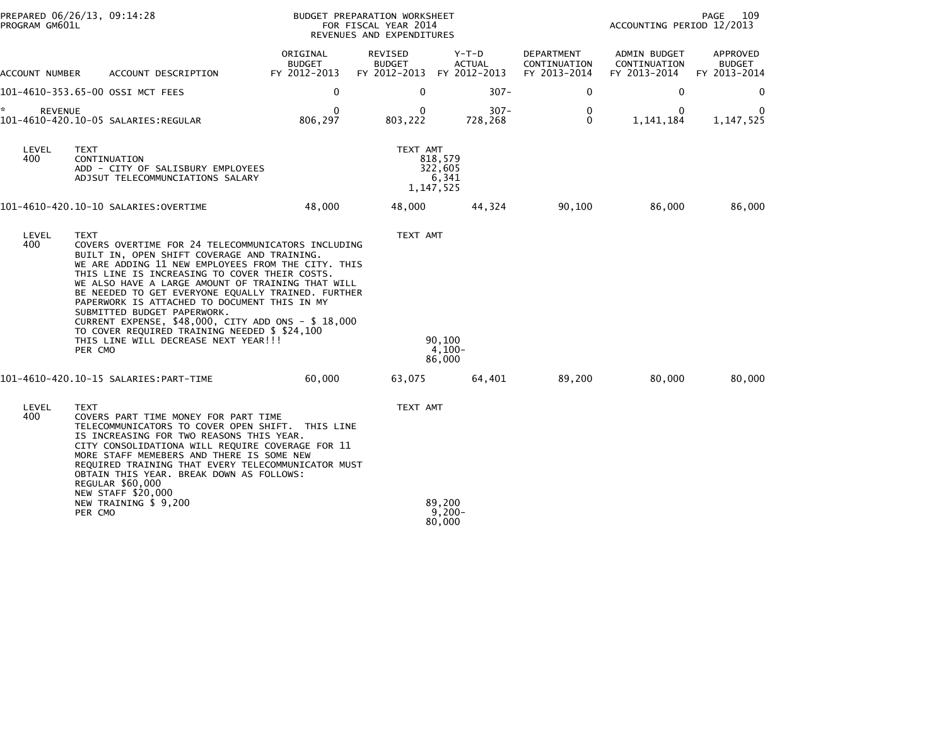| PROGRAM GM601L       | PREPARED 06/26/13, 09:14:28                                                                                                                                                                                                                                                                                                                                                                                                                                                                                                                                                   |                                           | BUDGET PREPARATION WORKSHEET<br>FOR FISCAL YEAR 2014<br>REVENUES AND EXPENDITURES |                                            |                                            |                                              | PAGE<br>109<br>ACCOUNTING PERIOD 12/2013  |  |  |
|----------------------|-------------------------------------------------------------------------------------------------------------------------------------------------------------------------------------------------------------------------------------------------------------------------------------------------------------------------------------------------------------------------------------------------------------------------------------------------------------------------------------------------------------------------------------------------------------------------------|-------------------------------------------|-----------------------------------------------------------------------------------|--------------------------------------------|--------------------------------------------|----------------------------------------------|-------------------------------------------|--|--|
| ACCOUNT NUMBER       | ACCOUNT DESCRIPTION                                                                                                                                                                                                                                                                                                                                                                                                                                                                                                                                                           | ORIGINAL<br><b>BUDGET</b><br>FY 2012-2013 | REVISED<br><b>BUDGET</b><br>FY 2012-2013                                          | $Y-T-D$<br><b>ACTUAL</b><br>FY 2012-2013   | DEPARTMENT<br>CONTINUATION<br>FY 2013-2014 | ADMIN BUDGET<br>CONTINUATION<br>FY 2013-2014 | APPROVED<br><b>BUDGET</b><br>FY 2013-2014 |  |  |
|                      | 101-4610-353.65-00 OSSI MCT FEES                                                                                                                                                                                                                                                                                                                                                                                                                                                                                                                                              | 0                                         | 0                                                                                 | $307 -$                                    | 0                                          | $\mathbf 0$                                  | $\mathbf{0}$                              |  |  |
| ŵ.<br><b>REVENUE</b> | 101-4610-420.10-05 SALARIES:REGULAR                                                                                                                                                                                                                                                                                                                                                                                                                                                                                                                                           | $\mathbf{0}$<br>806,297                   | $\Omega$<br>803,222                                                               | $307 -$<br>728,268                         | $\Omega$<br>$\Omega$                       | $\mathbf{0}$<br>1, 141, 184                  | 1,147,525                                 |  |  |
| LEVEL<br>400         | <b>TEXT</b><br>CONTINUATION<br>ADD - CITY OF SALISBURY EMPLOYEES<br>ADJSUT TELECOMMUNCIATIONS SALARY                                                                                                                                                                                                                                                                                                                                                                                                                                                                          |                                           | TEXT AMT                                                                          | 818,579<br>322.605<br>6,341<br>1, 147, 525 |                                            |                                              |                                           |  |  |
|                      |                                                                                                                                                                                                                                                                                                                                                                                                                                                                                                                                                                               | 48,000                                    | 48,000                                                                            | 44,324                                     | 90,100                                     | 86,000                                       | 86,000                                    |  |  |
| LEVEL<br>400         | <b>TEXT</b><br>COVERS OVERTIME FOR 24 TELECOMMUNICATORS INCLUDING<br>BUILT IN, OPEN SHIFT COVERAGE AND TRAINING.<br>WE ARE ADDING 11 NEW EMPLOYEES FROM THE CITY. THIS<br>THIS LINE IS INCREASING TO COVER THEIR COSTS.<br>WE ALSO HAVE A LARGE AMOUNT OF TRAINING THAT WILL<br>BE NEEDED TO GET EVERYONE EQUALLY TRAINED. FURTHER<br>PAPERWORK IS ATTACHED TO DOCUMENT THIS IN MY<br>SUBMITTED BUDGET PAPERWORK.<br>CURRENT EXPENSE, \$48,000, CITY ADD ONS - \$ 18,000<br>TO COVER REQUIRED TRAINING NEEDED \$ \$24,100<br>THIS LINE WILL DECREASE NEXT YEAR !!!<br>PER CMO |                                           | TEXT AMT                                                                          | 90,100<br>$4.100 -$<br>86,000              |                                            |                                              |                                           |  |  |
|                      |                                                                                                                                                                                                                                                                                                                                                                                                                                                                                                                                                                               | 60,000                                    | 63,075                                                                            | 64,401                                     | 89,200                                     | 80,000                                       | 80,000                                    |  |  |
| LEVEL<br>400         | <b>TEXT</b><br>COVERS PART TIME MONEY FOR PART TIME<br>TELECOMMUNICATORS TO COVER OPEN SHIFT. THIS LINE<br>IS INCREASING FOR TWO REASONS THIS YEAR.<br>CITY CONSOLIDATIONA WILL REQUIRE COVERAGE FOR 11<br>MORE STAFF MEMEBERS AND THERE IS SOME NEW<br>REQUIRED TRAINING THAT EVERY TELECOMMUNICATOR MUST<br>OBTAIN THIS YEAR. BREAK DOWN AS FOLLOWS:<br>REGULAR \$60,000                                                                                                                                                                                                    |                                           | TEXT AMT                                                                          |                                            |                                            |                                              |                                           |  |  |
|                      | <b>NEW STAFF \$20,000</b><br>NEW TRAINING \$ 9,200<br>PER CMO                                                                                                                                                                                                                                                                                                                                                                                                                                                                                                                 |                                           |                                                                                   | 89.200<br>$9,200 -$<br>80,000              |                                            |                                              |                                           |  |  |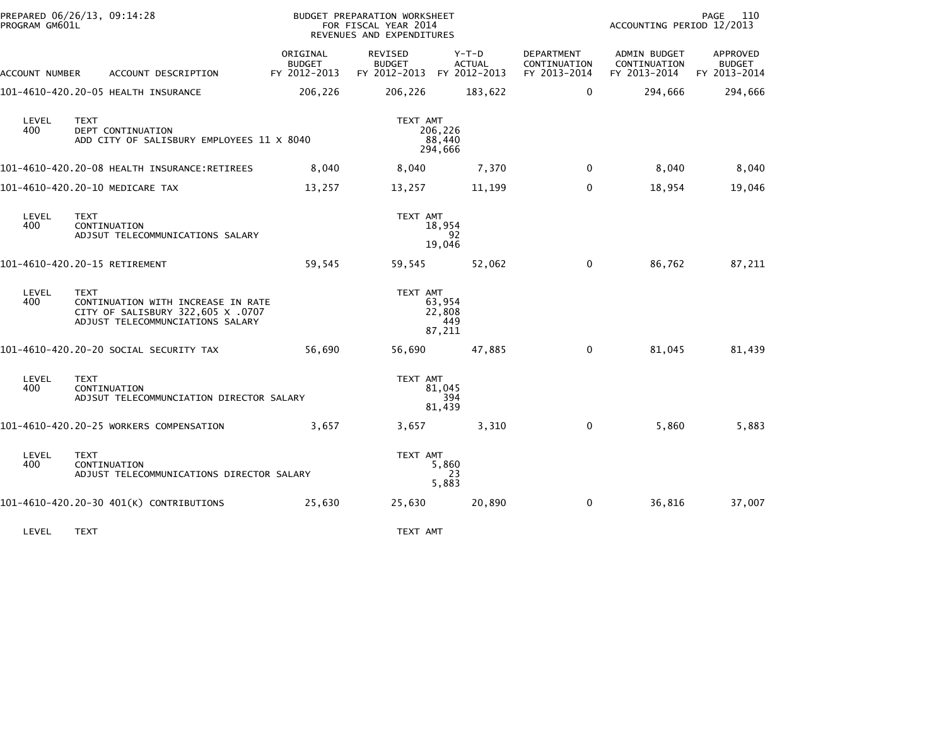| PROGRAM GM601L | PREPARED 06/26/13, 09:14:28                                                                                                |                                           | <b>BUDGET PREPARATION WORKSHEET</b><br>FOR FISCAL YEAR 2014<br>REVENUES AND EXPENDITURES |                                   |                                            | ACCOUNTING PERIOD 12/2013                    | 110<br>PAGE                               |
|----------------|----------------------------------------------------------------------------------------------------------------------------|-------------------------------------------|------------------------------------------------------------------------------------------|-----------------------------------|--------------------------------------------|----------------------------------------------|-------------------------------------------|
| ACCOUNT NUMBER | ACCOUNT DESCRIPTION                                                                                                        | ORIGINAL<br><b>BUDGET</b><br>FY 2012-2013 | REVISED<br><b>BUDGET</b><br>FY 2012-2013 FY 2012-2013                                    | $Y-T-D$<br><b>ACTUAL</b>          | DEPARTMENT<br>CONTINUATION<br>FY 2013-2014 | ADMIN BUDGET<br>CONTINUATION<br>FY 2013-2014 | APPROVED<br><b>BUDGET</b><br>FY 2013-2014 |
|                | 101-4610-420.20-05 HEALTH INSURANCE                                                                                        | 206,226                                   | 206,226                                                                                  | 183,622                           | 0                                          | 294,666                                      | 294,666                                   |
| LEVEL<br>400   | <b>TEXT</b><br>DEPT CONTINUATION<br>ADD CITY OF SALISBURY EMPLOYEES 11 X 8040                                              |                                           | TEXT AMT                                                                                 | 206,226<br>88,440<br>294,666      |                                            |                                              |                                           |
|                | 101-4610-420.20-08 HEALTH INSURANCE:RETIREES                                                                               | 8,040                                     | 8,040                                                                                    | 7,370                             | $\Omega$                                   | 8,040                                        | 8,040                                     |
|                | 101-4610-420.20-10 MEDICARE TAX                                                                                            | 13,257                                    | 13,257                                                                                   | 11,199                            | $\mathbf 0$                                | 18,954                                       | 19,046                                    |
| LEVEL<br>400   | <b>TEXT</b><br>CONTINUATION<br>ADJSUT TELECOMMUNICATIONS SALARY                                                            |                                           | TEXT AMT                                                                                 | 18,954<br>92<br>19.046            |                                            |                                              |                                           |
|                | 101-4610-420.20-15 RETIREMENT                                                                                              | 59,545                                    | 59,545                                                                                   | 52,062                            | $\mathbf 0$                                | 86,762                                       | 87,211                                    |
| LEVEL<br>400   | <b>TEXT</b><br>CONTINUATION WITH INCREASE IN RATE<br>CITY OF SALISBURY 322,605 X .0707<br>ADJUST TELECOMMUNCIATIONS SALARY |                                           | TEXT AMT                                                                                 | 63,954<br>22,808<br>449<br>87,211 |                                            |                                              |                                           |
|                | 101–4610–420.20–20 SOCIAL SECURITY TAX                                                                                     | 56,690                                    | 56,690                                                                                   | 47,885                            | 0                                          | 81,045                                       | 81,439                                    |
| LEVEL<br>400   | <b>TEXT</b><br>CONTINUATION<br>ADJSUT TELECOMMUNCIATION DIRECTOR SALARY                                                    |                                           | TEXT AMT                                                                                 | 81.045<br>394<br>81,439           |                                            |                                              |                                           |
|                | 101-4610-420.20-25 WORKERS COMPENSATION                                                                                    | 3,657                                     | 3,657                                                                                    | 3,310                             | 0                                          | 5,860                                        | 5,883                                     |
| LEVEL<br>400   | TEXT<br>CONTINUATION<br>ADJUST TELECOMMUNICATIONS DIRECTOR SALARY                                                          |                                           | TEXT AMT                                                                                 | 5,860<br>23<br>5,883              |                                            |                                              |                                           |
|                | 101-4610-420.20-30 401(K) CONTRIBUTIONS                                                                                    | 25,630                                    | 25,630                                                                                   | 20,890                            | 0                                          | 36,816                                       | 37,007                                    |
| LEVEL          | <b>TEXT</b>                                                                                                                |                                           | TEXT AMT                                                                                 |                                   |                                            |                                              |                                           |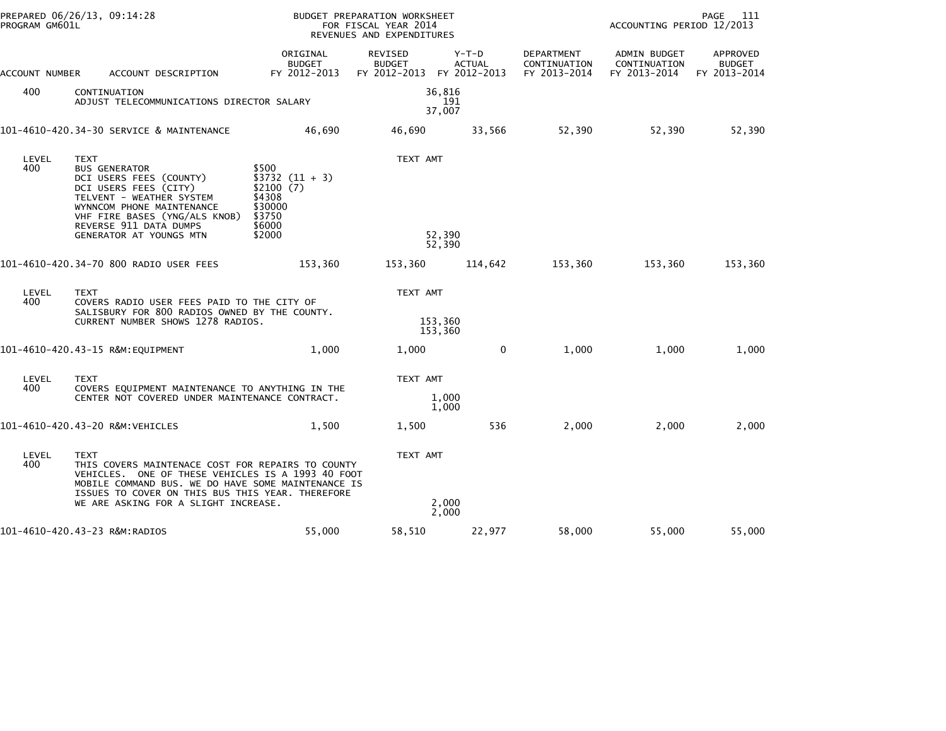| PROGRAM GM601L | PREPARED 06/26/13, 09:14:28                                                                                                                                                                                                                                             |                                                                                           | BUDGET PREPARATION WORKSHEET<br>FOR FISCAL YEAR 2014<br>REVENUES AND EXPENDITURES |                          |                                            | PAGE<br>111<br>ACCOUNTING PERIOD 12/2013     |                                           |  |
|----------------|-------------------------------------------------------------------------------------------------------------------------------------------------------------------------------------------------------------------------------------------------------------------------|-------------------------------------------------------------------------------------------|-----------------------------------------------------------------------------------|--------------------------|--------------------------------------------|----------------------------------------------|-------------------------------------------|--|
| ACCOUNT NUMBER | ACCOUNT DESCRIPTION                                                                                                                                                                                                                                                     | ORIGINAL<br><b>BUDGET</b><br>FY 2012-2013                                                 | REVISED<br><b>BUDGET</b><br>FY 2012-2013 FY 2012-2013                             | $Y-T-D$<br><b>ACTUAL</b> | DEPARTMENT<br>CONTINUATION<br>FY 2013-2014 | ADMIN BUDGET<br>CONTINUATION<br>FY 2013-2014 | APPROVED<br><b>BUDGET</b><br>FY 2013-2014 |  |
| 400            | CONTINUATION<br>ADJUST TELECOMMUNICATIONS DIRECTOR SALARY                                                                                                                                                                                                               |                                                                                           | 36,816<br>37,007                                                                  | 191                      |                                            |                                              |                                           |  |
|                | 101-4610-420.34-30 SERVICE & MAINTENANCE                                                                                                                                                                                                                                | 46,690                                                                                    | 46,690                                                                            | 33,566                   | 52,390                                     | 52,390                                       | 52,390                                    |  |
| LEVEL<br>400   | TEXT<br><b>BUS GENERATOR</b><br>DCI USERS FEES (COUNTY)<br>DCI USERS FEES (CITY)<br>TELVENT - WEATHER SYSTEM<br>WYNNCOM PHONE MAINTENANCE<br>VHF FIRE BASES (YNG/ALS KNOB)<br>REVERSE 911 DATA DUMPS<br>GENERATOR AT YOUNGS MTN                                         | \$500<br>$$3732 (11 + 3)$<br>\$2100(7)<br>\$4308<br>\$30000<br>\$3750<br>\$6000<br>\$2000 | TEXT AMT<br>52,390<br>52,390                                                      |                          |                                            |                                              |                                           |  |
|                | 101-4610-420.34-70 800 RADIO USER FEES                                                                                                                                                                                                                                  | 153,360                                                                                   | 153,360                                                                           | 114,642                  | 153,360                                    | 153,360                                      | 153,360                                   |  |
| LEVEL<br>400   | <b>TEXT</b><br>COVERS RADIO USER FEES PAID TO THE CITY OF<br>SALISBURY FOR 800 RADIOS OWNED BY THE COUNTY.<br>CURRENT NUMBER SHOWS 1278 RADIOS.                                                                                                                         |                                                                                           | TEXT AMT<br>153,360<br>153,360                                                    |                          |                                            |                                              |                                           |  |
|                | 101-4610-420.43-15 R&M:EQUIPMENT                                                                                                                                                                                                                                        | 1,000                                                                                     | 1,000                                                                             | 0                        | 1,000                                      | 1,000                                        | 1,000                                     |  |
| LEVEL<br>400   | <b>TEXT</b><br>COVERS EQUIPMENT MAINTENANCE TO ANYTHING IN THE<br>CENTER NOT COVERED UNDER MAINTENANCE CONTRACT.                                                                                                                                                        |                                                                                           | TEXT AMT                                                                          | 1,000<br>1,000           |                                            |                                              |                                           |  |
|                | 101-4610-420.43-20 R&M:VEHICLES                                                                                                                                                                                                                                         | 1,500                                                                                     | 1,500                                                                             | 536                      | 2,000                                      | 2,000                                        | 2,000                                     |  |
| LEVEL<br>400   | <b>TEXT</b><br>THIS COVERS MAINTENACE COST FOR REPAIRS TO COUNTY<br>VEHICLES. ONE OF THESE VEHICLES IS A 1993 40 FOOT<br>MOBILE COMMAND BUS. WE DO HAVE SOME MAINTENANCE IS<br>ISSUES TO COVER ON THIS BUS THIS YEAR. THEREFORE<br>WE ARE ASKING FOR A SLIGHT INCREASE. |                                                                                           | TEXT AMT                                                                          | 2,000<br>2,000           |                                            |                                              |                                           |  |
|                | 101-4610-420.43-23 R&M:RADIOS                                                                                                                                                                                                                                           | 55,000                                                                                    | 58,510                                                                            | 22,977                   | 58,000                                     | 55,000                                       | 55,000                                    |  |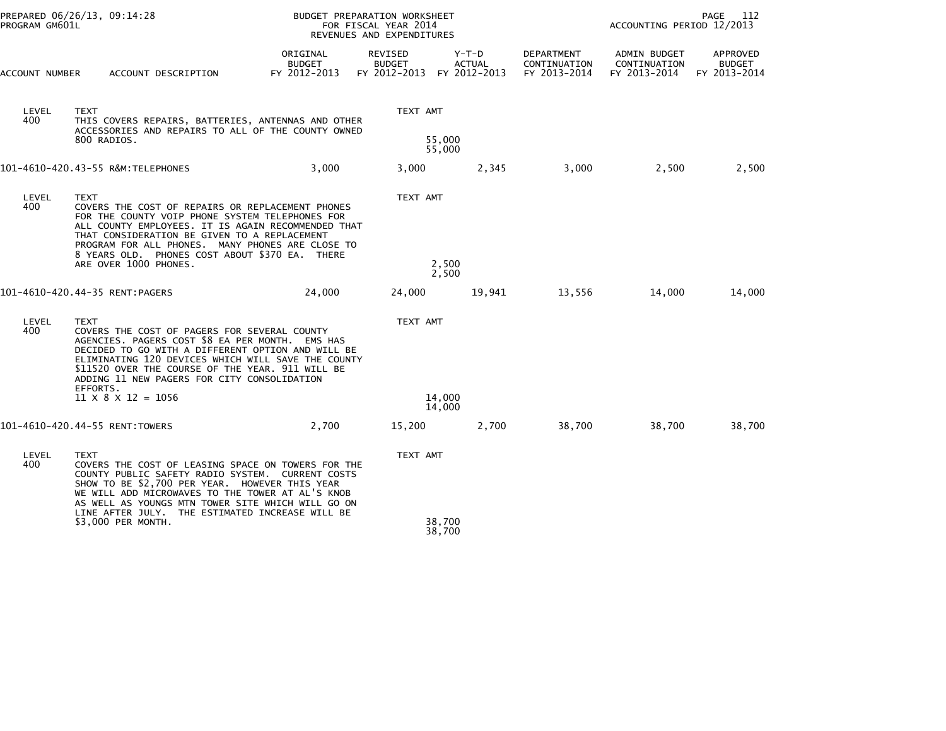|                | PREPARED 06/26/13, 09:14:28<br>PROGRAM GM601L |                                                                                                                                                                                                                                                                                                                                          |                                           | BUDGET PREPARATION WORKSHEET<br>FOR FISCAL YEAR 2014<br>REVENUES AND EXPENDITURES |                          |                                            |                                              | PAGE<br>112<br>ACCOUNTING PERIOD 12/2013  |  |
|----------------|-----------------------------------------------|------------------------------------------------------------------------------------------------------------------------------------------------------------------------------------------------------------------------------------------------------------------------------------------------------------------------------------------|-------------------------------------------|-----------------------------------------------------------------------------------|--------------------------|--------------------------------------------|----------------------------------------------|-------------------------------------------|--|
| ACCOUNT NUMBER |                                               | ACCOUNT DESCRIPTION                                                                                                                                                                                                                                                                                                                      | ORIGINAL<br><b>BUDGET</b><br>FY 2012-2013 | REVISED<br><b>BUDGET</b><br>FY 2012-2013 FY 2012-2013                             | $Y-T-D$<br><b>ACTUAL</b> | DEPARTMENT<br>CONTINUATION<br>FY 2013-2014 | ADMIN BUDGET<br>CONTINUATION<br>FY 2013-2014 | APPROVED<br><b>BUDGET</b><br>FY 2013-2014 |  |
| LEVEL<br>400   | <b>TEXT</b>                                   | THIS COVERS REPAIRS, BATTERIES, ANTENNAS AND OTHER<br>ACCESSORIES AND REPAIRS TO ALL OF THE COUNTY OWNED<br>800 RADIOS.                                                                                                                                                                                                                  |                                           | TEXT AMT                                                                          | 55,000<br>55,000         |                                            |                                              |                                           |  |
|                |                                               | 101-4610-420.43-55 R&M:TELEPHONES                                                                                                                                                                                                                                                                                                        | 3,000                                     | 3,000                                                                             | 2,345                    | 3,000                                      | 2,500                                        | 2,500                                     |  |
| LEVEL<br>400   | <b>TEXT</b>                                   | COVERS THE COST OF REPAIRS OR REPLACEMENT PHONES<br>FOR THE COUNTY VOIP PHONE SYSTEM TELEPHONES FOR<br>ALL COUNTY EMPLOYEES. IT IS AGAIN RECOMMENDED THAT<br>THAT CONSIDERATION BE GIVEN TO A REPLACEMENT<br>PROGRAM FOR ALL PHONES. MANY PHONES ARE CLOSE TO<br>8 YEARS OLD. PHONES COST ABOUT \$370 EA. THERE<br>ARE OVER 1000 PHONES. |                                           | TEXT AMT                                                                          | 2,500<br>2,500           |                                            |                                              |                                           |  |
|                |                                               | 101-4610-420.44-35 RENT:PAGERS                                                                                                                                                                                                                                                                                                           | 24,000                                    | 24,000                                                                            | 19,941                   | 13,556                                     | 14,000                                       | 14,000                                    |  |
| LEVEL<br>400   | <b>TEXT</b>                                   | COVERS THE COST OF PAGERS FOR SEVERAL COUNTY<br>AGENCIES. PAGERS COST \$8 EA PER MONTH. EMS HAS<br>DECIDED TO GO WITH A DIFFERENT OPTION AND WILL BE<br>ELIMINATING 120 DEVICES WHICH WILL SAVE THE COUNTY<br>\$11520 OVER THE COURSE OF THE YEAR. 911 WILL BE<br>ADDING 11 NEW PAGERS FOR CITY CONSOLIDATION                            |                                           | TEXT AMT                                                                          |                          |                                            |                                              |                                           |  |
|                | EFFORTS.                                      | $11 \times 8 \times 12 = 1056$                                                                                                                                                                                                                                                                                                           |                                           |                                                                                   | 14,000<br>14,000         |                                            |                                              |                                           |  |
|                |                                               | 101-4610-420.44-55 RENT:TOWERS                                                                                                                                                                                                                                                                                                           | 2,700                                     | 15,200                                                                            | 2,700                    | 38,700                                     | 38,700                                       | 38,700                                    |  |
| LEVEL<br>400   | <b>TEXT</b>                                   | COVERS THE COST OF LEASING SPACE ON TOWERS FOR THE<br>COUNTY PUBLIC SAFETY RADIO SYSTEM. CURRENT COSTS<br>SHOW TO BE \$2,700 PER YEAR. HOWEVER THIS YEAR<br>WE WILL ADD MICROWAVES TO THE TOWER AT AL'S KNOB<br>AS WELL AS YOUNGS MTN TOWER SITE WHICH WILL GO ON                                                                        |                                           | TEXT AMT                                                                          |                          |                                            |                                              |                                           |  |
|                |                                               | LINE AFTER JULY. THE ESTIMATED INCREASE WILL BE<br>\$3,000 PER MONTH.                                                                                                                                                                                                                                                                    |                                           |                                                                                   | 38,700<br>38,700         |                                            |                                              |                                           |  |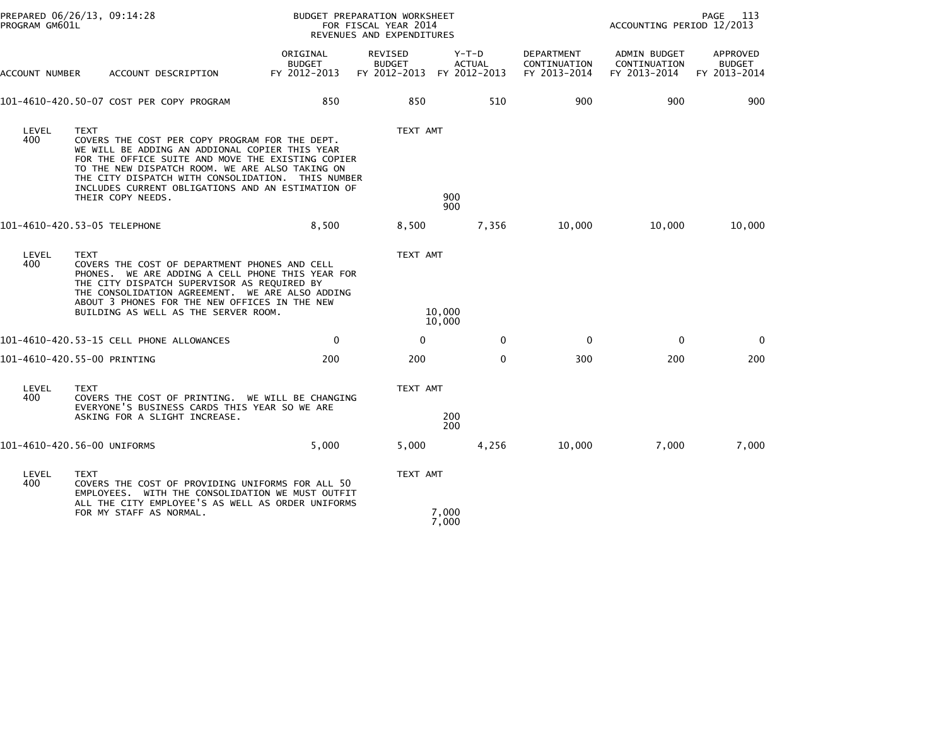| PROGRAM GM601L               | PREPARED 06/26/13, 09:14:28      |                                                                                                                                                                                                                                                                                                                    |                                           | BUDGET PREPARATION WORKSHEET<br>FOR FISCAL YEAR 2014<br>REVENUES AND EXPENDITURES | PAGE<br>113<br>ACCOUNTING PERIOD 12/2013 |                                            |                                                     |                                           |
|------------------------------|----------------------------------|--------------------------------------------------------------------------------------------------------------------------------------------------------------------------------------------------------------------------------------------------------------------------------------------------------------------|-------------------------------------------|-----------------------------------------------------------------------------------|------------------------------------------|--------------------------------------------|-----------------------------------------------------|-------------------------------------------|
| ACCOUNT NUMBER               |                                  | ACCOUNT DESCRIPTION                                                                                                                                                                                                                                                                                                | ORIGINAL<br><b>BUDGET</b><br>FY 2012-2013 | REVISED<br><b>BUDGET</b><br>FY 2012-2013 FY 2012-2013                             | $Y-T-D$<br><b>ACTUAL</b>                 | DEPARTMENT<br>CONTINUATION<br>FY 2013-2014 | <b>ADMIN BUDGET</b><br>CONTINUATION<br>FY 2013-2014 | APPROVED<br><b>BUDGET</b><br>FY 2013-2014 |
|                              |                                  | 101-4610-420.50-07 COST PER COPY PROGRAM                                                                                                                                                                                                                                                                           | 850                                       | 850                                                                               | 510                                      | 900                                        | 900                                                 | 900                                       |
| LEVEL<br>400                 | <b>TEXT</b><br>THEIR COPY NEEDS. | COVERS THE COST PER COPY PROGRAM FOR THE DEPT.<br>WE WILL BE ADDING AN ADDIONAL COPIER THIS YEAR<br>FOR THE OFFICE SUITE AND MOVE THE EXISTING COPIER<br>TO THE NEW DISPATCH ROOM. WE ARE ALSO TAKING ON<br>THE CITY DISPATCH WITH CONSOLIDATION. THIS NUMBER<br>INCLUDES CURRENT OBLIGATIONS AND AN ESTIMATION OF |                                           | TEXT AMT                                                                          | 900<br>900                               |                                            |                                                     |                                           |
| 101-4610-420.53-05 TELEPHONE |                                  |                                                                                                                                                                                                                                                                                                                    | 8,500                                     | 8,500                                                                             | 7,356                                    | 10,000                                     | 10,000                                              | 10,000                                    |
| LEVEL<br>400                 | <b>TEXT</b>                      | COVERS THE COST OF DEPARTMENT PHONES AND CELL<br>PHONES. WE ARE ADDING A CELL PHONE THIS YEAR FOR<br>THE CITY DISPATCH SUPERVISOR AS REQUIRED BY<br>THE CONSOLIDATION AGREEMENT. WE ARE ALSO ADDING<br>ABOUT 3 PHONES FOR THE NEW OFFICES IN THE NEW<br>BUILDING AS WELL AS THE SERVER ROOM.                       |                                           | TEXT AMT                                                                          | 10,000<br>10,000                         |                                            |                                                     |                                           |
|                              |                                  | 101-4610-420.53-15 CELL PHONE ALLOWANCES                                                                                                                                                                                                                                                                           | $\mathbf 0$                               | $\mathbf{0}$                                                                      | $\mathbf{0}$                             | $\mathbf 0$                                | 0                                                   | $\Omega$                                  |
| 101-4610-420.55-00 PRINTING  |                                  |                                                                                                                                                                                                                                                                                                                    | 200                                       | 200                                                                               | $\mathbf{0}$                             | 300                                        | 200                                                 | 200                                       |
| LEVEL<br>400                 | <b>TEXT</b>                      | COVERS THE COST OF PRINTING. WE WILL BE CHANGING<br>EVERYONE'S BUSINESS CARDS THIS YEAR SO WE ARE<br>ASKING FOR A SLIGHT INCREASE.                                                                                                                                                                                 |                                           | TEXT AMT                                                                          | 200                                      |                                            |                                                     |                                           |
|                              |                                  |                                                                                                                                                                                                                                                                                                                    |                                           |                                                                                   | 200                                      |                                            |                                                     |                                           |
| 101-4610-420.56-00 UNIFORMS  |                                  |                                                                                                                                                                                                                                                                                                                    | 5.000                                     | 5,000                                                                             | 4,256                                    | 10,000                                     | 7.000                                               | 7,000                                     |
| LEVEL<br>400                 | <b>TEXT</b>                      | COVERS THE COST OF PROVIDING UNIFORMS FOR ALL 50<br>EMPLOYEES. WITH THE CONSOLIDATION WE MUST OUTFIT                                                                                                                                                                                                               |                                           | TEXT AMT                                                                          |                                          |                                            |                                                     |                                           |
|                              | FOR MY STAFF AS NORMAL.          | ALL THE CITY EMPLOYEE'S AS WELL AS ORDER UNIFORMS                                                                                                                                                                                                                                                                  |                                           |                                                                                   | 7,000<br>7,000                           |                                            |                                                     |                                           |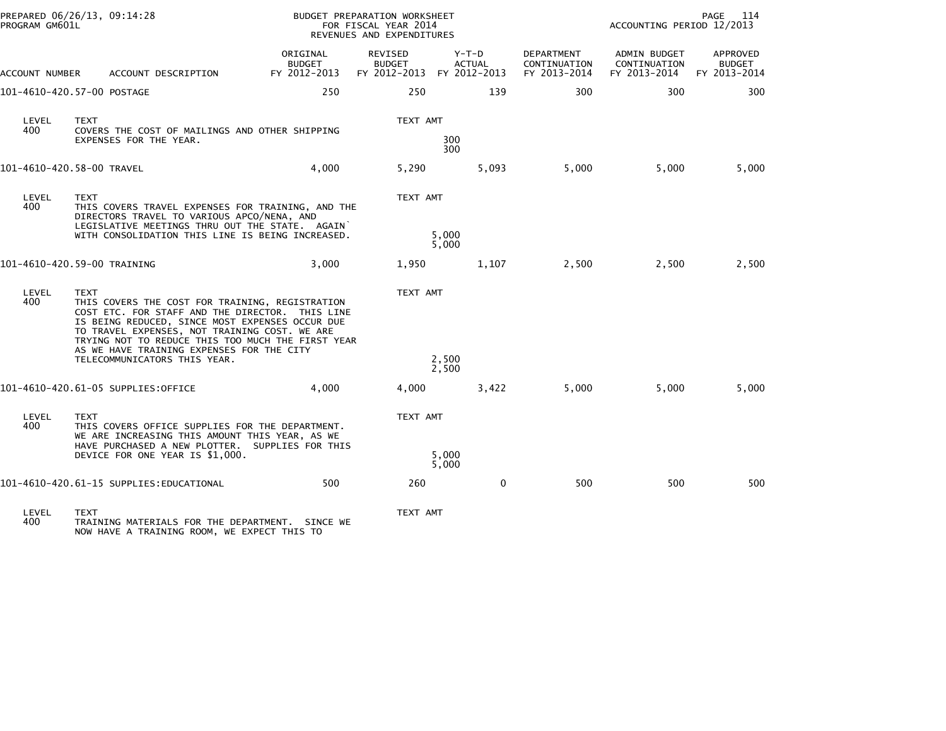|                | PREPARED 06/26/13, 09:14:28<br>PROGRAM GM601L                                                                                                                                                                                                                                                                           |                                           | BUDGET PREPARATION WORKSHEET<br>FOR FISCAL YEAR 2014<br>REVENUES AND EXPENDITURES |                          |                                            | PAGE<br>114<br>ACCOUNTING PERIOD 12/2013            |                                           |  |
|----------------|-------------------------------------------------------------------------------------------------------------------------------------------------------------------------------------------------------------------------------------------------------------------------------------------------------------------------|-------------------------------------------|-----------------------------------------------------------------------------------|--------------------------|--------------------------------------------|-----------------------------------------------------|-------------------------------------------|--|
| ACCOUNT NUMBER | ACCOUNT DESCRIPTION                                                                                                                                                                                                                                                                                                     | ORIGINAL<br><b>BUDGET</b><br>FY 2012-2013 | <b>REVISED</b><br><b>BUDGET</b><br>FY 2012-2013 FY 2012-2013                      | $Y-T-D$<br><b>ACTUAL</b> | DEPARTMENT<br>CONTINUATION<br>FY 2013-2014 | <b>ADMIN BUDGET</b><br>CONTINUATION<br>FY 2013-2014 | APPROVED<br><b>BUDGET</b><br>FY 2013-2014 |  |
|                | 101-4610-420.57-00 POSTAGE                                                                                                                                                                                                                                                                                              | 250                                       | 250                                                                               | 139                      | 300                                        | 300                                                 | 300                                       |  |
| LEVEL<br>400   | <b>TEXT</b><br>COVERS THE COST OF MAILINGS AND OTHER SHIPPING<br>EXPENSES FOR THE YEAR.                                                                                                                                                                                                                                 |                                           | TEXT AMT                                                                          | 300<br>300               |                                            |                                                     |                                           |  |
|                | 101-4610-420.58-00 TRAVEL                                                                                                                                                                                                                                                                                               | 4,000                                     | 5,290                                                                             | 5,093                    | 5,000                                      | 5.000                                               | 5,000                                     |  |
| LEVEL<br>400   | TEXT<br>THIS COVERS TRAVEL EXPENSES FOR TRAINING, AND THE<br>DIRECTORS TRAVEL TO VARIOUS APCO/NENA, AND                                                                                                                                                                                                                 |                                           | TEXT AMT                                                                          |                          |                                            |                                                     |                                           |  |
|                | LEGISLATIVE MEETINGS THRU OUT THE STATE. AGAIN<br>WITH CONSOLIDATION THIS LINE IS BEING INCREASED.                                                                                                                                                                                                                      |                                           |                                                                                   | 5,000<br>5,000           |                                            |                                                     |                                           |  |
|                | 101-4610-420.59-00 TRAINING                                                                                                                                                                                                                                                                                             | 3,000                                     | 1,950                                                                             | 1,107                    | 2,500                                      | 2,500                                               | 2,500                                     |  |
| LEVEL<br>400   | <b>TEXT</b><br>THIS COVERS THE COST FOR TRAINING, REGISTRATION<br>COST ETC. FOR STAFF AND THE DIRECTOR. THIS LINE<br>IS BEING REDUCED, SINCE MOST EXPENSES OCCUR DUE<br>TO TRAVEL EXPENSES, NOT TRAINING COST. WE ARE<br>TRYING NOT TO REDUCE THIS TOO MUCH THE FIRST YEAR<br>AS WE HAVE TRAINING EXPENSES FOR THE CITY |                                           | TEXT AMT                                                                          |                          |                                            |                                                     |                                           |  |
|                | TELECOMMUNICATORS THIS YEAR.                                                                                                                                                                                                                                                                                            |                                           |                                                                                   | 2,500<br>2,500           |                                            |                                                     |                                           |  |
|                | 101-4610-420.61-05 SUPPLIES:OFFICE                                                                                                                                                                                                                                                                                      | 4,000                                     | 4,000                                                                             | 3,422                    | 5,000                                      | 5,000                                               | 5,000                                     |  |
| LEVEL<br>400   | <b>TEXT</b><br>THIS COVERS OFFICE SUPPLIES FOR THE DEPARTMENT.<br>WE ARE INCREASING THIS AMOUNT THIS YEAR, AS WE                                                                                                                                                                                                        |                                           | TEXT AMT                                                                          |                          |                                            |                                                     |                                           |  |
|                | HAVE PURCHASED A NEW PLOTTER. SUPPLIES FOR THIS<br>DEVICE FOR ONE YEAR IS \$1,000.                                                                                                                                                                                                                                      |                                           |                                                                                   | 5,000<br>5,000           |                                            |                                                     |                                           |  |
|                | 101–4610–420.61–15 SUPPLIES:EDUCATIONAL                                                                                                                                                                                                                                                                                 | 500                                       | 260                                                                               | 0                        | 500                                        | 500                                                 | 500                                       |  |
| LEVEL          | <b>TEXT</b>                                                                                                                                                                                                                                                                                                             |                                           | TEXT AMT                                                                          |                          |                                            |                                                     |                                           |  |

LEVEL TEXT TEXT AMT 400 TRAINING MATERIALS FOR THE DEPARTMENT. SINCE WE NOW HAVE A TRAINING ROOM, WE EXPECT THIS TO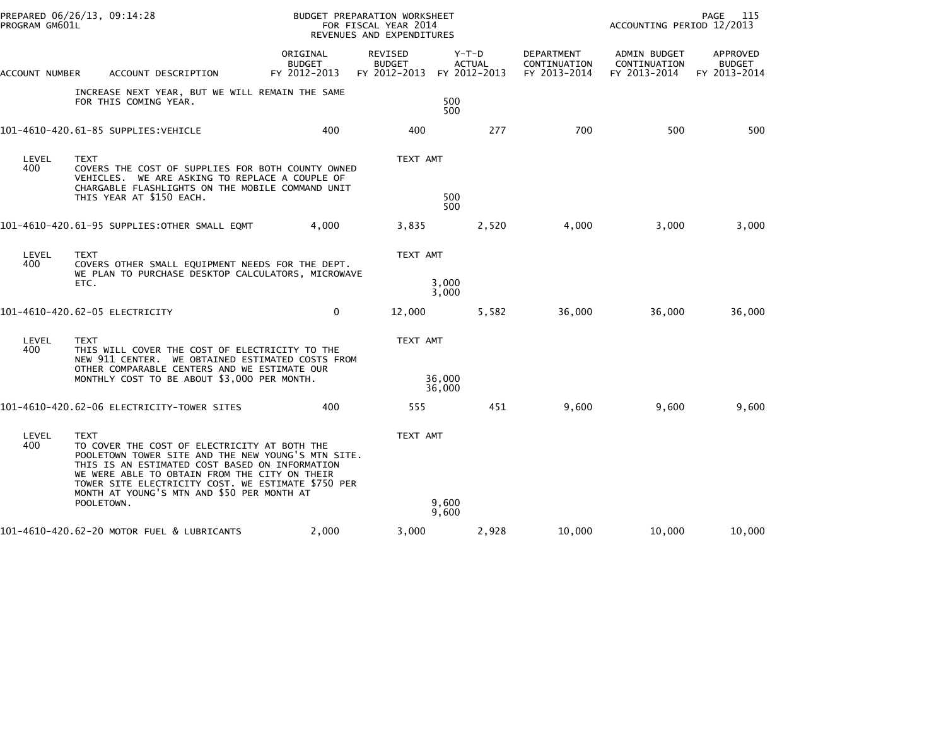| PROGRAM GM601L | PREPARED 06/26/13, 09:14:28                                                                                                                                                                                                                                                                                              |                                           | BUDGET PREPARATION WORKSHEET<br>FOR FISCAL YEAR 2014<br>REVENUES AND EXPENDITURES |                          |                                            | PAGE 115<br>ACCOUNTING PERIOD 12/2013        |                                           |  |
|----------------|--------------------------------------------------------------------------------------------------------------------------------------------------------------------------------------------------------------------------------------------------------------------------------------------------------------------------|-------------------------------------------|-----------------------------------------------------------------------------------|--------------------------|--------------------------------------------|----------------------------------------------|-------------------------------------------|--|
| ACCOUNT NUMBER | ACCOUNT DESCRIPTION                                                                                                                                                                                                                                                                                                      | ORIGINAL<br><b>BUDGET</b><br>FY 2012-2013 | REVISED<br><b>BUDGET</b><br>FY 2012-2013 FY 2012-2013                             | $Y-T-D$<br><b>ACTUAL</b> | DEPARTMENT<br>CONTINUATION<br>FY 2013-2014 | ADMIN BUDGET<br>CONTINUATION<br>FY 2013-2014 | APPROVED<br><b>BUDGET</b><br>FY 2013-2014 |  |
|                | INCREASE NEXT YEAR, BUT WE WILL REMAIN THE SAME<br>FOR THIS COMING YEAR.                                                                                                                                                                                                                                                 |                                           |                                                                                   | 500<br>500               |                                            |                                              |                                           |  |
|                | 101-4610-420.61-85 SUPPLIES:VEHICLE                                                                                                                                                                                                                                                                                      | 400                                       | 400                                                                               | 277                      | 700                                        | 500                                          | 500                                       |  |
| LEVEL<br>400   | <b>TEXT</b><br>COVERS THE COST OF SUPPLIES FOR BOTH COUNTY OWNED<br>VEHICLES. WE ARE ASKING TO REPLACE A COUPLE OF<br>CHARGABLE FLASHLIGHTS ON THE MOBILE COMMAND UNIT<br>THIS YEAR AT \$150 EACH.                                                                                                                       |                                           | TEXT AMT                                                                          | 500<br>500               |                                            |                                              |                                           |  |
|                | 101–4610–420.61–95 SUPPLIES:OTHER SMALL EQMT                                                                                                                                                                                                                                                                             | 4,000                                     | 3,835                                                                             | 2,520                    | 4,000                                      | 3,000                                        | 3,000                                     |  |
| LEVEL<br>400   | TEXT<br>COVERS OTHER SMALL EQUIPMENT NEEDS FOR THE DEPT.<br>WE PLAN TO PURCHASE DESKTOP CALCULATORS, MICROWAVE                                                                                                                                                                                                           |                                           | TEXT AMT                                                                          |                          |                                            |                                              |                                           |  |
|                | ETC.                                                                                                                                                                                                                                                                                                                     |                                           |                                                                                   | 3,000<br>3,000           |                                            |                                              |                                           |  |
|                | 101-4610-420.62-05 ELECTRICITY                                                                                                                                                                                                                                                                                           | $\Omega$                                  | 12,000                                                                            | 5,582                    | 36,000                                     | 36,000                                       | 36,000                                    |  |
| LEVEL<br>400   | <b>TEXT</b><br>THIS WILL COVER THE COST OF ELECTRICITY TO THE<br>NEW 911 CENTER. WE OBTAINED ESTIMATED COSTS FROM                                                                                                                                                                                                        |                                           | TEXT AMT                                                                          |                          |                                            |                                              |                                           |  |
|                | OTHER COMPARABLE CENTERS AND WE ESTIMATE OUR<br>MONTHLY COST TO BE ABOUT \$3,000 PER MONTH.                                                                                                                                                                                                                              |                                           |                                                                                   | 36,000<br>36,000         |                                            |                                              |                                           |  |
|                | 101-4610-420.62-06 ELECTRICITY-TOWER SITES                                                                                                                                                                                                                                                                               | 400                                       | 555                                                                               | 451                      | 9,600                                      | 9,600                                        | 9,600                                     |  |
| LEVEL<br>400   | <b>TEXT</b><br>TO COVER THE COST OF ELECTRICITY AT BOTH THE<br>POOLETOWN TOWER SITE AND THE NEW YOUNG'S MTN SITE.<br>THIS IS AN ESTIMATED COST BASED ON INFORMATION<br>WE WERE ABLE TO OBTAIN FROM THE CITY ON THEIR<br>TOWER SITE ELECTRICITY COST. WE ESTIMATE \$750 PER<br>MONTH AT YOUNG'S MTN AND \$50 PER MONTH AT |                                           | TEXT AMT                                                                          |                          |                                            |                                              |                                           |  |
|                | POOLETOWN.                                                                                                                                                                                                                                                                                                               |                                           |                                                                                   | 9,600<br>9,600           |                                            |                                              |                                           |  |
|                | 101-4610-420.62-20 MOTOR FUEL & LUBRICANTS                                                                                                                                                                                                                                                                               | 2,000                                     | 3,000                                                                             | 2,928                    | 10,000                                     | 10,000                                       | 10,000                                    |  |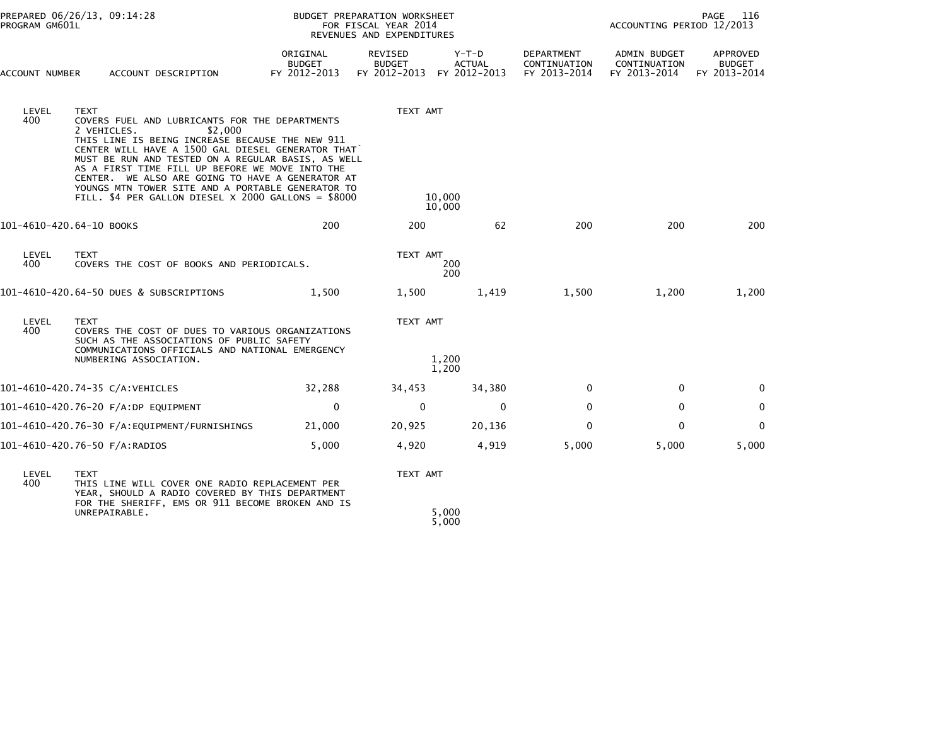| PROGRAM GM601L           | PREPARED 06/26/13, 09:14:28                                                                                                                                                                                                                                                                                                                                                                                                                                              |                                    | BUDGET PREPARATION WORKSHEET<br>FOR FISCAL YEAR 2014<br>REVENUES AND EXPENDITURES | PAGE<br>116<br>ACCOUNTING PERIOD 12/2013 |                                            |                                                     |                                           |
|--------------------------|--------------------------------------------------------------------------------------------------------------------------------------------------------------------------------------------------------------------------------------------------------------------------------------------------------------------------------------------------------------------------------------------------------------------------------------------------------------------------|------------------------------------|-----------------------------------------------------------------------------------|------------------------------------------|--------------------------------------------|-----------------------------------------------------|-------------------------------------------|
| ACCOUNT NUMBER           | ACCOUNT DESCRIPTION                                                                                                                                                                                                                                                                                                                                                                                                                                                      | ORIGINAL<br>BUDGET<br>FY 2012-2013 | <b>REVISED</b><br><b>BUDGET</b><br>FY 2012-2013 FY 2012-2013                      | $Y-T-D$<br><b>ACTUAL</b>                 | DEPARTMENT<br>CONTINUATION<br>FY 2013-2014 | <b>ADMIN BUDGET</b><br>CONTINUATION<br>FY 2013-2014 | APPROVED<br><b>BUDGET</b><br>FY 2013-2014 |
| LEVEL<br>400             | <b>TEXT</b><br>COVERS FUEL AND LUBRICANTS FOR THE DEPARTMENTS<br>2 VEHICLES.<br>\$2,000<br>THIS LINE IS BEING INCREASE BECAUSE THE NEW 911<br>CENTER WILL HAVE A 1500 GAL DIESEL GENERATOR THAT<br>MUST BE RUN AND TESTED ON A REGULAR BASIS, AS WELL<br>AS A FIRST TIME FILL UP BEFORE WE MOVE INTO THE<br>CENTER. WE ALSO ARE GOING TO HAVE A GENERATOR AT<br>YOUNGS MTN TOWER SITE AND A PORTABLE GENERATOR TO<br>FILL. \$4 PER GALLON DIESEL X 2000 GALLONS = \$8000 |                                    | TEXT AMT                                                                          | 10,000<br>10,000                         |                                            |                                                     |                                           |
| 101-4610-420.64-10 BOOKS |                                                                                                                                                                                                                                                                                                                                                                                                                                                                          | 200                                | 200                                                                               | 62                                       | 200                                        | 200                                                 | 200                                       |
| LEVEL<br>400             | <b>TEXT</b><br>COVERS THE COST OF BOOKS AND PERIODICALS.                                                                                                                                                                                                                                                                                                                                                                                                                 |                                    | TEXT AMT                                                                          | 200<br>200                               |                                            |                                                     |                                           |
|                          | 101-4610-420.64-50 DUES & SUBSCRIPTIONS                                                                                                                                                                                                                                                                                                                                                                                                                                  | 1,500                              | 1,500                                                                             | 1,419                                    | 1,500                                      | 1,200                                               | 1,200                                     |
| LEVEL<br>400             | <b>TEXT</b><br>COVERS THE COST OF DUES TO VARIOUS ORGANIZATIONS<br>SUCH AS THE ASSOCIATIONS OF PUBLIC SAFETY<br>COMMUNICATIONS OFFICIALS AND NATIONAL EMERGENCY<br>NUMBERING ASSOCIATION.                                                                                                                                                                                                                                                                                |                                    | TEXT AMT                                                                          | 1,200<br>1,200                           |                                            |                                                     |                                           |
|                          | 101-4610-420.74-35 C/A:VEHICLES                                                                                                                                                                                                                                                                                                                                                                                                                                          | 32,288                             | 34,453                                                                            | 34,380                                   | 0                                          | $\mathbf{0}$                                        | $\mathbf{0}$                              |
|                          | 101-4610-420.76-20 F/A:DP EQUIPMENT                                                                                                                                                                                                                                                                                                                                                                                                                                      | $\mathbf 0$                        | $\mathbf 0$                                                                       | $\mathbf{0}$                             | $\mathbf{0}$                               | 0                                                   | $\mathbf 0$                               |
|                          |                                                                                                                                                                                                                                                                                                                                                                                                                                                                          | 21,000                             | 20,925                                                                            | 20,136                                   | $\Omega$                                   | $\mathbf{0}$                                        | $\Omega$                                  |
|                          | 101-4610-420.76-50 F/A:RADIOS                                                                                                                                                                                                                                                                                                                                                                                                                                            | 5,000                              | 4,920                                                                             | 4,919                                    | 5,000                                      | 5,000                                               | 5,000                                     |
| LEVEL<br>400             | <b>TEXT</b><br>THIS LINE WILL COVER ONE RADIO REPLACEMENT PER<br>YEAR, SHOULD A RADIO COVERED BY THIS DEPARTMENT<br>FOR THE SHERIFF, EMS OR 911 BECOME BROKEN AND IS<br>UNREPAIRABLE.                                                                                                                                                                                                                                                                                    |                                    | TEXT AMT                                                                          | 5,000<br>5,000                           |                                            |                                                     |                                           |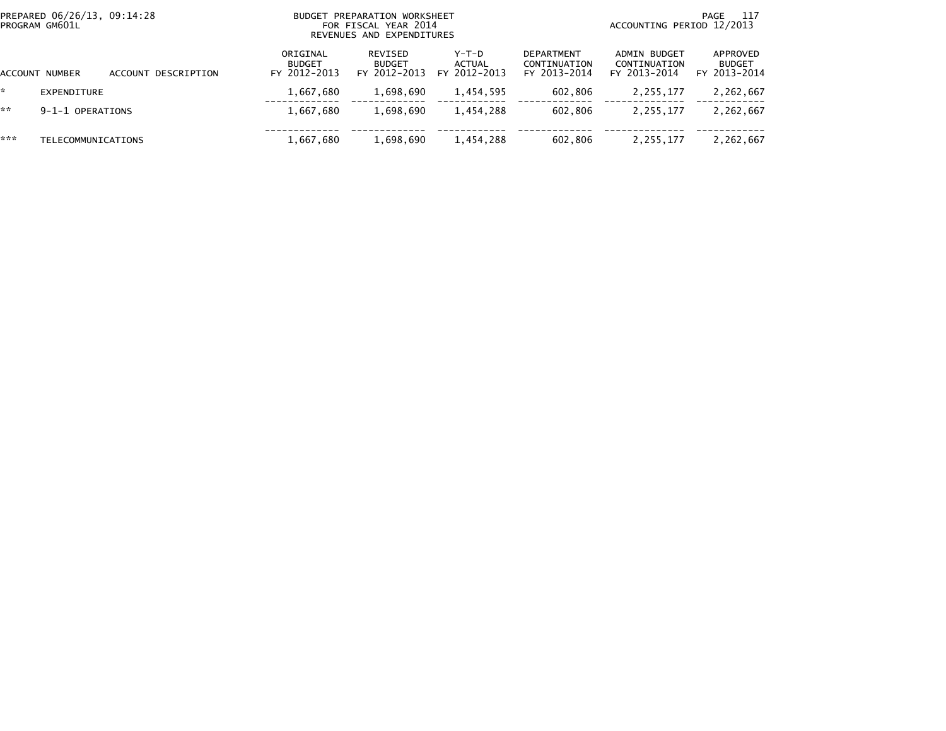| PREPARED 06/26/13, 09:14:28<br>PROGRAM GM601L |                           | BUDGET PREPARATION WORKSHEET<br>FOR FISCAL YEAR 2014<br>REVENUES AND EXPENDITURES |                                           |                                          |                                          | -117<br>PAGE<br>ACCOUNTING PERIOD 12/2013         |                                              |                                           |
|-----------------------------------------------|---------------------------|-----------------------------------------------------------------------------------|-------------------------------------------|------------------------------------------|------------------------------------------|---------------------------------------------------|----------------------------------------------|-------------------------------------------|
|                                               | <b>ACCOUNT NUMBER</b>     | ACCOUNT DESCRIPTION                                                               | ORIGINAL<br><b>BUDGET</b><br>FY 2012-2013 | REVISED<br><b>BUDGET</b><br>FY 2012-2013 | $Y-T-D$<br><b>ACTUAL</b><br>FY 2012-2013 | <b>DEPARTMENT</b><br>CONTINUATION<br>FY 2013-2014 | ADMIN BUDGET<br>CONTINUATION<br>FY 2013-2014 | APPROVED<br><b>BUDGET</b><br>FY 2013-2014 |
| *                                             | EXPENDITURE               |                                                                                   | 1,667,680                                 | 1,698,690                                | 1,454,595                                | 602,806                                           | 2,255,177                                    | 2,262,667                                 |
| **                                            | 9-1-1 OPERATIONS          |                                                                                   | 1,667,680                                 | 1,698,690                                | 1.454.288                                | 602.806                                           | 2,255,177                                    | 2,262,667                                 |
| ***                                           | <b>TELECOMMUNICATIONS</b> |                                                                                   | 1,667,680                                 | 1,698,690                                | 1,454,288                                | 602.806                                           | 2,255,177                                    | 2,262,667                                 |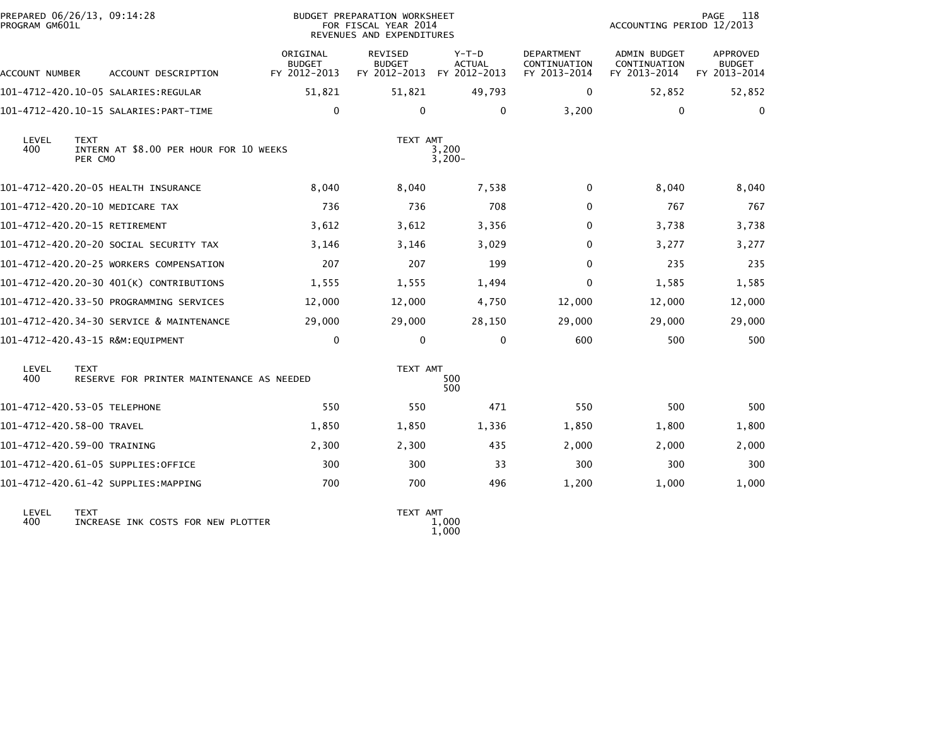| PREPARED 06/26/13, 09:14:28<br>PROGRAM GM601L |                        |                                           |                                           | BUDGET PREPARATION WORKSHEET<br>FOR FISCAL YEAR 2014<br>REVENUES AND EXPENDITURES |                                          |                                                   | ACCOUNTING PERIOD 12/2013                           | 118<br>PAGE                                      |
|-----------------------------------------------|------------------------|-------------------------------------------|-------------------------------------------|-----------------------------------------------------------------------------------|------------------------------------------|---------------------------------------------------|-----------------------------------------------------|--------------------------------------------------|
| ACCOUNT NUMBER                                |                        | ACCOUNT DESCRIPTION                       | ORIGINAL<br><b>BUDGET</b><br>FY 2012-2013 | <b>REVISED</b><br><b>BUDGET</b><br>FY 2012-2013                                   | $Y-T-D$<br><b>ACTUAL</b><br>FY 2012-2013 | <b>DEPARTMENT</b><br>CONTINUATION<br>FY 2013-2014 | <b>ADMIN BUDGET</b><br>CONTINUATION<br>FY 2013-2014 | <b>APPROVED</b><br><b>BUDGET</b><br>FY 2013-2014 |
|                                               |                        |                                           | 51,821                                    | 51,821                                                                            | 49,793                                   | $\mathbf{0}$                                      | 52,852                                              | 52,852                                           |
|                                               |                        | 101-4712-420.10-15 SALARIES: PART-TIME    | $\mathbf 0$                               | 0                                                                                 | 0                                        | 3,200                                             | 0                                                   | 0                                                |
| LEVEL<br>400                                  | <b>TEXT</b><br>PER CMO | INTERN AT \$8.00 PER HOUR FOR 10 WEEKS    |                                           | TEXT AMT                                                                          | 3,200<br>$3,200-$                        |                                                   |                                                     |                                                  |
|                                               |                        | 101-4712-420.20-05 HEALTH INSURANCE       | 8,040                                     | 8,040                                                                             | 7,538                                    | 0                                                 | 8,040                                               | 8,040                                            |
|                                               |                        | 101-4712-420.20-10 MEDICARE TAX           | 736                                       | 736                                                                               | 708                                      | $\Omega$                                          | 767                                                 | 767                                              |
| 101-4712-420.20-15 RETIREMENT                 |                        |                                           | 3,612                                     | 3,612                                                                             | 3,356                                    | $\Omega$                                          | 3,738                                               | 3,738                                            |
|                                               |                        | 101-4712-420.20-20 SOCIAL SECURITY TAX    | 3,146                                     | 3,146                                                                             | 3,029                                    | $\Omega$                                          | 3,277                                               | 3,277                                            |
|                                               |                        | 101-4712-420.20-25 WORKERS COMPENSATION   | 207                                       | 207                                                                               | 199                                      | $\Omega$                                          | 235                                                 | 235                                              |
|                                               |                        | 101-4712-420.20-30 401(K) CONTRIBUTIONS   | 1,555                                     | 1,555                                                                             | 1,494                                    | $\mathbf{0}$                                      | 1,585                                               | 1,585                                            |
|                                               |                        | 101-4712-420.33-50 PROGRAMMING SERVICES   | 12,000                                    | 12,000                                                                            | 4,750                                    | 12,000                                            | 12,000                                              | 12,000                                           |
|                                               |                        | 101-4712-420.34-30 SERVICE & MAINTENANCE  | 29,000                                    | 29,000                                                                            | 28,150                                   | 29,000                                            | 29,000                                              | 29,000                                           |
|                                               |                        | 101-4712-420.43-15 R&M:EQUIPMENT          | $\mathbf 0$                               | $\mathbf 0$                                                                       | $\mathbf{0}$                             | 600                                               | 500                                                 | 500                                              |
| LEVEL<br>400                                  | <b>TEXT</b>            | RESERVE FOR PRINTER MAINTENANCE AS NEEDED |                                           | TEXT AMT                                                                          | 500<br>500                               |                                                   |                                                     |                                                  |
| 101-4712-420.53-05 TELEPHONE                  |                        |                                           | 550                                       | 550                                                                               | 471                                      | 550                                               | 500                                                 | 500                                              |
| 101-4712-420.58-00 TRAVEL                     |                        |                                           | 1,850                                     | 1,850                                                                             | 1,336                                    | 1,850                                             | 1,800                                               | 1,800                                            |
| 101-4712-420.59-00 TRAINING                   |                        |                                           | 2,300                                     | 2,300                                                                             | 435                                      | 2,000                                             | 2,000                                               | 2,000                                            |
|                                               |                        | 101-4712-420.61-05 SUPPLIES:OFFICE        | 300                                       | 300                                                                               | 33                                       | 300                                               | 300                                                 | 300                                              |
|                                               |                        | 101-4712-420.61-42 SUPPLIES:MAPPING       | 700                                       | 700                                                                               | 496                                      | 1,200                                             | 1,000                                               | 1,000                                            |
|                                               |                        |                                           |                                           |                                                                                   |                                          |                                                   |                                                     |                                                  |

 LEVEL TEXT TEXT AMT LEVEL TEXT<br>400 INCREASE INK COSTS FOR NEW PLOTTER

1,000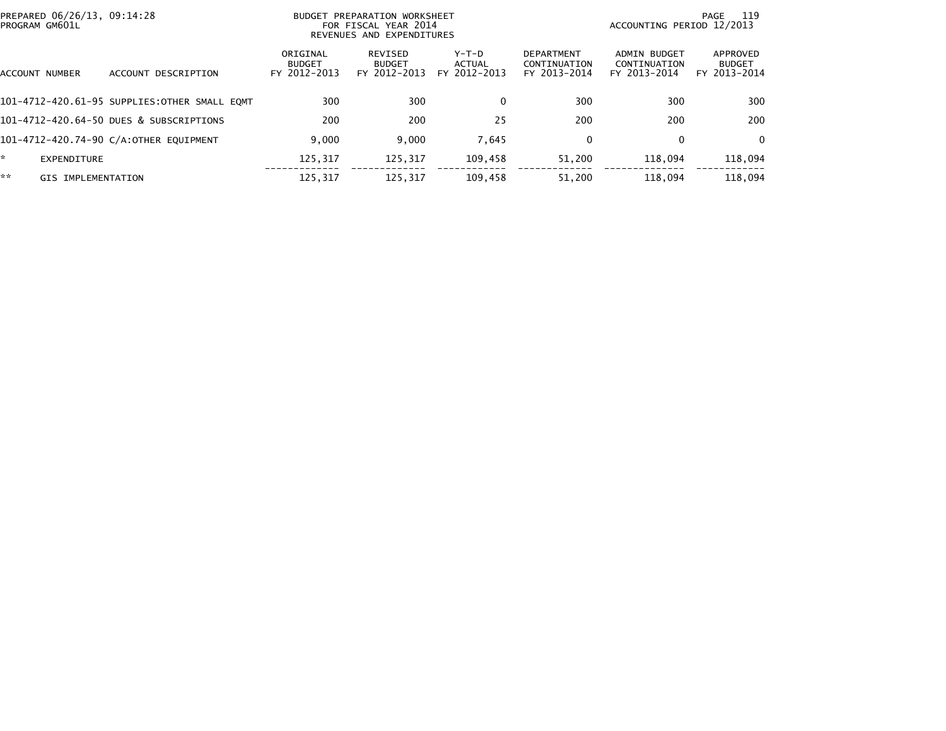| PREPARED 06/26/13, 09:14:28<br>PROGRAM GM601L |                                              | BUDGET PREPARATION WORKSHEET<br>FOR FISCAL YEAR 2014<br>REVENUES AND EXPENDITURES |                                          |                                 |                                                   | - 119<br>PAGE<br>ACCOUNTING PERIOD 12/2013   |                                           |  |
|-----------------------------------------------|----------------------------------------------|-----------------------------------------------------------------------------------|------------------------------------------|---------------------------------|---------------------------------------------------|----------------------------------------------|-------------------------------------------|--|
| ACCOUNT NUMBER                                | DESCRIPTION<br><b>ACCOUNT</b>                | ORIGINAL<br><b>BUDGET</b><br>FY 2012-2013                                         | REVISED<br><b>BUDGET</b><br>FY 2012-2013 | Y-T-D<br>ACTUAL<br>FY 2012-2013 | <b>DEPARTMENT</b><br>CONTINUATION<br>FY 2013-2014 | ADMIN BUDGET<br>CONTINUATION<br>FY 2013-2014 | APPROVED<br><b>BUDGET</b><br>FY 2013-2014 |  |
|                                               | 101-4712-420.61-95 SUPPLIES:OTHER SMALL EOMT | 300                                                                               | 300                                      | $\Omega$                        | 300                                               | 300                                          | 300                                       |  |
|                                               | 101-4712-420.64-50 DUES & SUBSCRIPTIONS      | 200                                                                               | 200                                      | 25                              | 200                                               | 200                                          | 200                                       |  |
|                                               | 101-4712-420.74-90 C/A:OTHER EQUIPMENT       | 9,000                                                                             | 9,000                                    | 7,645                           | 0                                                 | $\mathbf{0}$                                 | $\Omega$                                  |  |
| EXPENDITURE                                   |                                              | 125.317                                                                           | 125,317                                  | 109,458                         | 51,200                                            | 118.094                                      | 118,094                                   |  |
| **<br>GIS IMPLEMENTATION                      |                                              | 125,317                                                                           | 125,317                                  | 109,458                         | 51,200                                            | 118,094                                      | 118,094                                   |  |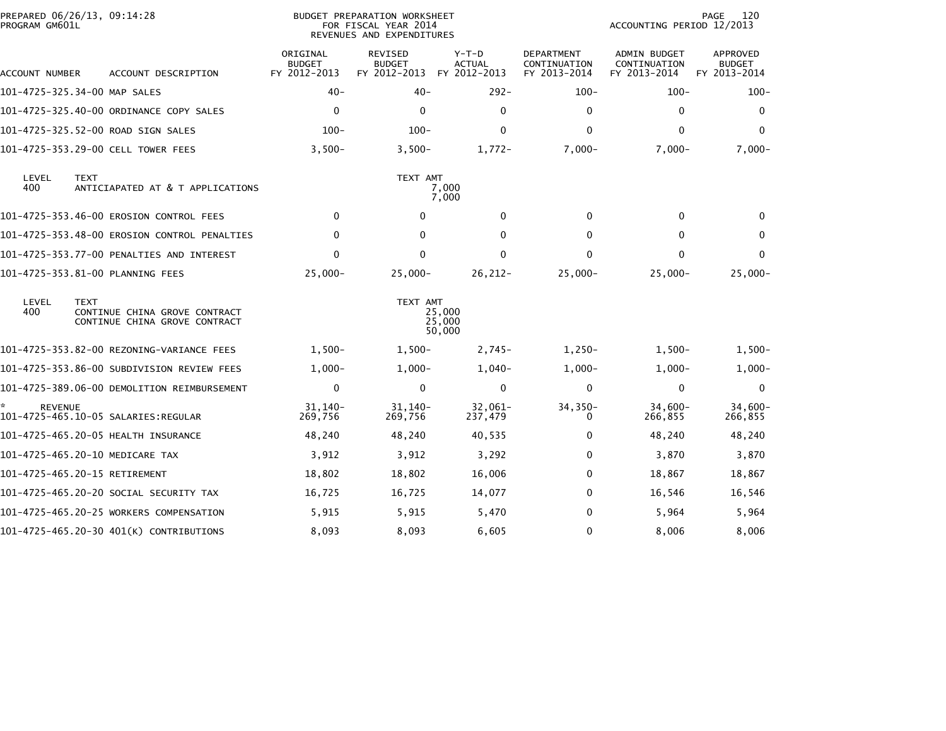| PREPARED 06/26/13, 09:14:28<br>PROGRAM GM601L |                                                                |                                           | BUDGET PREPARATION WORKSHEET<br>FOR FISCAL YEAR 2014<br>REVENUES AND EXPENDITURES |                                          | 120<br>PAGE<br>ACCOUNTING PERIOD 12/2013          |                                                     |                                                  |
|-----------------------------------------------|----------------------------------------------------------------|-------------------------------------------|-----------------------------------------------------------------------------------|------------------------------------------|---------------------------------------------------|-----------------------------------------------------|--------------------------------------------------|
| ACCOUNT NUMBER                                | ACCOUNT DESCRIPTION                                            | ORIGINAL<br><b>BUDGET</b><br>FY 2012-2013 | <b>REVISED</b><br><b>BUDGET</b><br>FY 2012-2013                                   | $Y-T-D$<br><b>ACTUAL</b><br>FY 2012-2013 | <b>DEPARTMENT</b><br>CONTINUATION<br>FY 2013-2014 | <b>ADMIN BUDGET</b><br>CONTINUATION<br>FY 2013-2014 | <b>APPROVED</b><br><b>BUDGET</b><br>FY 2013-2014 |
| 101-4725-325.34-00 MAP SALES                  |                                                                | $40 -$                                    | $40 -$                                                                            | $292 -$                                  | $100 -$                                           | $100 -$                                             | $100 -$                                          |
|                                               | 101-4725-325.40-00 ORDINANCE COPY SALES                        | 0                                         | 0                                                                                 | 0                                        | 0                                                 | 0                                                   | 0                                                |
| 101-4725-325.52-00 ROAD SIGN SALES            |                                                                | $100 -$                                   | $100 -$                                                                           | $\mathbf 0$                              | $\Omega$                                          | $\mathbf{0}$                                        | $\mathbf{0}$                                     |
| 101-4725-353.29-00 CELL TOWER FEES            |                                                                | $3,500-$                                  | $3,500-$                                                                          | $1,772-$                                 | $7,000 -$                                         | $7,000 -$                                           | $7,000 -$                                        |
| LEVEL<br><b>TEXT</b><br>400                   | ANTICIAPATED AT & T APPLICATIONS                               |                                           | TEXT AMT                                                                          | 7,000<br>7,000                           |                                                   |                                                     |                                                  |
|                                               | 101-4725-353.46-00 EROSION CONTROL FEES                        | $\Omega$                                  | $\mathbf{0}$                                                                      | $\mathbf 0$                              | $\mathbf{0}$                                      | $\mathbf{0}$                                        | $\bf{0}$                                         |
|                                               | 101-4725-353.48-00 EROSION CONTROL PENALTIES                   | $\mathbf{0}$                              | $\Omega$                                                                          | $\mathbf{0}$                             | $\Omega$                                          | 0                                                   | $\bf{0}$                                         |
|                                               | 101-4725-353.77-00 PENALTIES AND INTEREST                      | 0                                         | 0                                                                                 | $\mathbf 0$                              | 0                                                 | $\mathbf{0}$                                        | $\mathbf{0}$                                     |
| 101-4725-353.81-00 PLANNING FEES              |                                                                | $25,000 -$                                | $25,000-$                                                                         | $26, 212 -$                              | $25,000 -$                                        | $25,000-$                                           | $25,000-$                                        |
| LEVEL<br><b>TEXT</b><br>400                   | CONTINUE CHINA GROVE CONTRACT<br>CONTINUE CHINA GROVE CONTRACT |                                           | TEXT AMT                                                                          | 25,000<br>25,000<br>50,000               |                                                   |                                                     |                                                  |
|                                               | 101-4725-353.82-00 REZONING-VARIANCE FEES                      | $1,500-$                                  | $1,500-$                                                                          | $2,745-$                                 | $1,250-$                                          | $1,500-$                                            | $1,500-$                                         |
|                                               | 101–4725–353.86–00 SUBDIVISION REVIEW FEES                     | $1,000-$                                  | $1,000-$                                                                          | $1,040-$                                 | $1,000-$                                          | $1,000-$                                            | $1,000-$                                         |
|                                               | 101-4725-389.06-00 DEMOLITION REIMBURSEMENT                    | $\mathbf 0$                               | 0                                                                                 | $\mathbf 0$                              | 0                                                 | 0                                                   | 0                                                |
| <b>REVENUE</b>                                |                                                                | $31.140 -$<br>269,756                     | $31,140-$<br>269,756                                                              | $32,061-$<br>237,479                     | $34, 350 -$<br>0                                  | $34,600-$<br>266,855                                | $34,600 -$<br>266,855                            |
| 101-4725-465.20-05 HEALTH INSURANCE           |                                                                | 48,240                                    | 48,240                                                                            | 40,535                                   | 0                                                 | 48,240                                              | 48,240                                           |
| 101-4725-465.20-10 MEDICARE TAX               |                                                                | 3,912                                     | 3,912                                                                             | 3,292                                    | $\Omega$                                          | 3,870                                               | 3,870                                            |
| 101-4725-465.20-15 RETIREMENT                 |                                                                | 18,802                                    | 18,802                                                                            | 16,006                                   | $\Omega$                                          | 18,867                                              | 18,867                                           |
|                                               | 101–4725–465.20–20 SOCIAL SECURITY TAX                         | 16,725                                    | 16,725                                                                            | 14,077                                   | 0                                                 | 16,546                                              | 16,546                                           |
|                                               | 101-4725-465.20-25 WORKERS COMPENSATION                        | 5,915                                     | 5,915                                                                             | 5,470                                    | 0                                                 | 5,964                                               | 5,964                                            |
|                                               | 101-4725-465.20-30 401(K) CONTRIBUTIONS                        | 8,093                                     | 8,093                                                                             | 6,605                                    | 0                                                 | 8,006                                               | 8,006                                            |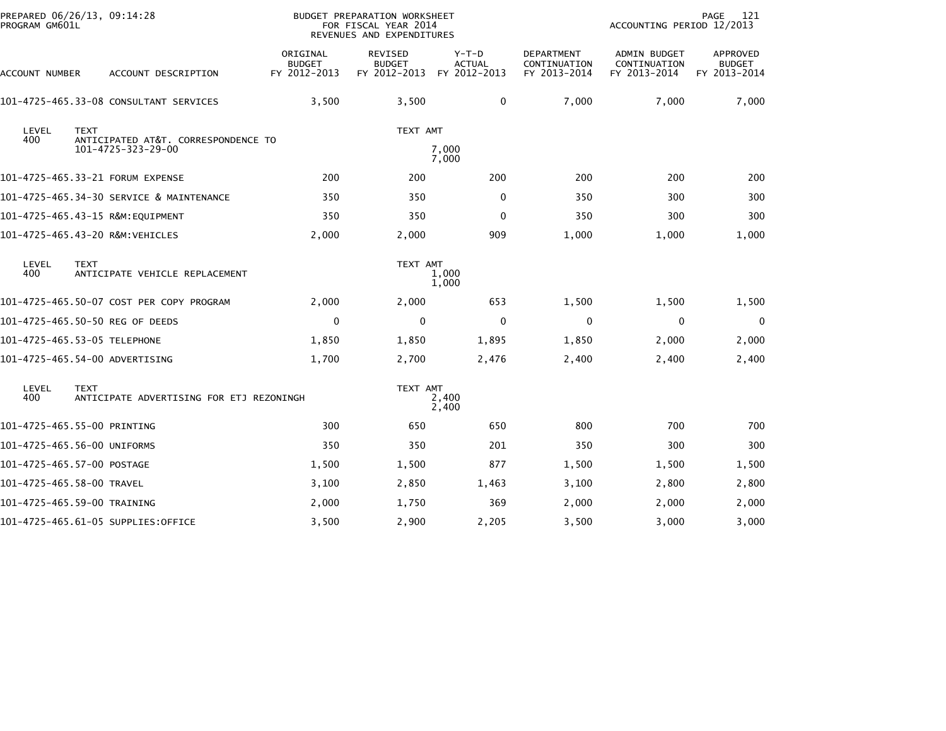| PREPARED 06/26/13, 09:14:28<br>PROGRAM GM601L |             |                                          |                                           | BUDGET PREPARATION WORKSHEET<br>FOR FISCAL YEAR 2014<br>REVENUES AND EXPENDITURES |                                          |                                                   | ACCOUNTING PERIOD 12/2013                           | 121<br>PAGE                               |
|-----------------------------------------------|-------------|------------------------------------------|-------------------------------------------|-----------------------------------------------------------------------------------|------------------------------------------|---------------------------------------------------|-----------------------------------------------------|-------------------------------------------|
| ACCOUNT NUMBER                                |             | ACCOUNT DESCRIPTION                      | ORIGINAL<br><b>BUDGET</b><br>FY 2012-2013 | REVISED<br><b>BUDGET</b><br>FY 2012-2013                                          | $Y-T-D$<br><b>ACTUAL</b><br>FY 2012-2013 | <b>DEPARTMENT</b><br>CONTINUATION<br>FY 2013-2014 | <b>ADMIN BUDGET</b><br>CONTINUATION<br>FY 2013-2014 | APPROVED<br><b>BUDGET</b><br>FY 2013-2014 |
|                                               |             | 101-4725-465.33-08 CONSULTANT SERVICES   | 3,500                                     | 3,500                                                                             | 0                                        | 7,000                                             | 7,000                                               | 7,000                                     |
| LEVEL<br>400                                  | <b>TEXT</b> | ANTICIPATED AT&T. CORRESPONDENCE TO      |                                           | TEXT AMT                                                                          |                                          |                                                   |                                                     |                                           |
|                                               |             | 101-4725-323-29-00                       |                                           |                                                                                   | 7,000<br>7,000                           |                                                   |                                                     |                                           |
|                                               |             | 101-4725-465.33-21 FORUM EXPENSE         | 200                                       | 200                                                                               | 200                                      | 200                                               | 200                                                 | 200                                       |
|                                               |             | 101-4725-465.34-30 SERVICE & MAINTENANCE | 350                                       | 350                                                                               | 0                                        | 350                                               | 300                                                 | 300                                       |
|                                               |             | 101-4725-465.43-15 R&M:EQUIPMENT         | 350                                       | 350                                                                               | 0                                        | 350                                               | 300                                                 | 300                                       |
| 101-4725-465.43-20 R&M:VEHICLES               |             |                                          | 2,000                                     | 2,000                                                                             | 909                                      | 1,000                                             | 1,000                                               | 1,000                                     |
| LEVEL<br>400                                  | <b>TEXT</b> | ANTICIPATE VEHICLE REPLACEMENT           |                                           | TEXT AMT                                                                          | 1,000<br>1,000                           |                                                   |                                                     |                                           |
|                                               |             | 101-4725-465.50-07 COST PER COPY PROGRAM | 2,000                                     | 2,000                                                                             | 653                                      | 1,500                                             | 1,500                                               | 1,500                                     |
| 101-4725-465.50-50 REG OF DEEDS               |             |                                          | 0                                         | 0                                                                                 | $\Omega$                                 | $\mathbf{0}$                                      | 0                                                   | $\Omega$                                  |
| 101-4725-465.53-05 TELEPHONE                  |             |                                          | 1,850                                     | 1,850                                                                             | 1,895                                    | 1,850                                             | 2,000                                               | 2,000                                     |
| 101-4725-465.54-00 ADVERTISING                |             |                                          | 1,700                                     | 2,700                                                                             | 2,476                                    | 2,400                                             | 2,400                                               | 2,400                                     |
| LEVEL<br>400                                  | <b>TEXT</b> | ANTICIPATE ADVERTISING FOR ETJ REZONINGH |                                           | TEXT AMT                                                                          | 2,400<br>2,400                           |                                                   |                                                     |                                           |
| 101-4725-465.55-00 PRINTING                   |             |                                          | 300                                       | 650                                                                               | 650                                      | 800                                               | 700                                                 | 700                                       |
| 101-4725-465.56-00 UNIFORMS                   |             |                                          | 350                                       | 350                                                                               | 201                                      | 350                                               | 300                                                 | 300                                       |
| 101-4725-465.57-00 POSTAGE                    |             |                                          | 1,500                                     | 1,500                                                                             | 877                                      | 1,500                                             | 1,500                                               | 1,500                                     |
| 101-4725-465.58-00 TRAVEL                     |             |                                          | 3,100                                     | 2,850                                                                             | 1,463                                    | 3,100                                             | 2,800                                               | 2,800                                     |
| 101-4725-465.59-00 TRAINING                   |             |                                          | 2,000                                     | 1,750                                                                             | 369                                      | 2,000                                             | 2,000                                               | 2,000                                     |
|                                               |             | 101-4725-465.61-05 SUPPLIES:OFFICE       | 3,500                                     | 2,900                                                                             | 2,205                                    | 3,500                                             | 3,000                                               | 3,000                                     |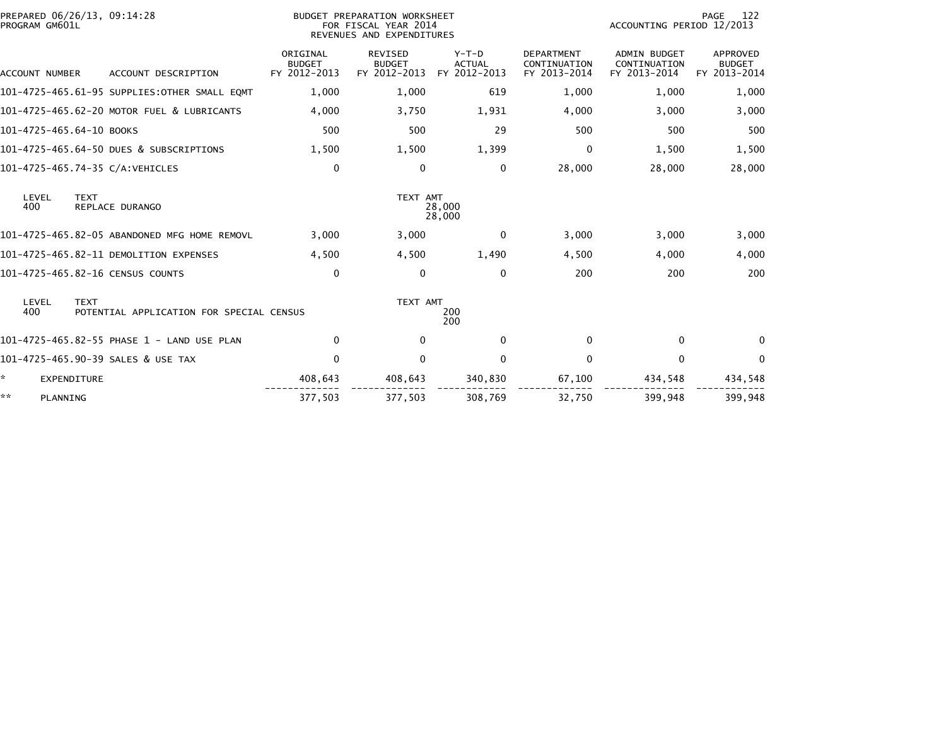| PROGRAM GM601L           | PREPARED 06/26/13, 09:14:28                             | <b>BUDGET PREPARATION WORKSHEET</b><br>FOR FISCAL YEAR 2014<br>REVENUES AND EXPENDITURES |                                                 |                                          |                                                   | 122<br>PAGE<br>ACCOUNTING PERIOD 12/2013            |                                           |  |
|--------------------------|---------------------------------------------------------|------------------------------------------------------------------------------------------|-------------------------------------------------|------------------------------------------|---------------------------------------------------|-----------------------------------------------------|-------------------------------------------|--|
| <b>ACCOUNT NUMBER</b>    | ACCOUNT DESCRIPTION                                     | ORIGINAL<br><b>BUDGET</b><br>FY 2012-2013                                                | <b>REVISED</b><br><b>BUDGET</b><br>FY 2012-2013 | $Y-T-D$<br><b>ACTUAL</b><br>FY 2012-2013 | <b>DEPARTMENT</b><br>CONTINUATION<br>FY 2013-2014 | <b>ADMIN BUDGET</b><br>CONTINUATION<br>FY 2013-2014 | APPROVED<br><b>BUDGET</b><br>FY 2013-2014 |  |
|                          | 101-4725-465.61-95 SUPPLIES:OTHER SMALL EQMT            | 1,000                                                                                    | 1,000                                           | 619                                      | 1,000                                             | 1.000                                               | 1,000                                     |  |
|                          | 101-4725-465.62-20 MOTOR FUEL & LUBRICANTS              | 4,000                                                                                    | 3,750                                           | 1,931                                    | 4,000                                             | 3,000                                               | 3,000                                     |  |
| 101-4725-465.64-10 BOOKS |                                                         | 500                                                                                      | 500                                             | 29                                       | 500                                               | 500                                                 | 500                                       |  |
|                          | 101-4725-465.64-50 DUES & SUBSCRIPTIONS                 | 1,500                                                                                    | 1,500                                           | 1,399                                    | 0                                                 | 1,500                                               | 1,500                                     |  |
|                          | 101-4725-465.74-35 C/A:VEHICLES                         | $\Omega$                                                                                 | $\mathbf{0}$                                    | $\mathbf{0}$                             | 28,000                                            | 28,000                                              | 28,000                                    |  |
| LEVEL<br>400             | <b>TEXT</b><br>REPLACE DURANGO                          |                                                                                          | TEXT AMT                                        | 28,000<br>28,000                         |                                                   |                                                     |                                           |  |
|                          | 101-4725-465.82-05 ABANDONED MFG HOME REMOVL            | 3,000                                                                                    | 3,000                                           | 0                                        | 3,000                                             | 3,000                                               | 3,000                                     |  |
|                          | 101-4725-465.82-11 DEMOLITION EXPENSES                  | 4,500                                                                                    | 4,500                                           | 1,490                                    | 4,500                                             | 4,000                                               | 4,000                                     |  |
|                          | 101-4725-465.82-16 CENSUS COUNTS                        | $\Omega$                                                                                 | $\Omega$                                        | $\mathbf{0}$                             | 200                                               | 200                                                 | 200                                       |  |
| LEVEL<br>400             | <b>TEXT</b><br>POTENTIAL APPLICATION FOR SPECIAL CENSUS |                                                                                          | TEXT AMT                                        | 200<br>200                               |                                                   |                                                     |                                           |  |
|                          | 101-4725-465.82-55 PHASE 1 - LAND USE PLAN              | $\mathbf 0$                                                                              | $\mathbf{0}$                                    | $\mathbf{0}$                             | $\Omega$                                          | 0                                                   | $\Omega$                                  |  |
|                          | 101-4725-465.90-39 SALES & USE TAX                      | $\Omega$                                                                                 | $\mathbf{0}$                                    | $\mathbf{0}$                             | 0                                                 | 0                                                   | $\Omega$                                  |  |
| *                        | <b>EXPENDITURE</b>                                      | 408,643                                                                                  | 408,643                                         | 340,830                                  | 67,100                                            | 434,548                                             | 434,548                                   |  |
| **<br>PLANNING           |                                                         | 377,503                                                                                  | 377,503                                         | 308,769                                  | 32,750                                            | 399,948                                             | 399.948                                   |  |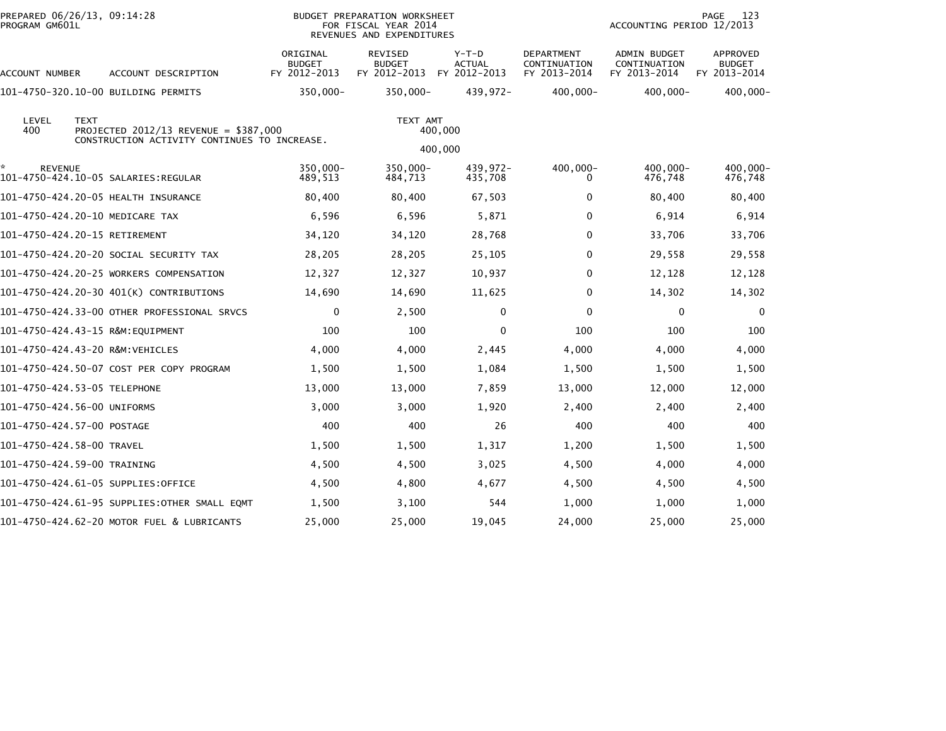| PREPARED 06/26/13, 09:14:28<br>PROGRAM GM601L |                                                                                        |                                           | BUDGET PREPARATION WORKSHEET<br>FOR FISCAL YEAR 2014<br>REVENUES AND EXPENDITURES |                                          |                                                   | ACCOUNTING PERIOD 12/2013                           | 123<br>PAGE                               |
|-----------------------------------------------|----------------------------------------------------------------------------------------|-------------------------------------------|-----------------------------------------------------------------------------------|------------------------------------------|---------------------------------------------------|-----------------------------------------------------|-------------------------------------------|
| ACCOUNT NUMBER                                | ACCOUNT DESCRIPTION                                                                    | ORIGINAL<br><b>BUDGET</b><br>FY 2012-2013 | <b>REVISED</b><br><b>BUDGET</b><br>FY 2012-2013                                   | $Y-T-D$<br><b>ACTUAL</b><br>FY 2012-2013 | <b>DEPARTMENT</b><br>CONTINUATION<br>FY 2013-2014 | <b>ADMIN BUDGET</b><br>CONTINUATION<br>FY 2013-2014 | APPROVED<br><b>BUDGET</b><br>FY 2013-2014 |
|                                               | 101-4750-320.10-00 BUILDING PERMITS                                                    | 350,000-                                  | 350,000-                                                                          | 439,972-                                 | $400,000 -$                                       | 400,000-                                            | $400,000 -$                               |
| LEVEL<br><b>TEXT</b><br>400                   | PROJECTED 2012/13 REVENUE = $$387,000$<br>CONSTRUCTION ACTIVITY CONTINUES TO INCREASE. |                                           | TEXT AMT                                                                          | 400,000<br>400,000                       |                                                   |                                                     |                                           |
| <b>REVENUE</b>                                | 101-4750-424.10-05 SALARIES:REGULAR                                                    | 350,000-<br>489,513                       | 350,000-<br>484,713                                                               | 439,972-<br>435,708                      | $400,000 -$<br>$\Omega$                           | 400,000-<br>476,748                                 | 400.000-<br>476,748                       |
|                                               | 101-4750-424.20-05 HEALTH INSURANCE                                                    | 80,400                                    | 80,400                                                                            | 67,503                                   | 0                                                 | 80,400                                              | 80,400                                    |
| 101-4750-424.20-10 MEDICARE TAX               |                                                                                        | 6,596                                     | 6,596                                                                             | 5,871                                    | 0                                                 | 6,914                                               | 6,914                                     |
| 101-4750-424.20-15 RETIREMENT                 |                                                                                        | 34,120                                    | 34,120                                                                            | 28,768                                   | $\Omega$                                          | 33,706                                              | 33,706                                    |
|                                               | 101–4750–424.20–20 SOCIAL SECURITY TAX                                                 | 28,205                                    | 28,205                                                                            | 25,105                                   | $\Omega$                                          | 29,558                                              | 29,558                                    |
|                                               | 101-4750-424.20-25 WORKERS COMPENSATION                                                | 12,327                                    | 12,327                                                                            | 10,937                                   | $\Omega$                                          | 12,128                                              | 12,128                                    |
|                                               | 101-4750-424.20-30 401(K) CONTRIBUTIONS                                                | 14,690                                    | 14,690                                                                            | 11,625                                   | 0                                                 | 14,302                                              | 14,302                                    |
|                                               | 101-4750-424.33-00 OTHER PROFESSIONAL SRVCS                                            | 0                                         | 2,500                                                                             | 0                                        | 0                                                 | 0                                                   | 0                                         |
|                                               |                                                                                        | 100                                       | 100                                                                               | 0                                        | 100                                               | 100                                                 | 100                                       |
| 101-4750-424.43-20 R&M:VEHICLES               |                                                                                        | 4,000                                     | 4,000                                                                             | 2,445                                    | 4,000                                             | 4,000                                               | 4,000                                     |
|                                               | 101-4750-424.50-07 COST PER COPY PROGRAM                                               | 1,500                                     | 1,500                                                                             | 1,084                                    | 1,500                                             | 1,500                                               | 1,500                                     |
| 101–4750–424.53–05 TELEPHONE                  |                                                                                        | 13,000                                    | 13,000                                                                            | 7,859                                    | 13,000                                            | 12,000                                              | 12,000                                    |
| 101-4750-424.56-00 UNIFORMS                   |                                                                                        | 3,000                                     | 3,000                                                                             | 1,920                                    | 2,400                                             | 2,400                                               | 2,400                                     |
| 101-4750-424.57-00 POSTAGE                    |                                                                                        | 400                                       | 400                                                                               | 26                                       | 400                                               | 400                                                 | 400                                       |
| 101-4750-424.58-00 TRAVEL                     |                                                                                        | 1,500                                     | 1,500                                                                             | 1,317                                    | 1,200                                             | 1,500                                               | 1,500                                     |
| 101-4750-424.59-00 TRAINING                   |                                                                                        | 4,500                                     | 4,500                                                                             | 3,025                                    | 4,500                                             | 4,000                                               | 4,000                                     |
| 101-4750-424.61-05 SUPPLIES:OFFICE            |                                                                                        | 4,500                                     | 4,800                                                                             | 4,677                                    | 4,500                                             | 4,500                                               | 4,500                                     |
|                                               | 101-4750-424.61-95 SUPPLIES: OTHER SMALL EQMT                                          | 1,500                                     | 3,100                                                                             | 544                                      | 1,000                                             | 1,000                                               | 1,000                                     |
|                                               | 101-4750-424.62-20 MOTOR FUEL & LUBRICANTS                                             | 25,000                                    | 25,000                                                                            | 19,045                                   | 24,000                                            | 25,000                                              | 25,000                                    |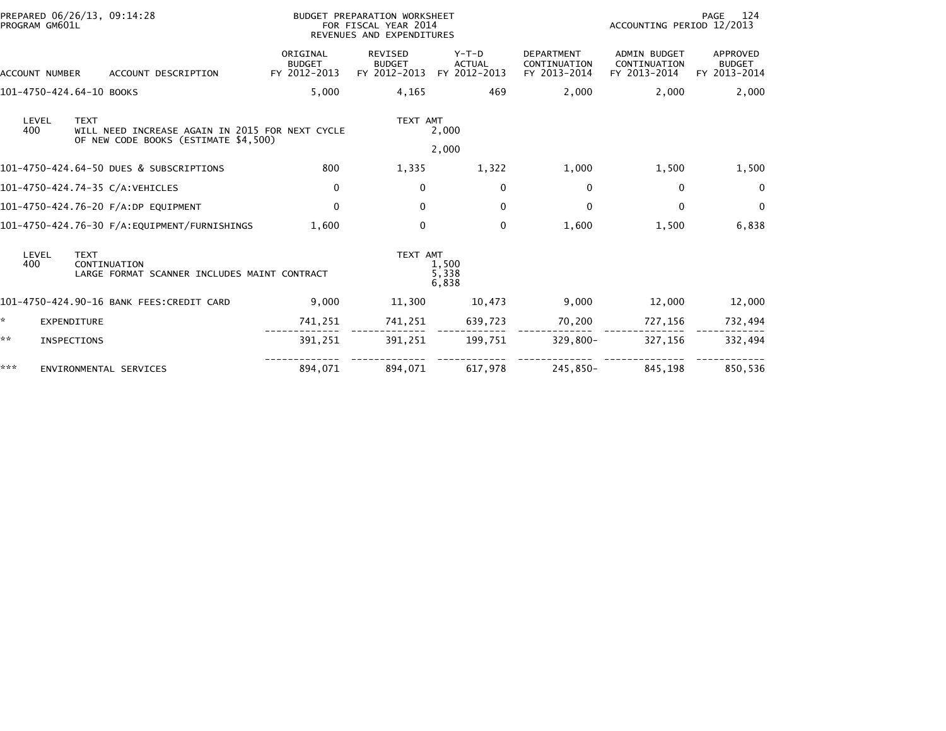|                          | PREPARED 06/26/13, 09:14:28                                                                            |                                           | BUDGET PREPARATION WORKSHEET                      |                                          |                                                   |                                                     | 124<br>PAGE                               |  |
|--------------------------|--------------------------------------------------------------------------------------------------------|-------------------------------------------|---------------------------------------------------|------------------------------------------|---------------------------------------------------|-----------------------------------------------------|-------------------------------------------|--|
| PROGRAM GM601L           |                                                                                                        |                                           | FOR FISCAL YEAR 2014<br>REVENUES AND EXPENDITURES |                                          |                                                   | ACCOUNTING PERIOD 12/2013                           |                                           |  |
| ACCOUNT NUMBER           | ACCOUNT DESCRIPTION                                                                                    | ORIGINAL<br><b>BUDGET</b><br>FY 2012-2013 | <b>REVISED</b><br><b>BUDGET</b><br>FY 2012-2013   | $Y-T-D$<br><b>ACTUAL</b><br>FY 2012-2013 | <b>DEPARTMENT</b><br>CONTINUATION<br>FY 2013-2014 | <b>ADMIN BUDGET</b><br>CONTINUATION<br>FY 2013-2014 | APPROVED<br><b>BUDGET</b><br>FY 2013-2014 |  |
| 101-4750-424.64-10 BOOKS |                                                                                                        | 5,000                                     | 4,165                                             | 469                                      | 2,000                                             | 2,000                                               | 2,000                                     |  |
| LEVEL<br>400             | <b>TEXT</b><br>WILL NEED INCREASE AGAIN IN 2015 FOR NEXT CYCLE<br>OF NEW CODE BOOKS (ESTIMATE \$4,500) |                                           | TEXT AMT                                          | 2,000                                    |                                                   |                                                     |                                           |  |
|                          |                                                                                                        |                                           |                                                   | 2,000                                    |                                                   |                                                     |                                           |  |
|                          | 101-4750-424.64-50 DUES & SUBSCRIPTIONS                                                                | 800                                       | 1,335                                             | 1,322                                    | 1,000                                             | 1,500                                               | 1,500                                     |  |
|                          | 101-4750-424.74-35 C/A:VEHICLES                                                                        | 0                                         | $\mathbf{0}$                                      | $\Omega$                                 | $\mathbf{0}$                                      | 0                                                   | $\mathbf{0}$                              |  |
|                          | 101-4750-424.76-20 F/A:DP EQUIPMENT                                                                    | $\Omega$                                  | $\mathbf{0}$                                      | $\mathbf{0}$                             | $\Omega$                                          | $\mathbf{0}$                                        | $\mathbf{0}$                              |  |
|                          |                                                                                                        | 1.600                                     | 0                                                 | 0                                        | 1,600                                             | 1,500                                               | 6,838                                     |  |
| LEVEL<br>400             | <b>TEXT</b><br>CONTINUATION<br>LARGE FORMAT SCANNER INCLUDES MAINT CONTRACT                            |                                           | TEXT AMT                                          | 1,500<br>5,338<br>6,838                  |                                                   |                                                     |                                           |  |
|                          | 101-4750-424.90-16 BANK FEES:CREDIT CARD                                                               | 9,000                                     | 11,300                                            | 10,473                                   | 9,000                                             | 12,000                                              | 12,000                                    |  |
| *                        | EXPENDITURE                                                                                            | 741,251                                   | 741,251                                           | 639,723                                  | 70,200                                            | 727,156                                             | 732,494                                   |  |
| **                       | INSPECTIONS                                                                                            | 391,251                                   | 391,251                                           | 199,751                                  | 329,800-                                          | 327,156                                             | 332,494                                   |  |
| ***                      | ENVIRONMENTAL SERVICES                                                                                 | 894,071                                   | 894,071                                           | 617,978                                  | 245,850-                                          | 845,198                                             | 850,536                                   |  |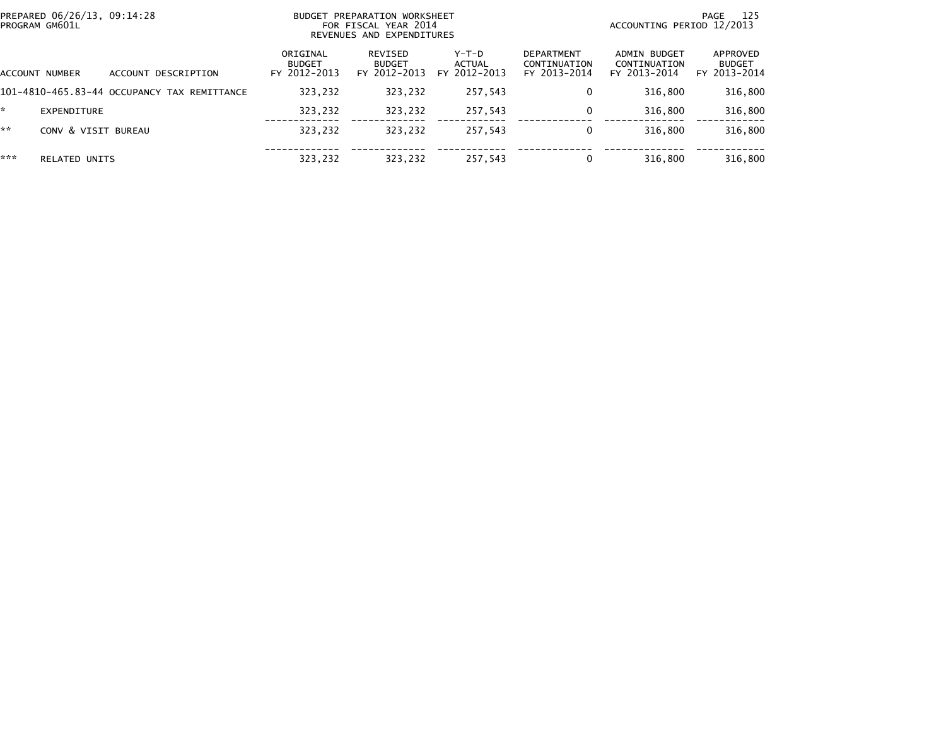| PREPARED 06/26/13, 09:14:28<br>PROGRAM GM601L |                                             | BUDGET PREPARATION WORKSHEET<br>FOR FISCAL YEAR 2014<br>REVENUES AND EXPENDITURES |                                          |                                   |                                                   | ACCOUNTING PERIOD 12/2013                    | 125<br>PAGE                               |
|-----------------------------------------------|---------------------------------------------|-----------------------------------------------------------------------------------|------------------------------------------|-----------------------------------|---------------------------------------------------|----------------------------------------------|-------------------------------------------|
| ACCOUNT NUMBER                                | ACCOUNT DESCRIPTION                         | ORIGINAL<br><b>BUDGET</b><br>FY 2012-2013                                         | REVISED<br><b>BUDGET</b><br>FY 2012-2013 | $Y-T-D$<br>ACTUAL<br>FY 2012-2013 | <b>DEPARTMENT</b><br>CONTINUATION<br>FY 2013-2014 | ADMIN BUDGET<br>CONTINUATION<br>FY 2013-2014 | APPROVED<br><b>BUDGET</b><br>FY 2013-2014 |
|                                               | 101-4810-465.83-44 OCCUPANCY TAX REMITTANCE | 323,232                                                                           | 323,232                                  | 257,543                           | 0                                                 | 316,800                                      | 316,800                                   |
| EXPENDITURE                                   |                                             | 323,232                                                                           | 323,232                                  | 257,543                           | 0                                                 | 316.800                                      | 316,800                                   |
| **<br>CONV & VISIT BUREAU                     |                                             | 323,232                                                                           | 323,232                                  | 257,543                           | 0                                                 | 316,800                                      | 316,800                                   |
| ***<br><b>RELATED UNITS</b>                   |                                             | 323,232                                                                           | 323,232                                  | 257,543                           | 0                                                 | 316,800                                      | 316,800                                   |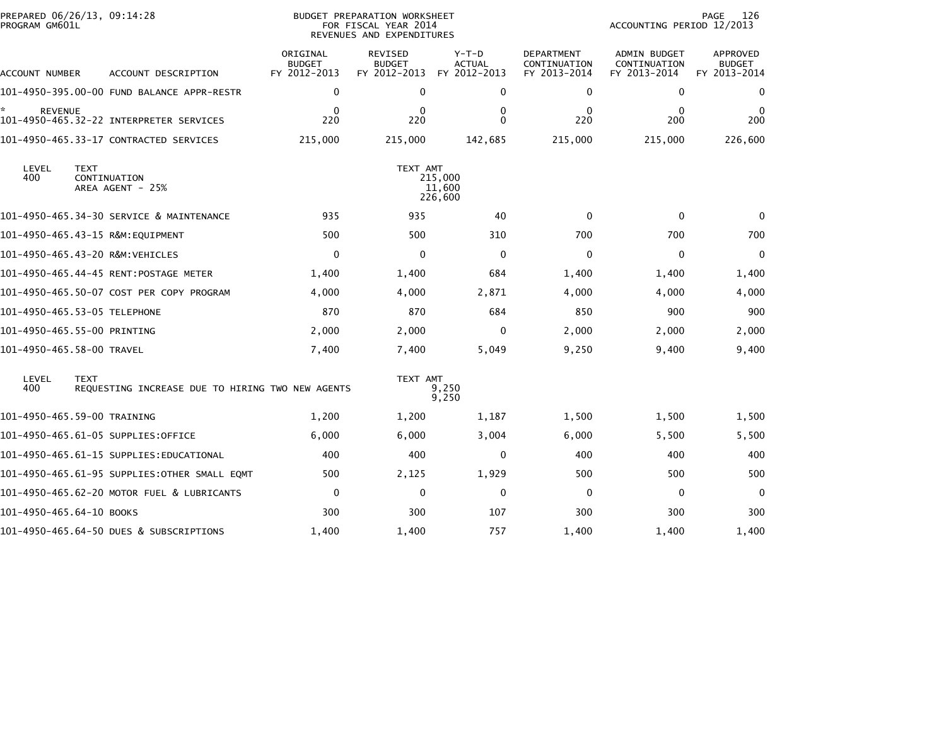| PROGRAM GM601L           | PREPARED 06/26/13, 09:14:28                     |                                                  | <b>BUDGET PREPARATION WORKSHEET</b><br>FOR FISCAL YEAR 2014<br>REVENUES AND EXPENDITURES |                                          |                                          |                                                   | 126<br>PAGE<br>ACCOUNTING PERIOD 12/2013     |                                                  |  |
|--------------------------|-------------------------------------------------|--------------------------------------------------|------------------------------------------------------------------------------------------|------------------------------------------|------------------------------------------|---------------------------------------------------|----------------------------------------------|--------------------------------------------------|--|
| ACCOUNT NUMBER           |                                                 | ACCOUNT DESCRIPTION                              | ORIGINAL<br><b>BUDGET</b><br>FY 2012-2013                                                | REVISED<br><b>BUDGET</b><br>FY 2012-2013 | $Y-T-D$<br><b>ACTUAL</b><br>FY 2012-2013 | <b>DEPARTMENT</b><br>CONTINUATION<br>FY 2013-2014 | ADMIN BUDGET<br>CONTINUATION<br>FY 2013-2014 | <b>APPROVED</b><br><b>BUDGET</b><br>FY 2013-2014 |  |
|                          |                                                 | 101-4950-395.00-00 FUND BALANCE APPR-RESTR       | 0                                                                                        | 0                                        | 0                                        | 0                                                 | 0                                            | 0                                                |  |
| <b>REVENUE</b>           |                                                 |                                                  | $\mathbf{0}$<br>220                                                                      | $\Omega$<br>220                          | 0<br>$\Omega$                            | $\Omega$<br>220                                   | $\mathbf{0}$<br>200                          | 0<br>200                                         |  |
|                          | 101-4950-465.33-17 CONTRACTED SERVICES          |                                                  | 215,000                                                                                  | 215,000                                  | 142,685                                  | 215,000                                           | 215,000                                      | 226,600                                          |  |
| LEVEL<br>400             | <b>TEXT</b><br>CONTINUATION<br>AREA AGENT - 25% |                                                  |                                                                                          | TEXT AMT                                 | 215,000<br>11,600<br>226,600             |                                                   |                                              |                                                  |  |
|                          |                                                 | 101-4950-465.34-30 SERVICE & MAINTENANCE         | 935                                                                                      | 935                                      | 40                                       | $\Omega$                                          | $\Omega$                                     | $\Omega$                                         |  |
|                          | 101-4950-465.43-15 R&M:EQUIPMENT                |                                                  | 500                                                                                      | 500                                      | 310                                      | 700                                               | 700                                          | 700                                              |  |
|                          | 101-4950-465.43-20 R&M:VEHICLES                 |                                                  | $\mathbf 0$                                                                              | $\Omega$                                 | $\Omega$                                 | $\mathbf{0}$                                      | 0                                            | $\mathbf{0}$                                     |  |
|                          |                                                 |                                                  | 1,400                                                                                    | 1,400                                    | 684                                      | 1,400                                             | 1,400                                        | 1,400                                            |  |
|                          |                                                 | 101-4950-465.50-07 COST PER COPY PROGRAM         | 4,000                                                                                    | 4,000                                    | 2,871                                    | 4,000                                             | 4,000                                        | 4,000                                            |  |
|                          | 101-4950-465.53-05 TELEPHONE                    |                                                  | 870                                                                                      | 870                                      | 684                                      | 850                                               | 900                                          | 900                                              |  |
|                          | 101-4950-465.55-00 PRINTING                     |                                                  | 2,000                                                                                    | 2,000                                    | $\Omega$                                 | 2,000                                             | 2,000                                        | 2,000                                            |  |
|                          | 101-4950-465.58-00 TRAVEL                       |                                                  | 7,400                                                                                    | 7,400                                    | 5,049                                    | 9,250                                             | 9,400                                        | 9,400                                            |  |
| LEVEL<br>400             | <b>TEXT</b>                                     | REOUESTING INCREASE DUE TO HIRING TWO NEW AGENTS |                                                                                          | TEXT AMT                                 | 9,250<br>9,250                           |                                                   |                                              |                                                  |  |
|                          | 101-4950-465.59-00 TRAINING                     |                                                  | 1,200                                                                                    | 1,200                                    | 1,187                                    | 1,500                                             | 1,500                                        | 1,500                                            |  |
|                          | 101-4950-465.61-05 SUPPLIES:OFFICE              |                                                  | 6,000                                                                                    | 6,000                                    | 3,004                                    | 6,000                                             | 5,500                                        | 5,500                                            |  |
|                          | 101–4950–465.61–15 SUPPLIES:EDUCATIONAL         |                                                  | 400                                                                                      | 400                                      | $\mathbf 0$                              | 400                                               | 400                                          | 400                                              |  |
|                          |                                                 | 101-4950-465.61-95 SUPPLIES: OTHER SMALL EQMT    | 500                                                                                      | 2,125                                    | 1,929                                    | 500                                               | 500                                          | 500                                              |  |
|                          |                                                 | 101-4950-465.62-20 MOTOR FUEL & LUBRICANTS       | $\mathbf 0$                                                                              | $\mathbf{0}$                             | $\mathbf 0$                              | $\mathbf{0}$                                      | 0                                            | $\Omega$                                         |  |
| 101-4950-465.64-10 BOOKS |                                                 |                                                  | 300                                                                                      | 300                                      | 107                                      | 300                                               | 300                                          | 300                                              |  |
|                          | 101-4950-465.64-50 DUES & SUBSCRIPTIONS         |                                                  | 1,400                                                                                    | 1,400                                    | 757                                      | 1,400                                             | 1,400                                        | 1,400                                            |  |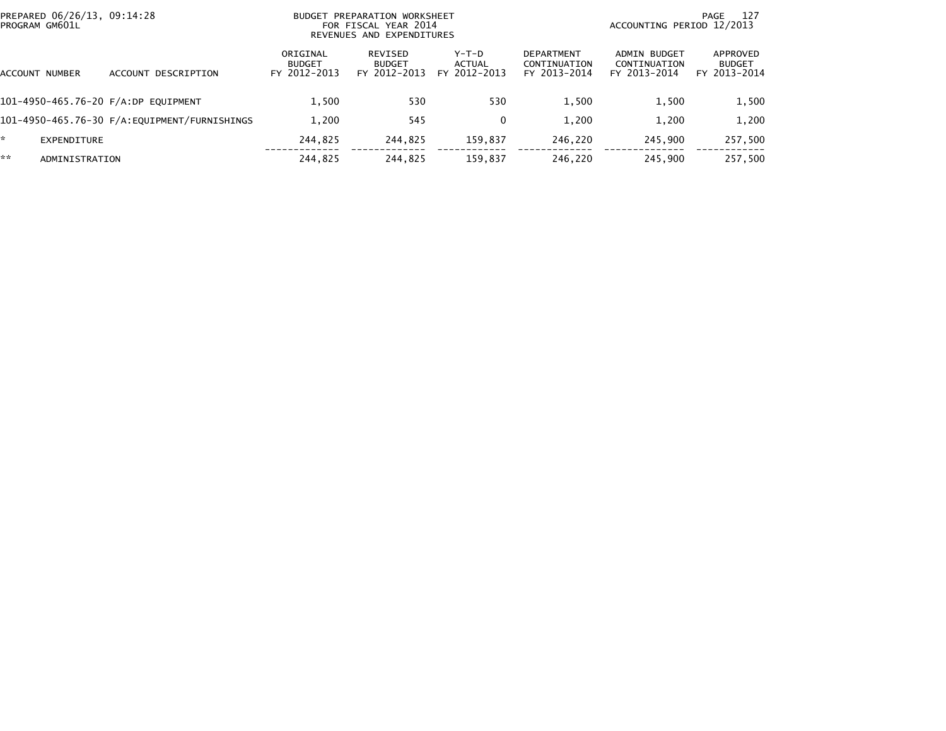| PREPARED 06/26/13, 09:14:28<br>PROGRAM GM601L |                                     | PREPARATION WORKSHEET<br><b>BUDGET</b><br>FOR FISCAL YEAR 2014<br>REVENUES AND EXPENDITURES |                                          |                                 |                                                   | -127<br>PAGE<br>ACCOUNTING PERIOD 12/2013    |                                           |  |
|-----------------------------------------------|-------------------------------------|---------------------------------------------------------------------------------------------|------------------------------------------|---------------------------------|---------------------------------------------------|----------------------------------------------|-------------------------------------------|--|
| ACCOUNT NUMBER                                | ACCOUNT DESCRIPTION                 | ORIGINAL<br><b>BUDGET</b><br>FY 2012-2013                                                   | REVISED<br><b>BUDGET</b><br>FY 2012-2013 | Y-T-D<br>ACTUAL<br>FY 2012-2013 | <b>DEPARTMENT</b><br>CONTINUATION<br>FY 2013-2014 | ADMIN BUDGET<br>CONTINUATION<br>FY 2013-2014 | APPROVED<br><b>BUDGET</b><br>FY 2013-2014 |  |
|                                               | 101-4950-465.76-20 F/A:DP EQUIPMENT | 1.500                                                                                       | 530                                      | 530                             | 1,500                                             | 1,500                                        | 1,500                                     |  |
|                                               |                                     | 1,200                                                                                       | 545                                      | 0                               | 1,200                                             | 1,200                                        | 1,200                                     |  |
| EXPENDITURE                                   |                                     | 244.825                                                                                     | 244.825                                  | 159.837                         | 246.220                                           | 245.900                                      | 257,500                                   |  |
| **<br>ADMINISTRATION                          |                                     | 244.825                                                                                     | 244.825                                  | 159.837                         | 246.220                                           | 245.900                                      | 257.500                                   |  |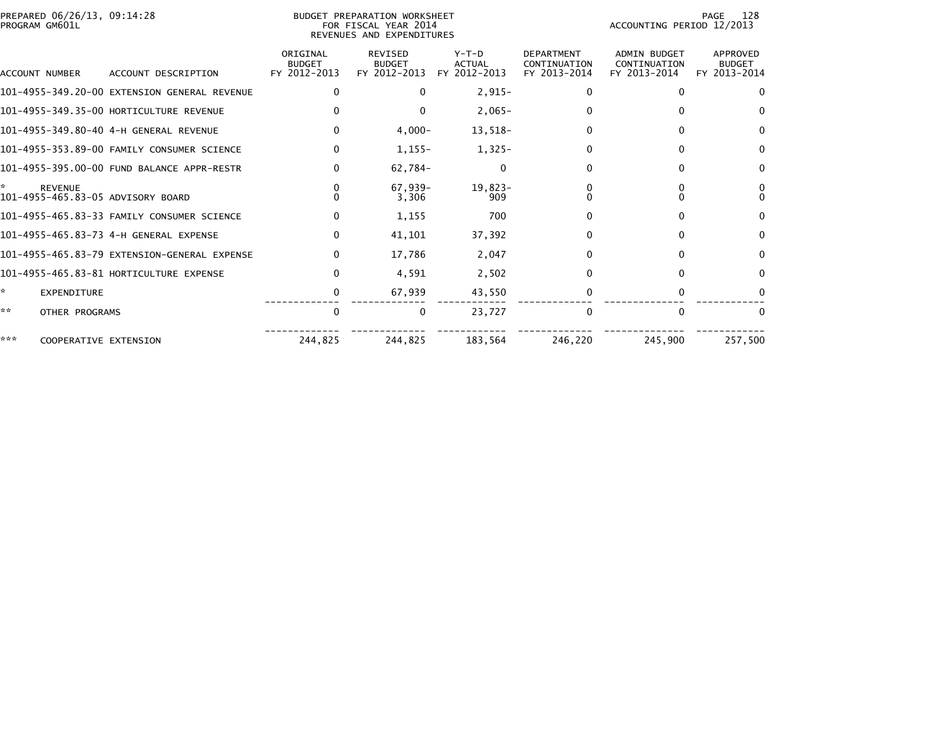| PROGRAM GM601L        | PREPARED 06/26/13, 09:14:28                         |                                           | BUDGET PREPARATION WORKSHEET<br>FOR FISCAL YEAR 2014<br>REVENUES AND EXPENDITURES | 128<br>PAGE<br>ACCOUNTING PERIOD 12/2013 |                                                   |                                              |                                           |
|-----------------------|-----------------------------------------------------|-------------------------------------------|-----------------------------------------------------------------------------------|------------------------------------------|---------------------------------------------------|----------------------------------------------|-------------------------------------------|
| <b>ACCOUNT NUMBER</b> | ACCOUNT DESCRIPTION                                 | ORIGINAL<br><b>BUDGET</b><br>FY 2012-2013 | REVISED<br><b>BUDGET</b><br>FY 2012-2013                                          | $Y-T-D$<br><b>ACTUAL</b><br>FY 2012-2013 | <b>DEPARTMENT</b><br>CONTINUATION<br>FY 2013-2014 | ADMIN BUDGET<br>CONTINUATION<br>FY 2013-2014 | APPROVED<br><b>BUDGET</b><br>FY 2013-2014 |
|                       | 101-4955-349.20-00 EXTENSION GENERAL REVENUE        | 0                                         | 0                                                                                 | $2,915-$                                 |                                                   |                                              | $\Omega$                                  |
|                       | 101-4955-349.35-00 HORTICULTURE REVENUE             |                                           | $\Omega$                                                                          | $2,065-$                                 |                                                   |                                              | 0                                         |
|                       | 101-4955-349.80-40 4-H GENERAL REVENUE              | $\Omega$                                  | $4,000-$                                                                          | 13,518-                                  |                                                   |                                              | $\Omega$                                  |
|                       | 101-4955-353.89-00 FAMILY CONSUMER SCIENCE          | $\Omega$                                  | $1,155-$                                                                          | $1,325-$                                 |                                                   |                                              | $\Omega$                                  |
|                       | 101-4955-395.00-00 FUND BALANCE APPR-RESTR          | 0                                         | 62.784-                                                                           | 0                                        |                                                   |                                              | 0                                         |
| ÷.                    | <b>REVENUE</b><br>101-4955-465.83-05 ADVISORY BOARD |                                           | $67.939 -$<br>3,306                                                               | $19.823 -$<br>909                        |                                                   |                                              |                                           |
|                       | 101-4955-465.83-33 FAMILY CONSUMER SCIENCE          | 0                                         | 1,155                                                                             | 700                                      |                                                   |                                              | $\Omega$                                  |
|                       | 101-4955-465.83-73 4-H GENERAL EXPENSE              | $\Omega$                                  | 41,101                                                                            | 37,392                                   |                                                   |                                              | $\Omega$                                  |
|                       | 101-4955-465.83-79 EXTENSION-GENERAL EXPENSE        | 0                                         | 17,786                                                                            | 2,047                                    |                                                   |                                              | $\Omega$                                  |
|                       | 101-4955-465.83-81 HORTICULTURE EXPENSE             | 0                                         | 4.591                                                                             | 2.502                                    |                                                   |                                              | $\Omega$                                  |
| *                     | EXPENDITURE                                         | 0                                         | 67,939                                                                            | 43,550                                   |                                                   |                                              |                                           |
| **                    | OTHER PROGRAMS                                      | $\Omega$                                  | $\Omega$                                                                          | 23,727                                   |                                                   |                                              | $\Omega$                                  |
| ***                   | COOPERATIVE EXTENSION                               | 244,825                                   | 244,825                                                                           | 183,564                                  | 246,220                                           | 245,900                                      | 257,500                                   |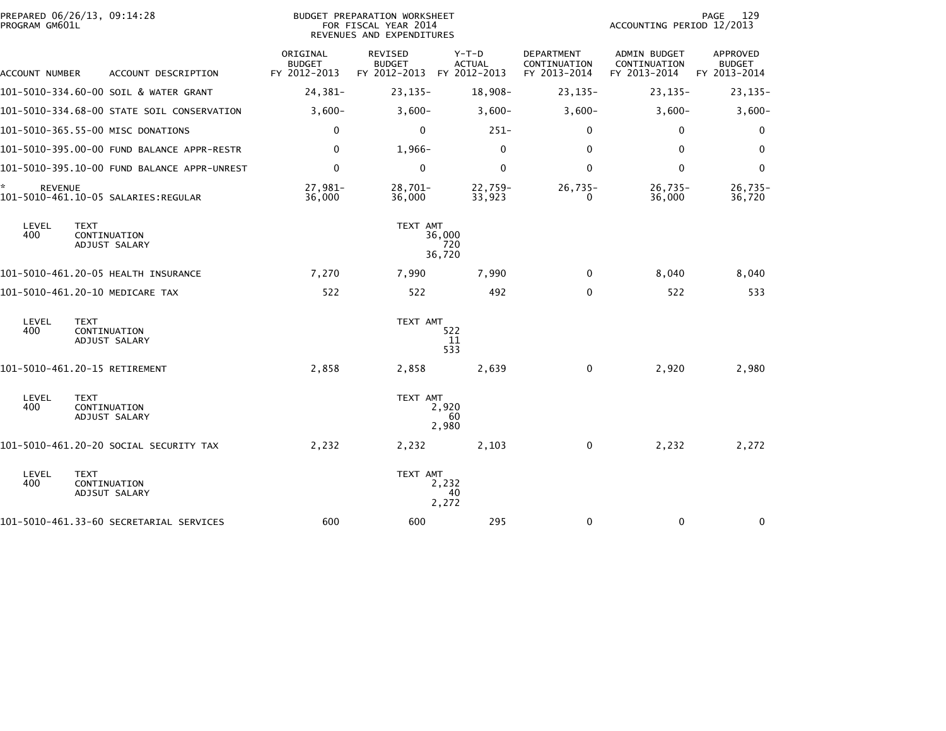| PREPARED 06/26/13, 09:14:28<br>PROGRAM GM601L                |                                           | BUDGET PREPARATION WORKSHEET<br>FOR FISCAL YEAR 2014<br>REVENUES AND EXPENDITURES | 129<br>PAGE<br>ACCOUNTING PERIOD 12/2013 |                                                   |                                              |                                                  |
|--------------------------------------------------------------|-------------------------------------------|-----------------------------------------------------------------------------------|------------------------------------------|---------------------------------------------------|----------------------------------------------|--------------------------------------------------|
| ACCOUNT DESCRIPTION<br>ACCOUNT NUMBER                        | ORIGINAL<br><b>BUDGET</b><br>FY 2012-2013 | REVISED<br><b>BUDGET</b><br>FY 2012-2013 FY 2012-2013                             | Y-T-D<br><b>ACTUAL</b>                   | <b>DEPARTMENT</b><br>CONTINUATION<br>FY 2013-2014 | ADMIN BUDGET<br>CONTINUATION<br>FY 2013-2014 | <b>APPROVED</b><br><b>BUDGET</b><br>FY 2013-2014 |
| 101-5010-334.60-00 SOIL & WATER GRANT                        | 24,381-                                   | $23, 135 -$                                                                       | 18,908-                                  | $23, 135 -$                                       | $23, 135 -$                                  | $23, 135 -$                                      |
| 101-5010-334.68-00 STATE SOIL CONSERVATION                   | $3,600-$                                  | $3,600-$                                                                          | $3,600-$                                 | $3,600-$                                          | $3,600-$                                     | $3,600-$                                         |
| 101-5010-365.55-00 MISC DONATIONS                            | $\mathbf 0$                               | $\Omega$                                                                          | $251 -$                                  | $\Omega$                                          | $\Omega$                                     | 0                                                |
| 101-5010-395.00-00 FUND BALANCE APPR-RESTR                   | 0                                         | $1,966-$                                                                          | 0                                        | $\mathbf{0}$                                      | $\mathbf{0}$                                 | $\Omega$                                         |
| 101-5010-395.10-00 FUND BALANCE APPR-UNREST                  | $\mathbf 0$                               | $\mathbf 0$                                                                       | $\mathbf 0$                              | $\mathbf{0}$                                      | $\Omega$                                     | $\Omega$                                         |
| *<br><b>REVENUE</b><br>101-5010-461.10-05 SALARIES:REGULAR   | 27,981-<br>36,000                         | $28,701-$<br>36,000                                                               | 22,759-<br>33,923                        | $26,735-$<br>0                                    | $26,735-$<br>36,000                          | $26,735-$<br>36,720                              |
| LEVEL<br><b>TEXT</b><br>400<br>CONTINUATION<br>ADJUST SALARY |                                           | TEXT AMT                                                                          | 36,000<br>720<br>36,720                  |                                                   |                                              |                                                  |
| 101-5010-461.20-05 HEALTH INSURANCE                          | 7,270                                     | 7,990                                                                             | 7,990                                    | $\mathbf{0}$                                      | 8,040                                        | 8,040                                            |
| 101-5010-461.20-10 MEDICARE TAX                              | 522                                       | 522                                                                               | 492                                      | $\mathbf{0}$                                      | 522                                          | 533                                              |
| LEVEL<br><b>TEXT</b><br>400<br>CONTINUATION<br>ADJUST SALARY |                                           | TEXT AMT                                                                          | 522<br>-11<br>533                        |                                                   |                                              |                                                  |
| 101-5010-461.20-15 RETIREMENT                                | 2,858                                     | 2,858                                                                             | 2,639                                    | 0                                                 | 2,920                                        | 2,980                                            |
| LEVEL<br><b>TEXT</b><br>400<br>CONTINUATION<br>ADJUST SALARY |                                           | TEXT AMT                                                                          | 2,920<br>60<br>2,980                     |                                                   |                                              |                                                  |
| 101-5010-461.20-20 SOCIAL SECURITY TAX                       | 2,232                                     | 2,232                                                                             | 2,103                                    | 0                                                 | 2,232                                        | 2,272                                            |
| LEVEL<br><b>TEXT</b><br>400<br>CONTINUATION<br>ADJSUT SALARY |                                           | TEXT AMT                                                                          | 2,232<br>40<br>2,272                     |                                                   |                                              |                                                  |
| 101-5010-461.33-60 SECRETARIAL SERVICES                      | 600                                       | 600                                                                               | 295                                      | 0                                                 | 0                                            | 0                                                |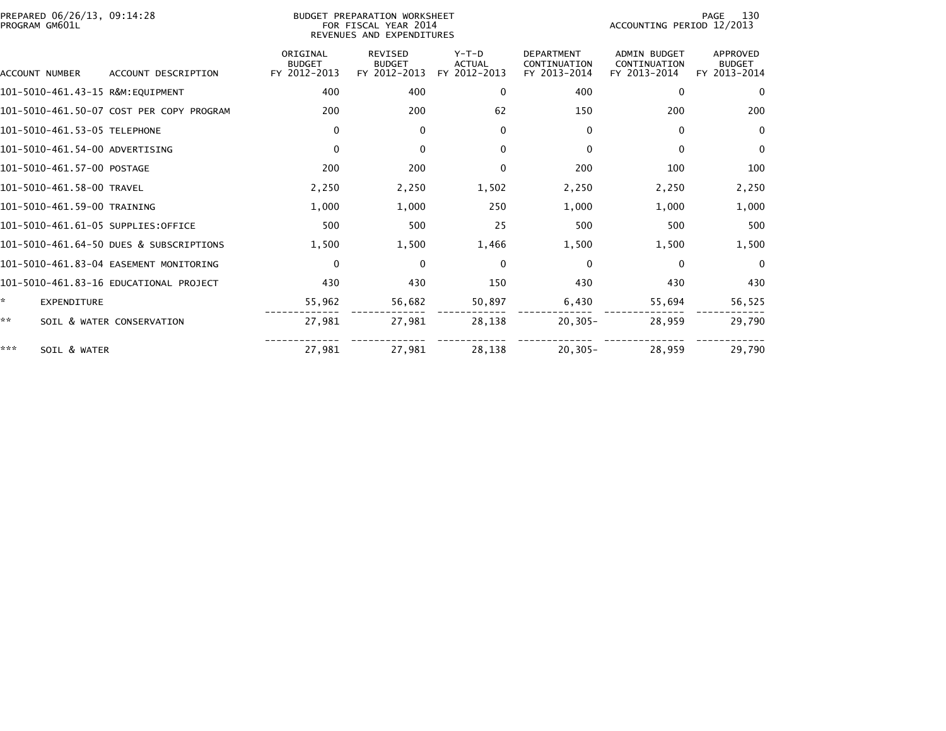| PREPARED 06/26/13, 09:14:28<br>PROGRAM GM601L |                                          | BUDGET PREPARATION WORKSHEET<br>FOR FISCAL YEAR 2014<br>REVENUES AND EXPENDITURES |                                                 | 130<br>PAGE<br>ACCOUNTING PERIOD 12/2013 |                                                   |                                                     |                                                  |
|-----------------------------------------------|------------------------------------------|-----------------------------------------------------------------------------------|-------------------------------------------------|------------------------------------------|---------------------------------------------------|-----------------------------------------------------|--------------------------------------------------|
| ACCOUNT NUMBER                                | ACCOUNT DESCRIPTION                      | ORIGINAL<br><b>BUDGET</b><br>FY 2012-2013                                         | <b>REVISED</b><br><b>BUDGET</b><br>FY 2012-2013 | $Y-T-D$<br><b>ACTUAL</b><br>FY 2012-2013 | <b>DEPARTMENT</b><br>CONTINUATION<br>FY 2013-2014 | <b>ADMIN BUDGET</b><br>CONTINUATION<br>FY 2013-2014 | <b>APPROVED</b><br><b>BUDGET</b><br>FY 2013-2014 |
| 101-5010-461.43-15 R&M:EQUIPMENT              |                                          | 400                                                                               | 400                                             | $\mathbf{0}$                             | 400                                               | $\mathbf{0}$                                        | $\Omega$                                         |
|                                               | 101-5010-461.50-07 COST PER COPY PROGRAM | 200                                                                               | 200                                             | 62                                       | 150                                               | 200                                                 | 200                                              |
| 101-5010-461.53-05 TELEPHONE                  |                                          | 0                                                                                 | 0                                               | $\mathbf{0}$                             | $\Omega$                                          | 0                                                   | $\Omega$                                         |
| 101-5010-461.54-00 ADVERTISING                |                                          | 0                                                                                 | $\mathbf{0}$                                    | $\mathbf{0}$                             | $\Omega$                                          | 0                                                   | $\mathbf{0}$                                     |
| 101-5010-461.57-00 POSTAGE                    |                                          | 200                                                                               | 200                                             | 0                                        | 200                                               | 100                                                 | 100                                              |
| 101-5010-461.58-00 TRAVEL                     |                                          | 2,250                                                                             | 2,250                                           | 1,502                                    | 2,250                                             | 2,250                                               | 2,250                                            |
| 101-5010-461.59-00 TRAINING                   |                                          | 1,000                                                                             | 1,000                                           | 250                                      | 1,000                                             | 1,000                                               | 1,000                                            |
| 101-5010-461.61-05 SUPPLIES:OFFICE            |                                          | 500                                                                               | 500                                             | 25                                       | 500                                               | 500                                                 | 500                                              |
|                                               | 101-5010-461.64-50 DUES & SUBSCRIPTIONS  | 1,500                                                                             | 1,500                                           | 1,466                                    | 1,500                                             | 1,500                                               | 1,500                                            |
|                                               | 101-5010-461.83-04 EASEMENT MONITORING   | $\mathbf{0}$                                                                      | $\mathbf{0}$                                    | $\Omega$                                 | $\Omega$                                          | $\bf{0}$                                            | $\Omega$                                         |
|                                               | 101-5010-461.83-16 EDUCATIONAL PROJECT   | 430                                                                               | 430                                             | 150                                      | 430                                               | 430                                                 | 430                                              |
| ÷.<br><b>EXPENDITURE</b>                      |                                          | 55,962                                                                            | 56,682                                          | 50,897                                   | 6,430                                             | 55,694                                              | 56,525                                           |
| **                                            | SOIL & WATER CONSERVATION                | 27,981                                                                            | 27,981                                          | 28,138                                   | $20, 305 -$                                       | 28,959                                              | 29,790                                           |
| ***<br>SOIL & WATER                           |                                          | 27,981                                                                            | 27.981                                          | 28.138                                   | $20.305 -$                                        | 28,959                                              | 29,790                                           |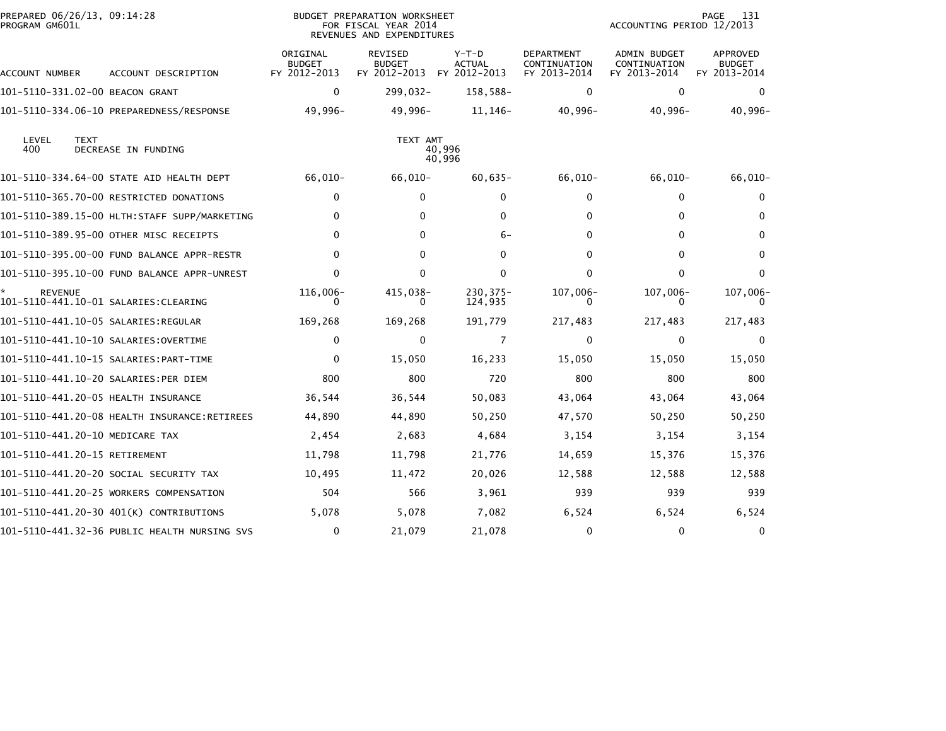| PREPARED 06/26/13, 09:14:28<br>PROGRAM GM601L |                                              |                                           | <b>BUDGET PREPARATION WORKSHEET</b><br>FOR FISCAL YEAR 2014<br>REVENUES AND EXPENDITURES |                                        |                                            | ACCOUNTING PERIOD 12/2013                    | 131<br>PAGE                               |
|-----------------------------------------------|----------------------------------------------|-------------------------------------------|------------------------------------------------------------------------------------------|----------------------------------------|--------------------------------------------|----------------------------------------------|-------------------------------------------|
| ACCOUNT NUMBER                                | ACCOUNT DESCRIPTION                          | ORIGINAL<br><b>BUDGET</b><br>FY 2012-2013 | REVISED<br><b>BUDGET</b><br>FY 2012-2013                                                 | Y-T-D<br><b>ACTUAL</b><br>FY 2012-2013 | DEPARTMENT<br>CONTINUATION<br>FY 2013-2014 | ADMIN BUDGET<br>CONTINUATION<br>FY 2013-2014 | APPROVED<br><b>BUDGET</b><br>FY 2013-2014 |
| 101-5110-331.02-00 BEACON GRANT               |                                              | $\mathbf 0$                               | $299,032 -$                                                                              | 158,588-                               | 0                                          | 0                                            | $\mathbf{0}$                              |
|                                               |                                              | 49,996-                                   | 49,996-                                                                                  | 11,146-                                | $40,996 -$                                 | 40,996-                                      | 40,996-                                   |
| LEVEL<br><b>TEXT</b><br>400                   | DECREASE IN FUNDING                          |                                           | TEXT AMT                                                                                 | 40,996<br>40,996                       |                                            |                                              |                                           |
|                                               | 101-5110-334.64-00 STATE AID HEALTH DEPT     | 66,010-                                   | 66,010-                                                                                  | $60,635-$                              | $66,010-$                                  | 66,010-                                      | $66,010-$                                 |
|                                               | 101-5110-365.70-00 RESTRICTED DONATIONS      | 0                                         | $\mathbf{0}$                                                                             | 0                                      | 0                                          | 0                                            | 0                                         |
|                                               | 101-5110-389.15-00 HLTH:STAFF SUPP/MARKETING | 0                                         | 0                                                                                        | 0                                      | $\Omega$                                   | 0                                            | 0                                         |
|                                               | 101-5110-389.95-00 OTHER MISC RECEIPTS       | 0                                         | $\Omega$                                                                                 | 6-                                     | 0                                          | 0                                            | $\mathbf{0}$                              |
|                                               | 101-5110-395.00-00 FUND BALANCE APPR-RESTR   | $\Omega$                                  | $\Omega$                                                                                 | 0                                      | 0                                          | 0                                            | $\mathbf{0}$                              |
|                                               | 101-5110-395.10-00 FUND BALANCE APPR-UNREST  | $\Omega$                                  | $\Omega$                                                                                 | 0                                      | $\Omega$                                   | 0                                            | $\mathbf{0}$                              |
| <b>REVENUE</b>                                |                                              | 116,006-<br>0                             | 415,038-<br>0                                                                            | 230, 375-<br>124,935                   | $107,006-$<br>0                            | 107,006-<br>0                                | $107,006-$<br>0                           |
| 101–5110–441.10–05 SALARIES:REGULAR           |                                              | 169,268                                   | 169,268                                                                                  | 191,779                                | 217,483                                    | 217,483                                      | 217,483                                   |
|                                               |                                              | $\mathbf 0$                               | $\mathbf{0}$                                                                             | $\overline{7}$                         | $\mathbf{0}$                               | $\mathbf{0}$                                 | $\mathbf{0}$                              |
|                                               |                                              | 0                                         | 15,050                                                                                   | 16,233                                 | 15,050                                     | 15,050                                       | 15,050                                    |
| 101-5110-441.10-20 SALARIES:PER DIEM          |                                              | 800                                       | 800                                                                                      | 720                                    | 800                                        | 800                                          | 800                                       |
| 101-5110-441.20-05 HEALTH INSURANCE           |                                              | 36,544                                    | 36,544                                                                                   | 50,083                                 | 43,064                                     | 43,064                                       | 43,064                                    |
|                                               | 101-5110-441.20-08 HEALTH INSURANCE:RETIREES | 44,890                                    | 44,890                                                                                   | 50,250                                 | 47,570                                     | 50,250                                       | 50,250                                    |
| 101-5110-441.20-10 MEDICARE TAX               |                                              | 2,454                                     | 2,683                                                                                    | 4,684                                  | 3,154                                      | 3,154                                        | 3,154                                     |
| 101-5110-441.20-15 RETIREMENT                 |                                              | 11,798                                    | 11,798                                                                                   | 21,776                                 | 14,659                                     | 15,376                                       | 15,376                                    |
|                                               | 101–5110–441.20–20 SOCIAL SECURITY TAX       | 10,495                                    | 11,472                                                                                   | 20,026                                 | 12,588                                     | 12,588                                       | 12,588                                    |
|                                               | 101-5110-441.20-25 WORKERS COMPENSATION      | 504                                       | 566                                                                                      | 3,961                                  | 939                                        | 939                                          | 939                                       |
|                                               | 101-5110-441.20-30 401(K) CONTRIBUTIONS      | 5,078                                     | 5,078                                                                                    | 7,082                                  | 6,524                                      | 6,524                                        | 6,524                                     |
|                                               | 101-5110-441.32-36 PUBLIC HEALTH NURSING SVS | 0                                         | 21,079                                                                                   | 21,078                                 | $\mathbf{0}$                               | 0                                            | 0                                         |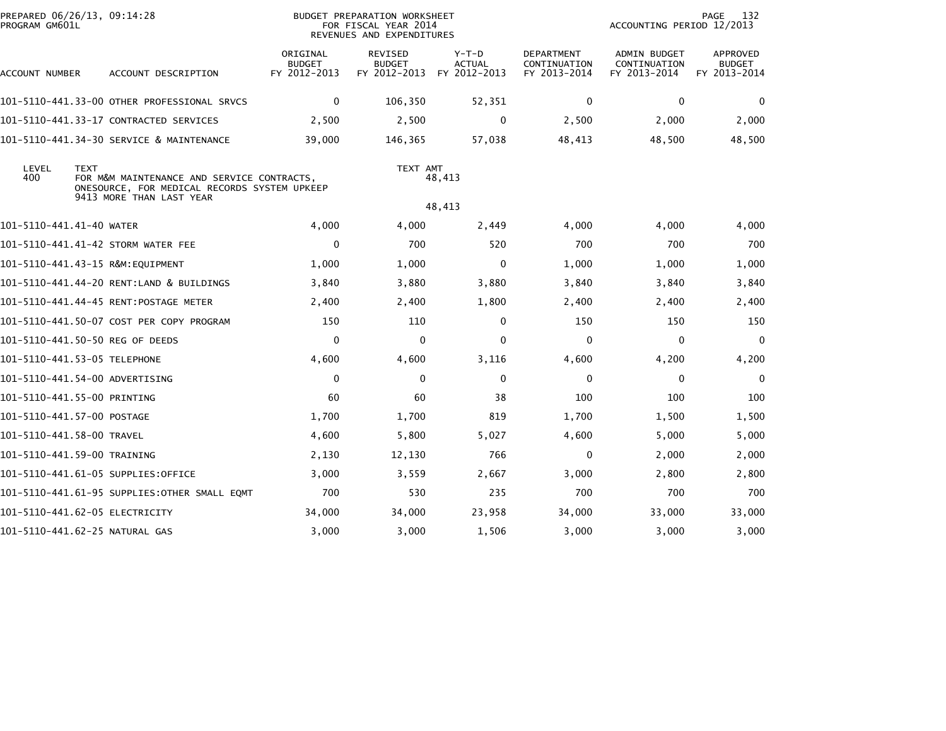| PREPARED 06/26/13, 09:14:28<br>PROGRAM GM601L |             |                                                                                            |                                           | <b>BUDGET PREPARATION WORKSHEET</b><br>FOR FISCAL YEAR 2014<br>REVENUES AND EXPENDITURES |                                          |                                                   | ACCOUNTING PERIOD 12/2013                           | 132<br>PAGE                                      |
|-----------------------------------------------|-------------|--------------------------------------------------------------------------------------------|-------------------------------------------|------------------------------------------------------------------------------------------|------------------------------------------|---------------------------------------------------|-----------------------------------------------------|--------------------------------------------------|
| ACCOUNT NUMBER                                |             | ACCOUNT DESCRIPTION                                                                        | ORIGINAL<br><b>BUDGET</b><br>FY 2012-2013 | <b>REVISED</b><br><b>BUDGET</b><br>FY 2012-2013                                          | $Y-T-D$<br><b>ACTUAL</b><br>FY 2012-2013 | <b>DEPARTMENT</b><br>CONTINUATION<br>FY 2013-2014 | <b>ADMIN BUDGET</b><br>CONTINUATION<br>FY 2013-2014 | <b>APPROVED</b><br><b>BUDGET</b><br>FY 2013-2014 |
|                                               |             | 101-5110-441.33-00 OTHER PROFESSIONAL SRVCS                                                | $\mathbf 0$                               | 106,350                                                                                  | 52,351                                   | $\mathbf{0}$                                      | $\mathbf{0}$                                        | 0                                                |
|                                               |             | 101-5110-441.33-17 CONTRACTED SERVICES                                                     | 2,500                                     | 2,500                                                                                    | 0                                        | 2,500                                             | 2,000                                               | 2,000                                            |
|                                               |             | 101-5110-441.34-30 SERVICE & MAINTENANCE                                                   | 39,000                                    | 146,365                                                                                  | 57,038                                   | 48,413                                            | 48,500                                              | 48,500                                           |
| LEVEL<br>400                                  | <b>TEXT</b> | FOR M&M MAINTENANCE AND SERVICE CONTRACTS,<br>ONESOURCE, FOR MEDICAL RECORDS SYSTEM UPKEEP |                                           | TEXT AMT                                                                                 | 48,413                                   |                                                   |                                                     |                                                  |
|                                               |             | 9413 MORE THAN LAST YEAR                                                                   |                                           |                                                                                          | 48,413                                   |                                                   |                                                     |                                                  |
| 101-5110-441.41-40 WATER                      |             |                                                                                            | 4,000                                     | 4,000                                                                                    | 2,449                                    | 4,000                                             | 4,000                                               | 4,000                                            |
|                                               |             | 101-5110-441.41-42 STORM WATER FEE                                                         | $\mathbf 0$                               | 700                                                                                      | 520                                      | 700                                               | 700                                                 | 700                                              |
|                                               |             | 101-5110-441.43-15 R&M:EQUIPMENT                                                           | 1,000                                     | 1,000                                                                                    | 0                                        | 1,000                                             | 1,000                                               | 1,000                                            |
|                                               |             | 101-5110-441.44-20 RENT:LAND & BUILDINGS                                                   | 3,840                                     | 3,880                                                                                    | 3,880                                    | 3,840                                             | 3,840                                               | 3,840                                            |
|                                               |             |                                                                                            | 2,400                                     | 2,400                                                                                    | 1,800                                    | 2,400                                             | 2,400                                               | 2,400                                            |
|                                               |             | 101-5110-441.50-07 COST PER COPY PROGRAM                                                   | 150                                       | 110                                                                                      | 0                                        | 150                                               | 150                                                 | 150                                              |
| 101-5110-441.50-50 REG OF DEEDS               |             |                                                                                            | $\mathbf 0$                               | 0                                                                                        | $\mathbf{0}$                             | $\Omega$                                          | $\mathbf 0$                                         | $\mathbf 0$                                      |
| 101-5110-441.53-05 TELEPHONE                  |             |                                                                                            | 4,600                                     | 4,600                                                                                    | 3,116                                    | 4,600                                             | 4,200                                               | 4,200                                            |
| 101-5110-441.54-00 ADVERTISING                |             |                                                                                            | $\mathbf{0}$                              | $\mathbf{0}$                                                                             | $\mathbf{0}$                             | $\mathbf{0}$                                      | 0                                                   | $\Omega$                                         |
| 101-5110-441.55-00 PRINTING                   |             |                                                                                            | 60                                        | 60                                                                                       | 38                                       | 100                                               | 100                                                 | 100                                              |
| 101-5110-441.57-00 POSTAGE                    |             |                                                                                            | 1,700                                     | 1,700                                                                                    | 819                                      | 1,700                                             | 1,500                                               | 1,500                                            |
| 101-5110-441.58-00 TRAVEL                     |             |                                                                                            | 4,600                                     | 5,800                                                                                    | 5,027                                    | 4,600                                             | 5,000                                               | 5,000                                            |
| 101-5110-441.59-00 TRAINING                   |             |                                                                                            | 2,130                                     | 12,130                                                                                   | 766                                      | $\bf{0}$                                          | 2,000                                               | 2,000                                            |
|                                               |             | 101-5110-441.61-05 SUPPLIES:OFFICE                                                         | 3,000                                     | 3,559                                                                                    | 2,667                                    | 3,000                                             | 2,800                                               | 2,800                                            |
|                                               |             | 101–5110–441.61–95 SUPPLIES:OTHER SMALL EQMT                                               | 700                                       | 530                                                                                      | 235                                      | 700                                               | 700                                                 | 700                                              |
| 101-5110-441.62-05 ELECTRICITY                |             |                                                                                            | 34,000                                    | 34,000                                                                                   | 23,958                                   | 34,000                                            | 33,000                                              | 33,000                                           |
| 101-5110-441.62-25 NATURAL GAS                |             |                                                                                            | 3,000                                     | 3,000                                                                                    | 1,506                                    | 3,000                                             | 3,000                                               | 3,000                                            |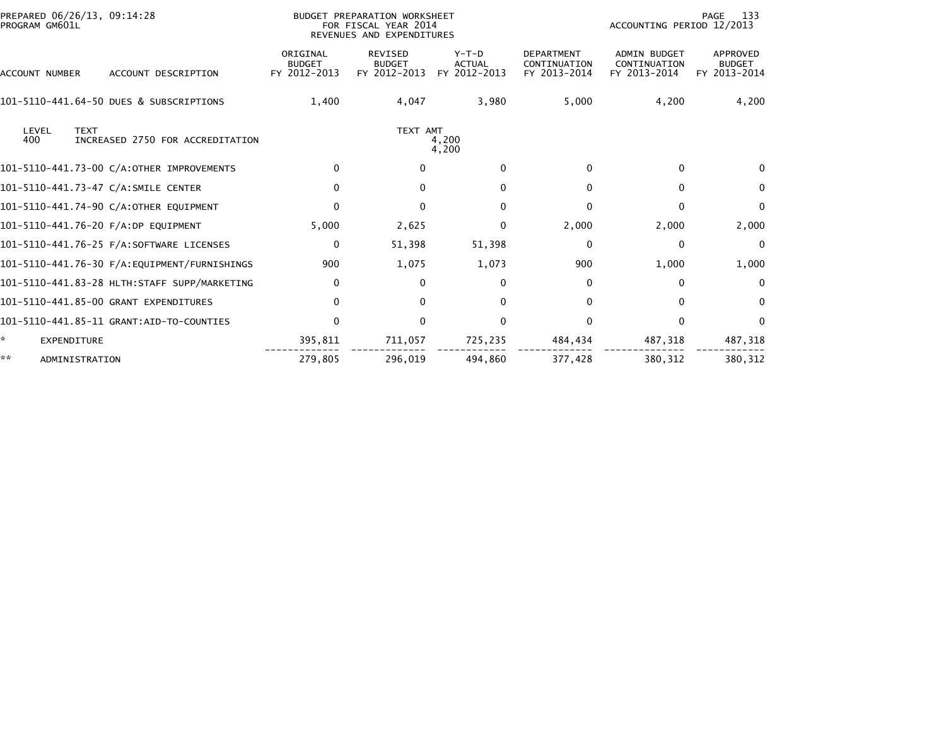| PREPARED 06/26/13, 09:14:28<br>PROGRAM GM601L                   |                                           | BUDGET PREPARATION WORKSHEET<br>FOR FISCAL YEAR 2014<br>REVENUES AND EXPENDITURES |                                          |                                                   | ACCOUNTING PERIOD 12/2013                           | -133<br>PAGE                              |
|-----------------------------------------------------------------|-------------------------------------------|-----------------------------------------------------------------------------------|------------------------------------------|---------------------------------------------------|-----------------------------------------------------|-------------------------------------------|
| ACCOUNT DESCRIPTION<br><b>ACCOUNT NUMBER</b>                    | ORIGINAL<br><b>BUDGET</b><br>FY 2012-2013 | <b>REVISED</b><br><b>BUDGET</b><br>FY 2012-2013                                   | $Y-T-D$<br><b>ACTUAL</b><br>FY 2012-2013 | <b>DEPARTMENT</b><br>CONTINUATION<br>FY 2013-2014 | <b>ADMIN BUDGET</b><br>CONTINUATION<br>FY 2013-2014 | APPROVED<br><b>BUDGET</b><br>FY 2013-2014 |
| 101-5110-441.64-50 DUES & SUBSCRIPTIONS                         | 1,400                                     | 4,047                                                                             | 3,980                                    | 5,000                                             | 4,200                                               | 4,200                                     |
| <b>TEXT</b><br>LEVEL<br>400<br>INCREASED 2750 FOR ACCREDITATION |                                           | TEXT AMT                                                                          | 4,200<br>4,200                           |                                                   |                                                     |                                           |
| 101-5110-441.73-00 C/A:OTHER IMPROVEMENTS                       | $\mathbf{0}$                              | $\Omega$                                                                          | $\Omega$                                 | 0                                                 | 0                                                   | $\Omega$                                  |
| 101-5110-441.73-47 C/A:SMILE CENTER                             | $\mathbf{0}$                              | $\Omega$                                                                          | $\Omega$                                 | $\Omega$                                          | 0                                                   | $\Omega$                                  |
| 101-5110-441.74-90 C/A:OTHER EQUIPMENT                          | $\Omega$                                  | $\mathbf{0}$                                                                      | $\mathbf{0}$                             | 0                                                 | 0                                                   | $\mathbf{0}$                              |
| 101-5110-441.76-20 F/A:DP EQUIPMENT                             | 5,000                                     | 2,625                                                                             | $\mathbf{0}$                             | 2,000                                             | 2,000                                               | 2,000                                     |
| 101-5110-441.76-25 F/A:SOFTWARE LICENSES                        | $\Omega$                                  | 51,398                                                                            | 51,398                                   | $\Omega$                                          | $\Omega$                                            | $\Omega$                                  |
| 101-5110-441.76-30 F/A:EQUIPMENT/FURNISHINGS                    | 900                                       | 1,075                                                                             | 1,073                                    | 900                                               | 1,000                                               | 1,000                                     |
| 101-5110-441.83-28 HLTH:STAFF SUPP/MARKETING                    | $\mathbf 0$                               | 0                                                                                 | $\mathbf{0}$                             | 0                                                 | 0                                                   | 0                                         |
| 101-5110-441.85-00 GRANT EXPENDITURES                           | $\Omega$                                  | $\mathbf{0}$                                                                      | $\mathbf{0}$                             | 0                                                 | 0                                                   | 0                                         |
| 101-5110-441.85-11 GRANT:AID-TO-COUNTIES                        | $\Omega$                                  | $\mathbf{0}$                                                                      | $\mathbf{0}$                             | 0                                                 | 0                                                   | $\mathbf{0}$                              |
| A.<br>EXPENDITURE                                               | 395,811                                   | 711,057                                                                           | 725,235                                  | 484,434                                           | 487,318                                             | 487,318                                   |
| **<br>ADMINISTRATION                                            | 279.805                                   | 296,019                                                                           | 494.860                                  | 377,428                                           | 380.312                                             | 380.312                                   |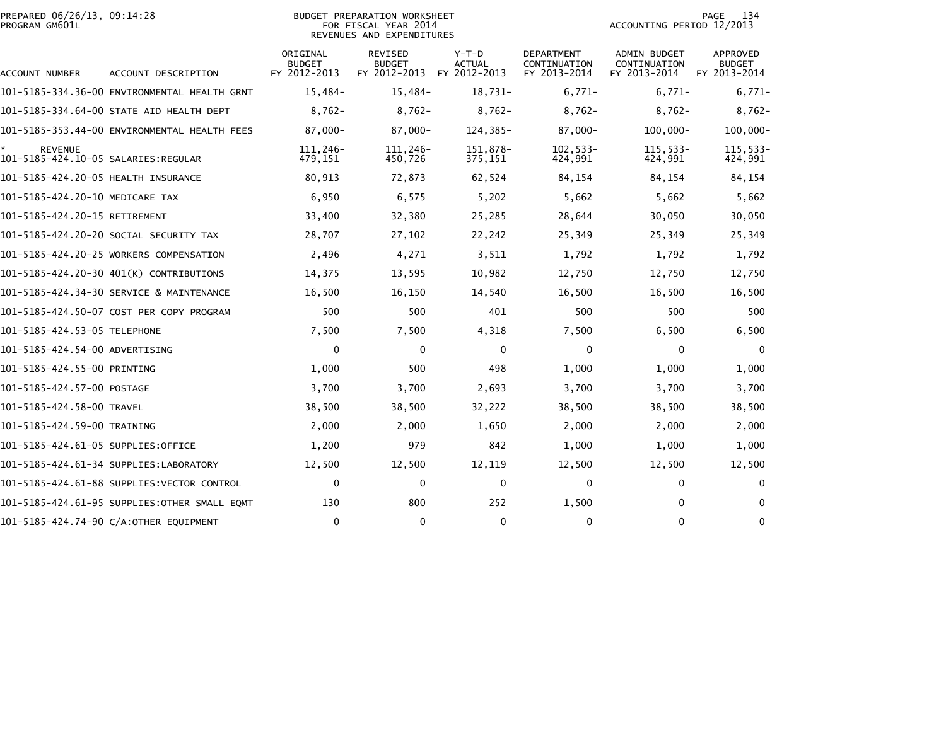|                | PREPARED 06/26/13, 09:14:28 |  |
|----------------|-----------------------------|--|
| PROGRAM GM601L |                             |  |

## PREPARED 06/26/13, 09:14:28 BUDGET PREPARATION WORKSHEET PAGE 134PROGRAM GM601L FOR FISCAL YEAR 2014 ACCOUNTING PERIOD 12/2013 REVENUES AND EXPENDITURES

| <b>ACCOUNT NUMBER</b>                                 | ACCOUNT DESCRIPTION                          | ORIGINAL<br><b>BUDGET</b><br>FY 2012-2013 | <b>REVISED</b><br><b>BUDGET</b><br>FY 2012-2013 | Y-T-D<br><b>ACTUAL</b><br>FY 2012-2013 | DEPARTMENT<br>CONTINUATION<br>FY 2013-2014 | <b>ADMIN BUDGET</b><br>CONTINUATION<br>FY 2013-2014 | APPROVED<br><b>BUDGET</b><br>FY 2013-2014 |
|-------------------------------------------------------|----------------------------------------------|-------------------------------------------|-------------------------------------------------|----------------------------------------|--------------------------------------------|-----------------------------------------------------|-------------------------------------------|
|                                                       | 101-5185-334.36-00 ENVIRONMENTAL HEALTH GRNT | $15,484-$                                 | $15,484-$                                       | 18,731-                                | $6.771 -$                                  | $6,771-$                                            | $6,771-$                                  |
|                                                       | 101-5185-334.64-00 STATE AID HEALTH DEPT     | $8,762-$                                  | $8,762-$                                        | $8,762-$                               | $8,762-$                                   | $8,762-$                                            | $8,762-$                                  |
|                                                       | 101-5185-353.44-00 ENVIRONMENTAL HEALTH FEES | $87.000 -$                                | $87,000 -$                                      | 124,385-                               | 87,000-                                    | $100,000 -$                                         | $100,000 -$                               |
| <b>REVENUE</b><br>101-5185-424.10-05 SALARIES:REGULAR |                                              | 111,246-<br>479,151                       | 111,246-<br>450,726                             | 151,878-<br>375,151                    | $102, 533 -$<br>424,991                    | $115,533-$<br>424,991                               | 115,533-<br>424,991                       |
| 101-5185-424.20-05 HEALTH INSURANCE                   |                                              | 80,913                                    | 72,873                                          | 62,524                                 | 84,154                                     | 84,154                                              | 84,154                                    |
| 101-5185-424.20-10 MEDICARE TAX                       |                                              | 6,950                                     | 6,575                                           | 5,202                                  | 5,662                                      | 5,662                                               | 5,662                                     |
| 101-5185-424.20-15 RETIREMENT                         |                                              | 33,400                                    | 32,380                                          | 25,285                                 | 28,644                                     | 30,050                                              | 30,050                                    |
|                                                       | 101-5185-424.20-20 SOCIAL SECURITY TAX       | 28,707                                    | 27,102                                          | 22,242                                 | 25,349                                     | 25,349                                              | 25,349                                    |
|                                                       | 101-5185-424.20-25 WORKERS COMPENSATION      | 2,496                                     | 4,271                                           | 3,511                                  | 1,792                                      | 1,792                                               | 1,792                                     |
|                                                       | 101-5185-424.20-30 401(K) CONTRIBUTIONS      | 14,375                                    | 13,595                                          | 10,982                                 | 12,750                                     | 12,750                                              | 12,750                                    |
|                                                       | 101-5185-424.34-30 SERVICE & MAINTENANCE     | 16,500                                    | 16,150                                          | 14,540                                 | 16,500                                     | 16,500                                              | 16,500                                    |
|                                                       | 101-5185-424.50-07 COST PER COPY PROGRAM     | 500                                       | 500                                             | 401                                    | 500                                        | 500                                                 | 500                                       |
| 101-5185-424.53-05 TELEPHONE                          |                                              | 7,500                                     | 7,500                                           | 4,318                                  | 7,500                                      | 6,500                                               | 6,500                                     |
| 101-5185-424.54-00 ADVERTISING                        |                                              | 0                                         | $\mathbf{0}$                                    | 0                                      | $\mathbf{0}$                               | 0                                                   | $\Omega$                                  |
| 101-5185-424.55-00 PRINTING                           |                                              | 1,000                                     | 500                                             | 498                                    | 1,000                                      | 1,000                                               | 1,000                                     |
| 101-5185-424.57-00 POSTAGE                            |                                              | 3,700                                     | 3,700                                           | 2,693                                  | 3,700                                      | 3,700                                               | 3,700                                     |
| 101-5185-424.58-00 TRAVEL                             |                                              | 38,500                                    | 38,500                                          | 32,222                                 | 38,500                                     | 38,500                                              | 38,500                                    |
| 101-5185-424.59-00 TRAINING                           |                                              | 2,000                                     | 2,000                                           | 1,650                                  | 2,000                                      | 2,000                                               | 2,000                                     |
| 101-5185-424.61-05 SUPPLIES:OFFICE                    |                                              | 1,200                                     | 979                                             | 842                                    | 1,000                                      | 1,000                                               | 1,000                                     |
|                                                       | 101-5185-424.61-34 SUPPLIES:LABORATORY       | 12,500                                    | 12,500                                          | 12,119                                 | 12,500                                     | 12,500                                              | 12,500                                    |
|                                                       | 101-5185-424.61-88 SUPPLIES: VECTOR CONTROL  | $\mathbf 0$                               | $\mathbf 0$                                     | $\mathbf 0$                            | 0                                          | 0                                                   | $\mathbf{0}$                              |
|                                                       | 101–5185–424.61–95 SUPPLIES:OTHER SMALL EOMT | 130                                       | 800                                             | 252                                    | 1,500                                      | 0                                                   | $\Omega$                                  |
|                                                       | 101-5185-424.74-90 C/A:OTHER EQUIPMENT       | 0                                         | $\mathbf 0$                                     | $\mathbf 0$                            | 0                                          | $\mathbf{0}$                                        | 0                                         |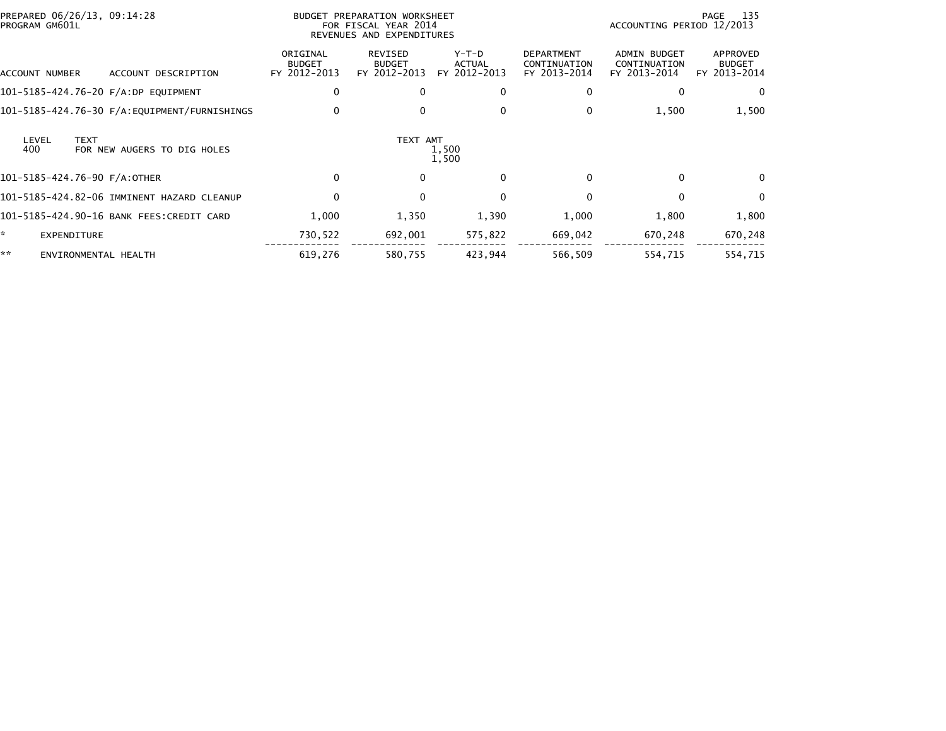| PREPARED 06/26/13, 09:14:28<br>PROGRAM GM601L              | BUDGET PREPARATION WORKSHEET<br>FOR FISCAL YEAR 2014<br>REVENUES AND EXPENDITURES |                                          |                                          |                                                   | ACCOUNTING PERIOD 12/2013                           | 135<br>PAGE                               |
|------------------------------------------------------------|-----------------------------------------------------------------------------------|------------------------------------------|------------------------------------------|---------------------------------------------------|-----------------------------------------------------|-------------------------------------------|
| ACCOUNT DESCRIPTION<br>ACCOUNT NUMBER                      | ORIGINAL<br><b>BUDGET</b><br>FY 2012-2013                                         | REVISED<br><b>BUDGET</b><br>FY 2012-2013 | $Y-T-D$<br><b>ACTUAL</b><br>FY 2012-2013 | <b>DEPARTMENT</b><br>CONTINUATION<br>FY 2013-2014 | <b>ADMIN BUDGET</b><br>CONTINUATION<br>FY 2013-2014 | APPROVED<br><b>BUDGET</b><br>FY 2013-2014 |
| 101-5185-424.76-20 F/A:DP EQUIPMENT                        | 0                                                                                 |                                          | $\bf{0}$                                 | 0                                                 |                                                     | 0                                         |
|                                                            | 0                                                                                 |                                          | 0                                        | 0                                                 | 1,500                                               | 1,500                                     |
| LEVEL<br><b>TEXT</b><br>400<br>FOR NEW AUGERS TO DIG HOLES |                                                                                   | TEXT AMT                                 | 1,500<br>1,500                           |                                                   |                                                     |                                           |
| 101-5185-424.76-90 F/A:OTHER                               | 0                                                                                 | 0                                        | $\Omega$                                 | $\Omega$                                          | 0                                                   | 0                                         |
| 101-5185-424.82-06 IMMINENT HAZARD CLEANUP                 | $\mathbf 0$                                                                       |                                          | $\mathbf{0}$                             | $\Omega$                                          | $\Omega$                                            | $\mathbf{0}$                              |
| 101-5185-424.90-16 BANK FEES:CREDIT CARD                   | 1,000                                                                             | 1,350                                    | 1,390                                    | 1,000                                             | 1,800                                               | 1,800                                     |
| ÷.<br><b>EXPENDITURE</b>                                   | 730,522                                                                           | 692,001                                  | 575,822                                  | 669,042                                           | 670,248                                             | 670,248                                   |
| **<br>ENVIRONMENTAL HEALTH                                 | 619,276                                                                           | 580,755                                  | 423,944                                  | 566,509                                           | 554,715                                             | 554,715                                   |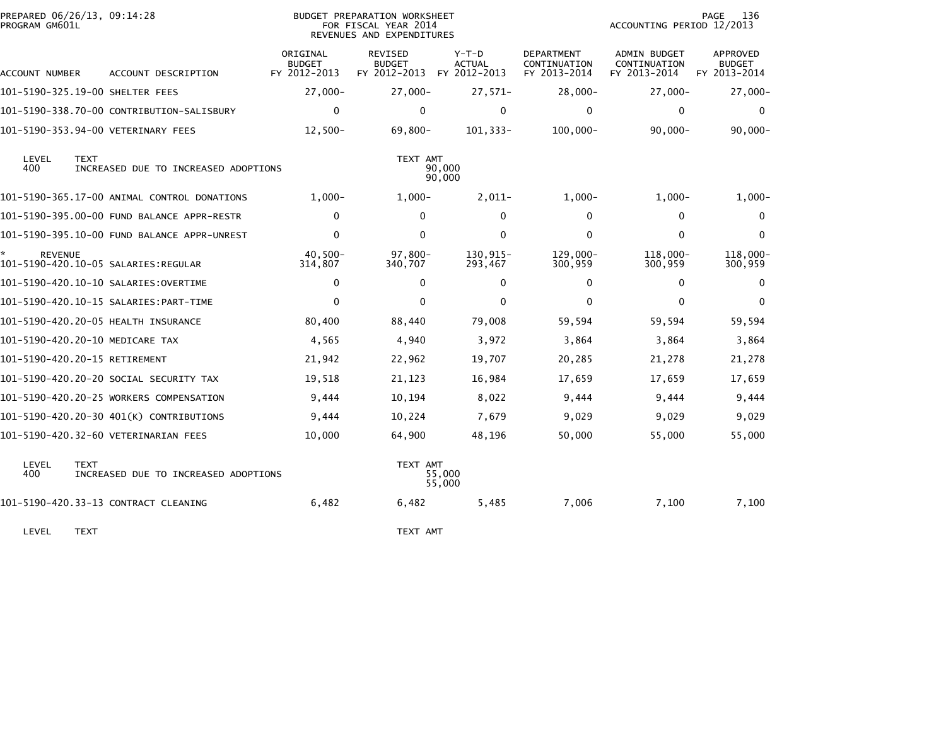| PROGRAM GM601L | PREPARED 06/26/13, 09:14:28                         | BUDGET PREPARATION WORKSHEET<br>FOR FISCAL YEAR 2014<br>REVENUES AND EXPENDITURES |                                                 |                                        |                                                   | 136<br>PAGE<br>ACCOUNTING PERIOD 12/2013            |                                           |
|----------------|-----------------------------------------------------|-----------------------------------------------------------------------------------|-------------------------------------------------|----------------------------------------|---------------------------------------------------|-----------------------------------------------------|-------------------------------------------|
| ACCOUNT NUMBER | ACCOUNT DESCRIPTION                                 | ORIGINAL<br><b>BUDGET</b><br>FY 2012-2013                                         | <b>REVISED</b><br><b>BUDGET</b><br>FY 2012-2013 | Y-T-D<br><b>ACTUAL</b><br>FY 2012-2013 | <b>DEPARTMENT</b><br>CONTINUATION<br>FY 2013-2014 | <b>ADMIN BUDGET</b><br>CONTINUATION<br>FY 2013-2014 | APPROVED<br><b>BUDGET</b><br>FY 2013-2014 |
|                | 101-5190-325.19-00 SHELTER FEES                     | $27,000 -$                                                                        | $27,000 -$                                      | $27,571-$                              | $28,000-$                                         | $27,000-$                                           | $27,000 -$                                |
|                | 101-5190-338.70-00 CONTRIBUTION-SALISBURY           | $\mathbf{0}$                                                                      | 0                                               | 0                                      | $\mathbf{0}$                                      | $\Omega$                                            | $\Omega$                                  |
|                | 101-5190-353.94-00 VETERINARY FEES                  | $12,500-$                                                                         | 69,800-                                         | 101,333-                               | $100,000 -$                                       | $90,000 -$                                          | $90,000 -$                                |
| LEVEL<br>400   | <b>TEXT</b><br>INCREASED DUE TO INCREASED ADOPTIONS |                                                                                   | TEXT AMT                                        | 90,000<br>90,000                       |                                                   |                                                     |                                           |
|                | 101-5190-365.17-00 ANIMAL CONTROL DONATIONS         | $1.000 -$                                                                         | $1,000-$                                        | $2,011-$                               | $1,000-$                                          | $1,000-$                                            | $1,000-$                                  |
|                | 101-5190-395.00-00 FUND BALANCE APPR-RESTR          | $\mathbf 0$                                                                       | $\Omega$                                        | $\mathbf{0}$                           | $\mathbf{0}$                                      | $\Omega$                                            | $\Omega$                                  |
|                | 101-5190-395.10-00 FUND BALANCE APPR-UNREST         | $\Omega$                                                                          | $\Omega$                                        | 0                                      | $\Omega$                                          | $\mathbf{0}$                                        | $\mathbf{0}$                              |
| <b>REVENUE</b> | 101-5190-420.10-05 SALARIES:REGULAR                 | $40,500 -$<br>314,807                                                             | 97,800-<br>340,707                              | 130,915-<br>293,467                    | $129,000 -$<br>300,959                            | $118,000 -$<br>300,959                              | 118,000-<br>300,959                       |
|                |                                                     | $\mathbf 0$                                                                       | $\Omega$                                        | $\Omega$                               | $\mathbf{0}$                                      | $\mathbf{0}$                                        | $\Omega$                                  |
|                | 101-5190-420.10-15 SALARIES: PART-TIME              | $\mathbf{0}$                                                                      | $\Omega$                                        | $\mathbf{0}$                           | $\Omega$                                          | $\mathbf{0}$                                        | $\Omega$                                  |
|                | 101-5190-420.20-05 HEALTH INSURANCE                 | 80,400                                                                            | 88,440                                          | 79,008                                 | 59,594                                            | 59,594                                              | 59,594                                    |
|                | 101-5190-420.20-10 MEDICARE TAX                     | 4,565                                                                             | 4,940                                           | 3,972                                  | 3,864                                             | 3,864                                               | 3,864                                     |
|                | 101-5190-420.20-15 RETIREMENT                       | 21,942                                                                            | 22,962                                          | 19,707                                 | 20,285                                            | 21,278                                              | 21,278                                    |
|                | 101-5190-420.20-20 SOCIAL SECURITY TAX              | 19,518                                                                            | 21,123                                          | 16,984                                 | 17,659                                            | 17,659                                              | 17,659                                    |
|                | 101-5190-420.20-25 WORKERS COMPENSATION             | 9,444                                                                             | 10,194                                          | 8,022                                  | 9,444                                             | 9,444                                               | 9,444                                     |
|                | 101-5190-420.20-30 401(K) CONTRIBUTIONS             | 9,444                                                                             | 10,224                                          | 7,679                                  | 9,029                                             | 9,029                                               | 9,029                                     |
|                | 101-5190-420.32-60 VETERINARIAN FEES                | 10,000                                                                            | 64,900                                          | 48,196                                 | 50,000                                            | 55,000                                              | 55,000                                    |
| LEVEL<br>400   | <b>TEXT</b><br>INCREASED DUE TO INCREASED ADOPTIONS |                                                                                   | TEXT AMT                                        | 55,000<br>55,000                       |                                                   |                                                     |                                           |
|                | 101-5190-420.33-13 CONTRACT CLEANING                | 6,482                                                                             | 6,482                                           | 5,485                                  | 7,006                                             | 7,100                                               | 7,100                                     |
| LEVEL          | <b>TEXT</b>                                         |                                                                                   | TEXT AMT                                        |                                        |                                                   |                                                     |                                           |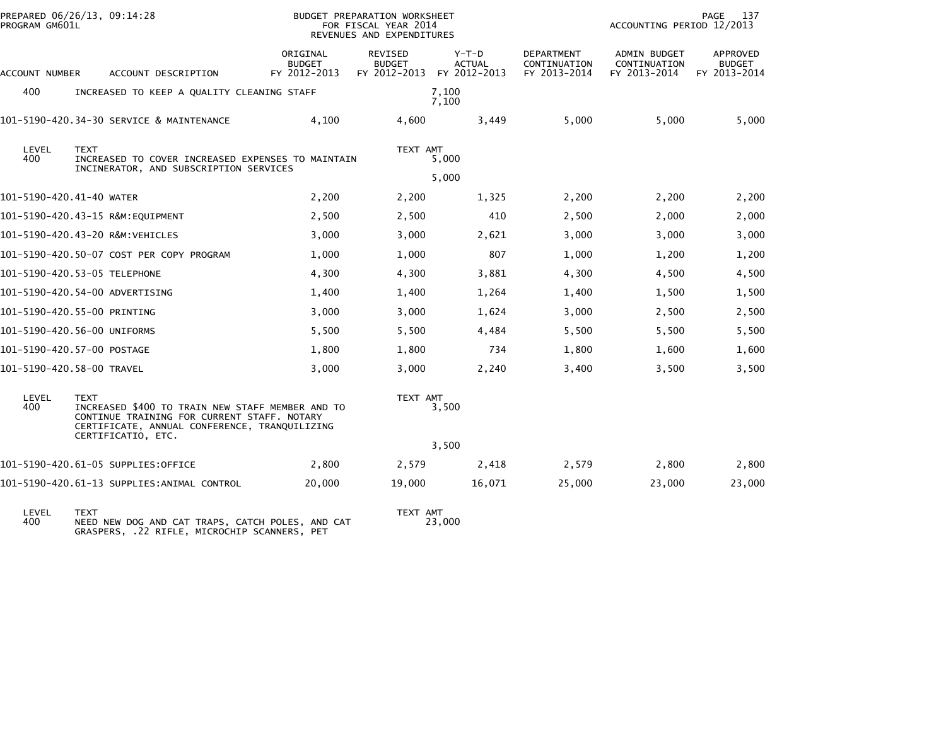| PROGRAM GM601L           | PREPARED 06/26/13, 09:14:28                                                                                                                                     |                                           | BUDGET PREPARATION WORKSHEET<br>FOR FISCAL YEAR 2014<br>REVENUES AND EXPENDITURES |                                          |                                            | ACCOUNTING PERIOD 12/2013                           | 137<br>PAGE                               |
|--------------------------|-----------------------------------------------------------------------------------------------------------------------------------------------------------------|-------------------------------------------|-----------------------------------------------------------------------------------|------------------------------------------|--------------------------------------------|-----------------------------------------------------|-------------------------------------------|
| ACCOUNT NUMBER           | ACCOUNT DESCRIPTION                                                                                                                                             | ORIGINAL<br><b>BUDGET</b><br>FY 2012-2013 | REVISED<br><b>BUDGET</b><br>FY 2012-2013                                          | $Y-T-D$<br><b>ACTUAL</b><br>FY 2012-2013 | DEPARTMENT<br>CONTINUATION<br>FY 2013-2014 | <b>ADMIN BUDGET</b><br>CONTINUATION<br>FY 2013-2014 | APPROVED<br><b>BUDGET</b><br>FY 2013-2014 |
| 400                      | INCREASED TO KEEP A QUALITY CLEANING STAFF                                                                                                                      |                                           |                                                                                   | 7,100                                    |                                            |                                                     |                                           |
|                          |                                                                                                                                                                 |                                           |                                                                                   | 7,100                                    |                                            |                                                     |                                           |
|                          | 101-5190-420.34-30 SERVICE & MAINTENANCE                                                                                                                        | 4,100                                     | 4,600                                                                             | 3,449                                    | 5,000                                      | 5,000                                               | 5,000                                     |
| LEVEL<br>400             | <b>TEXT</b><br>INCREASED TO COVER INCREASED EXPENSES TO MAINTAIN                                                                                                |                                           | TEXT AMT                                                                          | 5,000                                    |                                            |                                                     |                                           |
|                          | INCINERATOR, AND SUBSCRIPTION SERVICES                                                                                                                          |                                           |                                                                                   | 5,000                                    |                                            |                                                     |                                           |
| 101-5190-420.41-40 WATER |                                                                                                                                                                 | 2,200                                     | 2,200                                                                             | 1,325                                    | 2,200                                      | 2,200                                               | 2,200                                     |
|                          | 101-5190-420.43-15 R&M:EQUIPMENT                                                                                                                                | 2,500                                     | 2,500                                                                             | 410                                      | 2,500                                      | 2,000                                               | 2,000                                     |
|                          | 101-5190-420.43-20 R&M:VEHICLES                                                                                                                                 | 3,000                                     | 3,000                                                                             | 2,621                                    | 3,000                                      | 3,000                                               | 3,000                                     |
|                          | 101-5190-420.50-07 COST PER COPY PROGRAM                                                                                                                        | 1,000                                     | 1,000                                                                             | 807                                      | 1,000                                      | 1,200                                               | 1,200                                     |
|                          | 101-5190-420.53-05 TELEPHONE                                                                                                                                    | 4,300                                     | 4,300                                                                             | 3,881                                    | 4,300                                      | 4,500                                               | 4,500                                     |
|                          | 101-5190-420.54-00 ADVERTISING                                                                                                                                  | 1,400                                     | 1,400                                                                             | 1,264                                    | 1,400                                      | 1,500                                               | 1,500                                     |
|                          | 101-5190-420.55-00 PRINTING                                                                                                                                     | 3,000                                     | 3,000                                                                             | 1,624                                    | 3,000                                      | 2,500                                               | 2,500                                     |
|                          | 101–5190–420.56–00 UNIFORMS                                                                                                                                     | 5,500                                     | 5,500                                                                             | 4.484                                    | 5.500                                      | 5,500                                               | 5,500                                     |
|                          | 101-5190-420.57-00 POSTAGE                                                                                                                                      | 1,800                                     | 1,800                                                                             | 734                                      | 1,800                                      | 1,600                                               | 1,600                                     |
|                          | 101-5190-420.58-00 TRAVEL                                                                                                                                       | 3,000                                     | 3,000                                                                             | 2,240                                    | 3,400                                      | 3,500                                               | 3,500                                     |
| LEVEL<br>400             | <b>TEXT</b><br>INCREASED \$400 TO TRAIN NEW STAFF MEMBER AND TO<br>CONTINUE TRAINING FOR CURRENT STAFF, NOTARY<br>CERTIFICATE, ANNUAL CONFERENCE, TRANQUILIZING |                                           | TEXT AMT                                                                          | 3,500                                    |                                            |                                                     |                                           |
|                          | CERTIFICATIO, ETC.                                                                                                                                              |                                           |                                                                                   | 3,500                                    |                                            |                                                     |                                           |
|                          | 101–5190–420.61–05 SUPPLIES:OFFICE                                                                                                                              | 2,800                                     | 2,579                                                                             | 2,418                                    | 2,579                                      | 2,800                                               | 2,800                                     |
|                          | 101-5190-420.61-13 SUPPLIES:ANIMAL CONTROL                                                                                                                      | 20,000                                    | 19,000                                                                            | 16,071                                   | 25,000                                     | 23,000                                              | 23,000                                    |
|                          |                                                                                                                                                                 |                                           |                                                                                   |                                          |                                            |                                                     |                                           |

 LEVEL TEXT TEXT AMT 400 NEED NEW DOG AND CAT TRAPS, CATCH POLES, AND CAT 23,000GRASPERS, .22 RIFLE, MICROCHIP SCANNERS, PET

TEXT AMT<br>23,000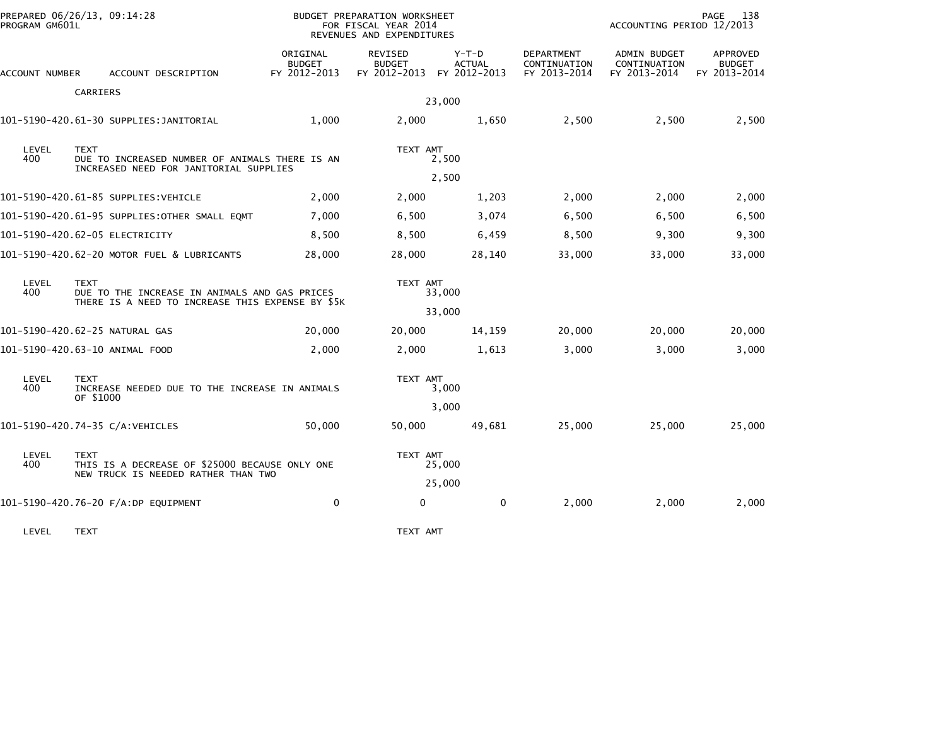| PROGRAM GM601L                                                                                                          | PREPARED 06/26/13, 09:14:28                                                |                                           | BUDGET PREPARATION WORKSHEET<br>FOR FISCAL YEAR 2014<br>REVENUES AND EXPENDITURES |                          | 138<br>PAGE<br>ACCOUNTING PERIOD 12/2013          |                                              |                                           |
|-------------------------------------------------------------------------------------------------------------------------|----------------------------------------------------------------------------|-------------------------------------------|-----------------------------------------------------------------------------------|--------------------------|---------------------------------------------------|----------------------------------------------|-------------------------------------------|
| ACCOUNT NUMBER                                                                                                          | ACCOUNT DESCRIPTION                                                        | ORIGINAL<br><b>BUDGET</b><br>FY 2012-2013 | REVISED<br><b>BUDGET</b><br>FY 2012-2013 FY 2012-2013                             | $Y-T-D$<br><b>ACTUAL</b> | <b>DEPARTMENT</b><br>CONTINUATION<br>FY 2013-2014 | ADMIN BUDGET<br>CONTINUATION<br>FY 2013-2014 | APPROVED<br><b>BUDGET</b><br>FY 2013-2014 |
|                                                                                                                         | CARRIERS                                                                   |                                           |                                                                                   |                          |                                                   |                                              |                                           |
|                                                                                                                         |                                                                            | 1.000                                     | 2,000                                                                             | 23,000<br>1,650          | 2,500                                             | 2,500                                        | 2,500                                     |
| LEVEL<br><b>TEXT</b><br>400<br>DUE TO INCREASED NUMBER OF ANIMALS THERE IS AN<br>INCREASED NEED FOR JANITORIAL SUPPLIES |                                                                            |                                           | TEXT AMT                                                                          | 2,500                    |                                                   |                                              |                                           |
|                                                                                                                         |                                                                            |                                           |                                                                                   | 2,500                    |                                                   |                                              |                                           |
|                                                                                                                         | 101-5190-420.61-85 SUPPLIES: VEHICLE                                       | 2,000                                     | 2,000                                                                             | 1,203                    | 2,000                                             | 2,000                                        | 2,000                                     |
|                                                                                                                         | 101-5190-420.61-95 SUPPLIES:OTHER SMALL EQMT                               | 7,000                                     | 6,500                                                                             | 3,074                    | 6,500                                             | 6,500                                        | 6,500                                     |
|                                                                                                                         | 101-5190-420.62-05 ELECTRICITY                                             | 8,500                                     | 8,500                                                                             | 6,459                    | 8,500                                             | 9,300                                        | 9,300                                     |
|                                                                                                                         | 101-5190-420.62-20 MOTOR FUEL & LUBRICANTS                                 | 28,000                                    | 28,000                                                                            | 28,140                   | 33,000                                            | 33,000                                       | 33,000                                    |
| LEVEL<br>400                                                                                                            | <b>TEXT</b><br>DUE TO THE INCREASE IN ANIMALS AND GAS PRICES               |                                           | TEXT AMT<br>33,000                                                                |                          |                                                   |                                              |                                           |
|                                                                                                                         | THERE IS A NEED TO INCREASE THIS EXPENSE BY \$5K                           |                                           |                                                                                   | 33,000                   |                                                   |                                              |                                           |
|                                                                                                                         | 101-5190-420.62-25 NATURAL GAS                                             | 20,000                                    | 20,000                                                                            | 14,159                   | 20,000                                            | 20,000                                       | 20,000                                    |
|                                                                                                                         | 101-5190-420.63-10 ANIMAL FOOD                                             | 2,000                                     | 2,000                                                                             | 1,613                    | 3,000                                             | 3,000                                        | 3,000                                     |
| LEVEL<br>400                                                                                                            | <b>TEXT</b><br>INCREASE NEEDED DUE TO THE INCREASE IN ANIMALS<br>OF \$1000 |                                           | TEXT AMT<br>3,000                                                                 |                          |                                                   |                                              |                                           |
|                                                                                                                         |                                                                            |                                           |                                                                                   | 3,000                    |                                                   |                                              |                                           |
|                                                                                                                         | 101-5190-420.74-35 C/A:VEHICLES                                            | 50,000                                    | 50,000                                                                            | 49,681                   | 25,000                                            | 25,000                                       | 25,000                                    |
| LEVEL<br>400                                                                                                            | <b>TEXT</b><br>THIS IS A DECREASE OF \$25000 BECAUSE ONLY ONE              |                                           | TEXT AMT                                                                          | 25,000                   |                                                   |                                              |                                           |
|                                                                                                                         | NEW TRUCK IS NEEDED RATHER THAN TWO                                        |                                           |                                                                                   | 25,000                   |                                                   |                                              |                                           |
|                                                                                                                         | 101-5190-420.76-20 F/A:DP EQUIPMENT                                        | $\mathbf 0$                               | 0                                                                                 | 0                        | 2,000                                             | 2,000                                        | 2,000                                     |
|                                                                                                                         |                                                                            |                                           |                                                                                   |                          |                                                   |                                              |                                           |

LEVEL TEXT NEXT AND TEXT AND TEXT AND TEXT AND TEXT AND TEXT AND TEXT AND TEXT AND TEXT AND TEXT AND TEXT AND TEXT AND TEXT AND TEXT AND TEXT AND TEXT AND TEXT AND TEXT AND TEXT AND TEXT AND TEXT AND TEXT AND TEXT AND TEXT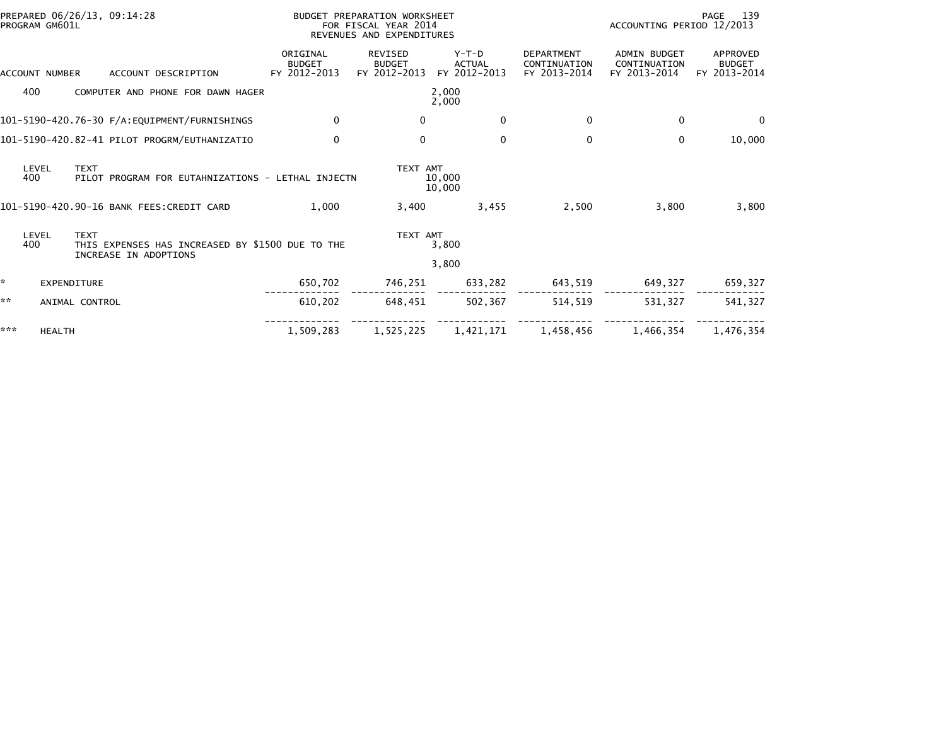|     | PROGRAM GM601L     | PREPARED 06/26/13, 09:14:28 |                                                                           |                                           | BUDGET PREPARATION WORKSHEET<br>FOR FISCAL YEAR 2014<br>REVENUES AND EXPENDITURES |                                          |                                                   | 139<br>PAGE<br>ACCOUNTING PERIOD 12/2013            |                                           |  |
|-----|--------------------|-----------------------------|---------------------------------------------------------------------------|-------------------------------------------|-----------------------------------------------------------------------------------|------------------------------------------|---------------------------------------------------|-----------------------------------------------------|-------------------------------------------|--|
|     | ACCOUNT NUMBER     |                             | ACCOUNT DESCRIPTION                                                       | ORIGINAL<br><b>BUDGET</b><br>FY 2012-2013 | <b>REVISED</b><br><b>BUDGET</b><br>FY 2012-2013                                   | $Y-T-D$<br><b>ACTUAL</b><br>FY 2012-2013 | <b>DEPARTMENT</b><br>CONTINUATION<br>FY 2013-2014 | <b>ADMIN BUDGET</b><br>CONTINUATION<br>FY 2013-2014 | APPROVED<br><b>BUDGET</b><br>FY 2013-2014 |  |
|     | 400                |                             | COMPUTER AND PHONE FOR DAWN HAGER                                         |                                           |                                                                                   | 2,000<br>2,000                           |                                                   |                                                     |                                           |  |
|     |                    |                             | 101-5190-420.76-30 F/A:EQUIPMENT/FURNISHINGS                              | $\mathbf{0}$                              | $\bf{0}$                                                                          | $\mathbf{0}$                             | $\Omega$                                          | $\mathbf{0}$                                        | $\Omega$                                  |  |
|     |                    |                             | 101-5190-420.82-41 PILOT PROGRM/EUTHANIZATIO                              | $\Omega$                                  | $\mathbf{0}$                                                                      | $\mathbf{0}$                             | 0                                                 | $\mathbf{0}$                                        | 10,000                                    |  |
|     | LEVEL<br>400       | <b>TEXT</b>                 | PILOT PROGRAM FOR EUTAHNIZATIONS - LETHAL INJECTN                         |                                           | TEXT AMT                                                                          | 10,000<br>10,000                         |                                                   |                                                     |                                           |  |
|     |                    |                             | 101-5190-420.90-16 BANK FEES:CREDIT CARD                                  | 1,000                                     | 3,400                                                                             | 3,455                                    | 2,500                                             | 3,800                                               | 3,800                                     |  |
|     | LEVEL<br>400       | <b>TEXT</b>                 | THIS EXPENSES HAS INCREASED BY \$1500 DUE TO THE<br>INCREASE IN ADOPTIONS |                                           | TEXT AMT                                                                          | 3,800                                    |                                                   |                                                     |                                           |  |
|     |                    |                             |                                                                           |                                           |                                                                                   | 3,800                                    |                                                   |                                                     |                                           |  |
|     | <b>EXPENDITURE</b> |                             |                                                                           | 650,702                                   | 746,251                                                                           | 633,282                                  | 643,519                                           | 649,327                                             | 659,327                                   |  |
| **  |                    | ANIMAL CONTROL              |                                                                           | 610,202                                   | 648,451                                                                           | 502,367                                  | 514,519                                           | 531,327                                             | 541,327                                   |  |
| *** | <b>HEALTH</b>      |                             |                                                                           | 1,509,283                                 | 1,525,225                                                                         | 1,421,171                                | 1,458,456                                         | 1,466,354                                           | 1,476,354                                 |  |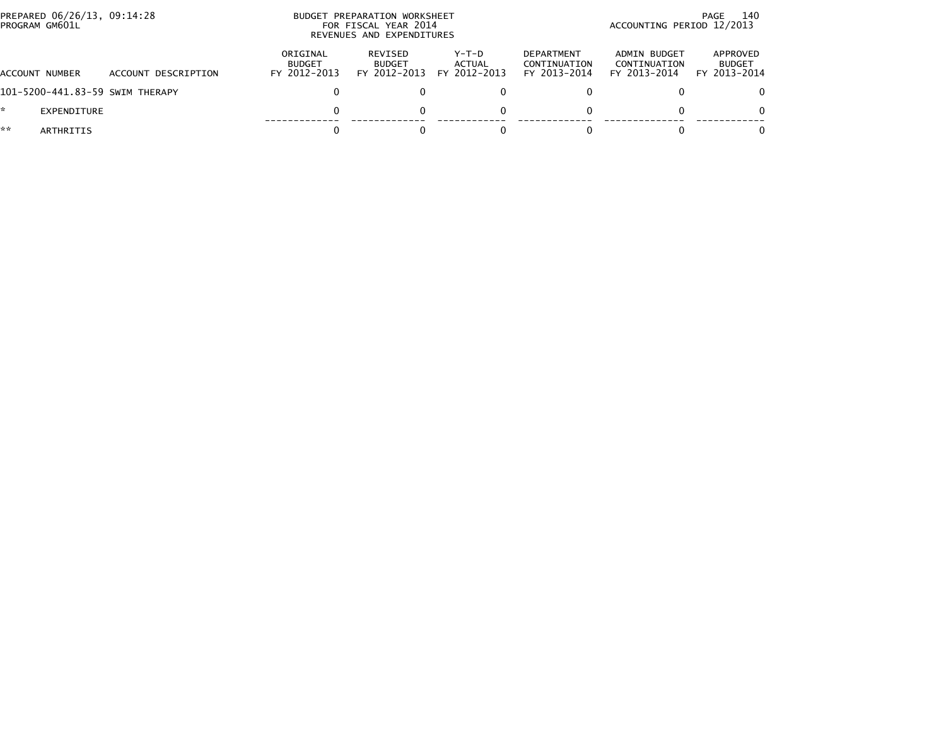|    | PREPARED 06/26/13, 09:14:28<br>PROGRAM GM601L |                                 |                                           | BUDGET PREPARATION WORKSHEET<br>FOR FISCAL YEAR 2014<br>REVENUES AND EXPENDITURES | - 140<br>PAGE<br>ACCOUNTING PERIOD 12/2013 |                                                   |                                              |                                           |
|----|-----------------------------------------------|---------------------------------|-------------------------------------------|-----------------------------------------------------------------------------------|--------------------------------------------|---------------------------------------------------|----------------------------------------------|-------------------------------------------|
|    | ACCOUNT NUMBER                                | ACCOUNT DESCRIPTION             | ORIGINAL<br><b>BUDGET</b><br>FY 2012-2013 | REVISED<br><b>BUDGET</b><br>FY 2012-2013                                          | Y-T-D<br>ACTUAL<br>FY 2012-2013            | <b>DEPARTMENT</b><br>CONTINUATION<br>FY 2013-2014 | ADMIN BUDGET<br>CONTINUATION<br>FY 2013-2014 | APPROVED<br><b>BUDGET</b><br>FY 2013-2014 |
|    |                                               | 101-5200-441.83-59 SWIM THERAPY |                                           |                                                                                   |                                            |                                                   |                                              | $\Omega$                                  |
|    | EXPENDITURE                                   |                                 |                                           |                                                                                   | 0                                          |                                                   |                                              | $\Omega$                                  |
| ** | ARTHRITIS                                     |                                 |                                           |                                                                                   |                                            |                                                   |                                              | $\Omega$                                  |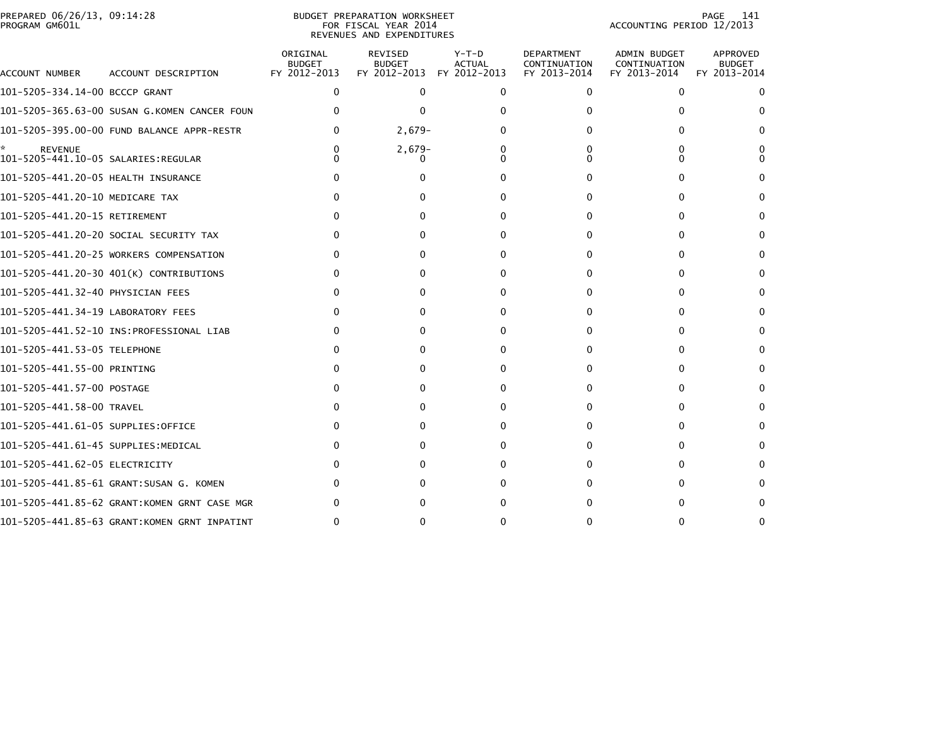|                | PREPARED 06/26/13, 09:14:28 |  |
|----------------|-----------------------------|--|
| PROGRAM GM601L |                             |  |

## BUDGET PREPARATION WORKSHEET PROGRAM GM601L FOR FISCAL YEAR 2014 ACCOUNTING PERIOD 12/2013 REVENUES AND EXPENDITURES

PAGE 141<br>ACCOUNTING PERIOD 12/2013

| ACCOUNT NUMBER                      | ACCOUNT DESCRIPTION                          | ORIGINAL<br><b>BUDGET</b><br>FY 2012-2013 | REVISED<br><b>BUDGET</b><br>FY 2012-2013 | $Y-T-D$<br><b>ACTUAL</b><br>FY 2012-2013 | <b>DEPARTMENT</b><br>CONTINUATION<br>FY 2013-2014 | <b>ADMIN BUDGET</b><br>CONTINUATION<br>FY 2013-2014 | APPROVED<br><b>BUDGET</b><br>FY 2013-2014 |
|-------------------------------------|----------------------------------------------|-------------------------------------------|------------------------------------------|------------------------------------------|---------------------------------------------------|-----------------------------------------------------|-------------------------------------------|
| 101-5205-334.14-00 BCCCP GRANT      |                                              | 0                                         | $\Omega$                                 | 0                                        | 0                                                 | $\Omega$                                            | $\Omega$                                  |
|                                     | 101-5205-365.63-00 SUSAN G.KOMEN CANCER FOUN |                                           | 0                                        |                                          |                                                   |                                                     |                                           |
|                                     | 101-5205-395.00-00 FUND BALANCE APPR-RESTR   |                                           | $2,679-$                                 |                                          |                                                   |                                                     |                                           |
| <b>REVENUE</b>                      |                                              |                                           | $2,679-$                                 |                                          |                                                   |                                                     |                                           |
| 101-5205-441.20-05 HEALTH INSURANCE |                                              |                                           |                                          |                                          |                                                   |                                                     |                                           |
| 101-5205-441.20-10 MEDICARE TAX     |                                              |                                           |                                          |                                          |                                                   |                                                     |                                           |
| 101-5205-441.20-15 RETIREMENT       |                                              |                                           |                                          |                                          |                                                   |                                                     |                                           |
|                                     | 101-5205-441.20-20 SOCIAL SECURITY TAX       |                                           |                                          |                                          |                                                   |                                                     | 0                                         |
|                                     | 101-5205-441.20-25 WORKERS COMPENSATION      |                                           |                                          | O                                        |                                                   |                                                     | $\Omega$                                  |
|                                     | 101-5205-441.20-30 401(K) CONTRIBUTIONS      |                                           |                                          | O                                        |                                                   | 0                                                   | 0                                         |
| 101-5205-441.32-40 PHYSICIAN FEES   |                                              |                                           |                                          | O                                        |                                                   |                                                     |                                           |
| 101-5205-441.34-19 LABORATORY FEES  |                                              |                                           |                                          | O                                        | $\Omega$                                          | 0                                                   | 0                                         |
|                                     |                                              |                                           | $^{\circ}$                               | 0                                        |                                                   |                                                     | $\Omega$                                  |
|                                     |                                              |                                           | $^{\circ}$                               | O                                        |                                                   | $^{\circ}$                                          | $\Omega$                                  |
| 101-5205-441.55-00 PRINTING         |                                              |                                           | 0                                        | 0                                        |                                                   |                                                     |                                           |
| 101-5205-441.57-00 POSTAGE          |                                              |                                           | $^{\circ}$                               | O                                        | 0                                                 |                                                     | 0                                         |
| 101-5205-441.58-00 TRAVEL           |                                              |                                           | 0                                        | ŋ                                        |                                                   |                                                     |                                           |
| 101-5205-441.61-05 SUPPLIES:OFFICE  |                                              |                                           |                                          | O                                        |                                                   | 0                                                   | $\Omega$                                  |
| 101-5205-441.61-45 SUPPLIES:MEDICAL |                                              |                                           |                                          | O                                        |                                                   |                                                     |                                           |
| 101–5205–441.62–05 ELECTRICITY      |                                              |                                           |                                          |                                          |                                                   |                                                     | $\Omega$                                  |
|                                     | 101-5205-441.85-61 GRANT:SUSAN G. KOMEN      |                                           |                                          |                                          |                                                   |                                                     |                                           |
|                                     | 101-5205-441.85-62 GRANT:KOMEN GRNT CASE MGR |                                           |                                          |                                          |                                                   |                                                     |                                           |
|                                     | 101-5205-441.85-63 GRANT:KOMEN GRNT INPATINT |                                           |                                          |                                          |                                                   |                                                     |                                           |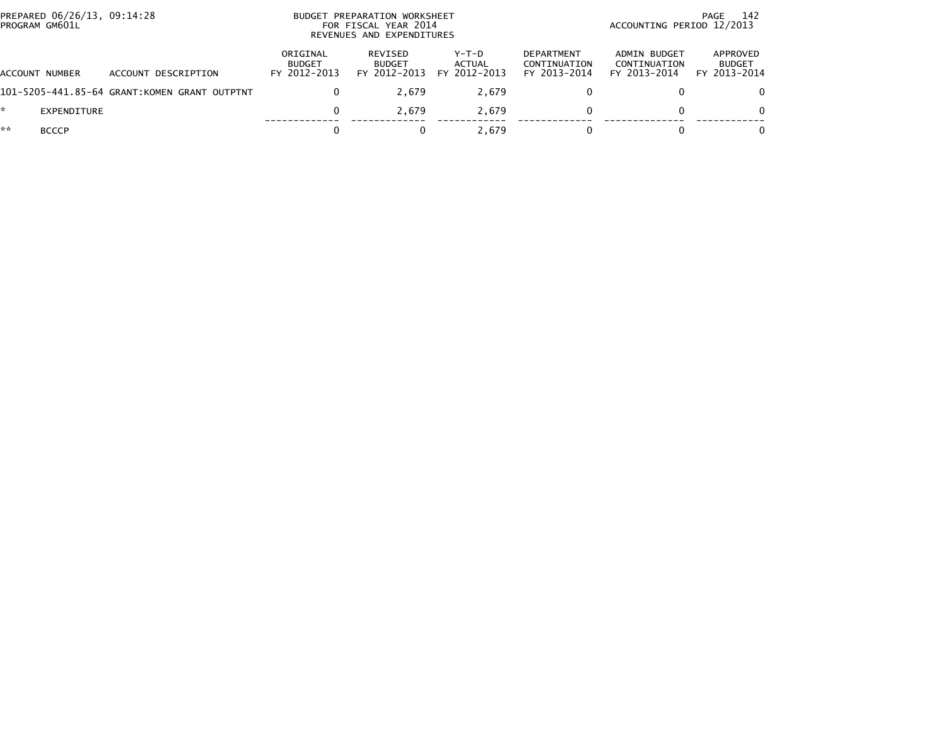| PREPARED 06/26/13, 09:14:28<br>PROGRAM GM601L |              |                                              |                                           | BUDGET PREPARATION WORKSHEET<br>FOR FISCAL YEAR 2014<br>REVENUES AND EXPENDITURES |                                          |                                                   |                                              | 142<br>PAGE<br>ACCOUNTING PERIOD 12/2013  |  |
|-----------------------------------------------|--------------|----------------------------------------------|-------------------------------------------|-----------------------------------------------------------------------------------|------------------------------------------|---------------------------------------------------|----------------------------------------------|-------------------------------------------|--|
| ACCOUNT NUMBER                                |              | ACCOUNT DESCRIPTION                          | ORIGINAL<br><b>BUDGET</b><br>FY 2012-2013 | REVISED<br><b>BUDGET</b><br>FY 2012-2013                                          | $Y-T-D$<br><b>ACTUAL</b><br>FY 2012-2013 | <b>DEPARTMENT</b><br>CONTINUATION<br>FY 2013-2014 | ADMIN BUDGET<br>CONTINUATION<br>FY 2013-2014 | APPROVED<br><b>BUDGET</b><br>FY 2013-2014 |  |
|                                               |              | 101-5205-441.85-64 GRANT:KOMEN GRANT OUTPTNT |                                           | 2.679                                                                             | 2.679                                    |                                                   |                                              | 0                                         |  |
|                                               | EXPENDITURE  |                                              | 0                                         | 2.679                                                                             | 2.679                                    |                                                   |                                              | 0                                         |  |
| **                                            | <b>BCCCP</b> |                                              |                                           |                                                                                   | 2.679                                    |                                                   |                                              | 0                                         |  |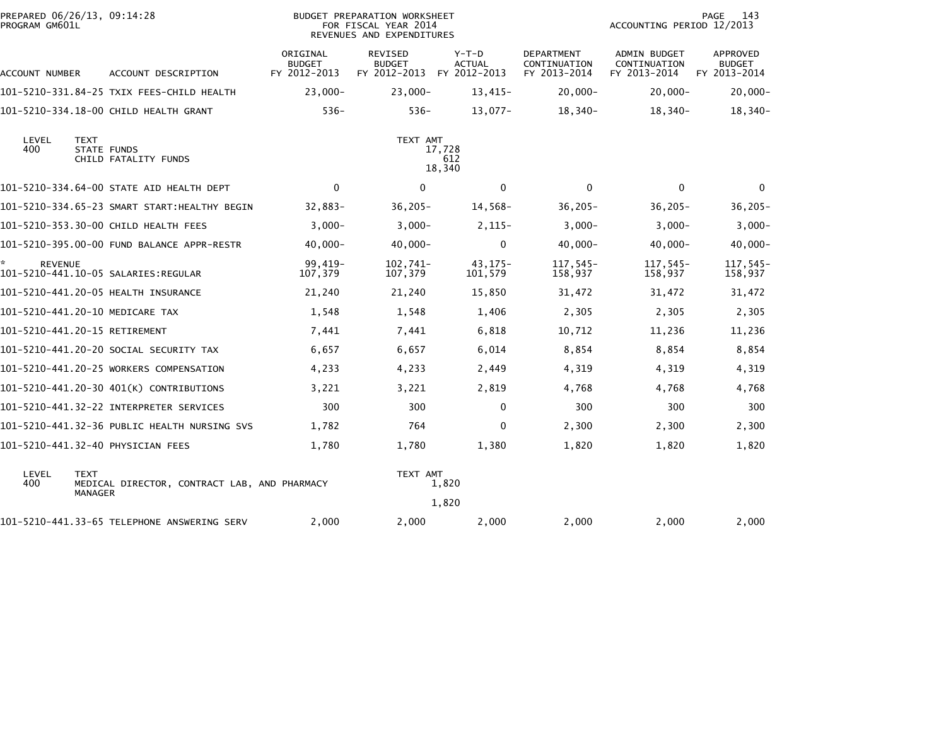| PREPARED 06/26/13, 09:14:28<br>PROGRAM GM601L               |                                              | BUDGET PREPARATION WORKSHEET<br>FOR FISCAL YEAR 2014<br>REVENUES AND EXPENDITURES |                                          |                                          |                                            | PAGE<br>143<br>ACCOUNTING PERIOD 12/2013     |                                           |  |  |  |
|-------------------------------------------------------------|----------------------------------------------|-----------------------------------------------------------------------------------|------------------------------------------|------------------------------------------|--------------------------------------------|----------------------------------------------|-------------------------------------------|--|--|--|
| ACCOUNT NUMBER                                              | ACCOUNT DESCRIPTION                          | ORIGINAL<br><b>BUDGET</b><br>FY 2012-2013                                         | REVISED<br><b>BUDGET</b><br>FY 2012-2013 | $Y-T-D$<br><b>ACTUAL</b><br>FY 2012-2013 | DEPARTMENT<br>CONTINUATION<br>FY 2013-2014 | ADMIN BUDGET<br>CONTINUATION<br>FY 2013-2014 | APPROVED<br><b>BUDGET</b><br>FY 2013-2014 |  |  |  |
|                                                             | 101-5210-331.84-25 TXIX FEES-CHILD HEALTH    | $23,000 -$                                                                        | $23,000 -$                               | 13,415-                                  | $20,000 -$                                 | $20,000 -$                                   | $20,000 -$                                |  |  |  |
|                                                             | 101-5210-334.18-00 CHILD HEALTH GRANT        | $536 -$                                                                           | $536 -$                                  | $13,077-$                                | $18,340-$                                  | $18,340-$                                    | $18,340-$                                 |  |  |  |
| LEVEL<br><b>TEXT</b><br>400                                 | STATE FUNDS<br>CHILD FATALITY FUNDS          | TEXT AMT<br>17,728<br>612<br>18,340                                               |                                          |                                          |                                            |                                              |                                           |  |  |  |
|                                                             | 101-5210-334.64-00 STATE AID HEALTH DEPT     | $\mathbf{0}$                                                                      | $\mathbf{0}$                             | $\mathbf{0}$                             | $\Omega$                                   | $\mathbf{0}$                                 | $\mathbf{0}$                              |  |  |  |
|                                                             | 101-5210-334.65-23 SMART START:HEALTHY BEGIN | 32,883-                                                                           | $36,205 -$                               | 14,568-                                  | $36,205 -$                                 | $36,205 -$                                   | $36, 205 -$                               |  |  |  |
| 101-5210-353.30-00 CHILD HEALTH FEES                        |                                              | $3,000-$                                                                          | $3,000-$                                 | $2,115-$                                 | $3,000-$                                   | $3.000 -$                                    | $3,000 -$                                 |  |  |  |
|                                                             | 101-5210-395.00-00 FUND BALANCE APPR-RESTR   | $40,000 -$                                                                        | $40,000 -$                               | 0                                        | $40,000 -$                                 | $40,000 -$                                   | $40,000 -$                                |  |  |  |
| ÷.<br><b>REVENUE</b><br>101-5210-441.10-05 SALARIES:REGULAR |                                              | 99,419-<br>107,379                                                                | 102,741-<br>107,379                      | 43,175-<br>101,579                       | 117,545-<br>158,937                        | 117,545-<br>158,937                          | 117,545-<br>158,937                       |  |  |  |
| 101-5210-441.20-05 HEALTH INSURANCE                         |                                              | 21,240                                                                            | 21,240                                   | 15,850                                   | 31,472                                     | 31,472                                       | 31,472                                    |  |  |  |
| 101-5210-441.20-10 MEDICARE TAX                             |                                              | 1,548                                                                             | 1,548                                    | 1,406                                    | 2,305                                      | 2,305                                        | 2,305                                     |  |  |  |
| 101-5210-441.20-15 RETIREMENT                               |                                              | 7,441                                                                             | 7,441                                    | 6,818                                    | 10,712                                     | 11,236                                       | 11,236                                    |  |  |  |
|                                                             | 101-5210-441.20-20 SOCIAL SECURITY TAX       | 6,657                                                                             | 6,657                                    | 6,014                                    | 8,854                                      | 8,854                                        | 8,854                                     |  |  |  |
|                                                             | 101-5210-441.20-25 WORKERS COMPENSATION      | 4,233                                                                             | 4,233                                    | 2,449                                    | 4,319                                      | 4,319                                        | 4,319                                     |  |  |  |
|                                                             | 101-5210-441.20-30 401(K) CONTRIBUTIONS      | 3,221                                                                             | 3,221                                    | 2,819                                    | 4,768                                      | 4,768                                        | 4,768                                     |  |  |  |
|                                                             |                                              | 300                                                                               | 300                                      | 0                                        | 300                                        | 300                                          | 300                                       |  |  |  |
|                                                             | 101-5210-441.32-36 PUBLIC HEALTH NURSING SVS | 1,782                                                                             | 764                                      | 0                                        | 2,300                                      | 2,300                                        | 2,300                                     |  |  |  |
| 101-5210-441.32-40 PHYSICIAN FEES                           |                                              | 1,780                                                                             | 1,780                                    | 1,380                                    | 1,820                                      | 1,820                                        | 1,820                                     |  |  |  |
| LEVEL<br><b>TEXT</b><br>400<br><b>MANAGER</b>               | MEDICAL DIRECTOR, CONTRACT LAB, AND PHARMACY | TEXT AMT<br>1,820<br>1,820                                                        |                                          |                                          |                                            |                                              |                                           |  |  |  |
|                                                             | 101-5210-441.33-65 TELEPHONE ANSWERING SERV  | 2,000                                                                             | 2,000                                    | 2,000                                    | 2,000                                      | 2,000                                        | 2,000                                     |  |  |  |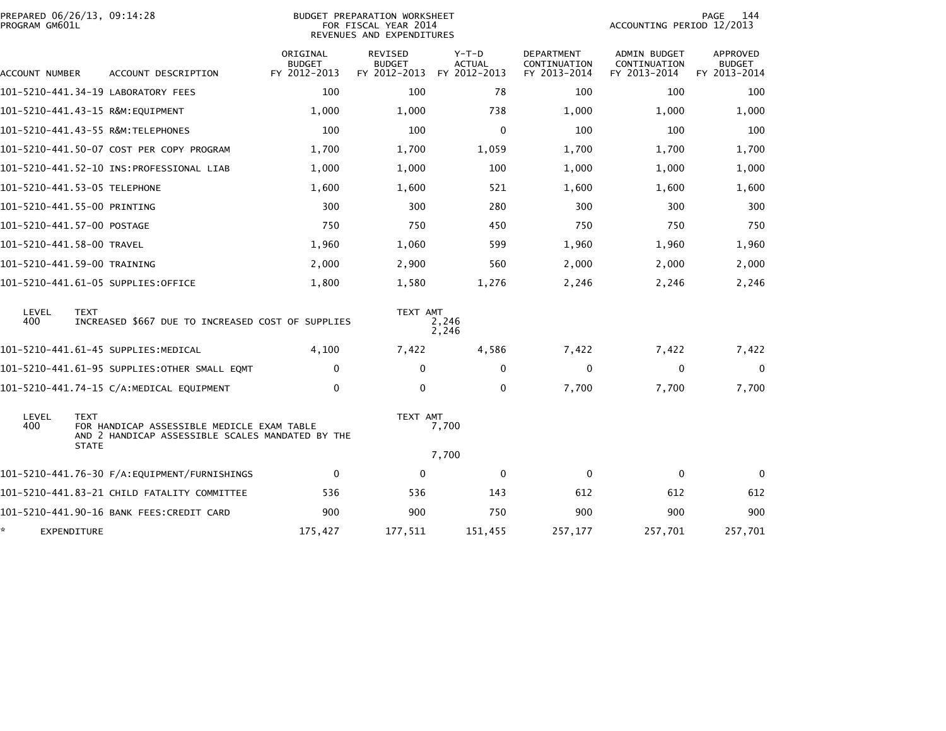| PROGRAM GM601L | PREPARED 06/26/13, 09:14:28                                                                                                   | <b>BUDGET PREPARATION WORKSHEET</b><br>FOR FISCAL YEAR 2014<br>REVENUES AND EXPENDITURES |                                                 |                                          |                                                   |                                                     |                                           |
|----------------|-------------------------------------------------------------------------------------------------------------------------------|------------------------------------------------------------------------------------------|-------------------------------------------------|------------------------------------------|---------------------------------------------------|-----------------------------------------------------|-------------------------------------------|
| ACCOUNT NUMBER | ACCOUNT DESCRIPTION                                                                                                           | ORIGINAL<br><b>BUDGET</b><br>FY 2012-2013                                                | <b>REVISED</b><br><b>BUDGET</b><br>FY 2012-2013 | $Y-T-D$<br><b>ACTUAL</b><br>FY 2012-2013 | <b>DEPARTMENT</b><br>CONTINUATION<br>FY 2013-2014 | <b>ADMIN BUDGET</b><br>CONTINUATION<br>FY 2013-2014 | APPROVED<br><b>BUDGET</b><br>FY 2013-2014 |
|                | 101-5210-441.34-19 LABORATORY FEES                                                                                            | 100                                                                                      | 100                                             | 78                                       | 100                                               | 100                                                 | 100                                       |
|                | 101-5210-441.43-15 R&M:EQUIPMENT                                                                                              | 1,000                                                                                    | 1,000                                           | 738                                      | 1,000                                             | 1,000                                               | 1,000                                     |
|                | 101-5210-441.43-55 R&M:TELEPHONES                                                                                             | 100                                                                                      | 100                                             | $\mathbf{0}$                             | 100                                               | 100                                                 | 100                                       |
|                | 101-5210-441.50-07 COST PER COPY PROGRAM                                                                                      | 1,700                                                                                    | 1,700                                           | 1,059                                    | 1,700                                             | 1,700                                               | 1,700                                     |
|                | 101–5210–441.52–10 INS:PROFESSIONAL LIAB                                                                                      | 1,000                                                                                    | 1,000                                           | 100                                      | 1,000                                             | 1,000                                               | 1,000                                     |
|                | 101–5210–441.53–05 TELEPHONE                                                                                                  | 1,600                                                                                    | 1,600                                           | 521                                      | 1,600                                             | 1,600                                               | 1,600                                     |
|                | 101-5210-441.55-00 PRINTING                                                                                                   | 300                                                                                      | 300                                             | 280                                      | 300                                               | 300                                                 | 300                                       |
|                | 101-5210-441.57-00 POSTAGE                                                                                                    | 750                                                                                      | 750                                             | 450                                      | 750                                               | 750                                                 | 750                                       |
|                | 101-5210-441.58-00 TRAVEL                                                                                                     | 1,960                                                                                    | 1,060                                           | 599                                      | 1,960                                             | 1,960                                               | 1,960                                     |
|                | 101-5210-441.59-00 TRAINING                                                                                                   | 2,000                                                                                    | 2,900                                           | 560                                      | 2,000                                             | 2,000                                               | 2,000                                     |
|                | 101-5210-441.61-05 SUPPLIES:OFFICE                                                                                            | 1,800                                                                                    | 1,580                                           | 1,276                                    | 2,246                                             | 2,246                                               | 2,246                                     |
| LEVEL<br>400   | <b>TEXT</b><br>INCREASED \$667 DUE TO INCREASED COST OF SUPPLIES                                                              |                                                                                          | TEXT AMT                                        | 2,246<br>2,246                           |                                                   |                                                     |                                           |
|                | 101-5210-441.61-45 SUPPLIES:MEDICAL                                                                                           | 4,100                                                                                    | 7,422                                           | 4,586                                    | 7,422                                             | 7,422                                               | 7,422                                     |
|                | 101-5210-441.61-95 SUPPLIES:OTHER SMALL EQMT                                                                                  | $\Omega$                                                                                 | $\Omega$                                        | $\mathbf{0}$                             | $\Omega$                                          | $\mathbf{0}$                                        | $\mathbf{0}$                              |
|                | 101-5210-441.74-15 C/A:MEDICAL EQUIPMENT                                                                                      | 0                                                                                        | 0                                               | $\mathbf{0}$                             | 7,700                                             | 7,700                                               | 7,700                                     |
| LEVEL<br>400   | <b>TEXT</b><br>FOR HANDICAP ASSESSIBLE MEDICLE EXAM TABLE<br>AND 2 HANDICAP ASSESSIBLE SCALES MANDATED BY THE<br><b>STATE</b> |                                                                                          |                                                 | TEXT AMT<br>7,700<br>7,700               |                                                   |                                                     |                                           |
|                |                                                                                                                               | $\mathbf{0}$                                                                             | 0                                               | 0                                        | $\mathbf{0}$                                      | 0                                                   | $\bf{0}$                                  |
|                | 101–5210–441.83–21 CHILD FATALITY COMMITTEE                                                                                   | 536                                                                                      | 536                                             | 143                                      | 612                                               | 612                                                 | 612                                       |
|                | 101-5210-441.90-16 BANK FEES:CREDIT CARD                                                                                      | 900                                                                                      | 900                                             | 750                                      | 900                                               | 900                                                 | 900                                       |
|                | EXPENDITURE                                                                                                                   | 175,427                                                                                  | 177,511                                         | 151,455                                  | 257,177                                           | 257,701                                             | 257,701                                   |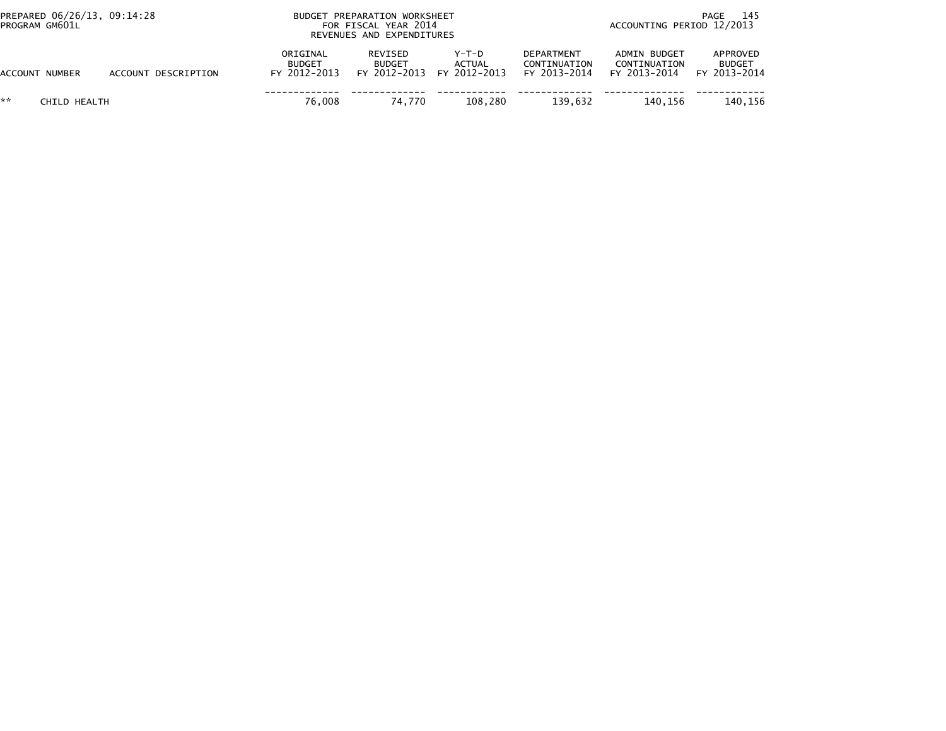| PREPARED 06/26/13, 09:14:28<br>PROGRAM GM601L |                     | BUDGET PREPARATION WORKSHEET<br>FOR FISCAL YEAR 2014<br>REVENUES AND EXPENDITURES |                          |                                                       |                                                   | 145<br>PAGE<br>ACCOUNTING PERIOD 12/2013     |                                           |  |
|-----------------------------------------------|---------------------|-----------------------------------------------------------------------------------|--------------------------|-------------------------------------------------------|---------------------------------------------------|----------------------------------------------|-------------------------------------------|--|
| ACCOUNT NUMBER                                | ACCOUNT DESCRIPTION | ORIGINAL<br>BUDGET<br>FY 2012-2013                                                | REVISED<br><b>BUDGET</b> | $Y-T-D$<br><b>ACTUAL</b><br>FY 2012-2013 FY 2012-2013 | <b>DEPARTMENT</b><br>CONTINUATION<br>FY 2013-2014 | ADMIN BUDGET<br>CONTINUATION<br>FY 2013-2014 | APPROVED<br><b>BUDGET</b><br>FY 2013-2014 |  |
| **<br>CHILD HEALTH                            |                     | 76.008                                                                            | 74.770                   | 108.280                                               | 139.632                                           | 140.156                                      | 140.156                                   |  |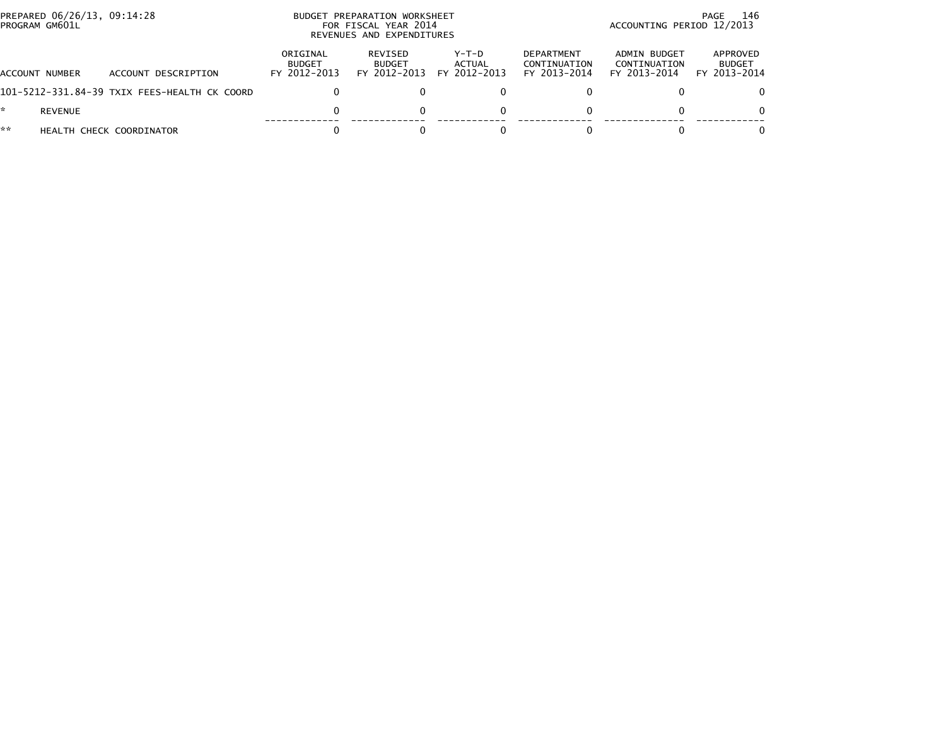| PROGRAM GM601L | PREPARED 06/26/13, 09:14:28 |                                              | <b>BUDGET</b>                             | PREPARATION WORKSHEET<br>FOR FISCAL YEAR 2014<br>REVENUES AND EXPENDITURES | -146<br>PAGE<br>ACCOUNTING PERIOD 12/2013 |                                                   |                                              |                                           |
|----------------|-----------------------------|----------------------------------------------|-------------------------------------------|----------------------------------------------------------------------------|-------------------------------------------|---------------------------------------------------|----------------------------------------------|-------------------------------------------|
| ACCOUNT NUMBER |                             | ACCOUNT DESCRIPTION                          | ORIGINAL<br><b>BUDGET</b><br>FY 2012-2013 | <b>REVISED</b><br><b>BUDGET</b><br>FY 2012-2013                            | $Y-T-D$<br>ACTUAL<br>FY 2012-2013         | <b>DEPARTMENT</b><br>CONTINUATION<br>FY 2013-2014 | ADMIN BUDGET<br>CONTINUATION<br>FY 2013-2014 | APPROVED<br><b>BUDGET</b><br>FY 2013-2014 |
|                |                             | 101-5212-331.84-39 TXIX FEES-HEALTH CK COORD |                                           |                                                                            |                                           |                                                   |                                              | 0                                         |
|                | REVENUE                     |                                              |                                           |                                                                            |                                           |                                                   | 0                                            | $\Omega$                                  |
| **             |                             | HEALTH CHECK COORDINATOR                     |                                           |                                                                            |                                           |                                                   |                                              | $\Omega$                                  |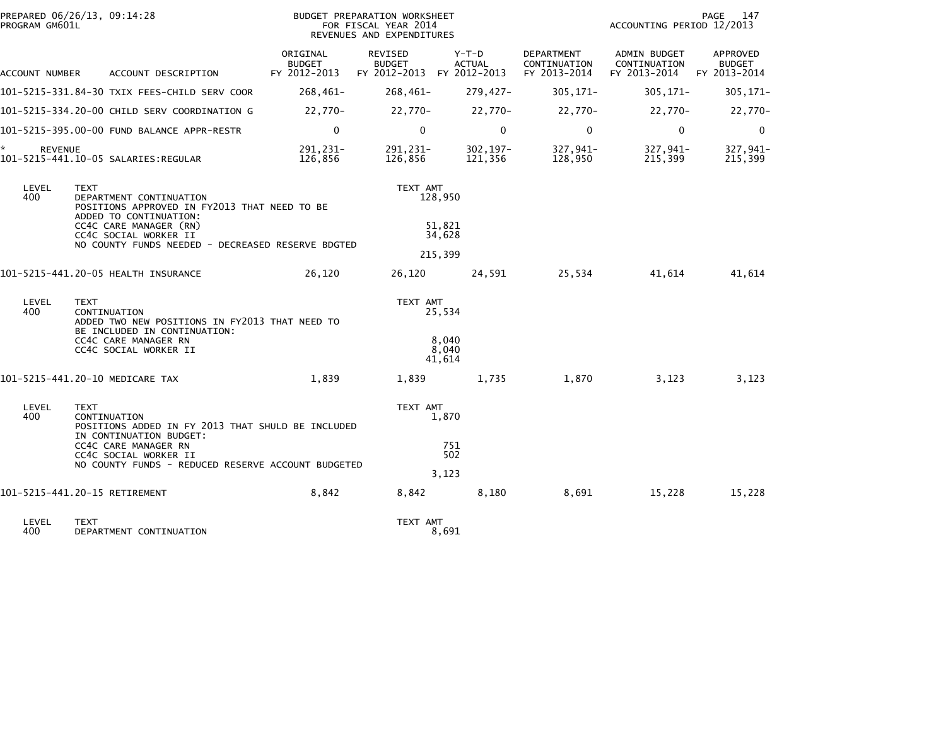| PROGRAM GM601L                                  | PREPARED 06/26/13, 09:14:28                                                                                      |                                           | BUDGET PREPARATION WORKSHEET<br>FOR FISCAL YEAR 2014<br>REVENUES AND EXPENDITURES | PAGE<br>147<br>ACCOUNTING PERIOD 12/2013 |                                                   |                                              |                                           |
|-------------------------------------------------|------------------------------------------------------------------------------------------------------------------|-------------------------------------------|-----------------------------------------------------------------------------------|------------------------------------------|---------------------------------------------------|----------------------------------------------|-------------------------------------------|
| ACCOUNT NUMBER                                  | ACCOUNT DESCRIPTION                                                                                              | ORIGINAL<br><b>BUDGET</b><br>FY 2012-2013 | <b>REVISED</b><br><b>BUDGET</b><br>FY 2012-2013 FY 2012-2013                      | Y-T-D<br><b>ACTUAL</b>                   | <b>DEPARTMENT</b><br>CONTINUATION<br>FY 2013-2014 | ADMIN BUDGET<br>CONTINUATION<br>FY 2013-2014 | APPROVED<br><b>BUDGET</b><br>FY 2013-2014 |
|                                                 | 101-5215-331.84-30 TXIX FEES-CHILD SERV COOR                                                                     | $268,461-$                                | $268,461-$                                                                        | $279,427-$                               | $305, 171 -$                                      | $305, 171 -$                                 | $305, 171 -$                              |
|                                                 | 101-5215-334.20-00 CHILD SERV COORDINATION G                                                                     | 22,770-                                   | 22,770-                                                                           | 22,770-                                  | 22,770-                                           | 22,770-                                      | 22,770-                                   |
|                                                 | 101-5215-395.00-00 FUND BALANCE APPR-RESTR                                                                       | $\mathbf 0$                               | $\mathbf{0}$                                                                      | $\mathbf 0$                              | $\Omega$                                          | $\mathbf 0$                                  | $\mathbf 0$                               |
| ÷.<br><b>REVENUE</b>                            | 101-5215-441.10-05 SALARIES:REGULAR                                                                              | 291,231-<br>126,856                       | 291, 231-<br>126,856                                                              | $302, 197 -$<br>121,356                  | 327,941-<br>128,950                               | 327,941-<br>215,399                          | 327,941-<br>215,399                       |
| LEVEL<br>400                                    | <b>TEXT</b><br>DEPARTMENT CONTINUATION<br>POSITIONS APPROVED IN FY2013 THAT NEED TO BE<br>ADDED TO CONTINUATION: |                                           | TEXT AMT                                                                          | 128,950                                  |                                                   |                                              |                                           |
| CC4C CARE MANAGER (RN)<br>CC4C SOCIAL WORKER II |                                                                                                                  |                                           |                                                                                   | 51,821<br>34,628                         |                                                   |                                              |                                           |
|                                                 | NO COUNTY FUNDS NEEDED - DECREASED RESERVE BDGTED                                                                |                                           |                                                                                   | 215,399                                  |                                                   |                                              |                                           |
|                                                 | 101-5215-441.20-05 HEALTH INSURANCE                                                                              | 26,120                                    | 26,120                                                                            | 24,591                                   | 25,534                                            | 41,614                                       | 41,614                                    |
| LEVEL<br>400                                    | <b>TEXT</b><br>CONTINUATION<br>ADDED TWO NEW POSITIONS IN FY2013 THAT NEED TO                                    |                                           | TEXT AMT                                                                          | 25,534                                   |                                                   |                                              |                                           |
|                                                 | BE INCLUDED IN CONTINUATION:<br>CC4C CARE MANAGER RN<br>CC4C SOCIAL WORKER II                                    |                                           |                                                                                   | 8,040<br>8,040<br>41,614                 |                                                   |                                              |                                           |
|                                                 | 101-5215-441.20-10 MEDICARE TAX                                                                                  | 1,839                                     | 1,839                                                                             | 1,735                                    | 1,870                                             | 3,123                                        | 3,123                                     |
| LEVEL<br>400                                    | <b>TEXT</b><br>CONTINUATION<br>POSITIONS ADDED IN FY 2013 THAT SHULD BE INCLUDED                                 |                                           | TEXT AMT                                                                          | 1,870                                    |                                                   |                                              |                                           |
|                                                 | IN CONTINUATION BUDGET:<br>CC4C CARE MANAGER RN<br>CC4C SOCIAL WORKER II                                         |                                           |                                                                                   | 751<br>502                               |                                                   |                                              |                                           |
|                                                 | NO COUNTY FUNDS - REDUCED RESERVE ACCOUNT BUDGETED                                                               |                                           |                                                                                   | 3,123                                    |                                                   |                                              |                                           |
|                                                 | 101-5215-441.20-15 RETIREMENT                                                                                    | 8,842                                     | 8,842                                                                             | 8,180                                    | 8,691                                             | 15,228                                       | 15,228                                    |
| LEVEL<br>400                                    | <b>TEXT</b><br>DEPARTMENT CONTINUATION                                                                           |                                           | TEXT AMT                                                                          | 8,691                                    |                                                   |                                              |                                           |
|                                                 |                                                                                                                  |                                           |                                                                                   |                                          |                                                   |                                              |                                           |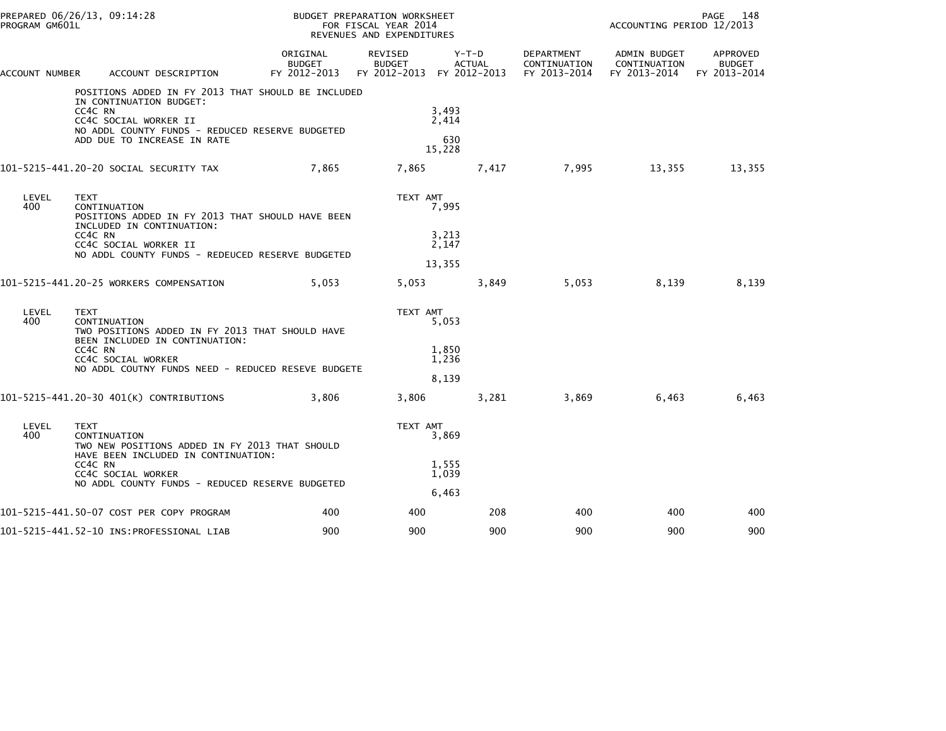| PREPARED 06/26/13, 09:14:28<br>PROGRAM GM601L                                                  |                                                              |                                                                                                                                                                                          |                                    | BUDGET PREPARATION WORKSHEET<br>FOR FISCAL YEAR 2014<br>REVENUES AND EXPENDITURES |                                   | PAGE<br>- 148<br>ACCOUNTING PERIOD 12/2013                           |                                                           |                           |  |
|------------------------------------------------------------------------------------------------|--------------------------------------------------------------|------------------------------------------------------------------------------------------------------------------------------------------------------------------------------------------|------------------------------------|-----------------------------------------------------------------------------------|-----------------------------------|----------------------------------------------------------------------|-----------------------------------------------------------|---------------------------|--|
| ACCOUNT NUMBER                                                                                 |                                                              | ACCOUNT DESCRIPTION                                                                                                                                                                      | ORIGINAL<br>BUDGET<br>FY 2012-2013 | REVISED<br><b>BUDGET</b>                                                          | $Y-T-D$<br><b>ACTUAL</b>          | DEPARTMENT<br>CONTINUATION<br>FY 2012-2013 FY 2012-2013 FY 2013-2014 | ADMIN BUDGET<br>CONTINUATION<br>FY 2013-2014 FY 2013-2014 | APPROVED<br><b>BUDGET</b> |  |
|                                                                                                | CC4C RN                                                      | POSITIONS ADDED IN FY 2013 THAT SHOULD BE INCLUDED<br>IN CONTINUATION BUDGET:<br>CC4C SOCIAL WORKER II<br>NO ADDL COUNTY FUNDS - REDUCED RESERVE BUDGETED<br>ADD DUE TO INCREASE IN RATE |                                    |                                                                                   | 3,493<br>2,414<br>630<br>15,228   |                                                                      |                                                           |                           |  |
|                                                                                                |                                                              | 101–5215–441.20–20 SOCIAL SECURITY TAX                                                                                                                                                   | 7,865                              | 7,865                                                                             |                                   |                                                                      | 7,417 7,995 13,355                                        | 13,355                    |  |
| LEVEL<br>400                                                                                   | <b>TEXT</b><br>CONTINUATION<br>CC4C RN                       | POSITIONS ADDED IN FY 2013 THAT SHOULD HAVE BEEN<br>INCLUDED IN CONTINUATION:<br>CC4C SOCIAL WORKER II<br>NO ADDL COUNTY FUNDS - REDEUCED RESERVE BUDGETED                               |                                    | TEXT AMT                                                                          | 7,995<br>3,213<br>2,147<br>13,355 |                                                                      |                                                           |                           |  |
|                                                                                                |                                                              | 101-5215-441.20-25 WORKERS COMPENSATION                                                                                                                                                  | 5,053                              | 5,053                                                                             | 3,849                             | 5,053                                                                | 8,139                                                     | 8,139                     |  |
| LEVEL<br><b>TEXT</b><br>400<br>CONTINUATION<br>TWO POSITIONS ADDED IN FY 2013 THAT SHOULD HAVE |                                                              | BEEN INCLUDED IN CONTINUATION:                                                                                                                                                           |                                    | TEXT AMT                                                                          | 5,053                             |                                                                      |                                                           |                           |  |
|                                                                                                | CC4C RN<br>CC4C SOCIAL WORKER                                | NO ADDL COUTNY FUNDS NEED - REDUCED RESEVE BUDGETE                                                                                                                                       |                                    |                                                                                   | 1,850<br>1,236<br>8,139           |                                                                      |                                                           |                           |  |
|                                                                                                |                                                              | 101-5215-441.20-30 401(K) CONTRIBUTIONS                                                                                                                                                  | 3,806                              | 3,806                                                                             | 3,281                             | 3,869                                                                | 6,463                                                     | 6,463                     |  |
| LEVEL<br>400                                                                                   | <b>TEXT</b><br>CONTINUATION<br>CC4C RN<br>CC4C SOCIAL WORKER | TWO NEW POSITIONS ADDED IN FY 2013 THAT SHOULD<br>HAVE BEEN INCLUDED IN CONTINUATION:                                                                                                    |                                    | TEXT AMT                                                                          | 3,869<br>1,555<br>1,039           |                                                                      |                                                           |                           |  |
|                                                                                                |                                                              | NO ADDL COUNTY FUNDS - REDUCED RESERVE BUDGETED                                                                                                                                          |                                    |                                                                                   | 6,463                             |                                                                      |                                                           |                           |  |
|                                                                                                |                                                              | 101-5215-441.50-07 COST PER COPY PROGRAM                                                                                                                                                 | 400                                | 400                                                                               | 208                               | 400                                                                  | 400                                                       | 400                       |  |
|                                                                                                |                                                              |                                                                                                                                                                                          | 900                                | 900                                                                               | 900                               | 900                                                                  | 900                                                       | 900                       |  |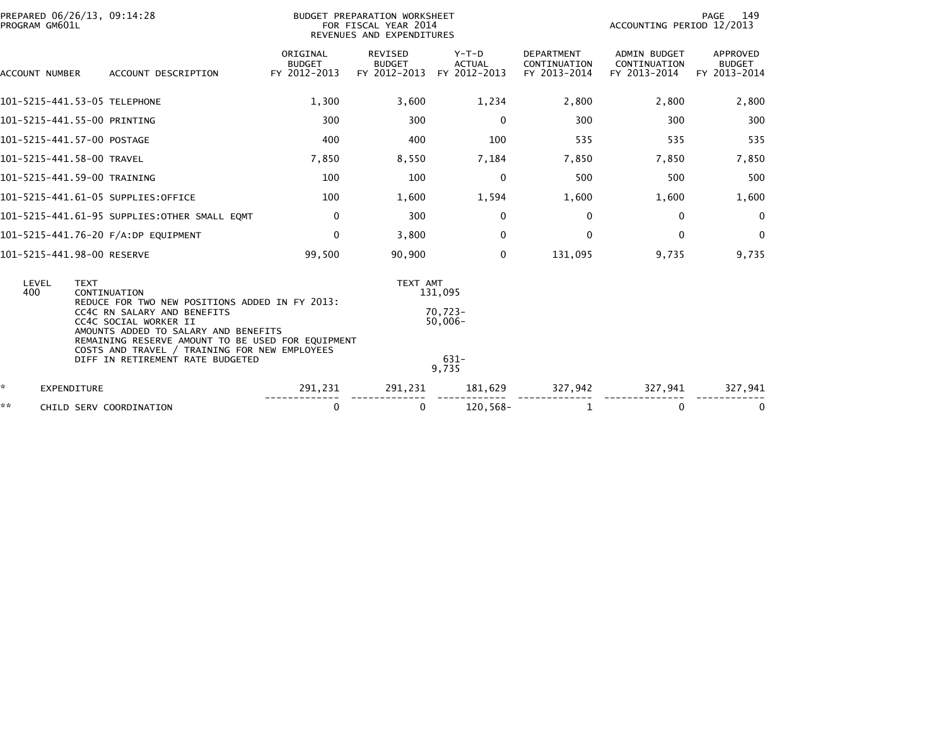| PREPARED 06/26/13, 09:14:28<br>PROGRAM GM601L | BUDGET PREPARATION WORKSHEET<br>FOR FISCAL YEAR 2014<br>REVENUES AND EXPENDITURES                                                              |                                           |                                                 |                                          |                                                   | 149<br>PAGE<br>ACCOUNTING PERIOD 12/2013            |                                           |  |
|-----------------------------------------------|------------------------------------------------------------------------------------------------------------------------------------------------|-------------------------------------------|-------------------------------------------------|------------------------------------------|---------------------------------------------------|-----------------------------------------------------|-------------------------------------------|--|
| ACCOUNT NUMBER                                | ACCOUNT DESCRIPTION                                                                                                                            | ORIGINAL<br><b>BUDGET</b><br>FY 2012-2013 | <b>REVISED</b><br><b>BUDGET</b><br>FY 2012-2013 | $Y-T-D$<br><b>ACTUAL</b><br>FY 2012-2013 | <b>DEPARTMENT</b><br>CONTINUATION<br>FY 2013-2014 | <b>ADMIN BUDGET</b><br>CONTINUATION<br>FY 2013-2014 | APPROVED<br><b>BUDGET</b><br>FY 2013-2014 |  |
| 101-5215-441.53-05 TELEPHONE                  |                                                                                                                                                | 1,300                                     | 3,600                                           | 1,234                                    | 2,800                                             | 2,800                                               | 2,800                                     |  |
| 101-5215-441.55-00 PRINTING                   |                                                                                                                                                | 300                                       | 300                                             | 0                                        | 300                                               | 300                                                 | 300                                       |  |
| 101-5215-441.57-00 POSTAGE                    |                                                                                                                                                | 400                                       | 400                                             | 100                                      | 535                                               | 535                                                 | 535                                       |  |
| 101-5215-441.58-00 TRAVEL                     |                                                                                                                                                | 7,850                                     | 8,550                                           | 7,184                                    | 7,850                                             | 7,850                                               | 7,850                                     |  |
| 101-5215-441.59-00 TRAINING                   |                                                                                                                                                | 100                                       | 100                                             | 0                                        | 500                                               | 500                                                 | 500                                       |  |
|                                               | 101-5215-441.61-05 SUPPLIES:OFFICE                                                                                                             | 100                                       | 1,600                                           | 1,594                                    | 1,600                                             | 1,600                                               | 1,600                                     |  |
|                                               | 101-5215-441.61-95 SUPPLIES: OTHER SMALL EQMT                                                                                                  | 0                                         | 300                                             | 0                                        | 0                                                 | $\bf{0}$                                            | 0                                         |  |
|                                               | 101-5215-441.76-20 F/A:DP EQUIPMENT                                                                                                            | 0                                         | 3,800                                           | 0                                        | 0                                                 | 0                                                   | $\mathbf{0}$                              |  |
| 101-5215-441.98-00 RESERVE                    |                                                                                                                                                | 99,500                                    | 90,900                                          | $\mathbf{0}$                             | 131,095                                           | 9,735                                               | 9,735                                     |  |
| LEVEL<br><b>TEXT</b><br>400                   | CONTINUATION                                                                                                                                   |                                           | TEXT AMT                                        | 131,095                                  |                                                   |                                                     |                                           |  |
|                                               | REDUCE FOR TWO NEW POSITIONS ADDED IN FY 2013:<br>CC4C RN SALARY AND BENEFITS<br>CC4C SOCIAL WORKER II<br>AMOUNTS ADDED TO SALARY AND BENEFITS |                                           |                                                 | $70.723 -$<br>$50,006 -$                 |                                                   |                                                     |                                           |  |
|                                               | REMAINING RESERVE AMOUNT TO BE USED FOR EQUIPMENT<br>COSTS AND TRAVEL / TRAINING FOR NEW EMPLOYEES<br>DIFF IN RETIREMENT RATE BUDGETED         |                                           |                                                 | $631 -$<br>9.735                         |                                                   |                                                     |                                           |  |
| ÷.<br><b>EXPENDITURE</b>                      |                                                                                                                                                | 291,231                                   | 291,231                                         | 181,629                                  | 327,942                                           | 327,941                                             | 327,941                                   |  |
| **                                            | CHILD SERV COORDINATION                                                                                                                        | 0                                         | 0                                               | $120,568-$                               | 1                                                 | $\Omega$                                            | 0                                         |  |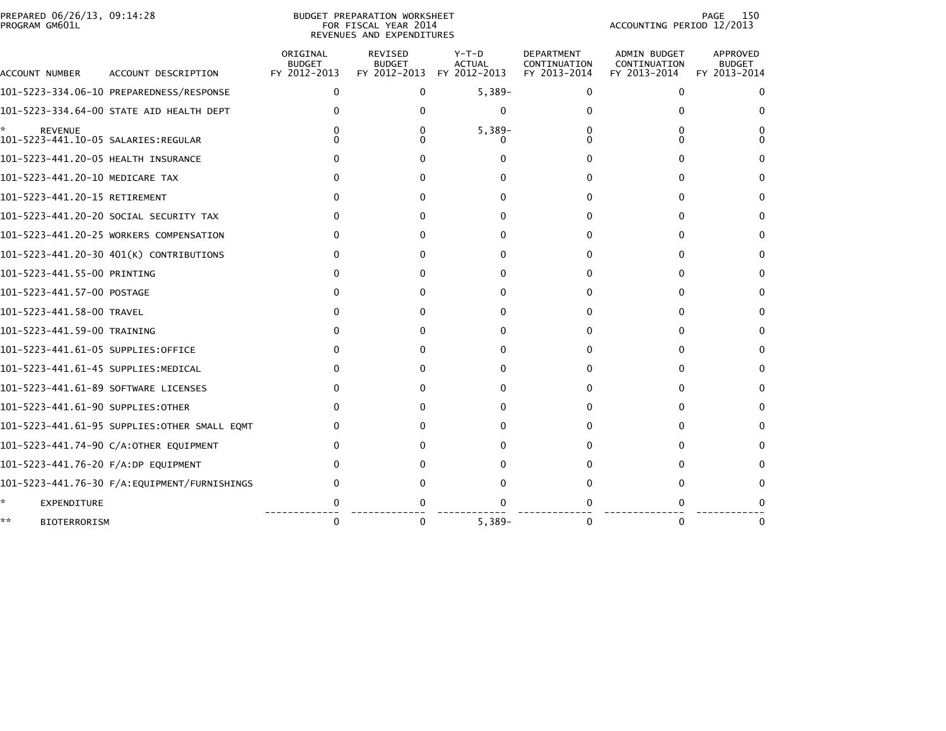| PREPARED 06/26/13, 09:14:28<br>PROGRAM GM601L               |                                              |                                           | BUDGET PREPARATION WORKSHEET<br>FOR FISCAL YEAR 2014<br>REVENUES AND EXPENDITURES |                                          | 150<br><b>PAGE</b><br>ACCOUNTING PERIOD 12/2013   |                                              |                                           |
|-------------------------------------------------------------|----------------------------------------------|-------------------------------------------|-----------------------------------------------------------------------------------|------------------------------------------|---------------------------------------------------|----------------------------------------------|-------------------------------------------|
| ACCOUNT NUMBER                                              | ACCOUNT DESCRIPTION                          | ORIGINAL<br><b>BUDGET</b><br>FY 2012-2013 | REVISED<br><b>BUDGET</b><br>FY 2012-2013                                          | $Y-T-D$<br><b>ACTUAL</b><br>FY 2012-2013 | <b>DEPARTMENT</b><br>CONTINUATION<br>FY 2013-2014 | ADMIN BUDGET<br>CONTINUATION<br>FY 2013-2014 | APPROVED<br><b>BUDGET</b><br>FY 2013-2014 |
|                                                             | 101-5223-334.06-10 PREPAREDNESS/RESPONSE     | 0                                         | $\Omega$                                                                          | $5,389-$                                 | 0                                                 | 0                                            | 0                                         |
|                                                             | 101-5223-334.64-00 STATE AID HEALTH DEPT     | 0                                         |                                                                                   | $\Omega$                                 |                                                   | O                                            | $^{(1)}$                                  |
| *.<br><b>REVENUE</b><br>101-5223-441.10-05 SALARIES:REGULAR |                                              |                                           |                                                                                   | $5,389-$                                 |                                                   |                                              |                                           |
| 101-5223-441.20-05 HEALTH INSURANCE                         |                                              | O.                                        |                                                                                   |                                          |                                                   |                                              | 0                                         |
| 101-5223-441.20-10 MEDICARE TAX                             |                                              | 0                                         |                                                                                   |                                          |                                                   |                                              | 0                                         |
| 101-5223-441.20-15 RETIREMENT                               |                                              | 0                                         |                                                                                   |                                          | $\Omega$                                          | 0                                            | 0                                         |
|                                                             | 101-5223-441.20-20 SOCIAL SECURITY TAX       |                                           |                                                                                   |                                          |                                                   |                                              | 0                                         |
|                                                             | 101-5223-441.20-25 WORKERS COMPENSATION      |                                           |                                                                                   |                                          |                                                   | O                                            | 0                                         |
|                                                             | 101-5223-441.20-30 401(K) CONTRIBUTIONS      | 0                                         |                                                                                   | 0                                        | 0                                                 | 0                                            | 0                                         |
| 101-5223-441.55-00 PRINTING                                 |                                              | 0                                         |                                                                                   |                                          | $\Omega$                                          | $\Omega$                                     | 0                                         |
| 101-5223-441.57-00 POSTAGE                                  |                                              | 0                                         |                                                                                   | 0                                        | 0                                                 | 0                                            | 0                                         |
| 101-5223-441.58-00 TRAVEL                                   |                                              | 0                                         | O                                                                                 | 0                                        | <sup>0</sup>                                      | O                                            | 0                                         |
| 101-5223-441.59-00 TRAINING                                 |                                              | 0                                         |                                                                                   |                                          | $\Omega$                                          | 0                                            | 0                                         |
| 101–5223–441.61–05 SUPPLIES:OFFICE                          |                                              |                                           |                                                                                   |                                          |                                                   | 0                                            | $^{(1)}$                                  |
| 101-5223-441.61-45 SUPPLIES:MEDICAL                         |                                              |                                           |                                                                                   |                                          |                                                   |                                              | 0                                         |
| 101-5223-441.61-89 SOFTWARE LICENSES                        |                                              | O.                                        |                                                                                   |                                          |                                                   |                                              | 0                                         |
| 101-5223-441.61-90 SUPPLIES:OTHER                           |                                              | 0                                         |                                                                                   |                                          | 0                                                 | 0                                            | 0                                         |
|                                                             | 101-5223-441.61-95 SUPPLIES:OTHER SMALL EQMT |                                           |                                                                                   |                                          |                                                   |                                              | $\Omega$                                  |
|                                                             | 101-5223-441.74-90 C/A:OTHER EQUIPMENT       |                                           |                                                                                   |                                          |                                                   |                                              | 0                                         |
| 101-5223-441.76-20 F/A:DP EQUIPMENT                         |                                              |                                           |                                                                                   |                                          |                                                   |                                              | $^{\circ}$                                |
|                                                             | 101-5223-441.76-30 F/A:EQUIPMENT/FURNISHINGS | 0                                         |                                                                                   |                                          |                                                   |                                              |                                           |
| *<br>EXPENDITURE                                            |                                              |                                           |                                                                                   |                                          |                                                   |                                              |                                           |
| **<br><b>BIOTERRORISM</b>                                   |                                              | $\mathbf{0}$                              | $\Omega$                                                                          | $5,389-$                                 | $\Omega$                                          | $\Omega$                                     | 0                                         |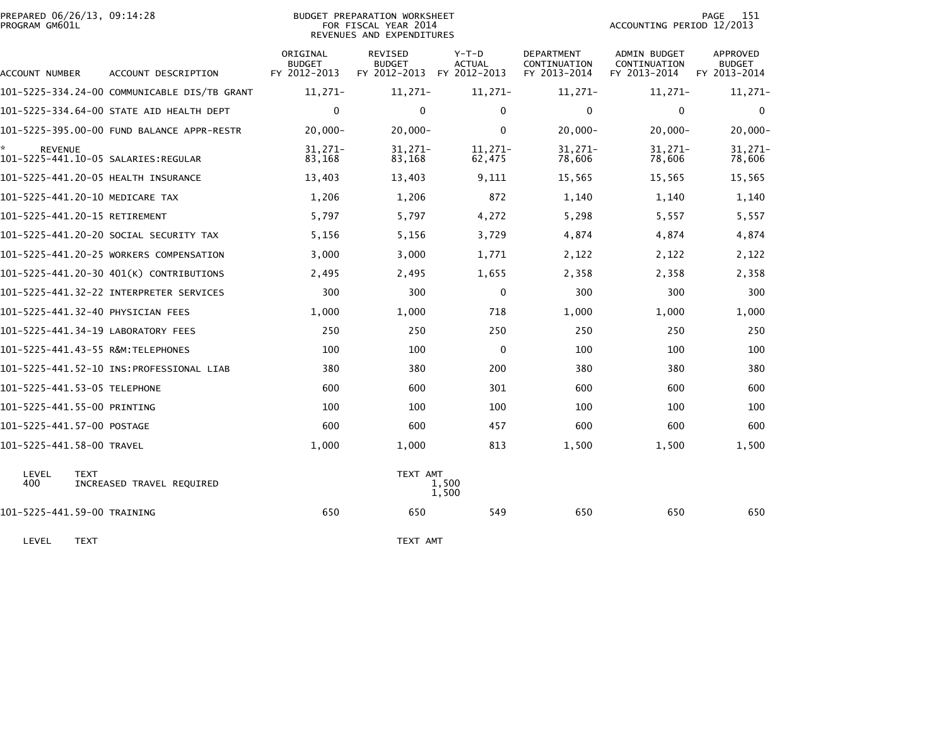| PREPARED 06/26/13, 09:14:28<br>PROGRAM GM601L |                                              |                                           | BUDGET PREPARATION WORKSHEET<br>FOR FISCAL YEAR 2014<br>REVENUES AND EXPENDITURES | 151<br>PAGE<br>ACCOUNTING PERIOD 12/2013 |                                                   |                                              |                                           |
|-----------------------------------------------|----------------------------------------------|-------------------------------------------|-----------------------------------------------------------------------------------|------------------------------------------|---------------------------------------------------|----------------------------------------------|-------------------------------------------|
| <b>ACCOUNT NUMBER</b>                         | ACCOUNT DESCRIPTION                          | ORIGINAL<br><b>BUDGET</b><br>FY 2012-2013 | <b>REVISED</b><br><b>BUDGET</b><br>FY 2012-2013 FY 2012-2013                      | Y-T-D<br><b>ACTUAL</b>                   | <b>DEPARTMENT</b><br>CONTINUATION<br>FY 2013-2014 | ADMIN BUDGET<br>CONTINUATION<br>FY 2013-2014 | APPROVED<br><b>BUDGET</b><br>FY 2013-2014 |
|                                               | 101-5225-334.24-00 COMMUNICABLE DIS/TB GRANT | $11,271-$                                 | $11,271-$                                                                         | $11,271-$                                | $11,271-$                                         | $11,271-$                                    | $11,271-$                                 |
|                                               | 101-5225-334.64-00 STATE AID HEALTH DEPT     | $\mathbf 0$                               | $\mathbf{0}$                                                                      | $\mathbf{0}$                             | $\Omega$                                          | $\Omega$                                     | $\mathbf{0}$                              |
|                                               | 101-5225-395.00-00 FUND BALANCE APPR-RESTR   | $20,000 -$                                | $20,000 -$                                                                        | $\mathbf{0}$                             | $20,000 -$                                        | $20,000 -$                                   | $20,000 -$                                |
| <b>REVENUE</b>                                |                                              | $31,271-$<br>83,168                       | $31,271-$<br>83,168                                                               | 11,271-<br>62,475                        | 31,271-<br>78,606                                 | $31,271-$<br>78,606                          | $31,271-$<br>78,606                       |
| 101-5225-441.20-05 HEALTH INSURANCE           |                                              | 13,403                                    | 13,403                                                                            | 9,111                                    | 15,565                                            | 15,565                                       | 15,565                                    |
| 101-5225-441.20-10 MEDICARE TAX               |                                              | 1,206                                     | 1,206                                                                             | 872                                      | 1,140                                             | 1,140                                        | 1,140                                     |
| 101-5225-441.20-15 RETIREMENT                 |                                              | 5,797                                     | 5,797                                                                             | 4,272                                    | 5,298                                             | 5,557                                        | 5,557                                     |
|                                               | 101–5225–441.20–20 SOCIAL SECURITY TAX       | 5,156                                     | 5,156                                                                             | 3,729                                    | 4,874                                             | 4,874                                        | 4,874                                     |
|                                               | 101-5225-441.20-25 WORKERS COMPENSATION      | 3,000                                     | 3,000                                                                             | 1,771                                    | 2,122                                             | 2,122                                        | 2,122                                     |
|                                               | 101-5225-441.20-30 401(K) CONTRIBUTIONS      | 2,495                                     | 2,495                                                                             | 1,655                                    | 2,358                                             | 2,358                                        | 2,358                                     |
|                                               |                                              | 300                                       | 300                                                                               | 0                                        | 300                                               | 300                                          | 300                                       |
| 101-5225-441.32-40 PHYSICIAN FEES             |                                              | 1,000                                     | 1,000                                                                             | 718                                      | 1,000                                             | 1,000                                        | 1,000                                     |
| 101-5225-441.34-19 LABORATORY FEES            |                                              | 250                                       | 250                                                                               | 250                                      | 250                                               | 250                                          | 250                                       |
|                                               |                                              | 100                                       | 100                                                                               | 0                                        | 100                                               | 100                                          | 100                                       |
|                                               |                                              | 380                                       | 380                                                                               | 200                                      | 380                                               | 380                                          | 380                                       |
| 101-5225-441.53-05 TELEPHONE                  |                                              | 600                                       | 600                                                                               | 301                                      | 600                                               | 600                                          | 600                                       |
| 101-5225-441.55-00 PRINTING                   |                                              | 100                                       | 100                                                                               | 100                                      | 100                                               | 100                                          | 100                                       |
| 101-5225-441.57-00 POSTAGE                    |                                              | 600                                       | 600                                                                               | 457                                      | 600                                               | 600                                          | 600                                       |
| 101-5225-441.58-00 TRAVEL                     |                                              | 1,000                                     | 1,000                                                                             | 813                                      | 1,500                                             | 1,500                                        | 1,500                                     |
| LEVEL<br><b>TEXT</b><br>400                   | INCREASED TRAVEL REQUIRED                    |                                           | TEXT AMT                                                                          | 1.500<br>1,500                           |                                                   |                                              |                                           |
| 101-5225-441.59-00 TRAINING                   |                                              | 650                                       | 650                                                                               | 549                                      | 650                                               | 650                                          | 650                                       |

LEVEL TEXT TEXT AMT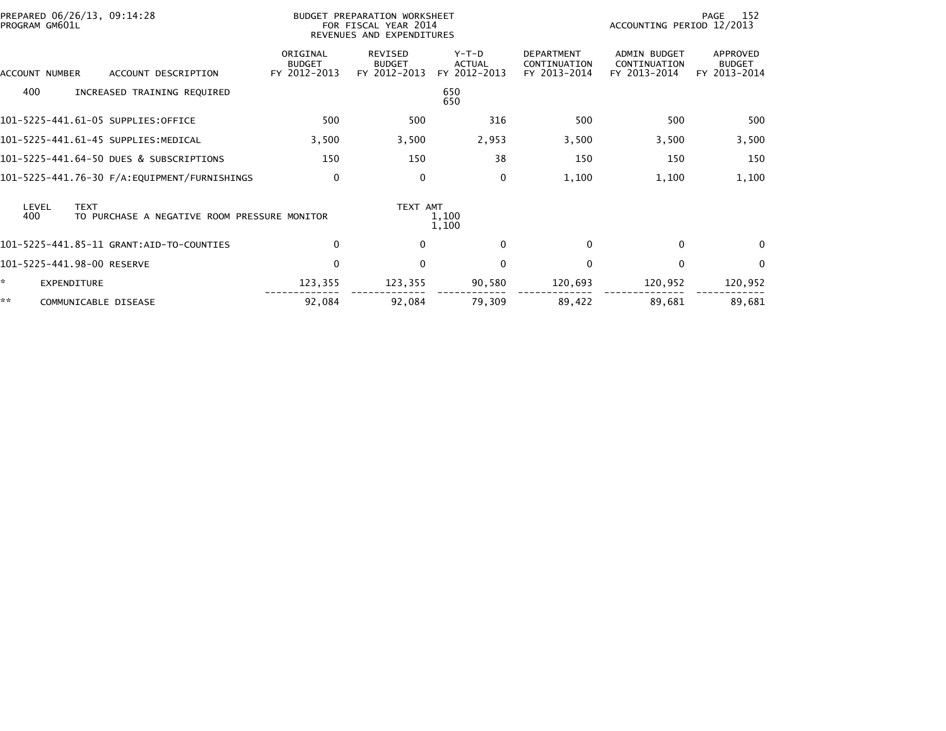| PREPARED 06/26/13, 09:14:28<br>PROGRAM GM601L                               |                                           | BUDGET PREPARATION WORKSHEET<br>FOR FISCAL YEAR 2014<br>REVENUES AND EXPENDITURES |                                          |                                                   |                                              | 152<br>PAGE<br>ACCOUNTING PERIOD 12/2013  |  |  |
|-----------------------------------------------------------------------------|-------------------------------------------|-----------------------------------------------------------------------------------|------------------------------------------|---------------------------------------------------|----------------------------------------------|-------------------------------------------|--|--|
| ACCOUNT DESCRIPTION<br>ACCOUNT NUMBER                                       | ORIGINAL<br><b>BUDGET</b><br>FY 2012-2013 | REVISED<br><b>BUDGET</b><br>FY 2012-2013                                          | $Y-T-D$<br><b>ACTUAL</b><br>FY 2012-2013 | <b>DEPARTMENT</b><br>CONTINUATION<br>FY 2013-2014 | ADMIN BUDGET<br>CONTINUATION<br>FY 2013-2014 | APPROVED<br><b>BUDGET</b><br>FY 2013-2014 |  |  |
| 400<br>INCREASED TRAINING REQUIRED                                          |                                           |                                                                                   | 650<br>650                               |                                                   |                                              |                                           |  |  |
| 101-5225-441.61-05 SUPPLIES:OFFICE                                          | 500                                       | 500                                                                               | 316                                      | 500                                               | 500                                          | 500                                       |  |  |
| 101-5225-441.61-45 SUPPLIES:MEDICAL                                         | 3,500                                     | 3,500                                                                             | 2,953                                    | 3,500                                             | 3,500                                        | 3,500                                     |  |  |
| 101-5225-441.64-50 DUES & SUBSCRIPTIONS                                     | 150                                       | 150                                                                               | 38                                       | 150                                               | 150                                          | 150                                       |  |  |
|                                                                             | 0                                         | $\mathbf{0}$                                                                      | 0                                        | 1,100                                             | 1,100                                        | 1,100                                     |  |  |
| <b>TEXT</b><br>LEVEL<br>400<br>TO PURCHASE A NEGATIVE ROOM PRESSURE MONITOR |                                           | TEXT AMT                                                                          | 1,100<br>1,100                           |                                                   |                                              |                                           |  |  |
|                                                                             | 0                                         | $\mathbf{0}$                                                                      | $\Omega$                                 | $\Omega$                                          | $\Omega$                                     | $\Omega$                                  |  |  |
| 101-5225-441.98-00 RESERVE                                                  | $\mathbf 0$                               | $\mathbf{0}$                                                                      | $\Omega$                                 | $\Omega$                                          | $\Omega$                                     | $\mathbf{0}$                              |  |  |
| ×.<br>EXPENDITURE                                                           | 123,355                                   | 123,355                                                                           | 90,580                                   | 120,693                                           | 120,952                                      | 120,952                                   |  |  |
| **<br>COMMUNICABLE DISEASE                                                  | 92,084                                    | 92,084                                                                            | 79,309                                   | 89,422                                            | 89,681                                       | 89,681                                    |  |  |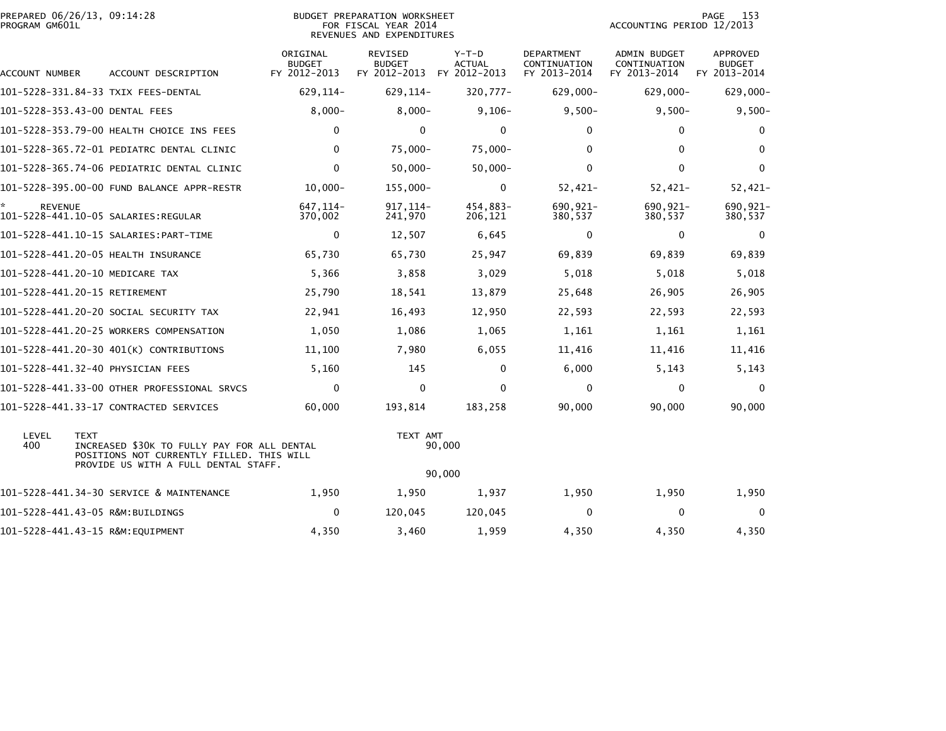| PREPARED 06/26/13, 09:14:28<br>PROGRAM GM601L |                                            | BUDGET PREPARATION WORKSHEET<br>FOR FISCAL YEAR 2014<br>REVENUES AND EXPENDITURES | ACCOUNTING PERIOD 12/2013                | - 153<br>PAGE                          |                                                   |                                                     |                                           |
|-----------------------------------------------|--------------------------------------------|-----------------------------------------------------------------------------------|------------------------------------------|----------------------------------------|---------------------------------------------------|-----------------------------------------------------|-------------------------------------------|
| ACCOUNT NUMBER                                | ACCOUNT DESCRIPTION                        | ORIGINAL<br><b>BUDGET</b><br>FY 2012-2013                                         | REVISED<br><b>BUDGET</b><br>FY 2012-2013 | Y-T-D<br><b>ACTUAL</b><br>FY 2012-2013 | <b>DEPARTMENT</b><br>CONTINUATION<br>FY 2013-2014 | <b>ADMIN BUDGET</b><br>CONTINUATION<br>FY 2013-2014 | APPROVED<br><b>BUDGET</b><br>FY 2013-2014 |
| 101-5228-331.84-33 TXIX FEES-DENTAL           |                                            | 629,114-                                                                          | 629,114-                                 | 320,777-                               | 629,000-                                          | 629,000-                                            | 629,000                                   |
| 101-5228-353.43-00 DENTAL FEES                |                                            | $8,000 -$                                                                         | $8,000-$                                 | $9,106-$                               | $9,500-$                                          | $9,500-$                                            | 9,500                                     |
|                                               | 101-5228-353.79-00 HEALTH CHOICE INS FEES  | $\mathbf{0}$                                                                      | 0                                        | $\bf{0}$                               | $\Omega$                                          |                                                     | 0                                         |
|                                               | 101-5228-365.72-01 PEDIATRC DENTAL CLINIC  | 0                                                                                 | 75.000-                                  | 75.000-                                | 0                                                 | 0                                                   | 0                                         |
|                                               | 101-5228-365.74-06 PEDIATRIC DENTAL CLINIC | 0                                                                                 | $50.000 -$                               | $50.000 -$                             | $\Omega$                                          |                                                     | 0                                         |
|                                               | 101-5228-395.00-00 FUND BALANCE APPR-RESTR | $10,000 -$                                                                        | 155,000-                                 | $\bf{0}$                               | 52,421-                                           | $52,421-$                                           | 52,421                                    |

| ATION WORKSHEET |                           | PAGE 153 |
|-----------------|---------------------------|----------|
| AL YEAR 2014    | ACCOUNTING PERIOD 12/2013 |          |
| ND FXPFNDTTURFS |                           |          |

|                | 101-5228-331.84-33 TXIX FEES-DENTAL                                                                                                             | 629, 114-            | 629, 114-               | 320,777-            | $629,000 -$         | $629.000 -$         | 629,000-            |
|----------------|-------------------------------------------------------------------------------------------------------------------------------------------------|----------------------|-------------------------|---------------------|---------------------|---------------------|---------------------|
|                | 101-5228-353.43-00 DENTAL FEES                                                                                                                  | $8,000 -$            | $8,000 -$               | $9,106-$            | $9,500-$            | $9,500-$            | $9,500-$            |
|                | 101-5228-353.79-00 HEALTH CHOICE INS FEES                                                                                                       | $\Omega$             | $\Omega$                | $\mathbf{0}$        | $\mathbf{0}$        | $\mathbf{0}$        | 0                   |
|                | 101-5228-365.72-01 PEDIATRC DENTAL CLINIC                                                                                                       | 0                    | $75,000 -$              | $75,000 -$          | $\mathbf{0}$        | $\mathbf{0}$        | 0                   |
|                | 101-5228-365.74-06 PEDIATRIC DENTAL CLINIC                                                                                                      | $\Omega$             | $50,000 -$              | $50,000 -$          | $\mathbf{0}$        | $\mathbf{0}$        | $\mathbf 0$         |
|                | 101-5228-395.00-00 FUND BALANCE APPR-RESTR                                                                                                      | $10,000 -$           | 155,000-                | $\mathbf 0$         | $52,421-$           | $52,421-$           | 52,421-             |
| <b>REVENUE</b> |                                                                                                                                                 | 647, 114-<br>370,002 | $917, 114 -$<br>241,970 | 454,883-<br>206,121 | 690,921-<br>380,537 | 690,921-<br>380,537 | 690,921-<br>380,537 |
|                | 101-5228-441.10-15 SALARIES: PART-TIME                                                                                                          | $\mathbf 0$          | 12,507                  | 6,645               | $\mathbf 0$         | $\mathbf 0$         | 0                   |
|                | 101-5228-441.20-05 HEALTH INSURANCE                                                                                                             | 65,730               | 65,730                  | 25,947              | 69,839              | 69,839              | 69,839              |
|                | 101-5228-441.20-10 MEDICARE TAX                                                                                                                 | 5,366                | 3,858                   | 3,029               | 5,018               | 5,018               | 5,018               |
|                | 101-5228-441.20-15 RETIREMENT                                                                                                                   | 25,790               | 18,541                  | 13,879              | 25,648              | 26,905              | 26,905              |
|                | 101-5228-441.20-20 SOCIAL SECURITY TAX                                                                                                          | 22,941               | 16,493                  | 12,950              | 22,593              | 22,593              | 22,593              |
|                | 101-5228-441.20-25 WORKERS COMPENSATION                                                                                                         | 1,050                | 1,086                   | 1,065               | 1,161               | 1,161               | 1,161               |
|                | 101-5228-441.20-30 401(K) CONTRIBUTIONS                                                                                                         | 11,100               | 7,980                   | 6,055               | 11,416              | 11,416              | 11,416              |
|                | 101-5228-441.32-40 PHYSICIAN FEES                                                                                                               | 5,160                | 145                     | $\Omega$            | 6,000               | 5,143               | 5,143               |
|                | 101-5228-441.33-00 OTHER PROFESSIONAL SRVCS                                                                                                     | $\Omega$             | $\mathbf{0}$            | $\mathbf{0}$        | $\mathbf{0}$        | $\mathbf{0}$        | $\mathbf{0}$        |
|                | 101-5228-441.33-17 CONTRACTED SERVICES                                                                                                          | 60,000               | 193.814                 | 183,258             | 90,000              | 90,000              | 90,000              |
| LEVEL<br>400   | <b>TEXT</b><br>INCREASED \$30K TO FULLY PAY FOR ALL DENTAL<br>POSITIONS NOT CURRENTLY FILLED. THIS WILL<br>PROVIDE US WITH A FULL DENTAL STAFF. |                      | TEXT AMT                | 90,000              |                     |                     |                     |
|                |                                                                                                                                                 |                      |                         | 90,000              |                     |                     |                     |
|                | 101-5228-441.34-30 SERVICE & MAINTENANCE                                                                                                        | 1,950                | 1,950                   | 1,937               | 1,950               | 1,950               | 1,950               |
|                | 101-5228-441.43-05 R&M:BUILDINGS                                                                                                                | $\mathbf 0$          | 120.045                 | 120,045             | $\Omega$            | 0                   | 0                   |
|                | 101-5228-441.43-15 R&M:EOUIPMENT                                                                                                                | 4,350                | 3,460                   | 1,959               | 4,350               | 4,350               | 4,350               |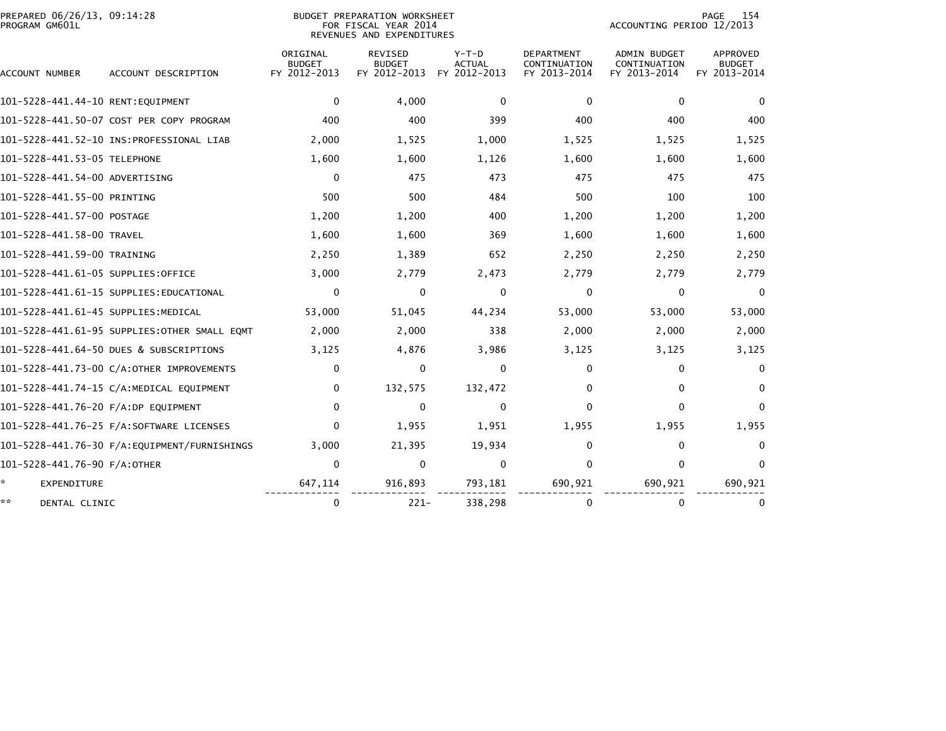| PREPARED 06/26/13, 09:14:28<br>PROGRAM GM601L |                                              |                                           | <b>BUDGET PREPARATION WORKSHEET</b><br>FOR FISCAL YEAR 2014<br>REVENUES AND EXPENDITURES |                                          | 154<br>PAGE<br>ACCOUNTING PERIOD 12/2013          |                                              |                                                  |
|-----------------------------------------------|----------------------------------------------|-------------------------------------------|------------------------------------------------------------------------------------------|------------------------------------------|---------------------------------------------------|----------------------------------------------|--------------------------------------------------|
| ACCOUNT NUMBER                                | ACCOUNT DESCRIPTION                          | ORIGINAL<br><b>BUDGET</b><br>FY 2012-2013 | <b>REVISED</b><br><b>BUDGET</b><br>FY 2012-2013                                          | $Y-T-D$<br><b>ACTUAL</b><br>FY 2012-2013 | <b>DEPARTMENT</b><br>CONTINUATION<br>FY 2013-2014 | ADMIN BUDGET<br>CONTINUATION<br>FY 2013-2014 | <b>APPROVED</b><br><b>BUDGET</b><br>FY 2013-2014 |
| 101-5228-441.44-10 RENT:EQUIPMENT             |                                              | 0                                         | 4,000                                                                                    | $\mathbf{0}$                             | $\Omega$                                          | $\mathbf{0}$                                 | $\Omega$                                         |
|                                               | 101-5228-441.50-07 COST PER COPY PROGRAM     | 400                                       | 400                                                                                      | 399                                      | 400                                               | 400                                          | 400                                              |
|                                               |                                              | 2,000                                     | 1,525                                                                                    | 1,000                                    | 1,525                                             | 1,525                                        | 1,525                                            |
| 101-5228-441.53-05 TELEPHONE                  |                                              | 1,600                                     | 1,600                                                                                    | 1,126                                    | 1,600                                             | 1,600                                        | 1,600                                            |
| 101–5228–441.54–00 ADVERTISING                |                                              | 0                                         | 475                                                                                      | 473                                      | 475                                               | 475                                          | 475                                              |
| 101-5228-441.55-00 PRINTING                   |                                              | 500                                       | 500                                                                                      | 484                                      | 500                                               | 100                                          | 100                                              |
| 101–5228–441.57–00 POSTAGE                    |                                              | 1,200                                     | 1,200                                                                                    | 400                                      | 1,200                                             | 1,200                                        | 1,200                                            |
| 101-5228-441.58-00 TRAVEL                     |                                              | 1,600                                     | 1,600                                                                                    | 369                                      | 1,600                                             | 1,600                                        | 1,600                                            |
| 101-5228-441.59-00 TRAINING                   |                                              | 2,250                                     | 1,389                                                                                    | 652                                      | 2,250                                             | 2,250                                        | 2,250                                            |
| 101-5228-441.61-05 SUPPLIES:OFFICE            |                                              | 3,000                                     | 2,779                                                                                    | 2,473                                    | 2,779                                             | 2,779                                        | 2,779                                            |
|                                               | 101-5228-441.61-15 SUPPLIES:EDUCATIONAL      | 0                                         | $\mathbf{0}$                                                                             | 0                                        | $\mathbf{0}$                                      | 0                                            | $\Omega$                                         |
| 101-5228-441.61-45 SUPPLIES:MEDICAL           |                                              | 53,000                                    | 51,045                                                                                   | 44,234                                   | 53,000                                            | 53,000                                       | 53,000                                           |
|                                               | 101-5228-441.61-95 SUPPLIES:OTHER SMALL EQMT | 2,000                                     | 2,000                                                                                    | 338                                      | 2,000                                             | 2,000                                        | 2,000                                            |
|                                               | 101-5228-441.64-50 DUES & SUBSCRIPTIONS      | 3,125                                     | 4,876                                                                                    | 3,986                                    | 3,125                                             | 3,125                                        | 3,125                                            |
|                                               | 101-5228-441.73-00 C/A:OTHER IMPROVEMENTS    | 0                                         | 0                                                                                        | $\Omega$                                 | 0                                                 | 0                                            | 0                                                |
|                                               | 101-5228-441.74-15 C/A:MEDICAL EQUIPMENT     | $\mathbf{0}$                              | 132,575                                                                                  | 132,472                                  | $\Omega$                                          | $\Omega$                                     | $\bf{0}$                                         |
| 101-5228-441.76-20 F/A:DP EQUIPMENT           |                                              | $\Omega$                                  | $\mathbf{0}$                                                                             | $\Omega$                                 | 0                                                 | 0                                            | $\Omega$                                         |
|                                               | 101-5228-441.76-25 F/A:SOFTWARE LICENSES     | $\mathbf{0}$                              | 1,955                                                                                    | 1,951                                    | 1,955                                             | 1,955                                        | 1,955                                            |
|                                               |                                              | 3,000                                     | 21,395                                                                                   | 19,934                                   | 0                                                 | 0                                            | $\Omega$                                         |
| 101-5228-441.76-90 F/A:OTHER                  |                                              | $\Omega$                                  | $\Omega$                                                                                 | $\Omega$                                 | $\Omega$                                          | $\Omega$                                     | $\Omega$                                         |
| *<br><b>EXPENDITURE</b>                       |                                              | 647,114                                   | 916,893                                                                                  | 793,181                                  | 690,921                                           | 690,921                                      | 690,921                                          |
| **<br>DENTAL CLINIC                           |                                              | 0                                         | $221-$                                                                                   | 338,298                                  | $\Omega$                                          | $\bf{0}$                                     | $\bf{0}$                                         |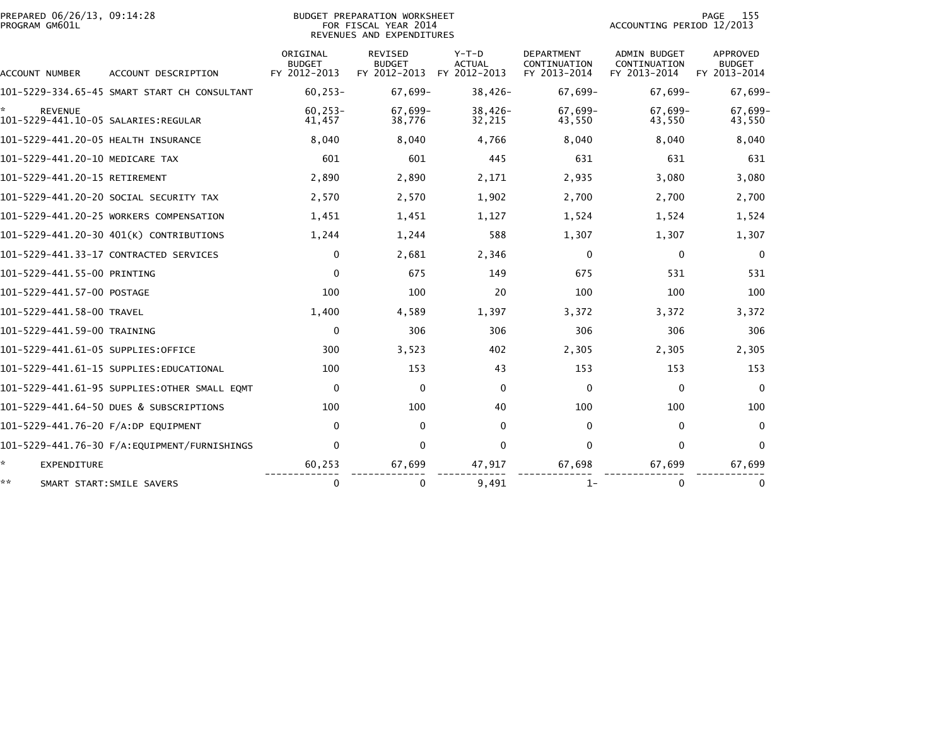| PREPARED 06/26/13, 09:14:28<br>PROGRAM GM601L |                                              |                                           | BUDGET PREPARATION WORKSHEET<br>FOR FISCAL YEAR 2014<br>REVENUES AND EXPENDITURES |                                          | PAGE<br>155<br>ACCOUNTING PERIOD 12/2013          |                                                     |                                                  |  |
|-----------------------------------------------|----------------------------------------------|-------------------------------------------|-----------------------------------------------------------------------------------|------------------------------------------|---------------------------------------------------|-----------------------------------------------------|--------------------------------------------------|--|
| ACCOUNT NUMBER                                | ACCOUNT DESCRIPTION                          | ORIGINAL<br><b>BUDGET</b><br>FY 2012-2013 | <b>REVISED</b><br><b>BUDGET</b><br>FY 2012-2013                                   | $Y-T-D$<br><b>ACTUAL</b><br>FY 2012-2013 | <b>DEPARTMENT</b><br>CONTINUATION<br>FY 2013-2014 | <b>ADMIN BUDGET</b><br>CONTINUATION<br>FY 2013-2014 | <b>APPROVED</b><br><b>BUDGET</b><br>FY 2013-2014 |  |
|                                               | 101-5229-334.65-45 SMART START CH CONSULTANT | $60.253 -$                                | $67.699 -$                                                                        | $38.426 -$                               | $67.699 -$                                        | $67.699 -$                                          | $67,699-$                                        |  |
| <b>REVENUE</b>                                |                                              | $60.253 -$<br>41,457                      | 67,699-<br>38,776                                                                 | $38,426-$<br>32,215                      | 67,699-<br>43,550                                 | 67.699-<br>43,550                                   | $67.699 -$<br>43,550                             |  |
| 101-5229-441.20-05 HEALTH INSURANCE           |                                              | 8,040                                     | 8,040                                                                             | 4,766                                    | 8,040                                             | 8,040                                               | 8,040                                            |  |
| 101-5229-441.20-10 MEDICARE TAX               |                                              | 601                                       | 601                                                                               | 445                                      | 631                                               | 631                                                 | 631                                              |  |
| 101-5229-441.20-15 RETIREMENT                 |                                              | 2,890                                     | 2,890                                                                             | 2,171                                    | 2,935                                             | 3,080                                               | 3,080                                            |  |
| 101-5229-441.20-20 SOCIAL SECURITY TAX        |                                              | 2,570                                     | 2,570                                                                             | 1,902                                    | 2,700                                             | 2,700                                               | 2,700                                            |  |
|                                               | 101-5229-441.20-25 WORKERS COMPENSATION      | 1,451                                     | 1,451                                                                             | 1,127                                    | 1,524                                             | 1,524                                               | 1,524                                            |  |
|                                               | 101-5229-441.20-30 401(K) CONTRIBUTIONS      | 1,244                                     | 1,244                                                                             | 588                                      | 1,307                                             | 1,307                                               | 1,307                                            |  |
| 101-5229-441.33-17 CONTRACTED SERVICES        |                                              | 0                                         | 2,681                                                                             | 2,346                                    | $\mathbf{0}$                                      | $\Omega$                                            | $\Omega$                                         |  |
| 101-5229-441.55-00 PRINTING                   |                                              | $\mathbf 0$                               | 675                                                                               | 149                                      | 675                                               | 531                                                 | 531                                              |  |
| 101-5229-441.57-00 POSTAGE                    |                                              | 100                                       | 100                                                                               | 20                                       | 100                                               | 100                                                 | 100                                              |  |
| 101-5229-441.58-00 TRAVEL                     |                                              | 1,400                                     | 4,589                                                                             | 1,397                                    | 3,372                                             | 3,372                                               | 3,372                                            |  |
| 101-5229-441.59-00 TRAINING                   |                                              | $\mathbf 0$                               | 306                                                                               | 306                                      | 306                                               | 306                                                 | 306                                              |  |
| 101-5229-441.61-05 SUPPLIES:OFFICE            |                                              | 300                                       | 3,523                                                                             | 402                                      | 2,305                                             | 2,305                                               | 2,305                                            |  |
|                                               | 101-5229-441.61-15 SUPPLIES:EDUCATIONAL      | 100                                       | 153                                                                               | 43                                       | 153                                               | 153                                                 | 153                                              |  |
|                                               | 101–5229–441.61–95 SUPPLIES:OTHER SMALL EOMT | $\Omega$                                  | $\mathbf{0}$                                                                      | $\Omega$                                 | $\mathbf{0}$                                      | $\Omega$                                            | $\Omega$                                         |  |
|                                               | 101-5229-441.64-50 DUES & SUBSCRIPTIONS      | 100                                       | 100                                                                               | 40                                       | 100                                               | 100                                                 | 100                                              |  |
| 101-5229-441.76-20 F/A:DP EQUIPMENT           |                                              | 0                                         | $\mathbf{0}$                                                                      | $\Omega$                                 | $\mathbf{0}$                                      | $\mathbf{0}$                                        | $\mathbf{0}$                                     |  |
|                                               | 101-5229-441.76-30 F/A:EQUIPMENT/FURNISHINGS | $\Omega$                                  | $\mathbf{0}$                                                                      | $\Omega$                                 | $\Omega$                                          | 0                                                   | $\Omega$                                         |  |
| ×.<br>EXPENDITURE                             |                                              | 60,253                                    | 67,699                                                                            | 47,917                                   | 67,698                                            | 67,699                                              | 67,699                                           |  |
| **<br>SMART START: SMILE SAVERS               |                                              | 0                                         | 0                                                                                 | 9,491                                    | $1-$                                              | 0                                                   | 0                                                |  |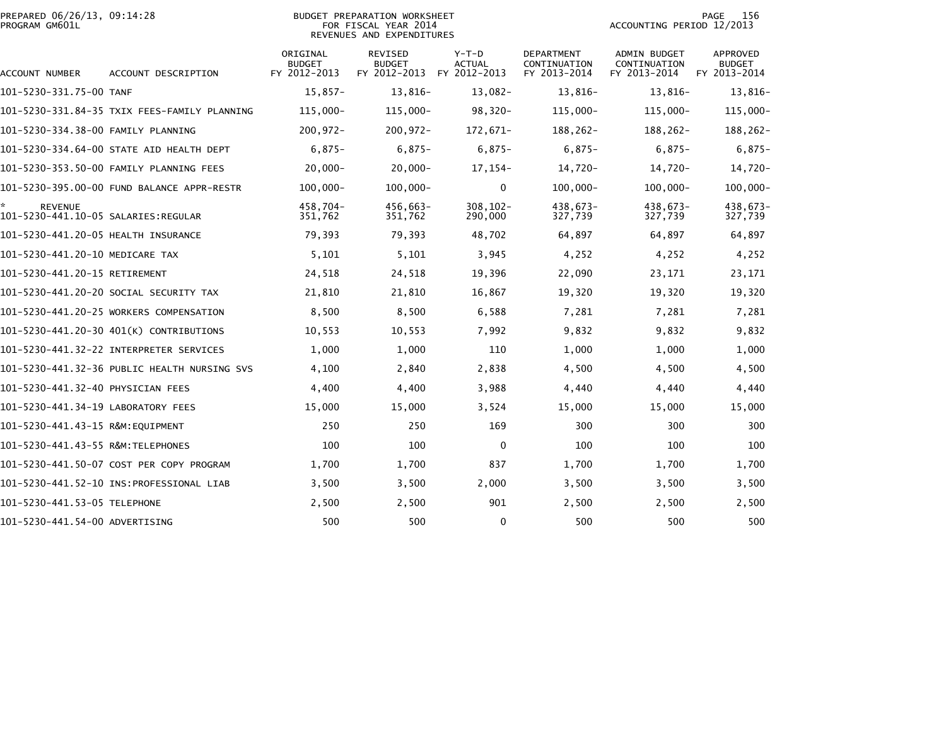| PREPARED 06/26/13, 09:14:28 | BUDGET PREPARATION WORKSHEET | 15<br>PAGE                |
|-----------------------------|------------------------------|---------------------------|
| PROGRAM GM601L              | FOR FISCAL YEAR 2014         | ACCOUNTING PERIOD 12/2013 |

## BUDGET PREPARATION WORKSHEET<br>FOR FISCAL YEAR 2014 REVENUES AND EXPENDITURES

| <b>ACCOUNT NUMBER</b>                                 | ACCOUNT DESCRIPTION                          | ORIGINAL<br><b>BUDGET</b><br>FY 2012-2013 | <b>REVISED</b><br><b>BUDGET</b><br>FY 2012-2013 | $Y-T-D$<br>ACTUAL<br>FY 2012-2013 | <b>DEPARTMENT</b><br>CONTINUATION<br>FY 2013-2014 | <b>ADMIN BUDGET</b><br>CONTINUATION<br>FY 2013-2014 | <b>APPROVED</b><br>BUDGET<br>FY 2013-2014 |
|-------------------------------------------------------|----------------------------------------------|-------------------------------------------|-------------------------------------------------|-----------------------------------|---------------------------------------------------|-----------------------------------------------------|-------------------------------------------|
| 101-5230-331.75-00 TANF                               |                                              | $15,857-$                                 | 13,816-                                         | $13,082-$                         | 13,816-                                           | 13,816-                                             | 13,816-                                   |
|                                                       | 101-5230-331.84-35 TXIX FEES-FAMILY PLANNING | $115,000 -$                               | $115,000 -$                                     | $98,320-$                         | $115,000 -$                                       | $115,000 -$                                         | $115,000 -$                               |
| 101-5230-334.38-00 FAMILY PLANNING                    |                                              | $200, 972 -$                              | $200, 972 -$                                    | 172,671-                          | 188,262-                                          | 188,262-                                            | 188,262-                                  |
|                                                       | 101-5230-334.64-00 STATE AID HEALTH DEPT     | $6,875-$                                  | $6,875-$                                        | $6,875-$                          | $6,875-$                                          | $6,875-$                                            | $6,875-$                                  |
|                                                       |                                              | $20,000 -$                                | $20,000 -$                                      | 17,154-                           | 14.720-                                           | 14,720-                                             | 14,720-                                   |
|                                                       | 101-5230-395.00-00 FUND BALANCE APPR-RESTR   | $100,000 -$                               | $100,000 -$                                     | $\mathbf 0$                       | $100,000 -$                                       | $100,000 -$                                         | $100,000 -$                               |
| <b>REVENUE</b><br>101-5230-441.10-05 SALARIES:REGULAR |                                              | 458.704-<br>351,762                       | 456,663-<br>351,762                             | $308, 102 -$<br>290,000           | 438,673-<br>327,739                               | $438.673-$<br>327,739                               | 438,673-<br>327,739                       |
| 101-5230-441.20-05 HEALTH INSURANCE                   |                                              | 79,393                                    | 79,393                                          | 48,702                            | 64,897                                            | 64,897                                              | 64,897                                    |
| 101-5230-441.20-10 MEDICARE TAX                       |                                              | 5,101                                     | 5,101                                           | 3,945                             | 4,252                                             | 4,252                                               | 4,252                                     |
| 101-5230-441.20-15 RETIREMENT                         |                                              | 24,518                                    | 24,518                                          | 19,396                            | 22,090                                            | 23,171                                              | 23,171                                    |
|                                                       | 101-5230-441.20-20 SOCIAL SECURITY TAX       | 21,810                                    | 21,810                                          | 16,867                            | 19,320                                            | 19,320                                              | 19,320                                    |
|                                                       | 101-5230-441.20-25 WORKERS COMPENSATION      | 8,500                                     | 8,500                                           | 6,588                             | 7,281                                             | 7,281                                               | 7,281                                     |
|                                                       | 101-5230-441.20-30 401(K) CONTRIBUTIONS      | 10,553                                    | 10,553                                          | 7,992                             | 9,832                                             | 9,832                                               | 9,832                                     |
|                                                       | 101-5230-441.32-22 INTERPRETER SERVICES      | 1,000                                     | 1,000                                           | 110                               | 1,000                                             | 1,000                                               | 1,000                                     |
|                                                       | 101-5230-441.32-36 PUBLIC HEALTH NURSING SVS | 4,100                                     | 2,840                                           | 2,838                             | 4,500                                             | 4,500                                               | 4,500                                     |
| 101-5230-441.32-40 PHYSICIAN FEES                     |                                              | 4,400                                     | 4,400                                           | 3,988                             | 4,440                                             | 4,440                                               | 4,440                                     |
| 101-5230-441.34-19 LABORATORY FEES                    |                                              | 15,000                                    | 15,000                                          | 3,524                             | 15,000                                            | 15,000                                              | 15,000                                    |
| 101-5230-441.43-15 R&M:EQUIPMENT                      |                                              | 250                                       | 250                                             | 169                               | 300                                               | 300                                                 | 300                                       |
| 101-5230-441.43-55 R&M:TELEPHONES                     |                                              | 100                                       | 100                                             | $\mathbf 0$                       | 100                                               | 100                                                 | 100                                       |
|                                                       | 101-5230-441.50-07 COST PER COPY PROGRAM     | 1,700                                     | 1,700                                           | 837                               | 1,700                                             | 1,700                                               | 1,700                                     |
|                                                       | 101-5230-441.52-10 INS: PROFESSIONAL LIAB    | 3,500                                     | 3,500                                           | 2,000                             | 3,500                                             | 3,500                                               | 3,500                                     |
| 101-5230-441.53-05 TELEPHONE                          |                                              | 2,500                                     | 2,500                                           | 901                               | 2,500                                             | 2,500                                               | 2,500                                     |
| 101-5230-441.54-00 ADVERTISING                        |                                              | 500                                       | 500                                             | $\mathbf{0}$                      | 500                                               | 500                                                 | 500                                       |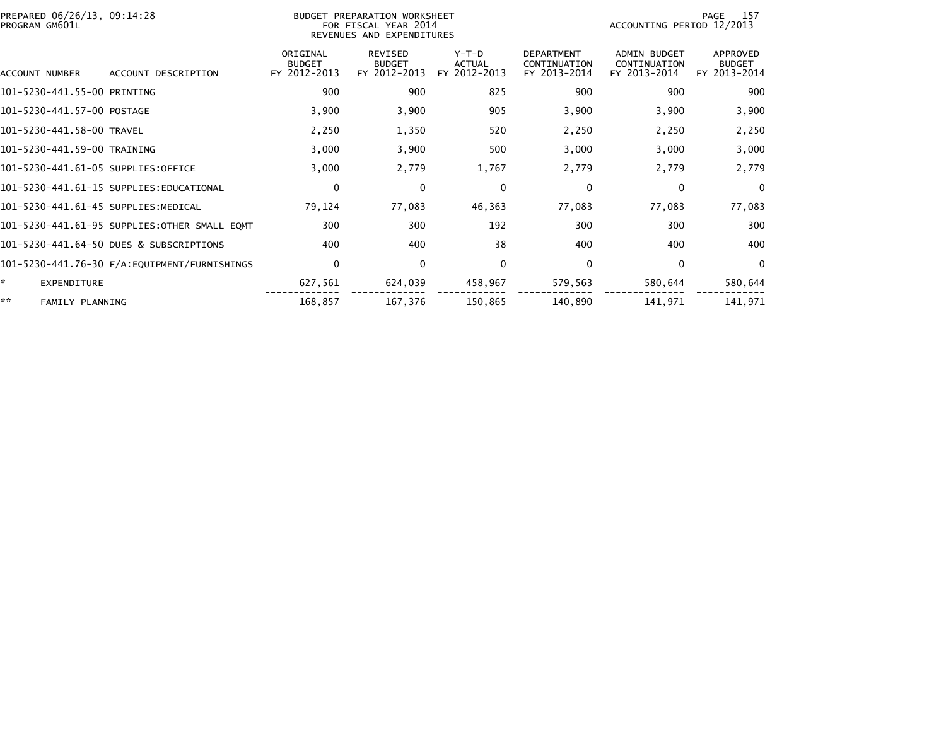| PREPARED 06/26/13, 09:14:28<br>PROGRAM GM601L |                                              |                                           | BUDGET PREPARATION WORKSHEET<br>FOR FISCAL YEAR 2014<br>REVENUES AND EXPENDITURES |                                          | 157<br>PAGE<br>ACCOUNTING PERIOD 12/2013          |                                                     |                                           |
|-----------------------------------------------|----------------------------------------------|-------------------------------------------|-----------------------------------------------------------------------------------|------------------------------------------|---------------------------------------------------|-----------------------------------------------------|-------------------------------------------|
| ACCOUNT NUMBER                                | ACCOUNT DESCRIPTION                          | ORIGINAL<br><b>BUDGET</b><br>FY 2012-2013 | REVISED<br><b>BUDGET</b><br>FY 2012-2013                                          | $Y-T-D$<br><b>ACTUAL</b><br>FY 2012-2013 | <b>DEPARTMENT</b><br>CONTINUATION<br>FY 2013-2014 | <b>ADMIN BUDGET</b><br>CONTINUATION<br>FY 2013-2014 | APPROVED<br><b>BUDGET</b><br>FY 2013-2014 |
| 101-5230-441.55-00 PRINTING                   |                                              | 900                                       | 900                                                                               | 825                                      | 900                                               | 900                                                 | 900                                       |
| 101-5230-441.57-00 POSTAGE                    |                                              | 3,900                                     | 3,900                                                                             | 905                                      | 3,900                                             | 3,900                                               | 3,900                                     |
| 101-5230-441.58-00 TRAVEL                     |                                              | 2,250                                     | 1,350                                                                             | 520                                      | 2,250                                             | 2,250                                               | 2,250                                     |
| 101-5230-441.59-00 TRAINING                   |                                              | 3,000                                     | 3,900                                                                             | 500                                      | 3,000                                             | 3,000                                               | 3,000                                     |
| 101-5230-441.61-05 SUPPLIES:OFFICE            |                                              | 3,000                                     | 2,779                                                                             | 1,767                                    | 2,779                                             | 2,779                                               | 2,779                                     |
|                                               | 101-5230-441.61-15 SUPPLIES:EDUCATIONAL      | $\mathbf 0$                               | $\mathbf{0}$                                                                      | $\mathbf 0$                              | 0                                                 | 0                                                   | $\overline{0}$                            |
| 101-5230-441.61-45 SUPPLIES:MEDICAL           |                                              | 79,124                                    | 77,083                                                                            | 46,363                                   | 77,083                                            | 77,083                                              | 77,083                                    |
|                                               | 101-5230-441.61-95 SUPPLIES:OTHER SMALL EQMT | 300                                       | 300                                                                               | 192                                      | 300                                               | 300                                                 | 300                                       |
|                                               | 101-5230-441.64-50 DUES & SUBSCRIPTIONS      | 400                                       | 400                                                                               | 38                                       | 400                                               | 400                                                 | 400                                       |
|                                               |                                              | $\mathbf 0$                               | 0                                                                                 | $\mathbf 0$                              | 0                                                 | 0                                                   | $\overline{0}$                            |
| *<br>EXPENDITURE                              |                                              | 627,561                                   | 624,039                                                                           | 458,967                                  | 579,563                                           | 580,644                                             | 580,644                                   |
| **<br>FAMILY PLANNING                         |                                              | 168,857                                   | 167,376                                                                           | 150,865                                  | 140,890                                           | 141,971                                             | 141,971                                   |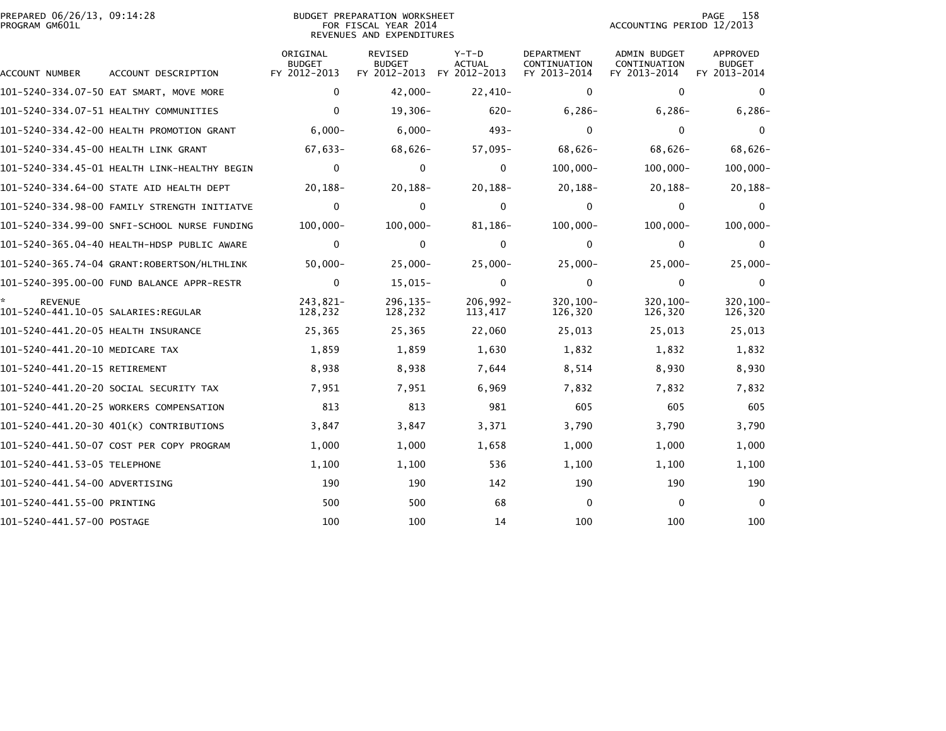|                | PREPARED 06/26/13, 09:14:28 |  |
|----------------|-----------------------------|--|
| PROGRAM GM601L |                             |  |

## BUDGET PREPARATION WORKSHEET<br>FOR FISCAL YEAR 2014 PROGRAM GM601L FOR FISCAL YEAR 2014 ACCOUNTING PERIOD 12/2013REVENUES AND EXPENDITURES

|                                                       |                                              | ORIGINAL<br><b>BUDGET</b> | <b>REVISED</b><br>BUDGET | $Y-T-D$<br><b>ACTUAL</b> | <b>DEPARTMENT</b><br>CONTINUATION | <b>ADMIN BUDGET</b><br>CONTINUATION | <b>APPROVED</b><br><b>BUDGET</b> |
|-------------------------------------------------------|----------------------------------------------|---------------------------|--------------------------|--------------------------|-----------------------------------|-------------------------------------|----------------------------------|
| <b>ACCOUNT NUMBER</b>                                 | ACCOUNT DESCRIPTION                          | FY 2012-2013              | FY 2012-2013             | FY 2012-2013             | FY 2013-2014                      | FY 2013-2014                        | FY 2013-2014                     |
|                                                       | 101-5240-334.07-50 EAT SMART, MOVE MORE      | $\mathbf{0}$              | $42,000 -$               | 22,410-                  | $\Omega$                          | $\mathbf{0}$                        | $\mathbf{0}$                     |
|                                                       | 101-5240-334.07-51 HEALTHY COMMUNITIES       | $\Omega$                  | 19,306-                  | $620 -$                  | $6, 286 -$                        | $6,286-$                            | $6, 286 -$                       |
|                                                       | 101-5240-334.42-00 HEALTH PROMOTION GRANT    | $6,000 -$                 | $6,000 -$                | $493 -$                  | $\Omega$                          | $\mathbf{0}$                        | 0                                |
| 101-5240-334.45-00 HEALTH LINK GRANT                  |                                              | $67,633-$                 | $68,626-$                | $57,095-$                | $68,626-$                         | 68,626-                             | $68,626-$                        |
|                                                       | 101-5240-334.45-01 HEALTH LINK-HEALTHY BEGIN | $\mathbf 0$               | 0                        | 0                        | $100,000 -$                       | $100.000 -$                         | $100,000 -$                      |
|                                                       | 101-5240-334.64-00 STATE AID HEALTH DEPT     | $20, 188 -$               | $20, 188 -$              | $20, 188 -$              | $20, 188 -$                       | 20,188-                             | 20,188-                          |
|                                                       | 101-5240-334.98-00 FAMILY STRENGTH INITIATVE | $\mathbf 0$               | $\Omega$                 | $\mathbf{0}$             | $\Omega$                          | $\mathbf{0}$                        | $\Omega$                         |
|                                                       | 101-5240-334.99-00 SNFI-SCHOOL NURSE FUNDING | $100,000 -$               | $100,000 -$              | 81,186-                  | $100,000 -$                       | $100,000 -$                         | $100,000 -$                      |
|                                                       |                                              | $\mathbf 0$               | 0                        | $\mathbf{0}$             | 0                                 | $\mathbf{0}$                        | $\Omega$                         |
|                                                       | 101-5240-365.74-04 GRANT:ROBERTSON/HLTHLINK  | $50,000 -$                | $25,000 -$               | $25,000 -$               | $25,000 -$                        | $25,000 -$                          | 25,000-                          |
|                                                       | 101-5240-395.00-00 FUND BALANCE APPR-RESTR   | $\mathbf 0$               | $15,015-$                | $\mathbf{0}$             | 0                                 | $\mathbf{0}$                        | $\Omega$                         |
| <b>REVENUE</b><br>101-5240-441.10-05 SALARIES:REGULAR |                                              | 243.821-<br>128,232       | $296.135 -$<br>128,232   | $206.992 -$<br>113,417   | 320.100-<br>126,320               | 320.100-<br>126,320                 | 320,100-<br>126,320              |
| 101-5240-441.20-05 HEALTH INSURANCE                   |                                              | 25,365                    | 25,365                   | 22,060                   | 25,013                            | 25,013                              | 25,013                           |
| 101-5240-441.20-10 MEDICARE TAX                       |                                              | 1,859                     | 1,859                    | 1,630                    | 1,832                             | 1,832                               | 1,832                            |
| 101-5240-441.20-15 RETIREMENT                         |                                              | 8,938                     | 8,938                    | 7,644                    | 8,514                             | 8,930                               | 8,930                            |
|                                                       | 101-5240-441.20-20 SOCIAL SECURITY TAX       | 7,951                     | 7,951                    | 6,969                    | 7,832                             | 7,832                               | 7,832                            |
|                                                       | 101-5240-441.20-25 WORKERS COMPENSATION      | 813                       | 813                      | 981                      | 605                               | 605                                 | 605                              |
|                                                       | 101-5240-441.20-30 401(K) CONTRIBUTIONS      | 3,847                     | 3,847                    | 3,371                    | 3,790                             | 3,790                               | 3,790                            |
|                                                       | 101-5240-441.50-07 COST PER COPY PROGRAM     | 1,000                     | 1,000                    | 1,658                    | 1,000                             | 1,000                               | 1,000                            |
| 101-5240-441.53-05 TELEPHONE                          |                                              | 1,100                     | 1,100                    | 536                      | 1,100                             | 1,100                               | 1,100                            |
| 101-5240-441.54-00 ADVERTISING                        |                                              | 190                       | 190                      | 142                      | 190                               | 190                                 | 190                              |
| 101-5240-441.55-00 PRINTING                           |                                              | 500                       | 500                      | 68                       | $\mathbf{0}$                      | $\mathbf{0}$                        | $\Omega$                         |
| 101-5240-441.57-00 POSTAGE                            |                                              | 100                       | 100                      | 14                       | 100                               | 100                                 | 100                              |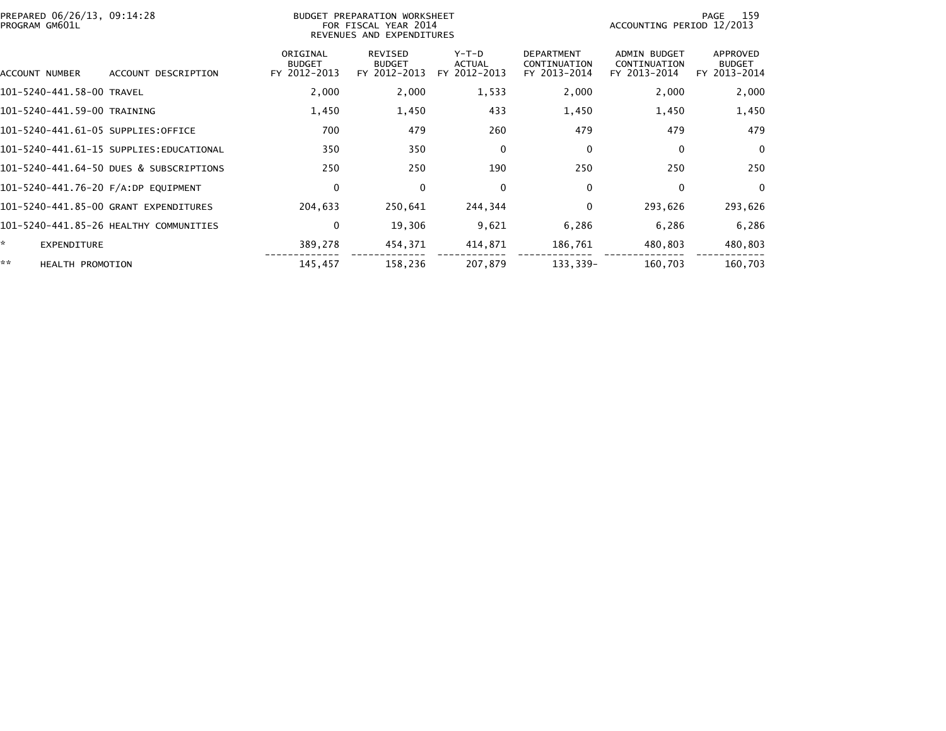| PREPARED 06/26/13, 09:14:28<br>PROGRAM GM601L |                                         | <b>BUDGET</b>                             | PREPARATION WORKSHEET<br>FOR FISCAL YEAR 2014<br>REVENUES AND EXPENDITURES |                                          |                                                   |                                                     | 159<br>PAGE<br>ACCOUNTING PERIOD 12/2013  |  |
|-----------------------------------------------|-----------------------------------------|-------------------------------------------|----------------------------------------------------------------------------|------------------------------------------|---------------------------------------------------|-----------------------------------------------------|-------------------------------------------|--|
| ACCOUNT NUMBER                                | ACCOUNT DESCRIPTION                     | ORIGINAL<br><b>BUDGET</b><br>FY 2012-2013 | <b>REVISED</b><br><b>BUDGET</b><br>FY 2012-2013                            | $Y-T-D$<br><b>ACTUAL</b><br>FY 2012-2013 | <b>DEPARTMENT</b><br>CONTINUATION<br>FY 2013-2014 | <b>ADMIN BUDGET</b><br>CONTINUATION<br>FY 2013-2014 | APPROVED<br><b>BUDGET</b><br>FY 2013-2014 |  |
| 101-5240-441.58-00 TRAVEL                     |                                         | 2,000                                     | 2,000                                                                      | 1,533                                    | 2,000                                             | 2,000                                               | 2,000                                     |  |
| 101-5240-441.59-00 TRAINING                   |                                         | 1,450                                     | 1,450                                                                      | 433                                      | 1,450                                             | 1,450                                               | 1,450                                     |  |
| 101-5240-441.61-05 SUPPLIES:OFFICE            |                                         | 700                                       | 479                                                                        | 260                                      | 479                                               | 479                                                 | 479                                       |  |
|                                               | 101-5240-441.61-15 SUPPLIES:EDUCATIONAL | 350                                       | 350                                                                        | 0                                        | 0                                                 | 0                                                   | $\Omega$                                  |  |
|                                               | 101-5240-441.64-50 DUES & SUBSCRIPTIONS | 250                                       | 250                                                                        | 190                                      | 250                                               | 250                                                 | 250                                       |  |
| 101-5240-441.76-20 F/A:DP EQUIPMENT           |                                         | 0                                         | $\Omega$                                                                   | $\Omega$                                 | 0                                                 | 0                                                   | $\mathbf{0}$                              |  |
|                                               | 101-5240-441.85-00 GRANT EXPENDITURES   | 204,633                                   | 250,641                                                                    | 244,344                                  | 0                                                 | 293,626                                             | 293,626                                   |  |
|                                               | 101-5240-441.85-26 HEALTHY COMMUNITIES  | 0                                         | 19,306                                                                     | 9,621                                    | 6,286                                             | 6,286                                               | 6,286                                     |  |
| $\mathbf{x}$<br><b>EXPENDITURE</b>            |                                         | 389,278                                   | 454,371                                                                    | 414,871                                  | 186,761                                           | 480,803                                             | 480,803                                   |  |
| **<br><b>HEALTH PROMOTION</b>                 |                                         | 145,457                                   | 158,236                                                                    | 207,879                                  | 133,339-                                          | 160,703                                             | 160,703                                   |  |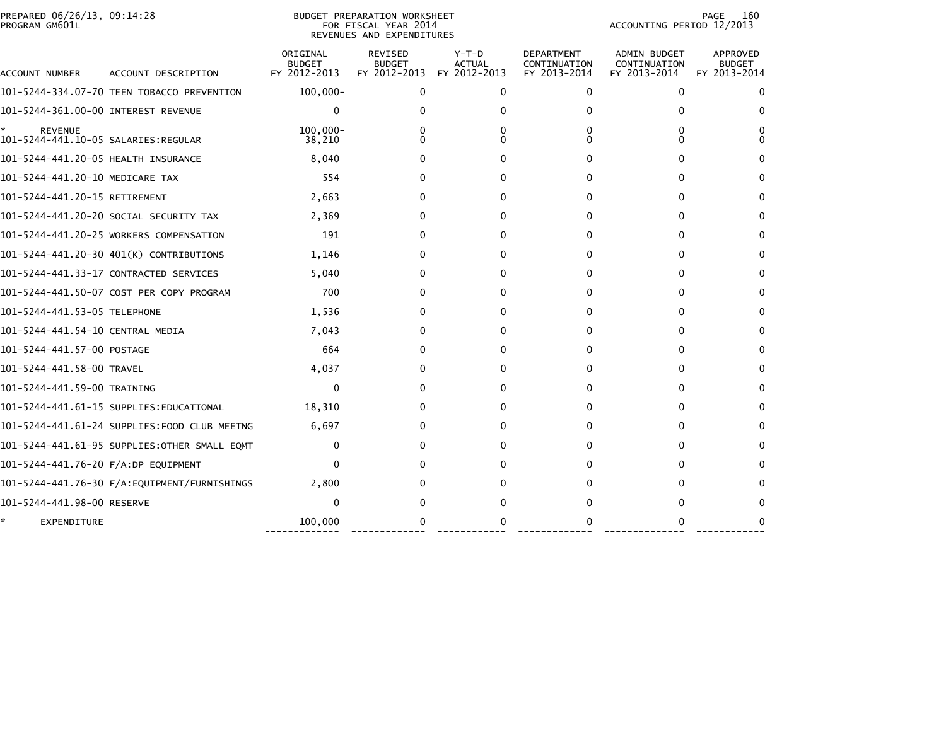| PREPARED 06/26/13, 09:14:28<br>PROGRAM GM601L |                                              | PAGE<br><b>BUDGET PREPARATION WORKSHEET</b><br>ACCOUNTING PERIOD 12/2013<br>FOR FISCAL YEAR 2014<br>REVENUES AND EXPENDITURES |                                                 |                                          |                                            |                                                     |                                           |
|-----------------------------------------------|----------------------------------------------|-------------------------------------------------------------------------------------------------------------------------------|-------------------------------------------------|------------------------------------------|--------------------------------------------|-----------------------------------------------------|-------------------------------------------|
| ACCOUNT NUMBER                                | ACCOUNT DESCRIPTION                          | ORIGINAL<br><b>BUDGET</b><br>FY 2012-2013                                                                                     | <b>REVISED</b><br><b>BUDGET</b><br>FY 2012-2013 | $Y-T-D$<br><b>ACTUAL</b><br>FY 2012-2013 | DEPARTMENT<br>CONTINUATION<br>FY 2013-2014 | <b>ADMIN BUDGET</b><br>CONTINUATION<br>FY 2013-2014 | APPROVED<br><b>BUDGET</b><br>FY 2013-2014 |
|                                               | 101-5244-334.07-70 TEEN TOBACCO PREVENTION   | $100,000 -$                                                                                                                   | 0                                               | 0                                        | 0                                          | 0                                                   | 0                                         |
| 101-5244-361.00-00 INTEREST REVENUE           |                                              | 0                                                                                                                             | 0                                               | $\Omega$                                 | 0                                          | 0                                                   | $\Omega$                                  |
| ÷.<br><b>REVENUE</b>                          |                                              | $100,000 -$<br>38,210                                                                                                         | 0<br>0                                          | 0<br>O                                   | 0<br>0                                     | O<br>0                                              | 0<br>0                                    |
| 101-5244-441.20-05 HEALTH INSURANCE           |                                              | 8,040                                                                                                                         | 0                                               | $\Omega$                                 | 0                                          | $\Omega$                                            | $\Omega$                                  |
| 101-5244-441.20-10 MEDICARE TAX               |                                              | 554                                                                                                                           | 0                                               | 0                                        | $\Omega$                                   | $\Omega$                                            | $\Omega$                                  |
| 101-5244-441.20-15 RETIREMENT                 |                                              | 2,663                                                                                                                         | 0                                               | 0                                        | 0                                          | 0                                                   | 0                                         |
|                                               | 101-5244-441.20-20 SOCIAL SECURITY TAX       | 2,369                                                                                                                         | 0                                               | 0                                        | 0                                          | $\Omega$                                            | 0                                         |
|                                               | 101-5244-441.20-25 WORKERS COMPENSATION      | 191                                                                                                                           | 0                                               | 0                                        | 0                                          | $\Omega$                                            | $\Omega$                                  |
|                                               | 101-5244-441.20-30 401(K) CONTRIBUTIONS      | 1,146                                                                                                                         | 0                                               | 0                                        | $\Omega$                                   | $\Omega$                                            | 0                                         |
|                                               | 101-5244-441.33-17 CONTRACTED SERVICES       | 5,040                                                                                                                         | 0                                               | 0                                        | 0                                          | 0                                                   | $\Omega$                                  |
|                                               | 101-5244-441.50-07 COST PER COPY PROGRAM     | 700                                                                                                                           | 0                                               | 0                                        | 0                                          | 0                                                   | 0                                         |
| 101-5244-441.53-05 TELEPHONE                  |                                              | 1,536                                                                                                                         | 0                                               | 0                                        | 0                                          | 0                                                   | 0                                         |
| 101-5244-441.54-10 CENTRAL MEDIA              |                                              | 7,043                                                                                                                         | 0                                               | 0                                        | 0                                          | 0                                                   | 0                                         |
| 101–5244–441.57–00 POSTAGE                    |                                              | 664                                                                                                                           | 0                                               | ŋ                                        | 0                                          | 0                                                   | $\Omega$                                  |
| 101-5244-441.58-00 TRAVEL                     |                                              | 4,037                                                                                                                         | 0                                               | 0                                        | 0                                          | $\Omega$                                            | $\Omega$                                  |
| 101-5244-441.59-00 TRAINING                   |                                              | 0                                                                                                                             | 0                                               | $\Omega$                                 | 0                                          | 0                                                   | $\Omega$                                  |
|                                               | 101-5244-441.61-15 SUPPLIES:EDUCATIONAL      | 18,310                                                                                                                        | 0                                               | 0                                        | 0                                          | 0                                                   | $\Omega$                                  |
|                                               | 101-5244-441.61-24 SUPPLIES:FOOD CLUB MEETNG | 6,697                                                                                                                         | 0                                               | 0                                        | 0                                          | $\Omega$                                            | $\Omega$                                  |
|                                               | 101-5244-441.61-95 SUPPLIES:OTHER SMALL EOMT | 0                                                                                                                             | 0                                               | 0                                        | 0                                          | 0                                                   | 0                                         |
| 101-5244-441.76-20 F/A:DP EQUIPMENT           |                                              | 0                                                                                                                             | 0                                               | ŋ                                        | 0                                          | $\Omega$                                            | 0                                         |
|                                               | 101-5244-441.76-30 F/A:EQUIPMENT/FURNISHINGS | 2,800                                                                                                                         | 0                                               | 0                                        | 0                                          | $\Omega$                                            | 0                                         |
| 101-5244-441.98-00 RESERVE                    |                                              | $\Omega$                                                                                                                      | 0                                               | ŋ                                        |                                            | 0                                                   | $\Omega$                                  |
| *.<br><b>EXPENDITURE</b>                      |                                              | 100,000                                                                                                                       | 0                                               | 0                                        | 0                                          | $\Omega$                                            | $\Omega$                                  |
|                                               |                                              |                                                                                                                               |                                                 |                                          |                                            |                                                     |                                           |

------------- ------------- ------------ ------------- -------------- ------------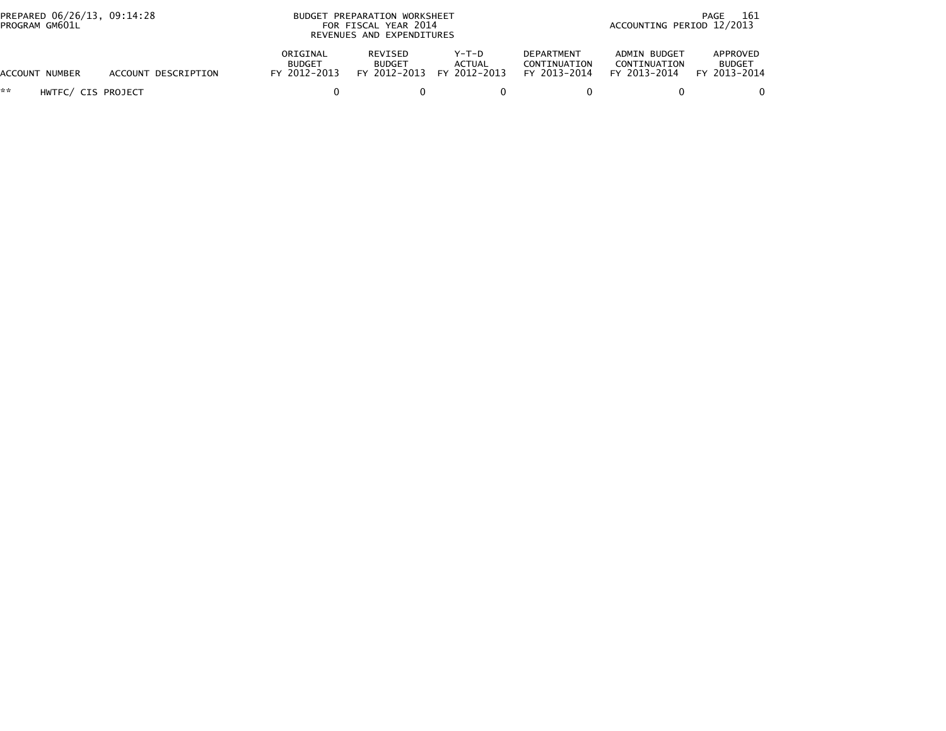| PREPARED 06/26/13, 09:14:28<br>PROGRAM GM601L |                     | BUDGET PREPARATION WORKSHEET<br>FOR FISCAL YEAR 2014<br>REVENUES AND EXPENDITURES |                                          |                                 |                                                   | 161<br>PAGE<br>ACCOUNTING PERIOD 12/2013     |                                           |
|-----------------------------------------------|---------------------|-----------------------------------------------------------------------------------|------------------------------------------|---------------------------------|---------------------------------------------------|----------------------------------------------|-------------------------------------------|
| ACCOUNT NUMBER                                | ACCOUNT DESCRIPTION | ORIGINAL<br><b>BUDGET</b><br>FY 2012-2013                                         | REVISED<br><b>BUDGET</b><br>FY 2012-2013 | Y-T-D<br>ACTUAL<br>FY 2012-2013 | <b>DEPARTMENT</b><br>CONTINUATION<br>FY 2013-2014 | ADMIN BUDGET<br>CONTINUATION<br>FY 2013-2014 | APPROVED<br><b>BUDGET</b><br>FY 2013-2014 |
| **<br>HWTFC/ CIS PROJECT                      |                     |                                                                                   |                                          |                                 |                                                   |                                              |                                           |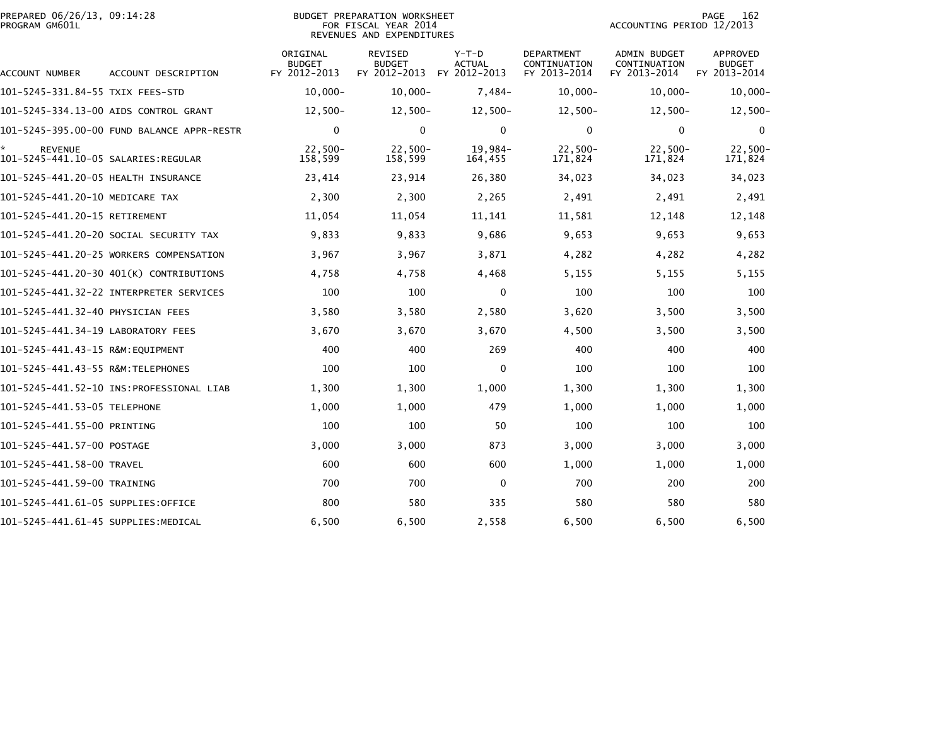| PREPARED 06/26/13, 09:14:28<br>PROGRAM GM601L         |                                            |                                           | <b>BUDGET PREPARATION WORKSHEET</b><br>FOR FISCAL YEAR 2014<br>REVENUES AND EXPENDITURES |                                          |                                                   | ACCOUNTING PERIOD 12/2013                    | 162<br>PAGE                                      |
|-------------------------------------------------------|--------------------------------------------|-------------------------------------------|------------------------------------------------------------------------------------------|------------------------------------------|---------------------------------------------------|----------------------------------------------|--------------------------------------------------|
| ACCOUNT NUMBER                                        | ACCOUNT DESCRIPTION                        | ORIGINAL<br><b>BUDGET</b><br>FY 2012-2013 | <b>REVISED</b><br><b>BUDGET</b><br>FY 2012-2013                                          | $Y-T-D$<br><b>ACTUAL</b><br>FY 2012-2013 | <b>DEPARTMENT</b><br>CONTINUATION<br>FY 2013-2014 | ADMIN BUDGET<br>CONTINUATION<br>FY 2013-2014 | <b>APPROVED</b><br><b>BUDGET</b><br>FY 2013-2014 |
| 101–5245–331.84–55 TXIX FEES–STD                      |                                            | $10,000 -$                                | $10,000 -$                                                                               | $7,484-$                                 | $10,000-$                                         | $10,000 -$                                   | $10,000 -$                                       |
|                                                       | 101-5245-334.13-00 AIDS CONTROL GRANT      | $12,500-$                                 | $12,500-$                                                                                | $12,500-$                                | $12,500-$                                         | $12,500-$                                    | $12,500-$                                        |
|                                                       | 101-5245-395.00-00 FUND BALANCE APPR-RESTR | 0                                         | $\Omega$                                                                                 | $\mathbf 0$                              | $\mathbf{0}$                                      | $\mathbf{0}$                                 | 0                                                |
| <b>REVENUE</b><br>101–5245–441.10–05 SALARIES:REGULAR |                                            | $22,500-$<br>158,599                      | $22,500-$<br>158,599                                                                     | $19,984-$<br>164,455                     | $22,500-$<br>171,824                              | $22,500-$<br>171,824                         | $22,500 -$<br>171,824                            |
| 101-5245-441.20-05 HEALTH INSURANCE                   |                                            | 23,414                                    | 23,914                                                                                   | 26,380                                   | 34,023                                            | 34,023                                       | 34,023                                           |
| 101-5245-441.20-10 MEDICARE TAX                       |                                            | 2,300                                     | 2,300                                                                                    | 2,265                                    | 2,491                                             | 2,491                                        | 2,491                                            |
| 101-5245-441.20-15 RETIREMENT                         |                                            | 11,054                                    | 11,054                                                                                   | 11,141                                   | 11,581                                            | 12,148                                       | 12,148                                           |
|                                                       | 101–5245–441.20–20 SOCIAL SECURITY TAX     | 9,833                                     | 9,833                                                                                    | 9,686                                    | 9,653                                             | 9,653                                        | 9,653                                            |
|                                                       | 101-5245-441.20-25 WORKERS COMPENSATION    | 3,967                                     | 3,967                                                                                    | 3,871                                    | 4,282                                             | 4,282                                        | 4,282                                            |
|                                                       | 101-5245-441.20-30 401(K) CONTRIBUTIONS    | 4,758                                     | 4,758                                                                                    | 4,468                                    | 5,155                                             | 5,155                                        | 5,155                                            |
|                                                       |                                            | 100                                       | 100                                                                                      | $\mathbf 0$                              | 100                                               | 100                                          | 100                                              |
| 101–5245–441.32–40 PHYSICIAN FEES                     |                                            | 3,580                                     | 3,580                                                                                    | 2,580                                    | 3,620                                             | 3,500                                        | 3,500                                            |
| 101-5245-441.34-19 LABORATORY FEES                    |                                            | 3,670                                     | 3,670                                                                                    | 3,670                                    | 4,500                                             | 3,500                                        | 3,500                                            |
| 101-5245-441.43-15 R&M:EOUIPMENT                      |                                            | 400                                       | 400                                                                                      | 269                                      | 400                                               | 400                                          | 400                                              |
| 101-5245-441.43-55 R&M:TELEPHONES                     |                                            | 100                                       | 100                                                                                      | 0                                        | 100                                               | 100                                          | 100                                              |
|                                                       |                                            | 1,300                                     | 1,300                                                                                    | 1,000                                    | 1,300                                             | 1,300                                        | 1,300                                            |
| 101-5245-441.53-05 TELEPHONE                          |                                            | 1,000                                     | 1,000                                                                                    | 479                                      | 1,000                                             | 1,000                                        | 1,000                                            |
| 101-5245-441.55-00 PRINTING                           |                                            | 100                                       | 100                                                                                      | 50                                       | 100                                               | 100                                          | 100                                              |
| 101-5245-441.57-00 POSTAGE                            |                                            | 3,000                                     | 3,000                                                                                    | 873                                      | 3,000                                             | 3,000                                        | 3,000                                            |
| 101-5245-441.58-00 TRAVEL                             |                                            | 600                                       | 600                                                                                      | 600                                      | 1,000                                             | 1,000                                        | 1,000                                            |
| 101-5245-441.59-00 TRAINING                           |                                            | 700                                       | 700                                                                                      | $\mathbf 0$                              | 700                                               | 200                                          | 200                                              |
| 101–5245–441.61–05 SUPPLIES:OFFICE                    |                                            | 800                                       | 580                                                                                      | 335                                      | 580                                               | 580                                          | 580                                              |
| 101-5245-441.61-45 SUPPLIES:MEDICAL                   |                                            | 6,500                                     | 6,500                                                                                    | 2,558                                    | 6,500                                             | 6,500                                        | 6,500                                            |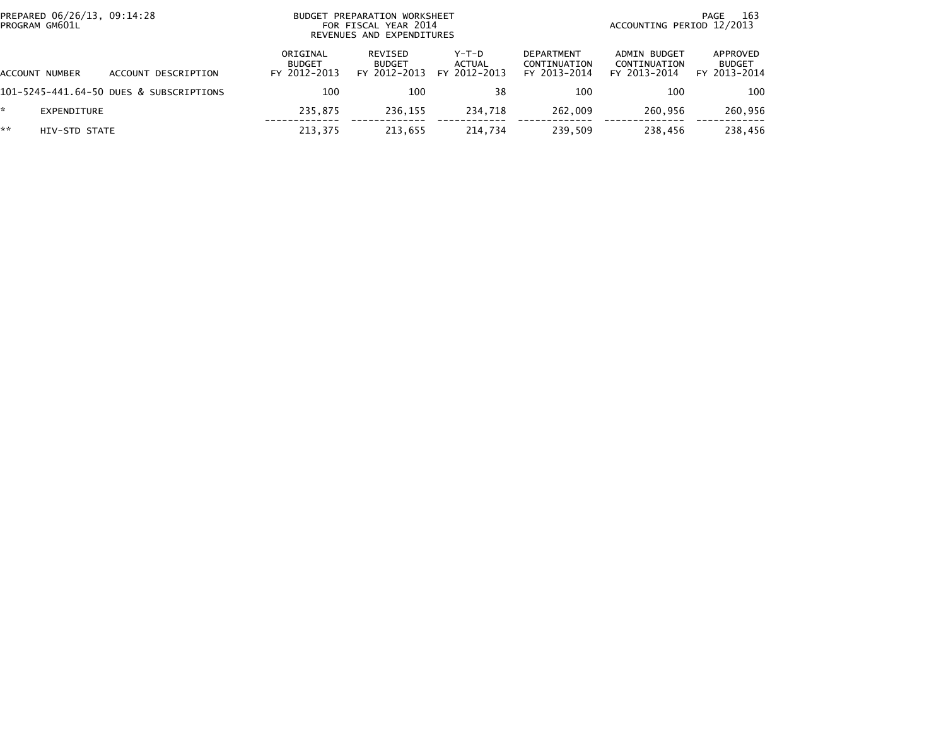| PREPARED 06/26/13, 09:14:28<br>PROGRAM GM601L | BUDGET PREPARATION WORKSHEET<br>FOR FISCAL YEAR 2014<br>REVENUES AND EXPENDITURES |                                           |                                          |                                          |                                                   | 163<br>PAGE<br>ACCOUNTING PERIOD 12/2013     |                                           |  |
|-----------------------------------------------|-----------------------------------------------------------------------------------|-------------------------------------------|------------------------------------------|------------------------------------------|---------------------------------------------------|----------------------------------------------|-------------------------------------------|--|
| ACCOUNT NUMBER                                | ACCOUNT DESCRIPTION                                                               | ORIGINAL<br><b>BUDGET</b><br>FY 2012-2013 | REVISED<br><b>BUDGET</b><br>FY 2012-2013 | $Y-T-D$<br><b>ACTUAL</b><br>FY 2012-2013 | <b>DEPARTMENT</b><br>CONTINUATION<br>FY 2013-2014 | ADMIN BUDGET<br>CONTINUATION<br>FY 2013-2014 | APPROVED<br><b>BUDGET</b><br>FY 2013-2014 |  |
|                                               | 101-5245-441.64-50 DUES & SUBSCRIPTIONS                                           | 100                                       | 100                                      | 38                                       | 100                                               | 100                                          | 100                                       |  |
| EXPENDITURE                                   |                                                                                   | 235.875                                   | 236.155                                  | 234.718                                  | 262,009                                           | 260.956                                      | 260,956                                   |  |
| **<br>HIV-STD STATE                           |                                                                                   | 213.375                                   | 213,655                                  | 214.734                                  | 239,509                                           | 238,456                                      | 238,456                                   |  |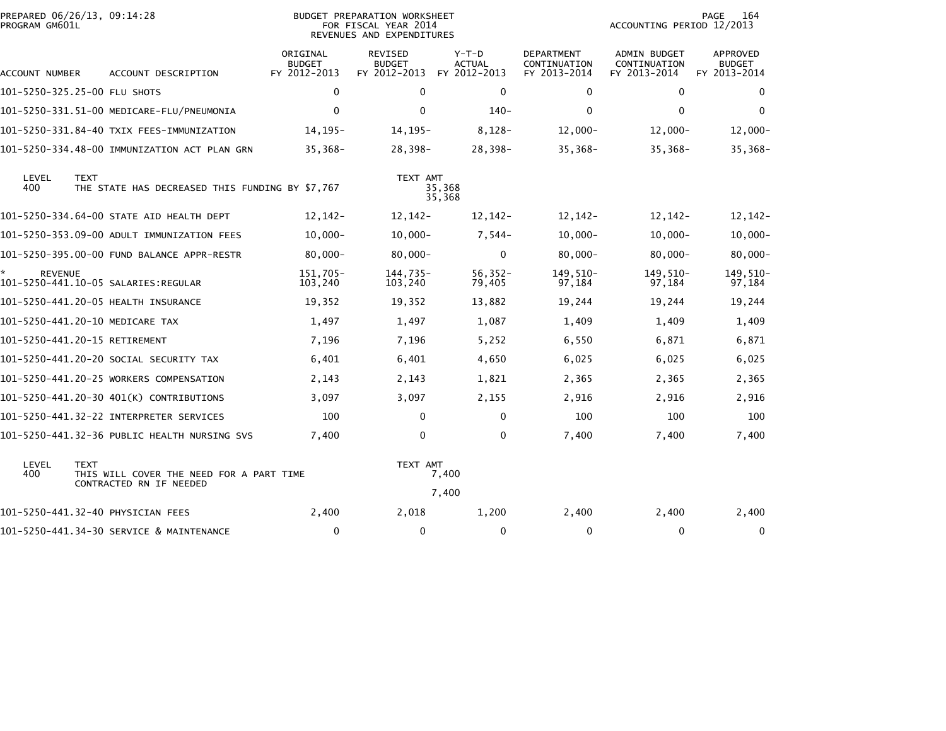| PREPARED 06/26/13, 09:14:28<br>PROGRAM GM601L |                                                                                    |                                           | BUDGET PREPARATION WORKSHEET<br>FOR FISCAL YEAR 2014<br>REVENUES AND EXPENDITURES |                                          |                                                   | 164<br>PAGE<br>ACCOUNTING PERIOD 12/2013            |                                                  |  |
|-----------------------------------------------|------------------------------------------------------------------------------------|-------------------------------------------|-----------------------------------------------------------------------------------|------------------------------------------|---------------------------------------------------|-----------------------------------------------------|--------------------------------------------------|--|
| ACCOUNT NUMBER                                | ACCOUNT DESCRIPTION                                                                | ORIGINAL<br><b>BUDGET</b><br>FY 2012-2013 | <b>REVISED</b><br><b>BUDGET</b><br>FY 2012-2013                                   | $Y-T-D$<br><b>ACTUAL</b><br>FY 2012-2013 | <b>DEPARTMENT</b><br>CONTINUATION<br>FY 2013-2014 | <b>ADMIN BUDGET</b><br>CONTINUATION<br>FY 2013-2014 | <b>APPROVED</b><br><b>BUDGET</b><br>FY 2013-2014 |  |
| 101-5250-325.25-00 FLU SHOTS                  |                                                                                    | 0                                         | $\mathbf 0$                                                                       | 0                                        | $\Omega$                                          | 0                                                   | 0                                                |  |
|                                               | 101-5250-331.51-00 MEDICARE-FLU/PNEUMONIA                                          | $\mathbf 0$                               | $\Omega$                                                                          | $140 -$                                  | $\Omega$                                          | $\mathbf{0}$                                        | $\mathbf{0}$                                     |  |
|                                               | 101-5250-331.84-40 TXIX FEES-IMMUNIZATION                                          | $14, 195 -$                               | $14, 195 -$                                                                       | $8,128-$                                 | $12,000 -$                                        | $12,000 -$                                          | $12,000 -$                                       |  |
|                                               | 101-5250-334.48-00 IMMUNIZATION ACT PLAN GRN                                       | $35,368-$                                 | 28,398-                                                                           | 28,398-                                  | $35,368-$                                         | $35,368-$                                           | $35,368-$                                        |  |
| LEVEL<br>400                                  | <b>TEXT</b><br>THE STATE HAS DECREASED THIS FUNDING BY \$7,767                     |                                           | TEXT AMT                                                                          | 35,368<br>35,368                         |                                                   |                                                     |                                                  |  |
|                                               | 101-5250-334.64-00 STATE AID HEALTH DEPT                                           | 12,142-                                   | $12, 142 -$                                                                       | 12,142-                                  | $12,142-$                                         | 12,142-                                             | $12, 142 -$                                      |  |
|                                               | 101-5250-353.09-00 ADULT IMMUNIZATION FEES                                         | $10,000 -$                                | $10,000-$                                                                         | $7,544-$                                 | $10,000 -$                                        | $10,000-$                                           | $10,000 -$                                       |  |
|                                               | 101-5250-395.00-00 FUND BALANCE APPR-RESTR                                         | $80,000 -$                                | $80,000 -$                                                                        | $\mathbf 0$                              | $80,000 -$                                        | $80,000 -$                                          | $80,000 -$                                       |  |
| <b>REVENUE</b>                                |                                                                                    | 151,705-<br>103,240                       | 144,735-<br>103,240                                                               | $56,352-$<br>79,405                      | 149,510-<br>97,184                                | 149,510-<br>97,184                                  | 149,510-<br>97,184                               |  |
|                                               | 101-5250-441.20-05 HEALTH INSURANCE                                                | 19,352                                    | 19,352                                                                            | 13,882                                   | 19,244                                            | 19,244                                              | 19,244                                           |  |
|                                               | 101-5250-441.20-10 MEDICARE TAX                                                    | 1,497                                     | 1,497                                                                             | 1,087                                    | 1,409                                             | 1,409                                               | 1,409                                            |  |
|                                               | 101-5250-441.20-15 RETIREMENT                                                      | 7,196                                     | 7,196                                                                             | 5,252                                    | 6,550                                             | 6,871                                               | 6,871                                            |  |
|                                               | 101-5250-441.20-20 SOCIAL SECURITY TAX                                             | 6,401                                     | 6,401                                                                             | 4,650                                    | 6,025                                             | 6,025                                               | 6,025                                            |  |
|                                               | 101-5250-441.20-25 WORKERS COMPENSATION                                            | 2,143                                     | 2,143                                                                             | 1,821                                    | 2,365                                             | 2,365                                               | 2,365                                            |  |
|                                               | 101-5250-441.20-30 401(K) CONTRIBUTIONS                                            | 3,097                                     | 3,097                                                                             | 2,155                                    | 2,916                                             | 2,916                                               | 2,916                                            |  |
|                                               | 101-5250-441.32-22 INTERPRETER SERVICES                                            | 100                                       | 0                                                                                 | 0                                        | 100                                               | 100                                                 | 100                                              |  |
|                                               | 101-5250-441.32-36 PUBLIC HEALTH NURSING SVS                                       | 7,400                                     | $\Omega$                                                                          | $\mathbf 0$                              | 7,400                                             | 7,400                                               | 7,400                                            |  |
| LEVEL<br>400                                  | <b>TEXT</b><br>THIS WILL COVER THE NEED FOR A PART TIME<br>CONTRACTED RN IF NEEDED |                                           | TEXT AMT                                                                          | 7,400                                    |                                                   |                                                     |                                                  |  |
|                                               |                                                                                    |                                           |                                                                                   | 7,400                                    |                                                   |                                                     |                                                  |  |
|                                               | 101-5250-441.32-40 PHYSICIAN FEES                                                  | 2,400                                     | 2,018                                                                             | 1,200                                    | 2,400                                             | 2,400                                               | 2,400                                            |  |
|                                               | 101-5250-441.34-30 SERVICE & MAINTENANCE                                           | $\mathbf 0$                               | $\mathbf 0$                                                                       | $\mathbf 0$                              | 0                                                 | 0                                                   | 0                                                |  |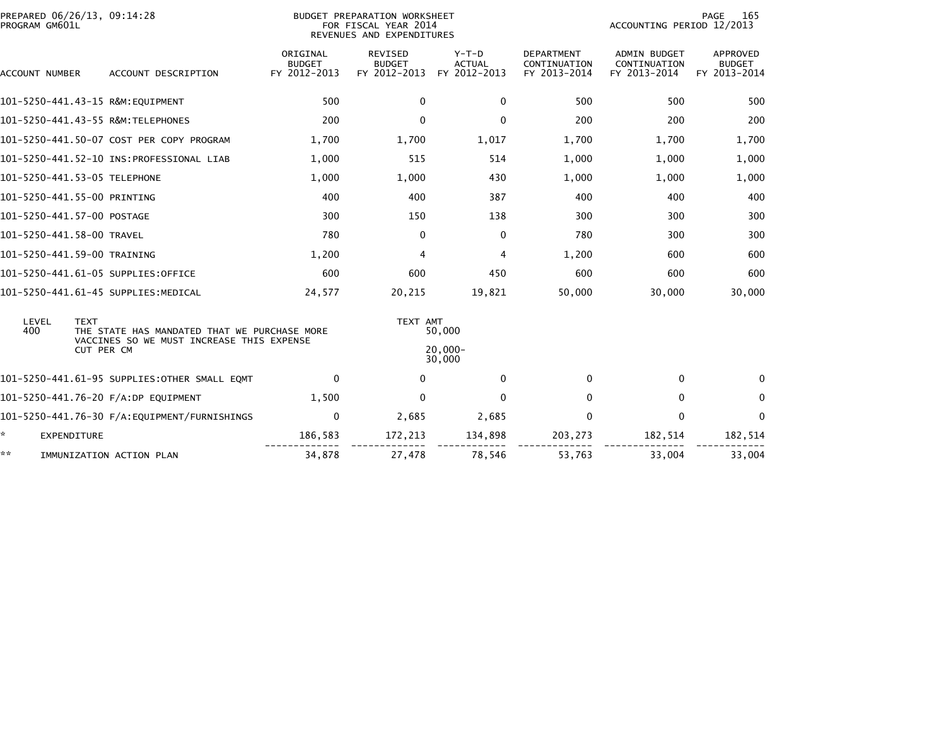| PREPARED 06/26/13, 09:14:28<br>PROGRAM GM601L |                                              | BUDGET PREPARATION WORKSHEET<br>FOR FISCAL YEAR 2014<br>REVENUES AND EXPENDITURES |                                          |                                          |                                                   | 165<br>PAGE<br>ACCOUNTING PERIOD 12/2013            |                                           |  |  |
|-----------------------------------------------|----------------------------------------------|-----------------------------------------------------------------------------------|------------------------------------------|------------------------------------------|---------------------------------------------------|-----------------------------------------------------|-------------------------------------------|--|--|
| ACCOUNT NUMBER                                | ACCOUNT DESCRIPTION                          | ORIGINAL<br><b>BUDGET</b><br>FY 2012-2013                                         | REVISED<br><b>BUDGET</b><br>FY 2012-2013 | $Y-T-D$<br><b>ACTUAL</b><br>FY 2012-2013 | <b>DEPARTMENT</b><br>CONTINUATION<br>FY 2013-2014 | <b>ADMIN BUDGET</b><br>CONTINUATION<br>FY 2013-2014 | APPROVED<br><b>BUDGET</b><br>FY 2013-2014 |  |  |
| 101-5250-441.43-15 R&M:EQUIPMENT              |                                              | 500                                                                               | $\mathbf{0}$                             | $\mathbf{0}$                             | 500                                               | 500                                                 | 500                                       |  |  |
| 101-5250-441.43-55 R&M:TELEPHONES             |                                              | 200                                                                               | $\Omega$                                 | $\mathbf 0$                              | 200                                               | 200                                                 | 200                                       |  |  |
|                                               | 101-5250-441.50-07 COST PER COPY PROGRAM     | 1,700                                                                             | 1,700                                    | 1,017                                    | 1,700                                             | 1,700                                               | 1,700                                     |  |  |
|                                               |                                              | 1,000                                                                             | 515                                      | 514                                      | 1,000                                             | 1,000                                               | 1,000                                     |  |  |
| 101-5250-441.53-05 TELEPHONE                  |                                              | 1,000                                                                             | 1,000                                    | 430                                      | 1,000                                             | 1,000                                               | 1,000                                     |  |  |
| 101-5250-441.55-00 PRINTING                   |                                              | 400                                                                               | 400                                      | 387                                      | 400                                               | 400                                                 | 400                                       |  |  |
| 101-5250-441.57-00 POSTAGE                    |                                              | 300                                                                               | 150                                      | 138                                      | 300                                               | 300                                                 | 300                                       |  |  |
| 101-5250-441.58-00 TRAVEL                     |                                              | 780                                                                               | 0                                        | 0                                        | 780                                               | 300                                                 | 300                                       |  |  |
| 101-5250-441.59-00 TRAINING                   |                                              | 1,200                                                                             | 4                                        | $\overline{4}$                           | 1,200                                             | 600                                                 | 600                                       |  |  |
| 101-5250-441.61-05 SUPPLIES:OFFICE            |                                              | 600                                                                               | 600                                      | 450                                      | 600                                               | 600                                                 | 600                                       |  |  |
| 101-5250-441.61-45 SUPPLIES:MEDICAL           |                                              | 24,577                                                                            | 20,215                                   | 19,821                                   | 50,000                                            | 30,000                                              | 30,000                                    |  |  |
| LEVEL<br><b>TEXT</b><br>400                   | THE STATE HAS MANDATED THAT WE PURCHASE MORE |                                                                                   | TEXT AMT                                 | 50,000                                   |                                                   |                                                     |                                           |  |  |
| CUT PER CM                                    | VACCINES SO WE MUST INCREASE THIS EXPENSE    |                                                                                   |                                          | $20.000 -$<br>30,000                     |                                                   |                                                     |                                           |  |  |
|                                               | 101-5250-441.61-95 SUPPLIES:OTHER SMALL EQMT | 0                                                                                 | $\Omega$                                 | $\mathbf{0}$                             | 0                                                 | $\Omega$                                            | $\Omega$                                  |  |  |
| 101-5250-441.76-20 F/A:DP EQUIPMENT           |                                              | 1,500                                                                             | $\mathbf{0}$                             | $\Omega$                                 | $\Omega$                                          | $\Omega$                                            | $\Omega$                                  |  |  |
|                                               |                                              | 0                                                                                 | 2,685                                    | 2,685                                    | 0                                                 | 0                                                   | 0                                         |  |  |
| ÷.<br><b>EXPENDITURE</b>                      |                                              | 186,583                                                                           | 172,213                                  | 134,898                                  | 203,273                                           | 182,514                                             | 182,514                                   |  |  |
| **                                            | IMMUNIZATION ACTION PLAN                     | 34,878                                                                            | 27,478                                   | 78,546                                   | 53,763                                            | 33.004                                              | 33.004                                    |  |  |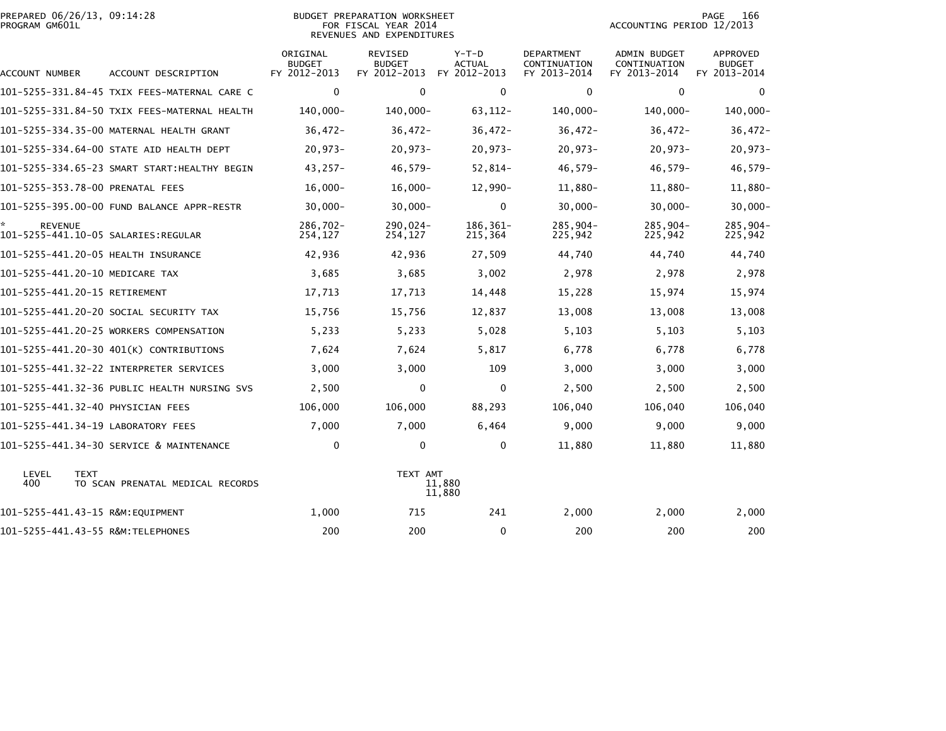| PROGRAM GM601L | PREPARED 06/26/13, 09:14:28<br><b>BUDGET PREPARATION WORKSHEET</b><br>FOR FISCAL YEAR 2014<br>REVENUES AND EXPENDITURES |                                           |                                                 |                                          |                                                   | PAGE<br>166<br>ACCOUNTING PERIOD 12/2013            |                                           |  |
|----------------|-------------------------------------------------------------------------------------------------------------------------|-------------------------------------------|-------------------------------------------------|------------------------------------------|---------------------------------------------------|-----------------------------------------------------|-------------------------------------------|--|
| ACCOUNT NUMBER | ACCOUNT DESCRIPTION                                                                                                     | ORIGINAL<br><b>BUDGET</b><br>FY 2012-2013 | <b>REVISED</b><br><b>BUDGET</b><br>FY 2012-2013 | $Y-T-D$<br><b>ACTUAL</b><br>FY 2012-2013 | <b>DEPARTMENT</b><br>CONTINUATION<br>FY 2013-2014 | <b>ADMIN BUDGET</b><br>CONTINUATION<br>FY 2013-2014 | APPROVED<br><b>BUDGET</b><br>FY 2013-2014 |  |
|                | 101-5255-331.84-45 TXIX FEES-MATERNAL CARE C                                                                            | $\mathbf 0$                               | $\mathbf 0$                                     | $\mathbf 0$                              | 0                                                 | $\mathbf 0$                                         | $\Omega$                                  |  |
|                | 101-5255-331.84-50 TXIX FEES-MATERNAL HEALTH                                                                            | 140,000-                                  | 140,000-                                        | $63, 112 -$                              | 140,000-                                          | 140,000-                                            | $140,000 -$                               |  |
|                | 101-5255-334.35-00 MATERNAL HEALTH GRANT                                                                                | $36,472-$                                 | $36,472-$                                       | $36,472-$                                | $36,472-$                                         | $36,472-$                                           | $36,472-$                                 |  |
|                | 101-5255-334.64-00 STATE AID HEALTH DEPT                                                                                | $20,973-$                                 | $20,973-$                                       | $20,973-$                                | $20,973-$                                         | $20,973-$                                           | $20,973-$                                 |  |
|                | 101-5255-334.65-23 SMART START:HEALTHY BEGIN                                                                            | $43,257-$                                 | $46,579-$                                       | $52,814-$                                | $46,579-$                                         | $46,579-$                                           | $46,579-$                                 |  |
|                | 101-5255-353.78-00 PRENATAL FEES                                                                                        | $16,000 -$                                | $16,000 -$                                      | $12,990-$                                | 11,880-                                           | 11,880-                                             | 11,880-                                   |  |
|                | 101-5255-395.00-00 FUND BALANCE APPR-RESTR                                                                              | $30,000 -$                                | $30,000 -$                                      | $\mathbf 0$                              | $30,000 -$                                        | $30,000 -$                                          | $30,000 -$                                |  |
| <b>REVENUE</b> | 101-5255-441.10-05 SALARIES:REGULAR                                                                                     | 286.702-<br>254,127                       | 290,024-<br>254,127                             | 186,361-<br>215,364                      | $285,904-$<br>225,942                             | 285,904-<br>225,942                                 | 285,904-<br>225,942                       |  |
|                | 101-5255-441.20-05 HEALTH INSURANCE                                                                                     | 42,936                                    | 42,936                                          | 27,509                                   | 44,740                                            | 44,740                                              | 44,740                                    |  |
|                | 101-5255-441.20-10 MEDICARE TAX                                                                                         | 3,685                                     | 3,685                                           | 3,002                                    | 2,978                                             | 2,978                                               | 2,978                                     |  |
|                | 101-5255-441.20-15 RETIREMENT                                                                                           | 17,713                                    | 17,713                                          | 14,448                                   | 15,228                                            | 15,974                                              | 15,974                                    |  |
|                | 101-5255-441.20-20 SOCIAL SECURITY TAX                                                                                  | 15,756                                    | 15,756                                          | 12,837                                   | 13,008                                            | 13,008                                              | 13,008                                    |  |
|                | 101-5255-441.20-25 WORKERS COMPENSATION                                                                                 | 5,233                                     | 5,233                                           | 5,028                                    | 5,103                                             | 5,103                                               | 5,103                                     |  |
|                | 101-5255-441.20-30 401(K) CONTRIBUTIONS                                                                                 | 7,624                                     | 7,624                                           | 5,817                                    | 6,778                                             | 6,778                                               | 6,778                                     |  |
|                |                                                                                                                         | 3,000                                     | 3,000                                           | 109                                      | 3,000                                             | 3,000                                               | 3,000                                     |  |
|                | 101-5255-441.32-36 PUBLIC HEALTH NURSING SVS                                                                            | 2,500                                     | 0                                               | 0                                        | 2,500                                             | 2,500                                               | 2,500                                     |  |
|                | 101-5255-441.32-40 PHYSICIAN FEES                                                                                       | 106,000                                   | 106,000                                         | 88,293                                   | 106,040                                           | 106,040                                             | 106,040                                   |  |
|                | 101-5255-441.34-19 LABORATORY FEES                                                                                      | 7,000                                     | 7,000                                           | 6,464                                    | 9,000                                             | 9,000                                               | 9,000                                     |  |
|                | 101-5255-441.34-30 SERVICE & MAINTENANCE                                                                                | 0                                         | $\mathbf 0$                                     | 0                                        | 11,880                                            | 11,880                                              | 11,880                                    |  |
| LEVEL<br>400   | <b>TEXT</b><br>TO SCAN PRENATAL MEDICAL RECORDS                                                                         |                                           | TEXT AMT                                        | 11,880<br>11,880                         |                                                   |                                                     |                                           |  |
|                | 101-5255-441.43-15 R&M:EQUIPMENT                                                                                        | 1,000                                     | 715                                             | 241                                      | 2,000                                             | 2,000                                               | 2,000                                     |  |
|                | 101-5255-441.43-55 R&M:TELEPHONES                                                                                       | 200                                       | 200                                             | 0                                        | 200                                               | 200                                                 | 200                                       |  |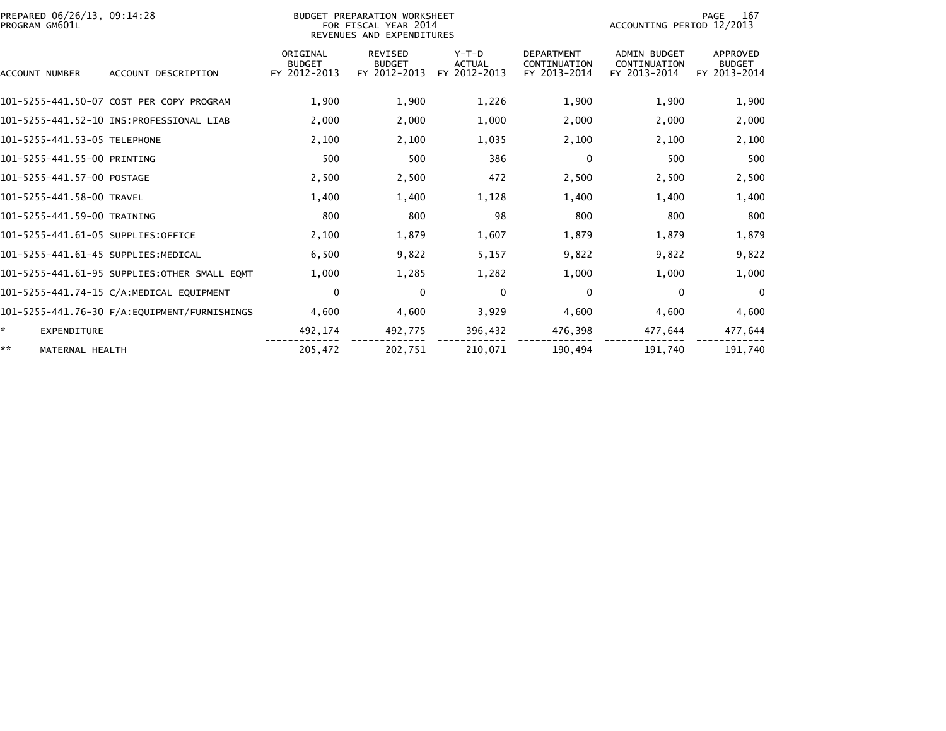| PREPARED 06/26/13, 09:14:28<br>PROGRAM GM601L |                                               |                                           | BUDGET PREPARATION WORKSHEET<br>FOR FISCAL YEAR 2014<br>REVENUES AND EXPENDITURES |                                          | 167<br>PAGE<br>ACCOUNTING PERIOD 12/2013          |                                              |                                           |
|-----------------------------------------------|-----------------------------------------------|-------------------------------------------|-----------------------------------------------------------------------------------|------------------------------------------|---------------------------------------------------|----------------------------------------------|-------------------------------------------|
| <b>ACCOUNT NUMBER</b>                         | ACCOUNT DESCRIPTION                           | ORIGINAL<br><b>BUDGET</b><br>FY 2012-2013 | <b>REVISED</b><br><b>BUDGET</b><br>FY 2012-2013                                   | $Y-T-D$<br><b>ACTUAL</b><br>FY 2012-2013 | <b>DEPARTMENT</b><br>CONTINUATION<br>FY 2013-2014 | ADMIN BUDGET<br>CONTINUATION<br>FY 2013-2014 | APPROVED<br><b>BUDGET</b><br>FY 2013-2014 |
|                                               | 101-5255-441.50-07 COST PER COPY PROGRAM      | 1,900                                     | 1,900                                                                             | 1,226                                    | 1,900                                             | 1,900                                        | 1,900                                     |
|                                               | 101-5255-441.52-10 INS:PROFESSIONAL LIAB      | 2,000                                     | 2,000                                                                             | 1,000                                    | 2,000                                             | 2,000                                        | 2,000                                     |
| 101-5255-441.53-05 TELEPHONE                  |                                               | 2,100                                     | 2,100                                                                             | 1,035                                    | 2,100                                             | 2,100                                        | 2,100                                     |
| 101-5255-441.55-00 PRINTING                   |                                               | 500                                       | 500                                                                               | 386                                      | $\mathbf{0}$                                      | 500                                          | 500                                       |
| 101-5255-441.57-00 POSTAGE                    |                                               | 2,500                                     | 2,500                                                                             | 472                                      | 2,500                                             | 2,500                                        | 2,500                                     |
| 101-5255-441.58-00 TRAVEL                     |                                               | 1.400                                     | 1.400                                                                             | 1,128                                    | 1,400                                             | 1,400                                        | 1,400                                     |
| 101-5255-441.59-00 TRAINING                   |                                               | 800                                       | 800                                                                               | 98                                       | 800                                               | 800                                          | 800                                       |
| 101-5255-441.61-05 SUPPLIES:OFFICE            |                                               | 2,100                                     | 1,879                                                                             | 1,607                                    | 1,879                                             | 1,879                                        | 1,879                                     |
| 101-5255-441.61-45 SUPPLIES: MEDICAL          |                                               | 6.500                                     | 9,822                                                                             | 5,157                                    | 9,822                                             | 9,822                                        | 9,822                                     |
|                                               | 101-5255-441.61-95 SUPPLIES: OTHER SMALL EQMT | 1.000                                     | 1,285                                                                             | 1,282                                    | 1,000                                             | 1,000                                        | 1,000                                     |
|                                               | 101-5255-441.74-15 C/A:MEDICAL EQUIPMENT      | 0                                         | $\mathbf{0}$                                                                      | $\mathbf{0}$                             | $\mathbf{0}$                                      | 0                                            | $\mathbf{0}$                              |
|                                               | 101-5255-441.76-30 F/A:EQUIPMENT/FURNISHINGS  | 4.600                                     | 4,600                                                                             | 3,929                                    | 4,600                                             | 4,600                                        | 4,600                                     |
| $\mathbf{x}$<br><b>EXPENDITURE</b>            |                                               | 492,174                                   | 492,775                                                                           | 396,432                                  | 476,398                                           | 477,644                                      | 477,644                                   |
| **<br>MATERNAL HEALTH                         |                                               | 205,472                                   | 202,751                                                                           | 210,071                                  | 190,494                                           | 191,740                                      | 191,740                                   |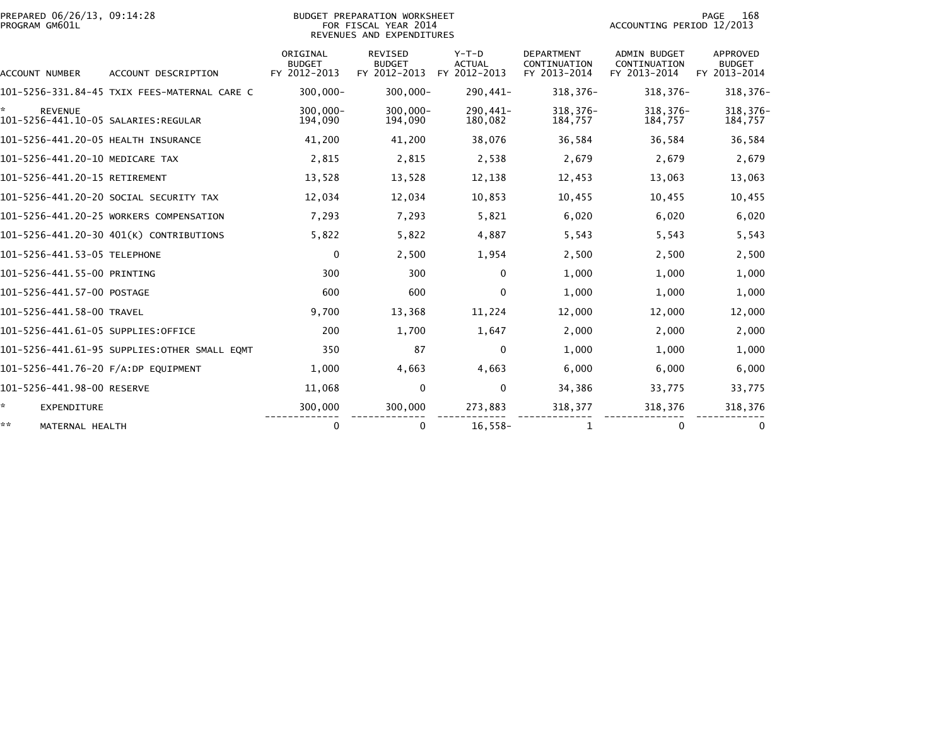| PROGRAM GM601L                      | PREPARED 06/26/13, 09:14:28<br>BUDGET PREPARATION WORKSHEET<br>FOR FISCAL YEAR 2014<br>REVENUES AND EXPENDITURES |                                           |                                          |                                          |                                                   | 168<br>PAGE<br>ACCOUNTING PERIOD 12/2013            |                                           |  |  |
|-------------------------------------|------------------------------------------------------------------------------------------------------------------|-------------------------------------------|------------------------------------------|------------------------------------------|---------------------------------------------------|-----------------------------------------------------|-------------------------------------------|--|--|
| ACCOUNT NUMBER                      | ACCOUNT DESCRIPTION                                                                                              | ORIGINAL<br><b>BUDGET</b><br>FY 2012-2013 | REVISED<br><b>BUDGET</b><br>FY 2012-2013 | $Y-T-D$<br><b>ACTUAL</b><br>FY 2012-2013 | <b>DEPARTMENT</b><br>CONTINUATION<br>FY 2013-2014 | <b>ADMIN BUDGET</b><br>CONTINUATION<br>FY 2013-2014 | APPROVED<br><b>BUDGET</b><br>FY 2013-2014 |  |  |
|                                     | 101-5256-331.84-45 TXIX FEES-MATERNAL CARE C                                                                     | $300,000 -$                               | $300,000 -$                              | 290,441-                                 | 318,376-                                          | $318,376-$                                          | $318,376-$                                |  |  |
| <b>REVENUE</b>                      |                                                                                                                  | 300,000-<br>194,090                       | $300,000 -$<br>194,090                   | 290,441-<br>180,082                      | 318, 376-<br>184,757                              | $318,376-$<br>184,757                               | 318, 376-<br>184,757                      |  |  |
| 101-5256-441.20-05 HEALTH INSURANCE |                                                                                                                  | 41,200                                    | 41,200                                   | 38,076                                   | 36,584                                            | 36,584                                              | 36,584                                    |  |  |
| 101-5256-441.20-10 MEDICARE TAX     |                                                                                                                  | 2,815                                     | 2,815                                    | 2,538                                    | 2,679                                             | 2,679                                               | 2,679                                     |  |  |
| 101-5256-441.20-15 RETIREMENT       |                                                                                                                  | 13,528                                    | 13,528                                   | 12,138                                   | 12,453                                            | 13,063                                              | 13,063                                    |  |  |
|                                     | 101–5256–441.20–20 SOCIAL SECURITY TAX                                                                           | 12,034                                    | 12,034                                   | 10,853                                   | 10,455                                            | 10,455                                              | 10,455                                    |  |  |
|                                     | 101-5256-441.20-25 WORKERS COMPENSATION                                                                          | 7,293                                     | 7,293                                    | 5,821                                    | 6,020                                             | 6,020                                               | 6,020                                     |  |  |
|                                     | 101-5256-441.20-30 401(K) CONTRIBUTIONS                                                                          | 5,822                                     | 5,822                                    | 4,887                                    | 5,543                                             | 5,543                                               | 5,543                                     |  |  |
| 101-5256-441.53-05 TELEPHONE        |                                                                                                                  | 0                                         | 2,500                                    | 1,954                                    | 2,500                                             | 2,500                                               | 2,500                                     |  |  |
| 101-5256-441.55-00 PRINTING         |                                                                                                                  | 300                                       | 300                                      | $\mathbf{0}$                             | 1,000                                             | 1,000                                               | 1,000                                     |  |  |
| 101-5256-441.57-00 POSTAGE          |                                                                                                                  | 600                                       | 600                                      | 0                                        | 1,000                                             | 1,000                                               | 1,000                                     |  |  |
| 101-5256-441.58-00 TRAVEL           |                                                                                                                  | 9,700                                     | 13,368                                   | 11,224                                   | 12,000                                            | 12,000                                              | 12,000                                    |  |  |
| 101-5256-441.61-05 SUPPLIES:OFFICE  |                                                                                                                  | 200                                       | 1,700                                    | 1,647                                    | 2.000                                             | 2,000                                               | 2,000                                     |  |  |
|                                     | 101-5256-441.61-95 SUPPLIES:OTHER SMALL EOMT                                                                     | 350                                       | 87                                       | 0                                        | 1,000                                             | 1,000                                               | 1,000                                     |  |  |
| 101-5256-441.76-20 F/A:DP EQUIPMENT |                                                                                                                  | 1,000                                     | 4,663                                    | 4,663                                    | 6,000                                             | 6,000                                               | 6,000                                     |  |  |
| 101-5256-441.98-00 RESERVE          |                                                                                                                  | 11,068                                    | $\mathbf{0}$                             | 0                                        | 34,386                                            | 33,775                                              | 33,775                                    |  |  |
| *.<br><b>EXPENDITURE</b>            |                                                                                                                  | 300,000                                   | 300,000                                  | 273,883                                  | 318,377                                           | 318,376                                             | 318,376                                   |  |  |
| **<br>MATERNAL HEALTH               |                                                                                                                  | 0                                         | 0                                        | $16,558-$                                | 1                                                 | 0                                                   | 0                                         |  |  |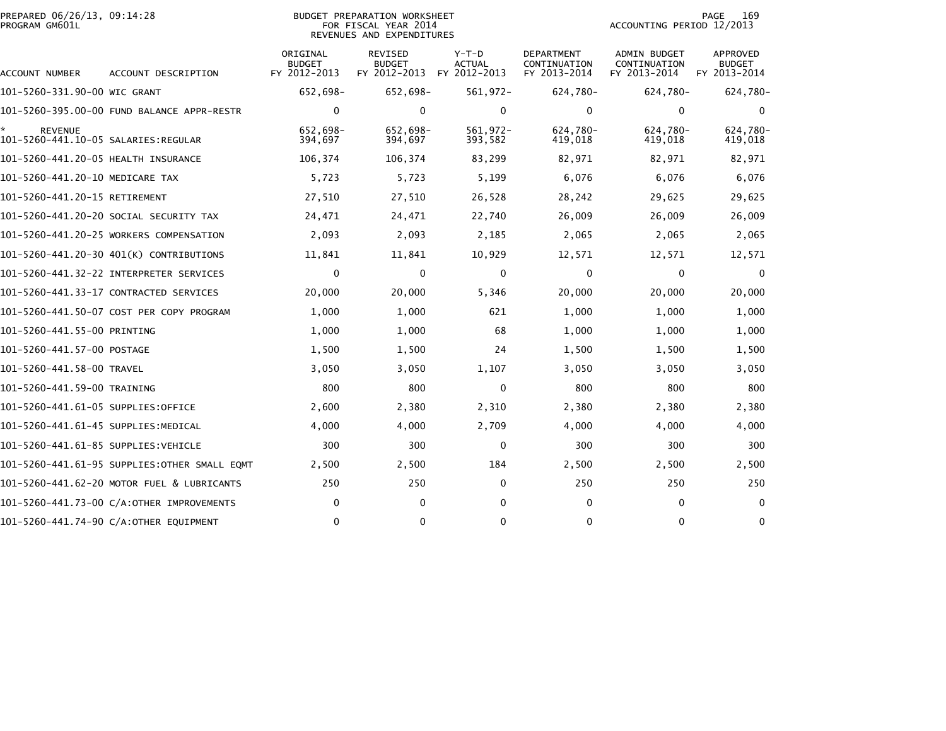| PREPARED 06/26/13, 09:14:28<br>PROGRAM GM601L         |                                            | <b>BUDGET PREPARATION WORKSHEET</b><br>FOR FISCAL YEAR 2014<br>REVENUES AND EXPENDITURES | 169<br>PAGE<br>ACCOUNTING PERIOD 12/2013                     |                          |                                            |                                              |                                                  |
|-------------------------------------------------------|--------------------------------------------|------------------------------------------------------------------------------------------|--------------------------------------------------------------|--------------------------|--------------------------------------------|----------------------------------------------|--------------------------------------------------|
| ACCOUNT NUMBER                                        | ACCOUNT DESCRIPTION                        | ORIGINAL<br><b>BUDGET</b><br>FY 2012-2013                                                | <b>REVISED</b><br><b>BUDGET</b><br>FY 2012-2013 FY 2012-2013 | $Y-T-D$<br><b>ACTUAL</b> | DEPARTMENT<br>CONTINUATION<br>FY 2013-2014 | ADMIN BUDGET<br>CONTINUATION<br>FY 2013-2014 | <b>APPROVED</b><br><b>BUDGET</b><br>FY 2013-2014 |
| 101-5260-331.90-00 WIC GRANT                          |                                            | 652,698-                                                                                 | 652,698-                                                     | 561,972-                 | 624,780-                                   | 624,780-                                     | 624,780-                                         |
|                                                       |                                            | $\mathbf 0$                                                                              | 0                                                            | $\mathbf{0}$             | $\mathbf{0}$                               | $\Omega$                                     | $\Omega$                                         |
| <b>REVENUE</b><br>101–5260–441.10–05 SALARIES:REGULAR |                                            | 652,698-<br>394,697                                                                      | 652,698-<br>394,697                                          | 561,972-<br>393,582      | 624,780-<br>419,018                        | 624,780-<br>419,018                          | 624,780-<br>419,018                              |
| 101-5260-441.20-05 HEALTH INSURANCE                   |                                            | 106,374                                                                                  | 106,374                                                      | 83,299                   | 82,971                                     | 82,971                                       | 82,971                                           |
| 101-5260-441.20-10 MEDICARE TAX                       |                                            | 5,723                                                                                    | 5,723                                                        | 5,199                    | 6,076                                      | 6,076                                        | 6,076                                            |
| 101-5260-441.20-15 RETIREMENT                         |                                            | 27,510                                                                                   | 27,510                                                       | 26,528                   | 28,242                                     | 29,625                                       | 29,625                                           |
|                                                       | 101-5260-441.20-20 SOCIAL SECURITY TAX     | 24,471                                                                                   | 24,471                                                       | 22,740                   | 26,009                                     | 26,009                                       | 26,009                                           |
|                                                       | 101-5260-441.20-25 WORKERS COMPENSATION    | 2,093                                                                                    | 2,093                                                        | 2,185                    | 2,065                                      | 2,065                                        | 2,065                                            |
|                                                       | 101-5260-441.20-30 401(K) CONTRIBUTIONS    | 11,841                                                                                   | 11,841                                                       | 10,929                   | 12,571                                     | 12,571                                       | 12,571                                           |
|                                                       | 101-5260-441.32-22 INTERPRETER SERVICES    | $\mathbf 0$                                                                              | $\mathbf 0$                                                  | 0                        | 0                                          | 0                                            | $\Omega$                                         |
|                                                       | 101–5260–441.33–17 CONTRACTED SERVICES     | 20,000                                                                                   | 20,000                                                       | 5,346                    | 20,000                                     | 20,000                                       | 20,000                                           |
|                                                       | 101-5260-441.50-07 COST PER COPY PROGRAM   | 1,000                                                                                    | 1,000                                                        | 621                      | 1,000                                      | 1,000                                        | 1,000                                            |
| 101-5260-441.55-00 PRINTING                           |                                            | 1,000                                                                                    | 1,000                                                        | 68                       | 1,000                                      | 1,000                                        | 1,000                                            |
| 101-5260-441.57-00 POSTAGE                            |                                            | 1,500                                                                                    | 1,500                                                        | 24                       | 1,500                                      | 1,500                                        | 1,500                                            |
| 101-5260-441.58-00 TRAVEL                             |                                            | 3,050                                                                                    | 3,050                                                        | 1,107                    | 3,050                                      | 3,050                                        | 3,050                                            |
| 101-5260-441.59-00 TRAINING                           |                                            | 800                                                                                      | 800                                                          | 0                        | 800                                        | 800                                          | 800                                              |
| 101-5260-441.61-05 SUPPLIES:OFFICE                    |                                            | 2,600                                                                                    | 2,380                                                        | 2,310                    | 2,380                                      | 2,380                                        | 2,380                                            |
| 101–5260–441.61–45 SUPPLIES:MEDICAL                   |                                            | 4,000                                                                                    | 4,000                                                        | 2,709                    | 4,000                                      | 4,000                                        | 4,000                                            |
| 101-5260-441.61-85 SUPPLIES:VEHICLE                   |                                            | 300                                                                                      | 300                                                          | 0                        | 300                                        | 300                                          | 300                                              |
|                                                       |                                            | 2,500                                                                                    | 2,500                                                        | 184                      | 2,500                                      | 2,500                                        | 2,500                                            |
|                                                       | 101-5260-441.62-20 MOTOR FUEL & LUBRICANTS | 250                                                                                      | 250                                                          | $\mathbf{0}$             | 250                                        | 250                                          | 250                                              |
|                                                       | 101-5260-441.73-00 C/A:OTHER IMPROVEMENTS  | 0                                                                                        | $\Omega$                                                     | 0                        | $\mathbf{0}$                               | $\Omega$                                     | $\Omega$                                         |
|                                                       | 101-5260-441.74-90 C/A:OTHER EQUIPMENT     | $\mathbf 0$                                                                              | 0                                                            | 0                        | $\mathbf{0}$                               | $\mathbf{0}$                                 | $\mathbf{0}$                                     |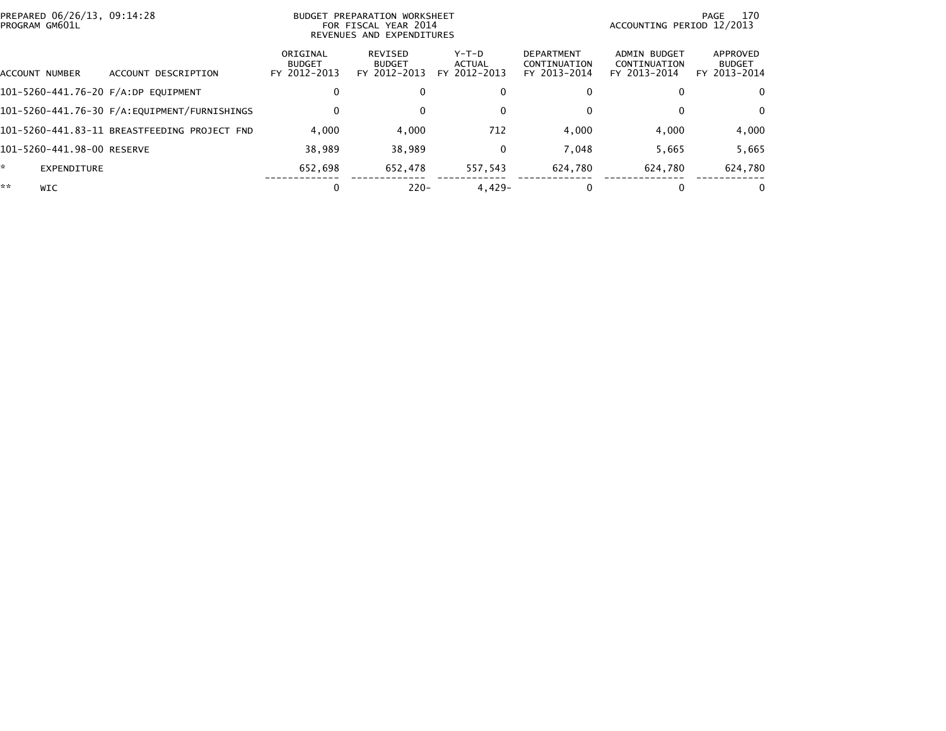| PREPARED 06/26/13, 09:14:28<br>PROGRAM GM601L |                                              | BUDGET                                    | PREPARATION WORKSHEET<br>FOR FISCAL YEAR 2014<br>REVENUES AND EXPENDITURES | ACCOUNTING PERIOD 12/2013         | 170<br>PAGE                                       |                                              |                                           |
|-----------------------------------------------|----------------------------------------------|-------------------------------------------|----------------------------------------------------------------------------|-----------------------------------|---------------------------------------------------|----------------------------------------------|-------------------------------------------|
| ACCOUNT NUMBER                                | ACCOUNT DESCRIPTION                          | ORIGINAL<br><b>BUDGET</b><br>FY 2012-2013 | REVISED<br><b>BUDGET</b><br>FY 2012-2013                                   | $Y-T-D$<br>ACTUAL<br>FY 2012-2013 | <b>DEPARTMENT</b><br>CONTINUATION<br>FY 2013-2014 | ADMIN BUDGET<br>CONTINUATION<br>FY 2013-2014 | APPROVED<br><b>BUDGET</b><br>FY 2013-2014 |
| 101-5260-441.76-20 F/A:DP EQUIPMENT           |                                              | 0                                         |                                                                            | $\bf{0}$                          |                                                   |                                              | 0                                         |
|                                               |                                              | 0                                         |                                                                            | $\mathbf{0}$                      |                                                   |                                              | $\Omega$                                  |
|                                               | 101-5260-441.83-11 BREASTFEEDING PROJECT FND | 4.000                                     | 4,000                                                                      | 712                               | 4,000                                             | 4,000                                        | 4,000                                     |
| 101-5260-441.98-00 RESERVE                    |                                              | 38.989                                    | 38.989                                                                     | $\bf{0}$                          | 7.048                                             | 5,665                                        | 5,665                                     |
| ÷.<br><b>EXPENDITURE</b>                      |                                              | 652.698                                   | 652.478                                                                    | 557,543                           | 624,780                                           | 624,780                                      | 624,780                                   |
| **<br>WIC                                     |                                              | 0                                         | $220 -$                                                                    | $4.429 -$                         |                                                   |                                              |                                           |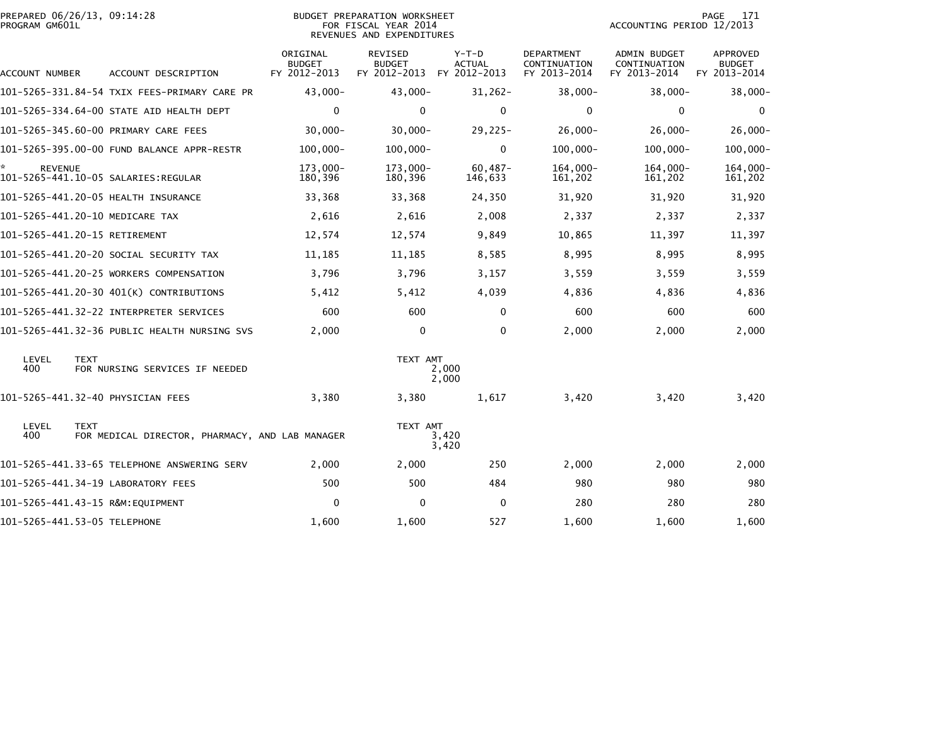| PROGRAM GM601L      | PREPARED 06/26/13, 09:14:28                                    |                                           | <b>BUDGET PREPARATION WORKSHEET</b><br>FOR FISCAL YEAR 2014<br>REVENUES AND EXPENDITURES |                                          |                                                   | ACCOUNTING PERIOD 12/2013                           | 171<br>PAGE                               |
|---------------------|----------------------------------------------------------------|-------------------------------------------|------------------------------------------------------------------------------------------|------------------------------------------|---------------------------------------------------|-----------------------------------------------------|-------------------------------------------|
| ACCOUNT NUMBER      | ACCOUNT DESCRIPTION                                            | ORIGINAL<br><b>BUDGET</b><br>FY 2012-2013 | REVISED<br><b>BUDGET</b><br>FY 2012-2013                                                 | $Y-T-D$<br><b>ACTUAL</b><br>FY 2012-2013 | <b>DEPARTMENT</b><br>CONTINUATION<br>FY 2013-2014 | <b>ADMIN BUDGET</b><br>CONTINUATION<br>FY 2013-2014 | APPROVED<br><b>BUDGET</b><br>FY 2013-2014 |
|                     | 101-5265-331.84-54 TXIX FEES-PRIMARY CARE PR                   | $43,000 -$                                | $43,000 -$                                                                               | $31,262-$                                | 38,000-                                           | $38,000 -$                                          | $38,000 -$                                |
|                     | 101-5265-334.64-00 STATE AID HEALTH DEPT                       | $\mathbf{0}$                              | 0                                                                                        | 0                                        | $\Omega$                                          | $\mathbf{0}$                                        | $\bf{0}$                                  |
|                     | 101-5265-345.60-00 PRIMARY CARE FEES                           | $30,000 -$                                | $30,000 -$                                                                               | $29,225-$                                | $26,000 -$                                        | $26,000-$                                           | $26,000 -$                                |
|                     | 101-5265-395.00-00 FUND BALANCE APPR-RESTR                     | $100,000 -$                               | $100,000 -$                                                                              | $\mathbf 0$                              | $100,000 -$                                       | $100,000 -$                                         | $100,000 -$                               |
| <b>REVENUE</b>      |                                                                | 173,000-<br>180,396                       | 173,000-<br>180,396                                                                      | $60,487-$<br>146,633                     | $164,000 -$<br>161,202                            | $164,000 -$<br>161,202                              | 164,000-<br>161,202                       |
|                     | 101-5265-441.20-05 HEALTH INSURANCE                            | 33,368                                    | 33,368                                                                                   | 24,350                                   | 31,920                                            | 31,920                                              | 31,920                                    |
|                     | 101-5265-441.20-10 MEDICARE TAX                                | 2,616                                     | 2,616                                                                                    | 2,008                                    | 2,337                                             | 2,337                                               | 2,337                                     |
|                     | 101-5265-441.20-15 RETIREMENT                                  | 12,574                                    | 12,574                                                                                   | 9,849                                    | 10,865                                            | 11,397                                              | 11,397                                    |
|                     | 101-5265-441.20-20 SOCIAL SECURITY TAX                         | 11,185                                    | 11,185                                                                                   | 8,585                                    | 8,995                                             | 8,995                                               | 8,995                                     |
|                     | 101-5265-441.20-25 WORKERS COMPENSATION                        | 3,796                                     | 3,796                                                                                    | 3,157                                    | 3,559                                             | 3,559                                               | 3,559                                     |
|                     | 101-5265-441.20-30 401(K) CONTRIBUTIONS                        | 5,412                                     | 5,412                                                                                    | 4,039                                    | 4,836                                             | 4,836                                               | 4,836                                     |
|                     | 101-5265-441.32-22 INTERPRETER SERVICES                        | 600                                       | 600                                                                                      | $\mathbf{0}$                             | 600                                               | 600                                                 | 600                                       |
|                     | 101-5265-441.32-36 PUBLIC HEALTH NURSING SVS                   | 2,000                                     | $\mathbf 0$                                                                              | $\Omega$                                 | 2,000                                             | 2,000                                               | 2,000                                     |
| <b>LEVEL</b><br>400 | <b>TEXT</b><br>FOR NURSING SERVICES IF NEEDED                  |                                           | TEXT AMT                                                                                 | 2,000<br>2,000                           |                                                   |                                                     |                                           |
|                     | 101-5265-441.32-40 PHYSICIAN FEES                              | 3,380                                     | 3,380                                                                                    | 1,617                                    | 3,420                                             | 3,420                                               | 3,420                                     |
| LEVEL<br>400        | <b>TEXT</b><br>FOR MEDICAL DIRECTOR, PHARMACY, AND LAB MANAGER |                                           | TEXT AMT                                                                                 | 3,420<br>3,420                           |                                                   |                                                     |                                           |
|                     | 101-5265-441.33-65 TELEPHONE ANSWERING SERV                    | 2,000                                     | 2,000                                                                                    | 250                                      | 2,000                                             | 2,000                                               | 2,000                                     |
|                     | 101-5265-441.34-19 LABORATORY FEES                             | 500                                       | 500                                                                                      | 484                                      | 980                                               | 980                                                 | 980                                       |
|                     | 101-5265-441.43-15 R&M:EQUIPMENT                               | 0                                         | $\Omega$                                                                                 | 0                                        | 280                                               | 280                                                 | 280                                       |
|                     | 101-5265-441.53-05 TELEPHONE                                   | 1,600                                     | 1,600                                                                                    | 527                                      | 1,600                                             | 1,600                                               | 1,600                                     |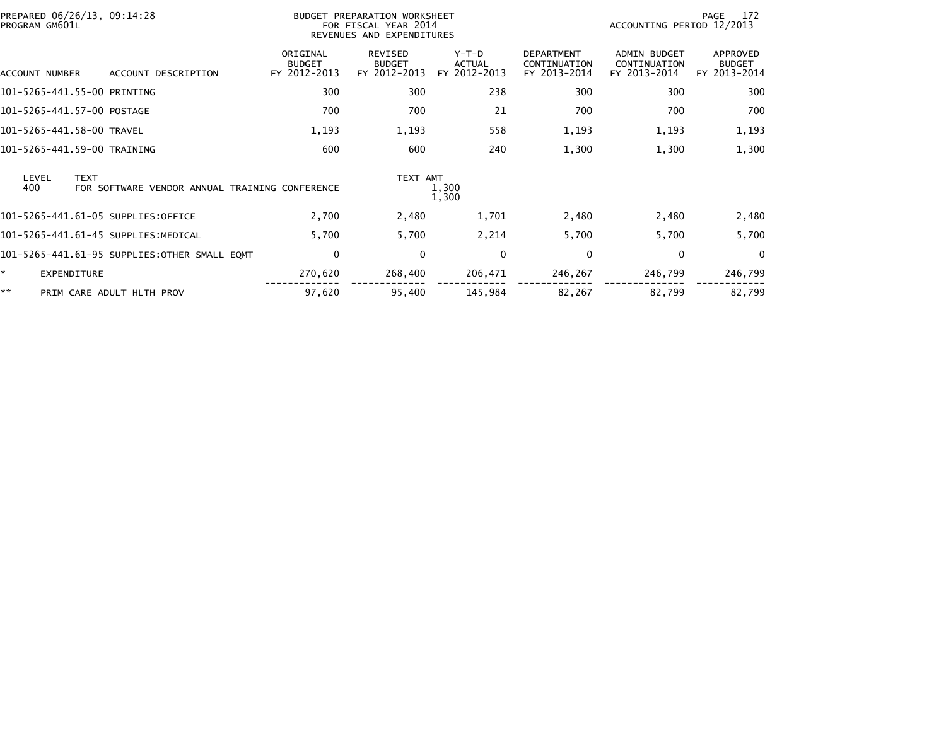| PREPARED 06/26/13, 09:14:28<br>PROGRAM GM601L |                                                | BUDGET PREPARATION WORKSHEET<br>FOR FISCAL YEAR 2014<br>REVENUES AND EXPENDITURES |                                          |                                          |                                                   | 172<br>PAGE<br>ACCOUNTING PERIOD 12/2013            |                                           |  |
|-----------------------------------------------|------------------------------------------------|-----------------------------------------------------------------------------------|------------------------------------------|------------------------------------------|---------------------------------------------------|-----------------------------------------------------|-------------------------------------------|--|
| ACCOUNT NUMBER                                | ACCOUNT DESCRIPTION                            | ORIGINAL<br><b>BUDGET</b><br>FY 2012-2013                                         | REVISED<br><b>BUDGET</b><br>FY 2012-2013 | $Y-T-D$<br><b>ACTUAL</b><br>FY 2012-2013 | <b>DEPARTMENT</b><br>CONTINUATION<br>FY 2013-2014 | <b>ADMIN BUDGET</b><br>CONTINUATION<br>FY 2013-2014 | APPROVED<br><b>BUDGET</b><br>FY 2013-2014 |  |
| 101-5265-441.55-00 PRINTING                   |                                                | 300                                                                               | 300                                      | 238                                      | 300                                               | 300                                                 | 300                                       |  |
| 101-5265-441.57-00 POSTAGE                    |                                                | 700                                                                               | 700                                      | 21                                       | 700                                               | 700                                                 | 700                                       |  |
| 101-5265-441.58-00 TRAVEL                     |                                                | 1,193                                                                             | 1,193                                    | 558                                      | 1,193                                             | 1,193                                               | 1,193                                     |  |
| 101-5265-441.59-00 TRAINING                   |                                                | 600                                                                               | 600                                      | 240                                      | 1,300                                             | 1,300                                               | 1,300                                     |  |
| LEVEL<br><b>TEXT</b><br>400                   | FOR SOFTWARE VENDOR ANNUAL TRAINING CONFERENCE |                                                                                   | TEXT AMT                                 | 1,300<br>1,300                           |                                                   |                                                     |                                           |  |
| 101-5265-441.61-05 SUPPLIES:OFFICE            |                                                | 2,700                                                                             | 2,480                                    | 1,701                                    | 2,480                                             | 2,480                                               | 2,480                                     |  |
| 101-5265-441.61-45 SUPPLIES:MEDICAL           |                                                | 5,700                                                                             | 5,700                                    | 2,214                                    | 5,700                                             | 5,700                                               | 5,700                                     |  |
|                                               | 101-5265-441.61-95 SUPPLIES:OTHER SMALL EQMT   | $\mathbf 0$                                                                       | 0                                        | 0                                        | 0                                                 | 0                                                   | $\Omega$                                  |  |
| ×.<br><b>EXPENDITURE</b>                      |                                                | 270,620                                                                           | 268,400                                  | 206,471                                  | 246,267                                           | 246,799                                             | 246,799                                   |  |
| **<br>PRIM CARE ADULT HLTH PROV               |                                                | 97,620                                                                            | 95,400                                   | 145,984                                  | 82,267                                            | 82,799                                              | 82,799                                    |  |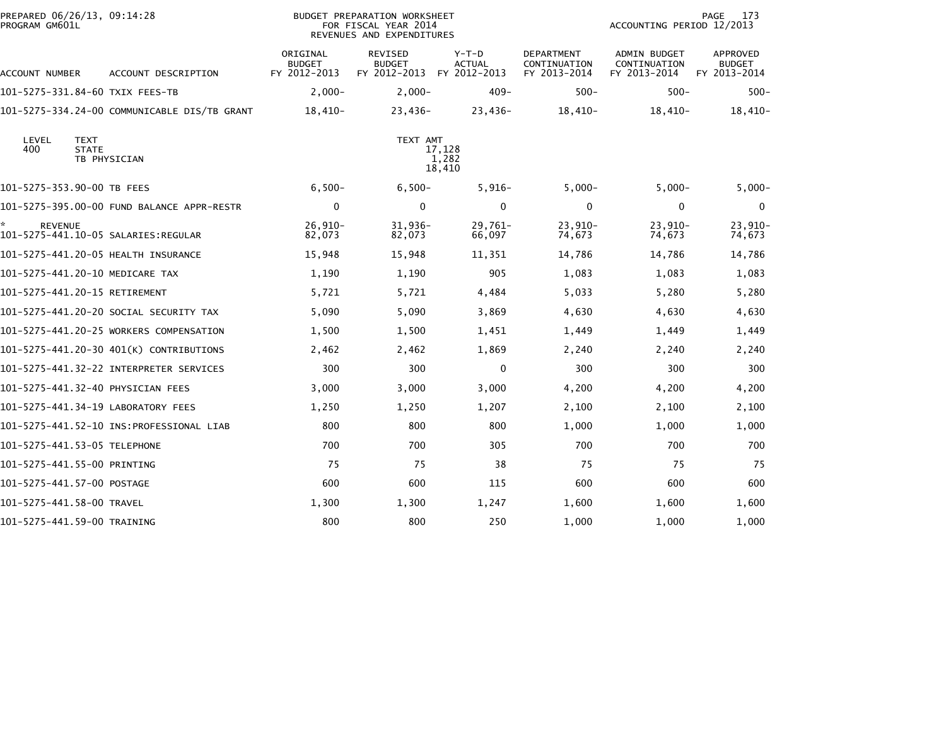| PREPARED 06/26/13, 09:14:28<br>PROGRAM GM601L |                                              |                                           | BUDGET PREPARATION WORKSHEET<br>FOR FISCAL YEAR 2014<br>REVENUES AND EXPENDITURES |                                          |                                            | ACCOUNTING PERIOD 12/2013                           | 173<br>PAGE                        |
|-----------------------------------------------|----------------------------------------------|-------------------------------------------|-----------------------------------------------------------------------------------|------------------------------------------|--------------------------------------------|-----------------------------------------------------|------------------------------------|
| ACCOUNT NUMBER                                | ACCOUNT DESCRIPTION                          | ORIGINAL<br><b>BUDGET</b><br>FY 2012-2013 | REVISED<br><b>BUDGET</b><br>FY 2012-2013                                          | $Y-T-D$<br><b>ACTUAL</b><br>FY 2012-2013 | DEPARTMENT<br>CONTINUATION<br>FY 2013-2014 | <b>ADMIN BUDGET</b><br>CONTINUATION<br>FY 2013-2014 | APPROVED<br>BUDGET<br>FY 2013-2014 |
| 101–5275–331.84–60 TXIX FEES–TB               |                                              | $2,000-$                                  | $2,000-$                                                                          | $409 -$                                  | $500 -$                                    | $500 -$                                             | $500 -$                            |
|                                               | 101-5275-334.24-00 COMMUNICABLE DIS/TB GRANT | $18,410-$                                 | 23,436-                                                                           | $23,436-$                                | $18,410-$                                  | $18,410-$                                           | $18,410-$                          |
| LEVEL<br><b>TEXT</b><br>400<br><b>STATE</b>   | TB PHYSICIAN                                 |                                           | TEXT AMT                                                                          | 17,128<br>1,282<br>18,410                |                                            |                                                     |                                    |
| 101-5275-353.90-00 TB FEES                    |                                              | $6,500-$                                  | $6,500-$                                                                          | $5,916-$                                 | $5,000-$                                   | $5,000-$                                            | $5,000-$                           |
|                                               | 101-5275-395.00-00 FUND BALANCE APPR-RESTR   | $\mathbf 0$                               | $\mathbf{0}$                                                                      | $\Omega$                                 | $\mathbf{0}$                               | 0                                                   | $\Omega$                           |
| <b>REVENUE</b>                                |                                              | $26,910-$<br>82,073                       | $31,936-$<br>82,073                                                               | 29,761–<br>66,097                        | 23,910-<br>74,673                          | $23,910-$<br>74,673                                 | $23,910-$<br>74,673                |
| 101-5275-441.20-05 HEALTH INSURANCE           |                                              | 15,948                                    | 15,948                                                                            | 11,351                                   | 14,786                                     | 14,786                                              | 14,786                             |
| 101-5275-441.20-10 MEDICARE TAX               |                                              | 1,190                                     | 1,190                                                                             | 905                                      | 1,083                                      | 1,083                                               | 1,083                              |
| 101-5275-441.20-15 RETIREMENT                 |                                              | 5,721                                     | 5,721                                                                             | 4,484                                    | 5,033                                      | 5,280                                               | 5,280                              |
|                                               | 101–5275–441.20–20 SOCIAL SECURITY TAX       | 5,090                                     | 5,090                                                                             | 3,869                                    | 4,630                                      | 4,630                                               | 4,630                              |
|                                               | 101-5275-441.20-25 WORKERS COMPENSATION      | 1,500                                     | 1,500                                                                             | 1,451                                    | 1,449                                      | 1,449                                               | 1,449                              |
|                                               | 101-5275-441.20-30 401(K) CONTRIBUTIONS      | 2,462                                     | 2,462                                                                             | 1,869                                    | 2,240                                      | 2,240                                               | 2,240                              |
|                                               |                                              | 300                                       | 300                                                                               | 0                                        | 300                                        | 300                                                 | 300                                |
| 101-5275-441.32-40 PHYSICIAN FEES             |                                              | 3,000                                     | 3,000                                                                             | 3,000                                    | 4,200                                      | 4,200                                               | 4,200                              |
| 101-5275-441.34-19 LABORATORY FEES            |                                              | 1,250                                     | 1,250                                                                             | 1,207                                    | 2,100                                      | 2,100                                               | 2,100                              |
|                                               |                                              | 800                                       | 800                                                                               | 800                                      | 1,000                                      | 1,000                                               | 1,000                              |
| 101-5275-441.53-05 TELEPHONE                  |                                              | 700                                       | 700                                                                               | 305                                      | 700                                        | 700                                                 | 700                                |
| 101-5275-441.55-00 PRINTING                   |                                              | 75                                        | 75                                                                                | 38                                       | 75                                         | 75                                                  | 75                                 |
| 101-5275-441.57-00 POSTAGE                    |                                              | 600                                       | 600                                                                               | 115                                      | 600                                        | 600                                                 | 600                                |
| 101-5275-441.58-00 TRAVEL                     |                                              | 1,300                                     | 1,300                                                                             | 1,247                                    | 1,600                                      | 1,600                                               | 1,600                              |
| 101-5275-441.59-00 TRAINING                   |                                              | 800                                       | 800                                                                               | 250                                      | 1,000                                      | 1,000                                               | 1,000                              |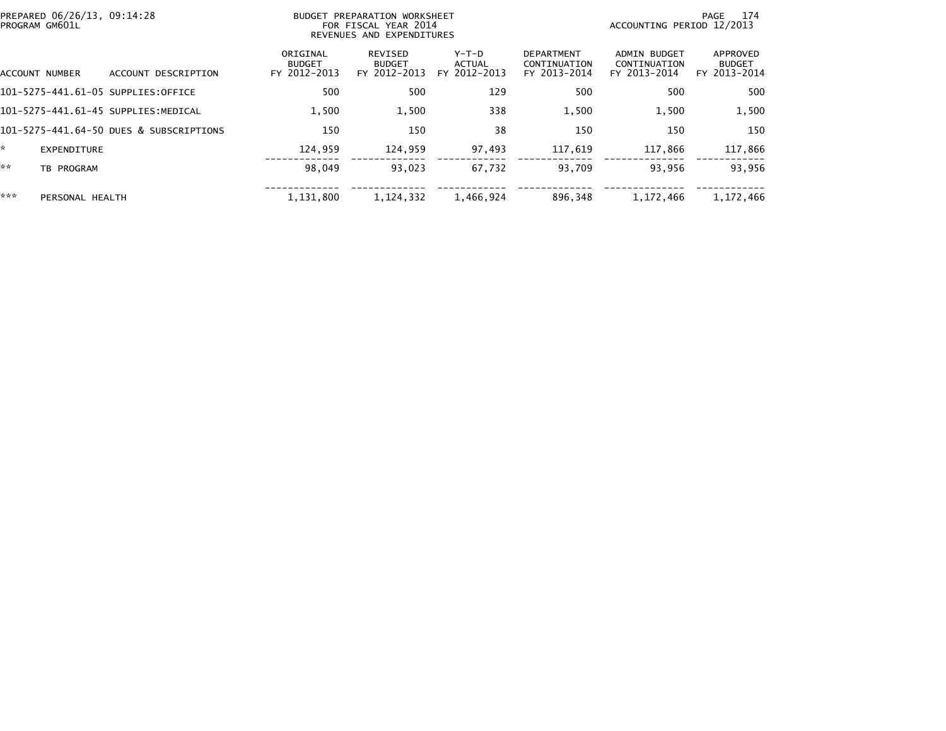|     | PREPARED 06/26/13, 09:14:28<br>PROGRAM GM601L |                                         | PREPARATION WORKSHEET<br>BUDGET<br>FOR FISCAL YEAR 2014<br>REVENUES AND EXPENDITURES |                                          |                                 |                                                   |                                              | 174<br>PAGE<br>ACCOUNTING PERIOD 12/2013  |  |  |
|-----|-----------------------------------------------|-----------------------------------------|--------------------------------------------------------------------------------------|------------------------------------------|---------------------------------|---------------------------------------------------|----------------------------------------------|-------------------------------------------|--|--|
|     | ACCOUNT NUMBER                                | ACCOUNT DESCRIPTION                     | ORIGINAL<br><b>BUDGET</b><br>FY 2012-2013                                            | REVISED<br><b>BUDGET</b><br>FY 2012-2013 | Y-T-D<br>ACTUAL<br>FY 2012-2013 | <b>DEPARTMENT</b><br>CONTINUATION<br>FY 2013-2014 | ADMIN BUDGET<br>CONTINUATION<br>FY 2013-2014 | APPROVED<br><b>BUDGET</b><br>FY 2013-2014 |  |  |
|     |                                               | 101-5275-441.61-05 SUPPLIES:OFFICE      | 500                                                                                  | 500                                      | 129                             | 500                                               | 500                                          | 500                                       |  |  |
|     |                                               | 101-5275-441.61-45 SUPPLIES:MEDICAL     | 1.500                                                                                | 1,500                                    | 338                             | 1,500                                             | 1,500                                        | 1,500                                     |  |  |
|     |                                               | 101-5275-441.64-50 DUES & SUBSCRIPTIONS | 150                                                                                  | 150                                      | 38                              | 150                                               | 150                                          | 150                                       |  |  |
| ÷.  | EXPENDITURE                                   |                                         | 124,959                                                                              | 124,959                                  | 97,493                          | 117,619                                           | 117,866                                      | 117,866                                   |  |  |
| **  | TB PROGRAM                                    |                                         | 98,049                                                                               | 93.023                                   | 67,732                          | 93,709                                            | 93,956                                       | 93,956                                    |  |  |
| *** | PERSONAL HEALTH                               |                                         | 1.131.800                                                                            | 1.124.332                                | 1,466,924                       | 896.348                                           | 1.172.466                                    | 1,172,466                                 |  |  |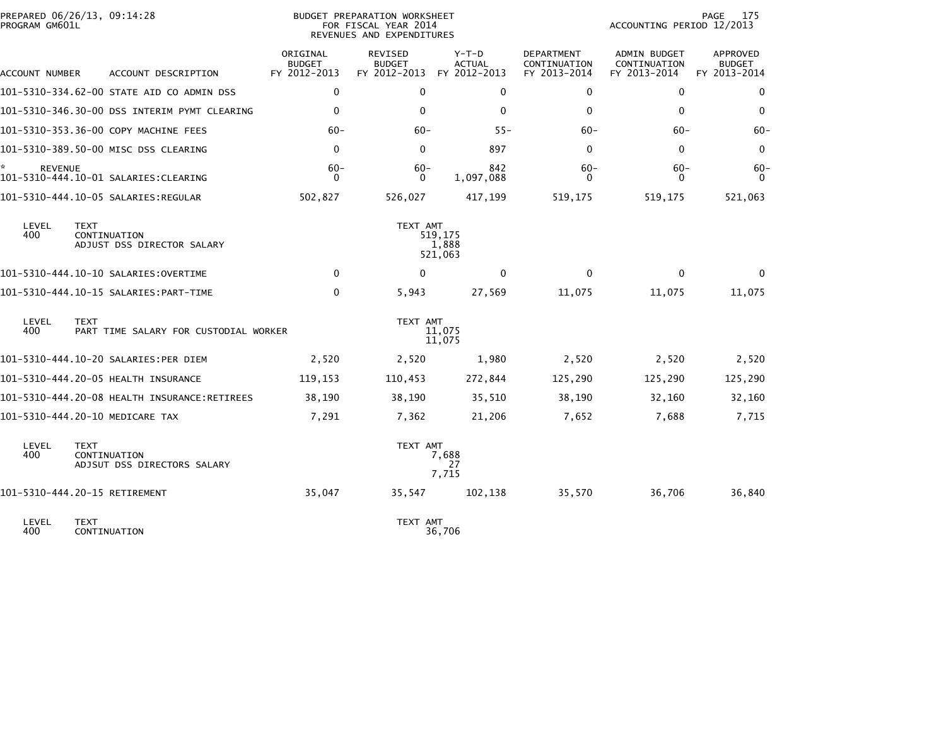| PROGRAM GM601L      | PREPARED 06/26/13, 09:14:28                                | <b>BUDGET PREPARATION WORKSHEET</b><br>FOR FISCAL YEAR 2014<br>REVENUES AND EXPENDITURES |                                                 |                                          |                                                   | PAGE<br>175<br>ACCOUNTING PERIOD 12/2013     |                                           |  |
|---------------------|------------------------------------------------------------|------------------------------------------------------------------------------------------|-------------------------------------------------|------------------------------------------|---------------------------------------------------|----------------------------------------------|-------------------------------------------|--|
| ACCOUNT NUMBER      | ACCOUNT DESCRIPTION                                        | ORIGINAL<br><b>BUDGET</b><br>FY 2012-2013                                                | <b>REVISED</b><br><b>BUDGET</b><br>FY 2012-2013 | $Y-T-D$<br><b>ACTUAL</b><br>FY 2012-2013 | <b>DEPARTMENT</b><br>CONTINUATION<br>FY 2013-2014 | ADMIN BUDGET<br>CONTINUATION<br>FY 2013-2014 | APPROVED<br><b>BUDGET</b><br>FY 2013-2014 |  |
|                     | 101-5310-334.62-00 STATE AID CO ADMIN DSS                  | $\Omega$                                                                                 | $\Omega$                                        | $\mathbf{0}$                             | 0                                                 | $\mathbf{0}$                                 | $\mathbf{0}$                              |  |
|                     | 101-5310-346.30-00 DSS INTERIM PYMT CLEARING               | 0                                                                                        | $\mathbf{0}$                                    | 0                                        | 0                                                 | 0                                            | 0                                         |  |
|                     | 101-5310-353.36-00 COPY MACHINE FEES                       | $60 -$                                                                                   | $60-$                                           | $55 -$                                   | $60 -$                                            | $60 -$                                       | $60 -$                                    |  |
|                     | 101-5310-389.50-00 MISC DSS CLEARING                       | 0                                                                                        | 0                                               | 897                                      | 0                                                 | 0                                            | 0                                         |  |
| *<br><b>REVENUE</b> |                                                            | $60 -$<br>$\Omega$                                                                       | $60 -$<br>$\Omega$                              | 842<br>1,097,088                         | $60 -$<br>$\Omega$                                | $60 -$<br>0                                  | $60 -$<br>$\Omega$                        |  |
|                     | 101-5310-444.10-05 SALARIES:REGULAR                        | 502,827                                                                                  | 526,027                                         | 417,199                                  | 519,175                                           | 519,175                                      | 521,063                                   |  |
| LEVEL<br>400        | <b>TEXT</b><br>CONTINUATION<br>ADJUST DSS DIRECTOR SALARY  |                                                                                          | TEXT AMT                                        | 519,175<br>1,888<br>521,063              |                                                   |                                              |                                           |  |
|                     |                                                            | $\Omega$                                                                                 | $\Omega$                                        | $\mathbf{0}$                             | $\Omega$                                          | 0                                            | $\Omega$                                  |  |
|                     |                                                            | $\mathbf 0$                                                                              | 5,943                                           | 27,569                                   | 11,075                                            | 11,075                                       | 11,075                                    |  |
| LEVEL<br>400        | <b>TEXT</b><br>PART TIME SALARY FOR CUSTODIAL WORKER       |                                                                                          | TEXT AMT                                        | 11,075<br>11,075                         |                                                   |                                              |                                           |  |
|                     | 101-5310-444.10-20 SALARIES:PER DIEM                       | 2,520                                                                                    | 2,520                                           | 1,980                                    | 2,520                                             | 2,520                                        | 2,520                                     |  |
|                     | 101-5310-444.20-05 HEALTH INSURANCE                        | 119,153                                                                                  | 110,453                                         | 272,844                                  | 125,290                                           | 125,290                                      | 125,290                                   |  |
|                     |                                                            | 38,190                                                                                   | 38,190                                          | 35,510                                   | 38,190                                            | 32,160                                       | 32,160                                    |  |
|                     | 101-5310-444.20-10 MEDICARE TAX                            | 7,291                                                                                    | 7,362                                           | 21,206                                   | 7,652                                             | 7,688                                        | 7,715                                     |  |
| LEVEL<br>400        | <b>TEXT</b><br>CONTINUATION<br>ADJSUT DSS DIRECTORS SALARY |                                                                                          | TEXT AMT                                        | 7,688<br>27<br>7,715                     |                                                   |                                              |                                           |  |
|                     | 101-5310-444.20-15 RETIREMENT                              | 35,047                                                                                   | 35,547                                          | 102,138                                  | 35,570                                            | 36,706                                       | 36,840                                    |  |
| LEVEL<br>400        | <b>TEXT</b><br>CONTINUATION                                |                                                                                          | TEXT AMT                                        | 36,706                                   |                                                   |                                              |                                           |  |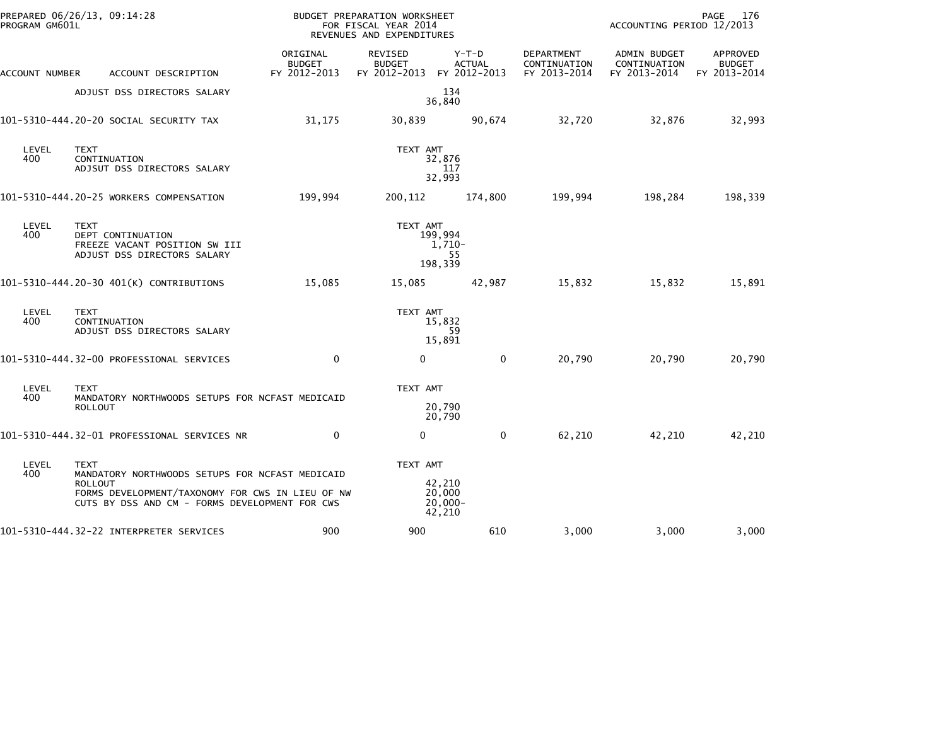| PROGRAM GM601L | PREPARED 06/26/13, 09:14:28                                                                                                                                                            |                                           | BUDGET PREPARATION WORKSHEET<br>FOR FISCAL YEAR 2014<br>REVENUES AND EXPENDITURES |                                          |                                            | PAGE<br>- 176<br>ACCOUNTING PERIOD 12/2013   |                                           |  |
|----------------|----------------------------------------------------------------------------------------------------------------------------------------------------------------------------------------|-------------------------------------------|-----------------------------------------------------------------------------------|------------------------------------------|--------------------------------------------|----------------------------------------------|-------------------------------------------|--|
| ACCOUNT NUMBER | ACCOUNT DESCRIPTION                                                                                                                                                                    | ORIGINAL<br><b>BUDGET</b><br>FY 2012-2013 | REVISED<br><b>BUDGET</b><br>FY 2012-2013 FY 2012-2013                             | $Y-T-D$<br><b>ACTUAL</b>                 | DEPARTMENT<br>CONTINUATION<br>FY 2013-2014 | ADMIN BUDGET<br>CONTINUATION<br>FY 2013-2014 | APPROVED<br><b>BUDGET</b><br>FY 2013-2014 |  |
|                | ADJUST DSS DIRECTORS SALARY                                                                                                                                                            |                                           |                                                                                   | 134<br>36,840                            |                                            |                                              |                                           |  |
|                | 101-5310-444.20-20 SOCIAL SECURITY TAX                                                                                                                                                 | 31,175                                    | 30,839                                                                            | 90,674                                   | 32,720                                     | 32,876                                       | 32,993                                    |  |
| LEVEL<br>400   | <b>TEXT</b><br>CONTINUATION<br>ADJSUT DSS DIRECTORS SALARY                                                                                                                             |                                           | TEXT AMT                                                                          | 32,876<br>117<br>32,993                  |                                            |                                              |                                           |  |
|                | 101-5310-444.20-25 WORKERS COMPENSATION                                                                                                                                                | 199,994                                   | 200,112                                                                           | 174,800                                  | 199,994                                    | 198,284                                      | 198,339                                   |  |
| LEVEL<br>400   | <b>TEXT</b><br>DEPT CONTINUATION<br>FREEZE VACANT POSITION SW III<br>ADJUST DSS DIRECTORS SALARY                                                                                       |                                           | TEXT AMT                                                                          | 199,994<br>$1,710-$<br>55<br>198,339     |                                            |                                              |                                           |  |
|                | 101-5310-444.20-30 401(K) CONTRIBUTIONS                                                                                                                                                | 15,085                                    | 15,085                                                                            | 42,987                                   | 15,832                                     | 15,832                                       | 15,891                                    |  |
| LEVEL<br>400   | <b>TEXT</b><br>CONTINUATION<br>ADJUST DSS DIRECTORS SALARY                                                                                                                             |                                           | TEXT AMT                                                                          | 15,832<br>59<br>15,891                   |                                            |                                              |                                           |  |
|                | 101-5310-444.32-00 PROFESSIONAL SERVICES                                                                                                                                               | $\mathbf 0$                               | $\mathbf 0$                                                                       | 0                                        | 20,790                                     | 20,790                                       | 20,790                                    |  |
| LEVEL<br>400   | <b>TEXT</b><br>MANDATORY NORTHWOODS SETUPS FOR NCFAST MEDICAID<br><b>ROLLOUT</b>                                                                                                       |                                           | TEXT AMT                                                                          | 20,790<br>20,790                         |                                            |                                              |                                           |  |
|                | 101-5310-444.32-01 PROFESSIONAL SERVICES NR                                                                                                                                            | $\Omega$                                  | 0                                                                                 | $\mathbf{0}$                             | 62,210                                     | 42,210                                       | 42,210                                    |  |
| LEVEL<br>400   | <b>TEXT</b><br>MANDATORY NORTHWOODS SETUPS FOR NCFAST MEDICAID<br><b>ROLLOUT</b><br>FORMS DEVELOPMENT/TAXONOMY FOR CWS IN LIEU OF NW<br>CUTS BY DSS AND CM - FORMS DEVELOPMENT FOR CWS |                                           | TEXT AMT                                                                          | 42,210<br>20,000<br>$20,000 -$<br>42,210 |                                            |                                              |                                           |  |
|                | 101-5310-444.32-22 INTERPRETER SERVICES                                                                                                                                                | 900                                       | 900                                                                               | 610                                      | 3,000                                      | 3,000                                        | 3,000                                     |  |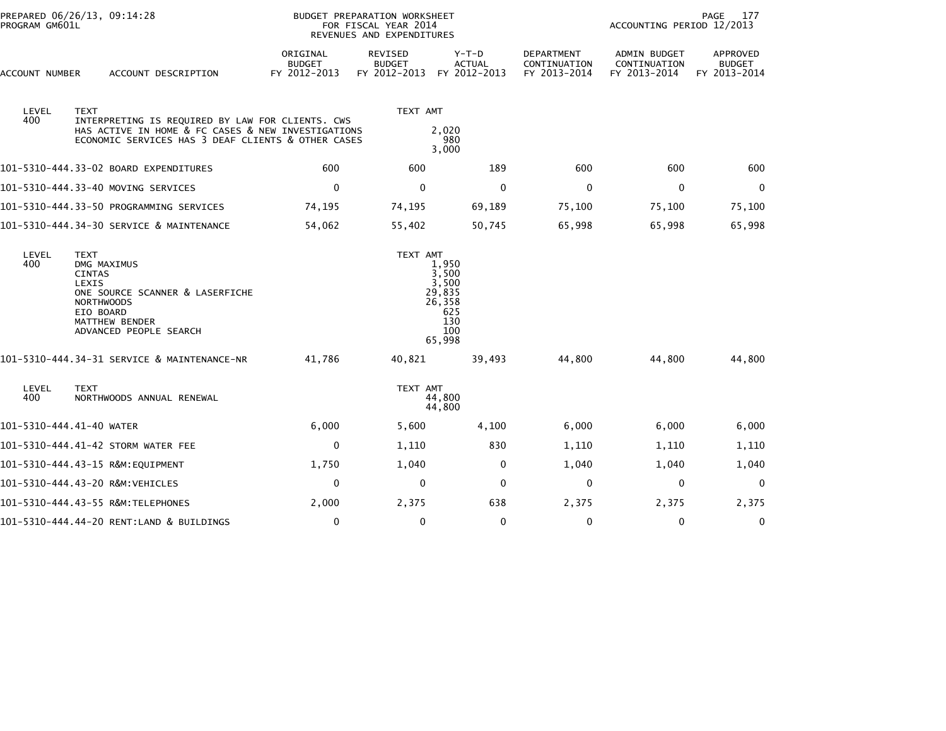| PREPARED 06/26/13, 09:14:28<br>PROGRAM GM601L |                                                                                                                                                                              | <b>BUDGET PREPARATION WORKSHEET</b><br>FOR FISCAL YEAR 2014<br>REVENUES AND EXPENDITURES |                                                 |                                          | PAGE<br>177<br>ACCOUNTING PERIOD 12/2013          |                                              |                                           |  |
|-----------------------------------------------|------------------------------------------------------------------------------------------------------------------------------------------------------------------------------|------------------------------------------------------------------------------------------|-------------------------------------------------|------------------------------------------|---------------------------------------------------|----------------------------------------------|-------------------------------------------|--|
| ACCOUNT NUMBER                                | ACCOUNT DESCRIPTION                                                                                                                                                          | ORIGINAL<br><b>BUDGET</b><br>FY 2012-2013                                                | <b>REVISED</b><br><b>BUDGET</b><br>FY 2012-2013 | $Y-T-D$<br><b>ACTUAL</b><br>FY 2012-2013 | <b>DEPARTMENT</b><br>CONTINUATION<br>FY 2013-2014 | ADMIN BUDGET<br>CONTINUATION<br>FY 2013-2014 | APPROVED<br><b>BUDGET</b><br>FY 2013-2014 |  |
| LEVEL<br>400                                  | <b>TEXT</b><br>INTERPRETING IS REQUIRED BY LAW FOR CLIENTS. CWS                                                                                                              |                                                                                          | TEXT AMT                                        |                                          |                                                   |                                              |                                           |  |
|                                               | HAS ACTIVE IN HOME & FC CASES & NEW INVESTIGATIONS<br>ECONOMIC SERVICES HAS 3 DEAF CLIENTS & OTHER CASES                                                                     | 2,020<br>980<br>3,000                                                                    |                                                 |                                          |                                                   |                                              |                                           |  |
|                                               | 101-5310-444.33-02 BOARD EXPENDITURES                                                                                                                                        | 600                                                                                      | 600                                             | 189                                      | 600                                               | 600                                          | 600                                       |  |
|                                               | 101–5310–444.33–40 MOVING SERVICES                                                                                                                                           | 0                                                                                        | $\mathbf 0$                                     | $\mathbf 0$                              | $\mathbf 0$                                       | 0                                            | $\mathbf 0$                               |  |
|                                               | 101-5310-444.33-50 PROGRAMMING SERVICES                                                                                                                                      | 74,195                                                                                   | 74,195                                          | 69,189                                   | 75,100                                            | 75,100                                       | 75,100                                    |  |
|                                               | 101-5310-444.34-30 SERVICE & MAINTENANCE                                                                                                                                     | 54,062                                                                                   | 55,402                                          | 50,745                                   | 65,998                                            | 65,998                                       | 65,998                                    |  |
| LEVEL<br>400                                  | <b>TEXT</b><br>DMG MAXIMUS<br><b>CINTAS</b><br>LEXIS<br>ONE SOURCE SCANNER & LASERFICHE<br><b>NORTHWOODS</b><br>EIO BOARD<br><b>MATTHEW BENDER</b><br>ADVANCED PEOPLE SEARCH | TEXT AMT<br>1,950<br>3,500<br>3,500<br>29,835<br>26,358<br>625<br>130<br>100<br>65,998   |                                                 |                                          |                                                   |                                              |                                           |  |
|                                               | 101-5310-444.34-31 SERVICE & MAINTENANCE-NR                                                                                                                                  | 41,786                                                                                   | 40,821                                          | 39,493                                   | 44,800                                            | 44,800                                       | 44,800                                    |  |
| LEVEL<br>400                                  | <b>TEXT</b><br>NORTHWOODS ANNUAL RENEWAL                                                                                                                                     |                                                                                          | TEXT AMT                                        | 44,800<br>44,800                         |                                                   |                                              |                                           |  |
| 101-5310-444.41-40 WATER                      |                                                                                                                                                                              | 6,000                                                                                    | 5,600                                           | 4,100                                    | 6,000                                             | 6,000                                        | 6,000                                     |  |
|                                               | 101-5310-444.41-42 STORM WATER FEE                                                                                                                                           | 0                                                                                        | 1,110                                           | 830                                      | 1,110                                             | 1,110                                        | 1,110                                     |  |
|                                               |                                                                                                                                                                              | 1,750                                                                                    | 1,040                                           | 0                                        | 1,040                                             | 1,040                                        | 1,040                                     |  |
|                                               | 101-5310-444.43-20 R&M:VEHICLES                                                                                                                                              | $\mathbf 0$                                                                              | $\mathbf 0$                                     | $\mathbf 0$                              | $\mathbf 0$                                       | $\Omega$                                     | $\mathbf 0$                               |  |
|                                               | 101-5310-444.43-55 R&M:TELEPHONES                                                                                                                                            | 2,000                                                                                    | 2,375                                           | 638                                      | 2,375                                             | 2,375                                        | 2,375                                     |  |
|                                               | 101-5310-444.44-20 RENT:LAND & BUILDINGS                                                                                                                                     | $\pmb{0}$                                                                                | $\mathbf 0$                                     | $\mathbf 0$                              | $\mathbf 0$                                       | $\Omega$                                     | 0                                         |  |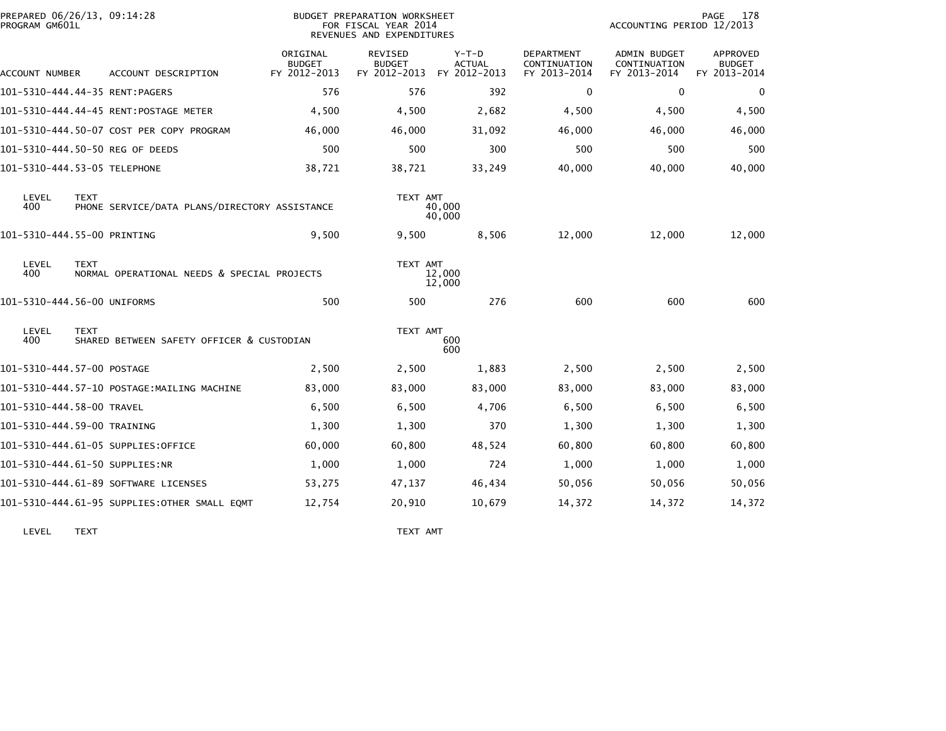| PREPARED 06/26/13, 09:14:28<br>PROGRAM GM601L |             | BUDGET PREPARATION WORKSHEET<br>FOR FISCAL YEAR 2014<br>REVENUES AND EXPENDITURES |                                           |                                                 |                                          |                                                   | 178<br>PAGE<br>ACCOUNTING PERIOD 12/2013     |                                                  |  |
|-----------------------------------------------|-------------|-----------------------------------------------------------------------------------|-------------------------------------------|-------------------------------------------------|------------------------------------------|---------------------------------------------------|----------------------------------------------|--------------------------------------------------|--|
| ACCOUNT NUMBER                                |             | ACCOUNT DESCRIPTION                                                               | ORIGINAL<br><b>BUDGET</b><br>FY 2012-2013 | <b>REVISED</b><br><b>BUDGET</b><br>FY 2012-2013 | $Y-T-D$<br><b>ACTUAL</b><br>FY 2012-2013 | <b>DEPARTMENT</b><br>CONTINUATION<br>FY 2013-2014 | ADMIN BUDGET<br>CONTINUATION<br>FY 2013-2014 | <b>APPROVED</b><br><b>BUDGET</b><br>FY 2013-2014 |  |
| 101-5310-444.44-35 RENT:PAGERS                |             |                                                                                   | 576                                       | 576                                             | 392                                      | 0                                                 | 0                                            | 0                                                |  |
|                                               |             | 101-5310-444.44-45 RENT:POSTAGE METER                                             | 4,500                                     | 4,500                                           | 2,682                                    | 4,500                                             | 4,500                                        | 4,500                                            |  |
|                                               |             | 101-5310-444.50-07 COST PER COPY PROGRAM                                          | 46,000                                    | 46,000                                          | 31,092                                   | 46,000                                            | 46,000                                       | 46,000                                           |  |
|                                               |             | 101-5310-444.50-50 REG OF DEEDS                                                   | 500                                       | 500                                             | 300                                      | 500                                               | 500                                          | 500                                              |  |
| 101-5310-444.53-05 TELEPHONE                  |             |                                                                                   | 38,721                                    | 38,721                                          | 33,249                                   | 40,000                                            | 40,000                                       | 40,000                                           |  |
| LEVEL<br>400                                  | <b>TEXT</b> | PHONE SERVICE/DATA PLANS/DIRECTORY ASSISTANCE                                     |                                           | TEXT AMT                                        | 40,000<br>40,000                         |                                                   |                                              |                                                  |  |
| 101-5310-444.55-00 PRINTING                   |             |                                                                                   | 9,500                                     | 9,500                                           | 8,506                                    | 12,000                                            | 12,000                                       | 12,000                                           |  |
| LEVEL<br>400                                  | <b>TEXT</b> | NORMAL OPERATIONAL NEEDS & SPECIAL PROJECTS                                       |                                           | TEXT AMT                                        | 12,000<br>12,000                         |                                                   |                                              |                                                  |  |
| 101-5310-444.56-00 UNIFORMS                   |             |                                                                                   | 500                                       | 500                                             | 276                                      | 600                                               | 600                                          | 600                                              |  |
| LEVEL<br>400                                  | <b>TEXT</b> | SHARED BETWEEN SAFETY OFFICER & CUSTODIAN                                         |                                           | TEXT AMT<br>600<br>600                          |                                          |                                                   |                                              |                                                  |  |
| 101-5310-444.57-00 POSTAGE                    |             |                                                                                   | 2,500                                     | 2,500                                           | 1,883                                    | 2,500                                             | 2,500                                        | 2,500                                            |  |
|                                               |             | 101-5310-444.57-10 POSTAGE:MAILING MACHINE                                        | 83,000                                    | 83,000                                          | 83,000                                   | 83,000                                            | 83,000                                       | 83,000                                           |  |
| 101-5310-444.58-00 TRAVEL                     |             |                                                                                   | 6,500                                     | 6,500                                           | 4,706                                    | 6,500                                             | 6,500                                        | 6,500                                            |  |
| 101-5310-444.59-00 TRAINING                   |             |                                                                                   | 1,300                                     | 1,300                                           | 370                                      | 1,300                                             | 1,300                                        | 1,300                                            |  |
|                                               |             | 101-5310-444.61-05 SUPPLIES:OFFICE                                                | 60,000                                    | 60,800                                          | 48,524                                   | 60,800                                            | 60,800                                       | 60,800                                           |  |
| 101-5310-444.61-50 SUPPLIES:NR                |             |                                                                                   | 1,000                                     | 1,000                                           | 724                                      | 1,000                                             | 1,000                                        | 1,000                                            |  |
|                                               |             | 101-5310-444.61-89 SOFTWARE LICENSES                                              | 53,275                                    | 47,137                                          | 46,434                                   | 50,056                                            | 50,056                                       | 50,056                                           |  |
|                                               |             | 101-5310-444.61-95 SUPPLIES:OTHER SMALL EQMT                                      | 12,754                                    | 20,910                                          | 10,679                                   | 14,372                                            | 14,372                                       | 14,372                                           |  |
|                                               |             |                                                                                   |                                           |                                                 |                                          |                                                   |                                              |                                                  |  |

LEVEL TEXT TEXT AMT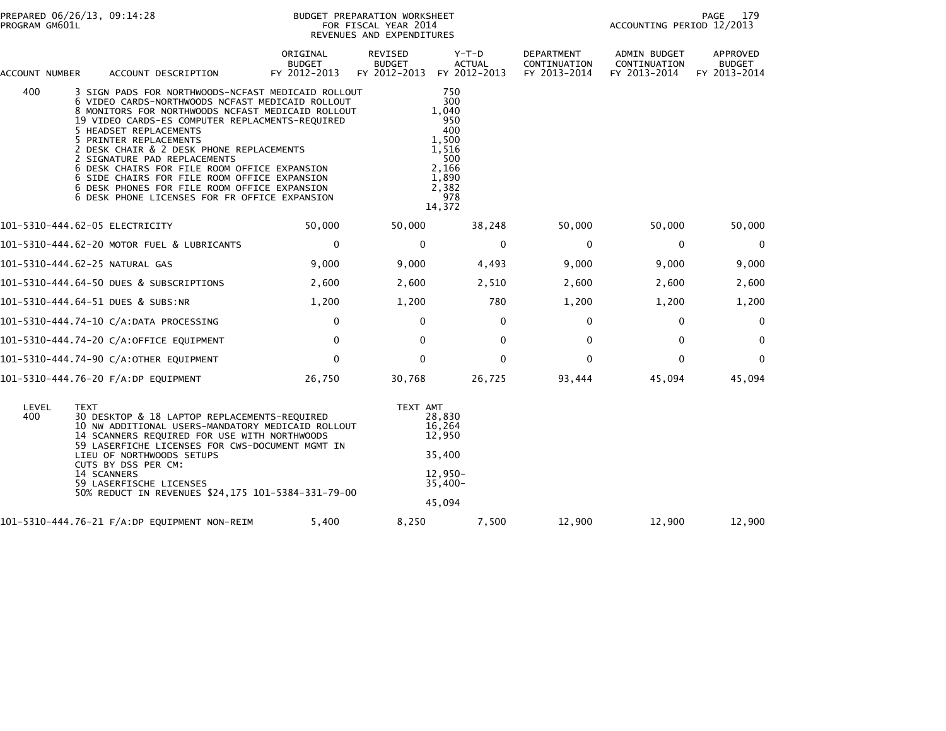| PROGRAM GM601L | PREPARED 06/26/13, 09:14:28                                                                                                                                                                                                                                                                                                                                                                                                                                                                                                                     |                                    | BUDGET PREPARATION WORKSHEET<br>FOR FISCAL YEAR 2014<br>REVENUES AND EXPENDITURES |                                                                                                        |                                            | PAGE<br>179<br>ACCOUNTING PERIOD 12/2013            |                                           |  |
|----------------|-------------------------------------------------------------------------------------------------------------------------------------------------------------------------------------------------------------------------------------------------------------------------------------------------------------------------------------------------------------------------------------------------------------------------------------------------------------------------------------------------------------------------------------------------|------------------------------------|-----------------------------------------------------------------------------------|--------------------------------------------------------------------------------------------------------|--------------------------------------------|-----------------------------------------------------|-------------------------------------------|--|
| ACCOUNT NUMBER | ACCOUNT DESCRIPTION                                                                                                                                                                                                                                                                                                                                                                                                                                                                                                                             | ORIGINAL<br>BUDGET<br>FY 2012-2013 | REVISED<br><b>BUDGET</b><br>FY 2012-2013                                          | $Y-T-D$<br><b>ACTUAL</b><br>FY 2012-2013                                                               | DEPARTMENT<br>CONTINUATION<br>FY 2013-2014 | <b>ADMIN BUDGET</b><br>CONTINUATION<br>FY 2013-2014 | APPROVED<br><b>BUDGET</b><br>FY 2013-2014 |  |
| 400            | 3 SIGN PADS FOR NORTHWOODS-NCFAST MEDICAID ROLLOUT<br>6 VIDEO CARDS-NORTHWOODS NCFAST MEDICAID ROLLOUT<br>8 MONITORS FOR NORTHWOODS NCFAST MEDICAID ROLLOUT<br>19 VIDEO CARDS-ES COMPUTER REPLACMENTS-REQUIRED<br>5 HEADSET REPLACEMENTS<br>5 PRINTER REPLACEMENTS<br>2 DESK CHAIR & 2 DESK PHONE REPLACEMENTS<br>2 SIGNATURE PAD REPLACEMENTS<br>6 DESK CHAIRS FOR FILE ROOM OFFICE EXPANSION<br>6 SIDE CHAIRS FOR FILE ROOM OFFICE EXPANSION<br>6 DESK PHONES FOR FILE ROOM OFFICE EXPANSION<br>6 DESK PHONE LICENSES FOR FR OFFICE EXPANSION |                                    |                                                                                   | 750<br>300<br>1,040<br>950<br>400<br>1,500<br>1,516<br>500<br>2.166<br>1,890<br>2,382<br>978<br>14,372 |                                            |                                                     |                                           |  |
|                | 101-5310-444.62-05 ELECTRICITY                                                                                                                                                                                                                                                                                                                                                                                                                                                                                                                  | 50,000                             | 50,000                                                                            | 38,248                                                                                                 | 50,000                                     | 50,000                                              | 50,000                                    |  |
|                | 101-5310-444.62-20 MOTOR FUEL & LUBRICANTS                                                                                                                                                                                                                                                                                                                                                                                                                                                                                                      | $\mathbf{0}$                       | $\Omega$                                                                          | $\mathbf{0}$                                                                                           | $\mathbf{0}$                               | $\mathbf{0}$                                        | 0                                         |  |
|                | 101-5310-444.62-25 NATURAL GAS                                                                                                                                                                                                                                                                                                                                                                                                                                                                                                                  | 9,000                              | 9,000                                                                             | 4,493                                                                                                  | 9,000                                      | 9,000                                               | 9,000                                     |  |
|                | 101-5310-444.64-50 DUES & SUBSCRIPTIONS                                                                                                                                                                                                                                                                                                                                                                                                                                                                                                         | 2,600                              | 2,600                                                                             | 2,510                                                                                                  | 2,600                                      | 2,600                                               | 2,600                                     |  |
|                | 101-5310-444.64-51 DUES & SUBS:NR                                                                                                                                                                                                                                                                                                                                                                                                                                                                                                               | 1,200                              | 1,200                                                                             | 780                                                                                                    | 1,200                                      | 1,200                                               | 1,200                                     |  |
|                | 101-5310-444.74-10 C/A:DATA PROCESSING                                                                                                                                                                                                                                                                                                                                                                                                                                                                                                          | $\mathbf{0}$                       | $\Omega$                                                                          | $\mathbf{0}$                                                                                           | $\mathbf{0}$                               | $\mathbf{0}$                                        | $\Omega$                                  |  |
|                | 101-5310-444.74-20 C/A:OFFICE EQUIPMENT                                                                                                                                                                                                                                                                                                                                                                                                                                                                                                         | $\mathbf 0$                        | $\mathbf{0}$                                                                      | $\mathbf{0}$                                                                                           | $\Omega$                                   | $\mathbf 0$                                         | $\Omega$                                  |  |
|                | 101-5310-444.74-90 C/A:OTHER EQUIPMENT                                                                                                                                                                                                                                                                                                                                                                                                                                                                                                          | $\mathbf{0}$                       | $\Omega$                                                                          | $\mathbf 0$                                                                                            | $\Omega$                                   | $\Omega$                                            | $\Omega$                                  |  |
|                | 101-5310-444.76-20 F/A:DP EQUIPMENT                                                                                                                                                                                                                                                                                                                                                                                                                                                                                                             | 26,750                             | 30,768                                                                            | 26,725                                                                                                 | 93,444                                     | 45,094                                              | 45,094                                    |  |
| LEVEL<br>400   | <b>TEXT</b><br>30 DESKTOP & 18 LAPTOP REPLACEMENTS-REQUIRED<br>10 NW ADDITIONAL USERS-MANDATORY MEDICAID ROLLOUT<br>14 SCANNERS REQUIRED FOR USE WITH NORTHWOODS<br>59 LASERFICHE LICENSES FOR CWS-DOCUMENT MGMT IN<br>LIEU OF NORTHWOODS SETUPS<br>CUTS BY DSS PER CM:<br>14 SCANNERS<br>59 LASERFISCHE LICENSES<br>50% REDUCT IN REVENUES \$24,175 101-5384-331-79-00                                                                                                                                                                         |                                    | TEXT AMT                                                                          | 28,830<br>16,264<br>12,950<br>35,400<br>12,950-<br>$35,400-$<br>45,094                                 |                                            |                                                     |                                           |  |
|                | 101-5310-444.76-21 F/A:DP EQUIPMENT NON-REIM                                                                                                                                                                                                                                                                                                                                                                                                                                                                                                    | 5,400                              | 8,250                                                                             | 7,500                                                                                                  | 12,900                                     | 12,900                                              | 12,900                                    |  |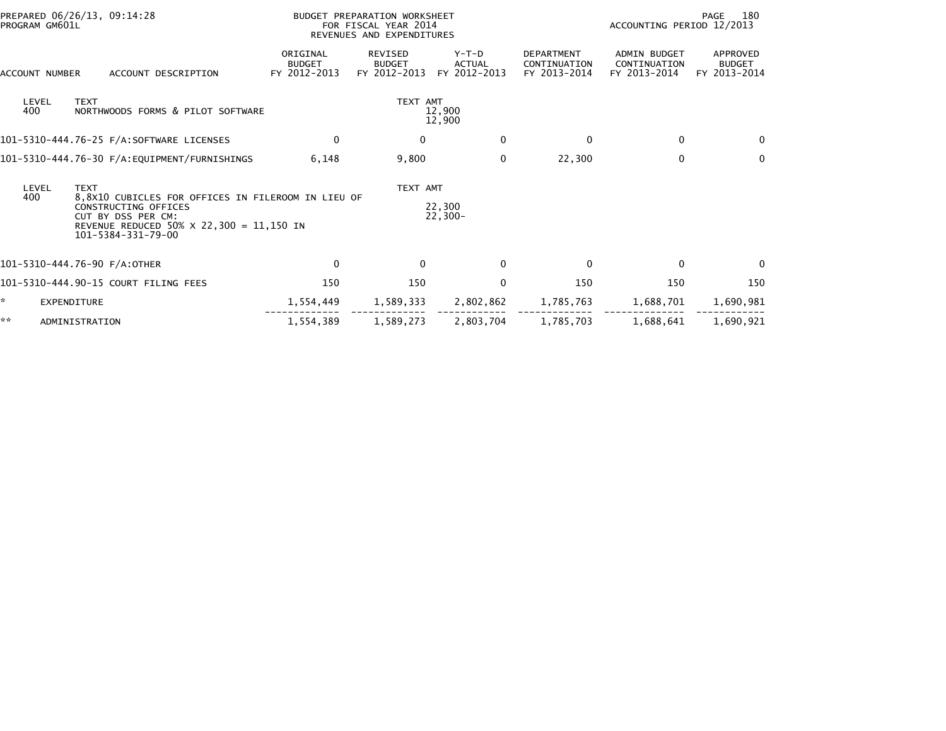| PREPARED 06/26/13, 09:14:28<br>PROGRAM GM601L                                                                                                                                    |                                                  | BUDGET PREPARATION WORKSHEET<br>FOR FISCAL YEAR 2014<br>REVENUES AND EXPENDITURES |                                                 |                                          |                                                   | 180<br>PAGE<br>ACCOUNTING PERIOD 12/2013            |                                           |  |
|----------------------------------------------------------------------------------------------------------------------------------------------------------------------------------|--------------------------------------------------|-----------------------------------------------------------------------------------|-------------------------------------------------|------------------------------------------|---------------------------------------------------|-----------------------------------------------------|-------------------------------------------|--|
| <b>ACCOUNT NUMBER</b>                                                                                                                                                            | ACCOUNT DESCRIPTION                              | ORIGINAL<br><b>BUDGET</b><br>FY 2012-2013                                         | <b>REVISED</b><br><b>BUDGET</b><br>FY 2012-2013 | $Y-T-D$<br><b>ACTUAL</b><br>FY 2012-2013 | <b>DEPARTMENT</b><br>CONTINUATION<br>FY 2013-2014 | <b>ADMIN BUDGET</b><br>CONTINUATION<br>FY 2013-2014 | APPROVED<br><b>BUDGET</b><br>FY 2013-2014 |  |
| LEVEL<br>400                                                                                                                                                                     | <b>TEXT</b><br>NORTHWOODS FORMS & PILOT SOFTWARE |                                                                                   | TEXT AMT                                        | 12,900<br>12,900                         |                                                   |                                                     |                                           |  |
|                                                                                                                                                                                  | 101-5310-444.76-25 F/A:SOFTWARE LICENSES         | $\mathbf 0$                                                                       | 0                                               | $\mathbf 0$                              | $\mathbf{0}$                                      | 0                                                   | $\mathbf{0}$                              |  |
|                                                                                                                                                                                  |                                                  | 6,148                                                                             | 9,800                                           | $\mathbf 0$                              | 22,300                                            | $\mathbf 0$                                         | $\mathbf{0}$                              |  |
| LEVEL                                                                                                                                                                            | <b>TEXT</b>                                      |                                                                                   |                                                 | TEXT AMT                                 |                                                   |                                                     |                                           |  |
| 400<br>8,8X10 CUBICLES FOR OFFICES IN FILEROOM IN LIEU OF<br>CONSTRUCTING OFFICES<br>CUT BY DSS PER CM:<br>REVENUE REDUCED 50% $\times$ 22,300 = 11,150 IN<br>101-5384-331-79-00 |                                                  | 22,300<br>$22,300-$                                                               |                                                 |                                          |                                                   |                                                     |                                           |  |
|                                                                                                                                                                                  | 101-5310-444.76-90 F/A:OTHER                     | $\Omega$                                                                          | $\Omega$                                        | $\mathbf{0}$                             | 0                                                 | $\mathbf{0}$                                        | $\Omega$                                  |  |
|                                                                                                                                                                                  | 101-5310-444.90-15 COURT FILING FEES             | 150                                                                               | 150                                             | $\mathbf 0$                              | 150                                               | 150                                                 | 150                                       |  |
| $\mathbb{R}^n$                                                                                                                                                                   | <b>EXPENDITURE</b>                               | 1,554,449                                                                         | 1,589,333                                       | 2,802,862                                | 1,785,763                                         | 1,688,701                                           | 1,690,981                                 |  |
| **                                                                                                                                                                               | ADMINISTRATION                                   | 1,554,389                                                                         | 1,589,273                                       | 2,803,704                                | 1,785,703                                         | 1,688,641                                           | 1,690,921                                 |  |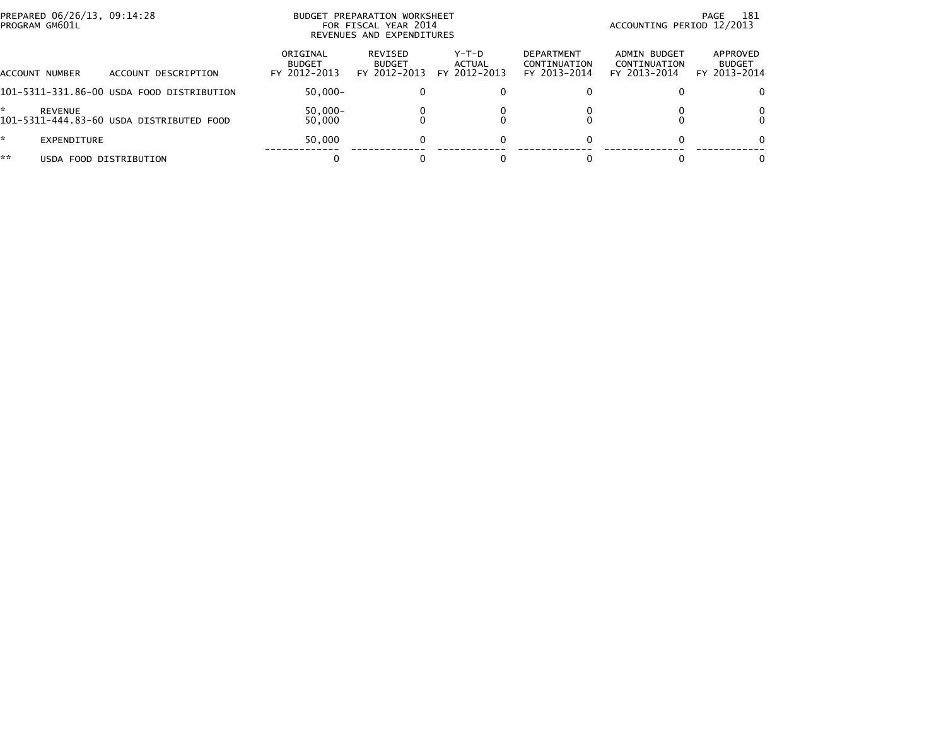| PREPARED 06/26/13, 09:14:28<br>PROGRAM GM601L |                                           | BUDGET PREPARATION WORKSHEET<br>FOR FISCAL YEAR 2014<br>REVENUES AND EXPENDITURES | -181<br>PAGE<br>ACCOUNTING PERIOD 12/2013 |                                 |                                                   |                                              |                                           |
|-----------------------------------------------|-------------------------------------------|-----------------------------------------------------------------------------------|-------------------------------------------|---------------------------------|---------------------------------------------------|----------------------------------------------|-------------------------------------------|
| <b>ACCOUNT NUMBER</b>                         | ACCOUNT DESCRIPTION                       | ORIGINAL<br><b>BUDGET</b><br>FY 2012-2013                                         | REVISED<br><b>BUDGET</b><br>FY 2012-2013  | Y-T-D<br>ACTUAL<br>FY 2012-2013 | <b>DEPARTMENT</b><br>CONTINUATION<br>FY 2013-2014 | ADMIN BUDGET<br>CONTINUATION<br>FY 2013-2014 | APPROVED<br><b>BUDGET</b><br>FY 2013-2014 |
|                                               | 101-5311-331.86-00 USDA FOOD DISTRIBUTION | $50.000 -$                                                                        |                                           |                                 |                                                   |                                              |                                           |
| REVENUE                                       | 101-5311-444.83-60 USDA DISTRIBUTED FOOD  | $50,000 -$<br>50,000                                                              |                                           |                                 |                                                   |                                              |                                           |
| *<br>EXPENDITURE                              |                                           | 50,000                                                                            |                                           |                                 |                                                   |                                              | $\Omega$                                  |
| **<br>USDA FOOD DISTRIBUTION                  |                                           |                                                                                   |                                           |                                 |                                                   |                                              |                                           |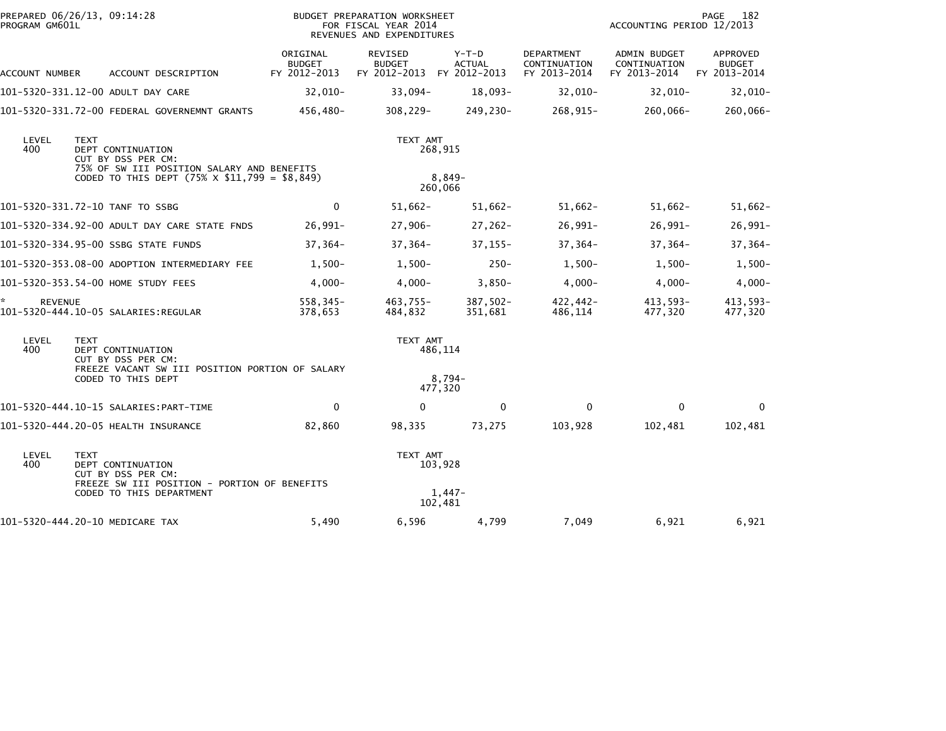| PREPARED 06/26/13, 09:14:28<br>PROGRAM GM601L |             |                                                                                                                                                |                                           | BUDGET PREPARATION WORKSHEET<br>FOR FISCAL YEAR 2014<br>REVENUES AND EXPENDITURES |                                |                                            | ACCOUNTING PERIOD 12/2013                    | 182<br>PAGE                               |
|-----------------------------------------------|-------------|------------------------------------------------------------------------------------------------------------------------------------------------|-------------------------------------------|-----------------------------------------------------------------------------------|--------------------------------|--------------------------------------------|----------------------------------------------|-------------------------------------------|
| ACCOUNT NUMBER                                |             | ACCOUNT DESCRIPTION                                                                                                                            | ORIGINAL<br><b>BUDGET</b><br>FY 2012-2013 | REVISED<br><b>BUDGET</b><br>FY 2012-2013 FY 2012-2013                             | $Y-T-D$<br><b>ACTUAL</b>       | DEPARTMENT<br>CONTINUATION<br>FY 2013-2014 | ADMIN BUDGET<br>CONTINUATION<br>FY 2013-2014 | APPROVED<br><b>BUDGET</b><br>FY 2013-2014 |
|                                               |             | 101-5320-331.12-00 ADULT DAY CARE                                                                                                              | $32,010-$                                 | $33,094-$                                                                         | $18,093-$                      | $32,010-$                                  | $32,010-$                                    | $32,010-$                                 |
|                                               |             | 101-5320-331.72-00 FEDERAL GOVERNEMNT GRANTS                                                                                                   | 456,480-                                  | $308, 229 -$                                                                      | 249,230-                       | 268,915-                                   | 260,066-                                     | 260,066-                                  |
| LEVEL<br>400                                  | <b>TEXT</b> | DEPT CONTINUATION<br>CUT BY DSS PER CM:<br>75% OF SW III POSITION SALARY AND BENEFITS<br>CODED TO THIS DEPT $(75\% \times \$11,799 = \$8,849)$ |                                           | TEXT AMT                                                                          | 268,915<br>8,849-<br>260,066   |                                            |                                              |                                           |
|                                               |             | 101-5320-331.72-10 TANF TO SSBG                                                                                                                | $\mathbf 0$                               | $51,662 -$                                                                        | $51,662 -$                     | $51,662 -$                                 | $51,662-$                                    | $51,662-$                                 |
|                                               |             | 101-5320-334.92-00 ADULT DAY CARE STATE FNDS                                                                                                   | $26,991-$                                 | $27,906-$                                                                         | $27,262-$                      | $26,991-$                                  | $26,991-$                                    | $26,991-$                                 |
|                                               |             | 101-5320-334.95-00 SSBG STATE FUNDS                                                                                                            | $37,364-$                                 | $37,364-$                                                                         | $37, 155 -$                    | $37,364-$                                  | $37,364-$                                    | $37,364-$                                 |
|                                               |             | 101-5320-353.08-00 ADOPTION INTERMEDIARY FEE                                                                                                   | $1,500-$                                  | $1,500-$                                                                          | $250 -$                        | $1,500-$                                   | $1,500-$                                     | $1,500-$                                  |
|                                               |             | 101-5320-353.54-00 HOME STUDY FEES                                                                                                             | $4,000 -$                                 | $4,000-$                                                                          | $3,850-$                       | $4,000-$                                   | $4,000-$                                     | $4,000 -$                                 |
| *<br><b>REVENUE</b>                           |             | 101-5320-444.10-05 SALARIES:REGULAR                                                                                                            | 558,345-<br>378,653                       | 463,755-<br>484.832                                                               | $387,502 -$<br>351,681         | 422,442-<br>486,114                        | 413,593-<br>477,320                          | 413,593-<br>477,320                       |
| LEVEL<br>400                                  | <b>TEXT</b> | DEPT CONTINUATION<br>CUT BY DSS PER CM:<br>FREEZE VACANT SW III POSITION PORTION OF SALARY<br>CODED TO THIS DEPT                               |                                           | TEXT AMT                                                                          | 486,114<br>$8.794-$            |                                            |                                              |                                           |
|                                               |             |                                                                                                                                                |                                           |                                                                                   | 477,320                        |                                            |                                              |                                           |
|                                               |             | 101-5320-444.10-15 SALARIES:PART-TIME                                                                                                          | $\mathbf 0$                               | $\mathbf{0}$                                                                      | $\mathbf{0}$                   | $\Omega$                                   | $\mathbf{0}$                                 | $\mathbf{0}$                              |
|                                               |             | 101-5320-444.20-05 HEALTH INSURANCE                                                                                                            | 82,860                                    | 98,335                                                                            | 73,275                         | 103,928                                    | 102,481                                      | 102,481                                   |
| LEVEL<br>400                                  | <b>TEXT</b> | DEPT CONTINUATION<br>CUT BY DSS PER CM:<br>FREEZE SW III POSITION - PORTION OF BENEFITS<br>CODED TO THIS DEPARTMENT                            |                                           | TEXT AMT                                                                          | 103,928<br>$1,447-$<br>102,481 |                                            |                                              |                                           |
|                                               |             | 101-5320-444.20-10 MEDICARE TAX                                                                                                                | 5,490                                     | 6,596                                                                             | 4,799                          | 7,049                                      | 6,921                                        | 6,921                                     |
|                                               |             |                                                                                                                                                |                                           |                                                                                   |                                |                                            |                                              |                                           |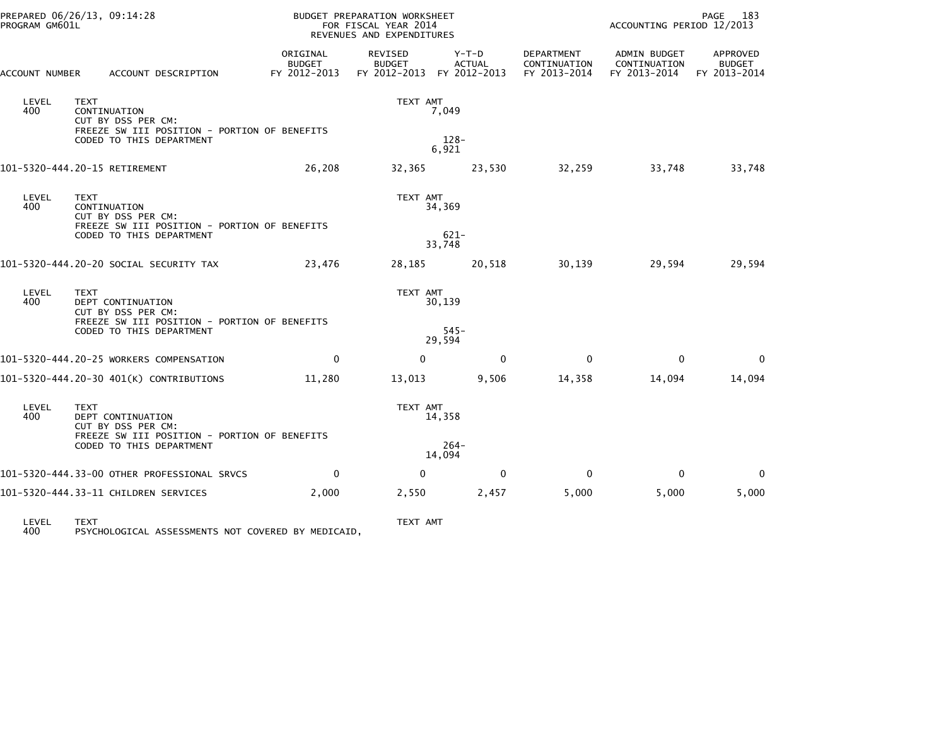| PROGRAM GM601L                      | PREPARED 06/26/13, 09:14:28                                                                                                        |                                           | BUDGET PREPARATION WORKSHEET<br>FOR FISCAL YEAR 2014<br>REVENUES AND EXPENDITURES |                             |                                            | ACCOUNTING PERIOD 12/2013                    | PAGE<br>183                                      |
|-------------------------------------|------------------------------------------------------------------------------------------------------------------------------------|-------------------------------------------|-----------------------------------------------------------------------------------|-----------------------------|--------------------------------------------|----------------------------------------------|--------------------------------------------------|
| ACCOUNT NUMBER                      | ACCOUNT DESCRIPTION                                                                                                                | ORIGINAL<br><b>BUDGET</b><br>FY 2012-2013 | REVISED<br><b>BUDGET</b><br>FY 2012-2013 FY 2012-2013                             | Y-T-D<br><b>ACTUAL</b>      | DEPARTMENT<br>CONTINUATION<br>FY 2013-2014 | ADMIN BUDGET<br>CONTINUATION<br>FY 2013-2014 | <b>APPROVED</b><br><b>BUDGET</b><br>FY 2013-2014 |
| LEVEL<br>400                        | <b>TEXT</b><br>CONTINUATION<br>CUT BY DSS PER CM:<br>FREEZE SW III POSITION - PORTION OF BENEFITS<br>CODED TO THIS DEPARTMENT      |                                           | TEXT AMT                                                                          | 7,049<br>$128 -$<br>6,921   |                                            |                                              |                                                  |
|                                     | 101-5320-444.20-15 RETIREMENT                                                                                                      | 26,208                                    | 32,365                                                                            | 23,530                      | 32,259                                     | 33,748                                       | 33,748                                           |
| LEVEL<br>400                        | <b>TEXT</b><br>CONTINUATION<br>CUT BY DSS PER CM:<br>FREEZE SW III POSITION - PORTION OF BENEFITS<br>CODED TO THIS DEPARTMENT      |                                           | TEXT AMT                                                                          | 34,369<br>$621 -$           |                                            |                                              |                                                  |
|                                     |                                                                                                                                    |                                           |                                                                                   | 33,748                      |                                            |                                              |                                                  |
|                                     | 101-5320-444.20-20 SOCIAL SECURITY TAX                                                                                             | 23,476                                    | 28,185                                                                            | 20,518                      | 30,139                                     | 29,594                                       | 29,594                                           |
| LEVEL<br>400                        | <b>TEXT</b><br>DEPT CONTINUATION<br>CUT BY DSS PER CM:<br>FREEZE SW III POSITION - PORTION OF BENEFITS<br>CODED TO THIS DEPARTMENT |                                           | TEXT AMT                                                                          | 30,139<br>$545 -$<br>29,594 |                                            |                                              |                                                  |
|                                     | 101-5320-444.20-25 WORKERS COMPENSATION                                                                                            | $\mathbf{0}$                              | $\Omega$                                                                          | $\mathbf{0}$                | $\mathbf{0}$                               | $\mathbf{0}$                                 | $\mathbf{0}$                                     |
|                                     | 101-5320-444.20-30 401(K) CONTRIBUTIONS                                                                                            | 11,280                                    | 13,013                                                                            | 9,506                       | 14,358                                     | 14,094                                       | 14,094                                           |
| LEVEL<br>400                        | <b>TEXT</b><br>DEPT CONTINUATION<br>CUT BY DSS PER CM:<br>FREEZE SW III POSITION - PORTION OF BENEFITS<br>CODED TO THIS DEPARTMENT |                                           | TEXT AMT                                                                          | 14,358<br>$264 -$<br>14,094 |                                            |                                              |                                                  |
|                                     | 101-5320-444.33-00 OTHER PROFESSIONAL SRVCS                                                                                        | $\mathbf{0}$                              | $\Omega$                                                                          | $\mathbf{0}$                | $\mathbf 0$                                | $\mathbf{0}$                                 | 0                                                |
|                                     | 101-5320-444.33-11 CHILDREN SERVICES                                                                                               | 2,000                                     | 2,550                                                                             | 2,457                       | 5,000                                      | 5,000                                        | 5,000                                            |
| $\Gamma$ $\Gamma$ $\Gamma$ $\Gamma$ | TIVT                                                                                                                               |                                           | TEVT AMT                                                                          |                             |                                            |                                              |                                                  |

LEVEL TEXT TEXT AMT 400 PSYCHOLOGICAL ASSESSMENTS NOT COVERED BY MEDICAID,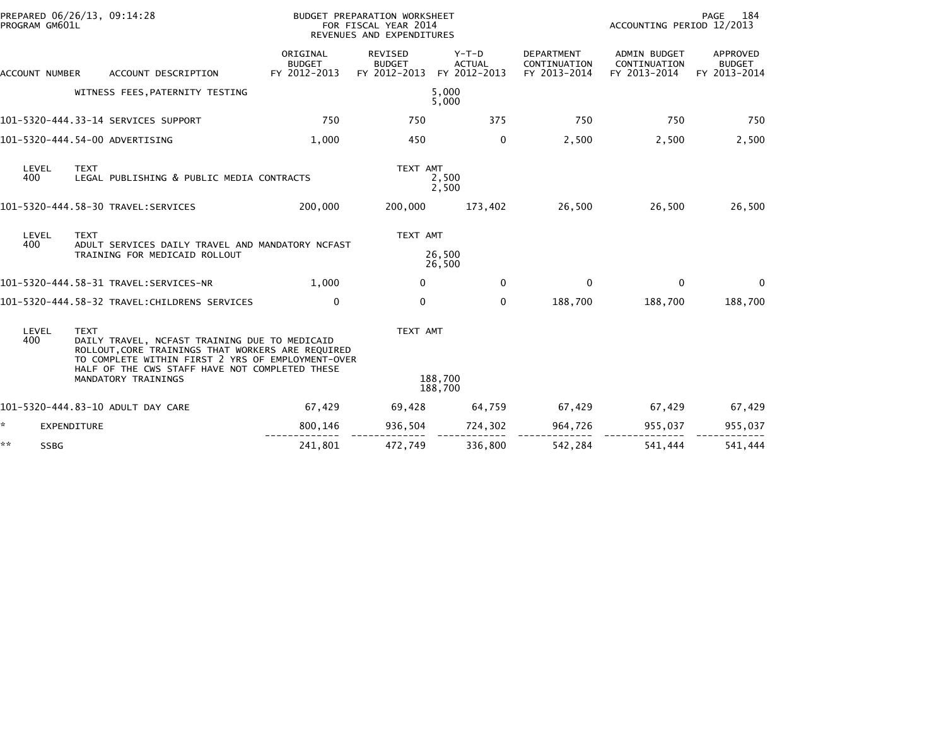| PROGRAM GM601L    | PREPARED 06/26/13, 09:14:28<br>BUDGET PREPARATION WORKSHEET<br>FOR FISCAL YEAR 2014<br>REVENUES AND EXPENDITURES                                                                                                                                |                                           |                                                 |                                          |                                                   | PAGE<br>-184<br>ACCOUNTING PERIOD 12/2013           |                                           |  |
|-------------------|-------------------------------------------------------------------------------------------------------------------------------------------------------------------------------------------------------------------------------------------------|-------------------------------------------|-------------------------------------------------|------------------------------------------|---------------------------------------------------|-----------------------------------------------------|-------------------------------------------|--|
| ACCOUNT NUMBER    | ACCOUNT DESCRIPTION                                                                                                                                                                                                                             | ORIGINAL<br><b>BUDGET</b><br>FY 2012-2013 | <b>REVISED</b><br><b>BUDGET</b><br>FY 2012-2013 | $Y-T-D$<br><b>ACTUAL</b><br>FY 2012-2013 | <b>DEPARTMENT</b><br>CONTINUATION<br>FY 2013-2014 | <b>ADMIN BUDGET</b><br>CONTINUATION<br>FY 2013-2014 | APPROVED<br><b>BUDGET</b><br>FY 2013-2014 |  |
|                   | WITNESS FEES, PATERNITY TESTING                                                                                                                                                                                                                 |                                           |                                                 | 5,000<br>5,000                           |                                                   |                                                     |                                           |  |
|                   | 101-5320-444.33-14 SERVICES SUPPORT                                                                                                                                                                                                             | 750                                       | 750                                             | 375                                      | 750                                               | 750                                                 | 750                                       |  |
|                   | 101-5320-444.54-00 ADVERTISING                                                                                                                                                                                                                  | 1.000                                     | 450                                             | 0                                        | 2,500                                             | 2,500                                               | 2,500                                     |  |
| LEVEL<br>400      | <b>TEXT</b><br>LEGAL PUBLISHING & PUBLIC MEDIA CONTRACTS                                                                                                                                                                                        |                                           | TEXT AMT                                        | 2,500<br>2,500                           |                                                   |                                                     |                                           |  |
|                   | 101-5320-444.58-30 TRAVEL:SERVICES                                                                                                                                                                                                              | 200,000                                   | 200,000                                         | 173,402                                  | 26,500                                            | 26,500                                              | 26,500                                    |  |
| LEVEL<br>400      | <b>TEXT</b><br>ADULT SERVICES DAILY TRAVEL AND MANDATORY NCFAST<br>TRAINING FOR MEDICAID ROLLOUT                                                                                                                                                |                                           | TEXT AMT                                        | 26.500                                   |                                                   |                                                     |                                           |  |
|                   |                                                                                                                                                                                                                                                 | 1,000                                     | $\Omega$                                        | 26,500<br>$\mathbf 0$                    | $\mathbf 0$                                       | 0                                                   | 0                                         |  |
|                   | 101-5320-444.58-32 TRAVEL:CHILDRENS SERVICES                                                                                                                                                                                                    | $\mathbf 0$                               | $\mathbf 0$                                     | $\mathbf{0}$                             | 188,700                                           | 188,700                                             | 188,700                                   |  |
| LEVEL<br>400      | <b>TEXT</b><br>DAILY TRAVEL, NCFAST TRAINING DUE TO MEDICAID<br>ROLLOUT, CORE TRAININGS THAT WORKERS ARE REQUIRED<br>TO COMPLETE WITHIN FIRST 2 YRS OF EMPLOYMENT-OVER<br>HALF OF THE CWS STAFF HAVE NOT COMPLETED THESE<br>MANDATORY TRAININGS |                                           | TEXT AMT                                        | 188,700<br>188,700                       |                                                   |                                                     |                                           |  |
|                   | 101-5320-444.83-10 ADULT DAY CARE                                                                                                                                                                                                               | 67,429                                    | 69,428                                          | 64,759                                   | 67,429                                            | 67,429                                              | 67,429                                    |  |
| ÷.                | EXPENDITURE                                                                                                                                                                                                                                     | 800,146                                   | 936,504                                         | 724,302                                  | 964,726                                           | 955,037                                             | 955,037                                   |  |
| **<br><b>SSBG</b> |                                                                                                                                                                                                                                                 | 241,801                                   | 472,749                                         | 336,800                                  | 542,284                                           | 541,444                                             | 541,444                                   |  |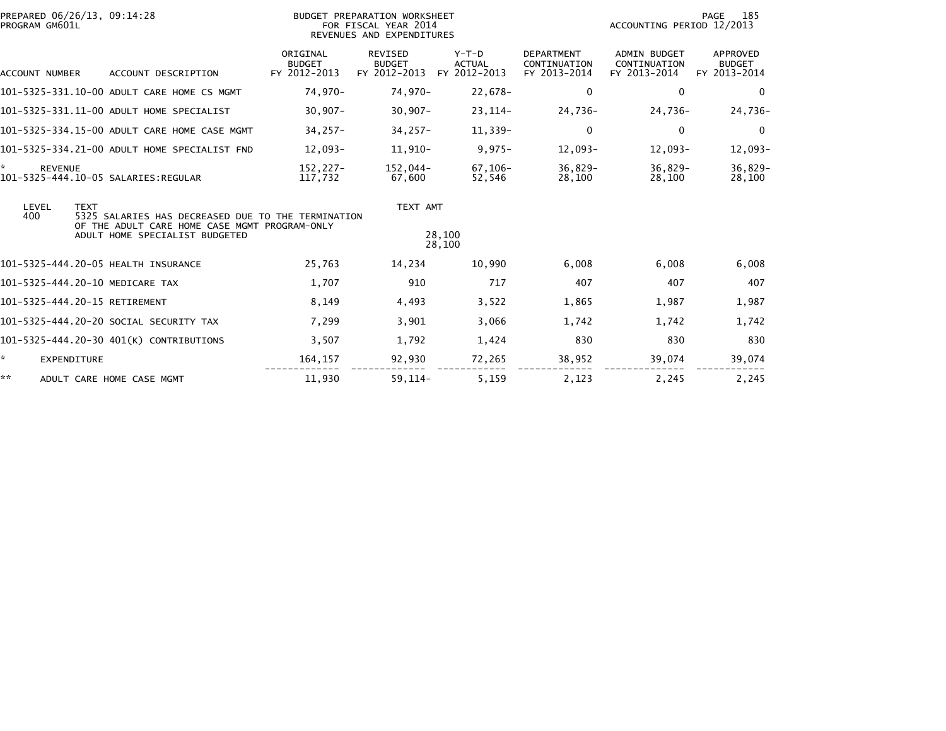| PROGRAM GM601L           | PREPARED 06/26/13, 09:14:28                                                                                                                          | BUDGET PREPARATION WORKSHEET<br>FOR FISCAL YEAR 2014<br>REVENUES AND EXPENDITURES |                                                 |                                          |                                                   | 185<br>PAGE<br>ACCOUNTING PERIOD 12/2013            |                                           |  |
|--------------------------|------------------------------------------------------------------------------------------------------------------------------------------------------|-----------------------------------------------------------------------------------|-------------------------------------------------|------------------------------------------|---------------------------------------------------|-----------------------------------------------------|-------------------------------------------|--|
| <b>ACCOUNT NUMBER</b>    | ACCOUNT DESCRIPTION                                                                                                                                  | ORIGINAL<br><b>BUDGET</b><br>FY 2012-2013                                         | <b>REVISED</b><br><b>BUDGET</b><br>FY 2012-2013 | $Y-T-D$<br><b>ACTUAL</b><br>FY 2012-2013 | <b>DEPARTMENT</b><br>CONTINUATION<br>FY 2013-2014 | <b>ADMIN BUDGET</b><br>CONTINUATION<br>FY 2013-2014 | APPROVED<br><b>BUDGET</b><br>FY 2013-2014 |  |
|                          | 101-5325-331.10-00 ADULT CARE HOME CS MGMT                                                                                                           | 74,970-                                                                           | 74,970-                                         | 22,678-                                  | 0                                                 | $\mathbf{0}$                                        | $\Omega$                                  |  |
|                          | 101-5325-331.11-00 ADULT HOME SPECIALIST                                                                                                             | $30,907 -$                                                                        | $30,907 -$                                      | 23, 114-                                 | 24,736-                                           | 24,736-                                             | 24,736-                                   |  |
|                          | 101-5325-334.15-00 ADULT CARE HOME CASE MGMT                                                                                                         | $34,257-$                                                                         | $34,257-$                                       | 11,339-                                  | 0                                                 | $\mathbf 0$                                         | $\mathbf 0$                               |  |
|                          | 101-5325-334.21-00 ADULT HOME SPECIALIST FND                                                                                                         | $12.093 -$                                                                        | 11.910-                                         | $9,975-$                                 | $12,093-$                                         | $12.093-$                                           | 12,093-                                   |  |
| ÷.<br><b>REVENUE</b>     |                                                                                                                                                      | $152.227 -$<br>117,732                                                            | 152.044-<br>67,600                              | $67, 106 -$<br>52,546                    | $36,829-$<br>28,100                               | $36.829 -$<br>28,100                                | 36,829-<br>28,100                         |  |
| LEVEL<br>400             | <b>TEXT</b><br>5325 SALARIES HAS DECREASED DUE TO THE TERMINATION<br>OF THE ADULT CARE HOME CASE MGMT PROGRAM-ONLY<br>ADULT HOME SPECIALIST BUDGETED |                                                                                   | TEXT AMT                                        | 28,100                                   |                                                   |                                                     |                                           |  |
|                          |                                                                                                                                                      |                                                                                   |                                                 | 28,100                                   |                                                   |                                                     |                                           |  |
|                          | 101-5325-444.20-05 HEALTH INSURANCE                                                                                                                  | 25,763                                                                            | 14,234                                          | 10.990                                   | 6.008                                             | 6.008                                               | 6,008                                     |  |
|                          | 101-5325-444.20-10 MEDICARE TAX                                                                                                                      | 1,707                                                                             | 910                                             | 717                                      | 407                                               | 407                                                 | 407                                       |  |
|                          | 101-5325-444.20-15 RETIREMENT                                                                                                                        | 8,149                                                                             | 4,493                                           | 3,522                                    | 1,865                                             | 1,987                                               | 1,987                                     |  |
|                          | 101-5325-444.20-20 SOCIAL SECURITY TAX                                                                                                               | 7,299                                                                             | 3,901                                           | 3,066                                    | 1,742                                             | 1,742                                               | 1,742                                     |  |
|                          | 101-5325-444.20-30 401(K) CONTRIBUTIONS                                                                                                              | 3,507                                                                             | 1,792                                           | 1,424                                    | 830                                               | 830                                                 | 830                                       |  |
| ÷.<br><b>EXPENDITURE</b> |                                                                                                                                                      | 164,157                                                                           | 92,930                                          | 72,265                                   | 38,952                                            | 39,074                                              | 39,074                                    |  |
| **                       | ADULT CARE HOME CASE MGMT                                                                                                                            | 11,930                                                                            | $59.114-$                                       | 5,159                                    | 2,123                                             | 2,245                                               | 2,245                                     |  |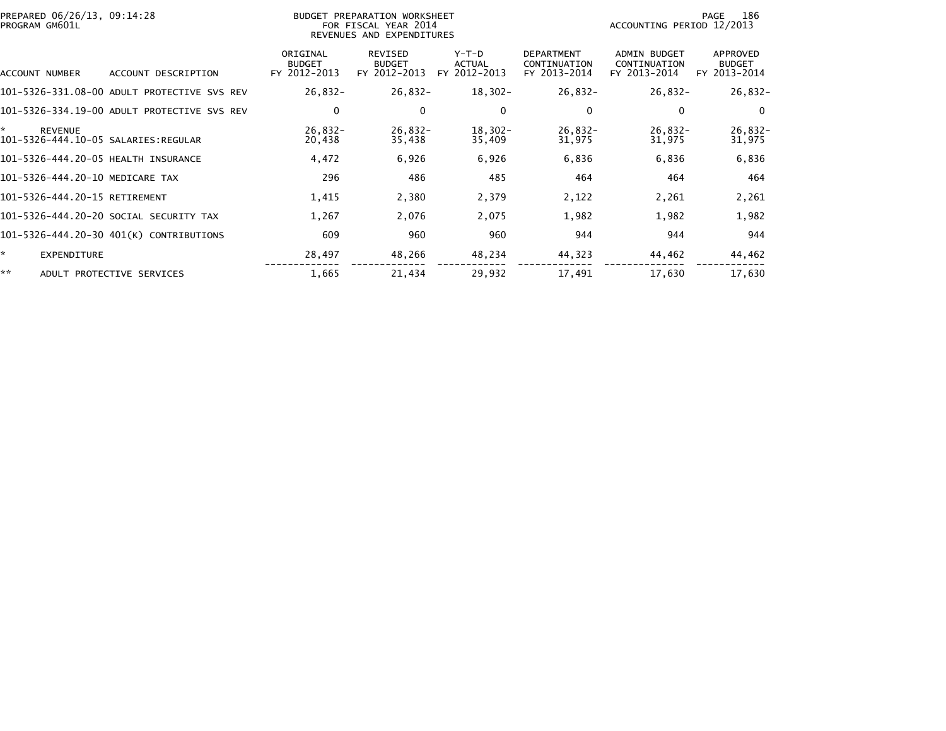| PREPARED 06/26/13, 09:14:28<br>PROGRAM GM601L |                                           | BUDGET PREPARATION WORKSHEET<br>FOR FISCAL YEAR 2014<br>REVENUES AND EXPENDITURES |                                   |                                                   | ACCOUNTING PERIOD 12/2013                    | 186<br>PAGE                               |
|-----------------------------------------------|-------------------------------------------|-----------------------------------------------------------------------------------|-----------------------------------|---------------------------------------------------|----------------------------------------------|-------------------------------------------|
| ACCOUNT DESCRIPTION<br>ACCOUNT NUMBER         | ORIGINAL<br><b>BUDGET</b><br>FY 2012-2013 | REVISED<br><b>BUDGET</b><br>FY 2012-2013                                          | $Y-T-D$<br>ACTUAL<br>FY 2012-2013 | <b>DEPARTMENT</b><br>CONTINUATION<br>FY 2013-2014 | ADMIN BUDGET<br>CONTINUATION<br>FY 2013-2014 | APPROVED<br><b>BUDGET</b><br>FY 2013-2014 |
| 101-5326-331.08-00 ADULT PROTECTIVE SVS REV   | $26,832-$                                 | $26,832-$                                                                         | $18,302 -$                        | $26,832-$                                         | $26,832-$                                    | $26,832-$                                 |
| 101-5326-334.19-00 ADULT PROTECTIVE SVS REV   |                                           | 0<br>0                                                                            | 0                                 | 0                                                 | 0                                            | $\mathbf 0$                               |
| *.<br><b>REVENUE</b>                          | $26,832-$<br>20,438                       | $26,832-$<br>35,438                                                               | $18,302-$<br>35,409               | $26,832-$<br>31,975                               | $26,832-$<br>31,975                          | $26,832-$<br>31,975                       |
| 101-5326-444.20-05 HEALTH INSURANCE           | 4,472                                     | 6,926                                                                             | 6,926                             | 6,836                                             | 6,836                                        | 6,836                                     |
| 101-5326-444.20-10 MEDICARE TAX               | 296                                       | 486                                                                               | 485                               | 464                                               | 464                                          | 464                                       |
| 101-5326-444.20-15 RETIREMENT                 | 1,415                                     | 2,380                                                                             | 2,379                             | 2,122                                             | 2,261                                        | 2,261                                     |
| 101-5326-444.20-20 SOCIAL SECURITY TAX        | 1,267                                     | 2,076                                                                             | 2,075                             | 1,982                                             | 1,982                                        | 1,982                                     |
| 101-5326-444.20-30 401(K) CONTRIBUTIONS       | 609                                       | 960                                                                               | 960                               | 944                                               | 944                                          | 944                                       |
| ☆.<br><b>EXPENDITURE</b>                      | 28,497                                    | 48,266                                                                            | 48,234                            | 44,323                                            | 44,462                                       | 44,462                                    |
| **<br>ADULT PROTECTIVE SERVICES               | 1,665                                     | 21,434                                                                            | 29,932                            | 17,491                                            | 17,630                                       | 17,630                                    |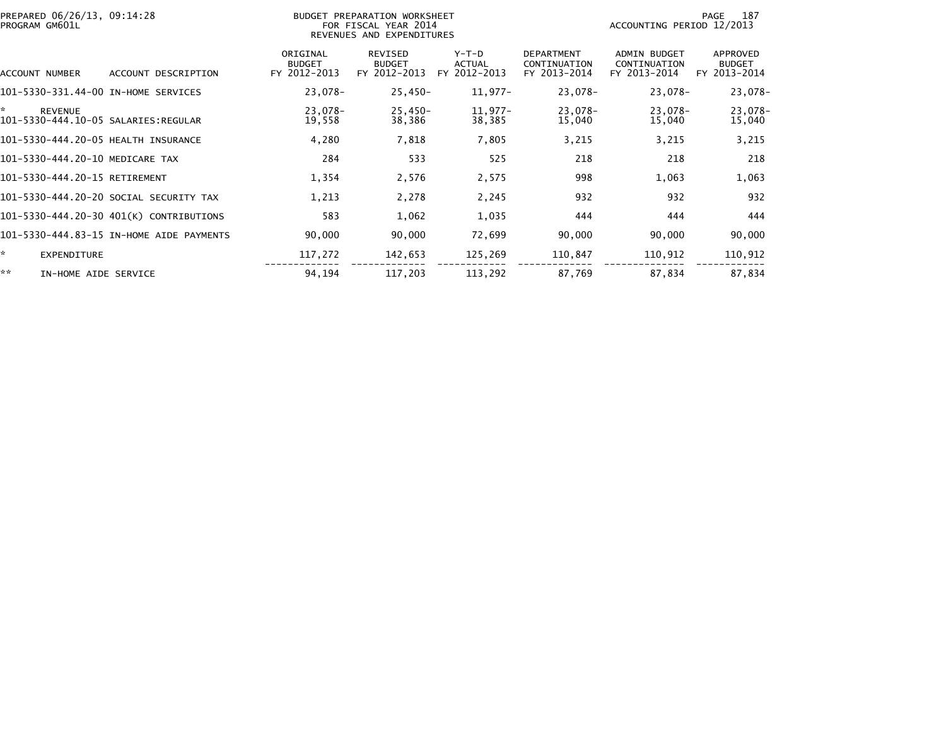| PREPARED 06/26/13, 09:14:28<br>PROGRAM GM601L |                                          |                                           | BUDGET PREPARATION WORKSHEET<br>FOR FISCAL YEAR 2014<br>REVENUES AND EXPENDITURES |                                          |                                                   | ACCOUNTING PERIOD 12/2013                    | 187<br>PAGE                               |
|-----------------------------------------------|------------------------------------------|-------------------------------------------|-----------------------------------------------------------------------------------|------------------------------------------|---------------------------------------------------|----------------------------------------------|-------------------------------------------|
| ACCOUNT NUMBER                                | ACCOUNT DESCRIPTION                      | ORIGINAL<br><b>BUDGET</b><br>FY 2012-2013 | REVISED<br><b>BUDGET</b><br>FY 2012-2013                                          | $Y-T-D$<br><b>ACTUAL</b><br>FY 2012-2013 | <b>DEPARTMENT</b><br>CONTINUATION<br>FY 2013-2014 | ADMIN BUDGET<br>CONTINUATION<br>FY 2013-2014 | APPROVED<br><b>BUDGET</b><br>FY 2013-2014 |
| 101-5330-331.44-00 IN-HOME SERVICES           |                                          | 23,078-                                   | $25,450-$                                                                         | $11,977-$                                | 23,078-                                           | 23,078-                                      | 23,078-                                   |
| ×.<br><b>REVENUE</b>                          |                                          | 23,078-<br>19,558                         | $25,450-$<br>38,386                                                               | 11,977-<br>38,385                        | 23,078-<br>15,040                                 | 23,078-<br>15,040                            | 23,078-<br>15,040                         |
| 101-5330-444.20-05 HEALTH INSURANCE           |                                          | 4,280                                     | 7,818                                                                             | 7,805                                    | 3,215                                             | 3,215                                        | 3,215                                     |
| 101-5330-444.20-10 MEDICARE TAX               |                                          | 284                                       | 533                                                                               | 525                                      | 218                                               | 218                                          | 218                                       |
| 101-5330-444.20-15 RETIREMENT                 |                                          | 1,354                                     | 2,576                                                                             | 2,575                                    | 998                                               | 1,063                                        | 1,063                                     |
|                                               | 101-5330-444.20-20 SOCIAL SECURITY TAX   | 1,213                                     | 2,278                                                                             | 2,245                                    | 932                                               | 932                                          | 932                                       |
|                                               | 101-5330-444.20-30 401(K) CONTRIBUTIONS  | 583                                       | 1,062                                                                             | 1,035                                    | 444                                               | 444                                          | 444                                       |
|                                               | 101-5330-444.83-15 IN-HOME AIDE PAYMENTS | 90,000                                    | 90,000                                                                            | 72,699                                   | 90,000                                            | 90,000                                       | 90,000                                    |
| ŵ.<br><b>EXPENDITURE</b>                      |                                          | 117,272                                   | 142,653                                                                           | 125,269                                  | 110,847                                           | 110,912                                      | 110,912                                   |
| **<br>IN-HOME AIDE SERVICE                    |                                          | 94,194                                    | 117.203                                                                           | 113,292                                  | 87,769                                            | 87,834                                       | 87,834                                    |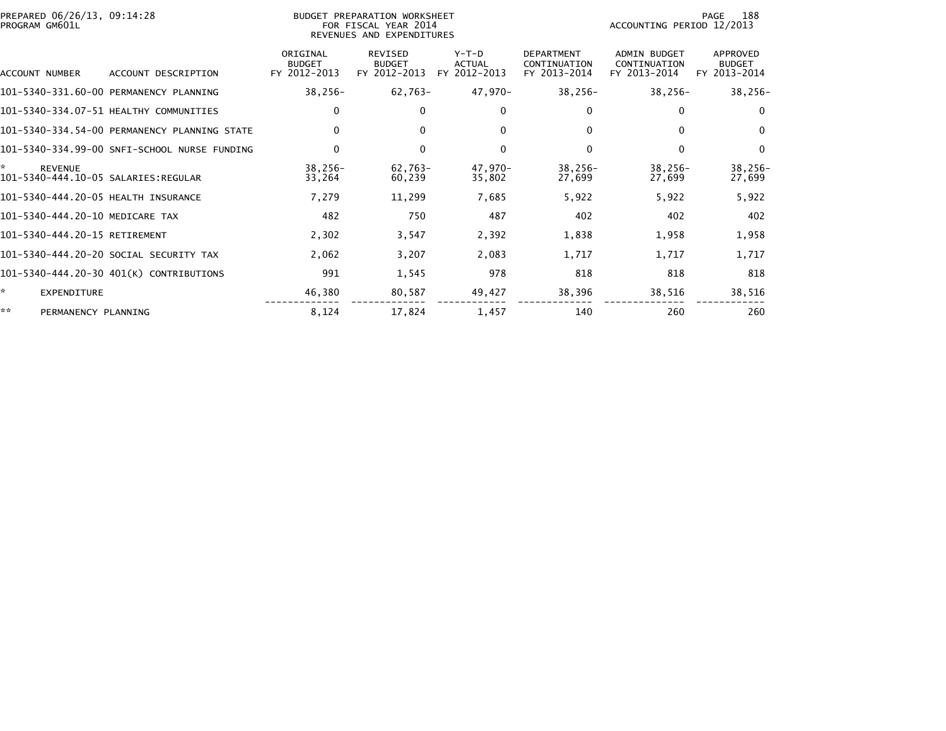| PREPARED 06/26/13, 09:14:28<br>PROGRAM GM601L               |                                              |                                           | <b>BUDGET PREPARATION WORKSHEET</b><br>FOR FISCAL YEAR 2014<br>REVENUES AND EXPENDITURES |                                          |                                                   | ACCOUNTING PERIOD 12/2013                    | 188<br>PAGE                               |
|-------------------------------------------------------------|----------------------------------------------|-------------------------------------------|------------------------------------------------------------------------------------------|------------------------------------------|---------------------------------------------------|----------------------------------------------|-------------------------------------------|
| ACCOUNT NUMBER                                              | ACCOUNT DESCRIPTION                          | ORIGINAL<br><b>BUDGET</b><br>FY 2012-2013 | <b>REVISED</b><br><b>BUDGET</b><br>FY 2012-2013                                          | $Y-T-D$<br><b>ACTUAL</b><br>FY 2012-2013 | <b>DEPARTMENT</b><br>CONTINUATION<br>FY 2013-2014 | ADMIN BUDGET<br>CONTINUATION<br>FY 2013-2014 | APPROVED<br><b>BUDGET</b><br>FY 2013-2014 |
|                                                             | 101-5340-331.60-00 PERMANENCY PLANNING       | $38,256-$                                 | 62,763-                                                                                  | 47,970-                                  | $38,256-$                                         | $38,256-$                                    | $38,256-$                                 |
|                                                             | 101-5340-334.07-51 HEALTHY COMMUNITIES       | 0                                         | $\Omega$                                                                                 | $\Omega$                                 | 0                                                 | 0                                            | $\mathbf{0}$                              |
|                                                             | 101-5340-334.54-00 PERMANENCY PLANNING STATE | 0                                         | $\mathbf{0}$                                                                             | 0                                        | 0                                                 | 0                                            | 0                                         |
|                                                             | 101-5340-334.99-00 SNFI-SCHOOL NURSE FUNDING | $\mathbf 0$                               | $\Omega$                                                                                 | $\Omega$                                 | $\Omega$                                          | $\Omega$                                     | $\mathbf{0}$                              |
| *.<br><b>REVENUE</b><br>101-5340-444.10-05 SALARIES:REGULAR |                                              | $38,256-$<br>33,264                       | $62,763-$<br>60,239                                                                      | 47,970-<br>35,802                        | $38,256-$<br>27,699                               | $38,256-$<br>27.699                          | $38,256-$<br>27,699                       |
| 101-5340-444.20-05 HEALTH INSURANCE                         |                                              | 7,279                                     | 11,299                                                                                   | 7,685                                    | 5,922                                             | 5,922                                        | 5,922                                     |
| 101-5340-444.20-10 MEDICARE TAX                             |                                              | 482                                       | 750                                                                                      | 487                                      | 402                                               | 402                                          | 402                                       |
| 101-5340-444.20-15 RETIREMENT                               |                                              | 2,302                                     | 3,547                                                                                    | 2,392                                    | 1,838                                             | 1,958                                        | 1,958                                     |
|                                                             | 101-5340-444.20-20 SOCIAL SECURITY TAX       | 2,062                                     | 3,207                                                                                    | 2,083                                    | 1,717                                             | 1,717                                        | 1,717                                     |
|                                                             | 101-5340-444.20-30 401(K) CONTRIBUTIONS      | 991                                       | 1,545                                                                                    | 978                                      | 818                                               | 818                                          | 818                                       |
| *.<br>EXPENDITURE                                           |                                              | 46,380                                    | 80,587                                                                                   | 49,427                                   | 38,396                                            | 38,516                                       | 38,516                                    |
| **<br>PERMANENCY PLANNING                                   |                                              | 8,124                                     | 17,824                                                                                   | 1,457                                    | 140                                               | 260                                          | 260                                       |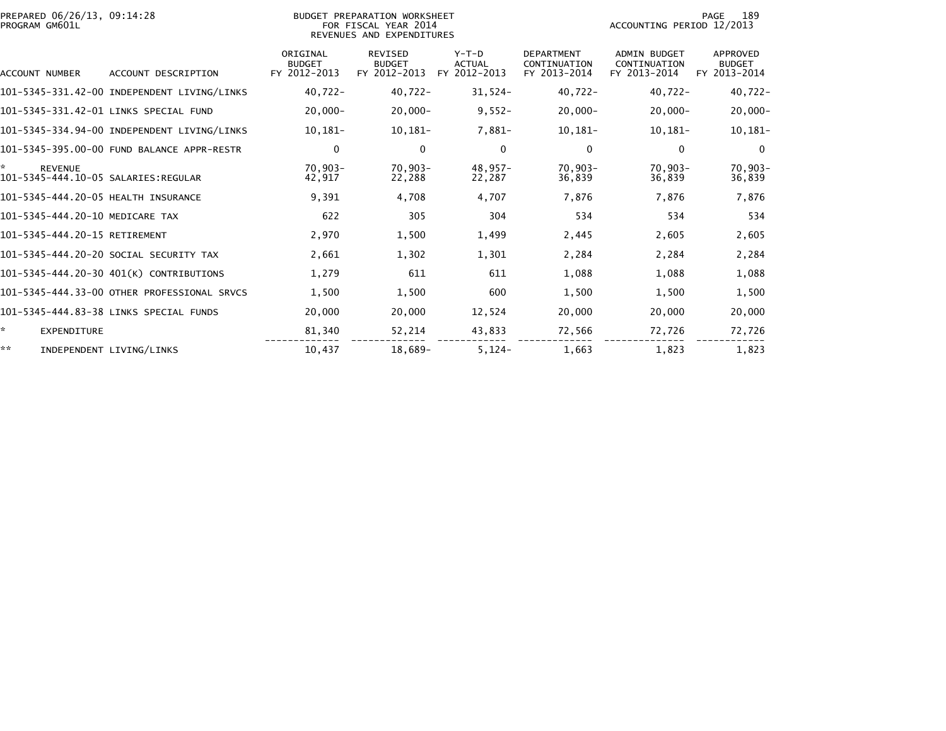| PREPARED 06/26/13, 09:14:28<br>PROGRAM GM601L               |                                             |                                           | BUDGET PREPARATION WORKSHEET<br>FOR FISCAL YEAR 2014<br>REVENUES AND EXPENDITURES |                                          |                                                   | ACCOUNTING PERIOD 12/2013                           | 189<br>PAGE                               |
|-------------------------------------------------------------|---------------------------------------------|-------------------------------------------|-----------------------------------------------------------------------------------|------------------------------------------|---------------------------------------------------|-----------------------------------------------------|-------------------------------------------|
| ACCOUNT NUMBER                                              | ACCOUNT DESCRIPTION                         | ORIGINAL<br><b>BUDGET</b><br>FY 2012-2013 | <b>REVISED</b><br><b>BUDGET</b><br>FY 2012-2013                                   | $Y-T-D$<br><b>ACTUAL</b><br>FY 2012-2013 | <b>DEPARTMENT</b><br>CONTINUATION<br>FY 2013-2014 | <b>ADMIN BUDGET</b><br>CONTINUATION<br>FY 2013-2014 | APPROVED<br><b>BUDGET</b><br>FY 2013-2014 |
|                                                             | 101-5345-331.42-00 INDEPENDENT LIVING/LINKS | $40,722 -$                                | $40,722 -$                                                                        | $31,524-$                                | $40,722 -$                                        | $40,722 -$                                          | $40,722 -$                                |
|                                                             | 101-5345-331.42-01 LINKS SPECIAL FUND       | $20,000 -$                                | $20,000 -$                                                                        | $9,552-$                                 | $20,000 -$                                        | $20,000 -$                                          | $20,000-$                                 |
|                                                             | 101-5345-334.94-00 INDEPENDENT LIVING/LINKS | $10,181-$                                 | 10,181-                                                                           | 7,881-                                   | $10,181-$                                         | $10,181-$                                           | $10, 181 -$                               |
|                                                             | 101-5345-395.00-00 FUND BALANCE APPR-RESTR  | 0                                         | 0                                                                                 | $\mathbf 0$                              | 0                                                 | 0                                                   | $\Omega$                                  |
| *.<br><b>REVENUE</b><br>101-5345-444.10-05 SALARIES:REGULAR |                                             | 70,903-<br>42,917                         | $70,903-$<br>22,288                                                               | 48,957-<br>22,287                        | $70,903 -$<br>36,839                              | $70,903-$<br>36,839                                 | $70,903-$<br>36,839                       |
| 101-5345-444.20-05 HEALTH INSURANCE                         |                                             | 9,391                                     | 4.708                                                                             | 4.707                                    | 7.876                                             | 7.876                                               | 7,876                                     |
| 101-5345-444.20-10 MEDICARE TAX                             |                                             | 622                                       | 305                                                                               | 304                                      | 534                                               | 534                                                 | 534                                       |
| 101-5345-444.20-15 RETIREMENT                               |                                             | 2,970                                     | 1,500                                                                             | 1,499                                    | 2,445                                             | 2,605                                               | 2,605                                     |
|                                                             | 101-5345-444.20-20 SOCIAL SECURITY TAX      | 2,661                                     | 1,302                                                                             | 1,301                                    | 2,284                                             | 2,284                                               | 2,284                                     |
|                                                             | 101-5345-444.20-30 401(K) CONTRIBUTIONS     | 1.279                                     | 611                                                                               | 611                                      | 1,088                                             | 1,088                                               | 1,088                                     |
|                                                             | 101-5345-444.33-00 OTHER PROFESSIONAL SRVCS | 1,500                                     | 1,500                                                                             | 600                                      | 1,500                                             | 1,500                                               | 1,500                                     |
|                                                             | 101-5345-444.83-38 LINKS SPECIAL FUNDS      | 20,000                                    | 20,000                                                                            | 12,524                                   | 20,000                                            | 20,000                                              | 20,000                                    |
| ☆.<br><b>EXPENDITURE</b>                                    |                                             | 81,340                                    | 52,214                                                                            | 43,833                                   | 72,566                                            | 72,726                                              | 72,726                                    |
| **                                                          | INDEPENDENT LIVING/LINKS                    | 10,437                                    | 18,689-                                                                           | $5,124-$                                 | 1,663                                             | 1,823                                               | 1,823                                     |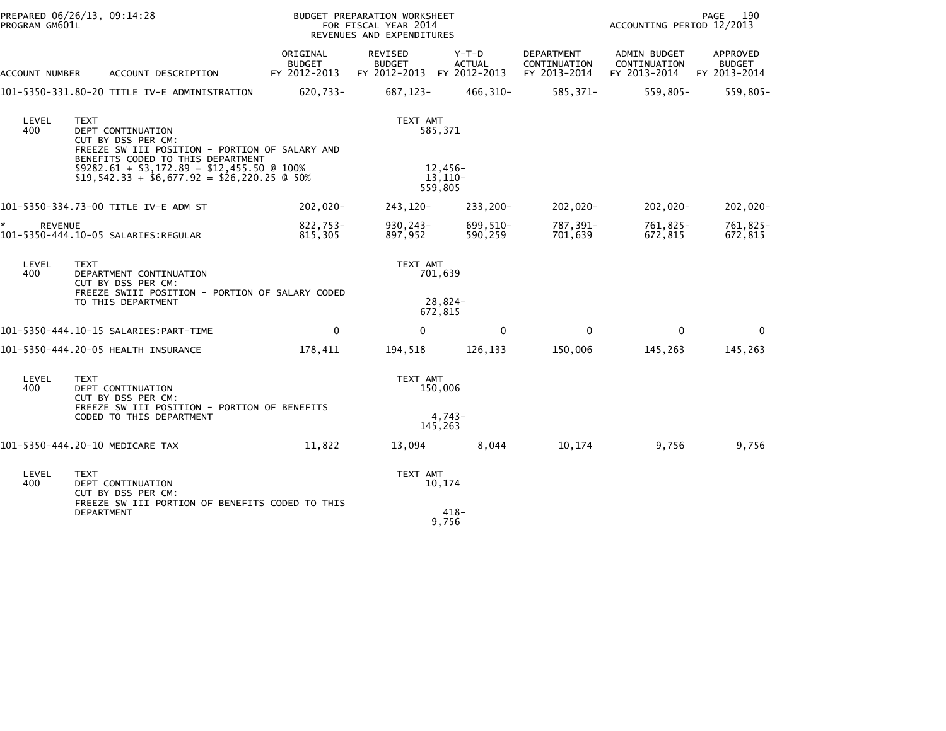| PROGRAM GM601L      | PREPARED 06/26/13, 09:14:28                                                                                                                                                                   |                                           | BUDGET PREPARATION WORKSHEET<br>FOR FISCAL YEAR 2014<br>REVENUES AND EXPENDITURES |                               |                                                   | ACCOUNTING PERIOD 12/2013                           | PAGE<br>190                               |
|---------------------|-----------------------------------------------------------------------------------------------------------------------------------------------------------------------------------------------|-------------------------------------------|-----------------------------------------------------------------------------------|-------------------------------|---------------------------------------------------|-----------------------------------------------------|-------------------------------------------|
| ACCOUNT NUMBER      | ACCOUNT DESCRIPTION                                                                                                                                                                           | ORIGINAL<br><b>BUDGET</b><br>FY 2012-2013 | REVISED<br><b>BUDGET</b><br>FY 2012-2013 FY 2012-2013                             | $Y-T-D$<br><b>ACTUAL</b>      | <b>DEPARTMENT</b><br>CONTINUATION<br>FY 2013-2014 | <b>ADMIN BUDGET</b><br>CONTINUATION<br>FY 2013-2014 | APPROVED<br><b>BUDGET</b><br>FY 2013-2014 |
|                     | 101-5350-331.80-20 TITLE IV-E ADMINISTRATION                                                                                                                                                  | 620,733-                                  | 687,123-                                                                          | 466,310-                      | 585,371-                                          | 559,805-                                            | $559,805 -$                               |
| LEVEL<br>400        | <b>TEXT</b><br>DEPT CONTINUATION<br>CUT BY DSS PER CM:<br>FREEZE SW III POSITION - PORTION OF SALARY AND<br>BENEFITS CODED TO THIS DEPARTMENT<br>$$9282.61 + $3,172.89 = $12,455.50 \& 100\%$ |                                           | TEXT AMT                                                                          | 585,371<br>12,456-            |                                                   |                                                     |                                           |
|                     | $$19,542.33 + $6,677.92 = $26,220.25 \& 50\%$                                                                                                                                                 |                                           |                                                                                   | 13,110-<br>559,805            |                                                   |                                                     |                                           |
|                     | 101-5350-334.73-00 TITLE IV-E ADM ST                                                                                                                                                          | 202,020-                                  | 243.120-                                                                          | 233,200-                      | -020, 202                                         | 202,020-                                            | 202,020-                                  |
| *<br><b>REVENUE</b> | 101-5350-444.10-05 SALARIES:REGULAR                                                                                                                                                           | 822,753-<br>815,305                       | $930, 243 -$<br>897,952                                                           | 699,510-<br>590,259           | 787,391-<br>701,639                               | 761,825-<br>672,815                                 | 761,825-<br>672,815                       |
| LEVEL<br>400        | <b>TEXT</b><br>DEPARTMENT CONTINUATION<br>CUT BY DSS PER CM:<br>FREEZE SWIII POSITION - PORTION OF SALARY CODED<br>TO THIS DEPARTMENT                                                         |                                           | TEXT AMT                                                                          | 701,639<br>28,824-<br>672,815 |                                                   |                                                     |                                           |
|                     |                                                                                                                                                                                               | $\mathbf 0$                               | $\Omega$                                                                          | $\mathbf 0$                   | $\mathbf{0}$                                      | $\Omega$                                            | $\Omega$                                  |
|                     | 101-5350-444.20-05 HEALTH INSURANCE                                                                                                                                                           | 178,411                                   | 194,518                                                                           | 126,133                       | 150,006                                           | 145,263                                             | 145,263                                   |
| LEVEL<br>400        | <b>TEXT</b><br>DEPT CONTINUATION<br>CUT BY DSS PER CM:<br>FREEZE SW III POSITION - PORTION OF BENEFITS<br>CODED TO THIS DEPARTMENT                                                            |                                           | TEXT AMT                                                                          | 150,006<br>$4.743-$           |                                                   |                                                     |                                           |
|                     |                                                                                                                                                                                               |                                           |                                                                                   | 145,263                       |                                                   |                                                     |                                           |
|                     | 101-5350-444.20-10 MEDICARE TAX                                                                                                                                                               | 11,822                                    | 13,094                                                                            | 8,044                         | 10,174                                            | 9,756                                               | 9,756                                     |
| LEVEL<br>400        | <b>TEXT</b><br>DEPT CONTINUATION<br>CUT BY DSS PER CM:<br>FREEZE SW III PORTION OF BENEFITS CODED TO THIS                                                                                     |                                           | TEXT AMT                                                                          | 10,174                        |                                                   |                                                     |                                           |
|                     | DEPARTMENT                                                                                                                                                                                    |                                           |                                                                                   | 418-<br>9,756                 |                                                   |                                                     |                                           |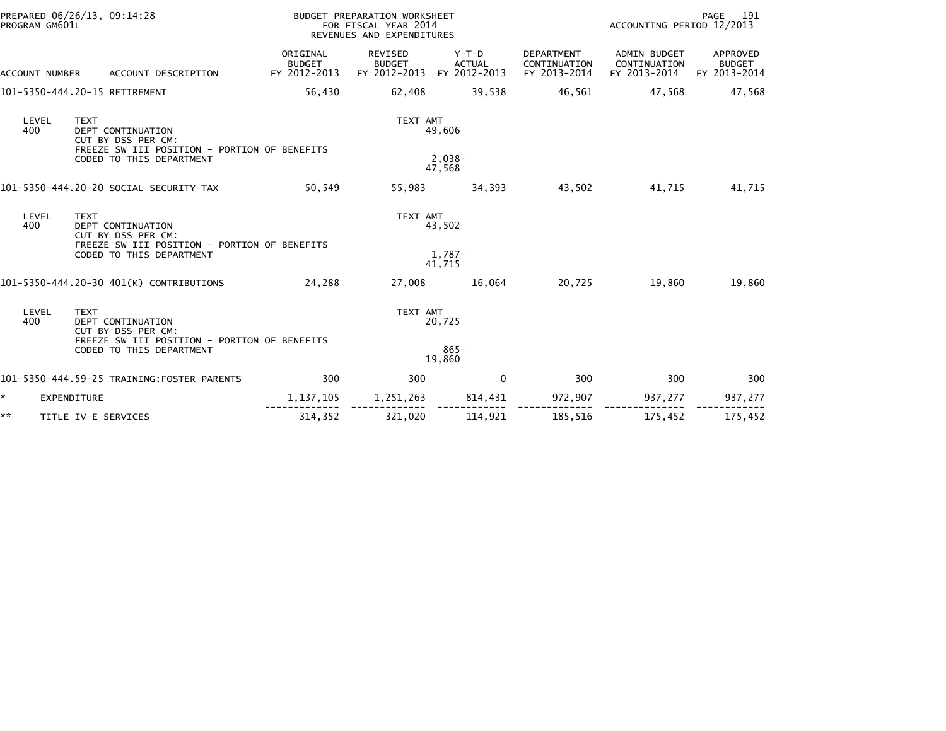| PROGRAM GM601L | PREPARED 06/26/13, 09:14:28                                                                                                        |                                           | BUDGET PREPARATION WORKSHEET<br>FOR FISCAL YEAR 2014<br>REVENUES AND EXPENDITURES |                                        |                                            | 191<br>PAGE<br>ACCOUNTING PERIOD 12/2013            |                                           |  |
|----------------|------------------------------------------------------------------------------------------------------------------------------------|-------------------------------------------|-----------------------------------------------------------------------------------|----------------------------------------|--------------------------------------------|-----------------------------------------------------|-------------------------------------------|--|
| ACCOUNT NUMBER | ACCOUNT DESCRIPTION                                                                                                                | ORIGINAL<br><b>BUDGET</b><br>FY 2012-2013 | REVISED<br><b>BUDGET</b><br>FY 2012-2013                                          | Y-T-D<br><b>ACTUAL</b><br>FY 2012-2013 | DEPARTMENT<br>CONTINUATION<br>FY 2013-2014 | <b>ADMIN BUDGET</b><br>CONTINUATION<br>FY 2013-2014 | APPROVED<br><b>BUDGET</b><br>FY 2013-2014 |  |
|                | 101-5350-444.20-15 RETIREMENT                                                                                                      | 56,430                                    | 62,408                                                                            | 39,538                                 | 46,561                                     | 47,568                                              | 47,568                                    |  |
| LEVEL<br>400   | <b>TEXT</b><br>DEPT CONTINUATION<br>CUT BY DSS PER CM:<br>FREEZE SW III POSITION - PORTION OF BENEFITS<br>CODED TO THIS DEPARTMENT |                                           | TEXT AMT                                                                          | 49,606<br>$2,038-$<br>47,568           |                                            |                                                     |                                           |  |
|                | 101-5350-444.20-20 SOCIAL SECURITY TAX                                                                                             | 50,549                                    | 55,983                                                                            | 34,393                                 | 43,502                                     | 41,715                                              | 41,715                                    |  |
| LEVEL<br>400   | <b>TEXT</b><br>DEPT CONTINUATION<br>CUT BY DSS PER CM:<br>FREEZE SW III POSITION - PORTION OF BENEFITS                             |                                           | TEXT AMT                                                                          | 43,502                                 |                                            |                                                     |                                           |  |
|                | CODED TO THIS DEPARTMENT                                                                                                           |                                           |                                                                                   | 1.787-<br>41.715                       |                                            |                                                     |                                           |  |
|                | 101-5350-444.20-30 401(K) CONTRIBUTIONS                                                                                            | 24,288                                    | 27,008                                                                            | 16,064                                 | 20,725                                     | 19,860                                              | 19,860                                    |  |
| LEVEL<br>400   | <b>TEXT</b><br>DEPT CONTINUATION<br>CUT BY DSS PER CM:<br>FREEZE SW III POSITION - PORTION OF BENEFITS                             |                                           | TEXT AMT                                                                          | 20,725                                 |                                            |                                                     |                                           |  |
|                | CODED TO THIS DEPARTMENT                                                                                                           |                                           |                                                                                   | $865 -$<br>19,860                      |                                            |                                                     |                                           |  |
|                | 101-5350-444.59-25 TRAINING:FOSTER PARENTS                                                                                         | 300                                       | 300                                                                               | $\mathbf{0}$                           | 300                                        | 300                                                 | 300                                       |  |
| $\star$        | <b>EXPENDITURE</b>                                                                                                                 | 1, 137, 105                               | 1,251,263                                                                         | 814,431                                | 972,907                                    | 937,277                                             | 937,277                                   |  |
| **             | TITLE IV-E SERVICES                                                                                                                | 314,352                                   | 321,020                                                                           | 114,921                                | 185,516                                    | 175,452                                             | 175,452                                   |  |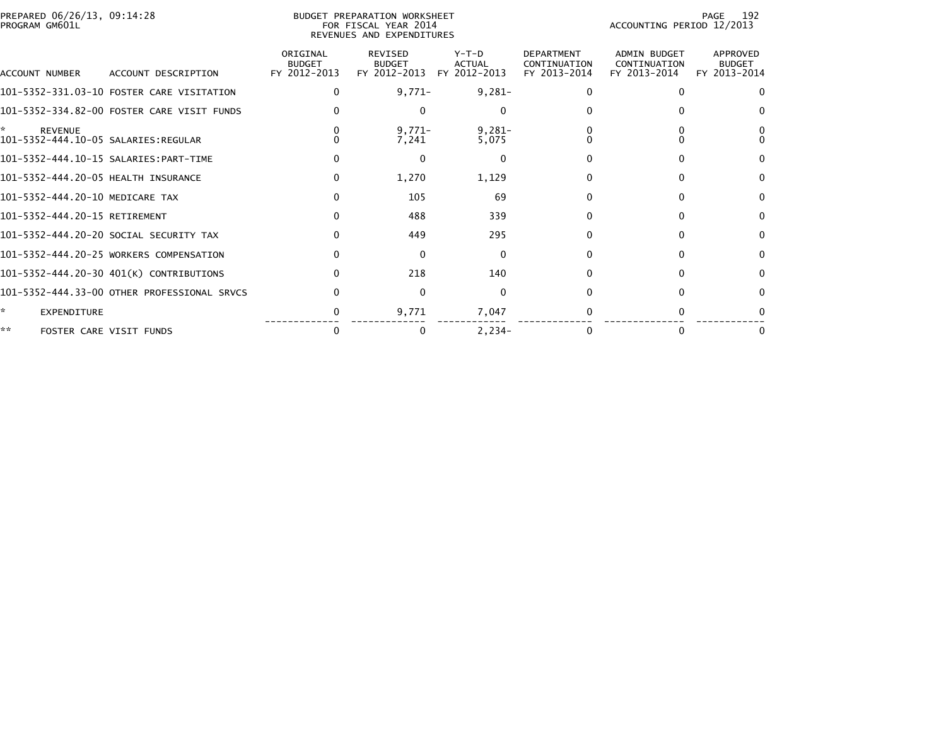| PREPARED 06/26/13, 09:14:28<br>PROGRAM GM601L |                                             | <b>BUDGET PREPARATION WORKSHEET</b><br>FOR FISCAL YEAR 2014<br>REVENUES AND EXPENDITURES |                                          |                                          |                                                   |                                              | 192<br>PAGE<br>ACCOUNTING PERIOD 12/2013  |  |  |
|-----------------------------------------------|---------------------------------------------|------------------------------------------------------------------------------------------|------------------------------------------|------------------------------------------|---------------------------------------------------|----------------------------------------------|-------------------------------------------|--|--|
| ACCOUNT NUMBER                                | ACCOUNT DESCRIPTION                         | ORIGINAL<br><b>BUDGET</b><br>FY 2012-2013                                                | REVISED<br><b>BUDGET</b><br>FY 2012-2013 | $Y-T-D$<br><b>ACTUAL</b><br>FY 2012-2013 | <b>DEPARTMENT</b><br>CONTINUATION<br>FY 2013-2014 | ADMIN BUDGET<br>CONTINUATION<br>FY 2013-2014 | APPROVED<br><b>BUDGET</b><br>FY 2013-2014 |  |  |
|                                               | 101-5352-331.03-10 FOSTER CARE VISITATION   | $\Omega$                                                                                 | $9,771-$                                 | $9,281-$                                 |                                                   | $\Omega$                                     | $\Omega$                                  |  |  |
|                                               | 101-5352-334.82-00 FOSTER CARE VISIT FUNDS  |                                                                                          | 0                                        | $\Omega$                                 |                                                   |                                              | $\Omega$                                  |  |  |
| *<br><b>REVENUE</b>                           |                                             |                                                                                          | $9,771-$<br>7,241                        | $9,281-$<br>5,075                        |                                                   |                                              |                                           |  |  |
|                                               | 101-5352-444.10-15 SALARIES:PART-TIME       |                                                                                          | 0                                        | $\mathbf 0$                              |                                                   | n                                            | $\Omega$                                  |  |  |
| 101-5352-444.20-05 HEALTH INSURANCE           |                                             | 0                                                                                        | 1,270                                    | 1,129                                    |                                                   | <sup>0</sup>                                 | $\bf{0}$                                  |  |  |
| 101-5352-444.20-10 MEDICARE TAX               |                                             | $\Omega$                                                                                 | 105                                      | 69                                       |                                                   | $\Omega$                                     | $\mathbf{0}$                              |  |  |
| 101-5352-444.20-15 RETIREMENT                 |                                             |                                                                                          | 488                                      | 339                                      |                                                   | <sup>n</sup>                                 | $\bf{0}$                                  |  |  |
|                                               | 101-5352-444.20-20 SOCIAL SECURITY TAX      |                                                                                          | 449                                      | 295                                      |                                                   | $\Omega$                                     | $\mathbf{0}$                              |  |  |
|                                               | 101-5352-444.20-25 WORKERS COMPENSATION     |                                                                                          | $\Omega$                                 | $\mathbf{0}$                             |                                                   | n                                            | $\Omega$                                  |  |  |
|                                               | 101-5352-444.20-30 401(K) CONTRIBUTIONS     |                                                                                          | 218                                      | 140                                      |                                                   |                                              | 0                                         |  |  |
|                                               | 101-5352-444.33-00 OTHER PROFESSIONAL SRVCS |                                                                                          | $\Omega$                                 | $\mathbf{0}$                             |                                                   |                                              | $\Omega$                                  |  |  |
| *.<br>EXPENDITURE                             |                                             |                                                                                          | 9,771                                    | 7,047                                    |                                                   |                                              |                                           |  |  |
| **                                            | FOSTER CARE VISIT FUNDS                     | $\Omega$                                                                                 | 0                                        | $2,234-$                                 |                                                   | $\Omega$                                     | 0                                         |  |  |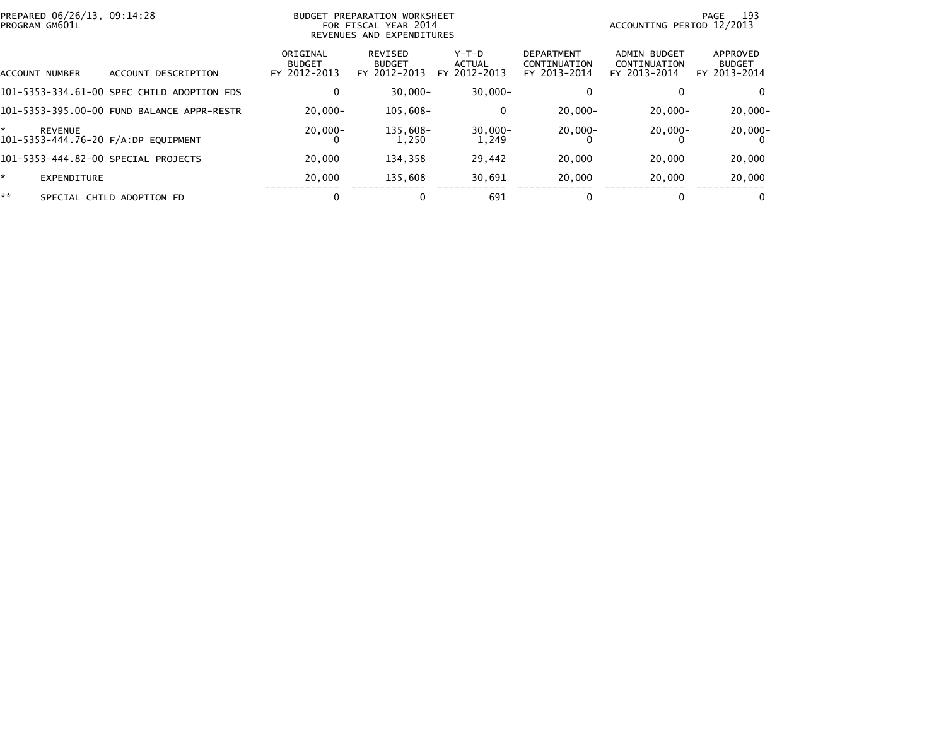| PREPARED 06/26/13, 09:14:28<br>PROGRAM GM601L         |                                            |                                           | BUDGET PREPARATION WORKSHEET<br>FOR FISCAL YEAR 2014<br>REVENUES AND EXPENDITURES |                                 | -193<br>PAGE<br>ACCOUNTING PERIOD 12/2013         |                                              |                                           |  |
|-------------------------------------------------------|--------------------------------------------|-------------------------------------------|-----------------------------------------------------------------------------------|---------------------------------|---------------------------------------------------|----------------------------------------------|-------------------------------------------|--|
| ACCOUNT NUMBER                                        | ACCOUNT DESCRIPTION                        | ORIGINAL<br><b>BUDGET</b><br>FY 2012-2013 | REVISED<br><b>BUDGET</b><br>FY 2012-2013                                          | Y-T-D<br>ACTUAL<br>FY 2012-2013 | <b>DEPARTMENT</b><br>CONTINUATION<br>FY 2013-2014 | ADMIN BUDGET<br>CONTINUATION<br>FY 2013-2014 | APPROVED<br><b>BUDGET</b><br>FY 2013-2014 |  |
|                                                       | 101-5353-334.61-00 SPEC CHILD ADOPTION FDS | 0                                         | $30.000 -$                                                                        | $30.000 -$                      |                                                   | 0                                            | 0                                         |  |
|                                                       | 101-5353-395.00-00 FUND BALANCE APPR-RESTR | $20.000 -$                                | $105.608 -$                                                                       | 0                               | $20.000 -$                                        | $20.000 -$                                   | $20.000 -$                                |  |
| <b>REVENUE</b><br>101-5353-444.76-20 F/A:DP EOUIPMENT |                                            | $20.000 -$<br>0                           | 135.608-<br>1.250                                                                 | $30.000 -$<br>1.249             | $20,000 -$                                        | $20,000 -$                                   | $20,000 -$                                |  |
| 101-5353-444.82-00 SPECIAL PROJECTS                   |                                            | 20,000                                    | 134,358                                                                           | 29,442                          | 20,000                                            | 20,000                                       | 20,000                                    |  |
| EXPENDITURE                                           |                                            | 20,000                                    | 135.608                                                                           | 30,691                          | 20,000                                            | 20,000                                       | 20,000                                    |  |
| **                                                    | SPECIAL CHILD ADOPTION FD                  | 0                                         |                                                                                   | 691                             |                                                   | 0                                            | 0                                         |  |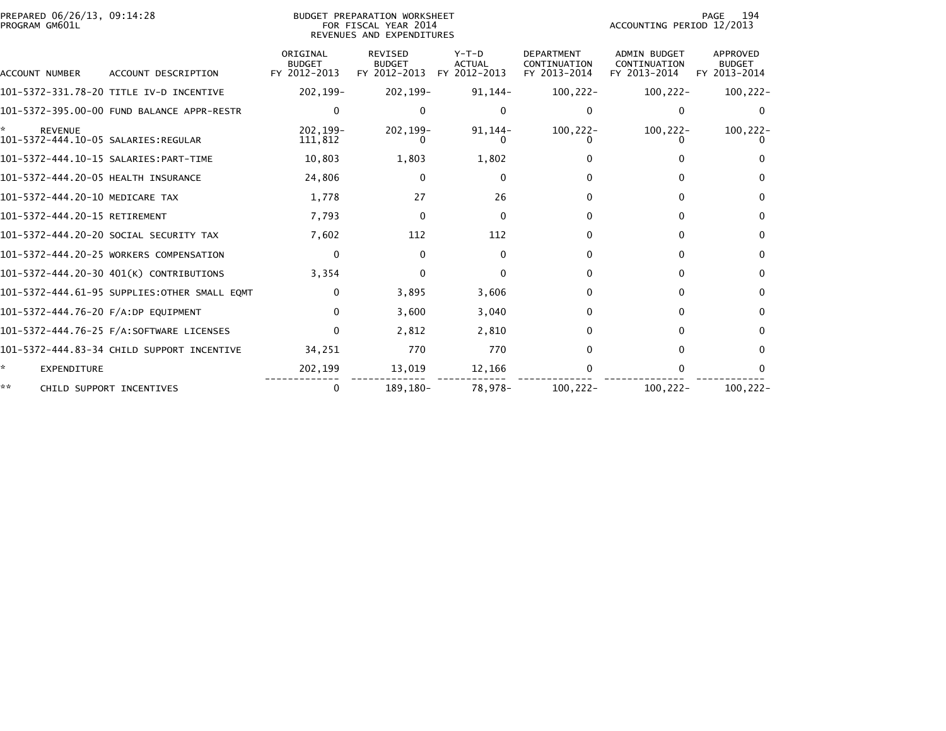| PREPARED 06/26/13, 09:14:28<br>PROGRAM GM601L |                                              |                                           | <b>BUDGET PREPARATION WORKSHEET</b><br>FOR FISCAL YEAR 2014<br>REVENUES AND EXPENDITURES |                                          |                                                   | ACCOUNTING PERIOD 12/2013                           | 194<br>PAGE                               |
|-----------------------------------------------|----------------------------------------------|-------------------------------------------|------------------------------------------------------------------------------------------|------------------------------------------|---------------------------------------------------|-----------------------------------------------------|-------------------------------------------|
| ACCOUNT NUMBER                                | ACCOUNT DESCRIPTION                          | ORIGINAL<br><b>BUDGET</b><br>FY 2012-2013 | <b>REVISED</b><br><b>BUDGET</b><br>FY 2012-2013                                          | $Y-T-D$<br><b>ACTUAL</b><br>FY 2012-2013 | <b>DEPARTMENT</b><br>CONTINUATION<br>FY 2013-2014 | <b>ADMIN BUDGET</b><br>CONTINUATION<br>FY 2013-2014 | APPROVED<br><b>BUDGET</b><br>FY 2013-2014 |
|                                               | 101-5372-331.78-20 TITLE IV-D INCENTIVE      | 202,199-                                  | 202,199-                                                                                 | 91,144-                                  | $100, 222 -$                                      | $100, 222 -$                                        | $100, 222 -$                              |
|                                               | 101-5372-395.00-00 FUND BALANCE APPR-RESTR   | 0                                         | 0                                                                                        | $\Omega$                                 |                                                   | 0                                                   | 0                                         |
| <b>REVENUE</b>                                |                                              | 202.199-<br>111,812                       | $202.199 -$                                                                              | $91,144-$                                | $100, 222 -$                                      | $100, 222 -$                                        | $100, 222 -$                              |
|                                               |                                              | 10,803                                    | 1,803                                                                                    | 1,802                                    |                                                   |                                                     |                                           |
| 101-5372-444.20-05 HEALTH INSURANCE           |                                              | 24,806                                    | 0                                                                                        | $\mathbf 0$                              |                                                   | 0                                                   | $\Omega$                                  |
| 101-5372-444.20-10 MEDICARE TAX               |                                              | 1,778                                     | 27                                                                                       | 26                                       | 0                                                 | 0                                                   | $\Omega$                                  |
| 101-5372-444.20-15 RETIREMENT                 |                                              | 7,793                                     | $\Omega$                                                                                 | $\Omega$                                 | 0                                                 | 0                                                   | $\Omega$                                  |
|                                               | 101-5372-444.20-20 SOCIAL SECURITY TAX       | 7,602                                     | 112                                                                                      | 112                                      |                                                   | 0                                                   | $\Omega$                                  |
|                                               | 101-5372-444.20-25 WORKERS COMPENSATION      | 0                                         | $\Omega$                                                                                 | $\Omega$                                 | 0                                                 | 0                                                   | $\Omega$                                  |
|                                               | 101-5372-444.20-30 401(K) CONTRIBUTIONS      | 3,354                                     | $\Omega$                                                                                 | $\Omega$                                 | 0                                                 | 0                                                   | $\Omega$                                  |
|                                               | 101-5372-444.61-95 SUPPLIES:OTHER SMALL EQMT | 0                                         | 3,895                                                                                    | 3,606                                    | 0                                                 | 0                                                   | $\Omega$                                  |
| 101-5372-444.76-20 F/A:DP EOUIPMENT           |                                              | $\Omega$                                  | 3.600                                                                                    | 3,040                                    | 0                                                 | 0                                                   | $\Omega$                                  |
|                                               |                                              | $\Omega$                                  | 2,812                                                                                    | 2,810                                    | 0                                                 | 0                                                   | $\Omega$                                  |
|                                               | 101-5372-444.83-34 CHILD SUPPORT INCENTIVE   | 34,251                                    | 770                                                                                      | 770                                      |                                                   | 0                                                   | $\Omega$                                  |
| *<br>EXPENDITURE                              |                                              | 202,199                                   | 13,019                                                                                   | 12,166                                   |                                                   | 0                                                   | 0                                         |
| **                                            | CHILD SUPPORT INCENTIVES                     | 0                                         | 189.180-                                                                                 | 78,978-                                  | $100.222 -$                                       | $100.222 -$                                         | 100.222-                                  |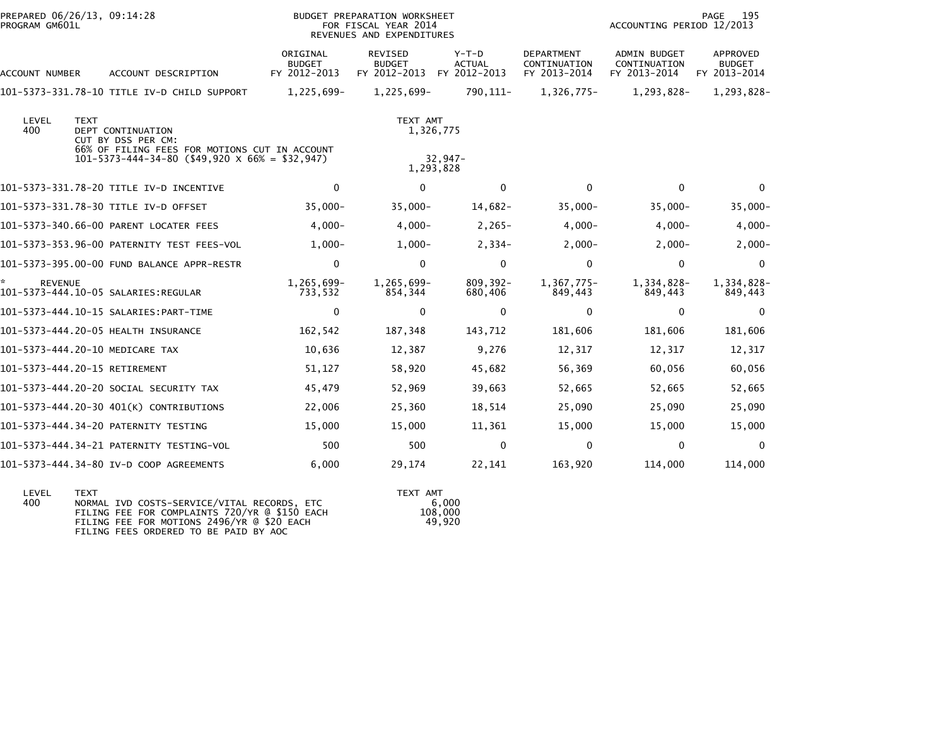| PROGRAM GM601L | PREPARED 06/26/13, 09:14:28                                                                                                                                        |                                           | BUDGET PREPARATION WORKSHEET<br>FOR FISCAL YEAR 2014<br>REVENUES AND EXPENDITURES |                                        |                                            | ACCOUNTING PERIOD 12/2013                    | PAGE<br>195                                      |
|----------------|--------------------------------------------------------------------------------------------------------------------------------------------------------------------|-------------------------------------------|-----------------------------------------------------------------------------------|----------------------------------------|--------------------------------------------|----------------------------------------------|--------------------------------------------------|
| ACCOUNT NUMBER | ACCOUNT DESCRIPTION                                                                                                                                                | ORIGINAL<br><b>BUDGET</b><br>FY 2012-2013 | REVISED<br><b>BUDGET</b><br>FY 2012-2013                                          | Y-T-D<br><b>ACTUAL</b><br>FY 2012-2013 | DEPARTMENT<br>CONTINUATION<br>FY 2013-2014 | ADMIN BUDGET<br>CONTINUATION<br>FY 2013-2014 | <b>APPROVED</b><br><b>BUDGET</b><br>FY 2013-2014 |
|                | 101-5373-331.78-10 TITLE IV-D CHILD SUPPORT                                                                                                                        | 1,225,699-                                | 1,225,699-                                                                        | 790, 111-                              | 1,326,775-                                 | 1,293,828-                                   | 1,293,828-                                       |
| LEVEL<br>400   | <b>TEXT</b><br><b>DEPT CONTINUATION</b><br>CUT BY DSS PER CM:<br>66% OF FILING FEES FOR MOTIONS CUT IN ACCOUNT<br>$101-5373-444-34-80$ (\$49,920 X 66% = \$32,947) |                                           | TEXT AMT                                                                          | 1,326,775<br>$32,947-$<br>1,293,828    |                                            |                                              |                                                  |
|                | 101-5373-331.78-20 TITLE IV-D INCENTIVE                                                                                                                            | $\mathbf{0}$                              | $\Omega$                                                                          | $\Omega$                               | $\Omega$                                   | $\Omega$                                     | $\Omega$                                         |
|                | 101-5373-331.78-30 TITLE IV-D OFFSET                                                                                                                               | $35,000 -$                                | $35,000 -$                                                                        | 14,682-                                | $35,000 -$                                 | $35,000 -$                                   | $35,000 -$                                       |
|                | 101-5373-340.66-00 PARENT LOCATER FEES                                                                                                                             | $4,000-$                                  | $4,000-$                                                                          | $2,265-$                               | $4,000-$                                   | $4,000-$                                     | $4,000 -$                                        |
|                | 101-5373-353.96-00 PATERNITY TEST FEES-VOL                                                                                                                         | $1.000 -$                                 | $1.000 -$                                                                         | $2,334-$                               | $2,000-$                                   | $2,000-$                                     | $2,000 -$                                        |
|                | 101-5373-395.00-00 FUND BALANCE APPR-RESTR                                                                                                                         | 0                                         | $\Omega$                                                                          | $\mathbf 0$                            | $\Omega$                                   | $\mathbf{0}$                                 | $\Omega$                                         |
| <b>REVENUE</b> | 101-5373-444.10-05 SALARIES:REGULAR                                                                                                                                | 1,265,699-<br>733,532                     | 1,265,699-<br>854,344                                                             | $809, 392 -$<br>680,406                | 1,367,775-<br>849,443                      | 1,334,828-<br>849,443                        | 1,334,828-<br>849,443                            |
|                | 101-5373-444.10-15 SALARIES: PART-TIME                                                                                                                             | $\mathbf 0$                               | $\Omega$                                                                          | $\mathbf{0}$                           | $\Omega$                                   | $\mathbf{0}$                                 | $\Omega$                                         |
|                | 101-5373-444.20-05 HEALTH INSURANCE                                                                                                                                | 162,542                                   | 187,348                                                                           | 143,712                                | 181,606                                    | 181,606                                      | 181,606                                          |
|                | 101-5373-444.20-10 MEDICARE TAX                                                                                                                                    | 10,636                                    | 12,387                                                                            | 9,276                                  | 12,317                                     | 12,317                                       | 12,317                                           |
|                | 101-5373-444.20-15 RETIREMENT                                                                                                                                      | 51,127                                    | 58,920                                                                            | 45,682                                 | 56,369                                     | 60,056                                       | 60,056                                           |
|                | 101-5373-444.20-20 SOCIAL SECURITY TAX                                                                                                                             | 45,479                                    | 52,969                                                                            | 39,663                                 | 52,665                                     | 52,665                                       | 52,665                                           |
|                | 101-5373-444.20-30 401(K) CONTRIBUTIONS                                                                                                                            | 22,006                                    | 25,360                                                                            | 18,514                                 | 25,090                                     | 25,090                                       | 25,090                                           |
|                | 101-5373-444.34-20 PATERNITY TESTING                                                                                                                               | 15,000                                    | 15,000                                                                            | 11,361                                 | 15,000                                     | 15,000                                       | 15,000                                           |
|                |                                                                                                                                                                    | 500                                       | 500                                                                               | $\mathbf{0}$                           | $\mathbf{0}$                               | $\mathbf{0}$                                 | $\Omega$                                         |
|                | 101-5373-444.34-80 IV-D COOP AGREEMENTS                                                                                                                            | 6,000                                     | 29,174                                                                            | 22,141                                 | 163,920                                    | 114,000                                      | 114,000                                          |
|                |                                                                                                                                                                    |                                           |                                                                                   |                                        |                                            |                                              |                                                  |

| I FVFI | <b>TFXT</b>                                   | TFXT AMT |
|--------|-----------------------------------------------|----------|
| 400    | NORMAL IVD COSTS-SERVICE/VITAL RECORDS, ETC   | 6.000    |
|        | FILING FEE FOR COMPLAINTS 720/YR @ \$150 EACH | 108,000  |
|        | FILING FEE FOR MOTIONS 2496/YR @ \$20 EACH    | 49.920   |
|        | FILING FEES ORDERED TO BE PAID BY AOC         |          |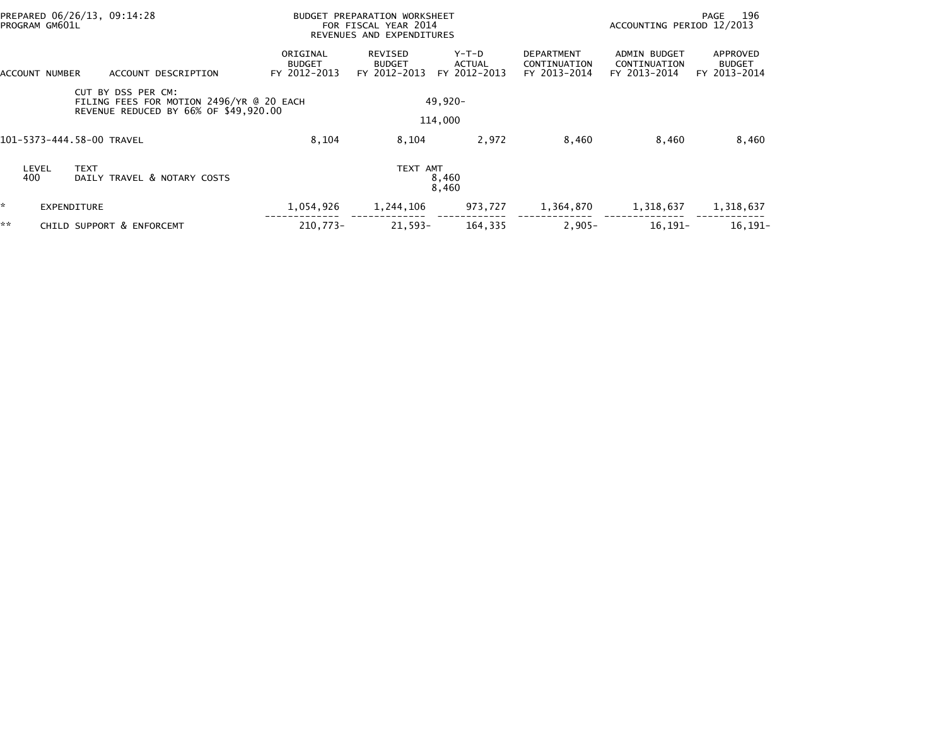| PROGRAM GM601L | PREPARED 06/26/13, 09:14:28                                                                             | <b>BUDGET PREPARATION WORKSHEET</b><br>FOR FISCAL YEAR 2014<br>REVENUES AND EXPENDITURES |                                          |                                 |                                                   | - 196<br>PAGE<br>ACCOUNTING PERIOD 12/2013          |                                           |  |
|----------------|---------------------------------------------------------------------------------------------------------|------------------------------------------------------------------------------------------|------------------------------------------|---------------------------------|---------------------------------------------------|-----------------------------------------------------|-------------------------------------------|--|
| ACCOUNT NUMBER | ACCOUNT DESCRIPTION                                                                                     | ORIGINAL<br><b>BUDGET</b><br>FY 2012-2013                                                | REVISED<br><b>BUDGET</b><br>FY 2012-2013 | Y-T-D<br>ACTUAL<br>FY 2012-2013 | <b>DEPARTMENT</b><br>CONTINUATION<br>FY 2013-2014 | <b>ADMIN BUDGET</b><br>CONTINUATION<br>FY 2013-2014 | APPROVED<br><b>BUDGET</b><br>FY 2013-2014 |  |
|                | CUT BY DSS PER CM:<br>FILING FEES FOR MOTION 2496/YR @ 20 EACH<br>REVENUE REDUCED BY 66% OF \$49,920.00 |                                                                                          |                                          | $49.920 -$                      |                                                   |                                                     |                                           |  |
|                |                                                                                                         |                                                                                          |                                          | 114,000                         |                                                   |                                                     |                                           |  |
|                | 101–5373–444.58–00 TRAVEL                                                                               | 8,104                                                                                    | 8,104                                    | 2,972                           | 8,460                                             | 8,460                                               | 8,460                                     |  |
| LEVEL<br>400   | <b>TEXT</b><br>DAILY TRAVEL & NOTARY COSTS                                                              |                                                                                          | TEXT AMT                                 | 8,460<br>8,460                  |                                                   |                                                     |                                           |  |
| *.             | <b>EXPENDITURE</b>                                                                                      | 1,054,926                                                                                | 1,244,106                                | 973,727                         | 1,364,870                                         | 1,318,637                                           | 1,318,637                                 |  |
| **             | CHILD SUPPORT & ENFORCEMT                                                                               | 210.773-                                                                                 | $21.593 -$                               | 164,335                         | $2,905 -$                                         | $16, 191 -$                                         | $16.191 -$                                |  |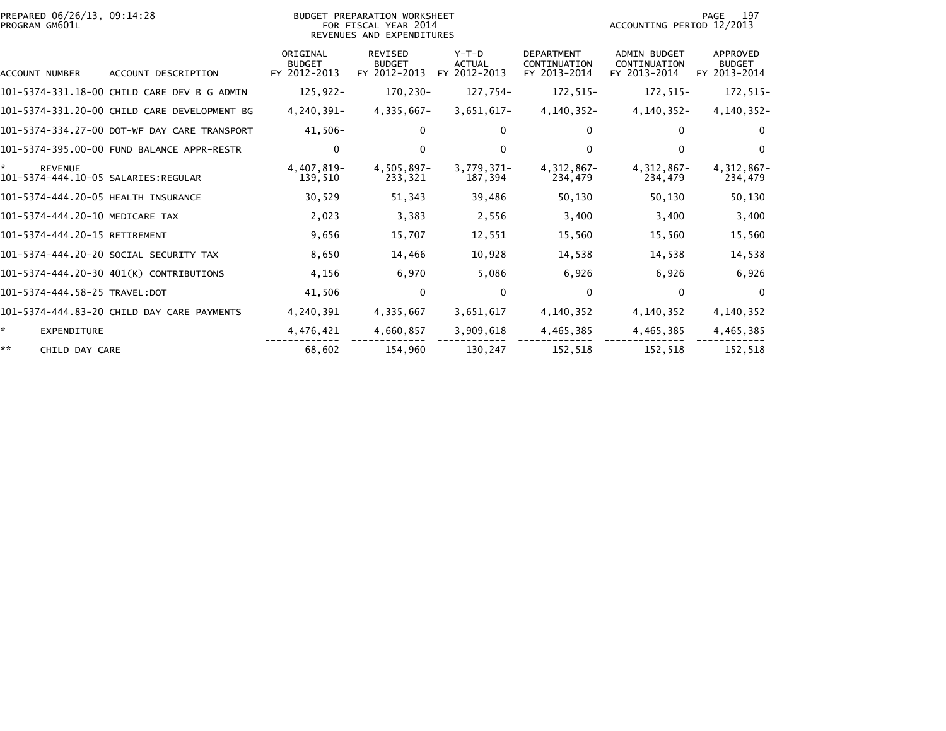| PREPARED 06/26/13, 09:14:28<br>PROGRAM GM601L |                                              |                                           | BUDGET PREPARATION WORKSHEET<br>FOR FISCAL YEAR 2014<br>REVENUES AND EXPENDITURES | 197<br>PAGE<br>ACCOUNTING PERIOD 12/2013 |                                                   |                                                     |                                           |
|-----------------------------------------------|----------------------------------------------|-------------------------------------------|-----------------------------------------------------------------------------------|------------------------------------------|---------------------------------------------------|-----------------------------------------------------|-------------------------------------------|
| ACCOUNT NUMBER                                | ACCOUNT DESCRIPTION                          | ORIGINAL<br><b>BUDGET</b><br>FY 2012-2013 | <b>REVISED</b><br><b>BUDGET</b><br>FY 2012-2013                                   | $Y-T-D$<br><b>ACTUAL</b><br>FY 2012-2013 | <b>DEPARTMENT</b><br>CONTINUATION<br>FY 2013-2014 | <b>ADMIN BUDGET</b><br>CONTINUATION<br>FY 2013-2014 | APPROVED<br><b>BUDGET</b><br>FY 2013-2014 |
|                                               | 101-5374-331.18-00 CHILD CARE DEV B G ADMIN  | $125,922-$                                | 170,230-                                                                          | 127,754-                                 | 172,515-                                          | 172,515-                                            | 172,515-                                  |
|                                               | 101-5374-331.20-00 CHILD CARE DEVELOPMENT BG | 4,240,391-                                | 4,335,667-                                                                        | $3,651,617-$                             | 4,140,352-                                        | $4, 140, 352 -$                                     | $4, 140, 352 -$                           |
|                                               | 101-5374-334.27-00 DOT-WF DAY CARE TRANSPORT | 41,506-                                   | $\mathbf{0}$                                                                      | $\mathbf{0}$                             | 0                                                 | 0                                                   | $\Omega$                                  |
|                                               | 101-5374-395.00-00 FUND BALANCE APPR-RESTR   | 0                                         | $\mathbf{0}$                                                                      | $\Omega$                                 | 0                                                 |                                                     | $\Omega$                                  |
| *<br><b>REVENUE</b>                           |                                              | 4,407,819-<br>139,510                     | 4,505,897-<br>233,321                                                             | $3,779,371-$<br>187,394                  | 4,312,867-<br>234,479                             | 4,312,867-<br>234,479                               | 4,312,867-<br>234,479                     |
| 101-5374-444.20-05 HEALTH INSURANCE           |                                              | 30,529                                    | 51,343                                                                            | 39,486                                   | 50,130                                            | 50,130                                              | 50,130                                    |
| 101-5374-444.20-10 MEDICARE TAX               |                                              | 2,023                                     | 3,383                                                                             | 2,556                                    | 3,400                                             | 3,400                                               | 3,400                                     |
| 101-5374-444.20-15 RETIREMENT                 |                                              | 9,656                                     | 15,707                                                                            | 12,551                                   | 15,560                                            | 15,560                                              | 15,560                                    |
|                                               | 101-5374-444.20-20 SOCIAL SECURITY TAX       | 8,650                                     | 14,466                                                                            | 10,928                                   | 14,538                                            | 14,538                                              | 14,538                                    |
|                                               | 101-5374-444.20-30 401(K) CONTRIBUTIONS      | 4,156                                     | 6,970                                                                             | 5,086                                    | 6,926                                             | 6,926                                               | 6,926                                     |
| 101-5374-444.58-25 TRAVEL:DOT                 |                                              | 41,506                                    | $\mathbf{0}$                                                                      | $\mathbf{0}$                             | $\Omega$                                          | $\mathbf{0}$                                        | $\Omega$                                  |
|                                               | 101-5374-444.83-20 CHILD DAY CARE PAYMENTS   | 4,240,391                                 | 4,335,667                                                                         | 3,651,617                                | 4,140,352                                         | 4,140,352                                           | 4,140,352                                 |
| ☆.<br><b>EXPENDITURE</b>                      |                                              | 4,476,421                                 | 4,660,857                                                                         | 3,909,618                                | 4,465,385                                         | 4,465,385                                           | 4,465,385                                 |
| **<br>CHILD DAY CARE                          |                                              | 68,602                                    | 154,960                                                                           | 130,247                                  | 152,518                                           | 152,518                                             | 152,518                                   |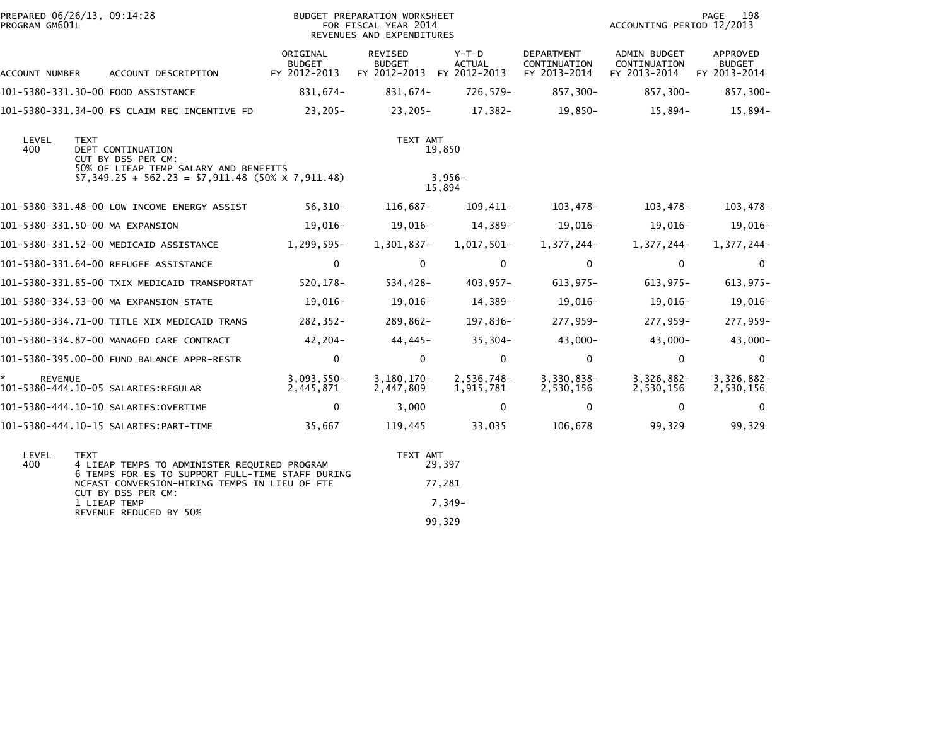| PREPARED 06/26/13, 09:14:28<br>PROGRAM GM601L |             |                                                                                                                                            | BUDGET PREPARATION WORKSHEET<br>FOR FISCAL YEAR 2014<br>REVENUES AND EXPENDITURES |                                                       |                          |                                                   | 198<br>PAGE<br>ACCOUNTING PERIOD 12/2013            |                                           |  |
|-----------------------------------------------|-------------|--------------------------------------------------------------------------------------------------------------------------------------------|-----------------------------------------------------------------------------------|-------------------------------------------------------|--------------------------|---------------------------------------------------|-----------------------------------------------------|-------------------------------------------|--|
| ACCOUNT NUMBER                                |             | ACCOUNT DESCRIPTION                                                                                                                        | ORIGINAL<br><b>BUDGET</b><br>FY 2012-2013                                         | REVISED<br><b>BUDGET</b><br>FY 2012-2013 FY 2012-2013 | $Y-T-D$<br><b>ACTUAL</b> | <b>DEPARTMENT</b><br>CONTINUATION<br>FY 2013-2014 | <b>ADMIN BUDGET</b><br>CONTINUATION<br>FY 2013-2014 | APPROVED<br><b>BUDGET</b><br>FY 2013-2014 |  |
|                                               |             | 101-5380-331.30-00 FOOD ASSISTANCE                                                                                                         | 831,674-                                                                          | 831,674-                                              | 726,579-                 | 857,300-                                          | 857,300-                                            | 857,300-                                  |  |
|                                               |             | 101-5380-331.34-00 FS CLAIM REC INCENTIVE FD                                                                                               | 23,205-                                                                           | 23,205-                                               | 17,382-                  | 19,850-                                           | 15,894-                                             | 15,894-                                   |  |
| LEVEL<br>400                                  | <b>TEXT</b> | DEPT CONTINUATION<br>CUT BY DSS PER CM:<br>50% OF LIEAP TEMP SALARY AND BENEFITS<br>$$7,349.25 + 562.23 = $7,911.48 (50% \times 7,911.48)$ |                                                                                   | TEXT AMT                                              | 19,850<br>$3,956-$       |                                                   |                                                     |                                           |  |
|                                               |             |                                                                                                                                            |                                                                                   |                                                       | 15,894                   |                                                   |                                                     |                                           |  |
|                                               |             | 101-5380-331.48-00 LOW INCOME ENERGY ASSIST                                                                                                | $56,310-$                                                                         | 116,687-                                              | 109,411-                 | 103,478-                                          | 103,478-                                            | $103,478-$                                |  |
| 101-5380-331.50-00 MA EXPANSION               |             |                                                                                                                                            | 19,016-                                                                           | 19,016–                                               | 14,389-                  | $19,016-$                                         | 19,016-                                             | $19,016-$                                 |  |
|                                               |             | 101-5380-331.52-00 MEDICAID ASSISTANCE                                                                                                     | 1,299,595-                                                                        | 1,301,837-                                            | 1,017,501-               | 1,377,244-                                        | 1,377,244-                                          | 1,377,244-                                |  |
|                                               |             | 101-5380-331.64-00 REFUGEE ASSISTANCE                                                                                                      | 0                                                                                 | $\mathbf{0}$                                          | $\mathbf 0$              | $\mathbf 0$                                       | 0                                                   | $\mathbf{0}$                              |  |
|                                               |             | 101-5380-331.85-00 TXIX MEDICAID TRANSPORTAT                                                                                               | 520,178-                                                                          | 534,428-                                              | 403,957-                 | $613,975-$                                        | 613,975-                                            | $613,975-$                                |  |
|                                               |             | 101-5380-334.53-00 MA EXPANSION STATE                                                                                                      | 19,016-                                                                           | 19,016-                                               | 14,389-                  | 19,016-                                           | 19,016-                                             | 19,016-                                   |  |
|                                               |             | 101-5380-334.71-00 TITLE XIX MEDICAID TRANS                                                                                                | $282, 352 -$                                                                      | 289,862-                                              | 197,836-                 | 277,959-                                          | 277,959-                                            | 277,959-                                  |  |
|                                               |             | 101-5380-334.87-00 MANAGED CARE CONTRACT                                                                                                   | 42,204-                                                                           | 44,445-                                               | $35,304-$                | $43,000 -$                                        | $43,000-$                                           | 43,000-                                   |  |
|                                               |             | 101-5380-395.00-00 FUND BALANCE APPR-RESTR                                                                                                 | $\mathbf 0$                                                                       | $\mathbf 0$                                           | $\mathbf 0$              | $\mathbf 0$                                       | 0                                                   | 0                                         |  |
| <b>REVENUE</b>                                |             |                                                                                                                                            | $3,093,550-$<br>2,445,871                                                         | $3,180,170-$<br>2,447,809                             | 2,536,748-<br>1,915,781  | 3,330,838-<br>2,530,156                           | $3,326,882-$<br>2,530,156                           | $3,326,882-$<br>2,530,156                 |  |
|                                               |             | 101-5380-444.10-10 SALARIES:OVERTIME                                                                                                       | 0                                                                                 | 3,000                                                 | $\mathbf 0$              | $\Omega$                                          | 0                                                   | $\mathbf{0}$                              |  |
|                                               |             | 101-5380-444.10-15 SALARIES:PART-TIME                                                                                                      | 35,667                                                                            | 119,445                                               | 33,035                   | 106,678                                           | 99,329                                              | 99,329                                    |  |
| LEVEL                                         | <b>TEXT</b> |                                                                                                                                            |                                                                                   | TEXT AMT                                              |                          |                                                   |                                                     |                                           |  |

| ----- |                                                                                                                         | .      |
|-------|-------------------------------------------------------------------------------------------------------------------------|--------|
| 400   | 4 LIEAP TEMPS TO ADMINISTER REQUIRED PROGRAM                                                                            | 29.397 |
|       | 6 TEMPS FOR ES TO SUPPORT FULL-TIME STAFF DURING<br>NCFAST CONVERSION-HIRING TEMPS IN LIEU OF FTE<br>CUT BY DSS PER CM: | 77.281 |
|       | 1 I TEAP TEMP                                                                                                           | -7.349 |
|       | REVENUE REDUCED BY 50%                                                                                                  | 99.329 |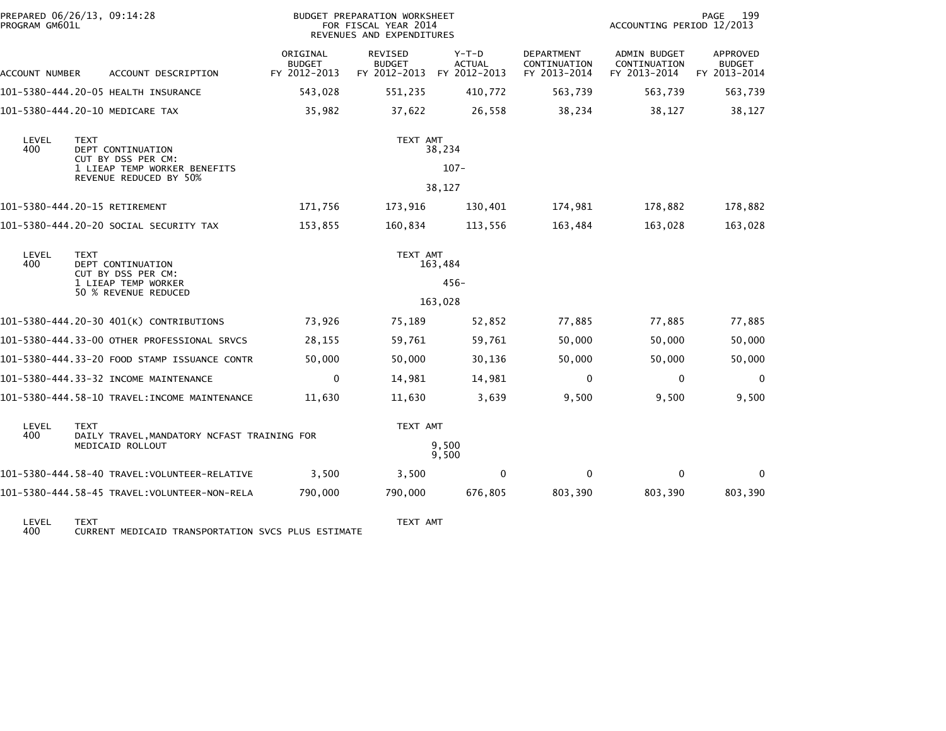| PROGRAM GM601L                                                         | PREPARED 06/26/13, 09:14:28                                                                   |                                           | BUDGET PREPARATION WORKSHEET<br>FOR FISCAL YEAR 2014<br>REVENUES AND EXPENDITURES |                          |                                                   | ACCOUNTING PERIOD 12/2013                           | 199<br>PAGE                               |
|------------------------------------------------------------------------|-----------------------------------------------------------------------------------------------|-------------------------------------------|-----------------------------------------------------------------------------------|--------------------------|---------------------------------------------------|-----------------------------------------------------|-------------------------------------------|
| ACCOUNT NUMBER                                                         | ACCOUNT DESCRIPTION                                                                           | ORIGINAL<br><b>BUDGET</b><br>FY 2012-2013 | REVISED<br><b>BUDGET</b><br>FY 2012-2013 FY 2012-2013                             | $Y-T-D$<br><b>ACTUAL</b> | <b>DEPARTMENT</b><br>CONTINUATION<br>FY 2013-2014 | <b>ADMIN BUDGET</b><br>CONTINUATION<br>FY 2013-2014 | APPROVED<br><b>BUDGET</b><br>FY 2013-2014 |
|                                                                        | 101-5380-444.20-05 HEALTH INSURANCE                                                           | 543,028                                   | 551,235                                                                           | 410,772                  | 563,739                                           | 563,739                                             | 563,739                                   |
|                                                                        | 101-5380-444.20-10 MEDICARE TAX                                                               | 35,982                                    | 37,622                                                                            | 26,558                   | 38,234                                            | 38,127                                              | 38,127                                    |
| LEVEL<br>400                                                           | <b>TEXT</b><br><b>DEPT CONTINUATION</b><br>CUT BY DSS PER CM:<br>1 LIEAP TEMP WORKER BENEFITS |                                           | TEXT AMT                                                                          | 38,234<br>$107 -$        |                                                   |                                                     |                                           |
|                                                                        | REVENUE REDUCED BY 50%                                                                        |                                           |                                                                                   | 38,127                   |                                                   |                                                     |                                           |
|                                                                        | 101-5380-444.20-15 RETIREMENT                                                                 | 171,756                                   | 173,916                                                                           | 130,401                  | 174,981                                           | 178,882                                             | 178,882                                   |
|                                                                        | 101-5380-444.20-20 SOCIAL SECURITY TAX                                                        | 153,855                                   | 160,834                                                                           | 113,556                  | 163,484                                           | 163,028                                             | 163,028                                   |
| LEVEL<br><b>TEXT</b><br>400<br>DEPT CONTINUATION<br>CUT BY DSS PER CM: |                                                                                               |                                           | TEXT AMT                                                                          | 163,484                  |                                                   |                                                     |                                           |
|                                                                        | 1 LIEAP TEMP WORKER<br>50 % REVENUE REDUCED                                                   |                                           |                                                                                   | $456 -$                  |                                                   |                                                     |                                           |
|                                                                        |                                                                                               |                                           |                                                                                   | 163,028                  |                                                   |                                                     |                                           |
|                                                                        | 101-5380-444.20-30 401(K) CONTRIBUTIONS                                                       | 73,926                                    | 75,189                                                                            | 52,852                   | 77,885                                            | 77,885                                              | 77,885                                    |
|                                                                        | 101-5380-444.33-00 OTHER PROFESSIONAL SRVCS                                                   | 28,155                                    | 59,761                                                                            | 59,761                   | 50,000                                            | 50,000                                              | 50,000                                    |
|                                                                        | 101-5380-444.33-20 FOOD STAMP ISSUANCE CONTR                                                  | 50,000                                    | 50,000                                                                            | 30,136                   | 50,000                                            | 50,000                                              | 50,000                                    |
|                                                                        | 101-5380-444.33-32 INCOME MAINTENANCE                                                         | $\mathbf 0$                               | 14,981                                                                            | 14,981                   | $\mathbf 0$                                       | 0                                                   | $\mathbf 0$                               |
|                                                                        | 101-5380-444.58-10 TRAVEL:INCOME MAINTENANCE                                                  | 11,630                                    | 11,630                                                                            | 3,639                    | 9,500                                             | 9,500                                               | 9,500                                     |
| LEVEL<br>400                                                           | <b>TEXT</b><br>DAILY TRAVEL, MANDATORY NCFAST TRAINING FOR                                    |                                           | TEXT AMT                                                                          |                          |                                                   |                                                     |                                           |
|                                                                        | MEDICAID ROLLOUT                                                                              |                                           |                                                                                   | 9,500<br>9,500           |                                                   |                                                     |                                           |
|                                                                        | 101–5380–444.58–40 TRAVEL:VOLUNTEER-RELATIVE                                                  | 3,500                                     | 3,500                                                                             | 0                        | 0                                                 | $\mathbf{0}$                                        | 0                                         |
|                                                                        | 101-5380-444.58-45 TRAVEL:VOLUNTEER-NON-RELA                                                  | 790,000                                   | 790,000                                                                           | 676,805                  | 803,390                                           | 803,390                                             | 803,390                                   |
| $L$ CMCL.                                                              | <b>TEVT</b>                                                                                   |                                           | TEVT AMT                                                                          |                          |                                                   |                                                     |                                           |

LEVEL TEXT TEXT AMT 400 CURRENT MEDICAID TRANSPORTATION SVCS PLUS ESTIMATE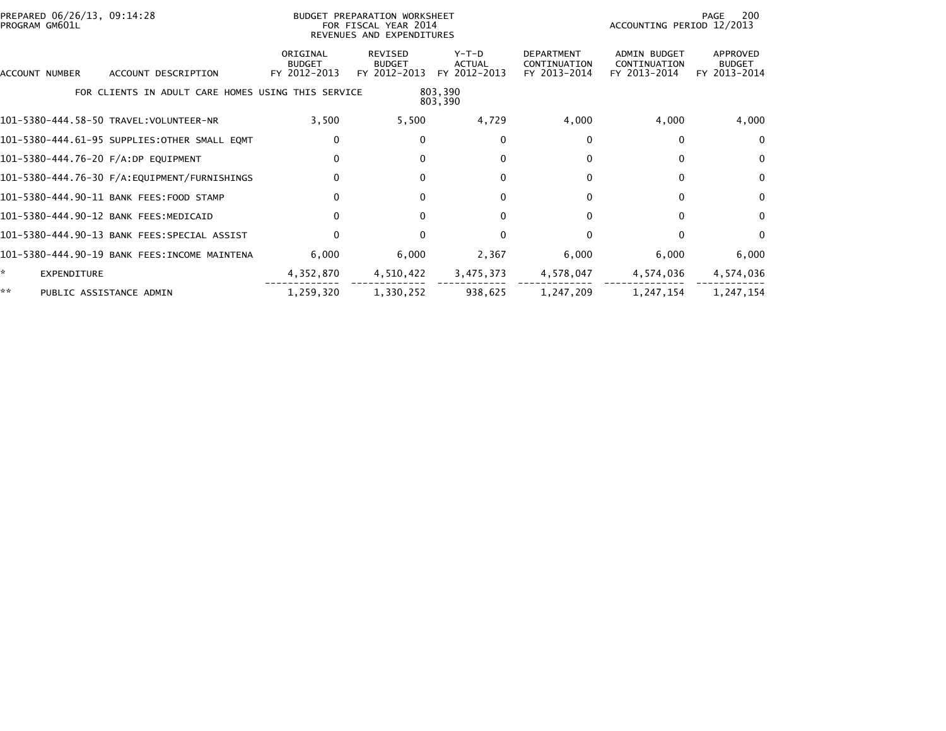| PREPARED 06/26/13, 09:14:28<br>PROGRAM GM601L |                                                    | BUDGET PREPARATION WORKSHEET<br>FOR FISCAL YEAR 2014<br>REVENUES AND EXPENDITURES |                                          |                                   |                                                   | 200<br>PAGE<br>ACCOUNTING PERIOD 12/2013     |                                           |  |
|-----------------------------------------------|----------------------------------------------------|-----------------------------------------------------------------------------------|------------------------------------------|-----------------------------------|---------------------------------------------------|----------------------------------------------|-------------------------------------------|--|
| ACCOUNT DESCRIPTION<br>ACCOUNT NUMBER         |                                                    | ORIGINAL<br><b>BUDGET</b><br>FY 2012-2013                                         | REVISED<br><b>BUDGET</b><br>FY 2012-2013 | $Y-T-D$<br>ACTUAL<br>FY 2012-2013 | <b>DEPARTMENT</b><br>CONTINUATION<br>FY 2013-2014 | ADMIN BUDGET<br>CONTINUATION<br>FY 2013-2014 | APPROVED<br><b>BUDGET</b><br>FY 2013-2014 |  |
|                                               | FOR CLIENTS IN ADULT CARE HOMES USING THIS SERVICE |                                                                                   |                                          | 803,390<br>803,390                |                                                   |                                              |                                           |  |
| 101-5380-444.58-50 TRAVEL:VOLUNTEER-NR        |                                                    | 3,500                                                                             | 5,500                                    | 4,729                             | 4,000                                             | 4,000                                        | 4,000                                     |  |
| 101-5380-444.61-95 SUPPLIES:OTHER SMALL EQMT  |                                                    | 0                                                                                 | $\Omega$                                 | 0                                 | 0                                                 | 0                                            | $\mathbf{0}$                              |  |
| 101-5380-444.76-20 F/A:DP EQUIPMENT           |                                                    | 0                                                                                 | $\Omega$                                 | 0                                 | 0                                                 | 0                                            | $\Omega$                                  |  |
|                                               |                                                    | $\mathbf{0}$                                                                      | $\Omega$                                 | $\Omega$                          | 0                                                 | 0                                            | $\Omega$                                  |  |
| 101-5380-444.90-11 BANK FEES:FOOD STAMP       |                                                    | $\mathbf{0}$                                                                      |                                          | $\Omega$                          | 0                                                 | 0                                            | $\mathbf{0}$                              |  |
| 101-5380-444.90-12 BANK FEES:MEDICAID         |                                                    | $\Omega$                                                                          | $\Omega$                                 | $\Omega$                          | 0                                                 | 0                                            | $\Omega$                                  |  |
| 101-5380-444.90-13 BANK FEES:SPECIAL ASSIST   |                                                    | $\Omega$                                                                          |                                          | $\Omega$                          |                                                   |                                              | $\mathbf{0}$                              |  |
| 101-5380-444.90-19 BANK FEES:INCOME MAINTENA  |                                                    | 6,000                                                                             | 6,000                                    | 2,367                             | 6,000                                             | 6,000                                        | 6,000                                     |  |
| <b>EXPENDITURE</b>                            |                                                    | 4,352,870                                                                         | 4,510,422                                | 3,475,373                         | 4,578,047                                         | 4,574,036                                    | 4,574,036                                 |  |
| **<br>PUBLIC ASSISTANCE ADMIN                 |                                                    | 1,259,320                                                                         | 1,330,252                                | 938,625                           | 1,247,209                                         | 1,247,154                                    | 1,247,154                                 |  |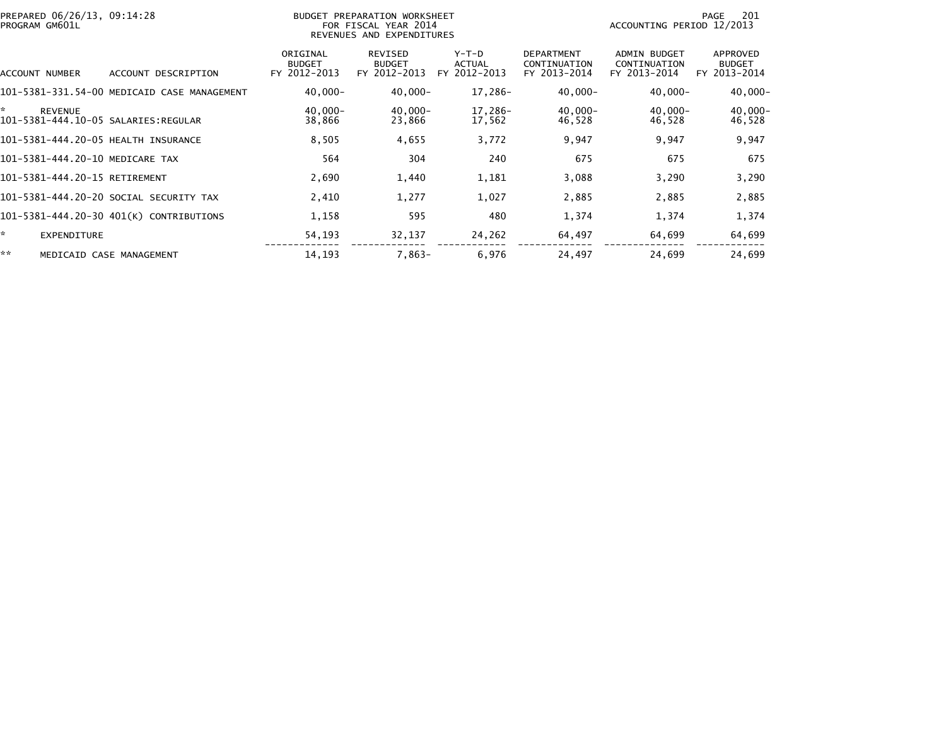| PREPARED 06/26/13, 09:14:28<br>PROGRAM GM601L |                                             |                                           | BUDGET PREPARATION WORKSHEET<br>FOR FISCAL YEAR 2014<br>REVENUES AND EXPENDITURES |                                 |                                                   | ACCOUNTING PERIOD 12/2013                    | 201<br>PAGE                               |
|-----------------------------------------------|---------------------------------------------|-------------------------------------------|-----------------------------------------------------------------------------------|---------------------------------|---------------------------------------------------|----------------------------------------------|-------------------------------------------|
| ACCOUNT NUMBER                                | ACCOUNT DESCRIPTION                         | ORIGINAL<br><b>BUDGET</b><br>FY 2012-2013 | REVISED<br><b>BUDGET</b><br>FY 2012-2013                                          | Y-T-D<br>ACTUAL<br>FY 2012-2013 | <b>DEPARTMENT</b><br>CONTINUATION<br>FY 2013-2014 | ADMIN BUDGET<br>CONTINUATION<br>FY 2013-2014 | APPROVED<br><b>BUDGET</b><br>FY 2013-2014 |
|                                               | 101-5381-331.54-00 MEDICAID CASE MANAGEMENT | $40,000 -$                                | $40,000 -$                                                                        | 17,286-                         | $40,000 -$                                        | $40,000 -$                                   | $40,000 -$                                |
| ×.<br>REVENUE                                 |                                             | $40.000 -$<br>38,866                      | $40,000 -$<br>23,866                                                              | 17,286-<br>17,562               | 40,000-<br>46,528                                 | $40,000 -$<br>46,528                         | $40,000 -$<br>46,528                      |
|                                               | 101-5381-444.20-05 HEALTH INSURANCE         | 8,505                                     | 4,655                                                                             | 3,772                           | 9,947                                             | 9,947                                        | 9,947                                     |
|                                               | 101-5381-444.20-10 MEDICARE TAX             | 564                                       | 304                                                                               | 240                             | 675                                               | 675                                          | 675                                       |
| 101-5381-444.20-15 RETIREMENT                 |                                             | 2,690                                     | 1,440                                                                             | 1,181                           | 3,088                                             | 3,290                                        | 3,290                                     |
|                                               | 101-5381-444.20-20 SOCIAL SECURITY TAX      | 2,410                                     | 1,277                                                                             | 1,027                           | 2,885                                             | 2,885                                        | 2,885                                     |
|                                               | 101-5381-444.20-30 401(K) CONTRIBUTIONS     | 1,158                                     | 595                                                                               | 480                             | 1,374                                             | 1,374                                        | 1,374                                     |
| ÷.<br><b>EXPENDITURE</b>                      |                                             | 54,193                                    | 32,137                                                                            | 24,262                          | 64,497                                            | 64,699                                       | 64,699                                    |
| **                                            | MEDICAID CASE MANAGEMENT                    | 14,193                                    | $7,863-$                                                                          | 6,976                           | 24,497                                            | 24,699                                       | 24,699                                    |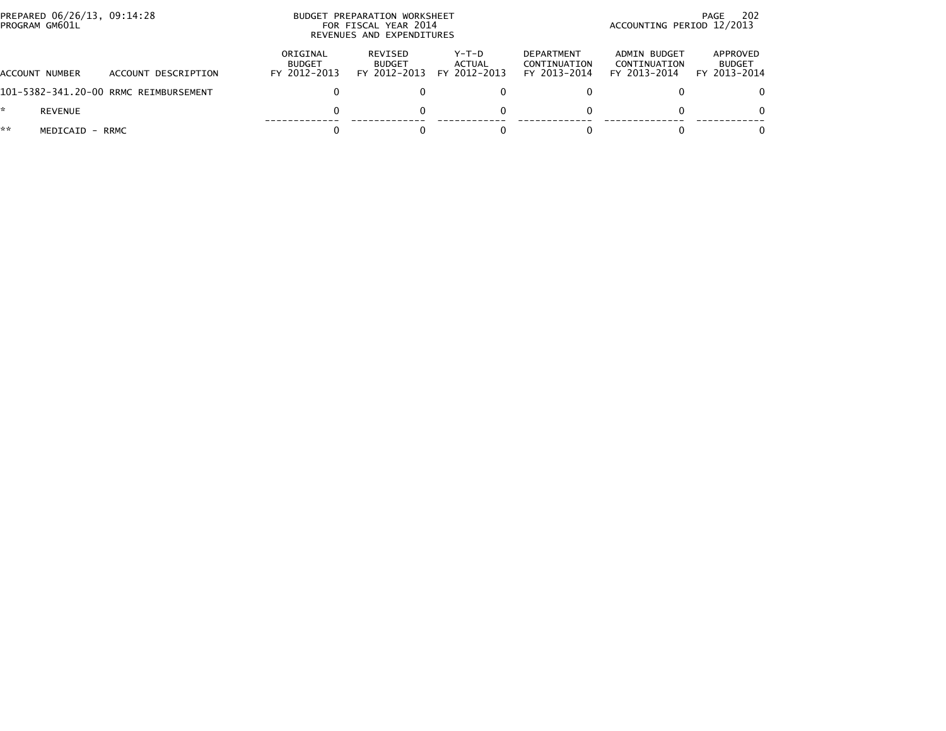|    | PREPARED 06/26/13, 09:14:28<br>PROGRAM GM601L |                                       |                                           | BUDGET PREPARATION WORKSHEET<br>FOR FISCAL YEAR 2014<br>REVENUES AND EXPENDITURES |                                   |                                                   |                                              | -202<br>PAGE<br>ACCOUNTING PERIOD 12/2013 |  |
|----|-----------------------------------------------|---------------------------------------|-------------------------------------------|-----------------------------------------------------------------------------------|-----------------------------------|---------------------------------------------------|----------------------------------------------|-------------------------------------------|--|
|    | ACCOUNT NUMBER                                | ACCOUNT DESCRIPTION                   | ORIGINAL<br><b>BUDGET</b><br>FY 2012-2013 | REVISED<br><b>BUDGET</b><br>FY 2012-2013                                          | $Y-T-D$<br>ACTUAL<br>FY 2012-2013 | <b>DEPARTMENT</b><br>CONTINUATION<br>FY 2013-2014 | ADMIN BUDGET<br>CONTINUATION<br>FY 2013-2014 | APPROVED<br><b>BUDGET</b><br>FY 2013-2014 |  |
|    |                                               | 101-5382-341.20-00 RRMC REIMBURSEMENT |                                           |                                                                                   |                                   |                                                   |                                              | 0                                         |  |
| *. | <b>REVENUE</b>                                |                                       |                                           |                                                                                   | $\Omega$                          |                                                   |                                              | $\Omega$                                  |  |
| ** | MEDICAID - RRMC                               |                                       |                                           |                                                                                   |                                   |                                                   |                                              | $\Omega$                                  |  |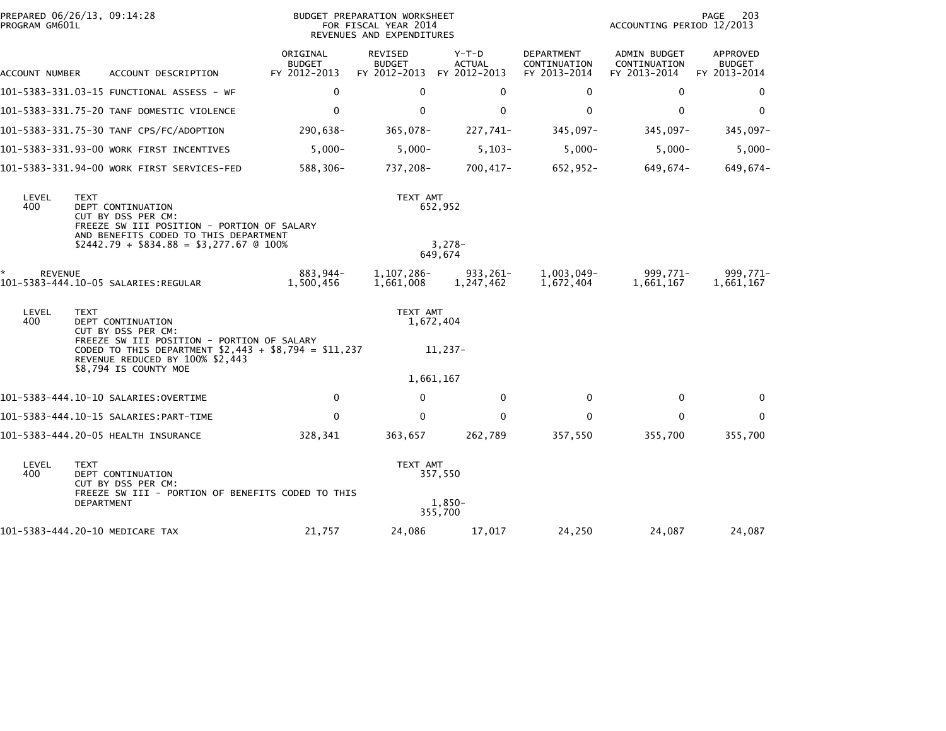| PROGRAM GM601L | PREPARED 06/26/13, 09:14:28                                                                                                                   |                                           | BUDGET PREPARATION WORKSHEET<br>FOR FISCAL YEAR 2014<br>REVENUES AND EXPENDITURES |                                        |                                            | PAGE<br>203<br>ACCOUNTING PERIOD 12/2013     |                                           |  |
|----------------|-----------------------------------------------------------------------------------------------------------------------------------------------|-------------------------------------------|-----------------------------------------------------------------------------------|----------------------------------------|--------------------------------------------|----------------------------------------------|-------------------------------------------|--|
| ACCOUNT NUMBER | ACCOUNT DESCRIPTION                                                                                                                           | ORIGINAL<br><b>BUDGET</b><br>FY 2012-2013 | REVISED<br><b>BUDGET</b><br>FY 2012-2013                                          | Y-T-D<br><b>ACTUAL</b><br>FY 2012-2013 | DEPARTMENT<br>CONTINUATION<br>FY 2013-2014 | ADMIN BUDGET<br>CONTINUATION<br>FY 2013-2014 | APPROVED<br><b>BUDGET</b><br>FY 2013-2014 |  |
|                |                                                                                                                                               | 0                                         | $\mathbf 0$                                                                       | 0                                      | 0                                          | 0                                            | 0                                         |  |
|                | 101-5383-331.75-20 TANF DOMESTIC VIOLENCE                                                                                                     | $\mathbf 0$                               | $\mathbf{0}$                                                                      | $\mathbf 0$                            | $\mathbf{0}$                               | $\mathbf{0}$                                 | $\mathbf{0}$                              |  |
|                | 101-5383-331.75-30 TANF CPS/FC/ADOPTION                                                                                                       | 290,638-                                  | 365,078-                                                                          | 227,741-                               | 345,097-                                   | 345,097-                                     | 345,097-                                  |  |
|                | 101-5383-331.93-00 WORK FIRST INCENTIVES                                                                                                      | $5,000-$                                  | $5,000-$                                                                          | $5,103-$                               | $5,000-$                                   | $5,000-$                                     | $5,000-$                                  |  |
|                | 101-5383-331.94-00 WORK FIRST SERVICES-FED                                                                                                    | 588,306-                                  | 737,208-                                                                          | $700,417-$                             | 652,952-                                   | 649,674-                                     | 649,674-                                  |  |
| LEVEL<br>400   | <b>TEXT</b><br>DEPT CONTINUATION<br>CUT BY DSS PER CM:<br>FREEZE SW III POSITION - PORTION OF SALARY<br>AND BENEFITS CODED TO THIS DEPARTMENT |                                           | TEXT AMT                                                                          | 652,952                                |                                            |                                              |                                           |  |
|                | $$2442.79 + $834.88 = $3,277.67$ @ 100%                                                                                                       |                                           |                                                                                   | $3,278-$<br>649,674                    |                                            |                                              |                                           |  |
| <b>REVENUE</b> | 101-5383-444.10-05 SALARIES:REGULAR                                                                                                           | 883,944-<br>1,500,456                     | 1,107,286-<br>1,661,008                                                           | 933,261-<br>1,247,462                  | 1,003,049-<br>1,672,404                    | 999,771-<br>1,661,167                        | 999.771-<br>1,661,167                     |  |
| LEVEL<br>400   | <b>TEXT</b><br>DEPT CONTINUATION<br>CUT BY DSS PER CM:                                                                                        |                                           | TEXT AMT<br>1,672,404                                                             |                                        |                                            |                                              |                                           |  |
|                | FREEZE SW III POSITION - PORTION OF SALARY<br>CODED TO THIS DEPARTMENT $$2,443 + $8,794 = $11,237$<br>REVENUE REDUCED BY 100% \$2,443         |                                           |                                                                                   | 11,237-                                |                                            |                                              |                                           |  |
|                | \$8,794 IS COUNTY MOE                                                                                                                         |                                           | 1,661,167                                                                         |                                        |                                            |                                              |                                           |  |
|                |                                                                                                                                               | $\mathbf 0$                               | $\mathbf{0}$                                                                      | $\mathbf 0$                            | $\Omega$                                   | $\mathbf{0}$                                 | 0                                         |  |
|                |                                                                                                                                               | $\mathbf 0$                               | $\Omega$                                                                          | $\mathbf{0}$                           | $\mathbf{0}$                               | $\mathbf{0}$                                 | $\mathbf{0}$                              |  |
|                | 101-5383-444.20-05 HEALTH INSURANCE                                                                                                           | 328,341                                   | 363,657                                                                           | 262,789                                | 357,550                                    | 355,700                                      | 355,700                                   |  |
| LEVEL<br>400   | <b>TEXT</b><br>DEPT CONTINUATION<br>CUT BY DSS PER CM:<br>FREEZE SW III - PORTION OF BENEFITS CODED TO THIS                                   |                                           | TEXT AMT                                                                          | 357,550                                |                                            |                                              |                                           |  |
|                | DEPARTMENT                                                                                                                                    |                                           |                                                                                   | $1.850 -$<br>355,700                   |                                            |                                              |                                           |  |
|                | 101-5383-444.20-10 MEDICARE TAX                                                                                                               | 21,757                                    | 24,086                                                                            | 17,017                                 | 24,250                                     | 24,087                                       | 24,087                                    |  |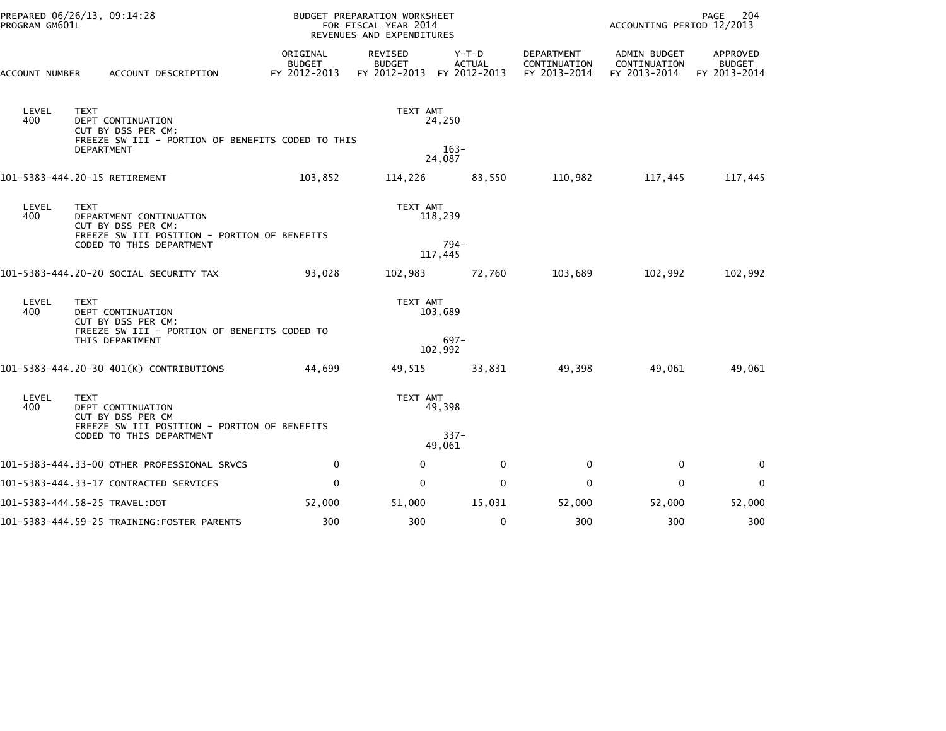| PROGRAM GM601L | PREPARED 06/26/13, 09:14:28                                                                                                      | BUDGET PREPARATION WORKSHEET<br>FOR FISCAL YEAR 2014<br>REVENUES AND EXPENDITURES |                                                       |                    |                                            | PAGE<br>204<br>ACCOUNTING PERIOD 12/2013     |                                           |
|----------------|----------------------------------------------------------------------------------------------------------------------------------|-----------------------------------------------------------------------------------|-------------------------------------------------------|--------------------|--------------------------------------------|----------------------------------------------|-------------------------------------------|
| ACCOUNT NUMBER | ACCOUNT DESCRIPTION                                                                                                              | ORIGINAL<br>BUDGET<br>FY 2012-2013                                                | REVISED<br><b>BUDGET</b><br>FY 2012-2013 FY 2012-2013 | Y-T-D<br>ACTUAL    | DEPARTMENT<br>CONTINUATION<br>FY 2013-2014 | ADMIN BUDGET<br>CONTINUATION<br>FY 2013-2014 | APPROVED<br><b>BUDGET</b><br>FY 2013-2014 |
| LEVEL<br>400   | <b>TEXT</b><br>DEPT CONTINUATION<br>CUT BY DSS PER CM:<br>FREEZE SW III - PORTION OF BENEFITS CODED TO THIS<br><b>DEPARTMENT</b> |                                                                                   | TEXT AMT                                              | 24,250<br>$163-$   |                                            |                                              |                                           |
|                |                                                                                                                                  |                                                                                   |                                                       | 24,087             |                                            |                                              |                                           |
|                | 101-5383-444.20-15 RETIREMENT                                                                                                    | 103,852                                                                           | 114,226                                               | 83,550             | 110,982                                    | 117,445                                      | 117,445                                   |
| LEVEL<br>400   | <b>TEXT</b><br>DEPARTMENT CONTINUATION<br>CUT BY DSS PER CM:                                                                     |                                                                                   | TEXT AMT                                              | 118,239            |                                            |                                              |                                           |
|                | FREEZE SW III POSITION - PORTION OF BENEFITS<br>CODED TO THIS DEPARTMENT                                                         |                                                                                   |                                                       | $794-$<br>117,445  |                                            |                                              |                                           |
|                | 101-5383-444.20-20 SOCIAL SECURITY TAX                                                                                           | 93,028                                                                            | 102,983                                               | 72,760             | 103,689                                    | 102,992                                      | 102,992                                   |
| LEVEL<br>400   | <b>TEXT</b><br>DEPT CONTINUATION<br>CUT BY DSS PER CM:                                                                           |                                                                                   | TEXT AMT                                              | 103,689            |                                            |                                              |                                           |
|                | FREEZE SW III - PORTION OF BENEFITS CODED TO<br>THIS DEPARTMENT                                                                  |                                                                                   |                                                       | $697 -$<br>102,992 |                                            |                                              |                                           |
|                | 101-5383-444.20-30 401(K) CONTRIBUTIONS                                                                                          | 44,699                                                                            | 49,515                                                | 33,831             | 49,398                                     | 49,061                                       | 49,061                                    |
| LEVEL<br>400   | <b>TEXT</b><br>DEPT CONTINUATION<br>CUT BY DSS PER CM                                                                            |                                                                                   | TEXT AMT                                              | 49,398             |                                            |                                              |                                           |
|                | FREEZE SW III POSITION - PORTION OF BENEFITS<br>CODED TO THIS DEPARTMENT                                                         |                                                                                   |                                                       | $337 -$<br>49.061  |                                            |                                              |                                           |
|                | 101-5383-444.33-00 OTHER PROFESSIONAL SRVCS                                                                                      | $\mathbf 0$                                                                       | $\mathbf 0$                                           | $\mathbf 0$        | 0                                          | 0                                            | $\mathbf 0$                               |
|                | 101-5383-444.33-17 CONTRACTED SERVICES                                                                                           | $\mathbf 0$                                                                       | 0                                                     | $\mathbf 0$        | 0                                          | $\mathbf 0$                                  | $\mathbf 0$                               |
|                |                                                                                                                                  | 52,000                                                                            | 51,000                                                | 15,031             | 52,000                                     | 52,000                                       | 52,000                                    |
|                | 101-5383-444.59-25 TRAINING:FOSTER PARENTS                                                                                       | 300                                                                               | 300                                                   | $\mathbf 0$        | 300                                        | 300                                          | 300                                       |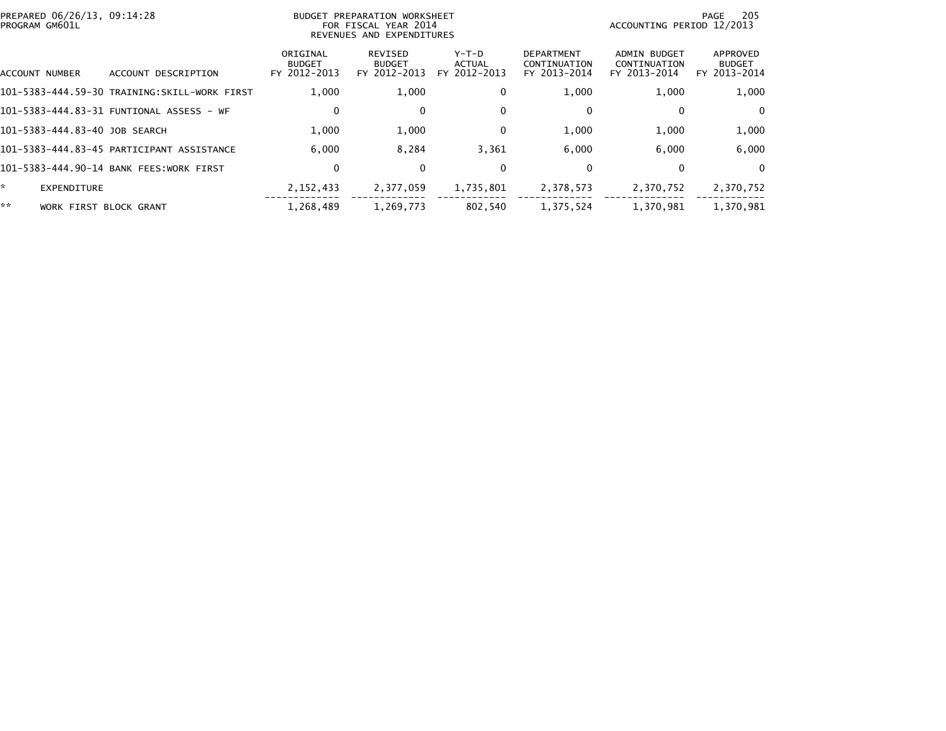| PREPARED 06/26/13, 09:14:28<br>PROGRAM GM601L |                                              |                                           | BUDGET PREPARATION WORKSHEET<br>FOR FISCAL YEAR 2014<br>REVENUES AND EXPENDITURES | -205<br>PAGE<br>ACCOUNTING PERIOD 12/2013 |                                                   |                                                     |                                           |
|-----------------------------------------------|----------------------------------------------|-------------------------------------------|-----------------------------------------------------------------------------------|-------------------------------------------|---------------------------------------------------|-----------------------------------------------------|-------------------------------------------|
| ACCOUNT NUMBER                                | ACCOUNT DESCRIPTION                          | ORIGINAL<br><b>BUDGET</b><br>FY 2012-2013 | REVISED<br><b>BUDGET</b><br>FY 2012-2013                                          | $Y-T-D$<br><b>ACTUAL</b><br>FY 2012-2013  | <b>DEPARTMENT</b><br>CONTINUATION<br>FY 2013-2014 | <b>ADMIN BUDGET</b><br>CONTINUATION<br>FY 2013-2014 | APPROVED<br><b>BUDGET</b><br>FY 2013-2014 |
|                                               | 101–5383–444.59–30 TRAINING:SKILL-WORK FIRST | 1,000                                     | 1,000                                                                             | $\mathbf{0}$                              | 1,000                                             | 1,000                                               | 1,000                                     |
|                                               |                                              | $\mathbf 0$                               | 0                                                                                 | $\mathbf{0}$                              | 0                                                 | 0                                                   | $\Omega$                                  |
| 101-5383-444.83-40 JOB SEARCH                 |                                              | 1.000                                     | 1,000                                                                             | $\mathbf{0}$                              | 1,000                                             | 1,000                                               | 1,000                                     |
|                                               | 101-5383-444.83-45 PARTICIPANT ASSISTANCE    | 6.000                                     | 8,284                                                                             | 3,361                                     | 6,000                                             | 6.000                                               | 6,000                                     |
|                                               | 101-5383-444.90-14 BANK FEES:WORK FIRST      | 0                                         | 0                                                                                 | $\mathbf{0}$                              | 0                                                 | 0                                                   | $\Omega$                                  |
| *.<br>EXPENDITURE                             |                                              | 2, 152, 433                               | 2,377,059                                                                         | 1,735,801                                 | 2,378,573                                         | 2,370,752                                           | 2,370,752                                 |
| **<br><b>WORK FIRST</b>                       | BLOCK GRANT                                  | 1,268,489                                 | 1,269,773                                                                         | 802,540                                   | 1,375,524                                         | 1,370,981                                           | 1,370,981                                 |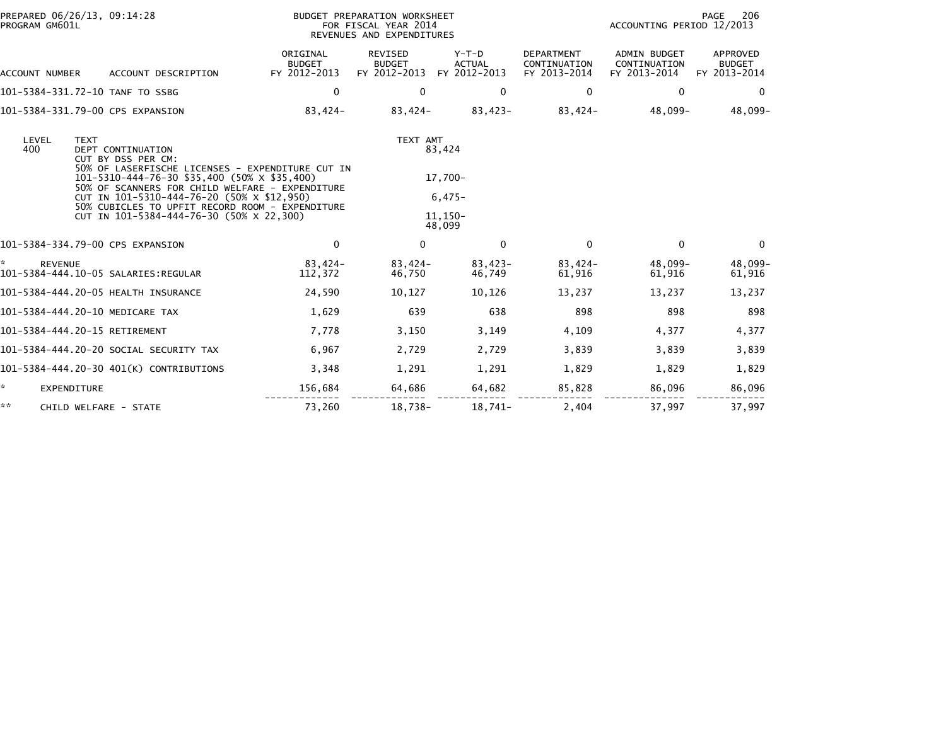| PREPARED 06/26/13, 09:14:28<br>PROGRAM GM601L                                                                                                                                                                                                | <b>BUDGET PREPARATION WORKSHEET</b><br>FOR FISCAL YEAR 2014<br>REVENUES AND EXPENDITURES |                                          |                                             |                                                   | ACCOUNTING PERIOD 12/2013                           | PAGE<br>206                               |  |
|----------------------------------------------------------------------------------------------------------------------------------------------------------------------------------------------------------------------------------------------|------------------------------------------------------------------------------------------|------------------------------------------|---------------------------------------------|---------------------------------------------------|-----------------------------------------------------|-------------------------------------------|--|
| ACCOUNT DESCRIPTION<br>ACCOUNT NUMBER                                                                                                                                                                                                        | ORIGINAL<br><b>BUDGET</b><br>FY 2012-2013                                                | REVISED<br><b>BUDGET</b><br>FY 2012-2013 | $Y-T-D$<br><b>ACTUAL</b><br>FY 2012-2013    | <b>DEPARTMENT</b><br>CONTINUATION<br>FY 2013-2014 | <b>ADMIN BUDGET</b><br>CONTINUATION<br>FY 2013-2014 | APPROVED<br><b>BUDGET</b><br>FY 2013-2014 |  |
| 101-5384-331.72-10 TANF TO SSBG                                                                                                                                                                                                              | $\mathbf 0$                                                                              | 0                                        | $\mathbf 0$                                 | 0                                                 | $\mathbf{0}$                                        | $\mathbf 0$                               |  |
| 101-5384-331.79-00 CPS EXPANSION                                                                                                                                                                                                             | 83,424-                                                                                  | 83,424-                                  | $83,423-$                                   | 83,424-                                           | 48,099-                                             | 48,099-                                   |  |
| LEVEL<br><b>TEXT</b><br>400<br><b>DEPT CONTINUATION</b><br>CUT BY DSS PER CM:<br>50% OF LASERFISCHE LICENSES - EXPENDITURE CUT IN                                                                                                            |                                                                                          | TEXT AMT                                 | 83,424                                      |                                                   |                                                     |                                           |  |
| 101-5310-444-76-30 \$35,400 (50% x \$35,400)<br>50% OF SCANNERS FOR CHILD WELFARE - EXPENDITURE<br>CUT IN 101-5310-444-76-20 (50% X \$12,950)<br>50% CUBICLES TO UPFIT RECORD ROOM - EXPENDITURE<br>CUT IN 101-5384-444-76-30 (50% X 22,300) |                                                                                          |                                          | 17,700-<br>$6,475-$<br>$11.150 -$<br>48,099 |                                                   |                                                     |                                           |  |
| 101-5384-334.79-00 CPS EXPANSION                                                                                                                                                                                                             | $\mathbf 0$                                                                              | $\mathbf{0}$                             | $\mathbf{0}$                                | $\Omega$                                          | $\Omega$                                            | $\Omega$                                  |  |
| ÷.<br><b>REVENUE</b>                                                                                                                                                                                                                         | 83,424-<br>112,372                                                                       | 83,424-<br>46.750                        | $83,423-$<br>46,749                         | $83,424-$<br>61,916                               | 48,099-<br>61,916                                   | 48,099-<br>61,916                         |  |
| 101-5384-444.20-05 HEALTH INSURANCE                                                                                                                                                                                                          | 24,590                                                                                   | 10,127                                   | 10,126                                      | 13,237                                            | 13.237                                              | 13,237                                    |  |
| 101-5384-444.20-10 MEDICARE TAX                                                                                                                                                                                                              | 1,629                                                                                    | 639                                      | 638                                         | 898                                               | 898                                                 | 898                                       |  |
| 101-5384-444.20-15 RETIREMENT                                                                                                                                                                                                                | 7,778                                                                                    | 3,150                                    | 3,149                                       | 4,109                                             | 4,377                                               | 4,377                                     |  |
| 101-5384-444.20-20 SOCIAL SECURITY TAX                                                                                                                                                                                                       | 6,967                                                                                    | 2,729                                    | 2,729                                       | 3,839                                             | 3,839                                               | 3,839                                     |  |
| 101-5384-444.20-30 401(K) CONTRIBUTIONS                                                                                                                                                                                                      | 3,348                                                                                    | 1,291                                    | 1,291                                       | 1,829                                             | 1,829                                               | 1,829                                     |  |
| ÷.<br>EXPENDITURE                                                                                                                                                                                                                            | 156,684                                                                                  | 64,686                                   | 64,682                                      | 85,828                                            | 86,096                                              | 86,096                                    |  |
| **<br>CHILD WELFARE - STATE                                                                                                                                                                                                                  | 73,260                                                                                   | 18,738-                                  | 18,741-                                     | 2,404                                             | 37,997                                              | 37,997                                    |  |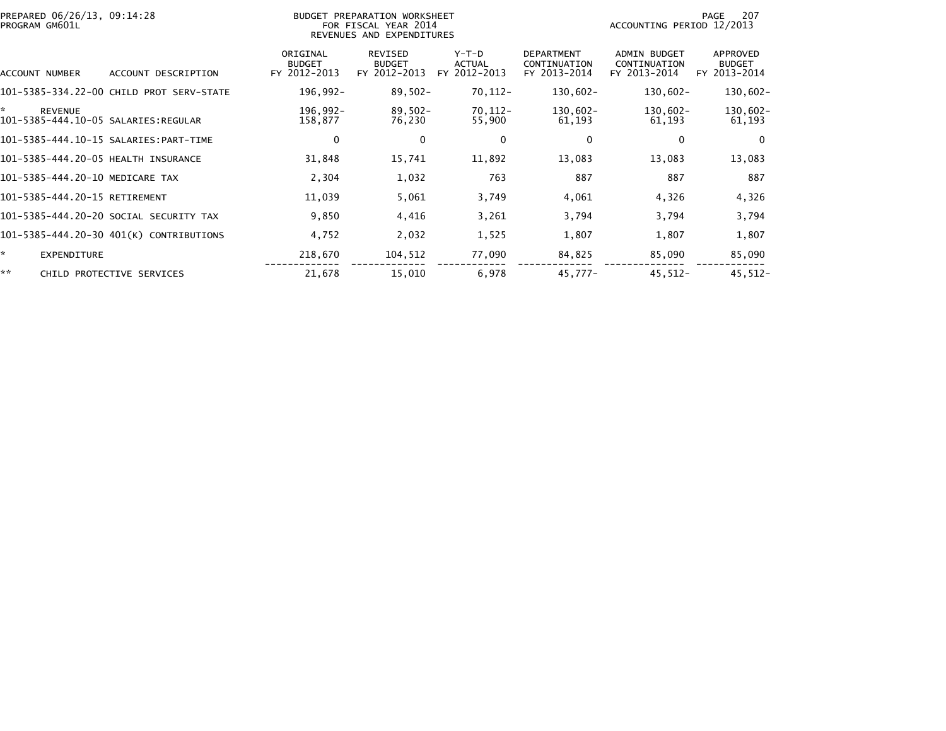| PREPARED 06/26/13, 09:14:28<br>PROGRAM GM601L |                                          |                                           | BUDGET PREPARATION WORKSHEET<br>FOR FISCAL YEAR 2014<br>REVENUES AND EXPENDITURES |                                   |                                                   | ACCOUNTING PERIOD 12/2013                    | 207<br>PAGE                               |
|-----------------------------------------------|------------------------------------------|-------------------------------------------|-----------------------------------------------------------------------------------|-----------------------------------|---------------------------------------------------|----------------------------------------------|-------------------------------------------|
| ACCOUNT NUMBER                                | ACCOUNT DESCRIPTION                      | ORIGINAL<br><b>BUDGET</b><br>FY 2012-2013 | <b>REVISED</b><br><b>BUDGET</b><br>FY 2012-2013                                   | $Y-T-D$<br>ACTUAL<br>FY 2012-2013 | <b>DEPARTMENT</b><br>CONTINUATION<br>FY 2013-2014 | ADMIN BUDGET<br>CONTINUATION<br>FY 2013-2014 | APPROVED<br><b>BUDGET</b><br>FY 2013-2014 |
|                                               | 101-5385-334.22-00 CHILD PROT SERV-STATE | 196,992-                                  | $89,502 -$                                                                        | 70,112-                           | $130,602 -$                                       | $130,602 -$                                  | $130,602 -$                               |
| ×.<br><b>REVENUE</b>                          |                                          | 196,992-<br>158,877                       | $89,502 -$<br>76,230                                                              | 70,112-<br>55,900                 | 130,602-<br>61,193                                | $130,602 -$<br>61,193                        | 130,602-<br>61,193                        |
|                                               |                                          | 0                                         | 0                                                                                 | 0                                 | 0                                                 | 0                                            | $\mathbf 0$                               |
| 101-5385-444.20-05 HEALTH INSURANCE           |                                          | 31,848                                    | 15,741                                                                            | 11,892                            | 13,083                                            | 13,083                                       | 13,083                                    |
| 101-5385-444.20-10 MEDICARE TAX               |                                          | 2,304                                     | 1,032                                                                             | 763                               | 887                                               | 887                                          | 887                                       |
| 101-5385-444.20-15 RETIREMENT                 |                                          | 11,039                                    | 5,061                                                                             | 3,749                             | 4,061                                             | 4,326                                        | 4,326                                     |
|                                               | 101-5385-444.20-20 SOCIAL SECURITY TAX   | 9,850                                     | 4,416                                                                             | 3,261                             | 3,794                                             | 3,794                                        | 3,794                                     |
|                                               | 101-5385-444.20-30 401(K) CONTRIBUTIONS  | 4,752                                     | 2,032                                                                             | 1,525                             | 1,807                                             | 1,807                                        | 1,807                                     |
| ŵ.<br><b>EXPENDITURE</b>                      |                                          | 218,670                                   | 104,512                                                                           | 77,090                            | 84,825                                            | 85,090                                       | 85,090                                    |
| **                                            | CHILD PROTECTIVE SERVICES                | 21,678                                    | 15,010                                                                            | 6,978                             | 45,777-                                           | $45.512 -$                                   | $45,512-$                                 |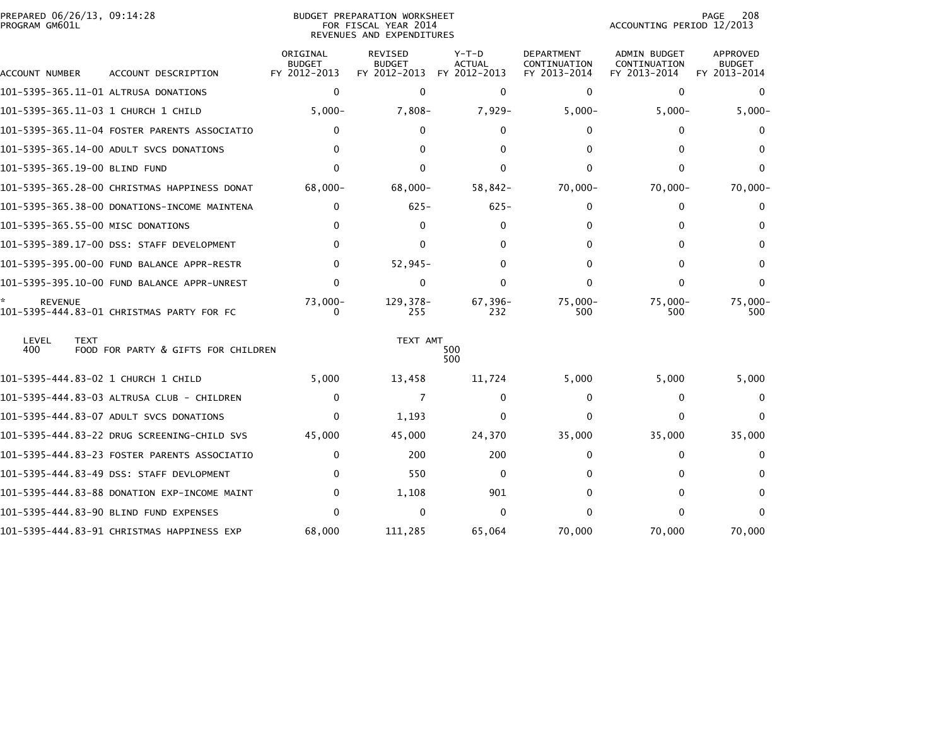| PREPARED 06/26/13, 09:14:28<br>PROGRAM GM601L |                                              |                                           | <b>BUDGET PREPARATION WORKSHEET</b><br>FOR FISCAL YEAR 2014<br>REVENUES AND EXPENDITURES | 208<br>PAGE<br>ACCOUNTING PERIOD 12/2013 |                                                   |                                                     |                                           |
|-----------------------------------------------|----------------------------------------------|-------------------------------------------|------------------------------------------------------------------------------------------|------------------------------------------|---------------------------------------------------|-----------------------------------------------------|-------------------------------------------|
| ACCOUNT NUMBER                                | ACCOUNT DESCRIPTION                          | ORIGINAL<br><b>BUDGET</b><br>FY 2012-2013 | REVISED<br><b>BUDGET</b><br>FY 2012-2013                                                 | $Y-T-D$<br><b>ACTUAL</b><br>FY 2012-2013 | <b>DEPARTMENT</b><br>CONTINUATION<br>FY 2013-2014 | <b>ADMIN BUDGET</b><br>CONTINUATION<br>FY 2013-2014 | APPROVED<br><b>BUDGET</b><br>FY 2013-2014 |
|                                               | 101-5395-365.11-01 ALTRUSA DONATIONS         | 0                                         | $\Omega$                                                                                 | $\mathbf{0}$                             | $\Omega$                                          | $\Omega$                                            | 0                                         |
|                                               |                                              | $5,000 -$                                 | $7,808-$                                                                                 | 7,929-                                   | $5,000-$                                          | $5,000-$                                            | $5,000 -$                                 |
|                                               | 101-5395-365.11-04 FOSTER PARENTS ASSOCIATIO | 0                                         | $\Omega$                                                                                 | $\Omega$                                 | 0                                                 | $\Omega$                                            | 0                                         |
|                                               | 101-5395-365.14-00 ADULT SVCS DONATIONS      | 0                                         | 0                                                                                        | 0                                        | $\Omega$                                          | U                                                   | 0                                         |
| 101-5395-365.19-00 BLIND FUND                 |                                              | 0                                         | 0                                                                                        | 0                                        | 0                                                 | O                                                   | 0                                         |
|                                               | 101-5395-365.28-00 CHRISTMAS HAPPINESS DONAT | 68.000-                                   | $68.000 -$                                                                               | 58,842-                                  | 70,000-                                           | $70,000 -$                                          | 70,000-                                   |
|                                               | 101-5395-365.38-00 DONATIONS-INCOME MAINTENA | 0                                         | $625 -$                                                                                  | $625 -$                                  | 0                                                 | 0                                                   | 0                                         |
| 101-5395-365.55-00 MISC DONATIONS             |                                              | 0                                         | 0                                                                                        | 0                                        | 0                                                 | n                                                   |                                           |
|                                               | 101-5395-389.17-00 DSS: STAFF DEVELOPMENT    | 0                                         | 0                                                                                        | 0                                        | 0                                                 | 0                                                   | 0                                         |
|                                               | 101-5395-395.00-00 FUND BALANCE APPR-RESTR   | 0                                         | $52,945-$                                                                                | 0                                        | 0                                                 | <sup>0</sup>                                        | 0                                         |
|                                               |                                              | 0                                         | $\mathbf{0}$                                                                             | 0                                        | $\Omega$                                          | $\Omega$                                            | 0                                         |
| <b>REVENUE</b>                                | 101-5395-444.83-01 CHRISTMAS PARTY FOR FC    | $73,000 -$                                | 129, 378-<br>255                                                                         | 67,396-<br>232                           | $75.000 -$<br>500                                 | $75,000 -$<br>500                                   | $75,000 -$<br>500                         |
| LEVEL<br><b>TEXT</b><br>400                   | FOOD FOR PARTY & GIFTS FOR CHILDREN          |                                           | TEXT AMT                                                                                 | 500<br>500                               |                                                   |                                                     |                                           |
|                                               | 101-5395-444.83-02 1 CHURCH 1 CHILD          | 5,000                                     | 13,458                                                                                   | 11,724                                   | 5,000                                             | 5,000                                               | 5,000                                     |
|                                               | 101-5395-444.83-03 ALTRUSA CLUB - CHILDREN   | 0                                         | 7                                                                                        | 0                                        | $\Omega$                                          | O                                                   |                                           |
|                                               | 101-5395-444.83-07 ADULT SVCS DONATIONS      | 0                                         | 1,193                                                                                    | 0                                        | $\Omega$                                          | 0                                                   | 0                                         |
|                                               | 101-5395-444.83-22 DRUG SCREENING-CHILD SVS  | 45,000                                    | 45,000                                                                                   | 24,370                                   | 35,000                                            | 35,000                                              | 35,000                                    |
|                                               | 101–5395–444.83–23 FOSTER PARENTS ASSOCIATIO | 0                                         | 200                                                                                      | 200                                      | 0                                                 | $\Omega$                                            | 0                                         |
|                                               | 101-5395-444.83-49 DSS: STAFF DEVLOPMENT     | 0                                         | 550                                                                                      | 0                                        | 0                                                 | <sup>0</sup>                                        | 0                                         |
|                                               | 101-5395-444.83-88 DONATION EXP-INCOME MAINT | 0                                         | 1,108                                                                                    | 901                                      | <sup>0</sup>                                      | <sup>0</sup>                                        | 0                                         |
|                                               | 101-5395-444.83-90 BLIND FUND EXPENSES       | 0                                         | 0                                                                                        | 0                                        | 0                                                 |                                                     | 0                                         |
|                                               | 101–5395–444.83–91 CHRISTMAS HAPPINESS EXP   | 68,000                                    | 111,285                                                                                  | 65,064                                   | 70,000                                            | 70,000                                              | 70,000                                    |
|                                               |                                              |                                           |                                                                                          |                                          |                                                   |                                                     |                                           |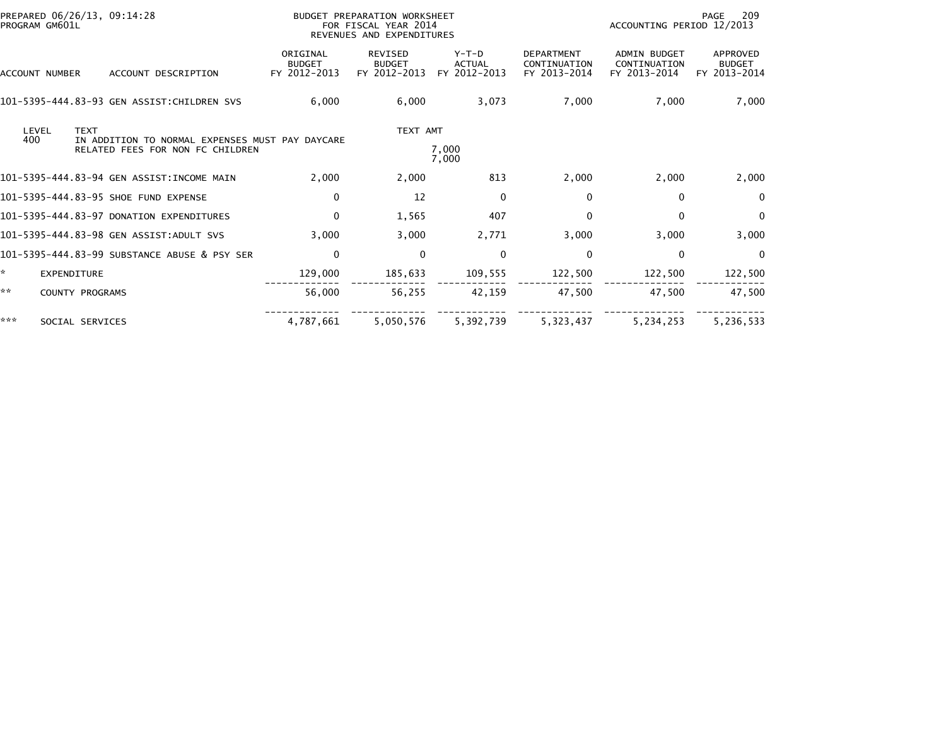|     | PREPARED 06/26/13, 09:14:28<br>PROGRAM GM601L |                                                                                     |                                           | BUDGET PREPARATION WORKSHEET<br>FOR FISCAL YEAR 2014<br>REVENUES AND EXPENDITURES |                                          | 209<br>PAGE<br>ACCOUNTING PERIOD 12/2013          |                                                     |                                           |
|-----|-----------------------------------------------|-------------------------------------------------------------------------------------|-------------------------------------------|-----------------------------------------------------------------------------------|------------------------------------------|---------------------------------------------------|-----------------------------------------------------|-------------------------------------------|
|     | ACCOUNT NUMBER                                | ACCOUNT DESCRIPTION                                                                 | ORIGINAL<br><b>BUDGET</b><br>FY 2012-2013 | <b>REVISED</b><br><b>BUDGET</b><br>FY 2012-2013                                   | $Y-T-D$<br><b>ACTUAL</b><br>FY 2012-2013 | <b>DEPARTMENT</b><br>CONTINUATION<br>FY 2013-2014 | <b>ADMIN BUDGET</b><br>CONTINUATION<br>FY 2013-2014 | APPROVED<br><b>BUDGET</b><br>FY 2013-2014 |
|     |                                               | 101-5395-444.83-93 GEN ASSIST:CHILDREN SVS                                          | 6,000                                     | 6,000                                                                             | 3,073                                    | 7,000                                             | 7,000                                               | 7,000                                     |
| 400 | LEVEL<br><b>TEXT</b>                          | IN ADDITION TO NORMAL EXPENSES MUST PAY DAYCARE<br>RELATED FEES FOR NON FC CHILDREN |                                           | TEXT AMT                                                                          | 7,000<br>7,000                           |                                                   |                                                     |                                           |
|     |                                               | 101-5395-444.83-94 GEN ASSIST:INCOME MAIN                                           | 2.000                                     | 2.000                                                                             | 813                                      | 2,000                                             | 2,000                                               | 2,000                                     |
|     |                                               | 101-5395-444.83-95 SHOE FUND EXPENSE                                                | 0                                         | 12                                                                                | $\mathbf{0}$                             | 0                                                 | 0                                                   | $\mathbf{0}$                              |
|     |                                               | 101-5395-444.83-97 DONATION EXPENDITURES                                            | 0                                         | 1,565                                                                             | 407                                      | 0                                                 | $\mathbf{0}$                                        | $\mathbf{0}$                              |
|     |                                               | 101-5395-444.83-98 GEN ASSIST:ADULT SVS                                             | 3,000                                     | 3,000                                                                             | 2,771                                    | 3,000                                             | 3,000                                               | 3,000                                     |
|     |                                               | 101-5395-444.83-99 SUBSTANCE ABUSE & PSY SER                                        | $\mathbf 0$                               | $\Omega$                                                                          | $\mathbf 0$                              | 0                                                 | 0                                                   | $\Omega$                                  |
|     | <b>EXPENDITURE</b>                            |                                                                                     | 129,000                                   | 185,633                                                                           | 109,555                                  | 122,500                                           | 122,500                                             | 122,500                                   |
| **  | COUNTY PROGRAMS                               |                                                                                     | 56,000                                    | 56,255                                                                            | 42,159                                   | 47,500                                            | 47,500                                              | 47,500                                    |
| *** | SOCIAL SERVICES                               |                                                                                     | 4,787,661                                 | 5.050.576                                                                         | 5,392,739                                | 5,323,437                                         | 5.234.253                                           | 5,236,533                                 |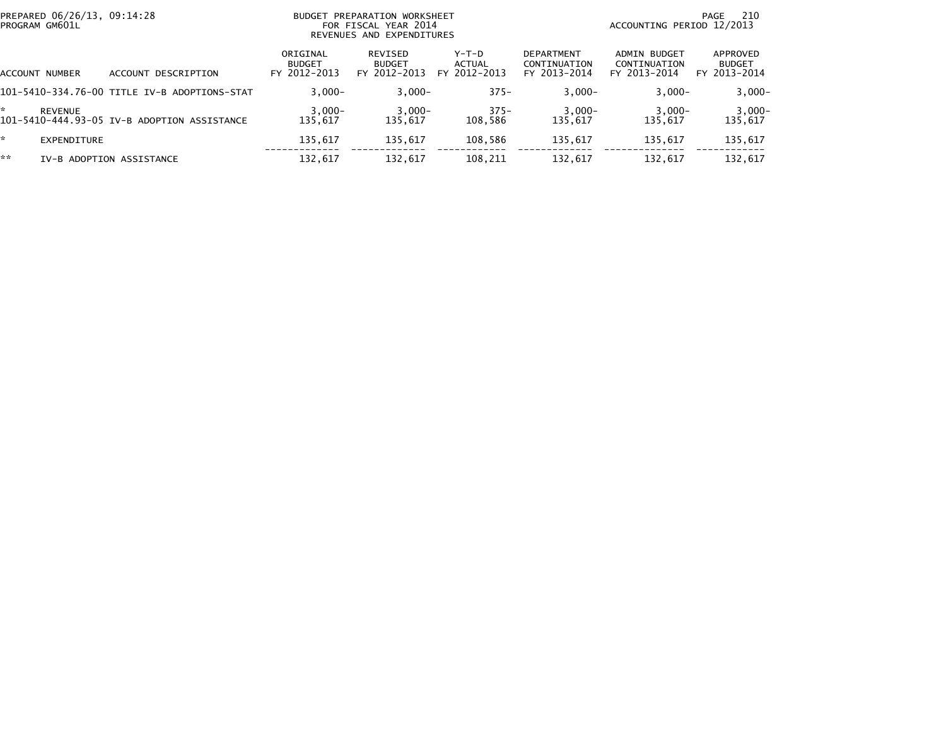| PREPARED 06/26/13, 09:14:28<br>PROGRAM GM601L |                                              | BUDGET                                    | PREPARATION WORKSHEET<br>FOR FISCAL YEAR 2014<br>REVENUES AND EXPENDITURES |                                 |                                                   | 210<br>PAGE<br>ACCOUNTING PERIOD 12/2013     |                                           |  |
|-----------------------------------------------|----------------------------------------------|-------------------------------------------|----------------------------------------------------------------------------|---------------------------------|---------------------------------------------------|----------------------------------------------|-------------------------------------------|--|
| ACCOUNT NUMBER                                | ACCOUNT DESCRIPTION                          | ORIGINAL<br><b>BUDGET</b><br>FY 2012-2013 | REVISED<br><b>BUDGET</b><br>FY 2012-2013                                   | Y-T-D<br>ACTUAL<br>FY 2012-2013 | <b>DEPARTMENT</b><br>CONTINUATION<br>FY 2013-2014 | ADMIN BUDGET<br>CONTINUATION<br>FY 2013-2014 | APPROVED<br><b>BUDGET</b><br>FY 2013-2014 |  |
|                                               | 101-5410-334.76-00 TITLE IV-B ADOPTIONS-STAT | $3.000 -$                                 | $3,000-$                                                                   | $375 -$                         | $3,000-$                                          | $3,000-$                                     | $3,000-$                                  |  |
| <b>REVENUE</b>                                | 101-5410-444.93-05 IV-B ADOPTION ASSISTANCE  | $3,000-$<br>135.617                       | $3,000-$<br>135.617                                                        | $375 -$<br>108.586              | $3,000-$<br>135.617                               | $3,000-$<br>135.617                          | $3,000-$<br>135,617                       |  |
| EXPENDITURE                                   |                                              | 135,617                                   | 135.617                                                                    | 108,586                         | 135,617                                           | 135,617                                      | 135,617                                   |  |
| **                                            | IV-B ADOPTION ASSISTANCE                     | 132,617                                   | 132,617                                                                    | 108,211                         | 132,617                                           | 132,617                                      | 132,617                                   |  |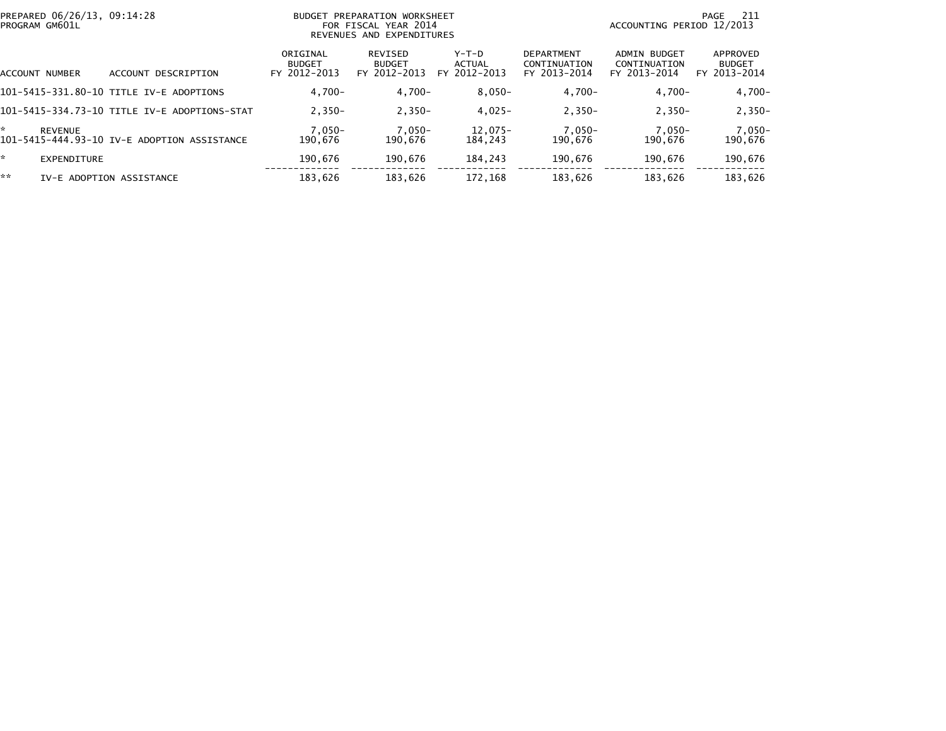|    | PREPARED 06/26/13, 09:14:28<br>PROGRAM GM601L |                                              | <b>BUDGET PREPARATION WORKSHEET</b><br>FOR FISCAL YEAR 2014<br>REVENUES AND EXPENDITURES |                                          |                                   |                                                   | ACCOUNTING PERIOD 12/2013                    | -211<br>PAGE                              |
|----|-----------------------------------------------|----------------------------------------------|------------------------------------------------------------------------------------------|------------------------------------------|-----------------------------------|---------------------------------------------------|----------------------------------------------|-------------------------------------------|
|    | ACCOUNT NUMBER                                | DESCRIPTION<br>ACCOUNT                       | ORIGINAL<br><b>BUDGET</b><br>FY 2012-2013                                                | REVISED<br><b>BUDGET</b><br>FY 2012-2013 | $Y-T-D$<br>ACTUAL<br>FY 2012-2013 | <b>DEPARTMENT</b><br>CONTINUATION<br>FY 2013-2014 | ADMIN BUDGET<br>CONTINUATION<br>FY 2013-2014 | APPROVED<br><b>BUDGET</b><br>FY 2013-2014 |
|    |                                               | 101-5415-331.80-10 TITLE IV-E ADOPTIONS      | $4.700 -$                                                                                | $4.700 -$                                | $8.050 -$                         | $4,700-$                                          | $4.700 -$                                    | $4,700-$                                  |
|    |                                               | 101-5415-334.73-10 TITLE IV-E ADOPTIONS-STAT | $2.350 -$                                                                                | $2,350-$                                 | $4,025-$                          | $2,350-$                                          | $2,350-$                                     | $2,350-$                                  |
| ÷. | <b>REVENUE</b>                                | 101-5415-444.93-10 IV-E ADOPTION ASSISTANCE  | $7.050 -$<br>190.676                                                                     | $7,050-$<br>190.676                      | $12.075-$<br>184.243              | $7,050-$<br>190.676                               | $7,050-$<br>190,676                          | $7,050-$<br>190,676                       |
| ÷. | EXPENDITURE                                   |                                              | 190.676                                                                                  | 190.676                                  | 184,243                           | 190.676                                           | 190.676                                      | 190,676                                   |
| ** |                                               | IV-E ADOPTION ASSISTANCE                     | 183,626                                                                                  | 183,626                                  | 172,168                           | 183,626                                           | 183,626                                      | 183,626                                   |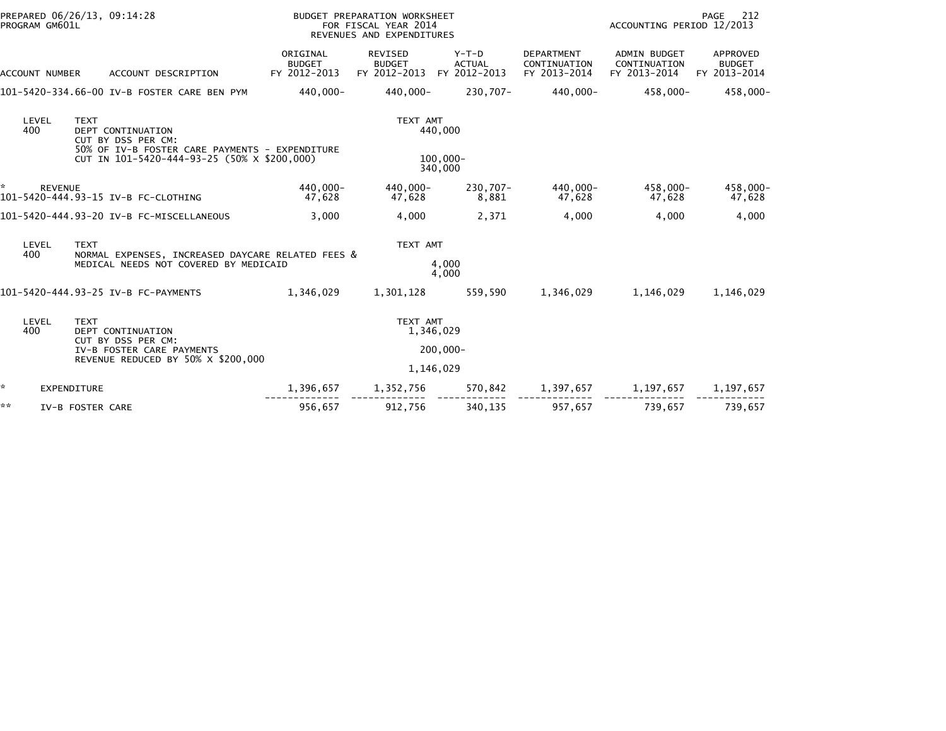|    | PROGRAM GM601L | PREPARED 06/26/13, 09:14:28                                                                              | <b>BUDGET PREPARATION WORKSHEET</b><br>FOR FISCAL YEAR 2014<br>REVENUES AND EXPENDITURES |                                                 |                                          |                                                   | PAGE<br>212<br>ACCOUNTING PERIOD 12/2013            |                                           |  |
|----|----------------|----------------------------------------------------------------------------------------------------------|------------------------------------------------------------------------------------------|-------------------------------------------------|------------------------------------------|---------------------------------------------------|-----------------------------------------------------|-------------------------------------------|--|
|    | ACCOUNT NUMBER | ACCOUNT DESCRIPTION                                                                                      | ORIGINAL<br><b>BUDGET</b><br>FY 2012-2013                                                | <b>REVISED</b><br><b>BUDGET</b><br>FY 2012-2013 | $Y-T-D$<br><b>ACTUAL</b><br>FY 2012-2013 | <b>DEPARTMENT</b><br>CONTINUATION<br>FY 2013-2014 | <b>ADMIN BUDGET</b><br>CONTINUATION<br>FY 2013-2014 | APPROVED<br><b>BUDGET</b><br>FY 2013-2014 |  |
|    |                | 101-5420-334.66-00 IV-B FOSTER CARE BEN PYM                                                              | 440,000-                                                                                 | 440,000-                                        | 230,707-                                 | 440,000-                                          | 458,000-                                            | 458,000-                                  |  |
|    | LEVEL<br>400   | <b>TEXT</b><br>DEPT CONTINUATION<br>CUT BY DSS PER CM:<br>50% OF IV-B FOSTER CARE PAYMENTS - EXPENDITURE |                                                                                          | TEXT AMT                                        | 440,000                                  |                                                   |                                                     |                                           |  |
|    |                | CUT IN 101-5420-444-93-25 (50% X \$200,000)                                                              |                                                                                          |                                                 | $100.000 -$<br>340,000                   |                                                   |                                                     |                                           |  |
| *  | <b>REVENUE</b> | 101-5420-444.93-15 IV-B FC-CLOTHING                                                                      | 440.000-<br>47,628                                                                       | 440.000-<br>47,628                              | 230.707-<br>8,881                        | 440.000-<br>47,628                                | 458,000-<br>47,628                                  | 458,000-<br>47,628                        |  |
|    |                | 101-5420-444.93-20 IV-B FC-MISCELLANEOUS                                                                 | 3,000                                                                                    | 4,000                                           | 2,371                                    | 4,000                                             | 4,000                                               | 4,000                                     |  |
|    | LEVEL          | <b>TEXT</b>                                                                                              |                                                                                          | TEXT AMT                                        |                                          |                                                   |                                                     |                                           |  |
|    | 400            | NORMAL EXPENSES, INCREASED DAYCARE RELATED FEES &<br>MEDICAL NEEDS NOT COVERED BY MEDICAID               |                                                                                          |                                                 | 4,000<br>4,000                           |                                                   |                                                     |                                           |  |
|    |                | 101-5420-444.93-25 IV-B FC-PAYMENTS                                                                      | 1,346,029                                                                                | 1,301,128                                       | 559,590                                  | 1,346,029                                         | 1,146,029                                           | 1,146,029                                 |  |
|    | LEVEL<br>400   | <b>TEXT</b><br>DEPT CONTINUATION                                                                         |                                                                                          | TEXT AMT<br>1,346,029                           |                                          |                                                   |                                                     |                                           |  |
|    |                | CUT BY DSS PER CM:<br>IV-B FOSTER CARE PAYMENTS<br>REVENUE REDUCED BY 50% X \$200,000                    |                                                                                          |                                                 | $200,000 -$                              |                                                   |                                                     |                                           |  |
|    |                |                                                                                                          |                                                                                          | 1,146,029                                       |                                          |                                                   |                                                     |                                           |  |
| *  | EXPENDITURE    |                                                                                                          | 1,396,657                                                                                | 1,352,756                                       | 570,842                                  | 1,397,657                                         | 1,197,657                                           | 1,197,657                                 |  |
| ** |                | IV-B FOSTER CARE                                                                                         | 956,657                                                                                  | 912,756                                         | 340,135                                  | 957,657                                           | 739.657                                             | 739,657                                   |  |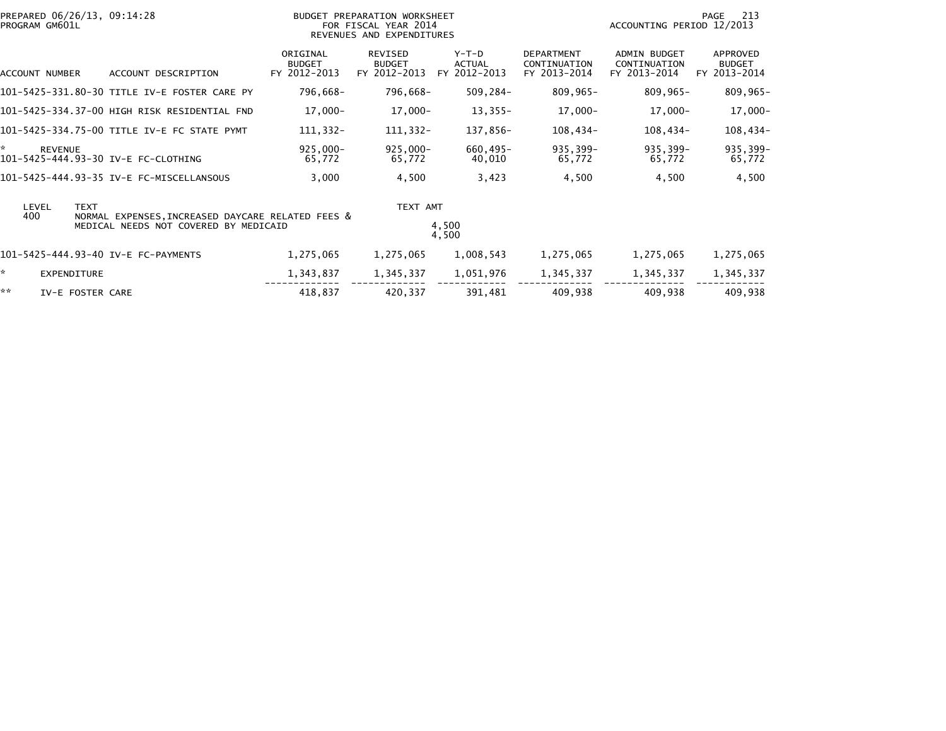| PREPARED 06/26/13, 09:14:28<br>PROGRAM GM601L                                                                             |                                           | BUDGET PREPARATION WORKSHEET<br>FOR FISCAL YEAR 2014<br>REVENUES AND EXPENDITURES |                                        |                                                   | ACCOUNTING PERIOD 12/2013                    | 213<br>PAGE                               |
|---------------------------------------------------------------------------------------------------------------------------|-------------------------------------------|-----------------------------------------------------------------------------------|----------------------------------------|---------------------------------------------------|----------------------------------------------|-------------------------------------------|
| ACCOUNT DESCRIPTION<br>ACCOUNT NUMBER                                                                                     | ORIGINAL<br><b>BUDGET</b><br>FY 2012-2013 | REVISED<br><b>BUDGET</b><br>FY 2012-2013                                          | Y-T-D<br><b>ACTUAL</b><br>FY 2012-2013 | <b>DEPARTMENT</b><br>CONTINUATION<br>FY 2013-2014 | ADMIN BUDGET<br>CONTINUATION<br>FY 2013-2014 | APPROVED<br><b>BUDGET</b><br>FY 2013-2014 |
| 101-5425-331.80-30 TITLE IV-E FOSTER CARE PY                                                                              | 796,668-                                  | 796,668-                                                                          | 509,284-                               | 809,965-                                          | $809,965 -$                                  | $809,965 -$                               |
| 101–5425–334.37–00 HIGH RISK RESIDENTIAL FND                                                                              | $17,000 -$                                | 17,000-                                                                           | $13,355-$                              | $17,000 -$                                        | 17,000-                                      | 17,000-                                   |
| 101-5425-334.75-00 TITLE IV-E FC STATE PYMT                                                                               | 111,332-                                  | 111,332-                                                                          | 137,856-                               | 108,434-                                          | 108,434-                                     | $108,434-$                                |
| ×.<br><b>REVENUE</b><br>101-5425-444.93-30 IV-E FC-CLOTHING                                                               | $925,000 -$<br>65,772                     | $925,000 -$<br>65,772                                                             | 660,495-<br>40,010                     | 935,399-<br>65,772                                | 935,399-<br>65,772                           | 935,399-<br>65,772                        |
| 101-5425-444.93-35 IV-E FC-MISCELLANSOUS                                                                                  | 3,000                                     | 4,500                                                                             | 3,423                                  | 4,500                                             | 4,500                                        | 4,500                                     |
| LEVEL<br><b>TEXT</b><br>400<br>NORMAL EXPENSES, INCREASED DAYCARE RELATED FEES &<br>MEDICAL NEEDS NOT COVERED BY MEDICAID |                                           | TEXT AMT                                                                          | 4,500<br>4,500                         |                                                   |                                              |                                           |
| 101-5425-444.93-40 IV-E FC-PAYMENTS                                                                                       | 1,275,065                                 | 1,275,065                                                                         | 1,008,543                              | 1,275,065                                         | 1,275,065                                    | 1,275,065                                 |
| ×.<br><b>EXPENDITURE</b>                                                                                                  | 1,343,837                                 | 1,345,337                                                                         | 1,051,976                              | 1,345,337                                         | 1,345,337                                    | 1,345,337                                 |
| **<br>IV-E FOSTER CARE                                                                                                    | 418,837                                   | 420,337                                                                           | 391,481                                | 409,938                                           | 409,938                                      | 409,938                                   |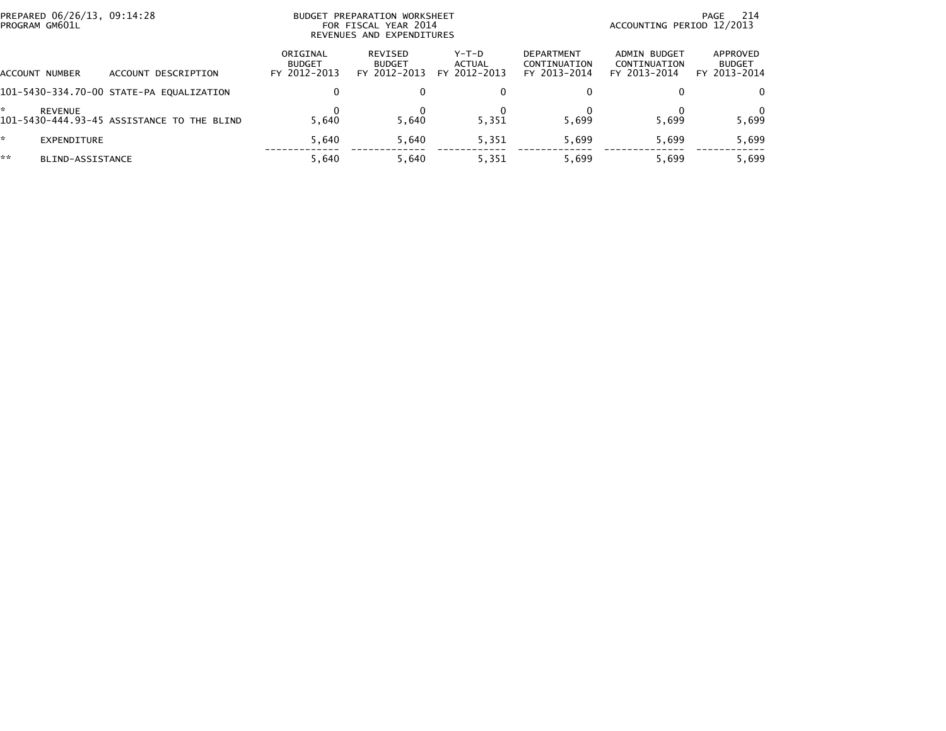| PREPARED 06/26/13, 09:14:28<br>PROGRAM GM601L |                                            |                                           | BUDGET PREPARATION WORKSHEET<br>FOR FISCAL YEAR 2014<br>REVENUES AND EXPENDITURES | 214<br>PAGE<br>ACCOUNTING PERIOD 12/2013 |                                                   |                                              |                                           |
|-----------------------------------------------|--------------------------------------------|-------------------------------------------|-----------------------------------------------------------------------------------|------------------------------------------|---------------------------------------------------|----------------------------------------------|-------------------------------------------|
| <b>ACCOUNT NUMBER</b>                         | ACCOUNT DESCRIPTION                        | ORIGINAL<br><b>BUDGET</b><br>FY 2012-2013 | REVISED<br><b>BUDGET</b><br>FY 2012-2013                                          | Y-T-D<br>ACTUAL<br>FY 2012-2013          | <b>DEPARTMENT</b><br>CONTINUATION<br>FY 2013-2014 | ADMIN BUDGET<br>CONTINUATION<br>FY 2013-2014 | APPROVED<br><b>BUDGET</b><br>FY 2013-2014 |
|                                               | 101-5430-334.70-00 STATE-PA EQUALIZATION   | 0                                         |                                                                                   | $\Omega$                                 | 0                                                 |                                              | 0                                         |
| <b>REVENUE</b>                                | 101-5430-444.93-45 ASSISTANCE TO THE BLIND | 5.640                                     | 5.640                                                                             | 5,351                                    | 5.699                                             | 5,699                                        | 5,699                                     |
| *.<br>EXPENDITURE                             |                                            | 5.640                                     | 5.640                                                                             | 5,351                                    | 5.699                                             | 5,699                                        | 5,699                                     |
| **<br>BLIND-ASSISTANCE                        |                                            | 5.640                                     | 5.640                                                                             | 5,351                                    | 5.699                                             | 5,699                                        | 5,699                                     |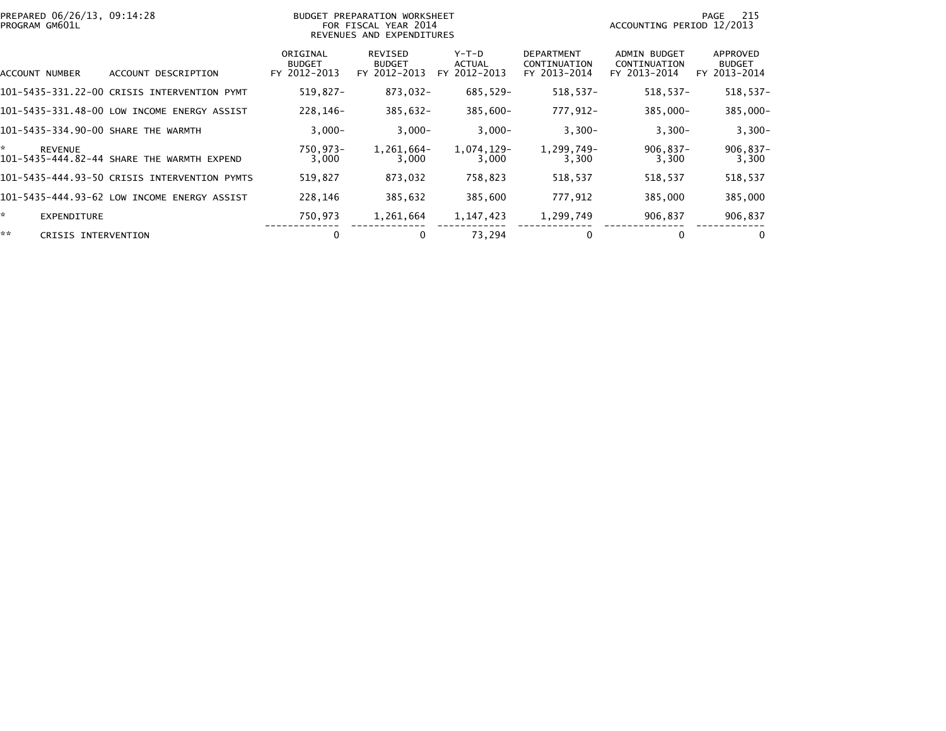|    | PREPARED 06/26/13, 09:14:28<br>BUDGET PREPARATION WORKSHEET<br>PROGRAM GM601L<br>FOR FISCAL YEAR 2014<br>REVENUES AND EXPENDITURES |                                              |                                           |                                          |                                              |                                                   | 215<br>PAGE<br>ACCOUNTING PERIOD 12/2013            |                                           |  |
|----|------------------------------------------------------------------------------------------------------------------------------------|----------------------------------------------|-------------------------------------------|------------------------------------------|----------------------------------------------|---------------------------------------------------|-----------------------------------------------------|-------------------------------------------|--|
|    | ACCOUNT NUMBER                                                                                                                     | ACCOUNT DESCRIPTION                          | ORIGINAL<br><b>BUDGET</b><br>FY 2012-2013 | REVISED<br><b>BUDGET</b><br>FY 2012-2013 | $Y-T-D$<br><b>ACTUAL</b><br>2012-2013<br>FY. | <b>DEPARTMENT</b><br>CONTINUATION<br>FY 2013-2014 | <b>ADMIN BUDGET</b><br>CONTINUATION<br>FY 2013-2014 | APPROVED<br><b>BUDGET</b><br>FY 2013-2014 |  |
|    |                                                                                                                                    | 101-5435-331.22-00 CRISIS INTERVENTION PYMT  | $519,827-$                                | 873,032-                                 | 685,529-                                     | $518,537-$                                        | $518,537-$                                          | $518,537-$                                |  |
|    |                                                                                                                                    | 101-5435-331.48-00 LOW INCOME ENERGY ASSIST  | 228.146-                                  | $385,632 -$                              | $385.600 -$                                  | 777,912-                                          | 385,000-                                            | 385,000-                                  |  |
|    |                                                                                                                                    | 101-5435-334.90-00 SHARE THE WARMTH          | $3,000-$                                  | $3,000-$                                 | $3,000-$                                     | $3,300-$                                          | $3,300-$                                            | $3,300-$                                  |  |
| *. | <b>REVENUE</b>                                                                                                                     | 101-5435-444.82-44 SHARE THE WARMTH EXPEND   | 750,973-<br>3,000                         | 1,261,664-<br>3,000                      | 1,074,129-<br>3,000                          | 1,299,749-<br>3,300                               | $906,837-$<br>3,300                                 | $906,837-$<br>3,300                       |  |
|    |                                                                                                                                    | 101–5435–444.93–50 CRISIS INTERVENTION PYMTS | 519,827                                   | 873,032                                  | 758,823                                      | 518,537                                           | 518,537                                             | 518,537                                   |  |
|    |                                                                                                                                    | 101-5435-444.93-62 LOW INCOME ENERGY ASSIST  | 228.146                                   | 385,632                                  | 385,600                                      | 777,912                                           | 385,000                                             | 385,000                                   |  |
| ÷. | EXPENDITURE                                                                                                                        |                                              | 750,973                                   | 1,261,664                                | 1, 147, 423                                  | 1,299,749                                         | 906,837                                             | 906,837                                   |  |
| ** | CRISIS INTERVENTION                                                                                                                |                                              | 0                                         | 0                                        | 73,294                                       | 0                                                 | 0                                                   | $\Omega$                                  |  |
|    |                                                                                                                                    |                                              |                                           |                                          |                                              |                                                   |                                                     |                                           |  |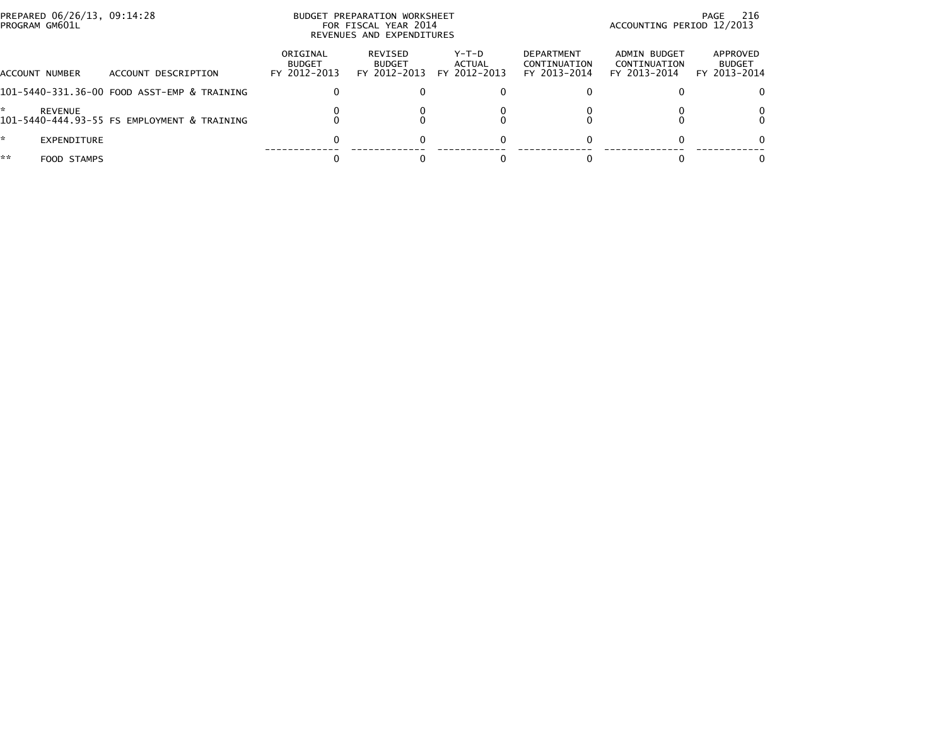| PREPARED 06/26/13, 09:14:28<br>PROGRAM GM601L |                                             | BUDGET PREPARATION WORKSHEET<br>FOR FISCAL YEAR 2014<br>REVENUES AND EXPENDITURES |                                          |                                 |                                                   | 216<br>PAGE<br>ACCOUNTING PERIOD 12/2013     |                                           |
|-----------------------------------------------|---------------------------------------------|-----------------------------------------------------------------------------------|------------------------------------------|---------------------------------|---------------------------------------------------|----------------------------------------------|-------------------------------------------|
| ACCOUNT NUMBER                                | ACCOUNT DESCRIPTION                         | ORIGINAL<br><b>BUDGET</b><br>FY 2012-2013                                         | REVISED<br><b>BUDGET</b><br>FY 2012-2013 | Y-T-D<br>ACTUAL<br>FY 2012-2013 | <b>DEPARTMENT</b><br>CONTINUATION<br>FY 2013-2014 | ADMIN BUDGET<br>CONTINUATION<br>FY 2013-2014 | APPROVED<br><b>BUDGET</b><br>FY 2013-2014 |
|                                               | 101-5440-331.36-00 FOOD ASST-EMP & TRAINING |                                                                                   |                                          |                                 |                                                   |                                              |                                           |
| REVENUE                                       | 101-5440-444.93-55 FS EMPLOYMENT & TRAINING |                                                                                   |                                          |                                 |                                                   |                                              |                                           |
| EXPENDITURE                                   |                                             |                                                                                   | $\Omega$                                 | 0                               |                                                   |                                              |                                           |
| **<br>FOOD STAMPS                             |                                             |                                                                                   |                                          |                                 |                                                   |                                              |                                           |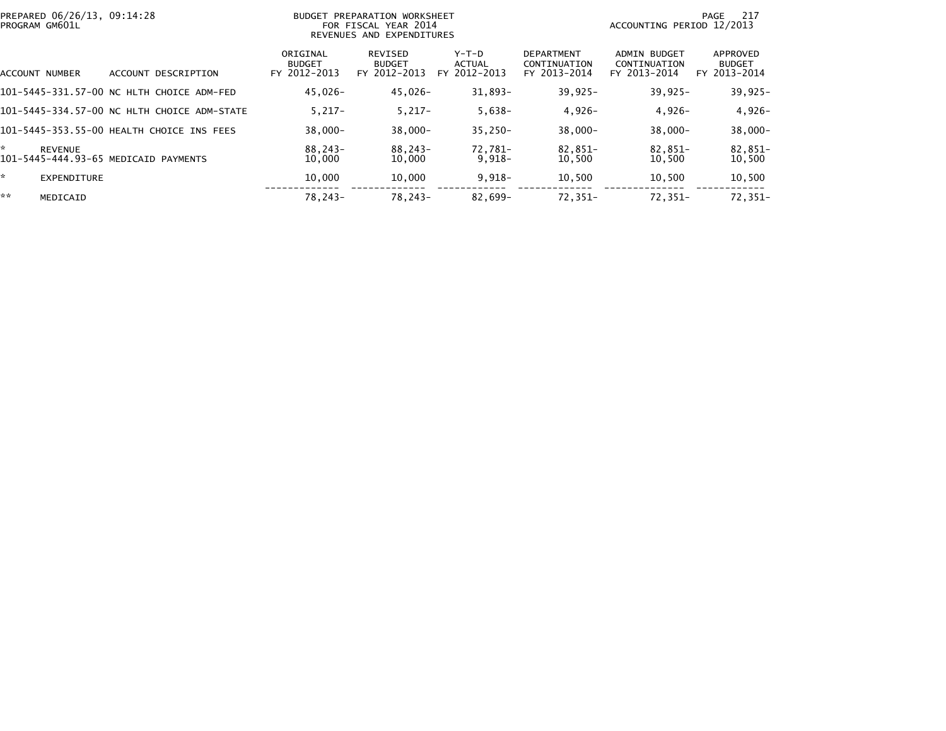| PREPARED 06/26/13, 09:14:28<br>PROGRAM GM601L |                                             |                                           | BUDGET PREPARATION WORKSHEET<br>FOR FISCAL YEAR 2014<br>REVENUES AND EXPENDITURES |                                          |                                                   | ACCOUNTING PERIOD 12/2013                    | -217<br>PAGE                              |
|-----------------------------------------------|---------------------------------------------|-------------------------------------------|-----------------------------------------------------------------------------------|------------------------------------------|---------------------------------------------------|----------------------------------------------|-------------------------------------------|
| ACCOUNT NUMBER                                | ACCOUNT DESCRIPTION                         | ORIGINAL<br><b>BUDGET</b><br>FY 2012-2013 | REVISED<br><b>BUDGET</b><br>FY 2012-2013                                          | $Y-T-D$<br><b>ACTUAL</b><br>FY 2012-2013 | <b>DEPARTMENT</b><br>CONTINUATION<br>FY 2013-2014 | ADMIN BUDGET<br>CONTINUATION<br>FY 2013-2014 | APPROVED<br><b>BUDGET</b><br>FY 2013-2014 |
|                                               | 101-5445-331.57-00 NC HLTH CHOICE ADM-FED   | 45,026-                                   | 45,026-                                                                           | $31,893-$                                | $39,925 -$                                        | $39.925 -$                                   | $39,925 -$                                |
|                                               | 101-5445-334.57-00 NC HLTH CHOICE ADM-STATE | $5.217 -$                                 | $5,217-$                                                                          | $5,638-$                                 | $4,926-$                                          | $4,926-$                                     | $4,926-$                                  |
|                                               | 101-5445-353.55-00 HEALTH CHOICE INS FEES   | $38.000 -$                                | $38.000 -$                                                                        | $35.250 -$                               | $38.000 -$                                        | $38.000 -$                                   | $38,000 -$                                |
| $\star$<br><b>REVENUE</b>                     | 101-5445-444.93-65 MEDICAID PAYMENTS        | 88.243-<br>10,000                         | 88.243-<br>10,000                                                                 | 72.781-<br>$9,918-$                      | 82,851-<br>10,500                                 | 82.851-<br>10,500                            | 82,851-<br>10,500                         |
| *.<br><b>EXPENDITURE</b>                      |                                             | 10,000                                    | 10,000                                                                            | $9,918-$                                 | 10,500                                            | 10,500                                       | 10,500                                    |
| **<br>MEDICAID                                |                                             | 78.243-                                   | 78,243-                                                                           | 82,699-                                  | 72,351-                                           | $72.351 -$                                   | 72,351-                                   |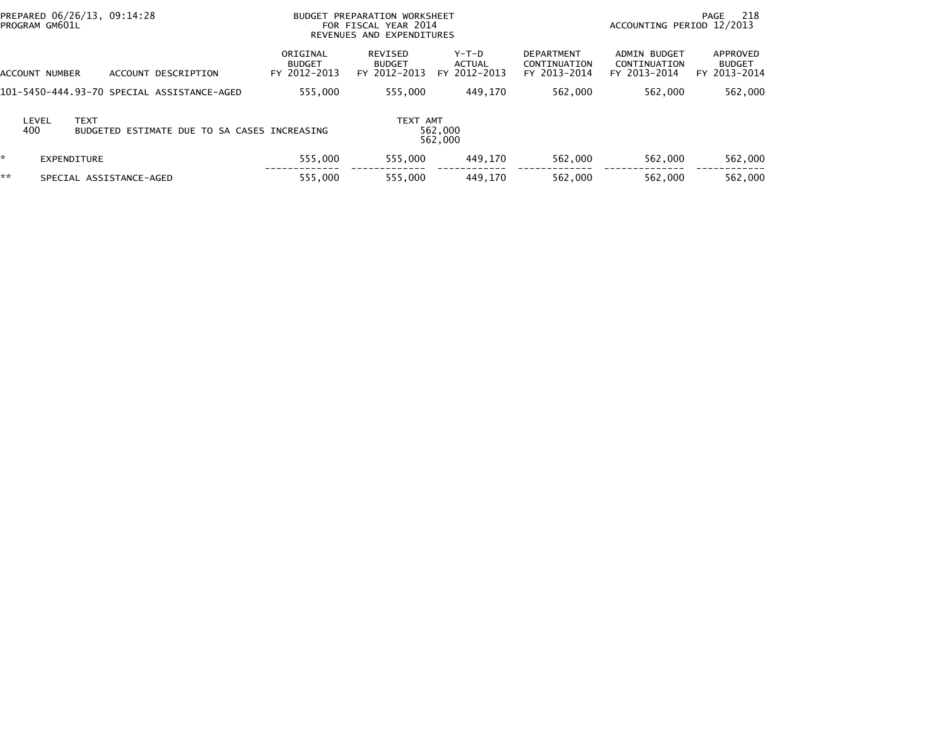| PREPARED 06/26/13, 09:14:28<br><b>BUDGET</b><br>PROGRAM GM601L |                             |                                              |                                           | PREPARATION WORKSHEET<br>FOR FISCAL YEAR 2014<br>REVENUES AND EXPENDITURES |                                 |                                                   | 218<br>PAGE<br>ACCOUNTING PERIOD 12/2013            |                                           |  |
|----------------------------------------------------------------|-----------------------------|----------------------------------------------|-------------------------------------------|----------------------------------------------------------------------------|---------------------------------|---------------------------------------------------|-----------------------------------------------------|-------------------------------------------|--|
|                                                                | ACCOUNT NUMBER              | DESCRIPTION<br><b>ACCOUNT</b>                | ORIGINAL<br><b>BUDGET</b><br>FY 2012-2013 | REVISED<br><b>BUDGET</b><br>FY 2012-2013                                   | Y-T-D<br>ACTUAL<br>FY 2012-2013 | <b>DEPARTMENT</b><br>CONTINUATION<br>FY 2013-2014 | <b>ADMIN BUDGET</b><br>CONTINUATION<br>FY 2013-2014 | APPROVED<br><b>BUDGET</b><br>FY 2013-2014 |  |
|                                                                |                             | 101–5450–444.93–70 SPECIAL ASSISTANCE-AGED   | 555,000                                   | 555.000                                                                    | 449.170                         | 562,000                                           | 562,000                                             | 562,000                                   |  |
|                                                                | <b>TEXT</b><br>LEVEL<br>400 | BUDGETED ESTIMATE DUE TO SA CASES INCREASING |                                           | TEXT AMT                                                                   | 562,000<br>562,000              |                                                   |                                                     |                                           |  |
| *                                                              | EXPENDITURE                 |                                              | 555,000                                   | 555.000                                                                    | 449.170                         | 562,000                                           | 562,000                                             | 562,000                                   |  |
| **                                                             |                             | SPECIAL ASSISTANCE-AGED                      | 555.000                                   | 555,000                                                                    | 449.170                         | 562.000                                           | 562,000                                             | 562,000                                   |  |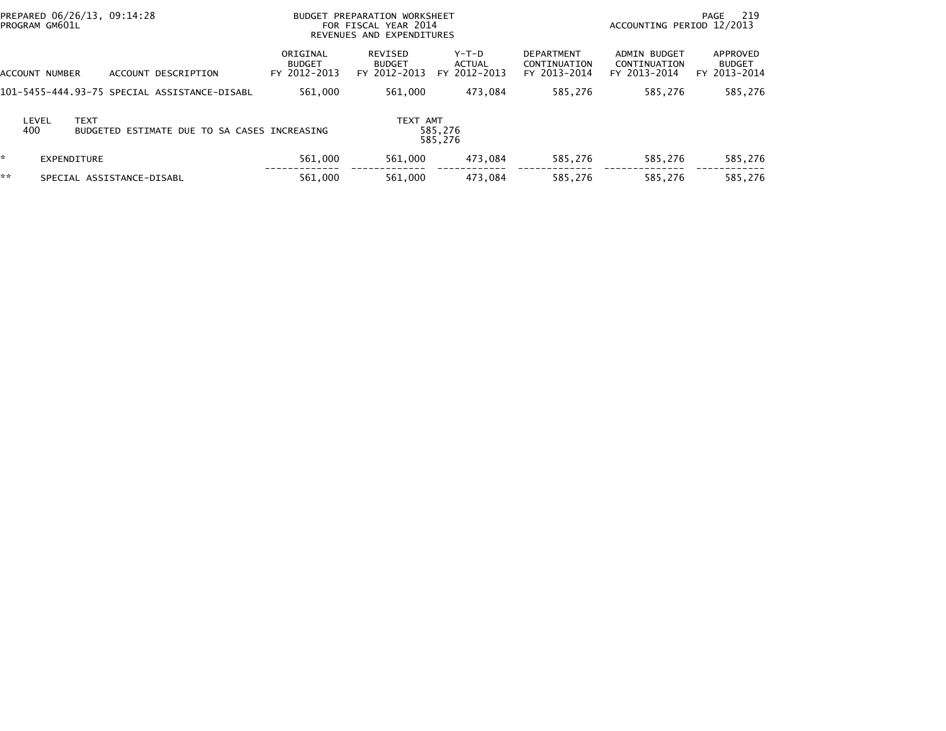|    | PREPARED 06/26/13, 09:14:28<br>PROGRAM GM601L |                                              |                                           | BUDGET PREPARATION WORKSHEET<br>FOR FISCAL YEAR 2014<br>REVENUES AND EXPENDITURES |                                   |                                                   | ACCOUNTING PERIOD 12/2013                    | 219<br>PAGE                               |
|----|-----------------------------------------------|----------------------------------------------|-------------------------------------------|-----------------------------------------------------------------------------------|-----------------------------------|---------------------------------------------------|----------------------------------------------|-------------------------------------------|
|    | ACCOUNT NUMBER                                | ACCOUNT DESCRIPTION                          | ORIGINAL<br><b>BUDGET</b><br>FY 2012-2013 | REVISED<br><b>BUDGET</b><br>FY 2012-2013                                          | $Y-T-D$<br>ACTUAL<br>FY 2012-2013 | <b>DEPARTMENT</b><br>CONTINUATION<br>FY 2013-2014 | ADMIN BUDGET<br>CONTINUATION<br>FY 2013-2014 | APPROVED<br><b>BUDGET</b><br>FY 2013-2014 |
|    |                                               | 101–5455–444.93–75 SPECIAL ASSISTANCE–DISABL | 561,000                                   | 561.000                                                                           | 473.084                           | 585.276                                           | 585.276                                      | 585,276                                   |
|    | LEVEL<br><b>TEXT</b><br>400                   | BUDGETED ESTIMATE DUE TO SA CASES INCREASING |                                           | TEXT AMT                                                                          | 585,276<br>585.276                |                                                   |                                              |                                           |
| ×. | EXPENDITURE                                   |                                              | 561,000                                   | 561,000                                                                           | 473.084                           | 585,276                                           | 585,276                                      | 585,276                                   |
| ** |                                               | SPECIAL ASSISTANCE-DISABL                    | 561,000                                   | 561,000                                                                           | 473.084                           | 585,276                                           | 585,276                                      | 585,276                                   |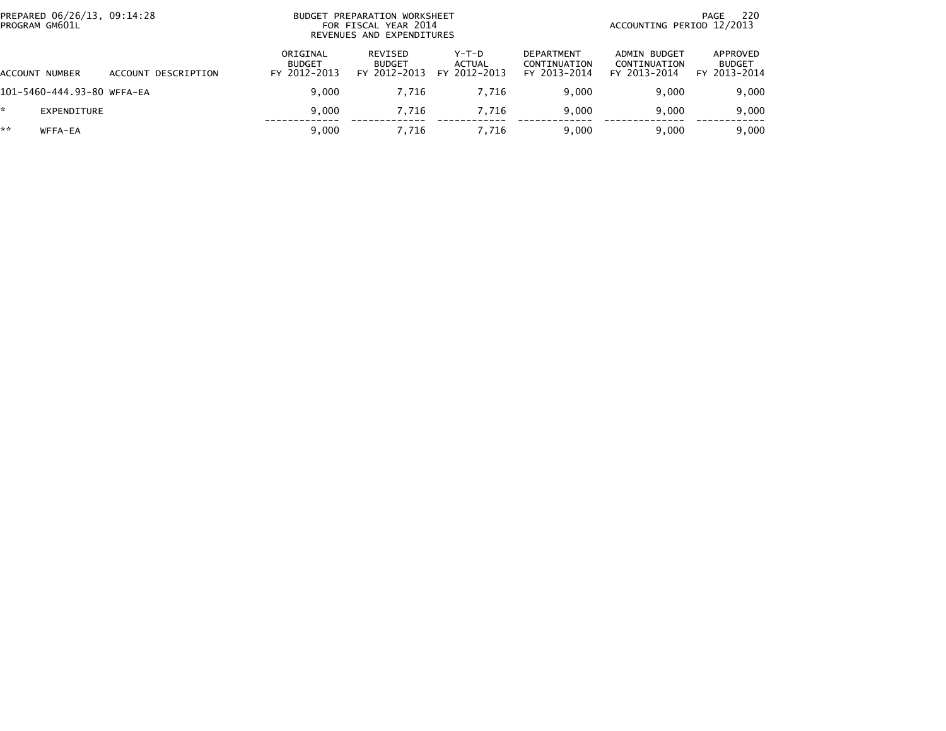|    | PREPARED 06/26/13, 09:14:28<br>PROGRAM GM601L |                     | BUDGET                                    | PREPARATION WORKSHEET<br>FOR FISCAL YEAR 2014<br>REVENUES AND EXPENDITURES | 220<br>PAGE<br>ACCOUNTING PERIOD 12/2013 |                                                   |                                              |                                           |
|----|-----------------------------------------------|---------------------|-------------------------------------------|----------------------------------------------------------------------------|------------------------------------------|---------------------------------------------------|----------------------------------------------|-------------------------------------------|
|    | ACCOUNT NUMBER                                | ACCOUNT DESCRIPTION | ORIGINAL<br><b>BUDGET</b><br>FY 2012-2013 | REVISED<br><b>BUDGET</b><br>FY 2012-2013                                   | $Y-T-D$<br><b>ACTUAL</b><br>FY 2012-2013 | <b>DEPARTMENT</b><br>CONTINUATION<br>FY 2013-2014 | ADMIN BUDGET<br>CONTINUATION<br>FY 2013-2014 | APPROVED<br><b>BUDGET</b><br>FY 2013-2014 |
|    | 101-5460-444.93-80 WFFA-EA                    |                     | 9.000                                     | 7.716                                                                      | 7.716                                    | 9.000                                             | 9.000                                        | 9,000                                     |
| *  | EXPENDITURE                                   |                     | 9.000                                     | 7.716                                                                      | 7.716                                    | 9.000                                             | 9.000                                        | 9,000                                     |
| ** | WFFA-EA                                       |                     | 9,000                                     | 7.716                                                                      | 7.716                                    | 9.000                                             | 9,000                                        | 9,000                                     |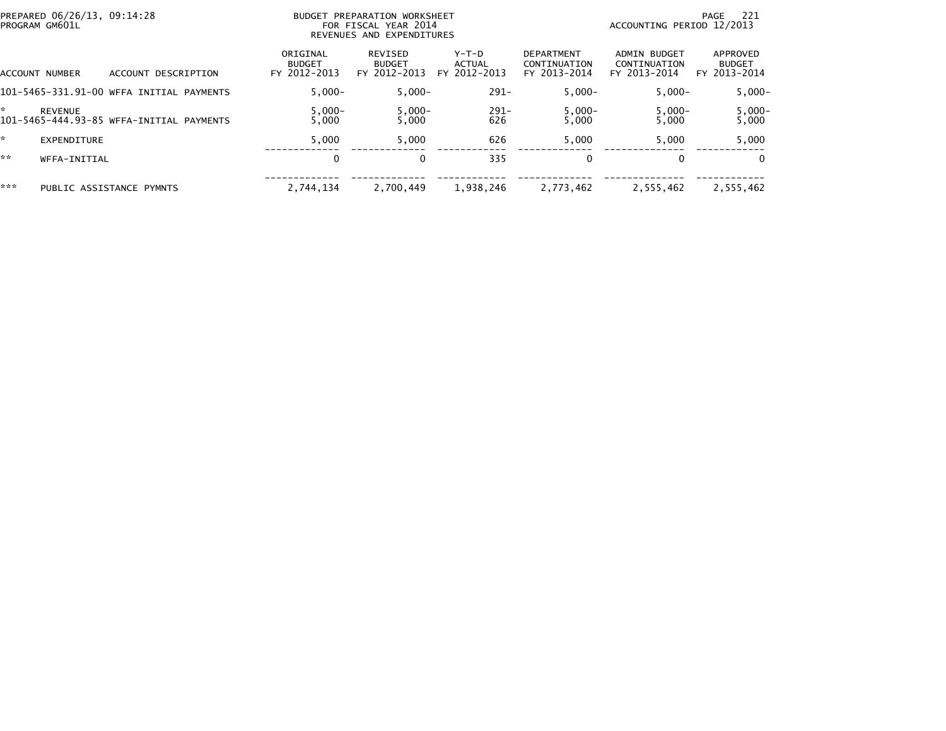| PREPARED 06/26/13, 09:14:28<br>PROGRAM GM601L |                                          | PREPARATION WORKSHEET<br><b>BUDGET</b><br>FOR FISCAL YEAR 2014<br>REVENUES AND EXPENDITURES |                                          |                                   |                                                   | -221<br>PAGE<br>ACCOUNTING PERIOD 12/2013    |                                           |  |
|-----------------------------------------------|------------------------------------------|---------------------------------------------------------------------------------------------|------------------------------------------|-----------------------------------|---------------------------------------------------|----------------------------------------------|-------------------------------------------|--|
| ACCOUNT NUMBER                                | ACCOUNT DESCRIPTION                      | ORIGINAL<br><b>BUDGET</b><br>FY 2012-2013                                                   | REVISED<br><b>BUDGET</b><br>FY 2012-2013 | $Y-T-D$<br>ACTUAL<br>FY 2012-2013 | <b>DEPARTMENT</b><br>CONTINUATION<br>FY 2013-2014 | ADMIN BUDGET<br>CONTINUATION<br>FY 2013-2014 | APPROVED<br><b>BUDGET</b><br>FY 2013-2014 |  |
|                                               | 101-5465-331.91-00 WFFA INITIAL PAYMENTS | $5.000 -$                                                                                   | $5.000 -$                                | $291 -$                           | $5,000 -$                                         | $5,000-$                                     | $5,000 -$                                 |  |
| <b>REVENUE</b>                                | 101-5465-444.93-85 WFFA-INITIAL PAYMENTS | $5,000-$<br>5,000                                                                           | $5,000-$<br>5,000                        | $291 -$<br>626                    | $5,000-$<br>5,000                                 | $5,000-$<br>5,000                            | $5,000-$<br>5,000                         |  |
| EXPENDITURE                                   |                                          | 5.000                                                                                       | 5,000                                    | 626                               | 5,000                                             | 5,000                                        | 5,000                                     |  |
| **<br>WFFA-INITIAL                            |                                          | 0                                                                                           |                                          | 335                               | 0                                                 | $\bf{0}$                                     | $\Omega$                                  |  |
| ***                                           | PUBLIC ASSISTANCE PYMNTS                 | 2.744.134                                                                                   | 2,700,449                                | 1,938,246                         | 2,773,462                                         | 2,555,462                                    | 2,555,462                                 |  |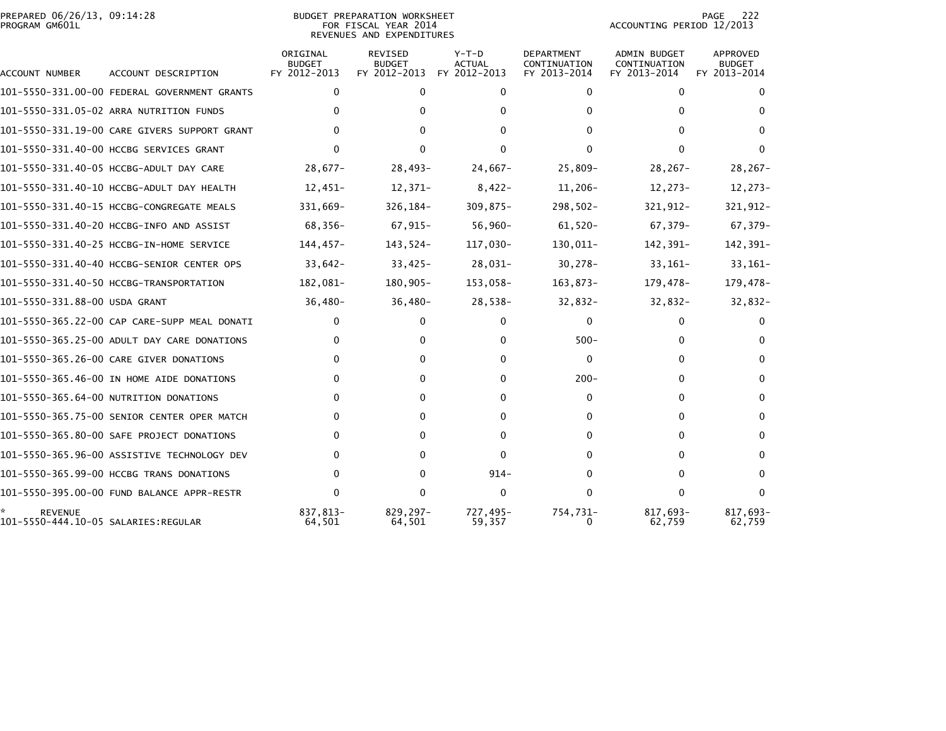## PREPARED 06/26/13, 09:14:28<br>PROGRAM GM601L

BUDGET PREPARATION WORKSHEET<br>FOR FISCAL YEAR 2014 REVENUES AND EXPENDITURES PAGE 222<br>ACCOUNTING PERIOD 12/2013

| ACCOUNT NUMBER                                        | ACCOUNT DESCRIPTION                          | ORIGINAL<br><b>BUDGET</b><br>FY 2012-2013 | <b>REVISED</b><br><b>BUDGET</b><br>FY 2012-2013 | $Y-T-D$<br><b>ACTUAL</b><br>FY 2012-2013 | <b>DEPARTMENT</b><br>CONTINUATION<br>FY 2013-2014 | <b>ADMIN BUDGET</b><br>CONTINUATION<br>FY 2013-2014 | APPROVED<br><b>BUDGET</b><br>FY 2013-2014 |
|-------------------------------------------------------|----------------------------------------------|-------------------------------------------|-------------------------------------------------|------------------------------------------|---------------------------------------------------|-----------------------------------------------------|-------------------------------------------|
|                                                       | 101-5550-331.00-00 FEDERAL GOVERNMENT GRANTS | $\mathbf{0}$                              | $\mathbf{0}$                                    | $\mathbf{0}$                             | $\Omega$                                          | $\mathbf{0}$                                        | 0                                         |
|                                                       | 101-5550-331.05-02 ARRA NUTRITION FUNDS      | 0                                         | 0                                               | <sup>0</sup>                             | 0                                                 | 0                                                   | $\Omega$                                  |
|                                                       | 101-5550-331.19-00 CARE GIVERS SUPPORT GRANT | 0                                         | 0                                               | 0                                        | 0                                                 | 0                                                   | $\Omega$                                  |
|                                                       | 101-5550-331.40-00 HCCBG SERVICES GRANT      | 0                                         | 0                                               | <sup>0</sup>                             |                                                   |                                                     | $\Omega$                                  |
|                                                       | 101-5550-331.40-05 HCCBG-ADULT DAY CARE      | $28,677-$                                 | $28,493-$                                       | $24,667-$                                | $25,809-$                                         | $28, 267 -$                                         | $28, 267 -$                               |
|                                                       | 101-5550-331.40-10 HCCBG-ADULT DAY HEALTH    | $12,451-$                                 | 12,371-                                         | $8,422-$                                 | $11,206-$                                         | 12,273-                                             | $12,273-$                                 |
|                                                       | 101-5550-331.40-15 HCCBG-CONGREGATE MEALS    | 331,669-                                  | $326, 184 -$                                    | $309,875-$                               | $298,502 -$                                       | 321,912-                                            | 321,912-                                  |
|                                                       | 101-5550-331.40-20 HCCBG-INFO AND ASSIST     | 68,356-                                   | $67,915-$                                       | $56,960 -$                               | $61,520-$                                         | 67,379-                                             | 67,379-                                   |
|                                                       | 101-5550-331.40-25 HCCBG-IN-HOME SERVICE     | $144, 457 -$                              | 143,524-                                        | 117,030-                                 | 130,011-                                          | 142,391-                                            | 142,391-                                  |
|                                                       | 101-5550-331.40-40 HCCBG-SENIOR CENTER OPS   | $33,642-$                                 | $33,425-$                                       | 28,031-                                  | $30,278-$                                         | $33,161-$                                           | $33,161-$                                 |
|                                                       | 101-5550-331.40-50 HCCBG-TRANSPORTATION      | 182,081-                                  | 180,905-                                        | 153,058-                                 | 163,873-                                          | 179,478-                                            | 179,478-                                  |
| 101-5550-331.88-00 USDA GRANT                         |                                              | $36,480-$                                 | $36,480-$                                       | $28,538-$                                | $32,832-$                                         | $32,832-$                                           | $32,832-$                                 |
|                                                       | 101-5550-365.22-00 CAP CARE-SUPP MEAL DONATI | $\mathbf{0}$                              | $\Omega$                                        | $\mathbf{0}$                             | 0                                                 | 0                                                   | 0                                         |
|                                                       | 101-5550-365.25-00 ADULT DAY CARE DONATIONS  | 0                                         | 0                                               | 0                                        | $500 -$                                           | 0                                                   | $\Omega$                                  |
|                                                       | 101-5550-365.26-00 CARE GIVER DONATIONS      | 0                                         | 0                                               | $\Omega$                                 | $\Omega$                                          | 0                                                   | $\Omega$                                  |
|                                                       | 101-5550-365.46-00 IN HOME AIDE DONATIONS    | 0                                         | 0                                               | 0                                        | $200 -$                                           | 0                                                   | $\Omega$                                  |
|                                                       | 101-5550-365.64-00 NUTRITION DONATIONS       | 0                                         | 0                                               | 0                                        | 0                                                 | 0                                                   | $\Omega$                                  |
|                                                       | 101-5550-365.75-00 SENIOR CENTER OPER MATCH  | 0                                         | 0                                               | <sup>0</sup>                             | 0                                                 | 0                                                   | $\Omega$                                  |
|                                                       | 101-5550-365.80-00 SAFE PROJECT DONATIONS    | 0                                         | 0                                               | 0                                        | 0                                                 | 0                                                   | $\Omega$                                  |
|                                                       | 101-5550-365.96-00 ASSISTIVE TECHNOLOGY DEV  | 0                                         | 0                                               | $\Omega$                                 | 0                                                 | 0                                                   | $\Omega$                                  |
|                                                       | 101-5550-365.99-00 HCCBG TRANS DONATIONS     | 0                                         | 0                                               | $914 -$                                  | 0                                                 | 0                                                   | $\Omega$                                  |
|                                                       | 101-5550-395.00-00 FUND BALANCE APPR-RESTR   | $\mathbf{0}$                              | $\Omega$                                        | $\mathbf 0$                              | 0                                                 | 0                                                   | $\Omega$                                  |
| <b>REVENUE</b><br>101-5550-444.10-05 SALARIES:REGULAR |                                              | 837.813-<br>64,501                        | $829, 297 -$<br>64,501                          | 727,495-<br>59,357                       | 754,731-<br>$\Omega$                              | 817,693-<br>62,759                                  | 817,693-<br>62,759                        |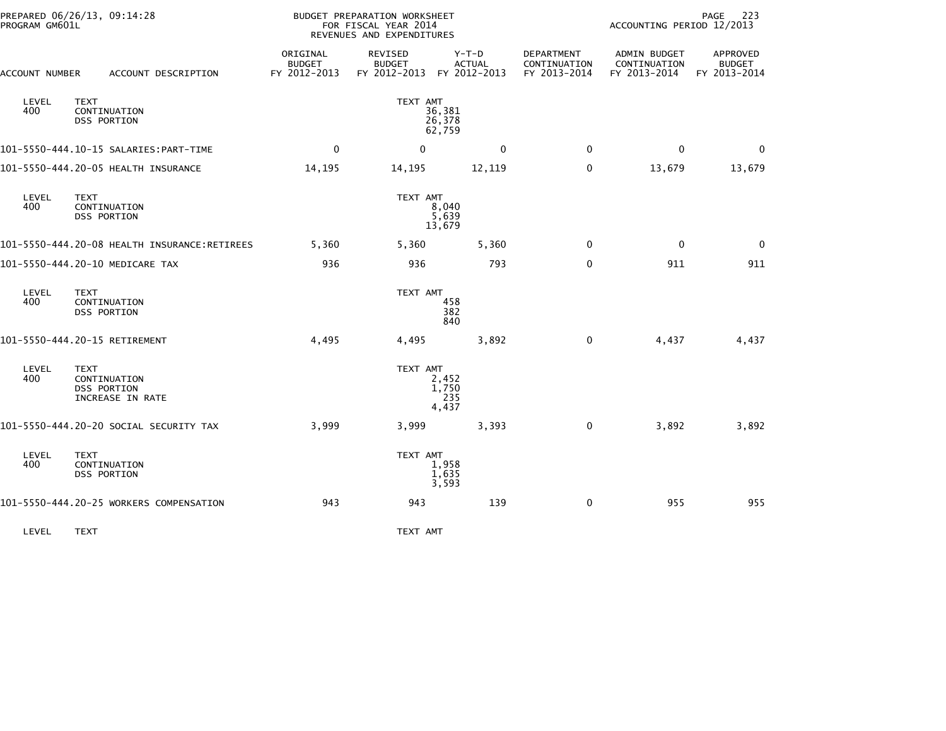| PROGRAM GM601L | PREPARED 06/26/13, 09:14:28                             |                                           | BUDGET PREPARATION WORKSHEET<br>FOR FISCAL YEAR 2014<br>REVENUES AND EXPENDITURES |                                          |                                            | ACCOUNTING PERIOD 12/2013                    | 223<br>PAGE                               |
|----------------|---------------------------------------------------------|-------------------------------------------|-----------------------------------------------------------------------------------|------------------------------------------|--------------------------------------------|----------------------------------------------|-------------------------------------------|
| ACCOUNT NUMBER | ACCOUNT DESCRIPTION                                     | ORIGINAL<br><b>BUDGET</b><br>FY 2012-2013 | REVISED<br><b>BUDGET</b><br>FY 2012-2013                                          | $Y-T-D$<br><b>ACTUAL</b><br>FY 2012-2013 | DEPARTMENT<br>CONTINUATION<br>FY 2013-2014 | ADMIN BUDGET<br>CONTINUATION<br>FY 2013-2014 | APPROVED<br><b>BUDGET</b><br>FY 2013-2014 |
| LEVEL<br>400   | <b>TEXT</b><br>CONTINUATION<br><b>DSS PORTION</b>       |                                           | TEXT AMT                                                                          | 36,381<br>26,378<br>62,759               |                                            |                                              |                                           |
|                |                                                         | $\mathbf 0$                               | $\mathbf 0$                                                                       | $\mathbf 0$                              | $\mathbf{0}$                               | $\mathbf{0}$                                 | 0                                         |
|                | 101-5550-444.20-05 HEALTH INSURANCE                     | 14,195                                    | 14,195                                                                            | 12,119                                   | 0                                          | 13,679                                       | 13,679                                    |
| LEVEL<br>400   | <b>TEXT</b><br>CONTINUATION<br><b>DSS PORTION</b>       |                                           | TEXT AMT                                                                          | 8,040<br>5,639<br>13,679                 |                                            |                                              |                                           |
|                | 101-5550-444.20-08 HEALTH INSURANCE:RETIREES            | 5,360                                     | 5,360                                                                             | 5,360                                    | 0                                          | $\mathbf 0$                                  | $\mathbf 0$                               |
|                | 101-5550-444.20-10 MEDICARE TAX                         | 936                                       | 936                                                                               | 793                                      | $\Omega$                                   | 911                                          | 911                                       |
| LEVEL<br>400   | <b>TEXT</b><br>CONTINUATION<br><b>DSS PORTION</b>       |                                           | TEXT AMT                                                                          | 458<br>382<br>840                        |                                            |                                              |                                           |
|                | 101-5550-444.20-15 RETIREMENT                           | 4,495                                     | 4,495                                                                             | 3,892                                    | 0                                          | 4,437                                        | 4,437                                     |
| LEVEL<br>400   | TEXT<br>CONTINUATION<br>DSS PORTION<br>INCREASE IN RATE |                                           | TEXT AMT                                                                          | 2,452<br>1,750<br>235<br>4,437           |                                            |                                              |                                           |
|                | 101-5550-444.20-20 SOCIAL SECURITY TAX                  | 3,999                                     | 3,999                                                                             | 3,393                                    | 0                                          | 3,892                                        | 3,892                                     |
| LEVEL<br>400   | <b>TEXT</b><br>CONTINUATION<br>DSS PORTION              |                                           | TEXT AMT                                                                          | 1,958<br>1,635<br>3,593                  |                                            |                                              |                                           |
|                | 101-5550-444.20-25 WORKERS COMPENSATION                 | 943                                       | 943                                                                               | 139                                      | 0                                          | 955                                          | 955                                       |
| LEVEL          | <b>TEXT</b>                                             |                                           | TEXT AMT                                                                          |                                          |                                            |                                              |                                           |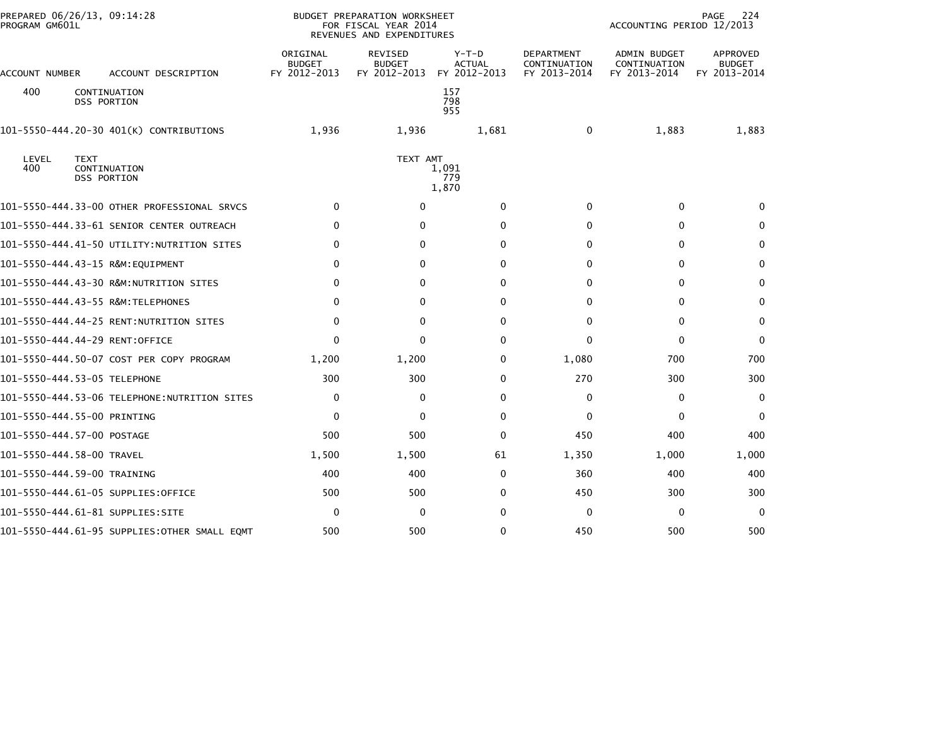| PROGRAM GM601L            | PREPARED 06/26/13, 09:14:28                       |                                           | <b>BUDGET PREPARATION WORKSHEET</b><br>FOR FISCAL YEAR 2014<br>REVENUES AND EXPENDITURES |                                          |                                                   | ACCOUNTING PERIOD 12/2013                    | 224<br>PAGE                               |
|---------------------------|---------------------------------------------------|-------------------------------------------|------------------------------------------------------------------------------------------|------------------------------------------|---------------------------------------------------|----------------------------------------------|-------------------------------------------|
| ACCOUNT NUMBER            | ACCOUNT DESCRIPTION                               | ORIGINAL<br><b>BUDGET</b><br>FY 2012-2013 | REVISED<br><b>BUDGET</b><br>FY 2012-2013                                                 | $Y-T-D$<br><b>ACTUAL</b><br>FY 2012-2013 | <b>DEPARTMENT</b><br>CONTINUATION<br>FY 2013-2014 | ADMIN BUDGET<br>CONTINUATION<br>FY 2013-2014 | APPROVED<br><b>BUDGET</b><br>FY 2013-2014 |
| 400                       | CONTINUATION<br><b>DSS PORTION</b>                |                                           |                                                                                          | 157<br>798<br>955                        |                                                   |                                              |                                           |
|                           | 101-5550-444.20-30 401(K) CONTRIBUTIONS           | 1,936                                     | 1,936                                                                                    | 1,681                                    | $\Omega$                                          | 1,883                                        | 1,883                                     |
| LEVEL<br>400              | <b>TEXT</b><br>CONTINUATION<br><b>DSS PORTION</b> |                                           | TEXT AMT                                                                                 | 1,091<br>779<br>1,870                    |                                                   |                                              |                                           |
|                           | 101-5550-444.33-00 OTHER PROFESSIONAL SRVCS       | $\mathbf{0}$                              | $\Omega$                                                                                 | $\Omega$                                 | $\mathbf{0}$                                      | $\Omega$                                     | $\Omega$                                  |
|                           | 101-5550-444.33-61 SENIOR CENTER OUTREACH         | $\bf{0}$                                  | 0                                                                                        | 0                                        | $\Omega$                                          | 0                                            | $\bf{0}$                                  |
|                           | 101-5550-444.41-50 UTILITY:NUTRITION SITES        | 0                                         | $\mathbf{0}$                                                                             | $\Omega$                                 | $\Omega$                                          | 0                                            | 0                                         |
|                           | 101-5550-444.43-15 R&M:EQUIPMENT                  | 0                                         | 0                                                                                        | $\mathbf{0}$                             | 0                                                 | 0                                            | $\mathbf{0}$                              |
|                           | 101-5550-444.43-30 R&M:NUTRITION SITES            | $\mathbf{0}$                              | $\mathbf{0}$                                                                             | $\Omega$                                 | $\Omega$                                          | $\mathbf{0}$                                 | $\mathbf{0}$                              |
|                           | 101-5550-444.43-55 R&M:TELEPHONES                 | $\mathbf{0}$                              | $\mathbf{0}$                                                                             | $\Omega$                                 | $\Omega$                                          | $\mathbf{0}$                                 | $\mathbf{0}$                              |
|                           | 101-5550-444.44-25 RENT:NUTRITION SITES           | 0                                         | $\mathbf{0}$                                                                             | $\Omega$                                 | $\Omega$                                          | $\mathbf 0$                                  | $\mathbf{0}$                              |
|                           | 101-5550-444.44-29 RENT:OFFICE                    | 0                                         | $\mathbf{0}$                                                                             | 0                                        | $\Omega$                                          | 0                                            | $\mathbf{0}$                              |
|                           | 101-5550-444.50-07 COST PER COPY PROGRAM          | 1,200                                     | 1,200                                                                                    | 0                                        | 1,080                                             | 700                                          | 700                                       |
|                           | 101-5550-444.53-05 TELEPHONE                      | 300                                       | 300                                                                                      | $\Omega$                                 | 270                                               | 300                                          | 300                                       |
|                           | 101–5550–444.53–06 TELEPHONE:NUTRITION SITES      | 0                                         | 0                                                                                        | 0                                        | 0                                                 | 0                                            | $\mathbf{0}$                              |
|                           | 101-5550-444.55-00 PRINTING                       | $\mathbf 0$                               | 0                                                                                        | 0                                        | 0                                                 | 0                                            | $\mathbf{0}$                              |
|                           | 101-5550-444.57-00 POSTAGE                        | 500                                       | 500                                                                                      | 0                                        | 450                                               | 400                                          | 400                                       |
| 101-5550-444.58-00 TRAVEL |                                                   | 1,500                                     | 1,500                                                                                    | 61                                       | 1,350                                             | 1,000                                        | 1,000                                     |
|                           | 101-5550-444.59-00 TRAINING                       | 400                                       | 400                                                                                      | 0                                        | 360                                               | 400                                          | 400                                       |
|                           | 101-5550-444.61-05 SUPPLIES:OFFICE                | 500                                       | 500                                                                                      | 0                                        | 450                                               | 300                                          | 300                                       |
|                           | 101–5550–444.61–81 SUPPLIES:SITE                  | $\mathbf 0$                               | 0                                                                                        | 0                                        | $\Omega$                                          | 0                                            | $\Omega$                                  |
|                           |                                                   | 500                                       | 500                                                                                      | 0                                        | 450                                               | 500                                          | 500                                       |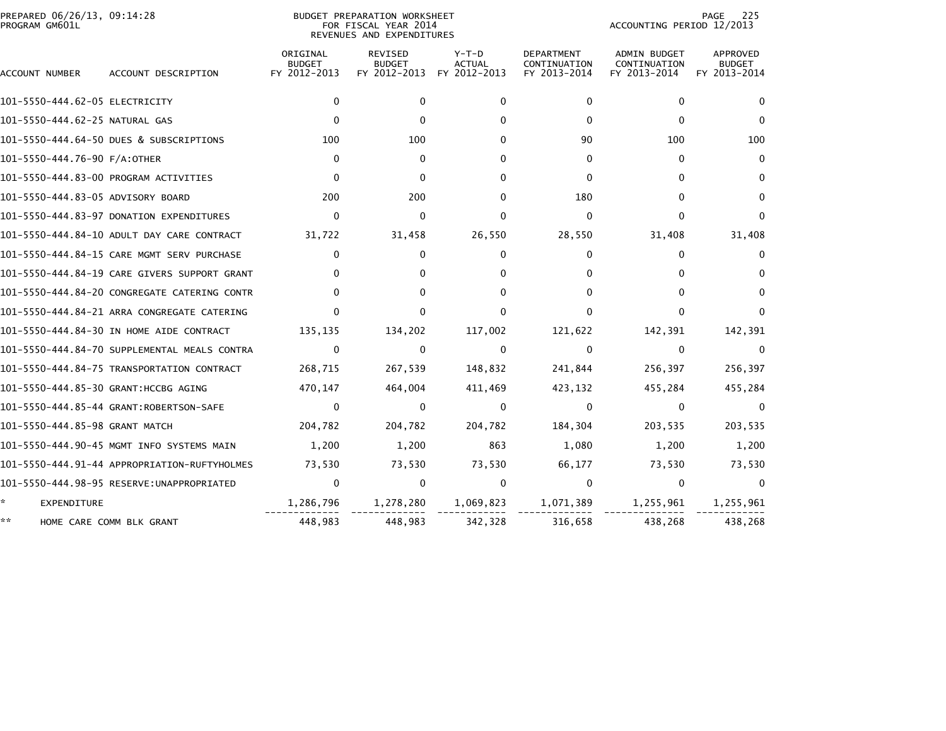| PREPARED 06/26/13, 09:14:28<br>PROGRAM GM601L |                                              |                                           | <b>BUDGET PREPARATION WORKSHEET</b><br>FOR FISCAL YEAR 2014<br>REVENUES AND EXPENDITURES |                                          |                                                   | ACCOUNTING PERIOD 12/2013                           | 225<br>PAGE                               |
|-----------------------------------------------|----------------------------------------------|-------------------------------------------|------------------------------------------------------------------------------------------|------------------------------------------|---------------------------------------------------|-----------------------------------------------------|-------------------------------------------|
| ACCOUNT NUMBER                                | ACCOUNT DESCRIPTION                          | ORIGINAL<br><b>BUDGET</b><br>FY 2012-2013 | <b>REVISED</b><br><b>BUDGET</b><br>FY 2012-2013                                          | $Y-T-D$<br><b>ACTUAL</b><br>FY 2012-2013 | <b>DEPARTMENT</b><br>CONTINUATION<br>FY 2013-2014 | <b>ADMIN BUDGET</b><br>CONTINUATION<br>FY 2013-2014 | APPROVED<br><b>BUDGET</b><br>FY 2013-2014 |
| 101–5550–444.62–05 ELECTRICITY                |                                              | 0                                         | $\mathbf{0}$                                                                             | $\mathbf{0}$                             | $\Omega$                                          | 0                                                   | $\Omega$                                  |
| 101-5550-444.62-25 NATURAL GAS                |                                              | $\Omega$                                  | $\Omega$                                                                                 | $\Omega$                                 | $\Omega$                                          | 0                                                   | $\Omega$                                  |
|                                               | 101-5550-444.64-50 DUES & SUBSCRIPTIONS      | 100                                       | 100                                                                                      | <sup>0</sup>                             | 90                                                | 100                                                 | 100                                       |
| 101-5550-444.76-90 F/A:OTHER                  |                                              | $\mathbf{0}$                              | $\Omega$                                                                                 | <sup>0</sup>                             | 0                                                 | 0                                                   | $\Omega$                                  |
|                                               | 101-5550-444.83-00 PROGRAM ACTIVITIES        | $\mathbf{0}$                              | $\Omega$                                                                                 | <sup>0</sup>                             | $\Omega$                                          | 0                                                   | $\Omega$                                  |
| 101-5550-444.83-05 ADVISORY BOARD             |                                              | 200                                       | 200                                                                                      | $\Omega$                                 | 180                                               | $\Omega$                                            | $\mathbf{0}$                              |
|                                               | 101-5550-444.83-97 DONATION EXPENDITURES     | $\mathbf{0}$                              | $\mathbf{0}$                                                                             | $\Omega$                                 | $\Omega$                                          | 0                                                   | $\Omega$                                  |
|                                               | 101-5550-444.84-10 ADULT DAY CARE CONTRACT   | 31,722                                    | 31,458                                                                                   | 26,550                                   | 28,550                                            | 31,408                                              | 31,408                                    |
|                                               | 101-5550-444.84-15 CARE MGMT SERV PURCHASE   | 0                                         | 0                                                                                        | 0                                        | 0                                                 | 0                                                   | 0                                         |
|                                               | 101-5550-444.84-19 CARE GIVERS SUPPORT GRANT | 0                                         | 0                                                                                        | $\Omega$                                 | 0                                                 | 0                                                   |                                           |
|                                               | 101-5550-444.84-20 CONGREGATE CATERING CONTR | $\Omega$                                  | $\Omega$                                                                                 | <sup>0</sup>                             | 0                                                 | 0                                                   | $\Omega$                                  |
|                                               | 101-5550-444.84-21 ARRA CONGREGATE CATERING  | 0                                         | $\Omega$                                                                                 | $\Omega$                                 | 0                                                 | 0                                                   | $\Omega$                                  |
|                                               | 101-5550-444.84-30 IN HOME AIDE CONTRACT     | 135,135                                   | 134,202                                                                                  | 117,002                                  | 121,622                                           | 142,391                                             | 142,391                                   |
|                                               | 101–5550–444.84–70 SUPPLEMENTAL MEALS CONTRA | $\mathbf 0$                               | $\mathbf{0}$                                                                             | $\mathbf{0}$                             | 0                                                 | $\Omega$                                            | $\Omega$                                  |
|                                               | 101-5550-444.84-75 TRANSPORTATION CONTRACT   | 268,715                                   | 267,539                                                                                  | 148,832                                  | 241,844                                           | 256,397                                             | 256,397                                   |
| 101-5550-444.85-30 GRANT: HCCBG AGING         |                                              | 470,147                                   | 464,004                                                                                  | 411,469                                  | 423,132                                           | 455,284                                             | 455,284                                   |
|                                               | 101-5550-444.85-44 GRANT:ROBERTSON-SAFE      | $\bf{0}$                                  | $\Omega$                                                                                 | $\Omega$                                 | 0                                                 | 0                                                   | $\Omega$                                  |
| 101-5550-444.85-98 GRANT MATCH                |                                              | 204,782                                   | 204,782                                                                                  | 204,782                                  | 184,304                                           | 203,535                                             | 203,535                                   |
|                                               | 101-5550-444.90-45 MGMT INFO SYSTEMS MAIN    | 1,200                                     | 1,200                                                                                    | 863                                      | 1,080                                             | 1,200                                               | 1,200                                     |
|                                               | 101-5550-444.91-44 APPROPRIATION-RUFTYHOLMES | 73,530                                    | 73,530                                                                                   | 73,530                                   | 66,177                                            | 73,530                                              | 73,530                                    |
|                                               |                                              | $\mathbf{0}$                              | $\mathbf{0}$                                                                             | 0                                        | $\Omega$                                          | 0                                                   | $\Omega$                                  |
| *<br><b>EXPENDITURE</b>                       |                                              | 1,286,796                                 | 1,278,280                                                                                | 1,069,823                                | 1,071,389                                         | 1,255,961                                           | 1,255,961                                 |
| **                                            | HOME CARE COMM BLK GRANT                     | 448,983                                   | 448,983                                                                                  | 342,328                                  | 316,658                                           | 438,268                                             | 438,268                                   |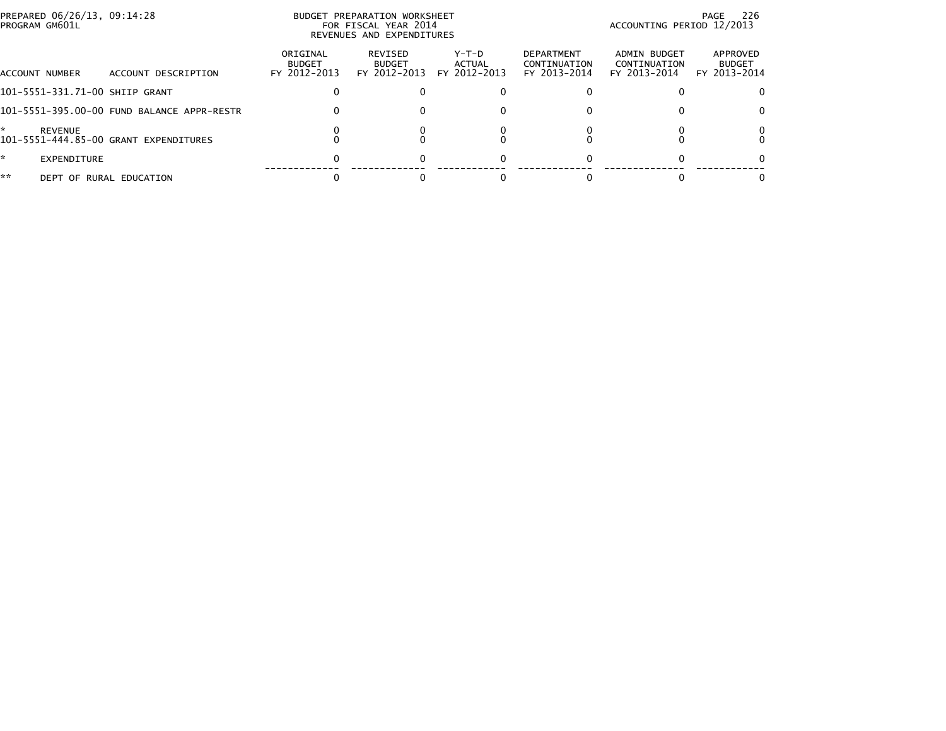| PROGRAM GM601L      | PREPARED 06/26/13, 09:14:28                |                                           | BUDGET PREPARATION WORKSHEET<br>FOR FISCAL YEAR 2014<br>REVENUES AND EXPENDITURES |                                 |                                                   | ACCOUNTING PERIOD 12/2013                    | PAGE 226                                  |
|---------------------|--------------------------------------------|-------------------------------------------|-----------------------------------------------------------------------------------|---------------------------------|---------------------------------------------------|----------------------------------------------|-------------------------------------------|
| ACCOUNT NUMBER      | ACCOUNT DESCRIPTION                        | ORIGINAL<br><b>BUDGET</b><br>FY 2012-2013 | REVISED<br><b>BUDGET</b><br>FY 2012-2013                                          | Y-T-D<br>ACTUAL<br>FY 2012-2013 | <b>DEPARTMENT</b><br>CONTINUATION<br>FY 2013-2014 | ADMIN BUDGET<br>CONTINUATION<br>FY 2013-2014 | APPROVED<br><b>BUDGET</b><br>FY 2013-2014 |
|                     | 101-5551-331.71-00 SHIIP GRANT             |                                           |                                                                                   |                                 |                                                   |                                              |                                           |
|                     | 101-5551-395.00-00 FUND BALANCE APPR-RESTR | 0                                         |                                                                                   |                                 |                                                   |                                              | 0                                         |
| ÷<br><b>REVENUE</b> | 101-5551-444.85-00 GRANT EXPENDITURES      |                                           |                                                                                   |                                 |                                                   |                                              |                                           |
| ÷.                  | EXPENDITURE                                |                                           |                                                                                   |                                 |                                                   |                                              |                                           |
| **                  | DEPT OF RURAL EDUCATION                    |                                           |                                                                                   |                                 |                                                   |                                              |                                           |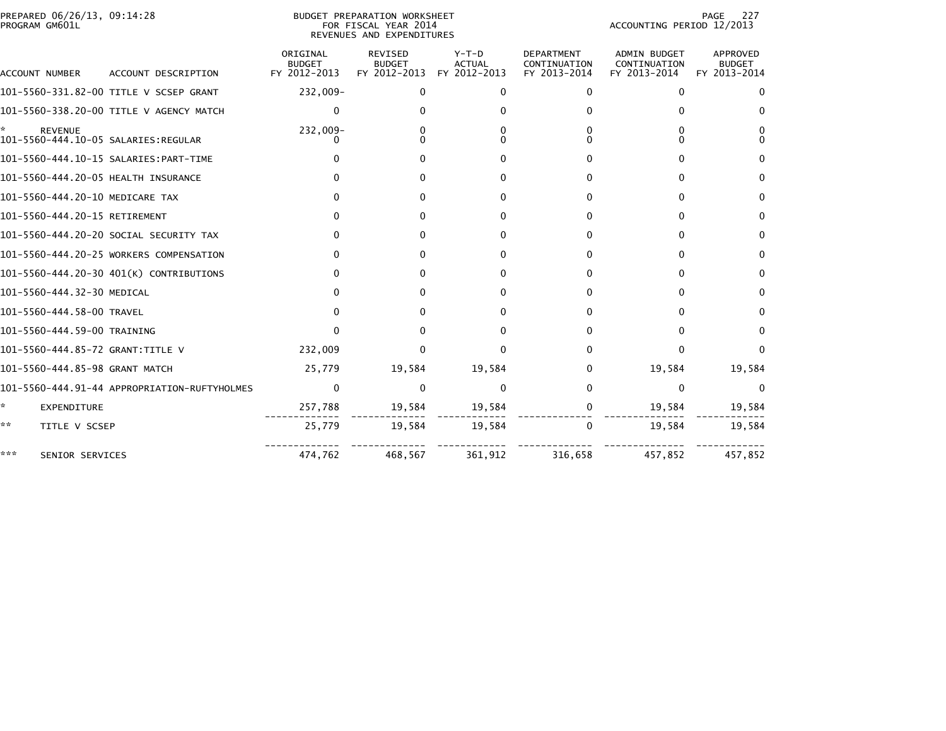| PREPARED 06/26/13, 09:14:28<br>PROGRAM GM601L |                                              |                                           | BUDGET PREPARATION WORKSHEET<br>FOR FISCAL YEAR 2014<br>REVENUES AND EXPENDITURES |                                        |                                                   | ACCOUNTING PERIOD 12/2013                    | PAGE<br>227                               |
|-----------------------------------------------|----------------------------------------------|-------------------------------------------|-----------------------------------------------------------------------------------|----------------------------------------|---------------------------------------------------|----------------------------------------------|-------------------------------------------|
| ACCOUNT NUMBER                                | ACCOUNT DESCRIPTION                          | ORIGINAL<br><b>BUDGET</b><br>FY 2012-2013 | <b>REVISED</b><br><b>BUDGET</b><br>FY 2012-2013                                   | Y-T-D<br><b>ACTUAL</b><br>FY 2012-2013 | <b>DEPARTMENT</b><br>CONTINUATION<br>FY 2013-2014 | ADMIN BUDGET<br>CONTINUATION<br>FY 2013-2014 | APPROVED<br><b>BUDGET</b><br>FY 2013-2014 |
|                                               | 101-5560-331.82-00 TITLE V SCSEP GRANT       | 232,009-                                  | 0                                                                                 | 0                                      | 0                                                 |                                              |                                           |
|                                               | 101-5560-338.20-00 TITLE V AGENCY MATCH      | $\Omega$                                  | 0                                                                                 | 0                                      | 0                                                 |                                              | O                                         |
| <b>REVENUE</b>                                |                                              | 232,009-<br>$\Omega$                      | 0<br>0                                                                            |                                        | 0<br><sup>0</sup>                                 |                                              | 0<br>$\Omega$                             |
|                                               |                                              | 0                                         | 0                                                                                 | <sup>0</sup>                           | 0                                                 |                                              | 0                                         |
| 101-5560-444.20-05 HEALTH INSURANCE           |                                              |                                           | 0                                                                                 | $\Omega$                               | 0                                                 |                                              | $\Omega$                                  |
| 101-5560-444.20-10 MEDICARE TAX               |                                              | 0                                         | 0                                                                                 | $\Omega$                               | 0                                                 | 0                                            | 0                                         |
| 101-5560-444.20-15 RETIREMENT                 |                                              |                                           | 0                                                                                 | <sup>0</sup>                           | 0                                                 | 0                                            | 0                                         |
|                                               | 101-5560-444.20-20 SOCIAL SECURITY TAX       | 0                                         | 0                                                                                 | $\Omega$                               | 0                                                 | <sup>n</sup>                                 | $\Omega$                                  |
|                                               | 101-5560-444.20-25 WORKERS COMPENSATION      |                                           | 0                                                                                 | 0                                      | 0                                                 | 0                                            | 0                                         |
|                                               | 101-5560-444.20-30 401(K) CONTRIBUTIONS      | 0                                         | 0                                                                                 | $\Omega$                               | 0                                                 |                                              | 0                                         |
| 101-5560-444.32-30 MEDICAL                    |                                              | 0                                         | 0                                                                                 | <sup>0</sup>                           | 0                                                 | 0                                            | 0                                         |
| 101-5560-444.58-00 TRAVEL                     |                                              |                                           | 0                                                                                 | 0                                      | 0                                                 |                                              | 0                                         |
| 101-5560-444.59-00 TRAINING                   |                                              | 0                                         | 0                                                                                 | o                                      | 0                                                 |                                              | 0                                         |
| 101-5560-444.85-72 GRANT:TITLE V              |                                              | 232,009                                   | 0                                                                                 | $\Omega$                               | 0                                                 |                                              | 0                                         |
| 101-5560-444.85-98 GRANT MATCH                |                                              | 25,779                                    | 19,584                                                                            | 19,584                                 | 0                                                 | 19,584                                       | 19,584                                    |
|                                               | 101-5560-444.91-44 APPROPRIATION-RUFTYHOLMES | $\mathbf 0$                               | $\Omega$                                                                          | $\Omega$                               | 0                                                 | 0                                            | $\Omega$                                  |
| *<br>EXPENDITURE                              |                                              | 257,788                                   | 19,584                                                                            | 19,584                                 | 0                                                 | 19,584                                       | 19,584                                    |
| **<br>TITLE V SCSEP                           |                                              | 25,779                                    | 19,584                                                                            | 19,584                                 | $\Omega$                                          | 19,584                                       | 19,584                                    |
| ***<br>SENIOR SERVICES                        |                                              | 474,762                                   | 468,567                                                                           | 361,912                                | 316,658                                           | 457,852                                      | 457,852                                   |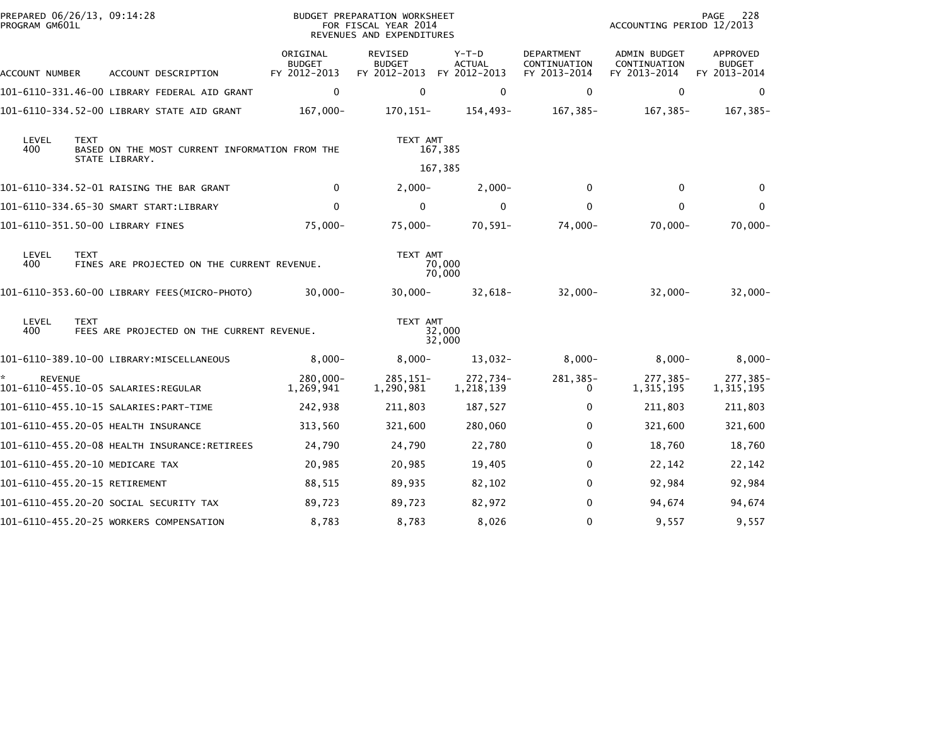| PREPARED 06/26/13, 09:14:28<br>PROGRAM GM601L |             |                                                                  |                                           | BUDGET PREPARATION WORKSHEET<br>FOR FISCAL YEAR 2014<br>REVENUES AND EXPENDITURES |                                   |                                                   | ACCOUNTING PERIOD 12/2013                           | 228<br>PAGE                                      |
|-----------------------------------------------|-------------|------------------------------------------------------------------|-------------------------------------------|-----------------------------------------------------------------------------------|-----------------------------------|---------------------------------------------------|-----------------------------------------------------|--------------------------------------------------|
| ACCOUNT NUMBER                                |             | ACCOUNT DESCRIPTION                                              | ORIGINAL<br><b>BUDGET</b><br>FY 2012-2013 | <b>REVISED</b><br><b>BUDGET</b><br>FY 2012-2013                                   | $Y-T-D$<br>ACTUAL<br>FY 2012-2013 | <b>DEPARTMENT</b><br>CONTINUATION<br>FY 2013-2014 | <b>ADMIN BUDGET</b><br>CONTINUATION<br>FY 2013-2014 | <b>APPROVED</b><br><b>BUDGET</b><br>FY 2013-2014 |
|                                               |             | 101-6110-331.46-00 LIBRARY FEDERAL AID GRANT                     | $\mathbf 0$                               | $\Omega$                                                                          | $\mathbf 0$                       | $\mathbf{0}$                                      | $\mathbf 0$                                         | $\Omega$                                         |
|                                               |             | 101-6110-334.52-00 LIBRARY STATE AID GRANT                       | $167,000 -$                               | 170, 151-                                                                         | 154,493-                          | 167,385-                                          | 167,385-                                            | 167,385-                                         |
| LEVEL<br>400                                  | <b>TEXT</b> | BASED ON THE MOST CURRENT INFORMATION FROM THE<br>STATE LIBRARY. |                                           | TEXT AMT                                                                          | 167,385                           |                                                   |                                                     |                                                  |
|                                               |             |                                                                  |                                           |                                                                                   | 167,385                           |                                                   |                                                     |                                                  |
|                                               |             | 101-6110-334.52-01 RAISING THE BAR GRANT                         | $\mathbf 0$                               | $2,000-$                                                                          | $2,000-$                          | $\mathbf{0}$                                      | $\mathbf{0}$                                        | $\Omega$                                         |
|                                               |             | 101-6110-334.65-30 SMART START:LIBRARY                           | 0                                         | $\mathbf 0$                                                                       | 0                                 | $\Omega$                                          | $\Omega$                                            | $\mathbf{0}$                                     |
|                                               |             | 101-6110-351.50-00 LIBRARY FINES                                 | $75,000 -$                                | $75,000 -$                                                                        | $70,591-$                         | 74,000-                                           | 70,000-                                             | $70,000 -$                                       |
| LEVEL<br>400                                  | <b>TEXT</b> | FINES ARE PROJECTED ON THE CURRENT REVENUE.                      |                                           | TEXT AMT                                                                          | 70,000<br>70,000                  |                                                   |                                                     |                                                  |
|                                               |             | 101-6110-353.60-00 LIBRARY FEES(MICRO-PHOTO)                     | $30,000 -$                                | $30,000 -$                                                                        | 32,618-                           | $32,000 -$                                        | $32,000 -$                                          | $32,000-$                                        |
| LEVEL<br>400                                  | <b>TEXT</b> | FEES ARE PROJECTED ON THE CURRENT REVENUE.                       |                                           | TEXT AMT                                                                          | 32,000<br>32,000                  |                                                   |                                                     |                                                  |
|                                               |             | 101-6110-389.10-00 LIBRARY:MISCELLANEOUS                         | $8,000-$                                  | $8,000-$                                                                          | $13,032-$                         | $8,000-$                                          | $8,000-$                                            | $8,000-$                                         |
| <b>REVENUE</b>                                |             |                                                                  | 280,000-<br>1,269,941                     | 285, 151-<br>1,290,981                                                            | 272,734-<br>1,218,139             | 281,385-<br>0                                     | 277,385-<br>1,315,195                               | 277,385-<br>1,315,195                            |
|                                               |             |                                                                  | 242,938                                   | 211,803                                                                           | 187,527                           | $\Omega$                                          | 211,803                                             | 211,803                                          |
|                                               |             | 101-6110-455.20-05 HEALTH INSURANCE                              | 313,560                                   | 321,600                                                                           | 280,060                           | 0                                                 | 321,600                                             | 321,600                                          |
|                                               |             |                                                                  | 24,790                                    | 24,790                                                                            | 22,780                            | $\Omega$                                          | 18,760                                              | 18,760                                           |
|                                               |             | 101-6110-455.20-10 MEDICARE TAX                                  | 20,985                                    | 20,985                                                                            | 19,405                            | $\Omega$                                          | 22,142                                              | 22,142                                           |
| 101-6110-455.20-15 RETIREMENT                 |             |                                                                  | 88,515                                    | 89,935                                                                            | 82,102                            | $\Omega$                                          | 92,984                                              | 92,984                                           |
|                                               |             | 101-6110-455.20-20 SOCIAL SECURITY TAX                           | 89,723                                    | 89,723                                                                            | 82,972                            | $\Omega$                                          | 94,674                                              | 94,674                                           |
|                                               |             | 101-6110-455.20-25 WORKERS COMPENSATION                          | 8,783                                     | 8,783                                                                             | 8,026                             | $\Omega$                                          | 9,557                                               | 9,557                                            |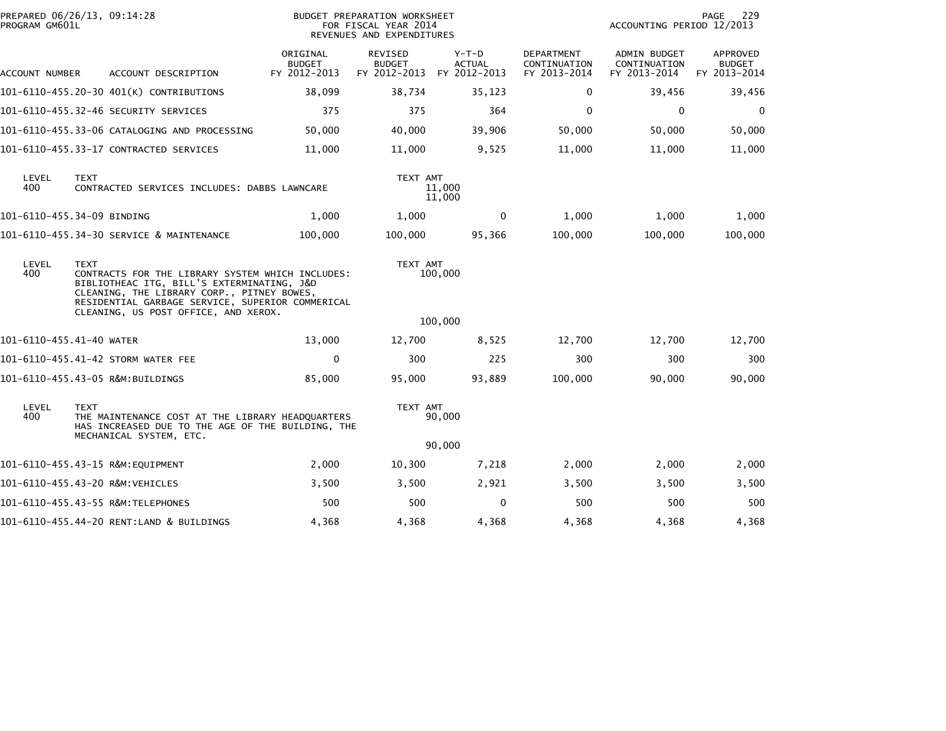| PROGRAM GM601L                                                                                                                                                                                                                  | PREPARED 06/26/13, 09:14:28                                                                                                              |                                           | BUDGET PREPARATION WORKSHEET<br>FOR FISCAL YEAR 2014<br>REVENUES AND EXPENDITURES |                                          | 229<br>PAGE<br>ACCOUNTING PERIOD 12/2013          |                                              |                                           |
|---------------------------------------------------------------------------------------------------------------------------------------------------------------------------------------------------------------------------------|------------------------------------------------------------------------------------------------------------------------------------------|-------------------------------------------|-----------------------------------------------------------------------------------|------------------------------------------|---------------------------------------------------|----------------------------------------------|-------------------------------------------|
| ACCOUNT NUMBER                                                                                                                                                                                                                  | ACCOUNT DESCRIPTION                                                                                                                      | ORIGINAL<br><b>BUDGET</b><br>FY 2012-2013 | <b>REVISED</b><br><b>BUDGET</b><br>FY 2012-2013                                   | $Y-T-D$<br><b>ACTUAL</b><br>FY 2012-2013 | <b>DEPARTMENT</b><br>CONTINUATION<br>FY 2013-2014 | ADMIN BUDGET<br>CONTINUATION<br>FY 2013-2014 | APPROVED<br><b>BUDGET</b><br>FY 2013-2014 |
|                                                                                                                                                                                                                                 | 101-6110-455.20-30 401(K) CONTRIBUTIONS                                                                                                  | 38,099                                    | 38,734                                                                            | 35,123                                   | 0                                                 | 39,456                                       | 39,456                                    |
|                                                                                                                                                                                                                                 |                                                                                                                                          | 375                                       | 375                                                                               | 364                                      | 0                                                 | 0                                            | $\mathbf 0$                               |
|                                                                                                                                                                                                                                 | 101-6110-455.33-06 CATALOGING AND PROCESSING                                                                                             | 50,000                                    | 40,000                                                                            | 39,906                                   | 50,000                                            | 50,000                                       | 50,000                                    |
|                                                                                                                                                                                                                                 | 101-6110-455.33-17 CONTRACTED SERVICES                                                                                                   | 11,000                                    | 11,000                                                                            | 9,525                                    | 11,000                                            | 11,000                                       | 11,000                                    |
| LEVEL<br>400                                                                                                                                                                                                                    | <b>TEXT</b><br>CONTRACTED SERVICES INCLUDES: DABBS LAWNCARE                                                                              |                                           | TEXT AMT                                                                          | 11,000<br>11,000                         |                                                   |                                              |                                           |
|                                                                                                                                                                                                                                 | 101-6110-455.34-09 BINDING                                                                                                               | 1,000                                     | 1,000                                                                             | $\mathbf 0$                              | 1,000                                             | 1,000                                        | 1,000                                     |
|                                                                                                                                                                                                                                 | 101-6110-455.34-30 SERVICE & MAINTENANCE                                                                                                 | 100,000                                   | 100,000                                                                           | 95,366                                   | 100,000                                           | 100,000                                      | 100,000                                   |
| LEVEL<br><b>TEXT</b><br>400<br>CONTRACTS FOR THE LIBRARY SYSTEM WHICH INCLUDES:<br>BIBLIOTHEAC ITG, BILL'S EXTERMINATING, J&D<br>CLEANING, THE LIBRARY CORP., PITNEY BOWES,<br>RESIDENTIAL GARBAGE SERVICE, SUPERIOR COMMERICAL |                                                                                                                                          | TEXT AMT<br>100,000                       |                                                                                   |                                          |                                                   |                                              |                                           |
|                                                                                                                                                                                                                                 | CLEANING, US POST OFFICE, AND XEROX.                                                                                                     |                                           |                                                                                   | 100,000                                  |                                                   |                                              |                                           |
| 101-6110-455.41-40 WATER                                                                                                                                                                                                        |                                                                                                                                          | 13,000                                    | 12,700                                                                            | 8,525                                    | 12,700                                            | 12,700                                       | 12,700                                    |
|                                                                                                                                                                                                                                 | 101-6110-455.41-42 STORM WATER FEE                                                                                                       | $\Omega$                                  | 300                                                                               | 225                                      | 300                                               | 300                                          | 300                                       |
|                                                                                                                                                                                                                                 | 101-6110-455.43-05 R&M:BUILDINGS                                                                                                         | 85,000                                    | 95,000                                                                            | 93,889                                   | 100,000                                           | 90,000                                       | 90,000                                    |
| LEVEL<br>400                                                                                                                                                                                                                    | TEXT<br>THE MAINTENANCE COST AT THE LIBRARY HEADQUARTERS<br>HAS INCREASED DUE TO THE AGE OF THE BUILDING, THE<br>MECHANICAL SYSTEM, ETC. |                                           | TEXT AMT                                                                          | 90,000                                   |                                                   |                                              |                                           |
|                                                                                                                                                                                                                                 |                                                                                                                                          |                                           |                                                                                   | 90,000                                   |                                                   |                                              |                                           |
|                                                                                                                                                                                                                                 | 101-6110-455.43-15 R&M:EQUIPMENT                                                                                                         | 2,000                                     | 10,300                                                                            | 7,218                                    | 2,000                                             | 2,000                                        | 2,000                                     |
|                                                                                                                                                                                                                                 | 101-6110-455.43-20 R&M:VEHICLES                                                                                                          | 3,500                                     | 3,500                                                                             | 2,921                                    | 3,500                                             | 3,500                                        | 3,500                                     |
|                                                                                                                                                                                                                                 | 101-6110-455.43-55 R&M:TELEPHONES                                                                                                        | 500                                       | 500                                                                               | $\mathbf{0}$                             | 500                                               | 500                                          | 500                                       |
|                                                                                                                                                                                                                                 | 101-6110-455.44-20 RENT:LAND & BUILDINGS                                                                                                 | 4,368                                     | 4,368                                                                             | 4,368                                    | 4,368                                             | 4,368                                        | 4,368                                     |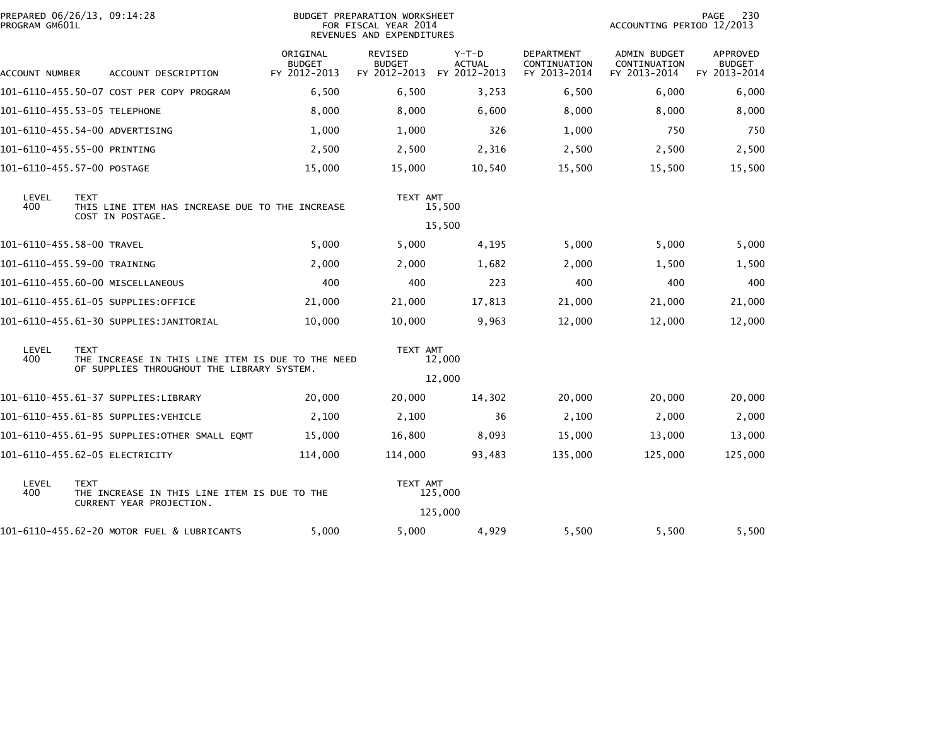| PREPARED 06/26/13, 09:14:28<br>PROGRAM GM601L |                                                                                    |                                                                          | <b>BUDGET PREPARATION WORKSHEET</b><br>FOR FISCAL YEAR 2014<br>REVENUES AND EXPENDITURES |                                                 |                                          |                                                   | 230<br><b>PAGE</b><br>ACCOUNTING PERIOD 12/2013 |                                                  |  |  |
|-----------------------------------------------|------------------------------------------------------------------------------------|--------------------------------------------------------------------------|------------------------------------------------------------------------------------------|-------------------------------------------------|------------------------------------------|---------------------------------------------------|-------------------------------------------------|--------------------------------------------------|--|--|
| ACCOUNT NUMBER                                |                                                                                    | ACCOUNT DESCRIPTION                                                      | ORIGINAL<br><b>BUDGET</b><br>FY 2012-2013                                                | <b>REVISED</b><br><b>BUDGET</b><br>FY 2012-2013 | $Y-T-D$<br><b>ACTUAL</b><br>FY 2012-2013 | <b>DEPARTMENT</b><br>CONTINUATION<br>FY 2013-2014 | ADMIN BUDGET<br>CONTINUATION<br>FY 2013-2014    | <b>APPROVED</b><br><b>BUDGET</b><br>FY 2013-2014 |  |  |
|                                               |                                                                                    | 101-6110-455.50-07 COST PER COPY PROGRAM                                 | 6,500                                                                                    | 6,500                                           | 3,253                                    | 6,500                                             | 6,000                                           | 6,000                                            |  |  |
|                                               |                                                                                    |                                                                          | 8,000                                                                                    | 8,000                                           | 6,600                                    | 8,000                                             | 8,000                                           | 8,000                                            |  |  |
|                                               |                                                                                    | 101-6110-455.54-00 ADVERTISING                                           | 1,000                                                                                    | 1,000                                           | 326                                      | 1,000                                             | 750                                             | 750                                              |  |  |
| 101-6110-455.55-00 PRINTING                   |                                                                                    |                                                                          | 2,500                                                                                    | 2,500                                           | 2,316                                    | 2,500                                             | 2,500                                           | 2,500                                            |  |  |
| 101-6110-455.57-00 POSTAGE                    |                                                                                    |                                                                          | 15,000                                                                                   | 15,000                                          | 10,540                                   | 15,500                                            | 15,500                                          | 15,500                                           |  |  |
| LEVEL<br>400                                  | <b>TEXT</b><br>THIS LINE ITEM HAS INCREASE DUE TO THE INCREASE<br>COST IN POSTAGE. |                                                                          | TEXT AMT<br>15,500                                                                       |                                                 |                                          |                                                   |                                                 |                                                  |  |  |
|                                               |                                                                                    |                                                                          |                                                                                          |                                                 | 15,500                                   |                                                   |                                                 |                                                  |  |  |
| 101-6110-455.58-00 TRAVEL                     |                                                                                    |                                                                          | 5,000                                                                                    | 5,000                                           | 4,195                                    | 5,000                                             | 5,000                                           | 5,000                                            |  |  |
| 101-6110-455.59-00 TRAINING                   |                                                                                    |                                                                          | 2,000                                                                                    | 2,000                                           | 1,682                                    | 2,000                                             | 1,500                                           | 1,500                                            |  |  |
|                                               |                                                                                    | 101-6110-455.60-00 MISCELLANEOUS                                         | 400                                                                                      | 400                                             | 223                                      | 400                                               | 400                                             | 400                                              |  |  |
|                                               |                                                                                    | 101-6110-455.61-05 SUPPLIES:OFFICE                                       | 21,000                                                                                   | 21,000                                          | 17,813                                   | 21,000                                            | 21,000                                          | 21,000                                           |  |  |
|                                               |                                                                                    | 101-6110-455.61-30 SUPPLIES: JANITORIAL                                  | 10,000                                                                                   | 10,000                                          | 9,963                                    | 12,000                                            | 12,000                                          | 12,000                                           |  |  |
| LEVEL<br>400                                  | <b>TEXT</b>                                                                        | THE INCREASE IN THIS LINE ITEM IS DUE TO THE NEED                        |                                                                                          | TEXT AMT                                        | 12,000                                   |                                                   |                                                 |                                                  |  |  |
|                                               |                                                                                    | OF SUPPLIES THROUGHOUT THE LIBRARY SYSTEM.                               |                                                                                          |                                                 | 12,000                                   |                                                   |                                                 |                                                  |  |  |
|                                               |                                                                                    | 101-6110-455.61-37 SUPPLIES:LIBRARY                                      | 20,000                                                                                   | 20,000                                          | 14,302                                   | 20,000                                            | 20,000                                          | 20,000                                           |  |  |
|                                               |                                                                                    | 101-6110-455.61-85 SUPPLIES:VEHICLE                                      | 2,100                                                                                    | 2,100                                           | 36                                       | 2,100                                             | 2,000                                           | 2,000                                            |  |  |
|                                               |                                                                                    | 101-6110-455.61-95 SUPPLIES:OTHER SMALL EQMT                             | 15,000                                                                                   | 16,800                                          | 8,093                                    | 15,000                                            | 13,000                                          | 13,000                                           |  |  |
|                                               |                                                                                    | 101-6110-455.62-05 ELECTRICITY                                           | 114,000                                                                                  | 114,000                                         | 93,483                                   | 135,000                                           | 125,000                                         | 125,000                                          |  |  |
| LEVEL<br>400                                  | <b>TEXT</b>                                                                        | THE INCREASE IN THIS LINE ITEM IS DUE TO THE<br>CURRENT YEAR PROJECTION. |                                                                                          | TEXT AMT                                        | 125,000                                  |                                                   |                                                 |                                                  |  |  |
|                                               |                                                                                    |                                                                          |                                                                                          |                                                 | 125,000                                  |                                                   |                                                 |                                                  |  |  |
|                                               |                                                                                    | 101-6110-455.62-20 MOTOR FUEL & LUBRICANTS                               | 5,000                                                                                    | 5,000                                           | 4,929                                    | 5,500                                             | 5,500                                           | 5,500                                            |  |  |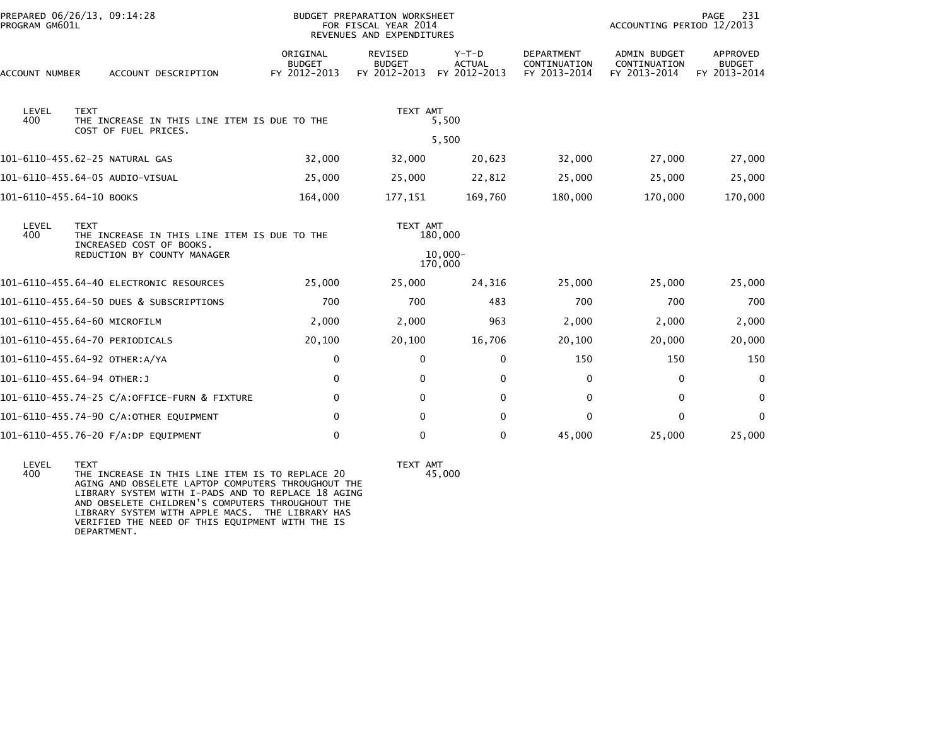| PROGRAM GM601L                                                                                      | PREPARED 06/26/13, 09:14:28                             |                                           | <b>BUDGET PREPARATION WORKSHEET</b><br>FOR FISCAL YEAR 2014<br>REVENUES AND EXPENDITURES | 231<br>PAGE<br>ACCOUNTING PERIOD 12/2013 |                                                   |                                                     |                                           |
|-----------------------------------------------------------------------------------------------------|---------------------------------------------------------|-------------------------------------------|------------------------------------------------------------------------------------------|------------------------------------------|---------------------------------------------------|-----------------------------------------------------|-------------------------------------------|
| ACCOUNT NUMBER                                                                                      | ACCOUNT DESCRIPTION                                     | ORIGINAL<br><b>BUDGET</b><br>FY 2012-2013 | REVISED<br><b>BUDGET</b><br>FY 2012-2013                                                 | Y-T-D<br><b>ACTUAL</b><br>FY 2012-2013   | <b>DEPARTMENT</b><br>CONTINUATION<br>FY 2013-2014 | <b>ADMIN BUDGET</b><br>CONTINUATION<br>FY 2013-2014 | APPROVED<br><b>BUDGET</b><br>FY 2013-2014 |
| LEVEL<br><b>TEXT</b><br>400<br>THE INCREASE IN THIS LINE ITEM IS DUE TO THE<br>COST OF FUEL PRICES. |                                                         | TEXT AMT<br>5,500                         |                                                                                          |                                          |                                                   |                                                     |                                           |
|                                                                                                     |                                                         | 5,500                                     |                                                                                          |                                          |                                                   |                                                     |                                           |
|                                                                                                     | 101-6110-455.62-25 NATURAL GAS                          | 32,000                                    | 32,000                                                                                   | 20,623                                   | 32,000                                            | 27,000                                              | 27,000                                    |
|                                                                                                     | 101-6110-455.64-05 AUDIO-VISUAL                         | 25,000                                    | 25,000                                                                                   | 22,812                                   | 25,000                                            | 25,000                                              | 25,000                                    |
| 101-6110-455.64-10 BOOKS                                                                            |                                                         | 164,000                                   | 177,151                                                                                  | 169,760                                  | 180,000                                           | 170,000                                             | 170,000                                   |
| LEVEL<br><b>TEXT</b><br>400<br>THE INCREASE IN THIS LINE ITEM IS DUE TO THE                         |                                                         |                                           | TEXT AMT                                                                                 | 180,000                                  |                                                   |                                                     |                                           |
|                                                                                                     | INCREASED COST OF BOOKS.<br>REDUCTION BY COUNTY MANAGER |                                           | $10.000 -$<br>170,000                                                                    |                                          |                                                   |                                                     |                                           |
|                                                                                                     | 101-6110-455.64-40 ELECTRONIC RESOURCES                 | 25,000                                    | 25,000                                                                                   | 24,316                                   | 25,000                                            | 25,000                                              | 25,000                                    |
|                                                                                                     | 101-6110-455.64-50 DUES & SUBSCRIPTIONS                 | 700                                       | 700                                                                                      | 483                                      | 700                                               | 700                                                 | 700                                       |
|                                                                                                     | 101-6110-455.64-60 MICROFILM                            | 2,000                                     | 2,000                                                                                    | 963                                      | 2,000                                             | 2,000                                               | 2,000                                     |
|                                                                                                     | 101-6110-455.64-70 PERIODICALS                          | 20,100                                    | 20,100                                                                                   | 16,706                                   | 20,100                                            | 20,000                                              | 20,000                                    |
|                                                                                                     | 101-6110-455.64-92 OTHER:A/YA                           | 0                                         | $\mathbf{0}$                                                                             | 0                                        | 150                                               | 150                                                 | 150                                       |
|                                                                                                     | 101-6110-455.64-94 OTHER:J                              | 0                                         | 0                                                                                        | 0                                        | 0                                                 | 0                                                   | 0                                         |
|                                                                                                     | 101-6110-455.74-25 C/A:OFFICE-FURN & FIXTURE            | $\mathbf 0$                               | $\Omega$                                                                                 | $\mathbf{0}$                             | $\Omega$                                          | $\Omega$                                            | $\mathbf{0}$                              |
|                                                                                                     | 101-6110-455.74-90 C/A:OTHER EQUIPMENT                  | 0                                         | $\Omega$                                                                                 | $\mathbf{0}$                             | $\Omega$                                          | 0                                                   | $\Omega$                                  |
|                                                                                                     | 101-6110-455.76-20 F/A:DP EQUIPMENT                     | 0                                         | 0                                                                                        | 0                                        | 45,000                                            | 25,000                                              | 25,000                                    |
|                                                                                                     |                                                         |                                           |                                                                                          |                                          |                                                   |                                                     |                                           |

 LEVEL TEXT TEXT AMT LEVEL TEXT<br>400 THE INCREASE IN THIS LINE ITEM IS TO REPLACE 20 AGING AND OBSELETE LAPTOP COMPUTERS THROUGHOUT THE LIBRARY SYSTEM WITH I-PADS AND TO REPLACE 18 AGING AND OBSELETE CHILDREN'S COMPUTERS THROUGHOUT THE LIBRARY SYSTEM WITH APPLE MACS. THE LIBRARY HAS VERIFIED THE NEED OF THIS EQUIPMENT WITH THE ISDEPARTMENT.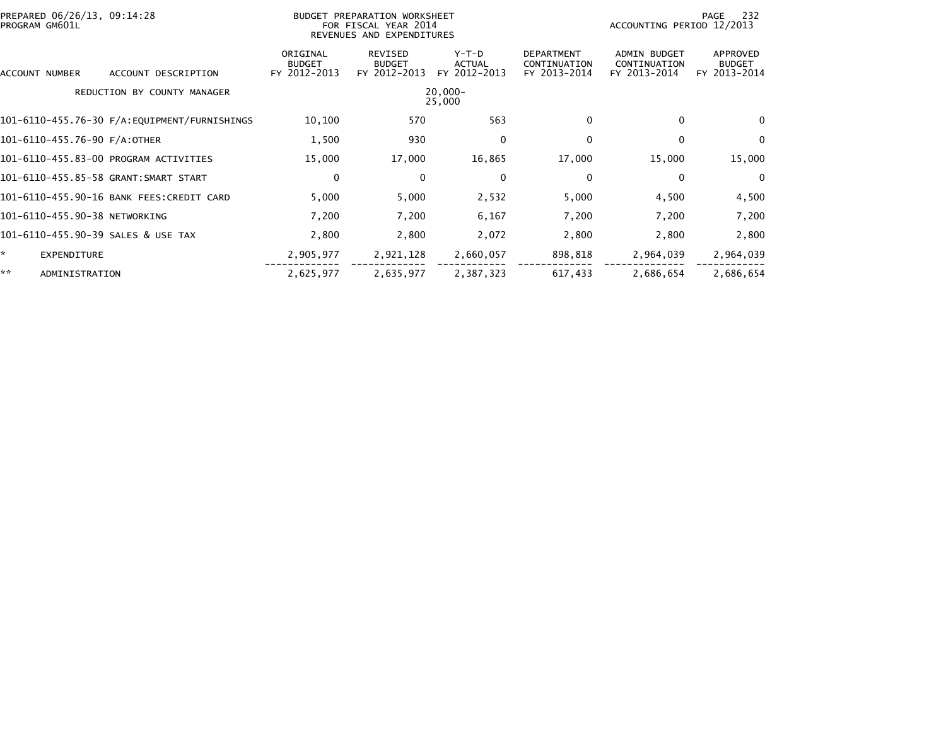| PREPARED 06/26/13, 09:14:28<br>PROGRAM GM601L |                             | BUDGET PREPARATION WORKSHEET<br>FOR FISCAL YEAR 2014<br>REVENUES AND EXPENDITURES |                                          |                                   |                                                   | 232<br>PAGE<br>ACCOUNTING PERIOD 12/2013     |                                           |  |
|-----------------------------------------------|-----------------------------|-----------------------------------------------------------------------------------|------------------------------------------|-----------------------------------|---------------------------------------------------|----------------------------------------------|-------------------------------------------|--|
| ACCOUNT NUMBER                                | ACCOUNT DESCRIPTION         | ORIGINAL<br><b>BUDGET</b><br>FY 2012-2013                                         | REVISED<br><b>BUDGET</b><br>FY 2012-2013 | $Y-T-D$<br>ACTUAL<br>FY 2012-2013 | <b>DEPARTMENT</b><br>CONTINUATION<br>FY 2013-2014 | ADMIN BUDGET<br>CONTINUATION<br>FY 2013-2014 | APPROVED<br><b>BUDGET</b><br>FY 2013-2014 |  |
|                                               | REDUCTION BY COUNTY MANAGER |                                                                                   |                                          | $20,000 -$<br>25,000              |                                                   |                                              |                                           |  |
|                                               |                             | 10,100                                                                            | 570                                      | 563                               | 0                                                 | 0                                            | $\Omega$                                  |  |
| 101-6110-455.76-90 F/A:OTHER                  |                             | 1,500                                                                             | 930                                      | 0                                 | 0                                                 | $\mathbf{0}$                                 | $\Omega$                                  |  |
| 101-6110-455.83-00 PROGRAM ACTIVITIES         |                             | 15,000                                                                            | 17,000                                   | 16,865                            | 17,000                                            | 15,000                                       | 15,000                                    |  |
| 101-6110-455.85-58 GRANT:SMART START          |                             | 0                                                                                 | 0                                        | $\mathbf 0$                       | 0                                                 | $\mathbf 0$                                  | $\Omega$                                  |  |
| 101-6110-455.90-16 BANK FEES: CREDIT CARD     |                             | 5,000                                                                             | 5,000                                    | 2,532                             | 5,000                                             | 4,500                                        | 4,500                                     |  |
| 101-6110-455.90-38 NETWORKING                 |                             | 7,200                                                                             | 7,200                                    | 6,167                             | 7,200                                             | 7,200                                        | 7,200                                     |  |
| 101-6110-455.90-39 SALES & USE TAX            |                             | 2,800                                                                             | 2,800                                    | 2,072                             | 2,800                                             | 2,800                                        | 2,800                                     |  |
| * .<br>EXPENDITURE                            |                             | 2,905,977                                                                         | 2,921,128                                | 2,660,057                         | 898,818                                           | 2,964,039                                    | 2,964,039                                 |  |
| **<br>ADMINISTRATION                          |                             | 2,625,977                                                                         | 2,635,977                                | 2,387,323                         | 617,433                                           | 2,686,654                                    | 2,686,654                                 |  |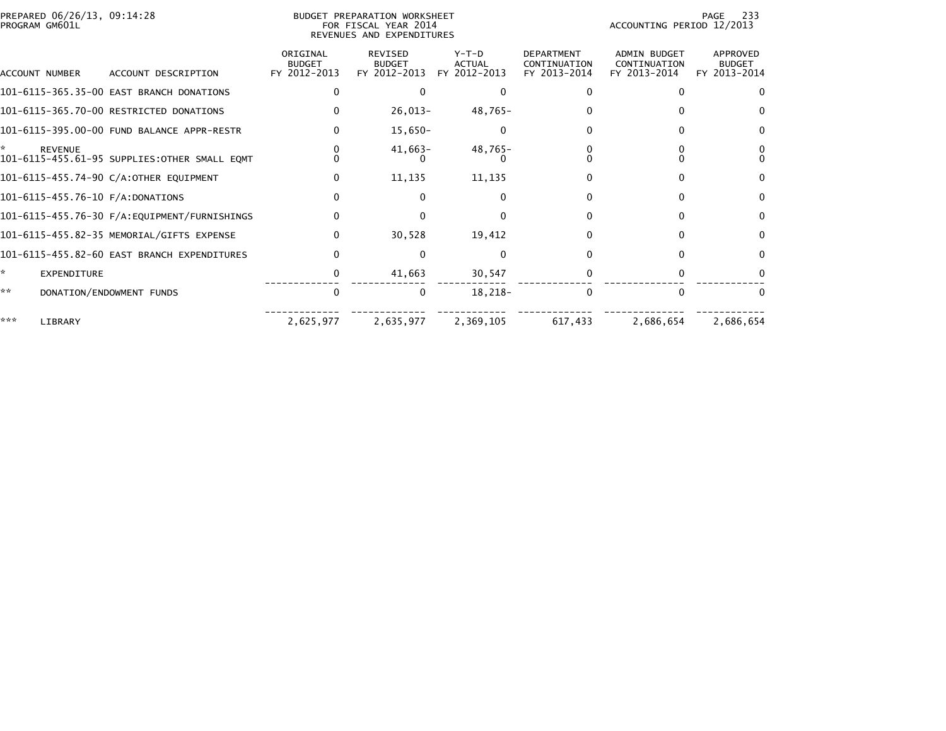|     | PREPARED 06/26/13, 09:14:28<br><b>BUDGET PREPARATION WORKSHEET</b><br>PROGRAM GM601L<br>FOR FISCAL YEAR 2014<br>REVENUES AND EXPENDITURES |                                              |                                           |                                                 |                                          |                                                   | 233<br>PAGE<br>ACCOUNTING PERIOD 12/2013            |                                           |  |
|-----|-------------------------------------------------------------------------------------------------------------------------------------------|----------------------------------------------|-------------------------------------------|-------------------------------------------------|------------------------------------------|---------------------------------------------------|-----------------------------------------------------|-------------------------------------------|--|
|     | ACCOUNT NUMBER                                                                                                                            | ACCOUNT DESCRIPTION                          | ORIGINAL<br><b>BUDGET</b><br>FY 2012-2013 | <b>REVISED</b><br><b>BUDGET</b><br>FY 2012-2013 | $Y-T-D$<br><b>ACTUAL</b><br>FY 2012-2013 | <b>DEPARTMENT</b><br>CONTINUATION<br>FY 2013-2014 | <b>ADMIN BUDGET</b><br>CONTINUATION<br>FY 2013-2014 | APPROVED<br><b>BUDGET</b><br>FY 2013-2014 |  |
|     |                                                                                                                                           |                                              |                                           |                                                 |                                          |                                                   |                                                     |                                           |  |
|     |                                                                                                                                           | 101-6115-365.35-00 EAST BRANCH DONATIONS     |                                           |                                                 | $\Omega$                                 |                                                   |                                                     |                                           |  |
|     |                                                                                                                                           | 101-6115-365.70-00 RESTRICTED DONATIONS      |                                           | $26,013-$                                       | 48,765-                                  |                                                   |                                                     |                                           |  |
|     |                                                                                                                                           | 101-6115-395.00-00 FUND BALANCE APPR-RESTR   |                                           | 15,650-                                         | 0                                        |                                                   |                                                     |                                           |  |
|     | <b>REVENUE</b>                                                                                                                            | 101-6115-455.61-95 SUPPLIES:OTHER SMALL EQMT |                                           | $41,663-$                                       | $48,765-$                                |                                                   |                                                     |                                           |  |
|     |                                                                                                                                           | 101-6115-455.74-90 C/A:OTHER EQUIPMENT       |                                           | 11,135                                          | 11,135                                   |                                                   |                                                     |                                           |  |
|     |                                                                                                                                           | 101-6115-455.76-10 F/A:DONATIONS             |                                           | 0                                               | ∩                                        |                                                   |                                                     | 0                                         |  |
|     |                                                                                                                                           |                                              |                                           |                                                 | $\Omega$                                 |                                                   |                                                     | 0                                         |  |
|     |                                                                                                                                           | 101-6115-455.82-35 MEMORIAL/GIFTS EXPENSE    | O                                         | 30,528                                          | 19,412                                   |                                                   |                                                     | <sup>0</sup>                              |  |
|     |                                                                                                                                           | 101-6115-455.82-60 EAST BRANCH EXPENDITURES  |                                           |                                                 |                                          |                                                   |                                                     |                                           |  |
| ×.  | <b>EXPENDITURE</b>                                                                                                                        |                                              |                                           | 41,663                                          | 30,547                                   |                                                   |                                                     |                                           |  |
| **  |                                                                                                                                           | DONATION/ENDOWMENT FUNDS                     | 0                                         | 0                                               | 18,218-                                  | $\Omega$                                          |                                                     | 0                                         |  |
| *** | LIBRARY                                                                                                                                   |                                              | 2,625,977                                 | 2,635,977                                       | 2,369,105                                | 617,433                                           | 2,686,654                                           | 2,686,654                                 |  |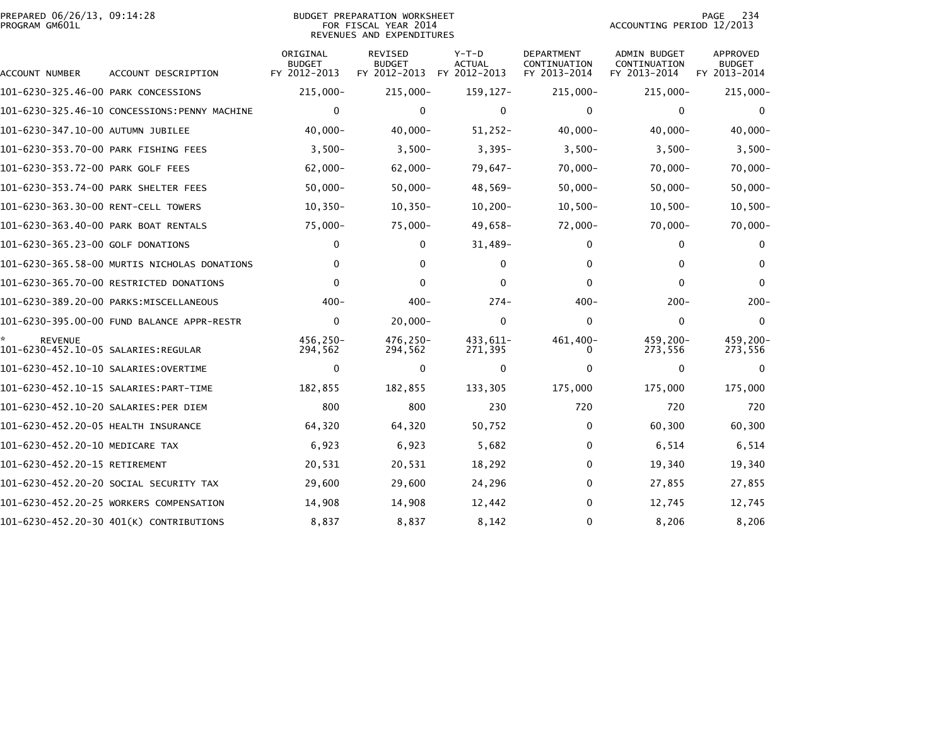|                | PREPARED 06/26/13, 09:14:28 |  |
|----------------|-----------------------------|--|
| PROGRAM GM601L |                             |  |

## PREPARED 06/26/13, 09:14:28 BUDGET PREPARATION WORKSHEET PAGE 234PROGRAM GM601L FOR FISCAL YEAR 2014 ACCOUNTING PERIOD 12/2013 REVENUES AND EXPENDITURES

PAGE 234<br>ACCOUNTING PERIOD 12/2013

| ACCOUNT NUMBER                                        | ACCOUNT DESCRIPTION                           | ORIGINAL<br><b>BUDGET</b><br>FY 2012-2013 | <b>REVISED</b><br><b>BUDGET</b><br>FY 2012-2013 | $Y-T-D$<br><b>ACTUAL</b><br>FY 2012-2013 | <b>DEPARTMENT</b><br>CONTINUATION<br>FY 2013-2014 | <b>ADMIN BUDGET</b><br>CONTINUATION<br>FY 2013-2014 | <b>APPROVED</b><br><b>BUDGET</b><br>FY 2013-2014 |
|-------------------------------------------------------|-----------------------------------------------|-------------------------------------------|-------------------------------------------------|------------------------------------------|---------------------------------------------------|-----------------------------------------------------|--------------------------------------------------|
| 101-6230-325.46-00 PARK CONCESSIONS                   |                                               | 215,000-                                  | 215,000-                                        | $159, 127 -$                             | 215,000-                                          | $215,000 -$                                         | 215,000-                                         |
|                                                       | 101-6230-325.46-10 CONCESSIONS: PENNY MACHINE | $\mathbf 0$                               | 0                                               | $\mathbf 0$                              | 0                                                 | 0                                                   | $\bf{0}$                                         |
| 101-6230-347.10-00 AUTUMN JUBILEE                     |                                               | $40,000 -$                                | $40,000 -$                                      | $51,252-$                                | $40,000 -$                                        | $40,000 -$                                          | $40,000 -$                                       |
| 101-6230-353.70-00 PARK FISHING FEES                  |                                               | $3,500-$                                  | $3,500-$                                        | $3,395-$                                 | $3,500-$                                          | $3,500-$                                            | $3,500-$                                         |
| 101-6230-353.72-00 PARK GOLF FEES                     |                                               | $62,000 -$                                | $62,000 -$                                      | $79,647-$                                | $70,000 -$                                        | $70,000 -$                                          | $70,000 -$                                       |
| 101-6230-353.74-00 PARK SHELTER FEES                  |                                               | $50,000 -$                                | $50,000 -$                                      | $48,569-$                                | $50,000 -$                                        | $50,000 -$                                          | $50,000 -$                                       |
| 101-6230-363.30-00 RENT-CELL TOWERS                   |                                               | $10,350-$                                 | $10, 350 -$                                     | $10,200-$                                | $10,500-$                                         | $10,500-$                                           | $10,500 -$                                       |
| 101-6230-363.40-00 PARK BOAT RENTALS                  |                                               | $75,000-$                                 | $75,000 -$                                      | $49,658-$                                | 72,000-                                           | $70,000 -$                                          | $70,000 -$                                       |
| 101-6230-365.23-00 GOLF DONATIONS                     |                                               | $\mathbf{0}$                              | $\mathbf{0}$                                    | $31,489-$                                | 0                                                 | 0                                                   | 0                                                |
|                                                       | 101-6230-365.58-00 MURTIS NICHOLAS DONATIONS  | 0                                         | 0                                               | $\Omega$                                 | 0                                                 | $\Omega$                                            | 0                                                |
|                                                       | 101-6230-365.70-00 RESTRICTED DONATIONS       | $\mathbf{0}$                              | $\Omega$                                        | 0                                        | 0                                                 | 0                                                   | $\Omega$                                         |
|                                                       | 101-6230-389.20-00 PARKS:MISCELLANEOUS        | $400 -$                                   | $400 -$                                         | $274-$                                   | $400 -$                                           | $200 -$                                             | $200 -$                                          |
|                                                       | 101-6230-395.00-00 FUND BALANCE APPR-RESTR    | $\mathbf 0$                               | $20,000 -$                                      | 0                                        | 0                                                 | 0                                                   | $\mathbf{0}$                                     |
| <b>REVENUE</b><br>101-6230-452.10-05 SALARIES:REGULAR |                                               | 456,250-<br>294,562                       | 476,250-<br>294,562                             | 433,611-<br>271,395                      | 461,400-<br>0                                     | 459,200-<br>273,556                                 | 459,200-<br>273,556                              |
| 101-6230-452.10-10 SALARIES: OVERTIME                 |                                               | $\mathbf 0$                               | 0                                               | $\mathbf 0$                              | 0                                                 | 0                                                   | 0                                                |
|                                                       |                                               | 182,855                                   | 182,855                                         | 133,305                                  | 175,000                                           | 175,000                                             | 175,000                                          |
| 101-6230-452.10-20 SALARIES:PER DIEM                  |                                               | 800                                       | 800                                             | 230                                      | 720                                               | 720                                                 | 720                                              |
| 101-6230-452.20-05 HEALTH INSURANCE                   |                                               | 64,320                                    | 64,320                                          | 50,752                                   | 0                                                 | 60,300                                              | 60,300                                           |
| 101-6230-452.20-10 MEDICARE TAX                       |                                               | 6,923                                     | 6,923                                           | 5,682                                    | 0                                                 | 6,514                                               | 6,514                                            |
| 101-6230-452.20-15 RETIREMENT                         |                                               | 20,531                                    | 20,531                                          | 18,292                                   | 0                                                 | 19,340                                              | 19,340                                           |
|                                                       | 101-6230-452.20-20 SOCIAL SECURITY TAX        | 29,600                                    | 29,600                                          | 24,296                                   | 0                                                 | 27,855                                              | 27,855                                           |
|                                                       | 101-6230-452.20-25 WORKERS COMPENSATION       | 14,908                                    | 14,908                                          | 12,442                                   | 0                                                 | 12,745                                              | 12,745                                           |
|                                                       | 101-6230-452.20-30 401(K) CONTRIBUTIONS       | 8,837                                     | 8,837                                           | 8,142                                    | 0                                                 | 8,206                                               | 8,206                                            |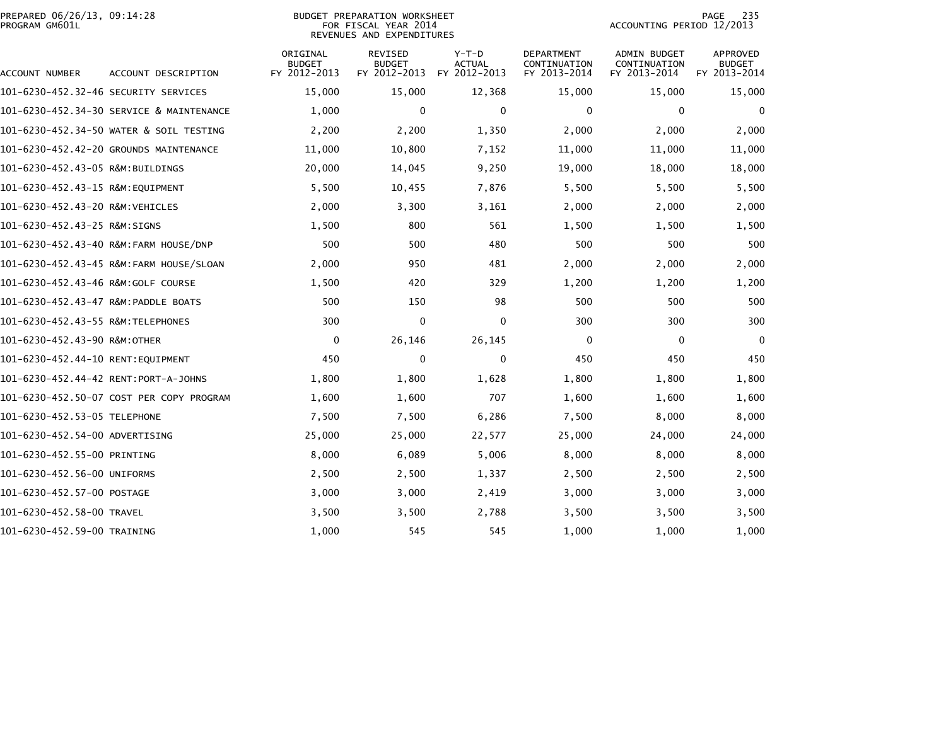| PREPARED 06/26/13, 09:14:28<br>PROGRAM GM601L |                                          |                                           | <b>BUDGET PREPARATION WORKSHEET</b><br>FOR FISCAL YEAR 2014<br>REVENUES AND EXPENDITURES |                                          | 235<br>PAGE<br>ACCOUNTING PERIOD 12/2013          |                                                     |                                                  |  |
|-----------------------------------------------|------------------------------------------|-------------------------------------------|------------------------------------------------------------------------------------------|------------------------------------------|---------------------------------------------------|-----------------------------------------------------|--------------------------------------------------|--|
| ACCOUNT NUMBER                                | ACCOUNT DESCRIPTION                      | ORIGINAL<br><b>BUDGET</b><br>FY 2012-2013 | REVISED<br><b>BUDGET</b><br>FY 2012-2013                                                 | $Y-T-D$<br><b>ACTUAL</b><br>FY 2012-2013 | <b>DEPARTMENT</b><br>CONTINUATION<br>FY 2013-2014 | <b>ADMIN BUDGET</b><br>CONTINUATION<br>FY 2013-2014 | <b>APPROVED</b><br><b>BUDGET</b><br>FY 2013-2014 |  |
|                                               |                                          | 15,000                                    | 15,000                                                                                   | 12,368                                   | 15,000                                            | 15,000                                              | 15,000                                           |  |
|                                               | 101-6230-452.34-30 SERVICE & MAINTENANCE | 1,000                                     | 0                                                                                        | 0                                        | 0                                                 | 0                                                   | 0                                                |  |
|                                               | 101-6230-452.34-50 WATER & SOIL TESTING  | 2,200                                     | 2,200                                                                                    | 1,350                                    | 2,000                                             | 2,000                                               | 2,000                                            |  |
|                                               | 101-6230-452.42-20 GROUNDS MAINTENANCE   | 11,000                                    | 10,800                                                                                   | 7,152                                    | 11,000                                            | 11,000                                              | 11,000                                           |  |
| 101-6230-452.43-05 R&M:BUILDINGS              |                                          | 20,000                                    | 14,045                                                                                   | 9,250                                    | 19,000                                            | 18,000                                              | 18,000                                           |  |
| 101-6230-452.43-15 R&M:EQUIPMENT              |                                          | 5,500                                     | 10,455                                                                                   | 7,876                                    | 5,500                                             | 5,500                                               | 5,500                                            |  |
| 101-6230-452.43-20 R&M:VEHICLES               |                                          | 2,000                                     | 3,300                                                                                    | 3,161                                    | 2,000                                             | 2,000                                               | 2,000                                            |  |
| 101-6230-452.43-25 R&M:SIGNS                  |                                          | 1,500                                     | 800                                                                                      | 561                                      | 1,500                                             | 1,500                                               | 1,500                                            |  |
|                                               | 101-6230-452.43-40 R&M:FARM HOUSE/DNP    | 500                                       | 500                                                                                      | 480                                      | 500                                               | 500                                                 | 500                                              |  |
|                                               | 101-6230-452.43-45 R&M:FARM HOUSE/SLOAN  | 2,000                                     | 950                                                                                      | 481                                      | 2,000                                             | 2,000                                               | 2,000                                            |  |
|                                               |                                          | 1,500                                     | 420                                                                                      | 329                                      | 1,200                                             | 1,200                                               | 1,200                                            |  |
|                                               |                                          | 500                                       | 150                                                                                      | 98                                       | 500                                               | 500                                                 | 500                                              |  |
| 101-6230-452.43-55 R&M:TELEPHONES             |                                          | 300                                       | $\mathbf 0$                                                                              | $\Omega$                                 | 300                                               | 300                                                 | 300                                              |  |
| 101-6230-452.43-90 R&M:OTHER                  |                                          | 0                                         | 26,146                                                                                   | 26,145                                   | 0                                                 | 0                                                   | $\Omega$                                         |  |
| 101-6230-452.44-10 RENT:EQUIPMENT             |                                          | 450                                       | $\mathbf 0$                                                                              | $\mathbf 0$                              | 450                                               | 450                                                 | 450                                              |  |
| 101-6230-452.44-42 RENT:PORT-A-JOHNS          |                                          | 1,800                                     | 1,800                                                                                    | 1,628                                    | 1,800                                             | 1,800                                               | 1,800                                            |  |
|                                               | 101-6230-452.50-07 COST PER COPY PROGRAM | 1,600                                     | 1,600                                                                                    | 707                                      | 1,600                                             | 1,600                                               | 1,600                                            |  |
| 101-6230-452.53-05 TELEPHONE                  |                                          | 7,500                                     | 7,500                                                                                    | 6,286                                    | 7,500                                             | 8,000                                               | 8,000                                            |  |
| 101-6230-452.54-00 ADVERTISING                |                                          | 25,000                                    | 25,000                                                                                   | 22,577                                   | 25,000                                            | 24,000                                              | 24,000                                           |  |
| 101-6230-452.55-00 PRINTING                   |                                          | 8,000                                     | 6,089                                                                                    | 5,006                                    | 8,000                                             | 8,000                                               | 8,000                                            |  |
| 101-6230-452.56-00 UNIFORMS                   |                                          | 2,500                                     | 2,500                                                                                    | 1,337                                    | 2,500                                             | 2,500                                               | 2,500                                            |  |
| 101-6230-452.57-00 POSTAGE                    |                                          | 3,000                                     | 3,000                                                                                    | 2,419                                    | 3,000                                             | 3,000                                               | 3,000                                            |  |
| 101-6230-452.58-00 TRAVEL                     |                                          | 3,500                                     | 3,500                                                                                    | 2,788                                    | 3,500                                             | 3,500                                               | 3,500                                            |  |
| 101-6230-452.59-00 TRAINING                   |                                          | 1,000                                     | 545                                                                                      | 545                                      | 1,000                                             | 1,000                                               | 1,000                                            |  |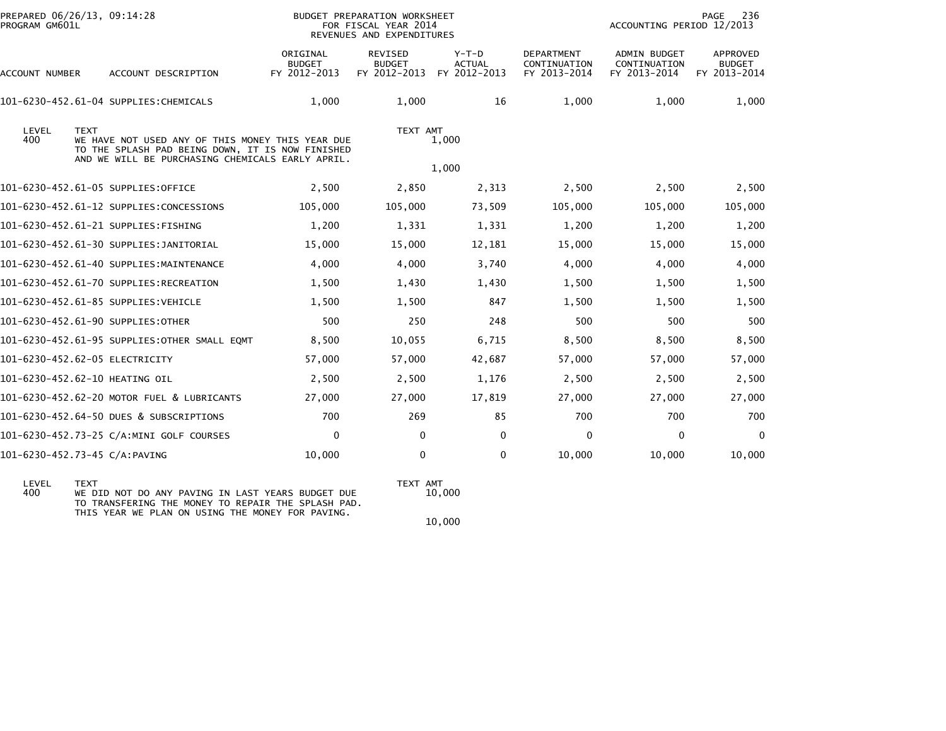| PREPARED 06/26/13, 09:14:28<br>PROGRAM GM601L |                                           |                                                                                                                                                                                                           |                                        |                                                                                                                 | ACCOUNTING PERIOD 12/2013                           | PAGE<br>236                               |
|-----------------------------------------------|-------------------------------------------|-----------------------------------------------------------------------------------------------------------------------------------------------------------------------------------------------------------|----------------------------------------|-----------------------------------------------------------------------------------------------------------------|-----------------------------------------------------|-------------------------------------------|
| ACCOUNT NUMBER<br>ACCOUNT DESCRIPTION         | ORIGINAL<br><b>BUDGET</b><br>FY 2012-2013 | <b>REVISED</b><br><b>BUDGET</b><br>FY 2012-2013                                                                                                                                                           | Y-T-D<br><b>ACTUAL</b><br>FY 2012-2013 | <b>DEPARTMENT</b><br>CONTINUATION<br>FY 2013-2014                                                               | <b>ADMIN BUDGET</b><br>CONTINUATION<br>FY 2013-2014 | APPROVED<br><b>BUDGET</b><br>FY 2013-2014 |
| 101-6230-452.61-04 SUPPLIES:CHEMICALS         | 1,000                                     | 1,000                                                                                                                                                                                                     | 16                                     | 1,000                                                                                                           | 1,000                                               | 1,000                                     |
| <b>TEXT</b>                                   |                                           |                                                                                                                                                                                                           |                                        |                                                                                                                 |                                                     |                                           |
| 101-6230-452.61-05 SUPPLIES:OFFICE            | 2,500                                     | 2,850                                                                                                                                                                                                     | 2,313                                  | 2,500                                                                                                           | 2,500                                               | 2,500                                     |
| 101-6230-452.61-12 SUPPLIES:CONCESSIONS       | 105,000                                   | 105,000                                                                                                                                                                                                   | 73,509                                 | 105,000                                                                                                         | 105,000                                             | 105,000                                   |
| 101-6230-452.61-21 SUPPLIES:FISHING           | 1,200                                     | 1,331                                                                                                                                                                                                     | 1,331                                  | 1,200                                                                                                           | 1,200                                               | 1,200                                     |
| 101-6230-452.61-30 SUPPLIES:JANITORIAL        | 15,000                                    | 15,000                                                                                                                                                                                                    | 12,181                                 | 15,000                                                                                                          | 15,000                                              | 15,000                                    |
| 101-6230-452.61-40 SUPPLIES:MAINTENANCE       | 4,000                                     | 4,000                                                                                                                                                                                                     | 3,740                                  | 4,000                                                                                                           | 4,000                                               | 4,000                                     |
| 101-6230-452.61-70 SUPPLIES:RECREATION        | 1,500                                     | 1,430                                                                                                                                                                                                     | 1,430                                  | 1,500                                                                                                           | 1,500                                               | 1,500                                     |
| 101-6230-452.61-85 SUPPLIES: VEHICLE          | 1,500                                     | 1,500                                                                                                                                                                                                     | 847                                    | 1,500                                                                                                           | 1,500                                               | 1,500                                     |
| 101-6230-452.61-90 SUPPLIES: OTHER            | 500                                       | 250                                                                                                                                                                                                       | 248                                    | 500                                                                                                             | 500                                                 | 500                                       |
|                                               | 8,500                                     | 10,055                                                                                                                                                                                                    | 6,715                                  | 8,500                                                                                                           | 8,500                                               | 8,500                                     |
| 101-6230-452.62-05 ELECTRICITY                | 57,000                                    | 57,000                                                                                                                                                                                                    | 42,687                                 | 57,000                                                                                                          | 57,000                                              | 57,000                                    |
| 101-6230-452.62-10 HEATING OIL                | 2,500                                     | 2,500                                                                                                                                                                                                     | 1,176                                  | 2,500                                                                                                           | 2,500                                               | 2,500                                     |
| 101-6230-452.62-20 MOTOR FUEL & LUBRICANTS    | 27,000                                    | 27,000                                                                                                                                                                                                    | 17,819                                 | 27,000                                                                                                          | 27,000                                              | 27,000                                    |
| 101-6230-452.64-50 DUES & SUBSCRIPTIONS       | 700                                       | 269                                                                                                                                                                                                       | 85                                     | 700                                                                                                             | 700                                                 | 700                                       |
| 101-6230-452.73-25 C/A:MINI GOLF COURSES      | $\Omega$                                  | $\mathbf{0}$                                                                                                                                                                                              | $\mathbf{0}$                           | $\mathbf 0$                                                                                                     | 0                                                   | $\mathbf 0$                               |
| 101-6230-452.73-45 C/A:PAVING                 | 10,000                                    | 0                                                                                                                                                                                                         | $\Omega$                               | 10,000                                                                                                          | 10,000                                              | 10,000                                    |
|                                               |                                           | WE HAVE NOT USED ANY OF THIS MONEY THIS YEAR DUE<br>TO THE SPLASH PAD BEING DOWN, IT IS NOW FINISHED<br>AND WE WILL BE PURCHASING CHEMICALS EARLY APRIL.<br>101-6230-452.61-95 SUPPLIES: OTHER SMALL EQMT |                                        | BUDGET PREPARATION WORKSHEET<br>FOR FISCAL YEAR 2014<br>REVENUES AND EXPENDITURES<br>TEXT AMT<br>1,000<br>1,000 |                                                     |                                           |

LEVEL TEXT TEXT AMT 100 ANY PAVING IN LAST YEARS BUDGET DUE TEXT AMT<br>400 WE DID NOT DO ANY PAVING IN LAST YEARS BUDGET DUE 10,000<br>TO TRANSFERING THE MONEY TO REPAIR THE SPLASH PAD. THIS YEAR WE PLAN ON USING THE MONEY FOR PAVING.

TEXT AMT<br>10,000

 $10\,,000$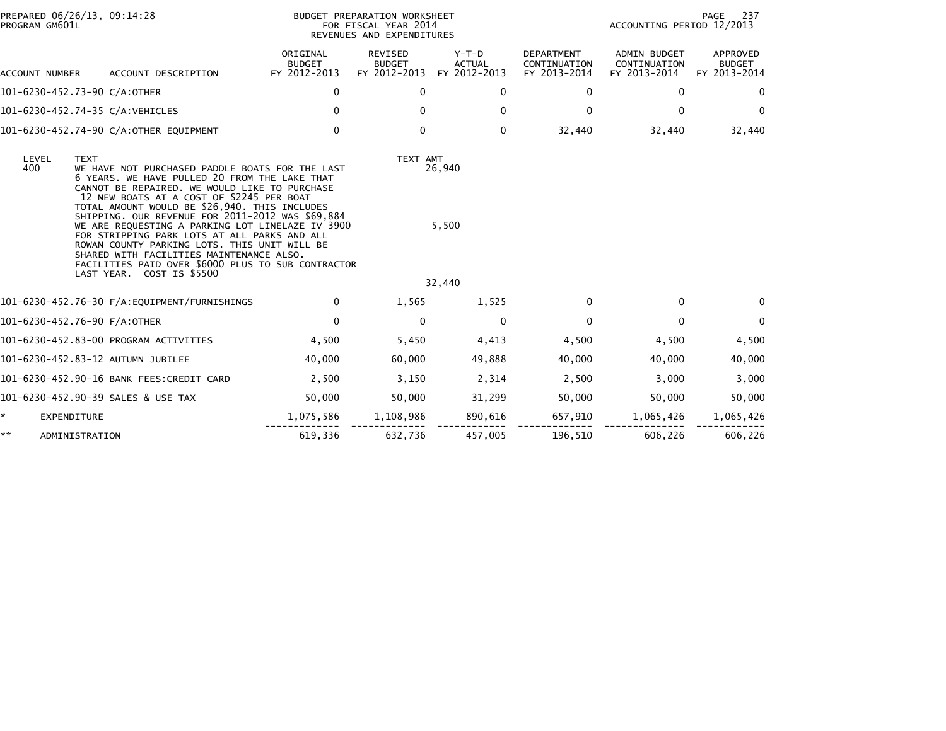| PROGRAM GM601L | PREPARED 06/26/13, 09:14:28                                                                                                                                                                                                                                                                                                                                                                                                                                                                                                                                                                           |                                           | BUDGET PREPARATION WORKSHEET<br>FOR FISCAL YEAR 2014<br>REVENUES AND EXPENDITURES |                                          |                                                   | ACCOUNTING PERIOD 12/2013                           | - 237<br>PAGE                             |
|----------------|-------------------------------------------------------------------------------------------------------------------------------------------------------------------------------------------------------------------------------------------------------------------------------------------------------------------------------------------------------------------------------------------------------------------------------------------------------------------------------------------------------------------------------------------------------------------------------------------------------|-------------------------------------------|-----------------------------------------------------------------------------------|------------------------------------------|---------------------------------------------------|-----------------------------------------------------|-------------------------------------------|
| ACCOUNT NUMBER | ACCOUNT DESCRIPTION                                                                                                                                                                                                                                                                                                                                                                                                                                                                                                                                                                                   | ORIGINAL<br><b>BUDGET</b><br>FY 2012-2013 | REVISED<br><b>BUDGET</b><br>FY 2012-2013                                          | $Y-T-D$<br><b>ACTUAL</b><br>FY 2012-2013 | <b>DEPARTMENT</b><br>CONTINUATION<br>FY 2013-2014 | <b>ADMIN BUDGET</b><br>CONTINUATION<br>FY 2013-2014 | APPROVED<br><b>BUDGET</b><br>FY 2013-2014 |
|                | 101-6230-452.73-90 C/A:OTHER                                                                                                                                                                                                                                                                                                                                                                                                                                                                                                                                                                          | 0                                         | $\mathbf{0}$                                                                      | 0                                        | 0                                                 | 0                                                   | 0                                         |
|                | 101-6230-452.74-35 C/A:VEHICLES                                                                                                                                                                                                                                                                                                                                                                                                                                                                                                                                                                       | $\mathbf{0}$                              | 0                                                                                 | $\mathbf{0}$                             | 0                                                 | 0                                                   | $\Omega$                                  |
|                | 101-6230-452.74-90 C/A:OTHER EQUIPMENT                                                                                                                                                                                                                                                                                                                                                                                                                                                                                                                                                                | 0                                         | $\mathbf{0}$                                                                      | 0                                        | 32,440                                            | 32,440                                              | 32,440                                    |
| LEVEL<br>400   | <b>TEXT</b><br>WE HAVE NOT PURCHASED PADDLE BOATS FOR THE LAST<br>6 YEARS, WE HAVE PULLED 20 FROM THE LAKE THAT<br>CANNOT BE REPAIRED. WE WOULD LIKE TO PURCHASE<br>12 NEW BOATS AT A COST OF \$2245 PER BOAT<br>TOTAL AMOUNT WOULD BE \$26,940. THIS INCLUDES<br>SHIPPING. OUR REVENUE FOR 2011-2012 WAS \$69,884<br>WE ARE REQUESTING A PARKING LOT LINELAZE IV 3900<br>FOR STRIPPING PARK LOTS AT ALL PARKS AND ALL<br>ROWAN COUNTY PARKING LOTS. THIS UNIT WILL BE<br>SHARED WITH FACILITIES MAINTENANCE ALSO.<br>FACILITIES PAID OVER \$6000 PLUS TO SUB CONTRACTOR<br>LAST YEAR. COST IS \$5500 |                                           | TEXT AMT                                                                          | 26,940<br>5,500<br>32,440                |                                                   |                                                     |                                           |
|                |                                                                                                                                                                                                                                                                                                                                                                                                                                                                                                                                                                                                       | $\Omega$                                  | 1,565                                                                             | 1,525                                    | 0                                                 | 0                                                   | $\Omega$                                  |
|                | 101-6230-452.76-90 F/A:OTHER                                                                                                                                                                                                                                                                                                                                                                                                                                                                                                                                                                          | $\mathbf 0$                               | 0                                                                                 | 0                                        | 0                                                 | 0                                                   | $\mathbf 0$                               |
|                | 101-6230-452.83-00 PROGRAM ACTIVITIES                                                                                                                                                                                                                                                                                                                                                                                                                                                                                                                                                                 | 4,500                                     | 5,450                                                                             | 4,413                                    | 4,500                                             | 4,500                                               | 4,500                                     |
|                | 101-6230-452.83-12 AUTUMN JUBILEE                                                                                                                                                                                                                                                                                                                                                                                                                                                                                                                                                                     | 40,000                                    | 60,000                                                                            | 49,888                                   | 40,000                                            | 40,000                                              | 40,000                                    |
|                | 101-6230-452.90-16 BANK FEES:CREDIT CARD                                                                                                                                                                                                                                                                                                                                                                                                                                                                                                                                                              | 2,500                                     | 3,150                                                                             | 2,314                                    | 2,500                                             | 3,000                                               | 3,000                                     |
|                | 101-6230-452.90-39 SALES & USE TAX                                                                                                                                                                                                                                                                                                                                                                                                                                                                                                                                                                    | 50,000                                    | 50,000                                                                            | 31,299                                   | 50,000                                            | 50,000                                              | 50,000                                    |
| *              | <b>EXPENDITURE</b>                                                                                                                                                                                                                                                                                                                                                                                                                                                                                                                                                                                    | 1,075,586                                 | 1,108,986                                                                         | 890,616                                  | 657,910                                           | 1,065,426                                           | 1,065,426                                 |
| **             | ADMINISTRATION                                                                                                                                                                                                                                                                                                                                                                                                                                                                                                                                                                                        | 619,336                                   | 632,736                                                                           | 457,005                                  | 196,510                                           | 606,226                                             | 606,226                                   |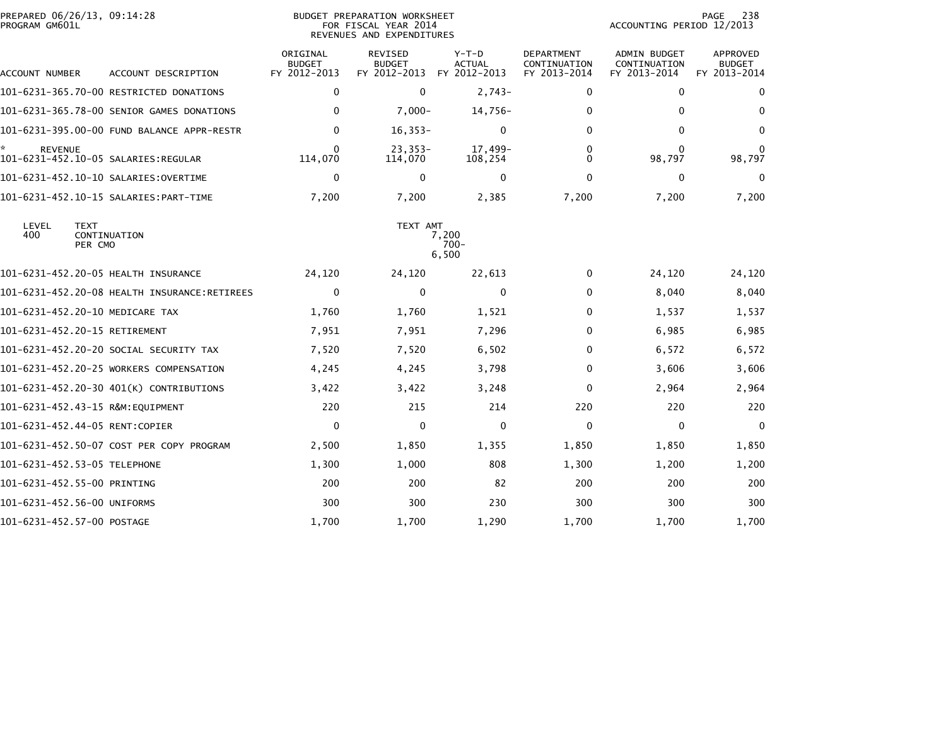| PREPARED 06/26/13, 09:14:28<br>PROGRAM GM601L |                                           | <b>BUDGET PREPARATION WORKSHEET</b><br>FOR FISCAL YEAR 2014<br>REVENUES AND EXPENDITURES |                                          |                                          |                                            | 238<br>PAGE<br>ACCOUNTING PERIOD 12/2013            |                                           |  |
|-----------------------------------------------|-------------------------------------------|------------------------------------------------------------------------------------------|------------------------------------------|------------------------------------------|--------------------------------------------|-----------------------------------------------------|-------------------------------------------|--|
| ACCOUNT NUMBER                                | ACCOUNT DESCRIPTION                       | ORIGINAL<br><b>BUDGET</b><br>FY 2012-2013                                                | REVISED<br><b>BUDGET</b><br>FY 2012-2013 | $Y-T-D$<br><b>ACTUAL</b><br>FY 2012-2013 | DEPARTMENT<br>CONTINUATION<br>FY 2013-2014 | <b>ADMIN BUDGET</b><br>CONTINUATION<br>FY 2013-2014 | APPROVED<br><b>BUDGET</b><br>FY 2013-2014 |  |
|                                               | 101-6231-365.70-00 RESTRICTED DONATIONS   | 0                                                                                        | 0                                        | $2,743-$                                 | 0                                          | 0                                                   | $\mathbf{0}$                              |  |
|                                               | 101-6231-365.78-00 SENIOR GAMES DONATIONS | $\mathbf{0}$                                                                             | $7,000 -$                                | 14,756-                                  | 0                                          | $\Omega$                                            | $\bf{0}$                                  |  |
|                                               |                                           | $\mathbf{0}$                                                                             | $16, 353 -$                              | 0                                        | 0                                          | 0                                                   | $\bf{0}$                                  |  |
| <b>REVENUE</b>                                |                                           | $\mathbf{0}$<br>114,070                                                                  | $23,353-$<br>114,070                     | 17,499-<br>108,254                       | 0<br>$\Omega$                              | $\Omega$<br>98,797                                  | 0<br>98,797                               |  |
|                                               | 101-6231-452.10-10 SALARIES:OVERTIME      | 0                                                                                        | 0                                        | 0                                        | 0                                          | 0                                                   | 0                                         |  |
|                                               |                                           | 7,200                                                                                    | 7,200                                    | 2,385                                    | 7,200                                      | 7,200                                               | 7,200                                     |  |
| LEVEL<br><b>TEXT</b><br>400<br>PER CMO        | CONTINUATION                              |                                                                                          | TEXT AMT                                 | 7,200<br>$700 -$<br>6,500                |                                            |                                                     |                                           |  |
| 101-6231-452.20-05 HEALTH INSURANCE           |                                           | 24,120                                                                                   | 24,120                                   | 22,613                                   | 0                                          | 24,120                                              | 24,120                                    |  |
|                                               |                                           | $\mathbf 0$                                                                              | $\mathbf 0$                              | 0                                        | $\Omega$                                   | 8,040                                               | 8,040                                     |  |
| 101-6231-452.20-10 MEDICARE TAX               |                                           | 1,760                                                                                    | 1,760                                    | 1,521                                    | 0                                          | 1,537                                               | 1,537                                     |  |
| 101-6231-452.20-15 RETIREMENT                 |                                           | 7,951                                                                                    | 7,951                                    | 7,296                                    | 0                                          | 6,985                                               | 6,985                                     |  |
|                                               | 101-6231-452.20-20 SOCIAL SECURITY TAX    | 7,520                                                                                    | 7,520                                    | 6,502                                    | 0                                          | 6,572                                               | 6,572                                     |  |
|                                               | 101-6231-452.20-25 WORKERS COMPENSATION   | 4,245                                                                                    | 4,245                                    | 3,798                                    | 0                                          | 3,606                                               | 3,606                                     |  |
|                                               | 101-6231-452.20-30 401(K) CONTRIBUTIONS   | 3,422                                                                                    | 3,422                                    | 3,248                                    | 0                                          | 2,964                                               | 2,964                                     |  |
| 101-6231-452.43-15 R&M:EQUIPMENT              |                                           | 220                                                                                      | 215                                      | 214                                      | 220                                        | 220                                                 | 220                                       |  |
| 101-6231-452.44-05 RENT:COPIER                |                                           | $\mathbf 0$                                                                              | $\mathbf 0$                              | 0                                        | $\mathbf{0}$                               | 0                                                   | 0                                         |  |
|                                               | 101-6231-452.50-07 COST PER COPY PROGRAM  | 2,500                                                                                    | 1,850                                    | 1,355                                    | 1,850                                      | 1,850                                               | 1,850                                     |  |
| 101-6231-452.53-05 TELEPHONE                  |                                           | 1,300                                                                                    | 1,000                                    | 808                                      | 1,300                                      | 1,200                                               | 1,200                                     |  |
| 101-6231-452.55-00 PRINTING                   |                                           | 200                                                                                      | 200                                      | 82                                       | 200                                        | 200                                                 | 200                                       |  |
| 101-6231-452.56-00 UNIFORMS                   |                                           | 300                                                                                      | 300                                      | 230                                      | 300                                        | 300                                                 | 300                                       |  |
| 101-6231-452.57-00 POSTAGE                    |                                           | 1,700                                                                                    | 1,700                                    | 1,290                                    | 1,700                                      | 1,700                                               | 1,700                                     |  |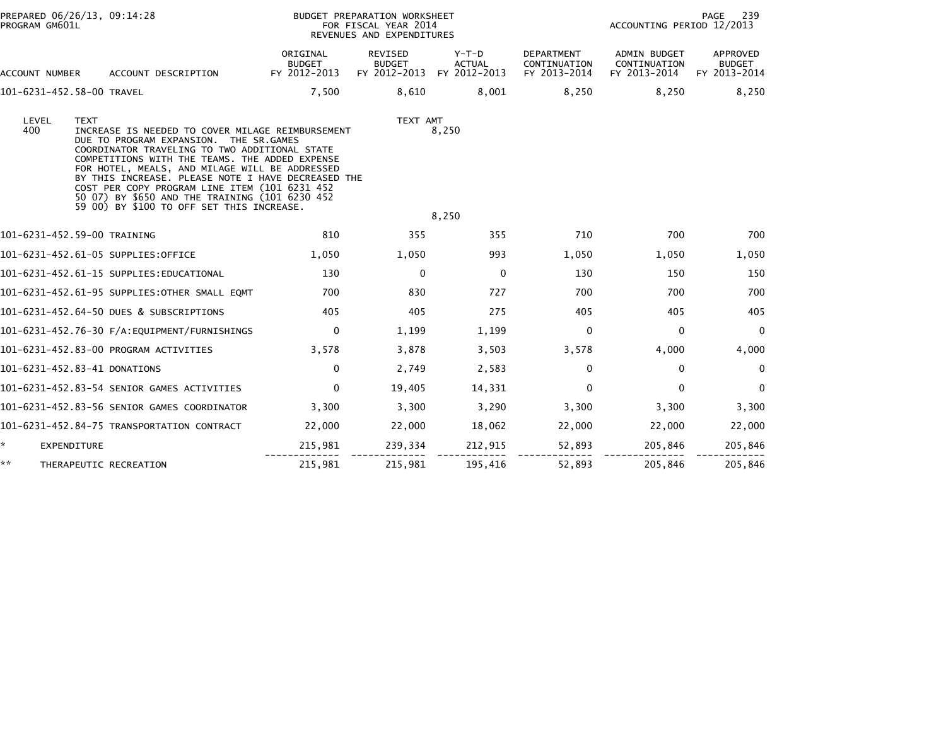| PROGRAM GM601L            | PREPARED 06/26/13, 09:14:28                                                                                                                                                                                                                                                                                                                                                                                                                                          |                                           | BUDGET PREPARATION WORKSHEET<br>FOR FISCAL YEAR 2014<br>REVENUES AND EXPENDITURES |                                        | 239<br>PAGE<br>ACCOUNTING PERIOD 12/2013   |                                              |                                           |
|---------------------------|----------------------------------------------------------------------------------------------------------------------------------------------------------------------------------------------------------------------------------------------------------------------------------------------------------------------------------------------------------------------------------------------------------------------------------------------------------------------|-------------------------------------------|-----------------------------------------------------------------------------------|----------------------------------------|--------------------------------------------|----------------------------------------------|-------------------------------------------|
| ACCOUNT NUMBER            | ACCOUNT DESCRIPTION                                                                                                                                                                                                                                                                                                                                                                                                                                                  | ORIGINAL<br><b>BUDGET</b><br>FY 2012-2013 | REVISED<br><b>BUDGET</b><br>FY 2012-2013                                          | Y-T-D<br><b>ACTUAL</b><br>FY 2012-2013 | DEPARTMENT<br>CONTINUATION<br>FY 2013-2014 | ADMIN BUDGET<br>CONTINUATION<br>FY 2013-2014 | APPROVED<br><b>BUDGET</b><br>FY 2013-2014 |
| 101-6231-452.58-00 TRAVEL |                                                                                                                                                                                                                                                                                                                                                                                                                                                                      | 7,500                                     | 8.610                                                                             | 8.001                                  | 8,250                                      | 8.250                                        | 8,250                                     |
| LEVEL<br>400              | <b>TEXT</b><br>INCREASE IS NEEDED TO COVER MILAGE REIMBURSEMENT<br>DUE TO PROGRAM EXPANSION. THE SR.GAMES<br>COORDINATOR TRAVELING TO TWO ADDITIONAL STATE<br>COMPETITIONS WITH THE TEAMS. THE ADDED EXPENSE<br>FOR HOTEL, MEALS, AND MILAGE WILL BE ADDRESSED<br>BY THIS INCREASE. PLEASE NOTE I HAVE DECREASED THE<br>COST PER COPY PROGRAM LINE ITEM (101 6231 452<br>50 07) BY \$650 AND THE TRAINING (101 6230 452<br>59 00) BY \$100 TO OFF SET THIS INCREASE. |                                           | TEXT AMT                                                                          | 8,250                                  |                                            |                                              |                                           |
|                           |                                                                                                                                                                                                                                                                                                                                                                                                                                                                      |                                           |                                                                                   | 8,250                                  |                                            |                                              |                                           |
|                           | 101-6231-452.59-00 TRAINING                                                                                                                                                                                                                                                                                                                                                                                                                                          | 810                                       | 355                                                                               | 355                                    | 710                                        | 700                                          | 700                                       |
|                           | 101-6231-452.61-05 SUPPLIES:OFFICE                                                                                                                                                                                                                                                                                                                                                                                                                                   | 1,050                                     | 1,050                                                                             | 993                                    | 1,050                                      | 1,050                                        | 1,050                                     |
|                           | 101-6231-452.61-15 SUPPLIES:EDUCATIONAL                                                                                                                                                                                                                                                                                                                                                                                                                              | 130                                       | $\mathbf{0}$                                                                      | $\mathbf 0$                            | 130                                        | 150                                          | 150                                       |
|                           | 101-6231-452.61-95 SUPPLIES:OTHER SMALL EQMT                                                                                                                                                                                                                                                                                                                                                                                                                         | 700                                       | 830                                                                               | 727                                    | 700                                        | 700                                          | 700                                       |
|                           | 101-6231-452.64-50 DUES & SUBSCRIPTIONS                                                                                                                                                                                                                                                                                                                                                                                                                              | 405                                       | 405                                                                               | 275                                    | 405                                        | 405                                          | 405                                       |
|                           | 101-6231-452.76-30 F/A:EQUIPMENT/FURNISHINGS                                                                                                                                                                                                                                                                                                                                                                                                                         | 0                                         | 1,199                                                                             | 1,199                                  | $\mathbf{0}$                               | $\Omega$                                     | $\mathbf{0}$                              |
|                           | 101-6231-452.83-00 PROGRAM ACTIVITIES                                                                                                                                                                                                                                                                                                                                                                                                                                | 3,578                                     | 3,878                                                                             | 3,503                                  | 3,578                                      | 4,000                                        | 4,000                                     |
|                           | 101-6231-452.83-41 DONATIONS                                                                                                                                                                                                                                                                                                                                                                                                                                         | $\mathbf{0}$                              | 2,749                                                                             | 2,583                                  | $\mathbf{0}$                               | 0                                            | $\Omega$                                  |
|                           | 101-6231-452.83-54 SENIOR GAMES ACTIVITIES                                                                                                                                                                                                                                                                                                                                                                                                                           | $\mathbf 0$                               | 19,405                                                                            | 14,331                                 | $\mathbf{0}$                               | $\mathbf{0}$                                 | $\mathbf{0}$                              |
|                           | 101-6231-452.83-56 SENIOR GAMES COORDINATOR                                                                                                                                                                                                                                                                                                                                                                                                                          | 3,300                                     | 3,300                                                                             | 3,290                                  | 3,300                                      | 3,300                                        | 3,300                                     |
|                           | 101-6231-452.84-75 TRANSPORTATION CONTRACT                                                                                                                                                                                                                                                                                                                                                                                                                           | 22,000                                    | 22,000                                                                            | 18,062                                 | 22,000                                     | 22,000                                       | 22,000                                    |
| ŵ.<br>EXPENDITURE         |                                                                                                                                                                                                                                                                                                                                                                                                                                                                      | 215,981                                   | 239,334                                                                           | 212,915                                | 52,893                                     | 205,846                                      | 205,846                                   |
| **                        | THERAPEUTIC RECREATION                                                                                                                                                                                                                                                                                                                                                                                                                                               | 215,981                                   | 215,981                                                                           | 195,416                                | 52,893                                     | 205,846                                      | 205,846                                   |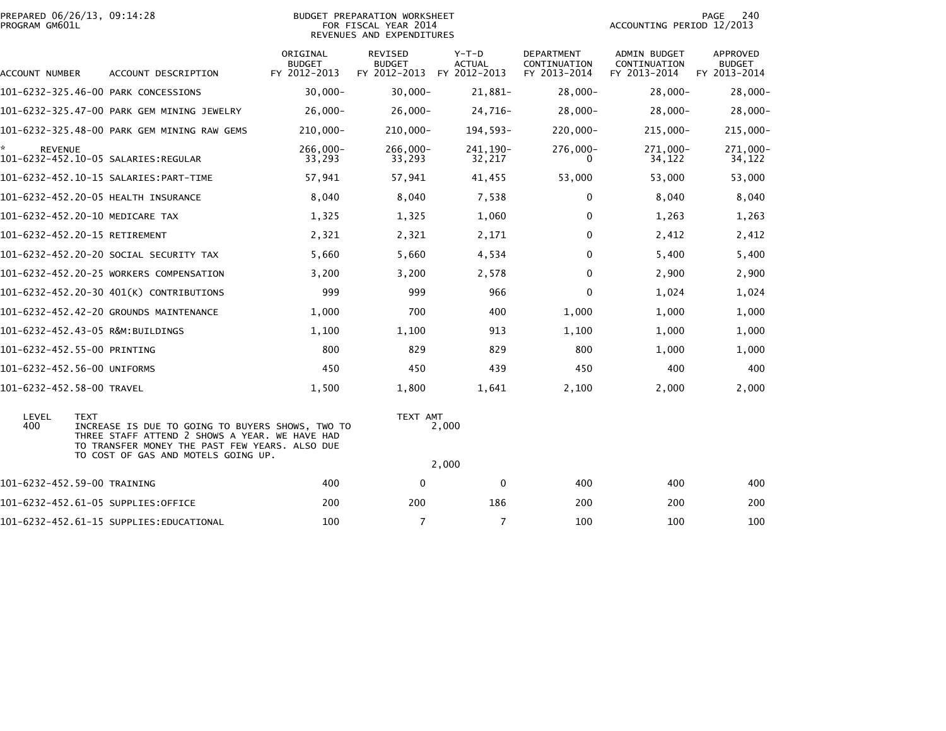| PROGRAM GM601L            | PREPARED 06/26/13, 09:14:28<br><b>BUDGET PREPARATION WORKSHEET</b><br>FOR FISCAL YEAR 2014<br>REVENUES AND EXPENDITURES                                                                                    |                                           |                                                 |                                          |                                                   | 240<br>PAGE<br>ACCOUNTING PERIOD 12/2013     |                                                  |  |
|---------------------------|------------------------------------------------------------------------------------------------------------------------------------------------------------------------------------------------------------|-------------------------------------------|-------------------------------------------------|------------------------------------------|---------------------------------------------------|----------------------------------------------|--------------------------------------------------|--|
| ACCOUNT NUMBER            | ACCOUNT DESCRIPTION                                                                                                                                                                                        | ORIGINAL<br><b>BUDGET</b><br>FY 2012-2013 | <b>REVISED</b><br><b>BUDGET</b><br>FY 2012-2013 | $Y-T-D$<br><b>ACTUAL</b><br>FY 2012-2013 | <b>DEPARTMENT</b><br>CONTINUATION<br>FY 2013-2014 | ADMIN BUDGET<br>CONTINUATION<br>FY 2013-2014 | <b>APPROVED</b><br><b>BUDGET</b><br>FY 2013-2014 |  |
|                           | 101-6232-325.46-00 PARK CONCESSIONS                                                                                                                                                                        | $30,000 -$                                | $30,000 -$                                      | 21,881-                                  | $28,000 -$                                        | $28,000 -$                                   | $28,000 -$                                       |  |
|                           | 101-6232-325.47-00 PARK GEM MINING JEWELRY                                                                                                                                                                 | $26,000 -$                                | $26,000 -$                                      | 24,716-                                  | $28,000 -$                                        | $28,000 -$                                   | $28,000-$                                        |  |
|                           | 101-6232-325.48-00 PARK GEM MINING RAW GEMS                                                                                                                                                                | $210,000 -$                               | 210,000-                                        | 194,593-                                 | $220,000 -$                                       | 215,000-                                     | $215,000 -$                                      |  |
| <b>REVENUE</b>            |                                                                                                                                                                                                            | 266,000-<br>33,293                        | $266,000 -$<br>33,293                           | 241, 190-<br>32,217                      | 276,000-<br>0                                     | 271,000-<br>34,122                           | 271,000-<br>34,122                               |  |
|                           |                                                                                                                                                                                                            | 57,941                                    | 57,941                                          | 41,455                                   | 53,000                                            | 53,000                                       | 53,000                                           |  |
|                           | 101-6232-452.20-05 HEALTH INSURANCE                                                                                                                                                                        | 8,040                                     | 8,040                                           | 7,538                                    | $\Omega$                                          | 8,040                                        | 8,040                                            |  |
|                           | 101-6232-452.20-10 MEDICARE TAX                                                                                                                                                                            | 1,325                                     | 1,325                                           | 1,060                                    | 0                                                 | 1,263                                        | 1,263                                            |  |
|                           | 101-6232-452.20-15 RETIREMENT                                                                                                                                                                              | 2,321                                     | 2,321                                           | 2,171                                    | 0                                                 | 2,412                                        | 2,412                                            |  |
|                           | 101-6232-452.20-20 SOCIAL SECURITY TAX                                                                                                                                                                     | 5,660                                     | 5,660                                           | 4,534                                    | $\Omega$                                          | 5,400                                        | 5,400                                            |  |
|                           | 101-6232-452.20-25 WORKERS COMPENSATION                                                                                                                                                                    | 3,200                                     | 3,200                                           | 2,578                                    | $\Omega$                                          | 2,900                                        | 2,900                                            |  |
|                           | 101-6232-452.20-30 401(K) CONTRIBUTIONS                                                                                                                                                                    | 999                                       | 999                                             | 966                                      | 0                                                 | 1,024                                        | 1,024                                            |  |
|                           | 101-6232-452.42-20 GROUNDS MAINTENANCE                                                                                                                                                                     | 1,000                                     | 700                                             | 400                                      | 1,000                                             | 1,000                                        | 1,000                                            |  |
|                           | 101-6232-452.43-05 R&M:BUILDINGS                                                                                                                                                                           | 1,100                                     | 1,100                                           | 913                                      | 1,100                                             | 1,000                                        | 1,000                                            |  |
|                           | 101-6232-452.55-00 PRINTING                                                                                                                                                                                | 800                                       | 829                                             | 829                                      | 800                                               | 1,000                                        | 1,000                                            |  |
|                           | 101-6232-452.56-00 UNIFORMS                                                                                                                                                                                | 450                                       | 450                                             | 439                                      | 450                                               | 400                                          | 400                                              |  |
| 101-6232-452.58-00 TRAVEL |                                                                                                                                                                                                            | 1,500                                     | 1,800                                           | 1,641                                    | 2,100                                             | 2,000                                        | 2,000                                            |  |
| LEVEL<br>400              | <b>TEXT</b><br>INCREASE IS DUE TO GOING TO BUYERS SHOWS, TWO TO<br>THREE STAFF ATTEND 2 SHOWS A YEAR. WE HAVE HAD<br>TO TRANSFER MONEY THE PAST FEW YEARS. ALSO DUE<br>TO COST OF GAS AND MOTELS GOING UP. |                                           | TEXT AMT                                        | 2,000                                    |                                                   |                                              |                                                  |  |
|                           |                                                                                                                                                                                                            |                                           |                                                 | 2,000                                    |                                                   |                                              |                                                  |  |
|                           | 101-6232-452.59-00 TRAINING                                                                                                                                                                                | 400                                       | $\mathbf{0}$                                    | 0                                        | 400                                               | 400                                          | 400                                              |  |
|                           | 101–6232–452.61–05 SUPPLIES:OFFICE                                                                                                                                                                         | 200                                       | 200                                             | 186                                      | 200                                               | 200                                          | 200                                              |  |
|                           | 101-6232-452.61-15 SUPPLIES:EDUCATIONAL                                                                                                                                                                    | 100                                       | $\overline{7}$                                  | $\overline{7}$                           | 100                                               | 100                                          | 100                                              |  |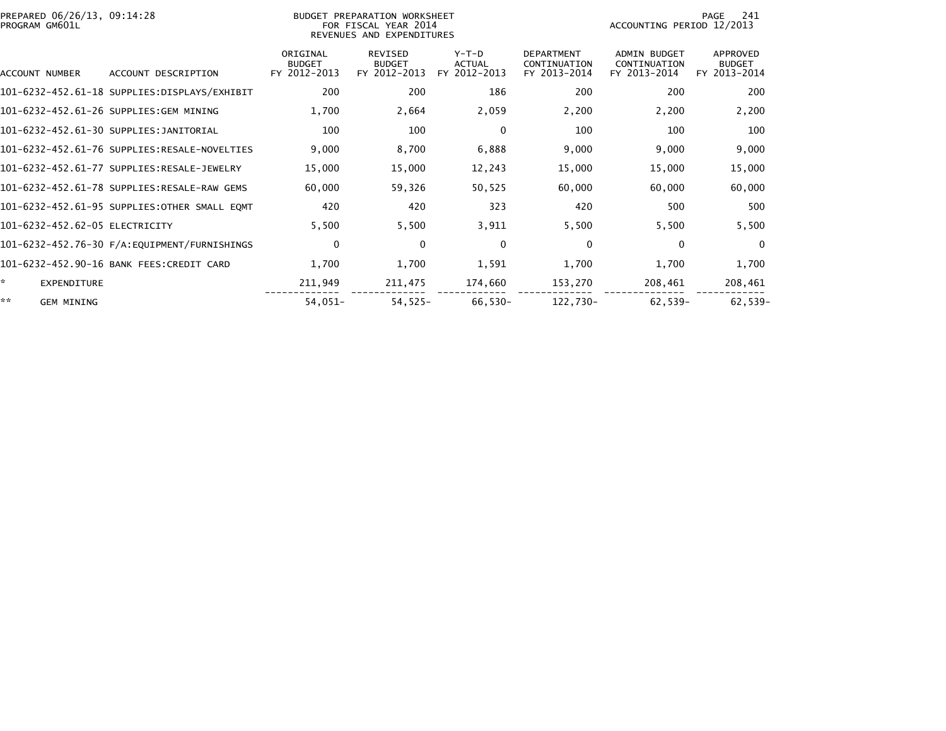| PREPARED 06/26/13, 09:14:28<br>PROGRAM GM601L |                                              |                           | BUDGET PREPARATION WORKSHEET<br>FOR FISCAL YEAR 2014<br>REVENUES AND EXPENDITURES | 241<br>PAGE<br>ACCOUNTING PERIOD 12/2013 |                                   |                              |                           |
|-----------------------------------------------|----------------------------------------------|---------------------------|-----------------------------------------------------------------------------------|------------------------------------------|-----------------------------------|------------------------------|---------------------------|
|                                               |                                              | ORIGINAL<br><b>BUDGET</b> | <b>REVISED</b><br><b>BUDGET</b>                                                   | $Y-T-D$<br><b>ACTUAL</b>                 | <b>DEPARTMENT</b><br>CONTINUATION | ADMIN BUDGET<br>CONTINUATION | APPROVED<br><b>BUDGET</b> |
| ACCOUNT NUMBER                                | ACCOUNT DESCRIPTION                          | FY 2012-2013              | FY 2012-2013                                                                      | FY 2012-2013                             | FY 2013-2014                      | FY 2013-2014                 | FY 2013-2014              |
|                                               |                                              | 200                       | 200                                                                               | 186                                      | 200                               | 200                          | 200                       |
|                                               | 101-6232-452.61-26 SUPPLIES:GEM MINING       | 1,700                     | 2,664                                                                             | 2,059                                    | 2,200                             | 2,200                        | 2,200                     |
|                                               | 101-6232-452.61-30 SUPPLIES:JANITORIAL       | 100                       | 100                                                                               | $\mathbf 0$                              | 100                               | 100                          | 100                       |
|                                               | 101-6232-452.61-76 SUPPLIES:RESALE-NOVELTIES | 9,000                     | 8,700                                                                             | 6,888                                    | 9,000                             | 9,000                        | 9,000                     |
|                                               | 101-6232-452.61-77 SUPPLIES:RESALE-JEWELRY   | 15,000                    | 15,000                                                                            | 12,243                                   | 15,000                            | 15,000                       | 15,000                    |
|                                               | 101-6232-452.61-78 SUPPLIES:RESALE-RAW GEMS  | 60,000                    | 59,326                                                                            | 50,525                                   | 60,000                            | 60,000                       | 60,000                    |
|                                               | 101-6232-452.61-95 SUPPLIES:OTHER SMALL EQMT | 420                       | 420                                                                               | 323                                      | 420                               | 500                          | 500                       |
| 101-6232-452.62-05 ELECTRICITY                |                                              | 5,500                     | 5,500                                                                             | 3,911                                    | 5,500                             | 5,500                        | 5,500                     |
|                                               |                                              | $\mathbf 0$               | $\mathbf{0}$                                                                      | $\mathbf 0$                              | $\Omega$                          | $\Omega$                     | $\mathbf{0}$              |
|                                               | 101-6232-452.90-16 BANK FEES:CREDIT CARD     | 1,700                     | 1,700                                                                             | 1,591                                    | 1,700                             | 1,700                        | 1,700                     |
| ☆.<br>EXPENDITURE                             |                                              | 211,949                   | 211,475                                                                           | 174,660                                  | 153,270                           | 208,461                      | 208,461                   |
| **<br><b>GEM MINING</b>                       |                                              | $54,051-$                 | $54,525-$                                                                         | 66,530-                                  | 122,730-                          | $62,539-$                    | 62,539-                   |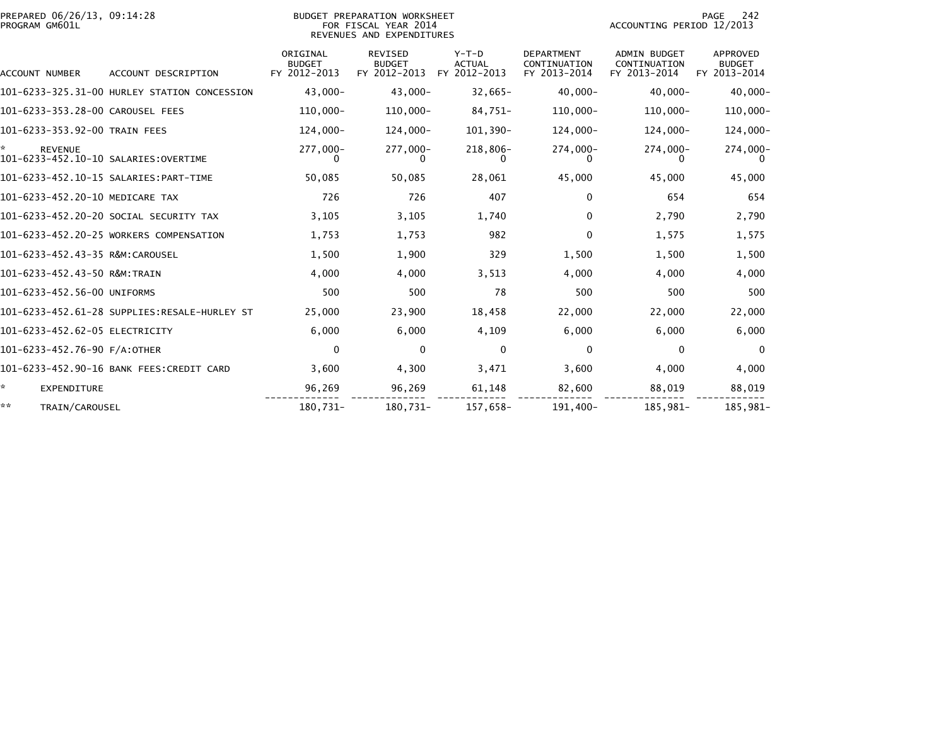| PREPARED 06/26/13, 09:14:28<br>PROGRAM GM601L                | BUDGET PREPARATION WORKSHEET<br>FOR FISCAL YEAR 2014<br>REVENUES AND EXPENDITURES |                                           |                                                 |                                          |                                                   |                                                     | PAGE<br>242<br>ACCOUNTING PERIOD 12/2013         |  |  |
|--------------------------------------------------------------|-----------------------------------------------------------------------------------|-------------------------------------------|-------------------------------------------------|------------------------------------------|---------------------------------------------------|-----------------------------------------------------|--------------------------------------------------|--|--|
| ACCOUNT NUMBER                                               | ACCOUNT DESCRIPTION                                                               | ORIGINAL<br><b>BUDGET</b><br>FY 2012-2013 | <b>REVISED</b><br><b>BUDGET</b><br>FY 2012-2013 | $Y-T-D$<br><b>ACTUAL</b><br>FY 2012-2013 | <b>DEPARTMENT</b><br>CONTINUATION<br>FY 2013-2014 | <b>ADMIN BUDGET</b><br>CONTINUATION<br>FY 2013-2014 | <b>APPROVED</b><br><b>BUDGET</b><br>FY 2013-2014 |  |  |
|                                                              | 101-6233-325.31-00 HURLEY STATION CONCESSION                                      | $43.000 -$                                | $43,000 -$                                      | $32,665-$                                | $40.000 -$                                        | $40.000 -$                                          | $40,000 -$                                       |  |  |
| 101-6233-353.28-00 CAROUSEL FEES                             |                                                                                   | $110,000 -$                               | $110,000 -$                                     | 84,751-                                  | $110,000 -$                                       | $110,000 -$                                         | $110,000 -$                                      |  |  |
| 101-6233-353.92-00 TRAIN FEES                                |                                                                                   | $124,000 -$                               | 124,000-                                        | 101,390-                                 | 124,000-                                          | $124,000 -$                                         | $124,000 -$                                      |  |  |
| ÷.<br><b>REVENUE</b><br>101-6233-452.10-10 SALARIES:OVERTIME |                                                                                   | 277,000-                                  | 277,000-                                        | 218,806-                                 | 274,000-                                          | 274,000-                                            | 274,000-                                         |  |  |
|                                                              |                                                                                   | 50,085                                    | 50,085                                          | 28,061                                   | 45,000                                            | 45,000                                              | 45,000                                           |  |  |
| 101-6233-452.20-10 MEDICARE TAX                              |                                                                                   | 726                                       | 726                                             | 407                                      | 0                                                 | 654                                                 | 654                                              |  |  |
|                                                              | 101-6233-452.20-20 SOCIAL SECURITY TAX                                            | 3,105                                     | 3,105                                           | 1,740                                    | 0                                                 | 2,790                                               | 2,790                                            |  |  |
|                                                              | 101-6233-452.20-25 WORKERS COMPENSATION                                           | 1,753                                     | 1,753                                           | 982                                      | 0                                                 | 1,575                                               | 1,575                                            |  |  |
| 101-6233-452.43-35 R&M:CAROUSEL                              |                                                                                   | 1,500                                     | 1,900                                           | 329                                      | 1,500                                             | 1,500                                               | 1,500                                            |  |  |
| 101-6233-452.43-50 R&M:TRAIN                                 |                                                                                   | 4,000                                     | 4,000                                           | 3,513                                    | 4.000                                             | 4,000                                               | 4,000                                            |  |  |
| 101-6233-452.56-00 UNIFORMS                                  |                                                                                   | 500                                       | 500                                             | 78                                       | 500                                               | 500                                                 | 500                                              |  |  |
|                                                              |                                                                                   | 25,000                                    | 23,900                                          | 18,458                                   | 22,000                                            | 22,000                                              | 22,000                                           |  |  |
| 101-6233-452.62-05 ELECTRICITY                               |                                                                                   | 6,000                                     | 6,000                                           | 4,109                                    | 6,000                                             | 6,000                                               | 6,000                                            |  |  |
| 101-6233-452.76-90 F/A:OTHER                                 |                                                                                   | $\mathbf{0}$                              | $\mathbf{0}$                                    | $\mathbf{0}$                             | 0                                                 | $\bf{0}$                                            | $\Omega$                                         |  |  |
|                                                              | 101-6233-452.90-16 BANK FEES:CREDIT CARD                                          | 3,600                                     | 4,300                                           | 3,471                                    | 3.600                                             | 4.000                                               | 4,000                                            |  |  |
| *.<br><b>EXPENDITURE</b>                                     |                                                                                   | 96,269                                    | 96,269                                          | 61,148                                   | 82,600                                            | 88,019                                              | 88,019                                           |  |  |
| **<br>TRAIN/CAROUSEL                                         |                                                                                   | 180,731-                                  | 180,731-                                        | 157,658-                                 | 191,400-                                          | 185,981-                                            | 185,981-                                         |  |  |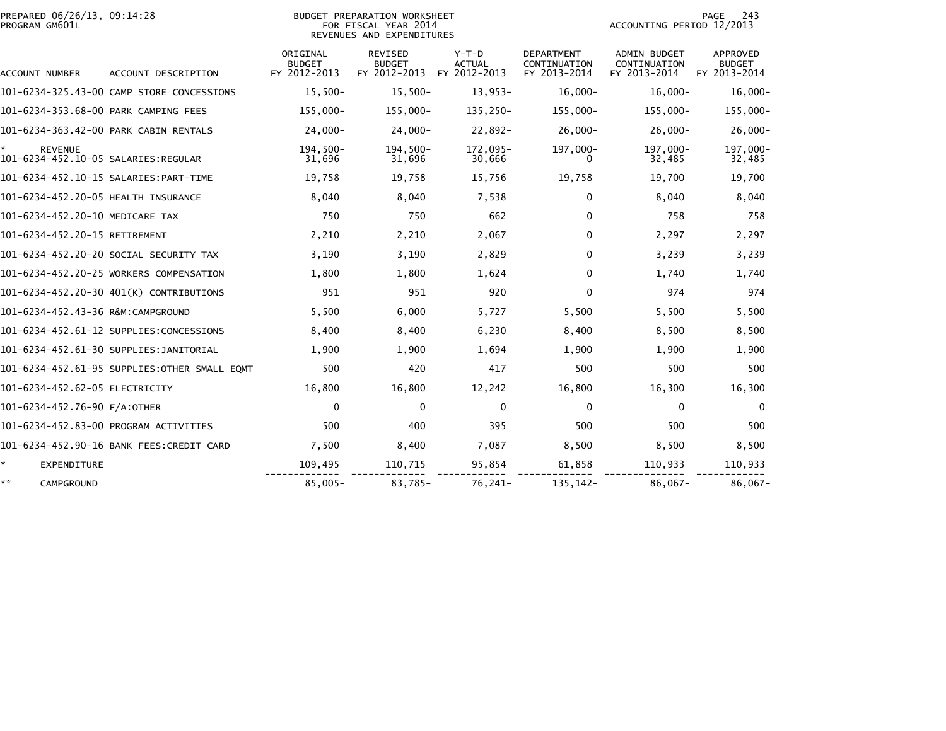| PREPARED 06/26/13, 09:14:28<br>PROGRAM GM601L |                                              |                                           | BUDGET PREPARATION WORKSHEET<br>FOR FISCAL YEAR 2014<br>REVENUES AND EXPENDITURES |                                          | 243<br>PAGE<br>ACCOUNTING PERIOD 12/2013          |                                                     |                                                  |  |
|-----------------------------------------------|----------------------------------------------|-------------------------------------------|-----------------------------------------------------------------------------------|------------------------------------------|---------------------------------------------------|-----------------------------------------------------|--------------------------------------------------|--|
| ACCOUNT NUMBER                                | ACCOUNT DESCRIPTION                          | ORIGINAL<br><b>BUDGET</b><br>FY 2012-2013 | <b>REVISED</b><br><b>BUDGET</b><br>FY 2012-2013                                   | $Y-T-D$<br><b>ACTUAL</b><br>FY 2012-2013 | <b>DEPARTMENT</b><br>CONTINUATION<br>FY 2013-2014 | <b>ADMIN BUDGET</b><br>CONTINUATION<br>FY 2013-2014 | <b>APPROVED</b><br><b>BUDGET</b><br>FY 2013-2014 |  |
|                                               | 101-6234-325.43-00 CAMP STORE CONCESSIONS    | $15,500-$                                 | $15,500-$                                                                         | $13.953-$                                | $16,000 -$                                        | $16.000 -$                                          | $16,000 -$                                       |  |
| 101-6234-353.68-00 PARK CAMPING FEES          |                                              | 155,000-                                  | 155,000-                                                                          | 135,250-                                 | 155,000-                                          | 155,000-                                            | 155,000-                                         |  |
|                                               | 101-6234-363.42-00 PARK CABIN RENTALS        | $24,000 -$                                | $24,000 -$                                                                        | $22.892 -$                               | $26,000 -$                                        | $26.000 -$                                          | $26,000 -$                                       |  |
| <b>REVENUE</b>                                |                                              | $194,500-$<br>31,696                      | $194,500-$<br>31,696                                                              | 172,095-<br>30,666                       | 197,000-                                          | 197,000-<br>32,485                                  | 197,000-<br>32,485                               |  |
|                                               |                                              | 19,758                                    | 19,758                                                                            | 15,756                                   | 19,758                                            | 19,700                                              | 19,700                                           |  |
| 101-6234-452.20-05 HEALTH INSURANCE           |                                              | 8,040                                     | 8,040                                                                             | 7,538                                    | $\Omega$                                          | 8.040                                               | 8,040                                            |  |
| 101-6234-452.20-10 MEDICARE TAX               |                                              | 750                                       | 750                                                                               | 662                                      | $\Omega$                                          | 758                                                 | 758                                              |  |
| 101-6234-452.20-15 RETIREMENT                 |                                              | 2,210                                     | 2,210                                                                             | 2,067                                    | $\Omega$                                          | 2,297                                               | 2,297                                            |  |
|                                               | 101-6234-452.20-20 SOCIAL SECURITY TAX       | 3,190                                     | 3,190                                                                             | 2,829                                    | 0                                                 | 3,239                                               | 3,239                                            |  |
|                                               | 101-6234-452.20-25 WORKERS COMPENSATION      | 1,800                                     | 1,800                                                                             | 1,624                                    | $\Omega$                                          | 1.740                                               | 1,740                                            |  |
|                                               | 101-6234-452.20-30 401(K) CONTRIBUTIONS      | 951                                       | 951                                                                               | 920                                      | $\Omega$                                          | 974                                                 | 974                                              |  |
| 101-6234-452.43-36 R&M:CAMPGROUND             |                                              | 5,500                                     | 6,000                                                                             | 5,727                                    | 5,500                                             | 5,500                                               | 5,500                                            |  |
|                                               | 101-6234-452.61-12 SUPPLIES:CONCESSIONS      | 8,400                                     | 8,400                                                                             | 6,230                                    | 8,400                                             | 8,500                                               | 8,500                                            |  |
|                                               | 101-6234-452.61-30 SUPPLIES:JANITORIAL       | 1,900                                     | 1,900                                                                             | 1,694                                    | 1,900                                             | 1,900                                               | 1,900                                            |  |
|                                               | 101-6234-452.61-95 SUPPLIES:OTHER SMALL EQMT | 500                                       | 420                                                                               | 417                                      | 500                                               | 500                                                 | 500                                              |  |
| 101-6234-452.62-05 ELECTRICITY                |                                              | 16,800                                    | 16,800                                                                            | 12,242                                   | 16,800                                            | 16,300                                              | 16,300                                           |  |
| 101-6234-452.76-90 F/A:OTHER                  |                                              | 0                                         | $\Omega$                                                                          | 0                                        | $\Omega$                                          | $\bf{0}$                                            | $\mathbf{0}$                                     |  |
|                                               | 101-6234-452.83-00 PROGRAM ACTIVITIES        | 500                                       | 400                                                                               | 395                                      | 500                                               | 500                                                 | 500                                              |  |
|                                               | 101-6234-452.90-16 BANK FEES: CREDIT CARD    | 7,500                                     | 8,400                                                                             | 7,087                                    | 8,500                                             | 8,500                                               | 8,500                                            |  |
| ÷.<br><b>EXPENDITURE</b>                      |                                              | 109,495                                   | 110,715                                                                           | 95,854                                   | 61,858                                            | 110,933                                             | 110,933                                          |  |
| **<br>CAMPGROUND                              |                                              | $85,005 -$                                | 83,785-                                                                           | 76,241-                                  | 135,142-                                          | $86,067-$                                           | $86,067-$                                        |  |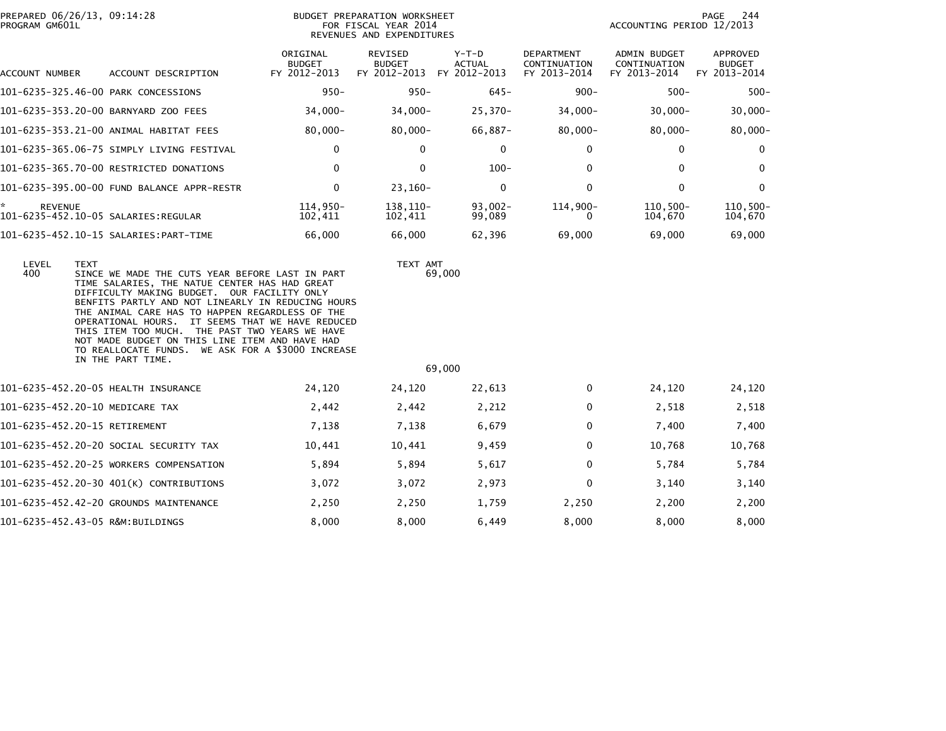| PREPARED 06/26/13, 09:14:28<br>PROGRAM GM601L                          |                                                                                                                                                                                                                                                                                                                                                                                                                                                                                           |                                           | BUDGET PREPARATION WORKSHEET<br>FOR FISCAL YEAR 2014<br>REVENUES AND EXPENDITURES |                                        | PAGE<br>244<br>ACCOUNTING PERIOD 12/2013          |                                              |                                           |
|------------------------------------------------------------------------|-------------------------------------------------------------------------------------------------------------------------------------------------------------------------------------------------------------------------------------------------------------------------------------------------------------------------------------------------------------------------------------------------------------------------------------------------------------------------------------------|-------------------------------------------|-----------------------------------------------------------------------------------|----------------------------------------|---------------------------------------------------|----------------------------------------------|-------------------------------------------|
| ACCOUNT NUMBER                                                         | ACCOUNT DESCRIPTION                                                                                                                                                                                                                                                                                                                                                                                                                                                                       | ORIGINAL<br><b>BUDGET</b><br>FY 2012-2013 | <b>REVISED</b><br><b>BUDGET</b><br>FY 2012-2013                                   | Y-T-D<br><b>ACTUAL</b><br>FY 2012-2013 | <b>DEPARTMENT</b><br>CONTINUATION<br>FY 2013-2014 | ADMIN BUDGET<br>CONTINUATION<br>FY 2013-2014 | APPROVED<br><b>BUDGET</b><br>FY 2013-2014 |
| 101-6235-325.46-00 PARK CONCESSIONS                                    |                                                                                                                                                                                                                                                                                                                                                                                                                                                                                           | $950 -$                                   | $950 -$                                                                           | $645 -$                                | $900 -$                                           | $500 -$                                      | $500 -$                                   |
|                                                                        | 101-6235-353.20-00 BARNYARD ZOO FEES                                                                                                                                                                                                                                                                                                                                                                                                                                                      | $34,000 -$                                | $34,000 -$                                                                        | $25,370-$                              | $34,000 -$                                        | $30,000 -$                                   | $30,000 -$                                |
|                                                                        | 101-6235-353.21-00 ANIMAL HABITAT FEES                                                                                                                                                                                                                                                                                                                                                                                                                                                    | $80,000 -$                                | $80,000 -$                                                                        | 66,887-                                | $80,000 -$                                        | $80,000 -$                                   | $80,000 -$                                |
|                                                                        | 101-6235-365.06-75 SIMPLY LIVING FESTIVAL                                                                                                                                                                                                                                                                                                                                                                                                                                                 | 0                                         | $\mathbf 0$                                                                       | 0                                      | 0                                                 | $\mathbf{0}$                                 | 0                                         |
|                                                                        | 101-6235-365.70-00 RESTRICTED DONATIONS                                                                                                                                                                                                                                                                                                                                                                                                                                                   | $\Omega$                                  | $\mathbf{0}$                                                                      | $100 -$                                | $\mathbf{0}$                                      | $\Omega$                                     | $\mathbf 0$                               |
|                                                                        | 101-6235-395.00-00 FUND BALANCE APPR-RESTR                                                                                                                                                                                                                                                                                                                                                                                                                                                | $\mathbf{0}$                              | $23,160-$                                                                         | 0                                      | $\Omega$                                          | $\mathbf{0}$                                 | $\mathbf 0$                               |
| ×.<br><b>REVENUE</b><br>101-6235-452.10-05 SALARIES:REGULAR            |                                                                                                                                                                                                                                                                                                                                                                                                                                                                                           | 114,950-<br>102,411                       | 138, 110-<br>102,411                                                              | $93,002 -$<br>99,089                   | 114,900-<br>$\Omega$                              | $110,500 -$<br>104,670                       | $110, 500 -$<br>104,670                   |
|                                                                        | 101-6235-452.10-15 SALARIES: PART-TIME                                                                                                                                                                                                                                                                                                                                                                                                                                                    | 66,000                                    | 66,000                                                                            | 62,396                                 | 69,000                                            | 69,000                                       | 69,000                                    |
| LEVEL<br><b>TEXT</b><br>400                                            | SINCE WE MADE THE CUTS YEAR BEFORE LAST IN PART<br>TIME SALARIES, THE NATUE CENTER HAS HAD GREAT<br>DIFFICULTY MAKING BUDGET. OUR FACILITY ONLY<br>BENFITS PARTLY AND NOT LINEARLY IN REDUCING HOURS<br>THE ANIMAL CARE HAS TO HAPPEN REGARDLESS OF THE<br>OPERATIONAL HOURS. IT SEEMS THAT WE HAVE REDUCED<br>THIS ITEM TOO MUCH. THE PAST TWO YEARS WE HAVE<br>NOT MADE BUDGET ON THIS LINE ITEM AND HAVE HAD<br>TO REALLOCATE FUNDS. WE ASK FOR A \$3000 INCREASE<br>IN THE PART TIME. |                                           | TEXT AMT                                                                          | 69,000                                 |                                                   |                                              |                                           |
|                                                                        |                                                                                                                                                                                                                                                                                                                                                                                                                                                                                           |                                           |                                                                                   | 69,000                                 |                                                   |                                              |                                           |
| 101-6235-452.20-05 HEALTH INSURANCE<br>101-6235-452.20-10 MEDICARE TAX |                                                                                                                                                                                                                                                                                                                                                                                                                                                                                           | 24,120<br>2,442                           | 24,120<br>2,442                                                                   | 22,613<br>2,212                        | 0<br>$\mathbf 0$                                  | 24,120<br>2,518                              | 24,120<br>2,518                           |
|                                                                        |                                                                                                                                                                                                                                                                                                                                                                                                                                                                                           |                                           |                                                                                   |                                        |                                                   |                                              |                                           |
| 101-6235-452.20-15 RETIREMENT                                          |                                                                                                                                                                                                                                                                                                                                                                                                                                                                                           | 7,138                                     | 7,138                                                                             | 6,679                                  | 0                                                 | 7,400                                        | 7,400                                     |
|                                                                        | 101-6235-452.20-20 SOCIAL SECURITY TAX                                                                                                                                                                                                                                                                                                                                                                                                                                                    | 10,441                                    | 10,441                                                                            | 9,459                                  | $\mathbf{0}$                                      | 10,768                                       | 10,768                                    |
|                                                                        | 101-6235-452.20-25 WORKERS COMPENSATION                                                                                                                                                                                                                                                                                                                                                                                                                                                   | 5,894                                     | 5,894                                                                             | 5,617                                  | $\mathbf 0$                                       | 5,784                                        | 5,784                                     |
|                                                                        | 101-6235-452.20-30 401(K) CONTRIBUTIONS                                                                                                                                                                                                                                                                                                                                                                                                                                                   | 3,072                                     | 3,072                                                                             | 2,973                                  | 0                                                 | 3,140                                        | 3,140                                     |
|                                                                        | 101-6235-452.42-20 GROUNDS MAINTENANCE                                                                                                                                                                                                                                                                                                                                                                                                                                                    | 2,250                                     | 2,250                                                                             | 1,759                                  | 2,250                                             | 2,200                                        | 2,200                                     |
| 101-6235-452.43-05 R&M:BUILDINGS                                       |                                                                                                                                                                                                                                                                                                                                                                                                                                                                                           | 8,000                                     | 8,000                                                                             | 6,449                                  | 8,000                                             | 8,000                                        | 8,000                                     |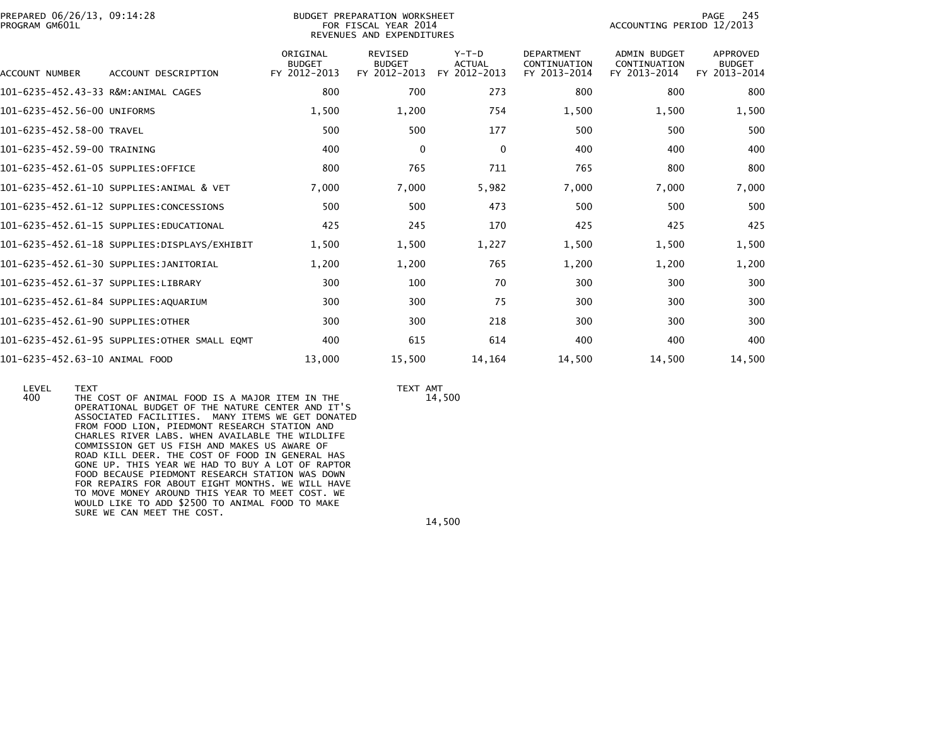| PREPARED 06/26/13, 09:14:28<br>PROGRAM GM601L |                                              |                                           | BUDGET PREPARATION WORKSHEET<br>FOR FISCAL YEAR 2014<br>REVENUES AND EXPENDITURES | PAGE<br>-245<br>ACCOUNTING PERIOD 12/2013 |                                                   |                                                     |                                           |
|-----------------------------------------------|----------------------------------------------|-------------------------------------------|-----------------------------------------------------------------------------------|-------------------------------------------|---------------------------------------------------|-----------------------------------------------------|-------------------------------------------|
| <b>ACCOUNT NUMBER</b>                         | ACCOUNT DESCRIPTION                          | ORIGINAL<br><b>BUDGET</b><br>FY 2012-2013 | REVISED<br><b>BUDGET</b><br>FY 2012-2013                                          | Y-T-D<br><b>ACTUAL</b><br>FY 2012-2013    | <b>DEPARTMENT</b><br>CONTINUATION<br>FY 2013-2014 | <b>ADMIN BUDGET</b><br>CONTINUATION<br>FY 2013-2014 | APPROVED<br><b>BUDGET</b><br>FY 2013-2014 |
| 101-6235-452.43-33 R&M:ANIMAL CAGES           |                                              | 800                                       | 700                                                                               | 273                                       | 800                                               | 800                                                 | 800                                       |
| 101-6235-452.56-00 UNIFORMS                   |                                              | 1,500                                     | 1,200                                                                             | 754                                       | 1,500                                             | 1,500                                               | 1,500                                     |
| 101-6235-452.58-00 TRAVEL                     |                                              | 500                                       | 500                                                                               | 177                                       | 500                                               | 500                                                 | 500                                       |
| 101-6235-452.59-00 TRAINING                   |                                              | 400                                       | $\Omega$                                                                          | $\mathbf{0}$                              | 400                                               | 400                                                 | 400                                       |
| 101-6235-452.61-05 SUPPLIES:OFFICE            |                                              | 800                                       | 765                                                                               | 711                                       | 765                                               | 800                                                 | 800                                       |
|                                               | 101-6235-452.61-10 SUPPLIES:ANIMAL & VET     | 7,000                                     | 7,000                                                                             | 5,982                                     | 7,000                                             | 7,000                                               | 7,000                                     |
|                                               | 101-6235-452.61-12 SUPPLIES:CONCESSIONS      | 500                                       | 500                                                                               | 473                                       | 500                                               | 500                                                 | 500                                       |
|                                               | 101-6235-452.61-15 SUPPLIES:EDUCATIONAL      | 425                                       | 245                                                                               | 170                                       | 425                                               | 425                                                 | 425                                       |
|                                               | 101-6235-452.61-18 SUPPLIES:DISPLAYS/EXHIBIT | 1,500                                     | 1,500                                                                             | 1,227                                     | 1,500                                             | 1,500                                               | 1,500                                     |
|                                               | 101-6235-452.61-30 SUPPLIES:JANITORIAL       | 1,200                                     | 1,200                                                                             | 765                                       | 1,200                                             | 1,200                                               | 1,200                                     |
| 101-6235-452.61-37 SUPPLIES:LIBRARY           |                                              | 300                                       | 100                                                                               | 70                                        | 300                                               | 300                                                 | 300                                       |
| 101-6235-452.61-84 SUPPLIES:AQUARIUM          |                                              | 300                                       | 300                                                                               | 75                                        | 300                                               | 300                                                 | 300                                       |
| 101-6235-452.61-90 SUPPLIES:OTHER             |                                              | 300                                       | 300                                                                               | 218                                       | 300                                               | 300                                                 | 300                                       |
|                                               | 101-6235-452.61-95 SUPPLIES:OTHER SMALL EOMT | 400                                       | 615                                                                               | 614                                       | 400                                               | 400                                                 | 400                                       |
| 101-6235-452.63-10 ANIMAL FOOD                |                                              | 13,000                                    | 15,500                                                                            | 14,164                                    | 14,500                                            | 14,500                                              | 14,500                                    |

LEVEL TEXT TEXT AMT

14,500

400 THE COST OF ANIMAL FOOD IS A MAJOR ITEM IN THE OPERATIONAL BUDGET OF THE NATURE CENTER AND IT'S ASSOCIATED FACILITIES. MANY ITEMS WE GET DONATED FROM FOOD LION, PIEDMONT RESEARCH STATION AND CHARLES RIVER LABS. WHEN AVAILABLE THE WILDLIFE COMMISSION GET US FISH AND MAKES US AWARE OF ROAD KILL DEER. THE COST OF FOOD IN GENERAL HAS GONE UP. THIS YEAR WE HAD TO BUY A LOT OF RAPTOR FOOD BECAUSE PIEDMONT RESEARCH STATION WAS DOWN FOR REPAIRS FOR ABOUT EIGHT MONTHS. WE WILL HAVE TO MOVE MONEY AROUND THIS YEAR TO MEET COST. WE WOULD LIKE TO ADD \$2500 TO ANIMAL FOOD TO MAKESURE WE CAN MEET THE COST.

14,500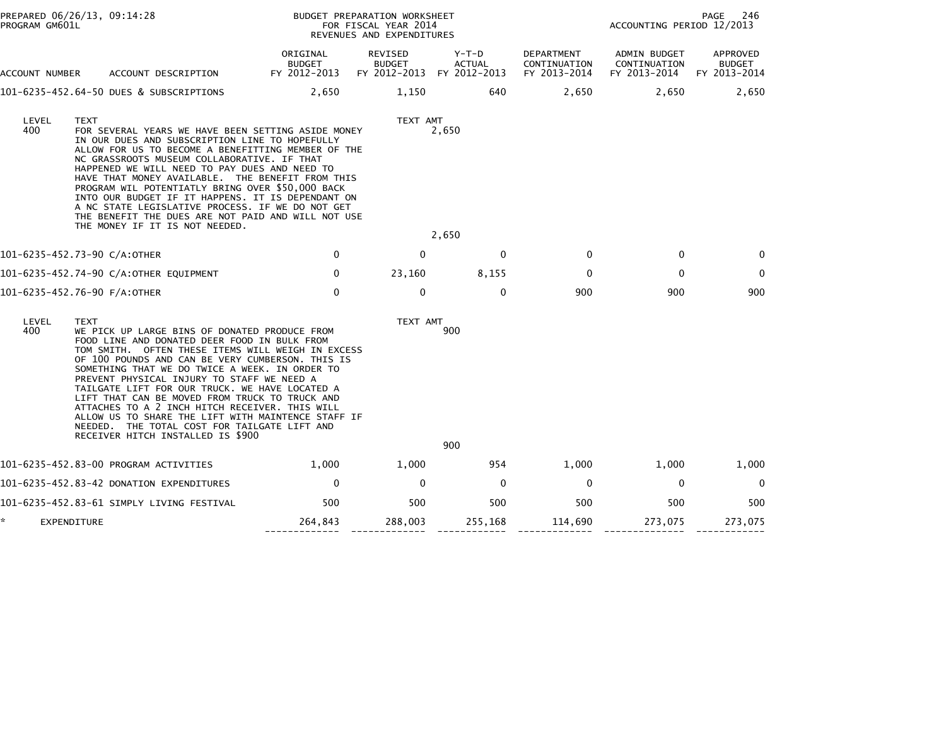|   | PROGRAM GM601L | PREPARED 06/26/13, 09:14:28                                                                                                                                                                                                                                                                                                                                                                                                                                                                                                                                                                                            |                                           | BUDGET PREPARATION WORKSHEET<br>FOR FISCAL YEAR 2014<br>REVENUES AND EXPENDITURES |                                        | PAGE<br>246<br>ACCOUNTING PERIOD 12/2013   |                                              |                                           |
|---|----------------|------------------------------------------------------------------------------------------------------------------------------------------------------------------------------------------------------------------------------------------------------------------------------------------------------------------------------------------------------------------------------------------------------------------------------------------------------------------------------------------------------------------------------------------------------------------------------------------------------------------------|-------------------------------------------|-----------------------------------------------------------------------------------|----------------------------------------|--------------------------------------------|----------------------------------------------|-------------------------------------------|
|   | ACCOUNT NUMBER | ACCOUNT DESCRIPTION                                                                                                                                                                                                                                                                                                                                                                                                                                                                                                                                                                                                    | ORIGINAL<br><b>BUDGET</b><br>FY 2012-2013 | REVISED<br><b>BUDGET</b><br>FY 2012-2013                                          | Y-T-D<br><b>ACTUAL</b><br>FY 2012-2013 | DEPARTMENT<br>CONTINUATION<br>FY 2013-2014 | ADMIN BUDGET<br>CONTINUATION<br>FY 2013-2014 | APPROVED<br><b>BUDGET</b><br>FY 2013-2014 |
|   |                | 101-6235-452.64-50 DUES & SUBSCRIPTIONS                                                                                                                                                                                                                                                                                                                                                                                                                                                                                                                                                                                | 2,650                                     | 1,150                                                                             | 640                                    | 2,650                                      | 2,650                                        | 2,650                                     |
|   | LEVEL<br>400   | <b>TEXT</b><br>FOR SEVERAL YEARS WE HAVE BEEN SETTING ASIDE MONEY<br>IN OUR DUES AND SUBSCRIPTION LINE TO HOPEFULLY<br>ALLOW FOR US TO BECOME A BENEFITTING MEMBER OF THE<br>NC GRASSROOTS MUSEUM COLLABORATIVE. IF THAT<br>HAPPENED WE WILL NEED TO PAY DUES AND NEED TO<br>HAVE THAT MONEY AVAILABLE. THE BENEFIT FROM THIS<br>PROGRAM WIL POTENTIATLY BRING OVER \$50,000 BACK<br>INTO OUR BUDGET IF IT HAPPENS. IT IS DEPENDANT ON<br>A NC STATE LEGISLATIVE PROCESS. IF WE DO NOT GET<br>THE BENEFIT THE DUES ARE NOT PAID AND WILL NOT USE<br>THE MONEY IF IT IS NOT NEEDED.                                     |                                           | TEXT AMT                                                                          | 2,650                                  |                                            |                                              |                                           |
|   |                |                                                                                                                                                                                                                                                                                                                                                                                                                                                                                                                                                                                                                        |                                           |                                                                                   | 2,650                                  |                                            |                                              |                                           |
|   |                | 101-6235-452.73-90 C/A:OTHER                                                                                                                                                                                                                                                                                                                                                                                                                                                                                                                                                                                           | 0                                         | $\Omega$                                                                          | $\Omega$                               | $\Omega$                                   | $\bf{0}$                                     | $\Omega$                                  |
|   |                | 101-6235-452.74-90 C/A:OTHER EQUIPMENT                                                                                                                                                                                                                                                                                                                                                                                                                                                                                                                                                                                 | 0                                         | 23,160                                                                            | 8,155                                  | $\mathbf{0}$                               | $\Omega$                                     | $\mathbf 0$                               |
|   |                | 101-6235-452.76-90 F/A:OTHER                                                                                                                                                                                                                                                                                                                                                                                                                                                                                                                                                                                           | $\Omega$                                  | $\mathbf 0$                                                                       | $\Omega$                               | 900                                        | 900                                          | 900                                       |
|   | LEVEL<br>400   | <b>TEXT</b><br>WE PICK UP LARGE BINS OF DONATED PRODUCE FROM<br>FOOD LINE AND DONATED DEER FOOD IN BULK FROM<br>TOM SMITH. OFTEN THESE ITEMS WILL WEIGH IN EXCESS<br>OF 100 POUNDS AND CAN BE VERY CUMBERSON. THIS IS<br>SOMETHING THAT WE DO TWICE A WEEK. IN ORDER TO<br>PREVENT PHYSICAL INJURY TO STAFF WE NEED A<br>TAILGATE LIFT FOR OUR TRUCK. WE HAVE LOCATED A<br>LIFT THAT CAN BE MOVED FROM TRUCK TO TRUCK AND<br>ATTACHES TO A 2 INCH HITCH RECEIVER. THIS WILL<br>ALLOW US TO SHARE THE LIFT WITH MAINTENCE STAFF IF<br>NEEDED. THE TOTAL COST FOR TAILGATE LIFT AND<br>RECEIVER HITCH INSTALLED IS \$900 |                                           | TEXT AMT                                                                          | 900<br>900                             |                                            |                                              |                                           |
|   |                | 101-6235-452.83-00 PROGRAM ACTIVITIES                                                                                                                                                                                                                                                                                                                                                                                                                                                                                                                                                                                  | 1,000                                     | 1,000                                                                             | 954                                    | 1,000                                      | 1,000                                        | 1,000                                     |
|   |                | 101-6235-452.83-42 DONATION EXPENDITURES                                                                                                                                                                                                                                                                                                                                                                                                                                                                                                                                                                               | $\mathbf 0$                               | $\Omega$                                                                          | $\mathbf{0}$                           | $\mathbf 0$                                | $\mathbf{0}$                                 | $\mathbf 0$                               |
|   |                | 101–6235–452.83–61 SIMPLY LIVING FESTIVAL                                                                                                                                                                                                                                                                                                                                                                                                                                                                                                                                                                              | 500                                       | 500                                                                               | 500                                    | 500                                        | 500                                          | 500                                       |
| * | EXPENDITURE    |                                                                                                                                                                                                                                                                                                                                                                                                                                                                                                                                                                                                                        | 264,843                                   | 288,003                                                                           | 255,168                                | 114,690                                    | 273,075                                      | 273,075                                   |
|   |                |                                                                                                                                                                                                                                                                                                                                                                                                                                                                                                                                                                                                                        |                                           |                                                                                   |                                        |                                            |                                              |                                           |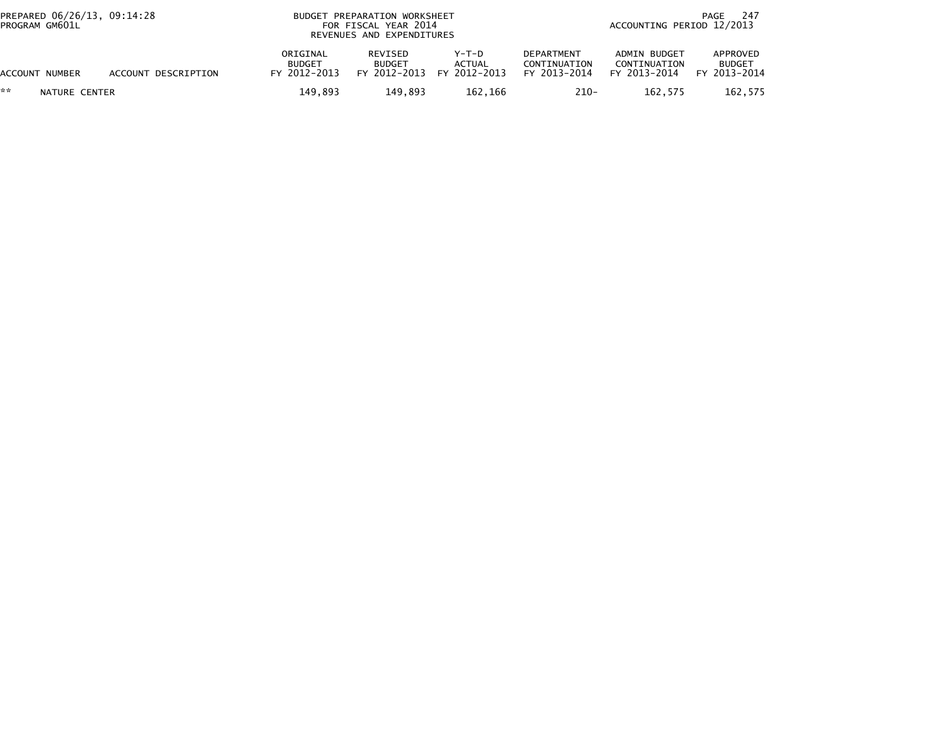| PREPARED 06/26/13, 09:14:28<br>PROGRAM GM601L |                     | BUDGET PREPARATION WORKSHEET<br>FOR FISCAL YEAR 2014<br>REVENUES AND EXPENDITURES |                                                 |                                 |                                                   | -247<br>PAGE<br>ACCOUNTING PERIOD 12/2013    |                                           |  |
|-----------------------------------------------|---------------------|-----------------------------------------------------------------------------------|-------------------------------------------------|---------------------------------|---------------------------------------------------|----------------------------------------------|-------------------------------------------|--|
| ACCOUNT NUMBER                                | ACCOUNT DESCRIPTION | ORIGINAL<br><b>BUDGET</b><br>FY 2012-2013                                         | <b>REVISED</b><br><b>BUDGET</b><br>FY 2012-2013 | Y-T-D<br>ACTUAL<br>FY 2012-2013 | <b>DEPARTMENT</b><br>CONTINUATION<br>FY 2013-2014 | ADMIN BUDGET<br>CONTINUATION<br>FY 2013-2014 | APPROVED<br><b>BUDGET</b><br>FY 2013-2014 |  |
| **<br>NATURE CENTER                           |                     | 149,893                                                                           | 149.893                                         | 162,166                         | $210 -$                                           | 162,575                                      | 162,575                                   |  |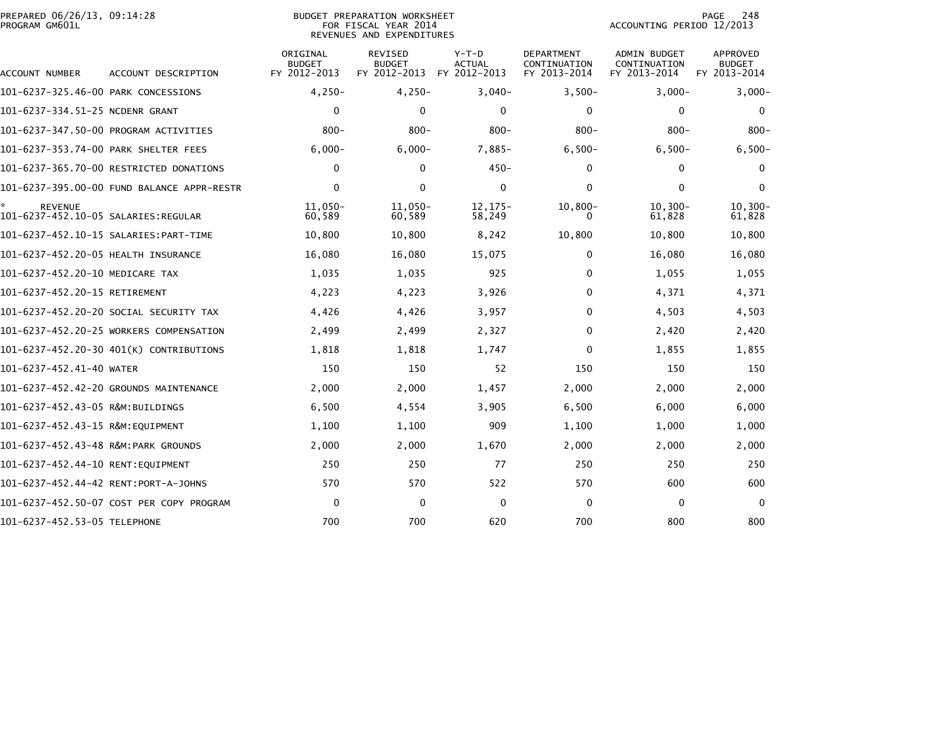| PREPARED 06/26/13, 09:14:28<br>PROGRAM GM601L |                                            |                                           | BUDGET PREPARATION WORKSHEET<br>FOR FISCAL YEAR 2014<br>REVENUES AND EXPENDITURES |                                   |                                                   | ACCOUNTING PERIOD 12/2013                           | 248<br>PAGE                                      |
|-----------------------------------------------|--------------------------------------------|-------------------------------------------|-----------------------------------------------------------------------------------|-----------------------------------|---------------------------------------------------|-----------------------------------------------------|--------------------------------------------------|
| ACCOUNT NUMBER                                | ACCOUNT DESCRIPTION                        | ORIGINAL<br><b>BUDGET</b><br>FY 2012-2013 | <b>REVISED</b><br><b>BUDGET</b><br>FY 2012-2013                                   | $Y-T-D$<br>ACTUAL<br>FY 2012-2013 | <b>DEPARTMENT</b><br>CONTINUATION<br>FY 2013-2014 | <b>ADMIN BUDGET</b><br>CONTINUATION<br>FY 2013-2014 | <b>APPROVED</b><br><b>BUDGET</b><br>FY 2013-2014 |
| 101-6237-325.46-00 PARK CONCESSIONS           |                                            | $4,250-$                                  | $4,250-$                                                                          | $3,040-$                          | $3,500-$                                          | $3,000-$                                            | $3,000 -$                                        |
| 101-6237-334.51-25 NCDENR GRANT               |                                            | $\mathbf 0$                               | $\mathbf{0}$                                                                      | 0                                 | $\mathbf{0}$                                      | $\mathbf{0}$                                        | $\Omega$                                         |
|                                               | 101-6237-347.50-00 PROGRAM ACTIVITIES      | $800 -$                                   | $800 -$                                                                           | $800 -$                           | $800 -$                                           | $800 -$                                             | $800 -$                                          |
| 101-6237-353.74-00 PARK SHELTER FEES          |                                            | $6,000 -$                                 | $6,000 -$                                                                         | $7,885-$                          | $6,500-$                                          | $6,500-$                                            | $6,500-$                                         |
|                                               | 101-6237-365.70-00 RESTRICTED DONATIONS    | 0                                         | $\Omega$                                                                          | $450 -$                           | 0                                                 | 0                                                   | $\Omega$                                         |
|                                               | 101-6237-395.00-00 FUND BALANCE APPR-RESTR | $\mathbf 0$                               | $\mathbf{0}$                                                                      | $\mathbf 0$                       | $\mathbf{0}$                                      | $\mathbf{0}$                                        | $\Omega$                                         |
| <b>REVENUE</b>                                |                                            | 11,050-<br>60,589                         | 11,050-<br>60,589                                                                 | $12, 175 -$<br>58,249             | $10,800 -$<br>0                                   | $10, 300 -$<br>61,828                               | $10, 300 -$<br>61,828                            |
|                                               |                                            | 10,800                                    | 10,800                                                                            | 8,242                             | 10,800                                            | 10,800                                              | 10,800                                           |
| 101-6237-452.20-05 HEALTH INSURANCE           |                                            | 16,080                                    | 16,080                                                                            | 15,075                            | 0                                                 | 16,080                                              | 16,080                                           |
| 101-6237-452.20-10 MEDICARE TAX               |                                            | 1,035                                     | 1,035                                                                             | 925                               | $\Omega$                                          | 1,055                                               | 1,055                                            |
| 101-6237-452.20-15 RETIREMENT                 |                                            | 4,223                                     | 4,223                                                                             | 3,926                             | 0                                                 | 4,371                                               | 4,371                                            |
|                                               | 101-6237-452.20-20 SOCIAL SECURITY TAX     | 4,426                                     | 4,426                                                                             | 3,957                             | 0                                                 | 4,503                                               | 4,503                                            |
|                                               | 101-6237-452.20-25 WORKERS COMPENSATION    | 2,499                                     | 2,499                                                                             | 2,327                             | $\Omega$                                          | 2,420                                               | 2,420                                            |
|                                               | 101-6237-452.20-30 401(K) CONTRIBUTIONS    | 1,818                                     | 1,818                                                                             | 1,747                             | 0                                                 | 1,855                                               | 1,855                                            |
| 101-6237-452.41-40 WATER                      |                                            | 150                                       | 150                                                                               | 52                                | 150                                               | 150                                                 | 150                                              |
|                                               | 101-6237-452.42-20 GROUNDS MAINTENANCE     | 2,000                                     | 2,000                                                                             | 1,457                             | 2,000                                             | 2,000                                               | 2,000                                            |
| 101-6237-452.43-05 R&M:BUILDINGS              |                                            | 6,500                                     | 4,554                                                                             | 3,905                             | 6,500                                             | 6,000                                               | 6,000                                            |
| 101-6237-452.43-15 R&M:EQUIPMENT              |                                            | 1,100                                     | 1,100                                                                             | 909                               | 1,100                                             | 1,000                                               | 1,000                                            |
| 101-6237-452.43-48 R&M:PARK GROUNDS           |                                            | 2,000                                     | 2,000                                                                             | 1,670                             | 2,000                                             | 2,000                                               | 2,000                                            |
| 101-6237-452.44-10 RENT:EQUIPMENT             |                                            | 250                                       | 250                                                                               | 77                                | 250                                               | 250                                                 | 250                                              |
| 101-6237-452.44-42 RENT:PORT-A-JOHNS          |                                            | 570                                       | 570                                                                               | 522                               | 570                                               | 600                                                 | 600                                              |
|                                               | 101-6237-452.50-07 COST PER COPY PROGRAM   | $\mathbf 0$                               | $\mathbf{0}$                                                                      | $\mathbf{0}$                      | $\Omega$                                          | $\mathbf{0}$                                        | $\Omega$                                         |
| 101-6237-452.53-05 TELEPHONE                  |                                            | 700                                       | 700                                                                               | 620                               | 700                                               | 800                                                 | 800                                              |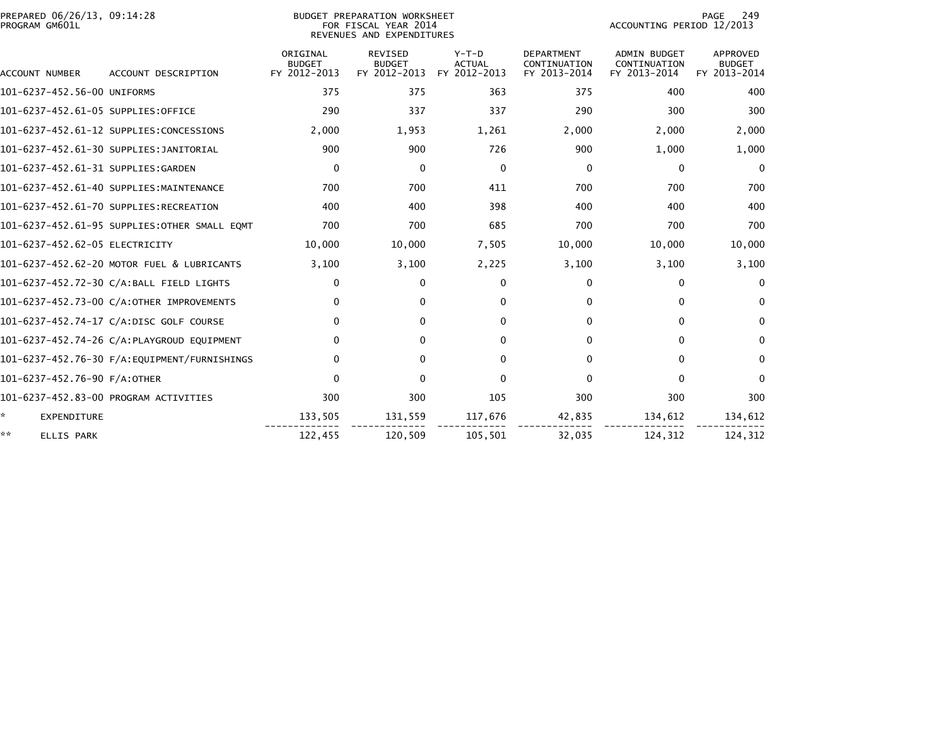| PREPARED 06/26/13, 09:14:28<br>PROGRAM GM601L |                                              | BUDGET PREPARATION WORKSHEET<br>FOR FISCAL YEAR 2014<br>REVENUES AND EXPENDITURES |                                                 |                                          |                                                   |                                                     | 249<br>PAGE<br>ACCOUNTING PERIOD 12/2013         |  |  |
|-----------------------------------------------|----------------------------------------------|-----------------------------------------------------------------------------------|-------------------------------------------------|------------------------------------------|---------------------------------------------------|-----------------------------------------------------|--------------------------------------------------|--|--|
| ACCOUNT NUMBER                                | ACCOUNT DESCRIPTION                          | ORIGINAL<br><b>BUDGET</b><br>FY 2012-2013                                         | <b>REVISED</b><br><b>BUDGET</b><br>FY 2012-2013 | $Y-T-D$<br><b>ACTUAL</b><br>FY 2012-2013 | <b>DEPARTMENT</b><br>CONTINUATION<br>FY 2013-2014 | <b>ADMIN BUDGET</b><br>CONTINUATION<br>FY 2013-2014 | <b>APPROVED</b><br><b>BUDGET</b><br>FY 2013-2014 |  |  |
| 101-6237-452.56-00 UNIFORMS                   |                                              | 375                                                                               | 375                                             | 363                                      | 375                                               | 400                                                 | 400                                              |  |  |
| 101-6237-452.61-05 SUPPLIES:OFFICE            |                                              | 290                                                                               | 337                                             | 337                                      | 290                                               | 300                                                 | 300                                              |  |  |
|                                               | 101-6237-452.61-12 SUPPLIES:CONCESSIONS      | 2,000                                                                             | 1,953                                           | 1,261                                    | 2,000                                             | 2,000                                               | 2,000                                            |  |  |
|                                               | 101-6237-452.61-30 SUPPLIES:JANITORIAL       | 900                                                                               | 900                                             | 726                                      | 900                                               | 1,000                                               | 1,000                                            |  |  |
| 101-6237-452.61-31 SUPPLIES:GARDEN            |                                              | 0                                                                                 | $\Omega$                                        | $\Omega$                                 | $\Omega$                                          | $\mathbf{0}$                                        | $\Omega$                                         |  |  |
|                                               | 101-6237-452.61-40 SUPPLIES:MAINTENANCE      | 700                                                                               | 700                                             | 411                                      | 700                                               | 700                                                 | 700                                              |  |  |
|                                               | 101-6237-452.61-70 SUPPLIES:RECREATION       | 400                                                                               | 400                                             | 398                                      | 400                                               | 400                                                 | 400                                              |  |  |
|                                               | 101-6237-452.61-95 SUPPLIES:OTHER SMALL EOMT | 700                                                                               | 700                                             | 685                                      | 700                                               | 700                                                 | 700                                              |  |  |
| 101-6237-452.62-05 ELECTRICITY                |                                              | 10,000                                                                            | 10,000                                          | 7,505                                    | 10,000                                            | 10,000                                              | 10,000                                           |  |  |
|                                               | 101-6237-452.62-20 MOTOR FUEL & LUBRICANTS   | 3,100                                                                             | 3,100                                           | 2,225                                    | 3,100                                             | 3,100                                               | 3,100                                            |  |  |
|                                               | 101-6237-452.72-30 C/A:BALL FIELD LIGHTS     | $\mathbf{0}$                                                                      | $\Omega$                                        | $\mathbf{0}$                             | $\Omega$                                          | $\Omega$                                            | $\Omega$                                         |  |  |
|                                               | 101-6237-452.73-00 C/A:OTHER IMPROVEMENTS    | $\mathbf{0}$                                                                      | $\mathbf{0}$                                    | $\Omega$                                 | 0                                                 | $\Omega$                                            | $\mathbf{0}$                                     |  |  |
|                                               | 101-6237-452.74-17 C/A:DISC GOLF COURSE      | 0                                                                                 | $\mathbf{0}$                                    | $\Omega$                                 | 0                                                 | 0                                                   | $\bf{0}$                                         |  |  |
|                                               | 101-6237-452.74-26 C/A:PLAYGROUD EQUIPMENT   | $\mathbf{0}$                                                                      | 0                                               | $\Omega$                                 | 0                                                 | $\Omega$                                            | $\Omega$                                         |  |  |
|                                               |                                              | $\mathbf{0}$                                                                      | $\Omega$                                        | $\Omega$                                 | 0                                                 | $\Omega$                                            | $\mathbf{0}$                                     |  |  |
| 101-6237-452.76-90 F/A:OTHER                  |                                              | $\mathbf 0$                                                                       | $\Omega$                                        | $\Omega$                                 | 0                                                 | 0                                                   | $\mathbf{0}$                                     |  |  |
|                                               | 101-6237-452.83-00 PROGRAM ACTIVITIES        | 300                                                                               | 300                                             | 105                                      | 300                                               | 300                                                 | 300                                              |  |  |
| ×.<br><b>EXPENDITURE</b>                      |                                              | 133,505                                                                           | 131,559                                         | 117,676                                  | 42,835                                            | 134,612                                             | 134,612                                          |  |  |
| **<br><b>ELLIS PARK</b>                       |                                              | 122,455                                                                           | 120,509                                         | 105,501                                  | 32,035                                            | 124,312                                             | 124,312                                          |  |  |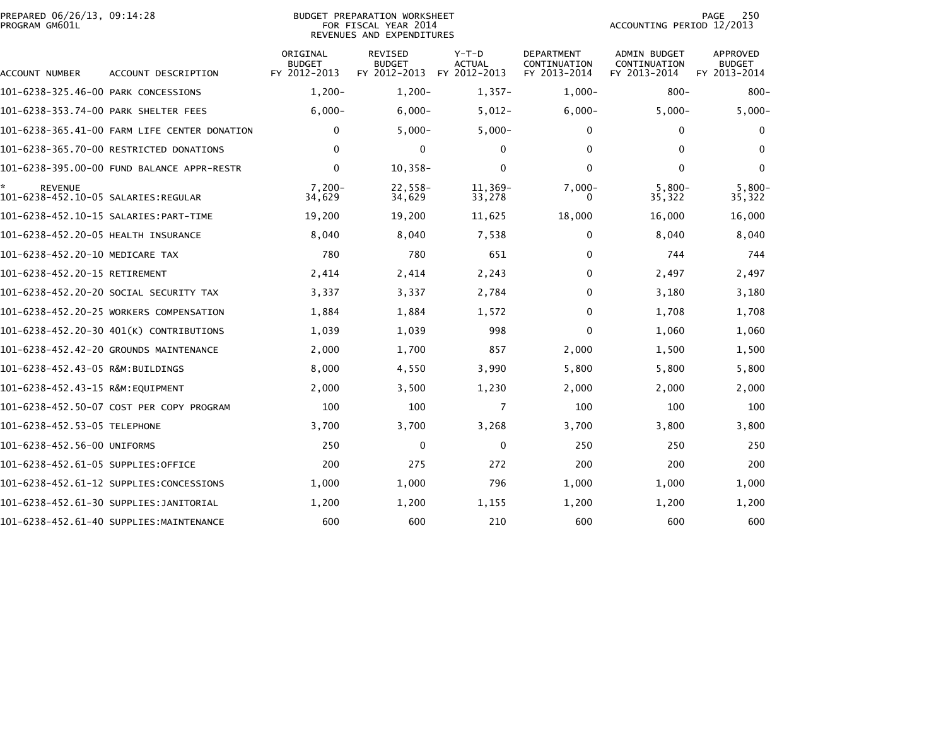|                | PREPARED 06/26/13, 09:14:28 |  |
|----------------|-----------------------------|--|
| PROGRAM GM601L |                             |  |

## PREPARED 06/26/13, 09:14:28 BUDGET PREPARATION WORKSHEET PAGE 250PROGRAM GM601L FOR FISCAL YEAR 2014 ACCOUNTING PERIOD 12/2013 REVENUES AND EXPENDITURES

PAGE 250<br>ACCOUNTING PERIOD 12/2013

| ACCOUNT NUMBER                                         | ACCOUNT DESCRIPTION                          | ORIGINAL<br><b>BUDGET</b><br>FY 2012-2013 | REVISED<br><b>BUDGET</b><br>FY 2012-2013 | $Y-T-D$<br>ACTUAL<br>FY 2012-2013 | <b>DEPARTMENT</b><br>CONTINUATION<br>FY 2013-2014 | ADMIN BUDGET<br>CONTINUATION<br>FY 2013-2014 | APPROVED<br><b>BUDGET</b><br>FY 2013-2014 |
|--------------------------------------------------------|----------------------------------------------|-------------------------------------------|------------------------------------------|-----------------------------------|---------------------------------------------------|----------------------------------------------|-------------------------------------------|
| 101-6238-325.46-00 PARK CONCESSIONS                    |                                              | $1,200-$                                  | $1,200-$                                 | $1,357-$                          | $1,000 -$                                         | $800 -$                                      | $800 -$                                   |
| 101-6238-353.74-00 PARK SHELTER FEES                   |                                              | $6,000 -$                                 | $6,000 -$                                | $5,012-$                          | $6,000 -$                                         | $5,000 -$                                    | $5,000 -$                                 |
|                                                        | 101-6238-365.41-00 FARM LIFE CENTER DONATION | $\Omega$                                  | $5.000 -$                                | $5,000-$                          | $\mathbf 0$                                       | 0                                            | $\mathbf{0}$                              |
|                                                        | 101-6238-365.70-00 RESTRICTED DONATIONS      | $\mathbf{0}$                              | $\mathbf 0$                              | 0                                 | $\mathbf 0$                                       | 0                                            | $\mathbf{0}$                              |
|                                                        |                                              | $\mathbf{0}$                              | $10, 358 -$                              | 0                                 | $\Omega$                                          | 0                                            | 0                                         |
| <b>REVENUE</b><br>101-6238-452.10-05 SALARIES: REGULAR |                                              | $7,200-$<br>34,629                        | $22,558-$<br>34,629                      | $11.369 -$<br>33,278              | $7,000-$                                          | $5,800-$<br>35,322                           | $5,800-$<br>35,322                        |
|                                                        |                                              | 19,200                                    | 19,200                                   | 11,625                            | 18,000                                            | 16,000                                       | 16,000                                    |
| 101-6238-452.20-05 HEALTH INSURANCE                    |                                              | 8,040                                     | 8,040                                    | 7,538                             | 0                                                 | 8,040                                        | 8,040                                     |
| 101-6238-452.20-10 MEDICARE TAX                        |                                              | 780                                       | 780                                      | 651                               | 0                                                 | 744                                          | 744                                       |
| 101-6238-452.20-15 RETIREMENT                          |                                              | 2,414                                     | 2,414                                    | 2,243                             | 0                                                 | 2,497                                        | 2,497                                     |
|                                                        | 101-6238-452.20-20 SOCIAL SECURITY TAX       | 3,337                                     | 3,337                                    | 2,784                             | $\mathbf{0}$                                      | 3,180                                        | 3,180                                     |
|                                                        | 101-6238-452.20-25 WORKERS COMPENSATION      | 1,884                                     | 1,884                                    | 1,572                             | 0                                                 | 1,708                                        | 1,708                                     |
|                                                        | 101-6238-452.20-30 401(K) CONTRIBUTIONS      | 1,039                                     | 1,039                                    | 998                               | 0                                                 | 1,060                                        | 1,060                                     |
|                                                        | 101-6238-452.42-20 GROUNDS MAINTENANCE       | 2,000                                     | 1,700                                    | 857                               | 2,000                                             | 1,500                                        | 1,500                                     |
| 101-6238-452.43-05 R&M:BUILDINGS                       |                                              | 8,000                                     | 4,550                                    | 3,990                             | 5,800                                             | 5,800                                        | 5,800                                     |
| 101–6238–452.43–15 R&M:EOUIPMENT                       |                                              | 2,000                                     | 3,500                                    | 1,230                             | 2,000                                             | 2,000                                        | 2,000                                     |
|                                                        | 101-6238-452.50-07 COST PER COPY PROGRAM     | 100                                       | 100                                      | $\overline{7}$                    | 100                                               | 100                                          | 100                                       |
| 101-6238-452.53-05 TELEPHONE                           |                                              | 3,700                                     | 3,700                                    | 3,268                             | 3,700                                             | 3,800                                        | 3,800                                     |
| 101-6238-452.56-00 UNIFORMS                            |                                              | 250                                       | 0                                        | 0                                 | 250                                               | 250                                          | 250                                       |
| 101–6238–452.61–05 SUPPLIES:OFFICE                     |                                              | 200                                       | 275                                      | 272                               | 200                                               | 200                                          | 200                                       |
|                                                        | 101–6238–452.61–12 SUPPLIES:CONCESSIONS      | 1,000                                     | 1,000                                    | 796                               | 1,000                                             | 1,000                                        | 1,000                                     |
|                                                        | 101-6238-452.61-30 SUPPLIES:JANITORIAL       | 1,200                                     | 1,200                                    | 1,155                             | 1,200                                             | 1,200                                        | 1,200                                     |
|                                                        | 101-6238-452.61-40 SUPPLIES:MAINTENANCE      | 600                                       | 600                                      | 210                               | 600                                               | 600                                          | 600                                       |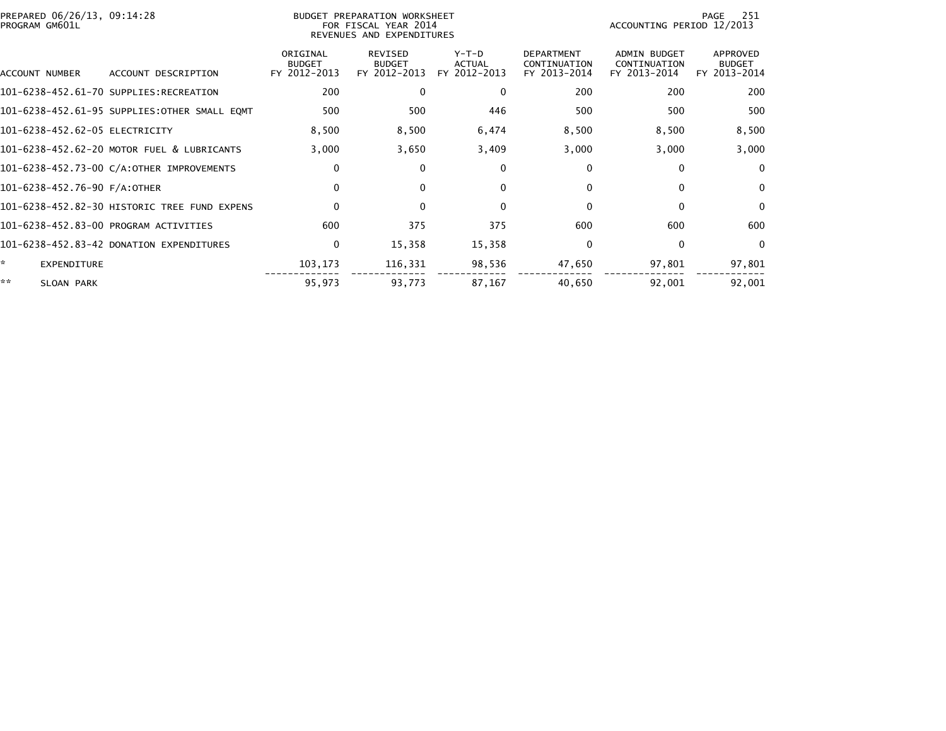| PREPARED 06/26/13, 09:14:28<br>PROGRAM GM601L |                                              |                                           | BUDGET PREPARATION WORKSHEET<br>FOR FISCAL YEAR 2014<br>REVENUES AND EXPENDITURES | 251<br>PAGE<br>ACCOUNTING PERIOD 12/2013 |                                                   |                                              |                                           |
|-----------------------------------------------|----------------------------------------------|-------------------------------------------|-----------------------------------------------------------------------------------|------------------------------------------|---------------------------------------------------|----------------------------------------------|-------------------------------------------|
| ACCOUNT NUMBER                                | ACCOUNT DESCRIPTION                          | ORIGINAL<br><b>BUDGET</b><br>FY 2012-2013 | REVISED<br><b>BUDGET</b><br>FY 2012-2013                                          | $Y-T-D$<br><b>ACTUAL</b><br>FY 2012-2013 | <b>DEPARTMENT</b><br>CONTINUATION<br>FY 2013-2014 | ADMIN BUDGET<br>CONTINUATION<br>FY 2013-2014 | APPROVED<br><b>BUDGET</b><br>FY 2013-2014 |
|                                               | 101-6238-452.61-70 SUPPLIES:RECREATION       | 200                                       | $\mathbf{0}$                                                                      | $\mathbf{0}$                             | 200                                               | 200                                          | 200                                       |
|                                               | 101-6238-452.61-95 SUPPLIES:OTHER SMALL EQMT | 500                                       | 500                                                                               | 446                                      | 500                                               | 500                                          | 500                                       |
| 101-6238-452.62-05 ELECTRICITY                |                                              | 8,500                                     | 8,500                                                                             | 6,474                                    | 8,500                                             | 8,500                                        | 8,500                                     |
|                                               | 101-6238-452.62-20 MOTOR FUEL & LUBRICANTS   | 3,000                                     | 3,650                                                                             | 3,409                                    | 3,000                                             | 3,000                                        | 3,000                                     |
|                                               | 101-6238-452.73-00 C/A:OTHER IMPROVEMENTS    | 0                                         | $\Omega$                                                                          | 0                                        | $\Omega$                                          | 0                                            | $\Omega$                                  |
| 101-6238-452.76-90 F/A:OTHER                  |                                              | 0                                         | $\mathbf{0}$                                                                      | $\Omega$                                 | $\Omega$                                          | 0                                            | $\mathbf{0}$                              |
|                                               | 101-6238-452.82-30 HISTORIC TREE FUND EXPENS | $\Omega$                                  | $\Omega$                                                                          | $\mathbf{0}$                             |                                                   | $\Omega$                                     | $\Omega$                                  |
|                                               | 101-6238-452.83-00 PROGRAM ACTIVITIES        | 600                                       | 375                                                                               | 375                                      | 600                                               | 600                                          | 600                                       |
|                                               | 101-6238-452.83-42 DONATION EXPENDITURES     | $\mathbf 0$                               | 15,358                                                                            | 15,358                                   | $\Omega$                                          | $\mathbf{0}$                                 | $\mathbf{0}$                              |
| <b>EXPENDITURE</b>                            |                                              | 103,173                                   | 116,331                                                                           | 98,536                                   | 47,650                                            | 97,801                                       | 97,801                                    |
| **<br>SLOAN PARK                              |                                              | 95,973                                    | 93,773                                                                            | 87,167                                   | 40,650                                            | 92,001                                       | 92,001                                    |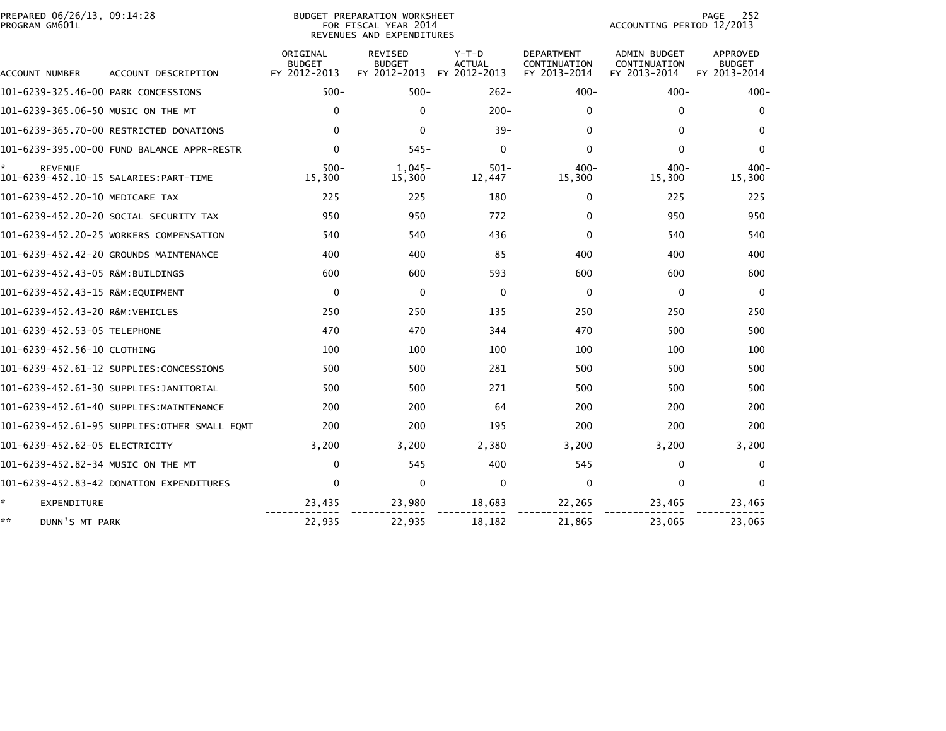| PREPARED 06/26/13, 09:14:28<br>PROGRAM GM601L | <b>BUDGET PREPARATION WORKSHEET</b><br>FOR FISCAL YEAR 2014<br>REVENUES AND EXPENDITURES |                                           |                                                 |                                          |                                                   |                                                     | 252<br>PAGE<br>ACCOUNTING PERIOD 12/2013         |  |
|-----------------------------------------------|------------------------------------------------------------------------------------------|-------------------------------------------|-------------------------------------------------|------------------------------------------|---------------------------------------------------|-----------------------------------------------------|--------------------------------------------------|--|
| ACCOUNT NUMBER                                | ACCOUNT DESCRIPTION                                                                      | ORIGINAL<br><b>BUDGET</b><br>FY 2012-2013 | <b>REVISED</b><br><b>BUDGET</b><br>FY 2012-2013 | $Y-T-D$<br><b>ACTUAL</b><br>FY 2012-2013 | <b>DEPARTMENT</b><br>CONTINUATION<br>FY 2013-2014 | <b>ADMIN BUDGET</b><br>CONTINUATION<br>FY 2013-2014 | <b>APPROVED</b><br><b>BUDGET</b><br>FY 2013-2014 |  |
| 101-6239-325.46-00 PARK CONCESSIONS           |                                                                                          | $500 -$                                   | $500 -$                                         | $262 -$                                  | $400 -$                                           | $400 -$                                             | $400 -$                                          |  |
| 101-6239-365.06-50 MUSIC ON THE MT            |                                                                                          | $\mathbf{0}$                              | $\mathbf{0}$                                    | $200 -$                                  | $\Omega$                                          | $\Omega$                                            | $\mathbf{0}$                                     |  |
|                                               | 101-6239-365.70-00 RESTRICTED DONATIONS                                                  | $\mathbf{0}$                              | $\Omega$                                        | $39 -$                                   | $\Omega$                                          | $\Omega$                                            | $\mathbf{0}$                                     |  |
|                                               | 101-6239-395.00-00 FUND BALANCE APPR-RESTR                                               | $\mathbf 0$                               | $545 -$                                         | $\mathbf 0$                              | $\mathbf{0}$                                      | $\mathbf{0}$                                        | $\mathbf{0}$                                     |  |
| <b>REVENUE</b>                                |                                                                                          | $500 -$<br>15,300                         | $1.045 -$<br>15,300                             | $501 -$<br>12,447                        | $400 -$<br>15,300                                 | $400 -$<br>15,300                                   | $400 -$<br>15,300                                |  |
| 101-6239-452.20-10 MEDICARE TAX               |                                                                                          | 225                                       | 225                                             | 180                                      | 0                                                 | 225                                                 | 225                                              |  |
|                                               | 101-6239-452.20-20 SOCIAL SECURITY TAX                                                   | 950                                       | 950                                             | 772                                      | 0                                                 | 950                                                 | 950                                              |  |
|                                               | 101-6239-452.20-25 WORKERS COMPENSATION                                                  | 540                                       | 540                                             | 436                                      | $\Omega$                                          | 540                                                 | 540                                              |  |
|                                               | 101-6239-452.42-20 GROUNDS MAINTENANCE                                                   | 400                                       | 400                                             | 85                                       | 400                                               | 400                                                 | 400                                              |  |
| 101-6239-452.43-05 R&M:BUILDINGS              |                                                                                          | 600                                       | 600                                             | 593                                      | 600                                               | 600                                                 | 600                                              |  |
| 101-6239-452.43-15 R&M:EOUIPMENT              |                                                                                          | $\mathbf 0$                               | $\mathbf{0}$                                    | $\mathbf 0$                              | $\Omega$                                          | $\mathbf{0}$                                        | $\Omega$                                         |  |
| 101-6239-452.43-20 R&M:VEHICLES               |                                                                                          | 250                                       | 250                                             | 135                                      | 250                                               | 250                                                 | 250                                              |  |
| 101-6239-452.53-05 TELEPHONE                  |                                                                                          | 470                                       | 470                                             | 344                                      | 470                                               | 500                                                 | 500                                              |  |
| 101-6239-452.56-10 CLOTHING                   |                                                                                          | 100                                       | 100                                             | 100                                      | 100                                               | 100                                                 | 100                                              |  |
|                                               | 101-6239-452.61-12 SUPPLIES:CONCESSIONS                                                  | 500                                       | 500                                             | 281                                      | 500                                               | 500                                                 | 500                                              |  |
|                                               | 101-6239-452.61-30 SUPPLIES:JANITORIAL                                                   | 500                                       | 500                                             | 271                                      | 500                                               | 500                                                 | 500                                              |  |
|                                               | 101-6239-452.61-40 SUPPLIES:MAINTENANCE                                                  | 200                                       | 200                                             | 64                                       | 200                                               | 200                                                 | 200                                              |  |
|                                               | 101-6239-452.61-95 SUPPLIES:OTHER SMALL EQMT                                             | 200                                       | 200                                             | 195                                      | 200                                               | 200                                                 | 200                                              |  |
| 101-6239-452.62-05 ELECTRICITY                |                                                                                          | 3,200                                     | 3,200                                           | 2,380                                    | 3.200                                             | 3.200                                               | 3,200                                            |  |
| 101-6239-452.82-34 MUSIC ON THE MT            |                                                                                          | $\mathbf 0$                               | 545                                             | 400                                      | 545                                               | $\Omega$                                            | $\mathbf{0}$                                     |  |
|                                               | 101-6239-452.83-42 DONATION EXPENDITURES                                                 | $\Omega$                                  | $\mathbf{0}$                                    | $\mathbf 0$                              | $\Omega$                                          | $\mathbf{0}$                                        | $\mathbf{0}$                                     |  |
| *<br>EXPENDITURE                              |                                                                                          | 23,435                                    | 23,980                                          | 18,683                                   | 22,265                                            | 23,465                                              | 23,465                                           |  |
| **<br>DUNN'S MT PARK                          |                                                                                          | 22,935                                    | 22,935                                          | 18,182                                   | 21,865                                            | 23,065                                              | 23,065                                           |  |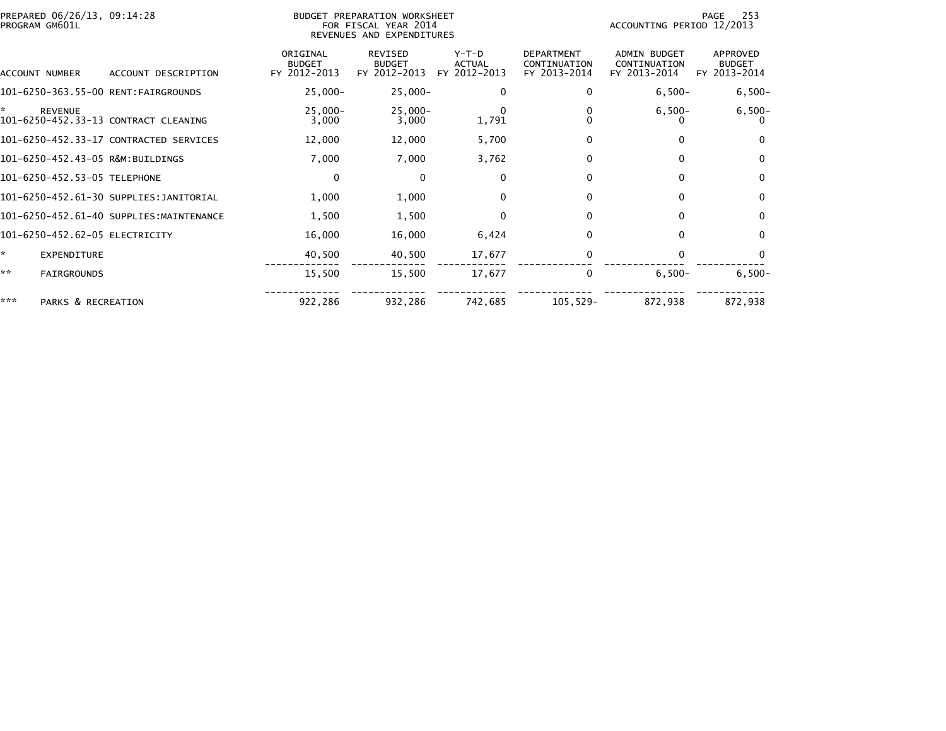|     | PREPARED 06/26/13, 09:14:28<br>PROGRAM GM601L |                                         |                                           | BUDGET PREPARATION WORKSHEET<br>FOR FISCAL YEAR 2014<br>REVENUES AND EXPENDITURES |                                          |                                                   |                                                     | 253<br>PAGE<br>ACCOUNTING PERIOD 12/2013  |  |  |
|-----|-----------------------------------------------|-----------------------------------------|-------------------------------------------|-----------------------------------------------------------------------------------|------------------------------------------|---------------------------------------------------|-----------------------------------------------------|-------------------------------------------|--|--|
|     | ACCOUNT NUMBER                                | ACCOUNT DESCRIPTION                     | ORIGINAL<br><b>BUDGET</b><br>FY 2012-2013 | <b>REVISED</b><br><b>BUDGET</b><br>FY 2012-2013                                   | $Y-T-D$<br><b>ACTUAL</b><br>FY 2012-2013 | <b>DEPARTMENT</b><br>CONTINUATION<br>FY 2013-2014 | <b>ADMIN BUDGET</b><br>CONTINUATION<br>FY 2013-2014 | APPROVED<br><b>BUDGET</b><br>FY 2013-2014 |  |  |
|     |                                               | 101-6250-363.55-00 RENT:FAIRGROUNDS     | $25,000 -$                                | $25,000-$                                                                         | 0                                        |                                                   | $6,500-$                                            | $6,500-$                                  |  |  |
| ÷.  | <b>REVENUE</b>                                | 101-6250-452.33-13 CONTRACT CLEANING    | $25,000 -$<br>3,000                       | $25,000 -$<br>3,000                                                               | $\Omega$<br>1,791                        |                                                   | $6,500-$                                            | $6,500-$                                  |  |  |
|     |                                               | 101-6250-452.33-17 CONTRACTED SERVICES  | 12,000                                    | 12,000                                                                            | 5,700                                    | 0                                                 |                                                     | $\mathbf{0}$                              |  |  |
|     |                                               | 101-6250-452.43-05 R&M:BUILDINGS        | 7,000                                     | 7,000                                                                             | 3,762                                    | 0                                                 |                                                     | $\mathbf{0}$                              |  |  |
|     | 101-6250-452.53-05 TELEPHONE                  |                                         | $\mathbf 0$                               | $\mathbf{0}$                                                                      | $\Omega$                                 | $\mathbf{0}$                                      |                                                     | $\mathbf{0}$                              |  |  |
|     |                                               | 101-6250-452.61-30 SUPPLIES:JANITORIAL  | 1,000                                     | 1,000                                                                             | $\Omega$                                 |                                                   |                                                     | 0                                         |  |  |
|     |                                               | 101-6250-452.61-40 SUPPLIES:MAINTENANCE | 1,500                                     | 1,500                                                                             | 0                                        | 0                                                 |                                                     | 0                                         |  |  |
|     |                                               | 101-6250-452.62-05 ELECTRICITY          | 16,000                                    | 16,000                                                                            | 6,424                                    | <sup>0</sup>                                      |                                                     | $\mathbf{0}$                              |  |  |
| ÷.  | EXPENDITURE                                   |                                         | 40,500                                    | 40,500                                                                            | 17,677                                   |                                                   |                                                     |                                           |  |  |
| **  | <b>FAIRGROUNDS</b>                            |                                         | 15,500                                    | 15,500                                                                            | 17,677                                   | 0                                                 | $6,500-$                                            | $6,500-$                                  |  |  |
| *** | PARKS & RECREATION                            |                                         | 922,286                                   | 932,286                                                                           | 742,685                                  | $105, 529 -$                                      | 872,938                                             | 872,938                                   |  |  |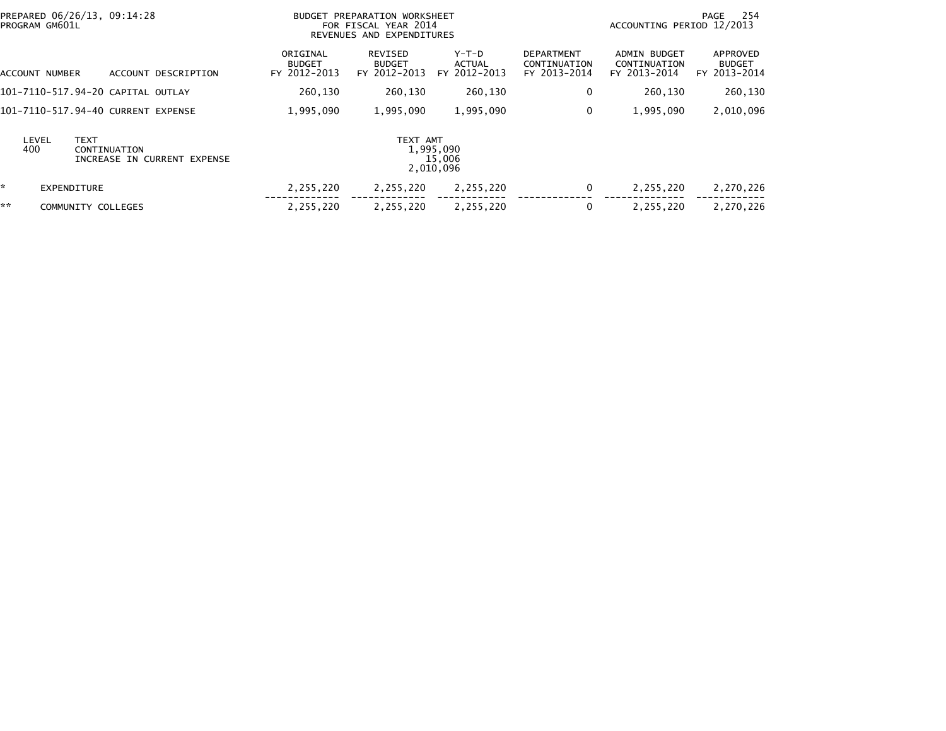| PREPARED 06/26/13, 09:14:28<br>PROGRAM GM601L |                             | BUDGET PREPARATION WORKSHEET<br>FOR FISCAL YEAR 2014<br>REVENUES AND EXPENDITURES |                                          |                                          |                                                   | 254<br>PAGE<br>ACCOUNTING PERIOD 12/2013            |                                           |  |
|-----------------------------------------------|-----------------------------|-----------------------------------------------------------------------------------|------------------------------------------|------------------------------------------|---------------------------------------------------|-----------------------------------------------------|-------------------------------------------|--|
| ACCOUNT NUMBER                                | ACCOUNT DESCRIPTION         | ORIGINAL<br><b>BUDGET</b><br>FY 2012-2013                                         | REVISED<br><b>BUDGET</b><br>FY 2012-2013 | $Y-T-D$<br><b>ACTUAL</b><br>FY 2012-2013 | <b>DEPARTMENT</b><br>CONTINUATION<br>FY 2013-2014 | <b>ADMIN BUDGET</b><br>CONTINUATION<br>FY 2013-2014 | APPROVED<br><b>BUDGET</b><br>FY 2013-2014 |  |
| 101–7110–517.94–20 CAPITAL OUTLAY             |                             | 260,130                                                                           | 260,130                                  | 260,130                                  | 0                                                 | 260,130                                             | 260,130                                   |  |
| 101-7110-517.94-40 CURRENT EXPENSE            |                             | 1,995,090                                                                         | 1,995,090                                | 1,995,090                                | 0                                                 | 1,995,090                                           | 2,010,096                                 |  |
| <b>TEXT</b><br>LEVEL<br>400<br>CONTINUATION   | INCREASE IN CURRENT EXPENSE |                                                                                   | TEXT AMT<br>1,995,090<br>2,010,096       | 15,006                                   |                                                   |                                                     |                                           |  |
| ×.<br><b>EXPENDITURE</b>                      |                             | 2,255,220                                                                         | 2,255,220                                | 2,255,220                                | 0                                                 | 2,255,220                                           | 2,270,226                                 |  |
| **<br>COMMUNITY COLLEGES                      |                             | 2,255,220                                                                         | 2,255,220                                | 2,255,220                                | $\mathbf{0}$                                      | 2,255,220                                           | 2,270,226                                 |  |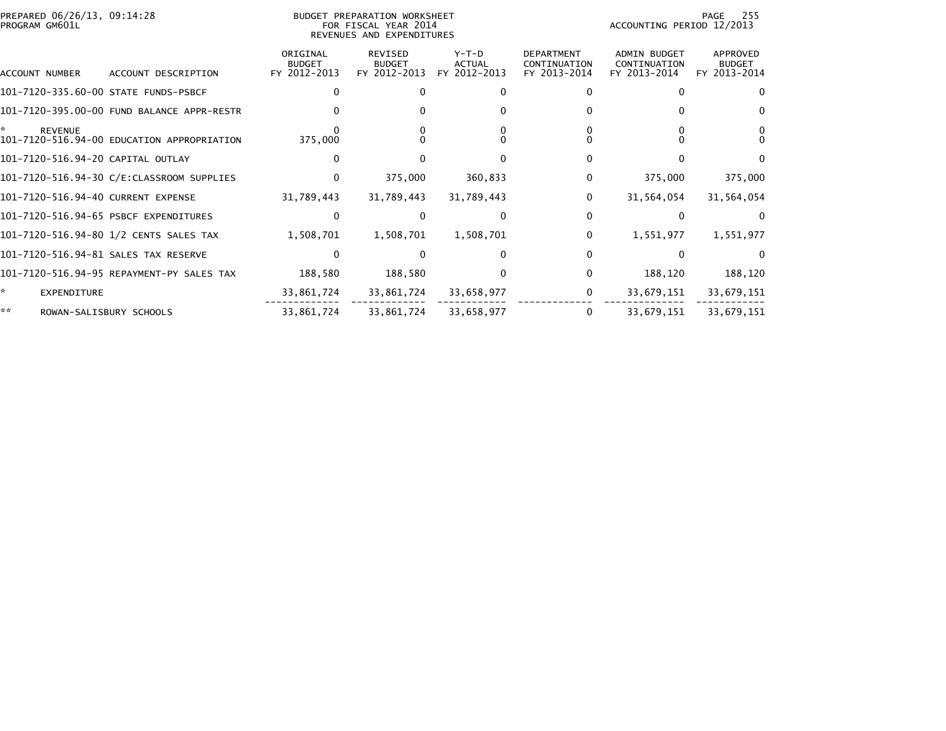| PROGRAM GM601L                       | PREPARED 06/26/13, 09:14:28<br>BUDGET PREPARATION WORKSHEET<br>FOR FISCAL YEAR 2014<br>REVENUES AND EXPENDITURES |                                           |                                                 |                                   |                                                   | 255<br>PAGE<br>ACCOUNTING PERIOD 12/2013            |                                           |  |
|--------------------------------------|------------------------------------------------------------------------------------------------------------------|-------------------------------------------|-------------------------------------------------|-----------------------------------|---------------------------------------------------|-----------------------------------------------------|-------------------------------------------|--|
| ACCOUNT NUMBER                       | ACCOUNT DESCRIPTION                                                                                              | ORIGINAL<br><b>BUDGET</b><br>FY 2012-2013 | <b>REVISED</b><br><b>BUDGET</b><br>FY 2012-2013 | $Y-T-D$<br>ACTUAL<br>FY 2012-2013 | <b>DEPARTMENT</b><br>CONTINUATION<br>FY 2013-2014 | <b>ADMIN BUDGET</b><br>CONTINUATION<br>FY 2013-2014 | APPROVED<br><b>BUDGET</b><br>FY 2013-2014 |  |
| 101-7120-335.60-00 STATE FUNDS-PSBCF |                                                                                                                  | 0                                         |                                                 |                                   |                                                   |                                                     |                                           |  |
|                                      | 101-7120-395.00-00 FUND BALANCE APPR-RESTR                                                                       |                                           |                                                 |                                   |                                                   |                                                     |                                           |  |
| <b>REVENUE</b>                       | 101-7120-516.94-00 EDUCATION APPROPRIATION                                                                       | 375,000                                   |                                                 |                                   |                                                   |                                                     |                                           |  |
| 101-7120-516.94-20 CAPITAL OUTLAY    |                                                                                                                  | $\Omega$                                  |                                                 |                                   |                                                   |                                                     |                                           |  |
|                                      | 101-7120-516.94-30 C/E:CLASSROOM SUPPLIES                                                                        | $\Omega$                                  | 375,000                                         | 360,833                           | 0                                                 | 375,000                                             | 375,000                                   |  |
| 101-7120-516.94-40 CURRENT EXPENSE   |                                                                                                                  | 31,789,443                                | 31,789,443                                      | 31,789,443                        | 0                                                 | 31,564,054                                          | 31,564,054                                |  |
|                                      | 101-7120-516.94-65 PSBCF EXPENDITURES                                                                            | $\Omega$                                  |                                                 | $\mathbf{0}$                      | 0                                                 | 0                                                   | $\Omega$                                  |  |
|                                      | 101-7120-516.94-80 1/2 CENTS SALES TAX                                                                           | 1,508,701                                 | 1,508,701                                       | 1,508,701                         | 0                                                 | 1,551,977                                           | 1,551,977                                 |  |
|                                      | 101-7120-516.94-81 SALES TAX RESERVE                                                                             | 0                                         |                                                 |                                   |                                                   |                                                     |                                           |  |
|                                      | 101-7120-516.94-95 REPAYMENT-PY SALES TAX                                                                        | 188,580                                   | 188,580                                         | $\mathbf{0}$                      | 0                                                 | 188,120                                             | 188,120                                   |  |
| *<br><b>EXPENDITURE</b>              |                                                                                                                  | 33,861,724                                | 33,861,724                                      | 33,658,977                        | 0                                                 | 33,679,151                                          | 33,679,151                                |  |
| **                                   | ROWAN-SALISBURY SCHOOLS                                                                                          | 33,861,724                                | 33,861,724                                      | 33,658,977                        |                                                   | 33,679,151                                          | 33,679,151                                |  |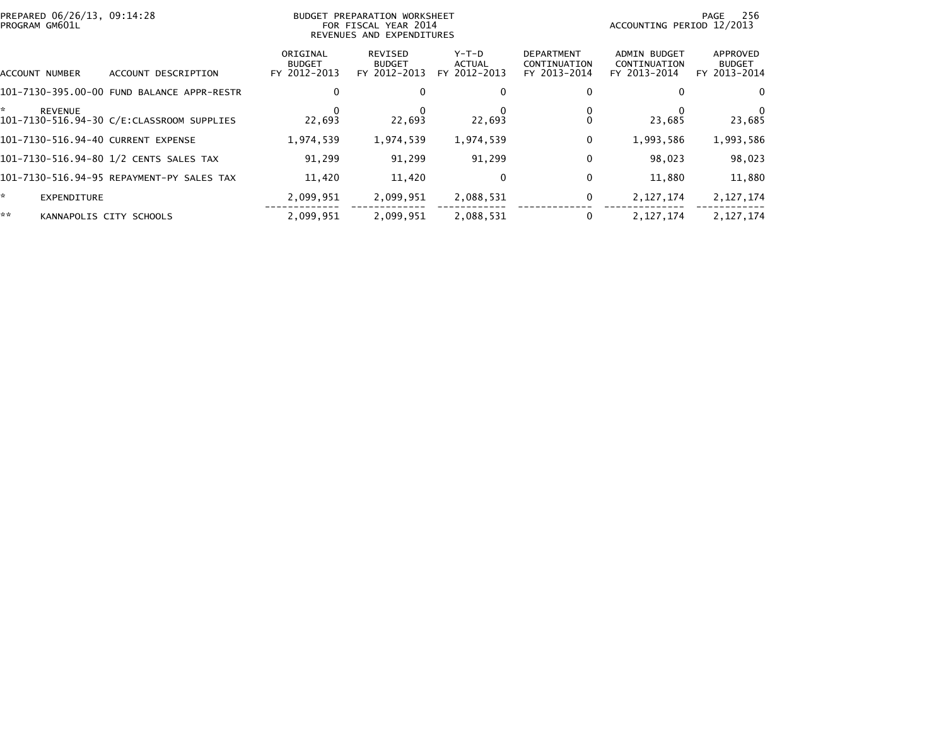| PREPARED 06/26/13, 09:14:28<br>PROGRAM GM601L |                                            |                                           | BUDGET PREPARATION WORKSHEET<br>FOR FISCAL YEAR 2014<br>REVENUES AND EXPENDITURES |                                   |                                                   |                                              | 256<br>PAGE<br>ACCOUNTING PERIOD 12/2013  |  |  |
|-----------------------------------------------|--------------------------------------------|-------------------------------------------|-----------------------------------------------------------------------------------|-----------------------------------|---------------------------------------------------|----------------------------------------------|-------------------------------------------|--|--|
| ACCOUNT NUMBER                                | DESCRIPTION<br><b>ACCOUNT</b>              | ORIGINAL<br><b>BUDGET</b><br>FY 2012-2013 | REVISED<br><b>BUDGET</b><br>FY 2012-2013                                          | $Y-T-D$<br>ACTUAL<br>FY 2012-2013 | <b>DEPARTMENT</b><br>CONTINUATION<br>FY 2013-2014 | ADMIN BUDGET<br>CONTINUATION<br>FY 2013-2014 | APPROVED<br><b>BUDGET</b><br>FY 2013-2014 |  |  |
|                                               | 101-7130-395.00-00 FUND BALANCE APPR-RESTR | 0                                         |                                                                                   | 0                                 | 0                                                 |                                              |                                           |  |  |
| *<br><b>REVENUE</b>                           | 101-7130-516.94-30 C/E:CLASSROOM SUPPLIES  | 22.693                                    | 22.693                                                                            | 22,693                            |                                                   | 23,685                                       | 23,685                                    |  |  |
| 101-7130-516.94-40 CURRENT EXPENSE            |                                            | 1,974,539                                 | 1,974,539                                                                         | 1,974,539                         | 0                                                 | 1,993,586                                    | 1,993,586                                 |  |  |
|                                               | 101-7130-516.94-80 1/2 CENTS SALES TAX     | 91.299                                    | 91,299                                                                            | 91,299                            | 0                                                 | 98,023                                       | 98,023                                    |  |  |
|                                               | 101–7130–516.94–95 REPAYMENT–PY SALES TAX  | 11,420                                    | 11,420                                                                            | 0                                 | 0                                                 | 11,880                                       | 11,880                                    |  |  |
| *.<br><b>EXPENDITURE</b>                      |                                            | 2,099,951                                 | 2,099,951                                                                         | 2,088,531                         | 0                                                 | 2, 127, 174                                  | 2, 127, 174                               |  |  |
| **                                            | KANNAPOLIS CITY SCHOOLS                    | 2,099,951                                 | 2,099,951                                                                         | 2,088,531                         |                                                   | 2, 127, 174                                  | 2, 127, 174                               |  |  |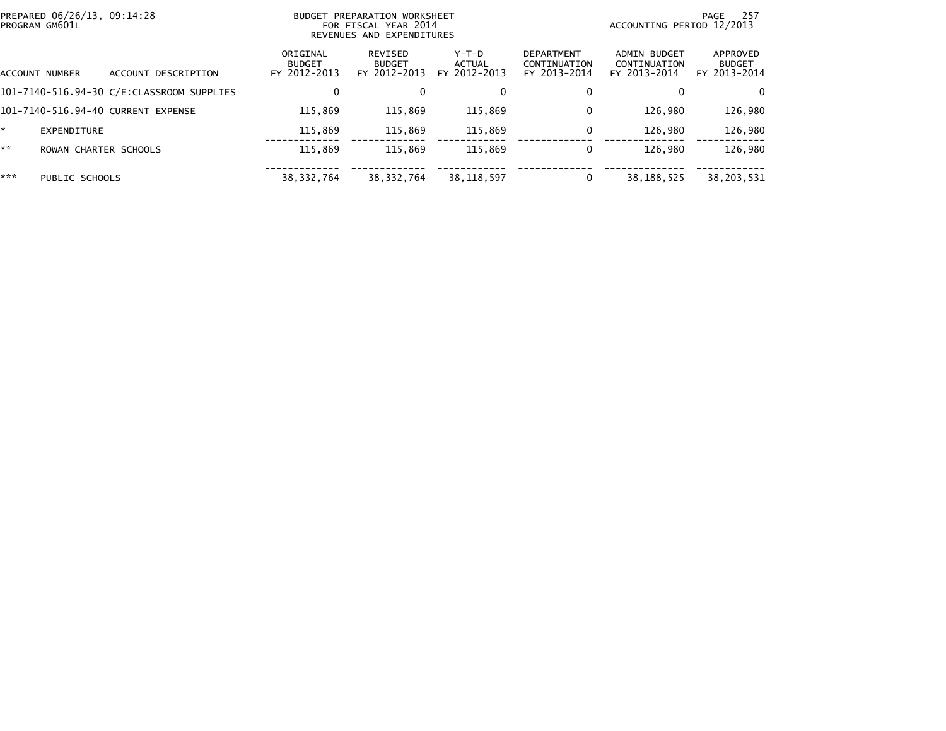| PREPARED 06/26/13, 09:14:28<br>PROGRAM GM601L |                       |                                           |                                           | BUDGET PREPARATION WORKSHEET<br>FOR FISCAL YEAR 2014<br>REVENUES AND EXPENDITURES |                                 |                                                   |                                              | -257<br>PAGE<br>ACCOUNTING PERIOD 12/2013 |  |  |
|-----------------------------------------------|-----------------------|-------------------------------------------|-------------------------------------------|-----------------------------------------------------------------------------------|---------------------------------|---------------------------------------------------|----------------------------------------------|-------------------------------------------|--|--|
|                                               | ACCOUNT NUMBER        | ACCOUNT DESCRIPTION                       | ORIGINAL<br><b>BUDGET</b><br>FY 2012-2013 | REVISED<br><b>BUDGET</b><br>FY 2012-2013                                          | Y-T-D<br>ACTUAL<br>FY 2012-2013 | <b>DEPARTMENT</b><br>CONTINUATION<br>FY 2013-2014 | ADMIN BUDGET<br>CONTINUATION<br>FY 2013-2014 | APPROVED<br><b>BUDGET</b><br>FY 2013-2014 |  |  |
|                                               |                       | 101-7140-516.94-30 C/E:CLASSROOM SUPPLIES | 0                                         | $\mathbf{0}$                                                                      | 0                               | 0                                                 | 0                                            | $\mathbf{0}$                              |  |  |
|                                               |                       | 101-7140-516.94-40 CURRENT EXPENSE        | 115.869                                   | 115,869                                                                           | 115,869                         | 0                                                 | 126,980                                      | 126,980                                   |  |  |
| ×.                                            | <b>EXPENDITURE</b>    |                                           | 115.869                                   | 115,869                                                                           | 115,869                         | 0                                                 | 126,980                                      | 126,980                                   |  |  |
| **                                            | ROWAN CHARTER SCHOOLS |                                           | 115.869                                   | 115.869                                                                           | 115.869                         | 0                                                 | 126.980                                      | 126,980                                   |  |  |
| ***                                           | PUBLIC SCHOOLS        |                                           | 38, 332, 764                              | 38, 332, 764                                                                      | 38, 118, 597                    | 0                                                 | 38,188,525                                   | 38,203,531                                |  |  |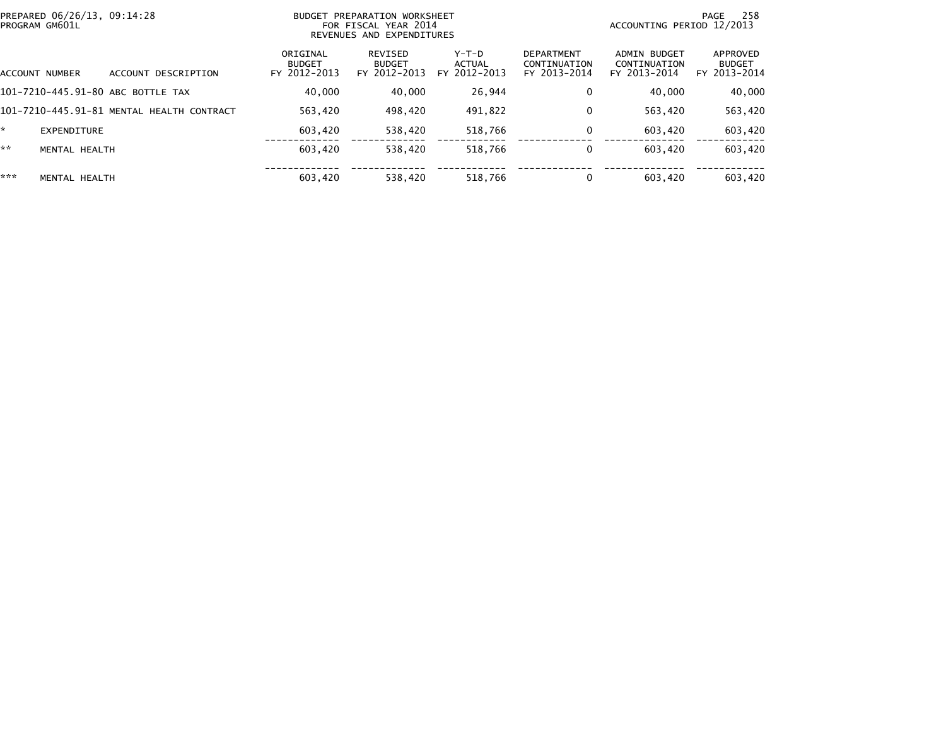| PREPARED 06/26/13, 09:14:28<br>PROGRAM GM601L |               |                                           | BUDGET PREPARATION WORKSHEET<br>FOR FISCAL YEAR 2014<br>REVENUES AND EXPENDITURES |                                          |                                   |                                                   | 258<br>PAGE<br>ACCOUNTING PERIOD 12/2013     |                                           |  |
|-----------------------------------------------|---------------|-------------------------------------------|-----------------------------------------------------------------------------------|------------------------------------------|-----------------------------------|---------------------------------------------------|----------------------------------------------|-------------------------------------------|--|
| ACCOUNT NUMBER                                |               | DESCRIPTION<br>ACCOUNT                    | ORIGINAL<br><b>BUDGET</b><br>FY 2012-2013                                         | REVISED<br><b>BUDGET</b><br>FY 2012-2013 | $Y-T-D$<br>ACTUAL<br>FY 2012-2013 | <b>DEPARTMENT</b><br>CONTINUATION<br>FY 2013-2014 | ADMIN BUDGET<br>CONTINUATION<br>FY 2013-2014 | APPROVED<br><b>BUDGET</b><br>FY 2013-2014 |  |
|                                               |               | 101-7210-445.91-80 ABC BOTTLE TAX         | 40,000                                                                            | 40.000                                   | 26.944                            | 0                                                 | 40.000                                       | 40,000                                    |  |
|                                               |               | 101-7210-445.91-81 MENTAL HEALTH CONTRACT | 563.420                                                                           | 498.420                                  | 491.822                           | 0                                                 | 563.420                                      | 563,420                                   |  |
| *                                             | EXPENDITURE   |                                           | 603.420                                                                           | 538,420                                  | 518,766                           | 0                                                 | 603.420                                      | 603,420                                   |  |
| **                                            | MENTAL HEALTH |                                           | 603,420                                                                           | 538,420                                  | 518,766                           | 0                                                 | 603,420                                      | 603,420                                   |  |
| ***                                           | MENTAL HEALTH |                                           | 603,420                                                                           | 538,420                                  | 518,766                           | 0                                                 | 603.420                                      | 603,420                                   |  |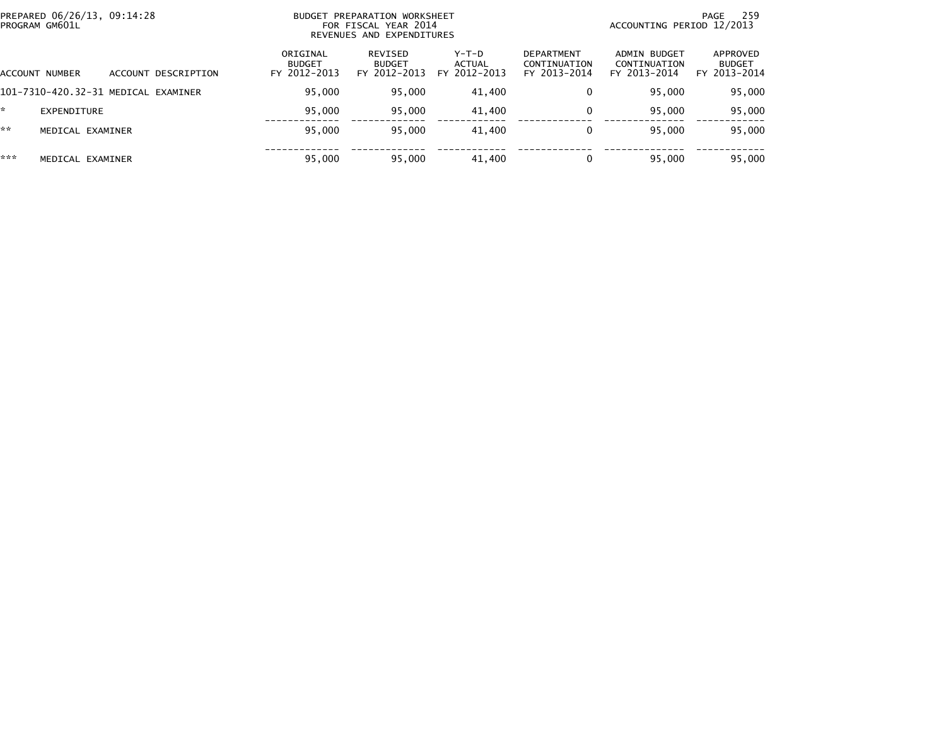| PREPARED 06/26/13, 09:14:28<br>PROGRAM GM601L |                     | <b>BUDGET</b>                             | PREPARATION WORKSHEET<br>FOR FISCAL YEAR 2014<br>REVENUES AND EXPENDITURES |                                          | 259<br>PAGE<br>ACCOUNTING PERIOD 12/2013          |                                              |                                           |  |
|-----------------------------------------------|---------------------|-------------------------------------------|----------------------------------------------------------------------------|------------------------------------------|---------------------------------------------------|----------------------------------------------|-------------------------------------------|--|
| ACCOUNT NUMBER                                | ACCOUNT DESCRIPTION | ORIGINAL<br><b>BUDGET</b><br>FY 2012-2013 | REVISED<br><b>BUDGET</b><br>FY 2012-2013                                   | $Y-T-D$<br><b>ACTUAL</b><br>FY 2012-2013 | <b>DEPARTMENT</b><br>CONTINUATION<br>FY 2013-2014 | ADMIN BUDGET<br>CONTINUATION<br>FY 2013-2014 | APPROVED<br><b>BUDGET</b><br>FY 2013-2014 |  |
| 101-7310-420.32-31 MEDICAL EXAMINER           |                     | 95,000                                    | 95,000                                                                     | 41,400                                   |                                                   | 95.000                                       | 95,000                                    |  |
| EXPENDITURE                                   |                     | 95,000                                    | 95.000                                                                     | 41.400                                   |                                                   | 95.000                                       | 95,000                                    |  |
| **<br>MEDICAL EXAMINER                        |                     | 95,000                                    | 95.000                                                                     | 41.400                                   |                                                   | 95.000                                       | 95,000                                    |  |
| ***<br>MEDICAL EXAMINER                       |                     | 95,000                                    | 95,000                                                                     | 41,400                                   |                                                   | 95,000                                       | 95,000                                    |  |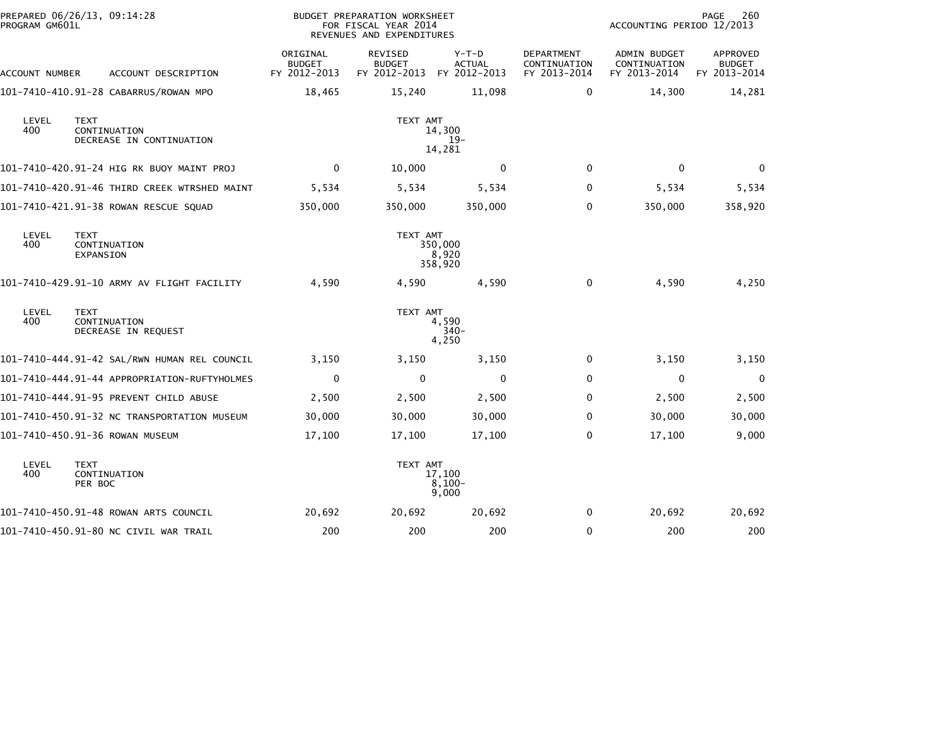| PROGRAM GM601L | PREPARED 06/26/13, 09:14:28                             |                                           | <b>BUDGET PREPARATION WORKSHEET</b><br>FOR FISCAL YEAR 2014<br>REVENUES AND EXPENDITURES |                             |                                                   | ACCOUNTING PERIOD 12/2013                    | PAGE<br>260                               |
|----------------|---------------------------------------------------------|-------------------------------------------|------------------------------------------------------------------------------------------|-----------------------------|---------------------------------------------------|----------------------------------------------|-------------------------------------------|
| ACCOUNT NUMBER | ACCOUNT DESCRIPTION                                     | ORIGINAL<br><b>BUDGET</b><br>FY 2012-2013 | <b>REVISED</b><br><b>BUDGET</b><br>FY 2012-2013 FY 2012-2013                             | $Y-T-D$<br><b>ACTUAL</b>    | <b>DEPARTMENT</b><br>CONTINUATION<br>FY 2013-2014 | ADMIN BUDGET<br>CONTINUATION<br>FY 2013-2014 | APPROVED<br><b>BUDGET</b><br>FY 2013-2014 |
|                | 101-7410-410.91-28 CABARRUS/ROWAN MPO                   | 18,465                                    | 15,240                                                                                   | 11,098                      | $\mathbf{0}$                                      | 14,300                                       | 14,281                                    |
| LEVEL<br>400   | <b>TEXT</b><br>CONTINUATION<br>DECREASE IN CONTINUATION |                                           | TEXT AMT                                                                                 | 14,300<br>$19-$<br>14,281   |                                                   |                                              |                                           |
|                | 101-7410-420.91-24 HIG RK BUOY MAINT PROJ               | $\mathbf 0$                               | 10,000                                                                                   | $\Omega$                    | $\mathbf{0}$                                      | $\Omega$                                     | $\mathbf{0}$                              |
|                | 101-7410-420.91-46 THIRD CREEK WTRSHED MAINT            | 5,534                                     | 5,534                                                                                    | 5,534                       | $\Omega$                                          | 5,534                                        | 5,534                                     |
|                | 101-7410-421.91-38 ROWAN RESCUE SQUAD                   | 350,000                                   | 350,000                                                                                  | 350,000                     | 0                                                 | 350,000                                      | 358,920                                   |
| LEVEL<br>400   | <b>TEXT</b><br>CONTINUATION<br>EXPANSION                |                                           | TEXT AMT                                                                                 | 350,000<br>8,920<br>358,920 |                                                   |                                              |                                           |
|                | 101-7410-429.91-10 ARMY AV FLIGHT FACILITY              | 4,590                                     | 4,590                                                                                    | 4,590                       | 0                                                 | 4,590                                        | 4,250                                     |
| LEVEL<br>400   | <b>TEXT</b><br>CONTINUATION<br>DECREASE IN REQUEST      |                                           | TEXT AMT                                                                                 | 4,590<br>$340-$<br>4,250    |                                                   |                                              |                                           |
|                | 101-7410-444.91-42 SAL/RWN HUMAN REL COUNCIL            | 3,150                                     | 3,150                                                                                    | 3,150                       | 0                                                 | 3,150                                        | 3,150                                     |
|                | 101-7410-444.91-44 APPROPRIATION-RUFTYHOLMES            | 0                                         | 0                                                                                        | 0                           | $\mathbf{0}$                                      | 0                                            | $\mathbf 0$                               |
|                | 101-7410-444.91-95 PREVENT CHILD ABUSE                  | 2,500                                     | 2,500                                                                                    | 2,500                       | $\Omega$                                          | 2,500                                        | 2,500                                     |
|                | 101-7410-450.91-32 NC TRANSPORTATION MUSEUM             | 30,000                                    | 30,000                                                                                   | 30,000                      | $\Omega$                                          | 30,000                                       | 30,000                                    |
|                | 101-7410-450.91-36 ROWAN MUSEUM                         | 17,100                                    | 17,100                                                                                   | 17,100                      | $\Omega$                                          | 17,100                                       | 9,000                                     |
| LEVEL<br>400   | <b>TEXT</b><br>CONTINUATION<br>PER BOC                  |                                           | TEXT AMT                                                                                 | 17,100<br>$8,100-$<br>9,000 |                                                   |                                              |                                           |
|                | 101-7410-450.91-48 ROWAN ARTS COUNCIL                   | 20,692                                    | 20,692                                                                                   | 20,692                      | $\mathbf{0}$                                      | 20,692                                       | 20,692                                    |
|                | 101-7410-450.91-80 NC CIVIL WAR TRAIL                   | 200                                       | 200                                                                                      | 200                         | 0                                                 | 200                                          | 200                                       |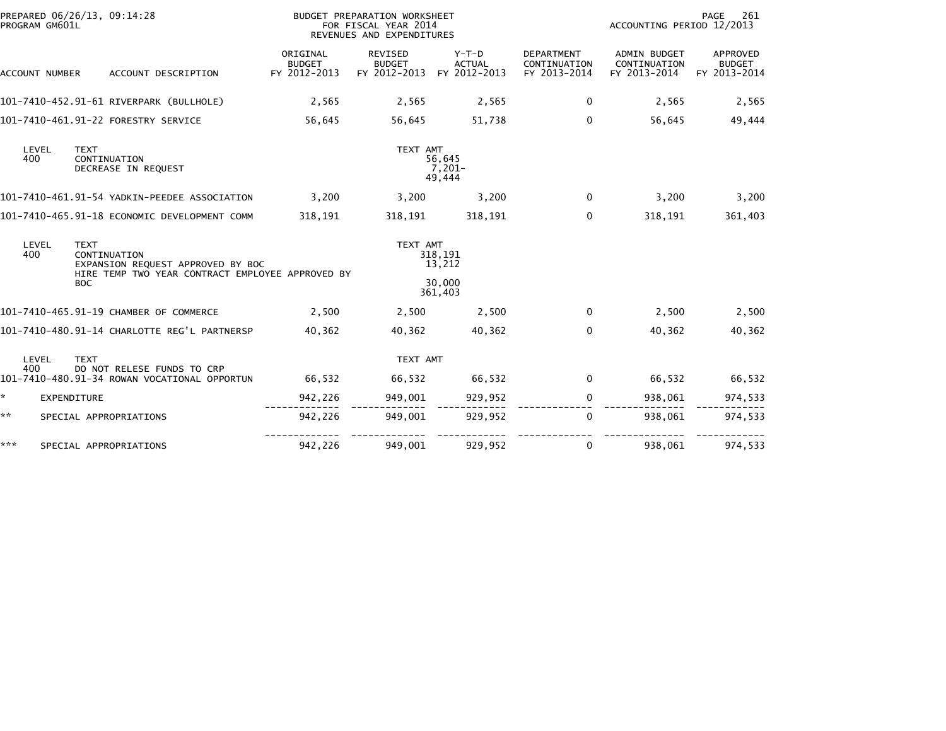| PROGRAM GM601L           | PREPARED 06/26/13, 09:14:28                                                                                                        |                                           | BUDGET PREPARATION WORKSHEET<br>FOR FISCAL YEAR 2014<br>REVENUES AND EXPENDITURES |                                          |                                                   | ACCOUNTING PERIOD 12/2013                    | PAGE<br>261                                      |
|--------------------------|------------------------------------------------------------------------------------------------------------------------------------|-------------------------------------------|-----------------------------------------------------------------------------------|------------------------------------------|---------------------------------------------------|----------------------------------------------|--------------------------------------------------|
| ACCOUNT NUMBER           | ACCOUNT DESCRIPTION                                                                                                                | ORIGINAL<br><b>BUDGET</b><br>FY 2012-2013 | <b>REVISED</b><br><b>BUDGET</b><br>FY 2012-2013                                   | $Y-T-D$<br><b>ACTUAL</b><br>FY 2012-2013 | <b>DEPARTMENT</b><br>CONTINUATION<br>FY 2013-2014 | ADMIN BUDGET<br>CONTINUATION<br>FY 2013-2014 | <b>APPROVED</b><br><b>BUDGET</b><br>FY 2013-2014 |
|                          | 101-7410-452.91-61 RIVERPARK (BULLHOLE)                                                                                            | 2,565                                     | 2,565                                                                             | 2,565                                    | $\mathbf{0}$                                      | 2,565                                        | 2,565                                            |
|                          | 101-7410-461.91-22 FORESTRY SERVICE                                                                                                | 56,645                                    | 56,645                                                                            | 51,738                                   | $\mathbf{0}$                                      | 56,645                                       | 49,444                                           |
| LEVEL<br>400             | <b>TEXT</b><br>CONTINUATION<br>DECREASE IN REQUEST                                                                                 |                                           | TEXT AMT                                                                          | 56,645<br>$7,201-$<br>49,444             |                                                   |                                              |                                                  |
|                          | 101-7410-461.91-54 YADKIN-PEEDEE ASSOCIATION                                                                                       | 3,200                                     | 3,200                                                                             | 3,200                                    | $\mathbf{0}$                                      | 3,200                                        | 3,200                                            |
|                          | 101-7410-465.91-18 ECONOMIC DEVELOPMENT COMM                                                                                       | 318,191                                   | 318,191                                                                           | 318,191                                  | 0                                                 | 318,191                                      | 361,403                                          |
| LEVEL<br>400             | <b>TEXT</b><br>CONTINUATION<br>EXPANSION REQUEST APPROVED BY BOC<br>HIRE TEMP TWO YEAR CONTRACT EMPLOYEE APPROVED BY<br><b>BOC</b> |                                           | TEXT AMT                                                                          | 318,191<br>13,212<br>30,000              |                                                   |                                              |                                                  |
|                          |                                                                                                                                    |                                           |                                                                                   | 361,403                                  |                                                   |                                              |                                                  |
|                          | 101-7410-465.91-19 CHAMBER OF COMMERCE                                                                                             | 2,500                                     | 2,500                                                                             | 2,500                                    | 0                                                 | 2,500                                        | 2,500                                            |
|                          | 101-7410-480.91-14 CHARLOTTE REG'L PARTNERSP                                                                                       | 40.362                                    | 40.362                                                                            | 40.362                                   | $\mathbf{0}$                                      | 40.362                                       | 40,362                                           |
| LEVEL                    | <b>TEXT</b>                                                                                                                        |                                           | TEXT AMT                                                                          |                                          |                                                   |                                              |                                                  |
| 400                      | DO NOT RELESE FUNDS TO CRP<br>101-7410-480.91-34 ROWAN VOCATIONAL OPPORTUN                                                         | 66,532                                    | 66,532                                                                            | 66,532                                   | $\mathbf 0$                                       | 66,532                                       | 66,532                                           |
| ÷.<br><b>EXPENDITURE</b> |                                                                                                                                    | 942,226                                   | 949,001                                                                           | 929,952                                  | 0                                                 | 938,061                                      | 974,533                                          |
| **                       | SPECIAL APPROPRIATIONS                                                                                                             | 942,226                                   | 949,001                                                                           | 929,952                                  | 0                                                 | 938,061                                      | 974,533                                          |
| ***                      | SPECIAL APPROPRIATIONS                                                                                                             | 942,226                                   | 949,001                                                                           | 929,952                                  | 0                                                 | 938,061                                      | 974,533                                          |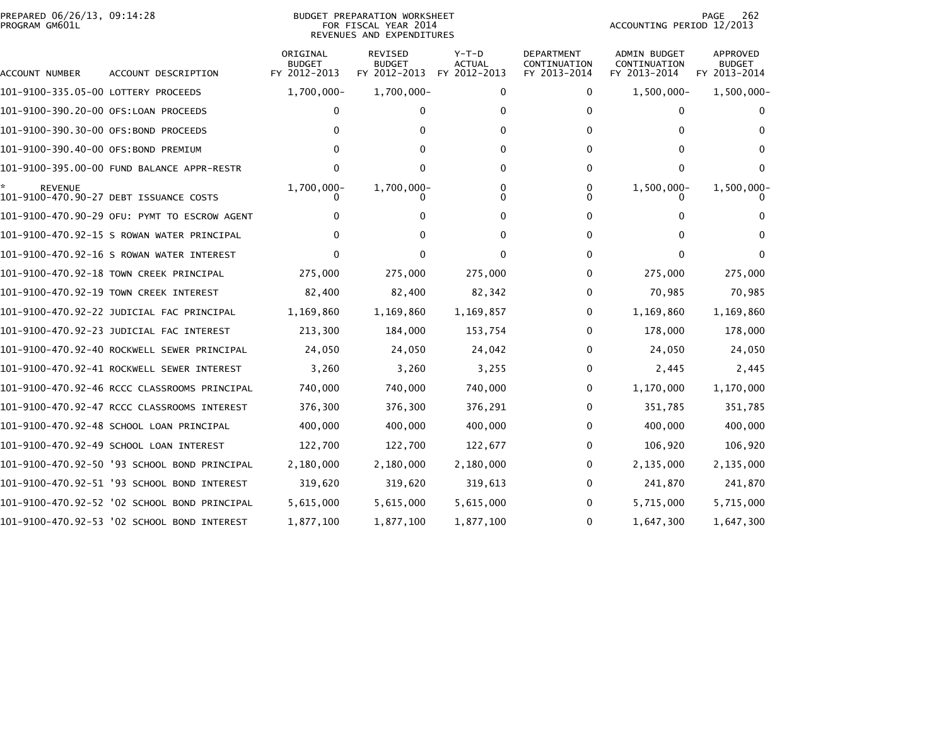|                | PREPARED 06/26/13, 09:14:28 |  |
|----------------|-----------------------------|--|
| PROGRAM GM601L |                             |  |

#### BUDGET PREPARATION WORKSHEET<br>FOR FISCAL YEAR 2014 PROGRAM GM601L FOR FISCAL YEAR 2014 ACCOUNTING PERIOD 12/2013REVENUES AND EXPENDITURES

| ACCOUNT NUMBER                       | ACCOUNT DESCRIPTION                          | ORIGINAL<br><b>BUDGET</b><br>FY 2012-2013 | REVISED<br><b>BUDGET</b><br>FY 2012-2013 | $Y-T-D$<br><b>ACTUAL</b><br>FY 2012-2013 | DEPARTMENT<br>CONTINUATION<br>FY 2013-2014 | ADMIN BUDGET<br>CONTINUATION<br>FY 2013-2014 | APPROVED<br><b>BUDGET</b><br>FY 2013-2014 |
|--------------------------------------|----------------------------------------------|-------------------------------------------|------------------------------------------|------------------------------------------|--------------------------------------------|----------------------------------------------|-------------------------------------------|
| 101-9100-335.05-00 LOTTERY PROCEEDS  |                                              | 1,700,000-                                | 1,700,000-                               | $\Omega$                                 | 0                                          | $1,500,000 -$                                | $1,500,000 -$                             |
| 101-9100-390.20-00 OFS:LOAN PROCEEDS |                                              | 0                                         | 0                                        | 0                                        | 0                                          | 0                                            |                                           |
| 101-9100-390.30-00 OFS:BOND PROCEEDS |                                              |                                           | 0                                        | 0                                        | 0                                          | 0                                            | 0                                         |
| 101–9100–390.40–00 OFS:BOND PREMIUM  |                                              |                                           | 0                                        | 0                                        | $\Omega$                                   | 0                                            |                                           |
|                                      | 101-9100-395.00-00 FUND BALANCE APPR-RESTR   | 0                                         | 0                                        | 0                                        | 0                                          | 0                                            | 0                                         |
| <b>REVENUE</b>                       | 101-9100-470.90-27 DEBT ISSUANCE COSTS       | 1,700,000-                                | $1,700,000 -$                            | 0<br>0                                   | 0<br><sup>0</sup>                          | $1,500,000 -$                                | $1,500,000 -$                             |
|                                      | 101-9100-470.90-29 OFU: PYMT TO ESCROW AGENT | 0                                         | 0                                        | 0                                        | 0                                          | 0                                            |                                           |
|                                      | 101-9100-470.92-15 S ROWAN WATER PRINCIPAL   |                                           | 0                                        | 0                                        | 0                                          | 0                                            |                                           |
|                                      | 101-9100-470.92-16 S ROWAN WATER INTEREST    | $\Omega$                                  | 0                                        | 0                                        | $\Omega$                                   | 0                                            |                                           |
|                                      | 101-9100-470.92-18 TOWN CREEK PRINCIPAL      | 275,000                                   | 275,000                                  | 275,000                                  | 0                                          | 275,000                                      | 275,000                                   |
|                                      | 101-9100-470.92-19 TOWN CREEK INTEREST       | 82,400                                    | 82,400                                   | 82,342                                   | 0                                          | 70,985                                       | 70,985                                    |
|                                      | 101-9100-470.92-22 JUDICIAL FAC PRINCIPAL    | 1,169,860                                 | 1,169,860                                | 1,169,857                                | 0                                          | 1,169,860                                    | 1,169,860                                 |
|                                      | 101-9100-470.92-23 JUDICIAL FAC INTEREST     | 213,300                                   | 184,000                                  | 153,754                                  | 0                                          | 178,000                                      | 178,000                                   |
|                                      | 101-9100-470.92-40 ROCKWELL SEWER PRINCIPAL  | 24,050                                    | 24,050                                   | 24,042                                   | 0                                          | 24,050                                       | 24,050                                    |
|                                      | 101-9100-470.92-41 ROCKWELL SEWER INTEREST   | 3,260                                     | 3,260                                    | 3,255                                    | 0                                          | 2,445                                        | 2,445                                     |
|                                      | 101-9100-470.92-46 RCCC CLASSROOMS PRINCIPAL | 740,000                                   | 740,000                                  | 740,000                                  | 0                                          | 1,170,000                                    | 1,170,000                                 |
|                                      | 101-9100-470.92-47 RCCC CLASSROOMS INTEREST  | 376,300                                   | 376,300                                  | 376,291                                  | 0                                          | 351,785                                      | 351,785                                   |
|                                      | 101-9100-470.92-48 SCHOOL LOAN PRINCIPAL     | 400,000                                   | 400,000                                  | 400,000                                  | 0                                          | 400,000                                      | 400,000                                   |
|                                      | 101-9100-470.92-49 SCHOOL LOAN INTEREST      | 122,700                                   | 122,700                                  | 122,677                                  | 0                                          | 106,920                                      | 106,920                                   |
|                                      | 101-9100-470.92-50 '93 SCHOOL BOND PRINCIPAL | 2,180,000                                 | 2,180,000                                | 2,180,000                                | 0                                          | 2,135,000                                    | 2,135,000                                 |
|                                      | 101-9100-470.92-51 '93 SCHOOL BOND INTEREST  | 319,620                                   | 319,620                                  | 319,613                                  | 0                                          | 241,870                                      | 241,870                                   |
|                                      | 101-9100-470.92-52 '02 SCHOOL BOND PRINCIPAL | 5,615,000                                 | 5,615,000                                | 5,615,000                                | 0                                          | 5,715,000                                    | 5,715,000                                 |
|                                      | 101-9100-470.92-53 '02 SCHOOL BOND INTEREST  | 1,877,100                                 | 1,877,100                                | 1,877,100                                | 0                                          | 1,647,300                                    | 1,647,300                                 |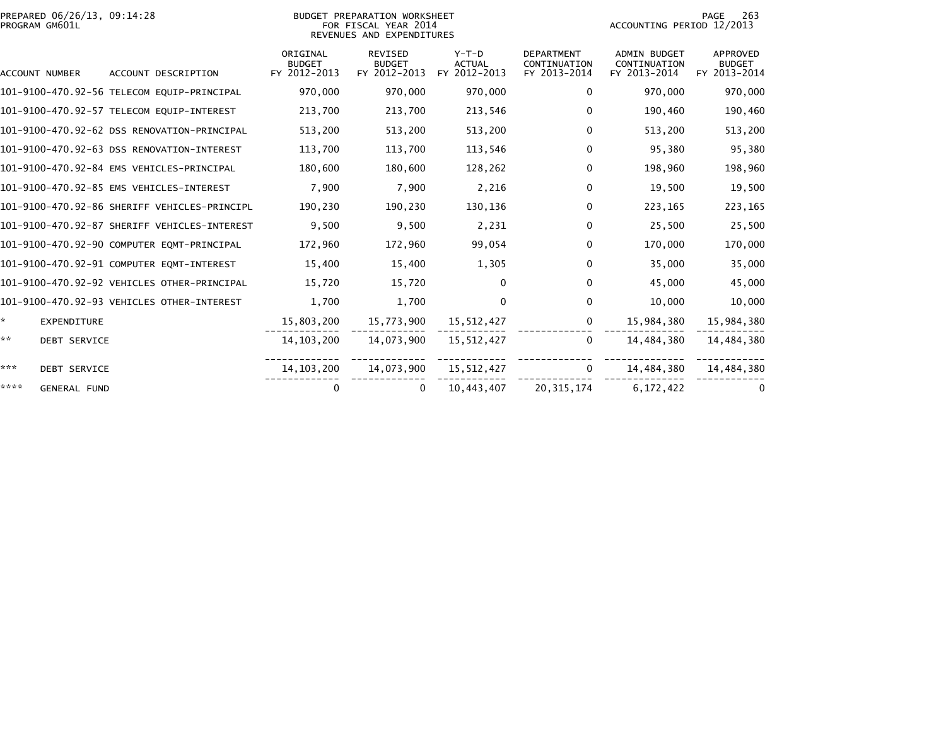| PREPARED 06/26/13, 09:14:28<br>PROGRAM GM601L |                                              |                                           | BUDGET PREPARATION WORKSHEET<br>FOR FISCAL YEAR 2014<br>REVENUES AND EXPENDITURES | 263<br>PAGE<br>ACCOUNTING PERIOD 12/2013 |                                                   |                                                     |                                                  |
|-----------------------------------------------|----------------------------------------------|-------------------------------------------|-----------------------------------------------------------------------------------|------------------------------------------|---------------------------------------------------|-----------------------------------------------------|--------------------------------------------------|
| ACCOUNT NUMBER                                | ACCOUNT DESCRIPTION                          | ORIGINAL<br><b>BUDGET</b><br>FY 2012-2013 | <b>REVISED</b><br><b>BUDGET</b><br>FY 2012-2013                                   | $Y-T-D$<br><b>ACTUAL</b><br>FY 2012-2013 | <b>DEPARTMENT</b><br>CONTINUATION<br>FY 2013-2014 | <b>ADMIN BUDGET</b><br>CONTINUATION<br>FY 2013-2014 | <b>APPROVED</b><br><b>BUDGET</b><br>FY 2013-2014 |
|                                               | 101-9100-470.92-56 TELECOM EQUIP-PRINCIPAL   | 970,000                                   | 970,000                                                                           | 970,000                                  | 0                                                 | 970,000                                             | 970,000                                          |
|                                               | 101-9100-470.92-57 TELECOM EQUIP-INTEREST    | 213,700                                   | 213,700                                                                           | 213,546                                  | $\mathbf 0$                                       | 190,460                                             | 190,460                                          |
|                                               | 101-9100-470.92-62 DSS RENOVATION-PRINCIPAL  | 513,200                                   | 513,200                                                                           | 513,200                                  | $\mathbf 0$                                       | 513,200                                             | 513,200                                          |
|                                               | 101-9100-470.92-63 DSS RENOVATION-INTEREST   | 113,700                                   | 113,700                                                                           | 113,546                                  | $\mathbf{0}$                                      | 95,380                                              | 95,380                                           |
|                                               | 101-9100-470.92-84 EMS VEHICLES-PRINCIPAL    | 180,600                                   | 180,600                                                                           | 128,262                                  | $\mathbf 0$                                       | 198,960                                             | 198,960                                          |
|                                               | 101-9100-470.92-85 EMS VEHICLES-INTEREST     | 7,900                                     | 7,900                                                                             | 2,216                                    | $\mathbf 0$                                       | 19,500                                              | 19,500                                           |
|                                               | 101-9100-470.92-86 SHERIFF VEHICLES-PRINCIPL | 190,230                                   | 190,230                                                                           | 130,136                                  | 0                                                 | 223,165                                             | 223,165                                          |
|                                               | 101-9100-470.92-87 SHERIFF VEHICLES-INTEREST | 9,500                                     | 9,500                                                                             | 2,231                                    | 0                                                 | 25,500                                              | 25,500                                           |
|                                               | 101-9100-470.92-90 COMPUTER EQMT-PRINCIPAL   | 172,960                                   | 172,960                                                                           | 99,054                                   | $\mathbf 0$                                       | 170,000                                             | 170,000                                          |
|                                               | 101-9100-470.92-91 COMPUTER EQMT-INTEREST    | 15,400                                    | 15,400                                                                            | 1,305                                    | $\mathbf 0$                                       | 35,000                                              | 35,000                                           |
|                                               | 101-9100-470.92-92 VEHICLES OTHER-PRINCIPAL  | 15.720                                    | 15,720                                                                            | $\Omega$                                 | $\mathbf{0}$                                      | 45,000                                              | 45,000                                           |
|                                               | 101-9100-470.92-93 VEHICLES OTHER-INTEREST   | 1,700                                     | 1,700                                                                             | $\mathbf{0}$                             | $\mathbf{0}$                                      | 10,000                                              | 10,000                                           |
| ÷.<br><b>EXPENDITURE</b>                      |                                              | 15,803,200                                | 15,773,900                                                                        | 15,512,427                               | 0                                                 | 15,984,380                                          | 15,984,380                                       |
| **<br><b>DEBT SERVICE</b>                     |                                              | 14, 103, 200                              | 14.073.900                                                                        | 15,512,427                               | 0                                                 | 14.484.380                                          | 14,484,380                                       |
| ***<br><b>DEBT SERVICE</b>                    |                                              | 14, 103, 200                              | 14,073,900                                                                        | 15,512,427                               | 0                                                 | 14,484,380                                          | 14,484,380                                       |
| ****<br><b>GENERAL FUND</b>                   |                                              | 0                                         | 0                                                                                 | 10,443,407                               | 20, 315, 174                                      | 6, 172, 422                                         | 0                                                |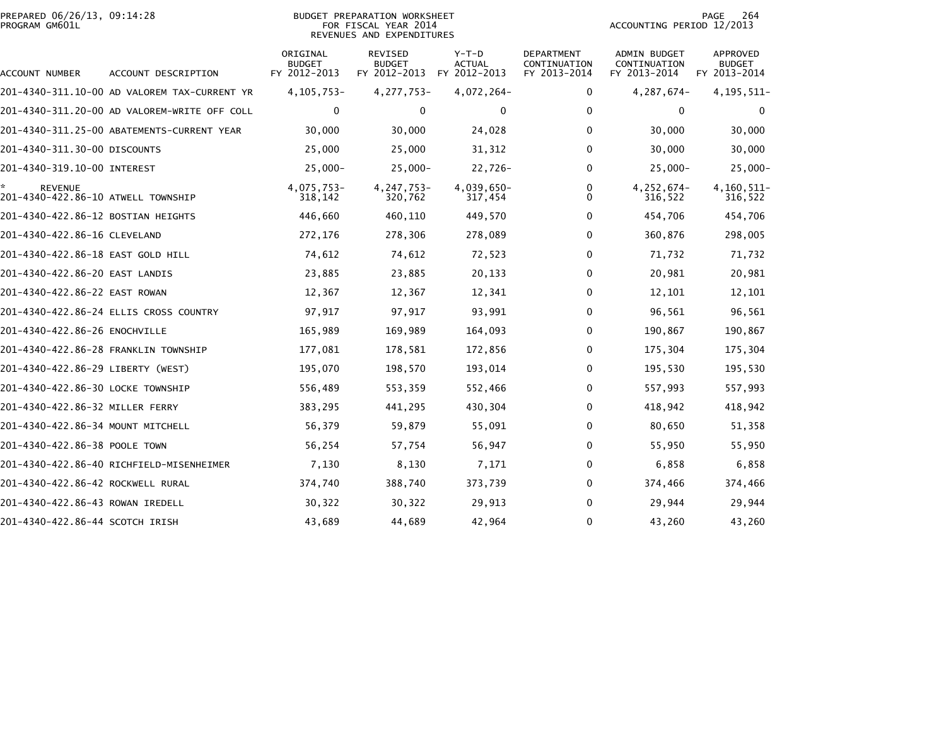|                | PREPARED 06/26/13. 09:14:28 |  |
|----------------|-----------------------------|--|
| PROGRAM GM601L |                             |  |

#### BUDGET PREPARATION WORKSHEET<br>FOR FISCAL YEAR 2014 PROGRAM GM601L FOR FISCAL YEAR 2014 ACCOUNTING PERIOD 12/2013REVENUES AND EXPENDITURES

| ACCOUNT NUMBER                                       | ACCOUNT DESCRIPTION                          | ORIGINAL<br><b>BUDGET</b><br>FY 2012-2013 | REVISED<br><b>BUDGET</b><br>FY 2012-2013 | $Y-T-D$<br><b>ACTUAL</b><br>FY 2012-2013 | <b>DEPARTMENT</b><br>CONTINUATION<br>FY 2013-2014 | <b>ADMIN BUDGET</b><br>CONTINUATION<br>FY 2013-2014 | APPROVED<br><b>BUDGET</b><br>FY 2013-2014 |
|------------------------------------------------------|----------------------------------------------|-------------------------------------------|------------------------------------------|------------------------------------------|---------------------------------------------------|-----------------------------------------------------|-------------------------------------------|
|                                                      | 201-4340-311.10-00 AD VALOREM TAX-CURRENT YR | 4, 105, 753-                              | 4, 277, 753-                             | 4,072,264-                               | 0                                                 | 4,287,674-                                          | 4, 195, 511-                              |
|                                                      | 201-4340-311.20-00 AD VALOREM-WRITE OFF COLL | 0                                         | 0                                        | 0                                        | 0                                                 | 0                                                   | 0                                         |
|                                                      | 201-4340-311.25-00 ABATEMENTS-CURRENT YEAR   | 30,000                                    | 30,000                                   | 24,028                                   | 0                                                 | 30,000                                              | 30,000                                    |
| 201-4340-311.30-00 DISCOUNTS                         |                                              | 25,000                                    | 25,000                                   | 31,312                                   | 0                                                 | 30,000                                              | 30,000                                    |
| 201-4340-319.10-00 INTEREST                          |                                              | $25,000 -$                                | $25,000 -$                               | 22,726-                                  | 0                                                 | $25,000 -$                                          | $25,000 -$                                |
| <b>REVENUE</b><br>201-4340-422.86-10 ATWELL TOWNSHIP |                                              | 4,075,753-<br>318,142                     | 4, 247, 753-<br>320,762                  | 4,039,650-<br>317,454                    | 0<br>0                                            | 4,252,674-<br>316,522                               | 4,160,511-<br>316,522                     |
| 201–4340–422.86–12 BOSTIAN HEIGHTS                   |                                              | 446,660                                   | 460,110                                  | 449,570                                  | 0                                                 | 454,706                                             | 454,706                                   |
| 201-4340-422.86-16 CLEVELAND                         |                                              | 272,176                                   | 278,306                                  | 278,089                                  | 0                                                 | 360,876                                             | 298,005                                   |
| 201-4340-422.86-18 EAST GOLD HILL                    |                                              | 74,612                                    | 74,612                                   | 72,523                                   | 0                                                 | 71,732                                              | 71,732                                    |
| 201-4340-422.86-20 EAST LANDIS                       |                                              | 23,885                                    | 23,885                                   | 20,133                                   | 0                                                 | 20,981                                              | 20,981                                    |
| 201-4340-422.86-22 EAST ROWAN                        |                                              | 12,367                                    | 12,367                                   | 12,341                                   | 0                                                 | 12,101                                              | 12,101                                    |
|                                                      | 201-4340-422.86-24 ELLIS CROSS COUNTRY       | 97,917                                    | 97,917                                   | 93,991                                   | 0                                                 | 96,561                                              | 96,561                                    |
| 201-4340-422.86-26 ENOCHVILLE                        |                                              | 165,989                                   | 169,989                                  | 164,093                                  | 0                                                 | 190,867                                             | 190,867                                   |
| 201-4340-422.86-28 FRANKLIN TOWNSHIP                 |                                              | 177,081                                   | 178,581                                  | 172,856                                  | 0                                                 | 175,304                                             | 175,304                                   |
| 201-4340-422.86-29 LIBERTY (WEST)                    |                                              | 195,070                                   | 198,570                                  | 193,014                                  | 0                                                 | 195,530                                             | 195,530                                   |
| 201-4340-422.86-30 LOCKE TOWNSHIP                    |                                              | 556,489                                   | 553,359                                  | 552,466                                  | 0                                                 | 557,993                                             | 557,993                                   |
| 201-4340-422.86-32 MILLER FERRY                      |                                              | 383,295                                   | 441,295                                  | 430,304                                  | 0                                                 | 418,942                                             | 418,942                                   |
| 201-4340-422.86-34 MOUNT MITCHELL                    |                                              | 56,379                                    | 59,879                                   | 55,091                                   | 0                                                 | 80,650                                              | 51,358                                    |
| 201-4340-422.86-38 POOLE TOWN                        |                                              | 56,254                                    | 57,754                                   | 56,947                                   | 0                                                 | 55,950                                              | 55,950                                    |
|                                                      | 201-4340-422.86-40 RICHFIELD-MISENHEIMER     | 7,130                                     | 8,130                                    | 7,171                                    | 0                                                 | 6,858                                               | 6,858                                     |
| 201-4340-422.86-42 ROCKWELL RURAL                    |                                              | 374,740                                   | 388,740                                  | 373,739                                  | 0                                                 | 374,466                                             | 374,466                                   |
| 201-4340-422.86-43 ROWAN IREDELL                     |                                              | 30,322                                    | 30,322                                   | 29,913                                   | 0                                                 | 29,944                                              | 29,944                                    |
| 201-4340-422.86-44 SCOTCH IRISH                      |                                              | 43,689                                    | 44,689                                   | 42,964                                   | 0                                                 | 43,260                                              | 43,260                                    |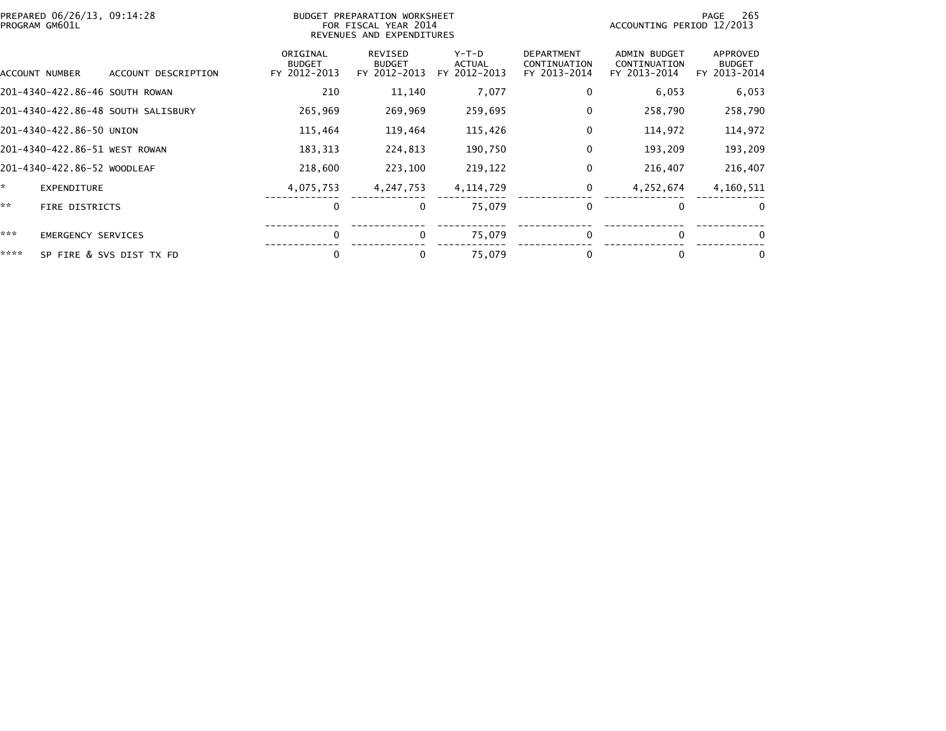| PREPARED 06/26/13, 09:14:28<br>BUDGET PREPARATION WORKSHEET<br>FOR FISCAL YEAR 2014<br>PROGRAM GM601L<br>REVENUES AND EXPENDITURES |                                |                                    |                                           |                                          |                                        | -265<br>PAGE<br>ACCOUNTING PERIOD 12/2013         |                                                     |                                           |
|------------------------------------------------------------------------------------------------------------------------------------|--------------------------------|------------------------------------|-------------------------------------------|------------------------------------------|----------------------------------------|---------------------------------------------------|-----------------------------------------------------|-------------------------------------------|
|                                                                                                                                    | ACCOUNT NUMBER                 | ACCOUNT DESCRIPTION                | ORIGINAL<br><b>BUDGET</b><br>FY 2012-2013 | REVISED<br><b>BUDGET</b><br>FY 2012-2013 | Y-T-D<br><b>ACTUAL</b><br>FY 2012-2013 | <b>DEPARTMENT</b><br>CONTINUATION<br>FY 2013-2014 | <b>ADMIN BUDGET</b><br>CONTINUATION<br>FY 2013-2014 | APPROVED<br><b>BUDGET</b><br>FY 2013-2014 |
|                                                                                                                                    | 201-4340-422.86-46 SOUTH ROWAN |                                    | 210                                       | 11,140                                   | 7,077                                  | $\bf{0}$                                          | 6,053                                               | 6,053                                     |
|                                                                                                                                    |                                | 201-4340-422.86-48 SOUTH SALISBURY | 265,969                                   | 269,969                                  | 259,695                                | 0                                                 | 258,790                                             | 258,790                                   |
|                                                                                                                                    | 201-4340-422.86-50 UNION       |                                    | 115,464                                   | 119,464                                  | 115,426                                | 0                                                 | 114,972                                             | 114,972                                   |
|                                                                                                                                    | 201-4340-422.86-51 WEST ROWAN  |                                    | 183,313                                   | 224,813                                  | 190,750                                | 0                                                 | 193,209                                             | 193,209                                   |
|                                                                                                                                    | 201-4340-422.86-52 WOODLEAF    |                                    | 218,600                                   | 223,100                                  | 219,122                                | 0                                                 | 216,407                                             | 216,407                                   |
| ÷.                                                                                                                                 | <b>EXPENDITURE</b>             |                                    | 4,075,753                                 | 4, 247, 753                              | 4, 114, 729                            | 0                                                 | 4,252,674                                           | 4,160,511                                 |
| **                                                                                                                                 | FIRE DISTRICTS                 |                                    | $\Omega$                                  | $\bf{0}$                                 | 75,079                                 | 0                                                 | 0                                                   | $\bf{0}$                                  |
| ***                                                                                                                                | <b>EMERGENCY SERVICES</b>      |                                    | $\mathbf 0$                               | 0                                        | 75,079                                 | $\bf{0}$                                          | $\mathbf{0}$                                        | 0                                         |
| ****                                                                                                                               |                                | SP FIRE & SVS DIST TX FD           | 0                                         |                                          | 75,079                                 | 0                                                 | 0                                                   | 0                                         |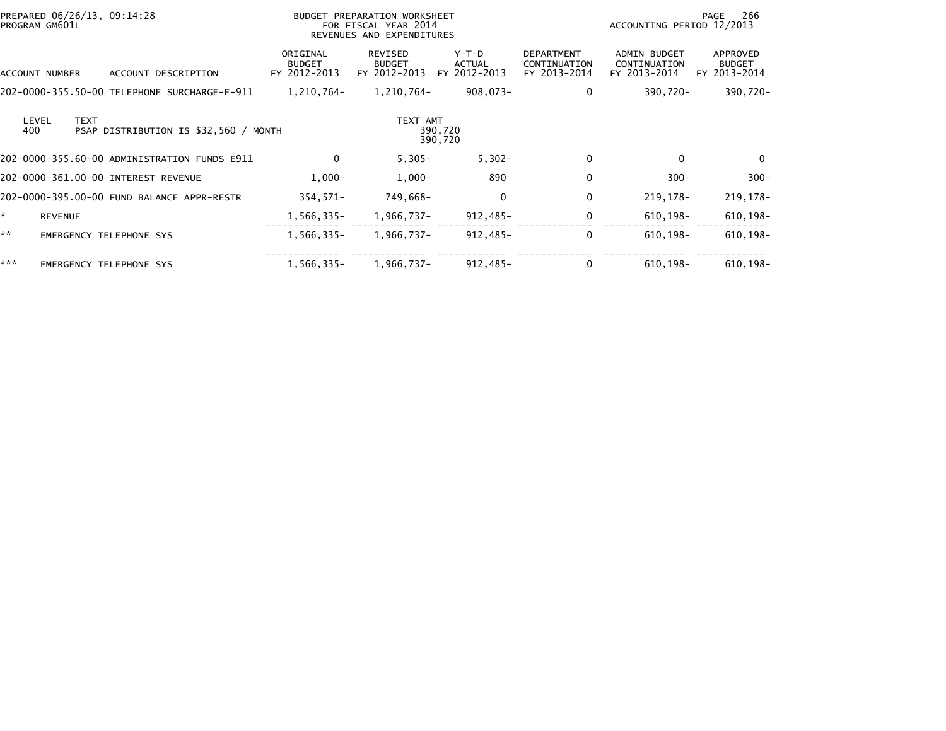|                     | PREPARED 06/26/13, 09:14:28<br>PROGRAM GM601L |                                              | BUDGET PREPARATION WORKSHEET<br>FOR FISCAL YEAR 2014<br>REVENUES AND EXPENDITURES |                                   |                                   |                                                   | ACCOUNTING PERIOD 12/2013                           | -266<br>PAGE                              |
|---------------------|-----------------------------------------------|----------------------------------------------|-----------------------------------------------------------------------------------|-----------------------------------|-----------------------------------|---------------------------------------------------|-----------------------------------------------------|-------------------------------------------|
|                     | ACCOUNT NUMBER                                | ACCOUNT DESCRIPTION                          | ORIGINAL<br><b>BUDGET</b><br>FY 2012-2013                                         | REVISED<br>BUDGET<br>FY 2012-2013 | $Y-T-D$<br>ACTUAL<br>FY 2012-2013 | <b>DEPARTMENT</b><br>CONTINUATION<br>FY 2013-2014 | <b>ADMIN BUDGET</b><br>CONTINUATION<br>FY 2013-2014 | APPROVED<br><b>BUDGET</b><br>FY 2013-2014 |
|                     |                                               | 202-0000-355.50-00 TELEPHONE SURCHARGE-E-911 | 1,210,764-                                                                        | 1,210,764–                        | 908,073-                          | $\Omega$                                          | 390,720-                                            | 390,720-                                  |
| 400                 | <b>TEXT</b><br>LEVEL                          | PSAP DISTRIBUTION IS \$32,560 / MONTH        |                                                                                   | TEXT AMT                          | 390,720<br>390,720                |                                                   |                                                     |                                           |
|                     |                                               | 202-0000-355.60-00 ADMINISTRATION FUNDS E911 | 0                                                                                 | $5,305 -$                         | $5,302 -$                         | $\mathbf{0}$                                      | $\Omega$                                            | $\mathbf{0}$                              |
|                     |                                               | 202-0000-361.00-00 INTEREST REVENUE          | $1,000-$                                                                          | $1,000-$                          | 890                               |                                                   | $300 -$                                             | $300 -$                                   |
|                     |                                               | 202-0000-395.00-00 FUND BALANCE APPR-RESTR   | 354,571-                                                                          | 749,668-                          | $\mathbf 0$                       | $\mathbf{0}$                                      | 219, 178-                                           | 219,178-                                  |
| $\mathcal{R}^{\pm}$ | <b>REVENUE</b>                                |                                              | 1,566,335-                                                                        | 1,966,737-                        | 912,485-                          | $\mathbf 0$                                       | 610,198-                                            | $610, 198 -$                              |
| **                  |                                               | <b>EMERGENCY TELEPHONE SYS</b>               | 1,566,335-                                                                        | 1,966,737-                        | 912,485-                          | $\Omega$                                          | $610.198 -$                                         | $610, 198 -$                              |
| ***                 |                                               | EMERGENCY TELEPHONE SYS                      | 1,566,335-                                                                        | 1,966,737-                        | 912,485-                          |                                                   | $610, 198 -$                                        | $610, 198 -$                              |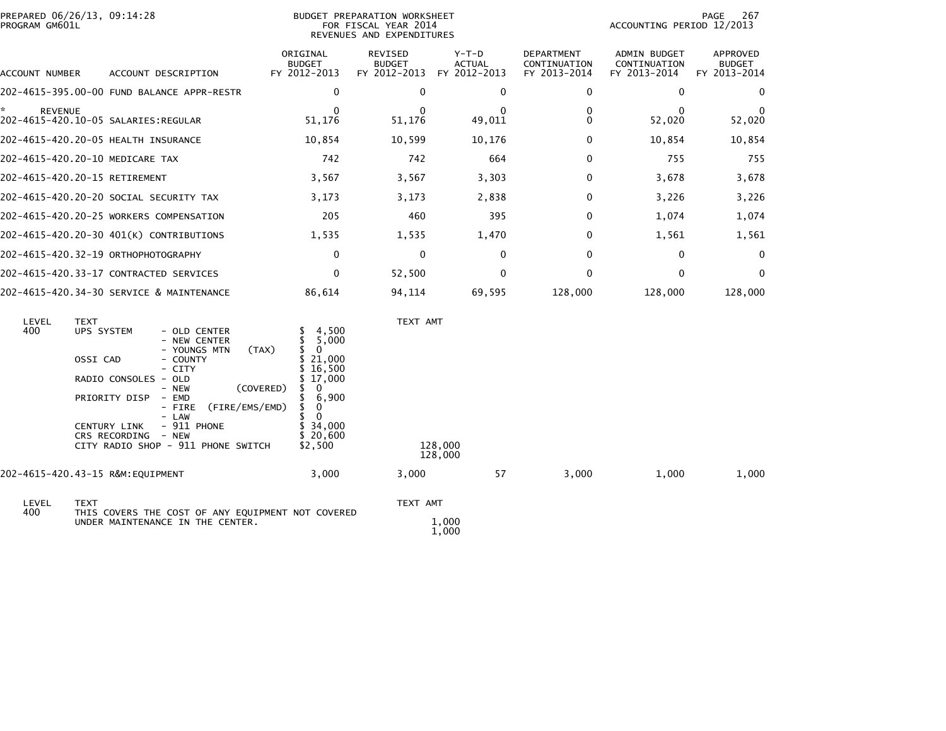| PREPARED 06/26/13, 09:14:28<br>PROGRAM GM601L |                                                                                                                                                                                                                                                                                                                           | BUDGET PREPARATION WORKSHEET<br>FOR FISCAL YEAR 2014<br>REVENUES AND EXPENDITURES                                                                                                                  |                                          |                                          |                                            | PAGE<br>267<br>ACCOUNTING PERIOD 12/2013     |                                           |  |
|-----------------------------------------------|---------------------------------------------------------------------------------------------------------------------------------------------------------------------------------------------------------------------------------------------------------------------------------------------------------------------------|----------------------------------------------------------------------------------------------------------------------------------------------------------------------------------------------------|------------------------------------------|------------------------------------------|--------------------------------------------|----------------------------------------------|-------------------------------------------|--|
| ACCOUNT NUMBER                                | ACCOUNT DESCRIPTION                                                                                                                                                                                                                                                                                                       | ORIGINAL<br><b>BUDGET</b><br>FY 2012-2013                                                                                                                                                          | REVISED<br><b>BUDGET</b><br>FY 2012-2013 | $Y-T-D$<br><b>ACTUAL</b><br>FY 2012-2013 | DEPARTMENT<br>CONTINUATION<br>FY 2013-2014 | ADMIN BUDGET<br>CONTINUATION<br>FY 2013-2014 | APPROVED<br><b>BUDGET</b><br>FY 2013-2014 |  |
|                                               | 202-4615-395.00-00 FUND BALANCE APPR-RESTR                                                                                                                                                                                                                                                                                | $\Omega$                                                                                                                                                                                           | $\Omega$                                 | $\mathbf{0}$                             | 0                                          | 0                                            | 0                                         |  |
| <b>REVENUE</b>                                |                                                                                                                                                                                                                                                                                                                           | $\Omega$<br>51,176                                                                                                                                                                                 | $\Omega$<br>51,176                       | 0<br>49,011                              | 0<br>$\Omega$                              | $\mathbf{0}$<br>52,020                       | $\Omega$<br>52,020                        |  |
|                                               | 202-4615-420.20-05 HEALTH INSURANCE                                                                                                                                                                                                                                                                                       | 10,854                                                                                                                                                                                             | 10,599                                   | 10,176                                   | $\Omega$                                   | 10,854                                       | 10,854                                    |  |
| 202-4615-420.20-10 MEDICARE TAX               |                                                                                                                                                                                                                                                                                                                           | 742                                                                                                                                                                                                | 742                                      | 664                                      | $\Omega$                                   | 755                                          | 755                                       |  |
| 202-4615-420.20-15 RETIREMENT                 |                                                                                                                                                                                                                                                                                                                           | 3,567                                                                                                                                                                                              | 3,567                                    | 3,303                                    | $\Omega$                                   | 3,678                                        | 3,678                                     |  |
|                                               | 202-4615-420.20-20 SOCIAL SECURITY TAX                                                                                                                                                                                                                                                                                    | 3,173                                                                                                                                                                                              | 3,173                                    | 2,838                                    | $\Omega$                                   | 3,226                                        | 3,226                                     |  |
|                                               | 202-4615-420.20-25 WORKERS COMPENSATION                                                                                                                                                                                                                                                                                   | 205                                                                                                                                                                                                | 460                                      | 395                                      | 0                                          | 1,074                                        | 1,074                                     |  |
|                                               | 202-4615-420.20-30 401(K) CONTRIBUTIONS                                                                                                                                                                                                                                                                                   | 1,535                                                                                                                                                                                              | 1,535                                    | 1,470                                    | $\Omega$                                   | 1,561                                        | 1,561                                     |  |
|                                               | 202-4615-420.32-19 ORTHOPHOTOGRAPHY                                                                                                                                                                                                                                                                                       | $\mathbf 0$                                                                                                                                                                                        | 0                                        | $\mathbf 0$                              | 0                                          | 0                                            | 0                                         |  |
|                                               | 202-4615-420.33-17 CONTRACTED SERVICES                                                                                                                                                                                                                                                                                    | $\Omega$                                                                                                                                                                                           | 52,500                                   | $\mathbf{0}$                             | 0                                          | $\mathbf{0}$                                 | $\mathbf{0}$                              |  |
|                                               | 202-4615-420.34-30 SERVICE & MAINTENANCE                                                                                                                                                                                                                                                                                  | 86,614                                                                                                                                                                                             | 94,114                                   | 69,595                                   | 128,000                                    | 128,000                                      | 128,000                                   |  |
| LEVEL<br><b>TEXT</b><br>400                   | UPS SYSTEM<br>- OLD CENTER<br>- NEW CENTER<br>- YOUNGS MTN<br>(TAX)<br>OSSI CAD<br>- COUNTY<br>- CITY<br>RADIO CONSOLES - OLD<br>- NEW<br>(COVERED)<br>PRIORITY DISP<br>- EMD<br>(FIRE/EMS/EMD)<br>- FIRE<br>- LAW<br>$-911$ PHONE<br><b>CENTURY LINK</b><br>CRS RECORDING<br>- NEW<br>CITY RADIO SHOP - 911 PHONE SWITCH | 4,500<br>S.<br>\$<br>5,000<br>\$<br>$\overline{0}$<br>21,000<br>S.<br>\$16,500<br>\$17,000<br>\$<br>- 0<br>6,900<br>\$<br>$\overline{\mathbf{0}}$<br>\$.<br>- 0<br>\$34,000<br>\$20,600<br>\$2,500 | TEXT AMT                                 | 128,000<br>128,000                       |                                            |                                              |                                           |  |
| 202-4615-420.43-15 R&M:EQUIPMENT              |                                                                                                                                                                                                                                                                                                                           | 3,000                                                                                                                                                                                              | 3,000                                    | 57                                       | 3,000                                      | 1,000                                        | 1,000                                     |  |
| LEVEL<br><b>TEXT</b>                          |                                                                                                                                                                                                                                                                                                                           |                                                                                                                                                                                                    | TEXT AMT                                 |                                          |                                            |                                              |                                           |  |
| 400                                           | THIS COVERS THE COST OF ANY EQUIPMENT NOT COVERED<br>UNDER MAINTENANCE IN THE CENTER.                                                                                                                                                                                                                                     |                                                                                                                                                                                                    |                                          | 1,000                                    |                                            |                                              |                                           |  |

1,000

 $\substack{1,000 \\ 1,000}$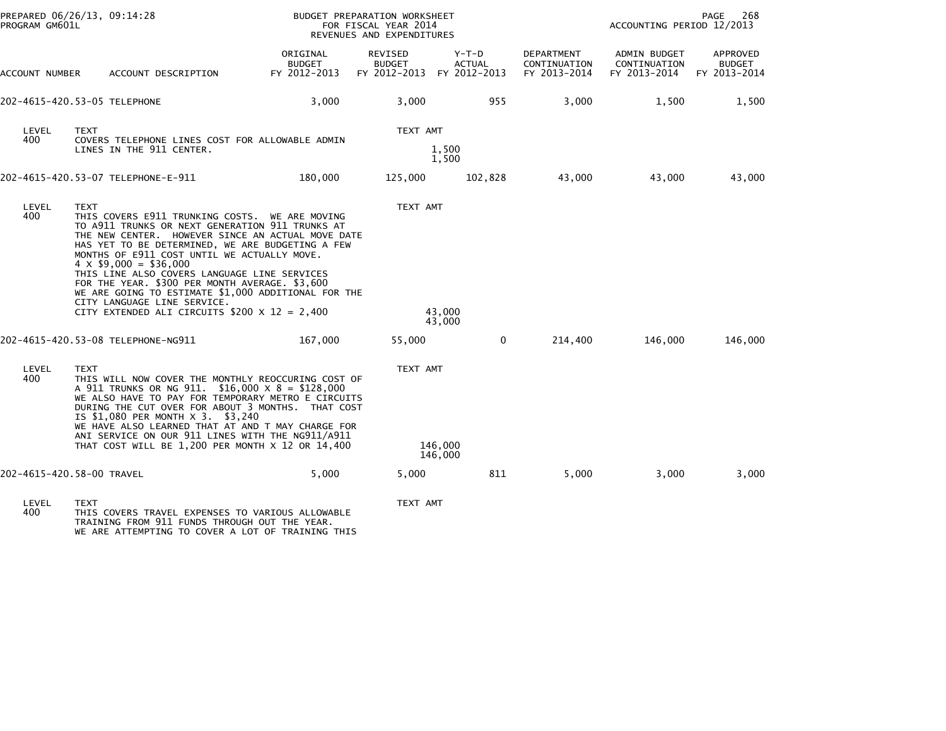| PREPARED 06/26/13, 09:14:28<br>PROGRAM GM601L |                                                                                                                                                                                                                                                                                                                                                                                                                                                                                                                                                        | BUDGET PREPARATION WORKSHEET<br>FOR FISCAL YEAR 2014<br>REVENUES AND EXPENDITURES |                                                       |                        |                                            | PAGE<br>268<br>ACCOUNTING PERIOD 12/2013     |                                           |  |
|-----------------------------------------------|--------------------------------------------------------------------------------------------------------------------------------------------------------------------------------------------------------------------------------------------------------------------------------------------------------------------------------------------------------------------------------------------------------------------------------------------------------------------------------------------------------------------------------------------------------|-----------------------------------------------------------------------------------|-------------------------------------------------------|------------------------|--------------------------------------------|----------------------------------------------|-------------------------------------------|--|
| ACCOUNT NUMBER                                | ACCOUNT DESCRIPTION                                                                                                                                                                                                                                                                                                                                                                                                                                                                                                                                    | ORIGINAL<br><b>BUDGET</b><br>FY 2012-2013                                         | REVISED<br><b>BUDGET</b><br>FY 2012-2013 FY 2012-2013 | Y-T-D<br><b>ACTUAL</b> | DEPARTMENT<br>CONTINUATION<br>FY 2013-2014 | ADMIN BUDGET<br>CONTINUATION<br>FY 2013-2014 | APPROVED<br><b>BUDGET</b><br>FY 2013-2014 |  |
|                                               | 202-4615-420.53-05 TELEPHONE                                                                                                                                                                                                                                                                                                                                                                                                                                                                                                                           | 3,000                                                                             | 3,000                                                 | 955                    | 3,000                                      | 1,500                                        | 1,500                                     |  |
| LEVEL<br>400                                  | <b>TEXT</b><br>COVERS TELEPHONE LINES COST FOR ALLOWABLE ADMIN<br>LINES IN THE 911 CENTER.                                                                                                                                                                                                                                                                                                                                                                                                                                                             |                                                                                   | TEXT AMT                                              | 1,500<br>1,500         |                                            |                                              |                                           |  |
|                                               | 202-4615-420.53-07 TELEPHONE-E-911                                                                                                                                                                                                                                                                                                                                                                                                                                                                                                                     | 180,000                                                                           | 125,000                                               | 102,828                | 43,000                                     | 43.000                                       | 43,000                                    |  |
| LEVEL<br>400                                  | <b>TEXT</b><br>THIS COVERS E911 TRUNKING COSTS. WE ARE MOVING<br>TO A911 TRUNKS OR NEXT GENERATION 911 TRUNKS AT<br>THE NEW CENTER. HOWEVER SINCE AN ACTUAL MOVE DATE<br>HAS YET TO BE DETERMINED, WE ARE BUDGETING A FEW<br>MONTHS OF E911 COST UNTIL WE ACTUALLY MOVE.<br>$4 \times $9,000 = $36,000$<br>THIS LINE ALSO COVERS LANGUAGE LINE SERVICES<br>FOR THE YEAR. \$300 PER MONTH AVERAGE. \$3,600<br>WE ARE GOING TO ESTIMATE \$1,000 ADDITIONAL FOR THE<br>CITY LANGUAGE LINE SERVICE.<br>CITY EXTENDED ALI CIRCUITS $$200 \times 12 = 2,400$ |                                                                                   | TEXT AMT                                              | 43,000<br>43,000       |                                            |                                              |                                           |  |
|                                               |                                                                                                                                                                                                                                                                                                                                                                                                                                                                                                                                                        | 167,000                                                                           | 55,000                                                | 0                      | 214,400                                    | 146,000                                      | 146,000                                   |  |
| LEVEL<br>400                                  | <b>TEXT</b><br>THIS WILL NOW COVER THE MONTHLY REOCCURING COST OF<br>A 911 TRUNKS OR NG 911. \$16,000 X 8 = \$128,000<br>WE ALSO HAVE TO PAY FOR TEMPORARY METRO E CIRCUITS<br>DURING THE CUT OVER FOR ABOUT 3 MONTHS. THAT COST<br>IS \$1,080 PER MONTH X 3. \$3,240<br>WE HAVE ALSO LEARNED THAT AT AND T MAY CHARGE FOR<br>ANI SERVICE ON OUR 911 LINES WITH THE NG911/A911<br>THAT COST WILL BE 1,200 PER MONTH X 12 OR 14,400                                                                                                                     |                                                                                   | TEXT AMT                                              | 146,000<br>146,000     |                                            |                                              |                                           |  |
|                                               | 202-4615-420.58-00 TRAVEL                                                                                                                                                                                                                                                                                                                                                                                                                                                                                                                              | 5,000                                                                             | 5,000                                                 | 811                    | 5,000                                      | 3,000                                        | 3,000                                     |  |
| LEVEL<br>400                                  | <b>TEXT</b><br>THIS COVERS TRAVEL EXPENSES TO VARIOUS ALLOWABLE                                                                                                                                                                                                                                                                                                                                                                                                                                                                                        |                                                                                   | TEXT AMT                                              |                        |                                            |                                              |                                           |  |

400 THIS COVERS TRAVEL EXPENSES TO VARIOUS ALLOWABLE TRAINING FROM 911 FUNDS THROUGH OUT THE YEAR. WE ARE ATTEMPTING TO COVER A LOT OF TRAINING THIS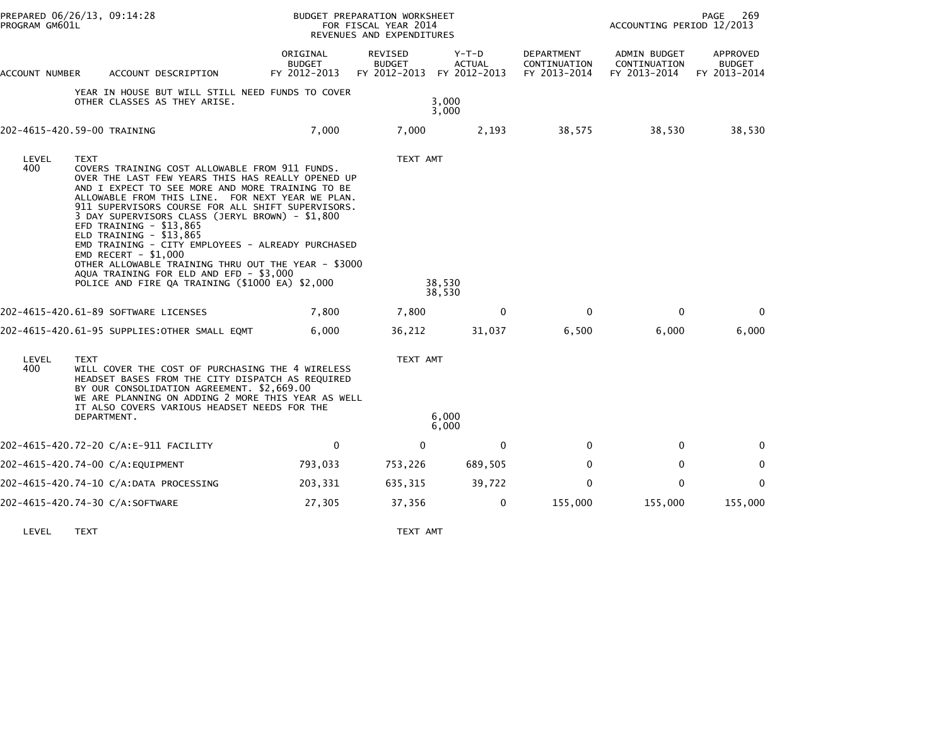| PROGRAM GM601L | PREPARED 06/26/13, 09:14:28                                                                                                                                                                                                                                                                                                                                                                                                                                                                                                                                                                                                   |                                           | BUDGET PREPARATION WORKSHEET<br>FOR FISCAL YEAR 2014<br>REVENUES AND EXPENDITURES |                        | 269<br>PAGE<br>ACCOUNTING PERIOD 12/2013   |                                              |                                           |
|----------------|-------------------------------------------------------------------------------------------------------------------------------------------------------------------------------------------------------------------------------------------------------------------------------------------------------------------------------------------------------------------------------------------------------------------------------------------------------------------------------------------------------------------------------------------------------------------------------------------------------------------------------|-------------------------------------------|-----------------------------------------------------------------------------------|------------------------|--------------------------------------------|----------------------------------------------|-------------------------------------------|
| ACCOUNT NUMBER | ACCOUNT DESCRIPTION                                                                                                                                                                                                                                                                                                                                                                                                                                                                                                                                                                                                           | ORIGINAL<br><b>BUDGET</b><br>FY 2012-2013 | REVISED<br><b>BUDGET</b><br>FY 2012-2013 FY 2012-2013                             | Y-T-D<br><b>ACTUAL</b> | DEPARTMENT<br>CONTINUATION<br>FY 2013-2014 | ADMIN BUDGET<br>CONTINUATION<br>FY 2013-2014 | APPROVED<br><b>BUDGET</b><br>FY 2013-2014 |
|                | YEAR IN HOUSE BUT WILL STILL NEED FUNDS TO COVER<br>OTHER CLASSES AS THEY ARISE.                                                                                                                                                                                                                                                                                                                                                                                                                                                                                                                                              |                                           |                                                                                   | 3,000<br>3,000         |                                            |                                              |                                           |
|                | 202-4615-420.59-00 TRAINING                                                                                                                                                                                                                                                                                                                                                                                                                                                                                                                                                                                                   | 7,000                                     | 7,000                                                                             | 2,193                  | 38,575                                     | 38,530                                       | 38,530                                    |
| LEVEL<br>400   | <b>TEXT</b><br>COVERS TRAINING COST ALLOWABLE FROM 911 FUNDS.<br>OVER THE LAST FEW YEARS THIS HAS REALLY OPENED UP<br>AND I EXPECT TO SEE MORE AND MORE TRAINING TO BE<br>ALLOWABLE FROM THIS LINE. FOR NEXT YEAR WE PLAN.<br>911 SUPERVISORS COURSE FOR ALL SHIFT SUPERVISORS.<br>3 DAY SUPERVISORS CLASS (JERYL BROWN) - \$1,800<br>EFD TRAINING - \$13,865<br>ELD TRAINING $-$ \$13,865<br>EMD TRAINING - CITY EMPLOYEES - ALREADY PURCHASED<br>EMD RECERT - $$1,000$<br>OTHER ALLOWABLE TRAINING THRU OUT THE YEAR - \$3000<br>AQUA TRAINING FOR ELD AND EFD - \$3,000<br>POLICE AND FIRE QA TRAINING (\$1000 EA) \$2,000 |                                           | TEXT AMT                                                                          | 38,530<br>38,530       |                                            |                                              |                                           |
|                | 202-4615-420.61-89 SOFTWARE LICENSES                                                                                                                                                                                                                                                                                                                                                                                                                                                                                                                                                                                          | 7,800                                     | 7,800                                                                             | $\mathbf{0}$           | $\mathbf{0}$                               | $\mathbf{0}$                                 | $\mathbf{0}$                              |
|                | 202-4615-420.61-95 SUPPLIES: OTHER SMALL EQMT                                                                                                                                                                                                                                                                                                                                                                                                                                                                                                                                                                                 | 6,000                                     | 36,212                                                                            | 31,037                 | 6,500                                      | 6,000                                        | 6,000                                     |
| LEVEL<br>400   | <b>TEXT</b><br>WILL COVER THE COST OF PURCHASING THE 4 WIRELESS<br>HEADSET BASES FROM THE CITY DISPATCH AS REQUIRED<br>BY OUR CONSOLIDATION AGREEMENT. \$2,669.00<br>WE ARE PLANNING ON ADDING 2 MORE THIS YEAR AS WELL<br>IT ALSO COVERS VARIOUS HEADSET NEEDS FOR THE                                                                                                                                                                                                                                                                                                                                                       |                                           | TEXT AMT                                                                          |                        |                                            |                                              |                                           |
|                | DEPARTMENT.                                                                                                                                                                                                                                                                                                                                                                                                                                                                                                                                                                                                                   |                                           |                                                                                   | 6,000<br>6,000         |                                            |                                              |                                           |
|                | 202-4615-420.72-20 C/A:E-911 FACILITY                                                                                                                                                                                                                                                                                                                                                                                                                                                                                                                                                                                         | $\mathbf 0$                               | $\mathbf 0$                                                                       | $\mathbf{0}$           | 0                                          | 0                                            | 0                                         |
|                | 202-4615-420.74-00 C/A:EQUIPMENT                                                                                                                                                                                                                                                                                                                                                                                                                                                                                                                                                                                              | 793,033                                   | 753,226                                                                           | 689,505                | $\mathbf 0$                                | 0                                            | 0                                         |
|                | 202-4615-420.74-10 C/A:DATA PROCESSING                                                                                                                                                                                                                                                                                                                                                                                                                                                                                                                                                                                        | 203,331                                   | 635,315                                                                           | 39,722                 | $\mathbf 0$                                | $\mathbf 0$                                  | $\mathbf 0$                               |
|                | 202-4615-420.74-30 C/A:SOFTWARE                                                                                                                                                                                                                                                                                                                                                                                                                                                                                                                                                                                               | 27,305                                    | 37,356                                                                            | 0                      | 155,000                                    | 155,000                                      | 155,000                                   |
|                |                                                                                                                                                                                                                                                                                                                                                                                                                                                                                                                                                                                                                               |                                           |                                                                                   |                        |                                            |                                              |                                           |

LEVEL TEXT TEXT AMT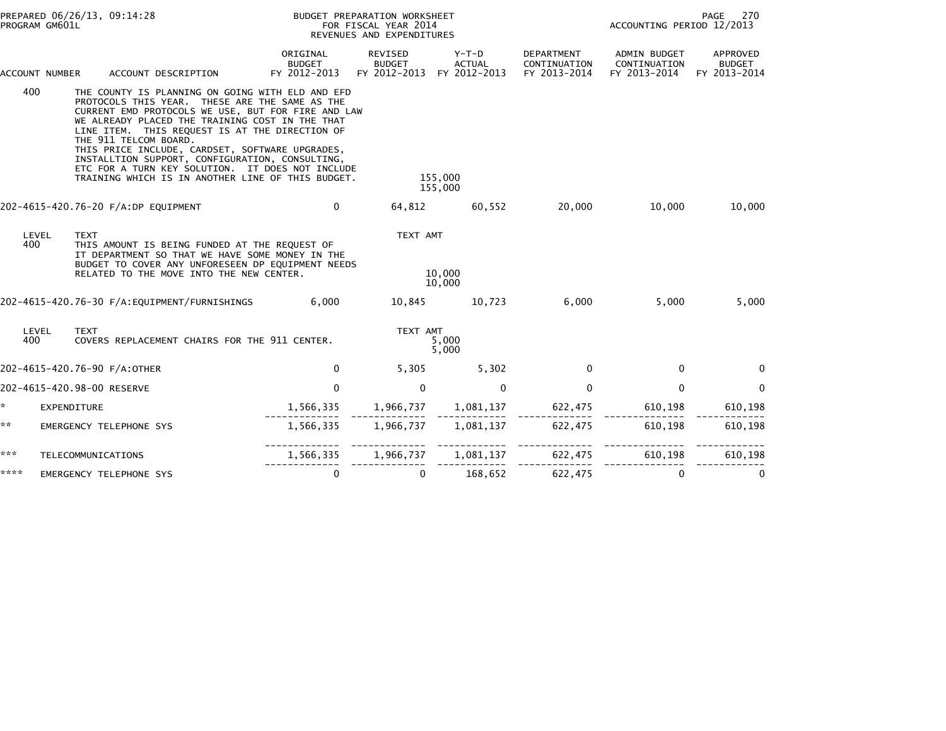| PROGRAM GM601L | PREPARED 06/26/13, 09:14:28                                                                                                                                                                                                                                                                                                                                                                                                                                                                           |                                           | BUDGET PREPARATION WORKSHEET<br>FOR FISCAL YEAR 2014<br>REVENUES AND EXPENDITURES |                                        | PAGE<br>270<br>ACCOUNTING PERIOD 12/2013   |                                              |                                           |
|----------------|-------------------------------------------------------------------------------------------------------------------------------------------------------------------------------------------------------------------------------------------------------------------------------------------------------------------------------------------------------------------------------------------------------------------------------------------------------------------------------------------------------|-------------------------------------------|-----------------------------------------------------------------------------------|----------------------------------------|--------------------------------------------|----------------------------------------------|-------------------------------------------|
| ACCOUNT NUMBER | ACCOUNT DESCRIPTION                                                                                                                                                                                                                                                                                                                                                                                                                                                                                   | ORIGINAL<br><b>BUDGET</b><br>FY 2012-2013 | REVISED<br><b>BUDGET</b><br>FY 2012-2013                                          | Y-T-D<br><b>ACTUAL</b><br>FY 2012-2013 | DEPARTMENT<br>CONTINUATION<br>FY 2013-2014 | ADMIN BUDGET<br>CONTINUATION<br>FY 2013-2014 | APPROVED<br><b>BUDGET</b><br>FY 2013-2014 |
| 400            | THE COUNTY IS PLANNING ON GOING WITH ELD AND EFD<br>PROTOCOLS THIS YEAR. THESE ARE THE SAME AS THE<br>CURRENT EMD PROTOCOLS WE USE, BUT FOR FIRE AND LAW<br>WE ALREADY PLACED THE TRAINING COST IN THE THAT<br>LINE ITEM. THIS REQUEST IS AT THE DIRECTION OF<br>THE 911 TELCOM BOARD.<br>THIS PRICE INCLUDE, CARDSET, SOFTWARE UPGRADES,<br>INSTALLTION SUPPORT, CONFIGURATION, CONSULTING,<br>ETC FOR A TURN KEY SOLUTION. IT DOES NOT INCLUDE<br>TRAINING WHICH IS IN ANOTHER LINE OF THIS BUDGET. |                                           |                                                                                   | 155,000<br>155,000                     |                                            |                                              |                                           |
|                | 202-4615-420.76-20 F/A:DP EQUIPMENT                                                                                                                                                                                                                                                                                                                                                                                                                                                                   | 0                                         | 64,812                                                                            | 60,552                                 | 20,000                                     | 10,000                                       | 10,000                                    |
| LEVEL<br>400   | <b>TEXT</b><br>THIS AMOUNT IS BEING FUNDED AT THE REQUEST OF<br>IT DEPARTMENT SO THAT WE HAVE SOME MONEY IN THE<br>BUDGET TO COVER ANY UNFORESEEN DP EQUIPMENT NEEDS<br>RELATED TO THE MOVE INTO THE NEW CENTER.                                                                                                                                                                                                                                                                                      |                                           | TEXT AMT                                                                          | 10,000<br>10,000                       |                                            |                                              |                                           |
|                |                                                                                                                                                                                                                                                                                                                                                                                                                                                                                                       | 6,000                                     | 10,845                                                                            | 10,723                                 | 6,000                                      | 5,000                                        | 5,000                                     |
| LEVEL<br>400   | <b>TEXT</b><br>COVERS REPLACEMENT CHAIRS FOR THE 911 CENTER.                                                                                                                                                                                                                                                                                                                                                                                                                                          |                                           | TEXT AMT                                                                          | 5,000<br>5,000                         |                                            |                                              |                                           |
|                | 202-4615-420.76-90 F/A:OTHER                                                                                                                                                                                                                                                                                                                                                                                                                                                                          | $\mathbf{0}$                              | 5,305                                                                             | 5,302                                  | $\mathbf{0}$                               | 0                                            | $\Omega$                                  |
|                | 202-4615-420.98-00 RESERVE                                                                                                                                                                                                                                                                                                                                                                                                                                                                            | $\mathbf{0}$                              | $\mathbf{0}$                                                                      | $\mathbf{0}$                           | $\mathbf{0}$                               | $\mathbf{0}$                                 | $\mathbf 0$                               |
| *.             | <b>EXPENDITURE</b>                                                                                                                                                                                                                                                                                                                                                                                                                                                                                    | 1,566,335                                 | 1,966,737                                                                         | 1,081,137                              | 622,475                                    | 610,198                                      | 610,198                                   |
| **             | EMERGENCY TELEPHONE SYS                                                                                                                                                                                                                                                                                                                                                                                                                                                                               | 1,566,335                                 | 1,966,737                                                                         | 1,081,137                              | 622,475                                    | 610,198                                      | 610,198                                   |
| ***            | TELECOMMUNICATIONS                                                                                                                                                                                                                                                                                                                                                                                                                                                                                    | 1,566,335                                 |                                                                                   | 1,966,737 1,081,137                    | 622,475                                    | 610,198                                      | 610,198                                   |
| ****           | EMERGENCY TELEPHONE SYS                                                                                                                                                                                                                                                                                                                                                                                                                                                                               | $\mathbf 0$                               | $\mathbf 0$                                                                       | 168,652                                | 622,475                                    | 0                                            | 0                                         |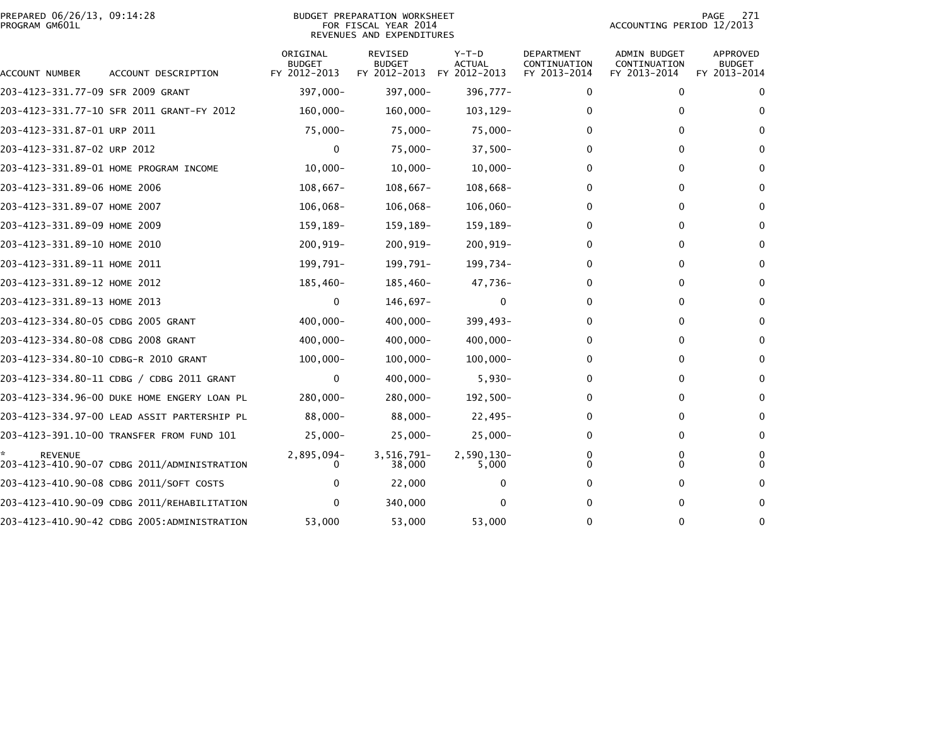|                | PREPARED 06/26/13, 09:14:28 |  |
|----------------|-----------------------------|--|
| PROGRAM GM601L |                             |  |

# PREPARED 06/26/13, 09:14:28 BUDGET PREPARATION WORKSHEET PAGE 271PROGRAM GM601L FOR FISCAL YEAR 2014 ACCOUNTING PERIOD 12/2013 REVENUES AND EXPENDITURES

PAGE 271<br>ACCOUNTING PERIOD 12/2013

| ACCOUNT NUMBER                       | ACCOUNT DESCRIPTION                         | ORIGINAL<br><b>BUDGET</b><br>FY 2012-2013 | REVISED<br><b>BUDGET</b><br>FY 2012-2013 | $Y-T-D$<br><b>ACTUAL</b><br>FY 2012-2013 | DEPARTMENT<br>CONTINUATION<br>FY 2013-2014 | ADMIN BUDGET<br>CONTINUATION<br>FY 2013-2014 | <b>APPROVED</b><br><b>BUDGET</b><br>FY 2013-2014 |
|--------------------------------------|---------------------------------------------|-------------------------------------------|------------------------------------------|------------------------------------------|--------------------------------------------|----------------------------------------------|--------------------------------------------------|
| 203-4123-331.77-09 SFR 2009 GRANT    |                                             | 397,000-                                  | 397,000-                                 | 396,777-                                 | 0                                          | $\bf{0}$                                     | $\bf{0}$                                         |
|                                      | 203-4123-331.77-10 SFR 2011 GRANT-FY 2012   | $160,000 -$                               | $160,000 -$                              | 103, 129-                                | 0                                          | 0                                            | 0                                                |
| 203-4123-331.87-01 URP 2011          |                                             | $75,000-$                                 | 75,000-                                  | 75,000-                                  | 0                                          | 0                                            | 0                                                |
| 203-4123-331.87-02 URP 2012          |                                             | 0                                         | $75,000 -$                               | $37,500-$                                | 0                                          | 0                                            | 0                                                |
|                                      | 203-4123-331.89-01 HOME PROGRAM INCOME      | $10,000 -$                                | $10,000 -$                               | $10,000 -$                               | 0                                          | $\Omega$                                     | $\bf{0}$                                         |
| 203-4123-331.89-06 HOME 2006         |                                             | $108,667-$                                | $108,667-$                               | $108,668-$                               | 0                                          | $\Omega$                                     | 0                                                |
| 203-4123-331.89-07 HOME 2007         |                                             | $106,068-$                                | $106,068-$                               | $106,060 -$                              | 0                                          | 0                                            | $\bf{0}$                                         |
| 203-4123-331.89-09 HOME 2009         |                                             | 159,189-                                  | 159,189-                                 | 159,189-                                 | 0                                          | 0                                            | 0                                                |
| 203-4123-331.89-10 HOME 2010         |                                             | $200, 919 -$                              | $200, 919 -$                             | $200, 919 -$                             | 0                                          | $\Omega$                                     | $\bf{0}$                                         |
| 203-4123-331.89-11 HOME 2011         |                                             | 199,791-                                  | 199,791-                                 | 199,734-                                 | 0                                          | 0                                            | 0                                                |
| 203-4123-331.89-12 HOME 2012         |                                             | 185,460-                                  | 185,460-                                 | 47,736-                                  | 0                                          | 0                                            | $\bf{0}$                                         |
| 203-4123-331.89-13 HOME 2013         |                                             | 0                                         | 146,697-                                 | $\Omega$                                 | 0                                          | 0                                            | $\bf{0}$                                         |
| 203-4123-334.80-05 CDBG 2005 GRANT   |                                             | 400,000-                                  | $400,000 -$                              | 399,493-                                 | 0                                          | 0                                            | $\bf{0}$                                         |
| 203-4123-334.80-08 CDBG 2008 GRANT   |                                             | $400,000 -$                               | $400,000 -$                              | $400,000 -$                              | 0                                          | 0                                            | $\Omega$                                         |
| 203-4123-334.80-10 CDBG-R 2010 GRANT |                                             | $100,000 -$                               | $100,000 -$                              | $100,000 -$                              | 0                                          | 0                                            | $\bf{0}$                                         |
|                                      | 203-4123-334.80-11 CDBG / CDBG 2011 GRANT   | 0                                         | $400,000 -$                              | $5,930-$                                 | 0                                          | 0                                            | 0                                                |
|                                      | 203-4123-334.96-00 DUKE HOME ENGERY LOAN PL | 280,000-                                  | $280,000 -$                              | $192,500-$                               | 0                                          | 0                                            | $\Omega$                                         |
|                                      | 203-4123-334.97-00 LEAD ASSIT PARTERSHIP PL | 88,000-                                   | $88,000 -$                               | $22,495-$                                | 0                                          | 0                                            | 0                                                |
|                                      | 203-4123-391.10-00 TRANSFER FROM FUND 101   | $25,000-$                                 | $25,000 -$                               | $25,000-$                                | 0                                          | 0                                            | $\bf{0}$                                         |
| <b>REVENUE</b>                       | 203-4123-410.90-07 CDBG 2011/ADMINISTRATION | 2,895,094-<br>$\Omega$                    | 3,516,791-<br>38,000                     | 2,590,130-<br>5,000                      | 0<br>0                                     | 0<br>0                                       | 0<br>$\Omega$                                    |
|                                      | 203-4123-410.90-08 CDBG 2011/SOFT COSTS     | 0                                         | 22,000                                   |                                          | 0                                          | 0                                            |                                                  |
|                                      | 203-4123-410.90-09 CDBG 2011/REHABILITATION | 0                                         | 340,000                                  | 0                                        | 0                                          | 0                                            | 0                                                |
|                                      | 203-4123-410.90-42 CDBG 2005:ADMINISTRATION | 53,000                                    | 53,000                                   | 53,000                                   | 0                                          | $\Omega$                                     | 0                                                |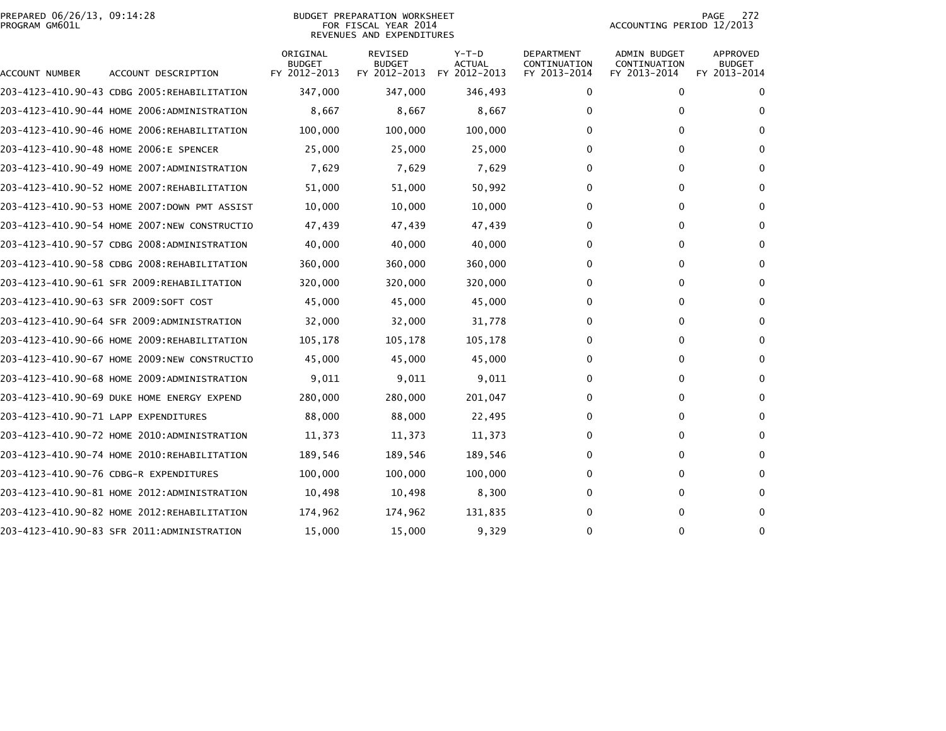# PREPARED 06/26/13, 09:14:28<br>PROGRAM GM601L

### BUDGET PREPARATION WORKSHEET<br>FOR FISCAL YEAR 2014 REVENUES AND EXPENDITURES

PAGE 272<br>ACCOUNTING PERIOD 12/2013

| ACCOUNT NUMBER                       | ACCOUNT DESCRIPTION                          | ORIGINAL<br><b>BUDGET</b><br>FY 2012-2013 | <b>REVISED</b><br><b>BUDGET</b><br>FY 2012-2013 | $Y-T-D$<br><b>ACTUAL</b><br>FY 2012-2013 | <b>DEPARTMENT</b><br>CONTINUATION<br>FY 2013-2014 | ADMIN BUDGET<br>CONTINUATION<br>FY 2013-2014 | APPROVED<br><b>BUDGET</b><br>FY 2013-2014 |
|--------------------------------------|----------------------------------------------|-------------------------------------------|-------------------------------------------------|------------------------------------------|---------------------------------------------------|----------------------------------------------|-------------------------------------------|
|                                      | 203-4123-410.90-43 CDBG 2005:REHABILITATION  | 347,000                                   | 347,000                                         | 346,493                                  | 0                                                 | $\mathbf{0}$                                 | $\Omega$                                  |
|                                      | 203-4123-410.90-44 HOME 2006:ADMINISTRATION  | 8,667                                     | 8,667                                           | 8,667                                    | 0                                                 | 0                                            | $\Omega$                                  |
|                                      | 203-4123-410.90-46 HOME 2006:REHABILITATION  | 100,000                                   | 100,000                                         | 100,000                                  | 0                                                 | 0                                            | 0                                         |
|                                      | 203-4123-410.90-48 HOME 2006:E SPENCER       | 25,000                                    | 25,000                                          | 25,000                                   | 0                                                 | 0                                            | $\Omega$                                  |
|                                      | 203-4123-410.90-49 HOME 2007:ADMINISTRATION  | 7,629                                     | 7,629                                           | 7,629                                    | 0                                                 | 0                                            | $\Omega$                                  |
|                                      | 203-4123-410.90-52 HOME 2007:REHABILITATION  | 51,000                                    | 51,000                                          | 50,992                                   | 0                                                 | 0                                            | $\Omega$                                  |
|                                      | 203-4123-410.90-53 HOME 2007:DOWN PMT ASSIST | 10,000                                    | 10,000                                          | 10,000                                   | 0                                                 | 0                                            | $\Omega$                                  |
|                                      | 203-4123-410.90-54 HOME 2007:NEW CONSTRUCTIO | 47,439                                    | 47,439                                          | 47,439                                   | 0                                                 | 0                                            | $\Omega$                                  |
|                                      | 203-4123-410.90-57 CDBG 2008:ADMINISTRATION  | 40,000                                    | 40,000                                          | 40,000                                   | 0                                                 | 0                                            | $\Omega$                                  |
|                                      | 203-4123-410.90-58 CDBG 2008:REHABILITATION  | 360,000                                   | 360,000                                         | 360,000                                  | 0                                                 | 0                                            | $\Omega$                                  |
|                                      | 203-4123-410.90-61 SFR 2009:REHABILITATION   | 320,000                                   | 320,000                                         | 320,000                                  | 0                                                 | 0                                            | 0                                         |
|                                      | 203-4123-410.90-63 SFR 2009:SOFT COST        | 45,000                                    | 45,000                                          | 45,000                                   | 0                                                 | 0                                            | $\Omega$                                  |
|                                      | 203-4123-410.90-64 SFR 2009:ADMINISTRATION   | 32,000                                    | 32,000                                          | 31,778                                   | 0                                                 | 0                                            | $\Omega$                                  |
|                                      | 203-4123-410.90-66 HOME 2009:REHABILITATION  | 105,178                                   | 105,178                                         | 105,178                                  | 0                                                 | 0                                            | 0                                         |
|                                      | 203-4123-410.90-67 HOME 2009:NEW CONSTRUCTIO | 45,000                                    | 45,000                                          | 45,000                                   | 0                                                 | 0                                            | $\Omega$                                  |
|                                      | 203-4123-410.90-68 HOME 2009:ADMINISTRATION  | 9,011                                     | 9,011                                           | 9,011                                    | 0                                                 | 0                                            | $\Omega$                                  |
|                                      | 203-4123-410.90-69 DUKE HOME ENERGY EXPEND   | 280,000                                   | 280,000                                         | 201,047                                  | 0                                                 | 0                                            | 0                                         |
| 203-4123-410.90-71 LAPP EXPENDITURES |                                              | 88,000                                    | 88,000                                          | 22,495                                   | 0                                                 | 0                                            | 0                                         |
|                                      |                                              | 11,373                                    | 11,373                                          | 11,373                                   | 0                                                 | 0                                            | 0                                         |
|                                      | 203-4123-410.90-74 HOME 2010:REHABILITATION  | 189,546                                   | 189,546                                         | 189,546                                  | 0                                                 | 0                                            | $\Omega$                                  |
|                                      | 203-4123-410.90-76 CDBG-R EXPENDITURES       | 100,000                                   | 100,000                                         | 100,000                                  | 0                                                 | 0                                            | $\Omega$                                  |
|                                      |                                              | 10,498                                    | 10,498                                          | 8,300                                    | 0                                                 | 0                                            | $\Omega$                                  |
|                                      | 203-4123-410.90-82 HOME 2012:REHABILITATION  | 174,962                                   | 174,962                                         | 131,835                                  | 0                                                 | $\Omega$                                     | $\mathbf{0}$                              |
|                                      | 203-4123-410.90-83 SFR 2011:ADMINISTRATION   | 15,000                                    | 15,000                                          | 9,329                                    | 0                                                 | $\Omega$                                     | $\mathbf{0}$                              |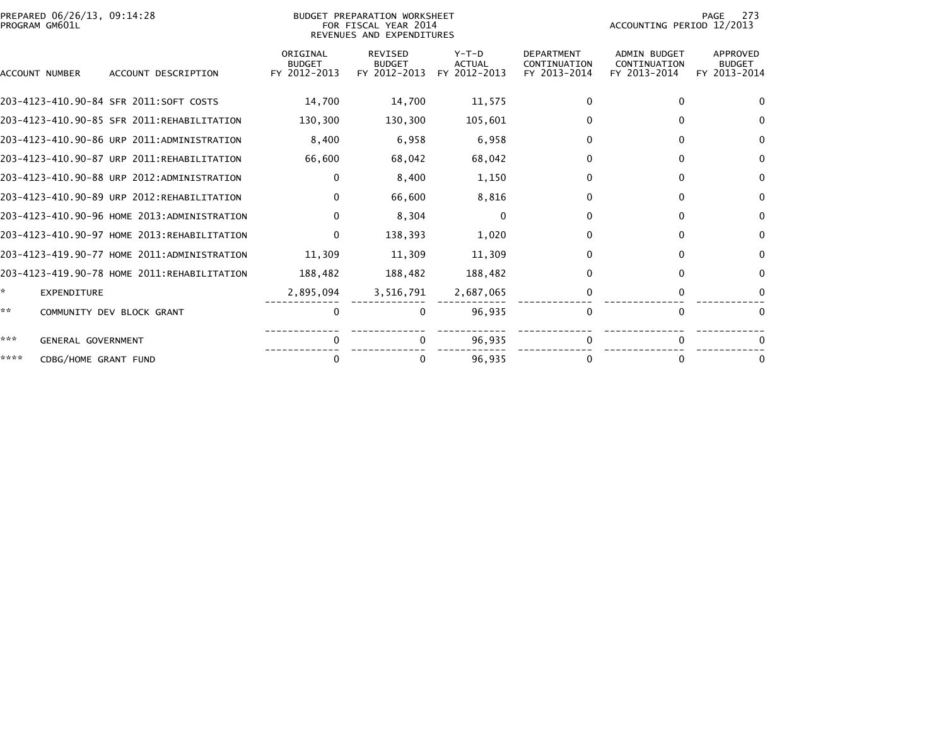| PREPARED 06/26/13, 09:14:28<br>PROGRAM GM601L |                                             |                                           | BUDGET PREPARATION WORKSHEET<br>FOR FISCAL YEAR 2014<br>REVENUES AND EXPENDITURES |                                          |                                                   | 273<br>PAGE<br>ACCOUNTING PERIOD 12/2013            |                                           |  |  |
|-----------------------------------------------|---------------------------------------------|-------------------------------------------|-----------------------------------------------------------------------------------|------------------------------------------|---------------------------------------------------|-----------------------------------------------------|-------------------------------------------|--|--|
| ACCOUNT NUMBER                                | ACCOUNT DESCRIPTION                         | ORIGINAL<br><b>BUDGET</b><br>FY 2012-2013 | <b>REVISED</b><br><b>BUDGET</b><br>FY 2012-2013                                   | $Y-T-D$<br><b>ACTUAL</b><br>FY 2012-2013 | <b>DEPARTMENT</b><br>CONTINUATION<br>FY 2013-2014 | <b>ADMIN BUDGET</b><br>CONTINUATION<br>FY 2013-2014 | APPROVED<br><b>BUDGET</b><br>FY 2013-2014 |  |  |
|                                               | 203-4123-410.90-84 SFR 2011:SOFT COSTS      | 14,700                                    | 14,700                                                                            | 11,575                                   | 0                                                 | 0                                                   | $\Omega$                                  |  |  |
|                                               | 203-4123-410.90-85 SFR 2011:REHABILITATION  | 130,300                                   | 130,300                                                                           | 105,601                                  | O.                                                | 0                                                   | 0                                         |  |  |
|                                               | 203-4123-410.90-86 URP 2011:ADMINISTRATION  | 8,400                                     | 6,958                                                                             | 6,958                                    | 0                                                 | $\Omega$                                            | $\mathbf{0}$                              |  |  |
|                                               | 203-4123-410.90-87 URP 2011:REHABILITATION  | 66,600                                    | 68,042                                                                            | 68,042                                   | 0                                                 | $\Omega$                                            | $\mathbf{0}$                              |  |  |
|                                               | 203-4123-410.90-88 URP 2012:ADMINISTRATION  | $\mathbf{0}$                              | 8,400                                                                             | 1,150                                    | 0                                                 | 0                                                   | $\mathbf{0}$                              |  |  |
|                                               | 203-4123-410.90-89 URP 2012:REHABILITATION  | $\mathbf{0}$                              | 66,600                                                                            | 8,816                                    | 0                                                 | $\mathbf{0}$                                        | $\mathbf{0}$                              |  |  |
|                                               | 203-4123-410.90-96 HOME 2013:ADMINISTRATION | $\Omega$                                  | 8,304                                                                             | $\Omega$                                 | 0                                                 | $\Omega$                                            | $\mathbf{0}$                              |  |  |
|                                               | 203-4123-410.90-97 HOME 2013:REHABILITATION | 0                                         | 138,393                                                                           | 1,020                                    | 0                                                 | $\mathbf{0}$                                        | 0                                         |  |  |
|                                               | 203-4123-419.90-77 HOME 2011:ADMINISTRATION | 11.309                                    | 11,309                                                                            | 11,309                                   | 0                                                 | $\mathbf{0}$                                        | $\mathbf{0}$                              |  |  |
|                                               | 203-4123-419.90-78 HOME 2011:REHABILITATION | 188,482                                   | 188,482                                                                           | 188,482                                  | 0                                                 | $\mathbf{0}$                                        | 0                                         |  |  |
| *.<br><b>EXPENDITURE</b>                      |                                             | 2,895,094                                 | 3,516,791                                                                         | 2,687,065                                | 0                                                 | 0                                                   | 0                                         |  |  |
| **                                            | COMMUNITY DEV BLOCK GRANT                   | 0                                         | 0                                                                                 | 96,935                                   | $\mathbf{0}$                                      | $\mathbf{0}$                                        | $\mathbf{0}$                              |  |  |
| ***                                           | GENERAL GOVERNMENT                          | 0                                         |                                                                                   | 96,935                                   |                                                   | 0                                                   |                                           |  |  |
| ****                                          | CDBG/HOME GRANT FUND                        | 0                                         |                                                                                   | 96,935                                   |                                                   | 0                                                   | $\bf{0}$                                  |  |  |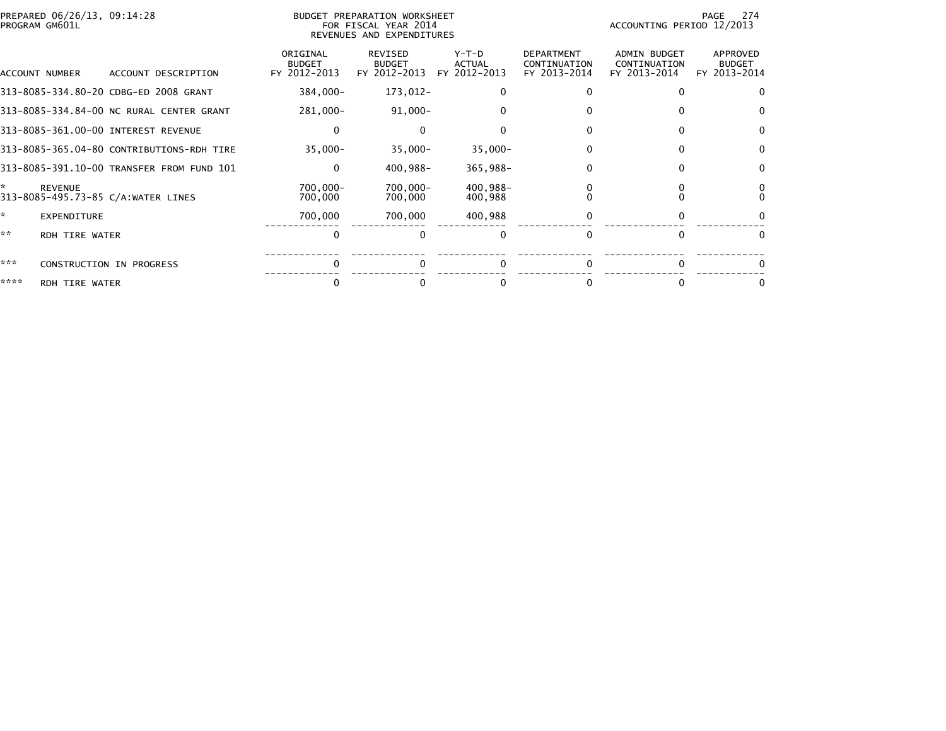| PREPARED 06/26/13, 09:14:28<br>PROGRAM GM601L      |                                           | BUDGET PREPARATION WORKSHEET<br>FOR FISCAL YEAR 2014<br>REVENUES AND EXPENDITURES |                                          |                                                   | ACCOUNTING PERIOD 12/2013                           | -274<br>PAGE                              |
|----------------------------------------------------|-------------------------------------------|-----------------------------------------------------------------------------------|------------------------------------------|---------------------------------------------------|-----------------------------------------------------|-------------------------------------------|
| ACCOUNT NUMBER<br>ACCOUNT DESCRIPTION              | ORIGINAL<br><b>BUDGET</b><br>FY 2012-2013 | REVISED<br><b>BUDGET</b><br>FY 2012-2013                                          | $Y-T-D$<br><b>ACTUAL</b><br>FY 2012-2013 | <b>DEPARTMENT</b><br>CONTINUATION<br>FY 2013-2014 | <b>ADMIN BUDGET</b><br>CONTINUATION<br>FY 2013-2014 | APPROVED<br><b>BUDGET</b><br>FY 2013-2014 |
| 313-8085-334.80-20 CDBG-ED 2008 GRANT              | 384,000-                                  | 173,012-                                                                          |                                          |                                                   |                                                     | 0                                         |
| 313-8085-334.84-00 NC RURAL CENTER GRANT           | 281,000-                                  | $91,000 -$                                                                        |                                          |                                                   |                                                     | $\bf{0}$                                  |
| 313-8085-361.00-00 INTEREST REVENUE                | $\mathbf{0}$                              |                                                                                   |                                          |                                                   |                                                     | $\Omega$                                  |
| 313-8085-365.04-80 CONTRIBUTIONS-RDH TIRE          | $35,000 -$                                | $35,000 -$                                                                        | $35,000 -$                               |                                                   |                                                     | $\Omega$                                  |
| 313-8085-391.10-00 TRANSFER FROM FUND 101          | $\mathbf{0}$                              | 400,988-                                                                          | 365,988-                                 |                                                   |                                                     | $\Omega$                                  |
| *<br>REVENUE<br>313-8085-495.73-85 C/A:WATER LINES | 700,000-<br>700,000                       | 700,000-<br>700,000                                                               | 400,988-<br>400,988                      |                                                   |                                                     |                                           |
| *.<br><b>EXPENDITURE</b>                           | 700,000                                   | 700,000                                                                           | 400,988                                  |                                                   |                                                     |                                           |
| **<br><b>RDH TIRE WATER</b>                        | $\Omega$                                  |                                                                                   |                                          |                                                   |                                                     | $\Omega$                                  |
| ***<br>CONSTRUCTION IN PROGRESS                    | $\Omega$                                  |                                                                                   | $\Omega$                                 | <sup>0</sup>                                      | $\Omega$                                            | $\Omega$                                  |
| ****<br><b>RDH TIRE WATER</b>                      |                                           |                                                                                   |                                          |                                                   |                                                     |                                           |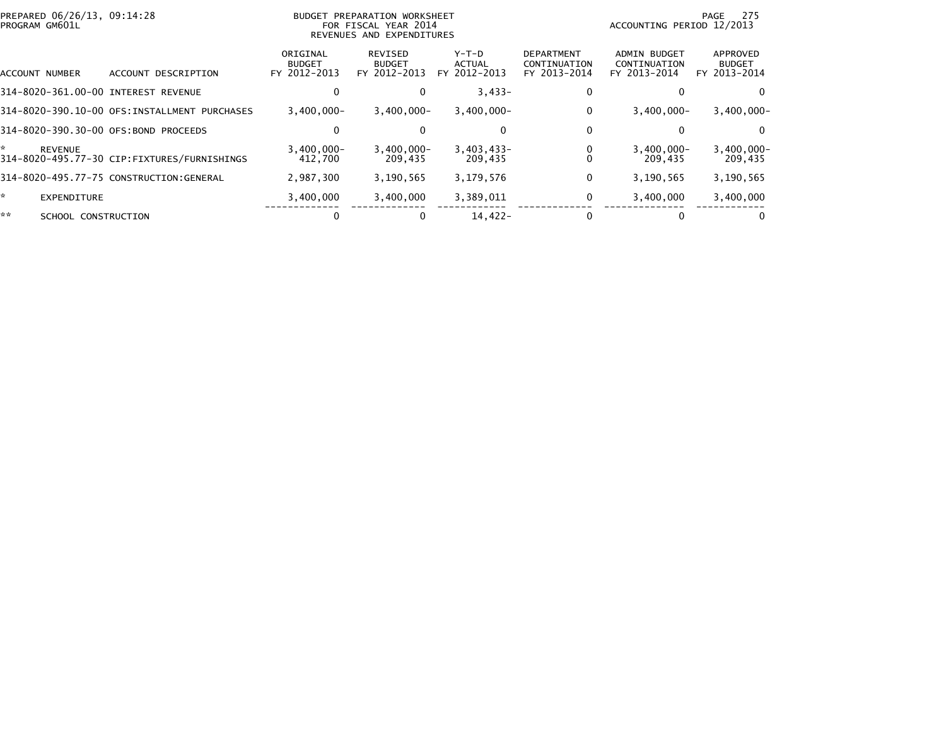| PREPARED 06/26/13, 09:14:28<br>PROGRAM GM601L |                                               |                                           | BUDGET PREPARATION WORKSHEET<br>FOR FISCAL YEAR 2014<br>REVENUES AND EXPENDITURES |                                 |                                                   | ACCOUNTING PERIOD 12/2013                    | 275<br>PAGE                               |
|-----------------------------------------------|-----------------------------------------------|-------------------------------------------|-----------------------------------------------------------------------------------|---------------------------------|---------------------------------------------------|----------------------------------------------|-------------------------------------------|
| ACCOUNT NUMBER                                | DESCRIPTION<br><b>ACCOUNT</b>                 | ORIGINAL<br><b>BUDGET</b><br>FY 2012-2013 | REVISED<br><b>BUDGET</b><br>FY 2012-2013                                          | Y-T-D<br>ACTUAL<br>FY 2012-2013 | <b>DEPARTMENT</b><br>CONTINUATION<br>FY 2013-2014 | ADMIN BUDGET<br>CONTINUATION<br>FY 2013-2014 | APPROVED<br><b>BUDGET</b><br>FY 2013-2014 |
| 314-8020-361.00-00 INTEREST REVENUE           |                                               | 0                                         |                                                                                   | $3,433-$                        | 0                                                 |                                              |                                           |
|                                               | 314-8020-390.10-00 OFS: INSTALLMENT PURCHASES | $3,400,000 -$                             | $3.400.000 -$                                                                     | $3,400,000 -$                   | 0                                                 | $3,400,000 -$                                | $3,400,000 -$                             |
| 314-8020-390.30-00 OFS:BOND PROCEEDS          |                                               | 0                                         |                                                                                   | 0                               |                                                   |                                              | 0                                         |
| ÷<br><b>REVENUE</b>                           | 314-8020-495.77-30 CIP:FIXTURES/FURNISHINGS   | $3,400,000 -$<br>412.700                  | $3,400,000 -$<br>209,435                                                          | $3,403,433-$<br>209,435         |                                                   | $3,400,000 -$<br>209,435                     | $3,400,000 -$<br>209,435                  |
|                                               | 314-8020-495.77-75 CONSTRUCTION:GENERAL       | 2,987,300                                 | 3,190,565                                                                         | 3,179,576                       | $\Omega$                                          | 3,190,565                                    | 3,190,565                                 |
| ÷.<br><b>EXPENDITURE</b>                      |                                               | 3,400,000                                 | 3,400,000                                                                         | 3,389,011                       | 0                                                 | 3.400.000                                    | 3,400,000                                 |
| **<br>SCHOOL CONSTRUCTION                     |                                               | 0                                         |                                                                                   | 14,422-                         |                                                   |                                              |                                           |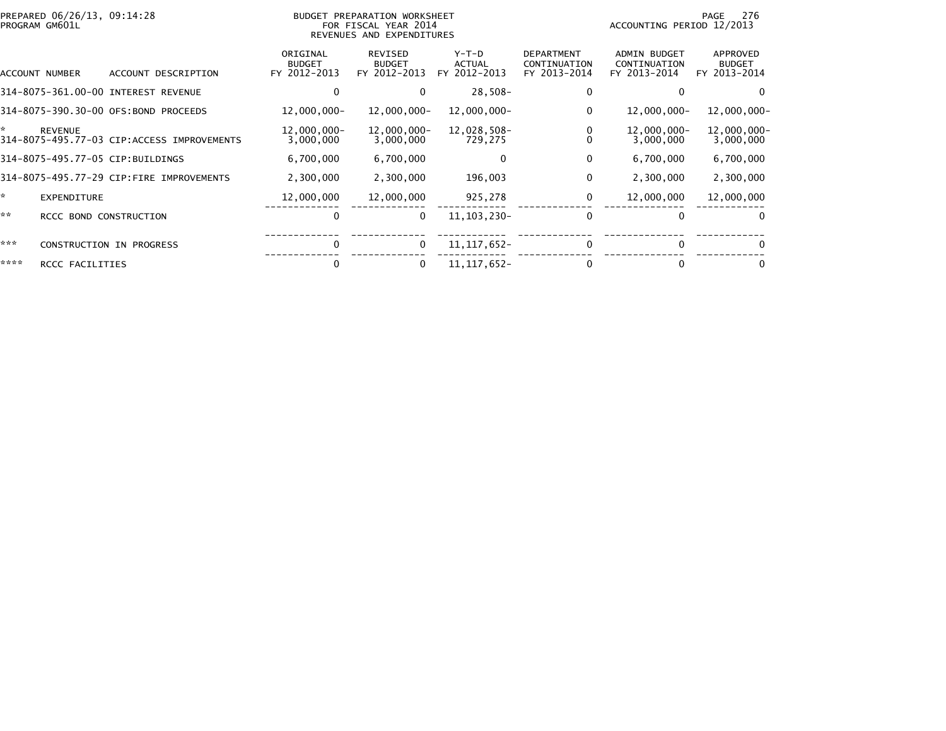| PREPARED 06/26/13, 09:14:28<br>PROGRAM GM601L |                                            |                                           | BUDGET PREPARATION WORKSHEET<br>FOR FISCAL YEAR 2014<br>REVENUES AND EXPENDITURES |                                          |                                                   | ACCOUNTING PERIOD 12/2013                           | 276<br>PAGE                               |
|-----------------------------------------------|--------------------------------------------|-------------------------------------------|-----------------------------------------------------------------------------------|------------------------------------------|---------------------------------------------------|-----------------------------------------------------|-------------------------------------------|
| ACCOUNT NUMBER                                | ACCOUNT DESCRIPTION                        | ORIGINAL<br><b>BUDGET</b><br>FY 2012-2013 | REVISED<br><b>BUDGET</b><br>FY 2012-2013                                          | $Y-T-D$<br><b>ACTUAL</b><br>FY 2012-2013 | <b>DEPARTMENT</b><br>CONTINUATION<br>FY 2013-2014 | <b>ADMIN BUDGET</b><br>CONTINUATION<br>FY 2013-2014 | APPROVED<br><b>BUDGET</b><br>FY 2013-2014 |
|                                               | 314-8075-361.00-00 INTEREST REVENUE        | 0                                         |                                                                                   | 28,508-                                  |                                                   |                                                     | 0                                         |
|                                               | 314-8075-390.30-00 OFS:BOND PROCEEDS       | 12,000,000-                               | 12,000,000-                                                                       | 12,000,000-                              | 0                                                 | 12,000,000-                                         | 12,000,000-                               |
| *<br><b>REVENUE</b>                           | 314-8075-495.77-03 CIP:ACCESS IMPROVEMENTS | 12,000,000-<br>3,000,000                  | 12,000,000-<br>3,000,000                                                          | 12,028,508-<br>729,275                   |                                                   | 12,000,000-<br>3,000,000                            | $12,000,000 -$<br>3,000,000               |
| 314-8075-495.77-05 CIP:BUILDINGS              |                                            | 6,700,000                                 | 6,700,000                                                                         | 0                                        | 0                                                 | 6,700,000                                           | 6,700,000                                 |
|                                               | 314-8075-495.77-29 CIP:FIRE IMPROVEMENTS   | 2,300,000                                 | 2,300,000                                                                         | 196,003                                  | 0                                                 | 2,300,000                                           | 2,300,000                                 |
| ×.<br><b>EXPENDITURE</b>                      |                                            | 12,000,000                                | 12,000,000                                                                        | 925,278                                  | 0                                                 | 12,000,000                                          | 12,000,000                                |
| **                                            | RCCC BOND CONSTRUCTION                     | 0                                         | 0                                                                                 | 11, 103, 230-                            | 0                                                 | 0                                                   | 0                                         |
| ***                                           | <b>CONSTRUCTION IN PROGRESS</b>            | 0                                         | $\Omega$                                                                          | 11, 117, 652 -                           | 0                                                 | 0                                                   | 0                                         |
| ****<br>RCCC FACILITIES                       |                                            | 0                                         |                                                                                   | 11, 117, 652-                            |                                                   |                                                     | 0                                         |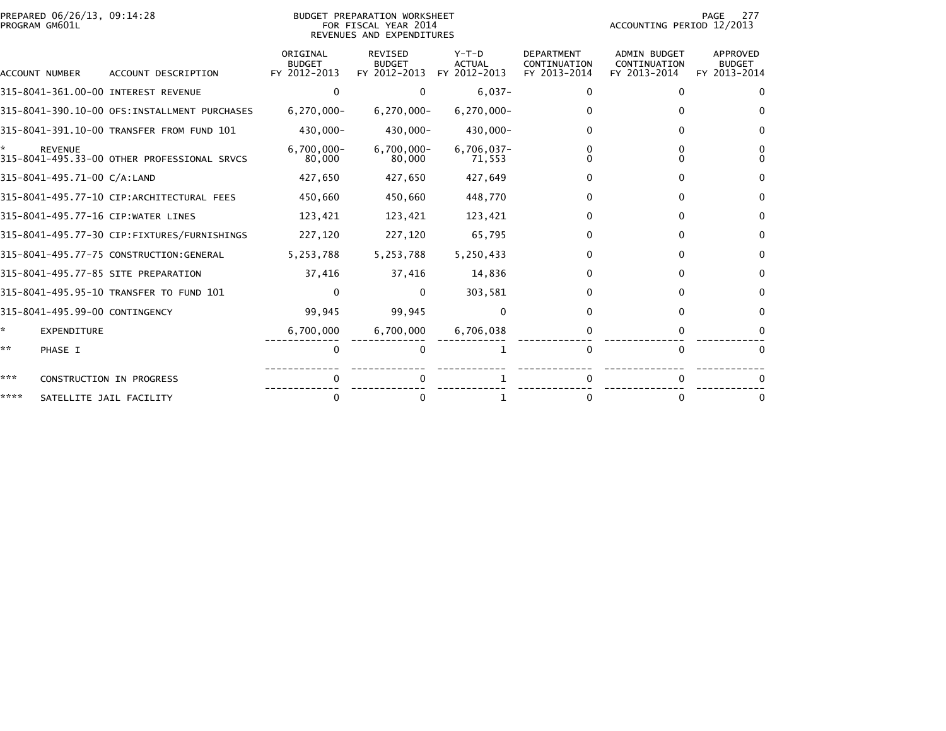| PREPARED 06/26/13, 09:14:28<br>PROGRAM GM601L |                                |                                              |                                           | BUDGET PREPARATION WORKSHEET<br>FOR FISCAL YEAR 2014<br>REVENUES AND EXPENDITURES |                                          | 277<br>PAGE<br>ACCOUNTING PERIOD 12/2013          |                                                     |                                           |
|-----------------------------------------------|--------------------------------|----------------------------------------------|-------------------------------------------|-----------------------------------------------------------------------------------|------------------------------------------|---------------------------------------------------|-----------------------------------------------------|-------------------------------------------|
|                                               | ACCOUNT NUMBER                 | ACCOUNT DESCRIPTION                          | ORIGINAL<br><b>BUDGET</b><br>FY 2012-2013 | <b>REVISED</b><br><b>BUDGET</b><br>FY 2012-2013                                   | $Y-T-D$<br><b>ACTUAL</b><br>FY 2012-2013 | <b>DEPARTMENT</b><br>CONTINUATION<br>FY 2013-2014 | <b>ADMIN BUDGET</b><br>CONTINUATION<br>FY 2013-2014 | APPROVED<br><b>BUDGET</b><br>FY 2013-2014 |
|                                               |                                | 315-8041-361.00-00 INTEREST REVENUE          | $\Omega$                                  | $\Omega$                                                                          | $6,037-$                                 | 0                                                 |                                                     |                                           |
|                                               |                                | 315-8041-390.10-00 OFS:INSTALLMENT PURCHASES | $6,270,000 -$                             | $6,270,000 -$                                                                     | $6,270,000 -$                            |                                                   |                                                     |                                           |
|                                               |                                | 315-8041-391.10-00 TRANSFER FROM FUND 101    | 430,000-                                  | 430,000-                                                                          | 430,000-                                 | 0                                                 |                                                     | <sup>0</sup>                              |
|                                               | <b>REVENUE</b>                 | 315-8041-495.33-00 OTHER PROFESSIONAL SRVCS  | $6,700,000 -$<br>80,000                   | $6,700,000 -$<br>80,000                                                           | $6,706,037 -$<br>71,553                  |                                                   |                                                     |                                           |
|                                               | 315-8041-495.71-00 C/A:LAND    |                                              | 427,650                                   | 427,650                                                                           | 427,649                                  | 0                                                 |                                                     | <sup>0</sup>                              |
|                                               |                                | 315-8041-495.77-10 CIP:ARCHITECTURAL FEES    | 450,660                                   | 450,660                                                                           | 448,770                                  | 0                                                 |                                                     | 0                                         |
|                                               |                                | 315-8041-495.77-16 CIP:WATER LINES           | 123,421                                   | 123,421                                                                           | 123,421                                  | 0                                                 |                                                     | <sup>0</sup>                              |
|                                               |                                | 315-8041-495.77-30 CIP:FIXTURES/FURNISHINGS  | 227,120                                   | 227,120                                                                           | 65,795                                   | 0                                                 |                                                     | 0                                         |
|                                               |                                | 315-8041-495.77-75 CONSTRUCTION:GENERAL      | 5,253,788                                 | 5,253,788                                                                         | 5,250,433                                | 0                                                 |                                                     | $\Omega$                                  |
|                                               |                                | 315-8041-495.77-85 SITE PREPARATION          | 37,416                                    | 37,416                                                                            | 14,836                                   | 0                                                 |                                                     | 0                                         |
|                                               |                                | 315-8041-495.95-10 TRANSFER TO FUND 101      |                                           | $\mathbf{0}$                                                                      | 303,581                                  | 0                                                 |                                                     | <sup>0</sup>                              |
|                                               | 315-8041-495.99-00 CONTINGENCY |                                              | 99,945                                    | 99,945                                                                            | $\Omega$                                 | 0                                                 |                                                     | $\Omega$                                  |
| ÷.                                            | EXPENDITURE                    |                                              | 6,700,000                                 | 6,700,000                                                                         | 6,706,038                                |                                                   |                                                     |                                           |
| **                                            | PHASE I                        |                                              | $\mathbf 0$                               | $\Omega$                                                                          |                                          | $\Omega$                                          | $\Omega$                                            | $\Omega$                                  |
| ***                                           |                                | CONSTRUCTION IN PROGRESS                     |                                           |                                                                                   |                                          |                                                   |                                                     |                                           |
| ****                                          |                                | SATELLITE JAIL FACILITY                      |                                           |                                                                                   |                                          |                                                   |                                                     |                                           |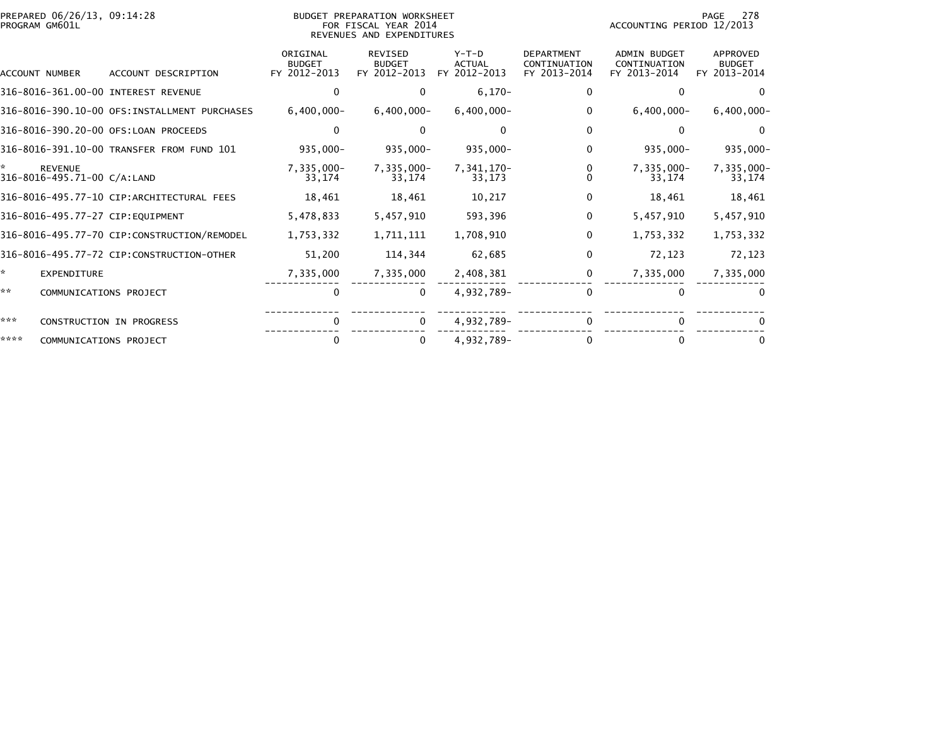| PREPARED 06/26/13, 09:14:28<br>PROGRAM GM601L       |                                               |                                           | BUDGET PREPARATION WORKSHEET<br>FOR FISCAL YEAR 2014<br>REVENUES AND EXPENDITURES |                                          |                                                   | ACCOUNTING PERIOD 12/2013                           | 278<br>PAGE                                      |
|-----------------------------------------------------|-----------------------------------------------|-------------------------------------------|-----------------------------------------------------------------------------------|------------------------------------------|---------------------------------------------------|-----------------------------------------------------|--------------------------------------------------|
| ACCOUNT NUMBER                                      | ACCOUNT DESCRIPTION                           | ORIGINAL<br><b>BUDGET</b><br>FY 2012-2013 | <b>REVISED</b><br><b>BUDGET</b><br>FY 2012-2013                                   | $Y-T-D$<br><b>ACTUAL</b><br>FY 2012-2013 | <b>DEPARTMENT</b><br>CONTINUATION<br>FY 2013-2014 | <b>ADMIN BUDGET</b><br>CONTINUATION<br>FY 2013-2014 | <b>APPROVED</b><br><b>BUDGET</b><br>FY 2013-2014 |
|                                                     | 316-8016-361.00-00 INTEREST REVENUE           | $\mathbf{0}$                              | $\Omega$                                                                          | $6,170-$                                 | 0                                                 | 0                                                   | $\Omega$                                         |
|                                                     | 316-8016-390.10-00 OFS: INSTALLMENT PURCHASES | $6,400,000 -$                             | $6,400,000 -$                                                                     | $6,400,000 -$                            | 0                                                 | $6,400,000 -$                                       | $6,400,000 -$                                    |
|                                                     | 316-8016-390.20-00 OFS:LOAN PROCEEDS          | $\Omega$                                  |                                                                                   | $\Omega$                                 | $\Omega$                                          | 0                                                   | $\Omega$                                         |
|                                                     | 316-8016-391.10-00 TRANSFER FROM FUND 101     | $935,000 -$                               | $935,000 -$                                                                       | $935,000 -$                              | 0                                                 | $935,000 -$                                         | $935,000 -$                                      |
| ÷.<br><b>REVENUE</b><br>316-8016-495.71-00 C/A:LAND |                                               | 7,335,000-<br>33,174                      | 7,335,000-<br>33,174                                                              | 7,341,170-<br>33,173                     | 0                                                 | 7,335,000-<br>33,174                                | 7,335,000-<br>33,174                             |
|                                                     | 316-8016-495.77-10 CIP:ARCHITECTURAL FEES     | 18,461                                    | 18,461                                                                            | 10,217                                   | 0                                                 | 18,461                                              | 18,461                                           |
|                                                     | 316-8016-495.77-27 CIP:EQUIPMENT              | 5,478,833                                 | 5,457,910                                                                         | 593,396                                  | $\Omega$                                          | 5,457,910                                           | 5,457,910                                        |
|                                                     | 316-8016-495.77-70 CIP:CONSTRUCTION/REMODEL   | 1,753,332                                 | 1,711,111                                                                         | 1,708,910                                | 0                                                 | 1,753,332                                           | 1,753,332                                        |
|                                                     | 316-8016-495.77-72 CIP:CONSTRUCTION-OTHER     | 51,200                                    | 114,344                                                                           | 62,685                                   | 0                                                 | 72,123                                              | 72,123                                           |
| *<br><b>EXPENDITURE</b>                             |                                               | 7,335,000                                 | 7,335,000                                                                         | 2,408,381                                | $\Omega$                                          | 7,335,000                                           | 7,335,000                                        |
| **                                                  | COMMUNICATIONS PROJECT                        | 0                                         | $\Omega$                                                                          | 4,932,789-                               | 0                                                 | 0                                                   |                                                  |
| ***                                                 | CONSTRUCTION IN PROGRESS                      | <sup>0</sup>                              | $\Omega$                                                                          | 4,932,789-                               |                                                   |                                                     |                                                  |
| ****                                                | COMMUNICATIONS PROJECT                        | 0                                         | 0                                                                                 | 4,932,789-                               |                                                   |                                                     |                                                  |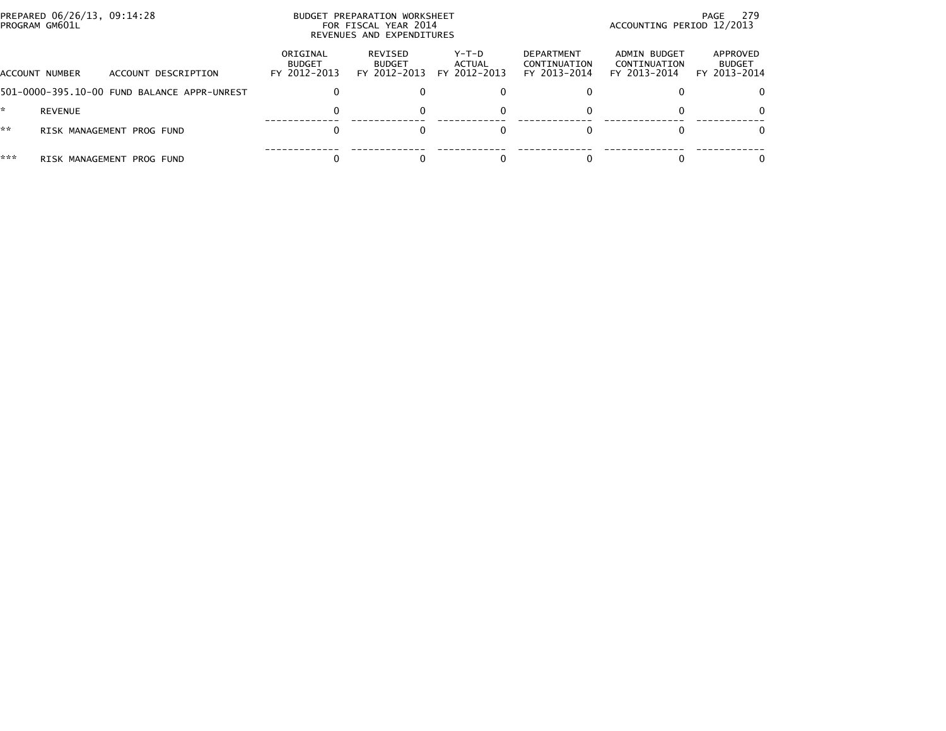|     | PREPARED 06/26/13, 09:14:28<br>PROGRAM GM601L |                                             |                                           | BUDGET PREPARATION WORKSHEET<br>FOR FISCAL YEAR 2014<br>REVENUES AND EXPENDITURES | 279<br>PAGE<br>ACCOUNTING PERIOD 12/2013 |                                                   |                                              |                                           |
|-----|-----------------------------------------------|---------------------------------------------|-------------------------------------------|-----------------------------------------------------------------------------------|------------------------------------------|---------------------------------------------------|----------------------------------------------|-------------------------------------------|
|     | ACCOUNT NUMBER                                | ACCOUNT DESCRIPTION                         | ORIGINAL<br><b>BUDGET</b><br>FY 2012-2013 | REVISED<br><b>BUDGET</b><br>FY 2012-2013                                          | Y-T-D<br>ACTUAL<br>FY 2012-2013          | <b>DEPARTMENT</b><br>CONTINUATION<br>FY 2013-2014 | ADMIN BUDGET<br>CONTINUATION<br>FY 2013-2014 | APPROVED<br><b>BUDGET</b><br>FY 2013-2014 |
|     |                                               | 501-0000-395.10-00 FUND BALANCE APPR-UNREST | 0                                         |                                                                                   |                                          |                                                   |                                              |                                           |
|     | REVENUE                                       |                                             | 0                                         |                                                                                   |                                          |                                                   |                                              |                                           |
| **  |                                               | RISK MANAGEMENT PROG FUND                   |                                           |                                                                                   |                                          |                                                   |                                              |                                           |
| *** |                                               | RISK MANAGEMENT PROG FUND                   |                                           |                                                                                   |                                          |                                                   |                                              |                                           |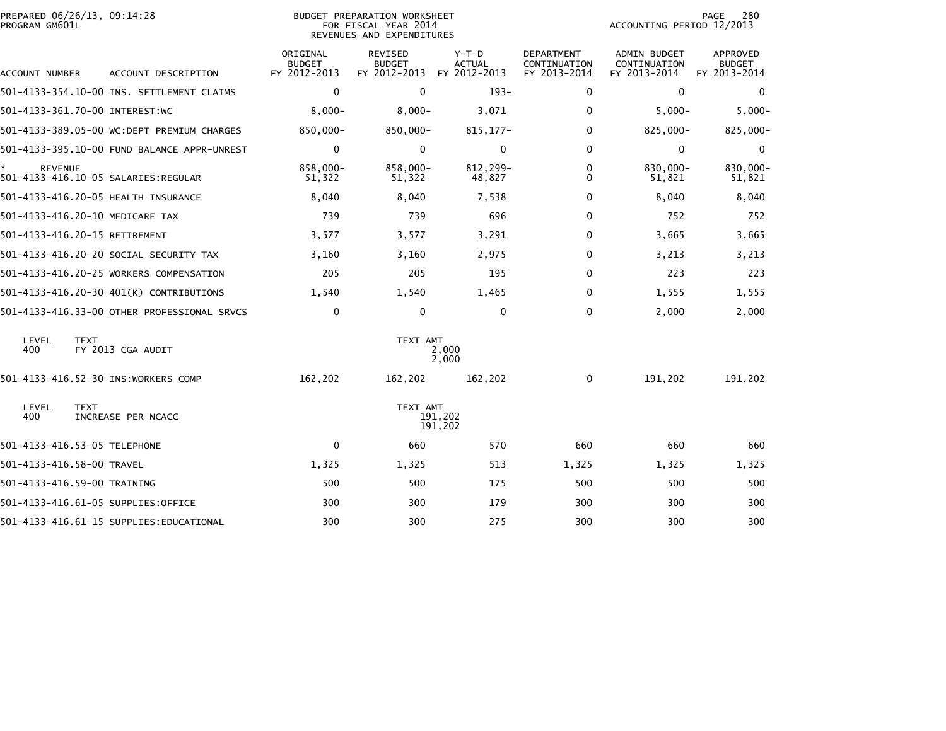| PREPARED 06/26/13, 09:14:28<br>PROGRAM GM601L |                                             |                                           | BUDGET PREPARATION WORKSHEET<br>FOR FISCAL YEAR 2014<br>REVENUES AND EXPENDITURES |                                          |                                                   | ACCOUNTING PERIOD 12/2013                           | 280<br>PAGE                                      |
|-----------------------------------------------|---------------------------------------------|-------------------------------------------|-----------------------------------------------------------------------------------|------------------------------------------|---------------------------------------------------|-----------------------------------------------------|--------------------------------------------------|
| ACCOUNT NUMBER                                | ACCOUNT DESCRIPTION                         | ORIGINAL<br><b>BUDGET</b><br>FY 2012-2013 | <b>REVISED</b><br><b>BUDGET</b><br>FY 2012-2013                                   | $Y-T-D$<br><b>ACTUAL</b><br>FY 2012-2013 | <b>DEPARTMENT</b><br>CONTINUATION<br>FY 2013-2014 | <b>ADMIN BUDGET</b><br>CONTINUATION<br>FY 2013-2014 | <b>APPROVED</b><br><b>BUDGET</b><br>FY 2013-2014 |
|                                               | 501-4133-354.10-00 INS. SETTLEMENT CLAIMS   | $\mathbf 0$                               | $\mathbf{0}$                                                                      | $193-$                                   | 0                                                 | $\Omega$                                            | $\bf{0}$                                         |
| 501-4133-361.70-00 INTEREST:WC                |                                             | $8,000 -$                                 | $8,000 -$                                                                         | 3,071                                    | 0                                                 | $5,000-$                                            | $5,000-$                                         |
|                                               | 501-4133-389.05-00 WC:DEPT PREMIUM CHARGES  | 850,000-                                  | 850,000-                                                                          | 815, 177-                                | $\mathbf{0}$                                      | 825,000-                                            | 825,000-                                         |
|                                               | 501-4133-395.10-00 FUND BALANCE APPR-UNREST | $\mathbf 0$                               | $\Omega$                                                                          | $\mathbf 0$                              | 0                                                 | 0                                                   | $\mathbf 0$                                      |
| *.<br><b>REVENUE</b>                          | 501-4133-416.10-05 SALARIES: REGULAR        | 858,000-<br>51,322                        | 858,000-<br>51,322                                                                | 812,299-<br>48,827                       | 0<br>$\mathbf{0}$                                 | 830,000-<br>51,821                                  | 830,000-<br>51,821                               |
|                                               | 501-4133-416.20-05 HEALTH INSURANCE         | 8,040                                     | 8,040                                                                             | 7,538                                    | $\mathbf{0}$                                      | 8,040                                               | 8,040                                            |
| 501-4133-416.20-10 MEDICARE TAX               |                                             | 739                                       | 739                                                                               | 696                                      | 0                                                 | 752                                                 | 752                                              |
| 501-4133-416.20-15 RETIREMENT                 |                                             | 3,577                                     | 3,577                                                                             | 3,291                                    | 0                                                 | 3,665                                               | 3,665                                            |
|                                               | 501-4133-416.20-20 SOCIAL SECURITY TAX      | 3,160                                     | 3,160                                                                             | 2,975                                    | 0                                                 | 3,213                                               | 3,213                                            |
|                                               | 501-4133-416.20-25 WORKERS COMPENSATION     | 205                                       | 205                                                                               | 195                                      | 0                                                 | 223                                                 | 223                                              |
|                                               | 501-4133-416.20-30 401(K) CONTRIBUTIONS     | 1,540                                     | 1,540                                                                             | 1,465                                    | $\mathbf{0}$                                      | 1,555                                               | 1,555                                            |
|                                               | 501-4133-416.33-00 OTHER PROFESSIONAL SRVCS | 0                                         | 0                                                                                 | $\Omega$                                 | 0                                                 | 2,000                                               | 2,000                                            |
| LEVEL<br><b>TEXT</b><br>400                   | FY 2013 CGA AUDIT                           |                                           | TEXT AMT                                                                          | 2,000<br>2,000                           |                                                   |                                                     |                                                  |
|                                               | 501-4133-416.52-30 INS:WORKERS COMP         | 162,202                                   | 162,202                                                                           | 162,202                                  | 0                                                 | 191,202                                             | 191,202                                          |
| LEVEL<br><b>TEXT</b><br>400                   | INCREASE PER NCACC                          |                                           | TEXT AMT                                                                          | 191,202<br>191,202                       |                                                   |                                                     |                                                  |
| 501-4133-416.53-05 TELEPHONE                  |                                             | $\mathbf 0$                               | 660                                                                               | 570                                      | 660                                               | 660                                                 | 660                                              |
| 501-4133-416.58-00 TRAVEL                     |                                             | 1,325                                     | 1,325                                                                             | 513                                      | 1,325                                             | 1,325                                               | 1,325                                            |
| 501-4133-416.59-00 TRAINING                   |                                             | 500                                       | 500                                                                               | 175                                      | 500                                               | 500                                                 | 500                                              |
|                                               | 501-4133-416.61-05 SUPPLIES:OFFICE          | 300                                       | 300                                                                               | 179                                      | 300                                               | 300                                                 | 300                                              |
|                                               | 501-4133-416.61-15 SUPPLIES: EDUCATIONAL    | 300                                       | 300                                                                               | 275                                      | 300                                               | 300                                                 | 300                                              |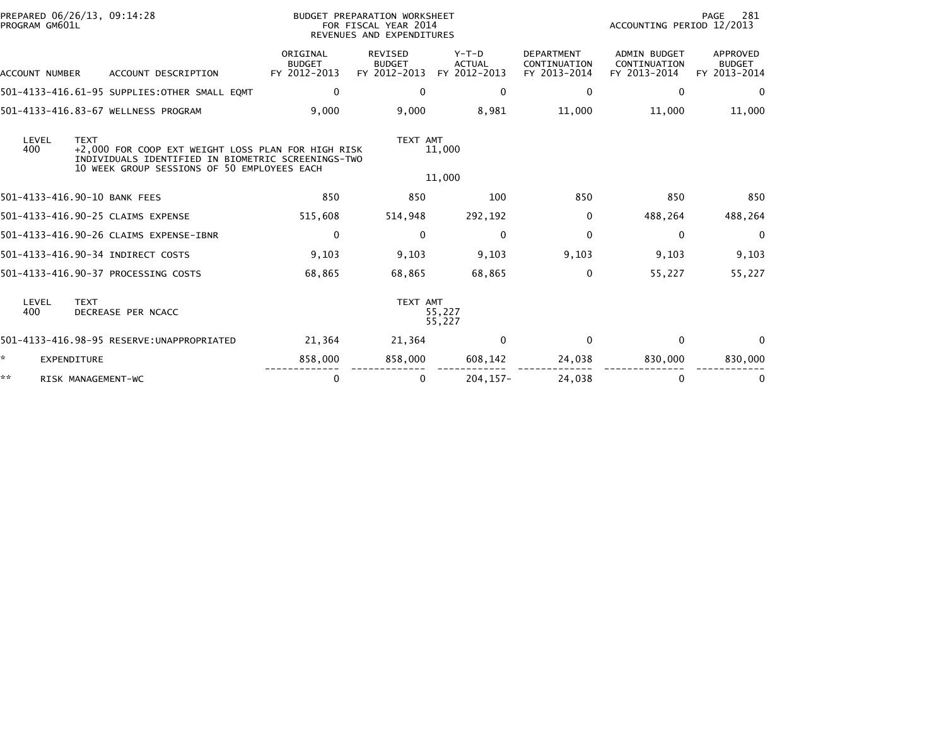| PROGRAM GM601L        | PREPARED 06/26/13, 09:14:28                                                                                                                                            |                                           | BUDGET PREPARATION WORKSHEET<br>FOR FISCAL YEAR 2014<br>REVENUES AND EXPENDITURES |                                          |                                                   | ACCOUNTING PERIOD 12/2013                           | 281<br>PAGE                                      |
|-----------------------|------------------------------------------------------------------------------------------------------------------------------------------------------------------------|-------------------------------------------|-----------------------------------------------------------------------------------|------------------------------------------|---------------------------------------------------|-----------------------------------------------------|--------------------------------------------------|
| <b>ACCOUNT NUMBER</b> | ACCOUNT DESCRIPTION                                                                                                                                                    | ORIGINAL<br><b>BUDGET</b><br>FY 2012-2013 | <b>REVISED</b><br><b>BUDGET</b><br>FY 2012-2013                                   | $Y-T-D$<br><b>ACTUAL</b><br>FY 2012-2013 | <b>DEPARTMENT</b><br>CONTINUATION<br>FY 2013-2014 | <b>ADMIN BUDGET</b><br>CONTINUATION<br>FY 2013-2014 | <b>APPROVED</b><br><b>BUDGET</b><br>FY 2013-2014 |
|                       | 501-4133-416.61-95 SUPPLIES: OTHER SMALL EQMT                                                                                                                          | $\mathbf 0$                               | $\mathbf{0}$                                                                      | $\bf{0}$                                 | 0                                                 | 0                                                   | 0                                                |
|                       | 501-4133-416.83-67 WELLNESS PROGRAM                                                                                                                                    | 9,000                                     | 9,000                                                                             | 8,981                                    | 11,000                                            | 11,000                                              | 11,000                                           |
| LEVEL<br>400          | <b>TEXT</b><br>+2,000 FOR COOP EXT WEIGHT LOSS PLAN FOR HIGH RISK<br>INDIVIDUALS IDENTIFIED IN BIOMETRIC SCREENINGS-TWO<br>10 WEEK GROUP SESSIONS OF 50 EMPLOYEES EACH |                                           | TEXT AMT                                                                          | 11,000<br>11,000                         |                                                   |                                                     |                                                  |
|                       | 501-4133-416.90-10 BANK FEES                                                                                                                                           | 850                                       | 850                                                                               | 100                                      | 850                                               | 850                                                 | 850                                              |
|                       | 501-4133-416.90-25 CLAIMS EXPENSE                                                                                                                                      | 515,608                                   | 514,948                                                                           | 292,192                                  | $\Omega$                                          | 488,264                                             | 488,264                                          |
|                       | 501-4133-416.90-26 CLAIMS EXPENSE-IBNR                                                                                                                                 | $\mathbf 0$                               | $\mathbf{0}$                                                                      | $\Omega$                                 | $\Omega$                                          | $\mathbf{0}$                                        | $\Omega$                                         |
|                       | 501-4133-416.90-34 INDIRECT COSTS                                                                                                                                      | 9,103                                     | 9,103                                                                             | 9,103                                    | 9,103                                             | 9,103                                               | 9,103                                            |
|                       | 501-4133-416.90-37 PROCESSING COSTS                                                                                                                                    | 68,865                                    | 68,865                                                                            | 68.865                                   | 0                                                 | 55,227                                              | 55,227                                           |
| LEVEL<br>400          | <b>TEXT</b><br>DECREASE PER NCACC                                                                                                                                      |                                           | TEXT AMT                                                                          | 55,227<br>55,227                         |                                                   |                                                     |                                                  |
|                       | 501-4133-416.98-95 RESERVE:UNAPPROPRIATED                                                                                                                              | 21,364                                    | 21,364                                                                            | $\Omega$                                 | $\Omega$                                          | $\bf{0}$                                            | $\Omega$                                         |
| *<br>EXPENDITURE      |                                                                                                                                                                        | 858,000                                   | 858,000                                                                           | 608,142                                  | 24,038                                            | 830,000                                             | 830,000                                          |
| **                    | RISK MANAGEMENT-WC                                                                                                                                                     | 0                                         | $\bf{0}$                                                                          | $204.157 -$                              | 24.038                                            | 0                                                   | 0                                                |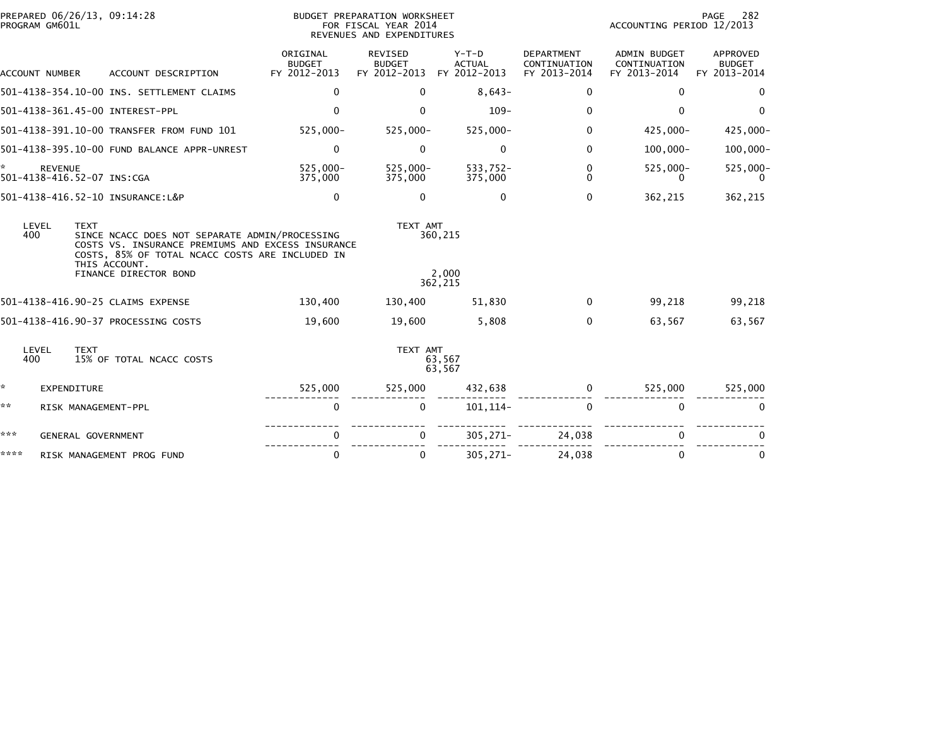|      | PROGRAM GM601L        |             | PREPARED 06/26/13, 09:14:28                                                                                                                                                                      |                                           | BUDGET PREPARATION WORKSHEET<br>FOR FISCAL YEAR 2014<br>REVENUES AND EXPENDITURES |                                          |                                                   | ACCOUNTING PERIOD 12/2013                           | PAGE<br>282                               |
|------|-----------------------|-------------|--------------------------------------------------------------------------------------------------------------------------------------------------------------------------------------------------|-------------------------------------------|-----------------------------------------------------------------------------------|------------------------------------------|---------------------------------------------------|-----------------------------------------------------|-------------------------------------------|
|      | <b>ACCOUNT NUMBER</b> |             | ACCOUNT DESCRIPTION                                                                                                                                                                              | ORIGINAL<br><b>BUDGET</b><br>FY 2012-2013 | <b>REVISED</b><br><b>BUDGET</b><br>FY 2012-2013                                   | $Y-T-D$<br><b>ACTUAL</b><br>FY 2012-2013 | <b>DEPARTMENT</b><br>CONTINUATION<br>FY 2013-2014 | <b>ADMIN BUDGET</b><br>CONTINUATION<br>FY 2013-2014 | APPROVED<br><b>BUDGET</b><br>FY 2013-2014 |
|      |                       |             | 501-4138-354.10-00 INS. SETTLEMENT CLAIMS                                                                                                                                                        | $\mathbf{0}$                              | 0                                                                                 | $8,643-$                                 | 0                                                 | 0                                                   | 0                                         |
|      |                       |             | 501-4138-361.45-00 INTEREST-PPL                                                                                                                                                                  | $\Omega$                                  | 0                                                                                 | $109 -$                                  | $\Omega$                                          | 0                                                   | $\Omega$                                  |
|      |                       |             | 501-4138-391.10-00 TRANSFER FROM FUND 101                                                                                                                                                        | 525,000-                                  | $525,000 -$                                                                       | 525,000-                                 | $\Omega$                                          | 425,000-                                            | $425,000 -$                               |
|      |                       |             | 501-4138-395.10-00 FUND BALANCE APPR-UNREST                                                                                                                                                      | $\mathbf 0$                               | $\Omega$                                                                          | 0                                        | $\Omega$                                          | $100,000 -$                                         | $100,000 -$                               |
|      | <b>REVENUE</b>        |             | 501-4138-416.52-07 INS:CGA                                                                                                                                                                       | $525.000 -$<br>375,000                    | $525,000 -$<br>375,000                                                            | 533,752-<br>375,000                      | $\Omega$<br>$\Omega$                              | 525,000-<br>0                                       | 525,000-<br>0                             |
|      |                       |             | 501-4138-416.52-10 INSURANCE:L&P                                                                                                                                                                 | 0                                         | $\Omega$                                                                          | $\mathbf{0}$                             | $\Omega$                                          | 362,215                                             | 362,215                                   |
|      | LEVEL<br>400          | <b>TEXT</b> | SINCE NCACC DOES NOT SEPARATE ADMIN/PROCESSING<br>COSTS VS. INSURANCE PREMIUMS AND EXCESS INSURANCE<br>COSTS, 85% OF TOTAL NCACC COSTS ARE INCLUDED IN<br>THIS ACCOUNT.<br>FINANCE DIRECTOR BOND |                                           | TEXT AMT                                                                          | 360,215<br>2.000                         |                                                   |                                                     |                                           |
|      |                       |             |                                                                                                                                                                                                  |                                           |                                                                                   | 362,215                                  |                                                   |                                                     |                                           |
|      |                       |             | 501-4138-416.90-25 CLAIMS EXPENSE                                                                                                                                                                | 130,400                                   | 130,400                                                                           | 51,830                                   | 0                                                 | 99,218                                              | 99,218                                    |
|      |                       |             | 501-4138-416.90-37 PROCESSING COSTS                                                                                                                                                              | 19,600                                    | 19,600                                                                            | 5,808                                    | $\Omega$                                          | 63,567                                              | 63,567                                    |
|      | LEVEL<br>400          | <b>TEXT</b> | 15% OF TOTAL NCACC COSTS                                                                                                                                                                         |                                           | TEXT AMT                                                                          | 63,567<br>63,567                         |                                                   |                                                     |                                           |
| *.   |                       | EXPENDITURE |                                                                                                                                                                                                  | 525,000                                   | 525,000                                                                           | 432,638                                  | 0                                                 | 525,000                                             | 525,000                                   |
| **   |                       |             | RISK MANAGEMENT-PPL                                                                                                                                                                              | $\mathbf 0$                               | $\mathbf{0}$                                                                      | 101, 114-                                | $\mathbf{0}$                                      | $\mathbf{0}$                                        | $\mathbf{0}$                              |
| ***  |                       |             | <b>GENERAL GOVERNMENT</b>                                                                                                                                                                        | 0                                         |                                                                                   | $305, 271 -$                             | 24,038                                            | 0                                                   |                                           |
| **** |                       |             | RISK MANAGEMENT PROG FUND                                                                                                                                                                        | $\Omega$                                  | 0                                                                                 | $305, 271 -$                             | 24,038                                            | 0                                                   | $\mathbf{0}$                              |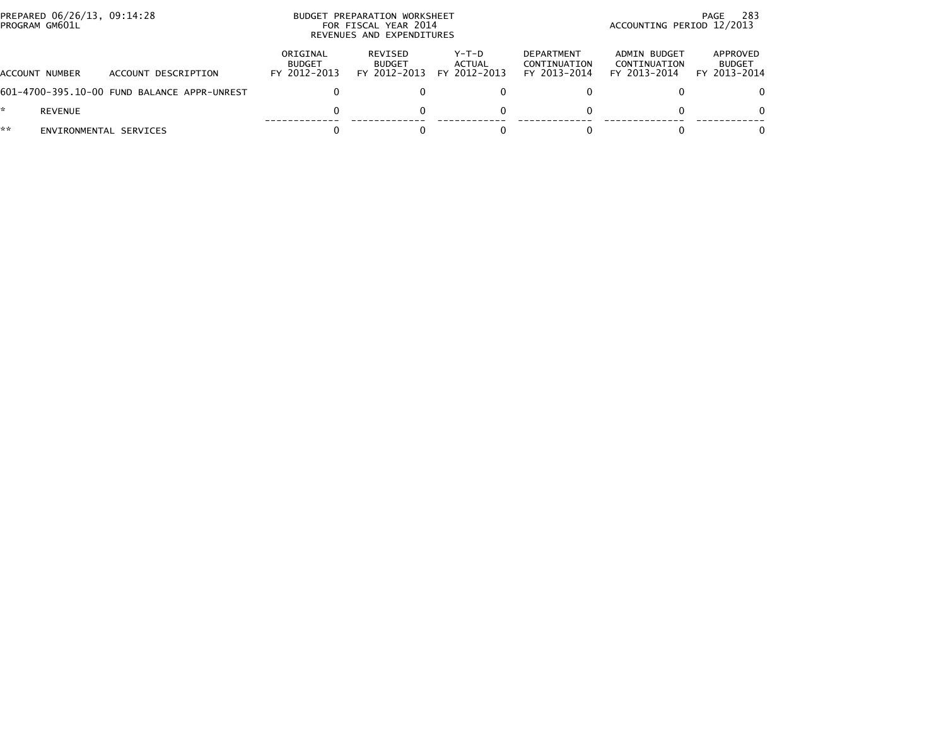|    | PROGRAM GM601L         | PREPARED 06/26/13, 09:14:28<br>BUDGET PREPARATION WORKSHEET<br>PAGE<br>ACCOUNTING PERIOD 12/2013<br>FOR FISCAL YEAR 2014<br>REVENUES AND EXPENDITURES |                                           |                                          |                                          |                                                   |                                              |                                           |  |
|----|------------------------|-------------------------------------------------------------------------------------------------------------------------------------------------------|-------------------------------------------|------------------------------------------|------------------------------------------|---------------------------------------------------|----------------------------------------------|-------------------------------------------|--|
|    | ACCOUNT NUMBER         | ACCOUNT DESCRIPTION                                                                                                                                   | ORIGINAL<br><b>BUDGET</b><br>FY 2012-2013 | REVISED<br><b>BUDGET</b><br>FY 2012-2013 | $Y-T-D$<br><b>ACTUAL</b><br>FY 2012-2013 | <b>DEPARTMENT</b><br>CONTINUATION<br>FY 2013-2014 | ADMIN BUDGET<br>CONTINUATION<br>FY 2013-2014 | APPROVED<br><b>BUDGET</b><br>FY 2013-2014 |  |
|    |                        | 601-4700-395.10-00 FUND BALANCE APPR-UNREST                                                                                                           |                                           |                                          |                                          |                                                   |                                              | 0                                         |  |
|    | REVENUE                |                                                                                                                                                       |                                           |                                          | 0                                        |                                                   | 0                                            | $\Omega$                                  |  |
| ** | ENVIRONMENTAL SERVICES |                                                                                                                                                       |                                           |                                          |                                          |                                                   |                                              | $\Omega$                                  |  |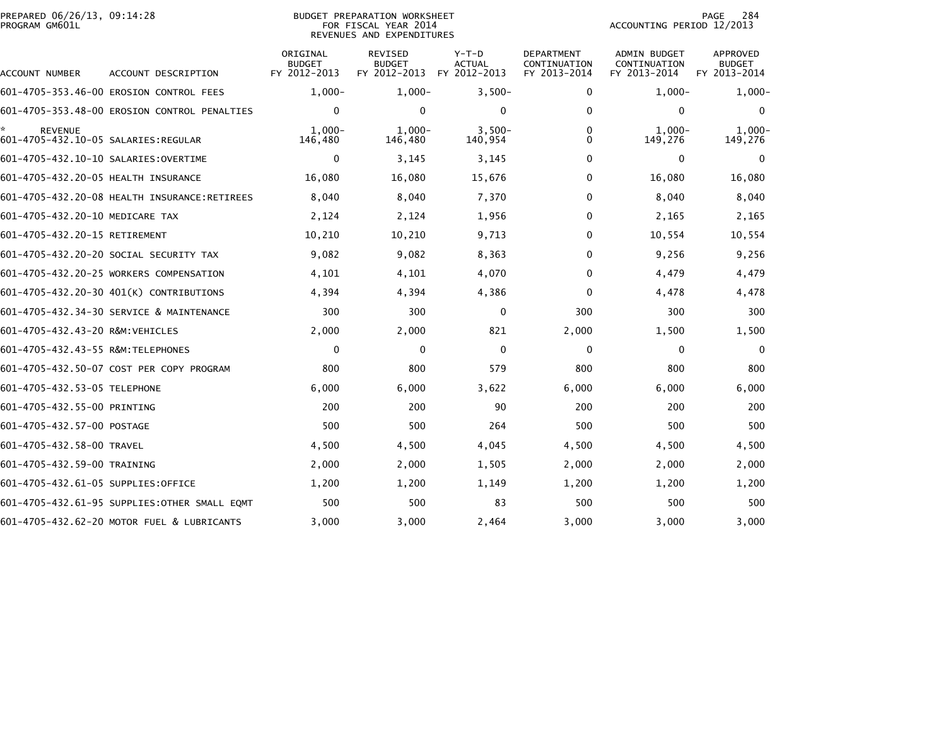| PREPARED 06/26/13, 09:14:28<br>PROGRAM GM601L               |                                              |                                           | <b>BUDGET PREPARATION WORKSHEET</b><br>FOR FISCAL YEAR 2014<br>REVENUES AND EXPENDITURES |                                          | 284<br>PAGE<br>ACCOUNTING PERIOD 12/2013          |                                              |                                                  |
|-------------------------------------------------------------|----------------------------------------------|-------------------------------------------|------------------------------------------------------------------------------------------|------------------------------------------|---------------------------------------------------|----------------------------------------------|--------------------------------------------------|
| ACCOUNT NUMBER                                              | ACCOUNT DESCRIPTION                          | ORIGINAL<br><b>BUDGET</b><br>FY 2012-2013 | REVISED<br><b>BUDGET</b><br>FY 2012-2013                                                 | $Y-T-D$<br><b>ACTUAL</b><br>FY 2012-2013 | <b>DEPARTMENT</b><br>CONTINUATION<br>FY 2013-2014 | ADMIN BUDGET<br>CONTINUATION<br>FY 2013-2014 | <b>APPROVED</b><br><b>BUDGET</b><br>FY 2013-2014 |
|                                                             | 601-4705-353.46-00 EROSION CONTROL FEES      | $1,000-$                                  | $1,000-$                                                                                 | $3,500-$                                 | 0                                                 | $1,000-$                                     | $1,000-$                                         |
|                                                             | 601-4705-353.48-00 EROSION CONTROL PENALTIES | $\Omega$                                  | $\mathbf{0}$                                                                             | $\Omega$                                 | $\Omega$                                          | $\Omega$                                     | $\Omega$                                         |
| ÷.<br><b>REVENUE</b><br>601-4705-432.10-05 SALARIES:REGULAR |                                              | $1.000 -$<br>146,480                      | $1,000 -$<br>146,480                                                                     | $3,500-$<br>140,954                      | 0<br>0                                            | $1,000-$<br>149,276                          | $1,000-$<br>149,276                              |
| 601-4705-432.10-10 SALARIES:OVERTIME                        |                                              | 0                                         | 3,145                                                                                    | 3,145                                    | 0                                                 | 0                                            | 0                                                |
| 601-4705-432.20-05 HEALTH INSURANCE                         |                                              | 16,080                                    | 16,080                                                                                   | 15,676                                   | 0                                                 | 16,080                                       | 16,080                                           |
|                                                             | 601-4705-432.20-08 HEALTH INSURANCE:RETIREES | 8,040                                     | 8,040                                                                                    | 7,370                                    | 0                                                 | 8,040                                        | 8,040                                            |
| 601-4705-432.20-10 MEDICARE TAX                             |                                              | 2,124                                     | 2,124                                                                                    | 1,956                                    | 0                                                 | 2,165                                        | 2,165                                            |
| 601-4705-432.20-15 RETIREMENT                               |                                              | 10,210                                    | 10,210                                                                                   | 9,713                                    | $\Omega$                                          | 10,554                                       | 10,554                                           |
|                                                             | 601-4705-432.20-20 SOCIAL SECURITY TAX       | 9,082                                     | 9,082                                                                                    | 8,363                                    | 0                                                 | 9,256                                        | 9,256                                            |
|                                                             | 601-4705-432.20-25 WORKERS COMPENSATION      | 4,101                                     | 4,101                                                                                    | 4,070                                    | $\Omega$                                          | 4,479                                        | 4,479                                            |
|                                                             | 601-4705-432.20-30 401(K) CONTRIBUTIONS      | 4,394                                     | 4,394                                                                                    | 4,386                                    | $\Omega$                                          | 4,478                                        | 4,478                                            |
|                                                             | 601-4705-432.34-30 SERVICE & MAINTENANCE     | 300                                       | 300                                                                                      | 0                                        | 300                                               | 300                                          | 300                                              |
| 601-4705-432.43-20 R&M:VEHICLES                             |                                              | 2,000                                     | 2,000                                                                                    | 821                                      | 2,000                                             | 1,500                                        | 1,500                                            |
| 601-4705-432.43-55 R&M:TELEPHONES                           |                                              | 0                                         | $\Omega$                                                                                 | $\Omega$                                 | 0                                                 | 0                                            | $\mathbf{0}$                                     |
|                                                             | 601-4705-432.50-07 COST PER COPY PROGRAM     | 800                                       | 800                                                                                      | 579                                      | 800                                               | 800                                          | 800                                              |
| 601-4705-432.53-05 TELEPHONE                                |                                              | 6,000                                     | 6,000                                                                                    | 3,622                                    | 6,000                                             | 6,000                                        | 6,000                                            |
| 601-4705-432.55-00 PRINTING                                 |                                              | 200                                       | 200                                                                                      | 90                                       | 200                                               | 200                                          | 200                                              |
| 601-4705-432.57-00 POSTAGE                                  |                                              | 500                                       | 500                                                                                      | 264                                      | 500                                               | 500                                          | 500                                              |
| 601-4705-432.58-00 TRAVEL                                   |                                              | 4,500                                     | 4,500                                                                                    | 4,045                                    | 4,500                                             | 4,500                                        | 4,500                                            |
| 601-4705-432.59-00 TRAINING                                 |                                              | 2,000                                     | 2,000                                                                                    | 1,505                                    | 2,000                                             | 2,000                                        | 2,000                                            |
| 601-4705-432.61-05 SUPPLIES:OFFICE                          |                                              | 1,200                                     | 1,200                                                                                    | 1,149                                    | 1,200                                             | 1,200                                        | 1,200                                            |
|                                                             | 601-4705-432.61-95 SUPPLIES:OTHER SMALL EQMT | 500                                       | 500                                                                                      | 83                                       | 500                                               | 500                                          | 500                                              |
|                                                             | 601-4705-432.62-20 MOTOR FUEL & LUBRICANTS   | 3,000                                     | 3,000                                                                                    | 2,464                                    | 3,000                                             | 3,000                                        | 3,000                                            |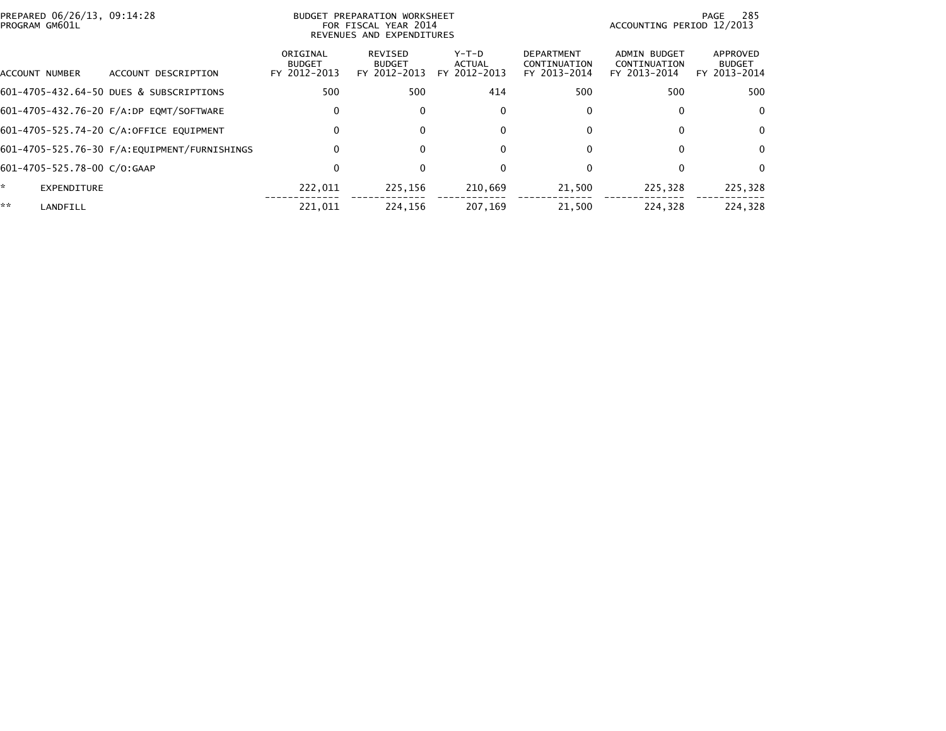| PREPARED 06/26/13, 09:14:28<br>PROGRAM GM601L |                                         |                                           | <b>BUDGET PREPARATION WORKSHEET</b><br>FOR FISCAL YEAR 2014<br>REVENUES AND EXPENDITURES |                                 |                                                   | ACCOUNTING PERIOD 12/2013                           | -285<br>PAGE                              |
|-----------------------------------------------|-----------------------------------------|-------------------------------------------|------------------------------------------------------------------------------------------|---------------------------------|---------------------------------------------------|-----------------------------------------------------|-------------------------------------------|
| ACCOUNT NUMBER                                | ACCOUNT DESCRIPTION                     | ORIGINAL<br><b>BUDGET</b><br>FY 2012-2013 | REVISED<br><b>BUDGET</b><br>FY 2012-2013                                                 | Y-T-D<br>ACTUAL<br>FY 2012-2013 | <b>DEPARTMENT</b><br>CONTINUATION<br>FY 2013-2014 | <b>ADMIN BUDGET</b><br>CONTINUATION<br>FY 2013-2014 | APPROVED<br><b>BUDGET</b><br>FY 2013-2014 |
|                                               | 601-4705-432.64-50 DUES & SUBSCRIPTIONS | 500                                       | 500                                                                                      | 414                             | 500                                               | 500                                                 | 500                                       |
|                                               | 601-4705-432.76-20 F/A:DP EQMT/SOFTWARE | 0                                         | $\Omega$                                                                                 | 0                               | 0                                                 | 0                                                   | $\Omega$                                  |
|                                               | 601-4705-525.74-20 C/A:OFFICE EQUIPMENT | 0                                         | $\Omega$                                                                                 | 0                               | 0                                                 | 0                                                   | $\Omega$                                  |
|                                               |                                         | 0                                         | $\Omega$                                                                                 | $\mathbf{0}$                    | 0                                                 | 0                                                   | $\Omega$                                  |
| 601-4705-525.78-00 C/O:GAAP                   |                                         | 0                                         | $\Omega$                                                                                 | $\Omega$                        | 0                                                 | 0                                                   | $\Omega$                                  |
| ÷.<br><b>EXPENDITURE</b>                      |                                         | 222,011                                   | 225,156                                                                                  | 210,669                         | 21,500                                            | 225,328                                             | 225,328                                   |
| **<br>LANDFILL                                |                                         | 221.011                                   | 224.156                                                                                  | 207.169                         | 21.500                                            | 224.328                                             | 224.328                                   |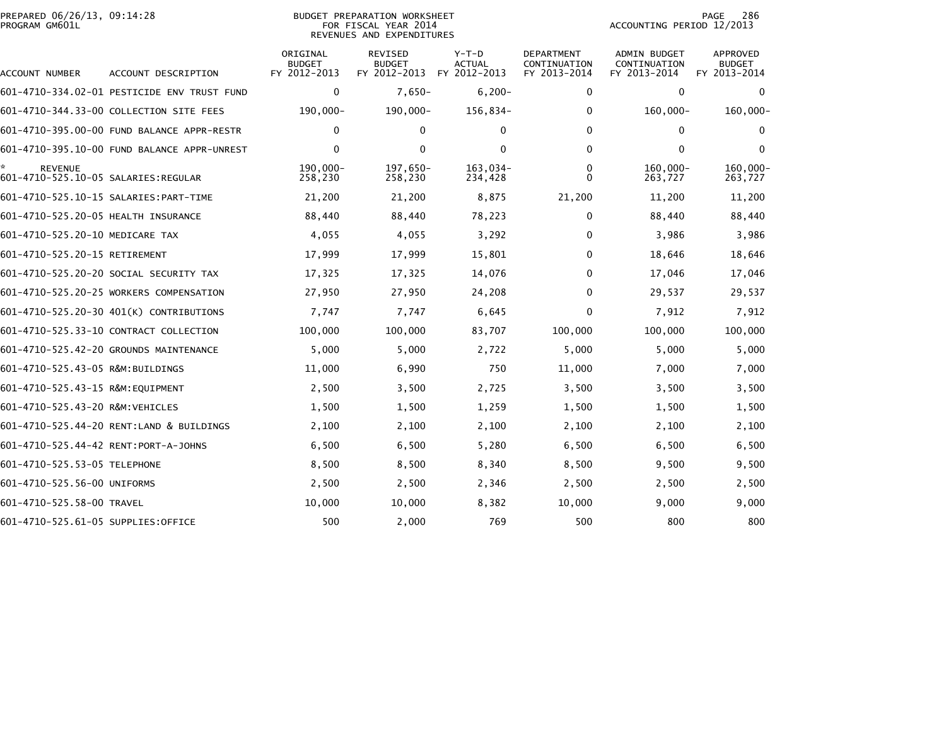# PREPARED 06/26/13, 09:14:28<br>PROGRAM GM601L

### BUDGET PREPARATION WORKSHEET<br>FOR FISCAL YEAR 2014 REVENUES AND EXPENDITURES

PAGE 286<br>ACCOUNTING PERIOD 12/2013

| <b>ACCOUNT NUMBER</b>                                 | ACCOUNT DESCRIPTION                         | ORIGINAL<br><b>BUDGET</b><br>FY 2012-2013 | <b>REVISED</b><br><b>BUDGET</b><br>FY 2012-2013 | $Y-T-D$<br>ACTUAL<br>FY 2012-2013 | <b>DEPARTMENT</b><br>CONTINUATION<br>FY 2013-2014 | <b>ADMIN BUDGET</b><br>CONTINUATION<br>FY 2013-2014 | <b>APPROVED</b><br><b>BUDGET</b><br>FY 2013-2014 |
|-------------------------------------------------------|---------------------------------------------|-------------------------------------------|-------------------------------------------------|-----------------------------------|---------------------------------------------------|-----------------------------------------------------|--------------------------------------------------|
|                                                       | 601-4710-334.02-01 PESTICIDE ENV TRUST FUND | 0                                         | $7,650-$                                        | $6,200 -$                         | 0                                                 | 0                                                   | $\mathbf{0}$                                     |
|                                                       | 601-4710-344.33-00 COLLECTION SITE FEES     | 190,000-                                  | $190,000 -$                                     | 156,834-                          | 0                                                 | 160,000-                                            | $160,000 -$                                      |
|                                                       | 601-4710-395.00-00 FUND BALANCE APPR-RESTR  | $\mathbf 0$                               | $\mathbf 0$                                     | $\mathbf{0}$                      | 0                                                 | 0                                                   | $\Omega$                                         |
|                                                       | 601-4710-395.10-00 FUND BALANCE APPR-UNREST | $\mathbf 0$                               | $\mathbf 0$                                     | 0                                 | 0                                                 | 0                                                   | $\mathbf{0}$                                     |
| <b>REVENUE</b><br>601-4710-525.10-05 SALARIES:REGULAR |                                             | 190.000-<br>258,230                       | 197,650-<br>258,230                             | 163.034-<br>234,428               | 0<br>0                                            | $160.000 -$<br>263,727                              | 160,000-<br>263,727                              |
|                                                       | 601-4710-525.10-15 SALARIES: PART-TIME      | 21,200                                    | 21,200                                          | 8,875                             | 21,200                                            | 11,200                                              | 11,200                                           |
| 601-4710-525.20-05 HEALTH INSURANCE                   |                                             | 88,440                                    | 88,440                                          | 78,223                            | 0                                                 | 88,440                                              | 88,440                                           |
| 601-4710-525.20-10 MEDICARE TAX                       |                                             | 4,055                                     | 4,055                                           | 3,292                             | 0                                                 | 3,986                                               | 3,986                                            |
| 601-4710-525.20-15 RETIREMENT                         |                                             | 17,999                                    | 17,999                                          | 15,801                            | 0                                                 | 18,646                                              | 18,646                                           |
|                                                       | 601-4710-525.20-20 SOCIAL SECURITY TAX      | 17,325                                    | 17,325                                          | 14,076                            | 0                                                 | 17,046                                              | 17,046                                           |
|                                                       | 601-4710-525.20-25 WORKERS COMPENSATION     | 27,950                                    | 27,950                                          | 24,208                            | 0                                                 | 29,537                                              | 29,537                                           |
|                                                       | 601-4710-525.20-30 401(K) CONTRIBUTIONS     | 7,747                                     | 7,747                                           | 6,645                             | 0                                                 | 7,912                                               | 7,912                                            |
|                                                       | 601-4710-525.33-10 CONTRACT COLLECTION      | 100,000                                   | 100,000                                         | 83,707                            | 100,000                                           | 100,000                                             | 100,000                                          |
|                                                       | 601-4710-525.42-20 GROUNDS MAINTENANCE      | 5,000                                     | 5,000                                           | 2,722                             | 5,000                                             | 5,000                                               | 5,000                                            |
| 601-4710-525.43-05 R&M:BUILDINGS                      |                                             | 11,000                                    | 6,990                                           | 750                               | 11,000                                            | 7,000                                               | 7,000                                            |
| 601-4710-525.43-15 R&M: EQUIPMENT                     |                                             | 2,500                                     | 3,500                                           | 2,725                             | 3,500                                             | 3,500                                               | 3,500                                            |
| 601-4710-525.43-20 R&M: VEHICLES                      |                                             | 1,500                                     | 1,500                                           | 1,259                             | 1,500                                             | 1,500                                               | 1,500                                            |
|                                                       | 601-4710-525.44-20 RENT:LAND & BUILDINGS    | 2,100                                     | 2,100                                           | 2,100                             | 2,100                                             | 2,100                                               | 2,100                                            |
| 601-4710-525.44-42 RENT: PORT-A-JOHNS                 |                                             | 6,500                                     | 6,500                                           | 5,280                             | 6,500                                             | 6,500                                               | 6,500                                            |
| 601-4710-525.53-05 TELEPHONE                          |                                             | 8,500                                     | 8,500                                           | 8,340                             | 8,500                                             | 9,500                                               | 9,500                                            |
| 601-4710-525.56-00 UNIFORMS                           |                                             | 2,500                                     | 2,500                                           | 2,346                             | 2,500                                             | 2,500                                               | 2,500                                            |
| 601-4710-525.58-00 TRAVEL                             |                                             | 10,000                                    | 10,000                                          | 8,382                             | 10,000                                            | 9,000                                               | 9,000                                            |
| 601-4710-525.61-05 SUPPLIES:OFFICE                    |                                             | 500                                       | 2,000                                           | 769                               | 500                                               | 800                                                 | 800                                              |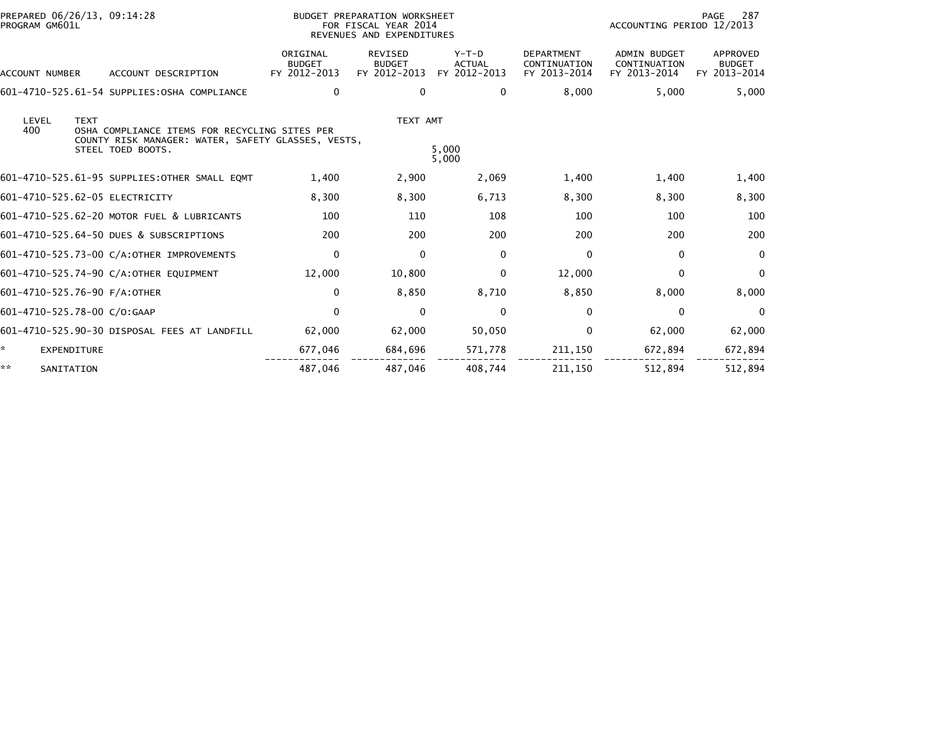| PROGRAM GM601L                 | PREPARED 06/26/13, 09:14:28<br>BUDGET PREPARATION WORKSHEET<br>FOR FISCAL YEAR 2014<br>REVENUES AND EXPENDITURES |                                                                                                                          |                                           |                                          |                                          | 287<br>PAGE<br>ACCOUNTING PERIOD 12/2013          |                                                     |                                           |  |
|--------------------------------|------------------------------------------------------------------------------------------------------------------|--------------------------------------------------------------------------------------------------------------------------|-------------------------------------------|------------------------------------------|------------------------------------------|---------------------------------------------------|-----------------------------------------------------|-------------------------------------------|--|
| <b>ACCOUNT NUMBER</b>          |                                                                                                                  | ACCOUNT DESCRIPTION                                                                                                      | ORIGINAL<br><b>BUDGET</b><br>FY 2012-2013 | REVISED<br><b>BUDGET</b><br>FY 2012-2013 | $Y-T-D$<br><b>ACTUAL</b><br>FY 2012-2013 | <b>DEPARTMENT</b><br>CONTINUATION<br>FY 2013-2014 | <b>ADMIN BUDGET</b><br>CONTINUATION<br>FY 2013-2014 | APPROVED<br><b>BUDGET</b><br>FY 2013-2014 |  |
|                                |                                                                                                                  | 601-4710-525.61-54 SUPPLIES:OSHA COMPLIANCE                                                                              | $\mathbf 0$                               | 0                                        | 0                                        | 8,000                                             | 5,000                                               | 5,000                                     |  |
| LEVEL<br>400                   | <b>TEXT</b>                                                                                                      | OSHA COMPLIANCE ITEMS FOR RECYCLING SITES PER<br>COUNTY RISK MANAGER: WATER, SAFETY GLASSES, VESTS,<br>STEEL TOED BOOTS. |                                           | TEXT AMT                                 | 5.000<br>5,000                           |                                                   |                                                     |                                           |  |
|                                |                                                                                                                  | 601-4710-525.61-95 SUPPLIES: OTHER SMALL EQMT                                                                            | 1,400                                     | 2,900                                    | 2,069                                    | 1,400                                             | 1,400                                               | 1,400                                     |  |
| 601-4710-525.62-05 ELECTRICITY |                                                                                                                  |                                                                                                                          | 8.300                                     | 8,300                                    | 6,713                                    | 8,300                                             | 8,300                                               | 8,300                                     |  |
|                                |                                                                                                                  | 601-4710-525.62-20 MOTOR FUEL & LUBRICANTS                                                                               | 100                                       | 110                                      | 108                                      | 100                                               | 100                                                 | 100                                       |  |
|                                |                                                                                                                  | 601-4710-525.64-50 DUES & SUBSCRIPTIONS                                                                                  | 200                                       | 200                                      | 200                                      | 200                                               | 200                                                 | 200                                       |  |
|                                |                                                                                                                  | 601-4710-525.73-00 C/A:OTHER IMPROVEMENTS                                                                                | 0                                         | $\mathbf{0}$                             | $\mathbf{0}$                             | $\mathbf{0}$                                      | 0                                                   | $\mathbf{0}$                              |  |
|                                |                                                                                                                  | 601-4710-525.74-90 C/A:OTHER EQUIPMENT                                                                                   | 12,000                                    | 10,800                                   | $\mathbf{0}$                             | 12,000                                            | $\mathbf{0}$                                        | $\mathbf{0}$                              |  |
| 601-4710-525.76-90 F/A:OTHER   |                                                                                                                  |                                                                                                                          | $\mathbf{0}$                              | 8,850                                    | 8,710                                    | 8,850                                             | 8,000                                               | 8,000                                     |  |
| 601-4710-525.78-00 C/O:GAAP    |                                                                                                                  |                                                                                                                          | $\Omega$                                  | $\Omega$                                 | $\mathbf{0}$                             | 0                                                 | 0                                                   | $\Omega$                                  |  |
|                                |                                                                                                                  | 601-4710-525.90-30 DISPOSAL FEES AT LANDFILL                                                                             | 62,000                                    | 62,000                                   | 50.050                                   | $\Omega$                                          | 62,000                                              | 62,000                                    |  |
| *<br><b>EXPENDITURE</b>        |                                                                                                                  |                                                                                                                          | 677,046                                   | 684,696                                  | 571,778                                  | 211,150                                           | 672,894                                             | 672,894                                   |  |
| **<br>SANITATION               |                                                                                                                  |                                                                                                                          | 487.046                                   | 487.046                                  | 408.744                                  | 211.150                                           | 512.894                                             | 512.894                                   |  |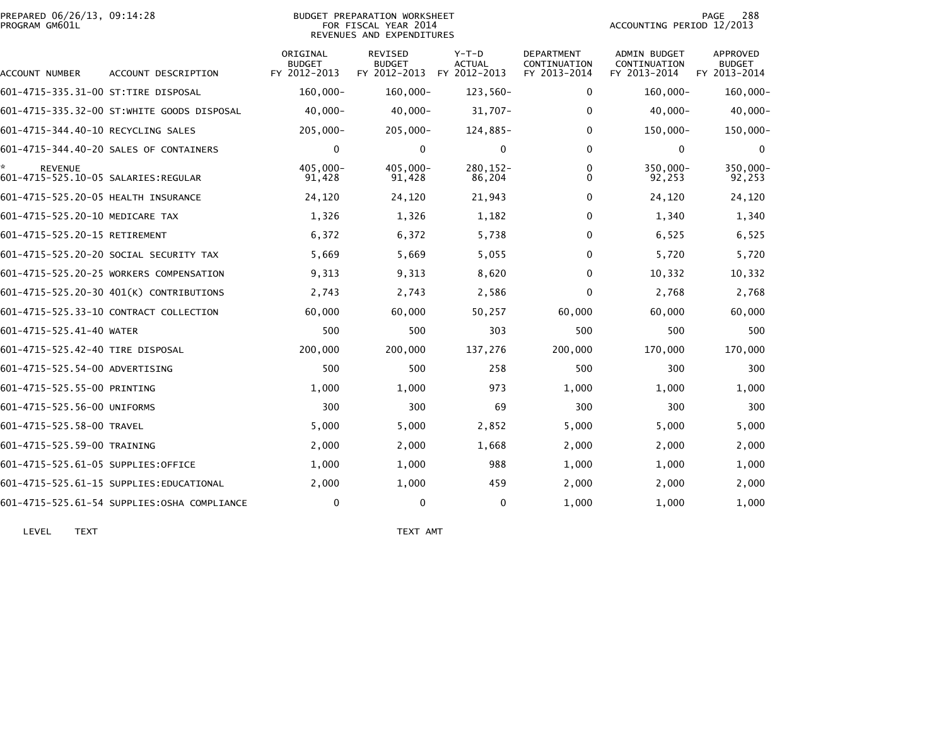| PREPARED 06/26/13, 09:14:28<br>PROGRAM GM601L         |                                              | BUDGET PREPARATION WORKSHEET<br>FOR FISCAL YEAR 2014<br>REVENUES AND EXPENDITURES |                                          |                                          |                                            | 288<br>PAGE<br>ACCOUNTING PERIOD 12/2013            |                                           |  |
|-------------------------------------------------------|----------------------------------------------|-----------------------------------------------------------------------------------|------------------------------------------|------------------------------------------|--------------------------------------------|-----------------------------------------------------|-------------------------------------------|--|
| ACCOUNT NUMBER                                        | ACCOUNT DESCRIPTION                          | ORIGINAL<br><b>BUDGET</b><br>FY 2012-2013                                         | REVISED<br><b>BUDGET</b><br>FY 2012-2013 | $Y-T-D$<br><b>ACTUAL</b><br>FY 2012-2013 | DEPARTMENT<br>CONTINUATION<br>FY 2013-2014 | <b>ADMIN BUDGET</b><br>CONTINUATION<br>FY 2013-2014 | APPROVED<br><b>BUDGET</b><br>FY 2013-2014 |  |
| 601-4715-335.31-00 ST:TIRE DISPOSAL                   |                                              | $160,000 -$                                                                       | $160,000 -$                              | 123,560-                                 | $\mathbf{0}$                               | $160,000 -$                                         | $160,000 -$                               |  |
|                                                       | 601–4715–335.32–00 ST:WHITE GOODS DISPOSAL   | $40,000 -$                                                                        | $40,000 -$                               | $31,707 -$                               | $\Omega$                                   | $40,000 -$                                          | $40,000 -$                                |  |
| 601-4715-344.40-10 RECYCLING SALES                    |                                              | $205,000 -$                                                                       | $205,000 -$                              | 124,885-                                 | $\mathbf{0}$                               | $150,000 -$                                         | 150,000-                                  |  |
|                                                       | 601-4715-344.40-20 SALES OF CONTAINERS       | 0                                                                                 | $\mathbf{0}$                             | 0                                        | $\Omega$                                   | $\mathbf{0}$                                        | $\mathbf{0}$                              |  |
| <b>REVENUE</b><br>601-4715-525.10-05 SALARIES:REGULAR |                                              | $405.000 -$<br>91,428                                                             | $405.000 -$<br>91,428                    | $280.152 -$<br>86,204                    | 0<br>$\Omega$                              | 350,000-<br>92,253                                  | 350,000-<br>92,253                        |  |
| 601-4715-525.20-05 HEALTH INSURANCE                   |                                              | 24,120                                                                            | 24,120                                   | 21,943                                   | 0                                          | 24,120                                              | 24,120                                    |  |
| 601-4715-525.20-10 MEDICARE TAX                       |                                              | 1,326                                                                             | 1,326                                    | 1,182                                    | $\mathbf{0}$                               | 1,340                                               | 1,340                                     |  |
| 601-4715-525.20-15 RETIREMENT                         |                                              | 6,372                                                                             | 6,372                                    | 5,738                                    | 0                                          | 6,525                                               | 6,525                                     |  |
|                                                       | 601-4715-525.20-20 SOCIAL SECURITY TAX       | 5,669                                                                             | 5,669                                    | 5,055                                    | $\mathbf{0}$                               | 5,720                                               | 5,720                                     |  |
|                                                       | 601-4715-525.20-25 WORKERS COMPENSATION      | 9,313                                                                             | 9,313                                    | 8,620                                    | $\mathbf{0}$                               | 10,332                                              | 10,332                                    |  |
|                                                       | 601-4715-525.20-30 401(K) CONTRIBUTIONS      | 2,743                                                                             | 2,743                                    | 2,586                                    | $\mathbf{0}$                               | 2,768                                               | 2,768                                     |  |
|                                                       | 601-4715-525.33-10 CONTRACT COLLECTION       | 60,000                                                                            | 60,000                                   | 50,257                                   | 60,000                                     | 60,000                                              | 60,000                                    |  |
| 601-4715-525.41-40 WATER                              |                                              | 500                                                                               | 500                                      | 303                                      | 500                                        | 500                                                 | 500                                       |  |
| 601-4715-525.42-40 TIRE DISPOSAL                      |                                              | 200,000                                                                           | 200,000                                  | 137,276                                  | 200,000                                    | 170,000                                             | 170,000                                   |  |
| 601-4715-525.54-00 ADVERTISING                        |                                              | 500                                                                               | 500                                      | 258                                      | 500                                        | 300                                                 | 300                                       |  |
| 601-4715-525.55-00 PRINTING                           |                                              | 1,000                                                                             | 1,000                                    | 973                                      | 1,000                                      | 1,000                                               | 1,000                                     |  |
| 601-4715-525.56-00 UNIFORMS                           |                                              | 300                                                                               | 300                                      | 69                                       | 300                                        | 300                                                 | 300                                       |  |
| 601-4715-525.58-00 TRAVEL                             |                                              | 5,000                                                                             | 5,000                                    | 2,852                                    | 5,000                                      | 5,000                                               | 5,000                                     |  |
| 601-4715-525.59-00 TRAINING                           |                                              | 2,000                                                                             | 2,000                                    | 1,668                                    | 2,000                                      | 2,000                                               | 2,000                                     |  |
| 601-4715-525.61-05 SUPPLIES:OFFICE                    |                                              | 1,000                                                                             | 1,000                                    | 988                                      | 1,000                                      | 1,000                                               | 1,000                                     |  |
|                                                       | 601-4715-525.61-15 SUPPLIES:EDUCATIONAL      | 2,000                                                                             | 1,000                                    | 459                                      | 2,000                                      | 2,000                                               | 2,000                                     |  |
|                                                       | 601-4715-525.61-54 SUPPLIES: OSHA COMPLIANCE | 0                                                                                 | $\mathbf{0}$                             | 0                                        | 1,000                                      | 1,000                                               | 1,000                                     |  |

LEVEL TEXT TEXT AMT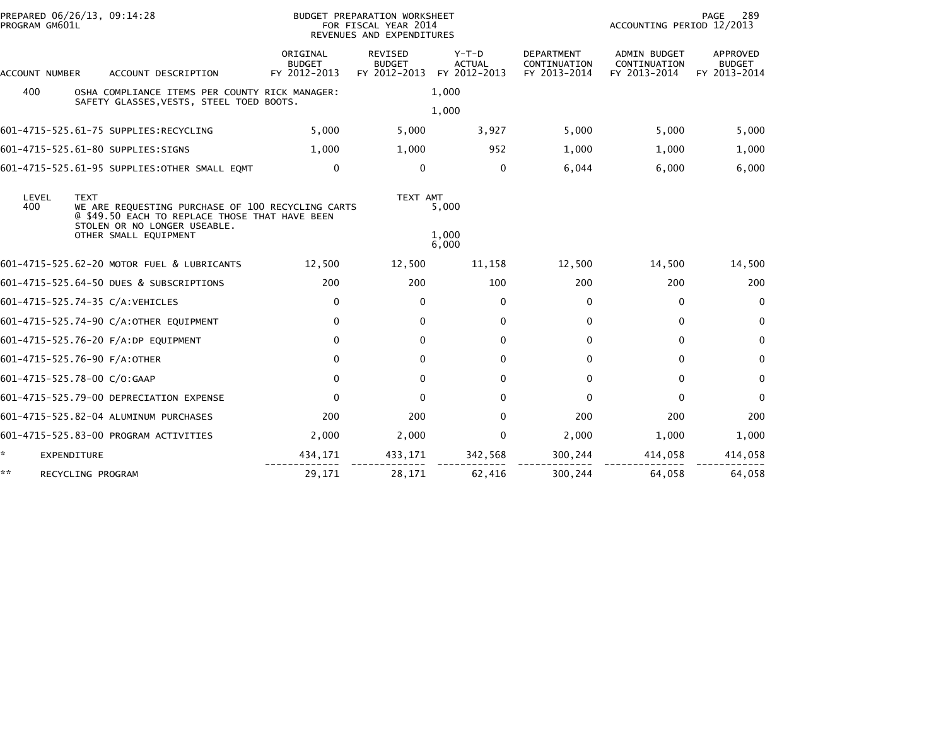| PROGRAM GM601L                                                                                                                                                     | PREPARED 06/26/13, 09:14:28                                                                | BUDGET PREPARATION WORKSHEET<br>FOR FISCAL YEAR 2014<br>REVENUES AND EXPENDITURES |                                                 |                                        |                                                   | 289<br>PAGE<br>ACCOUNTING PERIOD 12/2013     |                                           |  |
|--------------------------------------------------------------------------------------------------------------------------------------------------------------------|--------------------------------------------------------------------------------------------|-----------------------------------------------------------------------------------|-------------------------------------------------|----------------------------------------|---------------------------------------------------|----------------------------------------------|-------------------------------------------|--|
| ACCOUNT NUMBER                                                                                                                                                     | ACCOUNT DESCRIPTION                                                                        | ORIGINAL<br><b>BUDGET</b><br>FY 2012-2013                                         | <b>REVISED</b><br><b>BUDGET</b><br>FY 2012-2013 | Y-T-D<br><b>ACTUAL</b><br>FY 2012-2013 | <b>DEPARTMENT</b><br>CONTINUATION<br>FY 2013-2014 | ADMIN BUDGET<br>CONTINUATION<br>FY 2013-2014 | APPROVED<br><b>BUDGET</b><br>FY 2013-2014 |  |
| 400                                                                                                                                                                | OSHA COMPLIANCE ITEMS PER COUNTY RICK MANAGER:<br>SAFETY GLASSES, VESTS, STEEL TOED BOOTS. |                                                                                   |                                                 | 1,000                                  |                                                   |                                              |                                           |  |
|                                                                                                                                                                    |                                                                                            |                                                                                   |                                                 | 1,000                                  |                                                   |                                              |                                           |  |
|                                                                                                                                                                    | 601-4715-525.61-75 SUPPLIES:RECYCLING                                                      | 5,000                                                                             | 5,000                                           | 3,927                                  | 5,000                                             | 5,000                                        | 5,000                                     |  |
|                                                                                                                                                                    | 601-4715-525.61-80 SUPPLIES:SIGNS                                                          | 1,000                                                                             | 1,000                                           | 952                                    | 1,000                                             | 1,000                                        | 1,000                                     |  |
|                                                                                                                                                                    | 601-4715-525.61-95 SUPPLIES:OTHER SMALL EQMT                                               | 0                                                                                 | $\mathbf{0}$                                    | $\Omega$                               | 6,044                                             | 6,000                                        | 6,000                                     |  |
| LEVEL<br><b>TEXT</b><br>400<br>WE ARE REQUESTING PURCHASE OF 100 RECYCLING CARTS<br>@ \$49.50 EACH TO REPLACE THOSE THAT HAVE BEEN<br>STOLEN OR NO LONGER USEABLE. |                                                                                            |                                                                                   | TEXT AMT                                        | 5,000                                  |                                                   |                                              |                                           |  |
|                                                                                                                                                                    | OTHER SMALL EQUIPMENT                                                                      |                                                                                   |                                                 | 1,000<br>6,000                         |                                                   |                                              |                                           |  |
|                                                                                                                                                                    | 601-4715-525.62-20 MOTOR FUEL & LUBRICANTS                                                 | 12,500                                                                            | 12,500                                          | 11,158                                 | 12,500                                            | 14,500                                       | 14,500                                    |  |
|                                                                                                                                                                    | 601-4715-525.64-50 DUES & SUBSCRIPTIONS                                                    | 200                                                                               | 200                                             | 100                                    | 200                                               | 200                                          | 200                                       |  |
|                                                                                                                                                                    | 601-4715-525.74-35 C/A:VEHICLES                                                            | 0                                                                                 | $\mathbf{0}$                                    | $\Omega$                               | $\Omega$                                          | $\mathbf{0}$                                 | $\mathbf{0}$                              |  |
|                                                                                                                                                                    | 601-4715-525.74-90 C/A:OTHER EQUIPMENT                                                     | $\mathbf 0$                                                                       | $\mathbf{0}$                                    | $\Omega$                               | $\Omega$                                          | $\mathbf{0}$                                 | $\mathbf{0}$                              |  |
|                                                                                                                                                                    | 601-4715-525.76-20 F/A:DP EQUIPMENT                                                        | $\mathbf{0}$                                                                      | $\mathbf{0}$                                    | $\Omega$                               | $\Omega$                                          | $\Omega$                                     | $\bf{0}$                                  |  |
|                                                                                                                                                                    | 601-4715-525.76-90 F/A:OTHER                                                               | 0                                                                                 | 0                                               | 0                                      | $\Omega$                                          | 0                                            | $\mathbf{0}$                              |  |
|                                                                                                                                                                    | 601-4715-525.78-00 C/O:GAAP                                                                | $\mathbf 0$                                                                       | $\mathbf{0}$                                    | $\Omega$                               | $\Omega$                                          | $\Omega$                                     | $\mathbf{0}$                              |  |
|                                                                                                                                                                    | 601-4715-525.79-00 DEPRECIATION EXPENSE                                                    | $\Omega$                                                                          | $\Omega$                                        | $\Omega$                               | $\Omega$                                          | $\Omega$                                     | $\mathbf{0}$                              |  |
|                                                                                                                                                                    | 601-4715-525.82-04 ALUMINUM PURCHASES                                                      | 200                                                                               | 200                                             | $\Omega$                               | 200                                               | 200                                          | 200                                       |  |
|                                                                                                                                                                    | 601-4715-525.83-00 PROGRAM ACTIVITIES                                                      | 2,000                                                                             | 2,000                                           | 0                                      | 2,000                                             | 1,000                                        | 1,000                                     |  |
| ×.                                                                                                                                                                 | EXPENDITURE                                                                                | 434,171                                                                           | 433,171                                         | 342,568                                | 300,244                                           | 414,058                                      | 414,058                                   |  |
| **                                                                                                                                                                 | RECYCLING PROGRAM                                                                          | 29,171                                                                            | 28,171                                          | 62,416                                 | 300,244                                           | 64,058                                       | 64,058                                    |  |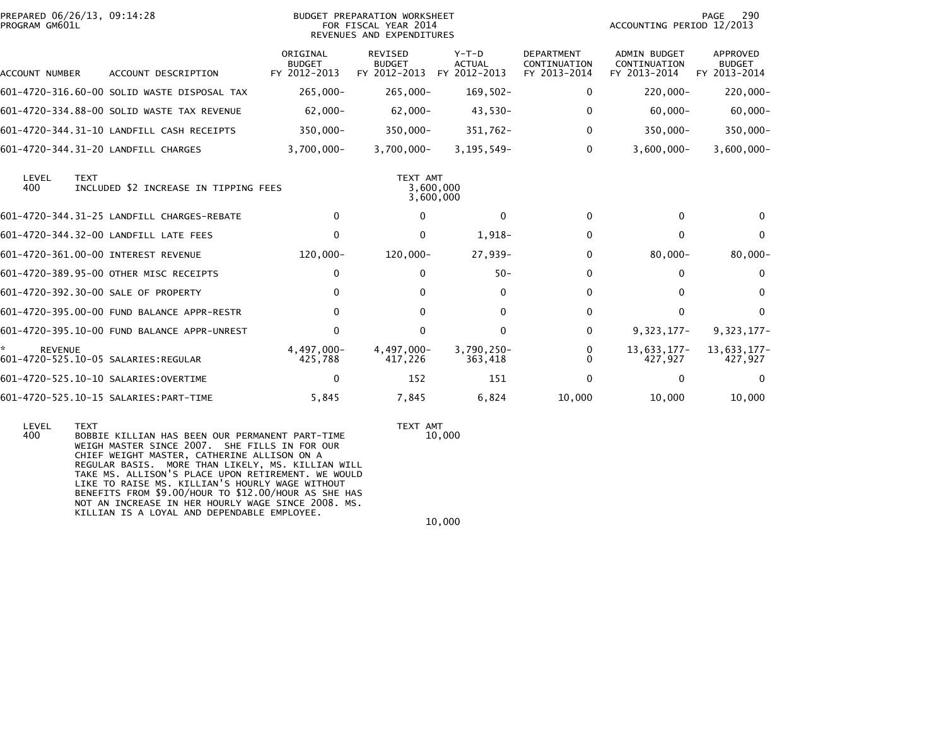| PROGRAM GM601L | PREPARED 06/26/13, 09:14:28                          |                                           | BUDGET PREPARATION WORKSHEET<br>FOR FISCAL YEAR 2014<br>REVENUES AND EXPENDITURES |                                          |                                                   | ACCOUNTING PERIOD 12/2013                           | 290<br>PAGE                                      |
|----------------|------------------------------------------------------|-------------------------------------------|-----------------------------------------------------------------------------------|------------------------------------------|---------------------------------------------------|-----------------------------------------------------|--------------------------------------------------|
| ACCOUNT NUMBER | ACCOUNT DESCRIPTION                                  | ORIGINAL<br><b>BUDGET</b><br>FY 2012-2013 | <b>REVISED</b><br><b>BUDGET</b><br>FY 2012-2013                                   | $Y-T-D$<br><b>ACTUAL</b><br>FY 2012-2013 | <b>DEPARTMENT</b><br>CONTINUATION<br>FY 2013-2014 | <b>ADMIN BUDGET</b><br>CONTINUATION<br>FY 2013-2014 | <b>APPROVED</b><br><b>BUDGET</b><br>FY 2013-2014 |
|                | 601-4720-316.60-00 SOLID WASTE DISPOSAL TAX          | $265,000 -$                               | 265,000-                                                                          | $169,502 -$                              | 0                                                 | $220,000 -$                                         | $220,000 -$                                      |
|                | 601-4720-334.88-00 SOLID WASTE TAX REVENUE           | $62,000 -$                                | $62,000 -$                                                                        | $43,530-$                                | 0                                                 | $60,000 -$                                          | $60,000 -$                                       |
|                | 601-4720-344.31-10 LANDFILL CASH RECEIPTS            | 350,000-                                  | $350,000 -$                                                                       | $351,762 -$                              | 0                                                 | $350,000 -$                                         | $350,000 -$                                      |
|                | 601-4720-344.31-20 LANDFILL CHARGES                  | $3,700,000 -$                             | $3,700,000 -$                                                                     | $3, 195, 549 -$                          | 0                                                 | $3.600.000 -$                                       | $3,600,000 -$                                    |
| LEVEL<br>400   | <b>TEXT</b><br>INCLUDED \$2 INCREASE IN TIPPING FEES |                                           | TEXT AMT                                                                          | 3,600,000<br>3,600,000                   |                                                   |                                                     |                                                  |
|                | 601-4720-344.31-25 LANDFILL CHARGES-REBATE           | $\Omega$                                  | $\Omega$                                                                          | $\Omega$                                 | $\Omega$                                          | 0                                                   | 0                                                |
|                | 601-4720-344.32-00 LANDFILL LATE FEES                | $\Omega$                                  | $\Omega$                                                                          | $1,918-$                                 | $\Omega$                                          | 0                                                   | $\Omega$                                         |
|                | 601-4720-361.00-00 INTEREST REVENUE                  | 120,000-                                  | 120,000-                                                                          | 27,939-                                  | 0                                                 | $80,000 -$                                          | $80,000 -$                                       |
|                | 601-4720-389.95-00 OTHER MISC RECEIPTS               | 0                                         | 0                                                                                 | $50 -$                                   | 0                                                 | $\Omega$                                            | $\Omega$                                         |
|                | 601-4720-392.30-00 SALE OF PROPERTY                  | $\Omega$                                  | 0                                                                                 | $\Omega$                                 | 0                                                 | 0                                                   | $\Omega$                                         |
|                | 601-4720-395.00-00 FUND BALANCE APPR-RESTR           | $\mathbf{0}$                              | 0                                                                                 | 0                                        | 0                                                 | 0                                                   | $\Omega$                                         |
|                | 601-4720-395.10-00 FUND BALANCE APPR-UNREST          | 0                                         | $\mathbf{0}$                                                                      | $\mathbf{0}$                             | $\Omega$                                          | $9,323,177-$                                        | $9,323,177-$                                     |
| <b>REVENUE</b> |                                                      | 4.497.000-<br>425,788                     | 4,497,000-<br>417,226                                                             | 3,790,250-<br>363,418                    | 0<br><sup>n</sup>                                 | 13,633,177-<br>427,927                              | 13,633,177-<br>427,927                           |
|                | 601-4720-525.10-10 SALARIES:OVERTIME                 | 0                                         | 152                                                                               | 151                                      | $\Omega$                                          | 0                                                   | 0                                                |
|                | 601-4720-525.10-15 SALARIES: PART-TIME               | 5,845                                     | 7,845                                                                             | 6,824                                    | 10,000                                            | 10,000                                              | 10,000                                           |

 LEVEL TEXT TEXT AMT 400 BOBBIE KILLIAN HAS BEEN OUR PERMANENT PART-TIME 10,000 WEIGH MASTER SINCE 2007. SHE FILLS IN FOR OUR CHIEF WEIGHT MASTER, CATHERINE ALLISON ON A REGULAR BASIS. MORE THAN LIKELY, MS. KILLIAN WILL TAKE MS. ALLISON'S PLACE UPON RETIREMENT. WE WOULD LIKE TO RAISE MS. KILLIAN'S HOURLY WAGE WITHOUT BENEFITS FROM \$9.00/HOUR TO \$12.00/HOUR AS SHE HAS NOT AN INCREASE IN HER HOURLY WAGE SINCE 2008. MS.KILLIAN IS A LOYAL AND DEPENDABLE EMPLOYEE.

10,000

 $10\,,000$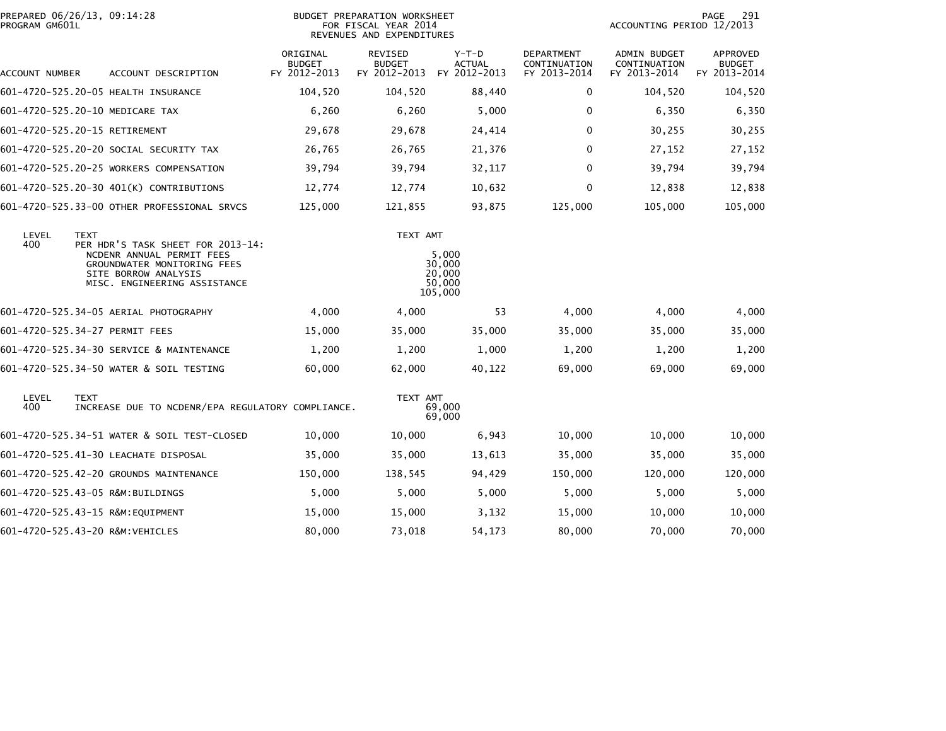| PROGRAM GM601L | PREPARED 06/26/13, 09:14:28                                                                                                                                          | BUDGET PREPARATION WORKSHEET<br>FOR FISCAL YEAR 2014<br>REVENUES AND EXPENDITURES |                                          |                                                |                                                   | 291<br>PAGE<br>ACCOUNTING PERIOD 12/2013            |                                           |
|----------------|----------------------------------------------------------------------------------------------------------------------------------------------------------------------|-----------------------------------------------------------------------------------|------------------------------------------|------------------------------------------------|---------------------------------------------------|-----------------------------------------------------|-------------------------------------------|
| ACCOUNT NUMBER | ACCOUNT DESCRIPTION                                                                                                                                                  | ORIGINAL<br><b>BUDGET</b><br>FY 2012-2013                                         | REVISED<br><b>BUDGET</b><br>FY 2012-2013 | $Y-T-D$<br><b>ACTUAL</b><br>FY 2012-2013       | <b>DEPARTMENT</b><br>CONTINUATION<br>FY 2013-2014 | <b>ADMIN BUDGET</b><br>CONTINUATION<br>FY 2013-2014 | APPROVED<br><b>BUDGET</b><br>FY 2013-2014 |
|                | 601-4720-525.20-05 HEALTH INSURANCE                                                                                                                                  | 104,520                                                                           | 104,520                                  | 88,440                                         | 0                                                 | 104,520                                             | 104,520                                   |
|                | 601-4720-525.20-10 MEDICARE TAX                                                                                                                                      | 6,260                                                                             | 6,260                                    | 5,000                                          | 0                                                 | 6,350                                               | 6,350                                     |
|                | 601-4720-525.20-15 RETIREMENT                                                                                                                                        | 29,678                                                                            | 29,678                                   | 24,414                                         | $\Omega$                                          | 30,255                                              | 30,255                                    |
|                | 601-4720-525.20-20 SOCIAL SECURITY TAX                                                                                                                               | 26,765                                                                            | 26,765                                   | 21,376                                         | $\Omega$                                          | 27,152                                              | 27,152                                    |
|                | 601-4720-525.20-25 WORKERS COMPENSATION                                                                                                                              | 39,794                                                                            | 39,794                                   | 32,117                                         | $\mathbf{0}$                                      | 39,794                                              | 39,794                                    |
|                | 601-4720-525.20-30 401(K) CONTRIBUTIONS                                                                                                                              | 12,774                                                                            | 12,774                                   | 10,632                                         | $\mathbf{0}$                                      | 12,838                                              | 12,838                                    |
|                | 601-4720-525.33-00 OTHER PROFESSIONAL SRVCS                                                                                                                          | 125,000                                                                           | 121,855                                  | 93,875                                         | 125,000                                           | 105,000                                             | 105,000                                   |
| LEVEL<br>400   | <b>TEXT</b><br>PER HDR'S TASK SHEET FOR 2013-14:<br>NCDENR ANNUAL PERMIT FEES<br>GROUNDWATER MONITORING FEES<br>SITE BORROW ANALYSIS<br>MISC. ENGINEERING ASSISTANCE |                                                                                   | TEXT AMT                                 | 5,000<br>30,000<br>20,000<br>50,000<br>105,000 |                                                   |                                                     |                                           |
|                | 601-4720-525.34-05 AERIAL PHOTOGRAPHY                                                                                                                                | 4,000                                                                             | 4,000                                    | 53                                             | 4,000                                             | 4,000                                               | 4,000                                     |
|                | 601-4720-525.34-27 PERMIT FEES                                                                                                                                       | 15,000                                                                            | 35,000                                   | 35,000                                         | 35,000                                            | 35,000                                              | 35,000                                    |
|                | 601-4720-525.34-30 SERVICE & MAINTENANCE                                                                                                                             | 1,200                                                                             | 1,200                                    | 1,000                                          | 1,200                                             | 1,200                                               | 1,200                                     |
|                | 601-4720-525.34-50 WATER & SOIL TESTING                                                                                                                              | 60,000                                                                            | 62,000                                   | 40,122                                         | 69,000                                            | 69,000                                              | 69,000                                    |
| LEVEL<br>400   | <b>TEXT</b><br>INCREASE DUE TO NCDENR/EPA REGULATORY COMPLIANCE.                                                                                                     |                                                                                   | TEXT AMT                                 | 69,000<br>69,000                               |                                                   |                                                     |                                           |
|                | 601-4720-525.34-51 WATER & SOIL TEST-CLOSED                                                                                                                          | 10,000                                                                            | 10,000                                   | 6,943                                          | 10,000                                            | 10,000                                              | 10,000                                    |
|                | 601-4720-525.41-30 LEACHATE DISPOSAL                                                                                                                                 | 35,000                                                                            | 35,000                                   | 13,613                                         | 35,000                                            | 35,000                                              | 35,000                                    |
|                | 601-4720-525.42-20 GROUNDS MAINTENANCE                                                                                                                               | 150,000                                                                           | 138,545                                  | 94,429                                         | 150,000                                           | 120,000                                             | 120,000                                   |
|                | 601-4720-525.43-05 R&M:BUILDINGS                                                                                                                                     | 5,000                                                                             | 5,000                                    | 5,000                                          | 5,000                                             | 5,000                                               | 5,000                                     |
|                | 601-4720-525.43-15 R&M:EQUIPMENT                                                                                                                                     | 15,000                                                                            | 15,000                                   | 3,132                                          | 15,000                                            | 10,000                                              | 10,000                                    |
|                | 601-4720-525.43-20 R&M:VEHICLES                                                                                                                                      | 80,000                                                                            | 73,018                                   | 54,173                                         | 80,000                                            | 70,000                                              | 70,000                                    |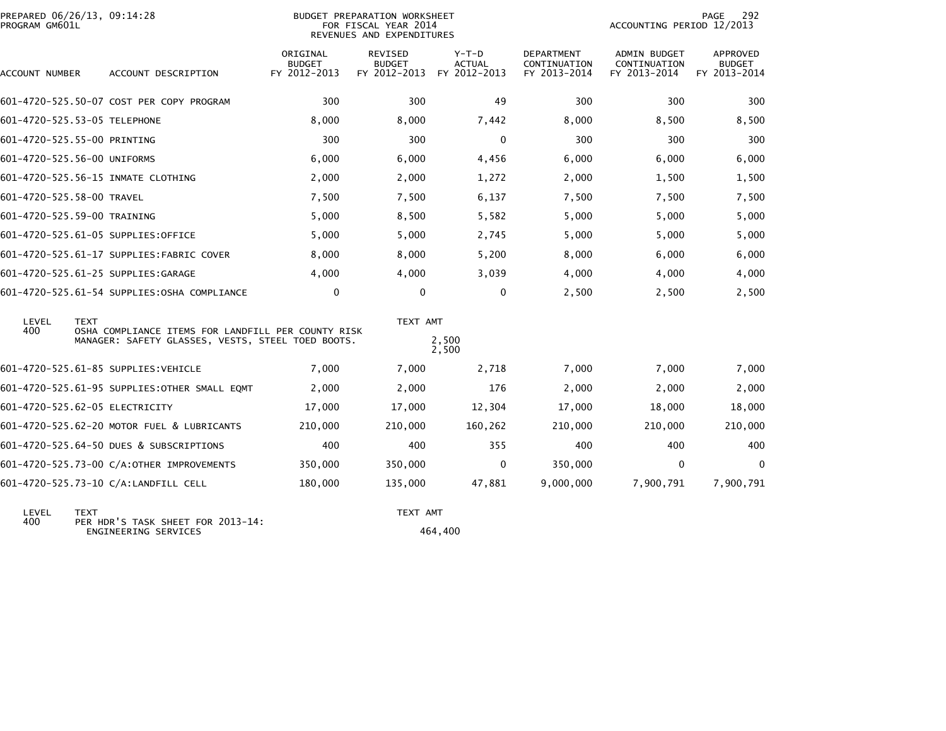| PREPARED 06/26/13, 09:14:28<br>PROGRAM GM601L |                                                                                                         |                                           | BUDGET PREPARATION WORKSHEET<br>FOR FISCAL YEAR 2014<br>REVENUES AND EXPENDITURES |                                          |                                            | ACCOUNTING PERIOD 12/2013                    | 292<br>PAGE                               |
|-----------------------------------------------|---------------------------------------------------------------------------------------------------------|-------------------------------------------|-----------------------------------------------------------------------------------|------------------------------------------|--------------------------------------------|----------------------------------------------|-------------------------------------------|
| ACCOUNT NUMBER                                | ACCOUNT DESCRIPTION                                                                                     | ORIGINAL<br><b>BUDGET</b><br>FY 2012-2013 | REVISED<br><b>BUDGET</b><br>FY 2012-2013                                          | $Y-T-D$<br><b>ACTUAL</b><br>FY 2012-2013 | DEPARTMENT<br>CONTINUATION<br>FY 2013-2014 | ADMIN BUDGET<br>CONTINUATION<br>FY 2013-2014 | APPROVED<br><b>BUDGET</b><br>FY 2013-2014 |
|                                               | 601-4720-525.50-07 COST PER COPY PROGRAM                                                                | 300                                       | 300                                                                               | 49                                       | 300                                        | 300                                          | 300                                       |
| 601-4720-525.53-05 TELEPHONE                  |                                                                                                         | 8,000                                     | 8,000                                                                             | 7,442                                    | 8,000                                      | 8,500                                        | 8,500                                     |
| 601-4720-525.55-00 PRINTING                   |                                                                                                         | 300                                       | 300                                                                               | $\mathbf{0}$                             | 300                                        | 300                                          | 300                                       |
| 601-4720-525.56-00 UNIFORMS                   |                                                                                                         | 6,000                                     | 6,000                                                                             | 4,456                                    | 6.000                                      | 6,000                                        | 6,000                                     |
| 601-4720-525.56-15 INMATE CLOTHING            |                                                                                                         | 2,000                                     | 2,000                                                                             | 1,272                                    | 2,000                                      | 1,500                                        | 1,500                                     |
| 601-4720-525.58-00 TRAVEL                     |                                                                                                         | 7,500                                     | 7,500                                                                             | 6,137                                    | 7,500                                      | 7,500                                        | 7,500                                     |
| 601-4720-525.59-00 TRAINING                   |                                                                                                         | 5,000                                     | 8,500                                                                             | 5,582                                    | 5,000                                      | 5,000                                        | 5,000                                     |
| 601-4720-525.61-05 SUPPLIES:OFFICE            |                                                                                                         | 5,000                                     | 5,000                                                                             | 2,745                                    | 5,000                                      | 5,000                                        | 5,000                                     |
|                                               | 601-4720-525.61-17 SUPPLIES:FABRIC COVER                                                                | 8,000                                     | 8,000                                                                             | 5,200                                    | 8,000                                      | 6,000                                        | 6,000                                     |
| 601-4720-525.61-25 SUPPLIES:GARAGE            |                                                                                                         | 4,000                                     | 4,000                                                                             | 3,039                                    | 4,000                                      | 4,000                                        | 4,000                                     |
|                                               | 601-4720-525.61-54 SUPPLIES: OSHA COMPLIANCE                                                            | $\mathbf 0$                               | $\mathbf 0$                                                                       | $\mathbf 0$                              | 2,500                                      | 2,500                                        | 2,500                                     |
| LEVEL<br><b>TEXT</b><br>400                   |                                                                                                         |                                           | TEXT AMT                                                                          |                                          |                                            |                                              |                                           |
|                                               | OSHA COMPLIANCE ITEMS FOR LANDFILL PER COUNTY RISK<br>MANAGER: SAFETY GLASSES, VESTS, STEEL TOED BOOTS. |                                           |                                                                                   | 2,500<br>2,500                           |                                            |                                              |                                           |
|                                               | 601-4720-525.61-85 SUPPLIES:VEHICLE                                                                     | 7,000                                     | 7,000                                                                             | 2,718                                    | 7,000                                      | 7,000                                        | 7,000                                     |
|                                               | 601-4720-525.61-95 SUPPLIES: OTHER SMALL EQMT                                                           | 2,000                                     | 2,000                                                                             | 176                                      | 2,000                                      | 2,000                                        | 2,000                                     |
| 601-4720-525.62-05 ELECTRICITY                |                                                                                                         | 17,000                                    | 17,000                                                                            | 12,304                                   | 17,000                                     | 18,000                                       | 18,000                                    |
|                                               | 601-4720-525.62-20 MOTOR FUEL & LUBRICANTS                                                              | 210,000                                   | 210,000                                                                           | 160,262                                  | 210,000                                    | 210,000                                      | 210,000                                   |
|                                               | 601-4720-525.64-50 DUES & SUBSCRIPTIONS                                                                 | 400                                       | 400                                                                               | 355                                      | 400                                        | 400                                          | 400                                       |
|                                               | 601-4720-525.73-00 C/A:OTHER IMPROVEMENTS                                                               | 350,000                                   | 350,000                                                                           | 0                                        | 350,000                                    | 0                                            | $\mathbf 0$                               |
|                                               | 601-4720-525.73-10 C/A:LANDFILL CELL                                                                    | 180,000                                   | 135,000                                                                           | 47,881                                   | 9,000,000                                  | 7,900,791                                    | 7,900,791                                 |
|                                               |                                                                                                         |                                           |                                                                                   |                                          |                                            |                                              |                                           |

| LEVEL<br>400 | <b>TFXT</b><br>PER HDR'S TASK SHEET FOR 2013-14: | TFXT AMT |
|--------------|--------------------------------------------------|----------|
|              | ENGINEERING SERVICES                             | 464,400  |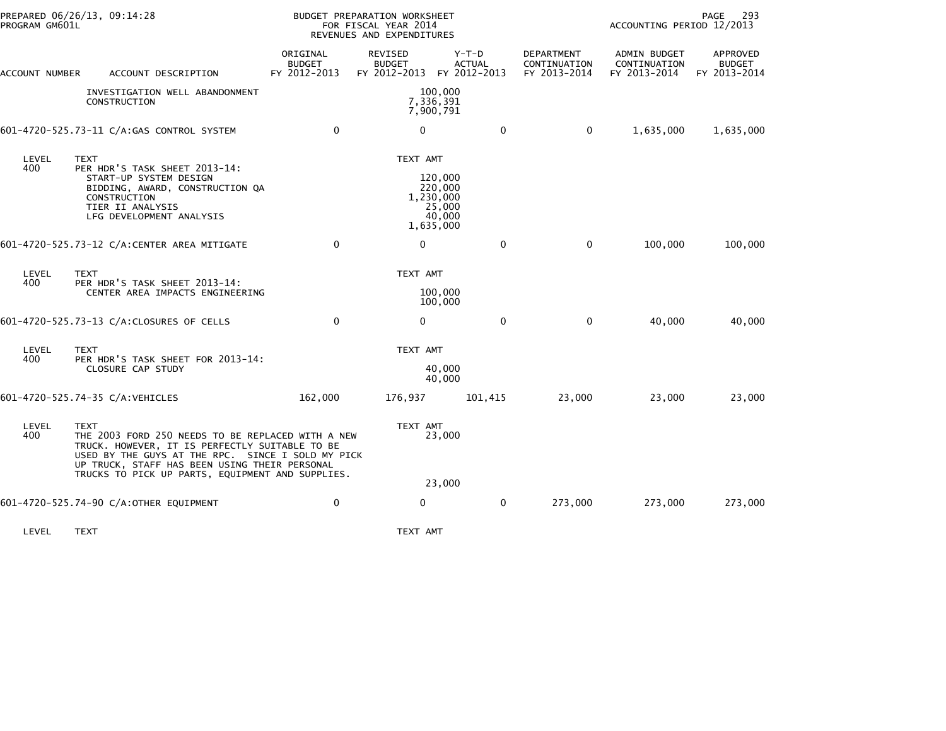| PROGRAM GM601L | PREPARED 06/26/13, 09:14:28                                                                                                                                                                                                                                                  |                                           | BUDGET PREPARATION WORKSHEET<br>FOR FISCAL YEAR 2014<br>REVENUES AND EXPENDITURES |                                                                  |                                                   |                                                     | PAGE<br>-293<br>ACCOUNTING PERIOD 12/2013 |  |
|----------------|------------------------------------------------------------------------------------------------------------------------------------------------------------------------------------------------------------------------------------------------------------------------------|-------------------------------------------|-----------------------------------------------------------------------------------|------------------------------------------------------------------|---------------------------------------------------|-----------------------------------------------------|-------------------------------------------|--|
| ACCOUNT NUMBER | ACCOUNT DESCRIPTION                                                                                                                                                                                                                                                          | ORIGINAL<br><b>BUDGET</b><br>FY 2012-2013 | REVISED<br><b>BUDGET</b><br>FY 2012-2013 FY 2012-2013                             | $Y-T-D$<br><b>ACTUAL</b>                                         | <b>DEPARTMENT</b><br>CONTINUATION<br>FY 2013-2014 | <b>ADMIN BUDGET</b><br>CONTINUATION<br>FY 2013-2014 | APPROVED<br><b>BUDGET</b><br>FY 2013-2014 |  |
|                | INVESTIGATION WELL ABANDONMENT<br>CONSTRUCTION                                                                                                                                                                                                                               |                                           |                                                                                   | 100,000<br>7,336,391<br>7,900,791                                |                                                   |                                                     |                                           |  |
|                | 601-4720-525.73-11 C/A:GAS CONTROL SYSTEM                                                                                                                                                                                                                                    | $\mathbf 0$                               | 0                                                                                 | $\mathbf 0$                                                      | $\mathbf 0$                                       | 1,635,000                                           | 1,635,000                                 |  |
| LEVEL<br>400   | <b>TEXT</b><br>PER HDR'S TASK SHEET 2013-14:<br>START-UP SYSTEM DESIGN<br>BIDDING, AWARD, CONSTRUCTION QA<br>CONSTRUCTION<br>TIER II ANALYSIS<br>LFG DEVELOPMENT ANALYSIS                                                                                                    |                                           | TEXT AMT                                                                          | 120,000<br>220,000<br>1,230,000<br>25,000<br>40,000<br>1,635,000 |                                                   |                                                     |                                           |  |
|                | 601-4720-525.73-12 C/A:CENTER AREA MITIGATE                                                                                                                                                                                                                                  | $\mathbf{0}$                              | $\Omega$                                                                          | $\mathbf{0}$                                                     | $\mathbf 0$                                       | 100,000                                             | 100,000                                   |  |
| LEVEL<br>400   | <b>TEXT</b><br>PER HDR'S TASK SHEET 2013-14:<br>CENTER AREA IMPACTS ENGINEERING                                                                                                                                                                                              |                                           | TEXT AMT                                                                          | 100,000<br>100,000                                               |                                                   |                                                     |                                           |  |
|                | 601-4720-525.73-13 C/A:CLOSURES OF CELLS                                                                                                                                                                                                                                     | $\mathbf{0}$                              | $\mathbf{0}$                                                                      | $\mathbf{0}$                                                     | $\mathbf{0}$                                      | 40,000                                              | 40,000                                    |  |
| LEVEL<br>400   | <b>TEXT</b><br>PER HDR'S TASK SHEET FOR 2013-14:<br>CLOSURE CAP STUDY                                                                                                                                                                                                        |                                           | TEXT AMT                                                                          | 40,000<br>40,000                                                 |                                                   |                                                     |                                           |  |
|                | 601-4720-525.74-35 C/A:VEHICLES                                                                                                                                                                                                                                              | 162,000                                   | 176,937                                                                           | 101,415                                                          | 23,000                                            | 23,000                                              | 23,000                                    |  |
| LEVEL<br>400   | <b>TEXT</b><br>THE 2003 FORD 250 NEEDS TO BE REPLACED WITH A NEW<br>TRUCK. HOWEVER, IT IS PERFECTLY SUITABLE TO BE<br>USED BY THE GUYS AT THE RPC. SINCE I SOLD MY PICK<br>UP TRUCK, STAFF HAS BEEN USING THEIR PERSONAL<br>TRUCKS TO PICK UP PARTS, EQUIPMENT AND SUPPLIES. |                                           | TEXT AMT                                                                          | 23,000                                                           |                                                   |                                                     |                                           |  |
|                |                                                                                                                                                                                                                                                                              | 0                                         | 0                                                                                 | 23,000                                                           |                                                   |                                                     |                                           |  |
|                | 601-4720-525.74-90 C/A:OTHER EQUIPMENT                                                                                                                                                                                                                                       |                                           |                                                                                   | 0                                                                | 273,000                                           | 273,000                                             | 273,000                                   |  |

LEVEL TEXT TEXT AMT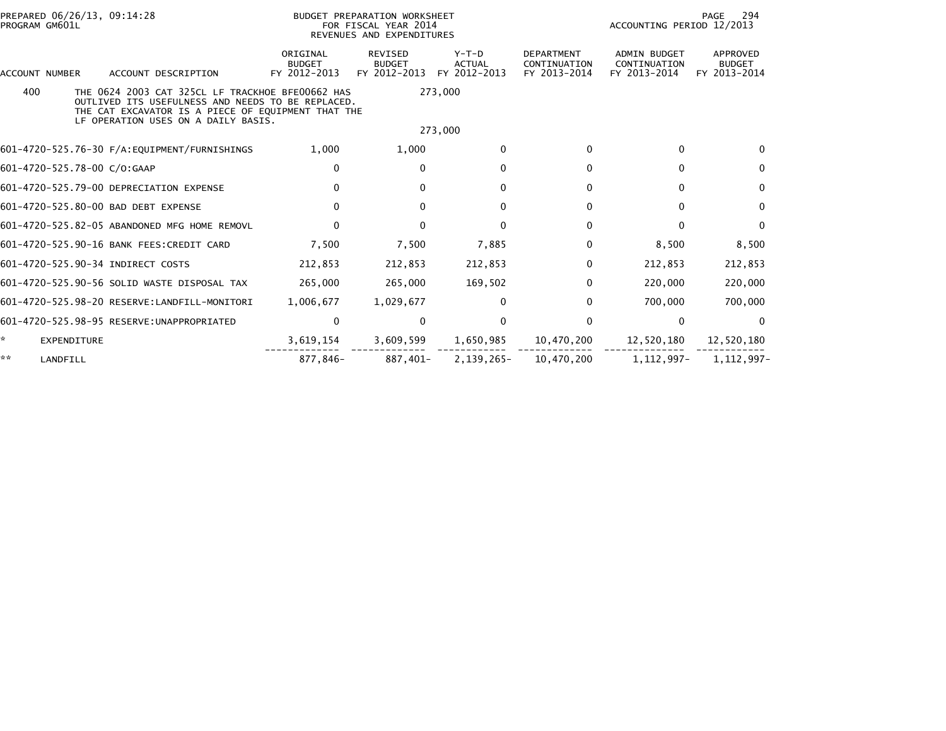| PREPARED 06/26/13, 09:14:28<br>PROGRAM GM601L                                                                                                                                                             |                                           | BUDGET PREPARATION WORKSHEET<br>FOR FISCAL YEAR 2014<br>REVENUES AND EXPENDITURES | PAGE<br>ACCOUNTING PERIOD 12/2013        |                                                   |                                              | 294                                       |
|-----------------------------------------------------------------------------------------------------------------------------------------------------------------------------------------------------------|-------------------------------------------|-----------------------------------------------------------------------------------|------------------------------------------|---------------------------------------------------|----------------------------------------------|-------------------------------------------|
| ACCOUNT DESCRIPTION<br><b>ACCOUNT NUMBER</b>                                                                                                                                                              | ORIGINAL<br><b>BUDGET</b><br>FY 2012-2013 | <b>REVISED</b><br><b>BUDGET</b><br>FY 2012-2013                                   | $Y-T-D$<br><b>ACTUAL</b><br>FY 2012-2013 | <b>DEPARTMENT</b><br>CONTINUATION<br>FY 2013-2014 | ADMIN BUDGET<br>CONTINUATION<br>FY 2013-2014 | APPROVED<br><b>BUDGET</b><br>FY 2013-2014 |
| 400<br>THE 0624 2003 CAT 325CL LF TRACKHOE BFE00662 HAS<br>OUTLIVED ITS USEFULNESS AND NEEDS TO BE REPLACED.<br>THE CAT EXCAVATOR IS A PIECE OF EQUIPMENT THAT THE<br>LF OPERATION USES ON A DAILY BASIS. |                                           |                                                                                   | 273,000<br>273,000                       |                                                   |                                              |                                           |
| 601-4720-525.76-30 F/A: EQUIPMENT/FURNISHINGS                                                                                                                                                             | 1,000                                     | 1,000                                                                             | $\mathbf 0$                              | $\mathbf{0}$                                      | $\Omega$                                     | $\Omega$                                  |
| 601-4720-525.78-00 C/O:GAAP                                                                                                                                                                               | 0                                         | $\mathbf{0}$                                                                      | $\mathbf 0$                              | $\mathbf{0}$                                      | $\Omega$                                     | 0                                         |
| 601-4720-525.79-00 DEPRECIATION EXPENSE                                                                                                                                                                   | $\mathbf{0}$                              | $\mathbf{0}$                                                                      | $\mathbf 0$                              | $\mathbf{0}$                                      | $\Omega$                                     | 0                                         |
| 601-4720-525.80-00 BAD DEBT EXPENSE                                                                                                                                                                       | $\mathbf{0}$                              | $\mathbf{0}$                                                                      | 0                                        | $\mathbf{0}$                                      | $\Omega$                                     | $\mathbf{0}$                              |
| 601-4720-525.82-05 ABANDONED MFG HOME REMOVL                                                                                                                                                              | $\Omega$                                  | $\mathbf{0}$                                                                      | $\mathbf 0$                              | $\Omega$                                          | $\Omega$                                     | $\mathbf{0}$                              |
| 601-4720-525.90-16 BANK FEES: CREDIT CARD                                                                                                                                                                 | 7,500                                     | 7,500                                                                             | 7,885                                    | $\Omega$                                          | 8,500                                        | 8,500                                     |
| 601-4720-525.90-34 INDIRECT COSTS                                                                                                                                                                         | 212,853                                   | 212,853                                                                           | 212,853                                  | $\Omega$                                          | 212,853                                      | 212,853                                   |
| 601-4720-525.90-56 SOLID WASTE DISPOSAL TAX                                                                                                                                                               | 265,000                                   | 265,000                                                                           | 169,502                                  | $\Omega$                                          | 220,000                                      | 220,000                                   |
| 601-4720-525.98-20 RESERVE:LANDFILL-MONITORI                                                                                                                                                              | 1,006,677                                 | 1,029,677                                                                         | 0                                        | $\Omega$                                          | 700,000                                      | 700,000                                   |
|                                                                                                                                                                                                           | 0                                         | 0                                                                                 | 0                                        | 0                                                 | 0                                            | 0                                         |
| *.<br>EXPENDITURE                                                                                                                                                                                         | 3,619,154                                 | 3,609,599                                                                         | 1,650,985                                | 10,470,200                                        | 12,520,180                                   | 12,520,180                                |
| **<br>LANDFILL                                                                                                                                                                                            | 877.846-                                  | 887,401-                                                                          | 2,139,265-                               | 10,470,200                                        | 1, 112, 997-                                 | 1.112.997-                                |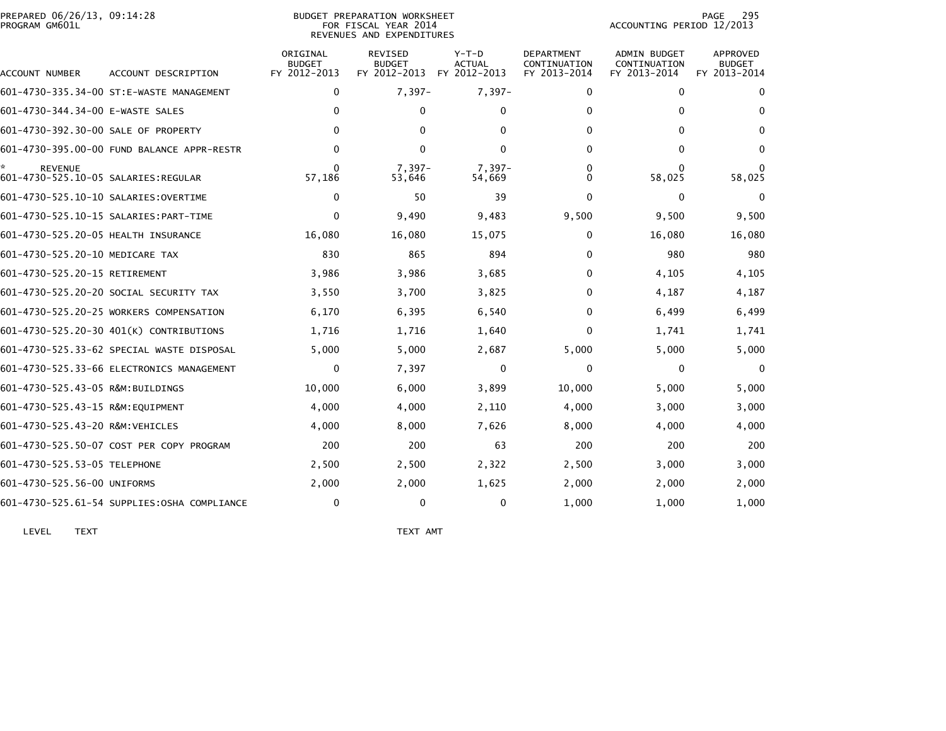|                | PREPARED 06/26/13. 09:14:28 |  |
|----------------|-----------------------------|--|
| PROGRAM GM601L |                             |  |

## BUDGET PREPARATION WORKSHEET<br>FOR FISCAL YEAR 2014 PROGRAM GM601L FOR FISCAL YEAR 2014 ACCOUNTING PERIOD 12/2013REVENUES AND EXPENDITURES

| ACCOUNT NUMBER                                         | ACCOUNT DESCRIPTION                         | ORIGINAL<br><b>BUDGET</b><br>FY 2012-2013 | <b>REVISED</b><br><b>BUDGET</b><br>FY 2012-2013 | $Y-T-D$<br><b>ACTUAL</b><br>FY 2012-2013 | <b>DEPARTMENT</b><br>CONTINUATION<br>FY 2013-2014 | <b>ADMIN BUDGET</b><br>CONTINUATION<br>FY 2013-2014 | APPROVED<br><b>BUDGET</b><br>FY 2013-2014 |
|--------------------------------------------------------|---------------------------------------------|-------------------------------------------|-------------------------------------------------|------------------------------------------|---------------------------------------------------|-----------------------------------------------------|-------------------------------------------|
|                                                        | 601-4730-335.34-00 ST:E-WASTE MANAGEMENT    | $\mathbf{0}$                              | $7,397-$                                        | $7,397-$                                 | $\mathbf{0}$                                      | $\mathbf{0}$                                        | $\mathbf{0}$                              |
| 601-4730-344.34-00 E-WASTE SALES                       |                                             | $\Omega$                                  | 0                                               | 0                                        | 0                                                 | 0                                                   | 0                                         |
| 601-4730-392.30-00 SALE OF PROPERTY                    |                                             | 0                                         | 0                                               | 0                                        | $\mathbf{0}$                                      | $\mathbf{0}$                                        | 0                                         |
|                                                        | 601-4730-395.00-00 FUND BALANCE APPR-RESTR  | 0                                         | 0                                               | 0                                        | $\mathbf{0}$                                      | $\Omega$                                            | $\mathbf{0}$                              |
| <b>REVENUE</b><br>601-4730-525.10-05 SALARIES: REGULAR |                                             | O<br>57,186                               | $7.397 -$<br>53,646                             | $7.397 -$<br>54,669                      | 0<br>0                                            | $\Omega$<br>58,025                                  | 58,025                                    |
| 601-4730-525.10-10 SALARIES: OVERTIME                  |                                             | 0                                         | 50                                              | 39                                       | $\Omega$                                          | 0                                                   | 0                                         |
|                                                        | 601-4730-525.10-15 SALARIES: PART-TIME      | $\Omega$                                  | 9,490                                           | 9,483                                    | 9,500                                             | 9,500                                               | 9,500                                     |
| 601-4730-525.20-05 HEALTH INSURANCE                    |                                             | 16,080                                    | 16,080                                          | 15,075                                   | 0                                                 | 16,080                                              | 16,080                                    |
| 601-4730-525.20-10 MEDICARE TAX                        |                                             | 830                                       | 865                                             | 894                                      | $\mathbf{0}$                                      | 980                                                 | 980                                       |
| 601-4730-525.20-15 RETIREMENT                          |                                             | 3,986                                     | 3,986                                           | 3,685                                    | $\mathbf{0}$                                      | 4,105                                               | 4,105                                     |
|                                                        | 601-4730-525.20-20 SOCIAL SECURITY TAX      | 3,550                                     | 3,700                                           | 3,825                                    | $\mathbf{0}$                                      | 4,187                                               | 4,187                                     |
|                                                        | 601-4730-525.20-25 WORKERS COMPENSATION     | 6,170                                     | 6,395                                           | 6,540                                    | $\mathbf{0}$                                      | 6,499                                               | 6,499                                     |
|                                                        | 601-4730-525.20-30 401(K) CONTRIBUTIONS     | 1,716                                     | 1,716                                           | 1,640                                    | $\mathbf{0}$                                      | 1,741                                               | 1,741                                     |
|                                                        | 601–4730–525.33–62 SPECIAL WASTE DISPOSAL   | 5,000                                     | 5,000                                           | 2,687                                    | 5,000                                             | 5,000                                               | 5,000                                     |
|                                                        | 601-4730-525.33-66 ELECTRONICS MANAGEMENT   | $\Omega$                                  | 7,397                                           | 0                                        | $\mathbf{0}$                                      | $\mathbf{0}$                                        | $\Omega$                                  |
| 601-4730-525.43-05 R&M:BUILDINGS                       |                                             | 10,000                                    | 6,000                                           | 3,899                                    | 10,000                                            | 5,000                                               | 5,000                                     |
| 601-4730-525.43-15 R&M:EQUIPMENT                       |                                             | 4,000                                     | 4,000                                           | 2,110                                    | 4,000                                             | 3,000                                               | 3,000                                     |
| 601-4730-525.43-20 R&M:VEHICLES                        |                                             | 4,000                                     | 8,000                                           | 7,626                                    | 8,000                                             | 4,000                                               | 4,000                                     |
|                                                        | 601-4730-525.50-07 COST PER COPY PROGRAM    | 200                                       | 200                                             | 63                                       | 200                                               | 200                                                 | 200                                       |
| 601-4730-525.53-05 TELEPHONE                           |                                             | 2,500                                     | 2,500                                           | 2,322                                    | 2,500                                             | 3,000                                               | 3,000                                     |
| 601-4730-525.56-00 UNIFORMS                            |                                             | 2,000                                     | 2,000                                           | 1,625                                    | 2,000                                             | 2,000                                               | 2,000                                     |
|                                                        | 601-4730-525.61-54 SUPPLIES:0SHA COMPLIANCE | $\Omega$                                  | 0                                               | 0                                        | 1.000                                             | 1,000                                               | 1.000                                     |

LEVEL TEXT TEXT AMT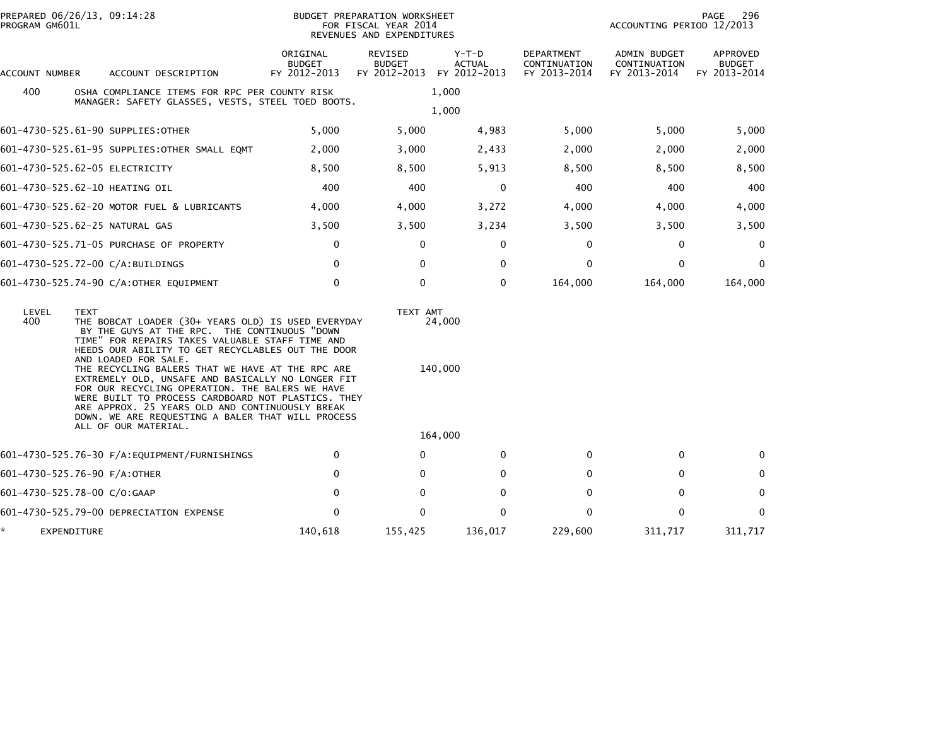| PROGRAM GM601L | PREPARED 06/26/13, 09:14:28                                                                                                                                                                                                                                                                                                                                                                                                                                                                                                                                                                         |                                           | BUDGET PREPARATION WORKSHEET<br>FOR FISCAL YEAR 2014<br>REVENUES AND EXPENDITURES |                                        |                                                   | ACCOUNTING PERIOD 12/2013                           | 296<br>PAGE                               |
|----------------|-----------------------------------------------------------------------------------------------------------------------------------------------------------------------------------------------------------------------------------------------------------------------------------------------------------------------------------------------------------------------------------------------------------------------------------------------------------------------------------------------------------------------------------------------------------------------------------------------------|-------------------------------------------|-----------------------------------------------------------------------------------|----------------------------------------|---------------------------------------------------|-----------------------------------------------------|-------------------------------------------|
| ACCOUNT NUMBER | ACCOUNT DESCRIPTION                                                                                                                                                                                                                                                                                                                                                                                                                                                                                                                                                                                 | ORIGINAL<br><b>BUDGET</b><br>FY 2012-2013 | <b>REVISED</b><br><b>BUDGET</b><br>FY 2012-2013                                   | Y-T-D<br><b>ACTUAL</b><br>FY 2012-2013 | <b>DEPARTMENT</b><br>CONTINUATION<br>FY 2013-2014 | <b>ADMIN BUDGET</b><br>CONTINUATION<br>FY 2013-2014 | APPROVED<br><b>BUDGET</b><br>FY 2013-2014 |
| 400            | OSHA COMPLIANCE ITEMS FOR RPC PER COUNTY RISK                                                                                                                                                                                                                                                                                                                                                                                                                                                                                                                                                       |                                           |                                                                                   | 1,000                                  |                                                   |                                                     |                                           |
|                | MANAGER: SAFETY GLASSES, VESTS, STEEL TOED BOOTS.                                                                                                                                                                                                                                                                                                                                                                                                                                                                                                                                                   |                                           |                                                                                   | 1,000                                  |                                                   |                                                     |                                           |
|                | 601-4730-525.61-90 SUPPLIES:OTHER                                                                                                                                                                                                                                                                                                                                                                                                                                                                                                                                                                   | 5,000                                     | 5,000                                                                             | 4,983                                  | 5,000                                             | 5,000                                               | 5,000                                     |
|                | 601-4730-525.61-95 SUPPLIES:OTHER SMALL EQMT                                                                                                                                                                                                                                                                                                                                                                                                                                                                                                                                                        | 2,000                                     | 3,000                                                                             | 2,433                                  | 2,000                                             | 2,000                                               | 2,000                                     |
|                | 601-4730-525.62-05 ELECTRICITY                                                                                                                                                                                                                                                                                                                                                                                                                                                                                                                                                                      | 8,500                                     | 8,500                                                                             | 5,913                                  | 8,500                                             | 8,500                                               | 8,500                                     |
|                | 601-4730-525.62-10 HEATING OIL                                                                                                                                                                                                                                                                                                                                                                                                                                                                                                                                                                      | 400                                       | 400                                                                               | 0                                      | 400                                               | 400                                                 | 400                                       |
|                | 601-4730-525.62-20 MOTOR FUEL & LUBRICANTS                                                                                                                                                                                                                                                                                                                                                                                                                                                                                                                                                          | 4,000                                     | 4,000                                                                             | 3,272                                  | 4,000                                             | 4,000                                               | 4,000                                     |
|                | 601-4730-525.62-25 NATURAL GAS                                                                                                                                                                                                                                                                                                                                                                                                                                                                                                                                                                      | 3,500                                     | 3,500                                                                             | 3,234                                  | 3,500                                             | 3,500                                               | 3,500                                     |
|                | 601-4730-525.71-05 PURCHASE OF PROPERTY                                                                                                                                                                                                                                                                                                                                                                                                                                                                                                                                                             | 0                                         | 0                                                                                 | 0                                      | 0                                                 | 0                                                   | 0                                         |
|                | 601-4730-525.72-00 C/A:BUILDINGS                                                                                                                                                                                                                                                                                                                                                                                                                                                                                                                                                                    | 0                                         | 0                                                                                 | 0                                      | 0                                                 | 0                                                   | 0                                         |
|                | 601-4730-525.74-90 C/A:OTHER EQUIPMENT                                                                                                                                                                                                                                                                                                                                                                                                                                                                                                                                                              | $\mathbf 0$                               | $\mathbf{0}$                                                                      | $\Omega$                               | 164,000                                           | 164,000                                             | 164,000                                   |
| LEVEL<br>400   | <b>TEXT</b><br>THE BOBCAT LOADER (30+ YEARS OLD) IS USED EVERYDAY<br>BY THE GUYS AT THE RPC. THE CONTINUOUS "DOWN<br>TIME" FOR REPAIRS TAKES VALUABLE STAFF TIME AND<br>HEEDS OUR ABILITY TO GET RECYCLABLES OUT THE DOOR<br>AND LOADED FOR SALE.<br>THE RECYCLING BALERS THAT WE HAVE AT THE RPC ARE<br>EXTREMELY OLD, UNSAFE AND BASICALLY NO LONGER FIT<br>FOR OUR RECYCLING OPERATION. THE BALERS WE HAVE<br>WERE BUILT TO PROCESS CARDBOARD NOT PLASTICS. THEY<br>ARE APPROX. 25 YEARS OLD AND CONTINUOUSLY BREAK<br>DOWN. WE ARE REQUESTING A BALER THAT WILL PROCESS<br>ALL OF OUR MATERIAL. |                                           | TEXT AMT                                                                          | 24,000<br>140,000<br>164,000           |                                                   |                                                     |                                           |
|                | 601-4730-525.76-30 F/A:EQUIPMENT/FURNISHINGS                                                                                                                                                                                                                                                                                                                                                                                                                                                                                                                                                        | 0                                         | 0                                                                                 | $\Omega$                               | 0                                                 | 0                                                   | 0                                         |
|                | 601-4730-525.76-90 F/A:OTHER                                                                                                                                                                                                                                                                                                                                                                                                                                                                                                                                                                        | 0                                         | 0                                                                                 | 0                                      | 0                                                 | 0                                                   | 0                                         |
|                | 601-4730-525.78-00 C/O:GAAP                                                                                                                                                                                                                                                                                                                                                                                                                                                                                                                                                                         | $\mathbf{0}$                              | 0                                                                                 | $\Omega$                               | $\Omega$                                          | 0                                                   | $\mathbf{0}$                              |
|                | 601-4730-525.79-00 DEPRECIATION EXPENSE                                                                                                                                                                                                                                                                                                                                                                                                                                                                                                                                                             | $\mathbf 0$                               | 0                                                                                 | $\mathbf{0}$                           | 0                                                 | 0                                                   | $\mathbf{0}$                              |
|                | EXPENDITURE                                                                                                                                                                                                                                                                                                                                                                                                                                                                                                                                                                                         | 140,618                                   | 155,425                                                                           | 136,017                                | 229,600                                           | 311,717                                             | 311,717                                   |
|                |                                                                                                                                                                                                                                                                                                                                                                                                                                                                                                                                                                                                     |                                           |                                                                                   |                                        |                                                   |                                                     |                                           |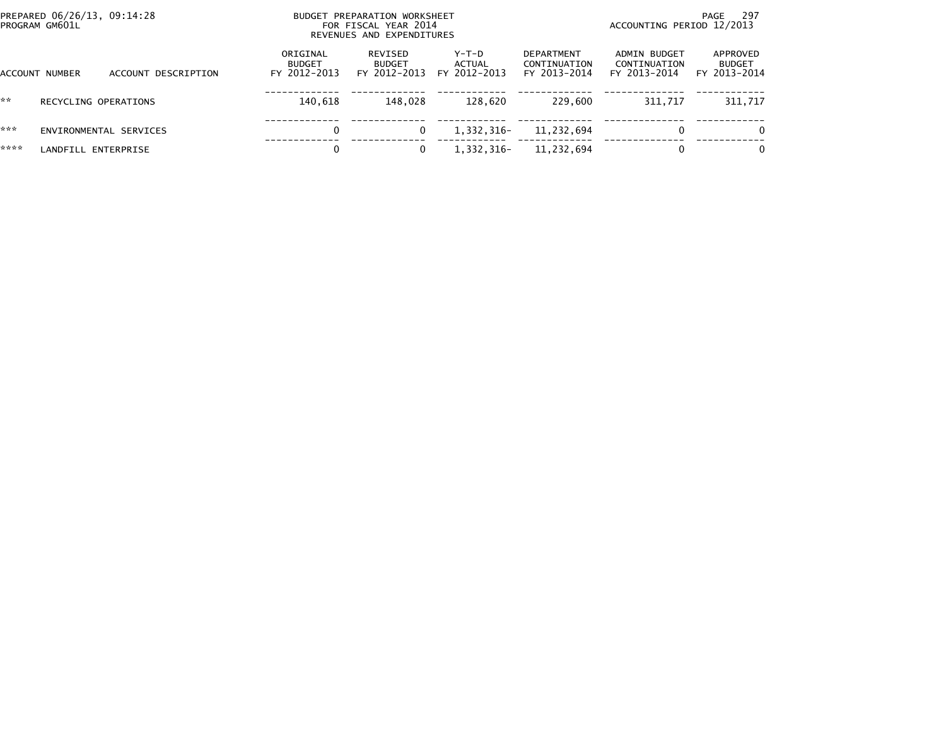|      | PREPARED 06/26/13, 09:14:28<br>PROGRAM GM601L |                     |                                           | BUDGET PREPARATION WORKSHEET<br>FOR FISCAL YEAR 2014<br>REVENUES AND EXPENDITURES |                                   |                                                   | ACCOUNTING PERIOD 12/2013                    | - 297<br>PAGE                             |
|------|-----------------------------------------------|---------------------|-------------------------------------------|-----------------------------------------------------------------------------------|-----------------------------------|---------------------------------------------------|----------------------------------------------|-------------------------------------------|
|      | ACCOUNT NUMBER                                | ACCOUNT DESCRIPTION | ORIGINAL<br><b>BUDGET</b><br>FY 2012-2013 | REVISED<br><b>BUDGET</b><br>FY 2012-2013                                          | $Y-T-D$<br>ACTUAL<br>FY 2012-2013 | <b>DEPARTMENT</b><br>CONTINUATION<br>FY 2013-2014 | ADMIN BUDGET<br>CONTINUATION<br>FY 2013-2014 | APPROVED<br><b>BUDGET</b><br>FY 2013-2014 |
| **   | RECYCLING OPERATIONS                          |                     | 140.618                                   | 148.028                                                                           | 128.620                           | 229,600                                           | 311.717                                      | 311,717                                   |
| ***  | ENVIRONMENTAL SERVICES                        |                     | 0                                         | 0                                                                                 | 1.332.316-                        | 11,232,694                                        | 0                                            | $\Omega$                                  |
| **** | LANDFILL ENTERPRISE                           |                     | 0                                         |                                                                                   | 1,332,316-                        | 11,232,694                                        | 0                                            | $\Omega$                                  |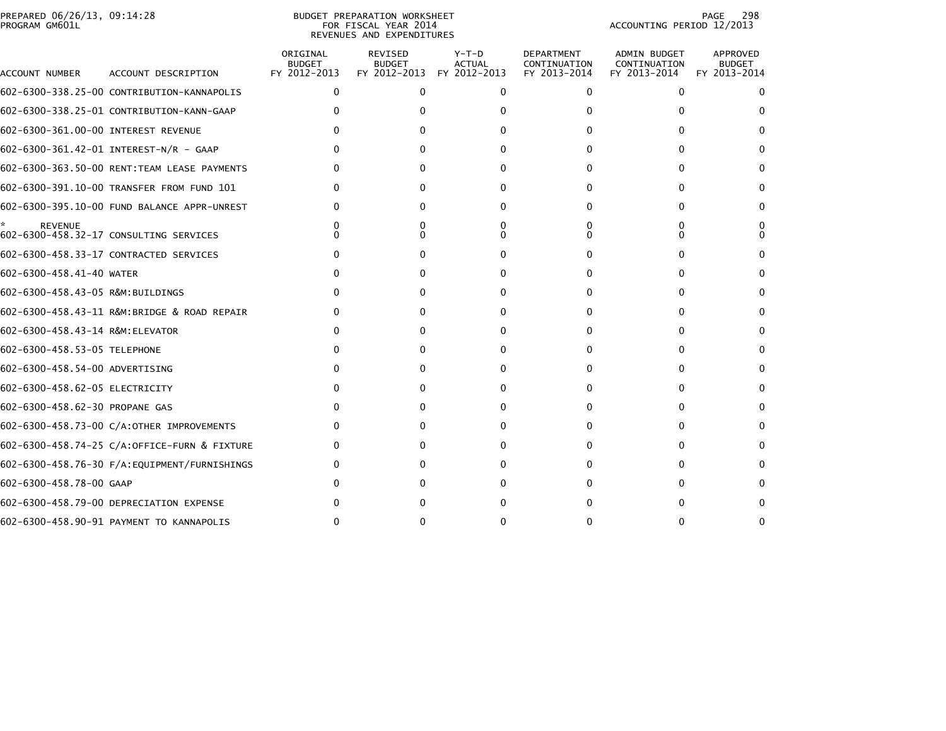|                | PREPARED 06/26/13, 09:14:28 |  |
|----------------|-----------------------------|--|
| PROGRAM GM601L |                             |  |

## BUDGET PREPARATION WORKSHEET<br>FOR FISCAL YEAR 2014 PROGRAM GM601L FOR FISCAL YEAR 2014 ACCOUNTING PERIOD 12/2013REVENUES AND EXPENDITURES

|                                     |                                              | ORIGINAL<br><b>BUDGET</b> | <b>REVISED</b><br><b>BUDGET</b> | $Y-T-D$<br><b>ACTUAL</b> | <b>DEPARTMENT</b><br>CONTINUATION | <b>ADMIN BUDGET</b><br>CONTINUATION | <b>APPROVED</b><br><b>BUDGET</b> |
|-------------------------------------|----------------------------------------------|---------------------------|---------------------------------|--------------------------|-----------------------------------|-------------------------------------|----------------------------------|
| ACCOUNT NUMBER                      | ACCOUNT DESCRIPTION                          | FY 2012-2013              | FY 2012-2013                    | FY 2012-2013             | FY 2013-2014                      | FY 2013-2014                        | FY 2013-2014                     |
|                                     | 602-6300-338.25-00 CONTRIBUTION-KANNAPOLIS   | 0                         | $\Omega$                        | $\mathbf{0}$             | $\mathbf{0}$                      | $\Omega$                            | 0                                |
|                                     | 602-6300-338.25-01 CONTRIBUTION-KANN-GAAP    |                           |                                 |                          |                                   |                                     |                                  |
| 602-6300-361.00-00 INTEREST REVENUE |                                              |                           |                                 |                          |                                   |                                     | $\Omega$                         |
|                                     | 602-6300-361.42-01 INTEREST-N/R - GAAP       |                           |                                 |                          |                                   |                                     |                                  |
|                                     | 602-6300-363.50-00 RENT:TEAM LEASE PAYMENTS  |                           |                                 |                          |                                   |                                     | 0                                |
|                                     | 602-6300-391.10-00 TRANSFER FROM FUND 101    |                           |                                 | O                        |                                   |                                     |                                  |
|                                     | 602-6300-395.10-00 FUND BALANCE APPR-UNREST  |                           |                                 |                          |                                   |                                     |                                  |
| <b>REVENUE</b>                      | 602-6300-458.32-17 CONSULTING SERVICES       |                           |                                 | U                        |                                   |                                     |                                  |
|                                     | 602-6300-458.33-17 CONTRACTED SERVICES       |                           |                                 |                          |                                   |                                     |                                  |
| 602-6300-458.41-40 WATER            |                                              |                           |                                 |                          |                                   |                                     |                                  |
| 602-6300-458.43-05 R&M:BUILDINGS    |                                              |                           |                                 |                          |                                   |                                     |                                  |
|                                     | 602-6300-458.43-11 R&M:BRIDGE & ROAD REPAIR  |                           |                                 | O                        |                                   |                                     |                                  |
| 602-6300-458.43-14 R&M:ELEVATOR     |                                              |                           |                                 | ŋ                        |                                   |                                     |                                  |
| 602-6300-458.53-05 TELEPHONE        |                                              |                           |                                 |                          |                                   |                                     |                                  |
| 602-6300-458.54-00 ADVERTISING      |                                              |                           |                                 | ŋ                        |                                   |                                     |                                  |
| 602-6300-458.62-05 ELECTRICITY      |                                              |                           |                                 | ŋ                        |                                   |                                     |                                  |
| 602-6300-458.62-30 PROPANE GAS      |                                              |                           | $^{\circ}$                      | ŋ                        |                                   |                                     | 0                                |
|                                     | 602-6300-458.73-00 C/A:OTHER IMPROVEMENTS    |                           | $^{\circ}$                      | O                        |                                   |                                     | 0                                |
|                                     | 602-6300-458.74-25 C/A:OFFICE-FURN & FIXTURE |                           | $^{\circ}$                      | ŋ                        |                                   |                                     | $\Omega$                         |
|                                     | 602-6300-458.76-30 F/A:EQUIPMENT/FURNISHINGS |                           |                                 |                          |                                   |                                     | $\Omega$                         |
| 602-6300-458.78-00 GAAP             |                                              |                           |                                 |                          |                                   |                                     | $\Omega$                         |
|                                     | 602-6300-458.79-00 DEPRECIATION EXPENSE      |                           |                                 |                          |                                   |                                     |                                  |
|                                     | 602-6300-458.90-91 PAYMENT TO KANNAPOLIS     |                           |                                 |                          |                                   |                                     |                                  |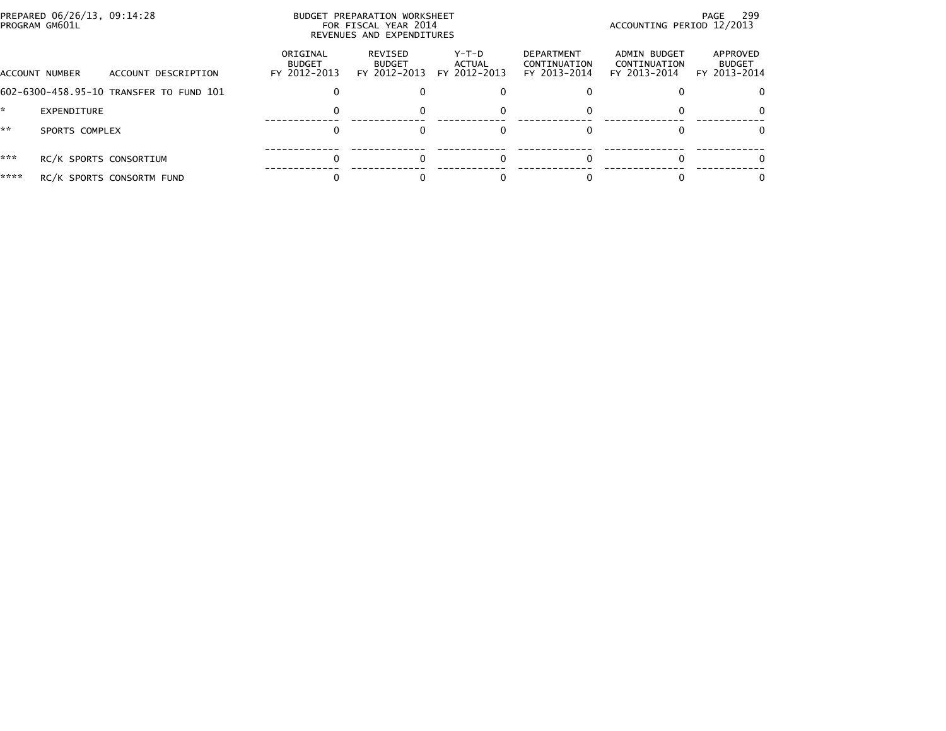|      | PREPARED 06/26/13, 09:14:28<br>PROGRAM GM601L |                                           | BUDGET PREPARATION WORKSHEET<br>FOR FISCAL YEAR 2014<br>REVENUES AND EXPENDITURES | - 299<br>PAGE<br>ACCOUNTING PERIOD 12/2013 |                                                   |                                              |                                           |
|------|-----------------------------------------------|-------------------------------------------|-----------------------------------------------------------------------------------|--------------------------------------------|---------------------------------------------------|----------------------------------------------|-------------------------------------------|
|      | ACCOUNT DESCRIPTION<br>ACCOUNT NUMBER         | ORIGINAL<br><b>BUDGET</b><br>FY 2012-2013 | REVISED<br><b>BUDGET</b><br>FY 2012-2013                                          | Y-T-D<br>ACTUAL<br>FY 2012-2013            | <b>DEPARTMENT</b><br>CONTINUATION<br>FY 2013-2014 | ADMIN BUDGET<br>CONTINUATION<br>FY 2013-2014 | APPROVED<br><b>BUDGET</b><br>FY 2013-2014 |
|      | 602-6300-458.95-10 TRANSFER TO FUND 101       |                                           |                                                                                   |                                            |                                                   |                                              |                                           |
|      | EXPENDITURE                                   | 0                                         |                                                                                   |                                            |                                                   |                                              | $\Omega$                                  |
| **   | SPORTS COMPLEX                                |                                           |                                                                                   |                                            |                                                   |                                              | $\Omega$                                  |
| ***  | RC/K SPORTS CONSORTIUM                        |                                           |                                                                                   |                                            |                                                   |                                              |                                           |
| **** | RC/K SPORTS CONSORTM FUND                     |                                           |                                                                                   |                                            |                                                   |                                              | 0                                         |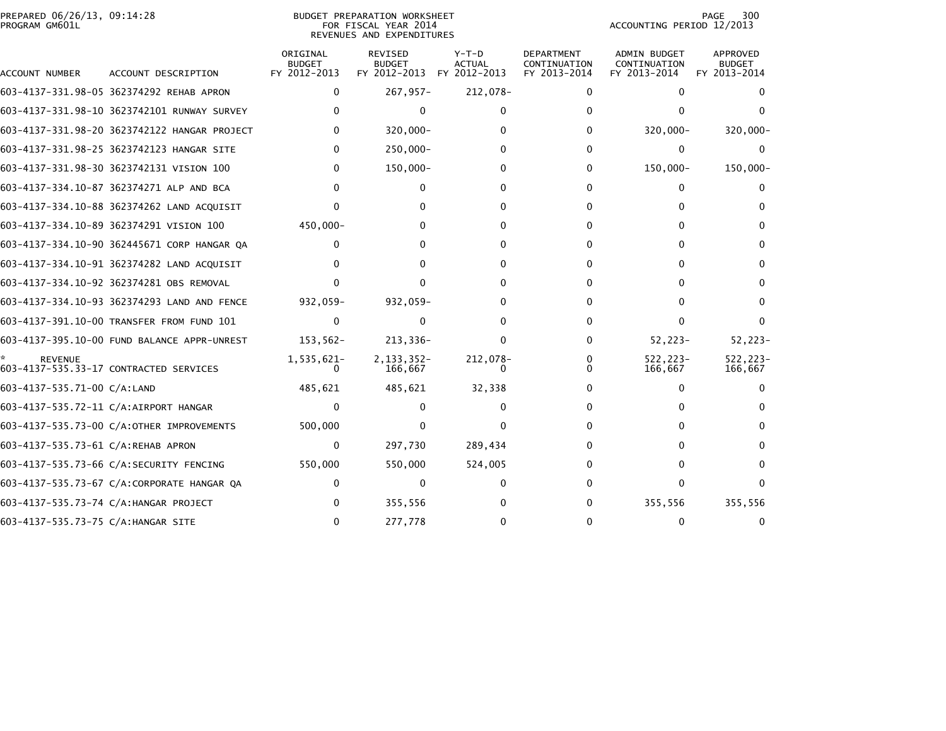## PREPARED 06/26/13, 09:14:28<br>PROGRAM GM601L

## BUDGET PREPARATION WORKSHEET<br>FOR FISCAL YEAR 2014 REVENUES AND EXPENDITURES

PAGE 300<br>ACCOUNTING PERIOD 12/2013

|                                     |                                              | ORIGINAL<br><b>BUDGET</b> | <b>REVISED</b><br><b>BUDGET</b> | $Y-T-D$<br><b>ACTUAL</b> | <b>DEPARTMENT</b><br>CONTINUATION | <b>ADMIN BUDGET</b><br>CONTINUATION | <b>APPROVED</b><br><b>BUDGET</b> |
|-------------------------------------|----------------------------------------------|---------------------------|---------------------------------|--------------------------|-----------------------------------|-------------------------------------|----------------------------------|
| ACCOUNT NUMBER                      | ACCOUNT DESCRIPTION                          | FY 2012-2013              | FY 2012-2013                    | FY 2012-2013             | FY 2013-2014                      | FY 2013-2014                        | FY 2013-2014                     |
|                                     | 603-4137-331.98-05 362374292 REHAB APRON     | 0                         | $267,957-$                      | 212,078-                 | 0                                 | $\Omega$                            | 0                                |
|                                     | 603-4137-331.98-10 3623742101 RUNWAY SURVEY  |                           | 0                               |                          |                                   |                                     |                                  |
|                                     | 603-4137-331.98-20 3623742122 HANGAR PROJECT |                           | $320,000 -$                     |                          |                                   | $320,000 -$                         | $320,000 -$                      |
|                                     | 603-4137-331.98-25 3623742123 HANGAR SITE    | $\Omega$                  | 250,000-                        |                          |                                   | 0                                   | $\Omega$                         |
|                                     | 603-4137-331.98-30 3623742131 VISION 100     | $\Omega$                  | $150,000 -$                     | ŋ                        | 0                                 | 150,000-                            | 150,000-                         |
|                                     | 603-4137-334.10-87 362374271 ALP AND BCA     |                           |                                 |                          |                                   |                                     |                                  |
|                                     | 603-4137-334.10-88 362374262 LAND ACQUISIT   |                           |                                 |                          |                                   |                                     | 0                                |
|                                     | 603-4137-334.10-89 362374291 VISION 100      | 450,000-                  |                                 |                          |                                   |                                     | 0                                |
|                                     | 603-4137-334.10-90 362445671 CORP HANGAR QA  | $\Omega$                  |                                 |                          |                                   |                                     | 0                                |
|                                     | 603-4137-334.10-91 362374282 LAND ACQUISIT   |                           |                                 |                          |                                   |                                     | $\Omega$                         |
|                                     | 603-4137-334.10-92 362374281 OBS REMOVAL     |                           | O.                              |                          |                                   |                                     | $\Omega$                         |
|                                     | 603-4137-334.10-93 362374293 LAND AND FENCE  | 932,059-                  | 932,059-                        |                          |                                   |                                     | $\Omega$                         |
|                                     | 603-4137-391.10-00 TRANSFER FROM FUND 101    | $\Omega$                  | 0                               |                          |                                   |                                     | 0                                |
|                                     | 603-4137-395.10-00 FUND BALANCE APPR-UNREST  | $153,562-$                | 213,336-                        | 0                        | 0                                 | $52,223-$                           | $52,223-$                        |
| <b>REVENUE</b>                      | 603-4137-535.33-17 CONTRACTED SERVICES       | 1,535,621-<br>$\Omega$    | 2, 133, 352-<br>166,667         | 212,078-<br>0            |                                   | 522,223-<br>166,667                 | 522.223-<br>166,667              |
| 603-4137-535.71-00 C/A:LAND         |                                              | 485,621                   | 485,621                         | 32,338                   |                                   |                                     | 0                                |
|                                     | 603-4137-535.72-11 C/A:AIRPORT HANGAR        | $\Omega$                  |                                 |                          |                                   |                                     |                                  |
|                                     | 603-4137-535.73-00 C/A:OTHER IMPROVEMENTS    | 500,000                   | 0                               |                          |                                   |                                     | 0                                |
| 603-4137-535.73-61 C/A:REHAB APRON  |                                              | $\mathbf{0}$              | 297,730                         | 289,434                  |                                   |                                     | 0                                |
|                                     | 603-4137-535.73-66 C/A:SECURITY FENCING      | 550,000                   | 550,000                         | 524,005                  |                                   |                                     | $\Omega$                         |
|                                     | 603-4137-535.73-67 C/A:CORPORATE HANGAR QA   |                           | 0                               |                          |                                   |                                     | 0                                |
|                                     | 603-4137-535.73-74 C/A: HANGAR PROJECT       |                           | 355,556                         |                          |                                   | 355,556                             | 355,556                          |
| 603-4137-535.73-75 C/A: HANGAR SITE |                                              | $\Omega$                  | 277,778                         |                          |                                   |                                     | $\Omega$                         |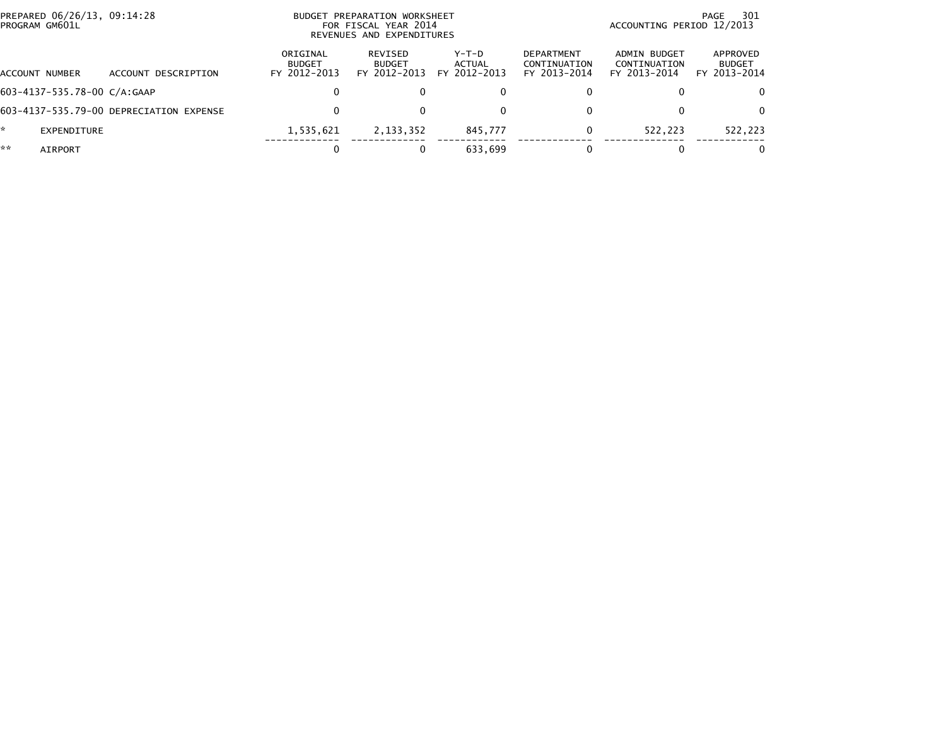|    | PREPARED 06/26/13, 09:14:28<br>PROGRAM GM601L |                                         |                                           | BUDGET PREPARATION WORKSHEET<br>FOR FISCAL YEAR 2014<br>REVENUES AND EXPENDITURES | 301<br>PAGE<br>ACCOUNTING PERIOD 12/2013 |                                                   |                                              |                                           |
|----|-----------------------------------------------|-----------------------------------------|-------------------------------------------|-----------------------------------------------------------------------------------|------------------------------------------|---------------------------------------------------|----------------------------------------------|-------------------------------------------|
|    | ACCOUNT NUMBER                                | ACCOUNT DESCRIPTION                     | ORIGINAL<br><b>BUDGET</b><br>FY 2012-2013 | REVISED<br><b>BUDGET</b><br>FY 2012-2013                                          | $Y-T-D$<br><b>ACTUAL</b><br>FY 2012-2013 | <b>DEPARTMENT</b><br>CONTINUATION<br>FY 2013-2014 | ADMIN BUDGET<br>CONTINUATION<br>FY 2013-2014 | APPROVED<br><b>BUDGET</b><br>FY 2013-2014 |
|    | 603-4137-535.78-00 C/A:GAAP                   |                                         | 0                                         |                                                                                   | 0                                        |                                                   |                                              | 0                                         |
|    |                                               | 603-4137-535.79-00 DEPRECIATION EXPENSE | 0                                         |                                                                                   | 0                                        |                                                   |                                              | $\Omega$                                  |
| *  | EXPENDITURE                                   |                                         | 1,535,621                                 | 2, 133, 352                                                                       | 845,777                                  |                                                   | 522.223                                      | 522,223                                   |
| ** | AIRPORT                                       |                                         | 0                                         |                                                                                   | 633.699                                  |                                                   |                                              | 0                                         |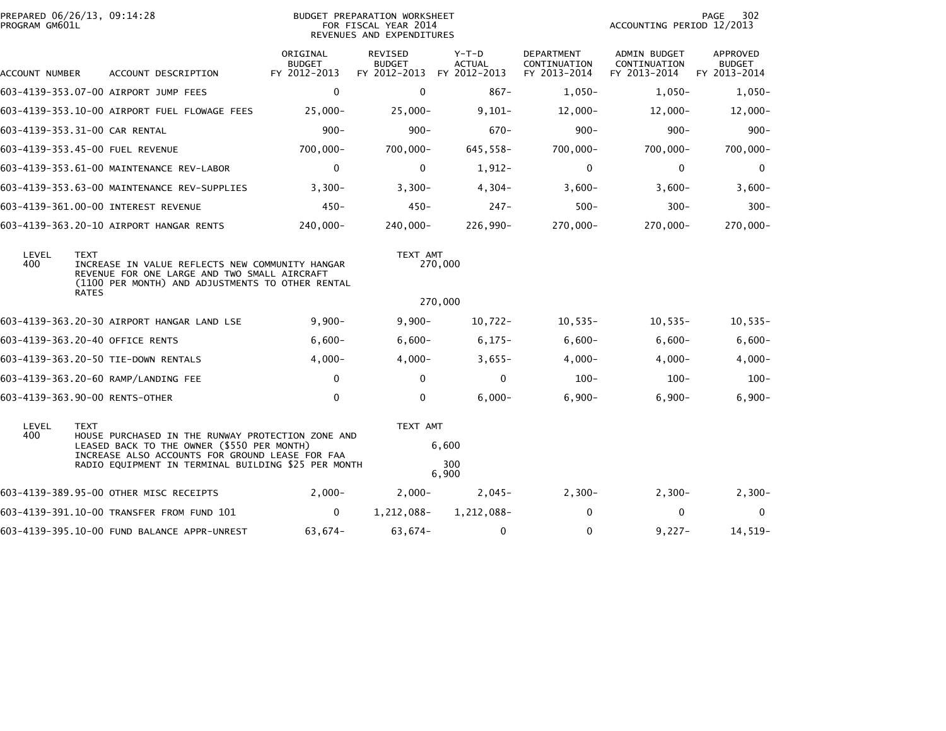| PREPARED 06/26/13, 09:14:28<br>PROGRAM GM601L |                             |                                                                                                                                                     | <b>BUDGET PREPARATION WORKSHEET</b><br>FOR FISCAL YEAR 2014<br>REVENUES AND EXPENDITURES |                                          |                                        |                                            |                                              |                                                  |
|-----------------------------------------------|-----------------------------|-----------------------------------------------------------------------------------------------------------------------------------------------------|------------------------------------------------------------------------------------------|------------------------------------------|----------------------------------------|--------------------------------------------|----------------------------------------------|--------------------------------------------------|
| ACCOUNT NUMBER                                |                             | ACCOUNT DESCRIPTION                                                                                                                                 | ORIGINAL<br><b>BUDGET</b><br>FY 2012-2013                                                | REVISED<br><b>BUDGET</b><br>FY 2012-2013 | Y-T-D<br><b>ACTUAL</b><br>FY 2012-2013 | DEPARTMENT<br>CONTINUATION<br>FY 2013-2014 | ADMIN BUDGET<br>CONTINUATION<br>FY 2013-2014 | <b>APPROVED</b><br><b>BUDGET</b><br>FY 2013-2014 |
|                                               |                             | 603-4139-353.07-00 AIRPORT JUMP FEES                                                                                                                | 0                                                                                        | 0                                        | $867 -$                                | $1,050-$                                   | $1,050-$                                     | $1,050-$                                         |
|                                               |                             | 603-4139-353.10-00 AIRPORT FUEL FLOWAGE FEES                                                                                                        | $25,000 -$                                                                               | $25,000-$                                | $9,101-$                               | $12,000-$                                  | $12,000-$                                    | $12,000 -$                                       |
| 603-4139-353.31-00 CAR RENTAL                 |                             |                                                                                                                                                     | $900 -$                                                                                  | $900 -$                                  | $670 -$                                | $900 -$                                    | $900 -$                                      | $900 -$                                          |
|                                               |                             | 603-4139-353.45-00 FUEL REVENUE                                                                                                                     | $700,000 -$                                                                              | $700,000 -$                              | 645,558-                               | 700,000-                                   | 700,000-                                     | 700,000-                                         |
|                                               |                             | 603-4139-353.61-00 MAINTENANCE REV-LABOR                                                                                                            | $\mathbf 0$                                                                              | $\mathbf{0}$                             | $1,912-$                               | $\mathbf{0}$                               | 0                                            | $\mathbf 0$                                      |
|                                               |                             | 603-4139-353.63-00 MAINTENANCE REV-SUPPLIES                                                                                                         | $3,300-$                                                                                 | $3,300-$                                 | $4,304-$                               | $3,600-$                                   | $3,600-$                                     | $3,600-$                                         |
|                                               |                             | 603-4139-361.00-00 INTEREST REVENUE                                                                                                                 | $450 -$                                                                                  | $450 -$                                  | $247 -$                                | $500 -$                                    | $300 -$                                      | $300 -$                                          |
|                                               |                             | 603-4139-363.20-10 AIRPORT HANGAR RENTS                                                                                                             | 240,000-                                                                                 | $240.000 -$                              | 226,990-                               | 270,000-                                   | 270,000-                                     | 270,000-                                         |
| LEVEL<br>400                                  | <b>TEXT</b><br><b>RATES</b> | INCREASE IN VALUE REFLECTS NEW COMMUNITY HANGAR<br>REVENUE FOR ONE LARGE AND TWO SMALL AIRCRAFT<br>(1100 PER MONTH) AND ADJUSTMENTS TO OTHER RENTAL |                                                                                          | TEXT AMT                                 | 270,000                                |                                            |                                              |                                                  |
|                                               |                             |                                                                                                                                                     |                                                                                          |                                          | 270,000                                |                                            |                                              |                                                  |
|                                               |                             | 603-4139-363.20-30 AIRPORT HANGAR LAND LSE                                                                                                          | $9,900 -$                                                                                | $9,900 -$                                | $10,722 -$                             | $10,535-$                                  | $10,535-$                                    | $10,535-$                                        |
|                                               |                             | 603-4139-363.20-40 OFFICE RENTS                                                                                                                     | $6,600-$                                                                                 | $6,600-$                                 | $6,175-$                               | $6,600-$                                   | $6,600-$                                     | $6,600-$                                         |
|                                               |                             | 603-4139-363.20-50 TIE-DOWN RENTALS                                                                                                                 | $4,000-$                                                                                 | $4,000-$                                 | $3,655-$                               | $4,000-$                                   | $4,000-$                                     | $4,000 -$                                        |
|                                               |                             | 603-4139-363.20-60 RAMP/LANDING FEE                                                                                                                 | 0                                                                                        | $\Omega$                                 | $\mathbf 0$                            | $100 -$                                    | $100 -$                                      | $100 -$                                          |
| 603-4139-363.90-00 RENTS-OTHER                |                             |                                                                                                                                                     | 0                                                                                        | 0                                        | $6,000-$                               | $6,900-$                                   | $6,900-$                                     | $6,900-$                                         |
| LEVEL<br>400                                  | <b>TEXT</b>                 | HOUSE PURCHASED IN THE RUNWAY PROTECTION ZONE AND                                                                                                   |                                                                                          | TEXT AMT                                 |                                        |                                            |                                              |                                                  |
|                                               |                             | LEASED BACK TO THE OWNER (\$550 PER MONTH)<br>INCREASE ALSO ACCOUNTS FOR GROUND LEASE FOR FAA                                                       |                                                                                          |                                          | 6,600                                  |                                            |                                              |                                                  |
|                                               |                             | RADIO EQUIPMENT IN TERMINAL BUILDING \$25 PER MONTH                                                                                                 |                                                                                          |                                          | 300<br>6,900                           |                                            |                                              |                                                  |
|                                               |                             | 603-4139-389.95-00 OTHER MISC RECEIPTS                                                                                                              | $2.000 -$                                                                                | $2,000-$                                 | $2,045-$                               | $2,300-$                                   | $2,300-$                                     | $2,300-$                                         |
|                                               |                             | 603-4139-391.10-00 TRANSFER FROM FUND 101                                                                                                           | $\mathbf{0}$                                                                             | 1,212,088-                               | 1,212,088-                             | $\Omega$                                   | 0                                            | $\Omega$                                         |
|                                               |                             | 603-4139-395.10-00 FUND BALANCE APPR-UNREST                                                                                                         | 63,674-                                                                                  | 63,674-                                  | 0                                      | 0                                          | $9,227-$                                     | $14,519-$                                        |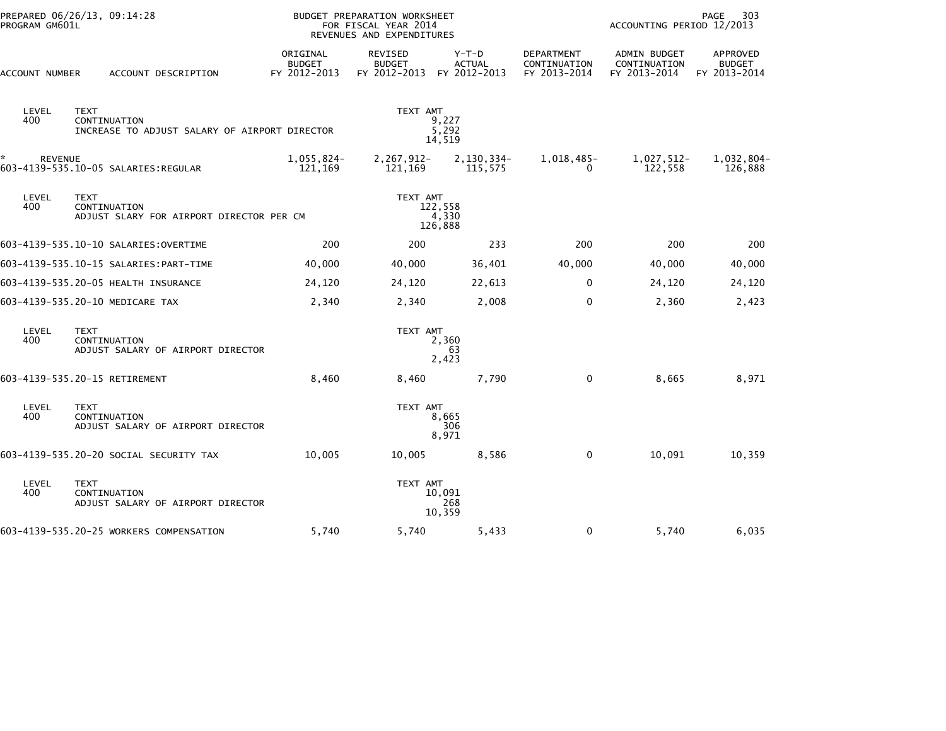| PROGRAM GM601L | PREPARED 06/26/13, 09:14:28                                                  |                                           | <b>BUDGET PREPARATION WORKSHEET</b><br>FOR FISCAL YEAR 2014<br>REVENUES AND EXPENDITURES |                          | 303<br>PAGE<br>ACCOUNTING PERIOD 12/2013   |                                                     |                                           |  |  |
|----------------|------------------------------------------------------------------------------|-------------------------------------------|------------------------------------------------------------------------------------------|--------------------------|--------------------------------------------|-----------------------------------------------------|-------------------------------------------|--|--|
| ACCOUNT NUMBER | ACCOUNT DESCRIPTION                                                          | ORIGINAL<br><b>BUDGET</b><br>FY 2012-2013 | REVISED<br><b>BUDGET</b><br>FY 2012-2013 FY 2012-2013                                    | $Y-T-D$<br><b>ACTUAL</b> | DEPARTMENT<br>CONTINUATION<br>FY 2013-2014 | <b>ADMIN BUDGET</b><br>CONTINUATION<br>FY 2013-2014 | APPROVED<br><b>BUDGET</b><br>FY 2013-2014 |  |  |
| LEVEL<br>400   | <b>TEXT</b><br>CONTINUATION<br>INCREASE TO ADJUST SALARY OF AIRPORT DIRECTOR |                                           | TEXT AMT                                                                                 | 9,227<br>5,292<br>14,519 |                                            |                                                     |                                           |  |  |
| <b>REVENUE</b> | 603-4139-535.10-05 SALARIES:REGULAR                                          | $1,055,824-$<br>121,169                   | 2,267,912-<br>121,169                                                                    | 2,130,334-<br>115,575    | 1,018,485-<br>0                            | 1,027,512-<br>122,558                               | 1,032,804-<br>126,888                     |  |  |
| LEVEL<br>400   | <b>TEXT</b><br>CONTINUATION<br>ADJUST SLARY FOR AIRPORT DIRECTOR PER CM      | TEXT AMT                                  |                                                                                          |                          | 122,558<br>4,330<br>126,888                |                                                     |                                           |  |  |
|                | 603-4139-535.10-10 SALARIES: OVERTIME                                        | 200                                       | 200                                                                                      | 233                      | 200                                        | 200                                                 | 200                                       |  |  |
|                |                                                                              | 40,000                                    | 40,000                                                                                   | 36,401                   | 40,000                                     | 40,000                                              | 40,000                                    |  |  |
|                | 603-4139-535.20-05 HEALTH INSURANCE                                          | 24,120                                    | 24,120                                                                                   | 22,613                   | $\mathbf{0}$                               | 24,120                                              | 24,120                                    |  |  |
|                | 603-4139-535.20-10 MEDICARE TAX                                              | 2,340                                     | 2,340                                                                                    | 2,008                    | $\mathbf 0$                                | 2,360                                               | 2,423                                     |  |  |
| LEVEL<br>400   | <b>TEXT</b><br>CONTINUATION<br>ADJUST SALARY OF AIRPORT DIRECTOR             |                                           | TEXT AMT                                                                                 | 2,360<br>63<br>2,423     |                                            |                                                     |                                           |  |  |
|                | 603-4139-535.20-15 RETIREMENT                                                | 8,460                                     | 8,460                                                                                    | 7,790                    | 0                                          | 8,665                                               | 8,971                                     |  |  |
| LEVEL<br>400   | <b>TEXT</b><br>CONTINUATION<br>ADJUST SALARY OF AIRPORT DIRECTOR             |                                           | TEXT AMT                                                                                 | 8,665<br>306<br>8,971    |                                            |                                                     |                                           |  |  |
|                | 603-4139-535.20-20 SOCIAL SECURITY TAX                                       | 10,005                                    | 10,005                                                                                   | 8,586                    | $\mathbf{0}$                               | 10,091                                              | 10,359                                    |  |  |
| LEVEL<br>400   | <b>TEXT</b><br>CONTINUATION<br>ADJUST SALARY OF AIRPORT DIRECTOR             |                                           | TEXT AMT                                                                                 | 10,091<br>268<br>10,359  |                                            |                                                     |                                           |  |  |
|                | 603-4139-535.20-25 WORKERS COMPENSATION                                      | 5,740                                     | 5,740                                                                                    | 5,433                    | 0                                          | 5,740                                               | 6,035                                     |  |  |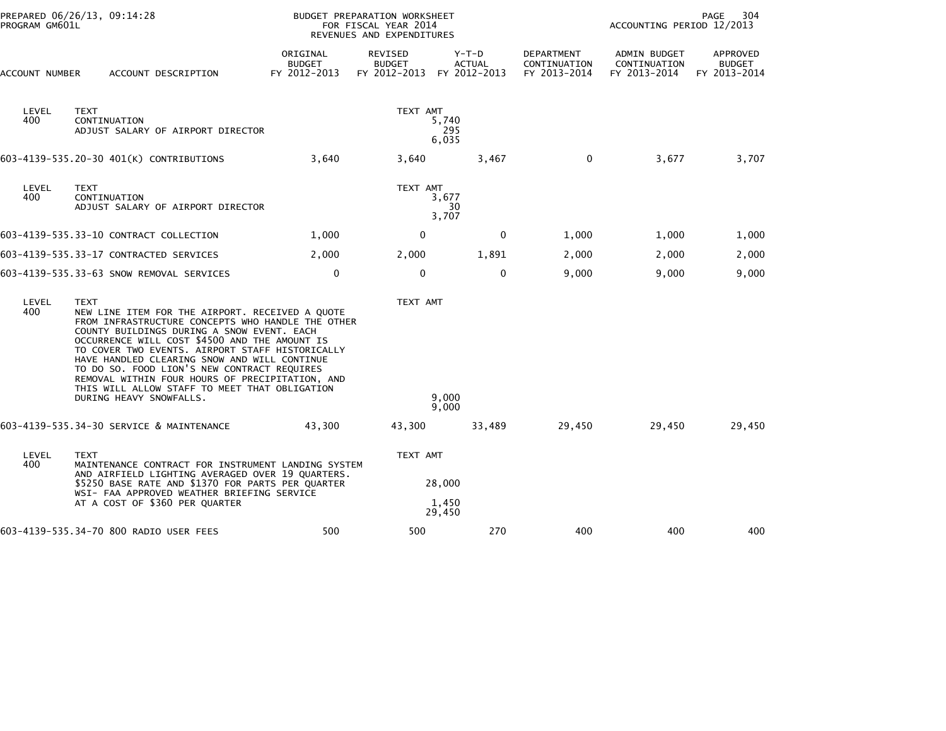| PREPARED 06/26/13, 09:14:28<br>PROGRAM GM601L |                                                                                                                                                                                                                                                                                                                                                                                                                                                                                                     |                                           | FOR FISCAL YEAR 2014                            | 304<br>BUDGET PREPARATION WORKSHEET<br><b>PAGE</b><br>ACCOUNTING PERIOD 12/2013<br>REVENUES AND EXPENDITURES |                                                   |                                              |                                           |  |  |
|-----------------------------------------------|-----------------------------------------------------------------------------------------------------------------------------------------------------------------------------------------------------------------------------------------------------------------------------------------------------------------------------------------------------------------------------------------------------------------------------------------------------------------------------------------------------|-------------------------------------------|-------------------------------------------------|--------------------------------------------------------------------------------------------------------------|---------------------------------------------------|----------------------------------------------|-------------------------------------------|--|--|
| ACCOUNT NUMBER                                | ACCOUNT DESCRIPTION                                                                                                                                                                                                                                                                                                                                                                                                                                                                                 | ORIGINAL<br><b>BUDGET</b><br>FY 2012-2013 | <b>REVISED</b><br><b>BUDGET</b><br>FY 2012-2013 | $Y-T-D$<br><b>ACTUAL</b><br>FY 2012-2013                                                                     | <b>DEPARTMENT</b><br>CONTINUATION<br>FY 2013-2014 | ADMIN BUDGET<br>CONTINUATION<br>FY 2013-2014 | APPROVED<br><b>BUDGET</b><br>FY 2013-2014 |  |  |
| LEVEL<br>400                                  | <b>TEXT</b><br>CONTINUATION<br>ADJUST SALARY OF AIRPORT DIRECTOR                                                                                                                                                                                                                                                                                                                                                                                                                                    |                                           | TEXT AMT                                        | 5,740<br>295<br>6,035                                                                                        |                                                   |                                              |                                           |  |  |
|                                               | 603-4139-535.20-30 401(K) CONTRIBUTIONS                                                                                                                                                                                                                                                                                                                                                                                                                                                             | 3,640                                     | 3,640                                           | 3,467                                                                                                        | $\mathbf{0}$                                      | 3,677                                        | 3,707                                     |  |  |
| LEVEL<br>400                                  | <b>TEXT</b><br>CONTINUATION<br>ADJUST SALARY OF AIRPORT DIRECTOR                                                                                                                                                                                                                                                                                                                                                                                                                                    |                                           | TEXT AMT                                        | 3,677<br>30<br>3,707                                                                                         |                                                   |                                              |                                           |  |  |
|                                               | 603-4139-535.33-10 CONTRACT COLLECTION                                                                                                                                                                                                                                                                                                                                                                                                                                                              | 1,000                                     | $\mathbf 0$                                     | 0                                                                                                            | 1,000                                             | 1,000                                        | 1,000                                     |  |  |
|                                               | 603-4139-535.33-17 CONTRACTED SERVICES                                                                                                                                                                                                                                                                                                                                                                                                                                                              | 2,000                                     | 2,000                                           | 1,891                                                                                                        | 2,000                                             | 2,000                                        | 2,000                                     |  |  |
|                                               | 603-4139-535.33-63 SNOW REMOVAL SERVICES                                                                                                                                                                                                                                                                                                                                                                                                                                                            | $\mathbf 0$                               | $\mathbf 0$                                     | $\mathbf 0$                                                                                                  | 9,000                                             | 9,000                                        | 9,000                                     |  |  |
| LEVEL<br>400                                  | <b>TEXT</b><br>NEW LINE ITEM FOR THE AIRPORT. RECEIVED A QUOTE<br>FROM INFRASTRUCTURE CONCEPTS WHO HANDLE THE OTHER<br>COUNTY BUILDINGS DURING A SNOW EVENT. EACH<br>OCCURRENCE WILL COST \$4500 AND THE AMOUNT IS<br>TO COVER TWO EVENTS. AIRPORT STAFF HISTORICALLY<br>HAVE HANDLED CLEARING SNOW AND WILL CONTINUE<br>TO DO SO. FOOD LION'S NEW CONTRACT REQUIRES<br>REMOVAL WITHIN FOUR HOURS OF PRECIPITATION, AND<br>THIS WILL ALLOW STAFF TO MEET THAT OBLIGATION<br>DURING HEAVY SNOWFALLS. |                                           | TEXT AMT                                        | 9.000<br>9,000                                                                                               |                                                   |                                              |                                           |  |  |
|                                               | 603-4139-535.34-30 SERVICE & MAINTENANCE                                                                                                                                                                                                                                                                                                                                                                                                                                                            | 43,300                                    | 43,300                                          | 33,489                                                                                                       | 29,450                                            | 29,450                                       | 29,450                                    |  |  |
| LEVEL<br>400                                  | <b>TEXT</b><br>MAINTENANCE CONTRACT FOR INSTRUMENT LANDING SYSTEM<br>AND AIRFIELD LIGHTING AVERAGED OVER 19 QUARTERS.<br>\$5250 BASE RATE AND \$1370 FOR PARTS PER QUARTER<br>WSI- FAA APPROVED WEATHER BRIEFING SERVICE<br>AT A COST OF \$360 PER QUARTER                                                                                                                                                                                                                                          |                                           | TEXT AMT                                        | 28,000<br>1,450<br>29,450                                                                                    |                                                   |                                              |                                           |  |  |
|                                               | 603-4139-535.34-70 800 RADIO USER FEES                                                                                                                                                                                                                                                                                                                                                                                                                                                              | 500                                       | 500                                             | 270                                                                                                          | 400                                               | 400                                          | 400                                       |  |  |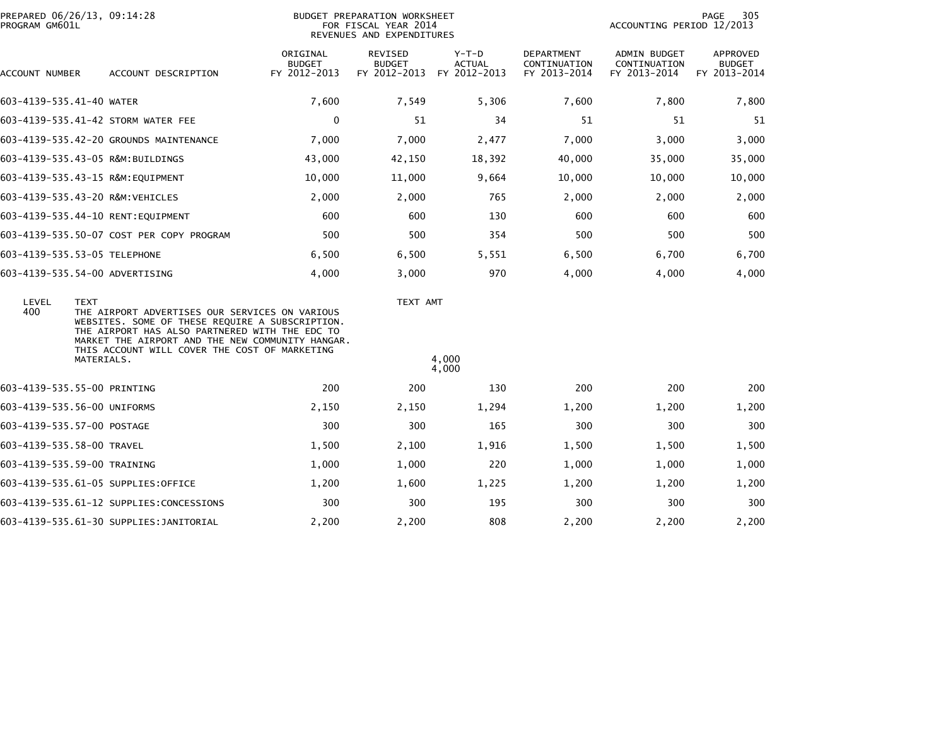| PROGRAM GM601L            | PREPARED 06/26/13, 09:14:28                                                                                                                                                                                                                                                           | PAGE<br>305<br>ACCOUNTING PERIOD 12/2013  |                                          |                                          |                                            |                                              |                                           |  |
|---------------------------|---------------------------------------------------------------------------------------------------------------------------------------------------------------------------------------------------------------------------------------------------------------------------------------|-------------------------------------------|------------------------------------------|------------------------------------------|--------------------------------------------|----------------------------------------------|-------------------------------------------|--|
| ACCOUNT NUMBER            | ACCOUNT DESCRIPTION                                                                                                                                                                                                                                                                   | ORIGINAL<br><b>BUDGET</b><br>FY 2012-2013 | REVISED<br><b>BUDGET</b><br>FY 2012-2013 | $Y-T-D$<br><b>ACTUAL</b><br>FY 2012-2013 | DEPARTMENT<br>CONTINUATION<br>FY 2013-2014 | ADMIN BUDGET<br>CONTINUATION<br>FY 2013-2014 | APPROVED<br><b>BUDGET</b><br>FY 2013-2014 |  |
| 603-4139-535.41-40 WATER  |                                                                                                                                                                                                                                                                                       | 7,600                                     | 7,549                                    | 5,306                                    | 7,600                                      | 7,800                                        | 7,800                                     |  |
|                           | 603-4139-535.41-42 STORM WATER FEE                                                                                                                                                                                                                                                    | $\mathbf 0$                               | 51                                       | 34                                       | 51                                         | 51                                           | 51                                        |  |
|                           | 603-4139-535.42-20 GROUNDS MAINTENANCE                                                                                                                                                                                                                                                | 7,000                                     | 7,000                                    | 2,477                                    | 7,000                                      | 3,000                                        | 3,000                                     |  |
|                           | 603-4139-535.43-05 R&M:BUILDINGS                                                                                                                                                                                                                                                      | 43,000                                    | 42,150                                   | 18,392                                   | 40,000                                     | 35,000                                       | 35,000                                    |  |
|                           | 603-4139-535.43-15 R&M:EQUIPMENT                                                                                                                                                                                                                                                      | 10,000                                    | 11,000                                   | 9,664                                    | 10,000                                     | 10,000                                       | 10,000                                    |  |
|                           | 603-4139-535.43-20 R&M:VEHICLES                                                                                                                                                                                                                                                       | 2,000                                     | 2,000                                    | 765                                      | 2,000                                      | 2,000                                        | 2,000                                     |  |
|                           | 603-4139-535.44-10 RENT:EQUIPMENT                                                                                                                                                                                                                                                     | 600                                       | 600                                      | 130                                      | 600                                        | 600                                          | 600                                       |  |
|                           | 603-4139-535.50-07 COST PER COPY PROGRAM                                                                                                                                                                                                                                              | 500                                       | 500                                      | 354                                      | 500                                        | 500                                          | 500                                       |  |
|                           | 603-4139-535.53-05 TELEPHONE                                                                                                                                                                                                                                                          | 6,500                                     | 6,500                                    | 5,551                                    | 6,500                                      | 6,700                                        | 6,700                                     |  |
|                           | 603-4139-535.54-00 ADVERTISING                                                                                                                                                                                                                                                        | 4,000                                     | 3,000                                    | 970                                      | 4,000                                      | 4,000                                        | 4,000                                     |  |
| LEVEL<br>400              | <b>TEXT</b><br>THE AIRPORT ADVERTISES OUR SERVICES ON VARIOUS<br>WEBSITES. SOME OF THESE REQUIRE A SUBSCRIPTION.<br>THE AIRPORT HAS ALSO PARTNERED WITH THE EDC TO<br>MARKET THE AIRPORT AND THE NEW COMMUNITY HANGAR.<br>THIS ACCOUNT WILL COVER THE COST OF MARKETING<br>MATERIALS. |                                           | TEXT AMT                                 | 4,000<br>4,000                           |                                            |                                              |                                           |  |
|                           | 603-4139-535.55-00 PRINTING                                                                                                                                                                                                                                                           | 200                                       | 200                                      | 130                                      | 200                                        | 200                                          | 200                                       |  |
|                           | 603-4139-535.56-00 UNIFORMS                                                                                                                                                                                                                                                           | 2,150                                     | 2,150                                    | 1,294                                    | 1,200                                      | 1,200                                        | 1,200                                     |  |
|                           | 603-4139-535.57-00 POSTAGE                                                                                                                                                                                                                                                            | 300                                       | 300                                      | 165                                      | 300                                        | 300                                          | 300                                       |  |
| 603-4139-535.58-00 TRAVEL |                                                                                                                                                                                                                                                                                       | 1,500                                     | 2,100                                    | 1,916                                    | 1,500                                      | 1,500                                        | 1,500                                     |  |
|                           | 603-4139-535.59-00 TRAINING                                                                                                                                                                                                                                                           | 1,000                                     | 1,000                                    | 220                                      | 1,000                                      | 1,000                                        | 1,000                                     |  |
|                           | 603-4139-535.61-05 SUPPLIES:OFFICE                                                                                                                                                                                                                                                    | 1,200                                     | 1,600                                    | 1,225                                    | 1,200                                      | 1,200                                        | 1,200                                     |  |
|                           | 603-4139-535.61-12 SUPPLIES:CONCESSIONS                                                                                                                                                                                                                                               | 300                                       | 300                                      | 195                                      | 300                                        | 300                                          | 300                                       |  |
|                           | 603-4139-535.61-30 SUPPLIES:JANITORIAL                                                                                                                                                                                                                                                | 2,200                                     | 2,200                                    | 808                                      | 2,200                                      | 2,200                                        | 2,200                                     |  |
|                           |                                                                                                                                                                                                                                                                                       |                                           |                                          |                                          |                                            |                                              |                                           |  |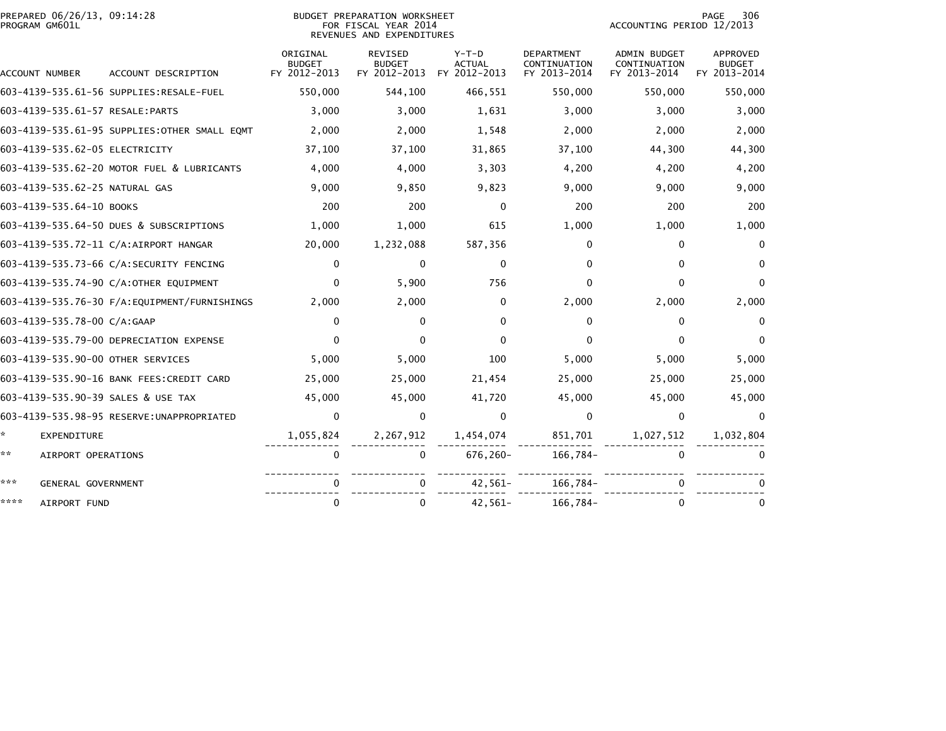| PREPARED 06/26/13, 09:14:28<br>PROGRAM GM601L |                                               |                                           | BUDGET PREPARATION WORKSHEET<br>FOR FISCAL YEAR 2014<br>REVENUES AND EXPENDITURES | 306<br>PAGE<br>ACCOUNTING PERIOD 12/2013 |                                                   |                                                     |                                           |
|-----------------------------------------------|-----------------------------------------------|-------------------------------------------|-----------------------------------------------------------------------------------|------------------------------------------|---------------------------------------------------|-----------------------------------------------------|-------------------------------------------|
| ACCOUNT NUMBER                                | ACCOUNT DESCRIPTION                           | ORIGINAL<br><b>BUDGET</b><br>FY 2012-2013 | <b>REVISED</b><br><b>BUDGET</b><br>FY 2012-2013                                   | $Y-T-D$<br><b>ACTUAL</b><br>FY 2012-2013 | <b>DEPARTMENT</b><br>CONTINUATION<br>FY 2013-2014 | <b>ADMIN BUDGET</b><br>CONTINUATION<br>FY 2013-2014 | APPROVED<br><b>BUDGET</b><br>FY 2013-2014 |
|                                               |                                               | 550,000                                   | 544,100                                                                           | 466,551                                  | 550,000                                           | 550,000                                             | 550,000                                   |
| 603-4139-535.61-57 RESALE:PARTS               |                                               | 3,000                                     | 3,000                                                                             | 1,631                                    | 3,000                                             | 3,000                                               | 3,000                                     |
|                                               | 603-4139-535.61-95 SUPPLIES: OTHER SMALL EQMT | 2,000                                     | 2,000                                                                             | 1,548                                    | 2,000                                             | 2,000                                               | 2,000                                     |
| 603-4139-535.62-05 ELECTRICITY                |                                               | 37,100                                    | 37,100                                                                            | 31,865                                   | 37,100                                            | 44,300                                              | 44,300                                    |
|                                               | 603-4139-535.62-20 MOTOR FUEL & LUBRICANTS    | 4,000                                     | 4,000                                                                             | 3,303                                    | 4,200                                             | 4,200                                               | 4,200                                     |
| 603-4139-535.62-25 NATURAL GAS                |                                               | 9,000                                     | 9,850                                                                             | 9,823                                    | 9,000                                             | 9,000                                               | 9,000                                     |
| 603-4139-535.64-10 BOOKS                      |                                               | 200                                       | 200                                                                               | $\Omega$                                 | 200                                               | 200                                                 | 200                                       |
|                                               | 603-4139-535.64-50 DUES & SUBSCRIPTIONS       | 1,000                                     | 1,000                                                                             | 615                                      | 1,000                                             | 1,000                                               | 1,000                                     |
|                                               | 603-4139-535.72-11 C/A:AIRPORT HANGAR         | 20,000                                    | 1,232,088                                                                         | 587,356                                  | 0                                                 | 0                                                   | $\Omega$                                  |
|                                               | 603-4139-535.73-66 C/A:SECURITY FENCING       | $\mathbf{0}$                              | $\mathbf{0}$                                                                      | $\mathbf{0}$                             | 0                                                 | 0                                                   |                                           |
|                                               | 603-4139-535.74-90 C/A:OTHER EQUIPMENT        | 0                                         | 5,900                                                                             | 756                                      | 0                                                 | 0                                                   | $\Omega$                                  |
|                                               | 603-4139-535.76-30 F/A:EQUIPMENT/FURNISHINGS  | 2,000                                     | 2,000                                                                             | 0                                        | 2,000                                             | 2,000                                               | 2,000                                     |
| 603-4139-535.78-00 C/A:GAAP                   |                                               | $\mathbf{0}$                              | $\mathbf{0}$                                                                      | $\Omega$                                 | 0                                                 | 0                                                   | $\Omega$                                  |
|                                               | 603-4139-535.79-00 DEPRECIATION EXPENSE       | $\Omega$                                  | $\Omega$                                                                          | $\Omega$                                 | 0                                                 | 0                                                   | 0                                         |
| 603-4139-535.90-00 OTHER SERVICES             |                                               | 5,000                                     | 5,000                                                                             | 100                                      | 5,000                                             | 5,000                                               | 5,000                                     |
|                                               | 603-4139-535.90-16 BANK FEES: CREDIT CARD     | 25,000                                    | 25,000                                                                            | 21,454                                   | 25,000                                            | 25,000                                              | 25,000                                    |
| 603-4139-535.90-39 SALES & USE TAX            |                                               | 45,000                                    | 45,000                                                                            | 41,720                                   | 45,000                                            | 45,000                                              | 45,000                                    |
|                                               | 603-4139-535.98-95 RESERVE: UNAPPROPRIATED    | 0                                         | $\mathbf{0}$                                                                      | $\Omega$                                 | $\mathbf{0}$                                      | 0                                                   | $\Omega$                                  |
| ÷.<br>EXPENDITURE                             |                                               | 1,055,824                                 | 2,267,912                                                                         | 1,454,074                                | 851,701                                           | 1,027,512                                           | 1,032,804                                 |
| **<br>AIRPORT OPERATIONS                      |                                               | $\Omega$                                  | 0                                                                                 | 676,260-                                 | 166,784-                                          | $\Omega$                                            |                                           |
| ***<br>GENERAL GOVERNMENT                     |                                               | 0                                         |                                                                                   | $42,561-$                                | 166,784-                                          |                                                     |                                           |
| ****<br>AIRPORT FUND                          |                                               | $\mathbf{0}$                              | $\Omega$                                                                          | $42,561-$                                | 166,784-                                          | 0                                                   | 0                                         |